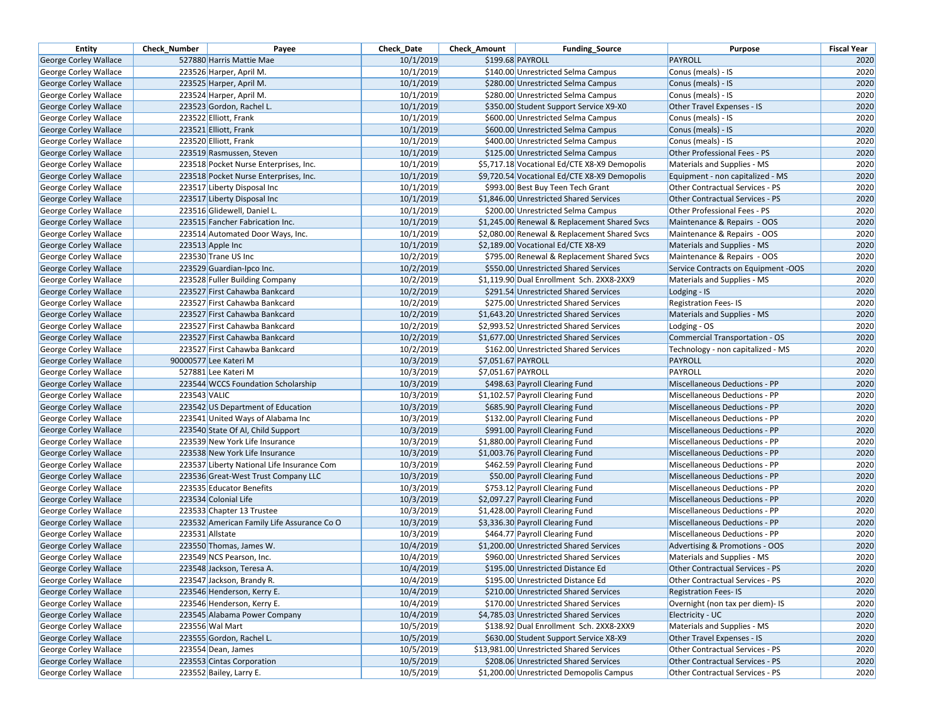| <b>Entity</b>                | <b>Check Number</b> | Payee                                      | Check Date | <b>Check Amount</b> | <b>Funding Source</b>                        | Purpose                                | <b>Fiscal Year</b> |
|------------------------------|---------------------|--------------------------------------------|------------|---------------------|----------------------------------------------|----------------------------------------|--------------------|
| George Corley Wallace        |                     | 527880 Harris Mattie Mae                   | 10/1/2019  |                     | \$199.68 PAYROLL                             | <b>PAYROLL</b>                         | 2020               |
| George Corley Wallace        |                     | 223526 Harper, April M.                    | 10/1/2019  |                     | \$140.00 Unrestricted Selma Campus           | Conus (meals) - IS                     | 2020               |
| George Corley Wallace        |                     | 223525 Harper, April M.                    | 10/1/2019  |                     | \$280.00 Unrestricted Selma Campus           | Conus (meals) - IS                     | 2020               |
| George Corley Wallace        |                     | 223524 Harper, April M.                    | 10/1/2019  |                     | \$280.00 Unrestricted Selma Campus           | Conus (meals) - IS                     | 2020               |
| George Corley Wallace        |                     | 223523 Gordon, Rachel L.                   | 10/1/2019  |                     | \$350.00 Student Support Service X9-X0       | Other Travel Expenses - IS             | 2020               |
| George Corley Wallace        |                     | 223522 Elliott, Frank                      | 10/1/2019  |                     | \$600.00 Unrestricted Selma Campus           | Conus (meals) - IS                     | 2020               |
| George Corley Wallace        |                     | 223521 Elliott, Frank                      | 10/1/2019  |                     | \$600.00 Unrestricted Selma Campus           | Conus (meals) - IS                     | 2020               |
| George Corley Wallace        |                     | 223520 Elliott, Frank                      | 10/1/2019  |                     | \$400.00 Unrestricted Selma Campus           | Conus (meals) - IS                     | 2020               |
| <b>George Corley Wallace</b> |                     | 223519 Rasmussen, Steven                   | 10/1/2019  |                     | \$125.00 Unrestricted Selma Campus           | Other Professional Fees - PS           | 2020               |
| George Corley Wallace        |                     | 223518 Pocket Nurse Enterprises, Inc.      | 10/1/2019  |                     | \$5,717.18 Vocational Ed/CTE X8-X9 Demopolis | Materials and Supplies - MS            | 2020               |
| George Corley Wallace        |                     | 223518 Pocket Nurse Enterprises, Inc.      | 10/1/2019  |                     | \$9,720.54 Vocational Ed/CTE X8-X9 Demopolis | Equipment - non capitalized - MS       | 2020               |
| George Corley Wallace        |                     | 223517 Liberty Disposal Inc                | 10/1/2019  |                     | \$993.00 Best Buy Teen Tech Grant            | <b>Other Contractual Services - PS</b> | 2020               |
| George Corley Wallace        |                     | 223517 Liberty Disposal Inc                | 10/1/2019  |                     | \$1.846.00 Unrestricted Shared Services      | <b>Other Contractual Services - PS</b> | 2020               |
| George Corley Wallace        |                     | 223516 Glidewell, Daniel L.                | 10/1/2019  |                     | \$200.00 Unrestricted Selma Campus           | Other Professional Fees - PS           | 2020               |
| <b>George Corley Wallace</b> |                     | 223515 Fancher Fabrication Inc.            | 10/1/2019  |                     | \$1,245.00 Renewal & Replacement Shared Svcs | Maintenance & Repairs - OOS            | 2020               |
| George Corley Wallace        |                     | 223514 Automated Door Ways, Inc.           | 10/1/2019  |                     | \$2,080.00 Renewal & Replacement Shared Svcs | Maintenance & Repairs - OOS            | 2020               |
| George Corley Wallace        |                     | 223513 Apple Inc                           | 10/1/2019  |                     | \$2,189.00 Vocational Ed/CTE X8-X9           | Materials and Supplies - MS            | 2020               |
| George Corley Wallace        |                     | 223530 Trane US Inc                        | 10/2/2019  |                     | \$795.00 Renewal & Replacement Shared Svcs   | Maintenance & Repairs - OOS            | 2020               |
| George Corley Wallace        |                     | 223529 Guardian-Ipco Inc.                  | 10/2/2019  |                     | \$550.00 Unrestricted Shared Services        | Service Contracts on Equipment -OOS    | 2020               |
| George Corley Wallace        |                     | 223528 Fuller Building Company             | 10/2/2019  |                     | \$1,119.90 Dual Enrollment Sch. 2XX8-2XX9    | Materials and Supplies - MS            | 2020               |
| George Corley Wallace        |                     | 223527 First Cahawba Bankcard              | 10/2/2019  |                     | \$291.54 Unrestricted Shared Services        | Lodging - IS                           | 2020               |
| George Corley Wallace        |                     | 223527 First Cahawba Bankcard              | 10/2/2019  |                     | \$275.00 Unrestricted Shared Services        | <b>Registration Fees-IS</b>            | 2020               |
| <b>George Corley Wallace</b> |                     | 223527 First Cahawba Bankcard              | 10/2/2019  |                     | \$1,643.20 Unrestricted Shared Services      | Materials and Supplies - MS            | 2020               |
| George Corley Wallace        |                     | 223527 First Cahawba Bankcard              | 10/2/2019  |                     | \$2,993.52 Unrestricted Shared Services      | Lodging - OS                           | 2020               |
| George Corley Wallace        |                     | 223527 First Cahawba Bankcard              | 10/2/2019  |                     | \$1,677.00 Unrestricted Shared Services      | <b>Commercial Transportation - OS</b>  | 2020               |
| George Corley Wallace        |                     | 223527 First Cahawba Bankcard              | 10/2/2019  |                     | \$162.00 Unrestricted Shared Services        | Technology - non capitalized - MS      | 2020               |
| <b>George Corley Wallace</b> |                     | 90000577 Lee Kateri M                      | 10/3/2019  |                     | \$7,051.67 PAYROLL                           | PAYROLL                                | 2020               |
| George Corley Wallace        |                     | 527881 Lee Kateri M                        | 10/3/2019  |                     | \$7,051.67 PAYROLL                           | PAYROLL                                | 2020               |
| George Corley Wallace        |                     | 223544 WCCS Foundation Scholarship         | 10/3/2019  |                     | \$498.63 Payroll Clearing Fund               | Miscellaneous Deductions - PP          | 2020               |
| George Corley Wallace        | 223543 VALIC        |                                            | 10/3/2019  |                     | \$1,102.57 Payroll Clearing Fund             | Miscellaneous Deductions - PP          | 2020               |
| <b>George Corley Wallace</b> |                     | 223542 US Department of Education          | 10/3/2019  |                     | \$685.90 Payroll Clearing Fund               | <b>Miscellaneous Deductions - PP</b>   | 2020               |
| George Corley Wallace        |                     | 223541 United Ways of Alabama Inc          | 10/3/2019  |                     | \$132.00 Payroll Clearing Fund               | <b>Miscellaneous Deductions - PP</b>   | 2020               |
| George Corley Wallace        |                     | 223540 State Of Al, Child Support          | 10/3/2019  |                     | \$991.00 Payroll Clearing Fund               | <b>Miscellaneous Deductions - PP</b>   | 2020               |
| George Corley Wallace        |                     | 223539 New York Life Insurance             | 10/3/2019  |                     | \$1,880.00 Payroll Clearing Fund             | Miscellaneous Deductions - PP          | 2020               |
| George Corley Wallace        |                     | 223538 New York Life Insurance             | 10/3/2019  |                     | \$1,003.76 Payroll Clearing Fund             | Miscellaneous Deductions - PP          | 2020               |
| George Corley Wallace        |                     | 223537 Liberty National Life Insurance Com | 10/3/2019  |                     | \$462.59 Payroll Clearing Fund               | <b>Miscellaneous Deductions - PP</b>   | 2020               |
| George Corley Wallace        |                     | 223536 Great-West Trust Company LLC        | 10/3/2019  |                     | \$50.00 Payroll Clearing Fund                | <b>Miscellaneous Deductions - PP</b>   | 2020               |
| George Corley Wallace        |                     | 223535 Educator Benefits                   | 10/3/2019  |                     | \$753.12 Payroll Clearing Fund               | <b>Miscellaneous Deductions - PP</b>   | 2020               |
| George Corley Wallace        |                     | 223534 Colonial Life                       | 10/3/2019  |                     | \$2,097.27 Payroll Clearing Fund             | <b>Miscellaneous Deductions - PP</b>   | 2020               |
| George Corley Wallace        |                     | 223533 Chapter 13 Trustee                  | 10/3/2019  |                     | \$1,428.00 Payroll Clearing Fund             | <b>Miscellaneous Deductions - PP</b>   | 2020               |
| George Corley Wallace        |                     | 223532 American Family Life Assurance Co O | 10/3/2019  |                     | \$3,336.30 Payroll Clearing Fund             | Miscellaneous Deductions - PP          | 2020               |
| George Corley Wallace        |                     | 223531 Allstate                            | 10/3/2019  |                     | \$464.77 Payroll Clearing Fund               | Miscellaneous Deductions - PP          | 2020               |
| George Corley Wallace        |                     | 223550 Thomas, James W.                    | 10/4/2019  |                     | \$1,200.00 Unrestricted Shared Services      | Advertising & Promotions - OOS         | 2020               |
| George Corley Wallace        |                     | 223549 NCS Pearson, Inc.                   | 10/4/2019  |                     | \$960.00 Unrestricted Shared Services        | Materials and Supplies - MS            | 2020               |
| George Corley Wallace        |                     | 223548 Jackson, Teresa A.                  | 10/4/2019  |                     | \$195.00 Unrestricted Distance Ed            | <b>Other Contractual Services - PS</b> | 2020               |
| George Corley Wallace        |                     | 223547 Jackson, Brandy R.                  | 10/4/2019  |                     | \$195.00 Unrestricted Distance Ed            | Other Contractual Services - PS        | 2020               |
| George Corley Wallace        |                     | 223546 Henderson, Kerry E.                 | 10/4/2019  |                     | \$210.00 Unrestricted Shared Services        | <b>Registration Fees-IS</b>            | 2020               |
| George Corley Wallace        |                     | 223546 Henderson, Kerry E.                 | 10/4/2019  |                     | \$170.00 Unrestricted Shared Services        | Overnight (non tax per diem)- IS       | 2020               |
| George Corley Wallace        |                     | 223545 Alabama Power Company               | 10/4/2019  |                     | \$4,785.03 Unrestricted Shared Services      | Electricity - UC                       | 2020               |
| George Corley Wallace        |                     | 223556 Wal Mart                            | 10/5/2019  |                     | \$138.92 Dual Enrollment Sch. 2XX8-2XX9      | Materials and Supplies - MS            | 2020               |
| <b>George Corley Wallace</b> |                     | 223555 Gordon, Rachel L.                   | 10/5/2019  |                     | \$630.00 Student Support Service X8-X9       | Other Travel Expenses - IS             | 2020               |
| George Corley Wallace        |                     | 223554 Dean, James                         | 10/5/2019  |                     | \$13,981.00 Unrestricted Shared Services     | Other Contractual Services - PS        | 2020               |
| George Corley Wallace        |                     | 223553 Cintas Corporation                  | 10/5/2019  |                     | \$208.06 Unrestricted Shared Services        | Other Contractual Services - PS        | 2020               |
| George Corley Wallace        |                     | 223552 Bailey, Larry E.                    | 10/5/2019  |                     | \$1,200.00 Unrestricted Demopolis Campus     | Other Contractual Services - PS        | 2020               |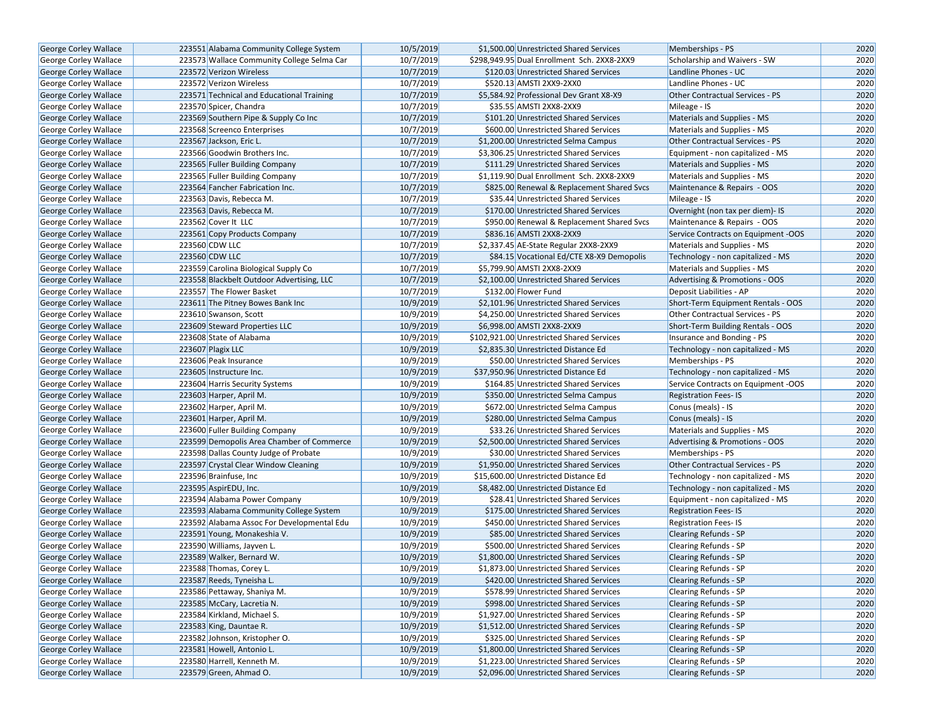| George Corley Wallace                                 | 223551 Alabama Community College System                                           | 10/5/2019 | \$1,500.00 Unrestricted Shared Services                                          | Memberships - PS                       | 2020 |
|-------------------------------------------------------|-----------------------------------------------------------------------------------|-----------|----------------------------------------------------------------------------------|----------------------------------------|------|
| George Corley Wallace                                 | 223573 Wallace Community College Selma Car                                        | 10/7/2019 | \$298.949.95 Dual Enrollment Sch. 2XX8-2XX9                                      | Scholarship and Waivers - SW           | 2020 |
| George Corley Wallace                                 | 223572 Verizon Wireless                                                           | 10/7/2019 | \$120.03 Unrestricted Shared Services                                            | Landline Phones - UC                   | 2020 |
| George Corley Wallace                                 | 223572 Verizon Wireless                                                           | 10/7/2019 | \$520.13 AMSTI 2XX9-2XX0                                                         | Landline Phones - UC                   | 2020 |
| George Corley Wallace                                 | 223571 Technical and Educational Training                                         | 10/7/2019 | \$5,584.92 Professional Dev Grant X8-X9                                          | Other Contractual Services - PS        | 2020 |
| George Corley Wallace                                 | 223570 Spicer, Chandra                                                            | 10/7/2019 | \$35.55 AMSTI 2XX8-2XX9                                                          | Mileage - IS                           | 2020 |
| George Corley Wallace                                 | 223569 Southern Pipe & Supply Co Inc                                              | 10/7/2019 | \$101.20 Unrestricted Shared Services                                            | Materials and Supplies - MS            | 2020 |
| <b>George Corley Wallace</b>                          | 223568 Screenco Enterprises                                                       | 10/7/2019 | \$600.00 Unrestricted Shared Services                                            | Materials and Supplies - MS            | 2020 |
| George Corley Wallace                                 | 223567 Jackson, Eric L.                                                           | 10/7/2019 | \$1,200.00 Unrestricted Selma Campus                                             | <b>Other Contractual Services - PS</b> | 2020 |
| George Corley Wallace                                 | 223566 Goodwin Brothers Inc.                                                      | 10/7/2019 | \$3,306.25 Unrestricted Shared Services                                          | Equipment - non capitalized - MS       | 2020 |
| <b>George Corley Wallace</b>                          | 223565 Fuller Building Company                                                    | 10/7/2019 | \$111.29 Unrestricted Shared Services                                            | Materials and Supplies - MS            | 2020 |
| George Corley Wallace                                 | 223565 Fuller Building Company                                                    | 10/7/2019 | \$1,119.90 Dual Enrollment Sch. 2XX8-2XX9                                        | Materials and Supplies - MS            | 2020 |
| George Corley Wallace                                 | 223564 Fancher Fabrication Inc.                                                   | 10/7/2019 | \$825.00 Renewal & Replacement Shared Svcs                                       | Maintenance & Repairs - OOS            | 2020 |
| George Corley Wallace                                 | 223563 Davis, Rebecca M.                                                          | 10/7/2019 | \$35.44 Unrestricted Shared Services                                             | Mileage - IS                           | 2020 |
| <b>George Corley Wallace</b>                          | 223563 Davis, Rebecca M.                                                          | 10/7/2019 | \$170.00 Unrestricted Shared Services                                            | Overnight (non tax per diem)- IS       | 2020 |
| George Corley Wallace                                 | 223562 Cover It LLC                                                               | 10/7/2019 | \$950.00 Renewal & Replacement Shared Svcs                                       | Maintenance & Repairs - OOS            | 2020 |
| George Corley Wallace                                 | 223561 Copy Products Company                                                      | 10/7/2019 | \$836.16 AMSTI 2XX8-2XX9                                                         | Service Contracts on Equipment -OOS    | 2020 |
| <b>George Corley Wallace</b>                          | 223560 CDW LLC                                                                    | 10/7/2019 | \$2,337.45 AE-State Regular 2XX8-2XX9                                            | Materials and Supplies - MS            | 2020 |
|                                                       | 223560 CDW LLC                                                                    | 10/7/2019 | \$84.15 Vocational Ed/CTE X8-X9 Demopolis                                        | Technology - non capitalized - MS      | 2020 |
| George Corley Wallace<br><b>George Corley Wallace</b> |                                                                                   | 10/7/2019 | \$5,799.90 AMSTI 2XX8-2XX9                                                       | Materials and Supplies - MS            | 2020 |
| George Corley Wallace                                 | 223559 Carolina Biological Supply Co<br>223558 Blackbelt Outdoor Advertising, LLC | 10/7/2019 |                                                                                  | Advertising & Promotions - OOS         | 2020 |
|                                                       | 223557 The Flower Basket                                                          | 10/7/2019 | \$2,100.00 Unrestricted Shared Services<br>\$132.00 Flower Fund                  | Deposit Liabilities - AP               | 2020 |
| George Corley Wallace                                 | 223611 The Pitney Bowes Bank Inc                                                  | 10/9/2019 | \$2,101.96 Unrestricted Shared Services                                          |                                        | 2020 |
| George Corley Wallace                                 |                                                                                   |           |                                                                                  | Short-Term Equipment Rentals - OOS     |      |
| George Corley Wallace                                 | 223610 Swanson, Scott<br>223609 Steward Properties LLC                            | 10/9/2019 | \$4,250.00 Unrestricted Shared Services                                          | Other Contractual Services - PS        | 2020 |
| George Corley Wallace                                 |                                                                                   | 10/9/2019 | \$6,998.00 AMSTI 2XX8-2XX9                                                       | Short-Term Building Rentals - OOS      | 2020 |
| George Corley Wallace                                 | 223608 State of Alabama                                                           | 10/9/2019 | \$102,921.00 Unrestricted Shared Services<br>\$2.835.30 Unrestricted Distance Ed | Insurance and Bonding - PS             | 2020 |
| George Corley Wallace                                 | 223607 Plagix LLC                                                                 | 10/9/2019 |                                                                                  | Technology - non capitalized - MS      | 2020 |
| George Corley Wallace                                 | 223606 Peak Insurance                                                             | 10/9/2019 | \$50.00 Unrestricted Shared Services                                             | Memberships - PS                       | 2020 |
| George Corley Wallace                                 | 223605 Instructure Inc.                                                           | 10/9/2019 | \$37,950.96 Unrestricted Distance Ed                                             | Technology - non capitalized - MS      | 2020 |
| George Corley Wallace                                 | 223604 Harris Security Systems                                                    | 10/9/2019 | \$164.85 Unrestricted Shared Services                                            | Service Contracts on Equipment -OOS    | 2020 |
| George Corley Wallace                                 | 223603 Harper, April M.                                                           | 10/9/2019 | \$350.00 Unrestricted Selma Campus                                               | <b>Registration Fees-IS</b>            | 2020 |
| George Corley Wallace                                 | 223602 Harper, April M.                                                           | 10/9/2019 | \$672.00 Unrestricted Selma Campus                                               | Conus (meals) - IS                     | 2020 |
| George Corley Wallace                                 | 223601 Harper, April M.                                                           | 10/9/2019 | \$280.00 Unrestricted Selma Campus                                               | Conus (meals) - IS                     | 2020 |
| George Corley Wallace                                 | 223600 Fuller Building Company                                                    | 10/9/2019 | \$33.26 Unrestricted Shared Services                                             | Materials and Supplies - MS            | 2020 |
| George Corley Wallace                                 | 223599 Demopolis Area Chamber of Commerce                                         | 10/9/2019 | \$2,500.00 Unrestricted Shared Services                                          | Advertising & Promotions - OOS         | 2020 |
| George Corley Wallace                                 | 223598 Dallas County Judge of Probate                                             | 10/9/2019 | \$30.00 Unrestricted Shared Services                                             | Memberships - PS                       | 2020 |
| <b>George Corley Wallace</b>                          | 223597 Crystal Clear Window Cleaning                                              | 10/9/2019 | \$1,950.00 Unrestricted Shared Services                                          | Other Contractual Services - PS        | 2020 |
| George Corley Wallace                                 | 223596 Brainfuse, Inc                                                             | 10/9/2019 | \$15,600.00 Unrestricted Distance Ed                                             | Technology - non capitalized - MS      | 2020 |
| George Corley Wallace                                 | 223595 AspirEDU, Inc.                                                             | 10/9/2019 | \$8,482.00 Unrestricted Distance Ed                                              | Technology - non capitalized - MS      | 2020 |
| George Corley Wallace                                 | 223594 Alabama Power Company                                                      | 10/9/2019 | \$28.41 Unrestricted Shared Services                                             | Equipment - non capitalized - MS       | 2020 |
| <b>George Corley Wallace</b>                          | 223593 Alabama Community College System                                           | 10/9/2019 | \$175.00 Unrestricted Shared Services                                            | <b>Registration Fees-IS</b>            | 2020 |
| George Corley Wallace                                 | 223592 Alabama Assoc For Developmental Edu                                        | 10/9/2019 | \$450.00 Unrestricted Shared Services                                            | <b>Registration Fees-IS</b>            | 2020 |
| George Corley Wallace                                 | 223591 Young, Monakeshia V.                                                       | 10/9/2019 | \$85.00 Unrestricted Shared Services                                             | <b>Clearing Refunds - SP</b>           | 2020 |
| George Corley Wallace                                 | 223590 Williams, Jayven L.                                                        | 10/9/2019 | \$500.00 Unrestricted Shared Services                                            | Clearing Refunds - SP                  | 2020 |
| <b>George Corley Wallace</b>                          | 223589 Walker, Bernard W.                                                         | 10/9/2019 | \$1,800.00 Unrestricted Shared Services                                          | <b>Clearing Refunds - SP</b>           | 2020 |
| George Corley Wallace                                 | 223588 Thomas, Corey L.                                                           | 10/9/2019 | \$1,873.00 Unrestricted Shared Services                                          | Clearing Refunds - SP                  | 2020 |
| George Corley Wallace                                 | 223587 Reeds, Tyneisha L.                                                         | 10/9/2019 | \$420.00 Unrestricted Shared Services                                            | <b>Clearing Refunds - SP</b>           | 2020 |
| George Corley Wallace                                 | 223586 Pettaway, Shaniya M.                                                       | 10/9/2019 | \$578.99 Unrestricted Shared Services                                            | Clearing Refunds - SP                  | 2020 |
| George Corley Wallace                                 | 223585 McCary, Lacretia N.                                                        | 10/9/2019 | \$998.00 Unrestricted Shared Services                                            | <b>Clearing Refunds - SP</b>           | 2020 |
| <b>George Corley Wallace</b>                          | 223584 Kirkland, Michael S.                                                       | 10/9/2019 | \$1,927.00 Unrestricted Shared Services                                          | Clearing Refunds - SP                  | 2020 |
| George Corley Wallace                                 | 223583 King, Dauntae R.                                                           | 10/9/2019 | \$1,512.00 Unrestricted Shared Services                                          | <b>Clearing Refunds - SP</b>           | 2020 |
| George Corley Wallace                                 | 223582 Johnson, Kristopher O.                                                     | 10/9/2019 | \$325.00 Unrestricted Shared Services                                            | Clearing Refunds - SP                  | 2020 |
| George Corley Wallace                                 | 223581 Howell, Antonio L.                                                         | 10/9/2019 | \$1,800.00 Unrestricted Shared Services                                          | <b>Clearing Refunds - SP</b>           | 2020 |
| George Corley Wallace                                 | 223580 Harrell, Kenneth M.                                                        | 10/9/2019 | \$1,223.00 Unrestricted Shared Services                                          | Clearing Refunds - SP                  | 2020 |
| George Corley Wallace                                 | 223579 Green, Ahmad O.                                                            | 10/9/2019 | \$2,096.00 Unrestricted Shared Services                                          | Clearing Refunds - SP                  | 2020 |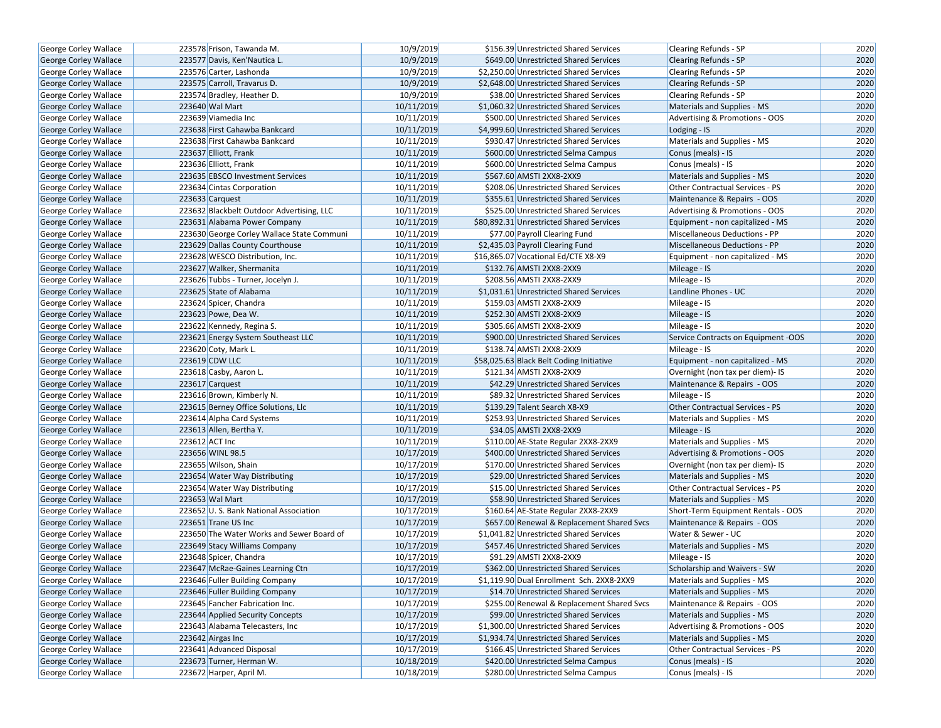| George Corley Wallace        | 223578 Frison, Tawanda M.                  | 10/9/2019  | \$156.39 Unrestricted Shared Services      | <b>Clearing Refunds - SP</b>        | 2020 |
|------------------------------|--------------------------------------------|------------|--------------------------------------------|-------------------------------------|------|
| George Corley Wallace        | 223577 Davis, Ken'Nautica L.               | 10/9/2019  | \$649.00 Unrestricted Shared Services      | <b>Clearing Refunds - SP</b>        | 2020 |
| George Corley Wallace        | 223576 Carter, Lashonda                    | 10/9/2019  | \$2,250.00 Unrestricted Shared Services    | Clearing Refunds - SP               | 2020 |
| George Corley Wallace        | 223575 Carroll, Travarus D.                | 10/9/2019  | \$2,648.00 Unrestricted Shared Services    | <b>Clearing Refunds - SP</b>        | 2020 |
| George Corley Wallace        | 223574 Bradley, Heather D.                 | 10/9/2019  | \$38.00 Unrestricted Shared Services       | <b>Clearing Refunds - SP</b>        | 2020 |
| George Corley Wallace        | 223640 Wal Mart                            | 10/11/2019 | \$1,060.32 Unrestricted Shared Services    | Materials and Supplies - MS         | 2020 |
| George Corley Wallace        | 223639 Viamedia Inc                        | 10/11/2019 | \$500.00 Unrestricted Shared Services      | Advertising & Promotions - OOS      | 2020 |
| <b>George Corley Wallace</b> | 223638 First Cahawba Bankcard              | 10/11/2019 | \$4,999.60 Unrestricted Shared Services    | Lodging - IS                        | 2020 |
| George Corley Wallace        | 223638 First Cahawba Bankcard              | 10/11/2019 | \$930.47 Unrestricted Shared Services      | Materials and Supplies - MS         | 2020 |
| George Corley Wallace        | 223637 Elliott, Frank                      | 10/11/2019 | \$600.00 Unrestricted Selma Campus         | Conus (meals) - IS                  | 2020 |
| George Corley Wallace        | 223636 Elliott, Frank                      | 10/11/2019 | \$600.00 Unrestricted Selma Campus         | Conus (meals) - IS                  | 2020 |
| George Corley Wallace        | 223635 EBSCO Investment Services           | 10/11/2019 | \$567.60 AMSTI 2XX8-2XX9                   | Materials and Supplies - MS         | 2020 |
| George Corley Wallace        | 223634 Cintas Corporation                  | 10/11/2019 | \$208.06 Unrestricted Shared Services      | Other Contractual Services - PS     | 2020 |
| <b>George Corley Wallace</b> | 223633 Carquest                            | 10/11/2019 | \$355.61 Unrestricted Shared Services      | Maintenance & Repairs - OOS         | 2020 |
| <b>George Corley Wallace</b> | 223632 Blackbelt Outdoor Advertising, LLC  | 10/11/2019 | \$525.00 Unrestricted Shared Services      | Advertising & Promotions - OOS      | 2020 |
| George Corley Wallace        | 223631 Alabama Power Company               | 10/11/2019 | \$80,892.31 Unrestricted Shared Services   | Equipment - non capitalized - MS    | 2020 |
| George Corley Wallace        | 223630 George Corley Wallace State Communi | 10/11/2019 | \$77.00 Payroll Clearing Fund              | Miscellaneous Deductions - PP       | 2020 |
| George Corley Wallace        | 223629 Dallas County Courthouse            | 10/11/2019 | \$2,435.03 Payroll Clearing Fund           | Miscellaneous Deductions - PP       | 2020 |
| George Corley Wallace        | 223628 WESCO Distribution, Inc.            | 10/11/2019 | \$16,865.07 Vocational Ed/CTE X8-X9        | Equipment - non capitalized - MS    | 2020 |
| George Corley Wallace        | 223627 Walker, Shermanita                  | 10/11/2019 | \$132.76 AMSTI 2XX8-2XX9                   | Mileage - IS                        | 2020 |
| <b>George Corley Wallace</b> | 223626 Tubbs - Turner, Jocelyn J.          | 10/11/2019 | \$208.56 AMSTI 2XX8-2XX9                   | Mileage - IS                        | 2020 |
| George Corley Wallace        | 223625 State of Alabama                    | 10/11/2019 | \$1,031.61 Unrestricted Shared Services    | Landline Phones - UC                | 2020 |
| George Corley Wallace        | 223624 Spicer, Chandra                     | 10/11/2019 | \$159.03 AMSTI 2XX8-2XX9                   | Mileage - IS                        | 2020 |
| George Corley Wallace        | 223623 Powe, Dea W.                        | 10/11/2019 | \$252.30 AMSTI 2XX8-2XX9                   | Mileage - IS                        | 2020 |
| <b>George Corley Wallace</b> | 223622 Kennedy, Regina S.                  | 10/11/2019 | \$305.66 AMSTI 2XX8-2XX9                   | Mileage - IS                        | 2020 |
| George Corley Wallace        | 223621 Energy System Southeast LLC         | 10/11/2019 | \$900.00 Unrestricted Shared Services      | Service Contracts on Equipment -OOS | 2020 |
| George Corley Wallace        | 223620 Coty, Mark L.                       | 10/11/2019 | \$138.74 AMSTI 2XX8-2XX9                   | Mileage - IS                        | 2020 |
| George Corley Wallace        | 223619 CDW LLC                             | 10/11/2019 | \$58,025.63 Black Belt Coding Initiative   | Equipment - non capitalized - MS    | 2020 |
| George Corley Wallace        | 223618 Casby, Aaron L.                     | 10/11/2019 | \$121.34 AMSTI 2XX8-2XX9                   | Overnight (non tax per diem)- IS    | 2020 |
| George Corley Wallace        | 223617 Carquest                            | 10/11/2019 | \$42.29 Unrestricted Shared Services       | Maintenance & Repairs - OOS         | 2020 |
| George Corley Wallace        | 223616 Brown, Kimberly N.                  | 10/11/2019 | \$89.32 Unrestricted Shared Services       | Mileage - IS                        | 2020 |
| George Corley Wallace        | 223615 Berney Office Solutions, Llc        | 10/11/2019 | \$139.29 Talent Search X8-X9               | Other Contractual Services - PS     | 2020 |
| George Corley Wallace        | 223614 Alpha Card Systems                  | 10/11/2019 | \$253.93 Unrestricted Shared Services      | Materials and Supplies - MS         | 2020 |
| George Corley Wallace        | 223613 Allen, Bertha Y.                    | 10/11/2019 | \$34.05 AMSTI 2XX8-2XX9                    | Mileage - IS                        | 2020 |
| George Corley Wallace        | 223612 ACT Inc                             | 10/11/2019 | \$110.00 AE-State Regular 2XX8-2XX9        | Materials and Supplies - MS         | 2020 |
| <b>George Corley Wallace</b> | 223656 WINL 98.5                           | 10/17/2019 | \$400.00 Unrestricted Shared Services      | Advertising & Promotions - OOS      | 2020 |
| George Corley Wallace        | 223655 Wilson, Shain                       | 10/17/2019 | \$170.00 Unrestricted Shared Services      | Overnight (non tax per diem)- IS    | 2020 |
| George Corley Wallace        | 223654 Water Way Distributing              | 10/17/2019 | \$29.00 Unrestricted Shared Services       | Materials and Supplies - MS         | 2020 |
| George Corley Wallace        | 223654 Water Way Distributing              | 10/17/2019 | \$15.00 Unrestricted Shared Services       | Other Contractual Services - PS     | 2020 |
| George Corley Wallace        | 223653 Wal Mart                            | 10/17/2019 | \$58.90 Unrestricted Shared Services       | Materials and Supplies - MS         | 2020 |
| George Corley Wallace        | 223652 U.S. Bank National Association      | 10/17/2019 | \$160.64 AE-State Regular 2XX8-2XX9        | Short-Term Equipment Rentals - OOS  | 2020 |
| George Corley Wallace        | 223651 Trane US Inc                        | 10/17/2019 | \$657.00 Renewal & Replacement Shared Svcs | Maintenance & Repairs - OOS         | 2020 |
| George Corley Wallace        | 223650 The Water Works and Sewer Board of  | 10/17/2019 | \$1,041.82 Unrestricted Shared Services    | Water & Sewer - UC                  | 2020 |
| George Corley Wallace        | 223649 Stacy Williams Company              | 10/17/2019 | \$457.46 Unrestricted Shared Services      | Materials and Supplies - MS         | 2020 |
| George Corley Wallace        | 223648 Spicer, Chandra                     | 10/17/2019 | \$91.29 AMSTI 2XX8-2XX9                    | Mileage - IS                        | 2020 |
| George Corley Wallace        | 223647 McRae-Gaines Learning Ctn           | 10/17/2019 | \$362.00 Unrestricted Shared Services      | Scholarship and Waivers - SW        | 2020 |
| George Corley Wallace        | 223646 Fuller Building Company             | 10/17/2019 | \$1,119.90 Dual Enrollment Sch. 2XX8-2XX9  | Materials and Supplies - MS         | 2020 |
| George Corley Wallace        | 223646 Fuller Building Company             | 10/17/2019 | \$14.70 Unrestricted Shared Services       | Materials and Supplies - MS         | 2020 |
| George Corley Wallace        | 223645 Fancher Fabrication Inc.            | 10/17/2019 | \$255.00 Renewal & Replacement Shared Svcs | Maintenance & Repairs - OOS         | 2020 |
| George Corley Wallace        | 223644 Applied Security Concepts           | 10/17/2019 | \$99.00 Unrestricted Shared Services       | <b>Materials and Supplies - MS</b>  | 2020 |
| George Corley Wallace        | 223643 Alabama Telecasters, Inc            | 10/17/2019 | \$1,300.00 Unrestricted Shared Services    | Advertising & Promotions - OOS      | 2020 |
| George Corley Wallace        | 223642 Airgas Inc                          | 10/17/2019 | \$1,934.74 Unrestricted Shared Services    | Materials and Supplies - MS         | 2020 |
| George Corley Wallace        | 223641 Advanced Disposal                   | 10/17/2019 | \$166.45 Unrestricted Shared Services      | Other Contractual Services - PS     | 2020 |
| George Corley Wallace        | 223673 Turner, Herman W.                   | 10/18/2019 | \$420.00 Unrestricted Selma Campus         | Conus (meals) - IS                  | 2020 |
| George Corley Wallace        | 223672 Harper, April M.                    | 10/18/2019 | \$280.00 Unrestricted Selma Campus         | Conus (meals) - IS                  | 2020 |
|                              |                                            |            |                                            |                                     |      |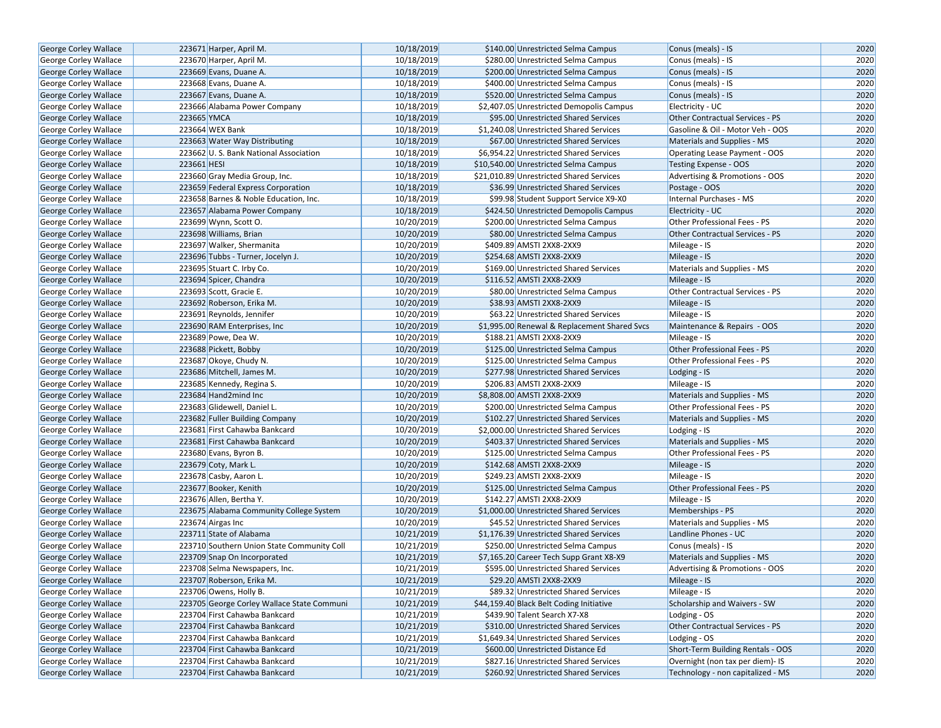| George Corley Wallace        | 223671 Harper, April M.                    | 10/18/2019 | \$140.00 Unrestricted Selma Campus           | Conus (meals) - IS                     | 2020 |
|------------------------------|--------------------------------------------|------------|----------------------------------------------|----------------------------------------|------|
| George Corley Wallace        | 223670 Harper, April M.                    | 10/18/2019 | \$280.00 Unrestricted Selma Campus           | Conus (meals) - IS                     | 2020 |
| George Corley Wallace        | 223669 Evans, Duane A.                     | 10/18/2019 | \$200.00 Unrestricted Selma Campus           | Conus (meals) - IS                     | 2020 |
| <b>George Corley Wallace</b> | 223668 Evans, Duane A.                     | 10/18/2019 | \$400.00 Unrestricted Selma Campus           | Conus (meals) - IS                     | 2020 |
| George Corley Wallace        | 223667 Evans, Duane A.                     | 10/18/2019 | \$520.00 Unrestricted Selma Campus           | Conus (meals) - IS                     | 2020 |
| George Corley Wallace        | 223666 Alabama Power Company               | 10/18/2019 | \$2,407.05 Unrestricted Demopolis Campus     | Electricity - UC                       | 2020 |
| George Corley Wallace        | 223665 YMCA                                | 10/18/2019 | \$95.00 Unrestricted Shared Services         | Other Contractual Services - PS        | 2020 |
| <b>George Corley Wallace</b> | 223664 WEX Bank                            | 10/18/2019 | \$1,240.08 Unrestricted Shared Services      | Gasoline & Oil - Motor Veh - OOS       | 2020 |
| <b>George Corley Wallace</b> | 223663 Water Way Distributing              | 10/18/2019 | \$67.00 Unrestricted Shared Services         | Materials and Supplies - MS            | 2020 |
| George Corley Wallace        | 223662 U.S. Bank National Association      | 10/18/2019 | \$6,954.22 Unrestricted Shared Services      | Operating Lease Payment - OOS          | 2020 |
| George Corley Wallace        | 223661 HESI                                | 10/18/2019 | \$10,540.00 Unrestricted Selma Campus        | Testing Expense - OOS                  | 2020 |
| George Corley Wallace        | 223660 Gray Media Group, Inc.              | 10/18/2019 | \$21,010.89 Unrestricted Shared Services     | Advertising & Promotions - OOS         | 2020 |
| <b>George Corley Wallace</b> | 223659 Federal Express Corporation         | 10/18/2019 | \$36.99 Unrestricted Shared Services         | Postage - OOS                          | 2020 |
| George Corley Wallace        | 223658 Barnes & Noble Education, Inc.      | 10/18/2019 | \$99.98 Student Support Service X9-X0        | Internal Purchases - MS                | 2020 |
| <b>George Corley Wallace</b> | 223657 Alabama Power Company               | 10/18/2019 | \$424.50 Unrestricted Demopolis Campus       | Electricity - UC                       | 2020 |
| George Corley Wallace        | 223699 Wynn, Scott O.                      | 10/20/2019 | \$200.00 Unrestricted Selma Campus           | Other Professional Fees - PS           | 2020 |
| George Corley Wallace        | 223698 Williams, Brian                     | 10/20/2019 | \$80.00 Unrestricted Selma Campus            | <b>Other Contractual Services - PS</b> | 2020 |
| George Corley Wallace        | 223697 Walker, Shermanita                  | 10/20/2019 | \$409.89 AMSTI 2XX8-2XX9                     | Mileage - IS                           | 2020 |
| George Corley Wallace        | 223696 Tubbs - Turner, Jocelyn J.          | 10/20/2019 | \$254.68 AMSTI 2XX8-2XX9                     | Mileage - IS                           | 2020 |
| George Corley Wallace        | 223695 Stuart C. Irby Co.                  | 10/20/2019 | \$169.00 Unrestricted Shared Services        | Materials and Supplies - MS            | 2020 |
| George Corley Wallace        | 223694 Spicer, Chandra                     | 10/20/2019 | \$116.52 AMSTI 2XX8-2XX9                     | Mileage - IS                           | 2020 |
| George Corley Wallace        | 223693 Scott, Gracie E.                    | 10/20/2019 | \$80.00 Unrestricted Selma Campus            | Other Contractual Services - PS        | 2020 |
| George Corley Wallace        | 223692 Roberson, Erika M.                  | 10/20/2019 | \$38.93 AMSTI 2XX8-2XX9                      | Mileage - IS                           | 2020 |
| George Corley Wallace        | 223691 Reynolds, Jennifer                  | 10/20/2019 | \$63.22 Unrestricted Shared Services         | Mileage - IS                           | 2020 |
| <b>George Corley Wallace</b> | 223690 RAM Enterprises, Inc.               | 10/20/2019 | \$1,995.00 Renewal & Replacement Shared Svcs | Maintenance & Repairs - OOS            | 2020 |
| George Corley Wallace        | 223689 Powe, Dea W.                        | 10/20/2019 | \$188.21 AMSTI 2XX8-2XX9                     | Mileage - IS                           | 2020 |
| George Corley Wallace        | 223688 Pickett, Bobby                      | 10/20/2019 | \$125.00 Unrestricted Selma Campus           | Other Professional Fees - PS           | 2020 |
| George Corley Wallace        | 223687 Okoye, Chudy N.                     | 10/20/2019 | \$125.00 Unrestricted Selma Campus           | Other Professional Fees - PS           | 2020 |
| George Corley Wallace        | 223686 Mitchell, James M.                  | 10/20/2019 | \$277.98 Unrestricted Shared Services        | Lodging - IS                           | 2020 |
| George Corley Wallace        | 223685 Kennedy, Regina S.                  | 10/20/2019 | \$206.83 AMSTI 2XX8-2XX9                     | Mileage - IS                           | 2020 |
| George Corley Wallace        | 223684 Hand2mind Inc                       | 10/20/2019 | \$8,808.00 AMSTI 2XX8-2XX9                   | Materials and Supplies - MS            | 2020 |
| George Corley Wallace        | 223683 Glidewell, Daniel L.                | 10/20/2019 | \$200.00 Unrestricted Selma Campus           | Other Professional Fees - PS           | 2020 |
| George Corley Wallace        | 223682 Fuller Building Company             | 10/20/2019 | \$102.27 Unrestricted Shared Services        | Materials and Supplies - MS            | 2020 |
| George Corley Wallace        | 223681 First Cahawba Bankcard              | 10/20/2019 | \$2,000.00 Unrestricted Shared Services      | Lodging - IS                           | 2020 |
| George Corley Wallace        | 223681 First Cahawba Bankcard              | 10/20/2019 | \$403.37 Unrestricted Shared Services        | Materials and Supplies - MS            | 2020 |
| <b>George Corley Wallace</b> | 223680 Evans, Byron B.                     | 10/20/2019 | \$125.00 Unrestricted Selma Campus           | Other Professional Fees - PS           | 2020 |
| George Corley Wallace        | 223679 Coty, Mark L.                       | 10/20/2019 | \$142.68 AMSTI 2XX8-2XX9                     | Mileage - IS                           | 2020 |
| George Corley Wallace        | 223678 Casby, Aaron L.                     | 10/20/2019 | \$249.23 AMSTI 2XX8-2XX9                     | Mileage - IS                           | 2020 |
| George Corley Wallace        | 223677 Booker, Kenith                      | 10/20/2019 | \$125.00 Unrestricted Selma Campus           | Other Professional Fees - PS           | 2020 |
| George Corley Wallace        | 223676 Allen, Bertha Y.                    | 10/20/2019 | \$142.27 AMSTI 2XX8-2XX9                     | Mileage - IS                           | 2020 |
| George Corley Wallace        | 223675 Alabama Community College System    | 10/20/2019 | \$1,000.00 Unrestricted Shared Services      | Memberships - PS                       | 2020 |
| George Corley Wallace        | 223674 Airgas Inc                          | 10/20/2019 | \$45.52 Unrestricted Shared Services         | Materials and Supplies - MS            | 2020 |
| George Corley Wallace        | 223711 State of Alabama                    | 10/21/2019 | \$1,176.39 Unrestricted Shared Services      | Landline Phones - UC                   | 2020 |
| George Corley Wallace        | 223710 Southern Union State Community Coll | 10/21/2019 | \$250.00 Unrestricted Selma Campus           | Conus (meals) - IS                     | 2020 |
| George Corley Wallace        | 223709 Snap On Incorporated                | 10/21/2019 | \$7,165.20 Career Tech Supp Grant X8-X9      | Materials and Supplies - MS            | 2020 |
| George Corley Wallace        | 223708 Selma Newspapers, Inc.              | 10/21/2019 | \$595.00 Unrestricted Shared Services        | Advertising & Promotions - OOS         | 2020 |
| George Corley Wallace        | 223707 Roberson, Erika M.                  | 10/21/2019 | \$29.20 AMSTI 2XX8-2XX9                      | Mileage - IS                           | 2020 |
| George Corley Wallace        | 223706 Owens, Holly B.                     | 10/21/2019 | \$89.32 Unrestricted Shared Services         | Mileage - IS                           | 2020 |
| George Corley Wallace        | 223705 George Corley Wallace State Communi | 10/21/2019 | \$44,159.40 Black Belt Coding Initiative     | Scholarship and Waivers - SW           | 2020 |
| George Corley Wallace        | 223704 First Cahawba Bankcard              | 10/21/2019 | \$439.90 Talent Search X7-X8                 | Lodging - OS                           | 2020 |
| <b>George Corley Wallace</b> | 223704 First Cahawba Bankcard              | 10/21/2019 | \$310.00 Unrestricted Shared Services        | Other Contractual Services - PS        | 2020 |
| George Corley Wallace        | 223704 First Cahawba Bankcard              | 10/21/2019 | \$1,649.34 Unrestricted Shared Services      | Lodging - OS                           | 2020 |
|                              | 223704 First Cahawba Bankcard              | 10/21/2019 | \$600.00 Unrestricted Distance Ed            | Short-Term Building Rentals - OOS      | 2020 |
| George Corley Wallace        |                                            |            | \$827.16 Unrestricted Shared Services        |                                        |      |
| George Corley Wallace        | 223704 First Cahawba Bankcard              | 10/21/2019 |                                              | Overnight (non tax per diem)- IS       | 2020 |
| George Corley Wallace        | 223704 First Cahawba Bankcard              | 10/21/2019 | \$260.92 Unrestricted Shared Services        | Technology - non capitalized - MS      | 2020 |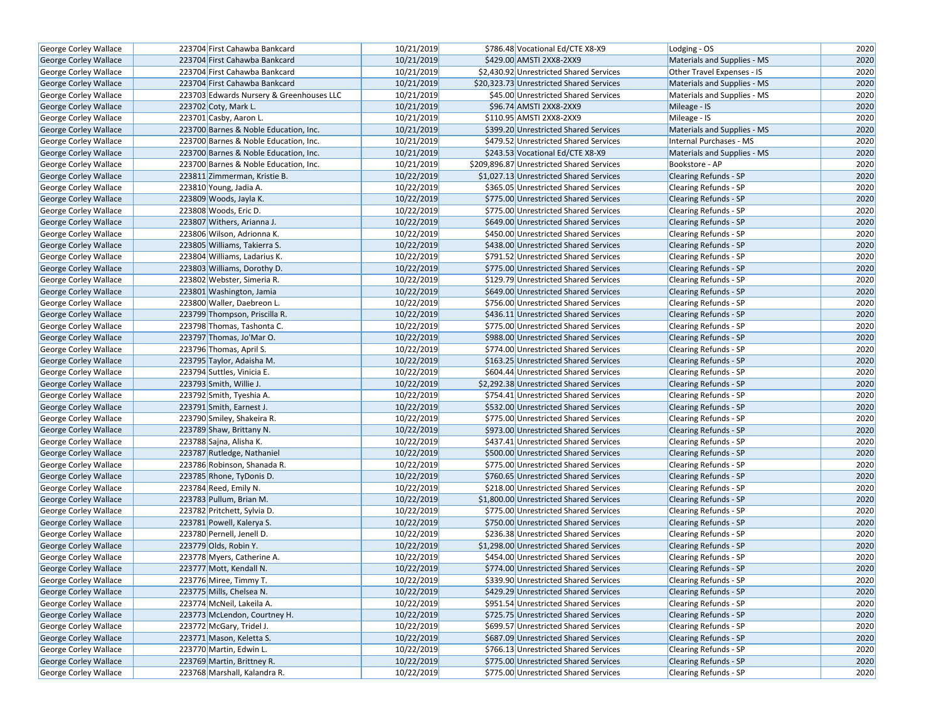| George Corley Wallace                          | 223704 First Cahawba Bankcard                         | 10/21/2019 | \$786.48 Vocational Ed/CTE X8-X9                                               | Lodging - OS                                          | 2020 |
|------------------------------------------------|-------------------------------------------------------|------------|--------------------------------------------------------------------------------|-------------------------------------------------------|------|
| <b>George Corley Wallace</b>                   | 223704 First Cahawba Bankcard                         | 10/21/2019 | \$429.00 AMSTI 2XX8-2XX9                                                       | Materials and Supplies - MS                           | 2020 |
| George Corley Wallace                          | 223704 First Cahawba Bankcard                         | 10/21/2019 | \$2,430.92 Unrestricted Shared Services                                        | Other Travel Expenses - IS                            | 2020 |
| George Corley Wallace                          | 223704 First Cahawba Bankcard                         | 10/21/2019 | \$20,323.73 Unrestricted Shared Services                                       | Materials and Supplies - MS                           | 2020 |
| George Corley Wallace                          | 223703 Edwards Nursery & Greenhouses LLC              | 10/21/2019 | \$45.00 Unrestricted Shared Services                                           | Materials and Supplies - MS                           | 2020 |
| <b>George Corley Wallace</b>                   | 223702 Coty, Mark L.                                  | 10/21/2019 | \$96.74 AMSTI 2XX8-2XX9                                                        | Mileage - IS                                          | 2020 |
| George Corley Wallace                          | 223701 Casby, Aaron L.                                | 10/21/2019 | \$110.95 AMSTI 2XX8-2XX9                                                       | Mileage - IS                                          | 2020 |
| <b>George Corley Wallace</b>                   | 223700 Barnes & Noble Education, Inc.                 | 10/21/2019 | \$399.20 Unrestricted Shared Services                                          | <b>Materials and Supplies - MS</b>                    | 2020 |
| George Corley Wallace                          | 223700 Barnes & Noble Education, Inc.                 | 10/21/2019 | \$479.52 Unrestricted Shared Services                                          | Internal Purchases - MS                               | 2020 |
| George Corley Wallace                          | 223700 Barnes & Noble Education, Inc.                 | 10/21/2019 | \$243.53 Vocational Ed/CTE X8-X9                                               | Materials and Supplies - MS                           | 2020 |
| George Corley Wallace                          | 223700 Barnes & Noble Education, Inc.                 | 10/21/2019 | \$209,896.87 Unrestricted Shared Services                                      | Bookstore - AP                                        | 2020 |
| George Corley Wallace                          | 223811 Zimmerman, Kristie B.                          | 10/22/2019 | \$1,027.13 Unrestricted Shared Services                                        | <b>Clearing Refunds - SP</b>                          | 2020 |
| <b>George Corley Wallace</b>                   | 223810 Young, Jadia A.                                | 10/22/2019 | \$365.05 Unrestricted Shared Services                                          | <b>Clearing Refunds - SP</b>                          | 2020 |
| <b>George Corley Wallace</b>                   | 223809 Woods, Jayla K.                                | 10/22/2019 | \$775.00 Unrestricted Shared Services                                          | <b>Clearing Refunds - SP</b>                          | 2020 |
| <b>George Corley Wallace</b>                   | 223808 Woods, Eric D.                                 | 10/22/2019 | \$775.00 Unrestricted Shared Services                                          | Clearing Refunds - SP                                 | 2020 |
| George Corley Wallace                          | 223807 Withers, Arianna J.                            | 10/22/2019 | \$649.00 Unrestricted Shared Services                                          | <b>Clearing Refunds - SP</b>                          | 2020 |
| George Corley Wallace                          | 223806 Wilson, Adrionna K.                            | 10/22/2019 | \$450.00 Unrestricted Shared Services                                          | Clearing Refunds - SP                                 | 2020 |
| George Corley Wallace                          | 223805 Williams, Takierra S.                          | 10/22/2019 | \$438.00 Unrestricted Shared Services                                          | <b>Clearing Refunds - SP</b>                          | 2020 |
| George Corley Wallace                          | 223804 Williams, Ladarius K.                          | 10/22/2019 | \$791.52 Unrestricted Shared Services                                          | Clearing Refunds - SP                                 | 2020 |
| George Corley Wallace                          | 223803 Williams, Dorothy D.                           | 10/22/2019 | \$775.00 Unrestricted Shared Services                                          | <b>Clearing Refunds - SP</b>                          | 2020 |
| George Corley Wallace                          | 223802 Webster, Simeria R.                            | 10/22/2019 | \$129.79 Unrestricted Shared Services                                          | <b>Clearing Refunds - SP</b>                          | 2020 |
| George Corley Wallace                          | 223801 Washington, Jamia                              | 10/22/2019 | \$649.00 Unrestricted Shared Services                                          | <b>Clearing Refunds - SP</b>                          | 2020 |
| George Corley Wallace                          | 223800 Waller, Daebreon L.                            | 10/22/2019 | \$756.00 Unrestricted Shared Services                                          | Clearing Refunds - SP                                 | 2020 |
| George Corley Wallace                          | 223799 Thompson, Priscilla R.                         | 10/22/2019 | \$436.11 Unrestricted Shared Services                                          | Clearing Refunds - SP                                 | 2020 |
| <b>George Corley Wallace</b>                   | 223798 Thomas, Tashonta C.                            | 10/22/2019 | \$775.00 Unrestricted Shared Services                                          | <b>Clearing Refunds - SP</b>                          | 2020 |
| George Corley Wallace                          | 223797 Thomas, Jo'Mar O.                              | 10/22/2019 | \$988.00 Unrestricted Shared Services                                          | <b>Clearing Refunds - SP</b>                          | 2020 |
| George Corley Wallace                          | 223796 Thomas, April S.                               | 10/22/2019 | \$774.00 Unrestricted Shared Services                                          | <b>Clearing Refunds - SP</b>                          | 2020 |
| George Corley Wallace                          | 223795 Taylor, Adaisha M.                             | 10/22/2019 | \$163.25 Unrestricted Shared Services                                          | Clearing Refunds - SP                                 | 2020 |
| George Corley Wallace                          | 223794 Suttles, Vinicia E.                            | 10/22/2019 | \$604.44 Unrestricted Shared Services                                          | <b>Clearing Refunds - SP</b>                          | 2020 |
| George Corley Wallace                          | 223793 Smith, Willie J.                               | 10/22/2019 | \$2,292.38 Unrestricted Shared Services                                        | <b>Clearing Refunds - SP</b>                          | 2020 |
| George Corley Wallace                          | 223792 Smith, Tyeshia A.                              | 10/22/2019 | \$754.41 Unrestricted Shared Services                                          | Clearing Refunds - SP                                 | 2020 |
| George Corley Wallace                          | 223791 Smith, Earnest J.                              | 10/22/2019 | \$532.00 Unrestricted Shared Services                                          | Clearing Refunds - SP                                 | 2020 |
| George Corley Wallace                          | 223790 Smiley, Shakeira R.                            | 10/22/2019 | \$775.00 Unrestricted Shared Services                                          | <b>Clearing Refunds - SP</b>                          | 2020 |
| <b>George Corley Wallace</b>                   | 223789 Shaw, Brittany N.                              | 10/22/2019 | \$973.00 Unrestricted Shared Services                                          | <b>Clearing Refunds - SP</b>                          | 2020 |
| George Corley Wallace                          | 223788 Sajna, Alisha K.                               | 10/22/2019 | \$437.41 Unrestricted Shared Services                                          | Clearing Refunds - SP                                 | 2020 |
| George Corley Wallace                          | 223787 Rutledge, Nathaniel                            | 10/22/2019 | \$500.00 Unrestricted Shared Services                                          | <b>Clearing Refunds - SP</b>                          | 2020 |
| George Corley Wallace                          | 223786 Robinson, Shanada R.                           | 10/22/2019 | \$775.00 Unrestricted Shared Services                                          | Clearing Refunds - SP                                 | 2020 |
| <b>George Corley Wallace</b>                   | 223785 Rhone, TyDonis D.                              | 10/22/2019 | \$760.65 Unrestricted Shared Services                                          | <b>Clearing Refunds - SP</b>                          | 2020 |
| George Corley Wallace                          | 223784 Reed, Emily N.                                 | 10/22/2019 | \$218.00 Unrestricted Shared Services                                          | Clearing Refunds - SP                                 | 2020 |
| George Corley Wallace                          | 223783 Pullum, Brian M.                               | 10/22/2019 | \$1,800.00 Unrestricted Shared Services                                        | <b>Clearing Refunds - SP</b>                          | 2020 |
|                                                | 223782 Pritchett, Sylvia D.                           | 10/22/2019 | \$775.00 Unrestricted Shared Services                                          | Clearing Refunds - SP                                 | 2020 |
| George Corley Wallace<br>George Corley Wallace | 223781 Powell, Kalerya S.                             | 10/22/2019 | \$750.00 Unrestricted Shared Services                                          | <b>Clearing Refunds - SP</b>                          | 2020 |
| George Corley Wallace                          | 223780 Pernell, Jenell D.                             | 10/22/2019 | \$236.38 Unrestricted Shared Services                                          | Clearing Refunds - SP                                 | 2020 |
| George Corley Wallace                          | 223779 Olds, Robin Y.                                 | 10/22/2019 | \$1,298.00 Unrestricted Shared Services                                        | Clearing Refunds - SP                                 | 2020 |
| George Corley Wallace                          |                                                       | 10/22/2019 | \$454.00 Unrestricted Shared Services                                          |                                                       | 2020 |
|                                                | 223778 Myers, Catherine A.<br>223777 Mott, Kendall N. | 10/22/2019 | \$774.00 Unrestricted Shared Services                                          | Clearing Refunds - SP<br><b>Clearing Refunds - SP</b> | 2020 |
| George Corley Wallace                          | 223776 Miree, Timmy T.                                | 10/22/2019 |                                                                                | Clearing Refunds - SP                                 | 2020 |
| George Corley Wallace<br>George Corley Wallace | 223775 Mills, Chelsea N.                              | 10/22/2019 | \$339.90 Unrestricted Shared Services<br>\$429.29 Unrestricted Shared Services | Clearing Refunds - SP                                 | 2020 |
| George Corley Wallace                          | 223774 McNeil, Lakeila A.                             | 10/22/2019 | \$951.54 Unrestricted Shared Services                                          | Clearing Refunds - SP                                 |      |
|                                                |                                                       |            |                                                                                |                                                       | 2020 |
| George Corley Wallace                          | 223773 McLendon, Courtney H.                          | 10/22/2019 | \$725.75 Unrestricted Shared Services                                          | <b>Clearing Refunds - SP</b>                          | 2020 |
| George Corley Wallace                          | 223772 McGary, Tridel J.                              | 10/22/2019 | \$699.57 Unrestricted Shared Services                                          | Clearing Refunds - SP                                 | 2020 |
| George Corley Wallace                          | 223771 Mason, Keletta S.                              | 10/22/2019 | \$687.09 Unrestricted Shared Services                                          | Clearing Refunds - SP                                 | 2020 |
| George Corley Wallace                          | 223770 Martin, Edwin L.                               | 10/22/2019 | \$766.13 Unrestricted Shared Services                                          | Clearing Refunds - SP                                 | 2020 |
| George Corley Wallace                          | 223769 Martin, Brittney R.                            | 10/22/2019 | \$775.00 Unrestricted Shared Services                                          | <b>Clearing Refunds - SP</b>                          | 2020 |
| George Corley Wallace                          | 223768 Marshall, Kalandra R.                          | 10/22/2019 | \$775.00 Unrestricted Shared Services                                          | Clearing Refunds - SP                                 | 2020 |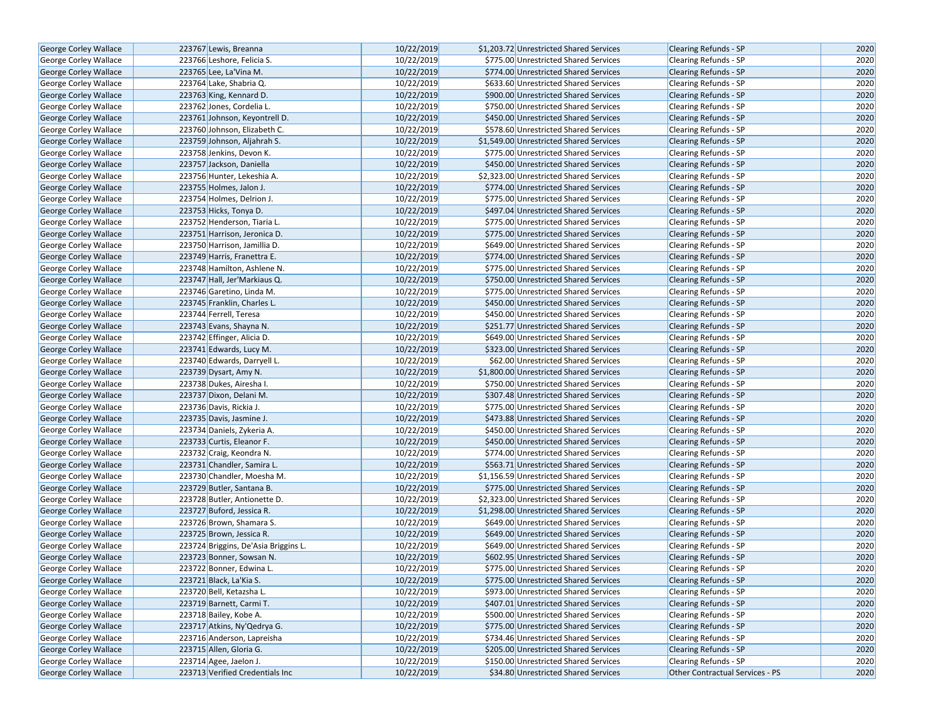| George Corley Wallace        | 223767 Lewis, Breanna                | 10/22/2019 | \$1,203.72 Unrestricted Shared Services | <b>Clearing Refunds - SP</b>    | 2020 |
|------------------------------|--------------------------------------|------------|-----------------------------------------|---------------------------------|------|
| <b>George Corley Wallace</b> | 223766 Leshore, Felicia S.           | 10/22/2019 | \$775.00 Unrestricted Shared Services   | <b>Clearing Refunds - SP</b>    | 2020 |
| <b>George Corley Wallace</b> | 223765 Lee, La'Vina M.               | 10/22/2019 | \$774.00 Unrestricted Shared Services   | <b>Clearing Refunds - SP</b>    | 2020 |
| George Corley Wallace        | 223764 Lake, Shabria Q.              | 10/22/2019 | \$633.60 Unrestricted Shared Services   | <b>Clearing Refunds - SP</b>    | 2020 |
| George Corley Wallace        | 223763 King, Kennard D.              | 10/22/2019 | \$900.00 Unrestricted Shared Services   | Clearing Refunds - SP           | 2020 |
| George Corley Wallace        | 223762 Jones, Cordelia L.            | 10/22/2019 | \$750.00 Unrestricted Shared Services   | Clearing Refunds - SP           | 2020 |
| George Corley Wallace        | 223761 Johnson, Keyontrell D.        | 10/22/2019 | \$450.00 Unrestricted Shared Services   | <b>Clearing Refunds - SP</b>    | 2020 |
| <b>George Corley Wallace</b> | 223760 Johnson, Elizabeth C.         | 10/22/2019 | \$578.60 Unrestricted Shared Services   | <b>Clearing Refunds - SP</b>    | 2020 |
| <b>George Corley Wallace</b> | 223759 Johnson, Aljahrah S.          | 10/22/2019 | \$1,549.00 Unrestricted Shared Services | <b>Clearing Refunds - SP</b>    | 2020 |
| George Corley Wallace        | 223758 Jenkins, Devon K.             | 10/22/2019 | \$775.00 Unrestricted Shared Services   | Clearing Refunds - SP           | 2020 |
| George Corley Wallace        | 223757 Jackson, Daniella             | 10/22/2019 | \$450.00 Unrestricted Shared Services   | Clearing Refunds - SP           | 2020 |
| George Corley Wallace        | 223756 Hunter, Lekeshia A.           | 10/22/2019 | \$2,323.00 Unrestricted Shared Services | <b>Clearing Refunds - SP</b>    | 2020 |
| <b>George Corley Wallace</b> | 223755 Holmes, Jalon J.              | 10/22/2019 | \$774.00 Unrestricted Shared Services   | <b>Clearing Refunds - SP</b>    | 2020 |
| <b>George Corley Wallace</b> | 223754 Holmes, Delrion J.            | 10/22/2019 | \$775.00 Unrestricted Shared Services   | Clearing Refunds - SP           | 2020 |
| <b>George Corley Wallace</b> | 223753 Hicks, Tonya D.               | 10/22/2019 | \$497.04 Unrestricted Shared Services   | <b>Clearing Refunds - SP</b>    | 2020 |
| <b>George Corley Wallace</b> | 223752 Henderson, Tiaria L.          | 10/22/2019 | \$775.00 Unrestricted Shared Services   | <b>Clearing Refunds - SP</b>    | 2020 |
| George Corley Wallace        | 223751 Harrison, Jeronica D.         | 10/22/2019 | \$775.00 Unrestricted Shared Services   | <b>Clearing Refunds - SP</b>    | 2020 |
| George Corley Wallace        | 223750 Harrison, Jamillia D.         | 10/22/2019 | \$649.00 Unrestricted Shared Services   | Clearing Refunds - SP           | 2020 |
| George Corley Wallace        | 223749 Harris, Franettra E.          | 10/22/2019 | \$774.00 Unrestricted Shared Services   | <b>Clearing Refunds - SP</b>    | 2020 |
| George Corley Wallace        | 223748 Hamilton, Ashlene N.          | 10/22/2019 | \$775.00 Unrestricted Shared Services   | <b>Clearing Refunds - SP</b>    | 2020 |
| <b>George Corley Wallace</b> | 223747 Hall, Jer'Markiaus Q.         | 10/22/2019 | \$750.00 Unrestricted Shared Services   | <b>Clearing Refunds - SP</b>    | 2020 |
| George Corley Wallace        | 223746 Garetino, Linda M.            | 10/22/2019 | \$775.00 Unrestricted Shared Services   | Clearing Refunds - SP           | 2020 |
| <b>George Corley Wallace</b> | 223745 Franklin, Charles L.          | 10/22/2019 | \$450.00 Unrestricted Shared Services   | <b>Clearing Refunds - SP</b>    | 2020 |
| George Corley Wallace        | 223744 Ferrell, Teresa               | 10/22/2019 | \$450.00 Unrestricted Shared Services   | Clearing Refunds - SP           | 2020 |
| George Corley Wallace        | 223743 Evans, Shayna N.              | 10/22/2019 | \$251.77 Unrestricted Shared Services   | <b>Clearing Refunds - SP</b>    | 2020 |
| George Corley Wallace        | 223742 Effinger, Alicia D.           | 10/22/2019 | \$649.00 Unrestricted Shared Services   | Clearing Refunds - SP           | 2020 |
| <b>George Corley Wallace</b> | 223741 Edwards, Lucy M.              | 10/22/2019 | \$323.00 Unrestricted Shared Services   | Clearing Refunds - SP           | 2020 |
| George Corley Wallace        | 223740 Edwards, Darryell L.          | 10/22/2019 | \$62.00 Unrestricted Shared Services    | Clearing Refunds - SP           | 2020 |
| George Corley Wallace        | 223739 Dysart, Amy N.                | 10/22/2019 | \$1,800.00 Unrestricted Shared Services | <b>Clearing Refunds - SP</b>    | 2020 |
| George Corley Wallace        | 223738 Dukes, Airesha I.             | 10/22/2019 | \$750.00 Unrestricted Shared Services   | Clearing Refunds - SP           | 2020 |
| George Corley Wallace        | 223737 Dixon, Delani M.              | 10/22/2019 | \$307.48 Unrestricted Shared Services   | <b>Clearing Refunds - SP</b>    | 2020 |
| George Corley Wallace        | 223736 Davis, Rickia J.              | 10/22/2019 | \$775.00 Unrestricted Shared Services   | <b>Clearing Refunds - SP</b>    | 2020 |
| George Corley Wallace        | 223735 Davis, Jasmine J.             | 10/22/2019 | \$473.88 Unrestricted Shared Services   | <b>Clearing Refunds - SP</b>    | 2020 |
| George Corley Wallace        | 223734 Daniels, Zykeria A.           | 10/22/2019 | \$450.00 Unrestricted Shared Services   | Clearing Refunds - SP           | 2020 |
| George Corley Wallace        | 223733 Curtis, Eleanor F.            | 10/22/2019 | \$450.00 Unrestricted Shared Services   | <b>Clearing Refunds - SP</b>    | 2020 |
| George Corley Wallace        | 223732 Craig, Keondra N.             | 10/22/2019 | \$774.00 Unrestricted Shared Services   | Clearing Refunds - SP           | 2020 |
| <b>George Corley Wallace</b> | 223731 Chandler, Samira L.           | 10/22/2019 | \$563.71 Unrestricted Shared Services   | <b>Clearing Refunds - SP</b>    | 2020 |
| George Corley Wallace        | 223730 Chandler, Moesha M.           | 10/22/2019 | \$1,156.59 Unrestricted Shared Services | Clearing Refunds - SP           | 2020 |
| George Corley Wallace        | 223729 Butler, Santana B.            | 10/22/2019 | \$775.00 Unrestricted Shared Services   | <b>Clearing Refunds - SP</b>    | 2020 |
| George Corley Wallace        | 223728 Butler, Antionette D.         | 10/22/2019 | \$2,323.00 Unrestricted Shared Services | Clearing Refunds - SP           | 2020 |
| <b>George Corley Wallace</b> | 223727 Buford, Jessica R.            | 10/22/2019 | \$1,298.00 Unrestricted Shared Services | <b>Clearing Refunds - SP</b>    | 2020 |
| George Corley Wallace        | 223726 Brown, Shamara S.             | 10/22/2019 | \$649.00 Unrestricted Shared Services   | Clearing Refunds - SP           | 2020 |
| George Corley Wallace        | 223725 Brown, Jessica R.             | 10/22/2019 | \$649.00 Unrestricted Shared Services   | <b>Clearing Refunds - SP</b>    | 2020 |
| George Corley Wallace        | 223724 Briggins, De'Asia Briggins L. | 10/22/2019 | \$649.00 Unrestricted Shared Services   | Clearing Refunds - SP           | 2020 |
| <b>George Corley Wallace</b> | 223723 Bonner, Sowsan N.             | 10/22/2019 | \$602.95 Unrestricted Shared Services   | <b>Clearing Refunds - SP</b>    | 2020 |
| George Corley Wallace        | 223722 Bonner, Edwina L.             | 10/22/2019 | \$775.00 Unrestricted Shared Services   | <b>Clearing Refunds - SP</b>    | 2020 |
| George Corley Wallace        | 223721 Black, La'Kia S.              | 10/22/2019 | \$775.00 Unrestricted Shared Services   | Clearing Refunds - SP           | 2020 |
| <b>George Corley Wallace</b> | 223720 Bell, Ketazsha L.             | 10/22/2019 | \$973.00 Unrestricted Shared Services   | Clearing Refunds - SP           | 2020 |
| George Corley Wallace        | 223719 Barnett, Carmi T.             | 10/22/2019 | \$407.01 Unrestricted Shared Services   | Clearing Refunds - SP           | 2020 |
| <b>George Corley Wallace</b> | 223718 Bailey, Kobe A.               | 10/22/2019 | \$500.00 Unrestricted Shared Services   | <b>Clearing Refunds - SP</b>    | 2020 |
| George Corley Wallace        | 223717 Atkins, Ny'Qedrya G.          | 10/22/2019 | \$775.00 Unrestricted Shared Services   | Clearing Refunds - SP           | 2020 |
| <b>George Corley Wallace</b> | 223716 Anderson, Lapreisha           | 10/22/2019 | \$734.46 Unrestricted Shared Services   | <b>Clearing Refunds - SP</b>    | 2020 |
| George Corley Wallace        | 223715 Allen, Gloria G.              | 10/22/2019 | \$205.00 Unrestricted Shared Services   | Clearing Refunds - SP           | 2020 |
| George Corley Wallace        | 223714 Agee, Jaelon J.               | 10/22/2019 | \$150.00 Unrestricted Shared Services   | Clearing Refunds - SP           | 2020 |
| George Corley Wallace        | 223713 Verified Credentials Inc      | 10/22/2019 | \$34.80 Unrestricted Shared Services    | Other Contractual Services - PS | 2020 |
|                              |                                      |            |                                         |                                 |      |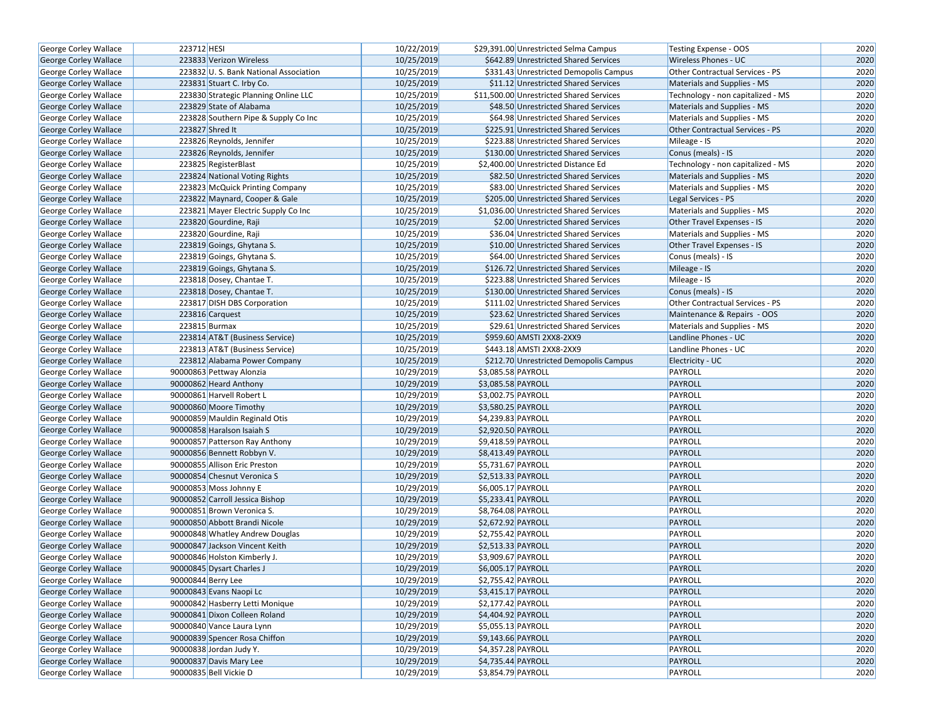| George Corley Wallace        | 223712 HESI                           | 10/22/2019 | \$29,391.00 Unrestricted Selma Campus    | Testing Expense - OOS                  | 2020 |
|------------------------------|---------------------------------------|------------|------------------------------------------|----------------------------------------|------|
| <b>George Corley Wallace</b> | 223833 Verizon Wireless               | 10/25/2019 | \$642.89 Unrestricted Shared Services    | Wireless Phones - UC                   | 2020 |
| George Corley Wallace        | 223832 U.S. Bank National Association | 10/25/2019 | \$331.43 Unrestricted Demopolis Campus   | <b>Other Contractual Services - PS</b> | 2020 |
| George Corley Wallace        | 223831 Stuart C. Irby Co.             | 10/25/2019 | \$11.12 Unrestricted Shared Services     | Materials and Supplies - MS            | 2020 |
| George Corley Wallace        | 223830 Strategic Planning Online LLC  | 10/25/2019 | \$11,500.00 Unrestricted Shared Services | Technology - non capitalized - MS      | 2020 |
| George Corley Wallace        | 223829 State of Alabama               | 10/25/2019 | \$48.50 Unrestricted Shared Services     | Materials and Supplies - MS            | 2020 |
| George Corley Wallace        | 223828 Southern Pipe & Supply Co Inc  | 10/25/2019 | \$64.98 Unrestricted Shared Services     | Materials and Supplies - MS            | 2020 |
| <b>George Corley Wallace</b> | 223827 Shred It                       | 10/25/2019 | \$225.91 Unrestricted Shared Services    | <b>Other Contractual Services - PS</b> | 2020 |
| George Corley Wallace        | 223826 Reynolds, Jennifer             | 10/25/2019 | \$223.88 Unrestricted Shared Services    | Mileage - IS                           | 2020 |
| George Corley Wallace        | 223826 Reynolds, Jennifer             | 10/25/2019 | \$130.00 Unrestricted Shared Services    | Conus (meals) - IS                     | 2020 |
| George Corley Wallace        | 223825 RegisterBlast                  | 10/25/2019 | \$2,400.00 Unrestricted Distance Ed      | Technology - non capitalized - MS      | 2020 |
| George Corley Wallace        | 223824 National Voting Rights         | 10/25/2019 | \$82.50 Unrestricted Shared Services     | <b>Materials and Supplies - MS</b>     | 2020 |
| George Corley Wallace        | 223823 McQuick Printing Company       | 10/25/2019 | \$83.00 Unrestricted Shared Services     | Materials and Supplies - MS            | 2020 |
| <b>George Corley Wallace</b> | 223822 Maynard, Cooper & Gale         | 10/25/2019 | \$205.00 Unrestricted Shared Services    | Legal Services - PS                    | 2020 |
| George Corley Wallace        | 223821 Mayer Electric Supply Co Inc   | 10/25/2019 | \$1,036.00 Unrestricted Shared Services  | Materials and Supplies - MS            | 2020 |
| George Corley Wallace        | 223820 Gourdine, Raji                 | 10/25/2019 | \$2.00 Unrestricted Shared Services      | Other Travel Expenses - IS             | 2020 |
| George Corley Wallace        | 223820 Gourdine, Raji                 | 10/25/2019 | \$36.04 Unrestricted Shared Services     | Materials and Supplies - MS            | 2020 |
| George Corley Wallace        | 223819 Goings, Ghytana S.             | 10/25/2019 | \$10.00 Unrestricted Shared Services     | Other Travel Expenses - IS             | 2020 |
| George Corley Wallace        | 223819 Goings, Ghytana S.             | 10/25/2019 | \$64.00 Unrestricted Shared Services     | Conus (meals) - IS                     | 2020 |
| George Corley Wallace        | 223819 Goings, Ghytana S.             | 10/25/2019 | \$126.72 Unrestricted Shared Services    | Mileage - IS                           | 2020 |
| <b>George Corley Wallace</b> | 223818 Dosey, Chantae T.              | 10/25/2019 | \$223.88 Unrestricted Shared Services    | Mileage - IS                           | 2020 |
| George Corley Wallace        | 223818 Dosey, Chantae T.              | 10/25/2019 | \$130.00 Unrestricted Shared Services    | Conus (meals) - IS                     | 2020 |
| George Corley Wallace        | 223817 DISH DBS Corporation           | 10/25/2019 | \$111.02 Unrestricted Shared Services    | Other Contractual Services - PS        | 2020 |
| <b>George Corley Wallace</b> | 223816 Carquest                       | 10/25/2019 | \$23.62 Unrestricted Shared Services     | Maintenance & Repairs - OOS            | 2020 |
| George Corley Wallace        | 223815 Burmax                         | 10/25/2019 | \$29.61 Unrestricted Shared Services     | Materials and Supplies - MS            | 2020 |
| <b>George Corley Wallace</b> | 223814 AT&T (Business Service)        | 10/25/2019 | \$959.60 AMSTI 2XX8-2XX9                 | Landline Phones - UC                   | 2020 |
| George Corley Wallace        | 223813 AT&T (Business Service)        | 10/25/2019 | \$443.18 AMSTI 2XX8-2XX9                 | Landline Phones - UC                   | 2020 |
| George Corley Wallace        | 223812 Alabama Power Company          | 10/25/2019 | \$212.70 Unrestricted Demopolis Campus   | Electricity - UC                       | 2020 |
| George Corley Wallace        | 90000863 Pettway Alonzia              | 10/29/2019 | \$3,085.58 PAYROLL                       | PAYROLL                                | 2020 |
| <b>George Corley Wallace</b> | 90000862 Heard Anthony                | 10/29/2019 | \$3,085.58 PAYROLL                       | PAYROLL                                | 2020 |
| <b>George Corley Wallace</b> | 90000861 Harvell Robert L             | 10/29/2019 | \$3,002.75 PAYROLL                       | PAYROLL                                | 2020 |
| George Corley Wallace        | 90000860 Moore Timothy                | 10/29/2019 | \$3,580.25 PAYROLL                       | PAYROLL                                | 2020 |
| George Corley Wallace        | 90000859 Mauldin Reginald Otis        | 10/29/2019 | \$4,239.83 PAYROLL                       | PAYROLL                                | 2020 |
| <b>George Corley Wallace</b> | 90000858 Haralson Isaiah S            | 10/29/2019 | \$2,920.50 PAYROLL                       | PAYROLL                                | 2020 |
| George Corley Wallace        | 90000857 Patterson Ray Anthony        | 10/29/2019 | \$9,418.59 PAYROLL                       | PAYROLL                                | 2020 |
| George Corley Wallace        | 90000856 Bennett Robbyn V.            | 10/29/2019 | \$8,413.49 PAYROLL                       | PAYROLL                                | 2020 |
| <b>George Corley Wallace</b> | 90000855 Allison Eric Preston         | 10/29/2019 | \$5,731.67 PAYROLL                       | PAYROLL                                | 2020 |
| George Corley Wallace        | 90000854 Chesnut Veronica S           | 10/29/2019 | \$2,513.33 PAYROLL                       | PAYROLL                                | 2020 |
| <b>George Corley Wallace</b> | 90000853 Moss Johnny E                | 10/29/2019 | \$6,005.17 PAYROLL                       | PAYROLL                                | 2020 |
| George Corley Wallace        | 90000852 Carroll Jessica Bishop       | 10/29/2019 | \$5,233.41 PAYROLL                       | PAYROLL                                | 2020 |
| <b>George Corley Wallace</b> | 90000851 Brown Veronica S.            | 10/29/2019 | \$8,764.08 PAYROLL                       | PAYROLL                                | 2020 |
| George Corley Wallace        | 90000850 Abbott Brandi Nicole         | 10/29/2019 | \$2,672.92 PAYROLL                       | PAYROLL                                | 2020 |
| George Corley Wallace        | 90000848 Whatley Andrew Douglas       | 10/29/2019 | \$2,755.42 PAYROLL                       | PAYROLL                                | 2020 |
| George Corley Wallace        | 90000847 Jackson Vincent Keith        | 10/29/2019 | \$2,513.33 PAYROLL                       | PAYROLL                                | 2020 |
| <b>George Corley Wallace</b> | 90000846 Holston Kimberly J.          | 10/29/2019 | \$3,909.67 PAYROLL                       | PAYROLL                                | 2020 |
| George Corley Wallace        | 90000845 Dysart Charles J             | 10/29/2019 | \$6,005.17 PAYROLL                       | PAYROLL                                | 2020 |
| George Corley Wallace        | 90000844 Berry Lee                    | 10/29/2019 | \$2,755.42 PAYROLL                       | PAYROLL                                | 2020 |
| George Corley Wallace        | 90000843 Evans Naopi Lc               | 10/29/2019 | \$3,415.17 PAYROLL                       | <b>PAYROLL</b>                         | 2020 |
| George Corley Wallace        | 90000842 Hasberry Letti Monique       | 10/29/2019 | \$2,177.42 PAYROLL                       | PAYROLL                                | 2020 |
| <b>George Corley Wallace</b> | 90000841 Dixon Colleen Roland         | 10/29/2019 | \$4,404.92 PAYROLL                       | PAYROLL                                | 2020 |
| George Corley Wallace        | 90000840 Vance Laura Lynn             | 10/29/2019 | \$5,055.13 PAYROLL                       | PAYROLL                                | 2020 |
| George Corley Wallace        | 90000839 Spencer Rosa Chiffon         | 10/29/2019 | \$9,143.66 PAYROLL                       | PAYROLL                                | 2020 |
| George Corley Wallace        | 90000838 Jordan Judy Y.               | 10/29/2019 | \$4,357.28 PAYROLL                       | PAYROLL                                | 2020 |
| George Corley Wallace        | 90000837 Davis Mary Lee               | 10/29/2019 | \$4,735.44 PAYROLL                       | PAYROLL                                | 2020 |
| George Corley Wallace        | 90000835 Bell Vickie D                | 10/29/2019 | \$3,854.79 PAYROLL                       | PAYROLL                                | 2020 |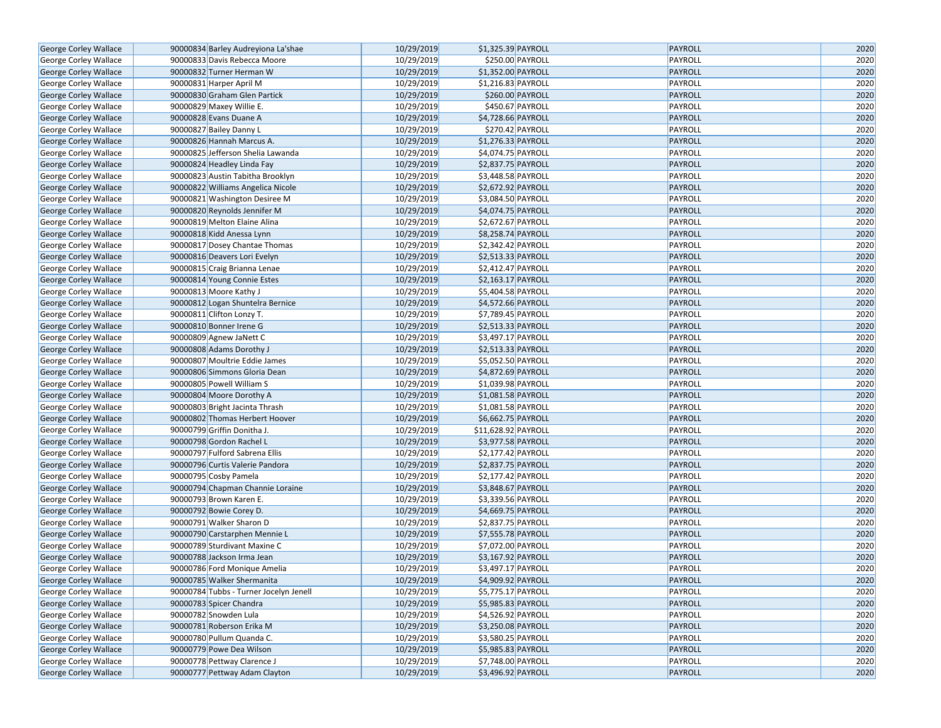| George Corley Wallace        | 90000834 Barley Audreyiona La'shae     | 10/29/2019 | \$1,325.39 PAYROLL  | PAYROLL        | 2020 |
|------------------------------|----------------------------------------|------------|---------------------|----------------|------|
| George Corley Wallace        | 90000833 Davis Rebecca Moore           | 10/29/2019 | \$250.00 PAYROLL    | PAYROLL        | 2020 |
| George Corley Wallace        | 90000832 Turner Herman W               | 10/29/2019 | \$1,352.00 PAYROLL  | PAYROLL        | 2020 |
| George Corley Wallace        | 90000831 Harper April M                | 10/29/2019 | \$1,216.83 PAYROLL  | PAYROLL        | 2020 |
| George Corley Wallace        | 90000830 Graham Glen Partick           | 10/29/2019 | \$260.00 PAYROLL    | PAYROLL        | 2020 |
| George Corley Wallace        | 90000829 Maxey Willie E.               | 10/29/2019 | \$450.67 PAYROLL    | PAYROLL        | 2020 |
| George Corley Wallace        | 90000828 Evans Duane A                 | 10/29/2019 | \$4,728.66 PAYROLL  | <b>PAYROLL</b> | 2020 |
| George Corley Wallace        | 90000827 Bailey Danny L                | 10/29/2019 | \$270.42 PAYROLL    | PAYROLL        | 2020 |
| George Corley Wallace        | 90000826 Hannah Marcus A.              | 10/29/2019 | \$1,276.33 PAYROLL  | PAYROLL        | 2020 |
| George Corley Wallace        | 90000825 Jefferson Shelia Lawanda      | 10/29/2019 | \$4,074.75 PAYROLL  | PAYROLL        | 2020 |
| George Corley Wallace        | 90000824 Headley Linda Fay             | 10/29/2019 | \$2,837.75 PAYROLL  | PAYROLL        | 2020 |
| George Corley Wallace        | 90000823 Austin Tabitha Brooklyn       | 10/29/2019 | \$3,448.58 PAYROLL  | PAYROLL        | 2020 |
| George Corley Wallace        | 90000822 Williams Angelica Nicole      | 10/29/2019 | \$2,672.92 PAYROLL  | PAYROLL        | 2020 |
| George Corley Wallace        | 90000821 Washington Desiree M          | 10/29/2019 | \$3,084.50 PAYROLL  | PAYROLL        | 2020 |
| George Corley Wallace        | 90000820 Reynolds Jennifer M           | 10/29/2019 | \$4,074.75 PAYROLL  | PAYROLL        | 2020 |
| George Corley Wallace        | 90000819 Melton Elaine Alina           | 10/29/2019 | \$2,672.67 PAYROLL  | PAYROLL        | 2020 |
| George Corley Wallace        | 90000818 Kidd Anessa Lynn              | 10/29/2019 | \$8,258.74 PAYROLL  | PAYROLL        | 2020 |
| George Corley Wallace        | 90000817 Dosey Chantae Thomas          | 10/29/2019 | \$2,342.42 PAYROLL  | PAYROLL        | 2020 |
| George Corley Wallace        | 90000816 Deavers Lori Evelyn           | 10/29/2019 | \$2,513.33 PAYROLL  | PAYROLL        | 2020 |
| George Corley Wallace        | 90000815 Craig Brianna Lenae           | 10/29/2019 | \$2,412.47 PAYROLL  | PAYROLL        | 2020 |
| George Corley Wallace        | 90000814 Young Connie Estes            | 10/29/2019 | \$2,163.17 PAYROLL  | PAYROLL        | 2020 |
| George Corley Wallace        | 90000813 Moore Kathy J                 | 10/29/2019 | \$5,404.58 PAYROLL  | PAYROLL        | 2020 |
| George Corley Wallace        | 90000812 Logan Shuntelra Bernice       | 10/29/2019 | \$4,572.66 PAYROLL  | PAYROLL        | 2020 |
| George Corley Wallace        | 90000811 Clifton Lonzy T.              | 10/29/2019 | $57,789.45$ PAYROLL | PAYROLL        | 2020 |
| <b>George Corley Wallace</b> | 90000810 Bonner Irene G                | 10/29/2019 | \$2,513.33 PAYROLL  | PAYROLL        | 2020 |
| George Corley Wallace        | 90000809 Agnew JaNett C                | 10/29/2019 | \$3,497.17 PAYROLL  | PAYROLL        | 2020 |
| George Corley Wallace        | 90000808 Adams Dorothy J               | 10/29/2019 | \$2,513.33 PAYROLL  | PAYROLL        | 2020 |
| George Corley Wallace        | 90000807 Moultrie Eddie James          | 10/29/2019 | \$5,052.50 PAYROLL  | PAYROLL        | 2020 |
| George Corley Wallace        | 90000806 Simmons Gloria Dean           | 10/29/2019 | \$4,872.69 PAYROLL  | PAYROLL        | 2020 |
| George Corley Wallace        | 90000805 Powell William S              | 10/29/2019 | \$1,039.98 PAYROLL  | PAYROLL        | 2020 |
| George Corley Wallace        | 90000804 Moore Dorothy A               | 10/29/2019 | \$1,081.58 PAYROLL  | PAYROLL        | 2020 |
| George Corley Wallace        | 90000803 Bright Jacinta Thrash         | 10/29/2019 | \$1,081.58 PAYROLL  | PAYROLL        | 2020 |
| George Corley Wallace        | 90000802 Thomas Herbert Hoover         | 10/29/2019 | \$6,662.75 PAYROLL  | PAYROLL        | 2020 |
| George Corley Wallace        | 90000799 Griffin Donitha J.            | 10/29/2019 | \$11,628.92 PAYROLL | PAYROLL        | 2020 |
| George Corley Wallace        | 90000798 Gordon Rachel L               | 10/29/2019 | \$3,977.58 PAYROLL  | PAYROLL        | 2020 |
| George Corley Wallace        | 90000797 Fulford Sabrena Ellis         | 10/29/2019 | \$2,177.42 PAYROLL  | PAYROLL        | 2020 |
| George Corley Wallace        | 90000796 Curtis Valerie Pandora        | 10/29/2019 | \$2,837.75 PAYROLL  | PAYROLL        | 2020 |
| George Corley Wallace        | 90000795 Cosby Pamela                  | 10/29/2019 | \$2,177.42 PAYROLL  | PAYROLL        | 2020 |
| George Corley Wallace        | 90000794 Chapman Channie Loraine       | 10/29/2019 | \$3,848.67 PAYROLL  | PAYROLL        | 2020 |
| George Corley Wallace        | 90000793 Brown Karen E.                | 10/29/2019 | \$3,339.56 PAYROLL  | PAYROLL        | 2020 |
| George Corley Wallace        | 90000792 Bowie Corey D.                | 10/29/2019 | \$4,669.75 PAYROLL  | PAYROLL        | 2020 |
| George Corley Wallace        | 90000791 Walker Sharon D               | 10/29/2019 | \$2,837.75 PAYROLL  | PAYROLL        | 2020 |
| George Corley Wallace        | 90000790 Carstarphen Mennie L          | 10/29/2019 | \$7,555.78 PAYROLL  | PAYROLL        | 2020 |
| George Corley Wallace        | 90000789 Sturdivant Maxine C           | 10/29/2019 | \$7,072.00 PAYROLL  | PAYROLL        | 2020 |
| George Corley Wallace        | 90000788 Jackson Irma Jean             | 10/29/2019 | \$3,167.92 PAYROLL  | PAYROLL        | 2020 |
| George Corley Wallace        | 90000786 Ford Monique Amelia           | 10/29/2019 | \$3,497.17 PAYROLL  | PAYROLL        | 2020 |
| <b>George Corley Wallace</b> | 90000785 Walker Shermanita             | 10/29/2019 | \$4,909.92 PAYROLL  | PAYROLL        | 2020 |
| George Corley Wallace        | 90000784 Tubbs - Turner Jocelyn Jenell | 10/29/2019 | \$5,775.17 PAYROLL  | PAYROLL        | 2020 |
| George Corley Wallace        | 90000783 Spicer Chandra                | 10/29/2019 | \$5,985.83 PAYROLL  | PAYROLL        | 2020 |
| George Corley Wallace        | 90000782 Snowden Lula                  | 10/29/2019 | \$4,526.92 PAYROLL  | PAYROLL        | 2020 |
| George Corley Wallace        | 90000781 Roberson Erika M              | 10/29/2019 | \$3,250.08 PAYROLL  | PAYROLL        | 2020 |
| George Corley Wallace        | 90000780 Pullum Quanda C.              | 10/29/2019 | \$3,580.25 PAYROLL  | PAYROLL        | 2020 |
| George Corley Wallace        | 90000779 Powe Dea Wilson               | 10/29/2019 | \$5,985.83 PAYROLL  | PAYROLL        | 2020 |
| George Corley Wallace        | 90000778 Pettway Clarence J            | 10/29/2019 | \$7,748.00 PAYROLL  | PAYROLL        | 2020 |
| <b>George Corley Wallace</b> | 90000777 Pettway Adam Clayton          | 10/29/2019 | \$3,496.92 PAYROLL  | PAYROLL        | 2020 |
|                              |                                        |            |                     |                |      |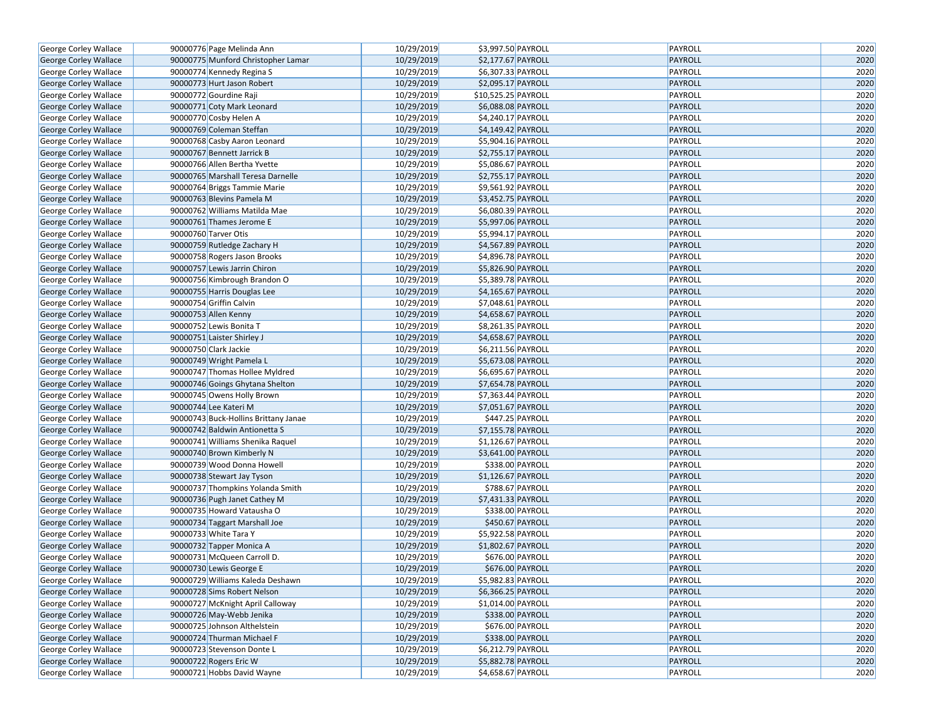| George Corley Wallace                          | 90000776 Page Melinda Ann                                     | 10/29/2019 | \$3,997.50 PAYROLL  | PAYROLL            | 2020         |
|------------------------------------------------|---------------------------------------------------------------|------------|---------------------|--------------------|--------------|
| George Corley Wallace                          | 90000775 Munford Christopher Lamar                            | 10/29/2019 | \$2,177.67 PAYROLL  | PAYROLL            | 2020         |
| George Corley Wallace                          | 90000774 Kennedy Regina S                                     | 10/29/2019 | \$6,307.33 PAYROLL  | PAYROLL            | 2020         |
| <b>George Corley Wallace</b>                   | 90000773 Hurt Jason Robert                                    | 10/29/2019 | \$2,095.17 PAYROLL  | PAYROLL            | 2020         |
| George Corley Wallace                          | 90000772 Gourdine Raji                                        | 10/29/2019 | \$10,525.25 PAYROLL | PAYROLL            | 2020         |
| George Corley Wallace                          | 90000771 Coty Mark Leonard                                    | 10/29/2019 | \$6,088.08 PAYROLL  | PAYROLL            | 2020         |
| George Corley Wallace                          | 90000770 Cosby Helen A                                        | 10/29/2019 | \$4,240.17 PAYROLL  | PAYROLL            | 2020         |
| <b>George Corley Wallace</b>                   | 90000769 Coleman Steffan                                      | 10/29/2019 | \$4,149.42 PAYROLL  | PAYROLL            | 2020         |
| George Corley Wallace                          | 90000768 Casby Aaron Leonard                                  | 10/29/2019 | \$5,904.16 PAYROLL  | PAYROLL            | 2020         |
| George Corley Wallace                          | 90000767 Bennett Jarrick B                                    | 10/29/2019 | \$2,755.17 PAYROLL  | PAYROLL            | 2020         |
| George Corley Wallace                          | 90000766 Allen Bertha Yvette                                  | 10/29/2019 | \$5,086.67 PAYROLL  | PAYROLL            | 2020         |
| George Corley Wallace                          | 90000765 Marshall Teresa Darnelle                             | 10/29/2019 | \$2,755.17 PAYROLL  | PAYROLL            | 2020         |
| George Corley Wallace                          | 90000764 Briggs Tammie Marie                                  | 10/29/2019 | \$9,561.92 PAYROLL  | PAYROLL            | 2020         |
| George Corley Wallace                          | 90000763 Blevins Pamela M                                     | 10/29/2019 | \$3,452.75 PAYROLL  | PAYROLL            | 2020         |
| George Corley Wallace                          | 90000762 Williams Matilda Mae                                 | 10/29/2019 | \$6,080.39 PAYROLL  | PAYROLL            | 2020         |
| George Corley Wallace                          | 90000761 Thames Jerome E                                      | 10/29/2019 | \$5,997.06 PAYROLL  | PAYROLL            | 2020         |
| George Corley Wallace                          | 90000760 Tarver Otis                                          | 10/29/2019 | \$5,994.17 PAYROLL  | PAYROLL            | 2020         |
| George Corley Wallace                          | 90000759 Rutledge Zachary H                                   | 10/29/2019 | \$4,567.89 PAYROLL  | PAYROLL            | 2020         |
| George Corley Wallace                          | 90000758 Rogers Jason Brooks                                  | 10/29/2019 | \$4,896.78 PAYROLL  | PAYROLL            | 2020         |
| George Corley Wallace                          | 90000757 Lewis Jarrin Chiron                                  | 10/29/2019 | \$5,826.90 PAYROLL  | PAYROLL            | 2020         |
| George Corley Wallace                          | 90000756 Kimbrough Brandon O                                  | 10/29/2019 | \$5,389.78 PAYROLL  | PAYROLL            | 2020         |
| George Corley Wallace                          | 90000755 Harris Douglas Lee                                   | 10/29/2019 | \$4,165.67 PAYROLL  | PAYROLL            | 2020         |
| George Corley Wallace                          | 90000754 Griffin Calvin                                       | 10/29/2019 | \$7,048.61 PAYROLL  | PAYROLL            | 2020         |
| George Corley Wallace                          | 90000753 Allen Kenny                                          | 10/29/2019 | \$4,658.67 PAYROLL  | PAYROLL            | 2020         |
| George Corley Wallace                          | 90000752 Lewis Bonita T                                       | 10/29/2019 | \$8,261.35 PAYROLL  | PAYROLL            | 2020         |
| George Corley Wallace                          | 90000751 Laister Shirley J                                    | 10/29/2019 | \$4,658.67 PAYROLL  | PAYROLL            | 2020         |
| George Corley Wallace                          | 90000750 Clark Jackie                                         | 10/29/2019 | \$6,211.56 PAYROLL  | PAYROLL            | 2020         |
|                                                | 90000749 Wright Pamela L                                      | 10/29/2019 | \$5,673.08 PAYROLL  | PAYROLL            | 2020         |
| George Corley Wallace<br>George Corley Wallace | 90000747 Thomas Hollee Myldred                                | 10/29/2019 | \$6,695.67 PAYROLL  | PAYROLL            | 2020         |
|                                                |                                                               | 10/29/2019 | \$7,654.78 PAYROLL  | PAYROLL            | 2020         |
| George Corley Wallace                          | 90000746 Goings Ghytana Shelton<br>90000745 Owens Holly Brown | 10/29/2019 | \$7,363.44 PAYROLL  | PAYROLL            | 2020         |
| George Corley Wallace                          |                                                               |            |                     |                    |              |
| George Corley Wallace                          | 90000744 Lee Kateri M                                         | 10/29/2019 | \$7,051.67 PAYROLL  | PAYROLL            | 2020<br>2020 |
| George Corley Wallace                          | 90000743 Buck-Hollins Brittany Janae                          | 10/29/2019 | \$447.25 PAYROLL    | PAYROLL            | 2020         |
| George Corley Wallace                          | 90000742 Baldwin Antionetta S                                 | 10/29/2019 | \$7,155.78 PAYROLL  | PAYROLL            |              |
| George Corley Wallace                          | 90000741 Williams Shenika Raquel<br>90000740 Brown Kimberly N | 10/29/2019 | \$1,126.67 PAYROLL  | PAYROLL<br>PAYROLL | 2020         |
| George Corley Wallace                          |                                                               | 10/29/2019 | \$3,641.00 PAYROLL  |                    | 2020<br>2020 |
| George Corley Wallace                          | 90000739 Wood Donna Howell                                    | 10/29/2019 | \$338.00 PAYROLL    | PAYROLL            |              |
| George Corley Wallace                          | 90000738 Stewart Jay Tyson                                    | 10/29/2019 | \$1,126.67 PAYROLL  | PAYROLL            | 2020         |
| George Corley Wallace                          | 90000737 Thompkins Yolanda Smith                              | 10/29/2019 | \$788.67 PAYROLL    | PAYROLL            | 2020         |
| George Corley Wallace                          | 90000736 Pugh Janet Cathey M                                  | 10/29/2019 | \$7,431.33 PAYROLL  | PAYROLL            | 2020         |
| George Corley Wallace                          | 90000735 Howard Vatausha O                                    | 10/29/2019 | \$338.00 PAYROLL    | PAYROLL            | 2020         |
| George Corley Wallace                          | 90000734 Taggart Marshall Joe                                 | 10/29/2019 | \$450.67 PAYROLL    | PAYROLL            | 2020         |
| George Corley Wallace                          | 90000733 White Tara Y                                         | 10/29/2019 | \$5,922.58 PAYROLL  | PAYROLL            | 2020         |
| George Corley Wallace                          | 90000732 Tapper Monica A                                      | 10/29/2019 | \$1,802.67 PAYROLL  | PAYROLL            | 2020         |
| George Corley Wallace                          | 90000731 McQueen Carroll D.                                   | 10/29/2019 | \$676.00 PAYROLL    | PAYROLL            | 2020         |
| George Corley Wallace                          | 90000730 Lewis George E                                       | 10/29/2019 | \$676.00 PAYROLL    | PAYROLL            | 2020         |
| George Corley Wallace                          | 90000729 Williams Kaleda Deshawn                              | 10/29/2019 | \$5,982.83 PAYROLL  | PAYROLL            | 2020         |
| George Corley Wallace                          | 90000728 Sims Robert Nelson                                   | 10/29/2019 | \$6,366.25 PAYROLL  | PAYROLL            | 2020         |
| George Corley Wallace                          | 90000727 McKnight April Calloway                              | 10/29/2019 | \$1,014.00 PAYROLL  | PAYROLL            | 2020         |
| George Corley Wallace                          | 90000726 May-Webb Jenika                                      | 10/29/2019 | \$338.00 PAYROLL    | PAYROLL            | 2020         |
| George Corley Wallace                          | 90000725 Johnson Althelstein                                  | 10/29/2019 | \$676.00 PAYROLL    | PAYROLL            | 2020         |
| George Corley Wallace                          | 90000724 Thurman Michael F                                    | 10/29/2019 | \$338.00 PAYROLL    | PAYROLL            | 2020         |
| George Corley Wallace                          | 90000723 Stevenson Donte L                                    | 10/29/2019 | \$6,212.79 PAYROLL  | PAYROLL            | 2020         |
| George Corley Wallace                          | 90000722 Rogers Eric W                                        | 10/29/2019 | \$5,882.78 PAYROLL  | PAYROLL            | 2020         |
| George Corley Wallace                          | 90000721 Hobbs David Wayne                                    | 10/29/2019 | \$4,658.67 PAYROLL  | PAYROLL            | 2020         |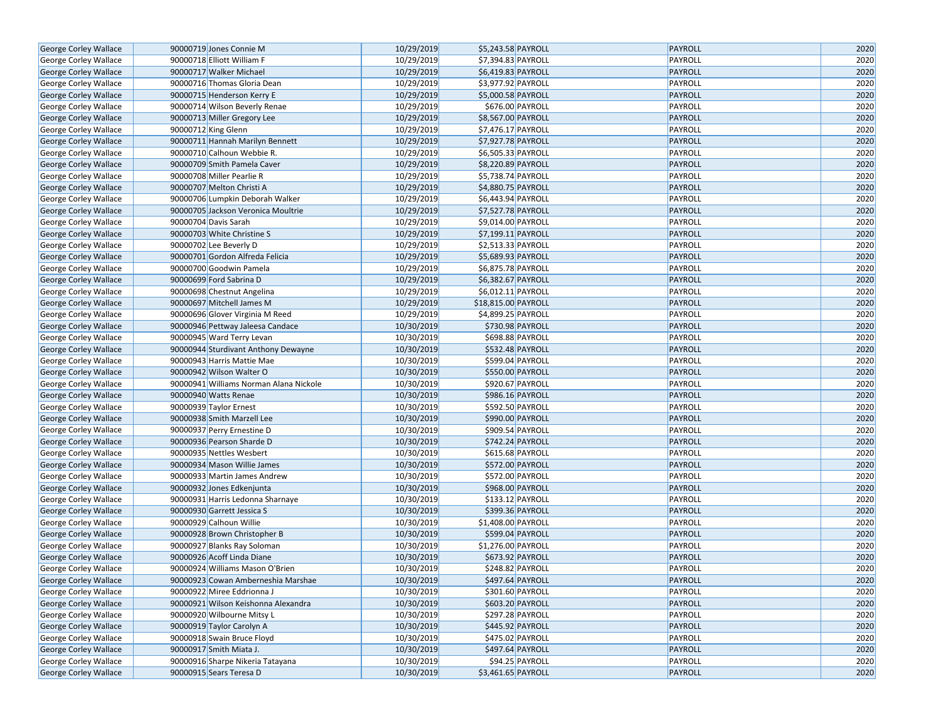| George Corley Wallace        | 90000719 Jones Connie M                | 10/29/2019 | \$5,243.58 PAYROLL                   | PAYROLL                   | 2020         |
|------------------------------|----------------------------------------|------------|--------------------------------------|---------------------------|--------------|
| George Corley Wallace        | 90000718 Elliott William F             | 10/29/2019 | \$7,394.83 PAYROLL                   | PAYROLL                   | 2020         |
| George Corley Wallace        | 90000717 Walker Michael                | 10/29/2019 | \$6,419.83 PAYROLL                   | PAYROLL                   | 2020         |
| George Corley Wallace        | 90000716 Thomas Gloria Dean            | 10/29/2019 | \$3,977.92 PAYROLL                   | PAYROLL                   | 2020         |
| George Corley Wallace        | 90000715 Henderson Kerry E             | 10/29/2019 | \$5,000.58 PAYROLL                   | PAYROLL                   | 2020         |
| George Corley Wallace        | 90000714 Wilson Beverly Renae          | 10/29/2019 | \$676.00 PAYROLL                     | PAYROLL                   | 2020         |
| George Corley Wallace        | 90000713 Miller Gregory Lee            | 10/29/2019 | \$8,567.00 PAYROLL                   | <b>PAYROLL</b>            | 2020         |
| George Corley Wallace        | 90000712 King Glenn                    | 10/29/2019 | \$7,476.17 PAYROLL                   | PAYROLL                   | 2020         |
| George Corley Wallace        | 90000711 Hannah Marilyn Bennett        | 10/29/2019 | \$7,927.78 PAYROLL                   | PAYROLL                   | 2020         |
| George Corley Wallace        | 90000710 Calhoun Webbie R.             | 10/29/2019 | \$6,505.33 PAYROLL                   | PAYROLL                   | 2020         |
| George Corley Wallace        | 90000709 Smith Pamela Caver            | 10/29/2019 | \$8,220.89 PAYROLL                   | PAYROLL                   | 2020         |
| George Corley Wallace        | 90000708 Miller Pearlie R              | 10/29/2019 | \$5,738.74 PAYROLL                   | PAYROLL                   | 2020         |
| George Corley Wallace        | 90000707 Melton Christi A              | 10/29/2019 | \$4,880.75 PAYROLL                   | PAYROLL                   | 2020         |
| George Corley Wallace        | 90000706 Lumpkin Deborah Walker        | 10/29/2019 | \$6,443.94 PAYROLL                   | PAYROLL                   | 2020         |
| George Corley Wallace        | 90000705 Jackson Veronica Moultrie     | 10/29/2019 | \$7,527.78 PAYROLL                   | PAYROLL                   | 2020         |
| George Corley Wallace        | 90000704 Davis Sarah                   | 10/29/2019 | \$9,014.00 PAYROLL                   | PAYROLL                   | 2020         |
| George Corley Wallace        | 90000703 White Christine S             | 10/29/2019 | \$7,199.11 PAYROLL                   | <b>PAYROLL</b>            | 2020         |
| George Corley Wallace        | 90000702 Lee Beverly D                 | 10/29/2019 | \$2,513.33 PAYROLL                   | PAYROLL                   | 2020         |
| George Corley Wallace        | 90000701 Gordon Alfreda Felicia        | 10/29/2019 | \$5,689.93 PAYROLL                   | PAYROLL                   | 2020         |
| George Corley Wallace        | 90000700 Goodwin Pamela                | 10/29/2019 | \$6,875.78 PAYROLL                   | PAYROLL                   | 2020         |
| <b>George Corley Wallace</b> | 90000699 Ford Sabrina D                | 10/29/2019 | \$6,382.67 PAYROLL                   | PAYROLL                   | 2020         |
| George Corley Wallace        | 90000698 Chestnut Angelina             | 10/29/2019 | \$6,012.11 PAYROLL                   | PAYROLL                   | 2020         |
| George Corley Wallace        | 90000697 Mitchell James M              | 10/29/2019 | \$18,815.00 PAYROLL                  | PAYROLL                   | 2020         |
| George Corley Wallace        | 90000696 Glover Virginia M Reed        | 10/29/2019 | \$4,899.25 PAYROLL                   | PAYROLL                   | 2020         |
| <b>George Corley Wallace</b> | 90000946 Pettway Jaleesa Candace       | 10/30/2019 | \$730.98 PAYROLL                     | PAYROLL                   | 2020         |
| George Corley Wallace        | 90000945 Ward Terry Levan              | 10/30/2019 | \$698.88 PAYROLL                     | PAYROLL                   | 2020         |
| George Corley Wallace        | 90000944 Sturdivant Anthony Dewayne    | 10/30/2019 | \$532.48 PAYROLL                     | PAYROLL                   | 2020         |
|                              | 90000943 Harris Mattie Mae             | 10/30/2019 | \$599.04 PAYROLL                     | PAYROLL                   | 2020         |
| George Corley Wallace        | 90000942 Wilson Walter O               | 10/30/2019 | \$550.00 PAYROLL                     | PAYROLL                   | 2020         |
| George Corley Wallace        | 90000941 Williams Norman Alana Nickole | 10/30/2019 | \$920.67 PAYROLL                     | PAYROLL                   | 2020         |
| George Corley Wallace        |                                        | 10/30/2019 | \$986.16 PAYROLL                     |                           | 2020         |
| George Corley Wallace        | 90000940 Watts Renae                   |            |                                      | PAYROLL                   |              |
| George Corley Wallace        | 90000939 Taylor Ernest                 | 10/30/2019 | \$592.50 PAYROLL                     | PAYROLL<br><b>PAYROLL</b> | 2020<br>2020 |
| George Corley Wallace        | 90000938 Smith Marzell Lee             | 10/30/2019 | \$990.00 PAYROLL                     |                           | 2020         |
| George Corley Wallace        | 90000937 Perry Ernestine D             | 10/30/2019 | \$909.54 PAYROLL                     | PAYROLL                   |              |
| George Corley Wallace        | 90000936 Pearson Sharde D              | 10/30/2019 | \$742.24 PAYROLL<br>\$615.68 PAYROLL | PAYROLL                   | 2020         |
| George Corley Wallace        | 90000935 Nettles Wesbert               | 10/30/2019 |                                      | PAYROLL                   | 2020<br>2020 |
| George Corley Wallace        | 90000934 Mason Willie James            | 10/30/2019 | \$572.00 PAYROLL                     | PAYROLL<br>PAYROLL        |              |
| George Corley Wallace        | 90000933 Martin James Andrew           | 10/30/2019 | \$572.00 PAYROLL                     |                           | 2020         |
| George Corley Wallace        | 90000932 Jones Edkenjunta              | 10/30/2019 | \$968.00 PAYROLL                     | PAYROLL                   | 2020         |
| George Corley Wallace        | 90000931 Harris Ledonna Sharnaye       | 10/30/2019 | \$133.12 PAYROLL                     | PAYROLL                   | 2020         |
| George Corley Wallace        | 90000930 Garrett Jessica S             | 10/30/2019 | \$399.36 PAYROLL                     | PAYROLL                   | 2020         |
| George Corley Wallace        | 90000929 Calhoun Willie                | 10/30/2019 | \$1,408.00 PAYROLL                   | PAYROLL                   | 2020         |
| George Corley Wallace        | 90000928 Brown Christopher B           | 10/30/2019 | \$599.04 PAYROLL                     | PAYROLL                   | 2020         |
| George Corley Wallace        | 90000927 Blanks Ray Soloman            | 10/30/2019 | \$1,276.00 PAYROLL                   | PAYROLL                   | 2020         |
| George Corley Wallace        | 90000926 Acoff Linda Diane             | 10/30/2019 | \$673.92 PAYROLL                     | PAYROLL                   | 2020         |
| George Corley Wallace        | 90000924 Williams Mason O'Brien        | 10/30/2019 | \$248.82 PAYROLL                     | PAYROLL                   | 2020         |
| <b>George Corley Wallace</b> | 90000923 Cowan Amberneshia Marshae     | 10/30/2019 | \$497.64 PAYROLL                     | PAYROLL                   | 2020         |
| George Corley Wallace        | 90000922 Miree Eddrionna J             | 10/30/2019 | \$301.60 PAYROLL                     | PAYROLL                   | 2020         |
| George Corley Wallace        | 90000921 Wilson Keishonna Alexandra    | 10/30/2019 | \$603.20 PAYROLL                     | PAYROLL                   | 2020         |
| George Corley Wallace        | 90000920 Wilbourne Mitsy L             | 10/30/2019 | \$297.28 PAYROLL                     | PAYROLL                   | 2020         |
| George Corley Wallace        | 90000919 Taylor Carolyn A              | 10/30/2019 | \$445.92 PAYROLL                     | PAYROLL                   | 2020         |
| George Corley Wallace        | 90000918 Swain Bruce Floyd             | 10/30/2019 | \$475.02 PAYROLL                     | PAYROLL                   | 2020         |
| George Corley Wallace        | 90000917 Smith Miata J.                | 10/30/2019 | \$497.64 PAYROLL                     | PAYROLL                   | 2020         |
| George Corley Wallace        | 90000916 Sharpe Nikeria Tatayana       | 10/30/2019 | \$94.25 PAYROLL                      | PAYROLL                   | 2020         |
| <b>George Corley Wallace</b> | 90000915 Sears Teresa D                | 10/30/2019 | \$3,461.65 PAYROLL                   | PAYROLL                   | 2020         |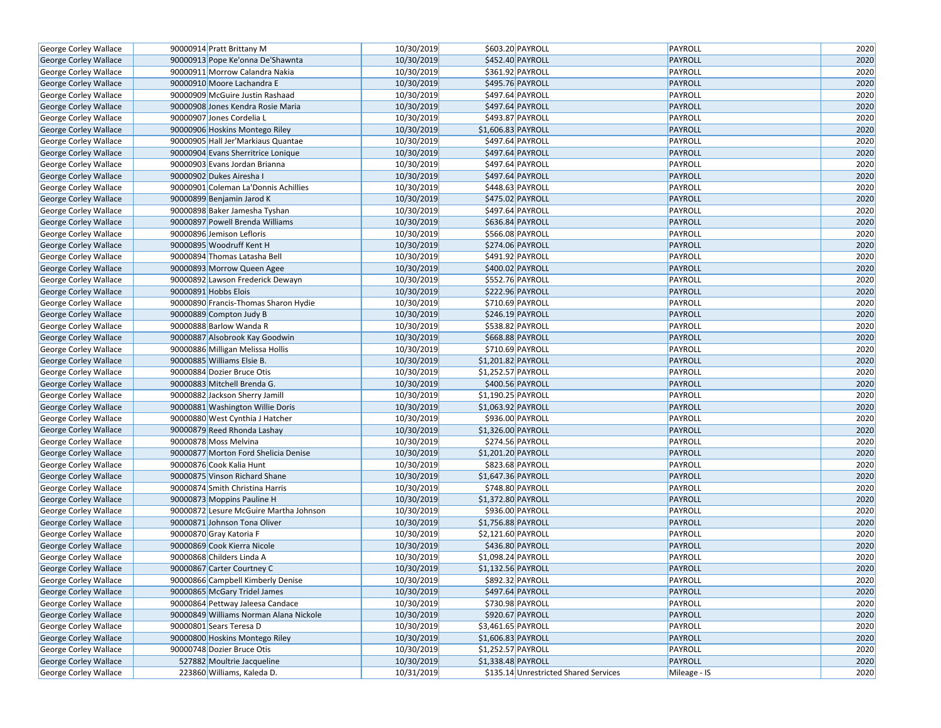| George Corley Wallace                                 | 90000914 Pratt Brittany M                                    | 10/30/2019 | \$603.20 PAYROLL                      | PAYROLL        | 2020 |
|-------------------------------------------------------|--------------------------------------------------------------|------------|---------------------------------------|----------------|------|
| George Corley Wallace                                 | 90000913 Pope Ke'onna De'Shawnta                             | 10/30/2019 | \$452.40 PAYROLL                      | <b>PAYROLL</b> | 2020 |
| George Corley Wallace                                 | 90000911 Morrow Calandra Nakia                               | 10/30/2019 | \$361.92 PAYROLL                      | PAYROLL        | 2020 |
| George Corley Wallace                                 | 90000910 Moore Lachandra E                                   | 10/30/2019 | \$495.76 PAYROLL                      | <b>PAYROLL</b> | 2020 |
| George Corley Wallace                                 | 90000909 McGuire Justin Rashaad                              | 10/30/2019 | \$497.64 PAYROLL                      | PAYROLL        | 2020 |
| George Corley Wallace                                 | 90000908 Jones Kendra Rosie Maria                            | 10/30/2019 | \$497.64 PAYROLL                      | <b>PAYROLL</b> | 2020 |
| George Corley Wallace                                 | 90000907 Jones Cordelia L                                    | 10/30/2019 | \$493.87 PAYROLL                      | PAYROLL        | 2020 |
| <b>George Corley Wallace</b>                          | 90000906 Hoskins Montego Riley                               | 10/30/2019 | \$1,606.83 PAYROLL                    | <b>PAYROLL</b> | 2020 |
| George Corley Wallace                                 | 90000905 Hall Jer'Markiaus Quantae                           | 10/30/2019 | \$497.64 PAYROLL                      | PAYROLL        | 2020 |
| George Corley Wallace                                 | 90000904 Evans Sherritrice Lonique                           | 10/30/2019 | \$497.64 PAYROLL                      | PAYROLL        | 2020 |
| George Corley Wallace                                 | 90000903 Evans Jordan Brianna                                | 10/30/2019 | \$497.64 PAYROLL                      | PAYROLL        | 2020 |
| George Corley Wallace                                 | 90000902 Dukes Airesha I                                     | 10/30/2019 | \$497.64 PAYROLL                      | PAYROLL        | 2020 |
| George Corley Wallace                                 | 90000901 Coleman La'Donnis Achillies                         | 10/30/2019 | \$448.63 PAYROLL                      | PAYROLL        | 2020 |
| George Corley Wallace                                 | 90000899 Benjamin Jarod K                                    | 10/30/2019 | \$475.02 PAYROLL                      | PAYROLL        | 2020 |
| George Corley Wallace                                 | 90000898 Baker Jamesha Tyshan                                | 10/30/2019 | \$497.64 PAYROLL                      | PAYROLL        | 2020 |
| George Corley Wallace                                 | 90000897 Powell Brenda Williams                              | 10/30/2019 | \$636.84 PAYROLL                      | PAYROLL        | 2020 |
| George Corley Wallace                                 | 90000896 Jemison Lefloris                                    | 10/30/2019 | \$566.08 PAYROLL                      | PAYROLL        | 2020 |
| George Corley Wallace                                 | 90000895 Woodruff Kent H                                     | 10/30/2019 | \$274.06 PAYROLL                      | PAYROLL        | 2020 |
| George Corley Wallace                                 | 90000894 Thomas Latasha Bell                                 | 10/30/2019 | \$491.92 PAYROLL                      | PAYROLL        | 2020 |
| George Corley Wallace                                 | 90000893 Morrow Queen Agee                                   | 10/30/2019 | \$400.02 PAYROLL                      | PAYROLL        | 2020 |
| George Corley Wallace                                 | 90000892 Lawson Frederick Dewayn                             | 10/30/2019 | \$552.76 PAYROLL                      | PAYROLL        | 2020 |
| George Corley Wallace                                 | 90000891 Hobbs Elois                                         | 10/30/2019 | \$222.96 PAYROLL                      | PAYROLL        | 2020 |
| George Corley Wallace                                 | 90000890 Francis-Thomas Sharon Hydie                         | 10/30/2019 | \$710.69 PAYROLL                      | PAYROLL        | 2020 |
| George Corley Wallace                                 | 90000889 Compton Judy B                                      | 10/30/2019 | \$246.19 PAYROLL                      | PAYROLL        | 2020 |
| George Corley Wallace                                 | 90000888 Barlow Wanda R                                      | 10/30/2019 | \$538.82 PAYROLL                      | PAYROLL        | 2020 |
| George Corley Wallace                                 | 90000887 Alsobrook Kay Goodwin                               | 10/30/2019 | \$668.88 PAYROLL                      | PAYROLL        | 2020 |
| George Corley Wallace                                 | 90000886 Milligan Melissa Hollis                             | 10/30/2019 | \$710.69 PAYROLL                      | PAYROLL        | 2020 |
| George Corley Wallace                                 | 90000885 Williams Elsie B.                                   | 10/30/2019 | \$1,201.82 PAYROLL                    | <b>PAYROLL</b> | 2020 |
| George Corley Wallace                                 | 90000884 Dozier Bruce Otis                                   | 10/30/2019 | \$1,252.57 PAYROLL                    | PAYROLL        | 2020 |
| George Corley Wallace                                 | 90000883 Mitchell Brenda G.                                  | 10/30/2019 | \$400.56 PAYROLL                      | PAYROLL        | 2020 |
| George Corley Wallace                                 | 90000882 Jackson Sherry Jamill                               | 10/30/2019 | \$1,190.25 PAYROLL                    | PAYROLL        | 2020 |
| George Corley Wallace                                 | 90000881 Washington Willie Doris                             | 10/30/2019 | \$1,063.92 PAYROLL                    | PAYROLL        | 2020 |
| George Corley Wallace                                 | 90000880 West Cynthia J Hatcher                              | 10/30/2019 | \$936.00 PAYROLL                      | PAYROLL        | 2020 |
| George Corley Wallace                                 | 90000879 Reed Rhonda Lashay                                  | 10/30/2019 | \$1,326.00 PAYROLL                    | PAYROLL        | 2020 |
| George Corley Wallace                                 | 90000878 Moss Melvina                                        | 10/30/2019 | \$274.56 PAYROLL                      | PAYROLL        | 2020 |
| George Corley Wallace                                 | 90000877 Morton Ford Shelicia Denise                         | 10/30/2019 | \$1,201.20 PAYROLL                    | PAYROLL        | 2020 |
| George Corley Wallace                                 | 90000876 Cook Kalia Hunt                                     | 10/30/2019 | \$823.68 PAYROLL                      | PAYROLL        | 2020 |
| George Corley Wallace                                 | 90000875 Vinson Richard Shane                                | 10/30/2019 | \$1,647.36 PAYROLL                    | <b>PAYROLL</b> | 2020 |
| George Corley Wallace                                 | 90000874 Smith Christina Harris                              | 10/30/2019 | \$748.80 PAYROLL                      | PAYROLL        | 2020 |
| George Corley Wallace                                 | 90000873 Moppins Pauline H                                   | 10/30/2019 | \$1,372.80 PAYROLL                    | PAYROLL        | 2020 |
| George Corley Wallace                                 | 90000872 Lesure McGuire Martha Johnson                       | 10/30/2019 | \$936.00 PAYROLL                      | PAYROLL        | 2020 |
| George Corley Wallace                                 | 90000871 Johnson Tona Oliver                                 | 10/30/2019 | \$1,756.88 PAYROLL                    | PAYROLL        | 2020 |
| George Corley Wallace                                 | 90000870 Gray Katoria F                                      | 10/30/2019 | \$2,121.60 PAYROLL                    | PAYROLL        | 2020 |
| George Corley Wallace                                 | 90000869 Cook Kierra Nicole                                  | 10/30/2019 | \$436.80 PAYROLL                      | PAYROLL        | 2020 |
| George Corley Wallace                                 | 90000868 Childers Linda A                                    | 10/30/2019 | \$1,098.24 PAYROLL                    | PAYROLL        | 2020 |
| George Corley Wallace                                 | 90000867 Carter Courtney C                                   | 10/30/2019 | \$1,132.56 PAYROLL                    | PAYROLL        | 2020 |
| George Corley Wallace                                 | 90000866 Campbell Kimberly Denise                            | 10/30/2019 | \$892.32 PAYROLL                      | PAYROLL        | 2020 |
| George Corley Wallace                                 | 90000865 McGary Tridel James                                 | 10/30/2019 | $$497.64$ PAYROLL                     | <b>PAYROLL</b> | 2020 |
| George Corley Wallace                                 | 90000864 Pettway Jaleesa Candace                             | 10/30/2019 | \$730.98 PAYROLL                      | PAYROLL        | 2020 |
| George Corley Wallace                                 | 90000849 Williams Norman Alana Nickole                       | 10/30/2019 | \$920.67 PAYROLL                      | PAYROLL        | 2020 |
|                                                       | 90000801 Sears Teresa D                                      | 10/30/2019 | \$3,461.65 PAYROLL                    | PAYROLL        | 2020 |
| George Corley Wallace                                 |                                                              | 10/30/2019 | \$1,606.83 PAYROLL                    | <b>PAYROLL</b> | 2020 |
| George Corley Wallace                                 | 90000800 Hoskins Montego Riley<br>90000748 Dozier Bruce Otis | 10/30/2019 | \$1,252.57 PAYROLL                    | PAYROLL        | 2020 |
| George Corley Wallace                                 | 527882 Moultrie Jacqueline                                   | 10/30/2019 | \$1,338.48 PAYROLL                    | PAYROLL        | 2020 |
| George Corley Wallace<br><b>George Corley Wallace</b> | 223860 Williams, Kaleda D.                                   | 10/31/2019 | \$135.14 Unrestricted Shared Services | Mileage - IS   | 2020 |
|                                                       |                                                              |            |                                       |                |      |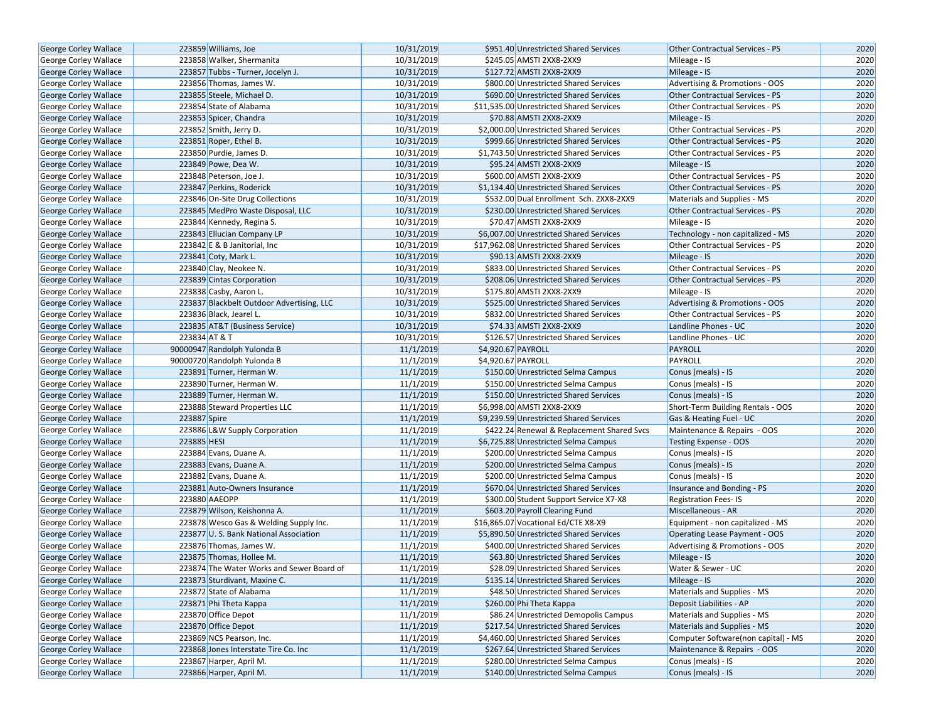| George Corley Wallace        | 223859 Williams, Joe                      | 10/31/2019 | \$951.40 Unrestricted Shared Services      | <b>Other Contractual Services - PS</b> | 2020 |
|------------------------------|-------------------------------------------|------------|--------------------------------------------|----------------------------------------|------|
| <b>George Corley Wallace</b> | 223858 Walker, Shermanita                 | 10/31/2019 | \$245.05 AMSTI 2XX8-2XX9                   | Mileage - IS                           | 2020 |
| George Corley Wallace        | 223857 Tubbs - Turner, Jocelyn J.         | 10/31/2019 | \$127.72 AMSTI 2XX8-2XX9                   | Mileage - IS                           | 2020 |
| George Corley Wallace        | 223856 Thomas, James W.                   | 10/31/2019 | \$800.00 Unrestricted Shared Services      | Advertising & Promotions - OOS         | 2020 |
| George Corley Wallace        | 223855 Steele, Michael D.                 | 10/31/2019 | \$690.00 Unrestricted Shared Services      | Other Contractual Services - PS        | 2020 |
| George Corley Wallace        | 223854 State of Alabama                   | 10/31/2019 | \$11,535.00 Unrestricted Shared Services   | Other Contractual Services - PS        | 2020 |
| George Corley Wallace        | 223853 Spicer, Chandra                    | 10/31/2019 | \$70.88 AMSTI 2XX8-2XX9                    | Mileage - IS                           | 2020 |
| <b>George Corley Wallace</b> | 223852 Smith, Jerry D.                    | 10/31/2019 | \$2,000.00 Unrestricted Shared Services    | Other Contractual Services - PS        | 2020 |
| George Corley Wallace        | 223851 Roper, Ethel B.                    | 10/31/2019 | \$999.66 Unrestricted Shared Services      | <b>Other Contractual Services - PS</b> | 2020 |
| George Corley Wallace        | 223850 Purdie, James D.                   | 10/31/2019 | \$1,743.50 Unrestricted Shared Services    | Other Contractual Services - PS        | 2020 |
| George Corley Wallace        | 223849 Powe, Dea W.                       | 10/31/2019 | \$95.24 AMSTI 2XX8-2XX9                    | Mileage - IS                           | 2020 |
| George Corley Wallace        | 223848 Peterson, Joe J.                   | 10/31/2019 | \$600.00 AMSTI 2XX8-2XX9                   | Other Contractual Services - PS        | 2020 |
| George Corley Wallace        | 223847 Perkins, Roderick                  | 10/31/2019 | \$1,134.40 Unrestricted Shared Services    | <b>Other Contractual Services - PS</b> | 2020 |
| <b>George Corley Wallace</b> | 223846 On-Site Drug Collections           | 10/31/2019 | \$532.00 Dual Enrollment Sch. 2XX8-2XX9    | Materials and Supplies - MS            | 2020 |
| <b>George Corley Wallace</b> | 223845 MedPro Waste Disposal, LLC         | 10/31/2019 | \$230.00 Unrestricted Shared Services      | Other Contractual Services - PS        | 2020 |
| <b>George Corley Wallace</b> | 223844 Kennedy, Regina S.                 | 10/31/2019 | \$70.47 AMSTI 2XX8-2XX9                    | Mileage - IS                           | 2020 |
| George Corley Wallace        | 223843 Ellucian Company LP                | 10/31/2019 | \$6,007.00 Unrestricted Shared Services    | Technology - non capitalized - MS      | 2020 |
| George Corley Wallace        | 223842 E & B Janitorial, Inc.             | 10/31/2019 | \$17,962.08 Unrestricted Shared Services   | Other Contractual Services - PS        | 2020 |
| George Corley Wallace        | 223841 Coty, Mark L.                      | 10/31/2019 | \$90.13 AMSTI 2XX8-2XX9                    | Mileage - IS                           | 2020 |
| <b>George Corley Wallace</b> | 223840 Clay, Neokee N.                    | 10/31/2019 | \$833.00 Unrestricted Shared Services      | Other Contractual Services - PS        | 2020 |
| <b>George Corley Wallace</b> | 223839 Cintas Corporation                 | 10/31/2019 | \$208.06 Unrestricted Shared Services      | <b>Other Contractual Services - PS</b> | 2020 |
| George Corley Wallace        | 223838 Casby, Aaron L.                    | 10/31/2019 | \$175.80 AMSTI 2XX8-2XX9                   | Mileage - IS                           | 2020 |
| <b>George Corley Wallace</b> | 223837 Blackbelt Outdoor Advertising, LLC | 10/31/2019 | \$525.00 Unrestricted Shared Services      | Advertising & Promotions - OOS         | 2020 |
| George Corley Wallace        | 223836 Black, Jearel L.                   | 10/31/2019 | \$832.00 Unrestricted Shared Services      | Other Contractual Services - PS        | 2020 |
| <b>George Corley Wallace</b> | 223835 AT&T (Business Service)            | 10/31/2019 | \$74.33 AMSTI 2XX8-2XX9                    | Landline Phones - UC                   | 2020 |
| George Corley Wallace        | 223834 AT & T                             | 10/31/2019 | \$126.57 Unrestricted Shared Services      | Landline Phones - UC                   | 2020 |
| <b>George Corley Wallace</b> | 90000947 Randolph Yulonda B               | 11/1/2019  | \$4,920.67 PAYROLL                         | <b>PAYROLL</b>                         | 2020 |
| George Corley Wallace        | 90000720 Randolph Yulonda B               | 11/1/2019  | \$4,920.67 PAYROLL                         | PAYROLL                                | 2020 |
| George Corley Wallace        | 223891 Turner, Herman W.                  | 11/1/2019  | \$150.00 Unrestricted Selma Campus         | Conus (meals) - IS                     | 2020 |
| George Corley Wallace        | 223890 Turner, Herman W.                  | 11/1/2019  | \$150.00 Unrestricted Selma Campus         | Conus (meals) - IS                     | 2020 |
| <b>George Corley Wallace</b> | 223889 Turner, Herman W.                  | 11/1/2019  | \$150.00 Unrestricted Shared Services      | Conus (meals) - IS                     | 2020 |
| George Corley Wallace        | 223888 Steward Properties LLC             | 11/1/2019  | \$6,998.00 AMSTI 2XX8-2XX9                 | Short-Term Building Rentals - OOS      | 2020 |
| George Corley Wallace        | 223887 Spire                              | 11/1/2019  | \$9,239.59 Unrestricted Shared Services    | Gas & Heating Fuel - UC                | 2020 |
| George Corley Wallace        | 223886 L&W Supply Corporation             | 11/1/2019  | \$422.24 Renewal & Replacement Shared Svcs | Maintenance & Repairs - OOS            | 2020 |
| George Corley Wallace        | 223885 HESI                               | 11/1/2019  | \$6,725.88 Unrestricted Selma Campus       | <b>Testing Expense - OOS</b>           | 2020 |
| George Corley Wallace        | 223884 Evans, Duane A.                    | 11/1/2019  | \$200.00 Unrestricted Selma Campus         | Conus (meals) - IS                     | 2020 |
| George Corley Wallace        | 223883 Evans, Duane A.                    | 11/1/2019  | \$200.00 Unrestricted Selma Campus         | Conus (meals) - IS                     | 2020 |
| George Corley Wallace        | 223882 Evans, Duane A.                    | 11/1/2019  | \$200.00 Unrestricted Selma Campus         | Conus (meals) - IS                     | 2020 |
| George Corley Wallace        | 223881 Auto-Owners Insurance              | 11/1/2019  | \$670.04 Unrestricted Shared Services      | Insurance and Bonding - PS             | 2020 |
| George Corley Wallace        | 223880 AAEOPP                             | 11/1/2019  | \$300.00 Student Support Service X7-X8     | <b>Registration Fees-IS</b>            | 2020 |
| <b>George Corley Wallace</b> | 223879 Wilson, Keishonna A.               | 11/1/2019  | \$603.20 Payroll Clearing Fund             | Miscellaneous - AR                     | 2020 |
| George Corley Wallace        | 223878 Wesco Gas & Welding Supply Inc.    | 11/1/2019  | \$16,865.07 Vocational Ed/CTE X8-X9        | Equipment - non capitalized - MS       | 2020 |
| George Corley Wallace        | 223877 U.S. Bank National Association     | 11/1/2019  | \$5,890.50 Unrestricted Shared Services    | Operating Lease Payment - OOS          | 2020 |
| George Corley Wallace        | 223876 Thomas, James W.                   | 11/1/2019  | \$400.00 Unrestricted Shared Services      | Advertising & Promotions - OOS         | 2020 |
| <b>George Corley Wallace</b> | 223875 Thomas, Hollee M.                  | 11/1/2019  | \$63.80 Unrestricted Shared Services       | Mileage - IS                           | 2020 |
| George Corley Wallace        | 223874 The Water Works and Sewer Board of | 11/1/2019  | \$28.09 Unrestricted Shared Services       | Water & Sewer - UC                     | 2020 |
| George Corley Wallace        | 223873 Sturdivant, Maxine C.              | 11/1/2019  | \$135.14 Unrestricted Shared Services      | Mileage - IS                           | 2020 |
| <b>George Corley Wallace</b> | 223872 State of Alabama                   | 11/1/2019  | \$48.50 Unrestricted Shared Services       | Materials and Supplies - MS            | 2020 |
| George Corley Wallace        | 223871 Phi Theta Kappa                    | 11/1/2019  | \$260.00 Phi Theta Kappa                   | Deposit Liabilities - AP               | 2020 |
| <b>George Corley Wallace</b> | 223870 Office Depot                       | 11/1/2019  | \$86.24 Unrestricted Demopolis Campus      | Materials and Supplies - MS            | 2020 |
| George Corley Wallace        | 223870 Office Depot                       | 11/1/2019  | \$217.54 Unrestricted Shared Services      | Materials and Supplies - MS            | 2020 |
| <b>George Corley Wallace</b> | 223869 NCS Pearson, Inc.                  | 11/1/2019  | \$4,460.00 Unrestricted Shared Services    | Computer Software(non capital) - MS    | 2020 |
| George Corley Wallace        | 223868 Jones Interstate Tire Co. Inc      | 11/1/2019  | \$267.64 Unrestricted Shared Services      | Maintenance & Repairs - OOS            | 2020 |
| George Corley Wallace        | 223867 Harper, April M.                   | 11/1/2019  | \$280.00 Unrestricted Selma Campus         | Conus (meals) - IS                     | 2020 |
| George Corley Wallace        | 223866 Harper, April M.                   | 11/1/2019  | \$140.00 Unrestricted Selma Campus         | Conus (meals) - IS                     | 2020 |
|                              |                                           |            |                                            |                                        |      |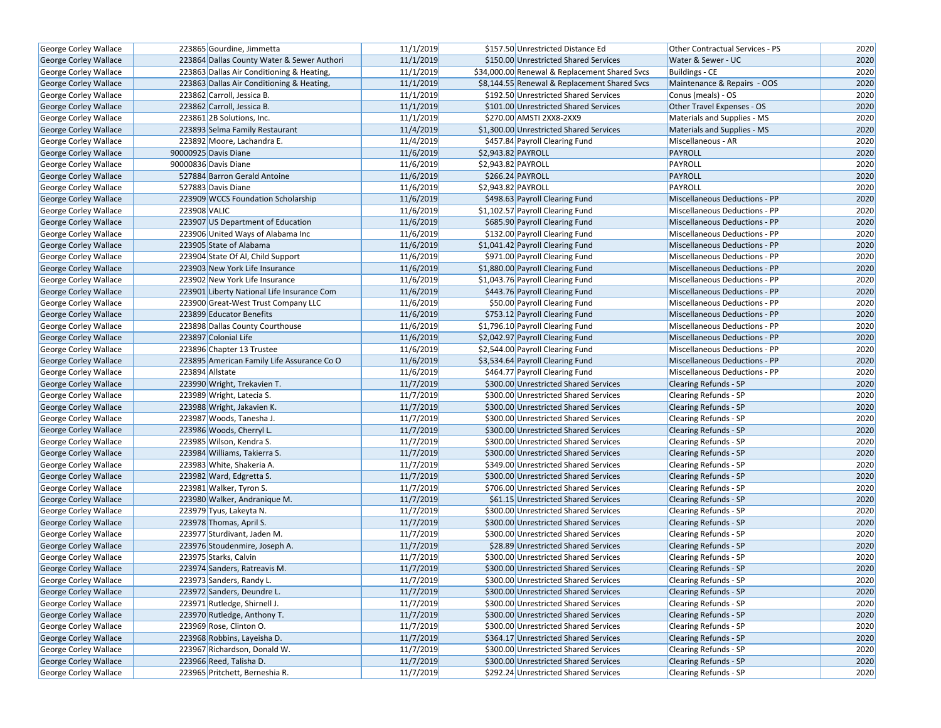| George Corley Wallace        | 223865 Gourdine, Jimmetta                  | 11/1/2019 | \$157.50 Unrestricted Distance Ed             | <b>Other Contractual Services - PS</b> | 2020 |
|------------------------------|--------------------------------------------|-----------|-----------------------------------------------|----------------------------------------|------|
| <b>George Corley Wallace</b> | 223864 Dallas County Water & Sewer Authori | 11/1/2019 | \$150.00 Unrestricted Shared Services         | Water & Sewer - UC                     | 2020 |
| George Corley Wallace        | 223863 Dallas Air Conditioning & Heating,  | 11/1/2019 | \$34,000.00 Renewal & Replacement Shared Svcs | <b>Buildings - CE</b>                  | 2020 |
| <b>George Corley Wallace</b> | 223863 Dallas Air Conditioning & Heating,  | 11/1/2019 | \$8,144.55 Renewal & Replacement Shared Svcs  | Maintenance & Repairs - OOS            | 2020 |
| George Corley Wallace        | 223862 Carroll, Jessica B.                 | 11/1/2019 | \$192.50 Unrestricted Shared Services         | Conus (meals) - OS                     | 2020 |
| George Corley Wallace        | 223862 Carroll, Jessica B.                 | 11/1/2019 | \$101.00 Unrestricted Shared Services         | Other Travel Expenses - OS             | 2020 |
| George Corley Wallace        | 223861 2B Solutions, Inc.                  | 11/1/2019 | \$270.00 AMSTI 2XX8-2XX9                      | Materials and Supplies - MS            | 2020 |
| George Corley Wallace        | 223893 Selma Family Restaurant             | 11/4/2019 | \$1,300.00 Unrestricted Shared Services       | Materials and Supplies - MS            | 2020 |
| George Corley Wallace        | 223892 Moore, Lachandra E.                 | 11/4/2019 | \$457.84 Payroll Clearing Fund                | Miscellaneous - AR                     | 2020 |
| George Corley Wallace        | 90000925 Davis Diane                       | 11/6/2019 | \$2,943.82 PAYROLL                            | PAYROLL                                | 2020 |
| George Corley Wallace        | 90000836 Davis Diane                       | 11/6/2019 | \$2,943.82 PAYROLL                            | PAYROLL                                | 2020 |
| George Corley Wallace        | 527884 Barron Gerald Antoine               | 11/6/2019 | \$266.24 PAYROLL                              | PAYROLL                                | 2020 |
| George Corley Wallace        | 527883 Davis Diane                         | 11/6/2019 | \$2,943.82 PAYROLL                            | PAYROLL                                | 2020 |
| George Corley Wallace        | 223909 WCCS Foundation Scholarship         | 11/6/2019 | \$498.63 Payroll Clearing Fund                | Miscellaneous Deductions - PP          | 2020 |
| George Corley Wallace        | 223908 VALIC                               | 11/6/2019 | \$1,102.57 Payroll Clearing Fund              | Miscellaneous Deductions - PP          | 2020 |
| George Corley Wallace        | 223907 US Department of Education          | 11/6/2019 | \$685.90 Payroll Clearing Fund                | Miscellaneous Deductions - PP          | 2020 |
| George Corley Wallace        | 223906 United Ways of Alabama Inc          | 11/6/2019 | \$132.00 Payroll Clearing Fund                | Miscellaneous Deductions - PP          | 2020 |
| <b>George Corley Wallace</b> | 223905 State of Alabama                    | 11/6/2019 | \$1,041.42 Payroll Clearing Fund              | <b>Miscellaneous Deductions - PP</b>   | 2020 |
| George Corley Wallace        | 223904 State Of Al, Child Support          | 11/6/2019 | \$971.00 Payroll Clearing Fund                | <b>Miscellaneous Deductions - PP</b>   | 2020 |
| George Corley Wallace        | 223903 New York Life Insurance             | 11/6/2019 | \$1,880.00 Payroll Clearing Fund              | Miscellaneous Deductions - PP          | 2020 |
| George Corley Wallace        | 223902 New York Life Insurance             | 11/6/2019 | \$1,043.76 Payroll Clearing Fund              | <b>Miscellaneous Deductions - PP</b>   | 2020 |
| George Corley Wallace        | 223901 Liberty National Life Insurance Com | 11/6/2019 | \$443.76 Payroll Clearing Fund                | Miscellaneous Deductions - PP          | 2020 |
| <b>George Corley Wallace</b> | 223900 Great-West Trust Company LLC        | 11/6/2019 | \$50.00 Payroll Clearing Fund                 | <b>Miscellaneous Deductions - PP</b>   | 2020 |
| <b>George Corley Wallace</b> | 223899 Educator Benefits                   | 11/6/2019 | \$753.12 Payroll Clearing Fund                | <b>Miscellaneous Deductions - PP</b>   | 2020 |
| George Corley Wallace        | 223898 Dallas County Courthouse            | 11/6/2019 | \$1,796.10 Payroll Clearing Fund              | <b>Miscellaneous Deductions - PP</b>   | 2020 |
| George Corley Wallace        | 223897 Colonial Life                       | 11/6/2019 | \$2,042.97 Payroll Clearing Fund              | Miscellaneous Deductions - PP          | 2020 |
| George Corley Wallace        | 223896 Chapter 13 Trustee                  | 11/6/2019 | \$2,544.00 Payroll Clearing Fund              | <b>Miscellaneous Deductions - PP</b>   | 2020 |
| George Corley Wallace        | 223895 American Family Life Assurance Co O | 11/6/2019 | \$3,534.64 Payroll Clearing Fund              | <b>Miscellaneous Deductions - PP</b>   | 2020 |
| George Corley Wallace        | 223894 Allstate                            | 11/6/2019 | \$464.77 Payroll Clearing Fund                | <b>Miscellaneous Deductions - PP</b>   | 2020 |
| George Corley Wallace        | 223990 Wright, Trekavien T.                | 11/7/2019 | \$300.00 Unrestricted Shared Services         | <b>Clearing Refunds - SP</b>           | 2020 |
| <b>George Corley Wallace</b> | 223989 Wright, Latecia S.                  | 11/7/2019 | \$300.00 Unrestricted Shared Services         | Clearing Refunds - SP                  | 2020 |
| George Corley Wallace        | 223988 Wright, Jakavien K.                 | 11/7/2019 | \$300.00 Unrestricted Shared Services         | <b>Clearing Refunds - SP</b>           | 2020 |
| George Corley Wallace        | 223987 Woods, Tanesha J.                   | 11/7/2019 | \$300.00 Unrestricted Shared Services         | <b>Clearing Refunds - SP</b>           | 2020 |
| <b>George Corley Wallace</b> | 223986 Woods, Cherryl L.                   | 11/7/2019 | \$300.00 Unrestricted Shared Services         | <b>Clearing Refunds - SP</b>           | 2020 |
| George Corley Wallace        | 223985 Wilson, Kendra S.                   | 11/7/2019 | \$300.00 Unrestricted Shared Services         | Clearing Refunds - SP                  | 2020 |
| George Corley Wallace        | 223984 Williams, Takierra S.               | 11/7/2019 | \$300.00 Unrestricted Shared Services         | <b>Clearing Refunds - SP</b>           | 2020 |
| <b>George Corley Wallace</b> | 223983 White, Shakeria A.                  | 11/7/2019 | \$349.00 Unrestricted Shared Services         | <b>Clearing Refunds - SP</b>           | 2020 |
| George Corley Wallace        | 223982 Ward, Edgretta S.                   | 11/7/2019 | \$300.00 Unrestricted Shared Services         | <b>Clearing Refunds - SP</b>           | 2020 |
| <b>George Corley Wallace</b> | 223981 Walker, Tyron S.                    | 11/7/2019 | \$706.00 Unrestricted Shared Services         | Clearing Refunds - SP                  | 2020 |
| George Corley Wallace        | 223980 Walker, Andranique M.               | 11/7/2019 | \$61.15 Unrestricted Shared Services          | Clearing Refunds - SP                  | 2020 |
| George Corley Wallace        | 223979 Tyus, Lakeyta N.                    | 11/7/2019 | \$300.00 Unrestricted Shared Services         | <b>Clearing Refunds - SP</b>           | 2020 |
| George Corley Wallace        | 223978 Thomas, April S.                    | 11/7/2019 | \$300.00 Unrestricted Shared Services         | <b>Clearing Refunds - SP</b>           | 2020 |
| George Corley Wallace        | 223977 Sturdivant, Jaden M.                | 11/7/2019 | \$300.00 Unrestricted Shared Services         | Clearing Refunds - SP                  | 2020 |
| George Corley Wallace        | 223976 Stoudenmire, Joseph A.              | 11/7/2019 | \$28.89 Unrestricted Shared Services          | <b>Clearing Refunds - SP</b>           | 2020 |
| <b>George Corley Wallace</b> | 223975 Starks, Calvin                      | 11/7/2019 | \$300.00 Unrestricted Shared Services         | <b>Clearing Refunds - SP</b>           | 2020 |
| George Corley Wallace        | 223974 Sanders, Ratreavis M.               | 11/7/2019 | \$300.00 Unrestricted Shared Services         | <b>Clearing Refunds - SP</b>           | 2020 |
| George Corley Wallace        | 223973 Sanders, Randy L.                   | 11/7/2019 | \$300.00 Unrestricted Shared Services         | Clearing Refunds - SP                  | 2020 |
| George Corley Wallace        | 223972 Sanders, Deundre L.                 | 11/7/2019 | \$300.00 Unrestricted Shared Services         | Clearing Refunds - SP                  | 2020 |
| George Corley Wallace        | 223971 Rutledge, Shirnell J.               | 11/7/2019 | \$300.00 Unrestricted Shared Services         | <b>Clearing Refunds - SP</b>           | 2020 |
| George Corley Wallace        | 223970 Rutledge, Anthony T.                | 11/7/2019 | \$300.00 Unrestricted Shared Services         | <b>Clearing Refunds - SP</b>           | 2020 |
| George Corley Wallace        | 223969 Rose, Clinton O.                    | 11/7/2019 | \$300.00 Unrestricted Shared Services         | Clearing Refunds - SP                  | 2020 |
| George Corley Wallace        | 223968 Robbins, Layeisha D.                | 11/7/2019 | \$364.17 Unrestricted Shared Services         | Clearing Refunds - SP                  | 2020 |
| George Corley Wallace        | 223967 Richardson, Donald W.               | 11/7/2019 | \$300.00 Unrestricted Shared Services         | Clearing Refunds - SP                  | 2020 |
| George Corley Wallace        | 223966 Reed, Talisha D.                    | 11/7/2019 | \$300.00 Unrestricted Shared Services         | <b>Clearing Refunds - SP</b>           | 2020 |
| George Corley Wallace        | 223965 Pritchett, Berneshia R.             | 11/7/2019 | \$292.24 Unrestricted Shared Services         | Clearing Refunds - SP                  | 2020 |
|                              |                                            |           |                                               |                                        |      |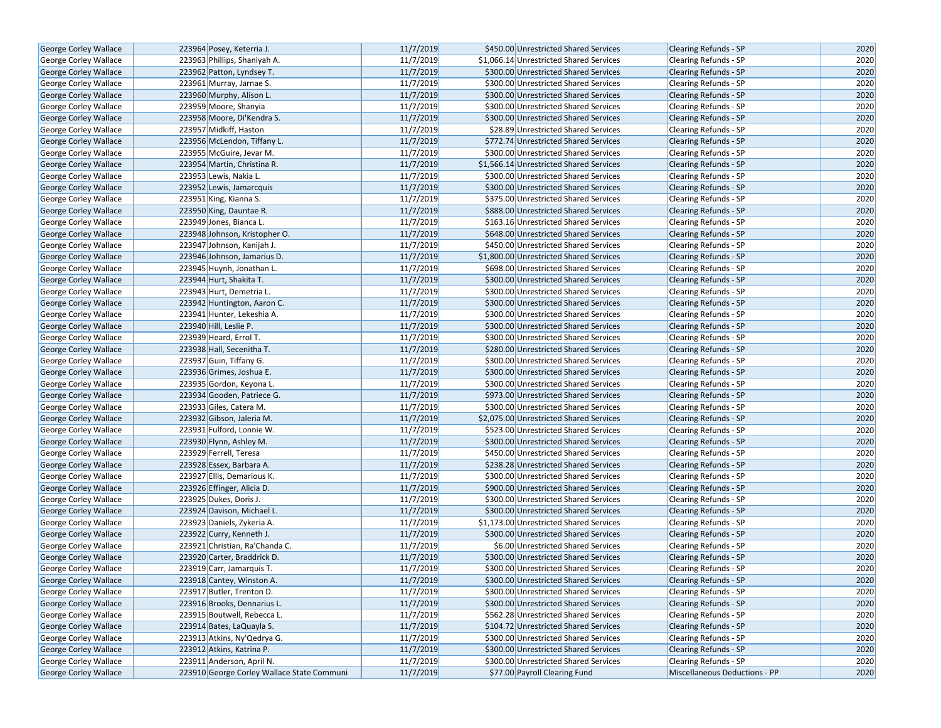| George Corley Wallace        | 223964 Posey, Keterria J.                  | 11/7/2019 | \$450.00 Unrestricted Shared Services   | <b>Clearing Refunds - SP</b>  | 2020 |
|------------------------------|--------------------------------------------|-----------|-----------------------------------------|-------------------------------|------|
| <b>George Corley Wallace</b> | 223963 Phillips, Shaniyah A.               | 11/7/2019 | \$1,066.14 Unrestricted Shared Services | <b>Clearing Refunds - SP</b>  | 2020 |
| <b>George Corley Wallace</b> | 223962 Patton, Lyndsey T.                  | 11/7/2019 | \$300.00 Unrestricted Shared Services   | <b>Clearing Refunds - SP</b>  | 2020 |
| George Corley Wallace        | 223961 Murray, Jarnae S.                   | 11/7/2019 | \$300.00 Unrestricted Shared Services   | <b>Clearing Refunds - SP</b>  | 2020 |
| George Corley Wallace        | 223960 Murphy, Alison L.                   | 11/7/2019 | \$300.00 Unrestricted Shared Services   | <b>Clearing Refunds - SP</b>  | 2020 |
| George Corley Wallace        | 223959 Moore, Shanyia                      | 11/7/2019 | \$300.00 Unrestricted Shared Services   | Clearing Refunds - SP         | 2020 |
| George Corley Wallace        | 223958 Moore, Di'Kendra S.                 | 11/7/2019 | \$300.00 Unrestricted Shared Services   | <b>Clearing Refunds - SP</b>  | 2020 |
| <b>George Corley Wallace</b> | 223957 Midkiff, Haston                     | 11/7/2019 | \$28.89 Unrestricted Shared Services    | <b>Clearing Refunds - SP</b>  | 2020 |
| <b>George Corley Wallace</b> | 223956 McLendon, Tiffany L.                | 11/7/2019 | \$772.74 Unrestricted Shared Services   | <b>Clearing Refunds - SP</b>  | 2020 |
| George Corley Wallace        | 223955 McGuire, Jevar M.                   | 11/7/2019 | \$300.00 Unrestricted Shared Services   | Clearing Refunds - SP         | 2020 |
| <b>George Corley Wallace</b> | 223954 Martin, Christina R.                | 11/7/2019 | \$1,566.14 Unrestricted Shared Services | Clearing Refunds - SP         | 2020 |
| George Corley Wallace        | 223953 Lewis, Nakia L.                     | 11/7/2019 | \$300.00 Unrestricted Shared Services   | <b>Clearing Refunds - SP</b>  | 2020 |
| George Corley Wallace        | 223952 Lewis, Jamarcquis                   | 11/7/2019 | \$300.00 Unrestricted Shared Services   | <b>Clearing Refunds - SP</b>  | 2020 |
| George Corley Wallace        | 223951 King, Kianna S.                     | 11/7/2019 | \$375.00 Unrestricted Shared Services   | Clearing Refunds - SP         | 2020 |
| <b>George Corley Wallace</b> | 223950 King, Dauntae R.                    | 11/7/2019 | \$888.00 Unrestricted Shared Services   | <b>Clearing Refunds - SP</b>  | 2020 |
| <b>George Corley Wallace</b> | 223949 Jones, Bianca L.                    | 11/7/2019 | \$163.16 Unrestricted Shared Services   | <b>Clearing Refunds - SP</b>  | 2020 |
| George Corley Wallace        | 223948 Johnson, Kristopher O.              | 11/7/2019 | \$648.00 Unrestricted Shared Services   | <b>Clearing Refunds - SP</b>  | 2020 |
| George Corley Wallace        | 223947 Johnson, Kanijah J.                 | 11/7/2019 | \$450.00 Unrestricted Shared Services   | Clearing Refunds - SP         | 2020 |
| George Corley Wallace        | 223946 Johnson, Jamarius D.                | 11/7/2019 | \$1,800.00 Unrestricted Shared Services | Clearing Refunds - SP         | 2020 |
| George Corley Wallace        | 223945 Huynh, Jonathan L.                  | 11/7/2019 | \$698.00 Unrestricted Shared Services   | <b>Clearing Refunds - SP</b>  | 2020 |
| <b>George Corley Wallace</b> | 223944 Hurt, Shakita T.                    | 11/7/2019 | \$300.00 Unrestricted Shared Services   | <b>Clearing Refunds - SP</b>  | 2020 |
| George Corley Wallace        | 223943 Hurt, Demetria L.                   | 11/7/2019 | \$300.00 Unrestricted Shared Services   | Clearing Refunds - SP         | 2020 |
| George Corley Wallace        | 223942 Huntington, Aaron C.                | 11/7/2019 | \$300.00 Unrestricted Shared Services   | <b>Clearing Refunds - SP</b>  | 2020 |
| George Corley Wallace        | 223941 Hunter, Lekeshia A.                 | 11/7/2019 | \$300.00 Unrestricted Shared Services   | Clearing Refunds - SP         | 2020 |
| George Corley Wallace        | 223940 Hill, Leslie P.                     | 11/7/2019 | \$300.00 Unrestricted Shared Services   | <b>Clearing Refunds - SP</b>  | 2020 |
| <b>George Corley Wallace</b> | 223939 Heard, Errol T.                     | 11/7/2019 | \$300.00 Unrestricted Shared Services   | Clearing Refunds - SP         | 2020 |
| George Corley Wallace        | 223938 Hall, Secenitha T.                  | 11/7/2019 | \$280.00 Unrestricted Shared Services   | Clearing Refunds - SP         | 2020 |
| George Corley Wallace        | 223937 Guin, Tiffany G.                    | 11/7/2019 | \$300.00 Unrestricted Shared Services   | Clearing Refunds - SP         | 2020 |
| George Corley Wallace        | 223936 Grimes, Joshua E.                   | 11/7/2019 | \$300.00 Unrestricted Shared Services   | <b>Clearing Refunds - SP</b>  | 2020 |
| George Corley Wallace        | 223935 Gordon, Keyona L.                   | 11/7/2019 | \$300.00 Unrestricted Shared Services   | Clearing Refunds - SP         | 2020 |
| George Corley Wallace        | 223934 Gooden, Patriece G.                 | 11/7/2019 | \$973.00 Unrestricted Shared Services   | <b>Clearing Refunds - SP</b>  | 2020 |
| George Corley Wallace        | 223933 Giles, Catera M.                    | 11/7/2019 | \$300.00 Unrestricted Shared Services   | <b>Clearing Refunds - SP</b>  | 2020 |
| George Corley Wallace        | 223932 Gibson, Jaleria M.                  | 11/7/2019 | \$2,075.00 Unrestricted Shared Services | <b>Clearing Refunds - SP</b>  | 2020 |
| George Corley Wallace        | 223931 Fulford, Lonnie W.                  | 11/7/2019 | \$523.00 Unrestricted Shared Services   | Clearing Refunds - SP         | 2020 |
| George Corley Wallace        | 223930 Flynn, Ashley M.                    | 11/7/2019 | \$300.00 Unrestricted Shared Services   | <b>Clearing Refunds - SP</b>  | 2020 |
| George Corley Wallace        | 223929 Ferrell, Teresa                     | 11/7/2019 | \$450.00 Unrestricted Shared Services   | Clearing Refunds - SP         | 2020 |
| <b>George Corley Wallace</b> | 223928 Essex, Barbara A.                   | 11/7/2019 | \$238.28 Unrestricted Shared Services   | <b>Clearing Refunds - SP</b>  | 2020 |
| George Corley Wallace        | 223927 Ellis, Demarious K.                 | 11/7/2019 | \$300.00 Unrestricted Shared Services   | Clearing Refunds - SP         | 2020 |
| George Corley Wallace        | 223926 Effinger, Alicia D.                 | 11/7/2019 | \$900.00 Unrestricted Shared Services   | <b>Clearing Refunds - SP</b>  | 2020 |
| George Corley Wallace        | 223925 Dukes, Doris J.                     | 11/7/2019 | \$300.00 Unrestricted Shared Services   | Clearing Refunds - SP         | 2020 |
| <b>George Corley Wallace</b> | 223924 Davison, Michael L.                 | 11/7/2019 | \$300.00 Unrestricted Shared Services   | <b>Clearing Refunds - SP</b>  | 2020 |
| George Corley Wallace        | 223923 Daniels, Zykeria A.                 | 11/7/2019 | \$1,173.00 Unrestricted Shared Services | Clearing Refunds - SP         | 2020 |
| George Corley Wallace        | 223922 Curry, Kenneth J.                   | 11/7/2019 | \$300.00 Unrestricted Shared Services   | <b>Clearing Refunds - SP</b>  | 2020 |
| George Corley Wallace        | 223921 Christian, Ra'Chanda C.             | 11/7/2019 | \$6.00 Unrestricted Shared Services     | Clearing Refunds - SP         | 2020 |
| <b>George Corley Wallace</b> | 223920 Carter, Braddrick D.                | 11/7/2019 | \$300.00 Unrestricted Shared Services   | <b>Clearing Refunds - SP</b>  | 2020 |
| George Corley Wallace        | 223919 Carr, Jamarquis T.                  | 11/7/2019 | \$300.00 Unrestricted Shared Services   | <b>Clearing Refunds - SP</b>  | 2020 |
| George Corley Wallace        | 223918 Cantey, Winston A.                  | 11/7/2019 | \$300.00 Unrestricted Shared Services   | Clearing Refunds - SP         | 2020 |
| <b>George Corley Wallace</b> | 223917 Butler, Trenton D.                  | 11/7/2019 | \$300.00 Unrestricted Shared Services   | Clearing Refunds - SP         | 2020 |
| George Corley Wallace        | 223916 Brooks, Dennarius L.                | 11/7/2019 | \$300.00 Unrestricted Shared Services   | Clearing Refunds - SP         | 2020 |
| <b>George Corley Wallace</b> | 223915 Boutwell, Rebecca L.                | 11/7/2019 | \$562.28 Unrestricted Shared Services   | <b>Clearing Refunds - SP</b>  | 2020 |
| George Corley Wallace        | 223914 Bates, LaQuayla S.                  | 11/7/2019 | \$104.72 Unrestricted Shared Services   | Clearing Refunds - SP         | 2020 |
| <b>George Corley Wallace</b> | 223913 Atkins, Ny'Qedrya G.                | 11/7/2019 | \$300.00 Unrestricted Shared Services   | <b>Clearing Refunds - SP</b>  | 2020 |
| George Corley Wallace        | 223912 Atkins, Katrina P.                  | 11/7/2019 | \$300.00 Unrestricted Shared Services   | Clearing Refunds - SP         | 2020 |
| George Corley Wallace        | 223911 Anderson, April N.                  | 11/7/2019 | \$300.00 Unrestricted Shared Services   | Clearing Refunds - SP         | 2020 |
| George Corley Wallace        | 223910 George Corley Wallace State Communi | 11/7/2019 | \$77.00 Payroll Clearing Fund           | Miscellaneous Deductions - PP | 2020 |
|                              |                                            |           |                                         |                               |      |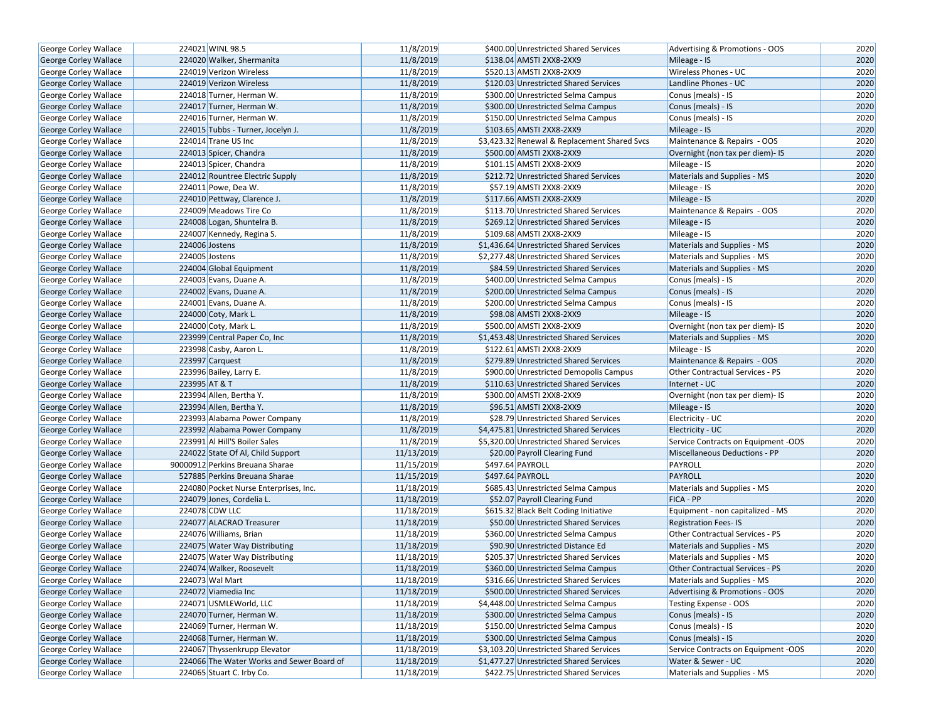| George Corley Wallace        | 224021 WINL 98.5                          | 11/8/2019  | \$400.00 Unrestricted Shared Services        | Advertising & Promotions - OOS         | 2020 |
|------------------------------|-------------------------------------------|------------|----------------------------------------------|----------------------------------------|------|
| <b>George Corley Wallace</b> | 224020 Walker, Shermanita                 | 11/8/2019  | \$138.04 AMSTI 2XX8-2XX9                     | Mileage - IS                           | 2020 |
| George Corley Wallace        | 224019 Verizon Wireless                   | 11/8/2019  | \$520.13 AMSTI 2XX8-2XX9                     | <b>Wireless Phones - UC</b>            | 2020 |
| <b>George Corley Wallace</b> | 224019 Verizon Wireless                   | 11/8/2019  | \$120.03 Unrestricted Shared Services        | Landline Phones - UC                   | 2020 |
| George Corley Wallace        | 224018 Turner, Herman W.                  | 11/8/2019  | \$300.00 Unrestricted Selma Campus           | Conus (meals) - IS                     | 2020 |
| George Corley Wallace        | 224017 Turner, Herman W.                  | 11/8/2019  | \$300.00 Unrestricted Selma Campus           | Conus (meals) - IS                     | 2020 |
| George Corley Wallace        | 224016 Turner, Herman W.                  | 11/8/2019  | \$150.00 Unrestricted Selma Campus           | Conus (meals) - IS                     | 2020 |
| George Corley Wallace        | 224015 Tubbs - Turner, Jocelyn J.         | 11/8/2019  | \$103.65 AMSTI 2XX8-2XX9                     | Mileage - IS                           | 2020 |
| George Corley Wallace        | 224014 Trane US Inc                       | 11/8/2019  | \$3,423.32 Renewal & Replacement Shared Svcs | Maintenance & Repairs - OOS            | 2020 |
| George Corley Wallace        | 224013 Spicer, Chandra                    | 11/8/2019  | \$500.00 AMSTI 2XX8-2XX9                     | Overnight (non tax per diem)- IS       | 2020 |
| <b>George Corley Wallace</b> | 224013 Spicer, Chandra                    | 11/8/2019  | \$101.15 AMSTI 2XX8-2XX9                     | Mileage - IS                           | 2020 |
| George Corley Wallace        | 224012 Rountree Electric Supply           | 11/8/2019  | \$212.72 Unrestricted Shared Services        | Materials and Supplies - MS            | 2020 |
| George Corley Wallace        | 224011 Powe, Dea W.                       | 11/8/2019  | \$57.19 AMSTI 2XX8-2XX9                      | Mileage - IS                           | 2020 |
| <b>George Corley Wallace</b> | 224010 Pettway, Clarence J.               | 11/8/2019  | \$117.66 AMSTI 2XX8-2XX9                     | Mileage - IS                           | 2020 |
| George Corley Wallace        | 224009 Meadows Tire Co                    | 11/8/2019  | \$113.70 Unrestricted Shared Services        | Maintenance & Repairs - OOS            | 2020 |
| George Corley Wallace        | 224008 Logan, Shuntelra B.                | 11/8/2019  | \$269.12 Unrestricted Shared Services        | Mileage - IS                           | 2020 |
| George Corley Wallace        | 224007 Kennedy, Regina S.                 | 11/8/2019  | \$109.68 AMSTI 2XX8-2XX9                     | Mileage - IS                           | 2020 |
| George Corley Wallace        | 224006 Jostens                            | 11/8/2019  | \$1,436.64 Unrestricted Shared Services      | Materials and Supplies - MS            | 2020 |
| George Corley Wallace        | 224005 Jostens                            | 11/8/2019  | \$2,277.48 Unrestricted Shared Services      | Materials and Supplies - MS            | 2020 |
| George Corley Wallace        | 224004 Global Equipment                   | 11/8/2019  | \$84.59 Unrestricted Shared Services         | Materials and Supplies - MS            | 2020 |
| George Corley Wallace        | 224003 Evans, Duane A.                    | 11/8/2019  | \$400.00 Unrestricted Selma Campus           | Conus (meals) - IS                     | 2020 |
| George Corley Wallace        | 224002 Evans, Duane A.                    | 11/8/2019  | \$200.00 Unrestricted Selma Campus           | Conus (meals) - IS                     | 2020 |
| George Corley Wallace        | 224001 Evans, Duane A.                    | 11/8/2019  | \$200.00 Unrestricted Selma Campus           | Conus (meals) - IS                     | 2020 |
| <b>George Corley Wallace</b> | 224000 Coty, Mark L.                      | 11/8/2019  | \$98.08 AMSTI 2XX8-2XX9                      | Mileage - IS                           | 2020 |
| George Corley Wallace        | 224000 Coty, Mark L.                      | 11/8/2019  | \$500.00 AMSTI 2XX8-2XX9                     | Overnight (non tax per diem)- IS       | 2020 |
| George Corley Wallace        | 223999 Central Paper Co, Inc              | 11/8/2019  | \$1,453.48 Unrestricted Shared Services      | Materials and Supplies - MS            | 2020 |
| George Corley Wallace        | 223998 Casby, Aaron L.                    | 11/8/2019  | \$122.61 AMSTI 2XX8-2XX9                     | Mileage - IS                           | 2020 |
| George Corley Wallace        | 223997 Carquest                           | 11/8/2019  | \$279.89 Unrestricted Shared Services        | Maintenance & Repairs - OOS            | 2020 |
| George Corley Wallace        | 223996 Bailey, Larry E.                   | 11/8/2019  | \$900.00 Unrestricted Demopolis Campus       | Other Contractual Services - PS        | 2020 |
| <b>George Corley Wallace</b> | 223995 AT & T                             | 11/8/2019  | \$110.63 Unrestricted Shared Services        | Internet - UC                          | 2020 |
| <b>George Corley Wallace</b> | 223994 Allen, Bertha Y.                   | 11/8/2019  | \$300.00 AMSTI 2XX8-2XX9                     | Overnight (non tax per diem)- IS       | 2020 |
| George Corley Wallace        | 223994 Allen, Bertha Y.                   | 11/8/2019  | \$96.51 AMSTI 2XX8-2XX9                      | Mileage - IS                           | 2020 |
| George Corley Wallace        | 223993 Alabama Power Company              | 11/8/2019  | \$28.79 Unrestricted Shared Services         | Electricity - UC                       | 2020 |
| <b>George Corley Wallace</b> | 223992 Alabama Power Company              | 11/8/2019  | \$4,475.81 Unrestricted Shared Services      | Electricity - UC                       | 2020 |
| George Corley Wallace        | 223991 Al Hill'S Boiler Sales             | 11/8/2019  | \$5,320.00 Unrestricted Shared Services      | Service Contracts on Equipment -OOS    | 2020 |
| George Corley Wallace        | 224022 State Of Al, Child Support         | 11/13/2019 | \$20.00 Payroll Clearing Fund                | Miscellaneous Deductions - PP          | 2020 |
| <b>George Corley Wallace</b> | 90000912 Perkins Breuana Sharae           | 11/15/2019 | \$497.64 PAYROLL                             | <b>PAYROLL</b>                         | 2020 |
| George Corley Wallace        | 527885 Perkins Breuana Sharae             | 11/15/2019 | \$497.64 PAYROLL                             | <b>PAYROLL</b>                         | 2020 |
| <b>George Corley Wallace</b> | 224080 Pocket Nurse Enterprises, Inc.     | 11/18/2019 | \$685.43 Unrestricted Selma Campus           | Materials and Supplies - MS            | 2020 |
| George Corley Wallace        | 224079 Jones, Cordelia L.                 | 11/18/2019 | \$52.07 Payroll Clearing Fund                | FICA - PP                              | 2020 |
| George Corley Wallace        | 224078 CDW LLC                            | 11/18/2019 | \$615.32 Black Belt Coding Initiative        | Equipment - non capitalized - MS       | 2020 |
| George Corley Wallace        | 224077 ALACRAO Treasurer                  | 11/18/2019 | \$50.00 Unrestricted Shared Services         | <b>Registration Fees-IS</b>            | 2020 |
| George Corley Wallace        | 224076 Williams, Brian                    | 11/18/2019 | \$360.00 Unrestricted Selma Campus           | Other Contractual Services - PS        | 2020 |
| George Corley Wallace        | 224075 Water Way Distributing             | 11/18/2019 | \$90.90 Unrestricted Distance Ed             | Materials and Supplies - MS            | 2020 |
| <b>George Corley Wallace</b> | 224075 Water Way Distributing             | 11/18/2019 | \$205.37 Unrestricted Shared Services        | Materials and Supplies - MS            | 2020 |
| <b>George Corley Wallace</b> | 224074 Walker, Roosevelt                  | 11/18/2019 | \$360.00 Unrestricted Selma Campus           | <b>Other Contractual Services - PS</b> | 2020 |
| George Corley Wallace        | 224073 Wal Mart                           | 11/18/2019 | \$316.66 Unrestricted Shared Services        | Materials and Supplies - MS            | 2020 |
| <b>George Corley Wallace</b> | 224072 Viamedia Inc                       | 11/18/2019 | \$500.00 Unrestricted Shared Services        | Advertising & Promotions - OOS         | 2020 |
| George Corley Wallace        | 224071 USMLEWorld, LLC                    | 11/18/2019 | \$4,448.00 Unrestricted Selma Campus         | Testing Expense - OOS                  | 2020 |
| <b>George Corley Wallace</b> | 224070 Turner, Herman W.                  | 11/18/2019 | \$300.00 Unrestricted Selma Campus           | Conus (meals) - IS                     | 2020 |
| George Corley Wallace        | 224069 Turner, Herman W.                  | 11/18/2019 | \$150.00 Unrestricted Selma Campus           | Conus (meals) - IS                     | 2020 |
| George Corley Wallace        | 224068 Turner, Herman W.                  | 11/18/2019 | \$300.00 Unrestricted Selma Campus           | Conus (meals) - IS                     | 2020 |
| George Corley Wallace        | 224067 Thyssenkrupp Elevator              | 11/18/2019 | \$3,103.20 Unrestricted Shared Services      | Service Contracts on Equipment -OOS    | 2020 |
| George Corley Wallace        | 224066 The Water Works and Sewer Board of | 11/18/2019 | \$1,477.27 Unrestricted Shared Services      | Water & Sewer - UC                     | 2020 |
| George Corley Wallace        | 224065 Stuart C. Irby Co.                 | 11/18/2019 | \$422.75 Unrestricted Shared Services        | Materials and Supplies - MS            | 2020 |
|                              |                                           |            |                                              |                                        |      |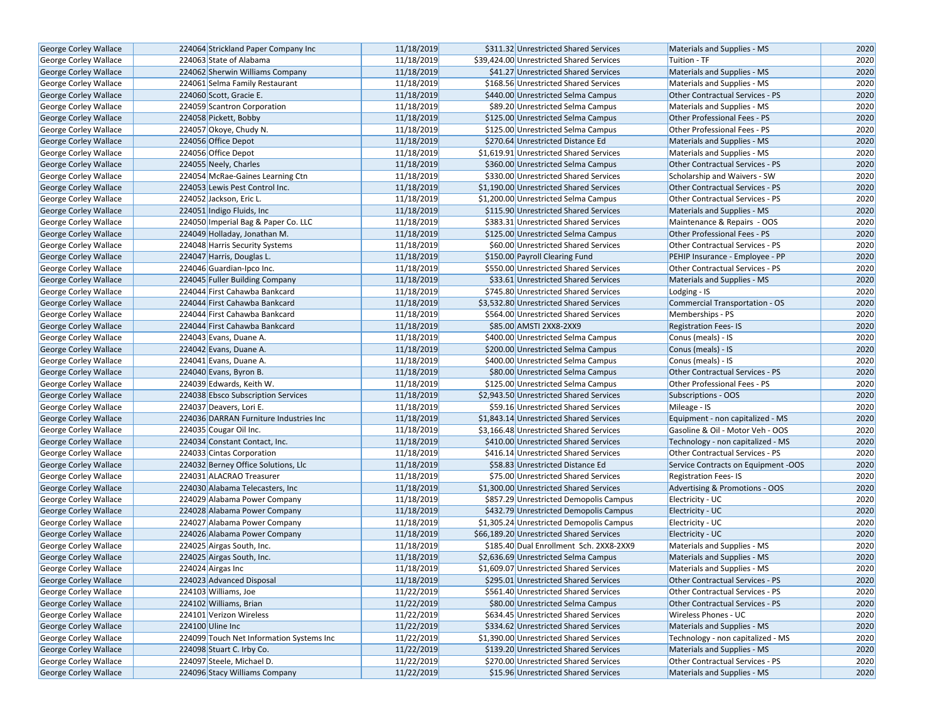| George Corley Wallace        | 224064 Strickland Paper Company Inc      | 11/18/2019 | \$311.32 Unrestricted Shared Services    | Materials and Supplies - MS         | 2020 |
|------------------------------|------------------------------------------|------------|------------------------------------------|-------------------------------------|------|
| <b>George Corley Wallace</b> | 224063 State of Alabama                  | 11/18/2019 | \$39,424.00 Unrestricted Shared Services | Tuition - TF                        | 2020 |
| <b>George Corley Wallace</b> | 224062 Sherwin Williams Company          | 11/18/2019 | \$41.27 Unrestricted Shared Services     | Materials and Supplies - MS         | 2020 |
| George Corley Wallace        | 224061 Selma Family Restaurant           | 11/18/2019 | \$168.56 Unrestricted Shared Services    | Materials and Supplies - MS         | 2020 |
| George Corley Wallace        | 224060 Scott, Gracie E.                  | 11/18/2019 | \$440.00 Unrestricted Selma Campus       | Other Contractual Services - PS     | 2020 |
| George Corley Wallace        | 224059 Scantron Corporation              | 11/18/2019 | \$89.20 Unrestricted Selma Campus        | Materials and Supplies - MS         | 2020 |
| George Corley Wallace        | 224058 Pickett, Bobby                    | 11/18/2019 | \$125.00 Unrestricted Selma Campus       | Other Professional Fees - PS        | 2020 |
| George Corley Wallace        | 224057 Okoye, Chudy N.                   | 11/18/2019 | \$125.00 Unrestricted Selma Campus       | Other Professional Fees - PS        | 2020 |
| George Corley Wallace        | 224056 Office Depot                      | 11/18/2019 | \$270.64 Unrestricted Distance Ed        | Materials and Supplies - MS         | 2020 |
| George Corley Wallace        | 224056 Office Depot                      | 11/18/2019 | \$1,619.91 Unrestricted Shared Services  | Materials and Supplies - MS         | 2020 |
| George Corley Wallace        | 224055 Neely, Charles                    | 11/18/2019 | \$360.00 Unrestricted Selma Campus       | Other Contractual Services - PS     | 2020 |
| George Corley Wallace        | 224054 McRae-Gaines Learning Ctn         | 11/18/2019 | \$330.00 Unrestricted Shared Services    | Scholarship and Waivers - SW        | 2020 |
| <b>George Corley Wallace</b> | 224053 Lewis Pest Control Inc.           | 11/18/2019 | \$1,190.00 Unrestricted Shared Services  | Other Contractual Services - PS     | 2020 |
| George Corley Wallace        | 224052 Jackson, Eric L.                  | 11/18/2019 | \$1,200.00 Unrestricted Selma Campus     | Other Contractual Services - PS     | 2020 |
| George Corley Wallace        | 224051 Indigo Fluids, Inc.               | 11/18/2019 | \$115.90 Unrestricted Shared Services    | Materials and Supplies - MS         | 2020 |
| George Corley Wallace        | 224050 Imperial Bag & Paper Co. LLC      | 11/18/2019 | \$383.31 Unrestricted Shared Services    | Maintenance & Repairs - OOS         | 2020 |
| George Corley Wallace        | 224049 Holladay, Jonathan M.             | 11/18/2019 | \$125.00 Unrestricted Selma Campus       | Other Professional Fees - PS        | 2020 |
| George Corley Wallace        | 224048 Harris Security Systems           | 11/18/2019 | \$60.00 Unrestricted Shared Services     | Other Contractual Services - PS     | 2020 |
| George Corley Wallace        | 224047 Harris, Douglas L.                | 11/18/2019 | \$150.00 Payroll Clearing Fund           | PEHIP Insurance - Employee - PP     | 2020 |
| <b>George Corley Wallace</b> | 224046 Guardian-Ipco Inc.                | 11/18/2019 | \$550.00 Unrestricted Shared Services    | Other Contractual Services - PS     | 2020 |
| George Corley Wallace        | 224045 Fuller Building Company           | 11/18/2019 | \$33.61 Unrestricted Shared Services     | Materials and Supplies - MS         | 2020 |
| George Corley Wallace        | 224044 First Cahawba Bankcard            | 11/18/2019 | \$745.80 Unrestricted Shared Services    | Lodging - IS                        | 2020 |
| George Corley Wallace        | 224044 First Cahawba Bankcard            | 11/18/2019 | \$3,532.80 Unrestricted Shared Services  | Commercial Transportation - OS      | 2020 |
| <b>George Corley Wallace</b> | 224044 First Cahawba Bankcard            | 11/18/2019 | \$564.00 Unrestricted Shared Services    | Memberships - PS                    | 2020 |
| George Corley Wallace        | 224044 First Cahawba Bankcard            | 11/18/2019 | \$85.00 AMSTI 2XX8-2XX9                  | <b>Registration Fees-IS</b>         | 2020 |
| <b>George Corley Wallace</b> | 224043 Evans, Duane A.                   | 11/18/2019 | \$400.00 Unrestricted Selma Campus       | Conus (meals) - IS                  | 2020 |
| George Corley Wallace        | 224042 Evans, Duane A.                   | 11/18/2019 | \$200.00 Unrestricted Selma Campus       | Conus (meals) - IS                  | 2020 |
| <b>George Corley Wallace</b> | 224041 Evans, Duane A.                   | 11/18/2019 | \$400.00 Unrestricted Selma Campus       | Conus (meals) - IS                  | 2020 |
| <b>George Corley Wallace</b> | 224040 Evans, Byron B.                   | 11/18/2019 | \$80.00 Unrestricted Selma Campus        | Other Contractual Services - PS     | 2020 |
| George Corley Wallace        | 224039 Edwards, Keith W.                 | 11/18/2019 | \$125.00 Unrestricted Selma Campus       | Other Professional Fees - PS        | 2020 |
| George Corley Wallace        | 224038 Ebsco Subscription Services       | 11/18/2019 | \$2,943.50 Unrestricted Shared Services  | Subscriptions - OOS                 | 2020 |
| George Corley Wallace        | 224037 Deavers, Lori E.                  | 11/18/2019 | \$59.16 Unrestricted Shared Services     | Mileage - IS                        | 2020 |
| George Corley Wallace        | 224036 DARRAN Furniture Industries Inc   | 11/18/2019 | \$1,843.14 Unrestricted Shared Services  | Equipment - non capitalized - MS    | 2020 |
| <b>George Corley Wallace</b> | 224035 Cougar Oil Inc.                   | 11/18/2019 | \$3,166.48 Unrestricted Shared Services  | Gasoline & Oil - Motor Veh - OOS    | 2020 |
| George Corley Wallace        | 224034 Constant Contact, Inc.            | 11/18/2019 | \$410.00 Unrestricted Shared Services    | Technology - non capitalized - MS   | 2020 |
| George Corley Wallace        | 224033 Cintas Corporation                | 11/18/2019 | \$416.14 Unrestricted Shared Services    | Other Contractual Services - PS     | 2020 |
| George Corley Wallace        | 224032 Berney Office Solutions, Llc      | 11/18/2019 | \$58.83 Unrestricted Distance Ed         | Service Contracts on Equipment -OOS | 2020 |
| George Corley Wallace        | 224031 ALACRAO Treasurer                 | 11/18/2019 | \$75.00 Unrestricted Shared Services     | <b>Registration Fees-IS</b>         | 2020 |
| George Corley Wallace        | 224030 Alabama Telecasters, Inc          | 11/18/2019 | \$1,300.00 Unrestricted Shared Services  | Advertising & Promotions - OOS      | 2020 |
| George Corley Wallace        | 224029 Alabama Power Company             | 11/18/2019 | \$857.29 Unrestricted Demopolis Campus   | Electricity - UC                    | 2020 |
| George Corley Wallace        | 224028 Alabama Power Company             | 11/18/2019 | \$432.79 Unrestricted Demopolis Campus   | Electricity - UC                    | 2020 |
| George Corley Wallace        | 224027 Alabama Power Company             | 11/18/2019 | \$1,305.24 Unrestricted Demopolis Campus | Electricity - UC                    | 2020 |
| <b>George Corley Wallace</b> | 224026 Alabama Power Company             | 11/18/2019 | \$66,189.20 Unrestricted Shared Services | Electricity - UC                    | 2020 |
| George Corley Wallace        | 224025 Airgas South, Inc.                | 11/18/2019 | \$185.40 Dual Enrollment Sch. 2XX8-2XX9  | Materials and Supplies - MS         | 2020 |
| George Corley Wallace        | 224025 Airgas South, Inc.                | 11/18/2019 | \$2,636.69 Unrestricted Selma Campus     | Materials and Supplies - MS         | 2020 |
| George Corley Wallace        | 224024 Airgas Inc                        | 11/18/2019 | \$1,609.07 Unrestricted Shared Services  | Materials and Supplies - MS         | 2020 |
| George Corley Wallace        | 224023 Advanced Disposal                 | 11/18/2019 | \$295.01 Unrestricted Shared Services    | Other Contractual Services - PS     | 2020 |
| George Corley Wallace        | 224103 Williams, Joe                     | 11/22/2019 | \$561.40 Unrestricted Shared Services    | Other Contractual Services - PS     | 2020 |
| <b>George Corley Wallace</b> | 224102 Williams, Brian                   | 11/22/2019 | \$80.00 Unrestricted Selma Campus        | Other Contractual Services - PS     | 2020 |
| George Corley Wallace        | 224101 Verizon Wireless                  | 11/22/2019 | \$634.45 Unrestricted Shared Services    | Wireless Phones - UC                | 2020 |
| George Corley Wallace        | 224100 Uline Inc                         | 11/22/2019 | \$334.62 Unrestricted Shared Services    | Materials and Supplies - MS         | 2020 |
| George Corley Wallace        | 224099 Touch Net Information Systems Inc | 11/22/2019 | \$1,390.00 Unrestricted Shared Services  | Technology - non capitalized - MS   | 2020 |
| <b>George Corley Wallace</b> | 224098 Stuart C. Irby Co.                | 11/22/2019 | \$139.20 Unrestricted Shared Services    | Materials and Supplies - MS         | 2020 |
| George Corley Wallace        | 224097 Steele, Michael D.                | 11/22/2019 | \$270.00 Unrestricted Shared Services    | Other Contractual Services - PS     | 2020 |
| <b>George Corley Wallace</b> | 224096 Stacy Williams Company            | 11/22/2019 | \$15.96 Unrestricted Shared Services     | Materials and Supplies - MS         | 2020 |
|                              |                                          |            |                                          |                                     |      |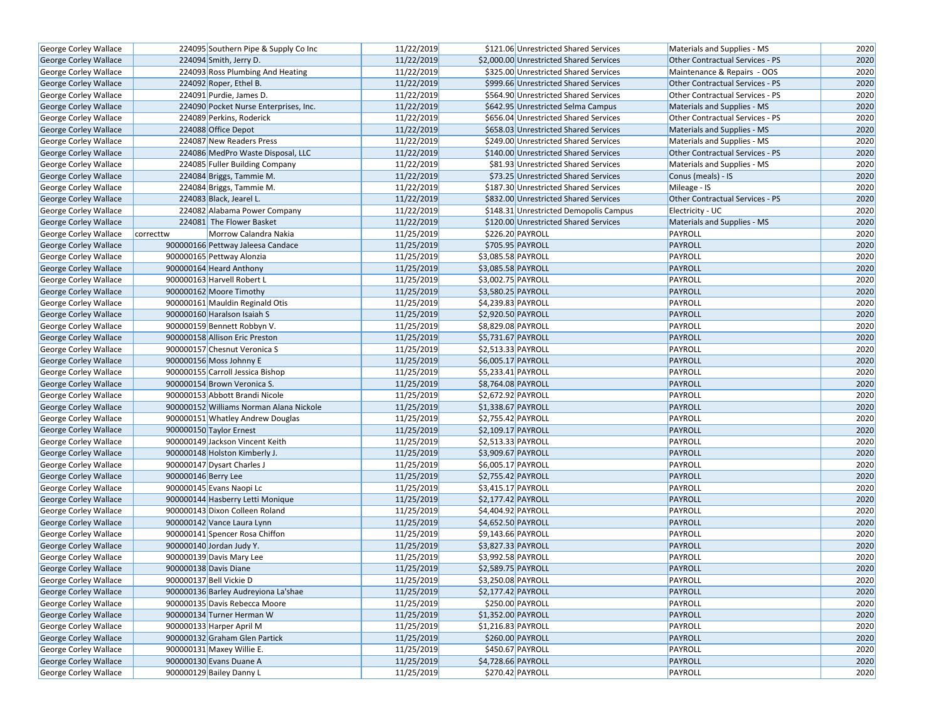| George Corley Wallace        |                     | 224095 Southern Pipe & Supply Co Inc    | 11/22/2019 |                    | \$121.06 Unrestricted Shared Services   | Materials and Supplies - MS     | 2020 |
|------------------------------|---------------------|-----------------------------------------|------------|--------------------|-----------------------------------------|---------------------------------|------|
| <b>George Corley Wallace</b> |                     | 224094 Smith, Jerry D.                  | 11/22/2019 |                    | \$2,000.00 Unrestricted Shared Services | Other Contractual Services - PS | 2020 |
| George Corley Wallace        |                     | 224093 Ross Plumbing And Heating        | 11/22/2019 |                    | \$325.00 Unrestricted Shared Services   | Maintenance & Repairs - OOS     | 2020 |
| <b>George Corley Wallace</b> |                     | 224092 Roper, Ethel B.                  | 11/22/2019 |                    | \$999.66 Unrestricted Shared Services   | Other Contractual Services - PS | 2020 |
| George Corley Wallace        |                     | 224091 Purdie, James D.                 | 11/22/2019 |                    | \$564.90 Unrestricted Shared Services   | Other Contractual Services - PS | 2020 |
| George Corley Wallace        |                     | 224090 Pocket Nurse Enterprises, Inc.   | 11/22/2019 |                    | \$642.95 Unrestricted Selma Campus      | Materials and Supplies - MS     | 2020 |
| George Corley Wallace        |                     | 224089 Perkins, Roderick                | 11/22/2019 |                    | \$656.04 Unrestricted Shared Services   | Other Contractual Services - PS | 2020 |
| George Corley Wallace        |                     | 224088 Office Depot                     | 11/22/2019 |                    | \$658.03 Unrestricted Shared Services   | Materials and Supplies - MS     | 2020 |
| George Corley Wallace        |                     | 224087 New Readers Press                | 11/22/2019 |                    | \$249.00 Unrestricted Shared Services   | Materials and Supplies - MS     | 2020 |
| George Corley Wallace        |                     | 224086 MedPro Waste Disposal, LLC       | 11/22/2019 |                    | \$140.00 Unrestricted Shared Services   | Other Contractual Services - PS | 2020 |
| George Corley Wallace        |                     | 224085 Fuller Building Company          | 11/22/2019 |                    | \$81.93 Unrestricted Shared Services    | Materials and Supplies - MS     | 2020 |
| George Corley Wallace        |                     | 224084 Briggs, Tammie M.                | 11/22/2019 |                    | \$73.25 Unrestricted Shared Services    | Conus (meals) - IS              | 2020 |
| George Corley Wallace        |                     | 224084 Briggs, Tammie M.                | 11/22/2019 |                    | \$187.30 Unrestricted Shared Services   | Mileage - IS                    | 2020 |
| George Corley Wallace        |                     | 224083 Black, Jearel L.                 | 11/22/2019 |                    | \$832.00 Unrestricted Shared Services   | Other Contractual Services - PS | 2020 |
| George Corley Wallace        |                     | 224082 Alabama Power Company            | 11/22/2019 |                    | \$148.31 Unrestricted Demopolis Campus  | Electricity - UC                | 2020 |
| <b>George Corley Wallace</b> |                     | 224081 The Flower Basket                | 11/22/2019 |                    | \$120.00 Unrestricted Shared Services   | Materials and Supplies - MS     | 2020 |
| George Corley Wallace        | correcttw           | Morrow Calandra Nakia                   | 11/25/2019 |                    | \$226.20 PAYROLL                        | PAYROLL                         | 2020 |
| George Corley Wallace        |                     | 900000166 Pettway Jaleesa Candace       | 11/25/2019 |                    | \$705.95 PAYROLL                        | PAYROLL                         | 2020 |
| George Corley Wallace        |                     | 900000165 Pettway Alonzia               | 11/25/2019 | \$3,085.58 PAYROLL |                                         | PAYROLL                         | 2020 |
| George Corley Wallace        |                     | 900000164 Heard Anthony                 | 11/25/2019 | \$3,085.58 PAYROLL |                                         | PAYROLL                         | 2020 |
| George Corley Wallace        |                     | 900000163 Harvell Robert L              | 11/25/2019 | \$3,002.75 PAYROLL |                                         | PAYROLL                         | 2020 |
| George Corley Wallace        |                     | 900000162 Moore Timothy                 | 11/25/2019 | \$3,580.25 PAYROLL |                                         | PAYROLL                         | 2020 |
| George Corley Wallace        |                     | 900000161 Mauldin Reginald Otis         | 11/25/2019 | \$4,239.83 PAYROLL |                                         | PAYROLL                         | 2020 |
| <b>George Corley Wallace</b> |                     | 900000160 Haralson Isaiah S             | 11/25/2019 | \$2,920.50 PAYROLL |                                         | PAYROLL                         | 2020 |
| George Corley Wallace        |                     | 900000159 Bennett Robbyn V.             | 11/25/2019 | \$8,829.08 PAYROLL |                                         | PAYROLL                         | 2020 |
| George Corley Wallace        |                     | 900000158 Allison Eric Preston          | 11/25/2019 | \$5,731.67 PAYROLL |                                         | PAYROLL                         | 2020 |
| George Corley Wallace        |                     | 900000157 Chesnut Veronica S            | 11/25/2019 | \$2,513.33 PAYROLL |                                         | PAYROLL                         | 2020 |
| George Corley Wallace        |                     | 900000156 Moss Johnny E                 | 11/25/2019 | \$6,005.17 PAYROLL |                                         | PAYROLL                         | 2020 |
| George Corley Wallace        |                     | 900000155 Carroll Jessica Bishop        | 11/25/2019 | \$5,233.41 PAYROLL |                                         | PAYROLL                         | 2020 |
| George Corley Wallace        |                     | 900000154 Brown Veronica S.             | 11/25/2019 | \$8,764.08 PAYROLL |                                         | PAYROLL                         | 2020 |
| George Corley Wallace        |                     | 900000153 Abbott Brandi Nicole          | 11/25/2019 | \$2,672.92 PAYROLL |                                         | PAYROLL                         | 2020 |
| George Corley Wallace        |                     | 900000152 Williams Norman Alana Nickole | 11/25/2019 | \$1,338.67 PAYROLL |                                         | PAYROLL                         | 2020 |
| George Corley Wallace        |                     | 900000151 Whatley Andrew Douglas        | 11/25/2019 | \$2,755.42 PAYROLL |                                         | PAYROLL                         | 2020 |
| <b>George Corley Wallace</b> |                     | 900000150 Taylor Ernest                 | 11/25/2019 |                    | \$2,109.17 PAYROLL                      | PAYROLL                         | 2020 |
| George Corley Wallace        |                     | 900000149 Jackson Vincent Keith         | 11/25/2019 | \$2,513.33 PAYROLL |                                         | PAYROLL                         | 2020 |
| George Corley Wallace        |                     | 900000148 Holston Kimberly J.           | 11/25/2019 | \$3,909.67 PAYROLL |                                         | PAYROLL                         | 2020 |
| <b>George Corley Wallace</b> |                     | 900000147 Dysart Charles J              | 11/25/2019 | \$6,005.17 PAYROLL |                                         | PAYROLL                         | 2020 |
| George Corley Wallace        | 900000146 Berry Lee |                                         | 11/25/2019 | \$2,755.42 PAYROLL |                                         | PAYROLL                         | 2020 |
| <b>George Corley Wallace</b> |                     | 900000145 Evans Naopi Lc                | 11/25/2019 | \$3,415.17 PAYROLL |                                         | PAYROLL                         | 2020 |
| George Corley Wallace        |                     | 900000144 Hasberry Letti Monique        | 11/25/2019 | \$2,177.42 PAYROLL |                                         | PAYROLL                         | 2020 |
| <b>George Corley Wallace</b> |                     | 900000143 Dixon Colleen Roland          | 11/25/2019 | \$4,404.92 PAYROLL |                                         | PAYROLL                         | 2020 |
| George Corley Wallace        |                     | 900000142 Vance Laura Lynn              | 11/25/2019 | \$4,652.50 PAYROLL |                                         | PAYROLL                         | 2020 |
| George Corley Wallace        |                     | 900000141 Spencer Rosa Chiffon          | 11/25/2019 | \$9,143.66 PAYROLL |                                         | PAYROLL                         | 2020 |
| <b>George Corley Wallace</b> |                     | 900000140 Jordan Judy Y.                | 11/25/2019 | \$3,827.33 PAYROLL |                                         | PAYROLL                         | 2020 |
| <b>George Corley Wallace</b> |                     | 900000139 Davis Mary Lee                | 11/25/2019 | \$3,992.58 PAYROLL |                                         | PAYROLL                         | 2020 |
| George Corley Wallace        |                     | 900000138 Davis Diane                   | 11/25/2019 | \$2,589.75 PAYROLL |                                         | PAYROLL                         | 2020 |
| George Corley Wallace        |                     | 900000137 Bell Vickie D                 | 11/25/2019 |                    | \$3,250.08 PAYROLL                      | PAYROLL                         | 2020 |
| George Corley Wallace        |                     | 900000136 Barley Audreyiona La'shae     | 11/25/2019 |                    | \$2,177.42 PAYROLL                      | <b>PAYROLL</b>                  | 2020 |
| George Corley Wallace        |                     | 900000135 Davis Rebecca Moore           | 11/25/2019 |                    | \$250.00 PAYROLL                        | PAYROLL                         | 2020 |
| <b>George Corley Wallace</b> |                     | 900000134 Turner Herman W               | 11/25/2019 |                    | \$1,352.00 PAYROLL                      | <b>PAYROLL</b>                  | 2020 |
| George Corley Wallace        |                     | 900000133 Harper April M                | 11/25/2019 |                    | \$1,216.83 PAYROLL                      | PAYROLL                         | 2020 |
| George Corley Wallace        |                     | 900000132 Graham Glen Partick           | 11/25/2019 |                    | \$260.00 PAYROLL                        | <b>PAYROLL</b>                  | 2020 |
| George Corley Wallace        |                     | 900000131 Maxey Willie E.               | 11/25/2019 |                    | \$450.67 PAYROLL                        | PAYROLL                         | 2020 |
| George Corley Wallace        |                     | 900000130 Evans Duane A                 | 11/25/2019 |                    | \$4,728.66 PAYROLL                      | PAYROLL                         | 2020 |
| George Corley Wallace        |                     | 900000129 Bailey Danny L                | 11/25/2019 |                    | \$270.42 PAYROLL                        | PAYROLL                         | 2020 |
|                              |                     |                                         |            |                    |                                         |                                 |      |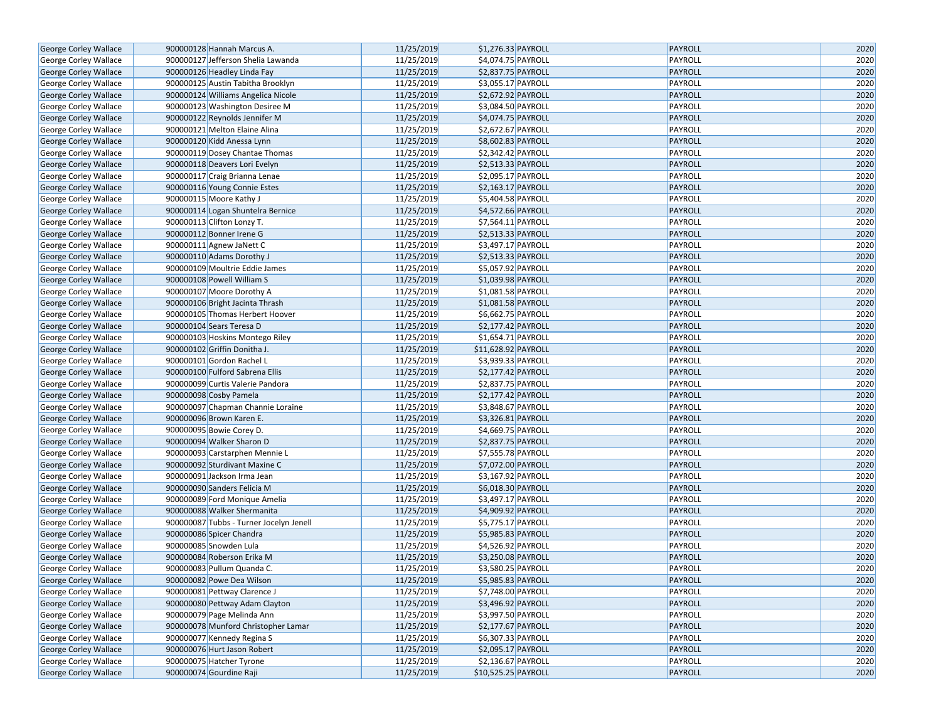| George Corley Wallace        |                            | 900000128 Hannah Marcus A.              | 11/25/2019 | \$1,276.33 PAYROLL  | PAYROLL        | 2020 |
|------------------------------|----------------------------|-----------------------------------------|------------|---------------------|----------------|------|
| George Corley Wallace        |                            | 900000127 Jefferson Shelia Lawanda      | 11/25/2019 | \$4,074.75 PAYROLL  | PAYROLL        | 2020 |
| George Corley Wallace        |                            | 900000126 Headley Linda Fay             | 11/25/2019 | \$2,837.75 PAYROLL  | PAYROLL        | 2020 |
| George Corley Wallace        |                            | 900000125 Austin Tabitha Brooklyn       | 11/25/2019 | \$3,055.17 PAYROLL  | PAYROLL        | 2020 |
| George Corley Wallace        |                            | 900000124 Williams Angelica Nicole      | 11/25/2019 | \$2,672.92 PAYROLL  | PAYROLL        | 2020 |
| George Corley Wallace        |                            | 900000123 Washington Desiree M          | 11/25/2019 | \$3,084.50 PAYROLL  | PAYROLL        | 2020 |
| George Corley Wallace        |                            | 900000122 Reynolds Jennifer M           | 11/25/2019 | \$4,074.75 PAYROLL  | <b>PAYROLL</b> | 2020 |
| George Corley Wallace        |                            | 900000121 Melton Elaine Alina           | 11/25/2019 | \$2,672.67 PAYROLL  | PAYROLL        | 2020 |
| George Corley Wallace        |                            | 900000120 Kidd Anessa Lynn              | 11/25/2019 | \$8,602.83 PAYROLL  | PAYROLL        | 2020 |
| George Corley Wallace        |                            | 900000119 Dosey Chantae Thomas          | 11/25/2019 | \$2,342.42 PAYROLL  | PAYROLL        | 2020 |
| George Corley Wallace        |                            | 900000118 Deavers Lori Evelyn           | 11/25/2019 | \$2,513.33 PAYROLL  | PAYROLL        | 2020 |
| George Corley Wallace        |                            | 900000117 Craig Brianna Lenae           | 11/25/2019 | \$2,095.17 PAYROLL  | PAYROLL        | 2020 |
| George Corley Wallace        |                            | 900000116 Young Connie Estes            | 11/25/2019 | \$2,163.17 PAYROLL  | PAYROLL        | 2020 |
| George Corley Wallace        | 900000115 Moore Kathy J    |                                         | 11/25/2019 | \$5,404.58 PAYROLL  | PAYROLL        | 2020 |
| George Corley Wallace        |                            | 900000114 Logan Shuntelra Bernice       | 11/25/2019 | \$4,572.66 PAYROLL  | PAYROLL        | 2020 |
| George Corley Wallace        | 900000113 Clifton Lonzy T. |                                         | 11/25/2019 | \$7,564.11 PAYROLL  | PAYROLL        | 2020 |
| George Corley Wallace        | 900000112 Bonner Irene G   |                                         | 11/25/2019 | \$2,513.33 PAYROLL  | <b>PAYROLL</b> | 2020 |
| George Corley Wallace        | 900000111 Agnew JaNett C   |                                         | 11/25/2019 | \$3,497.17 PAYROLL  | PAYROLL        | 2020 |
| George Corley Wallace        |                            | 900000110 Adams Dorothy J               | 11/25/2019 | \$2,513.33 PAYROLL  | PAYROLL        | 2020 |
| George Corley Wallace        |                            | 900000109 Moultrie Eddie James          | 11/25/2019 | \$5,057.92 PAYROLL  | PAYROLL        | 2020 |
| <b>George Corley Wallace</b> |                            | 900000108 Powell William S              | 11/25/2019 | \$1,039.98 PAYROLL  | PAYROLL        | 2020 |
| George Corley Wallace        |                            | 900000107 Moore Dorothy A               | 11/25/2019 | \$1,081.58 PAYROLL  | PAYROLL        | 2020 |
| George Corley Wallace        |                            | 900000106 Bright Jacinta Thrash         | 11/25/2019 | \$1,081.58 PAYROLL  | PAYROLL        | 2020 |
| George Corley Wallace        |                            | 900000105 Thomas Herbert Hoover         | 11/25/2019 | \$6,662.75 PAYROLL  | PAYROLL        | 2020 |
| <b>George Corley Wallace</b> | 900000104 Sears Teresa D   |                                         | 11/25/2019 | \$2,177.42 PAYROLL  | PAYROLL        | 2020 |
| George Corley Wallace        |                            | 900000103 Hoskins Montego Riley         | 11/25/2019 | \$1,654.71 PAYROLL  | PAYROLL        | 2020 |
| George Corley Wallace        |                            | 900000102 Griffin Donitha J.            | 11/25/2019 | \$11,628.92 PAYROLL | PAYROLL        | 2020 |
| George Corley Wallace        | 900000101 Gordon Rachel L  |                                         | 11/25/2019 | \$3,939.33 PAYROLL  | PAYROLL        | 2020 |
| George Corley Wallace        |                            | 900000100 Fulford Sabrena Ellis         | 11/25/2019 | \$2,177.42 PAYROLL  | PAYROLL        | 2020 |
| George Corley Wallace        |                            | 900000099 Curtis Valerie Pandora        | 11/25/2019 | \$2,837.75 PAYROLL  | PAYROLL        | 2020 |
| George Corley Wallace        | 900000098 Cosby Pamela     |                                         | 11/25/2019 | \$2,177.42 PAYROLL  | PAYROLL        | 2020 |
| George Corley Wallace        |                            | 900000097 Chapman Channie Loraine       | 11/25/2019 | \$3,848.67 PAYROLL  | PAYROLL        | 2020 |
| George Corley Wallace        | 900000096 Brown Karen E.   |                                         | 11/25/2019 | \$3,326.81 PAYROLL  | PAYROLL        | 2020 |
| George Corley Wallace        | 900000095 Bowie Corey D.   |                                         | 11/25/2019 | \$4,669.75 PAYROLL  | PAYROLL        | 2020 |
| George Corley Wallace        |                            | 900000094 Walker Sharon D               | 11/25/2019 | \$2,837.75 PAYROLL  | PAYROLL        | 2020 |
| George Corley Wallace        |                            | 900000093 Carstarphen Mennie L          | 11/25/2019 | \$7,555.78 PAYROLL  | PAYROLL        | 2020 |
| George Corley Wallace        |                            | 900000092 Sturdivant Maxine C           | 11/25/2019 | \$7,072.00 PAYROLL  | PAYROLL        | 2020 |
| George Corley Wallace        |                            | 900000091 Jackson Irma Jean             | 11/25/2019 | \$3,167.92 PAYROLL  | PAYROLL        | 2020 |
| George Corley Wallace        |                            | 900000090 Sanders Felicia M             | 11/25/2019 | \$6,018.30 PAYROLL  | PAYROLL        | 2020 |
| George Corley Wallace        |                            | 900000089 Ford Monique Amelia           | 11/25/2019 | \$3,497.17 PAYROLL  | PAYROLL        | 2020 |
| George Corley Wallace        |                            | 900000088 Walker Shermanita             | 11/25/2019 | \$4,909.92 PAYROLL  | PAYROLL        | 2020 |
| George Corley Wallace        |                            | 900000087 Tubbs - Turner Jocelyn Jenell | 11/25/2019 | \$5,775.17 PAYROLL  | PAYROLL        | 2020 |
| George Corley Wallace        | 900000086 Spicer Chandra   |                                         | 11/25/2019 | \$5,985.83 PAYROLL  | PAYROLL        | 2020 |
| George Corley Wallace        | 900000085 Snowden Lula     |                                         | 11/25/2019 | \$4,526.92 PAYROLL  | PAYROLL        | 2020 |
| George Corley Wallace        |                            | 900000084 Roberson Erika M              | 11/25/2019 | \$3,250.08 PAYROLL  | PAYROLL        | 2020 |
| George Corley Wallace        |                            | 900000083 Pullum Quanda C.              | 11/25/2019 | \$3,580.25 PAYROLL  | PAYROLL        | 2020 |
| George Corley Wallace        |                            | 900000082 Powe Dea Wilson               | 11/25/2019 | \$5,985.83 PAYROLL  | PAYROLL        | 2020 |
| George Corley Wallace        |                            | 900000081 Pettway Clarence J            | 11/25/2019 | \$7,748.00 PAYROLL  | PAYROLL        | 2020 |
| George Corley Wallace        |                            | 900000080 Pettway Adam Clayton          | 11/25/2019 | \$3,496.92 PAYROLL  | PAYROLL        | 2020 |
| George Corley Wallace        |                            | 900000079 Page Melinda Ann              | 11/25/2019 |                     | PAYROLL        | 2020 |
|                              |                            | 900000078 Munford Christopher Lamar     |            | \$3,997.50 PAYROLL  |                |      |
| George Corley Wallace        |                            | 900000077 Kennedy Regina S              | 11/25/2019 | \$2,177.67 PAYROLL  | PAYROLL        | 2020 |
| George Corley Wallace        |                            |                                         | 11/25/2019 | \$6,307.33 PAYROLL  | PAYROLL        | 2020 |
| George Corley Wallace        |                            | 900000076 Hurt Jason Robert             | 11/25/2019 | \$2,095.17 PAYROLL  | PAYROLL        | 2020 |
| George Corley Wallace        | 900000075 Hatcher Tyrone   |                                         | 11/25/2019 | \$2,136.67 PAYROLL  | PAYROLL        | 2020 |
| <b>George Corley Wallace</b> | 900000074 Gourdine Raji    |                                         | 11/25/2019 | \$10,525.25 PAYROLL | PAYROLL        | 2020 |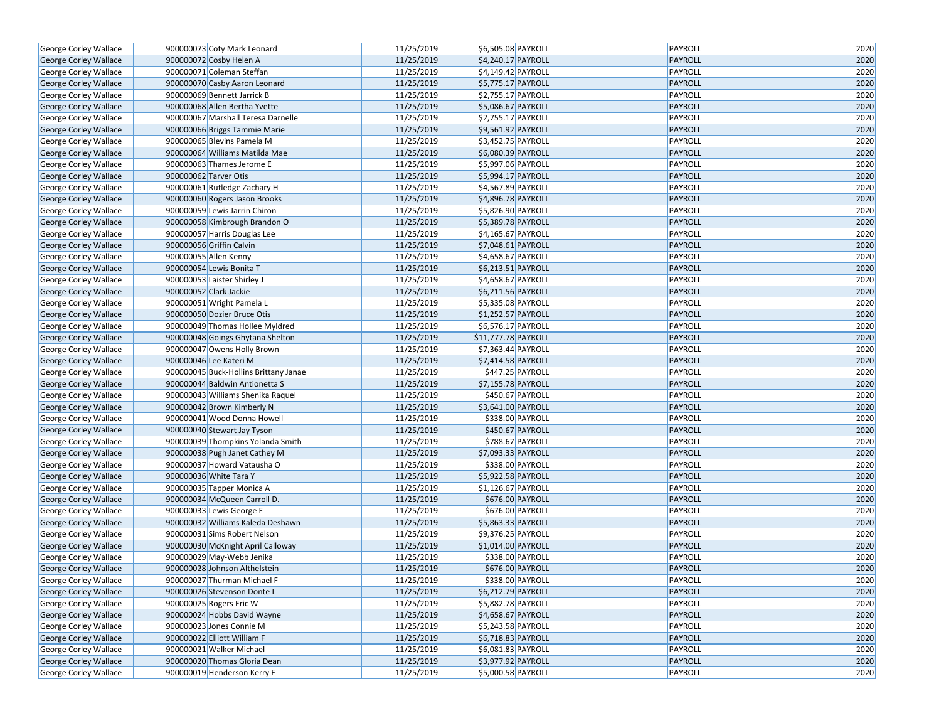| George Corley Wallace        | 900000073 Coty Mark Leonard           | 11/25/2019 | \$6,505.08 PAYROLL             | PAYROLL        | 2020 |
|------------------------------|---------------------------------------|------------|--------------------------------|----------------|------|
| George Corley Wallace        | 900000072 Cosby Helen A               | 11/25/2019 | \$4,240.17 PAYROLL             | <b>PAYROLL</b> | 2020 |
| George Corley Wallace        | 900000071 Coleman Steffan             | 11/25/2019 | \$4,149.42 PAYROLL             | PAYROLL        | 2020 |
| George Corley Wallace        | 900000070 Casby Aaron Leonard         | 11/25/2019 | \$5,775.17 PAYROLL             | PAYROLL        | 2020 |
| George Corley Wallace        | 900000069 Bennett Jarrick B           | 11/25/2019 | \$2,755.17 PAYROLL             | PAYROLL        | 2020 |
| George Corley Wallace        | 900000068 Allen Bertha Yvette         | 11/25/2019 | \$5,086.67 PAYROLL             | <b>PAYROLL</b> | 2020 |
| George Corley Wallace        | 900000067 Marshall Teresa Darnelle    | 11/25/2019 | \$2,755.17 PAYROLL             | PAYROLL        | 2020 |
| George Corley Wallace        | 900000066 Briggs Tammie Marie         | 11/25/2019 | \$9,561.92 PAYROLL             | PAYROLL        | 2020 |
| George Corley Wallace        | 900000065 Blevins Pamela M            | 11/25/2019 | \$3,452.75 PAYROLL             | PAYROLL        | 2020 |
| George Corley Wallace        | 900000064 Williams Matilda Mae        | 11/25/2019 | \$6,080.39 PAYROLL             | PAYROLL        | 2020 |
| George Corley Wallace        | 900000063 Thames Jerome E             | 11/25/2019 | \$5,997.06 PAYROLL             | PAYROLL        | 2020 |
| George Corley Wallace        | 900000062 Tarver Otis                 | 11/25/2019 | \$5,994.17 PAYROLL             | PAYROLL        | 2020 |
| George Corley Wallace        | 900000061 Rutledge Zachary H          | 11/25/2019 | \$4,567.89 PAYROLL             | PAYROLL        | 2020 |
| George Corley Wallace        | 900000060 Rogers Jason Brooks         | 11/25/2019 | \$4,896.78 PAYROLL             | PAYROLL        | 2020 |
| George Corley Wallace        | 900000059 Lewis Jarrin Chiron         | 11/25/2019 | \$5,826.90 PAYROLL             | PAYROLL        | 2020 |
| George Corley Wallace        | 900000058 Kimbrough Brandon O         | 11/25/2019 | \$5,389.78 PAYROLL             | PAYROLL        | 2020 |
| George Corley Wallace        | 900000057 Harris Douglas Lee          | 11/25/2019 | \$4,165.67 PAYROLL             | PAYROLL        | 2020 |
| George Corley Wallace        | 900000056 Griffin Calvin              | 11/25/2019 | \$7,048.61 PAYROLL             | PAYROLL        | 2020 |
| George Corley Wallace        | 900000055 Allen Kenny                 | 11/25/2019 | $\overline{$4,658.67}$ PAYROLL | PAYROLL        | 2020 |
| George Corley Wallace        | 900000054 Lewis Bonita T              | 11/25/2019 | \$6,213.51 PAYROLL             | PAYROLL        | 2020 |
| George Corley Wallace        | 900000053 Laister Shirley J           | 11/25/2019 | \$4,658.67 PAYROLL             | PAYROLL        | 2020 |
| George Corley Wallace        | 900000052 Clark Jackie                | 11/25/2019 | \$6,211.56 PAYROLL             | PAYROLL        | 2020 |
| George Corley Wallace        | 900000051 Wright Pamela L             | 11/25/2019 | \$5,335.08 PAYROLL             | PAYROLL        | 2020 |
| George Corley Wallace        | 900000050 Dozier Bruce Otis           | 11/25/2019 | \$1,252.57 PAYROLL             | PAYROLL        | 2020 |
| George Corley Wallace        | 900000049 Thomas Hollee Myldred       | 11/25/2019 | \$6,576.17 PAYROLL             | PAYROLL        | 2020 |
| George Corley Wallace        | 900000048 Goings Ghytana Shelton      | 11/25/2019 | \$11,777.78 PAYROLL            | PAYROLL        | 2020 |
| George Corley Wallace        | 900000047 Owens Holly Brown           | 11/25/2019 | \$7,363.44 PAYROLL             | PAYROLL        | 2020 |
| George Corley Wallace        | 900000046 Lee Kateri M                | 11/25/2019 | \$7,414.58 PAYROLL             | PAYROLL        | 2020 |
| George Corley Wallace        | 900000045 Buck-Hollins Brittany Janae | 11/25/2019 | \$447.25 PAYROLL               | PAYROLL        | 2020 |
| George Corley Wallace        | 900000044 Baldwin Antionetta S        | 11/25/2019 | \$7,155.78 PAYROLL             | PAYROLL        | 2020 |
| George Corley Wallace        | 900000043 Williams Shenika Raquel     | 11/25/2019 | \$450.67 PAYROLL               | PAYROLL        | 2020 |
| George Corley Wallace        | 900000042 Brown Kimberly N            | 11/25/2019 | \$3,641.00 PAYROLL             | PAYROLL        | 2020 |
| George Corley Wallace        | 900000041 Wood Donna Howell           | 11/25/2019 | \$338.00 PAYROLL               | PAYROLL        | 2020 |
| George Corley Wallace        | 900000040 Stewart Jay Tyson           | 11/25/2019 | \$450.67 PAYROLL               | PAYROLL        | 2020 |
| George Corley Wallace        | 900000039 Thompkins Yolanda Smith     | 11/25/2019 | \$788.67 PAYROLL               | PAYROLL        | 2020 |
| George Corley Wallace        | 900000038 Pugh Janet Cathey M         | 11/25/2019 | \$7,093.33 PAYROLL             | PAYROLL        | 2020 |
| George Corley Wallace        | 900000037 Howard Vatausha O           | 11/25/2019 | \$338.00 PAYROLL               | PAYROLL        | 2020 |
| George Corley Wallace        | 900000036 White Tara Y                | 11/25/2019 | \$5,922.58 PAYROLL             | <b>PAYROLL</b> | 2020 |
| George Corley Wallace        | 900000035 Tapper Monica A             | 11/25/2019 | \$1,126.67 PAYROLL             | PAYROLL        | 2020 |
| George Corley Wallace        | 900000034 McQueen Carroll D.          | 11/25/2019 | \$676.00 PAYROLL               | PAYROLL        | 2020 |
| George Corley Wallace        | 900000033 Lewis George E              | 11/25/2019 | \$676.00 PAYROLL               | PAYROLL        | 2020 |
| George Corley Wallace        | 900000032 Williams Kaleda Deshawn     | 11/25/2019 | \$5,863.33 PAYROLL             | PAYROLL        | 2020 |
| George Corley Wallace        | 900000031 Sims Robert Nelson          | 11/25/2019 | \$9,376.25 PAYROLL             | PAYROLL        | 2020 |
| George Corley Wallace        | 900000030 McKnight April Calloway     | 11/25/2019 | \$1,014.00 PAYROLL             | PAYROLL        | 2020 |
| George Corley Wallace        | 900000029 May-Webb Jenika             | 11/25/2019 | \$338.00 PAYROLL               | PAYROLL        | 2020 |
| George Corley Wallace        | 900000028 Johnson Althelstein         | 11/25/2019 | \$676.00 PAYROLL               | PAYROLL        | 2020 |
| George Corley Wallace        | 900000027 Thurman Michael F           | 11/25/2019 | \$338.00 PAYROLL               | PAYROLL        | 2020 |
| George Corley Wallace        | 900000026 Stevenson Donte L           | 11/25/2019 | \$6,212.79 PAYROLL             | <b>PAYROLL</b> | 2020 |
| George Corley Wallace        | 900000025 Rogers Eric W               | 11/25/2019 | \$5,882.78 PAYROLL             | PAYROLL        | 2020 |
| <b>George Corley Wallace</b> | 900000024 Hobbs David Wayne           | 11/25/2019 | \$4,658.67 PAYROLL             | <b>PAYROLL</b> | 2020 |
| George Corley Wallace        | 900000023 Jones Connie M              | 11/25/2019 | \$5,243.58 PAYROLL             | PAYROLL        | 2020 |
| George Corley Wallace        | 900000022 Elliott William F           | 11/25/2019 | \$6,718.83 PAYROLL             | <b>PAYROLL</b> | 2020 |
| George Corley Wallace        | 900000021 Walker Michael              | 11/25/2019 | \$6,081.83 PAYROLL             | PAYROLL        | 2020 |
| George Corley Wallace        | 900000020 Thomas Gloria Dean          | 11/25/2019 | \$3,977.92 PAYROLL             | <b>PAYROLL</b> | 2020 |
| <b>George Corley Wallace</b> | 900000019 Henderson Kerry E           | 11/25/2019 | \$5,000.58 PAYROLL             | PAYROLL        | 2020 |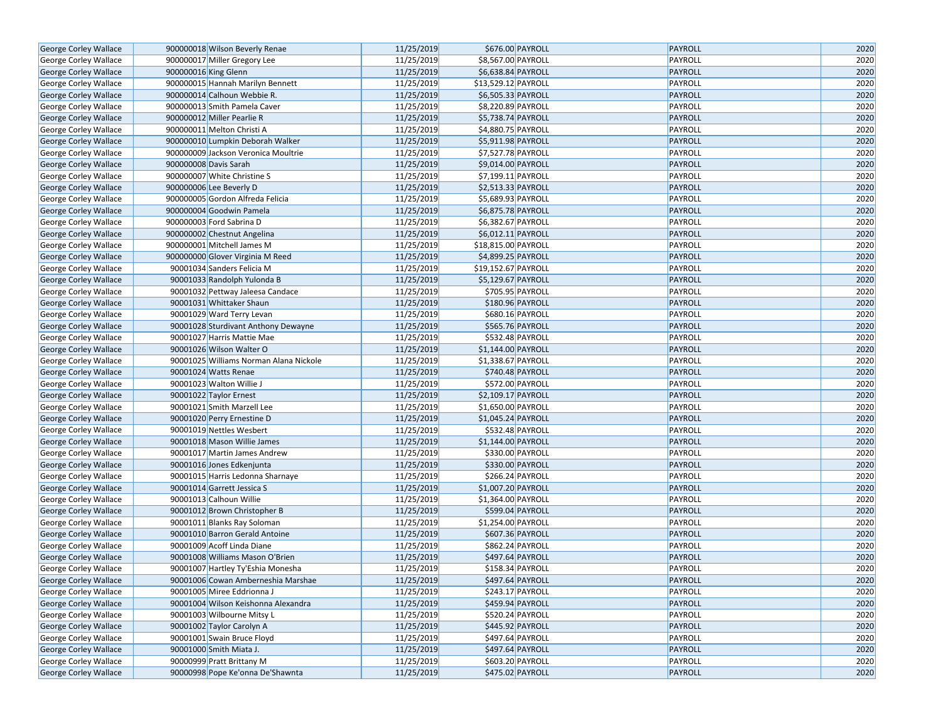| George Corley Wallace        | 900000018 Wilson Beverly Renae                                | 11/25/2019               | \$676.00 PAYROLL                         | PAYROLL                   | 2020         |
|------------------------------|---------------------------------------------------------------|--------------------------|------------------------------------------|---------------------------|--------------|
| George Corley Wallace        | 900000017 Miller Gregory Lee                                  | 11/25/2019               | \$8,567.00 PAYROLL                       | PAYROLL                   | 2020         |
| <b>George Corley Wallace</b> | 900000016 King Glenn                                          | 11/25/2019               | \$6,638.84 PAYROLL                       | <b>PAYROLL</b>            | 2020         |
| George Corley Wallace        | 900000015 Hannah Marilyn Bennett                              | 11/25/2019               | \$13,529.12 PAYROLL                      | PAYROLL                   | 2020         |
| George Corley Wallace        | 900000014 Calhoun Webbie R.                                   | 11/25/2019               | \$6,505.33 PAYROLL                       | <b>PAYROLL</b>            | 2020         |
| George Corley Wallace        | 900000013 Smith Pamela Caver                                  | 11/25/2019               | \$8,220.89 PAYROLL                       | PAYROLL                   | 2020         |
| George Corley Wallace        | 900000012 Miller Pearlie R                                    | 11/25/2019               | \$5,738.74 PAYROLL                       | <b>PAYROLL</b>            | 2020         |
| George Corley Wallace        | 900000011 Melton Christi A                                    | 11/25/2019               | \$4,880.75 PAYROLL                       | PAYROLL                   | 2020         |
| George Corley Wallace        | 900000010 Lumpkin Deborah Walker                              | 11/25/2019               | \$5,911.98 PAYROLL                       | <b>PAYROLL</b>            | 2020         |
| George Corley Wallace        | 900000009 Jackson Veronica Moultrie                           | 11/25/2019               | \$7,527.78 PAYROLL                       | PAYROLL                   | 2020         |
| George Corley Wallace        | 900000008 Davis Sarah                                         | 11/25/2019               | \$9,014.00 PAYROLL                       | <b>PAYROLL</b>            | 2020         |
| George Corley Wallace        | 900000007 White Christine S                                   | 11/25/2019               | \$7,199.11 PAYROLL                       | PAYROLL                   | 2020         |
| George Corley Wallace        | 900000006 Lee Beverly D                                       | 11/25/2019               | \$2,513.33 PAYROLL                       | <b>PAYROLL</b>            | 2020         |
| George Corley Wallace        | 900000005 Gordon Alfreda Felicia                              | 11/25/2019               | \$5,689.93 PAYROLL                       | PAYROLL                   | 2020         |
| George Corley Wallace        | 900000004 Goodwin Pamela                                      | 11/25/2019               | \$6,875.78 PAYROLL                       | <b>PAYROLL</b>            | 2020         |
| George Corley Wallace        | 900000003 Ford Sabrina D                                      | 11/25/2019               | \$6,382.67 PAYROLL                       | PAYROLL                   | 2020         |
| George Corley Wallace        | 900000002 Chestnut Angelina                                   | 11/25/2019               | \$6,012.11 PAYROLL                       | <b>PAYROLL</b>            | 2020         |
| George Corley Wallace        | 900000001 Mitchell James M                                    | 11/25/2019               | \$18,815.00 PAYROLL                      | PAYROLL                   | 2020         |
| George Corley Wallace        | 900000000 Glover Virginia M Reed                              | 11/25/2019               | \$4,899.25 PAYROLL                       | <b>PAYROLL</b>            | 2020         |
| George Corley Wallace        | 90001034 Sanders Felicia M                                    | 11/25/2019               | \$19,152.67 PAYROLL                      | PAYROLL                   | 2020         |
| George Corley Wallace        | 90001033 Randolph Yulonda B                                   | 11/25/2019               | \$5,129.67 PAYROLL                       | <b>PAYROLL</b>            | 2020         |
| George Corley Wallace        | 90001032 Pettway Jaleesa Candace                              | 11/25/2019               | \$705.95 PAYROLL                         | PAYROLL                   | 2020         |
| George Corley Wallace        | 90001031 Whittaker Shaun                                      | 11/25/2019               | \$180.96 PAYROLL                         | <b>PAYROLL</b>            | 2020         |
| George Corley Wallace        | 90001029 Ward Terry Levan                                     | 11/25/2019               | \$680.16 PAYROLL                         | PAYROLL                   | 2020         |
| George Corley Wallace        | 90001028 Sturdivant Anthony Dewayne                           | 11/25/2019               | \$565.76 PAYROLL                         | <b>PAYROLL</b>            | 2020         |
| George Corley Wallace        | 90001027 Harris Mattie Mae                                    | 11/25/2019               | \$532.48 PAYROLL                         | PAYROLL                   | 2020         |
| George Corley Wallace        | 90001026 Wilson Walter O                                      | 11/25/2019               | \$1,144.00 PAYROLL                       | <b>PAYROLL</b>            | 2020         |
| George Corley Wallace        | 90001025 Williams Norman Alana Nickole                        | 11/25/2019               | \$1,338.67 PAYROLL                       | PAYROLL                   | 2020         |
| George Corley Wallace        | 90001024 Watts Renae                                          | 11/25/2019               | \$740.48 PAYROLL                         | <b>PAYROLL</b>            | 2020         |
|                              | 90001023 Walton Willie J                                      | 11/25/2019               | \$572.00 PAYROLL                         | PAYROLL                   | 2020         |
| George Corley Wallace        |                                                               | 11/25/2019               | \$2,109.17 PAYROLL                       | <b>PAYROLL</b>            | 2020         |
| George Corley Wallace        | 90001022 Taylor Ernest                                        | 11/25/2019               |                                          |                           | 2020         |
| George Corley Wallace        | 90001021 Smith Marzell Lee<br>90001020 Perry Ernestine D      | 11/25/2019               | \$1,650.00 PAYROLL<br>\$1,045.24 PAYROLL | PAYROLL<br><b>PAYROLL</b> | 2020         |
| George Corley Wallace        |                                                               |                          |                                          |                           |              |
| George Corley Wallace        | 90001019 Nettles Wesbert                                      | 11/25/2019<br>11/25/2019 | \$532.48 PAYROLL                         | PAYROLL                   | 2020<br>2020 |
| George Corley Wallace        | 90001018 Mason Willie James                                   | 11/25/2019               | \$1,144.00 PAYROLL<br>\$330.00 PAYROLL   | <b>PAYROLL</b><br>PAYROLL | 2020         |
| George Corley Wallace        | 90001017 Martin James Andrew                                  | 11/25/2019               |                                          | <b>PAYROLL</b>            | 2020         |
| <b>George Corley Wallace</b> | 90001016 Jones Edkenjunta<br>90001015 Harris Ledonna Sharnaye | 11/25/2019               | \$330.00 PAYROLL<br>\$266.24 PAYROLL     | PAYROLL                   | 2020         |
| George Corley Wallace        |                                                               |                          |                                          |                           | 2020         |
| George Corley Wallace        | 90001014 Garrett Jessica S                                    | 11/25/2019               | \$1,007.20 PAYROLL                       | <b>PAYROLL</b>            |              |
| George Corley Wallace        | 90001013 Calhoun Willie                                       | 11/25/2019               | \$1,364.00 PAYROLL<br>\$599.04 PAYROLL   | PAYROLL                   | 2020         |
| <b>George Corley Wallace</b> | 90001012 Brown Christopher B                                  | 11/25/2019<br>11/25/2019 |                                          | <b>PAYROLL</b><br>PAYROLL | 2020<br>2020 |
| George Corley Wallace        | 90001011 Blanks Ray Soloman                                   |                          | \$1,254.00 PAYROLL                       |                           |              |
| George Corley Wallace        | 90001010 Barron Gerald Antoine                                | 11/25/2019               | \$607.36 PAYROLL                         | <b>PAYROLL</b>            | 2020         |
| George Corley Wallace        | 90001009 Acoff Linda Diane                                    | 11/25/2019               | \$862.24 PAYROLL                         | PAYROLL                   | 2020         |
| <b>George Corley Wallace</b> | 90001008 Williams Mason O'Brien                               | 11/25/2019               | \$497.64 PAYROLL                         | <b>PAYROLL</b>            | 2020         |
| George Corley Wallace        | 90001007 Hartley Ty'Eshia Monesha                             | 11/25/2019               | \$158.34 PAYROLL                         | PAYROLL                   | 2020         |
| George Corley Wallace        | 90001006 Cowan Amberneshia Marshae                            | 11/25/2019               | \$497.64 PAYROLL                         | PAYROLL                   | 2020         |
| George Corley Wallace        | 90001005 Miree Eddrionna J                                    | 11/25/2019               | \$243.17 PAYROLL                         | PAYROLL                   | 2020         |
| George Corley Wallace        | 90001004 Wilson Keishonna Alexandra                           | 11/25/2019               | \$459.94 PAYROLL                         | <b>PAYROLL</b>            | 2020         |
| <b>George Corley Wallace</b> | 90001003 Wilbourne Mitsy L                                    | 11/25/2019               | \$520.24 PAYROLL                         | PAYROLL                   | 2020         |
| George Corley Wallace        | 90001002 Taylor Carolyn A                                     | 11/25/2019               | \$445.92 PAYROLL                         | <b>PAYROLL</b>            | 2020         |
| George Corley Wallace        | 90001001 Swain Bruce Floyd                                    | 11/25/2019               | \$497.64 PAYROLL                         | PAYROLL                   | 2020         |
| George Corley Wallace        | 90001000 Smith Miata J.                                       | 11/25/2019               | $$497.64$ PAYROLL                        | PAYROLL                   | 2020         |
| George Corley Wallace        | 90000999 Pratt Brittany M                                     | 11/25/2019               | \$603.20 PAYROLL                         | PAYROLL                   | 2020         |
| George Corley Wallace        | 90000998 Pope Ke'onna De'Shawnta                              | 11/25/2019               | \$475.02 PAYROLL                         | PAYROLL                   | 2020         |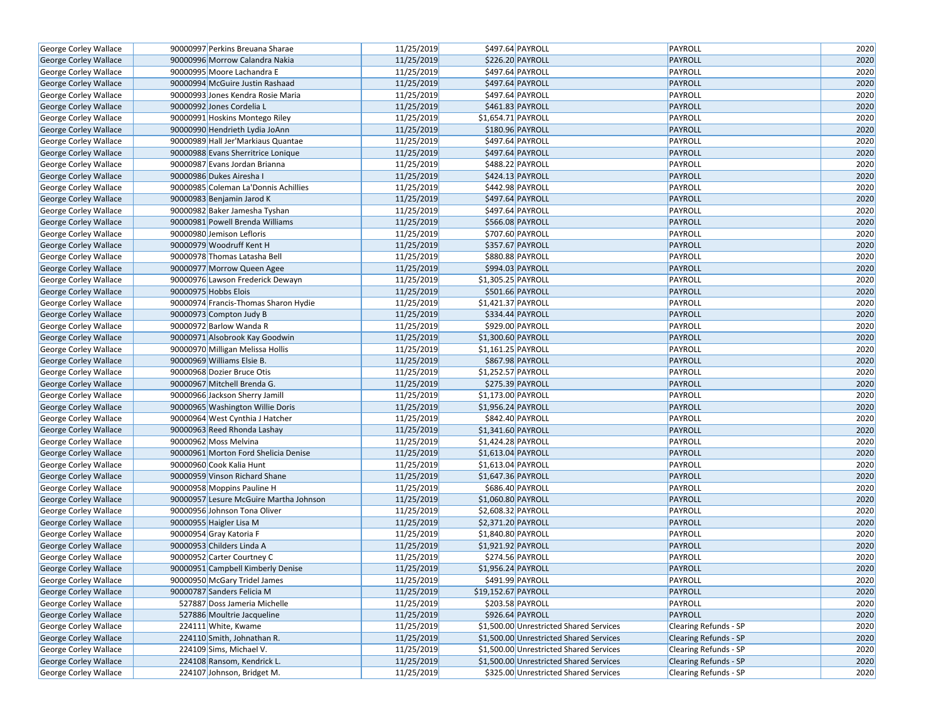| George Corley Wallace        | 90000997 Perkins Breuana Sharae        | 11/25/2019 | \$497.64 PAYROLL                        | PAYROLL               | 2020 |
|------------------------------|----------------------------------------|------------|-----------------------------------------|-----------------------|------|
| George Corley Wallace        | 90000996 Morrow Calandra Nakia         | 11/25/2019 | \$226.20 PAYROLL                        | PAYROLL               | 2020 |
| George Corley Wallace        | 90000995 Moore Lachandra E             | 11/25/2019 | \$497.64 PAYROLL                        | PAYROLL               | 2020 |
| George Corley Wallace        | 90000994 McGuire Justin Rashaad        | 11/25/2019 | \$497.64 PAYROLL                        | PAYROLL               | 2020 |
| George Corley Wallace        | 90000993 Jones Kendra Rosie Maria      | 11/25/2019 | \$497.64 PAYROLL                        | PAYROLL               | 2020 |
| George Corley Wallace        | 90000992 Jones Cordelia L              | 11/25/2019 | \$461.83 PAYROLL                        | PAYROLL               | 2020 |
| George Corley Wallace        | 90000991 Hoskins Montego Riley         | 11/25/2019 | \$1,654.71 PAYROLL                      | PAYROLL               | 2020 |
| George Corley Wallace        | 90000990 Hendrieth Lydia JoAnn         | 11/25/2019 | \$180.96 PAYROLL                        | PAYROLL               | 2020 |
| George Corley Wallace        | 90000989 Hall Jer'Markiaus Quantae     | 11/25/2019 | \$497.64 PAYROLL                        | PAYROLL               | 2020 |
| George Corley Wallace        | 90000988 Evans Sherritrice Lonique     | 11/25/2019 | \$497.64 PAYROLL                        | PAYROLL               | 2020 |
| George Corley Wallace        | 90000987 Evans Jordan Brianna          | 11/25/2019 | \$488.22 PAYROLL                        | PAYROLL               | 2020 |
| George Corley Wallace        | 90000986 Dukes Airesha I               | 11/25/2019 | \$424.13 PAYROLL                        | PAYROLL               | 2020 |
| George Corley Wallace        | 90000985 Coleman La'Donnis Achillies   | 11/25/2019 | \$442.98 PAYROLL                        | PAYROLL               | 2020 |
| George Corley Wallace        | 90000983 Benjamin Jarod K              | 11/25/2019 | \$497.64 PAYROLL                        | PAYROLL               | 2020 |
| George Corley Wallace        | 90000982 Baker Jamesha Tyshan          | 11/25/2019 | \$497.64 PAYROLL                        | PAYROLL               | 2020 |
| George Corley Wallace        | 90000981 Powell Brenda Williams        | 11/25/2019 | \$566.08 PAYROLL                        | PAYROLL               | 2020 |
| George Corley Wallace        | 90000980 Jemison Lefloris              | 11/25/2019 | \$707.60 PAYROLL                        | PAYROLL               | 2020 |
| George Corley Wallace        | 90000979 Woodruff Kent H               | 11/25/2019 | \$357.67 PAYROLL                        | PAYROLL               | 2020 |
| George Corley Wallace        | 90000978 Thomas Latasha Bell           | 11/25/2019 | \$880.88 PAYROLL                        | PAYROLL               | 2020 |
| <b>George Corley Wallace</b> | 90000977 Morrow Queen Agee             | 11/25/2019 | \$994.03 PAYROLL                        | PAYROLL               | 2020 |
| George Corley Wallace        | 90000976 Lawson Frederick Dewayn       | 11/25/2019 | \$1,305.25 PAYROLL                      | PAYROLL               | 2020 |
| George Corley Wallace        | 90000975 Hobbs Elois                   | 11/25/2019 | \$501.66 PAYROLL                        | PAYROLL               | 2020 |
| George Corley Wallace        | 90000974 Francis-Thomas Sharon Hydie   | 11/25/2019 | \$1,421.37 PAYROLL                      | PAYROLL               | 2020 |
| George Corley Wallace        | 90000973 Compton Judy B                | 11/25/2019 | \$334.44 PAYROLL                        | PAYROLL               | 2020 |
| George Corley Wallace        | 90000972 Barlow Wanda R                | 11/25/2019 | \$929.00 PAYROLL                        | PAYROLL               | 2020 |
| George Corley Wallace        | 90000971 Alsobrook Kay Goodwin         | 11/25/2019 | \$1,300.60 PAYROLL                      | PAYROLL               | 2020 |
| George Corley Wallace        | 90000970 Milligan Melissa Hollis       | 11/25/2019 | $$1,161.25$ PAYROLL                     | PAYROLL               | 2020 |
| George Corley Wallace        | 90000969 Williams Elsie B.             | 11/25/2019 | \$867.98 PAYROLL                        | <b>PAYROLL</b>        | 2020 |
| George Corley Wallace        | 90000968 Dozier Bruce Otis             | 11/25/2019 | \$1,252.57 PAYROLL                      | PAYROLL               | 2020 |
| George Corley Wallace        | 90000967 Mitchell Brenda G.            | 11/25/2019 | \$275.39 PAYROLL                        | PAYROLL               | 2020 |
| George Corley Wallace        | 90000966 Jackson Sherry Jamill         | 11/25/2019 | \$1,173.00 PAYROLL                      | PAYROLL               | 2020 |
| George Corley Wallace        | 90000965 Washington Willie Doris       | 11/25/2019 | \$1,956.24 PAYROLL                      | PAYROLL               | 2020 |
| George Corley Wallace        | 90000964 West Cynthia J Hatcher        | 11/25/2019 | \$842.40 PAYROLL                        | PAYROLL               | 2020 |
| George Corley Wallace        | 90000963 Reed Rhonda Lashay            | 11/25/2019 | \$1,341.60 PAYROLL                      | PAYROLL               | 2020 |
| George Corley Wallace        | 90000962 Moss Melvina                  | 11/25/2019 | \$1,424.28 PAYROLL                      | PAYROLL               | 2020 |
| George Corley Wallace        | 90000961 Morton Ford Shelicia Denise   | 11/25/2019 | $$1,613.04$ PAYROLL                     | PAYROLL               | 2020 |
| George Corley Wallace        | 90000960 Cook Kalia Hunt               | 11/25/2019 | \$1,613.04 PAYROLL                      | PAYROLL               | 2020 |
| <b>George Corley Wallace</b> | 90000959 Vinson Richard Shane          | 11/25/2019 | \$1,647.36 PAYROLL                      | PAYROLL               | 2020 |
| George Corley Wallace        | 90000958 Moppins Pauline H             | 11/25/2019 | \$686.40 PAYROLL                        | PAYROLL               | 2020 |
| George Corley Wallace        | 90000957 Lesure McGuire Martha Johnson | 11/25/2019 | \$1,060.80 PAYROLL                      | PAYROLL               | 2020 |
| George Corley Wallace        | 90000956 Johnson Tona Oliver           | 11/25/2019 | \$2,608.32 PAYROLL                      | PAYROLL               | 2020 |
| George Corley Wallace        | 90000955 Haigler Lisa M                | 11/25/2019 | \$2,371.20 PAYROLL                      | PAYROLL               | 2020 |
| George Corley Wallace        | 90000954 Gray Katoria F                | 11/25/2019 | \$1,840.80 PAYROLL                      | <b>PAYROLL</b>        | 2020 |
| George Corley Wallace        | 90000953 Childers Linda A              | 11/25/2019 | \$1,921.92 PAYROLL                      | PAYROLL               | 2020 |
| George Corley Wallace        | 90000952 Carter Courtney C             | 11/25/2019 | \$274.56 PAYROLL                        | PAYROLL               | 2020 |
| <b>George Corley Wallace</b> | 90000951 Campbell Kimberly Denise      | 11/25/2019 | \$1,956.24 PAYROLL                      | PAYROLL               | 2020 |
| George Corley Wallace        | 90000950 McGary Tridel James           | 11/25/2019 | \$491.99 PAYROLL                        | PAYROLL               | 2020 |
| George Corley Wallace        | 90000787 Sanders Felicia M             | 11/25/2019 |                                         | PAYROLL               | 2020 |
| George Corley Wallace        | 527887 Doss Jameria Michelle           | 11/25/2019 | \$19,152.67 PAYROLL<br>\$203.58 PAYROLL | PAYROLL               | 2020 |
|                              |                                        |            |                                         | PAYROLL               |      |
| George Corley Wallace        | 527886 Moultrie Jacqueline             | 11/25/2019 | \$926.64 PAYROLL                        |                       | 2020 |
| George Corley Wallace        | 224111 White, Kwame                    | 11/25/2019 | \$1,500.00 Unrestricted Shared Services | Clearing Refunds - SP | 2020 |
| George Corley Wallace        | 224110 Smith, Johnathan R.             | 11/25/2019 | \$1,500.00 Unrestricted Shared Services | Clearing Refunds - SP | 2020 |
| George Corley Wallace        | 224109 Sims, Michael V.                | 11/25/2019 | \$1,500.00 Unrestricted Shared Services | Clearing Refunds - SP | 2020 |
| George Corley Wallace        | 224108 Ransom, Kendrick L.             | 11/25/2019 | \$1,500.00 Unrestricted Shared Services | Clearing Refunds - SP | 2020 |
| George Corley Wallace        | 224107 Johnson, Bridget M.             | 11/25/2019 | \$325.00 Unrestricted Shared Services   | Clearing Refunds - SP | 2020 |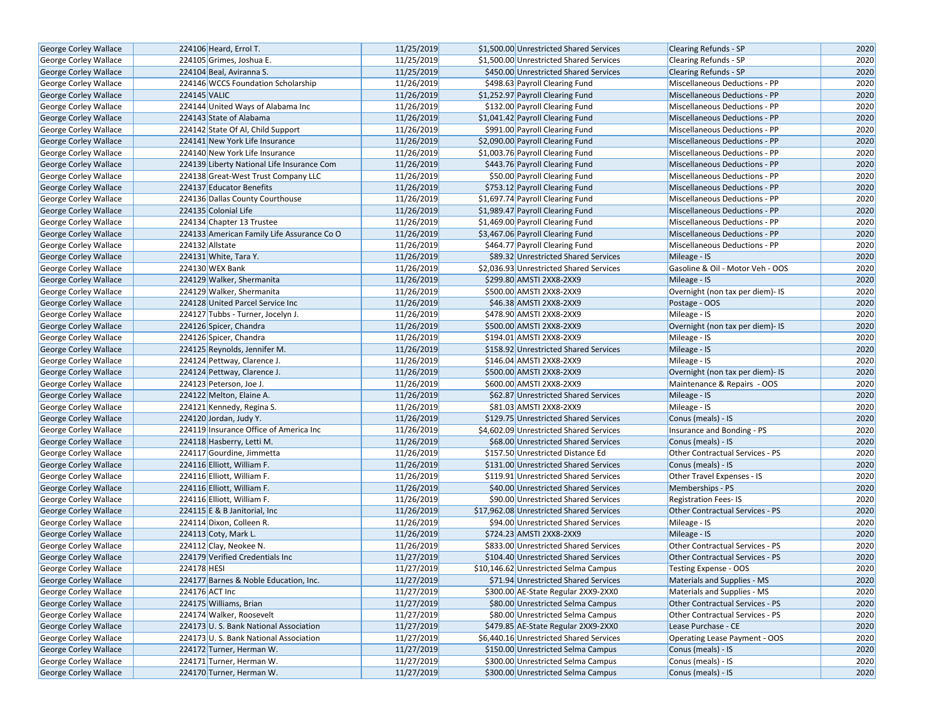| <b>George Corley Wallace</b> | 224106 Heard, Errol T.                                         | 11/25/2019               | \$1,500.00 Unrestricted Shared Services                                          | <b>Clearing Refunds - SP</b><br><b>Clearing Refunds - SP</b> | 2020         |
|------------------------------|----------------------------------------------------------------|--------------------------|----------------------------------------------------------------------------------|--------------------------------------------------------------|--------------|
| George Corley Wallace        | 224105 Grimes, Joshua E.                                       | 11/25/2019<br>11/25/2019 | \$1,500.00 Unrestricted Shared Services<br>\$450.00 Unrestricted Shared Services |                                                              | 2020<br>2020 |
| George Corley Wallace        | 224104 Beal, Aviranna S.<br>224146 WCCS Foundation Scholarship |                          | \$498.63 Payroll Clearing Fund                                                   | <b>Clearing Refunds - SP</b>                                 | 2020         |
| George Corley Wallace        |                                                                | 11/26/2019               |                                                                                  | Miscellaneous Deductions - PP                                |              |
| George Corley Wallace        | 224145 VALIC                                                   | 11/26/2019               | \$1,252.97 Payroll Clearing Fund                                                 | Miscellaneous Deductions - PP                                | 2020         |
| George Corley Wallace        | 224144 United Ways of Alabama Inc                              | 11/26/2019               | \$132.00 Payroll Clearing Fund                                                   | Miscellaneous Deductions - PP                                | 2020         |
| George Corley Wallace        | 224143 State of Alabama                                        | 11/26/2019               | \$1,041.42 Payroll Clearing Fund                                                 | Miscellaneous Deductions - PP                                | 2020         |
| <b>George Corley Wallace</b> | 224142 State Of Al, Child Support                              | 11/26/2019               | \$991.00 Payroll Clearing Fund                                                   | <b>Miscellaneous Deductions - PP</b>                         | 2020         |
| George Corley Wallace        | 224141 New York Life Insurance                                 | 11/26/2019               | \$2,090.00 Payroll Clearing Fund                                                 | Miscellaneous Deductions - PP                                | 2020         |
| George Corley Wallace        | 224140 New York Life Insurance                                 | 11/26/2019               | \$1,003.76 Payroll Clearing Fund                                                 | Miscellaneous Deductions - PP                                | 2020         |
| George Corley Wallace        | 224139 Liberty National Life Insurance Com                     | 11/26/2019               | \$443.76 Payroll Clearing Fund                                                   | <b>Miscellaneous Deductions - PP</b>                         | 2020         |
| George Corley Wallace        | 224138 Great-West Trust Company LLC                            | 11/26/2019               | \$50.00 Payroll Clearing Fund                                                    | Miscellaneous Deductions - PP                                | 2020         |
| George Corley Wallace        | 224137 Educator Benefits                                       | 11/26/2019               | \$753.12 Payroll Clearing Fund                                                   | Miscellaneous Deductions - PP                                | 2020         |
| George Corley Wallace        | 224136 Dallas County Courthouse                                | 11/26/2019               | \$1,697.74 Payroll Clearing Fund                                                 | Miscellaneous Deductions - PP                                | 2020         |
| <b>George Corley Wallace</b> | 224135 Colonial Life                                           | 11/26/2019               | \$1,989.47 Payroll Clearing Fund                                                 | Miscellaneous Deductions - PP                                | 2020         |
| George Corley Wallace        | 224134 Chapter 13 Trustee                                      | 11/26/2019               | \$1,469.00 Payroll Clearing Fund                                                 | Miscellaneous Deductions - PP                                | 2020         |
| George Corley Wallace        | 224133 American Family Life Assurance Co O                     | 11/26/2019               | \$3,467.06 Payroll Clearing Fund                                                 | <b>Miscellaneous Deductions - PP</b>                         | 2020         |
| George Corley Wallace        | 224132 Allstate                                                | 11/26/2019               | \$464.77 Payroll Clearing Fund                                                   | <b>Miscellaneous Deductions - PP</b>                         | 2020         |
| George Corley Wallace        | 224131 White, Tara Y.                                          | 11/26/2019               | \$89.32 Unrestricted Shared Services                                             | Mileage - IS                                                 | 2020         |
| <b>George Corley Wallace</b> | 224130 WEX Bank                                                | 11/26/2019               | \$2,036.93 Unrestricted Shared Services                                          | Gasoline & Oil - Motor Veh - OOS                             | 2020         |
| George Corley Wallace        | 224129 Walker, Shermanita                                      | 11/26/2019               | \$299.80 AMSTI 2XX8-2XX9                                                         | Mileage - IS                                                 | 2020         |
| George Corley Wallace        | 224129 Walker, Shermanita                                      | 11/26/2019               | \$500.00 AMSTI 2XX8-2XX9                                                         | Overnight (non tax per diem)- IS                             | 2020         |
| <b>George Corley Wallace</b> | 224128 United Parcel Service Inc                               | 11/26/2019               | \$46.38 AMSTI 2XX8-2XX9                                                          | Postage - OOS                                                | 2020         |
| George Corley Wallace        | 224127 Tubbs - Turner, Jocelyn J.                              | 11/26/2019               | \$478.90 AMSTI 2XX8-2XX9                                                         | Mileage - IS                                                 | 2020         |
| <b>George Corley Wallace</b> | 224126 Spicer, Chandra                                         | 11/26/2019               | \$500.00 AMSTI 2XX8-2XX9                                                         | Overnight (non tax per diem)- IS                             | 2020         |
| George Corley Wallace        | 224126 Spicer, Chandra                                         | 11/26/2019               | \$194.01 AMSTI 2XX8-2XX9                                                         | Mileage - IS                                                 | 2020         |
| George Corley Wallace        | 224125 Reynolds, Jennifer M.                                   | 11/26/2019               | \$158.92 Unrestricted Shared Services                                            | Mileage - IS                                                 | 2020         |
| <b>George Corley Wallace</b> | 224124 Pettway, Clarence J.                                    | 11/26/2019               | \$146.04 AMSTI 2XX8-2XX9                                                         | Mileage - IS                                                 | 2020         |
| <b>George Corley Wallace</b> | 224124 Pettway, Clarence J.                                    | 11/26/2019               | \$500.00 AMSTI 2XX8-2XX9                                                         | Overnight (non tax per diem)- IS                             | 2020         |
| George Corley Wallace        | 224123 Peterson, Joe J.                                        | 11/26/2019               | \$600.00 AMSTI 2XX8-2XX9                                                         | Maintenance & Repairs - OOS                                  | 2020         |
| George Corley Wallace        | 224122 Melton, Elaine A.                                       | 11/26/2019               | \$62.87 Unrestricted Shared Services                                             | Mileage - IS                                                 | 2020         |
| George Corley Wallace        | 224121 Kennedy, Regina S.                                      | 11/26/2019               | \$81.03 AMSTI 2XX8-2XX9                                                          | Mileage - IS                                                 | 2020         |
| George Corley Wallace        | 224120 Jordan, Judy Y.                                         | 11/26/2019               | \$129.75 Unrestricted Shared Services                                            | Conus (meals) - IS                                           | 2020         |
| George Corley Wallace        | 224119 Insurance Office of America Inc                         | 11/26/2019               | \$4,602.09 Unrestricted Shared Services                                          | Insurance and Bonding - PS                                   | 2020         |
| George Corley Wallace        | 224118 Hasberry, Letti M.                                      | 11/26/2019               | \$68.00 Unrestricted Shared Services                                             | Conus (meals) - IS                                           | 2020         |
| George Corley Wallace        | 224117 Gourdine, Jimmetta                                      | 11/26/2019               | \$157.50 Unrestricted Distance Ed                                                | Other Contractual Services - PS                              | 2020         |
| <b>George Corley Wallace</b> | 224116 Elliott, William F.                                     | 11/26/2019               | \$131.00 Unrestricted Shared Services                                            | Conus (meals) - IS                                           | 2020         |
| George Corley Wallace        | 224116 Elliott, William F.                                     | 11/26/2019               | \$119.91 Unrestricted Shared Services                                            | Other Travel Expenses - IS                                   | 2020         |
| George Corley Wallace        | 224116 Elliott, William F.                                     | 11/26/2019               | \$40.00 Unrestricted Shared Services                                             | Memberships - PS                                             | 2020         |
| George Corley Wallace        | 224116 Elliott, William F.                                     | 11/26/2019               | \$90.00 Unrestricted Shared Services                                             | Registration Fees-IS                                         | 2020         |
| <b>George Corley Wallace</b> | 224115 E & B Janitorial, Inc.                                  | 11/26/2019               | \$17,962.08 Unrestricted Shared Services                                         | <b>Other Contractual Services - PS</b>                       | 2020         |
| George Corley Wallace        | 224114 Dixon, Colleen R.                                       | 11/26/2019               | \$94.00 Unrestricted Shared Services                                             | Mileage - IS                                                 | 2020         |
| George Corley Wallace        | 224113 Coty, Mark L.                                           | 11/26/2019               | \$724.23 AMSTI 2XX8-2XX9                                                         | Mileage - IS                                                 | 2020         |
| George Corley Wallace        | 224112 Clay, Neokee N.                                         | 11/26/2019               | \$833.00 Unrestricted Shared Services                                            | Other Contractual Services - PS                              | 2020         |
| <b>George Corley Wallace</b> | 224179 Verified Credentials Inc                                | 11/27/2019               | \$104.40 Unrestricted Shared Services                                            | <b>Other Contractual Services - PS</b>                       | 2020         |
| George Corley Wallace        | 224178 HESI                                                    | 11/27/2019               | \$10,146.62 Unrestricted Selma Campus                                            | Testing Expense - OOS                                        | 2020         |
| George Corley Wallace        | 224177 Barnes & Noble Education, Inc.                          | 11/27/2019               | \$71.94 Unrestricted Shared Services                                             | Materials and Supplies - MS                                  | 2020         |
| George Corley Wallace        | 224176 ACT Inc                                                 | 11/27/2019               | \$300.00 AE-State Regular 2XX9-2XX0                                              | Materials and Supplies - MS                                  | 2020         |
| George Corley Wallace        | 224175 Williams, Brian                                         | 11/27/2019               | \$80.00 Unrestricted Selma Campus                                                | <b>Other Contractual Services - PS</b>                       | 2020         |
| George Corley Wallace        | 224174 Walker, Roosevelt                                       | 11/27/2019               | \$80.00 Unrestricted Selma Campus                                                | Other Contractual Services - PS                              | 2020         |
| <b>George Corley Wallace</b> | 224173 U.S. Bank National Association                          | 11/27/2019               | \$479.85 AE-State Regular 2XX9-2XX0                                              | Lease Purchase - CE                                          | 2020         |
| George Corley Wallace        | 224173 U.S. Bank National Association                          | 11/27/2019               | \$6,440.16 Unrestricted Shared Services                                          | Operating Lease Payment - OOS                                | 2020         |
| George Corley Wallace        | 224172 Turner, Herman W.                                       | 11/27/2019               | \$150.00 Unrestricted Selma Campus                                               | Conus (meals) - IS                                           | 2020         |
| George Corley Wallace        | 224171 Turner, Herman W.                                       | 11/27/2019               | \$300.00 Unrestricted Selma Campus                                               | Conus (meals) - IS                                           | 2020         |
| George Corley Wallace        | 224170 Turner, Herman W.                                       | 11/27/2019               | \$300.00 Unrestricted Selma Campus                                               | Conus (meals) - IS                                           | 2020         |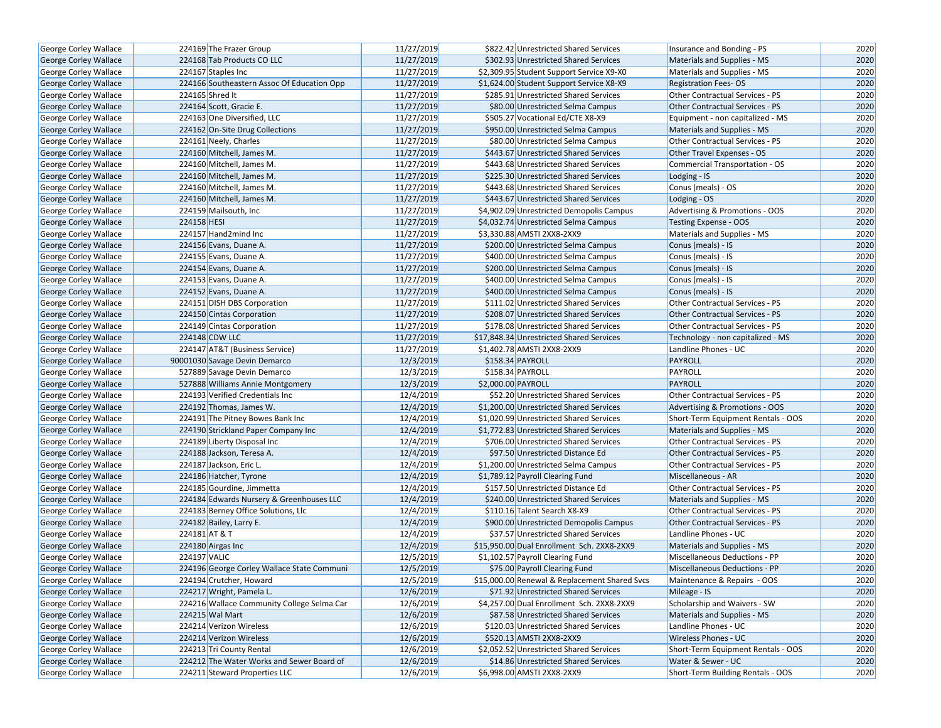| <b>George Corley Wallace</b> | 224169 The Frazer Group                    | 11/27/2019 | \$822.42 Unrestricted Shared Services         | Insurance and Bonding - PS             | 2020 |
|------------------------------|--------------------------------------------|------------|-----------------------------------------------|----------------------------------------|------|
| George Corley Wallace        | 224168 Tab Products CO LLC                 | 11/27/2019 | \$302.93 Unrestricted Shared Services         | Materials and Supplies - MS            | 2020 |
| George Corley Wallace        | 224167 Staples Inc                         | 11/27/2019 | \$2,309.95 Student Support Service X9-X0      | Materials and Supplies - MS            | 2020 |
| George Corley Wallace        | 224166 Southeastern Assoc Of Education Opp | 11/27/2019 | \$1,624.00 Student Support Service X8-X9      | <b>Registration Fees-OS</b>            | 2020 |
| George Corley Wallace        | 224165 Shred It                            | 11/27/2019 | \$285.91 Unrestricted Shared Services         | Other Contractual Services - PS        | 2020 |
| George Corley Wallace        | 224164 Scott, Gracie E.                    | 11/27/2019 | \$80.00 Unrestricted Selma Campus             | <b>Other Contractual Services - PS</b> | 2020 |
| George Corley Wallace        | 224163 One Diversified. LLC                | 11/27/2019 | \$505.27 Vocational Ed/CTE X8-X9              | Equipment - non capitalized - MS       | 2020 |
| <b>George Corley Wallace</b> | 224162 On-Site Drug Collections            | 11/27/2019 | \$950.00 Unrestricted Selma Campus            | Materials and Supplies - MS            | 2020 |
| George Corley Wallace        | 224161 Neely, Charles                      | 11/27/2019 | \$80.00 Unrestricted Selma Campus             | Other Contractual Services - PS        | 2020 |
| George Corley Wallace        | 224160 Mitchell, James M.                  | 11/27/2019 | \$443.67 Unrestricted Shared Services         | Other Travel Expenses - OS             | 2020 |
| George Corley Wallace        | 224160 Mitchell, James M.                  | 11/27/2019 | \$443.68 Unrestricted Shared Services         | Commercial Transportation - OS         | 2020 |
| George Corley Wallace        | 224160 Mitchell, James M.                  | 11/27/2019 | \$225.30 Unrestricted Shared Services         | Lodging - IS                           | 2020 |
| <b>George Corley Wallace</b> | 224160 Mitchell, James M.                  | 11/27/2019 | \$443.68 Unrestricted Shared Services         | Conus (meals) - OS                     | 2020 |
| George Corley Wallace        | 224160 Mitchell, James M.                  | 11/27/2019 | \$443.67 Unrestricted Shared Services         | Lodging - OS                           | 2020 |
| <b>George Corley Wallace</b> | 224159 Mailsouth, Inc                      | 11/27/2019 | \$4,902.09 Unrestricted Demopolis Campus      | Advertising & Promotions - OOS         | 2020 |
| George Corley Wallace        | 224158 HESI                                | 11/27/2019 | \$4,032.74 Unrestricted Selma Campus          | <b>Testing Expense - OOS</b>           | 2020 |
| George Corley Wallace        | 224157 Hand2mind Inc                       | 11/27/2019 | \$3,330.88 AMSTI 2XX8-2XX9                    | Materials and Supplies - MS            | 2020 |
| George Corley Wallace        | 224156 Evans, Duane A.                     | 11/27/2019 | \$200.00 Unrestricted Selma Campus            | Conus (meals) - IS                     | 2020 |
| George Corley Wallace        | 224155 Evans, Duane A.                     | 11/27/2019 | \$400.00 Unrestricted Selma Campus            | Conus (meals) - IS                     | 2020 |
| George Corley Wallace        | 224154 Evans, Duane A.                     | 11/27/2019 | \$200.00 Unrestricted Selma Campus            | Conus (meals) - IS                     | 2020 |
| <b>George Corley Wallace</b> | 224153 Evans, Duane A.                     | 11/27/2019 | \$400.00 Unrestricted Selma Campus            | Conus (meals) - IS                     | 2020 |
| George Corley Wallace        | 224152 Evans, Duane A.                     | 11/27/2019 | \$400.00 Unrestricted Selma Campus            | Conus (meals) - IS                     | 2020 |
| George Corley Wallace        | 224151 DISH DBS Corporation                | 11/27/2019 | \$111.02 Unrestricted Shared Services         | Other Contractual Services - PS        | 2020 |
| George Corley Wallace        | 224150 Cintas Corporation                  | 11/27/2019 | \$208.07 Unrestricted Shared Services         | <b>Other Contractual Services - PS</b> | 2020 |
| <b>George Corley Wallace</b> | 224149 Cintas Corporation                  | 11/27/2019 | \$178.08 Unrestricted Shared Services         | Other Contractual Services - PS        | 2020 |
| George Corley Wallace        | 224148 CDW LLC                             | 11/27/2019 | \$17,848.34 Unrestricted Shared Services      | Technology - non capitalized - MS      | 2020 |
| George Corley Wallace        | 224147 AT&T (Business Service)             | 11/27/2019 | \$1,402.78 AMSTI 2XX8-2XX9                    | Landline Phones - UC                   | 2020 |
| George Corley Wallace        | 90001030 Savage Devin Demarco              | 12/3/2019  | \$158.34 PAYROLL                              | PAYROLL                                | 2020 |
| George Corley Wallace        | 527889 Savage Devin Demarco                | 12/3/2019  | \$158.34 PAYROLL                              | PAYROLL                                | 2020 |
| George Corley Wallace        | 527888 Williams Annie Montgomery           | 12/3/2019  | \$2,000.00 PAYROLL                            | <b>PAYROLL</b>                         | 2020 |
| George Corley Wallace        | 224193 Verified Credentials Inc            | 12/4/2019  | \$52.20 Unrestricted Shared Services          | Other Contractual Services - PS        | 2020 |
| George Corley Wallace        | 224192 Thomas, James W.                    | 12/4/2019  | \$1,200.00 Unrestricted Shared Services       | Advertising & Promotions - OOS         | 2020 |
| George Corley Wallace        | 224191 The Pitney Bowes Bank Inc           | 12/4/2019  | \$1,020.99 Unrestricted Shared Services       | Short-Term Equipment Rentals - OOS     | 2020 |
| George Corley Wallace        | 224190 Strickland Paper Company Inc        | 12/4/2019  | \$1,772.83 Unrestricted Shared Services       | Materials and Supplies - MS            | 2020 |
| George Corley Wallace        | 224189 Liberty Disposal Inc                | 12/4/2019  | \$706.00 Unrestricted Shared Services         | Other Contractual Services - PS        | 2020 |
| <b>George Corley Wallace</b> | 224188 Jackson, Teresa A.                  | 12/4/2019  | \$97.50 Unrestricted Distance Ed              | <b>Other Contractual Services - PS</b> | 2020 |
| George Corley Wallace        | 224187 Jackson, Eric L.                    | 12/4/2019  | \$1,200.00 Unrestricted Selma Campus          | Other Contractual Services - PS        | 2020 |
| George Corley Wallace        | 224186 Hatcher, Tyrone                     | 12/4/2019  | \$1,789.12 Payroll Clearing Fund              | Miscellaneous - AR                     | 2020 |
| George Corley Wallace        | 224185 Gourdine, Jimmetta                  | 12/4/2019  | \$157.50 Unrestricted Distance Ed             | Other Contractual Services - PS        | 2020 |
| George Corley Wallace        | 224184 Edwards Nursery & Greenhouses LLC   | 12/4/2019  | \$240.00 Unrestricted Shared Services         | Materials and Supplies - MS            | 2020 |
| George Corley Wallace        | 224183 Berney Office Solutions, Llc        | 12/4/2019  | \$110.16 Talent Search X8-X9                  | Other Contractual Services - PS        | 2020 |
| George Corley Wallace        | 224182 Bailey, Larry E.                    | 12/4/2019  | \$900.00 Unrestricted Demopolis Campus        | Other Contractual Services - PS        | 2020 |
| George Corley Wallace        | 224181 AT & T                              | 12/4/2019  | \$37.57 Unrestricted Shared Services          | Landline Phones - UC                   | 2020 |
| George Corley Wallace        | 224180 Airgas Inc                          | 12/4/2019  | \$15,950.00 Dual Enrollment Sch. 2XX8-2XX9    | Materials and Supplies - MS            | 2020 |
| <b>George Corley Wallace</b> | 224197 VALIC                               | 12/5/2019  | \$1,102.57 Payroll Clearing Fund              | Miscellaneous Deductions - PP          | 2020 |
| George Corley Wallace        | 224196 George Corley Wallace State Communi | 12/5/2019  | \$75.00 Payroll Clearing Fund                 | <b>Miscellaneous Deductions - PP</b>   | 2020 |
| George Corley Wallace        | 224194 Crutcher, Howard                    | 12/5/2019  | \$15,000.00 Renewal & Replacement Shared Svcs | Maintenance & Repairs - OOS            | 2020 |
| <b>George Corley Wallace</b> | 224217 Wright, Pamela L.                   | 12/6/2019  | \$71.92 Unrestricted Shared Services          | Mileage - IS                           | 2020 |
| George Corley Wallace        | 224216 Wallace Community College Selma Car | 12/6/2019  | \$4,257.00 Dual Enrollment Sch. 2XX8-2XX9     | Scholarship and Waivers - SW           | 2020 |
| <b>George Corley Wallace</b> | 224215 Wal Mart                            | 12/6/2019  | \$87.58 Unrestricted Shared Services          | Materials and Supplies - MS            | 2020 |
| George Corley Wallace        | 224214 Verizon Wireless                    | 12/6/2019  | \$120.03 Unrestricted Shared Services         | Landline Phones - UC                   | 2020 |
| George Corley Wallace        | 224214 Verizon Wireless                    | 12/6/2019  | \$520.13 AMSTI 2XX8-2XX9                      | Wireless Phones - UC                   | 2020 |
| George Corley Wallace        | 224213 Tri County Rental                   | 12/6/2019  | \$2,052.52 Unrestricted Shared Services       | Short-Term Equipment Rentals - OOS     | 2020 |
| George Corley Wallace        | 224212 The Water Works and Sewer Board of  | 12/6/2019  | \$14.86 Unrestricted Shared Services          | Water & Sewer - UC                     | 2020 |
| George Corley Wallace        | 224211 Steward Properties LLC              | 12/6/2019  | \$6,998.00 AMSTI 2XX8-2XX9                    | Short-Term Building Rentals - OOS      | 2020 |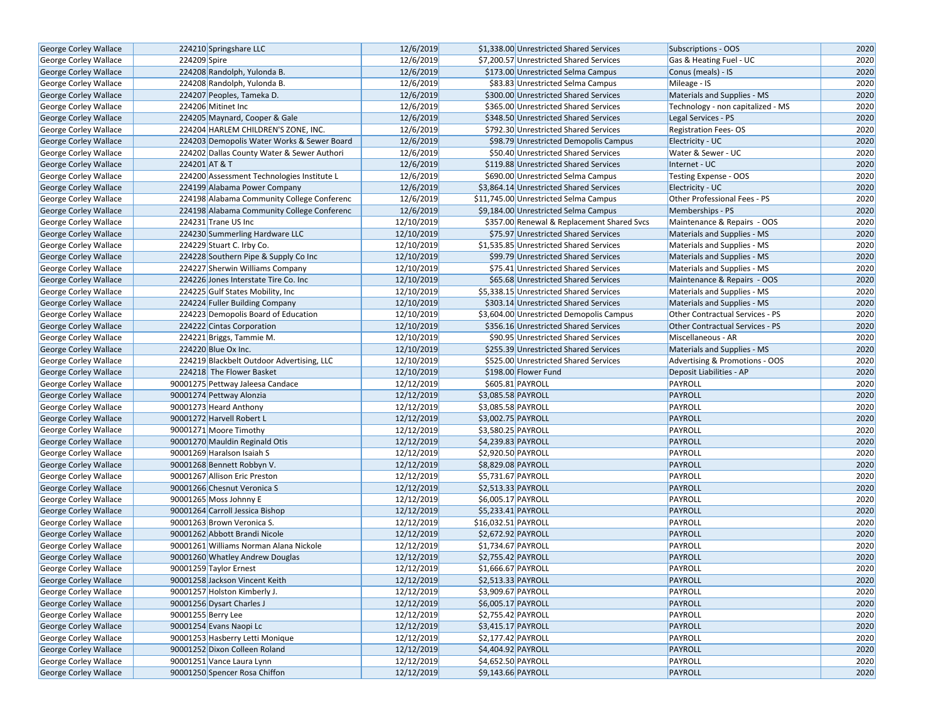| George Corley Wallace                                 | 224210 Springshare LLC                                    | 12/6/2019                | \$1,338.00 Unrestricted Shared Services    | Subscriptions - OOS                                        | 2020 |
|-------------------------------------------------------|-----------------------------------------------------------|--------------------------|--------------------------------------------|------------------------------------------------------------|------|
| <b>George Corley Wallace</b>                          | 224209 Spire                                              | 12/6/2019                | \$7,200.57 Unrestricted Shared Services    | Gas & Heating Fuel - UC                                    | 2020 |
| George Corley Wallace                                 | 224208 Randolph, Yulonda B.                               | 12/6/2019                | \$173.00 Unrestricted Selma Campus         | Conus (meals) - IS                                         | 2020 |
| George Corley Wallace                                 | 224208 Randolph, Yulonda B.                               | 12/6/2019                | \$83.83 Unrestricted Selma Campus          | Mileage - IS                                               | 2020 |
| George Corley Wallace                                 | 224207 Peoples, Tameka D.                                 | 12/6/2019                | \$300.00 Unrestricted Shared Services      | Materials and Supplies - MS                                | 2020 |
| George Corley Wallace                                 | 224206 Mitinet Inc                                        | 12/6/2019                | \$365.00 Unrestricted Shared Services      | Technology - non capitalized - MS                          | 2020 |
| George Corley Wallace                                 | 224205 Maynard, Cooper & Gale                             | 12/6/2019                | \$348.50 Unrestricted Shared Services      | Legal Services - PS                                        | 2020 |
| <b>George Corley Wallace</b>                          | 224204 HARLEM CHILDREN'S ZONE, INC.                       | 12/6/2019                | \$792.30 Unrestricted Shared Services      | <b>Registration Fees-OS</b>                                | 2020 |
| George Corley Wallace                                 | 224203 Demopolis Water Works & Sewer Board                | 12/6/2019                | \$98.79 Unrestricted Demopolis Campus      | Electricity - UC                                           | 2020 |
| George Corley Wallace                                 | 224202 Dallas County Water & Sewer Authori                | 12/6/2019                | \$50.40 Unrestricted Shared Services       | Water & Sewer - UC                                         | 2020 |
| <b>George Corley Wallace</b>                          | 224201 AT & T                                             | 12/6/2019                | \$119.88 Unrestricted Shared Services      | Internet - UC                                              | 2020 |
| George Corley Wallace                                 | 224200 Assessment Technologies Institute L                | 12/6/2019                | \$690.00 Unrestricted Selma Campus         | Testing Expense - OOS                                      | 2020 |
| George Corley Wallace                                 | 224199 Alabama Power Company                              | 12/6/2019                | \$3,864.14 Unrestricted Shared Services    | Electricity - UC                                           | 2020 |
| <b>George Corley Wallace</b>                          | 224198 Alabama Community College Conferenc                | 12/6/2019                | \$11,745.00 Unrestricted Selma Campus      | Other Professional Fees - PS                               | 2020 |
| <b>George Corley Wallace</b>                          | 224198 Alabama Community College Conferenc                | 12/6/2019                | \$9,184.00 Unrestricted Selma Campus       | Memberships - PS                                           | 2020 |
| <b>George Corley Wallace</b>                          | 224231 Trane US Inc                                       | 12/10/2019               | \$357.00 Renewal & Replacement Shared Svcs | Maintenance & Repairs - OOS                                | 2020 |
| <b>George Corley Wallace</b>                          | 224230 Summerling Hardware LLC                            | 12/10/2019               | \$75.97 Unrestricted Shared Services       | Materials and Supplies - MS                                | 2020 |
| George Corley Wallace                                 | 224229 Stuart C. Irby Co.                                 | 12/10/2019               | \$1,535.85 Unrestricted Shared Services    | Materials and Supplies - MS                                | 2020 |
| George Corley Wallace                                 | 224228 Southern Pipe & Supply Co Inc                      | 12/10/2019               | \$99.79 Unrestricted Shared Services       | Materials and Supplies - MS                                | 2020 |
| George Corley Wallace                                 | 224227 Sherwin Williams Company                           | 12/10/2019               | \$75.41 Unrestricted Shared Services       | Materials and Supplies - MS                                | 2020 |
| <b>George Corley Wallace</b>                          | 224226 Jones Interstate Tire Co. Inc                      | 12/10/2019               | \$65.68 Unrestricted Shared Services       | Maintenance & Repairs - OOS                                | 2020 |
| George Corley Wallace                                 | 224225 Gulf States Mobility, Inc.                         | 12/10/2019               | \$5,338.15 Unrestricted Shared Services    | Materials and Supplies - MS                                | 2020 |
| George Corley Wallace                                 | 224224 Fuller Building Company                            | 12/10/2019               | \$303.14 Unrestricted Shared Services      | Materials and Supplies - MS                                | 2020 |
| George Corley Wallace                                 | 224223 Demopolis Board of Education                       | 12/10/2019               | \$3,604.00 Unrestricted Demopolis Campus   | Other Contractual Services - PS                            | 2020 |
| <b>George Corley Wallace</b>                          | 224222 Cintas Corporation                                 | 12/10/2019               | \$356.16 Unrestricted Shared Services      | <b>Other Contractual Services - PS</b>                     | 2020 |
| George Corley Wallace                                 | 224221 Briggs, Tammie M.                                  | 12/10/2019               | \$90.95 Unrestricted Shared Services       | Miscellaneous - AR                                         | 2020 |
| George Corley Wallace                                 | 224220 Blue Ox Inc.                                       | 12/10/2019               | \$255.39 Unrestricted Shared Services      | Materials and Supplies - MS                                | 2020 |
| George Corley Wallace                                 | 224219 Blackbelt Outdoor Advertising, LLC                 | 12/10/2019               | \$525.00 Unrestricted Shared Services      |                                                            | 2020 |
|                                                       | 224218 The Flower Basket                                  | 12/10/2019               | \$198.00 Flower Fund                       | Advertising & Promotions - OOS<br>Deposit Liabilities - AP | 2020 |
| George Corley Wallace<br>George Corley Wallace        | 90001275 Pettway Jaleesa Candace                          | 12/12/2019               | \$605.81 PAYROLL                           | PAYROLL                                                    | 2020 |
| George Corley Wallace                                 | 90001274 Pettway Alonzia                                  | 12/12/2019               | \$3,085.58 PAYROLL                         | PAYROLL                                                    | 2020 |
|                                                       | 90001273 Heard Anthony                                    | 12/12/2019               |                                            | PAYROLL                                                    | 2020 |
| George Corley Wallace                                 | 90001272 Harvell Robert L                                 | 12/12/2019               | \$3,085.58 PAYROLL<br>\$3,002.75 PAYROLL   | <b>PAYROLL</b>                                             | 2020 |
| George Corley Wallace                                 | 90001271 Moore Timothy                                    | 12/12/2019               | \$3,580.25 PAYROLL                         | PAYROLL                                                    | 2020 |
| George Corley Wallace<br>George Corley Wallace        | 90001270 Mauldin Reginald Otis                            | 12/12/2019               | \$4,239.83 PAYROLL                         | PAYROLL                                                    | 2020 |
| George Corley Wallace                                 | 90001269 Haralson Isaiah S                                | 12/12/2019               | \$2,920.50 PAYROLL                         | PAYROLL                                                    | 2020 |
| <b>George Corley Wallace</b>                          | 90001268 Bennett Robbyn V.                                | 12/12/2019               | \$8,829.08 PAYROLL                         | PAYROLL                                                    | 2020 |
| George Corley Wallace                                 | 90001267 Allison Eric Preston                             | 12/12/2019               | \$5,731.67 PAYROLL                         | PAYROLL                                                    | 2020 |
| George Corley Wallace                                 | 90001266 Chesnut Veronica S                               | 12/12/2019               | \$2,513.33 PAYROLL                         | PAYROLL                                                    | 2020 |
| George Corley Wallace                                 | 90001265 Moss Johnny E                                    | 12/12/2019               | \$6,005.17 PAYROLL                         | PAYROLL                                                    | 2020 |
| George Corley Wallace                                 | 90001264 Carroll Jessica Bishop                           | 12/12/2019               | \$5,233.41 PAYROLL                         | PAYROLL                                                    | 2020 |
|                                                       | 90001263 Brown Veronica S.                                | 12/12/2019               | \$16,032.51 PAYROLL                        | PAYROLL                                                    | 2020 |
| George Corley Wallace                                 | 90001262 Abbott Brandi Nicole                             | 12/12/2019               | \$2,672.92 PAYROLL                         | PAYROLL                                                    | 2020 |
| George Corley Wallace<br>George Corley Wallace        | 90001261 Williams Norman Alana Nickole                    | 12/12/2019               | \$1,734.67 PAYROLL                         | PAYROLL                                                    | 2020 |
| <b>George Corley Wallace</b>                          |                                                           | 12/12/2019               | \$2,755.42 PAYROLL                         | <b>PAYROLL</b>                                             | 2020 |
|                                                       | 90001260 Whatley Andrew Douglas<br>90001259 Taylor Ernest |                          |                                            | PAYROLL                                                    | 2020 |
| George Corley Wallace                                 |                                                           | 12/12/2019               | \$1,666.67 PAYROLL                         | PAYROLL                                                    | 2020 |
| George Corley Wallace<br><b>George Corley Wallace</b> | 90001258 Jackson Vincent Keith                            | 12/12/2019<br>12/12/2019 | \$2,513.33 PAYROLL<br>\$3,909.67 PAYROLL   | PAYROLL                                                    | 2020 |
|                                                       | 90001257 Holston Kimberly J.                              |                          |                                            |                                                            |      |
| George Corley Wallace                                 | 90001256 Dysart Charles J                                 | 12/12/2019               | \$6,005.17 PAYROLL                         | PAYROLL                                                    | 2020 |
| George Corley Wallace                                 | 90001255 Berry Lee                                        | 12/12/2019               | $\overline{$}$ \$2,755.42 PAYROLL          | PAYROLL                                                    | 2020 |
| George Corley Wallace                                 | 90001254 Evans Naopi Lc                                   | 12/12/2019               | \$3,415.17 PAYROLL                         | PAYROLL                                                    | 2020 |
| George Corley Wallace                                 | 90001253 Hasberry Letti Monique                           | 12/12/2019               | \$2,177.42 PAYROLL                         | PAYROLL                                                    | 2020 |
| George Corley Wallace                                 | 90001252 Dixon Colleen Roland                             | 12/12/2019               | \$4,404.92 PAYROLL                         | PAYROLL                                                    | 2020 |
| George Corley Wallace                                 | 90001251 Vance Laura Lynn                                 | 12/12/2019               | \$4,652.50 PAYROLL                         | PAYROLL                                                    | 2020 |
| <b>George Corley Wallace</b>                          | 90001250 Spencer Rosa Chiffon                             | 12/12/2019               | \$9,143.66 PAYROLL                         | PAYROLL                                                    | 2020 |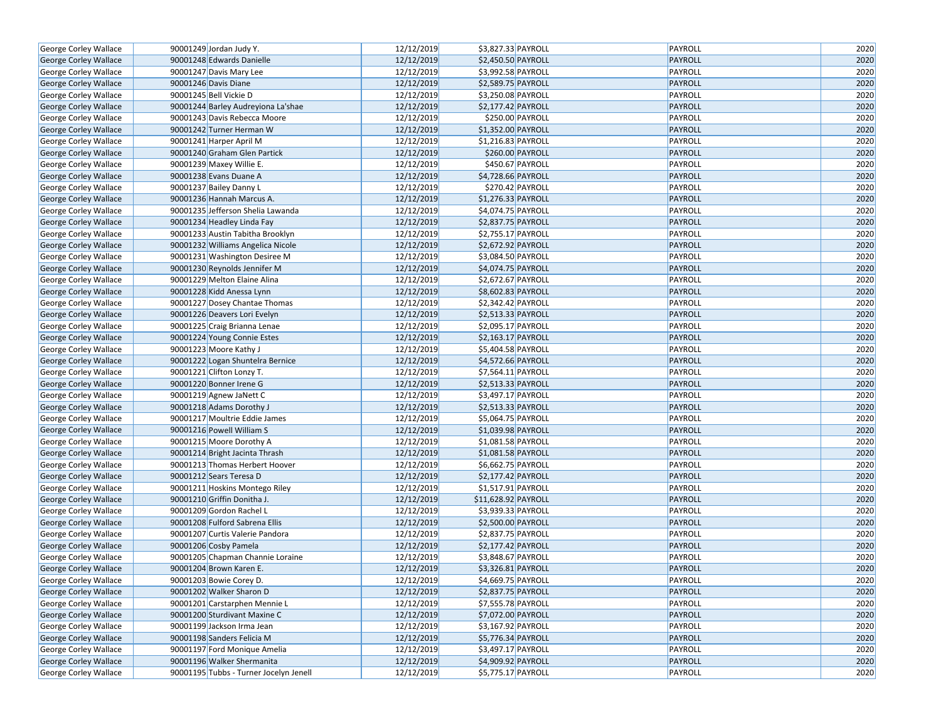| <b>George Corley Wallace</b>                   | 90001249 Jordan Judy Y.                | 12/12/2019 | \$3,827.33 PAYROLL             | PAYROLL            | 2020 |
|------------------------------------------------|----------------------------------------|------------|--------------------------------|--------------------|------|
| George Corley Wallace                          | 90001248 Edwards Danielle              | 12/12/2019 | \$2,450.50 PAYROLL             | PAYROLL            | 2020 |
| George Corley Wallace                          | 90001247 Davis Mary Lee                | 12/12/2019 | \$3,992.58 PAYROLL             | PAYROLL            | 2020 |
| George Corley Wallace                          | 90001246 Davis Diane                   | 12/12/2019 | \$2,589.75 PAYROLL             | PAYROLL            | 2020 |
| George Corley Wallace                          | 90001245 Bell Vickie D                 | 12/12/2019 | \$3,250.08 PAYROLL             | PAYROLL            | 2020 |
| George Corley Wallace                          | 90001244 Barley Audreyiona La'shae     | 12/12/2019 | \$2,177.42 PAYROLL             | PAYROLL            | 2020 |
| George Corley Wallace                          | 90001243 Davis Rebecca Moore           | 12/12/2019 | \$250.00 PAYROLL               | PAYROLL            | 2020 |
| George Corley Wallace                          | 90001242 Turner Herman W               | 12/12/2019 | \$1,352.00 PAYROLL             | PAYROLL            | 2020 |
| George Corley Wallace                          | 90001241 Harper April M                | 12/12/2019 | \$1,216.83 PAYROLL             | PAYROLL            | 2020 |
| George Corley Wallace                          | 90001240 Graham Glen Partick           | 12/12/2019 | \$260.00 PAYROLL               | PAYROLL            | 2020 |
| George Corley Wallace                          | 90001239 Maxey Willie E.               | 12/12/2019 | \$450.67 PAYROLL               | PAYROLL            | 2020 |
| George Corley Wallace                          | 90001238 Evans Duane A                 | 12/12/2019 | \$4,728.66 PAYROLL             | PAYROLL            | 2020 |
| George Corley Wallace                          | 90001237 Bailey Danny L                | 12/12/2019 | \$270.42 PAYROLL               | PAYROLL            | 2020 |
| George Corley Wallace                          | 90001236 Hannah Marcus A.              | 12/12/2019 | \$1,276.33 PAYROLL             | PAYROLL            | 2020 |
| George Corley Wallace                          | 90001235 Jefferson Shelia Lawanda      | 12/12/2019 | \$4,074.75 PAYROLL             | PAYROLL            | 2020 |
| George Corley Wallace                          | 90001234 Headley Linda Fay             | 12/12/2019 | \$2,837.75 PAYROLL             | PAYROLL            | 2020 |
| George Corley Wallace                          | 90001233 Austin Tabitha Brooklyn       | 12/12/2019 | \$2,755.17 PAYROLL             | PAYROLL            | 2020 |
| George Corley Wallace                          | 90001232 Williams Angelica Nicole      | 12/12/2019 | \$2,672.92 PAYROLL             | <b>PAYROLL</b>     | 2020 |
| George Corley Wallace                          | 90001231 Washington Desiree M          | 12/12/2019 | $\overline{$3,084.50}$ PAYROLL | PAYROLL            | 2020 |
| George Corley Wallace                          | 90001230 Reynolds Jennifer M           | 12/12/2019 | \$4,074.75 PAYROLL             | PAYROLL            | 2020 |
| George Corley Wallace                          | 90001229 Melton Elaine Alina           | 12/12/2019 | \$2,672.67 PAYROLL             | PAYROLL            | 2020 |
| George Corley Wallace                          | 90001228 Kidd Anessa Lynn              | 12/12/2019 | \$8,602.83 PAYROLL             | <b>PAYROLL</b>     | 2020 |
| George Corley Wallace                          | 90001227 Dosey Chantae Thomas          | 12/12/2019 | \$2,342.42 PAYROLL             | PAYROLL            | 2020 |
| George Corley Wallace                          | 90001226 Deavers Lori Evelyn           | 12/12/2019 | \$2,513.33 PAYROLL             | <b>PAYROLL</b>     | 2020 |
| George Corley Wallace                          | 90001225 Craig Brianna Lenae           | 12/12/2019 | \$2,095.17 PAYROLL             | PAYROLL            | 2020 |
| George Corley Wallace                          | 90001224 Young Connie Estes            | 12/12/2019 | \$2,163.17 PAYROLL             | <b>PAYROLL</b>     | 2020 |
| George Corley Wallace                          | 90001223 Moore Kathy J                 | 12/12/2019 | \$5,404.58 PAYROLL             | PAYROLL            | 2020 |
| George Corley Wallace                          | 90001222 Logan Shuntelra Bernice       | 12/12/2019 | \$4,572.66 PAYROLL             | <b>PAYROLL</b>     | 2020 |
| George Corley Wallace                          | 90001221 Clifton Lonzy T.              | 12/12/2019 | \$7,564.11 PAYROLL             | PAYROLL            | 2020 |
| George Corley Wallace                          | 90001220 Bonner Irene G                | 12/12/2019 | \$2,513.33 PAYROLL             | <b>PAYROLL</b>     | 2020 |
| George Corley Wallace                          | 90001219 Agnew JaNett C                | 12/12/2019 | \$3,497.17 PAYROLL             | PAYROLL            | 2020 |
| George Corley Wallace                          | 90001218 Adams Dorothy J               | 12/12/2019 | \$2,513.33 PAYROLL             | <b>PAYROLL</b>     | 2020 |
| George Corley Wallace                          | 90001217 Moultrie Eddie James          | 12/12/2019 | \$5,064.75 PAYROLL             | PAYROLL            | 2020 |
| George Corley Wallace                          | 90001216 Powell William S              | 12/12/2019 | \$1,039.98 PAYROLL             | <b>PAYROLL</b>     | 2020 |
| George Corley Wallace                          | 90001215 Moore Dorothy A               | 12/12/2019 | \$1,081.58 PAYROLL             | PAYROLL            | 2020 |
| George Corley Wallace                          | 90001214 Bright Jacinta Thrash         | 12/12/2019 | \$1,081.58 PAYROLL             | <b>PAYROLL</b>     | 2020 |
| George Corley Wallace                          | 90001213 Thomas Herbert Hoover         | 12/12/2019 | \$6,662.75 PAYROLL             | PAYROLL            | 2020 |
| George Corley Wallace                          | 90001212 Sears Teresa D                | 12/12/2019 | \$2,177.42 PAYROLL             | PAYROLL            | 2020 |
| George Corley Wallace                          | 90001211 Hoskins Montego Riley         | 12/12/2019 | \$1,517.91 PAYROLL             | PAYROLL            | 2020 |
| George Corley Wallace                          | 90001210 Griffin Donitha J.            | 12/12/2019 | \$11,628.92 PAYROLL            | <b>PAYROLL</b>     | 2020 |
| George Corley Wallace                          | 90001209 Gordon Rachel L               | 12/12/2019 | \$3,939.33 PAYROLL             | PAYROLL            | 2020 |
| George Corley Wallace                          | 90001208 Fulford Sabrena Ellis         | 12/12/2019 | \$2,500.00 PAYROLL             | <b>PAYROLL</b>     | 2020 |
| George Corley Wallace                          | 90001207 Curtis Valerie Pandora        | 12/12/2019 | $52,837.75$ PAYROLL            | PAYROLL            | 2020 |
| <b>George Corley Wallace</b>                   | 90001206 Cosby Pamela                  | 12/12/2019 | \$2,177.42 PAYROLL             | <b>PAYROLL</b>     | 2020 |
| George Corley Wallace                          | 90001205 Chapman Channie Loraine       | 12/12/2019 | \$3,848.67 PAYROLL             | PAYROLL            | 2020 |
|                                                | 90001204 Brown Karen E.                | 12/12/2019 | \$3,326.81 PAYROLL             | <b>PAYROLL</b>     | 2020 |
| George Corley Wallace<br>George Corley Wallace | 90001203 Bowie Corey D.                | 12/12/2019 | \$4,669.75 PAYROLL             | PAYROLL            | 2020 |
| George Corley Wallace                          | 90001202 Walker Sharon D               | 12/12/2019 | \$2,837.75 PAYROLL             | <b>PAYROLL</b>     | 2020 |
|                                                | 90001201 Carstarphen Mennie L          | 12/12/2019 |                                |                    |      |
| George Corley Wallace                          |                                        |            | \$7,555.78 PAYROLL             | PAYROLL<br>PAYROLL | 2020 |
| George Corley Wallace                          | 90001200 Sturdivant Maxine C           | 12/12/2019 | \$7,072.00 PAYROLL             |                    | 2020 |
| George Corley Wallace                          | 90001199 Jackson Irma Jean             | 12/12/2019 | \$3,167.92 PAYROLL             | PAYROLL            | 2020 |
| George Corley Wallace                          | 90001198 Sanders Felicia M             | 12/12/2019 | \$5,776.34 PAYROLL             | <b>PAYROLL</b>     | 2020 |
| George Corley Wallace                          | 90001197 Ford Monique Amelia           | 12/12/2019 | \$3,497.17 PAYROLL             | PAYROLL            | 2020 |
| George Corley Wallace                          | 90001196 Walker Shermanita             | 12/12/2019 | \$4,909.92 PAYROLL             | <b>PAYROLL</b>     | 2020 |
| George Corley Wallace                          | 90001195 Tubbs - Turner Jocelyn Jenell | 12/12/2019 | \$5,775.17 PAYROLL             | PAYROLL            | 2020 |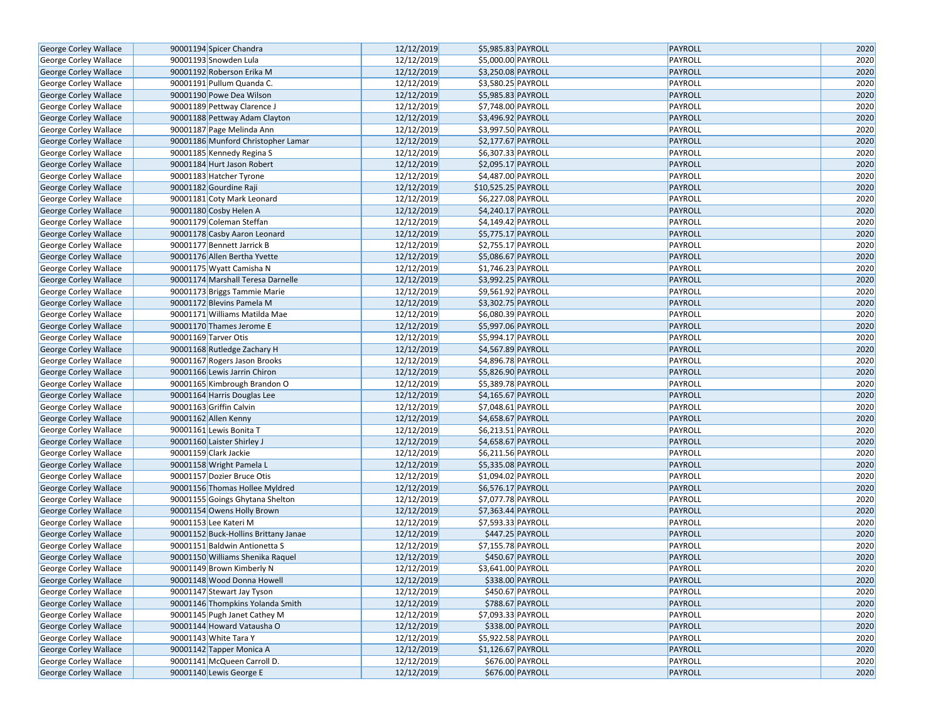| George Corley Wallace        | 90001194 Spicer Chandra              | 12/12/2019 | \$5,985.83 PAYROLL                | <b>PAYROLL</b> | 2020 |
|------------------------------|--------------------------------------|------------|-----------------------------------|----------------|------|
| George Corley Wallace        | 90001193 Snowden Lula                | 12/12/2019 | \$5,000.00 PAYROLL                | PAYROLL        | 2020 |
|                              | 90001192 Roberson Erika M            | 12/12/2019 | \$3,250.08 PAYROLL                | <b>PAYROLL</b> | 2020 |
| George Corley Wallace        | 90001191 Pullum Quanda C.            |            |                                   | PAYROLL        |      |
| George Corley Wallace        |                                      | 12/12/2019 | \$3,580.25 PAYROLL                |                | 2020 |
| George Corley Wallace        | 90001190 Powe Dea Wilson             | 12/12/2019 | \$5,985.83 PAYROLL                | <b>PAYROLL</b> | 2020 |
| George Corley Wallace        | 90001189 Pettway Clarence J          | 12/12/2019 | $\overline{$}$ \$7,748.00 PAYROLL | PAYROLL        | 2020 |
| George Corley Wallace        | 90001188 Pettway Adam Clayton        | 12/12/2019 | \$3,496.92 PAYROLL                | PAYROLL        | 2020 |
| George Corley Wallace        | 90001187 Page Melinda Ann            | 12/12/2019 | \$3,997.50 PAYROLL                | PAYROLL        | 2020 |
| George Corley Wallace        | 90001186 Munford Christopher Lamar   | 12/12/2019 | \$2,177.67 PAYROLL                | <b>PAYROLL</b> | 2020 |
| George Corley Wallace        | 90001185 Kennedy Regina S            | 12/12/2019 | \$6,307.33 PAYROLL                | PAYROLL        | 2020 |
| George Corley Wallace        | 90001184 Hurt Jason Robert           | 12/12/2019 | \$2,095.17 PAYROLL                | <b>PAYROLL</b> | 2020 |
| George Corley Wallace        | 90001183 Hatcher Tyrone              | 12/12/2019 | \$4,487.00 PAYROLL                | PAYROLL        | 2020 |
| George Corley Wallace        | 90001182 Gourdine Raji               | 12/12/2019 | \$10,525.25 PAYROLL               | PAYROLL        | 2020 |
| George Corley Wallace        | 90001181 Coty Mark Leonard           | 12/12/2019 | \$6,227.08 PAYROLL                | PAYROLL        | 2020 |
| George Corley Wallace        | 90001180 Cosby Helen A               | 12/12/2019 | \$4,240.17 PAYROLL                | PAYROLL        | 2020 |
| George Corley Wallace        | 90001179 Coleman Steffan             | 12/12/2019 | \$4,149.42 PAYROLL                | PAYROLL        | 2020 |
| George Corley Wallace        | 90001178 Casby Aaron Leonard         | 12/12/2019 | \$5,775.17 PAYROLL                | PAYROLL        | 2020 |
| George Corley Wallace        | 90001177 Bennett Jarrick B           | 12/12/2019 | \$2,755.17 PAYROLL                | PAYROLL        | 2020 |
| George Corley Wallace        | 90001176 Allen Bertha Yvette         | 12/12/2019 | \$5,086.67 PAYROLL                | PAYROLL        | 2020 |
| George Corley Wallace        | 90001175 Wyatt Camisha N             | 12/12/2019 | \$1,746.23 PAYROLL                | PAYROLL        | 2020 |
| George Corley Wallace        | 90001174 Marshall Teresa Darnelle    | 12/12/2019 | \$3,992.25 PAYROLL                | PAYROLL        | 2020 |
| George Corley Wallace        | 90001173 Briggs Tammie Marie         | 12/12/2019 | \$9,561.92 PAYROLL                | PAYROLL        | 2020 |
| George Corley Wallace        | 90001172 Blevins Pamela M            | 12/12/2019 | \$3,302.75 PAYROLL                | PAYROLL        | 2020 |
| George Corley Wallace        | 90001171 Williams Matilda Mae        | 12/12/2019 | \$6,080.39 PAYROLL                | PAYROLL        | 2020 |
| George Corley Wallace        | 90001170 Thames Jerome E             | 12/12/2019 | \$5,997.06 PAYROLL                | PAYROLL        | 2020 |
| George Corley Wallace        | 90001169 Tarver Otis                 | 12/12/2019 | \$5,994.17 PAYROLL                | PAYROLL        | 2020 |
| George Corley Wallace        | 90001168 Rutledge Zachary H          | 12/12/2019 | \$4,567.89 PAYROLL                | PAYROLL        | 2020 |
| George Corley Wallace        | 90001167 Rogers Jason Brooks         | 12/12/2019 | \$4,896.78 PAYROLL                | PAYROLL        | 2020 |
| George Corley Wallace        | 90001166 Lewis Jarrin Chiron         | 12/12/2019 | \$5,826.90 PAYROLL                | PAYROLL        | 2020 |
| George Corley Wallace        | 90001165 Kimbrough Brandon O         | 12/12/2019 | \$5,389.78 PAYROLL                | PAYROLL        | 2020 |
| George Corley Wallace        | 90001164 Harris Douglas Lee          | 12/12/2019 | \$4,165.67 PAYROLL                | PAYROLL        | 2020 |
| George Corley Wallace        | 90001163 Griffin Calvin              | 12/12/2019 | \$7,048.61 PAYROLL                | PAYROLL        | 2020 |
| George Corley Wallace        | 90001162 Allen Kenny                 | 12/12/2019 | \$4,658.67 PAYROLL                | PAYROLL        | 2020 |
| George Corley Wallace        | 90001161 Lewis Bonita T              | 12/12/2019 | \$6,213.51 PAYROLL                | PAYROLL        | 2020 |
| George Corley Wallace        | 90001160 Laister Shirley J           | 12/12/2019 | \$4,658.67 PAYROLL                | PAYROLL        | 2020 |
| George Corley Wallace        | 90001159 Clark Jackie                | 12/12/2019 | \$6,211.56 PAYROLL                | PAYROLL        | 2020 |
| George Corley Wallace        | 90001158 Wright Pamela L             | 12/12/2019 | \$5,335.08 PAYROLL                | PAYROLL        | 2020 |
| George Corley Wallace        | 90001157 Dozier Bruce Otis           | 12/12/2019 | \$1,094.02 PAYROLL                | PAYROLL        | 2020 |
| George Corley Wallace        | 90001156 Thomas Hollee Myldred       | 12/12/2019 | \$6,576.17 PAYROLL                | <b>PAYROLL</b> | 2020 |
| George Corley Wallace        | 90001155 Goings Ghytana Shelton      | 12/12/2019 | \$7,077.78 PAYROLL                | PAYROLL        | 2020 |
| <b>George Corley Wallace</b> | 90001154 Owens Holly Brown           | 12/12/2019 | \$7,363.44 PAYROLL                | <b>PAYROLL</b> | 2020 |
| George Corley Wallace        | 90001153 Lee Kateri M                | 12/12/2019 | \$7,593.33 PAYROLL                | PAYROLL        | 2020 |
| George Corley Wallace        | 90001152 Buck-Hollins Brittany Janae | 12/12/2019 | \$447.25 PAYROLL                  | <b>PAYROLL</b> | 2020 |
| George Corley Wallace        | 90001151 Baldwin Antionetta S        | 12/12/2019 | \$7,155.78 PAYROLL                | PAYROLL        | 2020 |
| George Corley Wallace        | 90001150 Williams Shenika Raquel     | 12/12/2019 | \$450.67 PAYROLL                  | <b>PAYROLL</b> | 2020 |
| George Corley Wallace        | 90001149 Brown Kimberly N            | 12/12/2019 | \$3,641.00 PAYROLL                | PAYROLL        | 2020 |
| George Corley Wallace        | 90001148 Wood Donna Howell           | 12/12/2019 | \$338.00 PAYROLL                  | PAYROLL        | 2020 |
| George Corley Wallace        | 90001147 Stewart Jay Tyson           | 12/12/2019 | $$450.67$ PAYROLL                 | PAYROLL        | 2020 |
| George Corley Wallace        | 90001146 Thompkins Yolanda Smith     | 12/12/2019 | \$788.67 PAYROLL                  | <b>PAYROLL</b> | 2020 |
| George Corley Wallace        | 90001145 Pugh Janet Cathey M         | 12/12/2019 | \$7,093.33 PAYROLL                | PAYROLL        | 2020 |
| George Corley Wallace        | 90001144 Howard Vatausha O           | 12/12/2019 | \$338.00 PAYROLL                  | <b>PAYROLL</b> | 2020 |
| George Corley Wallace        | 90001143 White Tara Y                | 12/12/2019 | \$5,922.58 PAYROLL                | PAYROLL        | 2020 |
| George Corley Wallace        | 90001142 Tapper Monica A             | 12/12/2019 | \$1,126.67 PAYROLL                | <b>PAYROLL</b> | 2020 |
| George Corley Wallace        | 90001141 McQueen Carroll D.          | 12/12/2019 | \$676.00 PAYROLL                  | PAYROLL        | 2020 |
| George Corley Wallace        | 90001140 Lewis George E              | 12/12/2019 | \$676.00 PAYROLL                  | PAYROLL        | 2020 |
|                              |                                      |            |                                   |                |      |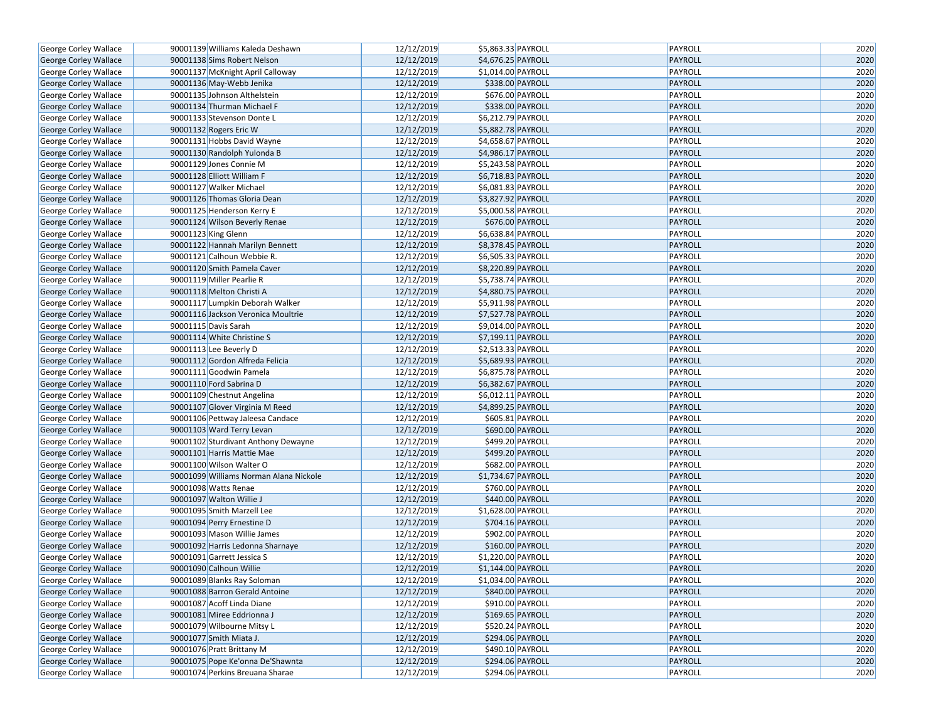| George Corley Wallace        | 90001139 Williams Kaleda Deshawn       | 12/12/2019 | \$5,863.33 PAYROLL | PAYROLL | 2020 |
|------------------------------|----------------------------------------|------------|--------------------|---------|------|
| George Corley Wallace        | 90001138 Sims Robert Nelson            | 12/12/2019 | \$4,676.25 PAYROLL | PAYROLL | 2020 |
| George Corley Wallace        | 90001137 McKnight April Calloway       | 12/12/2019 | \$1,014.00 PAYROLL | PAYROLL | 2020 |
| <b>George Corley Wallace</b> | 90001136 May-Webb Jenika               | 12/12/2019 | \$338.00 PAYROLL   | PAYROLL | 2020 |
| George Corley Wallace        | 90001135 Johnson Althelstein           | 12/12/2019 | \$676.00 PAYROLL   | PAYROLL | 2020 |
| George Corley Wallace        | 90001134 Thurman Michael F             | 12/12/2019 | \$338.00 PAYROLL   | PAYROLL | 2020 |
| George Corley Wallace        | 90001133 Stevenson Donte L             | 12/12/2019 | \$6,212.79 PAYROLL | PAYROLL | 2020 |
| <b>George Corley Wallace</b> | 90001132 Rogers Eric W                 | 12/12/2019 | \$5,882.78 PAYROLL | PAYROLL | 2020 |
| George Corley Wallace        | 90001131 Hobbs David Wayne             | 12/12/2019 | \$4,658.67 PAYROLL | PAYROLL | 2020 |
| George Corley Wallace        | 90001130 Randolph Yulonda B            | 12/12/2019 | \$4,986.17 PAYROLL | PAYROLL | 2020 |
| George Corley Wallace        | 90001129 Jones Connie M                | 12/12/2019 | \$5,243.58 PAYROLL | PAYROLL | 2020 |
| George Corley Wallace        | 90001128 Elliott William F             | 12/12/2019 | \$6,718.83 PAYROLL | PAYROLL | 2020 |
| George Corley Wallace        | 90001127 Walker Michael                | 12/12/2019 | \$6,081.83 PAYROLL | PAYROLL | 2020 |
| George Corley Wallace        | 90001126 Thomas Gloria Dean            | 12/12/2019 | \$3,827.92 PAYROLL | PAYROLL | 2020 |
| George Corley Wallace        | 90001125 Henderson Kerry E             | 12/12/2019 | \$5,000.58 PAYROLL | PAYROLL | 2020 |
| George Corley Wallace        | 90001124 Wilson Beverly Renae          | 12/12/2019 | \$676.00 PAYROLL   | PAYROLL | 2020 |
| George Corley Wallace        | 90001123 King Glenn                    | 12/12/2019 | \$6,638.84 PAYROLL | PAYROLL | 2020 |
| George Corley Wallace        | 90001122 Hannah Marilyn Bennett        | 12/12/2019 | \$8,378.45 PAYROLL | PAYROLL | 2020 |
| George Corley Wallace        | 90001121 Calhoun Webbie R.             | 12/12/2019 | \$6,505.33 PAYROLL | PAYROLL | 2020 |
| George Corley Wallace        | 90001120 Smith Pamela Caver            | 12/12/2019 | \$8,220.89 PAYROLL | PAYROLL | 2020 |
| George Corley Wallace        | 90001119 Miller Pearlie R              | 12/12/2019 | \$5,738.74 PAYROLL | PAYROLL | 2020 |
| George Corley Wallace        | 90001118 Melton Christi A              | 12/12/2019 | \$4,880.75 PAYROLL | PAYROLL | 2020 |
| George Corley Wallace        | 90001117 Lumpkin Deborah Walker        | 12/12/2019 | \$5,911.98 PAYROLL | PAYROLL | 2020 |
| George Corley Wallace        | 90001116 Jackson Veronica Moultrie     | 12/12/2019 | \$7,527.78 PAYROLL | PAYROLL | 2020 |
| George Corley Wallace        | 90001115 Davis Sarah                   | 12/12/2019 | \$9,014.00 PAYROLL | PAYROLL | 2020 |
| George Corley Wallace        | 90001114 White Christine S             | 12/12/2019 | \$7,199.11 PAYROLL | PAYROLL | 2020 |
| George Corley Wallace        | 90001113 Lee Beverly D                 | 12/12/2019 | \$2,513.33 PAYROLL | PAYROLL | 2020 |
| George Corley Wallace        | 90001112 Gordon Alfreda Felicia        | 12/12/2019 | \$5,689.93 PAYROLL | PAYROLL | 2020 |
| George Corley Wallace        | 90001111 Goodwin Pamela                | 12/12/2019 | \$6,875.78 PAYROLL | PAYROLL | 2020 |
| George Corley Wallace        | 90001110 Ford Sabrina D                | 12/12/2019 | \$6,382.67 PAYROLL | PAYROLL | 2020 |
| George Corley Wallace        | 90001109 Chestnut Angelina             | 12/12/2019 | \$6,012.11 PAYROLL | PAYROLL | 2020 |
| George Corley Wallace        | 90001107 Glover Virginia M Reed        | 12/12/2019 | \$4,899.25 PAYROLL | PAYROLL | 2020 |
| George Corley Wallace        | 90001106 Pettway Jaleesa Candace       | 12/12/2019 | \$605.81 PAYROLL   | PAYROLL | 2020 |
| George Corley Wallace        | 90001103 Ward Terry Levan              | 12/12/2019 | \$690.00 PAYROLL   | PAYROLL | 2020 |
| George Corley Wallace        | 90001102 Sturdivant Anthony Dewayne    | 12/12/2019 | \$499.20 PAYROLL   | PAYROLL | 2020 |
| George Corley Wallace        | 90001101 Harris Mattie Mae             | 12/12/2019 | \$499.20 PAYROLL   | PAYROLL | 2020 |
| George Corley Wallace        | 90001100 Wilson Walter O               | 12/12/2019 | \$682.00 PAYROLL   | PAYROLL | 2020 |
| George Corley Wallace        | 90001099 Williams Norman Alana Nickole | 12/12/2019 | \$1,734.67 PAYROLL | PAYROLL | 2020 |
| George Corley Wallace        | 90001098 Watts Renae                   | 12/12/2019 | \$760.00 PAYROLL   | PAYROLL | 2020 |
| George Corley Wallace        | 90001097 Walton Willie J               | 12/12/2019 | \$440.00 PAYROLL   | PAYROLL | 2020 |
| George Corley Wallace        | 90001095 Smith Marzell Lee             | 12/12/2019 | \$1,628.00 PAYROLL | PAYROLL | 2020 |
| George Corley Wallace        | 90001094 Perry Ernestine D             | 12/12/2019 | \$704.16 PAYROLL   | PAYROLL | 2020 |
| George Corley Wallace        | 90001093 Mason Willie James            | 12/12/2019 | \$902.00 PAYROLL   | PAYROLL | 2020 |
| George Corley Wallace        | 90001092 Harris Ledonna Sharnaye       | 12/12/2019 | \$160.00 PAYROLL   | PAYROLL | 2020 |
| George Corley Wallace        | 90001091 Garrett Jessica S             | 12/12/2019 | \$1,220.00 PAYROLL | PAYROLL | 2020 |
| <b>George Corley Wallace</b> | 90001090 Calhoun Willie                | 12/12/2019 | \$1,144.00 PAYROLL | PAYROLL | 2020 |
| <b>George Corley Wallace</b> | 90001089 Blanks Ray Soloman            | 12/12/2019 | \$1,034.00 PAYROLL | PAYROLL | 2020 |
| George Corley Wallace        | 90001088 Barron Gerald Antoine         | 12/12/2019 | \$840.00 PAYROLL   | PAYROLL | 2020 |
| George Corley Wallace        | 90001087 Acoff Linda Diane             | 12/12/2019 | \$910.00 PAYROLL   | PAYROLL | 2020 |
| George Corley Wallace        | 90001081 Miree Eddrionna J             | 12/12/2019 | $$169.65$ PAYROLL  | PAYROLL | 2020 |
| George Corley Wallace        | 90001079 Wilbourne Mitsy L             | 12/12/2019 | \$520.24 PAYROLL   | PAYROLL | 2020 |
| George Corley Wallace        | 90001077 Smith Miata J.                | 12/12/2019 | \$294.06 PAYROLL   | PAYROLL | 2020 |
| George Corley Wallace        | 90001076 Pratt Brittany M              | 12/12/2019 | \$490.10 PAYROLL   | PAYROLL | 2020 |
| George Corley Wallace        | 90001075 Pope Ke'onna De'Shawnta       | 12/12/2019 | \$294.06 PAYROLL   | PAYROLL | 2020 |
| <b>George Corley Wallace</b> | 90001074 Perkins Breuana Sharae        | 12/12/2019 | \$294.06 PAYROLL   | PAYROLL | 2020 |
|                              |                                        |            |                    |         |      |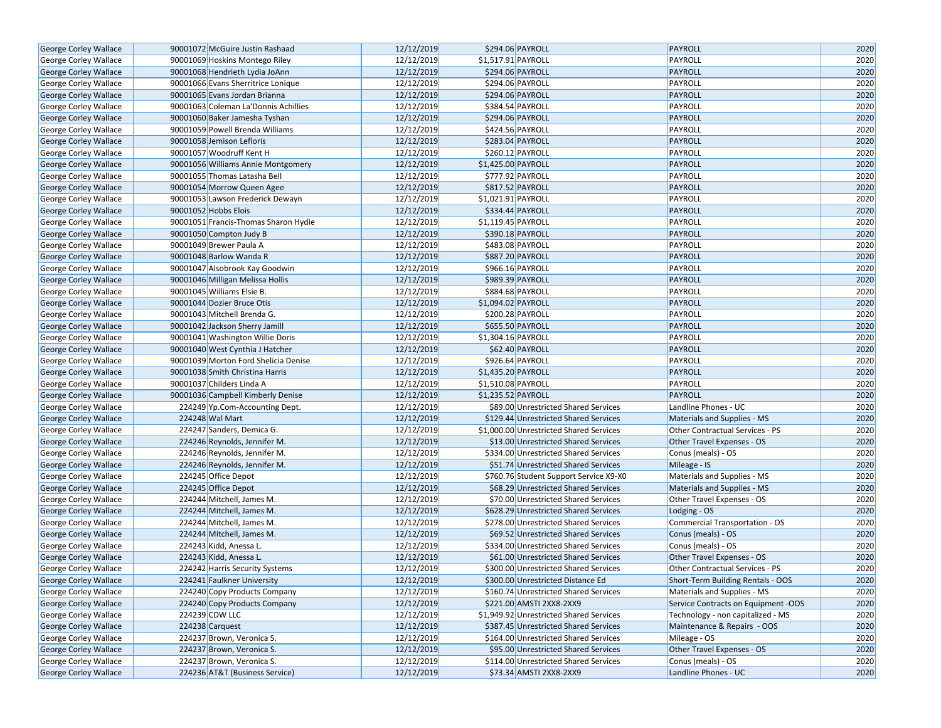| George Corley Wallace        | 90001072 McGuire Justin Rashaad      | 12/12/2019 | \$294.06 PAYROLL                        | <b>PAYROLL</b>                         | 2020 |
|------------------------------|--------------------------------------|------------|-----------------------------------------|----------------------------------------|------|
| George Corley Wallace        | 90001069 Hoskins Montego Riley       | 12/12/2019 | \$1,517.91 PAYROLL                      | PAYROLL                                | 2020 |
| George Corley Wallace        | 90001068 Hendrieth Lydia JoAnn       | 12/12/2019 | \$294.06 PAYROLL                        | <b>PAYROLL</b>                         | 2020 |
| George Corley Wallace        | 90001066 Evans Sherritrice Lonique   | 12/12/2019 | \$294.06 PAYROLL                        | PAYROLL                                | 2020 |
| George Corley Wallace        | 90001065 Evans Jordan Brianna        | 12/12/2019 | \$294.06 PAYROLL                        | <b>PAYROLL</b>                         | 2020 |
| George Corley Wallace        | 90001063 Coleman La'Donnis Achillies | 12/12/2019 | \$384.54 PAYROLL                        | PAYROLL                                | 2020 |
| George Corley Wallace        | 90001060 Baker Jamesha Tyshan        | 12/12/2019 | \$294.06 PAYROLL                        | PAYROLL                                | 2020 |
| <b>George Corley Wallace</b> | 90001059 Powell Brenda Williams      | 12/12/2019 | \$424.56 PAYROLL                        | PAYROLL                                | 2020 |
| George Corley Wallace        | 90001058 Jemison Lefloris            | 12/12/2019 | \$283.04 PAYROLL                        | <b>PAYROLL</b>                         | 2020 |
| George Corley Wallace        | 90001057 Woodruff Kent H             | 12/12/2019 | \$260.12 PAYROLL                        | PAYROLL                                | 2020 |
| George Corley Wallace        | 90001056 Williams Annie Montgomery   | 12/12/2019 | \$1,425.00 PAYROLL                      | <b>PAYROLL</b>                         | 2020 |
| George Corley Wallace        | 90001055 Thomas Latasha Bell         | 12/12/2019 | \$777.92 PAYROLL                        | PAYROLL                                | 2020 |
| George Corley Wallace        | 90001054 Morrow Queen Agee           | 12/12/2019 | \$817.52 PAYROLL                        | <b>PAYROLL</b>                         | 2020 |
| George Corley Wallace        | 90001053 Lawson Frederick Dewayn     | 12/12/2019 | \$1,021.91 PAYROLL                      | PAYROLL                                | 2020 |
| <b>George Corley Wallace</b> | 90001052 Hobbs Elois                 | 12/12/2019 | \$334.44 PAYROLL                        | <b>PAYROLL</b>                         | 2020 |
| George Corley Wallace        | 90001051 Francis-Thomas Sharon Hydie | 12/12/2019 | \$1,119.45 PAYROLL                      | PAYROLL                                | 2020 |
| George Corley Wallace        | 90001050 Compton Judy B              | 12/12/2019 | \$390.18 PAYROLL                        | PAYROLL                                | 2020 |
| George Corley Wallace        | 90001049 Brewer Paula A              | 12/12/2019 | \$483.08 PAYROLL                        | PAYROLL                                | 2020 |
| George Corley Wallace        | 90001048 Barlow Wanda R              | 12/12/2019 | \$887.20 PAYROLL                        | PAYROLL                                | 2020 |
| George Corley Wallace        | 90001047 Alsobrook Kay Goodwin       | 12/12/2019 | \$966.16 PAYROLL                        | PAYROLL                                | 2020 |
| George Corley Wallace        | 90001046 Milligan Melissa Hollis     | 12/12/2019 | \$989.39 PAYROLL                        | PAYROLL                                | 2020 |
| George Corley Wallace        | 90001045 Williams Elsie B.           | 12/12/2019 | \$884.68 PAYROLL                        | PAYROLL                                | 2020 |
| George Corley Wallace        | 90001044 Dozier Bruce Otis           | 12/12/2019 | \$1,094.02 PAYROLL                      | PAYROLL                                | 2020 |
| George Corley Wallace        | 90001043 Mitchell Brenda G.          | 12/12/2019 | \$200.28 PAYROLL                        | PAYROLL                                | 2020 |
| George Corley Wallace        | 90001042 Jackson Sherry Jamill       | 12/12/2019 | \$655.50 PAYROLL                        | PAYROLL                                | 2020 |
| George Corley Wallace        | 90001041 Washington Willie Doris     | 12/12/2019 | \$1,304.16 PAYROLL                      | PAYROLL                                | 2020 |
| George Corley Wallace        | 90001040 West Cynthia J Hatcher      | 12/12/2019 | \$62.40 PAYROLL                         | PAYROLL                                | 2020 |
| George Corley Wallace        | 90001039 Morton Ford Shelicia Denise | 12/12/2019 | \$926.64 PAYROLL                        | PAYROLL                                | 2020 |
| George Corley Wallace        | 90001038 Smith Christina Harris      | 12/12/2019 | \$1,435.20 PAYROLL                      | PAYROLL                                | 2020 |
| George Corley Wallace        | 90001037 Childers Linda A            | 12/12/2019 | \$1,510.08 PAYROLL                      | PAYROLL                                | 2020 |
| George Corley Wallace        | 90001036 Campbell Kimberly Denise    | 12/12/2019 | \$1,235.52 PAYROLL                      | <b>PAYROLL</b>                         | 2020 |
| George Corley Wallace        | 224249 Yp.Com-Accounting Dept.       | 12/12/2019 | \$89.00 Unrestricted Shared Services    | Landline Phones - UC                   | 2020 |
| George Corley Wallace        | 224248 Wal Mart                      | 12/12/2019 | \$129.44 Unrestricted Shared Services   | Materials and Supplies - MS            | 2020 |
| George Corley Wallace        | 224247 Sanders, Demica G.            | 12/12/2019 | \$1,000.00 Unrestricted Shared Services | Other Contractual Services - PS        | 2020 |
| George Corley Wallace        | 224246 Reynolds, Jennifer M.         | 12/12/2019 | \$13.00 Unrestricted Shared Services    | Other Travel Expenses - OS             | 2020 |
| George Corley Wallace        | 224246 Reynolds, Jennifer M.         | 12/12/2019 | \$334.00 Unrestricted Shared Services   | Conus (meals) - OS                     | 2020 |
| George Corley Wallace        | 224246 Reynolds, Jennifer M.         | 12/12/2019 | \$51.74 Unrestricted Shared Services    | Mileage - IS                           | 2020 |
| George Corley Wallace        | 224245 Office Depot                  | 12/12/2019 | \$760.76 Student Support Service X9-X0  | Materials and Supplies - MS            | 2020 |
| George Corley Wallace        | 224245 Office Depot                  | 12/12/2019 | \$68.29 Unrestricted Shared Services    | Materials and Supplies - MS            | 2020 |
| George Corley Wallace        | 224244 Mitchell, James M.            | 12/12/2019 | \$70.00 Unrestricted Shared Services    | Other Travel Expenses - OS             | 2020 |
| George Corley Wallace        | 224244 Mitchell, James M.            | 12/12/2019 | \$628.29 Unrestricted Shared Services   | Lodging - OS                           | 2020 |
| George Corley Wallace        | 224244 Mitchell, James M.            | 12/12/2019 | \$278.00 Unrestricted Shared Services   | Commercial Transportation - OS         | 2020 |
| George Corley Wallace        | 224244 Mitchell, James M.            | 12/12/2019 | \$69.52 Unrestricted Shared Services    | Conus (meals) - OS                     | 2020 |
| George Corley Wallace        | 224243 Kidd, Anessa L.               | 12/12/2019 | \$334.00 Unrestricted Shared Services   | Conus (meals) - OS                     | 2020 |
| George Corley Wallace        | 224243 Kidd, Anessa L.               | 12/12/2019 | \$61.00 Unrestricted Shared Services    | Other Travel Expenses - OS             | 2020 |
| George Corley Wallace        | 224242 Harris Security Systems       | 12/12/2019 | \$300.00 Unrestricted Shared Services   | <b>Other Contractual Services - PS</b> | 2020 |
| <b>George Corley Wallace</b> | 224241 Faulkner University           | 12/12/2019 | \$300.00 Unrestricted Distance Ed       | Short-Term Building Rentals - OOS      | 2020 |
| George Corley Wallace        | 224240 Copy Products Company         | 12/12/2019 | \$160.74 Unrestricted Shared Services   | Materials and Supplies - MS            | 2020 |
| George Corley Wallace        | 224240 Copy Products Company         | 12/12/2019 | \$221.00 AMSTI 2XX8-2XX9                | Service Contracts on Equipment -OOS    | 2020 |
| George Corley Wallace        | 224239 CDW LLC                       | 12/12/2019 | \$1,949.92 Unrestricted Shared Services | Technology - non capitalized - MS      | 2020 |
| George Corley Wallace        | 224238 Carquest                      | 12/12/2019 | \$387.45 Unrestricted Shared Services   | Maintenance & Repairs - OOS            | 2020 |
| George Corley Wallace        | 224237 Brown, Veronica S.            | 12/12/2019 | \$164.00 Unrestricted Shared Services   | Mileage - OS                           | 2020 |
| George Corley Wallace        | 224237 Brown, Veronica S.            | 12/12/2019 | \$95.00 Unrestricted Shared Services    | Other Travel Expenses - OS             | 2020 |
| George Corley Wallace        | 224237 Brown, Veronica S.            | 12/12/2019 | \$114.00 Unrestricted Shared Services   | Conus (meals) - OS                     | 2020 |
| George Corley Wallace        | 224236 AT&T (Business Service)       | 12/12/2019 | \$73.34 AMSTI 2XX8-2XX9                 | Landline Phones - UC                   | 2020 |
|                              |                                      |            |                                         |                                        |      |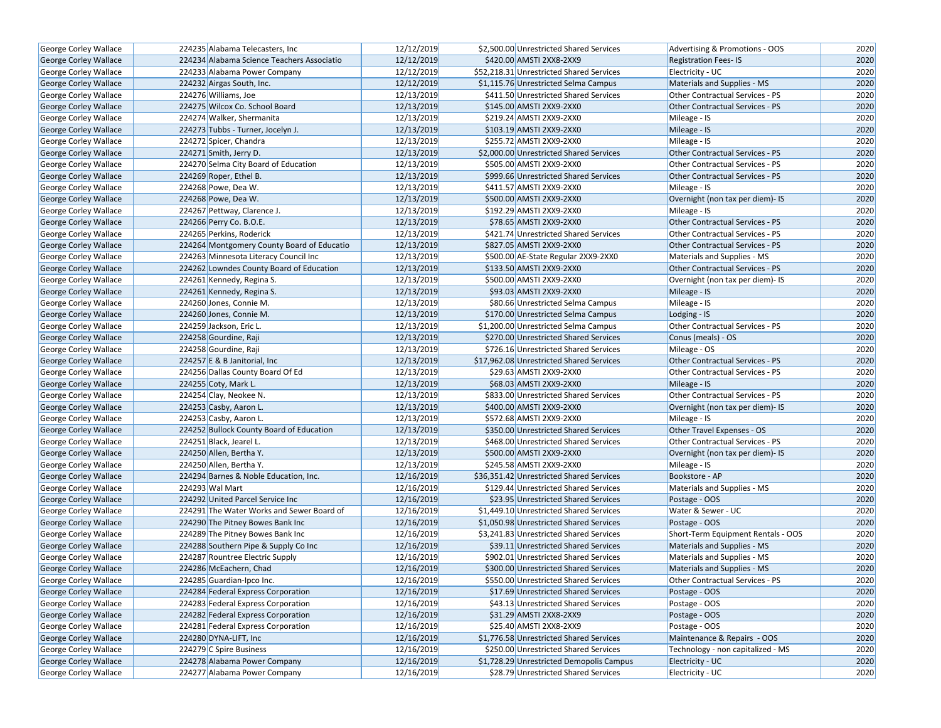| George Corley Wallace        | 224235 Alabama Telecasters, Inc.           | 12/12/2019 | \$2,500.00 Unrestricted Shared Services  | Advertising & Promotions - OOS         | 2020 |
|------------------------------|--------------------------------------------|------------|------------------------------------------|----------------------------------------|------|
| <b>George Corley Wallace</b> | 224234 Alabama Science Teachers Associatio | 12/12/2019 | \$420.00 AMSTI 2XX8-2XX9                 | <b>Registration Fees-IS</b>            | 2020 |
| George Corley Wallace        | 224233 Alabama Power Company               | 12/12/2019 | \$52,218.31 Unrestricted Shared Services | Electricity - UC                       | 2020 |
| George Corley Wallace        | 224232 Airgas South, Inc.                  | 12/12/2019 | \$1,115.76 Unrestricted Selma Campus     | Materials and Supplies - MS            | 2020 |
| George Corley Wallace        | 224276 Williams, Joe                       | 12/13/2019 | \$411.50 Unrestricted Shared Services    | Other Contractual Services - PS        | 2020 |
| George Corley Wallace        | 224275 Wilcox Co. School Board             | 12/13/2019 | \$145.00 AMSTI 2XX9-2XX0                 | Other Contractual Services - PS        | 2020 |
| George Corley Wallace        | 224274 Walker, Shermanita                  | 12/13/2019 | \$219.24 AMSTI 2XX9-2XX0                 | Mileage - IS                           | 2020 |
| George Corley Wallace        | 224273 Tubbs - Turner, Jocelyn J.          | 12/13/2019 | \$103.19 AMSTI 2XX9-2XX0                 | Mileage - IS                           | 2020 |
| George Corley Wallace        | 224272 Spicer, Chandra                     | 12/13/2019 | \$255.72 AMSTI 2XX9-2XX0                 | Mileage - IS                           | 2020 |
| George Corley Wallace        | 224271 Smith, Jerry D.                     | 12/13/2019 | \$2,000.00 Unrestricted Shared Services  | Other Contractual Services - PS        | 2020 |
| George Corley Wallace        | 224270 Selma City Board of Education       | 12/13/2019 | \$505.00 AMSTI 2XX9-2XX0                 | <b>Other Contractual Services - PS</b> | 2020 |
| George Corley Wallace        | 224269 Roper, Ethel B.                     | 12/13/2019 | \$999.66 Unrestricted Shared Services    | <b>Other Contractual Services - PS</b> | 2020 |
| George Corley Wallace        | 224268 Powe, Dea W.                        | 12/13/2019 | \$411.57 AMSTI 2XX9-2XX0                 | Mileage - IS                           | 2020 |
| George Corley Wallace        | 224268 Powe, Dea W.                        | 12/13/2019 | \$500.00 AMSTI 2XX9-2XX0                 | Overnight (non tax per diem)- IS       | 2020 |
| George Corley Wallace        | 224267 Pettway, Clarence J.                | 12/13/2019 | \$192.29 AMSTI 2XX9-2XX0                 | Mileage - IS                           | 2020 |
| <b>George Corley Wallace</b> | 224266 Perry Co. B.O.E.                    | 12/13/2019 | \$78.65 AMSTI 2XX9-2XX0                  | Other Contractual Services - PS        | 2020 |
| George Corley Wallace        | 224265 Perkins, Roderick                   | 12/13/2019 | \$421.74 Unrestricted Shared Services    | <b>Other Contractual Services - PS</b> | 2020 |
| George Corley Wallace        | 224264 Montgomery County Board of Educatio | 12/13/2019 | \$827.05 AMSTI 2XX9-2XX0                 | Other Contractual Services - PS        | 2020 |
| George Corley Wallace        | 224263 Minnesota Literacy Council Inc      | 12/13/2019 | \$500.00 AE-State Regular 2XX9-2XX0      | Materials and Supplies - MS            | 2020 |
| <b>George Corley Wallace</b> | 224262 Lowndes County Board of Education   | 12/13/2019 | \$133.50 AMSTI 2XX9-2XX0                 | <b>Other Contractual Services - PS</b> | 2020 |
| George Corley Wallace        | 224261 Kennedy, Regina S.                  | 12/13/2019 | \$500.00 AMSTI 2XX9-2XX0                 | Overnight (non tax per diem)- IS       | 2020 |
| George Corley Wallace        | 224261 Kennedy, Regina S.                  | 12/13/2019 | \$93.03 AMSTI 2XX9-2XX0                  | Mileage - IS                           | 2020 |
| George Corley Wallace        | 224260 Jones, Connie M.                    | 12/13/2019 | \$80.66 Unrestricted Selma Campus        | Mileage - IS                           | 2020 |
| George Corley Wallace        | 224260 Jones, Connie M.                    | 12/13/2019 | \$170.00 Unrestricted Selma Campus       | Lodging - IS                           | 2020 |
| George Corley Wallace        | 224259 Jackson, Eric L.                    | 12/13/2019 | \$1,200.00 Unrestricted Selma Campus     | Other Contractual Services - PS        | 2020 |
| George Corley Wallace        | 224258 Gourdine, Raji                      | 12/13/2019 | \$270.00 Unrestricted Shared Services    | Conus (meals) - OS                     | 2020 |
| George Corley Wallace        | 224258 Gourdine, Raji                      | 12/13/2019 | \$726.16 Unrestricted Shared Services    | Mileage - OS                           | 2020 |
| George Corley Wallace        | 224257 E & B Janitorial, Inc.              | 12/13/2019 | \$17,962.08 Unrestricted Shared Services | Other Contractual Services - PS        | 2020 |
| George Corley Wallace        | 224256 Dallas County Board Of Ed           | 12/13/2019 | \$29.63 AMSTI 2XX9-2XX0                  | Other Contractual Services - PS        | 2020 |
| George Corley Wallace        | 224255 Coty, Mark L.                       | 12/13/2019 | \$68.03 AMSTI 2XX9-2XX0                  | Mileage - IS                           | 2020 |
| George Corley Wallace        | 224254 Clay, Neokee N.                     | 12/13/2019 | \$833.00 Unrestricted Shared Services    | Other Contractual Services - PS        | 2020 |
| George Corley Wallace        | 224253 Casby, Aaron L.                     | 12/13/2019 | \$400.00 AMSTI 2XX9-2XX0                 | Overnight (non tax per diem)- IS       | 2020 |
| George Corley Wallace        | 224253 Casby, Aaron L.                     | 12/13/2019 | \$572.68 AMSTI 2XX9-2XX0                 | Mileage - IS                           | 2020 |
| George Corley Wallace        | 224252 Bullock County Board of Education   | 12/13/2019 | \$350.00 Unrestricted Shared Services    | Other Travel Expenses - OS             | 2020 |
| George Corley Wallace        | 224251 Black, Jearel L.                    | 12/13/2019 | \$468.00 Unrestricted Shared Services    | Other Contractual Services - PS        | 2020 |
| George Corley Wallace        | 224250 Allen, Bertha Y.                    | 12/13/2019 | \$500.00 AMSTI 2XX9-2XX0                 | Overnight (non tax per diem)- IS       | 2020 |
| George Corley Wallace        | 224250 Allen, Bertha Y.                    | 12/13/2019 | \$245.58 AMSTI 2XX9-2XX0                 | Mileage - IS                           | 2020 |
| George Corley Wallace        | 224294 Barnes & Noble Education, Inc.      | 12/16/2019 | \$36,351.42 Unrestricted Shared Services | Bookstore - AP                         | 2020 |
| George Corley Wallace        | 224293 Wal Mart                            | 12/16/2019 | \$129.44 Unrestricted Shared Services    | Materials and Supplies - MS            | 2020 |
| George Corley Wallace        | 224292 United Parcel Service Inc           | 12/16/2019 | \$23.95 Unrestricted Shared Services     | Postage - OOS                          | 2020 |
| George Corley Wallace        | 224291 The Water Works and Sewer Board of  | 12/16/2019 | \$1,449.10 Unrestricted Shared Services  | Water & Sewer - UC                     | 2020 |
| George Corley Wallace        | 224290 The Pitney Bowes Bank Inc           | 12/16/2019 | \$1,050.98 Unrestricted Shared Services  | Postage - OOS                          | 2020 |
| George Corley Wallace        | 224289 The Pitney Bowes Bank Inc           | 12/16/2019 | \$3,241.83 Unrestricted Shared Services  | Short-Term Equipment Rentals - OOS     | 2020 |
| George Corley Wallace        | 224288 Southern Pipe & Supply Co Inc       | 12/16/2019 | \$39.11 Unrestricted Shared Services     | Materials and Supplies - MS            | 2020 |
| George Corley Wallace        | 224287 Rountree Electric Supply            | 12/16/2019 | \$902.01 Unrestricted Shared Services    | Materials and Supplies - MS            | 2020 |
| George Corley Wallace        | 224286 McEachern, Chad                     | 12/16/2019 | \$300.00 Unrestricted Shared Services    | Materials and Supplies - MS            | 2020 |
| George Corley Wallace        | 224285 Guardian-Ipco Inc.                  | 12/16/2019 | \$550.00 Unrestricted Shared Services    | Other Contractual Services - PS        | 2020 |
| George Corley Wallace        | 224284 Federal Express Corporation         | 12/16/2019 | \$17.69 Unrestricted Shared Services     | Postage - OOS                          | 2020 |
| George Corley Wallace        | 224283 Federal Express Corporation         | 12/16/2019 | \$43.13 Unrestricted Shared Services     | Postage - OOS                          | 2020 |
| <b>George Corley Wallace</b> | 224282 Federal Express Corporation         | 12/16/2019 | \$31.29 AMSTI 2XX8-2XX9                  | Postage - OOS                          | 2020 |
| George Corley Wallace        | 224281 Federal Express Corporation         | 12/16/2019 | \$25.40 AMSTI 2XX8-2XX9                  | Postage - OOS                          | 2020 |
| George Corley Wallace        | 224280 DYNA-LIFT, Inc                      | 12/16/2019 | \$1,776.58 Unrestricted Shared Services  | Maintenance & Repairs - OOS            | 2020 |
| George Corley Wallace        | 224279 C Spire Business                    | 12/16/2019 | \$250.00 Unrestricted Shared Services    | Technology - non capitalized - MS      | 2020 |
| George Corley Wallace        | 224278 Alabama Power Company               | 12/16/2019 | \$1,728.29 Unrestricted Demopolis Campus | Electricity - UC                       | 2020 |
| George Corley Wallace        | 224277 Alabama Power Company               | 12/16/2019 | \$28.79 Unrestricted Shared Services     | Electricity - UC                       | 2020 |
|                              |                                            |            |                                          |                                        |      |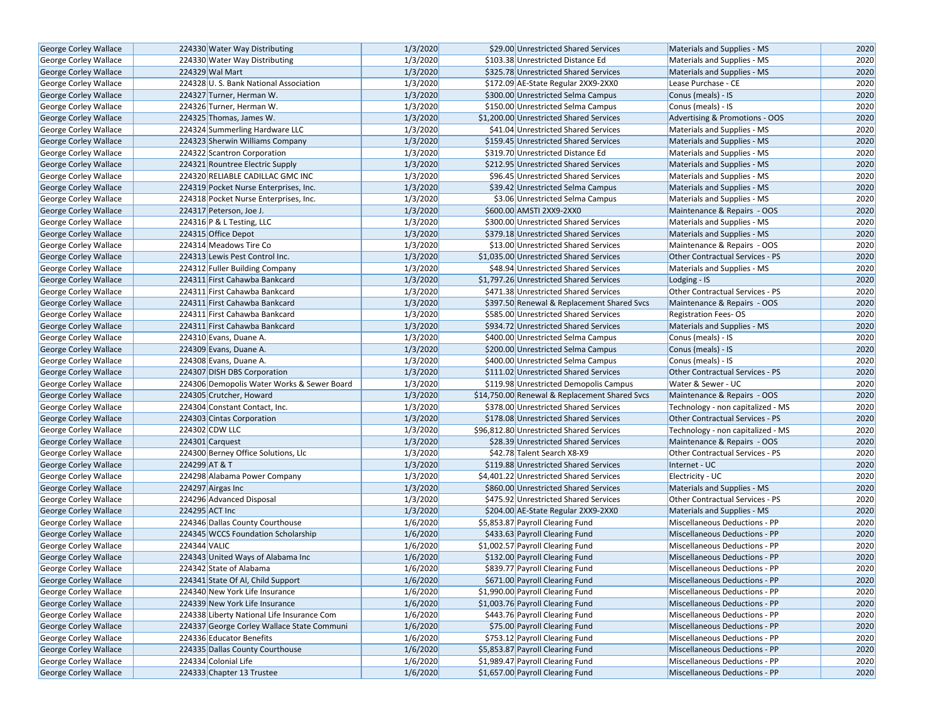| George Corley Wallace        | 224330 Water Way Distributing              | 1/3/2020 | \$29.00 Unrestricted Shared Services          | Materials and Supplies - MS            | 2020 |
|------------------------------|--------------------------------------------|----------|-----------------------------------------------|----------------------------------------|------|
| George Corley Wallace        | 224330 Water Way Distributing              | 1/3/2020 | \$103.38 Unrestricted Distance Ed             | Materials and Supplies - MS            | 2020 |
| <b>George Corley Wallace</b> | 224329 Wal Mart                            | 1/3/2020 | \$325.78 Unrestricted Shared Services         | Materials and Supplies - MS            | 2020 |
| George Corley Wallace        | 224328 U.S. Bank National Association      | 1/3/2020 | \$172.09 AE-State Regular 2XX9-2XX0           | Lease Purchase - CE                    | 2020 |
| <b>George Corley Wallace</b> | 224327 Turner, Herman W.                   | 1/3/2020 | \$300.00 Unrestricted Selma Campus            | Conus (meals) - IS                     | 2020 |
| George Corley Wallace        | 224326 Turner, Herman W.                   | 1/3/2020 | \$150.00 Unrestricted Selma Campus            | Conus (meals) - IS                     | 2020 |
| George Corley Wallace        | 224325 Thomas, James W.                    | 1/3/2020 | \$1,200.00 Unrestricted Shared Services       | Advertising & Promotions - OOS         | 2020 |
| George Corley Wallace        | 224324 Summerling Hardware LLC             | 1/3/2020 | \$41.04 Unrestricted Shared Services          | Materials and Supplies - MS            | 2020 |
| George Corley Wallace        | 224323 Sherwin Williams Company            | 1/3/2020 | \$159.45 Unrestricted Shared Services         | Materials and Supplies - MS            | 2020 |
| George Corley Wallace        | 224322 Scantron Corporation                | 1/3/2020 | \$319.70 Unrestricted Distance Ed             | Materials and Supplies - MS            | 2020 |
| George Corley Wallace        | 224321 Rountree Electric Supply            | 1/3/2020 | \$212.95 Unrestricted Shared Services         | Materials and Supplies - MS            | 2020 |
| George Corley Wallace        | 224320 RELIABLE CADILLAC GMC INC           | 1/3/2020 | \$96.45 Unrestricted Shared Services          | Materials and Supplies - MS            | 2020 |
| George Corley Wallace        | 224319 Pocket Nurse Enterprises, Inc.      | 1/3/2020 | \$39.42 Unrestricted Selma Campus             | Materials and Supplies - MS            | 2020 |
| George Corley Wallace        | 224318 Pocket Nurse Enterprises, Inc.      | 1/3/2020 | \$3.06 Unrestricted Selma Campus              | Materials and Supplies - MS            | 2020 |
| George Corley Wallace        | 224317 Peterson, Joe J.                    | 1/3/2020 | \$600.00 AMSTI 2XX9-2XX0                      | Maintenance & Repairs - OOS            | 2020 |
| George Corley Wallace        | 224316 P & L Testing, LLC                  | 1/3/2020 | \$300.00 Unrestricted Shared Services         | Materials and Supplies - MS            | 2020 |
| George Corley Wallace        | 224315 Office Depot                        | 1/3/2020 | \$379.18 Unrestricted Shared Services         | Materials and Supplies - MS            | 2020 |
| <b>George Corley Wallace</b> | 224314 Meadows Tire Co                     | 1/3/2020 | \$13.00 Unrestricted Shared Services          | Maintenance & Repairs - OOS            | 2020 |
| George Corley Wallace        | 224313 Lewis Pest Control Inc.             | 1/3/2020 | \$1,035.00 Unrestricted Shared Services       | <b>Other Contractual Services - PS</b> | 2020 |
| George Corley Wallace        | 224312 Fuller Building Company             | 1/3/2020 | \$48.94 Unrestricted Shared Services          | Materials and Supplies - MS            | 2020 |
| George Corley Wallace        | 224311 First Cahawba Bankcard              | 1/3/2020 | \$1,797.26 Unrestricted Shared Services       | Lodging - IS                           | 2020 |
| George Corley Wallace        | 224311 First Cahawba Bankcard              | 1/3/2020 | \$471.38 Unrestricted Shared Services         | Other Contractual Services - PS        | 2020 |
| George Corley Wallace        | 224311 First Cahawba Bankcard              | 1/3/2020 | \$397.50 Renewal & Replacement Shared Svcs    | Maintenance & Repairs - OOS            | 2020 |
| <b>George Corley Wallace</b> | 224311 First Cahawba Bankcard              | 1/3/2020 | \$585.00 Unrestricted Shared Services         | <b>Registration Fees-OS</b>            | 2020 |
| George Corley Wallace        | 224311 First Cahawba Bankcard              | 1/3/2020 | \$934.72 Unrestricted Shared Services         | Materials and Supplies - MS            | 2020 |
| <b>George Corley Wallace</b> | 224310 Evans, Duane A.                     | 1/3/2020 | \$400.00 Unrestricted Selma Campus            | Conus (meals) - IS                     | 2020 |
| George Corley Wallace        | 224309 Evans, Duane A.                     | 1/3/2020 | \$200.00 Unrestricted Selma Campus            | Conus (meals) - IS                     | 2020 |
| George Corley Wallace        | 224308 Evans, Duane A.                     | 1/3/2020 | \$400.00 Unrestricted Selma Campus            | Conus (meals) - IS                     | 2020 |
| George Corley Wallace        | 224307 DISH DBS Corporation                | 1/3/2020 | \$111.02 Unrestricted Shared Services         | <b>Other Contractual Services - PS</b> | 2020 |
| George Corley Wallace        | 224306 Demopolis Water Works & Sewer Board | 1/3/2020 | \$119.98 Unrestricted Demopolis Campus        | Water & Sewer - UC                     | 2020 |
| George Corley Wallace        | 224305 Crutcher, Howard                    | 1/3/2020 | \$14,750.00 Renewal & Replacement Shared Svcs | Maintenance & Repairs - OOS            | 2020 |
| <b>George Corley Wallace</b> | 224304 Constant Contact, Inc.              | 1/3/2020 | \$378.00 Unrestricted Shared Services         | Technology - non capitalized - MS      | 2020 |
| <b>George Corley Wallace</b> | 224303 Cintas Corporation                  | 1/3/2020 | \$178.08 Unrestricted Shared Services         | <b>Other Contractual Services - PS</b> | 2020 |
| <b>George Corley Wallace</b> | 224302 CDW LLC                             | 1/3/2020 | \$96,812.80 Unrestricted Shared Services      | Technology - non capitalized - MS      | 2020 |
| George Corley Wallace        | 224301 Carquest                            | 1/3/2020 | \$28.39 Unrestricted Shared Services          | Maintenance & Repairs - OOS            | 2020 |
| George Corley Wallace        | 224300 Berney Office Solutions, Llc        | 1/3/2020 | \$42.78 Talent Search X8-X9                   | Other Contractual Services - PS        | 2020 |
| George Corley Wallace        | 224299 AT & T                              | 1/3/2020 | \$119.88 Unrestricted Shared Services         | Internet - UC                          | 2020 |
| George Corley Wallace        | 224298 Alabama Power Company               | 1/3/2020 | \$4,401.22 Unrestricted Shared Services       | Electricity - UC                       | 2020 |
| George Corley Wallace        | 224297 Airgas Inc                          | 1/3/2020 | \$860.00 Unrestricted Shared Services         | Materials and Supplies - MS            | 2020 |
| George Corley Wallace        | 224296 Advanced Disposal                   | 1/3/2020 | \$475.92 Unrestricted Shared Services         | Other Contractual Services - PS        | 2020 |
| <b>George Corley Wallace</b> | 224295 ACT Inc                             | 1/3/2020 | \$204.00 AE-State Regular 2XX9-2XX0           | Materials and Supplies - MS            | 2020 |
| George Corley Wallace        | 224346 Dallas County Courthouse            | 1/6/2020 | \$5,853.87 Payroll Clearing Fund              | Miscellaneous Deductions - PP          | 2020 |
| George Corley Wallace        | 224345 WCCS Foundation Scholarship         | 1/6/2020 | \$433.63 Payroll Clearing Fund                | Miscellaneous Deductions - PP          | 2020 |
| George Corley Wallace        | 224344 VALIC                               | 1/6/2020 | \$1,002.57 Payroll Clearing Fund              | Miscellaneous Deductions - PP          | 2020 |
| George Corley Wallace        | 224343 United Ways of Alabama Inc          | 1/6/2020 | \$132.00 Payroll Clearing Fund                | <b>Miscellaneous Deductions - PP</b>   | 2020 |
| George Corley Wallace        | 224342 State of Alabama                    | 1/6/2020 | \$839.77 Payroll Clearing Fund                | Miscellaneous Deductions - PP          | 2020 |
| George Corley Wallace        | 224341 State Of Al, Child Support          | 1/6/2020 | \$671.00 Payroll Clearing Fund                | Miscellaneous Deductions - PP          | 2020 |
| George Corley Wallace        | 224340 New York Life Insurance             | 1/6/2020 | \$1,990.00 Payroll Clearing Fund              | Miscellaneous Deductions - PP          | 2020 |
| George Corley Wallace        | 224339 New York Life Insurance             | 1/6/2020 | \$1,003.76 Payroll Clearing Fund              | Miscellaneous Deductions - PP          | 2020 |
| George Corley Wallace        | 224338 Liberty National Life Insurance Com | 1/6/2020 | \$443.76 Payroll Clearing Fund                | Miscellaneous Deductions - PP          | 2020 |
| George Corley Wallace        | 224337 George Corley Wallace State Communi | 1/6/2020 | \$75.00 Payroll Clearing Fund                 | Miscellaneous Deductions - PP          | 2020 |
| George Corley Wallace        | 224336 Educator Benefits                   | 1/6/2020 | \$753.12 Payroll Clearing Fund                | Miscellaneous Deductions - PP          | 2020 |
| George Corley Wallace        | 224335 Dallas County Courthouse            | 1/6/2020 | \$5,853.87 Payroll Clearing Fund              | Miscellaneous Deductions - PP          | 2020 |
| George Corley Wallace        | 224334 Colonial Life                       | 1/6/2020 | \$1,989.47 Payroll Clearing Fund              | Miscellaneous Deductions - PP          | 2020 |
| <b>George Corley Wallace</b> | 224333 Chapter 13 Trustee                  | 1/6/2020 | \$1,657.00 Payroll Clearing Fund              | Miscellaneous Deductions - PP          | 2020 |
|                              |                                            |          |                                               |                                        |      |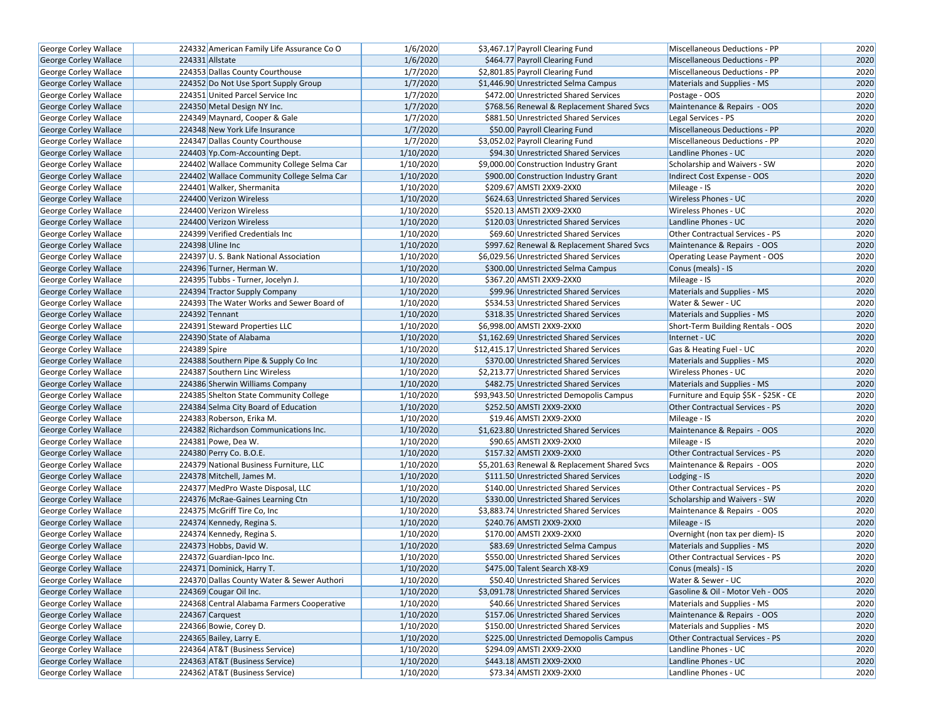| George Corley Wallace        | 224332 American Family Life Assurance Co O | 1/6/2020  | \$3,467.17 Payroll Clearing Fund             | Miscellaneous Deductions - PP          | 2020 |
|------------------------------|--------------------------------------------|-----------|----------------------------------------------|----------------------------------------|------|
| <b>George Corley Wallace</b> | 224331 Allstate                            | 1/6/2020  | \$464.77 Payroll Clearing Fund               | Miscellaneous Deductions - PP          | 2020 |
| George Corley Wallace        | 224353 Dallas County Courthouse            | 1/7/2020  | \$2,801.85 Payroll Clearing Fund             | <b>Miscellaneous Deductions - PP</b>   | 2020 |
| <b>George Corley Wallace</b> | 224352 Do Not Use Sport Supply Group       | 1/7/2020  | \$1,446.90 Unrestricted Selma Campus         | Materials and Supplies - MS            | 2020 |
| George Corley Wallace        | 224351 United Parcel Service Inc           | 1/7/2020  | \$472.00 Unrestricted Shared Services        | Postage - OOS                          | 2020 |
| George Corley Wallace        | 224350 Metal Design NY Inc.                | 1/7/2020  | \$768.56 Renewal & Replacement Shared Svcs   | Maintenance & Repairs - OOS            | 2020 |
| George Corley Wallace        | 224349 Maynard, Cooper & Gale              | 1/7/2020  | \$881.50 Unrestricted Shared Services        | Legal Services - PS                    | 2020 |
| <b>George Corley Wallace</b> | 224348 New York Life Insurance             | 1/7/2020  | \$50.00 Payroll Clearing Fund                | Miscellaneous Deductions - PP          | 2020 |
| George Corley Wallace        | 224347 Dallas County Courthouse            | 1/7/2020  | \$3,052.02 Payroll Clearing Fund             | Miscellaneous Deductions - PP          | 2020 |
| George Corley Wallace        | 224403 Yp.Com-Accounting Dept.             | 1/10/2020 | \$94.30 Unrestricted Shared Services         | Landline Phones - UC                   | 2020 |
| George Corley Wallace        | 224402 Wallace Community College Selma Car | 1/10/2020 | \$9,000.00 Construction Industry Grant       | Scholarship and Waivers - SW           | 2020 |
| George Corley Wallace        | 224402 Wallace Community College Selma Car | 1/10/2020 | \$900.00 Construction Industry Grant         | Indirect Cost Expense - OOS            | 2020 |
| George Corley Wallace        | 224401 Walker, Shermanita                  | 1/10/2020 | \$209.67 AMSTI 2XX9-2XX0                     | Mileage - IS                           | 2020 |
| George Corley Wallace        | 224400 Verizon Wireless                    | 1/10/2020 | \$624.63 Unrestricted Shared Services        | <b>Wireless Phones - UC</b>            | 2020 |
| <b>George Corley Wallace</b> | 224400 Verizon Wireless                    | 1/10/2020 | \$520.13 AMSTI 2XX9-2XX0                     | <b>Wireless Phones - UC</b>            | 2020 |
| George Corley Wallace        | 224400 Verizon Wireless                    | 1/10/2020 | \$120.03 Unrestricted Shared Services        | Landline Phones - UC                   | 2020 |
| George Corley Wallace        | 224399 Verified Credentials Inc            | 1/10/2020 | \$69.60 Unrestricted Shared Services         | Other Contractual Services - PS        | 2020 |
| <b>George Corley Wallace</b> | 224398 Uline Inc                           | 1/10/2020 | \$997.62 Renewal & Replacement Shared Svcs   | Maintenance & Repairs - OOS            | 2020 |
| George Corley Wallace        | 224397 U.S. Bank National Association      | 1/10/2020 | \$6,029.56 Unrestricted Shared Services      | Operating Lease Payment - OOS          | 2020 |
| George Corley Wallace        | 224396 Turner, Herman W.                   | 1/10/2020 | \$300.00 Unrestricted Selma Campus           | Conus (meals) - IS                     | 2020 |
| <b>George Corley Wallace</b> | 224395 Tubbs - Turner, Jocelyn J.          | 1/10/2020 | \$367.20 AMSTI 2XX9-2XX0                     | Mileage - IS                           | 2020 |
| George Corley Wallace        | 224394 Tractor Supply Company              | 1/10/2020 | \$99.96 Unrestricted Shared Services         | Materials and Supplies - MS            | 2020 |
| <b>George Corley Wallace</b> | 224393 The Water Works and Sewer Board of  | 1/10/2020 | \$534.53 Unrestricted Shared Services        | Water & Sewer - UC                     | 2020 |
| <b>George Corley Wallace</b> | 224392 Tennant                             | 1/10/2020 | \$318.35 Unrestricted Shared Services        | Materials and Supplies - MS            | 2020 |
| George Corley Wallace        | 224391 Steward Properties LLC              | 1/10/2020 | \$6,998.00 AMSTI 2XX9-2XX0                   | Short-Term Building Rentals - OOS      | 2020 |
| George Corley Wallace        | 224390 State of Alabama                    | 1/10/2020 | \$1,162.69 Unrestricted Shared Services      | Internet - UC                          | 2020 |
| George Corley Wallace        | 224389 Spire                               | 1/10/2020 | \$12,415.17 Unrestricted Shared Services     | Gas & Heating Fuel - UC                | 2020 |
| George Corley Wallace        | 224388 Southern Pipe & Supply Co Inc       | 1/10/2020 | \$370.00 Unrestricted Shared Services        | Materials and Supplies - MS            | 2020 |
| George Corley Wallace        | 224387 Southern Linc Wireless              | 1/10/2020 | \$2,213.77 Unrestricted Shared Services      | <b>Wireless Phones - UC</b>            | 2020 |
| George Corley Wallace        | 224386 Sherwin Williams Company            | 1/10/2020 | \$482.75 Unrestricted Shared Services        | Materials and Supplies - MS            | 2020 |
| <b>George Corley Wallace</b> | 224385 Shelton State Community College     | 1/10/2020 | \$93,943.50 Unrestricted Demopolis Campus    | Furniture and Equip \$5K - \$25K - CE  | 2020 |
| George Corley Wallace        | 224384 Selma City Board of Education       | 1/10/2020 | \$252.50 AMSTI 2XX9-2XX0                     | Other Contractual Services - PS        | 2020 |
| George Corley Wallace        | 224383 Roberson, Erika M.                  | 1/10/2020 | \$19.46 AMSTI 2XX9-2XX0                      | Mileage - IS                           | 2020 |
| <b>George Corley Wallace</b> | 224382 Richardson Communications Inc.      | 1/10/2020 | \$1,623.80 Unrestricted Shared Services      | Maintenance & Repairs - OOS            | 2020 |
| George Corley Wallace        | 224381 Powe, Dea W.                        | 1/10/2020 | \$90.65 AMSTI 2XX9-2XX0                      | Mileage - IS                           | 2020 |
| George Corley Wallace        | 224380 Perry Co. B.O.E.                    | 1/10/2020 | \$157.32 AMSTI 2XX9-2XX0                     | <b>Other Contractual Services - PS</b> | 2020 |
| <b>George Corley Wallace</b> | 224379 National Business Furniture, LLC    | 1/10/2020 | \$5,201.63 Renewal & Replacement Shared Svcs | Maintenance & Repairs - OOS            | 2020 |
| George Corley Wallace        | 224378 Mitchell, James M.                  | 1/10/2020 | \$111.50 Unrestricted Shared Services        | Lodging - IS                           | 2020 |
| <b>George Corley Wallace</b> | 224377 MedPro Waste Disposal, LLC          | 1/10/2020 | \$140.00 Unrestricted Shared Services        | Other Contractual Services - PS        | 2020 |
| George Corley Wallace        | 224376 McRae-Gaines Learning Ctn           | 1/10/2020 | \$330.00 Unrestricted Shared Services        | Scholarship and Waivers - SW           | 2020 |
| <b>George Corley Wallace</b> | 224375 McGriff Tire Co, Inc                | 1/10/2020 | \$3,883.74 Unrestricted Shared Services      | Maintenance & Repairs - OOS            | 2020 |
| George Corley Wallace        | 224374 Kennedy, Regina S.                  | 1/10/2020 | \$240.76 AMSTI 2XX9-2XX0                     | Mileage - IS                           | 2020 |
| George Corley Wallace        | 224374 Kennedy, Regina S.                  | 1/10/2020 | \$170.00 AMSTI 2XX9-2XX0                     | Overnight (non tax per diem)- IS       | 2020 |
| George Corley Wallace        | 224373 Hobbs, David W.                     | 1/10/2020 | \$83.69 Unrestricted Selma Campus            | Materials and Supplies - MS            | 2020 |
| <b>George Corley Wallace</b> | 224372 Guardian-Ipco Inc.                  | 1/10/2020 | \$550.00 Unrestricted Shared Services        | <b>Other Contractual Services - PS</b> | 2020 |
| <b>George Corley Wallace</b> | 224371 Dominick, Harry T.                  | 1/10/2020 | \$475.00 Talent Search X8-X9                 | Conus (meals) - IS                     | 2020 |
| George Corley Wallace        | 224370 Dallas County Water & Sewer Authori | 1/10/2020 | \$50.40 Unrestricted Shared Services         | Water & Sewer - UC                     | 2020 |
| <b>George Corley Wallace</b> | 224369 Cougar Oil Inc.                     | 1/10/2020 | \$3,091.78 Unrestricted Shared Services      | Gasoline & Oil - Motor Veh - OOS       | 2020 |
| George Corley Wallace        | 224368 Central Alabama Farmers Cooperative | 1/10/2020 | \$40.66 Unrestricted Shared Services         | Materials and Supplies - MS            | 2020 |
| <b>George Corley Wallace</b> | 224367 Carquest                            | 1/10/2020 | \$157.06 Unrestricted Shared Services        | Maintenance & Repairs - OOS            | 2020 |
| George Corley Wallace        | 224366 Bowie, Corey D.                     | 1/10/2020 | \$150.00 Unrestricted Shared Services        | Materials and Supplies - MS            | 2020 |
| George Corley Wallace        | 224365 Bailey, Larry E.                    | 1/10/2020 | \$225.00 Unrestricted Demopolis Campus       | Other Contractual Services - PS        | 2020 |
| George Corley Wallace        | 224364 AT&T (Business Service)             | 1/10/2020 | \$294.09 AMSTI 2XX9-2XX0                     | Landline Phones - UC                   | 2020 |
| George Corley Wallace        | 224363 AT&T (Business Service)             | 1/10/2020 | \$443.18 AMSTI 2XX9-2XX0                     | Landline Phones - UC                   | 2020 |
| George Corley Wallace        | 224362 AT&T (Business Service)             | 1/10/2020 | \$73.34 AMSTI 2XX9-2XX0                      | Landline Phones - UC                   | 2020 |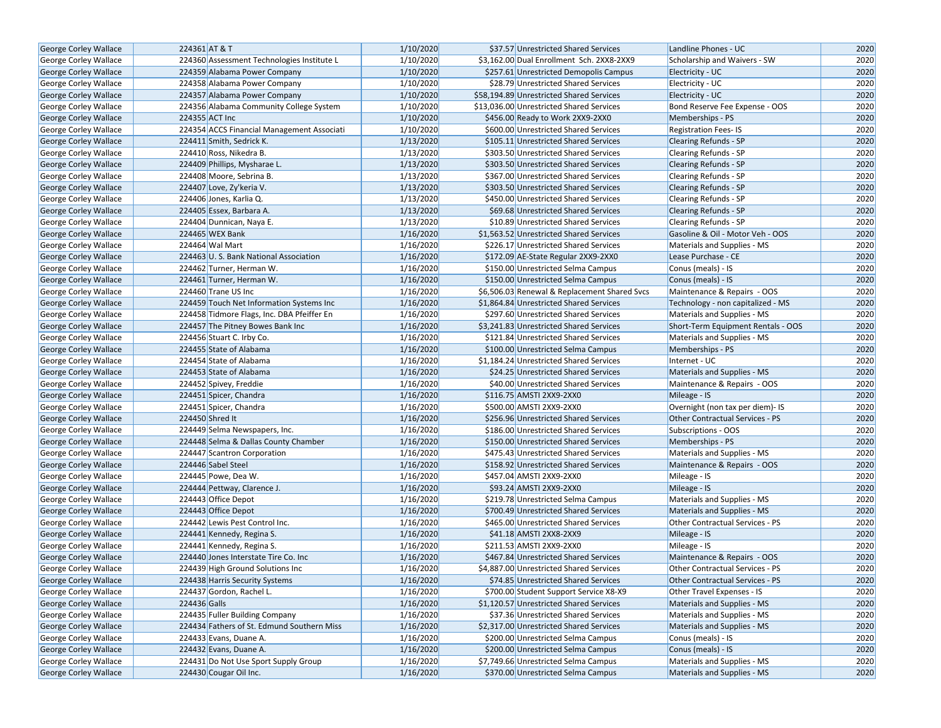| George Corley Wallace                                 | 224361 AT & T                              | 1/10/2020 | \$37.57 Unrestricted Shared Services                                           | Landline Phones - UC                                                  | 2020 |
|-------------------------------------------------------|--------------------------------------------|-----------|--------------------------------------------------------------------------------|-----------------------------------------------------------------------|------|
| <b>George Corley Wallace</b>                          | 224360 Assessment Technologies Institute L | 1/10/2020 | \$3.162.00 Dual Enrollment Sch. 2XX8-2XX9                                      | Scholarship and Waivers - SW                                          | 2020 |
| George Corley Wallace                                 | 224359 Alabama Power Company               | 1/10/2020 | \$257.61 Unrestricted Demopolis Campus                                         | Electricity - UC                                                      | 2020 |
| George Corley Wallace                                 | 224358 Alabama Power Company               | 1/10/2020 | \$28.79 Unrestricted Shared Services                                           | Electricity - UC                                                      | 2020 |
| George Corley Wallace                                 | 224357 Alabama Power Company               | 1/10/2020 | \$58,194.89 Unrestricted Shared Services                                       | Electricity - UC                                                      | 2020 |
| George Corley Wallace                                 | 224356 Alabama Community College System    | 1/10/2020 | \$13,036.00 Unrestricted Shared Services                                       | Bond Reserve Fee Expense - OOS                                        | 2020 |
| <b>George Corley Wallace</b>                          | 224355 ACT Inc                             | 1/10/2020 | \$456.00 Ready to Work 2XX9-2XX0                                               | Memberships - PS                                                      | 2020 |
| <b>George Corley Wallace</b>                          | 224354 ACCS Financial Management Associati | 1/10/2020 | \$600.00 Unrestricted Shared Services                                          | <b>Registration Fees-IS</b>                                           | 2020 |
| <b>George Corley Wallace</b>                          | 224411 Smith, Sedrick K.                   | 1/13/2020 | \$105.11 Unrestricted Shared Services                                          | <b>Clearing Refunds - SP</b>                                          | 2020 |
| George Corley Wallace                                 | 224410 Ross, Nikedra B.                    | 1/13/2020 | \$303.50 Unrestricted Shared Services                                          | Clearing Refunds - SP                                                 | 2020 |
| George Corley Wallace                                 | 224409 Phillips, Mysharae L.               | 1/13/2020 | \$303.50 Unrestricted Shared Services                                          | Clearing Refunds - SP                                                 | 2020 |
| George Corley Wallace                                 | 224408 Moore, Sebrina B.                   | 1/13/2020 | \$367.00 Unrestricted Shared Services                                          | <b>Clearing Refunds - SP</b>                                          | 2020 |
| George Corley Wallace                                 | 224407 Love, Zy'keria V.                   | 1/13/2020 | \$303.50 Unrestricted Shared Services                                          | <b>Clearing Refunds - SP</b>                                          | 2020 |
| <b>George Corley Wallace</b>                          | 224406 Jones, Karlia Q.                    | 1/13/2020 | \$450.00 Unrestricted Shared Services                                          | <b>Clearing Refunds - SP</b>                                          | 2020 |
| <b>George Corley Wallace</b>                          | 224405 Essex, Barbara A.                   | 1/13/2020 | \$69.68 Unrestricted Shared Services                                           | Clearing Refunds - SP                                                 | 2020 |
| <b>George Corley Wallace</b>                          | 224404 Dunnican, Naya E.                   | 1/13/2020 | \$10.89 Unrestricted Shared Services                                           | <b>Clearing Refunds - SP</b>                                          | 2020 |
| George Corley Wallace                                 | 224465 WEX Bank                            | 1/16/2020 | \$1,563.52 Unrestricted Shared Services                                        | Gasoline & Oil - Motor Veh - OOS                                      | 2020 |
| <b>George Corley Wallace</b>                          | 224464 Wal Mart                            | 1/16/2020 | \$226.17 Unrestricted Shared Services                                          | Materials and Supplies - MS                                           | 2020 |
| <b>George Corley Wallace</b>                          | 224463 U.S. Bank National Association      | 1/16/2020 | \$172.09 AE-State Regular 2XX9-2XX0                                            | Lease Purchase - CE                                                   | 2020 |
| <b>George Corley Wallace</b>                          | 224462 Turner, Herman W.                   | 1/16/2020 | \$150.00 Unrestricted Selma Campus                                             | Conus (meals) - IS                                                    | 2020 |
| George Corley Wallace                                 | 224461 Turner, Herman W.                   | 1/16/2020 | \$150.00 Unrestricted Selma Campus                                             | Conus (meals) - IS                                                    | 2020 |
| George Corley Wallace                                 | 224460 Trane US Inc                        | 1/16/2020 | \$6,506.03 Renewal & Replacement Shared Svcs                                   | Maintenance & Repairs - OOS                                           | 2020 |
| <b>George Corley Wallace</b>                          | 224459 Touch Net Information Systems Inc   | 1/16/2020 | \$1,864.84 Unrestricted Shared Services                                        | Technology - non capitalized - MS                                     | 2020 |
| George Corley Wallace                                 | 224458 Tidmore Flags, Inc. DBA Pfeiffer En | 1/16/2020 | \$297.60 Unrestricted Shared Services                                          | Materials and Supplies - MS                                           | 2020 |
| <b>George Corley Wallace</b>                          | 224457 The Pitney Bowes Bank Inc           | 1/16/2020 | \$3,241.83 Unrestricted Shared Services                                        | Short-Term Equipment Rentals - OOS                                    | 2020 |
| George Corley Wallace                                 | 224456 Stuart C. Irby Co.                  | 1/16/2020 | \$121.84 Unrestricted Shared Services                                          | Materials and Supplies - MS                                           | 2020 |
| <b>George Corley Wallace</b>                          | 224455 State of Alabama                    | 1/16/2020 | \$100.00 Unrestricted Selma Campus                                             | Memberships - PS                                                      | 2020 |
| George Corley Wallace                                 | 224454 State of Alabama                    | 1/16/2020 | \$1,184.24 Unrestricted Shared Services                                        | Internet - UC                                                         | 2020 |
| George Corley Wallace                                 | 224453 State of Alabama                    | 1/16/2020 | \$24.25 Unrestricted Shared Services                                           | Materials and Supplies - MS                                           | 2020 |
| George Corley Wallace                                 | 224452 Spivey, Freddie                     | 1/16/2020 | \$40.00 Unrestricted Shared Services                                           | Maintenance & Repairs - OOS                                           | 2020 |
| <b>George Corley Wallace</b>                          | 224451 Spicer, Chandra                     | 1/16/2020 | \$116.75 AMSTI 2XX9-2XX0                                                       | Mileage - IS                                                          | 2020 |
| George Corley Wallace                                 | 224451 Spicer, Chandra                     | 1/16/2020 | \$500.00 AMSTI 2XX9-2XX0                                                       | Overnight (non tax per diem)- IS                                      | 2020 |
| George Corley Wallace                                 | 224450 Shred It                            | 1/16/2020 | \$256.96 Unrestricted Shared Services                                          | Other Contractual Services - PS                                       | 2020 |
| George Corley Wallace                                 | 224449 Selma Newspapers, Inc.              | 1/16/2020 | \$186.00 Unrestricted Shared Services                                          | Subscriptions - OOS                                                   | 2020 |
| George Corley Wallace                                 | 224448 Selma & Dallas County Chamber       | 1/16/2020 | \$150.00 Unrestricted Shared Services                                          | Memberships - PS                                                      | 2020 |
| George Corley Wallace                                 | 224447 Scantron Corporation                | 1/16/2020 | \$475.43 Unrestricted Shared Services                                          | Materials and Supplies - MS                                           | 2020 |
| George Corley Wallace                                 | 224446 Sabel Steel                         | 1/16/2020 | \$158.92 Unrestricted Shared Services                                          | Maintenance & Repairs - OOS                                           | 2020 |
| George Corley Wallace                                 | 224445 Powe, Dea W.                        | 1/16/2020 | \$457.04 AMSTI 2XX9-2XX0                                                       | Mileage - IS                                                          | 2020 |
|                                                       | 224444 Pettway, Clarence J.                | 1/16/2020 | \$93.24 AMSTI 2XX9-2XX0                                                        | Mileage - IS                                                          | 2020 |
| George Corley Wallace                                 | 224443 Office Depot                        | 1/16/2020 | \$219.78 Unrestricted Selma Campus                                             |                                                                       | 2020 |
| George Corley Wallace<br><b>George Corley Wallace</b> | 224443 Office Depot                        | 1/16/2020 |                                                                                | Materials and Supplies - MS                                           | 2020 |
|                                                       | 224442 Lewis Pest Control Inc.             | 1/16/2020 | \$700.49 Unrestricted Shared Services<br>\$465.00 Unrestricted Shared Services | Materials and Supplies - MS<br><b>Other Contractual Services - PS</b> | 2020 |
| George Corley Wallace                                 |                                            |           |                                                                                |                                                                       |      |
| George Corley Wallace                                 | 224441 Kennedy, Regina S.                  | 1/16/2020 | \$41.18 AMSTI 2XX8-2XX9                                                        | Mileage - IS                                                          | 2020 |
| George Corley Wallace                                 | 224441 Kennedy, Regina S.                  | 1/16/2020 | \$211.53 AMSTI 2XX9-2XX0                                                       | Mileage - IS                                                          | 2020 |
| <b>George Corley Wallace</b>                          | 224440 Jones Interstate Tire Co. Inc       | 1/16/2020 | \$467.84 Unrestricted Shared Services                                          | Maintenance & Repairs - OOS                                           | 2020 |
| George Corley Wallace                                 | 224439 High Ground Solutions Inc           | 1/16/2020 | \$4,887.00 Unrestricted Shared Services                                        | <b>Other Contractual Services - PS</b>                                | 2020 |
| George Corley Wallace                                 | 224438 Harris Security Systems             | 1/16/2020 | \$74.85 Unrestricted Shared Services                                           | <b>Other Contractual Services - PS</b>                                | 2020 |
| <b>George Corley Wallace</b>                          | 224437 Gordon, Rachel L.                   | 1/16/2020 | \$700.00 Student Support Service X8-X9                                         | Other Travel Expenses - IS                                            | 2020 |
| George Corley Wallace                                 | 224436 Galls                               | 1/16/2020 | \$1,120.57 Unrestricted Shared Services                                        | Materials and Supplies - MS                                           | 2020 |
| <b>George Corley Wallace</b>                          | 224435 Fuller Building Company             | 1/16/2020 | \$37.36 Unrestricted Shared Services                                           | Materials and Supplies - MS                                           | 2020 |
| George Corley Wallace                                 | 224434 Fathers of St. Edmund Southern Miss | 1/16/2020 | \$2,317.00 Unrestricted Shared Services                                        | Materials and Supplies - MS                                           | 2020 |
| <b>George Corley Wallace</b>                          | 224433 Evans, Duane A.                     | 1/16/2020 | \$200.00 Unrestricted Selma Campus                                             | Conus (meals) - IS                                                    | 2020 |
| George Corley Wallace                                 | 224432 Evans, Duane A.                     | 1/16/2020 | \$200.00 Unrestricted Selma Campus                                             | Conus (meals) - IS                                                    | 2020 |
| George Corley Wallace                                 | 224431 Do Not Use Sport Supply Group       | 1/16/2020 | \$7,749.66 Unrestricted Selma Campus                                           | Materials and Supplies - MS                                           | 2020 |
| <b>George Corley Wallace</b>                          | 224430 Cougar Oil Inc.                     | 1/16/2020 | \$370.00 Unrestricted Selma Campus                                             | Materials and Supplies - MS                                           | 2020 |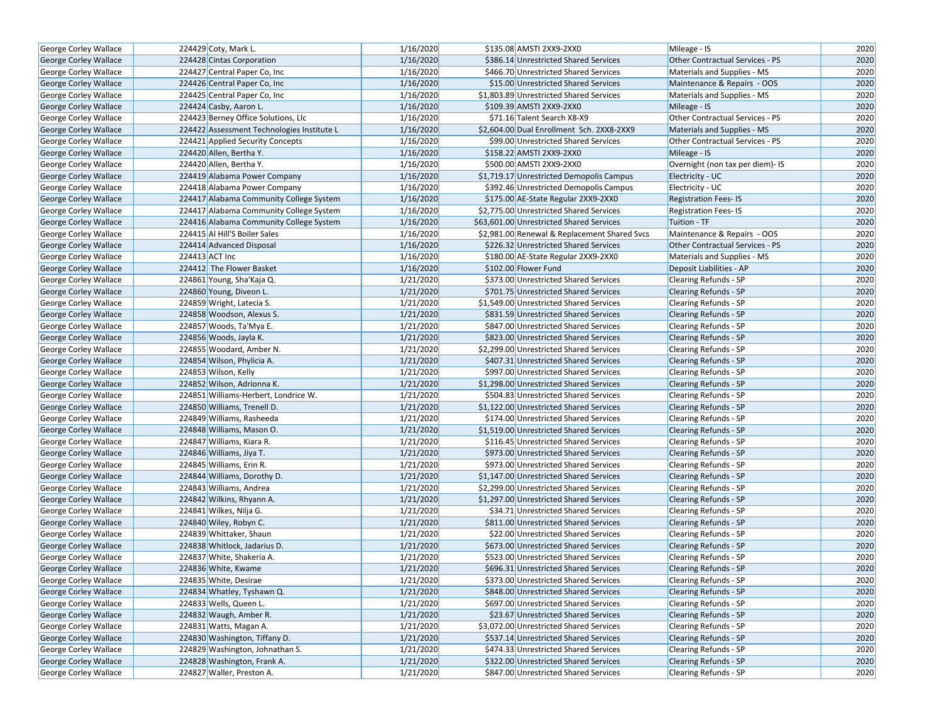| George Corley Wallace        | 224429 Coty, Mark L.                       | 1/16/2020 | \$135.08 AMSTI 2XX9-2XX0                     | Mileage - IS                     | 2020 |
|------------------------------|--------------------------------------------|-----------|----------------------------------------------|----------------------------------|------|
| <b>George Corley Wallace</b> | 224428 Cintas Corporation                  | 1/16/2020 | \$386.14 Unrestricted Shared Services        | Other Contractual Services - PS  | 2020 |
| George Corley Wallace        | 224427 Central Paper Co, Inc               | 1/16/2020 | \$466.70 Unrestricted Shared Services        | Materials and Supplies - MS      | 2020 |
| George Corley Wallace        | 224426 Central Paper Co, Inc               | 1/16/2020 | \$15.00 Unrestricted Shared Services         | Maintenance & Repairs - OOS      | 2020 |
| George Corley Wallace        | 224425 Central Paper Co, Inc               | 1/16/2020 | \$1,803.89 Unrestricted Shared Services      | Materials and Supplies - MS      | 2020 |
| George Corley Wallace        | 224424 Casby, Aaron L.                     | 1/16/2020 | \$109.39 AMSTI 2XX9-2XX0                     | Mileage - IS                     | 2020 |
| George Corley Wallace        | 224423 Berney Office Solutions, Llc        | 1/16/2020 | \$71.16 Talent Search X8-X9                  | Other Contractual Services - PS  | 2020 |
| <b>George Corley Wallace</b> | 224422 Assessment Technologies Institute L | 1/16/2020 | \$2,604.00 Dual Enrollment Sch. 2XX8-2XX9    | Materials and Supplies - MS      | 2020 |
| George Corley Wallace        | 224421 Applied Security Concepts           | 1/16/2020 | \$99.00 Unrestricted Shared Services         | Other Contractual Services - PS  | 2020 |
| George Corley Wallace        | 224420 Allen, Bertha Y.                    | 1/16/2020 | \$158.22 AMSTI 2XX9-2XX0                     | Mileage - IS                     | 2020 |
| George Corley Wallace        | 224420 Allen, Bertha Y.                    | 1/16/2020 | \$500.00 AMSTI 2XX9-2XX0                     | Overnight (non tax per diem)- IS | 2020 |
| George Corley Wallace        | 224419 Alabama Power Company               | 1/16/2020 | \$1,719.17 Unrestricted Demopolis Campus     | Electricity - UC                 | 2020 |
| <b>George Corley Wallace</b> | 224418 Alabama Power Company               | 1/16/2020 | \$392.46 Unrestricted Demopolis Campus       | Electricity - UC                 | 2020 |
| <b>George Corley Wallace</b> | 224417 Alabama Community College System    | 1/16/2020 | \$175.00 AE-State Regular 2XX9-2XX0          | <b>Registration Fees-IS</b>      | 2020 |
| <b>George Corley Wallace</b> | 224417 Alabama Community College System    | 1/16/2020 | \$2,775.00 Unrestricted Shared Services      | <b>Registration Fees-IS</b>      | 2020 |
| <b>George Corley Wallace</b> | 224416 Alabama Community College System    | 1/16/2020 | \$63,601.00 Unrestricted Shared Services     | Tuition - TF                     | 2020 |
| George Corley Wallace        | 224415 Al Hill'S Boiler Sales              | 1/16/2020 | \$2,981.00 Renewal & Replacement Shared Svcs | Maintenance & Repairs - OOS      | 2020 |
| George Corley Wallace        | 224414 Advanced Disposal                   | 1/16/2020 | \$226.32 Unrestricted Shared Services        | Other Contractual Services - PS  | 2020 |
| George Corley Wallace        | 224413 ACT Inc                             | 1/16/2020 | \$180.00 AE-State Regular 2XX9-2XX0          | Materials and Supplies - MS      | 2020 |
| George Corley Wallace        | 224412 The Flower Basket                   | 1/16/2020 | \$102.00 Flower Fund                         | Deposit Liabilities - AP         | 2020 |
| <b>George Corley Wallace</b> | 224861 Young, Sha'Kaja Q.                  | 1/21/2020 | \$373.00 Unrestricted Shared Services        | <b>Clearing Refunds - SP</b>     | 2020 |
| <b>George Corley Wallace</b> | 224860 Young, Diveon L.                    | 1/21/2020 | \$701.75 Unrestricted Shared Services        | <b>Clearing Refunds - SP</b>     | 2020 |
| George Corley Wallace        | 224859 Wright, Latecia S.                  | 1/21/2020 | \$1,549.00 Unrestricted Shared Services      | Clearing Refunds - SP            | 2020 |
| George Corley Wallace        | 224858 Woodson, Alexus S.                  | 1/21/2020 | \$831.59 Unrestricted Shared Services        | <b>Clearing Refunds - SP</b>     | 2020 |
| <b>George Corley Wallace</b> | 224857 Woods, Ta'Mya E.                    | 1/21/2020 | \$847.00 Unrestricted Shared Services        | <b>Clearing Refunds - SP</b>     | 2020 |
| George Corley Wallace        | 224856 Woods, Jayla K.                     | 1/21/2020 | \$823.00 Unrestricted Shared Services        | <b>Clearing Refunds - SP</b>     | 2020 |
| George Corley Wallace        | 224855 Woodard, Amber N.                   | 1/21/2020 | \$2,299.00 Unrestricted Shared Services      | Clearing Refunds - SP            | 2020 |
| George Corley Wallace        | 224854 Wilson, Phylicia A.                 | 1/21/2020 | \$407.31 Unrestricted Shared Services        | <b>Clearing Refunds - SP</b>     | 2020 |
| George Corley Wallace        | 224853 Wilson, Kelly                       | 1/21/2020 | \$997.00 Unrestricted Shared Services        | <b>Clearing Refunds - SP</b>     | 2020 |
| George Corley Wallace        | 224852 Wilson, Adrionna K.                 | 1/21/2020 | \$1,298.00 Unrestricted Shared Services      | <b>Clearing Refunds - SP</b>     | 2020 |
| George Corley Wallace        | 224851 Williams-Herbert, Londrice W.       | 1/21/2020 | \$504.83 Unrestricted Shared Services        | Clearing Refunds - SP            | 2020 |
| George Corley Wallace        | 224850 Williams, Trenell D.                | 1/21/2020 | \$1,122.00 Unrestricted Shared Services      | <b>Clearing Refunds - SP</b>     | 2020 |
| George Corley Wallace        | 224849 Williams, Rasheeda                  | 1/21/2020 | \$174.00 Unrestricted Shared Services        | <b>Clearing Refunds - SP</b>     | 2020 |
| <b>George Corley Wallace</b> | 224848 Williams, Mason O.                  | 1/21/2020 | \$1,519.00 Unrestricted Shared Services      | <b>Clearing Refunds - SP</b>     | 2020 |
| George Corley Wallace        | 224847 Williams, Kiara R.                  | 1/21/2020 | \$116.45 Unrestricted Shared Services        | Clearing Refunds - SP            | 2020 |
| <b>George Corley Wallace</b> | 224846 Williams, Jiya T.                   | 1/21/2020 | \$973.00 Unrestricted Shared Services        | <b>Clearing Refunds - SP</b>     | 2020 |
| George Corley Wallace        | 224845 Williams, Erin R.                   | 1/21/2020 | \$973.00 Unrestricted Shared Services        | Clearing Refunds - SP            | 2020 |
| George Corley Wallace        | 224844 Williams, Dorothy D.                | 1/21/2020 | \$1,147.00 Unrestricted Shared Services      | <b>Clearing Refunds - SP</b>     | 2020 |
| George Corley Wallace        | 224843 Williams, Andrea                    | 1/21/2020 | \$2,299.00 Unrestricted Shared Services      | Clearing Refunds - SP            | 2020 |
| George Corley Wallace        | 224842 Wilkins, Rhyann A.                  | 1/21/2020 | \$1,297.00 Unrestricted Shared Services      | <b>Clearing Refunds - SP</b>     | 2020 |
| George Corley Wallace        | 224841 Wilkes, Nilja G.                    | 1/21/2020 | \$34.71 Unrestricted Shared Services         | Clearing Refunds - SP            | 2020 |
| George Corley Wallace        | 224840 Wiley, Robyn C.                     | 1/21/2020 | \$811.00 Unrestricted Shared Services        | <b>Clearing Refunds - SP</b>     | 2020 |
| George Corley Wallace        | 224839 Whittaker, Shaun                    | 1/21/2020 | \$22.00 Unrestricted Shared Services         | Clearing Refunds - SP            | 2020 |
| George Corley Wallace        | 224838 Whitlock, Jadarius D.               | 1/21/2020 | \$673.00 Unrestricted Shared Services        | Clearing Refunds - SP            | 2020 |
| George Corley Wallace        | 224837 White, Shakeria A.                  | 1/21/2020 | \$523.00 Unrestricted Shared Services        | Clearing Refunds - SP            | 2020 |
| George Corley Wallace        | 224836 White, Kwame                        | 1/21/2020 | \$696.31 Unrestricted Shared Services        | <b>Clearing Refunds - SP</b>     | 2020 |
| George Corley Wallace        | 224835 White, Desirae                      | 1/21/2020 | \$373.00 Unrestricted Shared Services        | Clearing Refunds - SP            | 2020 |
| <b>George Corley Wallace</b> | 224834 Whatley, Tyshawn Q.                 | 1/21/2020 | \$848.00 Unrestricted Shared Services        | Clearing Refunds - SP            | 2020 |
| George Corley Wallace        | 224833 Wells, Queen L.                     | 1/21/2020 | \$697.00 Unrestricted Shared Services        | Clearing Refunds - SP            | 2020 |
| <b>George Corley Wallace</b> | 224832 Waugh, Amber R.                     | 1/21/2020 | \$23.67 Unrestricted Shared Services         | <b>Clearing Refunds - SP</b>     | 2020 |
| George Corley Wallace        | 224831 Watts, Magan A.                     | 1/21/2020 | \$3,072.00 Unrestricted Shared Services      | Clearing Refunds - SP            | 2020 |
| George Corley Wallace        | 224830 Washington, Tiffany D.              | 1/21/2020 | \$537.14 Unrestricted Shared Services        | Clearing Refunds - SP            | 2020 |
| George Corley Wallace        | 224829 Washington, Johnathan S.            | 1/21/2020 | \$474.33 Unrestricted Shared Services        | Clearing Refunds - SP            | 2020 |
| George Corley Wallace        | 224828 Washington, Frank A.                | 1/21/2020 | \$322.00 Unrestricted Shared Services        | <b>Clearing Refunds - SP</b>     | 2020 |
| George Corley Wallace        | 224827 Waller, Preston A.                  | 1/21/2020 | \$847.00 Unrestricted Shared Services        | Clearing Refunds - SP            | 2020 |
|                              |                                            |           |                                              |                                  |      |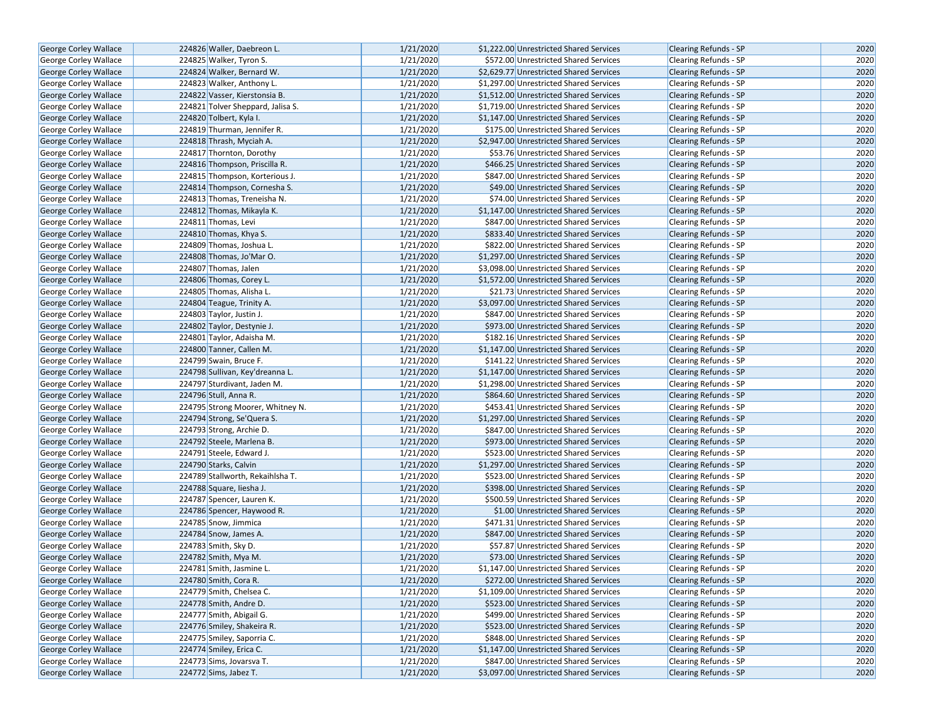|                              |                                   |           | \$1,222.00 Unrestricted Shared Services |                              |      |
|------------------------------|-----------------------------------|-----------|-----------------------------------------|------------------------------|------|
| George Corley Wallace        | 224826 Waller, Daebreon L.        | 1/21/2020 | \$572.00 Unrestricted Shared Services   | <b>Clearing Refunds - SP</b> | 2020 |
| George Corley Wallace        | 224825 Walker, Tyron S.           | 1/21/2020 |                                         | Clearing Refunds - SP        | 2020 |
| George Corley Wallace        | 224824 Walker, Bernard W.         | 1/21/2020 | \$2,629.77 Unrestricted Shared Services | <b>Clearing Refunds - SP</b> | 2020 |
| George Corley Wallace        | 224823 Walker, Anthony L.         | 1/21/2020 | \$1,297.00 Unrestricted Shared Services | <b>Clearing Refunds - SP</b> | 2020 |
| George Corley Wallace        | 224822 Vasser, Kierstonsia B.     | 1/21/2020 | \$1,512.00 Unrestricted Shared Services | <b>Clearing Refunds - SP</b> | 2020 |
| George Corley Wallace        | 224821 Tolver Sheppard, Jalisa S. | 1/21/2020 | \$1,719.00 Unrestricted Shared Services | Clearing Refunds - SP        | 2020 |
| George Corley Wallace        | 224820 Tolbert, Kyla I.           | 1/21/2020 | \$1,147.00 Unrestricted Shared Services | <b>Clearing Refunds - SP</b> | 2020 |
| George Corley Wallace        | 224819 Thurman. Jennifer R.       | 1/21/2020 | \$175.00 Unrestricted Shared Services   | <b>Clearing Refunds - SP</b> | 2020 |
| George Corley Wallace        | 224818 Thrash, Myciah A.          | 1/21/2020 | \$2,947.00 Unrestricted Shared Services | <b>Clearing Refunds - SP</b> | 2020 |
| George Corley Wallace        | 224817 Thornton, Dorothy          | 1/21/2020 | \$53.76 Unrestricted Shared Services    | Clearing Refunds - SP        | 2020 |
| George Corley Wallace        | 224816 Thompson, Priscilla R.     | 1/21/2020 | \$466.25 Unrestricted Shared Services   | <b>Clearing Refunds - SP</b> | 2020 |
| George Corley Wallace        | 224815 Thompson, Korterious J.    | 1/21/2020 | \$847.00 Unrestricted Shared Services   | <b>Clearing Refunds - SP</b> | 2020 |
| <b>George Corley Wallace</b> | 224814 Thompson, Cornesha S.      | 1/21/2020 | \$49.00 Unrestricted Shared Services    | <b>Clearing Refunds - SP</b> | 2020 |
| George Corley Wallace        | 224813 Thomas, Treneisha N.       | 1/21/2020 | \$74.00 Unrestricted Shared Services    | Clearing Refunds - SP        | 2020 |
| <b>George Corley Wallace</b> | 224812 Thomas, Mikayla K.         | 1/21/2020 | \$1,147.00 Unrestricted Shared Services | <b>Clearing Refunds - SP</b> | 2020 |
| George Corley Wallace        | 224811 Thomas, Levi               | 1/21/2020 | \$847.00 Unrestricted Shared Services   | <b>Clearing Refunds - SP</b> | 2020 |
| George Corley Wallace        | 224810 Thomas, Khya S.            | 1/21/2020 | \$833.40 Unrestricted Shared Services   | <b>Clearing Refunds - SP</b> | 2020 |
| George Corley Wallace        | 224809 Thomas, Joshua L.          | 1/21/2020 | \$822.00 Unrestricted Shared Services   | Clearing Refunds - SP        | 2020 |
| George Corley Wallace        | 224808 Thomas, Jo'Mar O.          | 1/21/2020 | \$1,297.00 Unrestricted Shared Services | <b>Clearing Refunds - SP</b> | 2020 |
| <b>George Corley Wallace</b> | 224807 Thomas, Jalen              | 1/21/2020 | \$3,098.00 Unrestricted Shared Services | <b>Clearing Refunds - SP</b> | 2020 |
| George Corley Wallace        | 224806 Thomas, Corey L.           | 1/21/2020 | \$1,572.00 Unrestricted Shared Services | <b>Clearing Refunds - SP</b> | 2020 |
| George Corley Wallace        | 224805 Thomas, Alisha L.          | 1/21/2020 | \$21.73 Unrestricted Shared Services    | Clearing Refunds - SP        | 2020 |
| George Corley Wallace        | 224804 Teague, Trinity A.         | 1/21/2020 | \$3,097.00 Unrestricted Shared Services | <b>Clearing Refunds - SP</b> | 2020 |
| George Corley Wallace        | 224803 Taylor, Justin J.          | 1/21/2020 | \$847.00 Unrestricted Shared Services   | Clearing Refunds - SP        | 2020 |
| George Corley Wallace        | 224802 Taylor, Destynie J.        | 1/21/2020 | \$973.00 Unrestricted Shared Services   | <b>Clearing Refunds - SP</b> | 2020 |
| George Corley Wallace        | 224801 Taylor, Adaisha M.         | 1/21/2020 | \$182.16 Unrestricted Shared Services   | Clearing Refunds - SP        | 2020 |
| George Corley Wallace        | 224800 Tanner, Callen M.          | 1/21/2020 | \$1,147.00 Unrestricted Shared Services | <b>Clearing Refunds - SP</b> | 2020 |
| George Corley Wallace        | 224799 Swain, Bruce F.            | 1/21/2020 | \$141.22 Unrestricted Shared Services   | Clearing Refunds - SP        | 2020 |
| George Corley Wallace        | 224798 Sullivan, Key'dreanna L.   | 1/21/2020 | \$1,147.00 Unrestricted Shared Services | <b>Clearing Refunds - SP</b> | 2020 |
| George Corley Wallace        | 224797 Sturdivant, Jaden M.       | 1/21/2020 | \$1,298.00 Unrestricted Shared Services | Clearing Refunds - SP        | 2020 |
| George Corley Wallace        | 224796 Stull, Anna R.             | 1/21/2020 | \$864.60 Unrestricted Shared Services   | <b>Clearing Refunds - SP</b> | 2020 |
| George Corley Wallace        | 224795 Strong Moorer, Whitney N.  | 1/21/2020 | \$453.41 Unrestricted Shared Services   | Clearing Refunds - SP        | 2020 |
| George Corley Wallace        | 224794 Strong, Se'Quera S.        | 1/21/2020 | \$1,297.00 Unrestricted Shared Services | <b>Clearing Refunds - SP</b> | 2020 |
| George Corley Wallace        | 224793 Strong, Archie D.          | 1/21/2020 | \$847.00 Unrestricted Shared Services   | Clearing Refunds - SP        | 2020 |
| George Corley Wallace        | 224792 Steele, Marlena B.         | 1/21/2020 | \$973.00 Unrestricted Shared Services   | <b>Clearing Refunds - SP</b> | 2020 |
| George Corley Wallace        | 224791 Steele, Edward J.          | 1/21/2020 | \$523.00 Unrestricted Shared Services   | Clearing Refunds - SP        | 2020 |
| <b>George Corley Wallace</b> | 224790 Starks, Calvin             | 1/21/2020 | \$1,297.00 Unrestricted Shared Services | <b>Clearing Refunds - SP</b> | 2020 |
| George Corley Wallace        | 224789 Stallworth, Rekaihlsha T.  | 1/21/2020 | \$523.00 Unrestricted Shared Services   | Clearing Refunds - SP        | 2020 |
| George Corley Wallace        | 224788 Square, liesha J.          | 1/21/2020 | \$398.00 Unrestricted Shared Services   | <b>Clearing Refunds - SP</b> | 2020 |
| George Corley Wallace        | 224787 Spencer, Lauren K.         | 1/21/2020 | \$500.59 Unrestricted Shared Services   | Clearing Refunds - SP        | 2020 |
| <b>George Corley Wallace</b> | 224786 Spencer, Haywood R.        | 1/21/2020 | \$1.00 Unrestricted Shared Services     | <b>Clearing Refunds - SP</b> | 2020 |
| George Corley Wallace        | 224785 Snow, Jimmica              | 1/21/2020 | \$471.31 Unrestricted Shared Services   | Clearing Refunds - SP        | 2020 |
| George Corley Wallace        | 224784 Snow, James A.             | 1/21/2020 | \$847.00 Unrestricted Shared Services   | <b>Clearing Refunds - SP</b> | 2020 |
| George Corley Wallace        | 224783 Smith, Sky D.              | 1/21/2020 | \$57.87 Unrestricted Shared Services    | Clearing Refunds - SP        | 2020 |
| <b>George Corley Wallace</b> | 224782 Smith, Mya M.              | 1/21/2020 | \$73.00 Unrestricted Shared Services    | <b>Clearing Refunds - SP</b> | 2020 |
| George Corley Wallace        | 224781 Smith, Jasmine L.          | 1/21/2020 | \$1,147.00 Unrestricted Shared Services | <b>Clearing Refunds - SP</b> | 2020 |
| George Corley Wallace        | 224780 Smith, Cora R.             | 1/21/2020 | \$272.00 Unrestricted Shared Services   | <b>Clearing Refunds - SP</b> | 2020 |
| George Corley Wallace        | 224779 Smith, Chelsea C.          | 1/21/2020 | \$1,109.00 Unrestricted Shared Services | Clearing Refunds - SP        | 2020 |
| George Corley Wallace        | 224778 Smith, Andre D.            | 1/21/2020 | \$523.00 Unrestricted Shared Services   | <b>Clearing Refunds - SP</b> | 2020 |
| George Corley Wallace        | 224777 Smith, Abigail G.          | 1/21/2020 | \$499.00 Unrestricted Shared Services   | Clearing Refunds - SP        | 2020 |
| George Corley Wallace        | 224776 Smiley, Shakeira R.        | 1/21/2020 | \$523.00 Unrestricted Shared Services   | <b>Clearing Refunds - SP</b> | 2020 |
| George Corley Wallace        | 224775 Smiley, Saporria C.        | 1/21/2020 | \$848.00 Unrestricted Shared Services   | Clearing Refunds - SP        | 2020 |
| George Corley Wallace        | 224774 Smiley, Erica C.           | 1/21/2020 | \$1,147.00 Unrestricted Shared Services | <b>Clearing Refunds - SP</b> | 2020 |
| George Corley Wallace        | 224773 Sims, Jovarsva T.          | 1/21/2020 | \$847.00 Unrestricted Shared Services   | Clearing Refunds - SP        | 2020 |
| George Corley Wallace        | 224772 Sims, Jabez T.             | 1/21/2020 | \$3,097.00 Unrestricted Shared Services | Clearing Refunds - SP        | 2020 |
|                              |                                   |           |                                         |                              |      |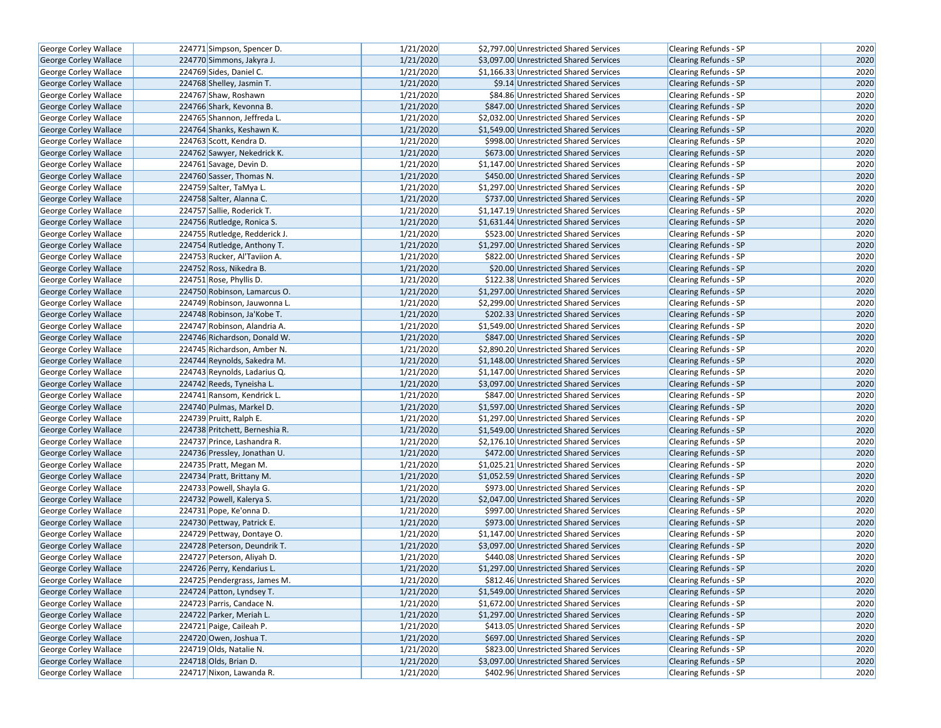| George Corley Wallace        | 224771 Simpson, Spencer D.     | 1/21/2020 | \$2,797.00 Unrestricted Shared Services | Clearing Refunds - SP        | 2020 |
|------------------------------|--------------------------------|-----------|-----------------------------------------|------------------------------|------|
| <b>George Corley Wallace</b> | 224770 Simmons, Jakyra J.      | 1/21/2020 | \$3,097.00 Unrestricted Shared Services | <b>Clearing Refunds - SP</b> | 2020 |
| George Corley Wallace        | 224769 Sides, Daniel C.        | 1/21/2020 | \$1,166.33 Unrestricted Shared Services | Clearing Refunds - SP        | 2020 |
| George Corley Wallace        | 224768 Shelley, Jasmin T.      | 1/21/2020 | \$9.14 Unrestricted Shared Services     | <b>Clearing Refunds - SP</b> | 2020 |
| George Corley Wallace        | 224767 Shaw, Roshawn           | 1/21/2020 | \$84.86 Unrestricted Shared Services    | Clearing Refunds - SP        | 2020 |
| George Corley Wallace        | 224766 Shark, Kevonna B.       | 1/21/2020 | \$847.00 Unrestricted Shared Services   | <b>Clearing Refunds - SP</b> | 2020 |
| George Corley Wallace        | 224765 Shannon, Jeffreda L.    | 1/21/2020 | \$2,032.00 Unrestricted Shared Services | Clearing Refunds - SP        | 2020 |
| <b>George Corley Wallace</b> | 224764 Shanks, Keshawn K.      | 1/21/2020 | \$1,549.00 Unrestricted Shared Services | <b>Clearing Refunds - SP</b> | 2020 |
| George Corley Wallace        | 224763 Scott, Kendra D.        | 1/21/2020 | \$998.00 Unrestricted Shared Services   | Clearing Refunds - SP        | 2020 |
| George Corley Wallace        | 224762 Sawyer, Nekedrick K.    | 1/21/2020 | \$673.00 Unrestricted Shared Services   | <b>Clearing Refunds - SP</b> | 2020 |
| George Corley Wallace        | 224761 Savage, Devin D.        | 1/21/2020 | \$1,147.00 Unrestricted Shared Services | Clearing Refunds - SP        | 2020 |
| George Corley Wallace        | 224760 Sasser, Thomas N.       | 1/21/2020 | \$450.00 Unrestricted Shared Services   | <b>Clearing Refunds - SP</b> | 2020 |
| George Corley Wallace        | 224759 Salter, TaMya L.        | 1/21/2020 | \$1.297.00 Unrestricted Shared Services | <b>Clearing Refunds - SP</b> | 2020 |
| <b>George Corley Wallace</b> | 224758 Salter, Alanna C.       | 1/21/2020 | \$737.00 Unrestricted Shared Services   | <b>Clearing Refunds - SP</b> | 2020 |
| George Corley Wallace        | 224757 Sallie, Roderick T.     | 1/21/2020 | \$1,147.19 Unrestricted Shared Services | Clearing Refunds - SP        | 2020 |
| George Corley Wallace        | 224756 Rutledge, Ronica S.     | 1/21/2020 | \$1,631.44 Unrestricted Shared Services | <b>Clearing Refunds - SP</b> | 2020 |
| George Corley Wallace        | 224755 Rutledge, Redderick J.  | 1/21/2020 | \$523.00 Unrestricted Shared Services   | Clearing Refunds - SP        | 2020 |
| George Corley Wallace        | 224754 Rutledge, Anthony T.    | 1/21/2020 | \$1,297.00 Unrestricted Shared Services | <b>Clearing Refunds - SP</b> | 2020 |
| George Corley Wallace        | 224753 Rucker, Al'Taviion A.   | 1/21/2020 | \$822.00 Unrestricted Shared Services   | Clearing Refunds - SP        | 2020 |
| George Corley Wallace        | 224752 Ross, Nikedra B.        | 1/21/2020 | \$20.00 Unrestricted Shared Services    | <b>Clearing Refunds - SP</b> | 2020 |
| George Corley Wallace        | 224751 Rose, Phyllis D.        | 1/21/2020 | \$122.38 Unrestricted Shared Services   | <b>Clearing Refunds - SP</b> | 2020 |
| George Corley Wallace        | 224750 Robinson, Lamarcus O.   | 1/21/2020 | \$1,297.00 Unrestricted Shared Services | <b>Clearing Refunds - SP</b> | 2020 |
| George Corley Wallace        | 224749 Robinson, Jauwonna L.   | 1/21/2020 | \$2,299.00 Unrestricted Shared Services | Clearing Refunds - SP        | 2020 |
| George Corley Wallace        | 224748 Robinson, Ja'Kobe T.    | 1/21/2020 | \$202.33 Unrestricted Shared Services   | <b>Clearing Refunds - SP</b> | 2020 |
| George Corley Wallace        | 224747 Robinson, Alandria A.   | 1/21/2020 | \$1,549.00 Unrestricted Shared Services | <b>Clearing Refunds - SP</b> | 2020 |
| George Corley Wallace        | 224746 Richardson, Donald W.   | 1/21/2020 | \$847.00 Unrestricted Shared Services   | <b>Clearing Refunds - SP</b> | 2020 |
| George Corley Wallace        | 224745 Richardson, Amber N.    | 1/21/2020 | \$2,890.20 Unrestricted Shared Services | Clearing Refunds - SP        | 2020 |
| George Corley Wallace        | 224744 Reynolds, Sakedra M.    | 1/21/2020 | \$1,148.00 Unrestricted Shared Services | Clearing Refunds - SP        | 2020 |
| George Corley Wallace        | 224743 Reynolds, Ladarius Q.   | 1/21/2020 | \$1,147.00 Unrestricted Shared Services | <b>Clearing Refunds - SP</b> | 2020 |
| George Corley Wallace        | 224742 Reeds, Tyneisha L.      | 1/21/2020 | \$3,097.00 Unrestricted Shared Services | <b>Clearing Refunds - SP</b> | 2020 |
| George Corley Wallace        | 224741 Ransom, Kendrick L.     | 1/21/2020 | \$847.00 Unrestricted Shared Services   | Clearing Refunds - SP        | 2020 |
| George Corley Wallace        | 224740 Pulmas, Markel D.       | 1/21/2020 | \$1,597.00 Unrestricted Shared Services | <b>Clearing Refunds - SP</b> | 2020 |
| George Corley Wallace        | 224739 Pruitt, Ralph E.        | 1/21/2020 | \$1,297.00 Unrestricted Shared Services | <b>Clearing Refunds - SP</b> | 2020 |
| George Corley Wallace        | 224738 Pritchett, Berneshia R. | 1/21/2020 | \$1,549.00 Unrestricted Shared Services | <b>Clearing Refunds - SP</b> | 2020 |
| George Corley Wallace        | 224737 Prince, Lashandra R.    | 1/21/2020 | \$2,176.10 Unrestricted Shared Services | Clearing Refunds - SP        | 2020 |
| George Corley Wallace        | 224736 Pressley, Jonathan U.   | 1/21/2020 | \$472.00 Unrestricted Shared Services   | <b>Clearing Refunds - SP</b> | 2020 |
| George Corley Wallace        | 224735 Pratt, Megan M.         | 1/21/2020 | \$1,025.21 Unrestricted Shared Services | Clearing Refunds - SP        | 2020 |
| George Corley Wallace        | 224734 Pratt, Brittany M.      | 1/21/2020 | \$1,052.59 Unrestricted Shared Services | <b>Clearing Refunds - SP</b> | 2020 |
| George Corley Wallace        | 224733 Powell, Shayla G.       | 1/21/2020 | \$973.00 Unrestricted Shared Services   | Clearing Refunds - SP        | 2020 |
| George Corley Wallace        | 224732 Powell, Kalerya S.      | 1/21/2020 | \$2,047.00 Unrestricted Shared Services | <b>Clearing Refunds - SP</b> | 2020 |
| George Corley Wallace        | 224731 Pope, Ke'onna D.        | 1/21/2020 | \$997.00 Unrestricted Shared Services   | Clearing Refunds - SP        | 2020 |
| George Corley Wallace        | 224730 Pettway, Patrick E.     | 1/21/2020 | \$973.00 Unrestricted Shared Services   | <b>Clearing Refunds - SP</b> | 2020 |
| George Corley Wallace        | 224729 Pettway, Dontaye O.     | 1/21/2020 | \$1,147.00 Unrestricted Shared Services | Clearing Refunds - SP        | 2020 |
| George Corley Wallace        | 224728 Peterson, Deundrik T.   | 1/21/2020 | \$3,097.00 Unrestricted Shared Services | Clearing Refunds - SP        | 2020 |
| George Corley Wallace        | 224727 Peterson, Aliyah D.     | 1/21/2020 | \$440.08 Unrestricted Shared Services   | Clearing Refunds - SP        | 2020 |
| George Corley Wallace        | 224726 Perry, Kendarius L.     | 1/21/2020 | \$1,297.00 Unrestricted Shared Services | <b>Clearing Refunds - SP</b> | 2020 |
| George Corley Wallace        | 224725 Pendergrass, James M.   | 1/21/2020 | \$812.46 Unrestricted Shared Services   | Clearing Refunds - SP        | 2020 |
| George Corley Wallace        | 224724 Patton, Lyndsey T.      | 1/21/2020 | \$1,549.00 Unrestricted Shared Services | Clearing Refunds - SP        | 2020 |
| George Corley Wallace        | 224723 Parris, Candace N.      | 1/21/2020 | \$1,672.00 Unrestricted Shared Services | Clearing Refunds - SP        | 2020 |
| <b>George Corley Wallace</b> | 224722 Parker, Meriah L.       | 1/21/2020 | \$1,297.00 Unrestricted Shared Services | <b>Clearing Refunds - SP</b> | 2020 |
| George Corley Wallace        | 224721 Paige, Caileah P.       | 1/21/2020 | \$413.05 Unrestricted Shared Services   | Clearing Refunds - SP        | 2020 |
| George Corley Wallace        | 224720 Owen, Joshua T.         | 1/21/2020 | \$697.00 Unrestricted Shared Services   | Clearing Refunds - SP        | 2020 |
| George Corley Wallace        | 224719 Olds, Natalie N.        | 1/21/2020 | \$823.00 Unrestricted Shared Services   | Clearing Refunds - SP        | 2020 |
| George Corley Wallace        | 224718 Olds, Brian D.          | 1/21/2020 | \$3,097.00 Unrestricted Shared Services | <b>Clearing Refunds - SP</b> | 2020 |
| George Corley Wallace        | 224717 Nixon, Lawanda R.       | 1/21/2020 | \$402.96 Unrestricted Shared Services   | Clearing Refunds - SP        | 2020 |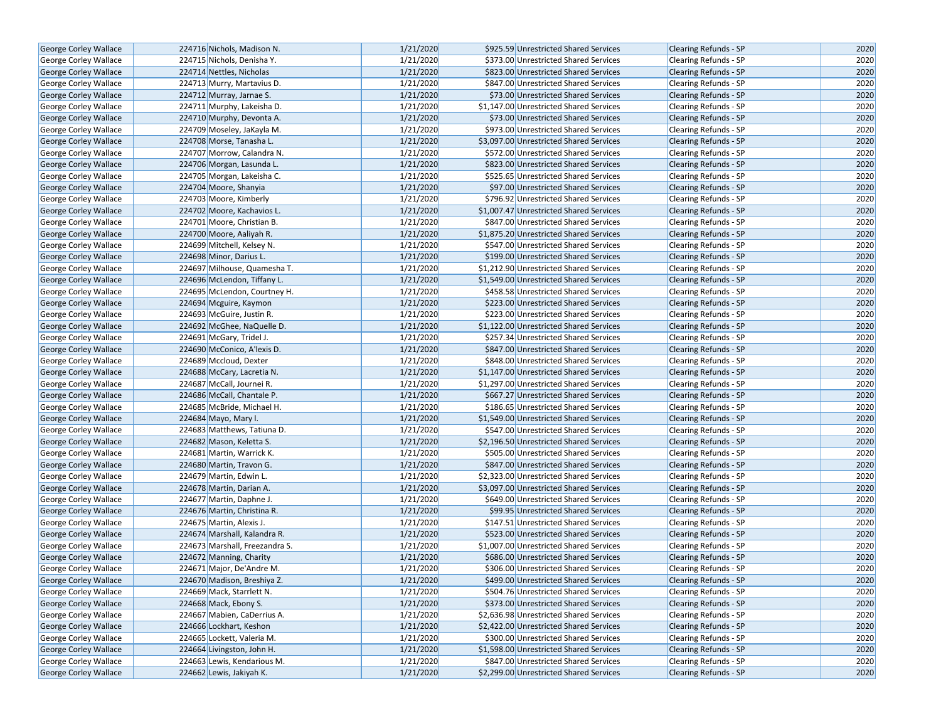| George Corley Wallace                                 | 224716 Nichols, Madison N.                                  | 1/21/2020 | \$925.59 Unrestricted Shared Services                                            | <b>Clearing Refunds - SP</b>                          | 2020 |
|-------------------------------------------------------|-------------------------------------------------------------|-----------|----------------------------------------------------------------------------------|-------------------------------------------------------|------|
| George Corley Wallace                                 | 224715 Nichols, Denisha Y.                                  | 1/21/2020 | \$373.00 Unrestricted Shared Services                                            | <b>Clearing Refunds - SP</b>                          | 2020 |
| George Corley Wallace                                 | 224714 Nettles, Nicholas                                    | 1/21/2020 | \$823.00 Unrestricted Shared Services                                            | <b>Clearing Refunds - SP</b>                          | 2020 |
| George Corley Wallace                                 | 224713 Murry, Martavius D.                                  | 1/21/2020 | \$847.00 Unrestricted Shared Services                                            | <b>Clearing Refunds - SP</b>                          | 2020 |
| George Corley Wallace                                 | 224712 Murray, Jarnae S.                                    | 1/21/2020 | \$73.00 Unrestricted Shared Services                                             | <b>Clearing Refunds - SP</b>                          | 2020 |
| George Corley Wallace                                 | 224711 Murphy, Lakeisha D.                                  | 1/21/2020 | \$1,147.00 Unrestricted Shared Services                                          | Clearing Refunds - SP                                 | 2020 |
| George Corley Wallace                                 | 224710 Murphy, Devonta A.                                   | 1/21/2020 | \$73.00 Unrestricted Shared Services                                             | <b>Clearing Refunds - SP</b>                          | 2020 |
| <b>George Corley Wallace</b>                          | 224709 Moseley, JaKayla M.                                  | 1/21/2020 | \$973.00 Unrestricted Shared Services                                            | <b>Clearing Refunds - SP</b>                          | 2020 |
| George Corley Wallace                                 | 224708 Morse, Tanasha L.                                    | 1/21/2020 | \$3,097.00 Unrestricted Shared Services                                          | <b>Clearing Refunds - SP</b>                          | 2020 |
| George Corley Wallace                                 | 224707 Morrow, Calandra N.                                  | 1/21/2020 | \$572.00 Unrestricted Shared Services                                            | Clearing Refunds - SP                                 | 2020 |
| George Corley Wallace                                 | 224706 Morgan, Lasunda L.                                   | 1/21/2020 | \$823.00 Unrestricted Shared Services                                            | <b>Clearing Refunds - SP</b>                          | 2020 |
| George Corley Wallace                                 | 224705 Morgan, Lakeisha C.                                  | 1/21/2020 | \$525.65 Unrestricted Shared Services                                            | <b>Clearing Refunds - SP</b>                          | 2020 |
| George Corley Wallace                                 | 224704 Moore, Shanyia                                       | 1/21/2020 | \$97.00 Unrestricted Shared Services                                             | <b>Clearing Refunds - SP</b>                          | 2020 |
| George Corley Wallace                                 | 224703 Moore, Kimberly                                      | 1/21/2020 | \$796.92 Unrestricted Shared Services                                            | Clearing Refunds - SP                                 | 2020 |
| <b>George Corley Wallace</b>                          | 224702 Moore, Kachavios L.                                  | 1/21/2020 | \$1,007.47 Unrestricted Shared Services                                          | <b>Clearing Refunds - SP</b>                          | 2020 |
| George Corley Wallace                                 | 224701 Moore, Christian B.                                  | 1/21/2020 | \$847.00 Unrestricted Shared Services                                            | <b>Clearing Refunds - SP</b>                          | 2020 |
| George Corley Wallace                                 | 224700 Moore, Aaliyah R.                                    | 1/21/2020 | \$1,875.20 Unrestricted Shared Services                                          | <b>Clearing Refunds - SP</b>                          | 2020 |
| George Corley Wallace                                 | 224699 Mitchell, Kelsey N.                                  | 1/21/2020 | \$547.00 Unrestricted Shared Services                                            | Clearing Refunds - SP                                 | 2020 |
|                                                       | 224698 Minor, Darius L.                                     | 1/21/2020 | \$199.00 Unrestricted Shared Services                                            | <b>Clearing Refunds - SP</b>                          | 2020 |
| George Corley Wallace                                 | 224697 Milhouse, Quamesha T.                                | 1/21/2020 | \$1,212.90 Unrestricted Shared Services                                          | <b>Clearing Refunds - SP</b>                          | 2020 |
| George Corley Wallace<br>George Corley Wallace        |                                                             | 1/21/2020 |                                                                                  |                                                       | 2020 |
|                                                       | 224696 McLendon, Tiffany L.<br>224695 McLendon, Courtney H. | 1/21/2020 | \$1,549.00 Unrestricted Shared Services<br>\$458.58 Unrestricted Shared Services | <b>Clearing Refunds - SP</b><br>Clearing Refunds - SP | 2020 |
| George Corley Wallace<br><b>George Corley Wallace</b> | 224694 Mcguire, Kaymon                                      | 1/21/2020 | \$223.00 Unrestricted Shared Services                                            |                                                       | 2020 |
|                                                       |                                                             | 1/21/2020 |                                                                                  | <b>Clearing Refunds - SP</b>                          | 2020 |
| George Corley Wallace                                 | 224693 McGuire, Justin R.                                   | 1/21/2020 | \$223.00 Unrestricted Shared Services<br>\$1,122.00 Unrestricted Shared Services | Clearing Refunds - SP                                 | 2020 |
| George Corley Wallace                                 | 224692 McGhee, NaQuelle D.                                  |           |                                                                                  | <b>Clearing Refunds - SP</b>                          |      |
| George Corley Wallace                                 | 224691 McGary, Tridel J.                                    | 1/21/2020 | \$257.34 Unrestricted Shared Services                                            | Clearing Refunds - SP                                 | 2020 |
| George Corley Wallace                                 | 224690 McConico, A'lexis D.                                 | 1/21/2020 | \$847.00 Unrestricted Shared Services                                            | <b>Clearing Refunds - SP</b>                          | 2020 |
| George Corley Wallace                                 | 224689 Mccloud, Dexter                                      | 1/21/2020 | \$848.00 Unrestricted Shared Services                                            | Clearing Refunds - SP                                 | 2020 |
| George Corley Wallace                                 | 224688 McCary, Lacretia N.                                  | 1/21/2020 | \$1,147.00 Unrestricted Shared Services                                          | <b>Clearing Refunds - SP</b>                          | 2020 |
| George Corley Wallace                                 | 224687 McCall, Journei R.                                   | 1/21/2020 | \$1,297.00 Unrestricted Shared Services                                          | Clearing Refunds - SP                                 | 2020 |
| George Corley Wallace                                 | 224686 McCall, Chantale P.                                  | 1/21/2020 | \$667.27 Unrestricted Shared Services                                            | <b>Clearing Refunds - SP</b>                          | 2020 |
| George Corley Wallace                                 | 224685 McBride, Michael H.                                  | 1/21/2020 | \$186.65 Unrestricted Shared Services                                            | Clearing Refunds - SP                                 | 2020 |
| George Corley Wallace                                 | 224684 Mayo, Mary I.                                        | 1/21/2020 | \$1,549.00 Unrestricted Shared Services                                          | <b>Clearing Refunds - SP</b>                          | 2020 |
| George Corley Wallace                                 | 224683 Matthews, Tatiuna D.                                 | 1/21/2020 | \$547.00 Unrestricted Shared Services                                            | Clearing Refunds - SP                                 | 2020 |
| George Corley Wallace                                 | 224682 Mason, Keletta S.                                    | 1/21/2020 | \$2,196.50 Unrestricted Shared Services                                          | <b>Clearing Refunds - SP</b>                          | 2020 |
| George Corley Wallace                                 | 224681 Martin, Warrick K.                                   | 1/21/2020 | \$505.00 Unrestricted Shared Services                                            | Clearing Refunds - SP                                 | 2020 |
| George Corley Wallace                                 | 224680 Martin, Travon G.                                    | 1/21/2020 | \$847.00 Unrestricted Shared Services                                            | <b>Clearing Refunds - SP</b>                          | 2020 |
| George Corley Wallace                                 | 224679 Martin, Edwin L.                                     | 1/21/2020 | \$2,323.00 Unrestricted Shared Services                                          | Clearing Refunds - SP                                 | 2020 |
| George Corley Wallace                                 | 224678 Martin, Darian A.                                    | 1/21/2020 | \$3,097.00 Unrestricted Shared Services                                          | <b>Clearing Refunds - SP</b>                          | 2020 |
| George Corley Wallace                                 | 224677 Martin, Daphne J.                                    | 1/21/2020 | \$649.00 Unrestricted Shared Services                                            | Clearing Refunds - SP                                 | 2020 |
| <b>George Corley Wallace</b>                          | 224676 Martin, Christina R.                                 | 1/21/2020 | \$99.95 Unrestricted Shared Services                                             | Clearing Refunds - SP                                 | 2020 |
| George Corley Wallace                                 | 224675 Martin, Alexis J.                                    | 1/21/2020 | \$147.51 Unrestricted Shared Services                                            | Clearing Refunds - SP                                 | 2020 |
| George Corley Wallace                                 | 224674 Marshall, Kalandra R.                                | 1/21/2020 | \$523.00 Unrestricted Shared Services                                            | <b>Clearing Refunds - SP</b>                          | 2020 |
| George Corley Wallace                                 | 224673 Marshall, Freezandra S.                              | 1/21/2020 | \$1,007.00 Unrestricted Shared Services                                          | Clearing Refunds - SP                                 | 2020 |
| <b>George Corley Wallace</b>                          | 224672 Manning, Charity                                     | 1/21/2020 | \$686.00 Unrestricted Shared Services                                            | <b>Clearing Refunds - SP</b>                          | 2020 |
| George Corley Wallace                                 | 224671 Major, De'Andre M.                                   | 1/21/2020 | \$306.00 Unrestricted Shared Services                                            | Clearing Refunds - SP                                 | 2020 |
| George Corley Wallace                                 | 224670 Madison, Breshiya Z.                                 | 1/21/2020 | \$499.00 Unrestricted Shared Services                                            | <b>Clearing Refunds - SP</b>                          | 2020 |
| George Corley Wallace                                 | 224669 Mack, Starrlett N.                                   | 1/21/2020 | \$504.76 Unrestricted Shared Services                                            | Clearing Refunds - SP                                 | 2020 |
| George Corley Wallace                                 | 224668 Mack, Ebony S.                                       | 1/21/2020 | \$373.00 Unrestricted Shared Services                                            | <b>Clearing Refunds - SP</b>                          | 2020 |
| <b>George Corley Wallace</b>                          | 224667 Mabien, CaDerrius A.                                 | 1/21/2020 | \$2,636.98 Unrestricted Shared Services                                          | <b>Clearing Refunds - SP</b>                          | 2020 |
| George Corley Wallace                                 | 224666 Lockhart, Keshon                                     | 1/21/2020 | \$2,422.00 Unrestricted Shared Services                                          | <b>Clearing Refunds - SP</b>                          | 2020 |
| George Corley Wallace                                 | 224665 Lockett, Valeria M.                                  | 1/21/2020 | \$300.00 Unrestricted Shared Services                                            | Clearing Refunds - SP                                 | 2020 |
| George Corley Wallace                                 | 224664 Livingston, John H.                                  | 1/21/2020 | \$1,598.00 Unrestricted Shared Services                                          | <b>Clearing Refunds - SP</b>                          | 2020 |
| George Corley Wallace                                 | 224663 Lewis, Kendarious M.                                 | 1/21/2020 | \$847.00 Unrestricted Shared Services                                            | Clearing Refunds - SP                                 | 2020 |
| George Corley Wallace                                 | 224662 Lewis, Jakiyah K.                                    | 1/21/2020 | \$2,299.00 Unrestricted Shared Services                                          | Clearing Refunds - SP                                 | 2020 |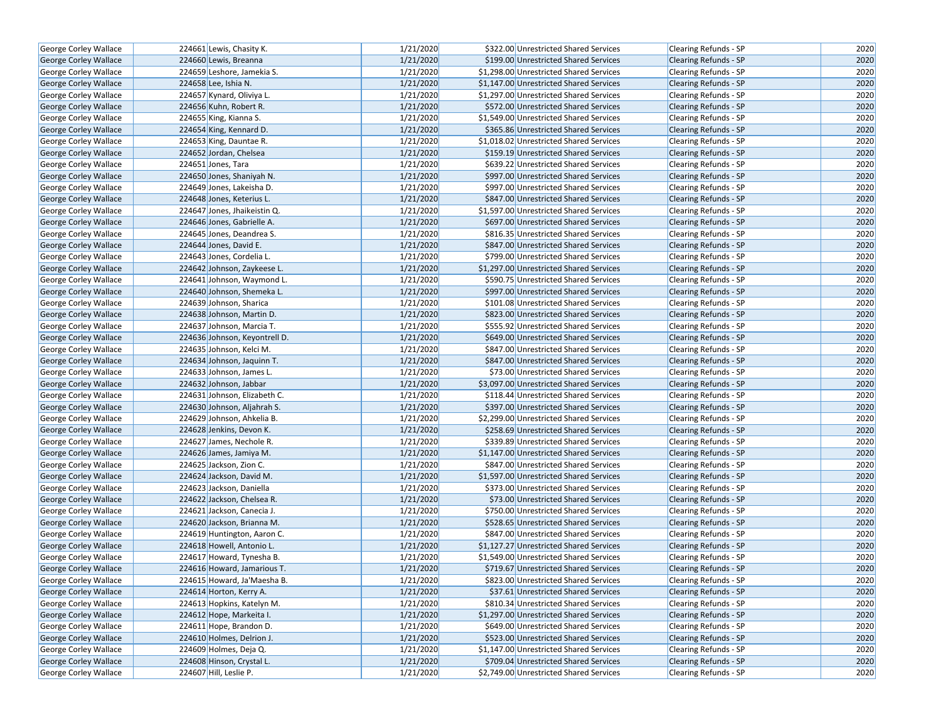| <b>George Corley Wallace</b> | 224661 Lewis, Chasity K.      | 1/21/2020 | \$322.00 Unrestricted Shared Services   | Clearing Refunds - SP        | 2020 |
|------------------------------|-------------------------------|-----------|-----------------------------------------|------------------------------|------|
| George Corley Wallace        | 224660 Lewis, Breanna         | 1/21/2020 | \$199.00 Unrestricted Shared Services   | <b>Clearing Refunds - SP</b> | 2020 |
| George Corley Wallace        | 224659 Leshore, Jamekia S.    | 1/21/2020 | \$1,298.00 Unrestricted Shared Services | Clearing Refunds - SP        | 2020 |
| George Corley Wallace        | 224658 Lee, Ishia N.          | 1/21/2020 | \$1,147.00 Unrestricted Shared Services | <b>Clearing Refunds - SP</b> | 2020 |
| George Corley Wallace        | 224657 Kynard, Oliviya L.     | 1/21/2020 | \$1,297.00 Unrestricted Shared Services | Clearing Refunds - SP        | 2020 |
| George Corley Wallace        | 224656 Kuhn, Robert R.        | 1/21/2020 | \$572.00 Unrestricted Shared Services   | <b>Clearing Refunds - SP</b> | 2020 |
| George Corley Wallace        | 224655 King, Kianna S.        | 1/21/2020 | \$1,549.00 Unrestricted Shared Services | Clearing Refunds - SP        | 2020 |
| <b>George Corley Wallace</b> | 224654 King, Kennard D.       | 1/21/2020 | \$365.86 Unrestricted Shared Services   | <b>Clearing Refunds - SP</b> | 2020 |
| George Corley Wallace        | 224653 King, Dauntae R.       | 1/21/2020 | \$1,018.02 Unrestricted Shared Services | <b>Clearing Refunds - SP</b> | 2020 |
| George Corley Wallace        | 224652 Jordan, Chelsea        | 1/21/2020 | \$159.19 Unrestricted Shared Services   | Clearing Refunds - SP        | 2020 |
| George Corley Wallace        | 224651 Jones, Tara            | 1/21/2020 | \$639.22 Unrestricted Shared Services   | Clearing Refunds - SP        | 2020 |
| George Corley Wallace        | 224650 Jones, Shaniyah N.     | 1/21/2020 | \$997.00 Unrestricted Shared Services   | <b>Clearing Refunds - SP</b> | 2020 |
| George Corley Wallace        | 224649 Jones, Lakeisha D.     | 1/21/2020 | \$997.00 Unrestricted Shared Services   | <b>Clearing Refunds - SP</b> | 2020 |
| George Corley Wallace        | 224648 Jones, Keterius L.     | 1/21/2020 | \$847.00 Unrestricted Shared Services   | <b>Clearing Refunds - SP</b> | 2020 |
| George Corley Wallace        | 224647 Jones, Jhaikeistin Q.  | 1/21/2020 | \$1,597.00 Unrestricted Shared Services | Clearing Refunds - SP        | 2020 |
| George Corley Wallace        | 224646 Jones, Gabrielle A.    | 1/21/2020 | \$697.00 Unrestricted Shared Services   | <b>Clearing Refunds - SP</b> | 2020 |
| George Corley Wallace        | 224645 Jones, Deandrea S.     | 1/21/2020 | \$816.35 Unrestricted Shared Services   | Clearing Refunds - SP        | 2020 |
| George Corley Wallace        | 224644 Jones, David E.        | 1/21/2020 | \$847.00 Unrestricted Shared Services   | Clearing Refunds - SP        | 2020 |
| George Corley Wallace        | 224643 Jones, Cordelia L.     | 1/21/2020 | \$799.00 Unrestricted Shared Services   | Clearing Refunds - SP        | 2020 |
| George Corley Wallace        | 224642 Johnson, Zaykeese L.   | 1/21/2020 | \$1,297.00 Unrestricted Shared Services | <b>Clearing Refunds - SP</b> | 2020 |
| George Corley Wallace        | 224641 Johnson, Waymond L.    | 1/21/2020 | \$590.75 Unrestricted Shared Services   | <b>Clearing Refunds - SP</b> | 2020 |
| George Corley Wallace        | 224640 Johnson, Shemeka L.    | 1/21/2020 | \$997.00 Unrestricted Shared Services   | <b>Clearing Refunds - SP</b> | 2020 |
| George Corley Wallace        | 224639 Johnson, Sharica       | 1/21/2020 | \$101.08 Unrestricted Shared Services   | Clearing Refunds - SP        | 2020 |
| George Corley Wallace        | 224638 Johnson, Martin D.     | 1/21/2020 | \$823.00 Unrestricted Shared Services   | Clearing Refunds - SP        | 2020 |
| George Corley Wallace        | 224637 Johnson, Marcia T.     | 1/21/2020 | \$555.92 Unrestricted Shared Services   | <b>Clearing Refunds - SP</b> | 2020 |
| <b>George Corley Wallace</b> | 224636 Johnson, Keyontrell D. | 1/21/2020 | \$649.00 Unrestricted Shared Services   | <b>Clearing Refunds - SP</b> | 2020 |
| George Corley Wallace        | 224635 Johnson, Kelci M.      | 1/21/2020 | \$847.00 Unrestricted Shared Services   | Clearing Refunds - SP        | 2020 |
| George Corley Wallace        | 224634 Johnson, Jaquinn T.    | 1/21/2020 | \$847.00 Unrestricted Shared Services   | <b>Clearing Refunds - SP</b> | 2020 |
| George Corley Wallace        | 224633 Johnson, James L.      | 1/21/2020 | \$73.00 Unrestricted Shared Services    | <b>Clearing Refunds - SP</b> | 2020 |
| George Corley Wallace        | 224632 Johnson, Jabbar        | 1/21/2020 | \$3,097.00 Unrestricted Shared Services | <b>Clearing Refunds - SP</b> | 2020 |
| George Corley Wallace        | 224631 Johnson, Elizabeth C.  | 1/21/2020 | \$118.44 Unrestricted Shared Services   | Clearing Refunds - SP        | 2020 |
| George Corley Wallace        | 224630 Johnson, Aljahrah S.   | 1/21/2020 | \$397.00 Unrestricted Shared Services   | Clearing Refunds - SP        | 2020 |
| George Corley Wallace        | 224629 Johnson, Ahkelia B.    | 1/21/2020 | \$2,299.00 Unrestricted Shared Services | <b>Clearing Refunds - SP</b> | 2020 |
| <b>George Corley Wallace</b> | 224628 Jenkins, Devon K.      | 1/21/2020 | \$258.69 Unrestricted Shared Services   | <b>Clearing Refunds - SP</b> | 2020 |
| George Corley Wallace        | 224627 James, Nechole R.      | 1/21/2020 | \$339.89 Unrestricted Shared Services   | Clearing Refunds - SP        | 2020 |
| George Corley Wallace        | 224626 James, Jamiya M.       | 1/21/2020 | \$1,147.00 Unrestricted Shared Services | <b>Clearing Refunds - SP</b> | 2020 |
| George Corley Wallace        | 224625 Jackson, Zion C.       | 1/21/2020 | \$847.00 Unrestricted Shared Services   | Clearing Refunds - SP        | 2020 |
| George Corley Wallace        | 224624 Jackson, David M.      | 1/21/2020 | \$1,597.00 Unrestricted Shared Services | <b>Clearing Refunds - SP</b> | 2020 |
| George Corley Wallace        | 224623 Jackson, Daniella      | 1/21/2020 | \$373.00 Unrestricted Shared Services   | Clearing Refunds - SP        | 2020 |
| George Corley Wallace        | 224622 Jackson, Chelsea R.    | 1/21/2020 | \$73.00 Unrestricted Shared Services    | Clearing Refunds - SP        | 2020 |
| <b>George Corley Wallace</b> | 224621 Jackson, Canecia J.    | 1/21/2020 | \$750.00 Unrestricted Shared Services   | <b>Clearing Refunds - SP</b> | 2020 |
| George Corley Wallace        | 224620 Jackson, Brianna M.    | 1/21/2020 | \$528.65 Unrestricted Shared Services   | <b>Clearing Refunds - SP</b> | 2020 |
| George Corley Wallace        | 224619 Huntington, Aaron C.   | 1/21/2020 | \$847.00 Unrestricted Shared Services   | Clearing Refunds - SP        | 2020 |
| George Corley Wallace        | 224618 Howell, Antonio L.     | 1/21/2020 | \$1,127.27 Unrestricted Shared Services | Clearing Refunds - SP        | 2020 |
| George Corley Wallace        | 224617 Howard, Tynesha B.     | 1/21/2020 | \$1,549.00 Unrestricted Shared Services | Clearing Refunds - SP        | 2020 |
| George Corley Wallace        | 224616 Howard, Jamarious T.   | 1/21/2020 | \$719.67 Unrestricted Shared Services   | <b>Clearing Refunds - SP</b> | 2020 |
| George Corley Wallace        | 224615 Howard, Ja'Maesha B.   | 1/21/2020 | \$823.00 Unrestricted Shared Services   | Clearing Refunds - SP        | 2020 |
| George Corley Wallace        | 224614 Horton, Kerry A.       | 1/21/2020 | \$37.61 Unrestricted Shared Services    | Clearing Refunds - SP        | 2020 |
| George Corley Wallace        | 224613 Hopkins, Katelyn M.    | 1/21/2020 | \$810.34 Unrestricted Shared Services   | Clearing Refunds - SP        | 2020 |
| George Corley Wallace        | 224612 Hope, Markeita I.      | 1/21/2020 | \$1,297.00 Unrestricted Shared Services | <b>Clearing Refunds - SP</b> | 2020 |
| George Corley Wallace        | 224611 Hope, Brandon D.       | 1/21/2020 | \$649.00 Unrestricted Shared Services   | Clearing Refunds - SP        | 2020 |
| George Corley Wallace        | 224610 Holmes, Delrion J.     | 1/21/2020 | \$523.00 Unrestricted Shared Services   | Clearing Refunds - SP        | 2020 |
| George Corley Wallace        | 224609 Holmes, Deja Q.        | 1/21/2020 | \$1,147.00 Unrestricted Shared Services | Clearing Refunds - SP        | 2020 |
| George Corley Wallace        | 224608 Hinson, Crystal L.     | 1/21/2020 | \$709.04 Unrestricted Shared Services   | <b>Clearing Refunds - SP</b> | 2020 |
| George Corley Wallace        | 224607 Hill, Leslie P.        | 1/21/2020 | \$2,749.00 Unrestricted Shared Services | Clearing Refunds - SP        | 2020 |
|                              |                               |           |                                         |                              |      |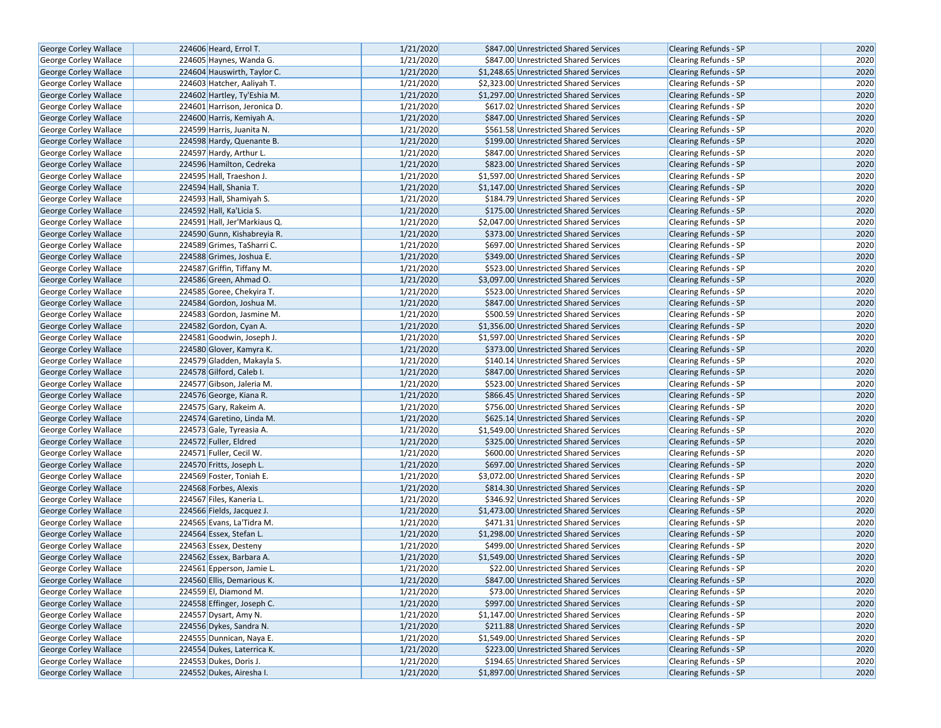| George Corley Wallace        | 224606 Heard, Errol T.       | 1/21/2020 | \$847.00 Unrestricted Shared Services   | <b>Clearing Refunds - SP</b> | 2020 |
|------------------------------|------------------------------|-----------|-----------------------------------------|------------------------------|------|
| George Corley Wallace        | 224605 Haynes, Wanda G.      | 1/21/2020 | \$847.00 Unrestricted Shared Services   | <b>Clearing Refunds - SP</b> | 2020 |
| <b>George Corley Wallace</b> | 224604 Hauswirth, Taylor C.  | 1/21/2020 | \$1,248.65 Unrestricted Shared Services | <b>Clearing Refunds - SP</b> | 2020 |
| George Corley Wallace        | 224603 Hatcher, Aaliyah T.   | 1/21/2020 | \$2,323.00 Unrestricted Shared Services | Clearing Refunds - SP        | 2020 |
| George Corley Wallace        | 224602 Hartley, Ty'Eshia M.  | 1/21/2020 | \$1,297.00 Unrestricted Shared Services | <b>Clearing Refunds - SP</b> | 2020 |
| George Corley Wallace        | 224601 Harrison, Jeronica D. | 1/21/2020 | \$617.02 Unrestricted Shared Services   | Clearing Refunds - SP        | 2020 |
| George Corley Wallace        | 224600 Harris, Kemiyah A.    | 1/21/2020 | \$847.00 Unrestricted Shared Services   | <b>Clearing Refunds - SP</b> | 2020 |
| George Corley Wallace        | 224599 Harris, Juanita N.    | 1/21/2020 | \$561.58 Unrestricted Shared Services   | <b>Clearing Refunds - SP</b> | 2020 |
| George Corley Wallace        | 224598 Hardy, Quenante B.    | 1/21/2020 | \$199.00 Unrestricted Shared Services   | <b>Clearing Refunds - SP</b> | 2020 |
| George Corley Wallace        | 224597 Hardy, Arthur L.      | 1/21/2020 | \$847.00 Unrestricted Shared Services   | Clearing Refunds - SP        | 2020 |
| George Corley Wallace        | 224596 Hamilton, Cedreka     | 1/21/2020 | \$823.00 Unrestricted Shared Services   | Clearing Refunds - SP        | 2020 |
| George Corley Wallace        | 224595 Hall, Traeshon J.     | 1/21/2020 | \$1,597.00 Unrestricted Shared Services | Clearing Refunds - SP        | 2020 |
| George Corley Wallace        | 224594 Hall, Shania T.       | 1/21/2020 | \$1,147.00 Unrestricted Shared Services | Clearing Refunds - SP        | 2020 |
| George Corley Wallace        | 224593 Hall, Shamiyah S.     | 1/21/2020 | \$184.79 Unrestricted Shared Services   | Clearing Refunds - SP        | 2020 |
| <b>George Corley Wallace</b> | 224592 Hall, Ka'Licia S.     | 1/21/2020 | \$175.00 Unrestricted Shared Services   | <b>Clearing Refunds - SP</b> | 2020 |
| George Corley Wallace        | 224591 Hall, Jer'Markiaus Q. | 1/21/2020 | \$2,047.00 Unrestricted Shared Services | <b>Clearing Refunds - SP</b> | 2020 |
| George Corley Wallace        | 224590 Gunn, Kishabreyia R.  | 1/21/2020 | \$373.00 Unrestricted Shared Services   | Clearing Refunds - SP        | 2020 |
| George Corley Wallace        | 224589 Grimes, TaSharri C.   | 1/21/2020 | \$697.00 Unrestricted Shared Services   | Clearing Refunds - SP        | 2020 |
| George Corley Wallace        | 224588 Grimes, Joshua E.     | 1/21/2020 | \$349.00 Unrestricted Shared Services   | <b>Clearing Refunds - SP</b> | 2020 |
| George Corley Wallace        | 224587 Griffin, Tiffany M.   | 1/21/2020 | \$523.00 Unrestricted Shared Services   | <b>Clearing Refunds - SP</b> | 2020 |
| George Corley Wallace        | 224586 Green, Ahmad O.       | 1/21/2020 | \$3,097.00 Unrestricted Shared Services | Clearing Refunds - SP        | 2020 |
| <b>George Corley Wallace</b> | 224585 Goree, Chekyira T.    | 1/21/2020 | \$523.00 Unrestricted Shared Services   | Clearing Refunds - SP        | 2020 |
| George Corley Wallace        | 224584 Gordon, Joshua M.     | 1/21/2020 | \$847.00 Unrestricted Shared Services   | <b>Clearing Refunds - SP</b> | 2020 |
| <b>George Corley Wallace</b> | 224583 Gordon, Jasmine M.    | 1/21/2020 | \$500.59 Unrestricted Shared Services   | <b>Clearing Refunds - SP</b> | 2020 |
| George Corley Wallace        | 224582 Gordon, Cyan A.       | 1/21/2020 | \$1,356.00 Unrestricted Shared Services | <b>Clearing Refunds - SP</b> | 2020 |
| George Corley Wallace        | 224581 Goodwin, Joseph J.    | 1/21/2020 | \$1,597.00 Unrestricted Shared Services | Clearing Refunds - SP        | 2020 |
| George Corley Wallace        | 224580 Glover, Kamyra K.     | 1/21/2020 | \$373.00 Unrestricted Shared Services   | Clearing Refunds - SP        | 2020 |
| George Corley Wallace        | 224579 Gladden, Makayla S.   | 1/21/2020 | \$140.14 Unrestricted Shared Services   | <b>Clearing Refunds - SP</b> | 2020 |
| George Corley Wallace        | 224578 Gilford, Caleb I.     | 1/21/2020 | \$847.00 Unrestricted Shared Services   | <b>Clearing Refunds - SP</b> | 2020 |
| George Corley Wallace        | 224577 Gibson, Jaleria M.    | 1/21/2020 | \$523.00 Unrestricted Shared Services   | Clearing Refunds - SP        | 2020 |
| George Corley Wallace        | 224576 George, Kiana R.      | 1/21/2020 | \$866.45 Unrestricted Shared Services   | <b>Clearing Refunds - SP</b> | 2020 |
| <b>George Corley Wallace</b> | 224575 Gary, Rakeim A.       | 1/21/2020 | \$756.00 Unrestricted Shared Services   | <b>Clearing Refunds - SP</b> | 2020 |
| <b>George Corley Wallace</b> | 224574 Garetino, Linda M.    | 1/21/2020 | \$625.14 Unrestricted Shared Services   | <b>Clearing Refunds - SP</b> | 2020 |
| <b>George Corley Wallace</b> | 224573 Gale, Tyreasia A.     | 1/21/2020 | \$1,549.00 Unrestricted Shared Services | Clearing Refunds - SP        | 2020 |
| George Corley Wallace        | 224572 Fuller, Eldred        | 1/21/2020 | \$325.00 Unrestricted Shared Services   | <b>Clearing Refunds - SP</b> | 2020 |
| George Corley Wallace        | 224571 Fuller, Cecil W.      | 1/21/2020 | \$600.00 Unrestricted Shared Services   | Clearing Refunds - SP        | 2020 |
| <b>George Corley Wallace</b> | 224570 Fritts, Joseph L.     | 1/21/2020 | \$697.00 Unrestricted Shared Services   | <b>Clearing Refunds - SP</b> | 2020 |
| George Corley Wallace        | 224569 Foster, Toniah E.     | 1/21/2020 | \$3,072.00 Unrestricted Shared Services | Clearing Refunds - SP        | 2020 |
| George Corley Wallace        | 224568 Forbes, Alexis        | 1/21/2020 | \$814.30 Unrestricted Shared Services   | <b>Clearing Refunds - SP</b> | 2020 |
| George Corley Wallace        | 224567 Files, Kaneria L.     | 1/21/2020 | \$346.92 Unrestricted Shared Services   | Clearing Refunds - SP        | 2020 |
| George Corley Wallace        | 224566 Fields, Jacquez J.    | 1/21/2020 | \$1,473.00 Unrestricted Shared Services | <b>Clearing Refunds - SP</b> | 2020 |
| George Corley Wallace        | 224565 Evans, La'Tidra M.    | 1/21/2020 | \$471.31 Unrestricted Shared Services   | Clearing Refunds - SP        | 2020 |
| George Corley Wallace        | 224564 Essex, Stefan L.      | 1/21/2020 | \$1,298.00 Unrestricted Shared Services | Clearing Refunds - SP        | 2020 |
| George Corley Wallace        | 224563 Essex, Desteny        | 1/21/2020 | \$499.00 Unrestricted Shared Services   | Clearing Refunds - SP        | 2020 |
| George Corley Wallace        | 224562 Essex, Barbara A.     | 1/21/2020 | \$1.549.00 Unrestricted Shared Services | <b>Clearing Refunds - SP</b> | 2020 |
| George Corley Wallace        | 224561 Epperson, Jamie L.    | 1/21/2020 | \$22.00 Unrestricted Shared Services    | Clearing Refunds - SP        | 2020 |
| George Corley Wallace        | 224560 Ellis, Demarious K.   | 1/21/2020 | \$847.00 Unrestricted Shared Services   | <b>Clearing Refunds - SP</b> | 2020 |
| George Corley Wallace        | 224559 El, Diamond M.        | 1/21/2020 | \$73.00 Unrestricted Shared Services    | Clearing Refunds - SP        | 2020 |
| George Corley Wallace        | 224558 Effinger, Joseph C.   | 1/21/2020 | \$997.00 Unrestricted Shared Services   | <b>Clearing Refunds - SP</b> | 2020 |
| George Corley Wallace        | 224557 Dysart, Amy N.        | 1/21/2020 | \$1,147.00 Unrestricted Shared Services | Clearing Refunds - SP        | 2020 |
| George Corley Wallace        | 224556 Dykes, Sandra N.      | 1/21/2020 | \$211.88 Unrestricted Shared Services   | Clearing Refunds - SP        | 2020 |
| George Corley Wallace        | 224555 Dunnican, Naya E.     | 1/21/2020 | \$1,549.00 Unrestricted Shared Services | Clearing Refunds - SP        | 2020 |
| George Corley Wallace        | 224554 Dukes, Laterrica K.   | 1/21/2020 | \$223.00 Unrestricted Shared Services   | <b>Clearing Refunds - SP</b> | 2020 |
| George Corley Wallace        | 224553 Dukes, Doris J.       | 1/21/2020 | \$194.65 Unrestricted Shared Services   | Clearing Refunds - SP        | 2020 |
| <b>George Corley Wallace</b> | 224552 Dukes, Airesha I.     | 1/21/2020 | \$1,897.00 Unrestricted Shared Services | Clearing Refunds - SP        | 2020 |
|                              |                              |           |                                         |                              |      |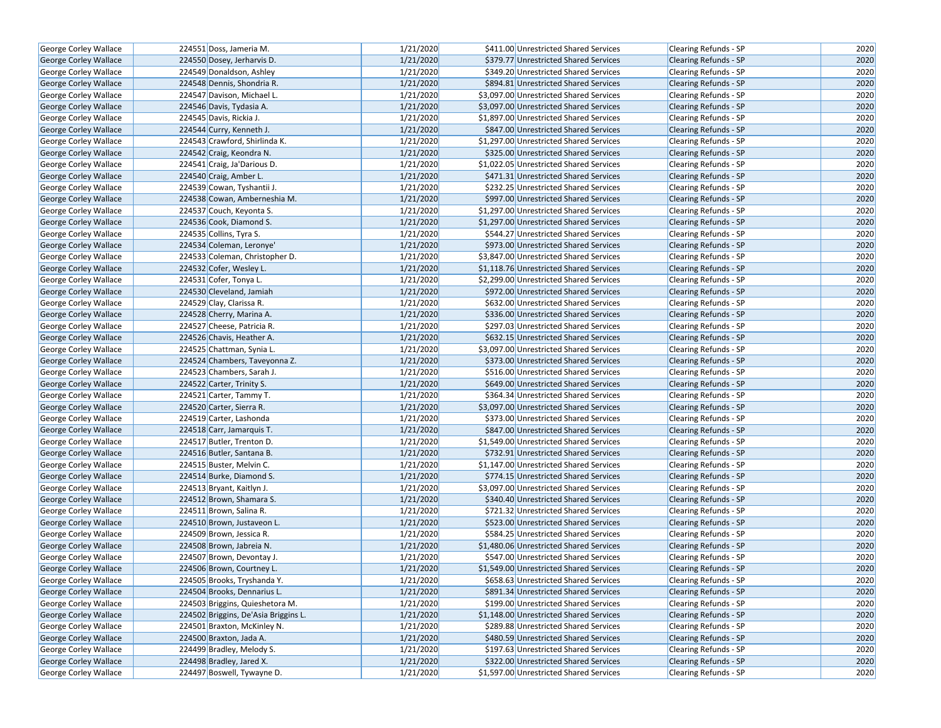| <b>George Corley Wallace</b> | 224551 Doss, Jameria M.              | 1/21/2020 | \$411.00 Unrestricted Shared Services   | Clearing Refunds - SP        | 2020 |
|------------------------------|--------------------------------------|-----------|-----------------------------------------|------------------------------|------|
| George Corley Wallace        | 224550 Dosey, Jerharvis D.           | 1/21/2020 | \$379.77 Unrestricted Shared Services   | <b>Clearing Refunds - SP</b> | 2020 |
| George Corley Wallace        | 224549 Donaldson, Ashley             | 1/21/2020 | \$349.20 Unrestricted Shared Services   | Clearing Refunds - SP        | 2020 |
| George Corley Wallace        | 224548 Dennis, Shondria R.           | 1/21/2020 | \$894.81 Unrestricted Shared Services   | <b>Clearing Refunds - SP</b> | 2020 |
| George Corley Wallace        | 224547 Davison, Michael L.           | 1/21/2020 | \$3,097.00 Unrestricted Shared Services | Clearing Refunds - SP        | 2020 |
| George Corley Wallace        | 224546 Davis, Tydasia A.             | 1/21/2020 | \$3,097.00 Unrestricted Shared Services | <b>Clearing Refunds - SP</b> | 2020 |
| George Corley Wallace        | 224545 Davis, Rickia J.              | 1/21/2020 | \$1,897.00 Unrestricted Shared Services | Clearing Refunds - SP        | 2020 |
| <b>George Corley Wallace</b> | 224544 Curry, Kenneth J.             | 1/21/2020 | \$847.00 Unrestricted Shared Services   | <b>Clearing Refunds - SP</b> | 2020 |
| George Corley Wallace        | 224543 Crawford, Shirlinda K.        | 1/21/2020 | \$1,297.00 Unrestricted Shared Services | <b>Clearing Refunds - SP</b> | 2020 |
| George Corley Wallace        | 224542 Craig, Keondra N.             | 1/21/2020 | \$325.00 Unrestricted Shared Services   | Clearing Refunds - SP        | 2020 |
| George Corley Wallace        | 224541 Craig, Ja'Darious D.          | 1/21/2020 | \$1,022.05 Unrestricted Shared Services | Clearing Refunds - SP        | 2020 |
| George Corley Wallace        | 224540 Craig, Amber L.               | 1/21/2020 | \$471.31 Unrestricted Shared Services   | <b>Clearing Refunds - SP</b> | 2020 |
| George Corley Wallace        | 224539 Cowan, Tyshantii J.           | 1/21/2020 | \$232.25 Unrestricted Shared Services   | <b>Clearing Refunds - SP</b> | 2020 |
| George Corley Wallace        | 224538 Cowan, Amberneshia M.         | 1/21/2020 | \$997.00 Unrestricted Shared Services   | Clearing Refunds - SP        | 2020 |
| <b>George Corley Wallace</b> | 224537 Couch, Keyonta S.             | 1/21/2020 | \$1,297.00 Unrestricted Shared Services | Clearing Refunds - SP        | 2020 |
| George Corley Wallace        | 224536 Cook, Diamond S.              | 1/21/2020 | \$1,297.00 Unrestricted Shared Services | Clearing Refunds - SP        | 2020 |
| George Corley Wallace        | 224535 Collins, Tyra S.              | 1/21/2020 | \$544.27 Unrestricted Shared Services   | Clearing Refunds - SP        | 2020 |
| George Corley Wallace        | 224534 Coleman, Leronye'             | 1/21/2020 | \$973.00 Unrestricted Shared Services   | Clearing Refunds - SP        | 2020 |
| George Corley Wallace        | 224533 Coleman, Christopher D.       | 1/21/2020 | \$3,847.00 Unrestricted Shared Services | Clearing Refunds - SP        | 2020 |
| George Corley Wallace        | 224532 Cofer, Wesley L.              | 1/21/2020 | \$1,118.76 Unrestricted Shared Services | <b>Clearing Refunds - SP</b> | 2020 |
| George Corley Wallace        | 224531 Cofer, Tonya L.               | 1/21/2020 | \$2,299.00 Unrestricted Shared Services | <b>Clearing Refunds - SP</b> | 2020 |
| George Corley Wallace        | 224530 Cleveland, Jamiah             | 1/21/2020 | \$972.00 Unrestricted Shared Services   | Clearing Refunds - SP        | 2020 |
| George Corley Wallace        | 224529 Clay, Clarissa R.             | 1/21/2020 | \$632.00 Unrestricted Shared Services   | Clearing Refunds - SP        | 2020 |
| George Corley Wallace        | 224528 Cherry, Marina A.             | 1/21/2020 | \$336.00 Unrestricted Shared Services   | Clearing Refunds - SP        | 2020 |
| George Corley Wallace        | 224527 Cheese, Patricia R.           | 1/21/2020 | \$297.03 Unrestricted Shared Services   | <b>Clearing Refunds - SP</b> | 2020 |
| <b>George Corley Wallace</b> | 224526 Chavis, Heather A.            | 1/21/2020 | \$632.15 Unrestricted Shared Services   | Clearing Refunds - SP        | 2020 |
| George Corley Wallace        | 224525 Chattman, Synia L.            | 1/21/2020 | \$3,097.00 Unrestricted Shared Services | Clearing Refunds - SP        | 2020 |
| George Corley Wallace        | 224524 Chambers, Taveyonna Z.        | 1/21/2020 | \$373.00 Unrestricted Shared Services   | Clearing Refunds - SP        | 2020 |
| George Corley Wallace        | 224523 Chambers, Sarah J.            | 1/21/2020 | \$516.00 Unrestricted Shared Services   | <b>Clearing Refunds - SP</b> | 2020 |
| George Corley Wallace        | 224522 Carter, Trinity S.            | 1/21/2020 | \$649.00 Unrestricted Shared Services   | <b>Clearing Refunds - SP</b> | 2020 |
| George Corley Wallace        | 224521 Carter, Tammy T.              | 1/21/2020 | \$364.34 Unrestricted Shared Services   | Clearing Refunds - SP        | 2020 |
| George Corley Wallace        | 224520 Carter, Sierra R.             | 1/21/2020 | \$3,097.00 Unrestricted Shared Services | Clearing Refunds - SP        | 2020 |
| George Corley Wallace        | 224519 Carter, Lashonda              | 1/21/2020 | \$373.00 Unrestricted Shared Services   | <b>Clearing Refunds - SP</b> | 2020 |
| <b>George Corley Wallace</b> | 224518 Carr, Jamarquis T.            | 1/21/2020 | \$847.00 Unrestricted Shared Services   | <b>Clearing Refunds - SP</b> | 2020 |
| George Corley Wallace        | 224517 Butler, Trenton D.            | 1/21/2020 | \$1,549.00 Unrestricted Shared Services | Clearing Refunds - SP        | 2020 |
| George Corley Wallace        | 224516 Butler, Santana B.            | 1/21/2020 | \$732.91 Unrestricted Shared Services   | Clearing Refunds - SP        | 2020 |
| George Corley Wallace        | 224515 Buster, Melvin C.             | 1/21/2020 | \$1,147.00 Unrestricted Shared Services | Clearing Refunds - SP        | 2020 |
| <b>George Corley Wallace</b> | 224514 Burke, Diamond S.             | 1/21/2020 | \$774.15 Unrestricted Shared Services   | <b>Clearing Refunds - SP</b> | 2020 |
| George Corley Wallace        | 224513 Bryant, Kaitlyn J.            | 1/21/2020 | \$3,097.00 Unrestricted Shared Services | Clearing Refunds - SP        | 2020 |
| George Corley Wallace        | 224512 Brown, Shamara S.             | 1/21/2020 | \$340.40 Unrestricted Shared Services   | Clearing Refunds - SP        | 2020 |
| George Corley Wallace        | 224511 Brown, Salina R.              | 1/21/2020 | \$721.32 Unrestricted Shared Services   | Clearing Refunds - SP        | 2020 |
| George Corley Wallace        | 224510 Brown, Justaveon L.           | 1/21/2020 | \$523.00 Unrestricted Shared Services   | Clearing Refunds - SP        | 2020 |
| George Corley Wallace        | 224509 Brown, Jessica R.             | 1/21/2020 | \$584.25 Unrestricted Shared Services   | Clearing Refunds - SP        | 2020 |
| George Corley Wallace        | 224508 Brown, Jabreia N.             | 1/21/2020 | \$1,480.06 Unrestricted Shared Services | Clearing Refunds - SP        | 2020 |
| <b>George Corley Wallace</b> | 224507 Brown, Devontay J.            | 1/21/2020 | \$547.00 Unrestricted Shared Services   | Clearing Refunds - SP        | 2020 |
| George Corley Wallace        | 224506 Brown, Courtney L.            | 1/21/2020 | \$1.549.00 Unrestricted Shared Services | <b>Clearing Refunds - SP</b> | 2020 |
| George Corley Wallace        | 224505 Brooks, Tryshanda Y.          | 1/21/2020 | \$658.63 Unrestricted Shared Services   | Clearing Refunds - SP        | 2020 |
| George Corley Wallace        | 224504 Brooks, Dennarius L.          | 1/21/2020 | \$891.34 Unrestricted Shared Services   | Clearing Refunds - SP        | 2020 |
| George Corley Wallace        | 224503 Briggins, Quieshetora M.      | 1/21/2020 | \$199.00 Unrestricted Shared Services   | Clearing Refunds - SP        | 2020 |
| George Corley Wallace        | 224502 Briggins, De'Asia Briggins L. | 1/21/2020 | \$1,148.00 Unrestricted Shared Services | <b>Clearing Refunds - SP</b> | 2020 |
| George Corley Wallace        | 224501 Braxton, McKinley N.          | 1/21/2020 | \$289.88 Unrestricted Shared Services   | Clearing Refunds - SP        | 2020 |
| George Corley Wallace        | 224500 Braxton, Jada A.              | 1/21/2020 | \$480.59 Unrestricted Shared Services   | Clearing Refunds - SP        | 2020 |
| George Corley Wallace        | 224499 Bradley, Melody S.            | 1/21/2020 | \$197.63 Unrestricted Shared Services   | Clearing Refunds - SP        | 2020 |
| George Corley Wallace        | 224498 Bradley, Jared X.             | 1/21/2020 | \$322.00 Unrestricted Shared Services   | <b>Clearing Refunds - SP</b> | 2020 |
| George Corley Wallace        | 224497 Boswell, Tywayne D.           | 1/21/2020 | \$1,597.00 Unrestricted Shared Services | Clearing Refunds - SP        | 2020 |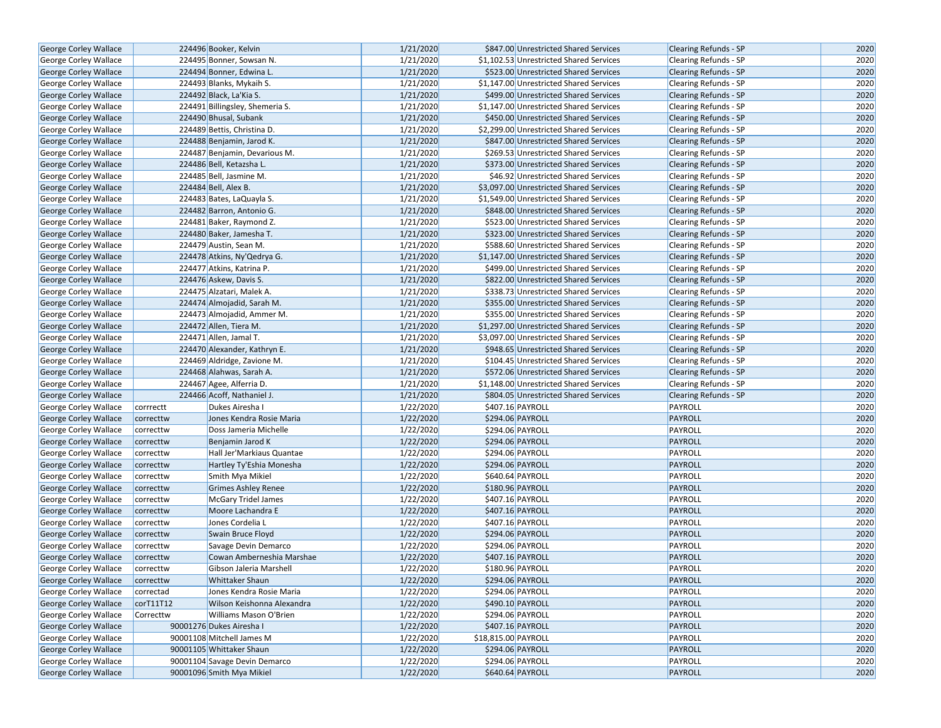| George Corley Wallace        |                          | 224496 Booker, Kelvin           | 1/21/2020 | \$847.00 Unrestricted Shared Services   | <b>Clearing Refunds - SP</b> | 2020 |
|------------------------------|--------------------------|---------------------------------|-----------|-----------------------------------------|------------------------------|------|
| <b>George Corley Wallace</b> |                          | 224495 Bonner, Sowsan N.        | 1/21/2020 | \$1,102.53 Unrestricted Shared Services | Clearing Refunds - SP        | 2020 |
| George Corley Wallace        |                          | 224494 Bonner, Edwina L.        | 1/21/2020 | \$523.00 Unrestricted Shared Services   | Clearing Refunds - SP        | 2020 |
| George Corley Wallace        |                          | 224493 Blanks, Mykaih S.        | 1/21/2020 | \$1,147.00 Unrestricted Shared Services | <b>Clearing Refunds - SP</b> | 2020 |
| <b>George Corley Wallace</b> |                          | 224492 Black, La'Kia S.         | 1/21/2020 | \$499.00 Unrestricted Shared Services   | <b>Clearing Refunds - SP</b> | 2020 |
| George Corley Wallace        |                          | 224491 Billingsley, Shemeria S. | 1/21/2020 | \$1,147.00 Unrestricted Shared Services | <b>Clearing Refunds - SP</b> | 2020 |
| <b>George Corley Wallace</b> |                          | 224490 Bhusal, Subank           | 1/21/2020 | \$450.00 Unrestricted Shared Services   | <b>Clearing Refunds - SP</b> | 2020 |
| <b>George Corley Wallace</b> |                          | 224489 Bettis, Christina D.     | 1/21/2020 | \$2,299.00 Unrestricted Shared Services | <b>Clearing Refunds - SP</b> | 2020 |
| George Corley Wallace        |                          | 224488 Benjamin, Jarod K.       | 1/21/2020 | \$847.00 Unrestricted Shared Services   | <b>Clearing Refunds - SP</b> | 2020 |
| George Corley Wallace        |                          | 224487 Benjamin, Devarious M.   | 1/21/2020 | \$269.53 Unrestricted Shared Services   | Clearing Refunds - SP        | 2020 |
| George Corley Wallace        |                          | 224486 Bell, Ketazsha L.        | 1/21/2020 | \$373.00 Unrestricted Shared Services   | Clearing Refunds - SP        | 2020 |
| George Corley Wallace        |                          | 224485 Bell, Jasmine M.         | 1/21/2020 | \$46.92 Unrestricted Shared Services    | Clearing Refunds - SP        | 2020 |
| <b>George Corley Wallace</b> |                          | 224484 Bell, Alex B.            | 1/21/2020 | \$3,097.00 Unrestricted Shared Services | <b>Clearing Refunds - SP</b> | 2020 |
| George Corley Wallace        |                          | 224483 Bates, LaQuayla S.       | 1/21/2020 | \$1,549.00 Unrestricted Shared Services | Clearing Refunds - SP        | 2020 |
| <b>George Corley Wallace</b> |                          | 224482 Barron, Antonio G.       | 1/21/2020 | \$848.00 Unrestricted Shared Services   | Clearing Refunds - SP        | 2020 |
| George Corley Wallace        |                          | 224481 Baker, Raymond Z.        | 1/21/2020 | \$523.00 Unrestricted Shared Services   | Clearing Refunds - SP        | 2020 |
| George Corley Wallace        |                          | 224480 Baker, Jamesha T.        | 1/21/2020 | \$323.00 Unrestricted Shared Services   | <b>Clearing Refunds - SP</b> | 2020 |
| George Corley Wallace        |                          | 224479 Austin, Sean M.          | 1/21/2020 | \$588.60 Unrestricted Shared Services   | Clearing Refunds - SP        | 2020 |
| George Corley Wallace        |                          | 224478 Atkins, Ny'Qedrya G.     | 1/21/2020 | \$1,147.00 Unrestricted Shared Services | Clearing Refunds - SP        | 2020 |
| George Corley Wallace        |                          | 224477 Atkins, Katrina P.       | 1/21/2020 | \$499.00 Unrestricted Shared Services   | <b>Clearing Refunds - SP</b> | 2020 |
| George Corley Wallace        |                          | 224476 Askew, Davis S.          | 1/21/2020 | \$822.00 Unrestricted Shared Services   | <b>Clearing Refunds - SP</b> | 2020 |
| George Corley Wallace        |                          | 224475 Alzatari, Malek A.       | 1/21/2020 | \$338.73 Unrestricted Shared Services   | Clearing Refunds - SP        | 2020 |
| <b>George Corley Wallace</b> |                          | 224474 Almojadid, Sarah M.      | 1/21/2020 | \$355.00 Unrestricted Shared Services   | Clearing Refunds - SP        | 2020 |
| George Corley Wallace        |                          | 224473 Almojadid, Ammer M.      | 1/21/2020 | \$355.00 Unrestricted Shared Services   | Clearing Refunds - SP        | 2020 |
| George Corley Wallace        |                          | 224472 Allen, Tiera M.          | 1/21/2020 | \$1,297.00 Unrestricted Shared Services | <b>Clearing Refunds - SP</b> | 2020 |
| George Corley Wallace        |                          | 224471 Allen, Jamal T.          | 1/21/2020 | \$3,097.00 Unrestricted Shared Services | Clearing Refunds - SP        | 2020 |
| George Corley Wallace        |                          | 224470 Alexander, Kathryn E.    | 1/21/2020 | \$948.65 Unrestricted Shared Services   | <b>Clearing Refunds - SP</b> | 2020 |
| George Corley Wallace        |                          | 224469 Aldridge, Zavione M.     | 1/21/2020 | \$104.45 Unrestricted Shared Services   | Clearing Refunds - SP        | 2020 |
| George Corley Wallace        |                          | 224468 Alahwas, Sarah A.        | 1/21/2020 | \$572.06 Unrestricted Shared Services   | <b>Clearing Refunds - SP</b> | 2020 |
| George Corley Wallace        | 224467 Agee, Alferria D. |                                 | 1/21/2020 | \$1,148.00 Unrestricted Shared Services | Clearing Refunds - SP        | 2020 |
| George Corley Wallace        |                          | 224466 Acoff, Nathaniel J.      | 1/21/2020 | \$804.05 Unrestricted Shared Services   | <b>Clearing Refunds - SP</b> | 2020 |
| George Corley Wallace        | corrrectt                | Dukes Airesha I                 | 1/22/2020 | \$407.16 PAYROLL                        | PAYROLL                      | 2020 |
| George Corley Wallace        | correcttw                | Jones Kendra Rosie Maria        | 1/22/2020 | \$294.06 PAYROLL                        | PAYROLL                      | 2020 |
| George Corley Wallace        | correcttw                | Doss Jameria Michelle           | 1/22/2020 | \$294.06 PAYROLL                        | PAYROLL                      | 2020 |
| George Corley Wallace        | correcttw                | Benjamin Jarod K                | 1/22/2020 | \$294.06 PAYROLL                        | PAYROLL                      | 2020 |
| George Corley Wallace        | correcttw                | Hall Jer'Markiaus Quantae       | 1/22/2020 | \$294.06 PAYROLL                        | PAYROLL                      | 2020 |
| <b>George Corley Wallace</b> | correcttw                | Hartley Ty'Eshia Monesha        | 1/22/2020 | \$294.06 PAYROLL                        | PAYROLL                      | 2020 |
| George Corley Wallace        | correcttw                | Smith Mya Mikiel                | 1/22/2020 | \$640.64 PAYROLL                        | PAYROLL                      | 2020 |
| George Corley Wallace        | correcttw                | <b>Grimes Ashley Renee</b>      | 1/22/2020 | \$180.96 PAYROLL                        | PAYROLL                      | 2020 |
| George Corley Wallace        | correcttw                | <b>McGary Tridel James</b>      | 1/22/2020 | \$407.16 PAYROLL                        | PAYROLL                      | 2020 |
| George Corley Wallace        | correcttw                | Moore Lachandra E               | 1/22/2020 | \$407.16 PAYROLL                        | PAYROLL                      | 2020 |
| George Corley Wallace        | correcttw                | Jones Cordelia L                | 1/22/2020 | \$407.16 PAYROLL                        | PAYROLL                      | 2020 |
| George Corley Wallace        | correcttw                | Swain Bruce Floyd               | 1/22/2020 | \$294.06 PAYROLL                        | PAYROLL                      | 2020 |
| George Corley Wallace        | correcttw                | Savage Devin Demarco            | 1/22/2020 | \$294.06 PAYROLL                        | PAYROLL                      | 2020 |
| George Corley Wallace        | correcttw                | Cowan Amberneshia Marshae       | 1/22/2020 | \$407.16 PAYROLL                        | PAYROLL                      | 2020 |
| George Corley Wallace        | correcttw                | Gibson Jaleria Marshell         | 1/22/2020 | \$180.96 PAYROLL                        | PAYROLL                      | 2020 |
| <b>George Corley Wallace</b> | correcttw                | <b>Whittaker Shaun</b>          | 1/22/2020 | \$294.06 PAYROLL                        | PAYROLL                      | 2020 |
| George Corley Wallace        | correctad                | Jones Kendra Rosie Maria        | 1/22/2020 | \$294.06 PAYROLL                        | PAYROLL                      | 2020 |
| George Corley Wallace        | corT11T12                | Wilson Keishonna Alexandra      | 1/22/2020 | \$490.10 PAYROLL                        | PAYROLL                      | 2020 |
| <b>George Corley Wallace</b> | Correcttw                | Williams Mason O'Brien          | 1/22/2020 | \$294.06 PAYROLL                        | PAYROLL                      | 2020 |
| George Corley Wallace        |                          | 90001276 Dukes Airesha I        | 1/22/2020 | \$407.16 PAYROLL                        | PAYROLL                      | 2020 |
| <b>George Corley Wallace</b> |                          | 90001108 Mitchell James M       | 1/22/2020 | \$18,815.00 PAYROLL                     | PAYROLL                      | 2020 |
| George Corley Wallace        |                          | 90001105 Whittaker Shaun        | 1/22/2020 | \$294.06 PAYROLL                        | PAYROLL                      | 2020 |
| George Corley Wallace        |                          | 90001104 Savage Devin Demarco   | 1/22/2020 | \$294.06 PAYROLL                        | PAYROLL                      | 2020 |
| George Corley Wallace        |                          | 90001096 Smith Mya Mikiel       | 1/22/2020 | \$640.64 PAYROLL                        | PAYROLL                      | 2020 |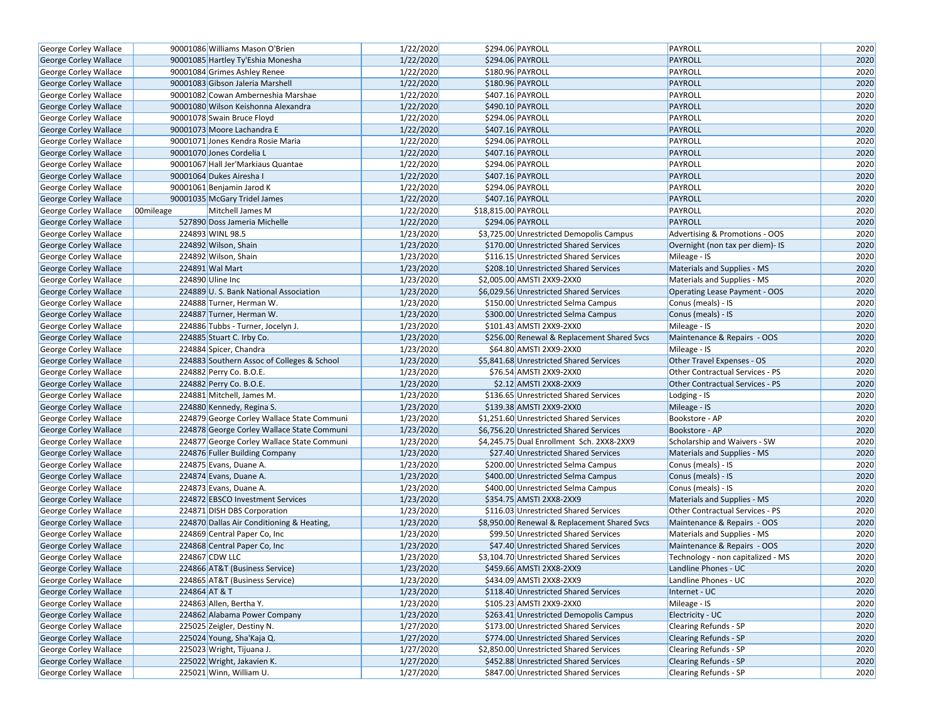| George Corley Wallace        |               | 90001086 Williams Mason O'Brien            | 1/22/2020 | \$294.06 PAYROLL                             | PAYROLL                                | 2020 |
|------------------------------|---------------|--------------------------------------------|-----------|----------------------------------------------|----------------------------------------|------|
| George Corley Wallace        |               | 90001085 Hartley Ty'Eshia Monesha          | 1/22/2020 | \$294.06 PAYROLL                             | <b>PAYROLL</b>                         | 2020 |
| George Corley Wallace        |               | 90001084 Grimes Ashley Renee               | 1/22/2020 | \$180.96 PAYROLL                             | PAYROLL                                | 2020 |
| George Corley Wallace        |               | 90001083 Gibson Jaleria Marshell           | 1/22/2020 | \$180.96 PAYROLL                             | <b>PAYROLL</b>                         | 2020 |
| George Corley Wallace        |               | 90001082 Cowan Amberneshia Marshae         | 1/22/2020 | \$407.16 PAYROLL                             | PAYROLL                                | 2020 |
| George Corley Wallace        |               | 90001080 Wilson Keishonna Alexandra        | 1/22/2020 | \$490.10 PAYROLL                             | <b>PAYROLL</b>                         | 2020 |
| George Corley Wallace        |               | 90001078 Swain Bruce Floyd                 | 1/22/2020 | \$294.06 PAYROLL                             | PAYROLL                                | 2020 |
| George Corley Wallace        |               | 90001073 Moore Lachandra E                 | 1/22/2020 | \$407.16 PAYROLL                             | <b>PAYROLL</b>                         | 2020 |
| George Corley Wallace        |               | 90001071 Jones Kendra Rosie Maria          | 1/22/2020 | \$294.06 PAYROLL                             | PAYROLL                                | 2020 |
| George Corley Wallace        |               | 90001070 Jones Cordelia L                  | 1/22/2020 | \$407.16 PAYROLL                             | <b>PAYROLL</b>                         | 2020 |
| George Corley Wallace        |               | 90001067 Hall Jer'Markiaus Quantae         | 1/22/2020 | \$294.06 PAYROLL                             | PAYROLL                                | 2020 |
| George Corley Wallace        |               | 90001064 Dukes Airesha I                   | 1/22/2020 | \$407.16 PAYROLL                             | PAYROLL                                | 2020 |
| George Corley Wallace        |               | 90001061 Benjamin Jarod K                  | 1/22/2020 | \$294.06 PAYROLL                             | PAYROLL                                | 2020 |
| George Corley Wallace        |               | 90001035 McGary Tridel James               | 1/22/2020 | \$407.16 PAYROLL                             | <b>PAYROLL</b>                         | 2020 |
| George Corley Wallace        | 00mileage     | Mitchell James M                           | 1/22/2020 | \$18,815.00 PAYROLL                          | PAYROLL                                | 2020 |
| George Corley Wallace        |               | 527890 Doss Jameria Michelle               | 1/22/2020 | \$294.06 PAYROLL                             | <b>PAYROLL</b>                         | 2020 |
| George Corley Wallace        |               | 224893 WINL 98.5                           | 1/23/2020 | \$3,725.00 Unrestricted Demopolis Campus     | Advertising & Promotions - OOS         | 2020 |
| George Corley Wallace        |               | 224892 Wilson, Shain                       | 1/23/2020 | \$170.00 Unrestricted Shared Services        | Overnight (non tax per diem)- IS       | 2020 |
| George Corley Wallace        |               | 224892 Wilson, Shain                       | 1/23/2020 | \$116.15 Unrestricted Shared Services        | Mileage - IS                           | 2020 |
| George Corley Wallace        |               | 224891 Wal Mart                            | 1/23/2020 | \$208.10 Unrestricted Shared Services        | Materials and Supplies - MS            | 2020 |
| George Corley Wallace        |               | 224890 Uline Inc                           | 1/23/2020 | \$2,005.00 AMSTI 2XX9-2XX0                   | Materials and Supplies - MS            | 2020 |
| George Corley Wallace        |               | 224889 U.S. Bank National Association      | 1/23/2020 | \$6,029.56 Unrestricted Shared Services      | <b>Operating Lease Payment - OOS</b>   | 2020 |
| George Corley Wallace        |               | 224888 Turner, Herman W.                   | 1/23/2020 | \$150.00 Unrestricted Selma Campus           | Conus (meals) - IS                     | 2020 |
| George Corley Wallace        |               | 224887 Turner, Herman W.                   | 1/23/2020 | \$300.00 Unrestricted Selma Campus           | Conus (meals) - IS                     | 2020 |
| George Corley Wallace        |               | 224886 Tubbs - Turner, Jocelyn J.          | 1/23/2020 | \$101.43 AMSTI 2XX9-2XX0                     | Mileage - IS                           | 2020 |
| George Corley Wallace        |               | 224885 Stuart C. Irby Co.                  | 1/23/2020 | \$256.00 Renewal & Replacement Shared Svcs   | Maintenance & Repairs - OOS            | 2020 |
| George Corley Wallace        |               | 224884 Spicer, Chandra                     | 1/23/2020 | \$64.80 AMSTI 2XX9-2XX0                      | Mileage - IS                           | 2020 |
| George Corley Wallace        |               | 224883 Southern Assoc of Colleges & School | 1/23/2020 | \$5,841.68 Unrestricted Shared Services      | Other Travel Expenses - OS             | 2020 |
| George Corley Wallace        |               | 224882 Perry Co. B.O.E.                    | 1/23/2020 | \$76.54 AMSTI 2XX9-2XX0                      | Other Contractual Services - PS        | 2020 |
| George Corley Wallace        |               | 224882 Perry Co. B.O.E.                    | 1/23/2020 | \$2.12 AMSTI 2XX8-2XX9                       | <b>Other Contractual Services - PS</b> | 2020 |
| George Corley Wallace        |               | 224881 Mitchell, James M.                  | 1/23/2020 | \$136.65 Unrestricted Shared Services        | Lodging - IS                           | 2020 |
| George Corley Wallace        |               | 224880 Kennedy, Regina S.                  | 1/23/2020 | \$139.38 AMSTI 2XX9-2XX0                     | Mileage - IS                           | 2020 |
| George Corley Wallace        |               | 224879 George Corley Wallace State Communi | 1/23/2020 | \$1,251.60 Unrestricted Shared Services      | Bookstore - AP                         | 2020 |
| George Corley Wallace        |               | 224878 George Corley Wallace State Communi | 1/23/2020 | \$6,756.20 Unrestricted Shared Services      | Bookstore - AP                         | 2020 |
| George Corley Wallace        |               | 224877 George Corley Wallace State Communi | 1/23/2020 | \$4,245.75 Dual Enrollment Sch. 2XX8-2XX9    | Scholarship and Waivers - SW           | 2020 |
| George Corley Wallace        |               | 224876 Fuller Building Company             | 1/23/2020 | \$27.40 Unrestricted Shared Services         | Materials and Supplies - MS            | 2020 |
| George Corley Wallace        |               | 224875 Evans, Duane A.                     | 1/23/2020 | \$200.00 Unrestricted Selma Campus           | Conus (meals) - IS                     | 2020 |
| George Corley Wallace        |               | 224874 Evans, Duane A.                     | 1/23/2020 | \$400.00 Unrestricted Selma Campus           | Conus (meals) - IS                     | 2020 |
| George Corley Wallace        |               | 224873 Evans, Duane A.                     | 1/23/2020 | \$400.00 Unrestricted Selma Campus           | Conus (meals) - IS                     | 2020 |
| George Corley Wallace        |               | 224872 EBSCO Investment Services           | 1/23/2020 | \$354.75 AMSTI 2XX8-2XX9                     | Materials and Supplies - MS            | 2020 |
| George Corley Wallace        |               | 224871 DISH DBS Corporation                | 1/23/2020 | \$116.03 Unrestricted Shared Services        | <b>Other Contractual Services - PS</b> | 2020 |
| George Corley Wallace        |               | 224870 Dallas Air Conditioning & Heating,  | 1/23/2020 | \$8,950.00 Renewal & Replacement Shared Svcs | Maintenance & Repairs - OOS            | 2020 |
| George Corley Wallace        |               | 224869 Central Paper Co, Inc               | 1/23/2020 | \$99.50 Unrestricted Shared Services         | Materials and Supplies - MS            | 2020 |
| George Corley Wallace        |               | 224868 Central Paper Co, Inc               | 1/23/2020 | \$47.40 Unrestricted Shared Services         | Maintenance & Repairs - OOS            | 2020 |
| George Corley Wallace        |               | 224867 CDW LLC                             | 1/23/2020 | \$3,104.70 Unrestricted Shared Services      | Technology - non capitalized - MS      | 2020 |
| George Corley Wallace        |               | 224866 AT&T (Business Service)             | 1/23/2020 | \$459.66 AMSTI 2XX8-2XX9                     | Landline Phones - UC                   | 2020 |
| <b>George Corley Wallace</b> |               | 224865 AT&T (Business Service)             | 1/23/2020 | \$434.09 AMSTI 2XX8-2XX9                     | Landline Phones - UC                   | 2020 |
| George Corley Wallace        | 224864 AT & T |                                            | 1/23/2020 | \$118.40 Unrestricted Shared Services        | Internet - UC                          | 2020 |
| George Corley Wallace        |               | 224863 Allen, Bertha Y.                    | 1/23/2020 | \$105.23 AMSTI 2XX9-2XX0                     | Mileage - IS                           | 2020 |
| George Corley Wallace        |               | 224862 Alabama Power Company               | 1/23/2020 | \$263.41 Unrestricted Demopolis Campus       | Electricity - UC                       | 2020 |
| George Corley Wallace        |               | 225025 Zeigler, Destiny N.                 | 1/27/2020 | \$173.00 Unrestricted Shared Services        | Clearing Refunds - SP                  | 2020 |
| George Corley Wallace        |               | 225024 Young, Sha'Kaja Q.                  | 1/27/2020 | \$774.00 Unrestricted Shared Services        | <b>Clearing Refunds - SP</b>           | 2020 |
| George Corley Wallace        |               | 225023 Wright, Tijuana J.                  | 1/27/2020 | \$2,850.00 Unrestricted Shared Services      | Clearing Refunds - SP                  | 2020 |
| George Corley Wallace        |               | 225022 Wright, Jakavien K.                 | 1/27/2020 | \$452.88 Unrestricted Shared Services        | <b>Clearing Refunds - SP</b>           | 2020 |
| George Corley Wallace        |               | 225021 Winn, William U.                    | 1/27/2020 | \$847.00 Unrestricted Shared Services        | Clearing Refunds - SP                  | 2020 |
|                              |               |                                            |           |                                              |                                        |      |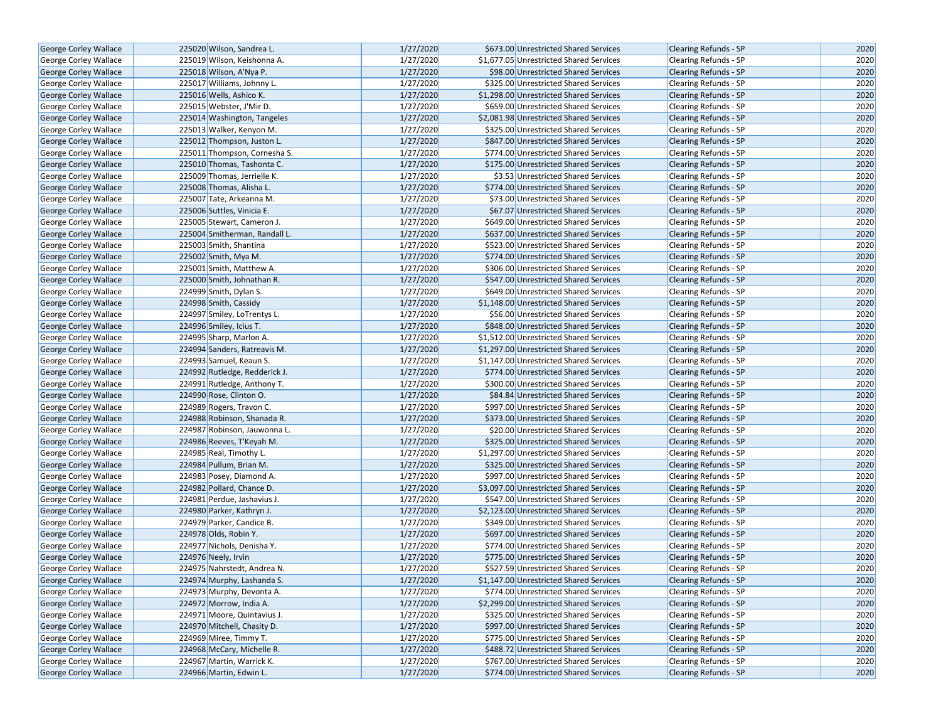| George Corley Wallace        | 225020 Wilson, Sandrea L.                            | 1/27/2020 | \$673.00 Unrestricted Shared Services                                          | <b>Clearing Refunds - SP</b>                          | 2020 |
|------------------------------|------------------------------------------------------|-----------|--------------------------------------------------------------------------------|-------------------------------------------------------|------|
| George Corley Wallace        | 225019 Wilson, Keishonna A.                          | 1/27/2020 | \$1,677.05 Unrestricted Shared Services                                        | <b>Clearing Refunds - SP</b>                          | 2020 |
| George Corley Wallace        | 225018 Wilson, A'Nya P.                              | 1/27/2020 | \$98.00 Unrestricted Shared Services                                           | <b>Clearing Refunds - SP</b>                          | 2020 |
| George Corley Wallace        | 225017 Williams, Johnny L.                           | 1/27/2020 | \$325.00 Unrestricted Shared Services                                          | <b>Clearing Refunds - SP</b>                          | 2020 |
| George Corley Wallace        | 225016 Wells, Ashico K.                              | 1/27/2020 | \$1,298.00 Unrestricted Shared Services                                        | <b>Clearing Refunds - SP</b>                          | 2020 |
| George Corley Wallace        | 225015 Webster, J'Mir D.                             | 1/27/2020 | \$659.00 Unrestricted Shared Services                                          | Clearing Refunds - SP                                 | 2020 |
| George Corley Wallace        | 225014 Washington, Tangeles                          | 1/27/2020 | \$2,081.98 Unrestricted Shared Services                                        | <b>Clearing Refunds - SP</b>                          | 2020 |
| George Corley Wallace        | 225013 Walker, Kenyon M.                             | 1/27/2020 | \$325.00 Unrestricted Shared Services                                          | <b>Clearing Refunds - SP</b>                          | 2020 |
| George Corley Wallace        | 225012 Thompson, Juston L.                           | 1/27/2020 | \$847.00 Unrestricted Shared Services                                          | <b>Clearing Refunds - SP</b>                          | 2020 |
| George Corley Wallace        | 225011 Thompson, Cornesha S.                         | 1/27/2020 | \$774.00 Unrestricted Shared Services                                          | Clearing Refunds - SP                                 | 2020 |
| George Corley Wallace        | 225010 Thomas, Tashonta C.                           | 1/27/2020 | \$175.00 Unrestricted Shared Services                                          | <b>Clearing Refunds - SP</b>                          | 2020 |
| George Corley Wallace        | 225009 Thomas, Jerrielle K.                          | 1/27/2020 | \$3.53 Unrestricted Shared Services                                            | <b>Clearing Refunds - SP</b>                          | 2020 |
| George Corley Wallace        | 225008 Thomas, Alisha L.                             | 1/27/2020 | \$774.00 Unrestricted Shared Services                                          | <b>Clearing Refunds - SP</b>                          | 2020 |
| George Corley Wallace        | 225007 Tate, Arkeanna M.                             | 1/27/2020 | \$73.00 Unrestricted Shared Services                                           | Clearing Refunds - SP                                 | 2020 |
| <b>George Corley Wallace</b> | 225006 Suttles, Vinicia E.                           | 1/27/2020 | \$67.07 Unrestricted Shared Services                                           | <b>Clearing Refunds - SP</b>                          | 2020 |
| George Corley Wallace        | 225005 Stewart, Cameron J.                           | 1/27/2020 | \$649.00 Unrestricted Shared Services                                          | <b>Clearing Refunds - SP</b>                          | 2020 |
| George Corley Wallace        | 225004 Smitherman, Randall L.                        | 1/27/2020 | \$637.00 Unrestricted Shared Services                                          | <b>Clearing Refunds - SP</b>                          | 2020 |
| George Corley Wallace        | 225003 Smith, Shantina                               | 1/27/2020 | \$523.00 Unrestricted Shared Services                                          | Clearing Refunds - SP                                 | 2020 |
|                              | 225002 Smith, Mya M.                                 | 1/27/2020 | \$774.00 Unrestricted Shared Services                                          | <b>Clearing Refunds - SP</b>                          | 2020 |
| George Corley Wallace        | 225001 Smith, Matthew A.                             | 1/27/2020 | \$306.00 Unrestricted Shared Services                                          | <b>Clearing Refunds - SP</b>                          | 2020 |
| George Corley Wallace        |                                                      | 1/27/2020 |                                                                                |                                                       | 2020 |
| George Corley Wallace        | 225000 Smith, Johnathan R.<br>224999 Smith, Dylan S. | 1/27/2020 | \$547.00 Unrestricted Shared Services<br>\$649.00 Unrestricted Shared Services | <b>Clearing Refunds - SP</b><br>Clearing Refunds - SP | 2020 |
| George Corley Wallace        |                                                      | 1/27/2020 | \$1,148.00 Unrestricted Shared Services                                        |                                                       | 2020 |
| George Corley Wallace        | 224998 Smith, Cassidy                                | 1/27/2020 | \$56.00 Unrestricted Shared Services                                           | <b>Clearing Refunds - SP</b>                          | 2020 |
| George Corley Wallace        | 224997 Smiley, LoTrentys L.                          | 1/27/2020 |                                                                                | Clearing Refunds - SP                                 | 2020 |
| George Corley Wallace        | 224996 Smiley, Icius T.                              |           | \$848.00 Unrestricted Shared Services                                          | <b>Clearing Refunds - SP</b>                          |      |
| George Corley Wallace        | 224995 Sharp, Marlon A.                              | 1/27/2020 | \$1,512.00 Unrestricted Shared Services                                        | Clearing Refunds - SP                                 | 2020 |
| George Corley Wallace        | 224994 Sanders, Ratreavis M.                         | 1/27/2020 | \$1,297.00 Unrestricted Shared Services                                        | <b>Clearing Refunds - SP</b>                          | 2020 |
| George Corley Wallace        | 224993 Samuel, Keaun S.                              | 1/27/2020 | \$1,147.00 Unrestricted Shared Services                                        | Clearing Refunds - SP                                 | 2020 |
| George Corley Wallace        | 224992 Rutledge, Redderick J.                        | 1/27/2020 | \$774.00 Unrestricted Shared Services                                          | <b>Clearing Refunds - SP</b>                          | 2020 |
| George Corley Wallace        | 224991 Rutledge, Anthony T.                          | 1/27/2020 | \$300.00 Unrestricted Shared Services                                          | Clearing Refunds - SP                                 | 2020 |
| George Corley Wallace        | 224990 Rose, Clinton O.                              | 1/27/2020 | \$84.84 Unrestricted Shared Services                                           | <b>Clearing Refunds - SP</b>                          | 2020 |
| George Corley Wallace        | 224989 Rogers, Travon C.                             | 1/27/2020 | \$997.00 Unrestricted Shared Services                                          | Clearing Refunds - SP                                 | 2020 |
| George Corley Wallace        | 224988 Robinson, Shanada R.                          | 1/27/2020 | \$373.00 Unrestricted Shared Services                                          | <b>Clearing Refunds - SP</b>                          | 2020 |
| George Corley Wallace        | 224987 Robinson, Jauwonna L.                         | 1/27/2020 | \$20.00 Unrestricted Shared Services                                           | Clearing Refunds - SP                                 | 2020 |
| George Corley Wallace        | 224986 Reeves, T'Keyah M.                            | 1/27/2020 | \$325.00 Unrestricted Shared Services                                          | <b>Clearing Refunds - SP</b>                          | 2020 |
| George Corley Wallace        | 224985 Real, Timothy L.                              | 1/27/2020 | \$1,297.00 Unrestricted Shared Services                                        | Clearing Refunds - SP                                 | 2020 |
| George Corley Wallace        | 224984 Pullum, Brian M.                              | 1/27/2020 | \$325.00 Unrestricted Shared Services                                          | <b>Clearing Refunds - SP</b>                          | 2020 |
| George Corley Wallace        | 224983 Posey, Diamond A.                             | 1/27/2020 | \$997.00 Unrestricted Shared Services                                          | Clearing Refunds - SP                                 | 2020 |
| George Corley Wallace        | 224982 Pollard, Chance D.                            | 1/27/2020 | \$3,097.00 Unrestricted Shared Services                                        | <b>Clearing Refunds - SP</b>                          | 2020 |
| George Corley Wallace        | 224981 Perdue, Jashavius J.                          | 1/27/2020 | \$547.00 Unrestricted Shared Services                                          | Clearing Refunds - SP                                 | 2020 |
| <b>George Corley Wallace</b> | 224980 Parker, Kathryn J.                            | 1/27/2020 | \$2,123.00 Unrestricted Shared Services                                        | Clearing Refunds - SP                                 | 2020 |
| George Corley Wallace        | 224979 Parker, Candice R.                            | 1/27/2020 | \$349.00 Unrestricted Shared Services                                          | Clearing Refunds - SP                                 | 2020 |
| George Corley Wallace        | 224978 Olds, Robin Y.                                | 1/27/2020 | \$697.00 Unrestricted Shared Services                                          | <b>Clearing Refunds - SP</b>                          | 2020 |
| George Corley Wallace        | 224977 Nichols, Denisha Y.                           | 1/27/2020 | \$774.00 Unrestricted Shared Services                                          | Clearing Refunds - SP                                 | 2020 |
| <b>George Corley Wallace</b> | 224976 Neely, Irvin                                  | 1/27/2020 | \$775.00 Unrestricted Shared Services                                          | <b>Clearing Refunds - SP</b>                          | 2020 |
| George Corley Wallace        | 224975 Nahrstedt, Andrea N.                          | 1/27/2020 | \$527.59 Unrestricted Shared Services                                          | Clearing Refunds - SP                                 | 2020 |
| George Corley Wallace        | 224974 Murphy, Lashanda S.                           | 1/27/2020 | \$1,147.00 Unrestricted Shared Services                                        | <b>Clearing Refunds - SP</b>                          | 2020 |
| George Corley Wallace        | 224973 Murphy, Devonta A.                            | 1/27/2020 | \$774.00 Unrestricted Shared Services                                          | Clearing Refunds - SP                                 | 2020 |
| George Corley Wallace        | 224972 Morrow, India A.                              | 1/27/2020 | \$2,299.00 Unrestricted Shared Services                                        | <b>Clearing Refunds - SP</b>                          | 2020 |
| <b>George Corley Wallace</b> | 224971 Moore, Quintavius J.                          | 1/27/2020 | \$325.00 Unrestricted Shared Services                                          | <b>Clearing Refunds - SP</b>                          | 2020 |
| George Corley Wallace        | 224970 Mitchell, Chasity D.                          | 1/27/2020 | \$997.00 Unrestricted Shared Services                                          | <b>Clearing Refunds - SP</b>                          | 2020 |
| George Corley Wallace        | 224969 Miree, Timmy T.                               | 1/27/2020 | \$775.00 Unrestricted Shared Services                                          | <b>Clearing Refunds - SP</b>                          | 2020 |
| George Corley Wallace        | 224968 McCary, Michelle R.                           | 1/27/2020 | \$488.72 Unrestricted Shared Services                                          | <b>Clearing Refunds - SP</b>                          | 2020 |
| George Corley Wallace        | 224967 Martin, Warrick K.                            | 1/27/2020 | \$767.00 Unrestricted Shared Services                                          | Clearing Refunds - SP                                 | 2020 |
| George Corley Wallace        | 224966 Martin, Edwin L.                              | 1/27/2020 | \$774.00 Unrestricted Shared Services                                          | Clearing Refunds - SP                                 | 2020 |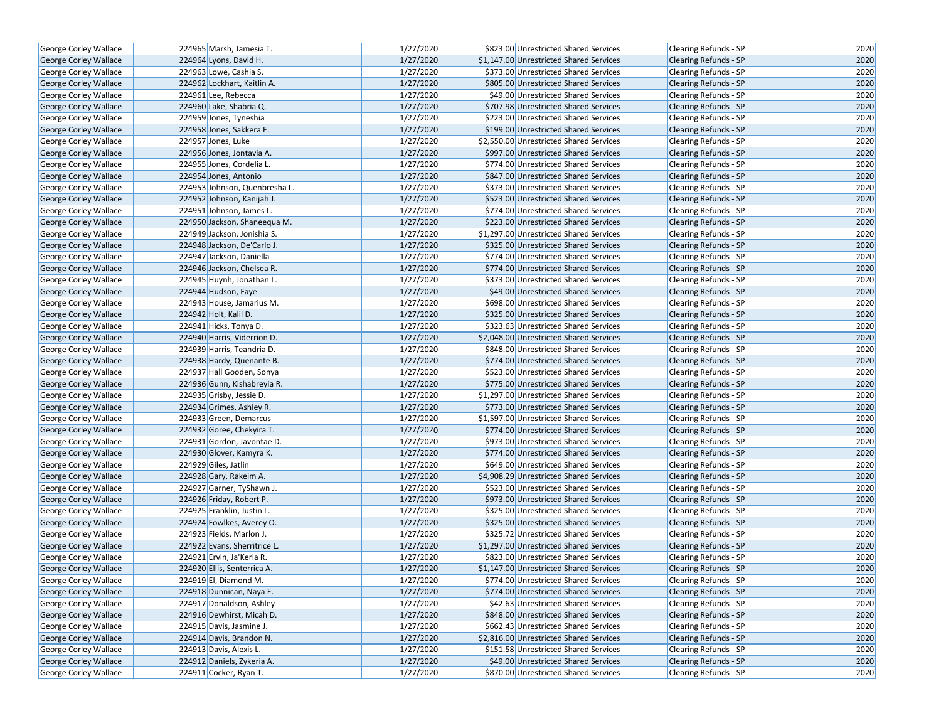| George Corley Wallace                          | 224965 Marsh, Jamesia T.      | 1/27/2020              | \$823.00 Unrestricted Shared Services                                          | Clearing Refunds - SP                                 | 2020         |
|------------------------------------------------|-------------------------------|------------------------|--------------------------------------------------------------------------------|-------------------------------------------------------|--------------|
| <b>George Corley Wallace</b>                   | 224964 Lyons, David H.        | 1/27/2020              | \$1,147.00 Unrestricted Shared Services                                        | <b>Clearing Refunds - SP</b>                          | 2020         |
| George Corley Wallace                          | 224963 Lowe, Cashia S.        | 1/27/2020              | \$373.00 Unrestricted Shared Services                                          | Clearing Refunds - SP                                 | 2020         |
| <b>George Corley Wallace</b>                   | 224962 Lockhart, Kaitlin A.   | 1/27/2020              | \$805.00 Unrestricted Shared Services                                          | <b>Clearing Refunds - SP</b>                          | 2020         |
| George Corley Wallace                          | 224961 Lee, Rebecca           | 1/27/2020              | \$49.00 Unrestricted Shared Services                                           | Clearing Refunds - SP                                 | 2020         |
| George Corley Wallace                          | 224960 Lake, Shabria Q.       | 1/27/2020              | \$707.98 Unrestricted Shared Services                                          | <b>Clearing Refunds - SP</b>                          | 2020         |
| George Corley Wallace                          | 224959 Jones, Tyneshia        | 1/27/2020              | \$223.00 Unrestricted Shared Services                                          | Clearing Refunds - SP                                 | 2020         |
| <b>George Corley Wallace</b>                   | 224958 Jones, Sakkera E.      | 1/27/2020              | \$199.00 Unrestricted Shared Services                                          | <b>Clearing Refunds - SP</b>                          | 2020         |
| George Corley Wallace                          | 224957 Jones, Luke            | 1/27/2020              | \$2,550.00 Unrestricted Shared Services                                        | Clearing Refunds - SP                                 | 2020         |
| George Corley Wallace                          | 224956 Jones, Jontavia A.     | 1/27/2020              | \$997.00 Unrestricted Shared Services                                          | <b>Clearing Refunds - SP</b>                          | 2020         |
| George Corley Wallace                          | 224955 Jones, Cordelia L.     | 1/27/2020              | \$774.00 Unrestricted Shared Services                                          | Clearing Refunds - SP                                 | 2020         |
| George Corley Wallace                          | 224954 Jones, Antonio         | 1/27/2020              | \$847.00 Unrestricted Shared Services                                          | <b>Clearing Refunds - SP</b>                          | 2020         |
| George Corley Wallace                          | 224953 Johnson, Quenbresha L. | 1/27/2020              | \$373.00 Unrestricted Shared Services                                          | <b>Clearing Refunds - SP</b>                          | 2020         |
| George Corley Wallace                          | 224952 Johnson, Kanijah J.    | 1/27/2020              | \$523.00 Unrestricted Shared Services                                          | <b>Clearing Refunds - SP</b>                          | 2020         |
| George Corley Wallace                          | 224951 Johnson, James L.      | 1/27/2020              | \$774.00 Unrestricted Shared Services                                          | Clearing Refunds - SP                                 | 2020         |
| George Corley Wallace                          | 224950 Jackson, Shaneequa M.  | 1/27/2020              | \$223.00 Unrestricted Shared Services                                          | <b>Clearing Refunds - SP</b>                          | 2020         |
| George Corley Wallace                          | 224949 Jackson, Jonishia S.   | 1/27/2020              | \$1,297.00 Unrestricted Shared Services                                        | Clearing Refunds - SP                                 | 2020         |
| George Corley Wallace                          | 224948 Jackson, De'Carlo J.   | 1/27/2020              | \$325.00 Unrestricted Shared Services                                          | <b>Clearing Refunds - SP</b>                          | 2020         |
| George Corley Wallace                          | 224947 Jackson, Daniella      | 1/27/2020              | \$774.00 Unrestricted Shared Services                                          | Clearing Refunds - SP                                 | 2020         |
| George Corley Wallace                          | 224946 Jackson, Chelsea R.    | 1/27/2020              | \$774.00 Unrestricted Shared Services                                          | <b>Clearing Refunds - SP</b>                          | 2020         |
| George Corley Wallace                          | 224945 Huynh, Jonathan L.     | 1/27/2020              | \$373.00 Unrestricted Shared Services                                          | <b>Clearing Refunds - SP</b>                          | 2020         |
| George Corley Wallace                          | 224944 Hudson, Faye           | 1/27/2020              | \$49.00 Unrestricted Shared Services                                           | <b>Clearing Refunds - SP</b>                          | 2020         |
| George Corley Wallace                          | 224943 House, Jamarius M.     | 1/27/2020              | \$698.00 Unrestricted Shared Services                                          | Clearing Refunds - SP                                 | 2020         |
| George Corley Wallace                          | 224942 Holt, Kalil D.         | 1/27/2020              | \$325.00 Unrestricted Shared Services                                          | Clearing Refunds - SP                                 | 2020         |
| <b>George Corley Wallace</b>                   | 224941 Hicks, Tonya D.        | 1/27/2020              | \$323.63 Unrestricted Shared Services                                          | <b>Clearing Refunds - SP</b>                          | 2020         |
| <b>George Corley Wallace</b>                   | 224940 Harris, Viderrion D.   | 1/27/2020              | \$2,048.00 Unrestricted Shared Services                                        | <b>Clearing Refunds - SP</b>                          | 2020         |
| George Corley Wallace                          | 224939 Harris, Teandria D.    | 1/27/2020              | \$848.00 Unrestricted Shared Services                                          | Clearing Refunds - SP                                 | 2020         |
| George Corley Wallace                          | 224938 Hardy, Quenante B.     | 1/27/2020              | \$774.00 Unrestricted Shared Services                                          | <b>Clearing Refunds - SP</b>                          | 2020         |
| George Corley Wallace                          | 224937 Hall Gooden, Sonya     | 1/27/2020              | \$523.00 Unrestricted Shared Services                                          | <b>Clearing Refunds - SP</b>                          | 2020         |
| George Corley Wallace                          | 224936 Gunn, Kishabreyia R.   | 1/27/2020              | \$775.00 Unrestricted Shared Services                                          | <b>Clearing Refunds - SP</b>                          | 2020         |
| George Corley Wallace                          | 224935 Grisby, Jessie D.      | 1/27/2020              | \$1,297.00 Unrestricted Shared Services                                        | Clearing Refunds - SP                                 | 2020         |
|                                                | 224934 Grimes, Ashley R.      | 1/27/2020              | \$773.00 Unrestricted Shared Services                                          | <b>Clearing Refunds - SP</b>                          | 2020         |
| George Corley Wallace                          | 224933 Green, Demarcus        | 1/27/2020              | \$1,597.00 Unrestricted Shared Services                                        | <b>Clearing Refunds - SP</b>                          | 2020         |
| George Corley Wallace                          | 224932 Goree, Chekyira T.     | 1/27/2020              | \$774.00 Unrestricted Shared Services                                          |                                                       | 2020         |
| George Corley Wallace                          | 224931 Gordon, Javontae D.    | 1/27/2020              | \$973.00 Unrestricted Shared Services                                          | <b>Clearing Refunds - SP</b><br>Clearing Refunds - SP | 2020         |
| George Corley Wallace<br>George Corley Wallace | 224930 Glover, Kamyra K.      | 1/27/2020              | \$774.00 Unrestricted Shared Services                                          | <b>Clearing Refunds - SP</b>                          | 2020         |
|                                                | 224929 Giles, Jatlin          | 1/27/2020              | \$649.00 Unrestricted Shared Services                                          | Clearing Refunds - SP                                 | 2020         |
| George Corley Wallace<br>George Corley Wallace | 224928 Gary, Rakeim A.        | 1/27/2020              | \$4,908.29 Unrestricted Shared Services                                        | <b>Clearing Refunds - SP</b>                          | 2020         |
|                                                |                               | 1/27/2020              | \$523.00 Unrestricted Shared Services                                          |                                                       | 2020         |
| George Corley Wallace                          | 224927 Garner, TyShawn J.     | 1/27/2020              |                                                                                | Clearing Refunds - SP                                 | 2020         |
| George Corley Wallace                          | 224926 Friday, Robert P.      |                        | \$973.00 Unrestricted Shared Services                                          | <b>Clearing Refunds - SP</b>                          |              |
| George Corley Wallace                          | 224925 Franklin, Justin L.    | 1/27/2020<br>1/27/2020 | \$325.00 Unrestricted Shared Services<br>\$325.00 Unrestricted Shared Services | Clearing Refunds - SP<br><b>Clearing Refunds - SP</b> | 2020<br>2020 |
| George Corley Wallace                          | 224924 Fowlkes, Averey O.     |                        |                                                                                |                                                       |              |
| George Corley Wallace                          | 224923 Fields, Marlon J.      | 1/27/2020              | \$325.72 Unrestricted Shared Services                                          | Clearing Refunds - SP                                 | 2020         |
| George Corley Wallace                          | 224922 Evans, Sherritrice L.  | 1/27/2020              | \$1,297.00 Unrestricted Shared Services                                        | Clearing Refunds - SP                                 | 2020         |
| George Corley Wallace                          | 224921 Ervin, Ja'Keria R.     | 1/27/2020              | \$823.00 Unrestricted Shared Services                                          | <b>Clearing Refunds - SP</b>                          | 2020         |
| George Corley Wallace                          | 224920 Ellis, Senterrica A.   | 1/27/2020              | \$1.147.00 Unrestricted Shared Services                                        | <b>Clearing Refunds - SP</b>                          | 2020         |
| George Corley Wallace                          | 224919 El, Diamond M.         | 1/27/2020              | \$774.00 Unrestricted Shared Services                                          | Clearing Refunds - SP                                 | 2020         |
| George Corley Wallace                          | 224918 Dunnican, Naya E.      | 1/27/2020              | \$774.00 Unrestricted Shared Services                                          | Clearing Refunds - SP                                 | 2020         |
| George Corley Wallace                          | 224917 Donaldson, Ashley      | 1/27/2020              | \$42.63 Unrestricted Shared Services                                           | Clearing Refunds - SP                                 | 2020         |
| <b>George Corley Wallace</b>                   | 224916 Dewhirst, Micah D.     | 1/27/2020              | \$848.00 Unrestricted Shared Services                                          | <b>Clearing Refunds - SP</b>                          | 2020         |
| George Corley Wallace                          | 224915 Davis, Jasmine J.      | 1/27/2020              | \$662.43 Unrestricted Shared Services                                          | Clearing Refunds - SP                                 | 2020         |
| George Corley Wallace                          | 224914 Davis, Brandon N.      | 1/27/2020              | \$2,816.00 Unrestricted Shared Services                                        | Clearing Refunds - SP                                 | 2020         |
| George Corley Wallace                          | 224913 Davis, Alexis L.       | 1/27/2020              | \$151.58 Unrestricted Shared Services                                          | Clearing Refunds - SP                                 | 2020         |
| George Corley Wallace                          | 224912 Daniels, Zykeria A.    | 1/27/2020              | \$49.00 Unrestricted Shared Services                                           | <b>Clearing Refunds - SP</b>                          | 2020         |
| George Corley Wallace                          | 224911 Cocker, Ryan T.        | 1/27/2020              | \$870.00 Unrestricted Shared Services                                          | Clearing Refunds - SP                                 | 2020         |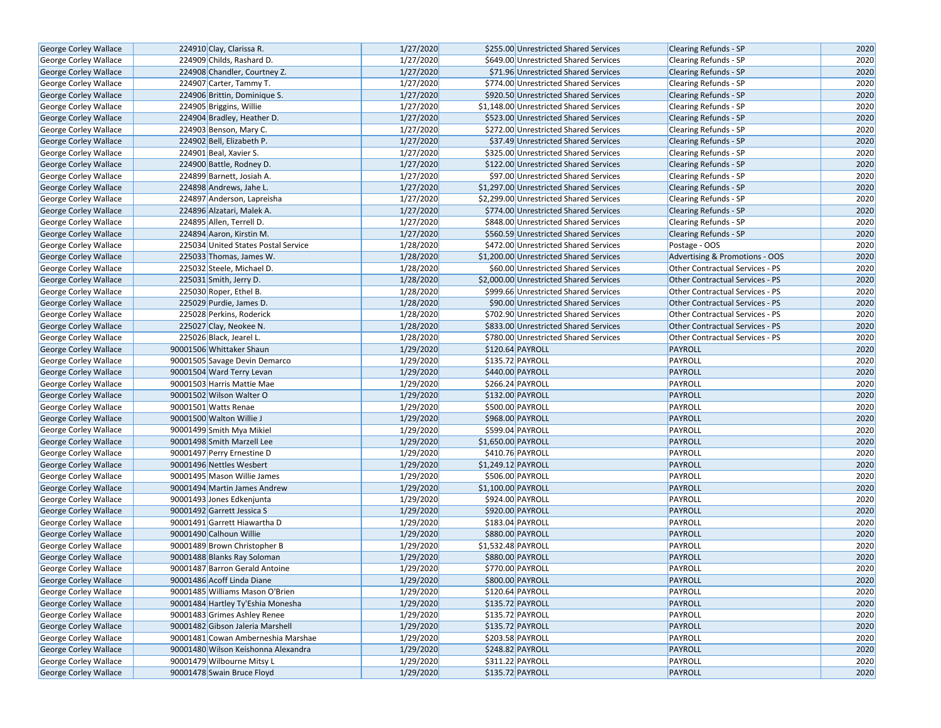| George Corley Wallace        | 224910 Clay, Clarissa R.            | 1/27/2020 | \$255.00 Unrestricted Shared Services   | <b>Clearing Refunds - SP</b>           | 2020 |
|------------------------------|-------------------------------------|-----------|-----------------------------------------|----------------------------------------|------|
| <b>George Corley Wallace</b> | 224909 Childs, Rashard D.           | 1/27/2020 | \$649.00 Unrestricted Shared Services   | <b>Clearing Refunds - SP</b>           | 2020 |
| George Corley Wallace        | 224908 Chandler, Courtney Z.        | 1/27/2020 | \$71.96 Unrestricted Shared Services    | <b>Clearing Refunds - SP</b>           | 2020 |
| George Corley Wallace        | 224907 Carter, Tammy T.             | 1/27/2020 | \$774.00 Unrestricted Shared Services   | <b>Clearing Refunds - SP</b>           | 2020 |
| George Corley Wallace        | 224906 Brittin, Dominique S.        | 1/27/2020 | \$920.50 Unrestricted Shared Services   | Clearing Refunds - SP                  | 2020 |
| George Corley Wallace        | 224905 Briggins, Willie             | 1/27/2020 | \$1,148.00 Unrestricted Shared Services | Clearing Refunds - SP                  | 2020 |
| George Corley Wallace        | 224904 Bradley, Heather D.          | 1/27/2020 | \$523.00 Unrestricted Shared Services   | <b>Clearing Refunds - SP</b>           | 2020 |
| <b>George Corley Wallace</b> | 224903 Benson, Mary C.              | 1/27/2020 | \$272.00 Unrestricted Shared Services   | <b>Clearing Refunds - SP</b>           | 2020 |
| <b>George Corley Wallace</b> | 224902 Bell, Elizabeth P.           | 1/27/2020 | \$37.49 Unrestricted Shared Services    | <b>Clearing Refunds - SP</b>           | 2020 |
| George Corley Wallace        | 224901 Beal, Xavier S.              | 1/27/2020 | \$325.00 Unrestricted Shared Services   | Clearing Refunds - SP                  | 2020 |
| <b>George Corley Wallace</b> | 224900 Battle, Rodney D.            | 1/27/2020 | \$122.00 Unrestricted Shared Services   | Clearing Refunds - SP                  | 2020 |
| George Corley Wallace        | 224899 Barnett, Josiah A.           | 1/27/2020 | \$97.00 Unrestricted Shared Services    | <b>Clearing Refunds - SP</b>           | 2020 |
| George Corley Wallace        | 224898 Andrews, Jahe L.             | 1/27/2020 | \$1,297.00 Unrestricted Shared Services | <b>Clearing Refunds - SP</b>           | 2020 |
| George Corley Wallace        | 224897 Anderson, Lapreisha          | 1/27/2020 | \$2,299.00 Unrestricted Shared Services | Clearing Refunds - SP                  | 2020 |
| <b>George Corley Wallace</b> | 224896 Alzatari, Malek A.           | 1/27/2020 | \$774.00 Unrestricted Shared Services   | Clearing Refunds - SP                  | 2020 |
| <b>George Corley Wallace</b> | 224895 Allen, Terrell D.            | 1/27/2020 | \$848.00 Unrestricted Shared Services   | <b>Clearing Refunds - SP</b>           | 2020 |
| George Corley Wallace        | 224894 Aaron, Kirstin M.            | 1/27/2020 | \$560.59 Unrestricted Shared Services   | <b>Clearing Refunds - SP</b>           | 2020 |
| George Corley Wallace        | 225034 United States Postal Service | 1/28/2020 | \$472.00 Unrestricted Shared Services   | Postage - OOS                          | 2020 |
| <b>George Corley Wallace</b> | 225033 Thomas, James W.             | 1/28/2020 | \$1,200.00 Unrestricted Shared Services | Advertising & Promotions - OOS         | 2020 |
| George Corley Wallace        | 225032 Steele, Michael D.           | 1/28/2020 | \$60.00 Unrestricted Shared Services    | Other Contractual Services - PS        | 2020 |
| <b>George Corley Wallace</b> | 225031 Smith, Jerry D.              | 1/28/2020 | \$2,000.00 Unrestricted Shared Services | <b>Other Contractual Services - PS</b> | 2020 |
| George Corley Wallace        | 225030 Roper, Ethel B.              | 1/28/2020 | \$999.66 Unrestricted Shared Services   | Other Contractual Services - PS        | 2020 |
| George Corley Wallace        | 225029 Purdie, James D.             | 1/28/2020 | \$90.00 Unrestricted Shared Services    | <b>Other Contractual Services - PS</b> | 2020 |
| George Corley Wallace        | 225028 Perkins, Roderick            | 1/28/2020 | \$702.90 Unrestricted Shared Services   | <b>Other Contractual Services - PS</b> | 2020 |
| George Corley Wallace        | 225027 Clay, Neokee N.              | 1/28/2020 | \$833.00 Unrestricted Shared Services   | <b>Other Contractual Services - PS</b> | 2020 |
| George Corley Wallace        | 225026 Black, Jearel L.             | 1/28/2020 | \$780.00 Unrestricted Shared Services   | Other Contractual Services - PS        | 2020 |
| <b>George Corley Wallace</b> | 90001506 Whittaker Shaun            | 1/29/2020 | \$120.64 PAYROLL                        | PAYROLL                                | 2020 |
| George Corley Wallace        | 90001505 Savage Devin Demarco       | 1/29/2020 | \$135.72 PAYROLL                        | PAYROLL                                | 2020 |
| George Corley Wallace        | 90001504 Ward Terry Levan           | 1/29/2020 | \$440.00 PAYROLL                        | PAYROLL                                | 2020 |
| George Corley Wallace        | 90001503 Harris Mattie Mae          | 1/29/2020 | \$266.24 PAYROLL                        | PAYROLL                                | 2020 |
| <b>George Corley Wallace</b> | 90001502 Wilson Walter O            | 1/29/2020 | \$132.00 PAYROLL                        | PAYROLL                                | 2020 |
| George Corley Wallace        | 90001501 Watts Renae                | 1/29/2020 | \$500.00 PAYROLL                        | PAYROLL                                | 2020 |
| George Corley Wallace        | 90001500 Walton Willie J            | 1/29/2020 | \$968.00 PAYROLL                        | PAYROLL                                | 2020 |
| George Corley Wallace        | 90001499 Smith Mya Mikiel           | 1/29/2020 | \$599.04 PAYROLL                        | PAYROLL                                | 2020 |
| George Corley Wallace        | 90001498 Smith Marzell Lee          | 1/29/2020 | \$1,650.00 PAYROLL                      | PAYROLL                                | 2020 |
| George Corley Wallace        | 90001497 Perry Ernestine D          | 1/29/2020 | \$410.76 PAYROLL                        | PAYROLL                                | 2020 |
| <b>George Corley Wallace</b> | 90001496 Nettles Wesbert            | 1/29/2020 | \$1,249.12 PAYROLL                      | PAYROLL                                | 2020 |
| George Corley Wallace        | 90001495 Mason Willie James         | 1/29/2020 | \$506.00 PAYROLL                        | PAYROLL                                | 2020 |
| George Corley Wallace        | 90001494 Martin James Andrew        | 1/29/2020 | \$1,100.00 PAYROLL                      | PAYROLL                                | 2020 |
| George Corley Wallace        | 90001493 Jones Edkenjunta           | 1/29/2020 | \$924.00 PAYROLL                        | PAYROLL                                | 2020 |
| <b>George Corley Wallace</b> | 90001492 Garrett Jessica S          | 1/29/2020 | \$920.00 PAYROLL                        | PAYROLL                                | 2020 |
| <b>George Corley Wallace</b> | 90001491 Garrett Hiawartha D        | 1/29/2020 | \$183.04 PAYROLL                        | PAYROLL                                | 2020 |
| George Corley Wallace        | 90001490 Calhoun Willie             | 1/29/2020 | \$880.00 PAYROLL                        | PAYROLL                                | 2020 |
| George Corley Wallace        | 90001489 Brown Christopher B        | 1/29/2020 | \$1,532.48 PAYROLL                      | PAYROLL                                | 2020 |
| <b>George Corley Wallace</b> | 90001488 Blanks Ray Soloman         | 1/29/2020 | \$880.00 PAYROLL                        | PAYROLL                                | 2020 |
| George Corley Wallace        | 90001487 Barron Gerald Antoine      | 1/29/2020 | \$770.00 PAYROLL                        | PAYROLL                                | 2020 |
| George Corley Wallace        | 90001486 Acoff Linda Diane          | 1/29/2020 | \$800.00 PAYROLL                        | PAYROLL                                | 2020 |
| George Corley Wallace        | 90001485 Williams Mason O'Brien     | 1/29/2020 | \$120.64 PAYROLL                        | PAYROLL                                | 2020 |
| George Corley Wallace        | 90001484 Hartley Ty'Eshia Monesha   | 1/29/2020 | \$135.72 PAYROLL                        | PAYROLL                                | 2020 |
| <b>George Corley Wallace</b> | 90001483 Grimes Ashley Renee        | 1/29/2020 | \$135.72 PAYROLL                        | PAYROLL                                | 2020 |
| George Corley Wallace        | 90001482 Gibson Jaleria Marshell    | 1/29/2020 | \$135.72 PAYROLL                        | PAYROLL                                | 2020 |
| <b>George Corley Wallace</b> | 90001481 Cowan Amberneshia Marshae  | 1/29/2020 | \$203.58 PAYROLL                        | PAYROLL                                | 2020 |
| George Corley Wallace        | 90001480 Wilson Keishonna Alexandra | 1/29/2020 | \$248.82 PAYROLL                        | PAYROLL                                | 2020 |
| George Corley Wallace        | 90001479 Wilbourne Mitsy L          | 1/29/2020 | \$311.22 PAYROLL                        | PAYROLL                                | 2020 |
| George Corley Wallace        | 90001478 Swain Bruce Floyd          | 1/29/2020 | \$135.72 PAYROLL                        | <b>PAYROLL</b>                         | 2020 |
|                              |                                     |           |                                         |                                        |      |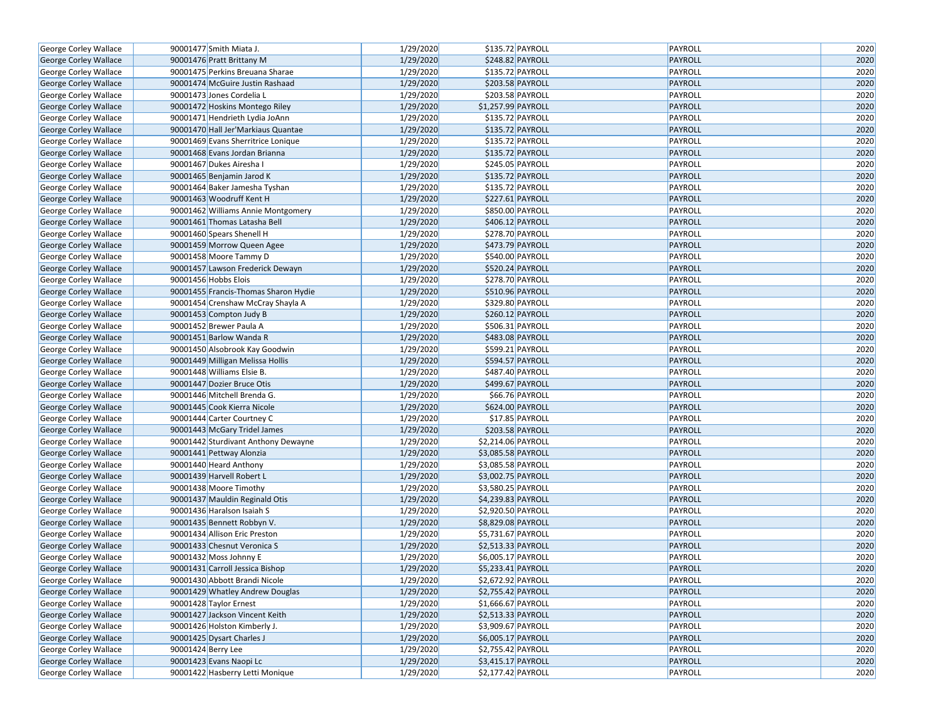| George Corley Wallace                          | 90001477 Smith Miata J.                                          | 1/29/2020 | \$135.72 PAYROLL   | PAYROLL        | 2020 |
|------------------------------------------------|------------------------------------------------------------------|-----------|--------------------|----------------|------|
| George Corley Wallace                          | 90001476 Pratt Brittany M                                        | 1/29/2020 | \$248.82 PAYROLL   | <b>PAYROLL</b> | 2020 |
| George Corley Wallace                          | 90001475 Perkins Breuana Sharae                                  | 1/29/2020 | \$135.72 PAYROLL   | PAYROLL        | 2020 |
| George Corley Wallace                          | 90001474 McGuire Justin Rashaad                                  | 1/29/2020 | \$203.58 PAYROLL   | PAYROLL        | 2020 |
| George Corley Wallace                          | 90001473 Jones Cordelia L                                        | 1/29/2020 | \$203.58 PAYROLL   | PAYROLL        | 2020 |
| <b>George Corley Wallace</b>                   | 90001472 Hoskins Montego Riley                                   | 1/29/2020 | \$1,257.99 PAYROLL | <b>PAYROLL</b> | 2020 |
| George Corley Wallace                          | 90001471 Hendrieth Lydia JoAnn                                   | 1/29/2020 | \$135.72 PAYROLL   | PAYROLL        | 2020 |
| George Corley Wallace                          | 90001470 Hall Jer'Markiaus Quantae                               | 1/29/2020 | \$135.72 PAYROLL   | <b>PAYROLL</b> | 2020 |
| George Corley Wallace                          | 90001469 Evans Sherritrice Lonique                               | 1/29/2020 | \$135.72 PAYROLL   | PAYROLL        | 2020 |
| George Corley Wallace                          | 90001468 Evans Jordan Brianna                                    | 1/29/2020 | \$135.72 PAYROLL   | <b>PAYROLL</b> | 2020 |
| George Corley Wallace                          | 90001467 Dukes Airesha I                                         | 1/29/2020 | \$245.05 PAYROLL   | PAYROLL        | 2020 |
| George Corley Wallace                          | 90001465 Benjamin Jarod K                                        | 1/29/2020 | \$135.72 PAYROLL   | PAYROLL        | 2020 |
| George Corley Wallace                          | 90001464 Baker Jamesha Tyshan                                    | 1/29/2020 | \$135.72 PAYROLL   | PAYROLL        | 2020 |
| George Corley Wallace                          | 90001463 Woodruff Kent H                                         | 1/29/2020 | \$227.61 PAYROLL   | <b>PAYROLL</b> | 2020 |
| George Corley Wallace                          | 90001462 Williams Annie Montgomery                               | 1/29/2020 | \$850.00 PAYROLL   | PAYROLL        | 2020 |
| George Corley Wallace                          | 90001461 Thomas Latasha Bell                                     | 1/29/2020 | \$406.12 PAYROLL   | <b>PAYROLL</b> | 2020 |
| George Corley Wallace                          | 90001460 Spears Shenell H                                        | 1/29/2020 | \$278.70 PAYROLL   | PAYROLL        | 2020 |
| George Corley Wallace                          | 90001459 Morrow Queen Agee                                       | 1/29/2020 | \$473.79 PAYROLL   | <b>PAYROLL</b> | 2020 |
| George Corley Wallace                          | 90001458 Moore Tammy D                                           | 1/29/2020 | \$540.00 PAYROLL   | PAYROLL        | 2020 |
| George Corley Wallace                          | 90001457 Lawson Frederick Dewayn                                 | 1/29/2020 | \$520.24 PAYROLL   | PAYROLL        | 2020 |
| George Corley Wallace                          | 90001456 Hobbs Elois                                             | 1/29/2020 | \$278.70 PAYROLL   | PAYROLL        | 2020 |
| George Corley Wallace                          | 90001455 Francis-Thomas Sharon Hydie                             | 1/29/2020 | \$510.96 PAYROLL   | <b>PAYROLL</b> | 2020 |
| George Corley Wallace                          | 90001454 Crenshaw McCray Shayla A                                | 1/29/2020 | \$329.80 PAYROLL   | PAYROLL        | 2020 |
| George Corley Wallace                          | 90001453 Compton Judy B                                          | 1/29/2020 | \$260.12 PAYROLL   | PAYROLL        | 2020 |
| George Corley Wallace                          | 90001452 Brewer Paula A                                          | 1/29/2020 | \$506.31 PAYROLL   | PAYROLL        | 2020 |
| George Corley Wallace                          | 90001451 Barlow Wanda R                                          | 1/29/2020 | \$483.08 PAYROLL   | PAYROLL        | 2020 |
| George Corley Wallace                          | 90001450 Alsobrook Kay Goodwin                                   | 1/29/2020 | \$599.21 PAYROLL   | PAYROLL        | 2020 |
| George Corley Wallace                          | 90001449 Milligan Melissa Hollis                                 | 1/29/2020 | \$594.57 PAYROLL   | <b>PAYROLL</b> | 2020 |
| George Corley Wallace                          | 90001448 Williams Elsie B.                                       | 1/29/2020 | \$487.40 PAYROLL   | PAYROLL        | 2020 |
| George Corley Wallace                          | 90001447 Dozier Bruce Otis                                       | 1/29/2020 | \$499.67 PAYROLL   | PAYROLL        | 2020 |
| George Corley Wallace                          | 90001446 Mitchell Brenda G.                                      | 1/29/2020 | \$66.76 PAYROLL    | PAYROLL        | 2020 |
| George Corley Wallace                          | 90001445 Cook Kierra Nicole                                      | 1/29/2020 | \$624.00 PAYROLL   | PAYROLL        | 2020 |
| George Corley Wallace                          | 90001444 Carter Courtney C                                       | 1/29/2020 | \$17.85 PAYROLL    | PAYROLL        | 2020 |
| George Corley Wallace                          | 90001443 McGary Tridel James                                     | 1/29/2020 | \$203.58 PAYROLL   | PAYROLL        | 2020 |
| George Corley Wallace                          | 90001442 Sturdivant Anthony Dewayne                              | 1/29/2020 | \$2,214.06 PAYROLL | PAYROLL        | 2020 |
| George Corley Wallace                          | 90001441 Pettway Alonzia                                         | 1/29/2020 | \$3,085.58 PAYROLL | PAYROLL        | 2020 |
| George Corley Wallace                          | 90001440 Heard Anthony                                           | 1/29/2020 | \$3,085.58 PAYROLL | PAYROLL        | 2020 |
| George Corley Wallace                          | 90001439 Harvell Robert L                                        | 1/29/2020 | \$3,002.75 PAYROLL | <b>PAYROLL</b> | 2020 |
| George Corley Wallace                          | 90001438 Moore Timothy                                           | 1/29/2020 | \$3,580.25 PAYROLL | PAYROLL        | 2020 |
| George Corley Wallace                          | 90001437 Mauldin Reginald Otis                                   | 1/29/2020 | \$4,239.83 PAYROLL | PAYROLL        | 2020 |
| George Corley Wallace                          | 90001436 Haralson Isaiah S                                       | 1/29/2020 | \$2,920.50 PAYROLL | PAYROLL        | 2020 |
| George Corley Wallace                          | 90001435 Bennett Robbyn V.                                       | 1/29/2020 | \$8,829.08 PAYROLL | PAYROLL        | 2020 |
| George Corley Wallace                          | 90001434 Allison Eric Preston                                    | 1/29/2020 | \$5,731.67 PAYROLL | PAYROLL        | 2020 |
| <b>George Corley Wallace</b>                   | 90001433 Chesnut Veronica S                                      | 1/29/2020 | \$2,513.33 PAYROLL | PAYROLL        | 2020 |
| George Corley Wallace                          | 90001432 Moss Johnny E                                           | 1/29/2020 | \$6,005.17 PAYROLL | PAYROLL        | 2020 |
|                                                | 90001431 Carroll Jessica Bishop                                  | 1/29/2020 | \$5,233.41 PAYROLL | PAYROLL        | 2020 |
| George Corley Wallace<br>George Corley Wallace |                                                                  | 1/29/2020 | \$2,672.92 PAYROLL | PAYROLL        | 2020 |
| George Corley Wallace                          | 90001430 Abbott Brandi Nicole<br>90001429 Whatley Andrew Douglas | 1/29/2020 | \$2,755.42 PAYROLL | <b>PAYROLL</b> | 2020 |
| George Corley Wallace                          | 90001428 Taylor Ernest                                           | 1/29/2020 | \$1,666.67 PAYROLL | PAYROLL        | 2020 |
|                                                |                                                                  |           |                    |                |      |
| George Corley Wallace                          | 90001427 Jackson Vincent Keith                                   | 1/29/2020 | \$2,513.33 PAYROLL | PAYROLL        | 2020 |
| George Corley Wallace                          | 90001426 Holston Kimberly J.                                     | 1/29/2020 | \$3,909.67 PAYROLL | PAYROLL        | 2020 |
| George Corley Wallace                          | 90001425 Dysart Charles J                                        | 1/29/2020 | \$6,005.17 PAYROLL | PAYROLL        | 2020 |
| George Corley Wallace                          | 90001424 Berry Lee                                               | 1/29/2020 | \$2,755.42 PAYROLL | PAYROLL        | 2020 |
| George Corley Wallace                          | 90001423 Evans Naopi Lc                                          | 1/29/2020 | \$3,415.17 PAYROLL | PAYROLL        | 2020 |
| George Corley Wallace                          | 90001422 Hasberry Letti Monique                                  | 1/29/2020 | \$2,177.42 PAYROLL | PAYROLL        | 2020 |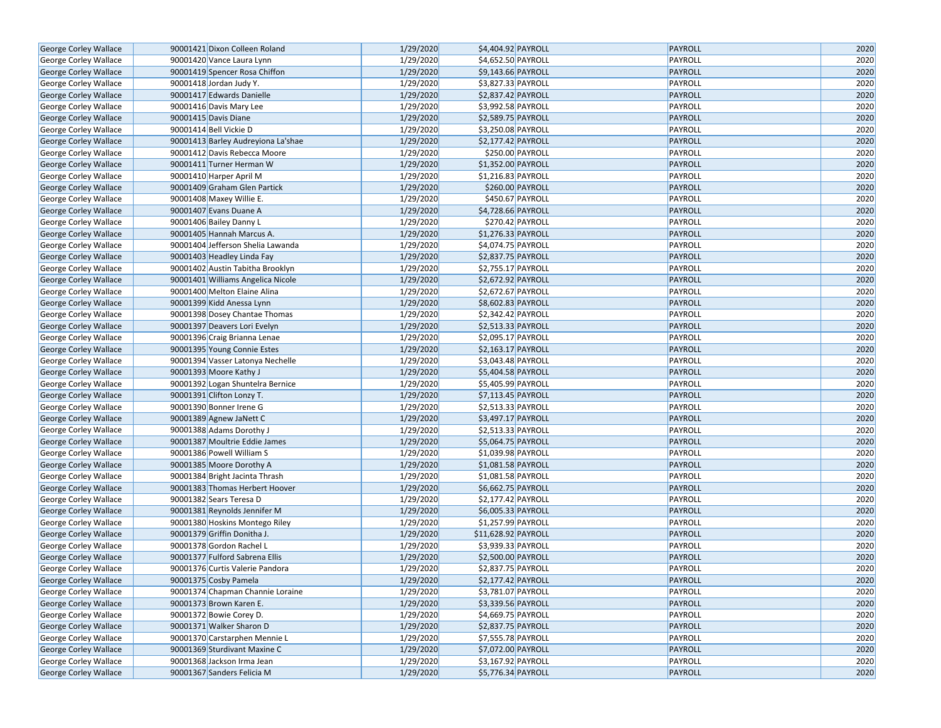| <b>George Corley Wallace</b>                   | 90001421 Dixon Colleen Roland      | 1/29/2020 | \$4,404.92 PAYROLL                       | <b>PAYROLL</b> | 2020 |
|------------------------------------------------|------------------------------------|-----------|------------------------------------------|----------------|------|
| George Corley Wallace                          | 90001420 Vance Laura Lynn          | 1/29/2020 | \$4,652.50 PAYROLL                       | PAYROLL        | 2020 |
| George Corley Wallace                          | 90001419 Spencer Rosa Chiffon      | 1/29/2020 | \$9,143.66 PAYROLL                       | PAYROLL        | 2020 |
| George Corley Wallace                          | 90001418 Jordan Judy Y.            | 1/29/2020 | \$3,827.33 PAYROLL                       | PAYROLL        | 2020 |
| George Corley Wallace                          | 90001417 Edwards Danielle          | 1/29/2020 | \$2,837.42 PAYROLL                       | PAYROLL        | 2020 |
| George Corley Wallace                          | 90001416 Davis Mary Lee            | 1/29/2020 | \$3,992.58 PAYROLL                       | PAYROLL        | 2020 |
| George Corley Wallace                          | 90001415 Davis Diane               | 1/29/2020 | \$2,589.75 PAYROLL                       | <b>PAYROLL</b> | 2020 |
| George Corley Wallace                          | 90001414 Bell Vickie D             | 1/29/2020 | \$3,250.08 PAYROLL                       | PAYROLL        | 2020 |
| George Corley Wallace                          | 90001413 Barley Audreyiona La'shae | 1/29/2020 | \$2,177.42 PAYROLL                       | PAYROLL        | 2020 |
| George Corley Wallace                          | 90001412 Davis Rebecca Moore       | 1/29/2020 | \$250.00 PAYROLL                         | PAYROLL        | 2020 |
| George Corley Wallace                          | 90001411 Turner Herman W           | 1/29/2020 | \$1,352.00 PAYROLL                       | PAYROLL        | 2020 |
| George Corley Wallace                          | 90001410 Harper April M            | 1/29/2020 | \$1,216.83 PAYROLL                       | PAYROLL        | 2020 |
| <b>George Corley Wallace</b>                   | 90001409 Graham Glen Partick       | 1/29/2020 | \$260.00 PAYROLL                         | PAYROLL        | 2020 |
| George Corley Wallace                          | 90001408 Maxey Willie E.           | 1/29/2020 | \$450.67 PAYROLL                         | PAYROLL        | 2020 |
| George Corley Wallace                          | 90001407 Evans Duane A             | 1/29/2020 | \$4,728.66 PAYROLL                       | PAYROLL        | 2020 |
| George Corley Wallace                          | 90001406 Bailey Danny L            | 1/29/2020 | \$270.42 PAYROLL                         | PAYROLL        | 2020 |
| George Corley Wallace                          | 90001405 Hannah Marcus A.          | 1/29/2020 | \$1,276.33 PAYROLL                       | <b>PAYROLL</b> | 2020 |
| George Corley Wallace                          | 90001404 Jefferson Shelia Lawanda  | 1/29/2020 | \$4,074.75 PAYROLL                       | PAYROLL        | 2020 |
| George Corley Wallace                          | 90001403 Headley Linda Fay         | 1/29/2020 | \$2,837.75 PAYROLL                       | PAYROLL        | 2020 |
| George Corley Wallace                          | 90001402 Austin Tabitha Brooklyn   | 1/29/2020 | \$2,755.17 PAYROLL                       | PAYROLL        | 2020 |
| <b>George Corley Wallace</b>                   | 90001401 Williams Angelica Nicole  | 1/29/2020 | \$2,672.92 PAYROLL                       | PAYROLL        | 2020 |
| George Corley Wallace                          | 90001400 Melton Elaine Alina       | 1/29/2020 | \$2,672.67 PAYROLL                       | PAYROLL        | 2020 |
| George Corley Wallace                          | 90001399 Kidd Anessa Lynn          | 1/29/2020 | \$8,602.83 PAYROLL                       | PAYROLL        | 2020 |
| George Corley Wallace                          | 90001398 Dosey Chantae Thomas      | 1/29/2020 | \$2,342.42 PAYROLL                       | PAYROLL        | 2020 |
| <b>George Corley Wallace</b>                   | 90001397 Deavers Lori Evelyn       | 1/29/2020 | \$2,513.33 PAYROLL                       | PAYROLL        | 2020 |
| George Corley Wallace                          | 90001396 Craig Brianna Lenae       | 1/29/2020 | \$2,095.17 PAYROLL                       | PAYROLL        | 2020 |
| George Corley Wallace                          | 90001395 Young Connie Estes        | 1/29/2020 | \$2,163.17 PAYROLL                       | PAYROLL        | 2020 |
| George Corley Wallace                          | 90001394 Vasser Latonya Nechelle   | 1/29/2020 | \$3,043.48 PAYROLL                       | PAYROLL        | 2020 |
| George Corley Wallace                          | 90001393 Moore Kathy J             | 1/29/2020 | \$5,404.58 PAYROLL                       | PAYROLL        | 2020 |
| George Corley Wallace                          | 90001392 Logan Shuntelra Bernice   | 1/29/2020 | \$5,405.99 PAYROLL                       | PAYROLL        | 2020 |
| George Corley Wallace                          | 90001391 Clifton Lonzy T.          | 1/29/2020 | \$7,113.45 PAYROLL                       | PAYROLL        | 2020 |
| George Corley Wallace                          | 90001390 Bonner Irene G            | 1/29/2020 | \$2,513.33 PAYROLL                       | PAYROLL        | 2020 |
| George Corley Wallace                          | 90001389 Agnew JaNett C            | 1/29/2020 | \$3,497.17 PAYROLL                       | PAYROLL        | 2020 |
| George Corley Wallace                          | 90001388 Adams Dorothy J           | 1/29/2020 | \$2,513.33 PAYROLL                       | PAYROLL        | 2020 |
| George Corley Wallace                          | 90001387 Moultrie Eddie James      | 1/29/2020 | \$5,064.75 PAYROLL                       | PAYROLL        | 2020 |
| George Corley Wallace                          | 90001386 Powell William S          | 1/29/2020 | \$1,039.98 PAYROLL                       | PAYROLL        | 2020 |
| George Corley Wallace                          | 90001385 Moore Dorothy A           | 1/29/2020 | \$1,081.58 PAYROLL                       | PAYROLL        | 2020 |
| George Corley Wallace                          | 90001384 Bright Jacinta Thrash     | 1/29/2020 | \$1,081.58 PAYROLL                       | PAYROLL        | 2020 |
| George Corley Wallace                          | 90001383 Thomas Herbert Hoover     | 1/29/2020 | \$6,662.75 PAYROLL                       | PAYROLL        | 2020 |
| George Corley Wallace                          | 90001382 Sears Teresa D            | 1/29/2020 | \$2,177.42 PAYROLL                       | PAYROLL        | 2020 |
| George Corley Wallace                          | 90001381 Reynolds Jennifer M       | 1/29/2020 | \$6,005.33 PAYROLL                       | PAYROLL        | 2020 |
| George Corley Wallace                          | 90001380 Hoskins Montego Riley     | 1/29/2020 | \$1,257.99 PAYROLL                       | PAYROLL        | 2020 |
| George Corley Wallace                          | 90001379 Griffin Donitha J.        | 1/29/2020 | \$11,628.92 PAYROLL                      | PAYROLL        | 2020 |
| George Corley Wallace                          | 90001378 Gordon Rachel L           | 1/29/2020 | \$3,939.33 PAYROLL                       | PAYROLL        | 2020 |
| George Corley Wallace                          | 90001377 Fulford Sabrena Ellis     | 1/29/2020 | \$2,500.00 PAYROLL                       | PAYROLL        | 2020 |
| George Corley Wallace                          | 90001376 Curtis Valerie Pandora    | 1/29/2020 | \$2,837.75 PAYROLL                       | PAYROLL        | 2020 |
| George Corley Wallace                          | 90001375 Cosby Pamela              | 1/29/2020 | \$2,177.42 PAYROLL                       | PAYROLL        | 2020 |
|                                                | 90001374 Chapman Channie Loraine   | 1/29/2020 |                                          | PAYROLL        | 2020 |
| George Corley Wallace<br>George Corley Wallace | 90001373 Brown Karen E.            | 1/29/2020 | \$3,781.07 PAYROLL<br>\$3,339.56 PAYROLL | PAYROLL        | 2020 |
|                                                | 90001372 Bowie Corey D.            | 1/29/2020 |                                          | PAYROLL        | 2020 |
| George Corley Wallace                          |                                    |           | \$4,669.75 PAYROLL                       |                |      |
| George Corley Wallace                          | 90001371 Walker Sharon D           | 1/29/2020 | \$2,837.75 PAYROLL                       | PAYROLL        | 2020 |
| George Corley Wallace                          | 90001370 Carstarphen Mennie L      | 1/29/2020 | \$7,555.78 PAYROLL                       | PAYROLL        | 2020 |
| George Corley Wallace                          | 90001369 Sturdivant Maxine C       | 1/29/2020 | \$7,072.00 PAYROLL                       | PAYROLL        | 2020 |
| George Corley Wallace                          | 90001368 Jackson Irma Jean         | 1/29/2020 | \$3,167.92 PAYROLL                       | PAYROLL        | 2020 |
| <b>George Corley Wallace</b>                   | 90001367 Sanders Felicia M         | 1/29/2020 | \$5,776.34 PAYROLL                       | PAYROLL        | 2020 |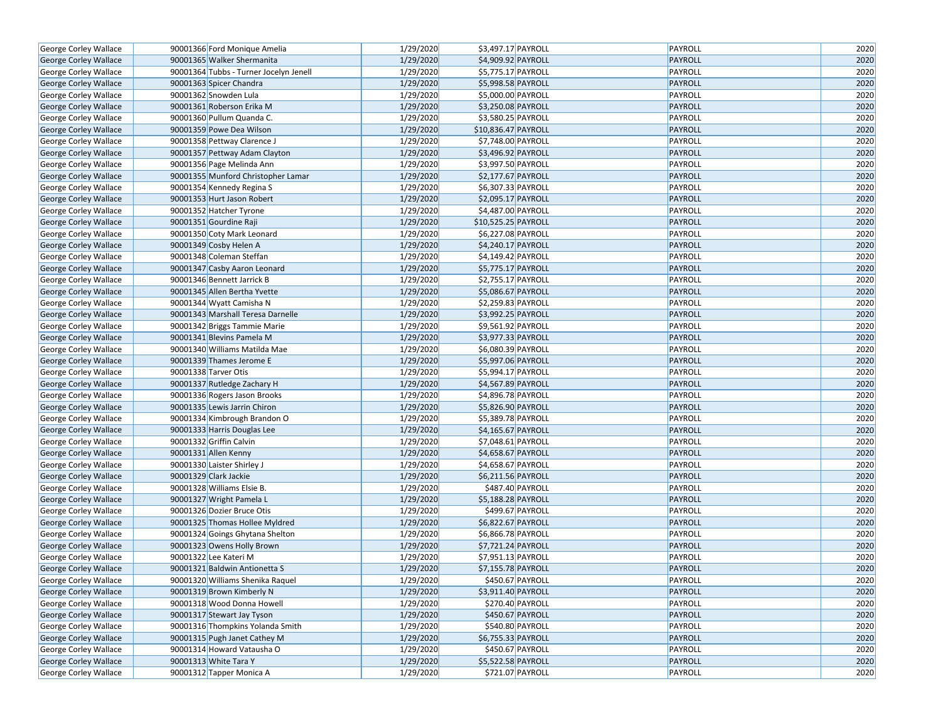| George Corley Wallace        | 90001366 Ford Monique Amelia           | 1/29/2020 | \$3,497.17 PAYROLL                       | PAYROLL        | 2020 |
|------------------------------|----------------------------------------|-----------|------------------------------------------|----------------|------|
| George Corley Wallace        | 90001365 Walker Shermanita             | 1/29/2020 | \$4,909.92 PAYROLL                       | <b>PAYROLL</b> | 2020 |
| George Corley Wallace        | 90001364 Tubbs - Turner Jocelyn Jenell | 1/29/2020 | \$5,775.17 PAYROLL                       | PAYROLL        | 2020 |
| George Corley Wallace        | 90001363 Spicer Chandra                | 1/29/2020 | \$5,998.58 PAYROLL                       | PAYROLL        | 2020 |
| George Corley Wallace        | 90001362 Snowden Lula                  | 1/29/2020 | \$5,000.00 PAYROLL                       | PAYROLL        | 2020 |
| George Corley Wallace        | 90001361 Roberson Erika M              | 1/29/2020 | \$3,250.08 PAYROLL                       | <b>PAYROLL</b> | 2020 |
| George Corley Wallace        | 90001360 Pullum Quanda C.              | 1/29/2020 | \$3,580.25 PAYROLL                       | PAYROLL        | 2020 |
| George Corley Wallace        | 90001359 Powe Dea Wilson               | 1/29/2020 | \$10,836.47 PAYROLL                      | PAYROLL        | 2020 |
| George Corley Wallace        | 90001358 Pettway Clarence J            | 1/29/2020 | \$7,748.00 PAYROLL                       | PAYROLL        | 2020 |
| George Corley Wallace        | 90001357 Pettway Adam Clayton          | 1/29/2020 | \$3,496.92 PAYROLL                       | <b>PAYROLL</b> | 2020 |
| George Corley Wallace        | 90001356 Page Melinda Ann              | 1/29/2020 | \$3,997.50 PAYROLL                       | PAYROLL        | 2020 |
| George Corley Wallace        | 90001355 Munford Christopher Lamar     | 1/29/2020 | \$2,177.67 PAYROLL                       | PAYROLL        | 2020 |
| George Corley Wallace        | 90001354 Kennedy Regina S              | 1/29/2020 | \$6,307.33 PAYROLL                       | PAYROLL        | 2020 |
| George Corley Wallace        | 90001353 Hurt Jason Robert             | 1/29/2020 | \$2,095.17 PAYROLL                       | <b>PAYROLL</b> | 2020 |
| George Corley Wallace        | 90001352 Hatcher Tyrone                | 1/29/2020 | \$4,487.00 PAYROLL                       | PAYROLL        | 2020 |
| George Corley Wallace        | 90001351 Gourdine Raji                 | 1/29/2020 | \$10,525.25 PAYROLL                      | PAYROLL        | 2020 |
| George Corley Wallace        | 90001350 Coty Mark Leonard             | 1/29/2020 | \$6,227.08 PAYROLL                       | PAYROLL        | 2020 |
| George Corley Wallace        | 90001349 Cosby Helen A                 | 1/29/2020 | \$4,240.17 PAYROLL                       | PAYROLL        | 2020 |
| George Corley Wallace        | 90001348 Coleman Steffan               | 1/29/2020 | $\overline{\frac{1}{2}4,149.42}$ PAYROLL | PAYROLL        | 2020 |
| George Corley Wallace        | 90001347 Casby Aaron Leonard           | 1/29/2020 | \$5,775.17 PAYROLL                       | PAYROLL        | 2020 |
| George Corley Wallace        | 90001346 Bennett Jarrick B             | 1/29/2020 | \$2,755.17 PAYROLL                       | PAYROLL        | 2020 |
| George Corley Wallace        | 90001345 Allen Bertha Yvette           | 1/29/2020 | \$5,086.67 PAYROLL                       | PAYROLL        | 2020 |
| George Corley Wallace        | 90001344 Wyatt Camisha N               | 1/29/2020 | \$2,259.83 PAYROLL                       | PAYROLL        | 2020 |
| George Corley Wallace        | 90001343 Marshall Teresa Darnelle      | 1/29/2020 | \$3,992.25 PAYROLL                       | PAYROLL        | 2020 |
| George Corley Wallace        | 90001342 Briggs Tammie Marie           | 1/29/2020 | \$9,561.92 PAYROLL                       | PAYROLL        | 2020 |
| George Corley Wallace        | 90001341 Blevins Pamela M              | 1/29/2020 | \$3,977.33 PAYROLL                       | PAYROLL        | 2020 |
| George Corley Wallace        | 90001340 Williams Matilda Mae          | 1/29/2020 | \$6,080.39 PAYROLL                       | PAYROLL        | 2020 |
| George Corley Wallace        | 90001339 Thames Jerome E               | 1/29/2020 | \$5,997.06 PAYROLL                       | <b>PAYROLL</b> | 2020 |
| George Corley Wallace        | 90001338 Tarver Otis                   | 1/29/2020 | \$5,994.17 PAYROLL                       | PAYROLL        | 2020 |
| George Corley Wallace        | 90001337 Rutledge Zachary H            | 1/29/2020 | \$4,567.89 PAYROLL                       | PAYROLL        | 2020 |
| George Corley Wallace        | 90001336 Rogers Jason Brooks           | 1/29/2020 | $\overline{$4,896.78}$ PAYROLL           | PAYROLL        | 2020 |
| George Corley Wallace        | 90001335 Lewis Jarrin Chiron           | 1/29/2020 | \$5,826.90 PAYROLL                       | PAYROLL        | 2020 |
| George Corley Wallace        | 90001334 Kimbrough Brandon O           | 1/29/2020 | \$5,389.78 PAYROLL                       | PAYROLL        | 2020 |
| George Corley Wallace        | 90001333 Harris Douglas Lee            | 1/29/2020 | \$4,165.67 PAYROLL                       | PAYROLL        | 2020 |
| George Corley Wallace        | 90001332 Griffin Calvin                | 1/29/2020 | \$7,048.61 PAYROLL                       | PAYROLL        | 2020 |
| George Corley Wallace        | 90001331 Allen Kenny                   | 1/29/2020 | \$4,658.67 PAYROLL                       | PAYROLL        | 2020 |
| George Corley Wallace        | 90001330 Laister Shirley J             | 1/29/2020 | \$4,658.67 PAYROLL                       | PAYROLL        | 2020 |
| George Corley Wallace        | 90001329 Clark Jackie                  | 1/29/2020 | \$6,211.56 PAYROLL                       | <b>PAYROLL</b> | 2020 |
| George Corley Wallace        | 90001328 Williams Elsie B.             | 1/29/2020 | \$487.40 PAYROLL                         | PAYROLL        | 2020 |
| George Corley Wallace        | 90001327 Wright Pamela L               | 1/29/2020 | \$5,188.28 PAYROLL                       | PAYROLL        | 2020 |
| George Corley Wallace        | 90001326 Dozier Bruce Otis             | 1/29/2020 | \$499.67 PAYROLL                         | PAYROLL        | 2020 |
| George Corley Wallace        | 90001325 Thomas Hollee Myldred         | 1/29/2020 | \$6,822.67 PAYROLL                       | PAYROLL        | 2020 |
| George Corley Wallace        | 90001324 Goings Ghytana Shelton        | 1/29/2020 | \$6,866.78 PAYROLL                       | PAYROLL        | 2020 |
| <b>George Corley Wallace</b> | 90001323 Owens Holly Brown             | 1/29/2020 | \$7,721.24 PAYROLL                       | PAYROLL        | 2020 |
| George Corley Wallace        | 90001322 Lee Kateri M                  | 1/29/2020 | \$7,951.13 PAYROLL                       | PAYROLL        | 2020 |
| George Corley Wallace        | 90001321 Baldwin Antionetta S          | 1/29/2020 | \$7,155.78 PAYROLL                       | PAYROLL        | 2020 |
| George Corley Wallace        | 90001320 Williams Shenika Raquel       | 1/29/2020 | \$450.67 PAYROLL                         | PAYROLL        | 2020 |
| George Corley Wallace        | 90001319 Brown Kimberly N              | 1/29/2020 | \$3,911.40 PAYROLL                       | PAYROLL        | 2020 |
| George Corley Wallace        | 90001318 Wood Donna Howell             | 1/29/2020 | \$270.40 PAYROLL                         | PAYROLL        | 2020 |
| George Corley Wallace        | 90001317 Stewart Jay Tyson             | 1/29/2020 | $$450.67$ PAYROLL                        | PAYROLL        | 2020 |
| George Corley Wallace        | 90001316 Thompkins Yolanda Smith       | 1/29/2020 | \$540.80 PAYROLL                         | PAYROLL        | 2020 |
| George Corley Wallace        | 90001315 Pugh Janet Cathey M           | 1/29/2020 | \$6,755.33 PAYROLL                       | PAYROLL        | 2020 |
| George Corley Wallace        | 90001314 Howard Vatausha O             | 1/29/2020 | \$450.67 PAYROLL                         | PAYROLL        | 2020 |
| George Corley Wallace        | 90001313 White Tara Y                  | 1/29/2020 | \$5,522.58 PAYROLL                       | PAYROLL        | 2020 |
| George Corley Wallace        | 90001312 Tapper Monica A               | 1/29/2020 | \$721.07 PAYROLL                         | PAYROLL        | 2020 |
|                              |                                        |           |                                          |                |      |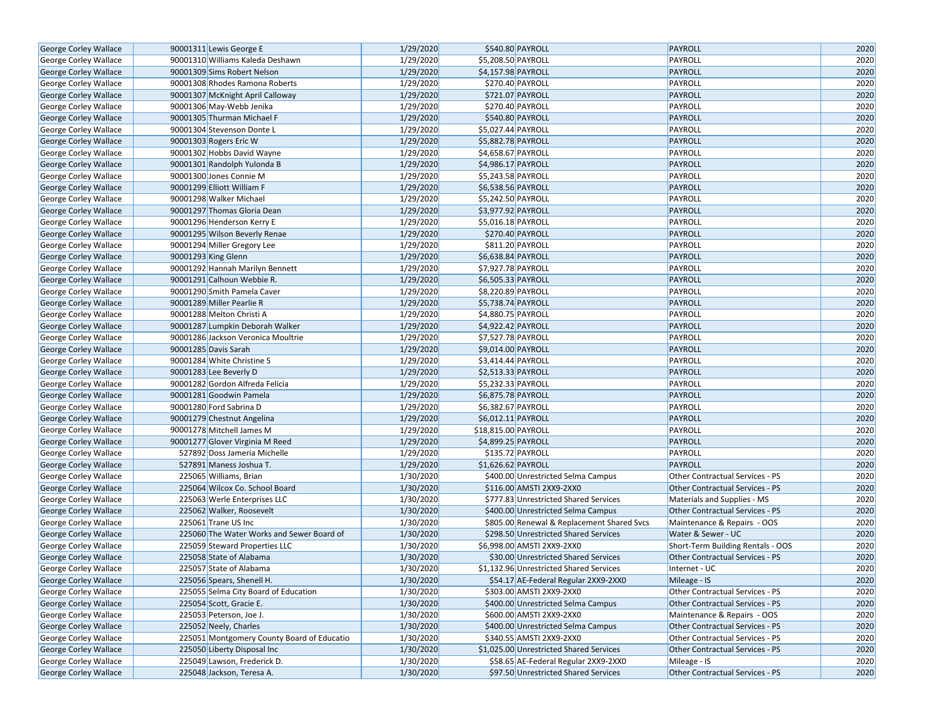| George Corley Wallace        | 90001311 Lewis George E                    | 1/29/2020 |                     | \$540.80 PAYROLL                           | PAYROLL                                | 2020 |
|------------------------------|--------------------------------------------|-----------|---------------------|--------------------------------------------|----------------------------------------|------|
| <b>George Corley Wallace</b> | 90001310 Williams Kaleda Deshawn           | 1/29/2020 |                     | \$5,208.50 PAYROLL                         | PAYROLL                                | 2020 |
| <b>George Corley Wallace</b> | 90001309 Sims Robert Nelson                | 1/29/2020 |                     | \$4,157.98 PAYROLL                         | PAYROLL                                | 2020 |
| George Corley Wallace        | 90001308 Rhodes Ramona Roberts             | 1/29/2020 |                     | \$270.40 PAYROLL                           | PAYROLL                                | 2020 |
| George Corley Wallace        | 90001307 McKnight April Calloway           | 1/29/2020 |                     | \$721.07 PAYROLL                           | PAYROLL                                | 2020 |
| George Corley Wallace        | 90001306 May-Webb Jenika                   | 1/29/2020 |                     | \$270.40 PAYROLL                           | PAYROLL                                | 2020 |
| George Corley Wallace        | 90001305 Thurman Michael F                 | 1/29/2020 |                     | \$540.80 PAYROLL                           | PAYROLL                                | 2020 |
| George Corley Wallace        | 90001304 Stevenson Donte L                 | 1/29/2020 |                     | \$5,027.44 PAYROLL                         | PAYROLL                                | 2020 |
| George Corley Wallace        | 90001303 Rogers Eric W                     | 1/29/2020 |                     | \$5,882.78 PAYROLL                         | PAYROLL                                | 2020 |
| George Corley Wallace        | 90001302 Hobbs David Wayne                 | 1/29/2020 |                     | \$4,658.67 PAYROLL                         | PAYROLL                                | 2020 |
| George Corley Wallace        | 90001301 Randolph Yulonda B                | 1/29/2020 |                     | \$4,986.17 PAYROLL                         | PAYROLL                                | 2020 |
| George Corley Wallace        | 90001300 Jones Connie M                    | 1/29/2020 | \$5,243.58 PAYROLL  |                                            | PAYROLL                                | 2020 |
| George Corley Wallace        | 90001299 Elliott William F                 | 1/29/2020 |                     | \$6,538.56 PAYROLL                         | PAYROLL                                | 2020 |
| George Corley Wallace        | 90001298 Walker Michael                    | 1/29/2020 |                     | \$5,242.50 PAYROLL                         | PAYROLL                                | 2020 |
| George Corley Wallace        | 90001297 Thomas Gloria Dean                | 1/29/2020 |                     | \$3,977.92 PAYROLL                         | PAYROLL                                | 2020 |
| George Corley Wallace        | 90001296 Henderson Kerry E                 | 1/29/2020 | \$5,016.18 PAYROLL  |                                            | PAYROLL                                | 2020 |
| George Corley Wallace        | 90001295 Wilson Beverly Renae              | 1/29/2020 |                     | \$270.40 PAYROLL                           | PAYROLL                                | 2020 |
|                              |                                            | 1/29/2020 |                     | \$811.20 PAYROLL                           | PAYROLL                                | 2020 |
| George Corley Wallace        | 90001294 Miller Gregory Lee                |           |                     |                                            |                                        | 2020 |
| George Corley Wallace        | 90001293 King Glenn                        | 1/29/2020 |                     | \$6,638.84 PAYROLL                         | PAYROLL                                |      |
| George Corley Wallace        | 90001292 Hannah Marilyn Bennett            | 1/29/2020 | \$7,927.78 PAYROLL  |                                            | PAYROLL                                | 2020 |
| George Corley Wallace        | 90001291 Calhoun Webbie R.                 | 1/29/2020 |                     | \$6,505.33 PAYROLL                         | PAYROLL                                | 2020 |
| George Corley Wallace        | 90001290 Smith Pamela Caver                | 1/29/2020 |                     | \$8,220.89 PAYROLL                         | PAYROLL                                | 2020 |
| George Corley Wallace        | 90001289 Miller Pearlie R                  | 1/29/2020 |                     | \$5,738.74 PAYROLL                         | PAYROLL                                | 2020 |
| George Corley Wallace        | 90001288 Melton Christi A                  | 1/29/2020 |                     | \$4,880.75 PAYROLL                         | PAYROLL                                | 2020 |
| George Corley Wallace        | 90001287 Lumpkin Deborah Walker            | 1/29/2020 |                     | \$4,922.42 PAYROLL                         | <b>PAYROLL</b>                         | 2020 |
| George Corley Wallace        | 90001286 Jackson Veronica Moultrie         | 1/29/2020 |                     | \$7,527.78 PAYROLL                         | PAYROLL                                | 2020 |
| George Corley Wallace        | 90001285 Davis Sarah                       | 1/29/2020 |                     | \$9,014.00 PAYROLL                         | PAYROLL                                | 2020 |
| George Corley Wallace        | 90001284 White Christine S                 | 1/29/2020 | \$3,414.44 PAYROLL  |                                            | PAYROLL                                | 2020 |
| George Corley Wallace        | 90001283 Lee Beverly D                     | 1/29/2020 |                     | \$2,513.33 PAYROLL                         | PAYROLL                                | 2020 |
| George Corley Wallace        | 90001282 Gordon Alfreda Felicia            | 1/29/2020 |                     | \$5,232.33 PAYROLL                         | PAYROLL                                | 2020 |
| George Corley Wallace        | 90001281 Goodwin Pamela                    | 1/29/2020 |                     | \$6,875.78 PAYROLL                         | PAYROLL                                | 2020 |
| George Corley Wallace        | 90001280 Ford Sabrina D                    | 1/29/2020 | \$6,382.67 PAYROLL  |                                            | PAYROLL                                | 2020 |
| George Corley Wallace        | 90001279 Chestnut Angelina                 | 1/29/2020 |                     | \$6,012.11 PAYROLL                         | <b>PAYROLL</b>                         | 2020 |
| George Corley Wallace        | 90001278 Mitchell James M                  | 1/29/2020 | \$18,815.00 PAYROLL |                                            | PAYROLL                                | 2020 |
| George Corley Wallace        | 90001277 Glover Virginia M Reed            | 1/29/2020 |                     | \$4,899.25 PAYROLL                         | PAYROLL                                | 2020 |
| George Corley Wallace        | 527892 Doss Jameria Michelle               | 1/29/2020 |                     | \$135.72 PAYROLL                           | PAYROLL                                | 2020 |
| George Corley Wallace        | 527891 Maness Joshua T.                    | 1/29/2020 |                     | \$1,626.62 PAYROLL                         | PAYROLL                                | 2020 |
| George Corley Wallace        | 225065 Williams, Brian                     | 1/30/2020 |                     | \$400.00 Unrestricted Selma Campus         | <b>Other Contractual Services - PS</b> | 2020 |
| George Corley Wallace        | 225064 Wilcox Co. School Board             | 1/30/2020 |                     | \$116.00 AMSTI 2XX9-2XX0                   | <b>Other Contractual Services - PS</b> | 2020 |
| George Corley Wallace        | 225063 Werle Enterprises LLC               | 1/30/2020 |                     | \$777.83 Unrestricted Shared Services      | Materials and Supplies - MS            | 2020 |
| George Corley Wallace        | 225062 Walker, Roosevelt                   | 1/30/2020 |                     | \$400.00 Unrestricted Selma Campus         | Other Contractual Services - PS        | 2020 |
| George Corley Wallace        | 225061 Trane US Inc                        | 1/30/2020 |                     | \$805.00 Renewal & Replacement Shared Svcs | Maintenance & Repairs - OOS            | 2020 |
| George Corley Wallace        | 225060 The Water Works and Sewer Board of  | 1/30/2020 |                     | \$298.50 Unrestricted Shared Services      | Water & Sewer - UC                     | 2020 |
| George Corley Wallace        | 225059 Steward Properties LLC              | 1/30/2020 |                     | \$6.998.00 AMSTI 2XX9-2XX0                 | Short-Term Building Rentals - OOS      | 2020 |
| George Corley Wallace        | 225058 State of Alabama                    | 1/30/2020 |                     | \$30.00 Unrestricted Shared Services       | <b>Other Contractual Services - PS</b> | 2020 |
| George Corley Wallace        | 225057 State of Alabama                    | 1/30/2020 |                     | \$1,132.96 Unrestricted Shared Services    | Internet - UC                          | 2020 |
| George Corley Wallace        | 225056 Spears, Shenell H.                  | 1/30/2020 |                     | \$54.17 AE-Federal Regular 2XX9-2XX0       | Mileage - IS                           | 2020 |
| George Corley Wallace        | 225055 Selma City Board of Education       | 1/30/2020 |                     | \$303.00 AMSTI 2XX9-2XX0                   | Other Contractual Services - PS        | 2020 |
| George Corley Wallace        | 225054 Scott, Gracie E.                    | 1/30/2020 |                     | \$400.00 Unrestricted Selma Campus         | Other Contractual Services - PS        | 2020 |
|                              | 225053 Peterson, Joe J.                    | 1/30/2020 |                     | \$600.00 AMSTI 2XX9-2XX0                   | Maintenance & Repairs - OOS            | 2020 |
| George Corley Wallace        |                                            | 1/30/2020 |                     |                                            | Other Contractual Services - PS        |      |
| George Corley Wallace        | 225052 Neely, Charles                      |           |                     | \$400.00 Unrestricted Selma Campus         |                                        | 2020 |
| George Corley Wallace        | 225051 Montgomery County Board of Educatio | 1/30/2020 |                     | \$340.55 AMSTI 2XX9-2XX0                   | Other Contractual Services - PS        | 2020 |
| George Corley Wallace        | 225050 Liberty Disposal Inc                | 1/30/2020 |                     | \$1,025.00 Unrestricted Shared Services    | Other Contractual Services - PS        | 2020 |
| George Corley Wallace        | 225049 Lawson, Frederick D.                | 1/30/2020 |                     | \$58.65 AE-Federal Regular 2XX9-2XX0       | Mileage - IS                           | 2020 |
| George Corley Wallace        | 225048 Jackson, Teresa A.                  | 1/30/2020 |                     | \$97.50 Unrestricted Shared Services       | Other Contractual Services - PS        | 2020 |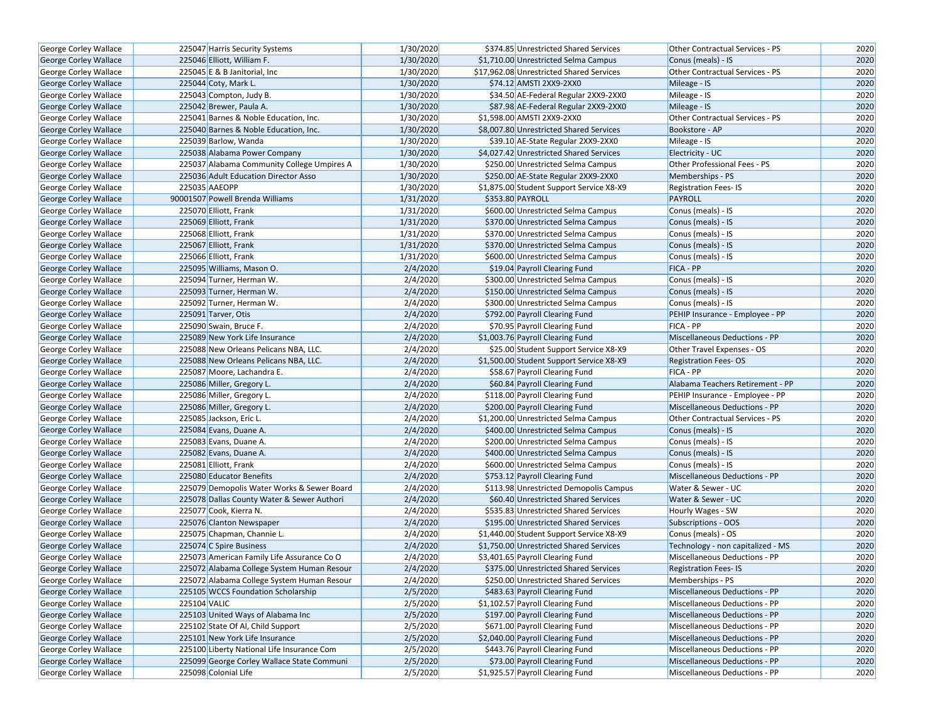| George Corley Wallace        | 225047 Harris Security Systems             | 1/30/2020 | \$374.85 Unrestricted Shared Services    | Other Contractual Services - PS        | 2020 |
|------------------------------|--------------------------------------------|-----------|------------------------------------------|----------------------------------------|------|
| <b>George Corley Wallace</b> | 225046 Elliott, William F.                 | 1/30/2020 | \$1,710.00 Unrestricted Selma Campus     | Conus (meals) - IS                     | 2020 |
| George Corley Wallace        | 225045 E & B Janitorial, Inc.              | 1/30/2020 | \$17,962.08 Unrestricted Shared Services | <b>Other Contractual Services - PS</b> | 2020 |
| <b>George Corley Wallace</b> | 225044 Coty, Mark L.                       | 1/30/2020 | \$74.12 AMSTI 2XX9-2XX0                  | Mileage - IS                           | 2020 |
| George Corley Wallace        | 225043 Compton, Judy B.                    | 1/30/2020 | \$34.50 AE-Federal Regular 2XX9-2XX0     | Mileage - IS                           | 2020 |
| George Corley Wallace        | 225042 Brewer, Paula A.                    | 1/30/2020 | \$87.98 AE-Federal Regular 2XX9-2XX0     | Mileage - IS                           | 2020 |
| George Corley Wallace        | 225041 Barnes & Noble Education, Inc.      | 1/30/2020 | \$1,598.00 AMSTI 2XX9-2XX0               | Other Contractual Services - PS        | 2020 |
| <b>George Corley Wallace</b> | 225040 Barnes & Noble Education, Inc.      | 1/30/2020 | \$8,007.80 Unrestricted Shared Services  | Bookstore - AP                         | 2020 |
| George Corley Wallace        | 225039 Barlow, Wanda                       | 1/30/2020 | \$39.10 AE-State Regular 2XX9-2XX0       | Mileage - IS                           | 2020 |
| George Corley Wallace        | 225038 Alabama Power Company               | 1/30/2020 | \$4,027.42 Unrestricted Shared Services  | Electricity - UC                       | 2020 |
| George Corley Wallace        | 225037 Alabama Community College Umpires A | 1/30/2020 | \$250.00 Unrestricted Selma Campus       | Other Professional Fees - PS           | 2020 |
| George Corley Wallace        | 225036 Adult Education Director Asso       | 1/30/2020 | \$250.00 AE-State Regular 2XX9-2XX0      | Memberships - PS                       | 2020 |
| George Corley Wallace        | 225035 AAEOPP                              | 1/30/2020 | \$1,875.00 Student Support Service X8-X9 | <b>Registration Fees-IS</b>            | 2020 |
| George Corley Wallace        | 90001507 Powell Brenda Williams            | 1/31/2020 | \$353.80 PAYROLL                         | <b>PAYROLL</b>                         | 2020 |
| <b>George Corley Wallace</b> | 225070 Elliott, Frank                      | 1/31/2020 | \$600.00 Unrestricted Selma Campus       | Conus (meals) - IS                     | 2020 |
| George Corley Wallace        | 225069 Elliott, Frank                      | 1/31/2020 | \$370.00 Unrestricted Selma Campus       | Conus (meals) - IS                     | 2020 |
| George Corley Wallace        | 225068 Elliott, Frank                      | 1/31/2020 | \$370.00 Unrestricted Selma Campus       | Conus (meals) - IS                     | 2020 |
| George Corley Wallace        | 225067 Elliott, Frank                      | 1/31/2020 | \$370.00 Unrestricted Selma Campus       | Conus (meals) - IS                     | 2020 |
| George Corley Wallace        | 225066 Elliott, Frank                      | 1/31/2020 | \$600.00 Unrestricted Selma Campus       | Conus (meals) - IS                     | 2020 |
| George Corley Wallace        | 225095 Williams, Mason O.                  | 2/4/2020  | \$19.04 Payroll Clearing Fund            | FICA - PP                              | 2020 |
| George Corley Wallace        | 225094 Turner, Herman W.                   | 2/4/2020  | \$300.00 Unrestricted Selma Campus       | Conus (meals) - IS                     | 2020 |
| George Corley Wallace        | 225093 Turner, Herman W.                   | 2/4/2020  | \$150.00 Unrestricted Selma Campus       | Conus (meals) - IS                     | 2020 |
| George Corley Wallace        | 225092 Turner, Herman W.                   | 2/4/2020  | \$300.00 Unrestricted Selma Campus       | Conus (meals) - IS                     | 2020 |
| <b>George Corley Wallace</b> | 225091 Tarver, Otis                        | 2/4/2020  | \$792.00 Payroll Clearing Fund           | PEHIP Insurance - Employee - PP        | 2020 |
| <b>George Corley Wallace</b> | 225090 Swain, Bruce F.                     | 2/4/2020  | \$70.95 Payroll Clearing Fund            | FICA - PP                              | 2020 |
| George Corley Wallace        | 225089 New York Life Insurance             | 2/4/2020  | \$1,003.76 Payroll Clearing Fund         | Miscellaneous Deductions - PP          | 2020 |
| George Corley Wallace        | 225088 New Orleans Pelicans NBA, LLC.      | 2/4/2020  | \$25.00 Student Support Service X8-X9    | Other Travel Expenses - OS             | 2020 |
| George Corley Wallace        | 225088 New Orleans Pelicans NBA, LLC.      | 2/4/2020  | \$1,500.00 Student Support Service X8-X9 | <b>Registration Fees-OS</b>            | 2020 |
| George Corley Wallace        | 225087 Moore, Lachandra E.                 | 2/4/2020  | \$58.67 Payroll Clearing Fund            | FICA - PP                              | 2020 |
| George Corley Wallace        | 225086 Miller, Gregory L.                  | 2/4/2020  | \$60.84 Payroll Clearing Fund            | Alabama Teachers Retirement - PP       | 2020 |
| George Corley Wallace        | 225086 Miller, Gregory L.                  | 2/4/2020  | \$118.00 Payroll Clearing Fund           | PEHIP Insurance - Employee - PP        | 2020 |
| George Corley Wallace        | 225086 Miller, Gregory L.                  | 2/4/2020  | \$200.00 Payroll Clearing Fund           | <b>Miscellaneous Deductions - PP</b>   | 2020 |
| George Corley Wallace        | 225085 Jackson, Eric L.                    | 2/4/2020  | \$1,200.00 Unrestricted Selma Campus     | Other Contractual Services - PS        | 2020 |
| George Corley Wallace        | 225084 Evans, Duane A.                     | 2/4/2020  | \$400.00 Unrestricted Selma Campus       | Conus (meals) - IS                     | 2020 |
| George Corley Wallace        | 225083 Evans, Duane A.                     | 2/4/2020  | \$200.00 Unrestricted Selma Campus       | Conus (meals) - IS                     | 2020 |
| George Corley Wallace        | 225082 Evans, Duane A.                     | 2/4/2020  | \$400.00 Unrestricted Selma Campus       | Conus (meals) - IS                     | 2020 |
| George Corley Wallace        | 225081 Elliott, Frank                      | 2/4/2020  | \$600.00 Unrestricted Selma Campus       | Conus (meals) - IS                     | 2020 |
| George Corley Wallace        | 225080 Educator Benefits                   | 2/4/2020  | \$753.12 Payroll Clearing Fund           | <b>Miscellaneous Deductions - PP</b>   | 2020 |
| George Corley Wallace        | 225079 Demopolis Water Works & Sewer Board | 2/4/2020  | \$113.98 Unrestricted Demopolis Campus   | Water & Sewer - UC                     | 2020 |
| George Corley Wallace        | 225078 Dallas County Water & Sewer Authori | 2/4/2020  | \$60.40 Unrestricted Shared Services     | Water & Sewer - UC                     | 2020 |
| George Corley Wallace        | 225077 Cook, Kierra N.                     | 2/4/2020  | \$535.83 Unrestricted Shared Services    | Hourly Wages - SW                      | 2020 |
| <b>George Corley Wallace</b> | 225076 Clanton Newspaper                   | 2/4/2020  | \$195.00 Unrestricted Shared Services    | Subscriptions - OOS                    | 2020 |
| George Corley Wallace        | 225075 Chapman, Channie L.                 | 2/4/2020  | \$1,440.00 Student Support Service X8-X9 | Conus (meals) - OS                     | 2020 |
| George Corley Wallace        | 225074 C Spire Business                    | 2/4/2020  | \$1,750.00 Unrestricted Shared Services  | Technology - non capitalized - MS      | 2020 |
| George Corley Wallace        | 225073 American Family Life Assurance Co O | 2/4/2020  | \$3,401.65 Payroll Clearing Fund         | Miscellaneous Deductions - PP          | 2020 |
| George Corley Wallace        | 225072 Alabama College System Human Resour | 2/4/2020  | \$375.00 Unrestricted Shared Services    | <b>Registration Fees-IS</b>            | 2020 |
| George Corley Wallace        | 225072 Alabama College System Human Resour | 2/4/2020  | \$250.00 Unrestricted Shared Services    | Memberships - PS                       | 2020 |
| George Corley Wallace        | 225105 WCCS Foundation Scholarship         | 2/5/2020  | \$483.63 Payroll Clearing Fund           | <b>Miscellaneous Deductions - PP</b>   | 2020 |
| George Corley Wallace        | 225104 VALIC                               | 2/5/2020  | \$1,102.57 Payroll Clearing Fund         | Miscellaneous Deductions - PP          | 2020 |
| <b>George Corley Wallace</b> | 225103 United Ways of Alabama Inc          | 2/5/2020  | \$197.00 Payroll Clearing Fund           | Miscellaneous Deductions - PP          | 2020 |
| George Corley Wallace        | 225102 State Of Al, Child Support          | 2/5/2020  | \$671.00 Payroll Clearing Fund           | Miscellaneous Deductions - PP          | 2020 |
| George Corley Wallace        | 225101 New York Life Insurance             | 2/5/2020  | \$2,040.00 Payroll Clearing Fund         | Miscellaneous Deductions - PP          | 2020 |
| George Corley Wallace        | 225100 Liberty National Life Insurance Com | 2/5/2020  | \$443.76 Payroll Clearing Fund           | Miscellaneous Deductions - PP          | 2020 |
| George Corley Wallace        | 225099 George Corley Wallace State Communi | 2/5/2020  | \$73.00 Payroll Clearing Fund            | Miscellaneous Deductions - PP          | 2020 |
| George Corley Wallace        | 225098 Colonial Life                       | 2/5/2020  | \$1,925.57 Payroll Clearing Fund         | Miscellaneous Deductions - PP          | 2020 |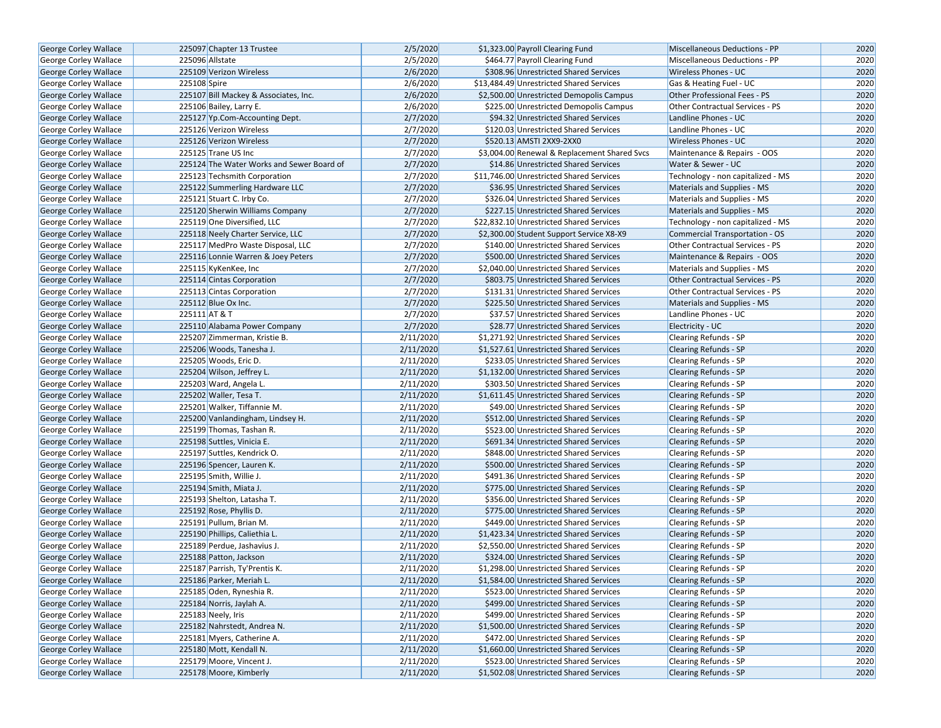| <b>George Corley Wallace</b> | 225097 Chapter 13 Trustee                 | 2/5/2020  | \$1,323.00 Payroll Clearing Fund             | <b>Miscellaneous Deductions - PP</b> | 2020 |
|------------------------------|-------------------------------------------|-----------|----------------------------------------------|--------------------------------------|------|
| George Corley Wallace        | 225096 Allstate                           | 2/5/2020  | \$464.77 Payroll Clearing Fund               | Miscellaneous Deductions - PP        | 2020 |
| George Corley Wallace        | 225109 Verizon Wireless                   | 2/6/2020  | \$308.96 Unrestricted Shared Services        | <b>Wireless Phones - UC</b>          | 2020 |
| George Corley Wallace        | 225108 Spire                              | 2/6/2020  | \$13,484.49 Unrestricted Shared Services     | Gas & Heating Fuel - UC              | 2020 |
| George Corley Wallace        | 225107 Bill Mackey & Associates, Inc.     | 2/6/2020  | \$2,500.00 Unrestricted Demopolis Campus     | Other Professional Fees - PS         | 2020 |
| George Corley Wallace        | 225106 Bailey, Larry E.                   | 2/6/2020  | \$225.00 Unrestricted Demopolis Campus       | Other Contractual Services - PS      | 2020 |
| George Corley Wallace        | 225127 Yp.Com-Accounting Dept.            | 2/7/2020  | \$94.32 Unrestricted Shared Services         | Landline Phones - UC                 | 2020 |
| George Corley Wallace        | 225126 Verizon Wireless                   | 2/7/2020  | \$120.03 Unrestricted Shared Services        | Landline Phones - UC                 | 2020 |
| George Corley Wallace        | 225126 Verizon Wireless                   | 2/7/2020  | \$520.13 AMSTI 2XX9-2XX0                     | <b>Wireless Phones - UC</b>          | 2020 |
| George Corley Wallace        | 225125 Trane US Inc                       | 2/7/2020  | \$3,004.00 Renewal & Replacement Shared Svcs | Maintenance & Repairs - OOS          | 2020 |
| <b>George Corley Wallace</b> | 225124 The Water Works and Sewer Board of | 2/7/2020  | \$14.86 Unrestricted Shared Services         | Water & Sewer - UC                   | 2020 |
| George Corley Wallace        | 225123 Techsmith Corporation              | 2/7/2020  | \$11,746.00 Unrestricted Shared Services     | Technology - non capitalized - MS    | 2020 |
| George Corley Wallace        | 225122 Summerling Hardware LLC            | 2/7/2020  | \$36.95 Unrestricted Shared Services         | Materials and Supplies - MS          | 2020 |
| George Corley Wallace        | 225121 Stuart C. Irby Co.                 | 2/7/2020  | \$326.04 Unrestricted Shared Services        | Materials and Supplies - MS          | 2020 |
| George Corley Wallace        | 225120 Sherwin Williams Company           | 2/7/2020  | \$227.15 Unrestricted Shared Services        | Materials and Supplies - MS          | 2020 |
| George Corley Wallace        | 225119 One Diversified, LLC               | 2/7/2020  | \$22,832.10 Unrestricted Shared Services     | Technology - non capitalized - MS    | 2020 |
| George Corley Wallace        | 225118 Neely Charter Service, LLC         | 2/7/2020  | \$2,300.00 Student Support Service X8-X9     | Commercial Transportation - OS       | 2020 |
| George Corley Wallace        | 225117 MedPro Waste Disposal, LLC         | 2/7/2020  | \$140.00 Unrestricted Shared Services        | Other Contractual Services - PS      | 2020 |
| George Corley Wallace        | 225116 Lonnie Warren & Joey Peters        | 2/7/2020  | \$500.00 Unrestricted Shared Services        | Maintenance & Repairs - OOS          | 2020 |
| George Corley Wallace        | 225115 KyKenKee, Inc                      | 2/7/2020  | \$2,040.00 Unrestricted Shared Services      | Materials and Supplies - MS          | 2020 |
| George Corley Wallace        | 225114 Cintas Corporation                 | 2/7/2020  | \$803.75 Unrestricted Shared Services        | Other Contractual Services - PS      | 2020 |
| <b>George Corley Wallace</b> | 225113 Cintas Corporation                 | 2/7/2020  | \$131.31 Unrestricted Shared Services        | Other Contractual Services - PS      | 2020 |
| George Corley Wallace        | 225112 Blue Ox Inc.                       | 2/7/2020  | \$225.50 Unrestricted Shared Services        | Materials and Supplies - MS          | 2020 |
| George Corley Wallace        | 225111 AT & T                             | 2/7/2020  | \$37.57 Unrestricted Shared Services         | Landline Phones - UC                 | 2020 |
| <b>George Corley Wallace</b> | 225110 Alabama Power Company              | 2/7/2020  | \$28.77 Unrestricted Shared Services         | Electricity - UC                     | 2020 |
| George Corley Wallace        | 225207 Zimmerman, Kristie B.              | 2/11/2020 | \$1,271.92 Unrestricted Shared Services      | Clearing Refunds - SP                | 2020 |
| George Corley Wallace        | 225206 Woods, Tanesha J.                  | 2/11/2020 | \$1,527.61 Unrestricted Shared Services      | <b>Clearing Refunds - SP</b>         | 2020 |
| George Corley Wallace        | 225205 Woods, Eric D.                     | 2/11/2020 | \$233.05 Unrestricted Shared Services        | Clearing Refunds - SP                | 2020 |
| <b>George Corley Wallace</b> | 225204 Wilson, Jeffrey L.                 | 2/11/2020 | \$1,132.00 Unrestricted Shared Services      | <b>Clearing Refunds - SP</b>         | 2020 |
| George Corley Wallace        | 225203 Ward, Angela L.                    | 2/11/2020 | \$303.50 Unrestricted Shared Services        | <b>Clearing Refunds - SP</b>         | 2020 |
| George Corley Wallace        | 225202 Waller, Tesa T.                    | 2/11/2020 | \$1,611.45 Unrestricted Shared Services      | <b>Clearing Refunds - SP</b>         | 2020 |
| George Corley Wallace        | 225201 Walker, Tiffannie M.               | 2/11/2020 | \$49.00 Unrestricted Shared Services         | Clearing Refunds - SP                | 2020 |
| George Corley Wallace        | 225200 Vanlandingham, Lindsey H.          | 2/11/2020 | \$512.00 Unrestricted Shared Services        | <b>Clearing Refunds - SP</b>         | 2020 |
| George Corley Wallace        | 225199 Thomas, Tashan R.                  | 2/11/2020 | \$523.00 Unrestricted Shared Services        | Clearing Refunds - SP                | 2020 |
| George Corley Wallace        | 225198 Suttles, Vinicia E.                | 2/11/2020 | \$691.34 Unrestricted Shared Services        | <b>Clearing Refunds - SP</b>         | 2020 |
| George Corley Wallace        | 225197 Suttles, Kendrick O.               | 2/11/2020 | \$848.00 Unrestricted Shared Services        | Clearing Refunds - SP                | 2020 |
| <b>George Corley Wallace</b> | 225196 Spencer, Lauren K.                 | 2/11/2020 | \$500.00 Unrestricted Shared Services        | <b>Clearing Refunds - SP</b>         | 2020 |
| George Corley Wallace        | 225195 Smith, Willie J.                   | 2/11/2020 | \$491.36 Unrestricted Shared Services        | Clearing Refunds - SP                | 2020 |
| George Corley Wallace        | 225194 Smith, Miata J.                    | 2/11/2020 | \$775.00 Unrestricted Shared Services        | <b>Clearing Refunds - SP</b>         | 2020 |
| George Corley Wallace        | 225193 Shelton, Latasha T.                | 2/11/2020 | \$356.00 Unrestricted Shared Services        | Clearing Refunds - SP                | 2020 |
| <b>George Corley Wallace</b> | 225192 Rose, Phyllis D.                   | 2/11/2020 | \$775.00 Unrestricted Shared Services        | <b>Clearing Refunds - SP</b>         | 2020 |
| George Corley Wallace        | 225191 Pullum, Brian M.                   | 2/11/2020 | \$449.00 Unrestricted Shared Services        | Clearing Refunds - SP                | 2020 |
| <b>George Corley Wallace</b> | 225190 Phillips, Caliethia L.             | 2/11/2020 | \$1,423.34 Unrestricted Shared Services      | <b>Clearing Refunds - SP</b>         | 2020 |
| George Corley Wallace        | 225189 Perdue, Jashavius J.               | 2/11/2020 | \$2,550.00 Unrestricted Shared Services      | Clearing Refunds - SP                | 2020 |
| <b>George Corley Wallace</b> | 225188 Patton, Jackson                    | 2/11/2020 | \$324.00 Unrestricted Shared Services        | <b>Clearing Refunds - SP</b>         | 2020 |
| George Corley Wallace        | 225187 Parrish, Ty'Prentis K.             | 2/11/2020 | \$1.298.00 Unrestricted Shared Services      | <b>Clearing Refunds - SP</b>         | 2020 |
| George Corley Wallace        | 225186 Parker, Meriah L.                  | 2/11/2020 | \$1,584.00 Unrestricted Shared Services      | <b>Clearing Refunds - SP</b>         | 2020 |
| <b>George Corley Wallace</b> | 225185 Oden, Ryneshia R.                  | 2/11/2020 | \$523.00 Unrestricted Shared Services        | Clearing Refunds - SP                | 2020 |
| George Corley Wallace        | 225184 Norris, Jaylah A.                  | 2/11/2020 | \$499.00 Unrestricted Shared Services        | <b>Clearing Refunds - SP</b>         | 2020 |
| George Corley Wallace        | 225183 Neely, Iris                        | 2/11/2020 | \$499.00 Unrestricted Shared Services        | <b>Clearing Refunds - SP</b>         | 2020 |
| George Corley Wallace        | 225182 Nahrstedt, Andrea N.               | 2/11/2020 | \$1,500.00 Unrestricted Shared Services      | <b>Clearing Refunds - SP</b>         | 2020 |
| George Corley Wallace        | 225181 Myers, Catherine A.                | 2/11/2020 | \$472.00 Unrestricted Shared Services        | <b>Clearing Refunds - SP</b>         | 2020 |
| George Corley Wallace        | 225180 Mott, Kendall N.                   | 2/11/2020 | \$1,660.00 Unrestricted Shared Services      | <b>Clearing Refunds - SP</b>         | 2020 |
| George Corley Wallace        | 225179 Moore, Vincent J.                  | 2/11/2020 | \$523.00 Unrestricted Shared Services        | <b>Clearing Refunds - SP</b>         | 2020 |
| George Corley Wallace        | 225178 Moore, Kimberly                    | 2/11/2020 | \$1,502.08 Unrestricted Shared Services      | Clearing Refunds - SP                | 2020 |
|                              |                                           |           |                                              |                                      |      |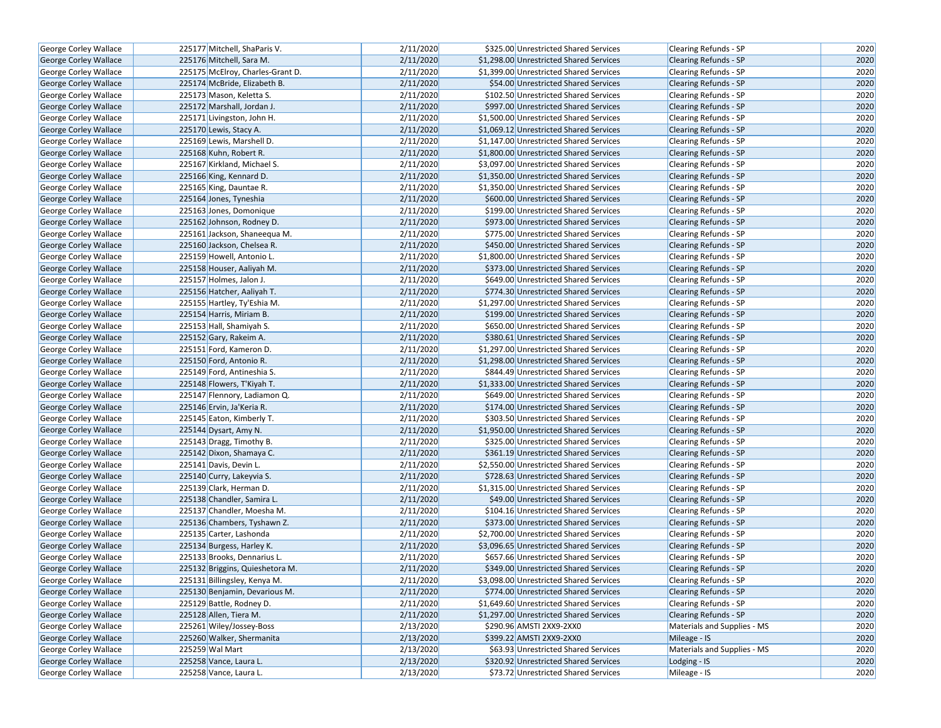| George Corley Wallace        | 225177 Mitchell, ShaParis V.     | 2/11/2020 | \$325.00 Unrestricted Shared Services   | Clearing Refunds - SP        | 2020 |
|------------------------------|----------------------------------|-----------|-----------------------------------------|------------------------------|------|
| <b>George Corley Wallace</b> | 225176 Mitchell, Sara M.         | 2/11/2020 | \$1,298.00 Unrestricted Shared Services | <b>Clearing Refunds - SP</b> | 2020 |
| George Corley Wallace        | 225175 McElroy, Charles-Grant D. | 2/11/2020 | \$1,399.00 Unrestricted Shared Services | Clearing Refunds - SP        | 2020 |
| <b>George Corley Wallace</b> | 225174 McBride, Elizabeth B.     | 2/11/2020 | \$54.00 Unrestricted Shared Services    | <b>Clearing Refunds - SP</b> | 2020 |
| George Corley Wallace        | 225173 Mason, Keletta S.         | 2/11/2020 | \$102.50 Unrestricted Shared Services   | Clearing Refunds - SP        | 2020 |
| George Corley Wallace        | 225172 Marshall, Jordan J.       | 2/11/2020 | \$997.00 Unrestricted Shared Services   | Clearing Refunds - SP        | 2020 |
| George Corley Wallace        | 225171 Livingston, John H.       | 2/11/2020 | \$1,500.00 Unrestricted Shared Services | <b>Clearing Refunds - SP</b> | 2020 |
| George Corley Wallace        | 225170 Lewis, Stacy A.           | 2/11/2020 | \$1,069.12 Unrestricted Shared Services | <b>Clearing Refunds - SP</b> | 2020 |
| George Corley Wallace        | 225169 Lewis, Marshell D.        | 2/11/2020 | \$1,147.00 Unrestricted Shared Services | Clearing Refunds - SP        | 2020 |
| George Corley Wallace        | 225168 Kuhn, Robert R.           | 2/11/2020 | \$1,800.00 Unrestricted Shared Services | <b>Clearing Refunds - SP</b> | 2020 |
| <b>George Corley Wallace</b> | 225167 Kirkland, Michael S.      | 2/11/2020 | \$3,097.00 Unrestricted Shared Services | Clearing Refunds - SP        | 2020 |
| George Corley Wallace        | 225166 King, Kennard D.          | 2/11/2020 | \$1,350.00 Unrestricted Shared Services | <b>Clearing Refunds - SP</b> | 2020 |
| George Corley Wallace        | 225165 King, Dauntae R.          | 2/11/2020 | \$1,350.00 Unrestricted Shared Services | <b>Clearing Refunds - SP</b> | 2020 |
| George Corley Wallace        | 225164 Jones, Tyneshia           | 2/11/2020 | \$600.00 Unrestricted Shared Services   | <b>Clearing Refunds - SP</b> | 2020 |
| George Corley Wallace        | 225163 Jones, Domonique          | 2/11/2020 | \$199.00 Unrestricted Shared Services   | Clearing Refunds - SP        | 2020 |
| <b>George Corley Wallace</b> | 225162 Johnson, Rodney D.        | 2/11/2020 | \$973.00 Unrestricted Shared Services   | <b>Clearing Refunds - SP</b> | 2020 |
| George Corley Wallace        | 225161 Jackson, Shaneequa M.     | 2/11/2020 | \$775.00 Unrestricted Shared Services   | Clearing Refunds - SP        | 2020 |
| George Corley Wallace        | 225160 Jackson, Chelsea R.       | 2/11/2020 | \$450.00 Unrestricted Shared Services   | <b>Clearing Refunds - SP</b> | 2020 |
| George Corley Wallace        | 225159 Howell, Antonio L.        | 2/11/2020 | \$1,800.00 Unrestricted Shared Services | Clearing Refunds - SP        | 2020 |
| George Corley Wallace        | 225158 Houser, Aaliyah M.        | 2/11/2020 | \$373.00 Unrestricted Shared Services   | <b>Clearing Refunds - SP</b> | 2020 |
| George Corley Wallace        | 225157 Holmes, Jalon J.          | 2/11/2020 | \$649.00 Unrestricted Shared Services   | Clearing Refunds - SP        | 2020 |
| George Corley Wallace        | 225156 Hatcher, Aaliyah T.       | 2/11/2020 | \$774.30 Unrestricted Shared Services   | <b>Clearing Refunds - SP</b> | 2020 |
| George Corley Wallace        | 225155 Hartley, Ty'Eshia M.      | 2/11/2020 | \$1,297.00 Unrestricted Shared Services | Clearing Refunds - SP        | 2020 |
| George Corley Wallace        | 225154 Harris, Miriam B.         | 2/11/2020 | \$199.00 Unrestricted Shared Services   | <b>Clearing Refunds - SP</b> | 2020 |
| George Corley Wallace        | 225153 Hall, Shamiyah S.         | 2/11/2020 | \$650.00 Unrestricted Shared Services   | Clearing Refunds - SP        | 2020 |
| George Corley Wallace        | 225152 Gary, Rakeim A.           | 2/11/2020 | \$380.61 Unrestricted Shared Services   | <b>Clearing Refunds - SP</b> | 2020 |
| George Corley Wallace        | 225151 Ford, Kameron D.          | 2/11/2020 | \$1,297.00 Unrestricted Shared Services | Clearing Refunds - SP        | 2020 |
| George Corley Wallace        | 225150 Ford, Antonio R.          | 2/11/2020 | \$1,298.00 Unrestricted Shared Services | Clearing Refunds - SP        | 2020 |
| George Corley Wallace        | 225149 Ford, Antineshia S.       | 2/11/2020 | \$844.49 Unrestricted Shared Services   | <b>Clearing Refunds - SP</b> | 2020 |
| George Corley Wallace        | 225148 Flowers, T'Kiyah T.       | 2/11/2020 | \$1,333.00 Unrestricted Shared Services | <b>Clearing Refunds - SP</b> | 2020 |
| <b>George Corley Wallace</b> | 225147 Flennory, Ladiamon Q.     | 2/11/2020 | \$649.00 Unrestricted Shared Services   | Clearing Refunds - SP        | 2020 |
| George Corley Wallace        | 225146 Ervin, Ja'Keria R.        | 2/11/2020 | \$174.00 Unrestricted Shared Services   | <b>Clearing Refunds - SP</b> | 2020 |
| George Corley Wallace        | 225145 Eaton, Kimberly T.        | 2/11/2020 | \$303.50 Unrestricted Shared Services   | <b>Clearing Refunds - SP</b> | 2020 |
| George Corley Wallace        | 225144 Dysart, Amy N.            | 2/11/2020 | \$1,950.00 Unrestricted Shared Services | Clearing Refunds - SP        | 2020 |
| George Corley Wallace        | 225143 Dragg, Timothy B.         | 2/11/2020 | \$325.00 Unrestricted Shared Services   | Clearing Refunds - SP        | 2020 |
| George Corley Wallace        | 225142 Dixon, Shamaya C.         | 2/11/2020 | \$361.19 Unrestricted Shared Services   | <b>Clearing Refunds - SP</b> | 2020 |
| George Corley Wallace        | 225141 Davis, Devin L.           | 2/11/2020 | \$2,550.00 Unrestricted Shared Services | <b>Clearing Refunds - SP</b> | 2020 |
| George Corley Wallace        | 225140 Curry, Lakeyvia S.        | 2/11/2020 | \$728.63 Unrestricted Shared Services   | <b>Clearing Refunds - SP</b> | 2020 |
| <b>George Corley Wallace</b> | 225139 Clark, Herman D.          | 2/11/2020 | \$1,315.00 Unrestricted Shared Services | Clearing Refunds - SP        | 2020 |
| George Corley Wallace        | 225138 Chandler, Samira L.       | 2/11/2020 | \$49.00 Unrestricted Shared Services    | Clearing Refunds - SP        | 2020 |
| George Corley Wallace        | 225137 Chandler, Moesha M.       | 2/11/2020 | \$104.16 Unrestricted Shared Services   | <b>Clearing Refunds - SP</b> | 2020 |
| George Corley Wallace        | 225136 Chambers, Tyshawn Z.      | 2/11/2020 | \$373.00 Unrestricted Shared Services   | Clearing Refunds - SP        | 2020 |
| George Corley Wallace        | 225135 Carter, Lashonda          | 2/11/2020 | \$2,700.00 Unrestricted Shared Services | Clearing Refunds - SP        | 2020 |
| <b>George Corley Wallace</b> | 225134 Burgess, Harley K.        | 2/11/2020 | \$3,096.65 Unrestricted Shared Services | <b>Clearing Refunds - SP</b> | 2020 |
| <b>George Corley Wallace</b> | 225133 Brooks, Dennarius L.      | 2/11/2020 | \$657.66 Unrestricted Shared Services   | <b>Clearing Refunds - SP</b> | 2020 |
| George Corley Wallace        | 225132 Briggins, Quieshetora M.  | 2/11/2020 | \$349.00 Unrestricted Shared Services   | <b>Clearing Refunds - SP</b> | 2020 |
| George Corley Wallace        | 225131 Billingsley, Kenya M.     | 2/11/2020 | \$3,098.00 Unrestricted Shared Services | Clearing Refunds - SP        | 2020 |
| George Corley Wallace        | 225130 Benjamin, Devarious M.    | 2/11/2020 | \$774.00 Unrestricted Shared Services   | <b>Clearing Refunds - SP</b> | 2020 |
| George Corley Wallace        | 225129 Battle, Rodney D.         | 2/11/2020 | \$1,649.60 Unrestricted Shared Services | Clearing Refunds - SP        | 2020 |
| <b>George Corley Wallace</b> | 225128 Allen, Tiera M.           | 2/11/2020 | \$1,297.00 Unrestricted Shared Services | <b>Clearing Refunds - SP</b> | 2020 |
| George Corley Wallace        | 225261 Wiley/Jossey-Boss         | 2/13/2020 | \$290.96 AMSTI 2XX9-2XX0                | Materials and Supplies - MS  | 2020 |
| George Corley Wallace        | 225260 Walker, Shermanita        | 2/13/2020 | \$399.22 AMSTI 2XX9-2XX0                | Mileage - IS                 | 2020 |
| George Corley Wallace        | 225259 Wal Mart                  | 2/13/2020 | \$63.93 Unrestricted Shared Services    | Materials and Supplies - MS  | 2020 |
| George Corley Wallace        | 225258 Vance, Laura L.           | 2/13/2020 | \$320.92 Unrestricted Shared Services   | Lodging - IS                 | 2020 |
| George Corley Wallace        | 225258 Vance, Laura L.           | 2/13/2020 | \$73.72 Unrestricted Shared Services    | Mileage - IS                 | 2020 |
|                              |                                  |           |                                         |                              |      |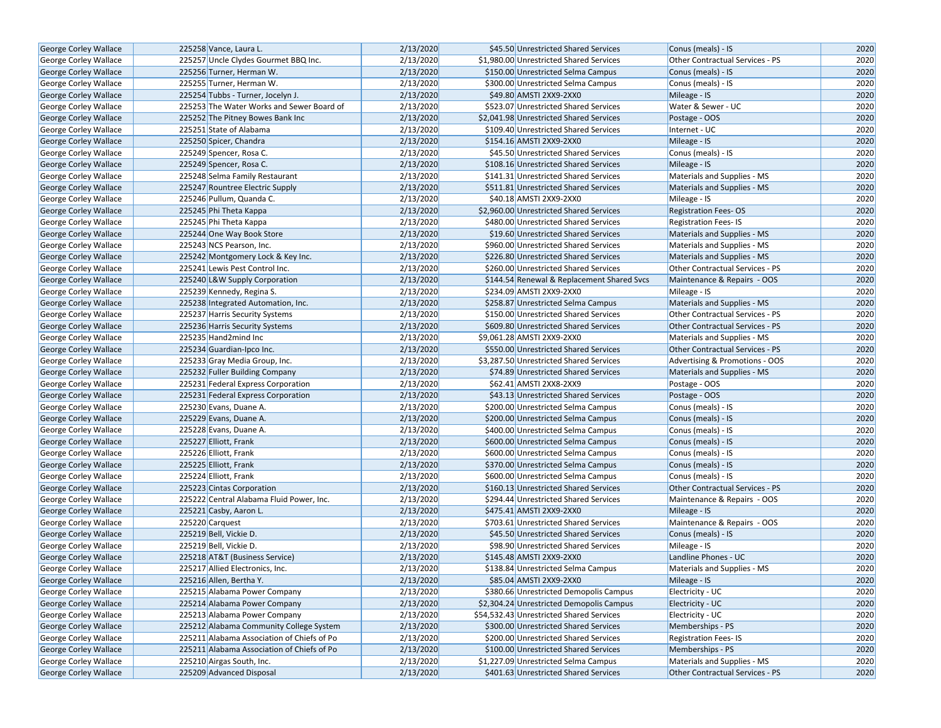| George Corley Wallace        | 225258 Vance, Laura L.                     | 2/13/2020 | \$45.50 Unrestricted Shared Services       | Conus (meals) - IS                     | 2020 |
|------------------------------|--------------------------------------------|-----------|--------------------------------------------|----------------------------------------|------|
| George Corley Wallace        | 225257 Uncle Clydes Gourmet BBQ Inc.       | 2/13/2020 | \$1,980.00 Unrestricted Shared Services    | Other Contractual Services - PS        | 2020 |
| <b>George Corley Wallace</b> | 225256 Turner, Herman W.                   | 2/13/2020 | \$150.00 Unrestricted Selma Campus         | Conus (meals) - IS                     | 2020 |
| George Corley Wallace        | 225255 Turner, Herman W.                   | 2/13/2020 | \$300.00 Unrestricted Selma Campus         | Conus (meals) - IS                     | 2020 |
| <b>George Corley Wallace</b> | 225254 Tubbs - Turner, Jocelyn J.          | 2/13/2020 | \$49.80 AMSTI 2XX9-2XX0                    | Mileage - IS                           | 2020 |
| George Corley Wallace        | 225253 The Water Works and Sewer Board of  | 2/13/2020 | \$523.07 Unrestricted Shared Services      | Water & Sewer - UC                     | 2020 |
| <b>George Corley Wallace</b> | 225252 The Pitney Bowes Bank Inc           | 2/13/2020 | \$2,041.98 Unrestricted Shared Services    | Postage - OOS                          | 2020 |
| <b>George Corley Wallace</b> | 225251 State of Alabama                    | 2/13/2020 | \$109.40 Unrestricted Shared Services      | Internet - UC                          | 2020 |
| George Corley Wallace        | 225250 Spicer, Chandra                     | 2/13/2020 | \$154.16 AMSTI 2XX9-2XX0                   | Mileage - IS                           | 2020 |
| George Corley Wallace        | 225249 Spencer, Rosa C.                    | 2/13/2020 | \$45.50 Unrestricted Shared Services       | Conus (meals) - IS                     | 2020 |
| George Corley Wallace        | 225249 Spencer, Rosa C.                    | 2/13/2020 | \$108.16 Unrestricted Shared Services      | Mileage - IS                           | 2020 |
| George Corley Wallace        | 225248 Selma Family Restaurant             | 2/13/2020 | \$141.31 Unrestricted Shared Services      | Materials and Supplies - MS            | 2020 |
| George Corley Wallace        | 225247 Rountree Electric Supply            | 2/13/2020 | \$511.81 Unrestricted Shared Services      | Materials and Supplies - MS            | 2020 |
| <b>George Corley Wallace</b> | 225246 Pullum, Quanda C.                   | 2/13/2020 | \$40.18 AMSTI 2XX9-2XX0                    | Mileage - IS                           | 2020 |
| <b>George Corley Wallace</b> | 225245 Phi Theta Kappa                     | 2/13/2020 | \$2,960.00 Unrestricted Shared Services    | <b>Registration Fees-OS</b>            | 2020 |
| <b>George Corley Wallace</b> | 225245 Phi Theta Kappa                     | 2/13/2020 | \$480.00 Unrestricted Shared Services      | <b>Registration Fees-IS</b>            | 2020 |
| George Corley Wallace        | 225244 One Way Book Store                  | 2/13/2020 | \$19.60 Unrestricted Shared Services       | Materials and Supplies - MS            | 2020 |
| <b>George Corley Wallace</b> | 225243 NCS Pearson, Inc.                   | 2/13/2020 | \$960.00 Unrestricted Shared Services      | Materials and Supplies - MS            | 2020 |
| George Corley Wallace        | 225242 Montgomery Lock & Key Inc.          | 2/13/2020 | \$226.80 Unrestricted Shared Services      | Materials and Supplies - MS            | 2020 |
| <b>George Corley Wallace</b> | 225241 Lewis Pest Control Inc.             | 2/13/2020 | \$260.00 Unrestricted Shared Services      | Other Contractual Services - PS        | 2020 |
| George Corley Wallace        | 225240 L&W Supply Corporation              | 2/13/2020 | \$144.54 Renewal & Replacement Shared Svcs | Maintenance & Repairs - OOS            | 2020 |
| <b>George Corley Wallace</b> | 225239 Kennedy, Regina S.                  | 2/13/2020 | \$234.09 AMSTI 2XX9-2XX0                   | Mileage - IS                           | 2020 |
| George Corley Wallace        | 225238 Integrated Automation, Inc.         | 2/13/2020 | \$258.87 Unrestricted Selma Campus         | Materials and Supplies - MS            | 2020 |
| <b>George Corley Wallace</b> | 225237 Harris Security Systems             | 2/13/2020 | \$150.00 Unrestricted Shared Services      | <b>Other Contractual Services - PS</b> | 2020 |
| George Corley Wallace        | 225236 Harris Security Systems             | 2/13/2020 | \$609.80 Unrestricted Shared Services      | Other Contractual Services - PS        | 2020 |
| <b>George Corley Wallace</b> | 225235 Hand2mind Inc                       | 2/13/2020 | \$9,061.28 AMSTI 2XX9-2XX0                 | Materials and Supplies - MS            | 2020 |
| George Corley Wallace        | 225234 Guardian-Ipco Inc.                  | 2/13/2020 | \$550.00 Unrestricted Shared Services      | <b>Other Contractual Services - PS</b> | 2020 |
| George Corley Wallace        | 225233 Gray Media Group, Inc.              | 2/13/2020 | \$3,287.50 Unrestricted Shared Services    | Advertising & Promotions - OOS         | 2020 |
| George Corley Wallace        | 225232 Fuller Building Company             | 2/13/2020 | \$74.89 Unrestricted Shared Services       | Materials and Supplies - MS            | 2020 |
| George Corley Wallace        | 225231 Federal Express Corporation         | 2/13/2020 | \$62.41 AMSTI 2XX8-2XX9                    | Postage - OOS                          | 2020 |
| <b>George Corley Wallace</b> | 225231 Federal Express Corporation         | 2/13/2020 | \$43.13 Unrestricted Shared Services       | Postage - OOS                          | 2020 |
| <b>George Corley Wallace</b> | 225230 Evans, Duane A.                     | 2/13/2020 | \$200.00 Unrestricted Selma Campus         | Conus (meals) - IS                     | 2020 |
| George Corley Wallace        | 225229 Evans, Duane A.                     | 2/13/2020 | \$200.00 Unrestricted Selma Campus         | Conus (meals) - IS                     | 2020 |
| <b>George Corley Wallace</b> | 225228 Evans, Duane A.                     | 2/13/2020 | \$400.00 Unrestricted Selma Campus         | Conus (meals) - IS                     | 2020 |
| George Corley Wallace        | 225227 Elliott, Frank                      | 2/13/2020 | \$600.00 Unrestricted Selma Campus         | Conus (meals) - IS                     | 2020 |
| George Corley Wallace        | 225226 Elliott, Frank                      | 2/13/2020 | \$600.00 Unrestricted Selma Campus         | Conus (meals) - IS                     | 2020 |
| <b>George Corley Wallace</b> | 225225 Elliott, Frank                      | 2/13/2020 | \$370.00 Unrestricted Selma Campus         | Conus (meals) - IS                     | 2020 |
| George Corley Wallace        | 225224 Elliott, Frank                      | 2/13/2020 | \$600.00 Unrestricted Selma Campus         | Conus (meals) - IS                     | 2020 |
| <b>George Corley Wallace</b> | 225223 Cintas Corporation                  | 2/13/2020 | \$160.13 Unrestricted Shared Services      | Other Contractual Services - PS        | 2020 |
| George Corley Wallace        | 225222 Central Alabama Fluid Power, Inc.   | 2/13/2020 | \$294.44 Unrestricted Shared Services      | Maintenance & Repairs - OOS            | 2020 |
| George Corley Wallace        | 225221 Casby, Aaron L.                     | 2/13/2020 | \$475.41 AMSTI 2XX9-2XX0                   | Mileage - IS                           | 2020 |
| George Corley Wallace        | 225220 Carquest                            | 2/13/2020 | \$703.61 Unrestricted Shared Services      | Maintenance & Repairs - OOS            | 2020 |
| George Corley Wallace        | 225219 Bell, Vickie D.                     | 2/13/2020 | \$45.50 Unrestricted Shared Services       | Conus (meals) - IS                     | 2020 |
| George Corley Wallace        | 225219 Bell, Vickie D.                     | 2/13/2020 | \$98.90 Unrestricted Shared Services       | Mileage - IS                           | 2020 |
| George Corley Wallace        | 225218 AT&T (Business Service)             | 2/13/2020 | \$145.48 AMSTI 2XX9-2XX0                   | Landline Phones - UC                   | 2020 |
| George Corley Wallace        | 225217 Allied Electronics, Inc.            | 2/13/2020 | \$138.84 Unrestricted Selma Campus         | Materials and Supplies - MS            | 2020 |
| George Corley Wallace        | 225216 Allen, Bertha Y.                    | 2/13/2020 | \$85.04 AMSTI 2XX9-2XX0                    | Mileage - IS                           | 2020 |
| George Corley Wallace        | 225215 Alabama Power Company               | 2/13/2020 | \$380.66 Unrestricted Demopolis Campus     | Electricity - UC                       | 2020 |
| <b>George Corley Wallace</b> | 225214 Alabama Power Company               | 2/13/2020 | \$2,304.24 Unrestricted Demopolis Campus   | Electricity - UC                       | 2020 |
| George Corley Wallace        | 225213 Alabama Power Company               | 2/13/2020 | \$54,532.43 Unrestricted Shared Services   | Electricity - UC                       | 2020 |
| George Corley Wallace        | 225212 Alabama Community College System    | 2/13/2020 | \$300.00 Unrestricted Shared Services      | Memberships - PS                       | 2020 |
| George Corley Wallace        | 225211 Alabama Association of Chiefs of Po | 2/13/2020 | \$200.00 Unrestricted Shared Services      | Registration Fees-IS                   | 2020 |
| <b>George Corley Wallace</b> | 225211 Alabama Association of Chiefs of Po | 2/13/2020 | \$100.00 Unrestricted Shared Services      | Memberships - PS                       | 2020 |
| George Corley Wallace        | 225210 Airgas South, Inc.                  | 2/13/2020 | \$1,227.09 Unrestricted Selma Campus       | Materials and Supplies - MS            | 2020 |
| <b>George Corley Wallace</b> | 225209 Advanced Disposal                   | 2/13/2020 | \$401.63 Unrestricted Shared Services      | <b>Other Contractual Services - PS</b> | 2020 |
|                              |                                            |           |                                            |                                        |      |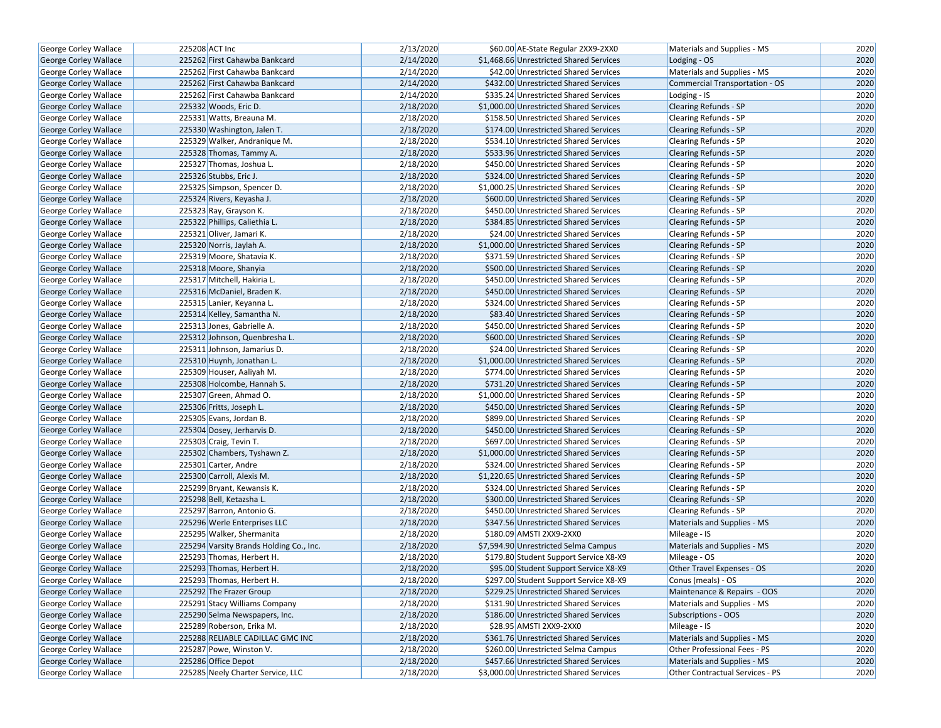| George Corley Wallace        | 225208 ACT Inc                          | 2/13/2020 | \$60.00 AE-State Regular 2XX9-2XX0      | Materials and Supplies - MS           | 2020 |
|------------------------------|-----------------------------------------|-----------|-----------------------------------------|---------------------------------------|------|
| <b>George Corley Wallace</b> | 225262 First Cahawba Bankcard           | 2/14/2020 | \$1,468.66 Unrestricted Shared Services | Lodging - OS                          | 2020 |
| George Corley Wallace        | 225262 First Cahawba Bankcard           | 2/14/2020 | \$42.00 Unrestricted Shared Services    | Materials and Supplies - MS           | 2020 |
| <b>George Corley Wallace</b> | 225262 First Cahawba Bankcard           | 2/14/2020 | \$432.00 Unrestricted Shared Services   | <b>Commercial Transportation - OS</b> | 2020 |
| George Corley Wallace        | 225262 First Cahawba Bankcard           | 2/14/2020 | \$335.24 Unrestricted Shared Services   | Lodging - IS                          | 2020 |
| <b>George Corley Wallace</b> | 225332 Woods, Eric D.                   | 2/18/2020 | \$1,000.00 Unrestricted Shared Services | Clearing Refunds - SP                 | 2020 |
| George Corley Wallace        | 225331 Watts, Breauna M.                | 2/18/2020 | \$158.50 Unrestricted Shared Services   | Clearing Refunds - SP                 | 2020 |
| George Corley Wallace        | 225330 Washington, Jalen T.             | 2/18/2020 | \$174.00 Unrestricted Shared Services   | <b>Clearing Refunds - SP</b>          | 2020 |
| George Corley Wallace        | 225329 Walker, Andranique M.            | 2/18/2020 | \$534.10 Unrestricted Shared Services   | Clearing Refunds - SP                 | 2020 |
| George Corley Wallace        | 225328 Thomas, Tammy A.                 | 2/18/2020 | \$533.96 Unrestricted Shared Services   | <b>Clearing Refunds - SP</b>          | 2020 |
| <b>George Corley Wallace</b> | 225327 Thomas, Joshua L.                | 2/18/2020 | \$450.00 Unrestricted Shared Services   | Clearing Refunds - SP                 | 2020 |
| George Corley Wallace        | 225326 Stubbs, Eric J.                  | 2/18/2020 | \$324.00 Unrestricted Shared Services   | <b>Clearing Refunds - SP</b>          | 2020 |
| George Corley Wallace        | 225325 Simpson, Spencer D.              | 2/18/2020 | \$1,000.25 Unrestricted Shared Services | Clearing Refunds - SP                 | 2020 |
| George Corley Wallace        | 225324 Rivers, Keyasha J.               | 2/18/2020 | \$600.00 Unrestricted Shared Services   | <b>Clearing Refunds - SP</b>          | 2020 |
| George Corley Wallace        | 225323 Ray, Grayson K.                  | 2/18/2020 | \$450.00 Unrestricted Shared Services   | Clearing Refunds - SP                 | 2020 |
| <b>George Corley Wallace</b> | 225322 Phillips, Caliethia L.           | 2/18/2020 | \$384.85 Unrestricted Shared Services   | <b>Clearing Refunds - SP</b>          | 2020 |
| George Corley Wallace        | 225321 Oliver, Jamari K.                | 2/18/2020 | \$24.00 Unrestricted Shared Services    | <b>Clearing Refunds - SP</b>          | 2020 |
| George Corley Wallace        | 225320 Norris, Jaylah A.                | 2/18/2020 | \$1,000.00 Unrestricted Shared Services | <b>Clearing Refunds - SP</b>          | 2020 |
| George Corley Wallace        | 225319 Moore, Shatavia K.               | 2/18/2020 | \$371.59 Unrestricted Shared Services   | Clearing Refunds - SP                 | 2020 |
| George Corley Wallace        | 225318 Moore, Shanyia                   | 2/18/2020 | \$500.00 Unrestricted Shared Services   | <b>Clearing Refunds - SP</b>          | 2020 |
| George Corley Wallace        | 225317 Mitchell, Hakiria L.             | 2/18/2020 | \$450.00 Unrestricted Shared Services   | <b>Clearing Refunds - SP</b>          | 2020 |
| George Corley Wallace        | 225316 McDaniel, Braden K.              | 2/18/2020 | \$450.00 Unrestricted Shared Services   | <b>Clearing Refunds - SP</b>          | 2020 |
| George Corley Wallace        | 225315 Lanier, Keyanna L.               | 2/18/2020 | \$324.00 Unrestricted Shared Services   | Clearing Refunds - SP                 | 2020 |
| George Corley Wallace        | 225314 Kelley, Samantha N.              | 2/18/2020 | \$83.40 Unrestricted Shared Services    | <b>Clearing Refunds - SP</b>          | 2020 |
| George Corley Wallace        | 225313 Jones, Gabrielle A.              | 2/18/2020 | \$450.00 Unrestricted Shared Services   | Clearing Refunds - SP                 | 2020 |
| <b>George Corley Wallace</b> | 225312 Johnson, Quenbresha L.           | 2/18/2020 | \$600.00 Unrestricted Shared Services   | <b>Clearing Refunds - SP</b>          | 2020 |
| George Corley Wallace        | 225311 Johnson, Jamarius D.             | 2/18/2020 | \$24.00 Unrestricted Shared Services    | Clearing Refunds - SP                 | 2020 |
| George Corley Wallace        | 225310 Huynh, Jonathan L.               | 2/18/2020 | \$1,000.00 Unrestricted Shared Services | <b>Clearing Refunds - SP</b>          | 2020 |
| George Corley Wallace        | 225309 Houser, Aaliyah M.               | 2/18/2020 | \$774.00 Unrestricted Shared Services   | <b>Clearing Refunds - SP</b>          | 2020 |
| George Corley Wallace        | 225308 Holcombe, Hannah S.              | 2/18/2020 | \$731.20 Unrestricted Shared Services   | <b>Clearing Refunds - SP</b>          | 2020 |
| <b>George Corley Wallace</b> | 225307 Green, Ahmad O.                  | 2/18/2020 | \$1,000.00 Unrestricted Shared Services | Clearing Refunds - SP                 | 2020 |
| George Corley Wallace        | 225306 Fritts, Joseph L.                | 2/18/2020 | \$450.00 Unrestricted Shared Services   | <b>Clearing Refunds - SP</b>          | 2020 |
| George Corley Wallace        | 225305 Evans, Jordan B.                 | 2/18/2020 | \$899.00 Unrestricted Shared Services   | <b>Clearing Refunds - SP</b>          | 2020 |
| George Corley Wallace        | 225304 Dosey, Jerharvis D.              | 2/18/2020 | \$450.00 Unrestricted Shared Services   | <b>Clearing Refunds - SP</b>          | 2020 |
| George Corley Wallace        | 225303 Craig, Tevin T.                  | 2/18/2020 | \$697.00 Unrestricted Shared Services   | Clearing Refunds - SP                 | 2020 |
| George Corley Wallace        | 225302 Chambers, Tyshawn Z.             | 2/18/2020 | \$1,000.00 Unrestricted Shared Services | <b>Clearing Refunds - SP</b>          | 2020 |
| George Corley Wallace        | 225301 Carter, Andre                    | 2/18/2020 | \$324.00 Unrestricted Shared Services   | <b>Clearing Refunds - SP</b>          | 2020 |
| George Corley Wallace        | 225300 Carroll, Alexis M.               | 2/18/2020 | \$1,220.65 Unrestricted Shared Services | <b>Clearing Refunds - SP</b>          | 2020 |
| <b>George Corley Wallace</b> | 225299 Bryant, Kewansis K.              | 2/18/2020 | \$324.00 Unrestricted Shared Services   | Clearing Refunds - SP                 | 2020 |
| George Corley Wallace        | 225298 Bell, Ketazsha L.                | 2/18/2020 | \$300.00 Unrestricted Shared Services   | Clearing Refunds - SP                 | 2020 |
| George Corley Wallace        | 225297 Barron, Antonio G.               | 2/18/2020 | \$450.00 Unrestricted Shared Services   | <b>Clearing Refunds - SP</b>          | 2020 |
| <b>George Corley Wallace</b> | 225296 Werle Enterprises LLC            | 2/18/2020 | \$347.56 Unrestricted Shared Services   | Materials and Supplies - MS           | 2020 |
| George Corley Wallace        | 225295 Walker, Shermanita               | 2/18/2020 | \$180.09 AMSTI 2XX9-2XX0                | Mileage - IS                          | 2020 |
| <b>George Corley Wallace</b> | 225294 Varsity Brands Holding Co., Inc. | 2/18/2020 | \$7,594.90 Unrestricted Selma Campus    | Materials and Supplies - MS           | 2020 |
| <b>George Corley Wallace</b> | 225293 Thomas, Herbert H.               | 2/18/2020 | \$179.80 Student Support Service X8-X9  | Mileage - OS                          | 2020 |
| George Corley Wallace        | 225293 Thomas, Herbert H.               | 2/18/2020 | \$95.00 Student Support Service X8-X9   | Other Travel Expenses - OS            | 2020 |
| George Corley Wallace        | 225293 Thomas, Herbert H.               | 2/18/2020 | \$297.00 Student Support Service X8-X9  | Conus (meals) - OS                    | 2020 |
| George Corley Wallace        | 225292 The Frazer Group                 | 2/18/2020 | \$229.25 Unrestricted Shared Services   | Maintenance & Repairs - OOS           | 2020 |
| George Corley Wallace        | 225291 Stacy Williams Company           | 2/18/2020 | \$131.90 Unrestricted Shared Services   | Materials and Supplies - MS           | 2020 |
| <b>George Corley Wallace</b> | 225290 Selma Newspapers, Inc.           | 2/18/2020 | \$186.00 Unrestricted Shared Services   | Subscriptions - OOS                   | 2020 |
| George Corley Wallace        | 225289 Roberson, Erika M.               | 2/18/2020 | \$28.95 AMSTI 2XX9-2XX0                 | Mileage - IS                          | 2020 |
| George Corley Wallace        | 225288 RELIABLE CADILLAC GMC INC        | 2/18/2020 | \$361.76 Unrestricted Shared Services   | Materials and Supplies - MS           | 2020 |
| George Corley Wallace        | 225287 Powe, Winston V.                 | 2/18/2020 | \$260.00 Unrestricted Selma Campus      | Other Professional Fees - PS          | 2020 |
| George Corley Wallace        | 225286 Office Depot                     | 2/18/2020 | \$457.66 Unrestricted Shared Services   | Materials and Supplies - MS           | 2020 |
| George Corley Wallace        | 225285 Neely Charter Service, LLC       | 2/18/2020 | \$3,000.00 Unrestricted Shared Services | Other Contractual Services - PS       | 2020 |
|                              |                                         |           |                                         |                                       |      |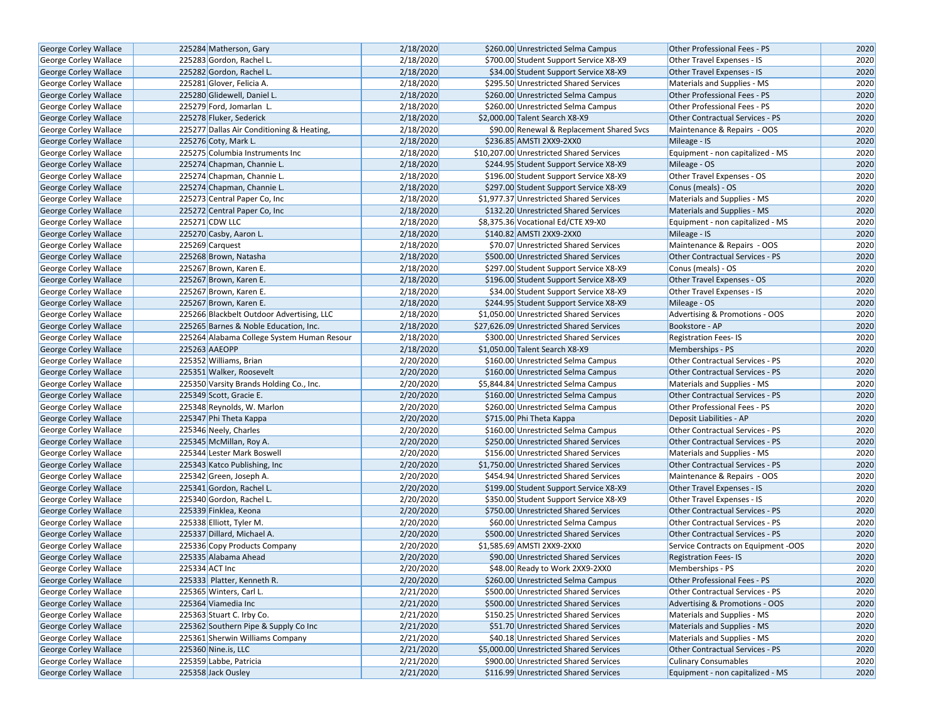| George Corley Wallace        | 225284 Matherson, Gary                     | 2/18/2020 | \$260.00 Unrestricted Selma Campus        | Other Professional Fees - PS           | 2020 |
|------------------------------|--------------------------------------------|-----------|-------------------------------------------|----------------------------------------|------|
| George Corley Wallace        | 225283 Gordon, Rachel L.                   | 2/18/2020 | \$700.00 Student Support Service X8-X9    | Other Travel Expenses - IS             | 2020 |
| George Corley Wallace        | 225282 Gordon, Rachel L.                   | 2/18/2020 | \$34.00 Student Support Service X8-X9     | Other Travel Expenses - IS             | 2020 |
| George Corley Wallace        | 225281 Glover, Felicia A.                  | 2/18/2020 | \$295.50 Unrestricted Shared Services     | Materials and Supplies - MS            | 2020 |
| George Corley Wallace        | 225280 Glidewell, Daniel L.                | 2/18/2020 | \$260.00 Unrestricted Selma Campus        | Other Professional Fees - PS           | 2020 |
| George Corley Wallace        | 225279 Ford, Jomarlan L.                   | 2/18/2020 | \$260.00 Unrestricted Selma Campus        | Other Professional Fees - PS           | 2020 |
| George Corley Wallace        | 225278 Fluker, Sederick                    | 2/18/2020 | \$2,000.00 Talent Search X8-X9            | Other Contractual Services - PS        | 2020 |
| George Corley Wallace        | 225277 Dallas Air Conditioning & Heating,  | 2/18/2020 | \$90.00 Renewal & Replacement Shared Svcs | Maintenance & Repairs - OOS            | 2020 |
| George Corley Wallace        | 225276 Coty, Mark L.                       | 2/18/2020 | \$236.85 AMSTI 2XX9-2XX0                  | Mileage - IS                           | 2020 |
| George Corley Wallace        | 225275 Columbia Instruments Inc            | 2/18/2020 | \$10,207.00 Unrestricted Shared Services  | Equipment - non capitalized - MS       | 2020 |
| George Corley Wallace        | 225274 Chapman, Channie L.                 | 2/18/2020 | \$244.95 Student Support Service X8-X9    | Mileage - OS                           | 2020 |
| George Corley Wallace        | 225274 Chapman, Channie L.                 | 2/18/2020 | \$196.00 Student Support Service X8-X9    | Other Travel Expenses - OS             | 2020 |
| George Corley Wallace        | 225274 Chapman, Channie L.                 | 2/18/2020 | \$297.00 Student Support Service X8-X9    | Conus (meals) - OS                     | 2020 |
| George Corley Wallace        | 225273 Central Paper Co, Inc.              | 2/18/2020 | \$1,977.37 Unrestricted Shared Services   | Materials and Supplies - MS            | 2020 |
| George Corley Wallace        | 225272 Central Paper Co, Inc               | 2/18/2020 | \$132.20 Unrestricted Shared Services     | Materials and Supplies - MS            | 2020 |
| George Corley Wallace        | 225271 CDW LLC                             | 2/18/2020 | \$8,375.36 Vocational Ed/CTE X9-X0        | Equipment - non capitalized - MS       | 2020 |
| George Corley Wallace        | 225270 Casby, Aaron L.                     | 2/18/2020 | \$140.82 AMSTI 2XX9-2XX0                  | Mileage - IS                           | 2020 |
| George Corley Wallace        | 225269 Carquest                            | 2/18/2020 | \$70.07 Unrestricted Shared Services      | Maintenance & Repairs - OOS            | 2020 |
| George Corley Wallace        | 225268 Brown, Natasha                      | 2/18/2020 | \$500.00 Unrestricted Shared Services     | Other Contractual Services - PS        | 2020 |
| George Corley Wallace        | 225267 Brown, Karen E.                     | 2/18/2020 | \$297.00 Student Support Service X8-X9    | Conus (meals) - OS                     | 2020 |
| <b>George Corley Wallace</b> | 225267 Brown, Karen E.                     | 2/18/2020 | \$196.00 Student Support Service X8-X9    | Other Travel Expenses - OS             | 2020 |
| George Corley Wallace        | 225267 Brown, Karen E.                     | 2/18/2020 | \$34.00 Student Support Service X8-X9     | Other Travel Expenses - IS             | 2020 |
| George Corley Wallace        | 225267 Brown, Karen E.                     | 2/18/2020 | \$244.95 Student Support Service X8-X9    | Mileage - OS                           | 2020 |
| George Corley Wallace        | 225266 Blackbelt Outdoor Advertising, LLC  | 2/18/2020 | \$1,050.00 Unrestricted Shared Services   | Advertising & Promotions - OOS         | 2020 |
| <b>George Corley Wallace</b> | 225265 Barnes & Noble Education, Inc.      | 2/18/2020 | \$27,626.09 Unrestricted Shared Services  | Bookstore - AP                         | 2020 |
|                              |                                            | 2/18/2020 |                                           |                                        | 2020 |
| George Corley Wallace        | 225264 Alabama College System Human Resour |           | \$300.00 Unrestricted Shared Services     | <b>Registration Fees-IS</b>            |      |
| George Corley Wallace        | 225263 AAEOPP                              | 2/18/2020 | \$1,050.00 Talent Search X8-X9            | Memberships - PS                       | 2020 |
| George Corley Wallace        | 225352 Williams, Brian                     | 2/20/2020 | \$160.00 Unrestricted Selma Campus        | Other Contractual Services - PS        | 2020 |
| George Corley Wallace        | 225351 Walker, Roosevelt                   | 2/20/2020 | \$160.00 Unrestricted Selma Campus        | <b>Other Contractual Services - PS</b> | 2020 |
| George Corley Wallace        | 225350 Varsity Brands Holding Co., Inc.    | 2/20/2020 | \$5,844.84 Unrestricted Selma Campus      | Materials and Supplies - MS            | 2020 |
| George Corley Wallace        | 225349 Scott, Gracie E.                    | 2/20/2020 | \$160.00 Unrestricted Selma Campus        | <b>Other Contractual Services - PS</b> | 2020 |
| George Corley Wallace        | 225348 Reynolds, W. Marlon                 | 2/20/2020 | \$260.00 Unrestricted Selma Campus        | Other Professional Fees - PS           | 2020 |
| George Corley Wallace        | 225347 Phi Theta Kappa                     | 2/20/2020 | \$715.00 Phi Theta Kappa                  | Deposit Liabilities - AP               | 2020 |
| George Corley Wallace        | 225346 Neely, Charles                      | 2/20/2020 | \$160.00 Unrestricted Selma Campus        | Other Contractual Services - PS        | 2020 |
| George Corley Wallace        | 225345 McMillan, Roy A.                    | 2/20/2020 | \$250.00 Unrestricted Shared Services     | Other Contractual Services - PS        | 2020 |
| George Corley Wallace        | 225344 Lester Mark Boswell                 | 2/20/2020 | \$156.00 Unrestricted Shared Services     | Materials and Supplies - MS            | 2020 |
| George Corley Wallace        | 225343 Katco Publishing, Inc               | 2/20/2020 | \$1,750.00 Unrestricted Shared Services   | Other Contractual Services - PS        | 2020 |
| George Corley Wallace        | 225342 Green, Joseph A.                    | 2/20/2020 | \$454.94 Unrestricted Shared Services     | Maintenance & Repairs - OOS            | 2020 |
| George Corley Wallace        | 225341 Gordon, Rachel L.                   | 2/20/2020 | \$199.00 Student Support Service X8-X9    | Other Travel Expenses - IS             | 2020 |
| George Corley Wallace        | 225340 Gordon, Rachel L.                   | 2/20/2020 | \$350.00 Student Support Service X8-X9    | Other Travel Expenses - IS             | 2020 |
| George Corley Wallace        | 225339 Finklea, Keona                      | 2/20/2020 | \$750.00 Unrestricted Shared Services     | <b>Other Contractual Services - PS</b> | 2020 |
| George Corley Wallace        | 225338 Elliott, Tyler M.                   | 2/20/2020 | \$60.00 Unrestricted Selma Campus         | <b>Other Contractual Services - PS</b> | 2020 |
| George Corley Wallace        | 225337 Dillard, Michael A.                 | 2/20/2020 | \$500.00 Unrestricted Shared Services     | Other Contractual Services - PS        | 2020 |
| George Corley Wallace        | 225336 Copy Products Company               | 2/20/2020 | \$1,585.69 AMSTI 2XX9-2XX0                | Service Contracts on Equipment -OOS    | 2020 |
| George Corley Wallace        | 225335 Alabama Ahead                       | 2/20/2020 | \$90.00 Unrestricted Shared Services      | <b>Registration Fees-IS</b>            | 2020 |
| George Corley Wallace        | 225334 ACT Inc                             | 2/20/2020 | \$48.00 Ready to Work 2XX9-2XX0           | Memberships - PS                       | 2020 |
| George Corley Wallace        | 225333 Platter, Kenneth R.                 | 2/20/2020 | \$260.00 Unrestricted Selma Campus        | Other Professional Fees - PS           | 2020 |
| George Corley Wallace        | 225365 Winters, Carl L.                    | 2/21/2020 | \$500.00 Unrestricted Shared Services     | Other Contractual Services - PS        | 2020 |
| George Corley Wallace        | 225364 Viamedia Inc                        | 2/21/2020 | \$500.00 Unrestricted Shared Services     | Advertising & Promotions - OOS         | 2020 |
| George Corley Wallace        | 225363 Stuart C. Irby Co.                  | 2/21/2020 | \$150.25 Unrestricted Shared Services     | Materials and Supplies - MS            | 2020 |
| George Corley Wallace        | 225362 Southern Pipe & Supply Co Inc       | 2/21/2020 | \$51.70 Unrestricted Shared Services      | Materials and Supplies - MS            | 2020 |
| George Corley Wallace        | 225361 Sherwin Williams Company            | 2/21/2020 | \$40.18 Unrestricted Shared Services      | Materials and Supplies - MS            | 2020 |
| George Corley Wallace        | 225360 Nine.is, LLC                        | 2/21/2020 | \$5,000.00 Unrestricted Shared Services   | Other Contractual Services - PS        | 2020 |
| George Corley Wallace        | 225359 Labbe, Patricia                     | 2/21/2020 | \$900.00 Unrestricted Shared Services     | <b>Culinary Consumables</b>            | 2020 |
| <b>George Corley Wallace</b> | 225358 Jack Ousley                         | 2/21/2020 | \$116.99 Unrestricted Shared Services     | Equipment - non capitalized - MS       | 2020 |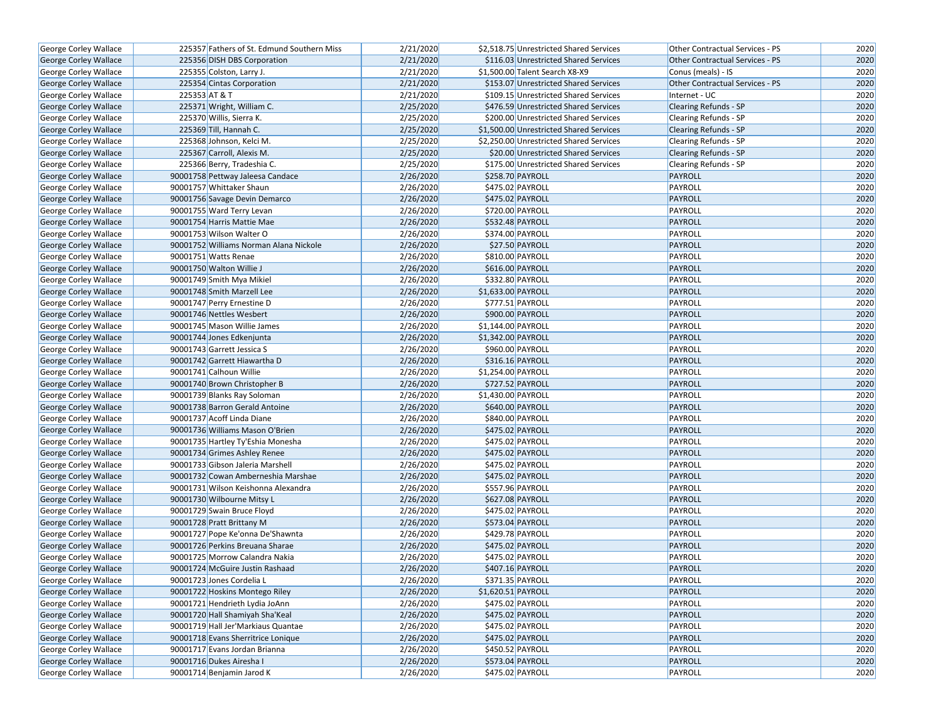| George Corley Wallace                          |               | 225357 Fathers of St. Edmund Southern Miss                          | 2/21/2020              |                    | \$2,518.75 Unrestricted Shared Services | Other Contractual Services - PS        | 2020 |
|------------------------------------------------|---------------|---------------------------------------------------------------------|------------------------|--------------------|-----------------------------------------|----------------------------------------|------|
| George Corley Wallace                          |               | 225356 DISH DBS Corporation                                         | 2/21/2020              |                    | \$116.03 Unrestricted Shared Services   | Other Contractual Services - PS        | 2020 |
| George Corley Wallace                          |               | 225355 Colston, Larry J.                                            | 2/21/2020              |                    | \$1,500.00 Talent Search X8-X9          | Conus (meals) - IS                     | 2020 |
| George Corley Wallace                          |               | 225354 Cintas Corporation                                           | 2/21/2020              |                    | \$153.07 Unrestricted Shared Services   | <b>Other Contractual Services - PS</b> | 2020 |
| George Corley Wallace                          | 225353 AT & T |                                                                     | 2/21/2020              |                    | \$109.15 Unrestricted Shared Services   | Internet - UC                          | 2020 |
| George Corley Wallace                          |               | 225371 Wright, William C.                                           | 2/25/2020              |                    | \$476.59 Unrestricted Shared Services   | Clearing Refunds - SP                  | 2020 |
| George Corley Wallace                          |               | 225370 Willis, Sierra K.                                            | 2/25/2020              |                    | \$200.00 Unrestricted Shared Services   | <b>Clearing Refunds - SP</b>           | 2020 |
| <b>George Corley Wallace</b>                   |               | 225369 Till, Hannah C.                                              | 2/25/2020              |                    | \$1,500.00 Unrestricted Shared Services | <b>Clearing Refunds - SP</b>           | 2020 |
| George Corley Wallace                          |               | 225368 Johnson, Kelci M.                                            | 2/25/2020              |                    | \$2,250.00 Unrestricted Shared Services | Clearing Refunds - SP                  | 2020 |
| George Corley Wallace                          |               | 225367 Carroll, Alexis M.                                           | 2/25/2020              |                    | \$20.00 Unrestricted Shared Services    | Clearing Refunds - SP                  | 2020 |
| George Corley Wallace                          |               | 225366 Berry, Tradeshia C.                                          | 2/25/2020              |                    | \$175.00 Unrestricted Shared Services   | Clearing Refunds - SP                  | 2020 |
| George Corley Wallace                          |               | 90001758 Pettway Jaleesa Candace                                    | 2/26/2020              |                    | \$258.70 PAYROLL                        | PAYROLL                                | 2020 |
| George Corley Wallace                          |               | 90001757 Whittaker Shaun                                            | 2/26/2020              |                    | \$475.02 PAYROLL                        | PAYROLL                                | 2020 |
| George Corley Wallace                          |               | 90001756 Savage Devin Demarco                                       | 2/26/2020              |                    | \$475.02 PAYROLL                        | PAYROLL                                | 2020 |
| George Corley Wallace                          |               | 90001755 Ward Terry Levan                                           | 2/26/2020              |                    | \$720.00 PAYROLL                        | PAYROLL                                | 2020 |
| George Corley Wallace                          |               | 90001754 Harris Mattie Mae                                          | 2/26/2020              |                    | \$532.48 PAYROLL                        | PAYROLL                                | 2020 |
| George Corley Wallace                          |               | 90001753 Wilson Walter O                                            | 2/26/2020              |                    | \$374.00 PAYROLL                        | PAYROLL                                | 2020 |
| George Corley Wallace                          |               | 90001752 Williams Norman Alana Nickole                              | 2/26/2020              |                    | \$27.50 PAYROLL                         | PAYROLL                                | 2020 |
| George Corley Wallace                          |               | 90001751 Watts Renae                                                | 2/26/2020              |                    | \$810.00 PAYROLL                        | PAYROLL                                | 2020 |
| George Corley Wallace                          |               | 90001750 Walton Willie J                                            | 2/26/2020              |                    | \$616.00 PAYROLL                        | PAYROLL                                | 2020 |
| <b>George Corley Wallace</b>                   |               | 90001749 Smith Mya Mikiel                                           | 2/26/2020              |                    | \$332.80 PAYROLL                        | PAYROLL                                | 2020 |
| George Corley Wallace                          |               | 90001748 Smith Marzell Lee                                          | 2/26/2020              |                    | \$1,633.00 PAYROLL                      | PAYROLL                                | 2020 |
| George Corley Wallace                          |               | 90001747 Perry Ernestine D                                          | 2/26/2020              |                    | \$777.51 PAYROLL                        | PAYROLL                                | 2020 |
| George Corley Wallace                          |               | 90001746 Nettles Wesbert                                            | 2/26/2020              |                    | \$900.00 PAYROLL                        | PAYROLL                                | 2020 |
| George Corley Wallace                          |               | 90001745 Mason Willie James                                         | 2/26/2020              | \$1,144.00 PAYROLL |                                         | PAYROLL                                | 2020 |
| George Corley Wallace                          |               | 90001744 Jones Edkenjunta                                           | 2/26/2020              |                    | \$1,342.00 PAYROLL                      | PAYROLL                                | 2020 |
| George Corley Wallace                          |               | 90001743 Garrett Jessica S                                          | 2/26/2020              |                    | \$960.00 PAYROLL                        | PAYROLL                                | 2020 |
| George Corley Wallace                          |               | 90001742 Garrett Hiawartha D                                        | 2/26/2020              |                    | \$316.16 PAYROLL                        | <b>PAYROLL</b>                         | 2020 |
| George Corley Wallace                          |               | 90001741 Calhoun Willie                                             | 2/26/2020              | \$1,254.00 PAYROLL |                                         | PAYROLL                                | 2020 |
| George Corley Wallace                          |               | 90001740 Brown Christopher B                                        | 2/26/2020              |                    | \$727.52 PAYROLL                        | PAYROLL                                | 2020 |
| George Corley Wallace                          |               | 90001739 Blanks Ray Soloman                                         | 2/26/2020              | \$1,430.00 PAYROLL |                                         | PAYROLL                                | 2020 |
| George Corley Wallace                          |               | 90001738 Barron Gerald Antoine                                      | 2/26/2020              |                    | \$640.00 PAYROLL                        | PAYROLL                                | 2020 |
| George Corley Wallace                          |               | 90001737 Acoff Linda Diane                                          | 2/26/2020              |                    | \$840.00 PAYROLL                        | PAYROLL                                | 2020 |
| George Corley Wallace                          |               | 90001736 Williams Mason O'Brien                                     | 2/26/2020              |                    | \$475.02 PAYROLL                        | PAYROLL                                | 2020 |
| George Corley Wallace                          |               | 90001735 Hartley Ty'Eshia Monesha                                   | 2/26/2020              |                    | \$475.02 PAYROLL                        | PAYROLL                                | 2020 |
| George Corley Wallace                          |               | 90001734 Grimes Ashley Renee                                        | 2/26/2020              |                    | \$475.02 PAYROLL                        | PAYROLL                                | 2020 |
| George Corley Wallace                          |               | 90001733 Gibson Jaleria Marshell                                    | 2/26/2020              |                    | \$475.02 PAYROLL                        | PAYROLL                                | 2020 |
| George Corley Wallace                          |               | 90001732 Cowan Amberneshia Marshae                                  | 2/26/2020              |                    | \$475.02 PAYROLL                        | PAYROLL                                | 2020 |
| George Corley Wallace                          |               | 90001731 Wilson Keishonna Alexandra                                 | 2/26/2020              |                    | \$557.96 PAYROLL                        | PAYROLL                                | 2020 |
| George Corley Wallace                          |               | 90001730 Wilbourne Mitsy L                                          | 2/26/2020              |                    | \$627.08 PAYROLL                        | PAYROLL                                | 2020 |
| George Corley Wallace                          |               | 90001729 Swain Bruce Floyd                                          | 2/26/2020              |                    | \$475.02 PAYROLL                        | PAYROLL                                | 2020 |
| George Corley Wallace                          |               | 90001728 Pratt Brittany M                                           | 2/26/2020              |                    | \$573.04 PAYROLL                        | PAYROLL                                | 2020 |
| George Corley Wallace                          |               | 90001727 Pope Ke'onna De'Shawnta                                    | 2/26/2020              |                    | \$429.78 PAYROLL                        | PAYROLL                                | 2020 |
| George Corley Wallace                          |               | 90001726 Perkins Breuana Sharae                                     | 2/26/2020              |                    | \$475.02 PAYROLL                        | PAYROLL                                | 2020 |
| George Corley Wallace                          |               | 90001725 Morrow Calandra Nakia                                      | 2/26/2020              |                    | \$475.02 PAYROLL                        | PAYROLL                                | 2020 |
| George Corley Wallace                          |               | 90001724 McGuire Justin Rashaad                                     | 2/26/2020              |                    | \$407.16 PAYROLL                        | PAYROLL                                | 2020 |
| George Corley Wallace                          |               | 90001723 Jones Cordelia L                                           | 2/26/2020              |                    | \$371.35 PAYROLL                        | PAYROLL                                | 2020 |
| <b>George Corley Wallace</b>                   |               | 90001722 Hoskins Montego Riley                                      | 2/26/2020              |                    | $$1,620.51$ PAYROLL                     | PAYROLL                                | 2020 |
| George Corley Wallace                          |               | 90001721 Hendrieth Lydia JoAnn                                      | 2/26/2020              |                    | \$475.02 PAYROLL                        | PAYROLL                                | 2020 |
| George Corley Wallace                          |               | 90001720 Hall Shamiyah Sha'Keal                                     |                        |                    | \$475.02 PAYROLL                        | PAYROLL                                | 2020 |
|                                                |               |                                                                     | 2/26/2020<br>2/26/2020 |                    | \$475.02 PAYROLL                        | PAYROLL                                | 2020 |
| George Corley Wallace                          |               | 90001719 Hall Jer'Markiaus Quantae                                  | 2/26/2020              |                    | \$475.02 PAYROLL                        | PAYROLL                                | 2020 |
| George Corley Wallace<br>George Corley Wallace |               | 90001718 Evans Sherritrice Lonique<br>90001717 Evans Jordan Brianna | 2/26/2020              |                    | \$450.52 PAYROLL                        | PAYROLL                                | 2020 |
|                                                |               |                                                                     | 2/26/2020              |                    |                                         | PAYROLL                                | 2020 |
| George Corley Wallace                          |               | 90001716 Dukes Airesha I<br>90001714 Benjamin Jarod K               |                        |                    | \$573.04 PAYROLL                        |                                        |      |
| George Corley Wallace                          |               |                                                                     | 2/26/2020              |                    | \$475.02 PAYROLL                        | PAYROLL                                | 2020 |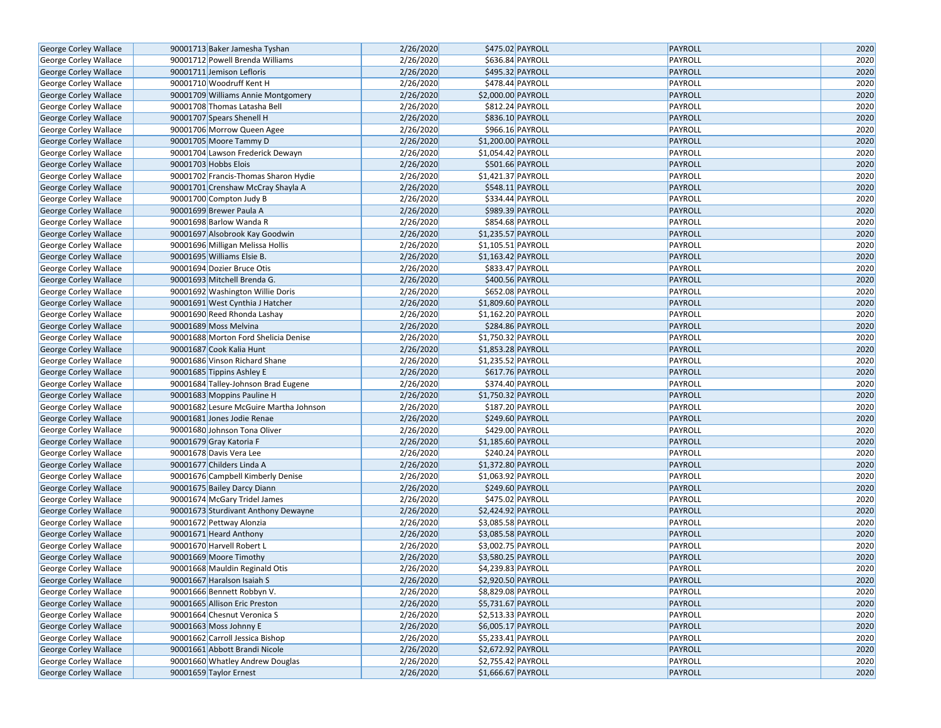| George Corley Wallace                          | 90001713 Baker Jamesha Tyshan          | 2/26/2020 | \$475.02 PAYROLL   | PAYROLL            | 2020 |
|------------------------------------------------|----------------------------------------|-----------|--------------------|--------------------|------|
| George Corley Wallace                          | 90001712 Powell Brenda Williams        | 2/26/2020 | \$636.84 PAYROLL   | PAYROLL            | 2020 |
| George Corley Wallace                          | 90001711 Jemison Lefloris              | 2/26/2020 | \$495.32 PAYROLL   | PAYROLL            | 2020 |
| George Corley Wallace                          | 90001710 Woodruff Kent H               | 2/26/2020 | \$478.44 PAYROLL   | PAYROLL            | 2020 |
| George Corley Wallace                          | 90001709 Williams Annie Montgomery     | 2/26/2020 | \$2,000.00 PAYROLL | PAYROLL            | 2020 |
| George Corley Wallace                          | 90001708 Thomas Latasha Bell           | 2/26/2020 | \$812.24 PAYROLL   | PAYROLL            | 2020 |
| George Corley Wallace                          | 90001707 Spears Shenell H              | 2/26/2020 | \$836.10 PAYROLL   | <b>PAYROLL</b>     | 2020 |
| George Corley Wallace                          | 90001706 Morrow Queen Agee             | 2/26/2020 | \$966.16 PAYROLL   | PAYROLL            | 2020 |
| <b>George Corley Wallace</b>                   | 90001705 Moore Tammy D                 | 2/26/2020 | \$1,200.00 PAYROLL | PAYROLL            | 2020 |
| George Corley Wallace                          | 90001704 Lawson Frederick Dewayn       | 2/26/2020 | \$1,054.42 PAYROLL | PAYROLL            | 2020 |
| George Corley Wallace                          | 90001703 Hobbs Elois                   | 2/26/2020 | \$501.66 PAYROLL   | PAYROLL            | 2020 |
| George Corley Wallace                          | 90001702 Francis-Thomas Sharon Hydie   | 2/26/2020 | \$1,421.37 PAYROLL | PAYROLL            | 2020 |
| George Corley Wallace                          | 90001701 Crenshaw McCray Shayla A      | 2/26/2020 | \$548.11 PAYROLL   | PAYROLL            | 2020 |
| George Corley Wallace                          | 90001700 Compton Judy B                | 2/26/2020 | \$334.44 PAYROLL   | PAYROLL            | 2020 |
| George Corley Wallace                          | 90001699 Brewer Paula A                | 2/26/2020 | \$989.39 PAYROLL   | PAYROLL            | 2020 |
| George Corley Wallace                          | 90001698 Barlow Wanda R                | 2/26/2020 | \$854.68 PAYROLL   | PAYROLL            | 2020 |
| George Corley Wallace                          | 90001697 Alsobrook Kay Goodwin         | 2/26/2020 | \$1,235.57 PAYROLL | <b>PAYROLL</b>     | 2020 |
| George Corley Wallace                          | 90001696 Milligan Melissa Hollis       | 2/26/2020 | \$1,105.51 PAYROLL | PAYROLL            | 2020 |
| George Corley Wallace                          | 90001695 Williams Elsie B.             | 2/26/2020 | \$1,163.42 PAYROLL | PAYROLL            | 2020 |
| George Corley Wallace                          | 90001694 Dozier Bruce Otis             | 2/26/2020 | \$833.47 PAYROLL   | PAYROLL            | 2020 |
| George Corley Wallace                          | 90001693 Mitchell Brenda G.            | 2/26/2020 | \$400.56 PAYROLL   | PAYROLL            | 2020 |
| George Corley Wallace                          | 90001692 Washington Willie Doris       | 2/26/2020 | \$652.08 PAYROLL   | PAYROLL            | 2020 |
| George Corley Wallace                          | 90001691 West Cynthia J Hatcher        | 2/26/2020 | \$1,809.60 PAYROLL | PAYROLL            | 2020 |
| George Corley Wallace                          | 90001690 Reed Rhonda Lashay            | 2/26/2020 | \$1,162.20 PAYROLL | PAYROLL            | 2020 |
| <b>George Corley Wallace</b>                   | 90001689 Moss Melvina                  | 2/26/2020 | \$284.86 PAYROLL   | PAYROLL            | 2020 |
| George Corley Wallace                          | 90001688 Morton Ford Shelicia Denise   | 2/26/2020 | \$1,750.32 PAYROLL | PAYROLL            | 2020 |
| George Corley Wallace                          | 90001687 Cook Kalia Hunt               | 2/26/2020 | \$1,853.28 PAYROLL | PAYROLL            | 2020 |
| George Corley Wallace                          | 90001686 Vinson Richard Shane          | 2/26/2020 | \$1,235.52 PAYROLL | PAYROLL            | 2020 |
| George Corley Wallace                          | 90001685 Tippins Ashley E              | 2/26/2020 | \$617.76 PAYROLL   | PAYROLL            | 2020 |
|                                                | 90001684 Talley-Johnson Brad Eugene    | 2/26/2020 | \$374.40 PAYROLL   | PAYROLL            | 2020 |
| George Corley Wallace<br>George Corley Wallace | 90001683 Moppins Pauline H             | 2/26/2020 | \$1,750.32 PAYROLL | PAYROLL            | 2020 |
| George Corley Wallace                          | 90001682 Lesure McGuire Martha Johnson | 2/26/2020 | \$187.20 PAYROLL   | PAYROLL            | 2020 |
| George Corley Wallace                          | 90001681 Jones Jodie Renae             | 2/26/2020 | \$249.60 PAYROLL   | PAYROLL            | 2020 |
| George Corley Wallace                          | 90001680 Johnson Tona Oliver           | 2/26/2020 | \$429.00 PAYROLL   | PAYROLL            | 2020 |
| George Corley Wallace                          | 90001679 Gray Katoria F                | 2/26/2020 | \$1,185.60 PAYROLL | PAYROLL            | 2020 |
| George Corley Wallace                          | 90001678 Davis Vera Lee                | 2/26/2020 | \$240.24 PAYROLL   | PAYROLL            | 2020 |
| George Corley Wallace                          | 90001677 Childers Linda A              | 2/26/2020 | \$1,372.80 PAYROLL | PAYROLL            | 2020 |
| George Corley Wallace                          | 90001676 Campbell Kimberly Denise      | 2/26/2020 | \$1,063.92 PAYROLL | PAYROLL            | 2020 |
|                                                |                                        | 2/26/2020 | \$249.60 PAYROLL   | PAYROLL            | 2020 |
| George Corley Wallace                          | 90001675 Bailey Darcy Diann            | 2/26/2020 | \$475.02 PAYROLL   | PAYROLL            | 2020 |
| George Corley Wallace<br>George Corley Wallace | 90001674 McGary Tridel James           | 2/26/2020 | \$2,424.92 PAYROLL | PAYROLL            | 2020 |
|                                                | 90001673 Sturdivant Anthony Dewayne    |           |                    |                    |      |
| George Corley Wallace                          | 90001672 Pettway Alonzia               | 2/26/2020 | \$3,085.58 PAYROLL | PAYROLL<br>PAYROLL | 2020 |
| George Corley Wallace                          | 90001671 Heard Anthony                 | 2/26/2020 | \$3,085.58 PAYROLL |                    | 2020 |
| George Corley Wallace                          | 90001670 Harvell Robert L              | 2/26/2020 | \$3,002.75 PAYROLL | PAYROLL            | 2020 |
| George Corley Wallace                          | 90001669 Moore Timothy                 | 2/26/2020 | \$3,580.25 PAYROLL | PAYROLL            | 2020 |
| George Corley Wallace                          | 90001668 Mauldin Reginald Otis         | 2/26/2020 | \$4,239.83 PAYROLL | PAYROLL            | 2020 |
| <b>George Corley Wallace</b>                   | 90001667 Haralson Isaiah S             | 2/26/2020 | \$2,920.50 PAYROLL | PAYROLL            | 2020 |
| George Corley Wallace                          | 90001666 Bennett Robbyn V.             | 2/26/2020 | \$8,829.08 PAYROLL | PAYROLL            | 2020 |
| George Corley Wallace                          | 90001665 Allison Eric Preston          | 2/26/2020 | \$5,731.67 PAYROLL | PAYROLL            | 2020 |
| George Corley Wallace                          | 90001664 Chesnut Veronica S            | 2/26/2020 | \$2,513.33 PAYROLL | PAYROLL            | 2020 |
| George Corley Wallace                          | 90001663 Moss Johnny E                 | 2/26/2020 | \$6,005.17 PAYROLL | PAYROLL            | 2020 |
| George Corley Wallace                          | 90001662 Carroll Jessica Bishop        | 2/26/2020 | \$5,233.41 PAYROLL | PAYROLL            | 2020 |
| George Corley Wallace                          | 90001661 Abbott Brandi Nicole          | 2/26/2020 | \$2,672.92 PAYROLL | PAYROLL            | 2020 |
| George Corley Wallace                          | 90001660 Whatley Andrew Douglas        | 2/26/2020 | \$2,755.42 PAYROLL | PAYROLL            | 2020 |
| George Corley Wallace                          | 90001659 Taylor Ernest                 | 2/26/2020 | \$1,666.67 PAYROLL | PAYROLL            | 2020 |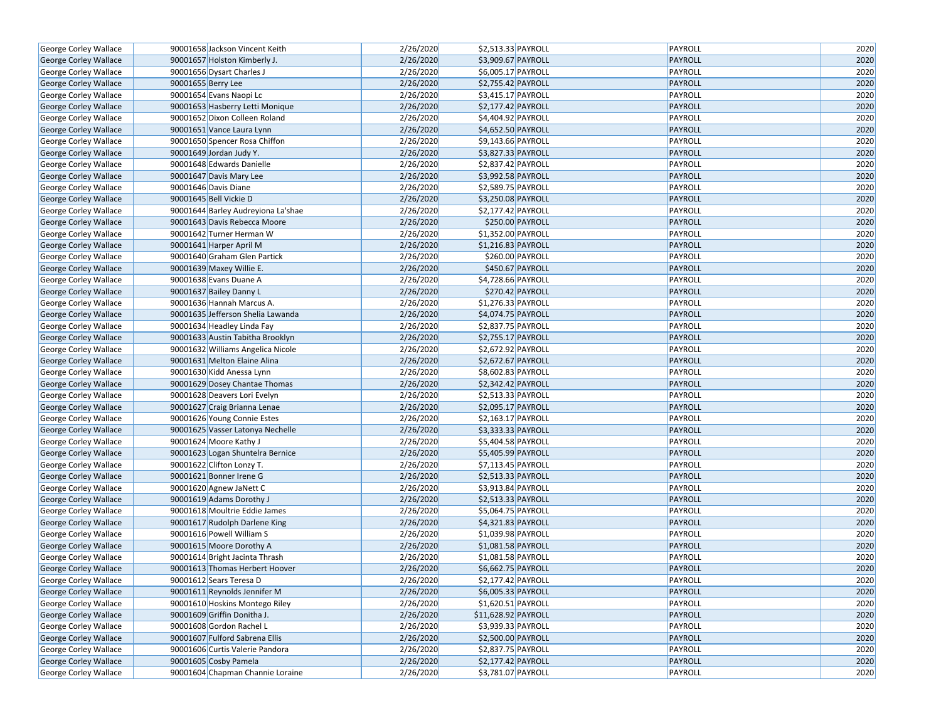| George Corley Wallace        | 90001658 Jackson Vincent Keith     | 2/26/2020 | \$2,513.33 PAYROLL  | PAYROLL        | 2020 |
|------------------------------|------------------------------------|-----------|---------------------|----------------|------|
| George Corley Wallace        | 90001657 Holston Kimberly J.       | 2/26/2020 | \$3,909.67 PAYROLL  | PAYROLL        | 2020 |
| George Corley Wallace        | 90001656 Dysart Charles J          | 2/26/2020 | \$6,005.17 PAYROLL  | PAYROLL        | 2020 |
| George Corley Wallace        | 90001655 Berry Lee                 | 2/26/2020 | \$2,755.42 PAYROLL  | PAYROLL        | 2020 |
| George Corley Wallace        | 90001654 Evans Naopi Lc            | 2/26/2020 | \$3,415.17 PAYROLL  | PAYROLL        | 2020 |
| George Corley Wallace        | 90001653 Hasberry Letti Monique    | 2/26/2020 | \$2,177.42 PAYROLL  | <b>PAYROLL</b> | 2020 |
| George Corley Wallace        | 90001652 Dixon Colleen Roland      | 2/26/2020 | \$4,404.92 PAYROLL  | PAYROLL        | 2020 |
| George Corley Wallace        | 90001651 Vance Laura Lynn          | 2/26/2020 | \$4,652.50 PAYROLL  | PAYROLL        | 2020 |
| George Corley Wallace        | 90001650 Spencer Rosa Chiffon      | 2/26/2020 | \$9,143.66 PAYROLL  | PAYROLL        | 2020 |
| George Corley Wallace        | 90001649 Jordan Judy Y.            | 2/26/2020 | \$3,827.33 PAYROLL  | PAYROLL        | 2020 |
| George Corley Wallace        | 90001648 Edwards Danielle          | 2/26/2020 | \$2,837.42 PAYROLL  | PAYROLL        | 2020 |
| George Corley Wallace        | 90001647 Davis Mary Lee            | 2/26/2020 | \$3,992.58 PAYROLL  | <b>PAYROLL</b> | 2020 |
| George Corley Wallace        | 90001646 Davis Diane               | 2/26/2020 | \$2,589.75 PAYROLL  | PAYROLL        | 2020 |
| George Corley Wallace        | 90001645 Bell Vickie D             | 2/26/2020 | \$3,250.08 PAYROLL  | <b>PAYROLL</b> | 2020 |
| George Corley Wallace        | 90001644 Barley Audreyiona La'shae | 2/26/2020 | \$2,177.42 PAYROLL  | PAYROLL        | 2020 |
| George Corley Wallace        | 90001643 Davis Rebecca Moore       | 2/26/2020 | \$250.00 PAYROLL    | <b>PAYROLL</b> | 2020 |
| George Corley Wallace        | 90001642 Turner Herman W           | 2/26/2020 | \$1,352.00 PAYROLL  | PAYROLL        | 2020 |
| George Corley Wallace        | 90001641 Harper April M            | 2/26/2020 | \$1,216.83 PAYROLL  | <b>PAYROLL</b> | 2020 |
| George Corley Wallace        | 90001640 Graham Glen Partick       | 2/26/2020 | \$260.00 PAYROLL    | PAYROLL        | 2020 |
| George Corley Wallace        | 90001639 Maxey Willie E.           | 2/26/2020 | \$450.67 PAYROLL    | <b>PAYROLL</b> | 2020 |
| George Corley Wallace        | 90001638 Evans Duane A             | 2/26/2020 | \$4,728.66 PAYROLL  | PAYROLL        | 2020 |
| George Corley Wallace        | 90001637 Bailey Danny L            | 2/26/2020 | \$270.42 PAYROLL    | <b>PAYROLL</b> | 2020 |
| George Corley Wallace        | 90001636 Hannah Marcus A.          | 2/26/2020 | \$1,276.33 PAYROLL  | PAYROLL        | 2020 |
| George Corley Wallace        | 90001635 Jefferson Shelia Lawanda  | 2/26/2020 | \$4,074.75 PAYROLL  | <b>PAYROLL</b> | 2020 |
| George Corley Wallace        | 90001634 Headley Linda Fay         | 2/26/2020 | \$2,837.75 PAYROLL  | PAYROLL        | 2020 |
| George Corley Wallace        | 90001633 Austin Tabitha Brooklyn   | 2/26/2020 | \$2,755.17 PAYROLL  | <b>PAYROLL</b> | 2020 |
| George Corley Wallace        | 90001632 Williams Angelica Nicole  | 2/26/2020 | \$2,672.92 PAYROLL  | PAYROLL        | 2020 |
| George Corley Wallace        | 90001631 Melton Elaine Alina       | 2/26/2020 | \$2,672.67 PAYROLL  | <b>PAYROLL</b> | 2020 |
| George Corley Wallace        | 90001630 Kidd Anessa Lynn          | 2/26/2020 | \$8,602.83 PAYROLL  | PAYROLL        | 2020 |
| George Corley Wallace        | 90001629 Dosey Chantae Thomas      | 2/26/2020 | \$2,342.42 PAYROLL  | <b>PAYROLL</b> | 2020 |
| George Corley Wallace        | 90001628 Deavers Lori Evelyn       | 2/26/2020 | \$2,513.33 PAYROLL  | PAYROLL        | 2020 |
| George Corley Wallace        | 90001627 Craig Brianna Lenae       | 2/26/2020 | \$2,095.17 PAYROLL  | <b>PAYROLL</b> | 2020 |
| George Corley Wallace        | 90001626 Young Connie Estes        | 2/26/2020 | \$2,163.17 PAYROLL  | PAYROLL        | 2020 |
| George Corley Wallace        | 90001625 Vasser Latonya Nechelle   | 2/26/2020 | \$3,333.33 PAYROLL  | <b>PAYROLL</b> | 2020 |
| George Corley Wallace        | 90001624 Moore Kathy J             | 2/26/2020 | \$5,404.58 PAYROLL  | PAYROLL        | 2020 |
| George Corley Wallace        | 90001623 Logan Shuntelra Bernice   | 2/26/2020 | \$5,405.99 PAYROLL  | <b>PAYROLL</b> | 2020 |
| George Corley Wallace        | 90001622 Clifton Lonzy T.          | 2/26/2020 | \$7,113.45 PAYROLL  | PAYROLL        | 2020 |
| George Corley Wallace        | 90001621 Bonner Irene G            | 2/26/2020 | \$2,513.33 PAYROLL  | <b>PAYROLL</b> | 2020 |
| George Corley Wallace        | 90001620 Agnew JaNett C            | 2/26/2020 | \$3,913.84 PAYROLL  | PAYROLL        | 2020 |
| George Corley Wallace        | 90001619 Adams Dorothy J           | 2/26/2020 | \$2,513.33 PAYROLL  | <b>PAYROLL</b> | 2020 |
| George Corley Wallace        | 90001618 Moultrie Eddie James      | 2/26/2020 | \$5,064.75 PAYROLL  | PAYROLL        | 2020 |
| George Corley Wallace        | 90001617 Rudolph Darlene King      | 2/26/2020 | \$4,321.83 PAYROLL  | <b>PAYROLL</b> | 2020 |
| George Corley Wallace        | 90001616 Powell William S          | 2/26/2020 | \$1,039.98 PAYROLL  | PAYROLL        | 2020 |
| George Corley Wallace        | 90001615 Moore Dorothy A           | 2/26/2020 | \$1,081.58 PAYROLL  | <b>PAYROLL</b> | 2020 |
| George Corley Wallace        | 90001614 Bright Jacinta Thrash     | 2/26/2020 | \$1,081.58 PAYROLL  | PAYROLL        | 2020 |
| <b>George Corley Wallace</b> | 90001613 Thomas Herbert Hoover     | 2/26/2020 | \$6,662.75 PAYROLL  | <b>PAYROLL</b> | 2020 |
| George Corley Wallace        | 90001612 Sears Teresa D            | 2/26/2020 | \$2,177.42 PAYROLL  | PAYROLL        | 2020 |
| George Corley Wallace        | 90001611 Reynolds Jennifer M       | 2/26/2020 | \$6,005.33 PAYROLL  | <b>PAYROLL</b> | 2020 |
| George Corley Wallace        | 90001610 Hoskins Montego Riley     | 2/26/2020 | \$1,620.51 PAYROLL  | PAYROLL        | 2020 |
| George Corley Wallace        | 90001609 Griffin Donitha J.        | 2/26/2020 | \$11,628.92 PAYROLL | <b>PAYROLL</b> | 2020 |
| George Corley Wallace        | 90001608 Gordon Rachel L           | 2/26/2020 | \$3,939.33 PAYROLL  | PAYROLL        | 2020 |
| George Corley Wallace        | 90001607 Fulford Sabrena Ellis     | 2/26/2020 | \$2,500.00 PAYROLL  | <b>PAYROLL</b> | 2020 |
| George Corley Wallace        | 90001606 Curtis Valerie Pandora    | 2/26/2020 | \$2,837.75 PAYROLL  | PAYROLL        | 2020 |
| George Corley Wallace        | 90001605 Cosby Pamela              | 2/26/2020 | \$2,177.42 PAYROLL  | <b>PAYROLL</b> | 2020 |
| George Corley Wallace        | 90001604 Chapman Channie Loraine   | 2/26/2020 | \$3,781.07 PAYROLL  | PAYROLL        | 2020 |
|                              |                                    |           |                     |                |      |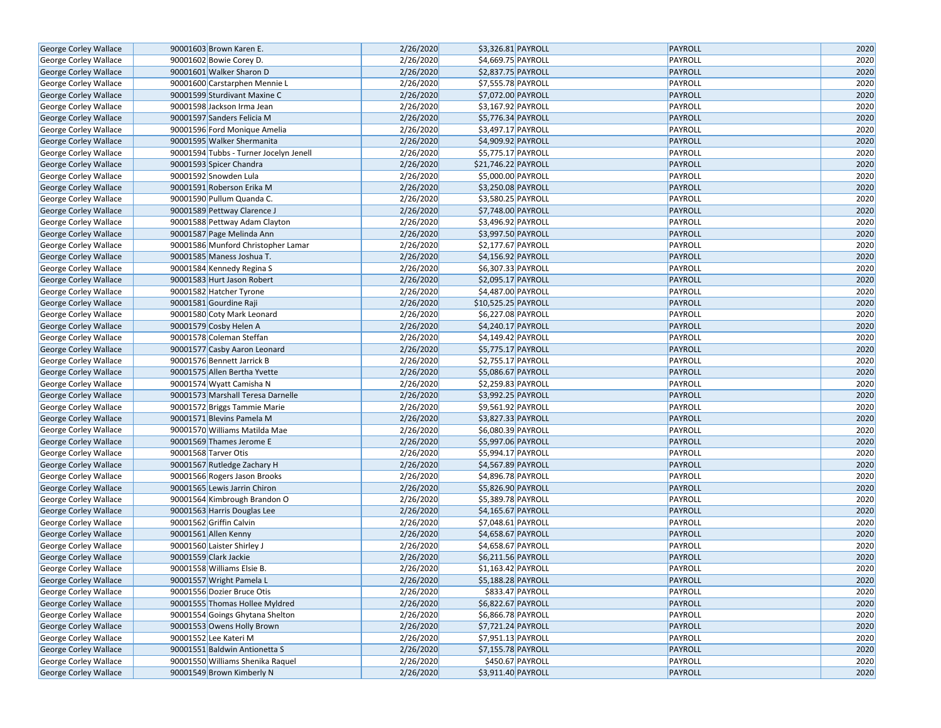| George Corley Wallace                          | 90001603 Brown Karen E.                | 2/26/2020 | \$3,326.81 PAYROLL             | PAYROLL        | 2020 |
|------------------------------------------------|----------------------------------------|-----------|--------------------------------|----------------|------|
| George Corley Wallace                          | 90001602 Bowie Corey D.                | 2/26/2020 | \$4,669.75 PAYROLL             | PAYROLL        | 2020 |
| <b>George Corley Wallace</b>                   | 90001601 Walker Sharon D               | 2/26/2020 | \$2,837.75 PAYROLL             | PAYROLL        | 2020 |
| George Corley Wallace                          | 90001600 Carstarphen Mennie L          | 2/26/2020 | \$7,555.78 PAYROLL             | PAYROLL        | 2020 |
|                                                | 90001599 Sturdivant Maxine C           | 2/26/2020 | \$7,072.00 PAYROLL             | PAYROLL        | 2020 |
| George Corley Wallace<br>George Corley Wallace | 90001598 Jackson Irma Jean             | 2/26/2020 | $\overline{$3,167.92}$ PAYROLL | PAYROLL        | 2020 |
| George Corley Wallace                          | 90001597 Sanders Felicia M             | 2/26/2020 | \$5,776.34 PAYROLL             | PAYROLL        | 2020 |
| George Corley Wallace                          | 90001596 Ford Monique Amelia           | 2/26/2020 | \$3,497.17 PAYROLL             | PAYROLL        | 2020 |
| George Corley Wallace                          | 90001595 Walker Shermanita             | 2/26/2020 | \$4,909.92 PAYROLL             | PAYROLL        | 2020 |
| George Corley Wallace                          | 90001594 Tubbs - Turner Jocelyn Jenell | 2/26/2020 | \$5,775.17 PAYROLL             | PAYROLL        | 2020 |
| George Corley Wallace                          | 90001593 Spicer Chandra                | 2/26/2020 | \$21,746.22 PAYROLL            | PAYROLL        | 2020 |
| George Corley Wallace                          | 90001592 Snowden Lula                  | 2/26/2020 | \$5,000.00 PAYROLL             | PAYROLL        | 2020 |
| George Corley Wallace                          | 90001591 Roberson Erika M              | 2/26/2020 | \$3,250.08 PAYROLL             | PAYROLL        | 2020 |
| George Corley Wallace                          | 90001590 Pullum Quanda C.              | 2/26/2020 | \$3,580.25 PAYROLL             | PAYROLL        | 2020 |
| George Corley Wallace                          | 90001589 Pettway Clarence J            | 2/26/2020 | \$7,748.00 PAYROLL             | PAYROLL        | 2020 |
| George Corley Wallace                          | 90001588 Pettway Adam Clayton          | 2/26/2020 | \$3,496.92 PAYROLL             | PAYROLL        | 2020 |
| George Corley Wallace                          | 90001587 Page Melinda Ann              | 2/26/2020 | \$3,997.50 PAYROLL             | PAYROLL        | 2020 |
| George Corley Wallace                          | 90001586 Munford Christopher Lamar     | 2/26/2020 | \$2,177.67 PAYROLL             | PAYROLL        | 2020 |
| George Corley Wallace                          | 90001585 Maness Joshua T.              | 2/26/2020 | \$4,156.92 PAYROLL             | PAYROLL        | 2020 |
| George Corley Wallace                          | 90001584 Kennedy Regina S              | 2/26/2020 | \$6,307.33 PAYROLL             | PAYROLL        | 2020 |
| George Corley Wallace                          | 90001583 Hurt Jason Robert             | 2/26/2020 | \$2,095.17 PAYROLL             | PAYROLL        | 2020 |
| George Corley Wallace                          | 90001582 Hatcher Tyrone                | 2/26/2020 | \$4,487.00 PAYROLL             | PAYROLL        | 2020 |
| George Corley Wallace                          | 90001581 Gourdine Raji                 | 2/26/2020 | \$10,525.25 PAYROLL            | PAYROLL        | 2020 |
| George Corley Wallace                          | 90001580 Coty Mark Leonard             | 2/26/2020 | \$6,227.08 PAYROLL             | PAYROLL        | 2020 |
| George Corley Wallace                          | 90001579 Cosby Helen A                 | 2/26/2020 | \$4,240.17 PAYROLL             | PAYROLL        | 2020 |
| George Corley Wallace                          | 90001578 Coleman Steffan               | 2/26/2020 | \$4,149.42 PAYROLL             | PAYROLL        | 2020 |
| George Corley Wallace                          | 90001577 Casby Aaron Leonard           | 2/26/2020 | \$5,775.17 PAYROLL             | PAYROLL        | 2020 |
| George Corley Wallace                          | 90001576 Bennett Jarrick B             | 2/26/2020 | \$2,755.17 PAYROLL             | PAYROLL        | 2020 |
| George Corley Wallace                          | 90001575 Allen Bertha Yvette           | 2/26/2020 | \$5,086.67 PAYROLL             | PAYROLL        | 2020 |
| George Corley Wallace                          | 90001574 Wyatt Camisha N               | 2/26/2020 | \$2,259.83 PAYROLL             | PAYROLL        | 2020 |
| George Corley Wallace                          | 90001573 Marshall Teresa Darnelle      | 2/26/2020 | \$3,992.25 PAYROLL             | PAYROLL        | 2020 |
| George Corley Wallace                          | 90001572 Briggs Tammie Marie           | 2/26/2020 | \$9,561.92 PAYROLL             | PAYROLL        | 2020 |
| George Corley Wallace                          | 90001571 Blevins Pamela M              | 2/26/2020 | \$3,827.33 PAYROLL             | PAYROLL        | 2020 |
| George Corley Wallace                          | 90001570 Williams Matilda Mae          | 2/26/2020 | \$6,080.39 PAYROLL             | PAYROLL        | 2020 |
| George Corley Wallace                          | 90001569 Thames Jerome E               | 2/26/2020 | \$5,997.06 PAYROLL             | PAYROLL        | 2020 |
| George Corley Wallace                          | 90001568 Tarver Otis                   | 2/26/2020 | \$5,994.17 PAYROLL             | PAYROLL        | 2020 |
| George Corley Wallace                          | 90001567 Rutledge Zachary H            | 2/26/2020 | \$4,567.89 PAYROLL             | PAYROLL        | 2020 |
| George Corley Wallace                          | 90001566 Rogers Jason Brooks           | 2/26/2020 | \$4,896.78 PAYROLL             | PAYROLL        | 2020 |
| George Corley Wallace                          | 90001565 Lewis Jarrin Chiron           | 2/26/2020 | \$5,826.90 PAYROLL             | PAYROLL        | 2020 |
| George Corley Wallace                          | 90001564 Kimbrough Brandon O           | 2/26/2020 | \$5,389.78 PAYROLL             | PAYROLL        | 2020 |
| George Corley Wallace                          | 90001563 Harris Douglas Lee            | 2/26/2020 | \$4,165.67 PAYROLL             | PAYROLL        | 2020 |
| George Corley Wallace                          | 90001562 Griffin Calvin                | 2/26/2020 | \$7,048.61 PAYROLL             | PAYROLL        | 2020 |
| George Corley Wallace                          | 90001561 Allen Kenny                   | 2/26/2020 | \$4,658.67 PAYROLL             | PAYROLL        | 2020 |
| George Corley Wallace                          | 90001560 Laister Shirley J             | 2/26/2020 | \$4,658.67 PAYROLL             | <b>PAYROLL</b> | 2020 |
| <b>George Corley Wallace</b>                   | 90001559 Clark Jackie                  | 2/26/2020 | \$6,211.56 PAYROLL             | PAYROLL        | 2020 |
| George Corley Wallace                          | 90001558 Williams Elsie B.             | 2/26/2020 | \$1,163.42 PAYROLL             | PAYROLL        | 2020 |
| George Corley Wallace                          | 90001557 Wright Pamela L               | 2/26/2020 | \$5,188.28 PAYROLL             | PAYROLL        | 2020 |
| George Corley Wallace                          | 90001556 Dozier Bruce Otis             | 2/26/2020 | \$833.47 PAYROLL               | PAYROLL        | 2020 |
| George Corley Wallace                          | 90001555 Thomas Hollee Myldred         | 2/26/2020 | \$6,822.67 PAYROLL             | PAYROLL        | 2020 |
| George Corley Wallace                          | 90001554 Goings Ghytana Shelton        | 2/26/2020 | \$6,866.78 PAYROLL             | PAYROLL        | 2020 |
| George Corley Wallace                          | 90001553 Owens Holly Brown             | 2/26/2020 | \$7,721.24 PAYROLL             | PAYROLL        | 2020 |
| George Corley Wallace                          | 90001552 Lee Kateri M                  | 2/26/2020 | \$7,951.13 PAYROLL             | PAYROLL        | 2020 |
| George Corley Wallace                          | 90001551 Baldwin Antionetta S          | 2/26/2020 | \$7,155.78 PAYROLL             | PAYROLL        | 2020 |
| George Corley Wallace                          | 90001550 Williams Shenika Raguel       | 2/26/2020 | \$450.67 PAYROLL               | PAYROLL        | 2020 |
| George Corley Wallace                          | 90001549 Brown Kimberly N              | 2/26/2020 | \$3,911.40 PAYROLL             | PAYROLL        | 2020 |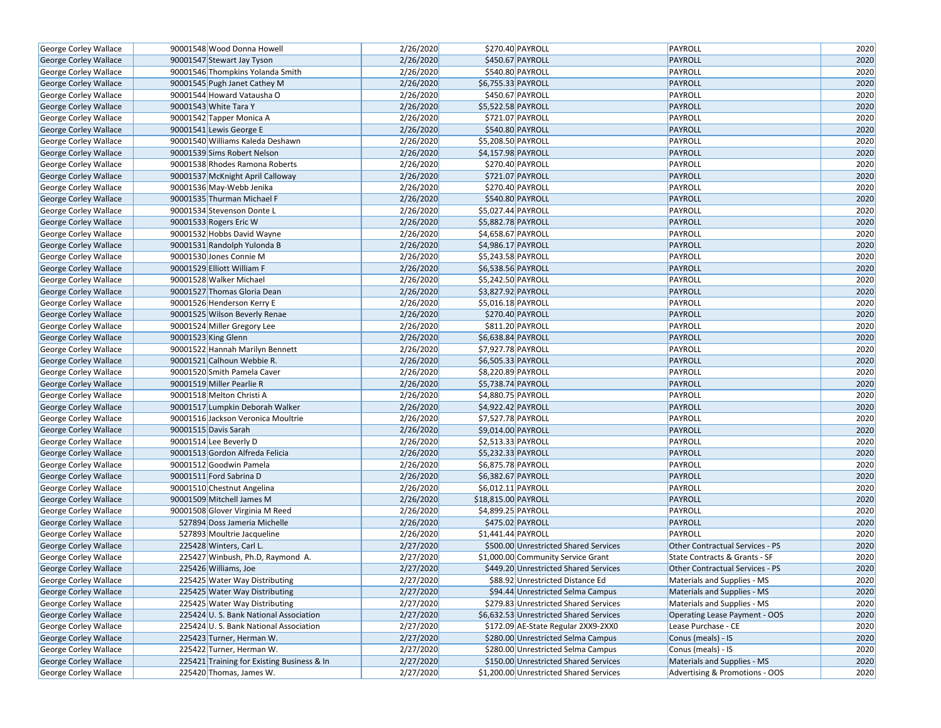| George Corley Wallace        | 90001548 Wood Donna Howell                 | 2/26/2020 | \$270.40 PAYROLL                        | PAYROLL                                | 2020 |
|------------------------------|--------------------------------------------|-----------|-----------------------------------------|----------------------------------------|------|
| George Corley Wallace        | 90001547 Stewart Jay Tyson                 | 2/26/2020 | \$450.67 PAYROLL                        | PAYROLL                                | 2020 |
| George Corley Wallace        | 90001546 Thompkins Yolanda Smith           | 2/26/2020 | \$540.80 PAYROLL                        | PAYROLL                                | 2020 |
| George Corley Wallace        | 90001545 Pugh Janet Cathey M               | 2/26/2020 | \$6,755.33 PAYROLL                      | PAYROLL                                | 2020 |
| George Corley Wallace        | 90001544 Howard Vatausha O                 | 2/26/2020 | \$450.67 PAYROLL                        | PAYROLL                                | 2020 |
| George Corley Wallace        | 90001543 White Tara Y                      | 2/26/2020 | \$5,522.58 PAYROLL                      | PAYROLL                                | 2020 |
| George Corley Wallace        | 90001542 Tapper Monica A                   | 2/26/2020 | \$721.07 PAYROLL                        | PAYROLL                                | 2020 |
| <b>George Corley Wallace</b> | 90001541 Lewis George E                    | 2/26/2020 | \$540.80 PAYROLL                        | PAYROLL                                | 2020 |
| George Corley Wallace        | 90001540 Williams Kaleda Deshawn           | 2/26/2020 | \$5,208.50 PAYROLL                      | PAYROLL                                | 2020 |
| George Corley Wallace        | 90001539 Sims Robert Nelson                | 2/26/2020 | \$4,157.98 PAYROLL                      | PAYROLL                                | 2020 |
| George Corley Wallace        | 90001538 Rhodes Ramona Roberts             | 2/26/2020 | \$270.40 PAYROLL                        | PAYROLL                                | 2020 |
| George Corley Wallace        | 90001537 McKnight April Calloway           | 2/26/2020 | \$721.07 PAYROLL                        | <b>PAYROLL</b>                         | 2020 |
| George Corley Wallace        | 90001536 May-Webb Jenika                   | 2/26/2020 | \$270.40 PAYROLL                        | PAYROLL                                | 2020 |
| George Corley Wallace        | 90001535 Thurman Michael F                 | 2/26/2020 | \$540.80 PAYROLL                        | PAYROLL                                | 2020 |
| George Corley Wallace        | 90001534 Stevenson Donte L                 | 2/26/2020 | \$5,027.44 PAYROLL                      | PAYROLL                                | 2020 |
| George Corley Wallace        | 90001533 Rogers Eric W                     | 2/26/2020 | \$5,882.78 PAYROLL                      | PAYROLL                                | 2020 |
| George Corley Wallace        | 90001532 Hobbs David Wayne                 | 2/26/2020 | \$4,658.67 PAYROLL                      | PAYROLL                                | 2020 |
| George Corley Wallace        | 90001531 Randolph Yulonda B                | 2/26/2020 | \$4,986.17 PAYROLL                      | PAYROLL                                | 2020 |
| George Corley Wallace        | 90001530 Jones Connie M                    | 2/26/2020 | \$5,243.58 PAYROLL                      | PAYROLL                                | 2020 |
| George Corley Wallace        | 90001529 Elliott William F                 | 2/26/2020 | \$6,538.56 PAYROLL                      | PAYROLL                                | 2020 |
| George Corley Wallace        | 90001528 Walker Michael                    | 2/26/2020 | \$5,242.50 PAYROLL                      | PAYROLL                                | 2020 |
| George Corley Wallace        | 90001527 Thomas Gloria Dean                | 2/26/2020 | \$3,827.92 PAYROLL                      | PAYROLL                                | 2020 |
| George Corley Wallace        | 90001526 Henderson Kerry E                 | 2/26/2020 | \$5,016.18 PAYROLL                      | PAYROLL                                | 2020 |
| George Corley Wallace        | 90001525 Wilson Beverly Renae              | 2/26/2020 | \$270.40 PAYROLL                        | PAYROLL                                | 2020 |
| George Corley Wallace        | 90001524 Miller Gregory Lee                | 2/26/2020 | \$811.20 PAYROLL                        | PAYROLL                                | 2020 |
| George Corley Wallace        | 90001523 King Glenn                        | 2/26/2020 | \$6,638.84 PAYROLL                      | PAYROLL                                | 2020 |
| George Corley Wallace        | 90001522 Hannah Marilyn Bennett            | 2/26/2020 | \$7,927.78 PAYROLL                      | PAYROLL                                | 2020 |
| George Corley Wallace        | 90001521 Calhoun Webbie R.                 | 2/26/2020 | \$6,505.33 PAYROLL                      | PAYROLL                                | 2020 |
| George Corley Wallace        | 90001520 Smith Pamela Caver                | 2/26/2020 | \$8,220.89 PAYROLL                      | PAYROLL                                | 2020 |
| George Corley Wallace        | 90001519 Miller Pearlie R                  | 2/26/2020 | \$5,738.74 PAYROLL                      | PAYROLL                                | 2020 |
| George Corley Wallace        | 90001518 Melton Christi A                  | 2/26/2020 | \$4,880.75 PAYROLL                      | PAYROLL                                | 2020 |
| George Corley Wallace        | 90001517 Lumpkin Deborah Walker            | 2/26/2020 | \$4,922.42 PAYROLL                      | PAYROLL                                | 2020 |
| George Corley Wallace        | 90001516 Jackson Veronica Moultrie         | 2/26/2020 | \$7,527.78 PAYROLL                      | PAYROLL                                | 2020 |
| George Corley Wallace        | 90001515 Davis Sarah                       | 2/26/2020 | \$9,014.00 PAYROLL                      | PAYROLL                                | 2020 |
| George Corley Wallace        | 90001514 Lee Beverly D                     | 2/26/2020 | \$2,513.33 PAYROLL                      | PAYROLL                                | 2020 |
| George Corley Wallace        | 90001513 Gordon Alfreda Felicia            | 2/26/2020 | \$5,232.33 PAYROLL                      | PAYROLL                                | 2020 |
| George Corley Wallace        | 90001512 Goodwin Pamela                    | 2/26/2020 | \$6,875.78 PAYROLL                      | PAYROLL                                | 2020 |
| George Corley Wallace        | 90001511 Ford Sabrina D                    | 2/26/2020 | \$6,382.67 PAYROLL                      | PAYROLL                                | 2020 |
| George Corley Wallace        | 90001510 Chestnut Angelina                 | 2/26/2020 | \$6,012.11 PAYROLL                      | PAYROLL                                | 2020 |
| George Corley Wallace        | 90001509 Mitchell James M                  | 2/26/2020 | \$18,815.00 PAYROLL                     | PAYROLL                                | 2020 |
| George Corley Wallace        | 90001508 Glover Virginia M Reed            | 2/26/2020 | \$4,899.25 PAYROLL                      | PAYROLL                                | 2020 |
| George Corley Wallace        | 527894 Doss Jameria Michelle               | 2/26/2020 | \$475.02 PAYROLL                        | PAYROLL                                | 2020 |
| George Corley Wallace        | 527893 Moultrie Jacqueline                 | 2/26/2020 | \$1,441.44 PAYROLL                      | PAYROLL                                | 2020 |
| George Corley Wallace        | 225428 Winters, Carl L.                    | 2/27/2020 | \$500.00 Unrestricted Shared Services   | <b>Other Contractual Services - PS</b> | 2020 |
| George Corley Wallace        | 225427 Winbush, Ph.D, Raymond A.           | 2/27/2020 | \$1,000.00 Community Service Grant      | State Contracts & Grants - SF          | 2020 |
| George Corley Wallace        | 225426 Williams, Joe                       | 2/27/2020 | \$449.20 Unrestricted Shared Services   | <b>Other Contractual Services - PS</b> | 2020 |
| George Corley Wallace        | 225425 Water Way Distributing              | 2/27/2020 | \$88.92 Unrestricted Distance Ed        | Materials and Supplies - MS            | 2020 |
| <b>George Corley Wallace</b> | 225425 Water Way Distributing              | 2/27/2020 | \$94.44 Unrestricted Selma Campus       | Materials and Supplies - MS            | 2020 |
| George Corley Wallace        | 225425 Water Way Distributing              | 2/27/2020 | \$279.83 Unrestricted Shared Services   | Materials and Supplies - MS            | 2020 |
| George Corley Wallace        | 225424 U.S. Bank National Association      | 2/27/2020 | \$6,632.53 Unrestricted Shared Services | Operating Lease Payment - OOS          | 2020 |
| George Corley Wallace        | 225424 U.S. Bank National Association      | 2/27/2020 | \$172.09 AE-State Regular 2XX9-2XX0     | Lease Purchase - CE                    | 2020 |
| George Corley Wallace        | 225423 Turner, Herman W.                   | 2/27/2020 | \$280.00 Unrestricted Selma Campus      | Conus (meals) - IS                     | 2020 |
| George Corley Wallace        | 225422 Turner, Herman W.                   | 2/27/2020 | \$280.00 Unrestricted Selma Campus      | Conus (meals) - IS                     | 2020 |
| George Corley Wallace        | 225421 Training for Existing Business & In | 2/27/2020 | \$150.00 Unrestricted Shared Services   | Materials and Supplies - MS            | 2020 |
| George Corley Wallace        | 225420 Thomas, James W.                    | 2/27/2020 | \$1,200.00 Unrestricted Shared Services | Advertising & Promotions - OOS         | 2020 |
|                              |                                            |           |                                         |                                        |      |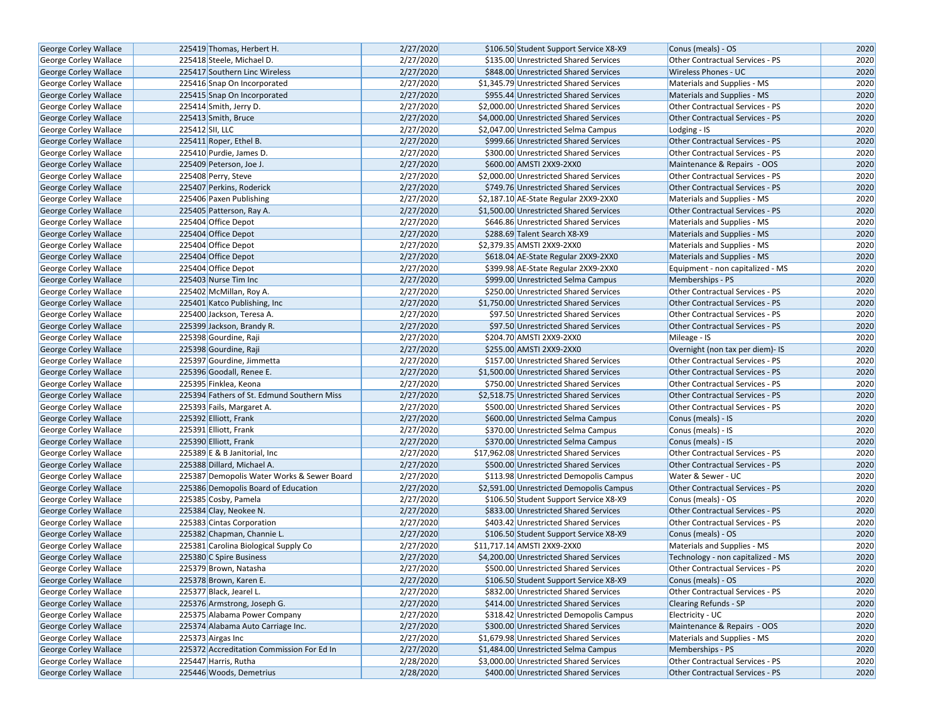| George Corley Wallace        | 225419 Thomas, Herbert H.                  | 2/27/2020 | \$106.50 Student Support Service X8-X9   | Conus (meals) - OS                     | 2020 |
|------------------------------|--------------------------------------------|-----------|------------------------------------------|----------------------------------------|------|
| <b>George Corley Wallace</b> | 225418 Steele, Michael D.                  | 2/27/2020 | \$135.00 Unrestricted Shared Services    | Other Contractual Services - PS        | 2020 |
| <b>George Corley Wallace</b> | 225417 Southern Linc Wireless              | 2/27/2020 | \$848.00 Unrestricted Shared Services    | <b>Wireless Phones - UC</b>            | 2020 |
| George Corley Wallace        | 225416 Snap On Incorporated                | 2/27/2020 | \$1.345.79 Unrestricted Shared Services  | Materials and Supplies - MS            | 2020 |
| George Corley Wallace        | 225415 Snap On Incorporated                | 2/27/2020 | \$955.44 Unrestricted Shared Services    | Materials and Supplies - MS            | 2020 |
| George Corley Wallace        | 225414 Smith, Jerry D.                     | 2/27/2020 | \$2,000.00 Unrestricted Shared Services  | Other Contractual Services - PS        | 2020 |
| George Corley Wallace        | 225413 Smith, Bruce                        | 2/27/2020 | \$4,000.00 Unrestricted Shared Services  | <b>Other Contractual Services - PS</b> | 2020 |
| <b>George Corley Wallace</b> | 225412 SII, LLC                            | 2/27/2020 | \$2,047.00 Unrestricted Selma Campus     | Lodging - IS                           | 2020 |
| <b>George Corley Wallace</b> | 225411 Roper, Ethel B.                     | 2/27/2020 | \$999.66 Unrestricted Shared Services    | <b>Other Contractual Services - PS</b> | 2020 |
| George Corley Wallace        | 225410 Purdie, James D.                    | 2/27/2020 | \$300.00 Unrestricted Shared Services    | Other Contractual Services - PS        | 2020 |
| George Corley Wallace        | 225409 Peterson, Joe J.                    | 2/27/2020 | \$600.00 AMSTI 2XX9-2XX0                 | Maintenance & Repairs - OOS            | 2020 |
| George Corley Wallace        | 225408 Perry, Steve                        | 2/27/2020 | \$2,000.00 Unrestricted Shared Services  | Other Contractual Services - PS        | 2020 |
| George Corley Wallace        | 225407 Perkins, Roderick                   | 2/27/2020 | \$749.76 Unrestricted Shared Services    | <b>Other Contractual Services - PS</b> | 2020 |
| <b>George Corley Wallace</b> | 225406 Paxen Publishing                    | 2/27/2020 | \$2,187.10 AE-State Regular 2XX9-2XX0    | Materials and Supplies - MS            | 2020 |
| <b>George Corley Wallace</b> | 225405 Patterson, Ray A.                   | 2/27/2020 | \$1,500.00 Unrestricted Shared Services  | Other Contractual Services - PS        | 2020 |
| <b>George Corley Wallace</b> | 225404 Office Depot                        | 2/27/2020 | \$646.86 Unrestricted Shared Services    | Materials and Supplies - MS            | 2020 |
| George Corley Wallace        | 225404 Office Depot                        | 2/27/2020 | \$288.69 Talent Search X8-X9             | Materials and Supplies - MS            | 2020 |
| George Corley Wallace        | 225404 Office Depot                        | 2/27/2020 | \$2,379.35 AMSTI 2XX9-2XX0               | Materials and Supplies - MS            | 2020 |
| George Corley Wallace        | 225404 Office Depot                        | 2/27/2020 | \$618.04 AE-State Regular 2XX9-2XX0      | Materials and Supplies - MS            | 2020 |
| <b>George Corley Wallace</b> | 225404 Office Depot                        | 2/27/2020 | \$399.98 AE-State Regular 2XX9-2XX0      | Equipment - non capitalized - MS       | 2020 |
| <b>George Corley Wallace</b> | 225403 Nurse Tim Inc                       | 2/27/2020 | \$999.00 Unrestricted Selma Campus       | Memberships - PS                       | 2020 |
| George Corley Wallace        | 225402 McMillan, Roy A.                    | 2/27/2020 | \$250.00 Unrestricted Shared Services    | Other Contractual Services - PS        | 2020 |
| George Corley Wallace        | 225401 Katco Publishing, Inc.              | 2/27/2020 | \$1,750.00 Unrestricted Shared Services  | <b>Other Contractual Services - PS</b> | 2020 |
| George Corley Wallace        | 225400 Jackson, Teresa A.                  | 2/27/2020 | \$97.50 Unrestricted Shared Services     | <b>Other Contractual Services - PS</b> | 2020 |
| George Corley Wallace        | 225399 Jackson, Brandy R.                  | 2/27/2020 | \$97.50 Unrestricted Shared Services     | Other Contractual Services - PS        | 2020 |
| George Corley Wallace        | 225398 Gourdine, Raji                      | 2/27/2020 | \$204.70 AMSTI 2XX9-2XX0                 | Mileage - IS                           | 2020 |
| George Corley Wallace        | 225398 Gourdine, Raji                      | 2/27/2020 | \$255.00 AMSTI 2XX9-2XX0                 | Overnight (non tax per diem)- IS       | 2020 |
| George Corley Wallace        | 225397 Gourdine, Jimmetta                  | 2/27/2020 | \$157.00 Unrestricted Shared Services    | Other Contractual Services - PS        | 2020 |
| George Corley Wallace        | 225396 Goodall, Renee E.                   | 2/27/2020 | \$1,500.00 Unrestricted Shared Services  | <b>Other Contractual Services - PS</b> | 2020 |
| George Corley Wallace        | 225395 Finklea, Keona                      | 2/27/2020 | \$750.00 Unrestricted Shared Services    | Other Contractual Services - PS        | 2020 |
| <b>George Corley Wallace</b> | 225394 Fathers of St. Edmund Southern Miss | 2/27/2020 | \$2,518.75 Unrestricted Shared Services  | <b>Other Contractual Services - PS</b> | 2020 |
| George Corley Wallace        | 225393 Fails, Margaret A.                  | 2/27/2020 | \$500.00 Unrestricted Shared Services    | Other Contractual Services - PS        | 2020 |
| George Corley Wallace        | 225392 Elliott, Frank                      | 2/27/2020 | \$600.00 Unrestricted Selma Campus       | Conus (meals) - IS                     | 2020 |
| George Corley Wallace        | 225391 Elliott, Frank                      | 2/27/2020 | \$370.00 Unrestricted Selma Campus       | Conus (meals) - IS                     | 2020 |
| George Corley Wallace        | 225390 Elliott, Frank                      | 2/27/2020 | \$370.00 Unrestricted Selma Campus       | Conus (meals) - IS                     | 2020 |
| George Corley Wallace        | 225389 E & B Janitorial, Inc.              | 2/27/2020 | \$17,962.08 Unrestricted Shared Services | <b>Other Contractual Services - PS</b> | 2020 |
| <b>George Corley Wallace</b> | 225388 Dillard, Michael A.                 | 2/27/2020 | \$500.00 Unrestricted Shared Services    | <b>Other Contractual Services - PS</b> | 2020 |
| George Corley Wallace        | 225387 Demopolis Water Works & Sewer Board | 2/27/2020 | \$113.98 Unrestricted Demopolis Campus   | Water & Sewer - UC                     | 2020 |
| George Corley Wallace        | 225386 Demopolis Board of Education        | 2/27/2020 | \$2,591.00 Unrestricted Demopolis Campus | Other Contractual Services - PS        | 2020 |
| George Corley Wallace        | 225385 Cosby, Pamela                       | 2/27/2020 | \$106.50 Student Support Service X8-X9   | Conus (meals) - OS                     | 2020 |
| <b>George Corley Wallace</b> | 225384 Clay, Neokee N.                     | 2/27/2020 | \$833.00 Unrestricted Shared Services    | <b>Other Contractual Services - PS</b> | 2020 |
| George Corley Wallace        | 225383 Cintas Corporation                  | 2/27/2020 | \$403.42 Unrestricted Shared Services    | Other Contractual Services - PS        | 2020 |
| George Corley Wallace        | 225382 Chapman, Channie L.                 | 2/27/2020 | \$106.50 Student Support Service X8-X9   | Conus (meals) - OS                     | 2020 |
| George Corley Wallace        | 225381 Carolina Biological Supply Co       | 2/27/2020 | \$11,717.14 AMSTI 2XX9-2XX0              | Materials and Supplies - MS            | 2020 |
| <b>George Corley Wallace</b> | 225380 C Spire Business                    | 2/27/2020 | \$4,200.00 Unrestricted Shared Services  | Technology - non capitalized - MS      | 2020 |
| George Corley Wallace        | 225379 Brown, Natasha                      | 2/27/2020 | \$500.00 Unrestricted Shared Services    | <b>Other Contractual Services - PS</b> | 2020 |
| George Corley Wallace        | 225378 Brown, Karen E.                     | 2/27/2020 | \$106.50 Student Support Service X8-X9   | Conus (meals) - OS                     | 2020 |
|                              | 225377 Black, Jearel L.                    | 2/27/2020 | \$832.00 Unrestricted Shared Services    | Other Contractual Services - PS        | 2020 |
| <b>George Corley Wallace</b> |                                            |           |                                          |                                        |      |
| George Corley Wallace        | 225376 Armstrong, Joseph G.                | 2/27/2020 | \$414.00 Unrestricted Shared Services    | <b>Clearing Refunds - SP</b>           | 2020 |
| <b>George Corley Wallace</b> | 225375 Alabama Power Company               | 2/27/2020 | \$318.42 Unrestricted Demopolis Campus   | Electricity - UC                       | 2020 |
| George Corley Wallace        | 225374 Alabama Auto Carriage Inc.          | 2/27/2020 | \$300.00 Unrestricted Shared Services    | Maintenance & Repairs - OOS            | 2020 |
| <b>George Corley Wallace</b> | 225373 Airgas Inc                          | 2/27/2020 | \$1,679.98 Unrestricted Shared Services  | Materials and Supplies - MS            | 2020 |
| George Corley Wallace        | 225372 Accreditation Commission For Ed In  | 2/27/2020 | \$1,484.00 Unrestricted Selma Campus     | Memberships - PS                       | 2020 |
| George Corley Wallace        | 225447 Harris, Rutha                       | 2/28/2020 | \$3,000.00 Unrestricted Shared Services  | Other Contractual Services - PS        | 2020 |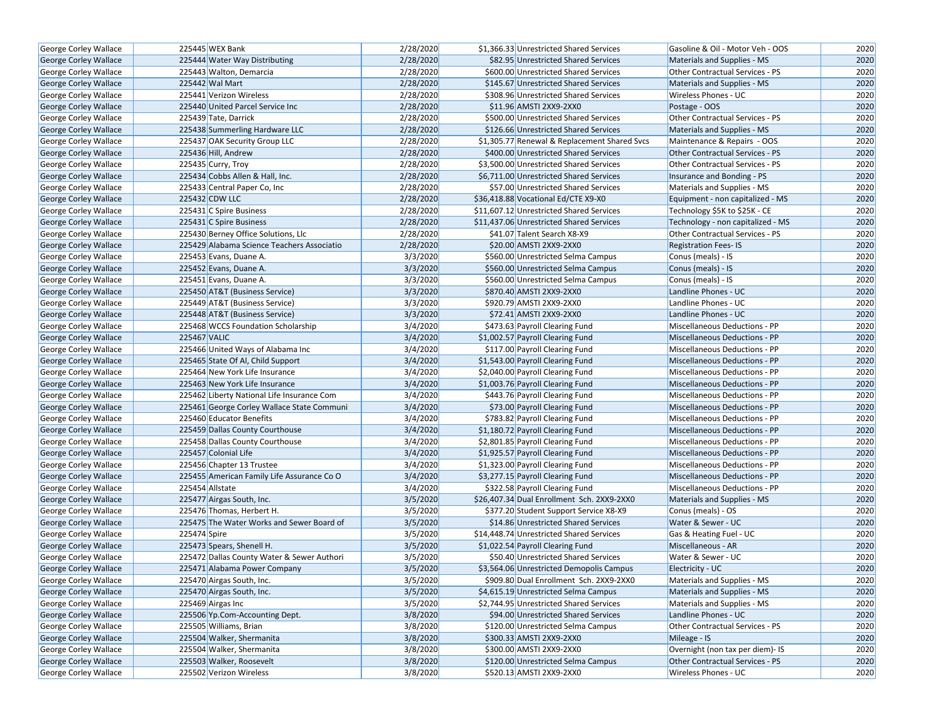| George Corley Wallace        | 225445 WEX Bank                            | 2/28/2020 | \$1,366.33 Unrestricted Shared Services      | Gasoline & Oil - Motor Veh - OOS     | 2020 |
|------------------------------|--------------------------------------------|-----------|----------------------------------------------|--------------------------------------|------|
| <b>George Corley Wallace</b> | 225444 Water Way Distributing              | 2/28/2020 | \$82.95 Unrestricted Shared Services         | Materials and Supplies - MS          | 2020 |
| George Corley Wallace        | 225443 Walton, Demarcia                    | 2/28/2020 | \$600.00 Unrestricted Shared Services        | Other Contractual Services - PS      | 2020 |
| <b>George Corley Wallace</b> | 225442 Wal Mart                            | 2/28/2020 | \$145.67 Unrestricted Shared Services        | Materials and Supplies - MS          | 2020 |
| George Corley Wallace        | 225441 Verizon Wireless                    | 2/28/2020 | \$308.96 Unrestricted Shared Services        | Wireless Phones - UC                 | 2020 |
| George Corley Wallace        | 225440 United Parcel Service Inc           | 2/28/2020 | \$11.96 AMSTI 2XX9-2XX0                      | Postage - OOS                        | 2020 |
| George Corley Wallace        | 225439 Tate, Darrick                       | 2/28/2020 | \$500.00 Unrestricted Shared Services        | Other Contractual Services - PS      | 2020 |
| <b>George Corley Wallace</b> | 225438 Summerling Hardware LLC             | 2/28/2020 | \$126.66 Unrestricted Shared Services        | Materials and Supplies - MS          | 2020 |
| George Corley Wallace        | 225437 OAK Security Group LLC              | 2/28/2020 | \$1,305.77 Renewal & Replacement Shared Svcs | Maintenance & Repairs - OOS          | 2020 |
| George Corley Wallace        | 225436 Hill, Andrew                        | 2/28/2020 | \$400.00 Unrestricted Shared Services        | Other Contractual Services - PS      | 2020 |
| George Corley Wallace        | 225435 Curry, Troy                         | 2/28/2020 | \$3,500.00 Unrestricted Shared Services      | Other Contractual Services - PS      | 2020 |
| George Corley Wallace        | 225434 Cobbs Allen & Hall, Inc.            | 2/28/2020 | \$6,711.00 Unrestricted Shared Services      | Insurance and Bonding - PS           | 2020 |
| George Corley Wallace        | 225433 Central Paper Co, Inc               | 2/28/2020 | \$57.00 Unrestricted Shared Services         | Materials and Supplies - MS          | 2020 |
| George Corley Wallace        | 225432 CDW LLC                             | 2/28/2020 | \$36,418.88 Vocational Ed/CTE X9-X0          | Equipment - non capitalized - MS     | 2020 |
| George Corley Wallace        | 225431 C Spire Business                    | 2/28/2020 | \$11,607.12 Unrestricted Shared Services     | Technology \$5K to \$25K - CE        | 2020 |
| <b>George Corley Wallace</b> | 225431 C Spire Business                    | 2/28/2020 | \$11,437.06 Unrestricted Shared Services     | Technology - non capitalized - MS    | 2020 |
| George Corley Wallace        | 225430 Berney Office Solutions, Llc        | 2/28/2020 | \$41.07 Talent Search X8-X9                  | Other Contractual Services - PS      | 2020 |
| <b>George Corley Wallace</b> | 225429 Alabama Science Teachers Associatio | 2/28/2020 | \$20.00 AMSTI 2XX9-2XX0                      | <b>Registration Fees-IS</b>          | 2020 |
| George Corley Wallace        | 225453 Evans, Duane A.                     | 3/3/2020  | \$560.00 Unrestricted Selma Campus           | Conus (meals) - IS                   | 2020 |
| George Corley Wallace        | 225452 Evans, Duane A.                     | 3/3/2020  | \$560.00 Unrestricted Selma Campus           | Conus (meals) - IS                   | 2020 |
| George Corley Wallace        | 225451 Evans, Duane A.                     | 3/3/2020  | \$560.00 Unrestricted Selma Campus           | Conus (meals) - IS                   | 2020 |
| George Corley Wallace        | 225450 AT&T (Business Service)             | 3/3/2020  | \$870.40 AMSTI 2XX9-2XX0                     | Landline Phones - UC                 | 2020 |
| George Corley Wallace        | 225449 AT&T (Business Service)             | 3/3/2020  | \$920.79 AMSTI 2XX9-2XX0                     | Landline Phones - UC                 | 2020 |
| George Corley Wallace        | 225448 AT&T (Business Service)             | 3/3/2020  | \$72.41 AMSTI 2XX9-2XX0                      | Landline Phones - UC                 | 2020 |
| George Corley Wallace        | 225468 WCCS Foundation Scholarship         | 3/4/2020  | \$473.63 Payroll Clearing Fund               | Miscellaneous Deductions - PP        | 2020 |
| George Corley Wallace        | 225467 VALIC                               | 3/4/2020  | \$1,002.57 Payroll Clearing Fund             | Miscellaneous Deductions - PP        | 2020 |
| George Corley Wallace        | 225466 United Ways of Alabama Inc          | 3/4/2020  | \$117.00 Payroll Clearing Fund               | Miscellaneous Deductions - PP        | 2020 |
| George Corley Wallace        | 225465 State Of Al, Child Support          | 3/4/2020  | \$1,543.00 Payroll Clearing Fund             | <b>Miscellaneous Deductions - PP</b> | 2020 |
| George Corley Wallace        | 225464 New York Life Insurance             | 3/4/2020  | \$2,040.00 Payroll Clearing Fund             | Miscellaneous Deductions - PP        | 2020 |
| <b>George Corley Wallace</b> | 225463 New York Life Insurance             | 3/4/2020  | \$1,003.76 Payroll Clearing Fund             | Miscellaneous Deductions - PP        | 2020 |
| George Corley Wallace        | 225462 Liberty National Life Insurance Com | 3/4/2020  | \$443.76 Payroll Clearing Fund               | Miscellaneous Deductions - PP        | 2020 |
| George Corley Wallace        | 225461 George Corley Wallace State Communi | 3/4/2020  | \$73.00 Payroll Clearing Fund                | Miscellaneous Deductions - PP        | 2020 |
| George Corley Wallace        | 225460 Educator Benefits                   | 3/4/2020  | \$783.82 Payroll Clearing Fund               | Miscellaneous Deductions - PP        | 2020 |
| <b>George Corley Wallace</b> | 225459 Dallas County Courthouse            | 3/4/2020  | \$1,180.72 Payroll Clearing Fund             | Miscellaneous Deductions - PP        | 2020 |
| George Corley Wallace        | 225458 Dallas County Courthouse            | 3/4/2020  | \$2,801.85 Payroll Clearing Fund             | Miscellaneous Deductions - PP        | 2020 |
| George Corley Wallace        | 225457 Colonial Life                       | 3/4/2020  | \$1,925.57 Payroll Clearing Fund             | Miscellaneous Deductions - PP        | 2020 |
| George Corley Wallace        | 225456 Chapter 13 Trustee                  | 3/4/2020  | \$1,323.00 Payroll Clearing Fund             | Miscellaneous Deductions - PP        | 2020 |
| George Corley Wallace        | 225455 American Family Life Assurance Co O | 3/4/2020  | \$3,277.15 Payroll Clearing Fund             | Miscellaneous Deductions - PP        | 2020 |
| <b>George Corley Wallace</b> | 225454 Allstate                            | 3/4/2020  | \$322.58 Payroll Clearing Fund               | Miscellaneous Deductions - PP        | 2020 |
| George Corley Wallace        | 225477 Airgas South, Inc.                  | 3/5/2020  | \$26,407.34 Dual Enrollment Sch. 2XX9-2XX0   | Materials and Supplies - MS          | 2020 |
| George Corley Wallace        | 225476 Thomas, Herbert H.                  | 3/5/2020  | \$377.20 Student Support Service X8-X9       | Conus (meals) - OS                   | 2020 |
| George Corley Wallace        | 225475 The Water Works and Sewer Board of  | 3/5/2020  | \$14.86 Unrestricted Shared Services         | Water & Sewer - UC                   | 2020 |
| George Corley Wallace        | 225474 Spire                               | 3/5/2020  | \$14,448.74 Unrestricted Shared Services     | Gas & Heating Fuel - UC              | 2020 |
| George Corley Wallace        | 225473 Spears, Shenell H.                  | 3/5/2020  | \$1,022.54 Payroll Clearing Fund             | Miscellaneous - AR                   | 2020 |
| <b>George Corley Wallace</b> | 225472 Dallas County Water & Sewer Authori | 3/5/2020  | \$50.40 Unrestricted Shared Services         | Water & Sewer - UC                   | 2020 |
| George Corley Wallace        | 225471 Alabama Power Company               | 3/5/2020  | \$3,564.06 Unrestricted Demopolis Campus     | Electricity - UC                     | 2020 |
| George Corley Wallace        | 225470 Airgas South, Inc.                  | 3/5/2020  | \$909.80 Dual Enrollment Sch. 2XX9-2XX0      | Materials and Supplies - MS          | 2020 |
| George Corley Wallace        | 225470 Airgas South, Inc.                  | 3/5/2020  | \$4,615.19 Unrestricted Selma Campus         | Materials and Supplies - MS          | 2020 |
| George Corley Wallace        | 225469 Airgas Inc                          | 3/5/2020  | \$2,744.95 Unrestricted Shared Services      | Materials and Supplies - MS          | 2020 |
| George Corley Wallace        | 225506 Yp.Com-Accounting Dept.             | 3/8/2020  | \$94.00 Unrestricted Shared Services         | Landline Phones - UC                 | 2020 |
| George Corley Wallace        | 225505 Williams, Brian                     | 3/8/2020  | \$120.00 Unrestricted Selma Campus           | Other Contractual Services - PS      | 2020 |
| George Corley Wallace        | 225504 Walker, Shermanita                  | 3/8/2020  | \$300.33 AMSTI 2XX9-2XX0                     | Mileage - IS                         | 2020 |
| George Corley Wallace        | 225504 Walker, Shermanita                  | 3/8/2020  | \$300.00 AMSTI 2XX9-2XX0                     | Overnight (non tax per diem)- IS     | 2020 |
| George Corley Wallace        | 225503 Walker, Roosevelt                   | 3/8/2020  | \$120.00 Unrestricted Selma Campus           | Other Contractual Services - PS      | 2020 |
|                              |                                            | 3/8/2020  | \$520.13 AMSTI 2XX9-2XX0                     | Wireless Phones - UC                 | 2020 |
| George Corley Wallace        | 225502 Verizon Wireless                    |           |                                              |                                      |      |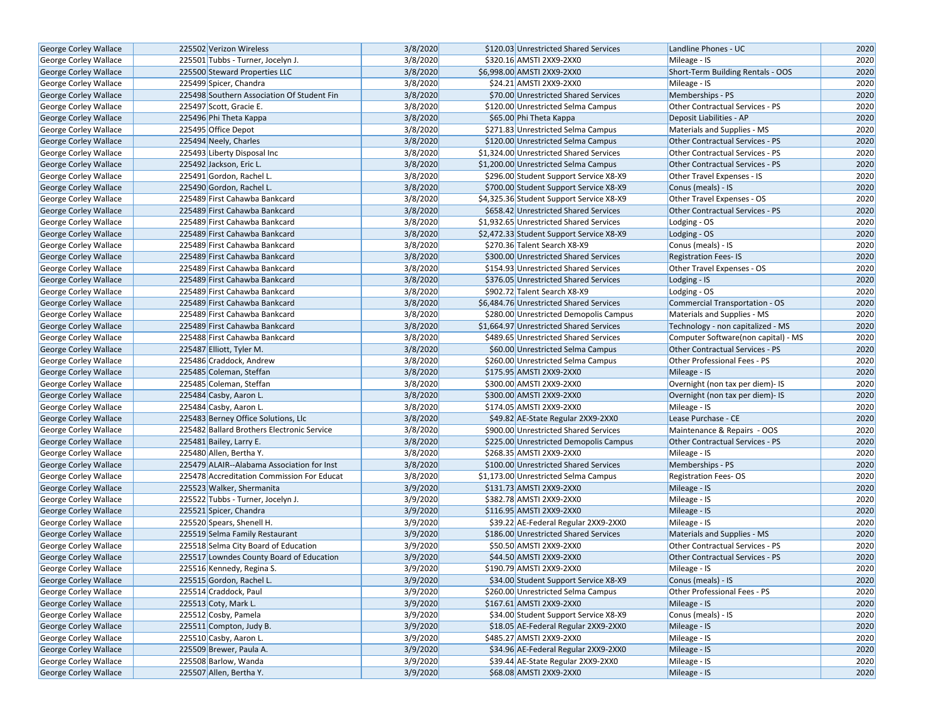| <b>George Corley Wallace</b>                          | 225502 Verizon Wireless                                               | 3/8/2020             | \$120.03 Unrestricted Shared Services                                           | Landline Phones - UC                                                     | 2020         |
|-------------------------------------------------------|-----------------------------------------------------------------------|----------------------|---------------------------------------------------------------------------------|--------------------------------------------------------------------------|--------------|
| George Corley Wallace                                 | 225501 Tubbs - Turner, Jocelyn J.                                     | 3/8/2020             | \$320.16 AMSTI 2XX9-2XX0                                                        | Mileage - IS                                                             | 2020         |
| <b>George Corley Wallace</b>                          | 225500 Steward Properties LLC                                         | 3/8/2020             | \$6,998.00 AMSTI 2XX9-2XX0                                                      | Short-Term Building Rentals - OOS                                        | 2020         |
| George Corley Wallace                                 | 225499 Spicer, Chandra                                                | 3/8/2020             | \$24.21 AMSTI 2XX9-2XX0                                                         | Mileage - IS                                                             | 2020         |
| George Corley Wallace                                 | 225498 Southern Association Of Student Fin                            | 3/8/2020             | \$70.00 Unrestricted Shared Services                                            | Memberships - PS                                                         | 2020         |
| George Corley Wallace                                 | 225497 Scott, Gracie E.                                               | 3/8/2020             | \$120.00 Unrestricted Selma Campus                                              | Other Contractual Services - PS                                          | 2020         |
| George Corley Wallace                                 | 225496 Phi Theta Kappa                                                | 3/8/2020             | \$65.00 Phi Theta Kappa                                                         | Deposit Liabilities - AP                                                 | 2020         |
| George Corley Wallace                                 | 225495 Office Depot                                                   | 3/8/2020             | \$271.83 Unrestricted Selma Campus                                              | Materials and Supplies - MS                                              | 2020         |
| <b>George Corley Wallace</b>                          | 225494 Neely, Charles                                                 | 3/8/2020             | \$120.00 Unrestricted Selma Campus                                              | <b>Other Contractual Services - PS</b>                                   | 2020         |
| George Corley Wallace                                 | 225493 Liberty Disposal Inc                                           | 3/8/2020             | \$1,324.00 Unrestricted Shared Services                                         | Other Contractual Services - PS                                          | 2020         |
| George Corley Wallace                                 | 225492 Jackson, Eric L.                                               | 3/8/2020             | \$1,200.00 Unrestricted Selma Campus                                            | <b>Other Contractual Services - PS</b>                                   | 2020         |
| George Corley Wallace                                 | 225491 Gordon, Rachel L.                                              | 3/8/2020             | \$296.00 Student Support Service X8-X9                                          | Other Travel Expenses - IS                                               | 2020         |
| <b>George Corley Wallace</b>                          | 225490 Gordon, Rachel L.                                              | 3/8/2020             | \$700.00 Student Support Service X8-X9                                          | Conus (meals) - IS                                                       | 2020         |
| <b>George Corley Wallace</b>                          | 225489 First Cahawba Bankcard                                         | 3/8/2020             | \$4,325.36 Student Support Service X8-X9                                        | Other Travel Expenses - OS                                               | 2020         |
| <b>George Corley Wallace</b>                          | 225489 First Cahawba Bankcard                                         | 3/8/2020             | \$658.42 Unrestricted Shared Services                                           | <b>Other Contractual Services - PS</b>                                   | 2020         |
| <b>George Corley Wallace</b>                          | 225489 First Cahawba Bankcard                                         | 3/8/2020             | \$1,932.65 Unrestricted Shared Services                                         | Lodging - OS                                                             | 2020         |
| George Corley Wallace                                 | 225489 First Cahawba Bankcard                                         | 3/8/2020             | \$2,472.33 Student Support Service X8-X9                                        | Lodging - OS                                                             | 2020         |
| George Corley Wallace                                 | 225489 First Cahawba Bankcard                                         | 3/8/2020             | \$270.36 Talent Search X8-X9                                                    | Conus (meals) - IS                                                       | 2020         |
| George Corley Wallace                                 | 225489 First Cahawba Bankcard                                         | 3/8/2020             | \$300.00 Unrestricted Shared Services                                           | <b>Registration Fees-IS</b>                                              | 2020         |
| George Corley Wallace                                 | 225489 First Cahawba Bankcard                                         | 3/8/2020             | \$154.93 Unrestricted Shared Services                                           | Other Travel Expenses - OS                                               | 2020         |
| George Corley Wallace                                 | 225489 First Cahawba Bankcard                                         | 3/8/2020             | \$376.05 Unrestricted Shared Services                                           | Lodging - IS                                                             | 2020         |
| George Corley Wallace                                 | 225489 First Cahawba Bankcard                                         | 3/8/2020             | \$902.72 Talent Search X8-X9                                                    | Lodging - OS                                                             | 2020         |
| George Corley Wallace                                 | 225489 First Cahawba Bankcard                                         | 3/8/2020             | \$6,484.76 Unrestricted Shared Services                                         | <b>Commercial Transportation - OS</b>                                    | 2020         |
| <b>George Corley Wallace</b>                          | 225489 First Cahawba Bankcard                                         | 3/8/2020             | \$280.00 Unrestricted Demopolis Campus                                          | Materials and Supplies - MS                                              | 2020         |
|                                                       | 225489 First Cahawba Bankcard                                         | 3/8/2020             | \$1,664.97 Unrestricted Shared Services                                         |                                                                          | 2020         |
| George Corley Wallace<br><b>George Corley Wallace</b> | 225488 First Cahawba Bankcard                                         | 3/8/2020             | \$489.65 Unrestricted Shared Services                                           | Technology - non capitalized - MS<br>Computer Software(non capital) - MS | 2020         |
|                                                       |                                                                       | 3/8/2020             | \$60.00 Unrestricted Selma Campus                                               | Other Contractual Services - PS                                          | 2020         |
| George Corley Wallace                                 | 225487 Elliott, Tyler M.<br>225486 Craddock, Andrew                   | 3/8/2020             | \$260.00 Unrestricted Selma Campus                                              | Other Professional Fees - PS                                             | 2020         |
| George Corley Wallace                                 |                                                                       | 3/8/2020             | \$175.95 AMSTI 2XX9-2XX0                                                        |                                                                          | 2020         |
| George Corley Wallace                                 | 225485 Coleman, Steffan<br>225485 Coleman, Steffan                    | 3/8/2020             | \$300.00 AMSTI 2XX9-2XX0                                                        | Mileage - IS                                                             | 2020         |
| George Corley Wallace                                 |                                                                       |                      | \$300.00 AMSTI 2XX9-2XX0                                                        | Overnight (non tax per diem)- IS                                         |              |
| George Corley Wallace                                 | 225484 Casby, Aaron L.                                                | 3/8/2020             |                                                                                 | Overnight (non tax per diem)- IS                                         | 2020         |
| <b>George Corley Wallace</b>                          | 225484 Casby, Aaron L.                                                | 3/8/2020             | \$174.05 AMSTI 2XX9-2XX0                                                        | Mileage - IS                                                             | 2020<br>2020 |
| <b>George Corley Wallace</b>                          | 225483 Berney Office Solutions, Llc                                   | 3/8/2020             | \$49.82 AE-State Regular 2XX9-2XX0                                              | Lease Purchase - CE                                                      |              |
| <b>George Corley Wallace</b>                          | 225482 Ballard Brothers Electronic Service<br>225481 Bailey, Larry E. | 3/8/2020<br>3/8/2020 | \$900.00 Unrestricted Shared Services<br>\$225.00 Unrestricted Demopolis Campus | Maintenance & Repairs - OOS<br><b>Other Contractual Services - PS</b>    | 2020<br>2020 |
| George Corley Wallace                                 | 225480 Allen, Bertha Y.                                               | 3/8/2020             | \$268.35 AMSTI 2XX9-2XX0                                                        |                                                                          | 2020         |
| George Corley Wallace<br><b>George Corley Wallace</b> | 225479 ALAIR--Alabama Association for Inst                            |                      | \$100.00 Unrestricted Shared Services                                           | Mileage - IS                                                             | 2020         |
|                                                       |                                                                       | 3/8/2020<br>3/8/2020 |                                                                                 | Memberships - PS                                                         | 2020         |
| George Corley Wallace                                 | 225478 Accreditation Commission For Educat                            |                      | \$1,173.00 Unrestricted Selma Campus<br>\$131.73 AMSTI 2XX9-2XX0                | <b>Registration Fees-OS</b>                                              |              |
| <b>George Corley Wallace</b>                          | 225523 Walker, Shermanita                                             | 3/9/2020             |                                                                                 | Mileage - IS                                                             | 2020<br>2020 |
| George Corley Wallace                                 | 225522 Tubbs - Turner, Jocelyn J.                                     | 3/9/2020             | \$382.78 AMSTI 2XX9-2XX0                                                        | Mileage - IS                                                             |              |
| George Corley Wallace                                 | 225521 Spicer, Chandra                                                | 3/9/2020             | \$116.95 AMSTI 2XX9-2XX0                                                        | Mileage - IS                                                             | 2020         |
| George Corley Wallace                                 | 225520 Spears, Shenell H.                                             | 3/9/2020             | \$39.22 AE-Federal Regular 2XX9-2XX0                                            | Mileage - IS                                                             | 2020         |
| George Corley Wallace                                 | 225519 Selma Family Restaurant                                        | 3/9/2020             | \$186.00 Unrestricted Shared Services                                           | Materials and Supplies - MS                                              | 2020         |
| George Corley Wallace                                 | 225518 Selma City Board of Education                                  | 3/9/2020             | \$50.50 AMSTI 2XX9-2XX0                                                         | Other Contractual Services - PS                                          | 2020         |
| George Corley Wallace                                 | 225517 Lowndes County Board of Education                              | 3/9/2020             | \$44.50 AMSTI 2XX9-2XX0                                                         | <b>Other Contractual Services - PS</b>                                   | 2020         |
| George Corley Wallace                                 | 225516 Kennedy, Regina S.                                             | 3/9/2020             | \$190.79 AMSTI 2XX9-2XX0                                                        | Mileage - IS                                                             | 2020         |
| George Corley Wallace                                 | 225515 Gordon, Rachel L.                                              | 3/9/2020             | \$34.00 Student Support Service X8-X9                                           | Conus (meals) - IS                                                       | 2020         |
| George Corley Wallace                                 | 225514 Craddock, Paul                                                 | 3/9/2020             | \$260.00 Unrestricted Selma Campus                                              | Other Professional Fees - PS                                             | 2020         |
| <b>George Corley Wallace</b>                          | 225513 Coty, Mark L.                                                  | 3/9/2020             | \$167.61 AMSTI 2XX9-2XX0                                                        | Mileage - IS                                                             | 2020         |
| George Corley Wallace                                 | 225512 Cosby, Pamela                                                  | 3/9/2020             | \$34.00 Student Support Service X8-X9                                           | Conus (meals) - IS                                                       | 2020         |
| George Corley Wallace                                 | 225511 Compton, Judy B.                                               | 3/9/2020             | \$18.05 AE-Federal Regular 2XX9-2XX0                                            | Mileage - IS                                                             | 2020         |
| George Corley Wallace                                 | 225510 Casby, Aaron L.                                                | 3/9/2020             | \$485.27 AMSTI 2XX9-2XX0                                                        | Mileage - IS                                                             | 2020         |
| <b>George Corley Wallace</b>                          | 225509 Brewer, Paula A.                                               | 3/9/2020             | \$34.96 AE-Federal Regular 2XX9-2XX0                                            | Mileage - IS                                                             | 2020         |
| George Corley Wallace                                 | 225508 Barlow, Wanda                                                  | 3/9/2020             | \$39.44 AE-State Regular 2XX9-2XX0                                              | Mileage - IS                                                             | 2020         |
| <b>George Corley Wallace</b>                          | 225507 Allen, Bertha Y.                                               | 3/9/2020             | \$68.08 AMSTI 2XX9-2XX0                                                         | Mileage - IS                                                             | 2020         |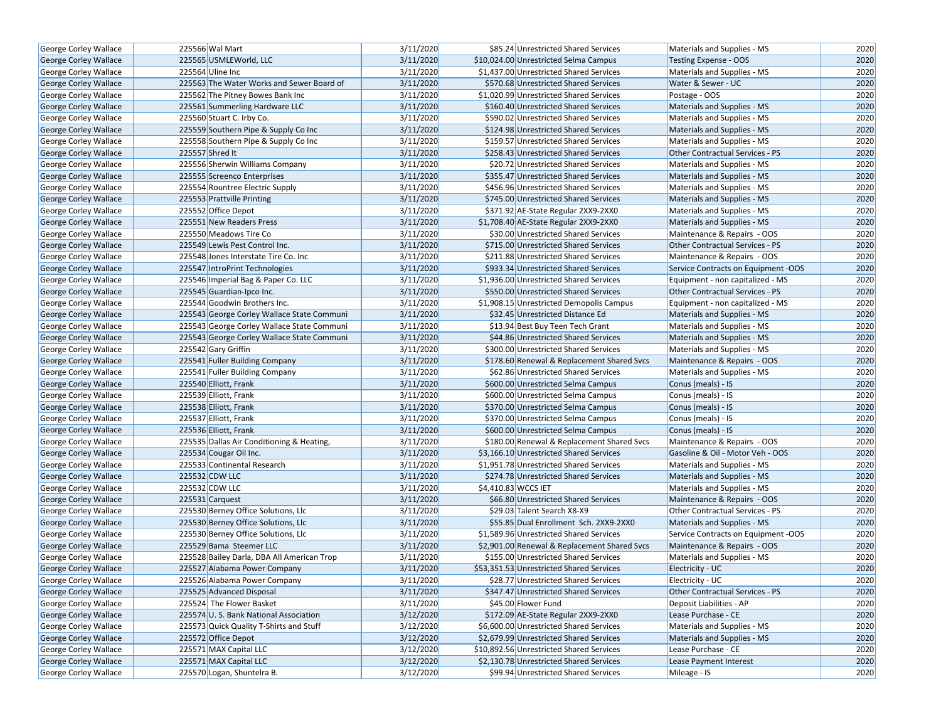| <b>George Corley Wallace</b> | 225566 Wal Mart                            | 3/11/2020 | \$85.24 Unrestricted Shared Services         | Materials and Supplies - MS            | 2020 |
|------------------------------|--------------------------------------------|-----------|----------------------------------------------|----------------------------------------|------|
| <b>George Corley Wallace</b> | 225565 USMLEWorld, LLC                     | 3/11/2020 | \$10,024.00 Unrestricted Selma Campus        | <b>Testing Expense - OOS</b>           | 2020 |
| George Corley Wallace        | 225564 Uline Inc                           | 3/11/2020 | \$1,437.00 Unrestricted Shared Services      | Materials and Supplies - MS            | 2020 |
| George Corley Wallace        | 225563 The Water Works and Sewer Board of  | 3/11/2020 | \$570.68 Unrestricted Shared Services        | Water & Sewer - UC                     | 2020 |
| George Corley Wallace        | 225562 The Pitney Bowes Bank Inc           | 3/11/2020 | \$1,020.99 Unrestricted Shared Services      | Postage - OOS                          | 2020 |
| George Corley Wallace        | 225561 Summerling Hardware LLC             | 3/11/2020 | \$160.40 Unrestricted Shared Services        | Materials and Supplies - MS            | 2020 |
| George Corley Wallace        | 225560 Stuart C. Irby Co.                  | 3/11/2020 | \$590.02 Unrestricted Shared Services        | Materials and Supplies - MS            | 2020 |
| <b>George Corley Wallace</b> | 225559 Southern Pipe & Supply Co Inc       | 3/11/2020 | \$124.98 Unrestricted Shared Services        | Materials and Supplies - MS            | 2020 |
| George Corley Wallace        | 225558 Southern Pipe & Supply Co Inc       | 3/11/2020 | \$159.57 Unrestricted Shared Services        | Materials and Supplies - MS            | 2020 |
| George Corley Wallace        | 225557 Shred It                            | 3/11/2020 | \$258.43 Unrestricted Shared Services        | Other Contractual Services - PS        | 2020 |
| George Corley Wallace        | 225556 Sherwin Williams Company            | 3/11/2020 | \$20.72 Unrestricted Shared Services         | Materials and Supplies - MS            | 2020 |
| <b>George Corley Wallace</b> | 225555 Screenco Enterprises                | 3/11/2020 | \$355.47 Unrestricted Shared Services        | Materials and Supplies - MS            | 2020 |
| <b>George Corley Wallace</b> | 225554 Rountree Electric Supply            | 3/11/2020 | \$456.96 Unrestricted Shared Services        | Materials and Supplies - MS            | 2020 |
| <b>George Corley Wallace</b> | 225553 Prattville Printing                 | 3/11/2020 | \$745.00 Unrestricted Shared Services        | Materials and Supplies - MS            | 2020 |
| <b>George Corley Wallace</b> | 225552 Office Depot                        | 3/11/2020 | \$371.92 AE-State Regular 2XX9-2XX0          | Materials and Supplies - MS            | 2020 |
| <b>George Corley Wallace</b> | 225551 New Readers Press                   | 3/11/2020 | \$1,708.40 AE-State Regular 2XX9-2XX0        | Materials and Supplies - MS            | 2020 |
| George Corley Wallace        | 225550 Meadows Tire Co                     | 3/11/2020 | \$30.00 Unrestricted Shared Services         | Maintenance & Repairs - OOS            | 2020 |
| George Corley Wallace        | 225549 Lewis Pest Control Inc.             | 3/11/2020 | \$715.00 Unrestricted Shared Services        | Other Contractual Services - PS        | 2020 |
| George Corley Wallace        | 225548 Jones Interstate Tire Co. Inc       | 3/11/2020 | \$211.88 Unrestricted Shared Services        | Maintenance & Repairs - OOS            | 2020 |
| George Corley Wallace        | 225547 IntroPrint Technologies             | 3/11/2020 | \$933.34 Unrestricted Shared Services        | Service Contracts on Equipment -OOS    | 2020 |
| <b>George Corley Wallace</b> | 225546 Imperial Bag & Paper Co. LLC        | 3/11/2020 | \$1,936.00 Unrestricted Shared Services      | Equipment - non capitalized - MS       | 2020 |
| <b>George Corley Wallace</b> | 225545 Guardian-Ipco Inc.                  | 3/11/2020 | \$550.00 Unrestricted Shared Services        | Other Contractual Services - PS        | 2020 |
| George Corley Wallace        | 225544 Goodwin Brothers Inc.               | 3/11/2020 | \$1,908.15 Unrestricted Demopolis Campus     | Equipment - non capitalized - MS       | 2020 |
| George Corley Wallace        | 225543 George Corley Wallace State Communi | 3/11/2020 | \$32.45 Unrestricted Distance Ed             | Materials and Supplies - MS            | 2020 |
| <b>George Corley Wallace</b> | 225543 George Corley Wallace State Communi | 3/11/2020 | \$13.94 Best Buy Teen Tech Grant             | Materials and Supplies - MS            | 2020 |
| George Corley Wallace        | 225543 George Corley Wallace State Communi | 3/11/2020 | \$44.86 Unrestricted Shared Services         | Materials and Supplies - MS            | 2020 |
| George Corley Wallace        | 225542 Gary Griffin                        | 3/11/2020 | \$300.00 Unrestricted Shared Services        | Materials and Supplies - MS            | 2020 |
| George Corley Wallace        | 225541 Fuller Building Company             | 3/11/2020 | \$178.60 Renewal & Replacement Shared Svcs   | Maintenance & Repairs - OOS            | 2020 |
| George Corley Wallace        | 225541 Fuller Building Company             | 3/11/2020 | \$62.86 Unrestricted Shared Services         | Materials and Supplies - MS            | 2020 |
| George Corley Wallace        | 225540 Elliott, Frank                      | 3/11/2020 | \$600.00 Unrestricted Selma Campus           | Conus (meals) - IS                     | 2020 |
| George Corley Wallace        | 225539 Elliott, Frank                      | 3/11/2020 | \$600.00 Unrestricted Selma Campus           | Conus (meals) - IS                     | 2020 |
| George Corley Wallace        | 225538 Elliott, Frank                      | 3/11/2020 | \$370.00 Unrestricted Selma Campus           | Conus (meals) - IS                     | 2020 |
| George Corley Wallace        | 225537 Elliott, Frank                      | 3/11/2020 | \$370.00 Unrestricted Selma Campus           | Conus (meals) - IS                     | 2020 |
| <b>George Corley Wallace</b> | 225536 Elliott, Frank                      | 3/11/2020 | \$600.00 Unrestricted Selma Campus           | Conus (meals) - IS                     | 2020 |
| George Corley Wallace        | 225535 Dallas Air Conditioning & Heating,  | 3/11/2020 | \$180.00 Renewal & Replacement Shared Svcs   | Maintenance & Repairs - OOS            | 2020 |
| <b>George Corley Wallace</b> | 225534 Cougar Oil Inc.                     | 3/11/2020 | \$3,166.10 Unrestricted Shared Services      | Gasoline & Oil - Motor Veh - OOS       | 2020 |
| George Corley Wallace        | 225533 Continental Research                | 3/11/2020 | \$1,951.78 Unrestricted Shared Services      | Materials and Supplies - MS            | 2020 |
| George Corley Wallace        | 225532 CDW LLC                             | 3/11/2020 | \$274.78 Unrestricted Shared Services        | Materials and Supplies - MS            | 2020 |
| George Corley Wallace        | 225532 CDW LLC                             | 3/11/2020 | \$4,410.83 WCCS IET                          | Materials and Supplies - MS            | 2020 |
| George Corley Wallace        | 225531 Carquest                            | 3/11/2020 | \$66.80 Unrestricted Shared Services         | Maintenance & Repairs - OOS            | 2020 |
| George Corley Wallace        | 225530 Berney Office Solutions, Llc        | 3/11/2020 | \$29.03 Talent Search X8-X9                  | <b>Other Contractual Services - PS</b> | 2020 |
| George Corley Wallace        | 225530 Berney Office Solutions, Llc        | 3/11/2020 | \$55.85 Dual Enrollment Sch. 2XX9-2XX0       | Materials and Supplies - MS            | 2020 |
| George Corley Wallace        | 225530 Berney Office Solutions, Llc        | 3/11/2020 | \$1,589.96 Unrestricted Shared Services      | Service Contracts on Equipment -OOS    | 2020 |
| George Corley Wallace        | 225529 Bama Steemer LLC                    | 3/11/2020 | \$2,901.00 Renewal & Replacement Shared Svcs | Maintenance & Repairs - OOS            | 2020 |
| George Corley Wallace        | 225528 Bailey Darla, DBA All American Trop | 3/11/2020 | \$155.00 Unrestricted Shared Services        | Materials and Supplies - MS            | 2020 |
| George Corley Wallace        | 225527 Alabama Power Company               | 3/11/2020 | \$53,351.53 Unrestricted Shared Services     | Electricity - UC                       | 2020 |
| George Corley Wallace        | 225526 Alabama Power Company               | 3/11/2020 | \$28.77 Unrestricted Shared Services         | Electricity - UC                       | 2020 |
| <b>George Corley Wallace</b> | 225525 Advanced Disposal                   | 3/11/2020 | \$347.47 Unrestricted Shared Services        | Other Contractual Services - PS        | 2020 |
| George Corley Wallace        | 225524 The Flower Basket                   | 3/11/2020 | \$45.00 Flower Fund                          | Deposit Liabilities - AP               | 2020 |
| <b>George Corley Wallace</b> | 225574 U.S. Bank National Association      | 3/12/2020 | \$172.09 AE-State Regular 2XX9-2XX0          | Lease Purchase - CE                    | 2020 |
| George Corley Wallace        | 225573 Quick Quality T-Shirts and Stuff    | 3/12/2020 | \$6,600.00 Unrestricted Shared Services      | Materials and Supplies - MS            | 2020 |
| <b>George Corley Wallace</b> | 225572 Office Depot                        | 3/12/2020 | \$2,679.99 Unrestricted Shared Services      | Materials and Supplies - MS            | 2020 |
| George Corley Wallace        | 225571 MAX Capital LLC                     | 3/12/2020 | \$10,892.56 Unrestricted Shared Services     | Lease Purchase - CE                    | 2020 |
| George Corley Wallace        | 225571 MAX Capital LLC                     | 3/12/2020 | \$2,130.78 Unrestricted Shared Services      | Lease Payment Interest                 | 2020 |
| George Corley Wallace        | 225570 Logan, Shuntelra B.                 | 3/12/2020 | \$99.94 Unrestricted Shared Services         | Mileage - IS                           | 2020 |
|                              |                                            |           |                                              |                                        |      |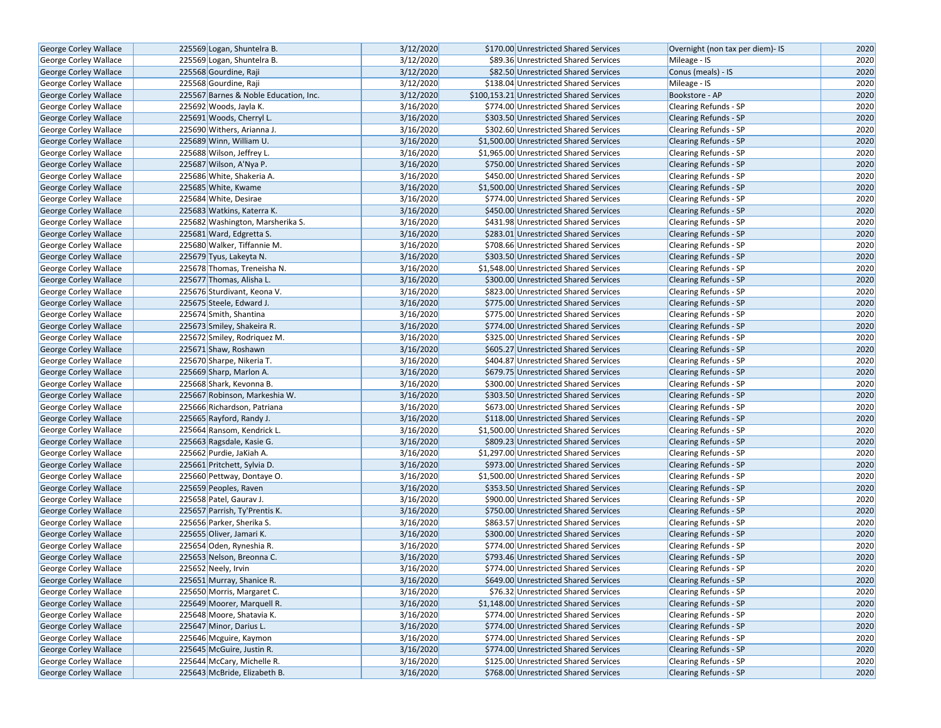| George Corley Wallace        | 225569 Logan, Shuntelra B.            | 3/12/2020 | \$170.00 Unrestricted Shared Services     | Overnight (non tax per diem)- IS | 2020 |
|------------------------------|---------------------------------------|-----------|-------------------------------------------|----------------------------------|------|
| George Corley Wallace        | 225569 Logan, Shuntelra B.            | 3/12/2020 | \$89.36 Unrestricted Shared Services      | Mileage - IS                     | 2020 |
| George Corley Wallace        | 225568 Gourdine, Raji                 | 3/12/2020 | \$82.50 Unrestricted Shared Services      | Conus (meals) - IS               | 2020 |
| George Corley Wallace        | 225568 Gourdine, Raji                 | 3/12/2020 | \$138.04 Unrestricted Shared Services     | Mileage - IS                     | 2020 |
| George Corley Wallace        | 225567 Barnes & Noble Education, Inc. | 3/12/2020 | \$100,153.21 Unrestricted Shared Services | Bookstore - AP                   | 2020 |
| George Corley Wallace        | 225692 Woods, Jayla K.                | 3/16/2020 | \$774.00 Unrestricted Shared Services     | Clearing Refunds - SP            | 2020 |
| George Corley Wallace        | 225691 Woods, Cherryl L.              | 3/16/2020 | \$303.50 Unrestricted Shared Services     | <b>Clearing Refunds - SP</b>     | 2020 |
| <b>George Corley Wallace</b> | 225690 Withers, Arianna J.            | 3/16/2020 | \$302.60 Unrestricted Shared Services     | <b>Clearing Refunds - SP</b>     | 2020 |
| George Corley Wallace        | 225689 Winn, William U.               | 3/16/2020 | \$1,500.00 Unrestricted Shared Services   | <b>Clearing Refunds - SP</b>     | 2020 |
| George Corley Wallace        | 225688 Wilson, Jeffrey L.             | 3/16/2020 | \$1,965.00 Unrestricted Shared Services   | Clearing Refunds - SP            | 2020 |
| <b>George Corley Wallace</b> | 225687 Wilson, A'Nya P.               | 3/16/2020 | \$750.00 Unrestricted Shared Services     | <b>Clearing Refunds - SP</b>     | 2020 |
| George Corley Wallace        | 225686 White, Shakeria A.             | 3/16/2020 | \$450.00 Unrestricted Shared Services     | <b>Clearing Refunds - SP</b>     | 2020 |
| <b>George Corley Wallace</b> | 225685 White, Kwame                   | 3/16/2020 | \$1,500.00 Unrestricted Shared Services   | <b>Clearing Refunds - SP</b>     | 2020 |
| George Corley Wallace        | 225684 White, Desirae                 | 3/16/2020 | \$774.00 Unrestricted Shared Services     | Clearing Refunds - SP            | 2020 |
| <b>George Corley Wallace</b> | 225683 Watkins, Katerra K.            | 3/16/2020 | \$450.00 Unrestricted Shared Services     | <b>Clearing Refunds - SP</b>     | 2020 |
| George Corley Wallace        | 225682 Washington, Marsherika S.      | 3/16/2020 | \$431.98 Unrestricted Shared Services     | <b>Clearing Refunds - SP</b>     | 2020 |
| George Corley Wallace        | 225681 Ward, Edgretta S.              | 3/16/2020 | \$283.01 Unrestricted Shared Services     | <b>Clearing Refunds - SP</b>     | 2020 |
| George Corley Wallace        | 225680 Walker, Tiffannie M.           | 3/16/2020 | \$708.66 Unrestricted Shared Services     | Clearing Refunds - SP            | 2020 |
| George Corley Wallace        | 225679 Tyus, Lakeyta N.               | 3/16/2020 | \$303.50 Unrestricted Shared Services     | <b>Clearing Refunds - SP</b>     | 2020 |
| <b>George Corley Wallace</b> | 225678 Thomas, Treneisha N.           | 3/16/2020 | \$1,548.00 Unrestricted Shared Services   | <b>Clearing Refunds - SP</b>     | 2020 |
| George Corley Wallace        | 225677 Thomas, Alisha L.              | 3/16/2020 | \$300.00 Unrestricted Shared Services     | <b>Clearing Refunds - SP</b>     | 2020 |
| George Corley Wallace        | 225676 Sturdivant, Keona V.           | 3/16/2020 | \$823.00 Unrestricted Shared Services     | Clearing Refunds - SP            | 2020 |
| <b>George Corley Wallace</b> | 225675 Steele, Edward J.              | 3/16/2020 | \$775.00 Unrestricted Shared Services     | <b>Clearing Refunds - SP</b>     | 2020 |
| George Corley Wallace        | 225674 Smith, Shantina                | 3/16/2020 | \$775.00 Unrestricted Shared Services     | Clearing Refunds - SP            | 2020 |
| George Corley Wallace        | 225673 Smiley, Shakeira R.            | 3/16/2020 | \$774.00 Unrestricted Shared Services     | <b>Clearing Refunds - SP</b>     | 2020 |
| George Corley Wallace        | 225672 Smiley, Rodriquez M.           | 3/16/2020 | \$325.00 Unrestricted Shared Services     | Clearing Refunds - SP            | 2020 |
| George Corley Wallace        | 225671 Shaw, Roshawn                  | 3/16/2020 | \$605.27 Unrestricted Shared Services     | <b>Clearing Refunds - SP</b>     | 2020 |
| George Corley Wallace        | 225670 Sharpe, Nikeria T.             | 3/16/2020 | \$404.87 Unrestricted Shared Services     | Clearing Refunds - SP            | 2020 |
| George Corley Wallace        | 225669 Sharp, Marlon A.               | 3/16/2020 | \$679.75 Unrestricted Shared Services     | <b>Clearing Refunds - SP</b>     | 2020 |
| George Corley Wallace        | 225668 Shark, Kevonna B.              | 3/16/2020 | \$300.00 Unrestricted Shared Services     | Clearing Refunds - SP            | 2020 |
| George Corley Wallace        | 225667 Robinson, Markeshia W.         | 3/16/2020 | \$303.50 Unrestricted Shared Services     | <b>Clearing Refunds - SP</b>     | 2020 |
| George Corley Wallace        | 225666 Richardson, Patriana           | 3/16/2020 | \$673.00 Unrestricted Shared Services     | Clearing Refunds - SP            | 2020 |
| George Corley Wallace        | 225665 Rayford, Randy J.              | 3/16/2020 | \$118.00 Unrestricted Shared Services     | <b>Clearing Refunds - SP</b>     | 2020 |
| George Corley Wallace        | 225664 Ransom, Kendrick L.            | 3/16/2020 | \$1,500.00 Unrestricted Shared Services   | Clearing Refunds - SP            | 2020 |
| George Corley Wallace        | 225663 Ragsdale, Kasie G.             | 3/16/2020 | \$809.23 Unrestricted Shared Services     | <b>Clearing Refunds - SP</b>     | 2020 |
| George Corley Wallace        | 225662 Purdie, JaKiah A.              | 3/16/2020 | \$1,297.00 Unrestricted Shared Services   | Clearing Refunds - SP            | 2020 |
| George Corley Wallace        | 225661 Pritchett, Sylvia D.           | 3/16/2020 | \$973.00 Unrestricted Shared Services     | <b>Clearing Refunds - SP</b>     | 2020 |
| George Corley Wallace        | 225660 Pettway, Dontaye O.            | 3/16/2020 | \$1,500.00 Unrestricted Shared Services   | Clearing Refunds - SP            | 2020 |
| George Corley Wallace        | 225659 Peoples, Raven                 | 3/16/2020 | \$353.50 Unrestricted Shared Services     | <b>Clearing Refunds - SP</b>     | 2020 |
| George Corley Wallace        | 225658 Patel, Gaurav J.               | 3/16/2020 | \$900.00 Unrestricted Shared Services     | Clearing Refunds - SP            | 2020 |
| <b>George Corley Wallace</b> | 225657 Parrish, Ty'Prentis K.         | 3/16/2020 | \$750.00 Unrestricted Shared Services     | Clearing Refunds - SP            | 2020 |
| George Corley Wallace        | 225656 Parker, Sherika S.             | 3/16/2020 | \$863.57 Unrestricted Shared Services     | Clearing Refunds - SP            | 2020 |
| George Corley Wallace        | 225655 Oliver, Jamari K.              | 3/16/2020 | \$300.00 Unrestricted Shared Services     | <b>Clearing Refunds - SP</b>     | 2020 |
| George Corley Wallace        | 225654 Oden, Ryneshia R.              | 3/16/2020 | \$774.00 Unrestricted Shared Services     | Clearing Refunds - SP            | 2020 |
| <b>George Corley Wallace</b> | 225653 Nelson, Breonna C.             | 3/16/2020 | \$793.46 Unrestricted Shared Services     | <b>Clearing Refunds - SP</b>     | 2020 |
| George Corley Wallace        | 225652 Neely, Irvin                   | 3/16/2020 | \$774.00 Unrestricted Shared Services     | Clearing Refunds - SP            | 2020 |
| George Corley Wallace        | 225651 Murray, Shanice R.             | 3/16/2020 | \$649.00 Unrestricted Shared Services     | <b>Clearing Refunds - SP</b>     | 2020 |
| George Corley Wallace        | 225650 Morris, Margaret C.            | 3/16/2020 | \$76.32 Unrestricted Shared Services      | Clearing Refunds - SP            | 2020 |
| George Corley Wallace        | 225649 Moorer, Marquell R.            | 3/16/2020 | \$1,148.00 Unrestricted Shared Services   | <b>Clearing Refunds - SP</b>     | 2020 |
| <b>George Corley Wallace</b> | 225648 Moore, Shatavia K.             | 3/16/2020 | \$774.00 Unrestricted Shared Services     | Clearing Refunds - SP            | 2020 |
| <b>George Corley Wallace</b> | 225647 Minor, Darius L.               | 3/16/2020 | \$774.00 Unrestricted Shared Services     | Clearing Refunds - SP            | 2020 |
| George Corley Wallace        | 225646 Mcguire, Kaymon                | 3/16/2020 | \$774.00 Unrestricted Shared Services     | Clearing Refunds - SP            | 2020 |
| George Corley Wallace        | 225645 McGuire, Justin R.             | 3/16/2020 | \$774.00 Unrestricted Shared Services     | Clearing Refunds - SP            | 2020 |
| George Corley Wallace        | 225644 McCary, Michelle R.            | 3/16/2020 | \$125.00 Unrestricted Shared Services     | Clearing Refunds - SP            | 2020 |
| George Corley Wallace        | 225643 McBride, Elizabeth B.          | 3/16/2020 | \$768.00 Unrestricted Shared Services     | Clearing Refunds - SP            | 2020 |
|                              |                                       |           |                                           |                                  |      |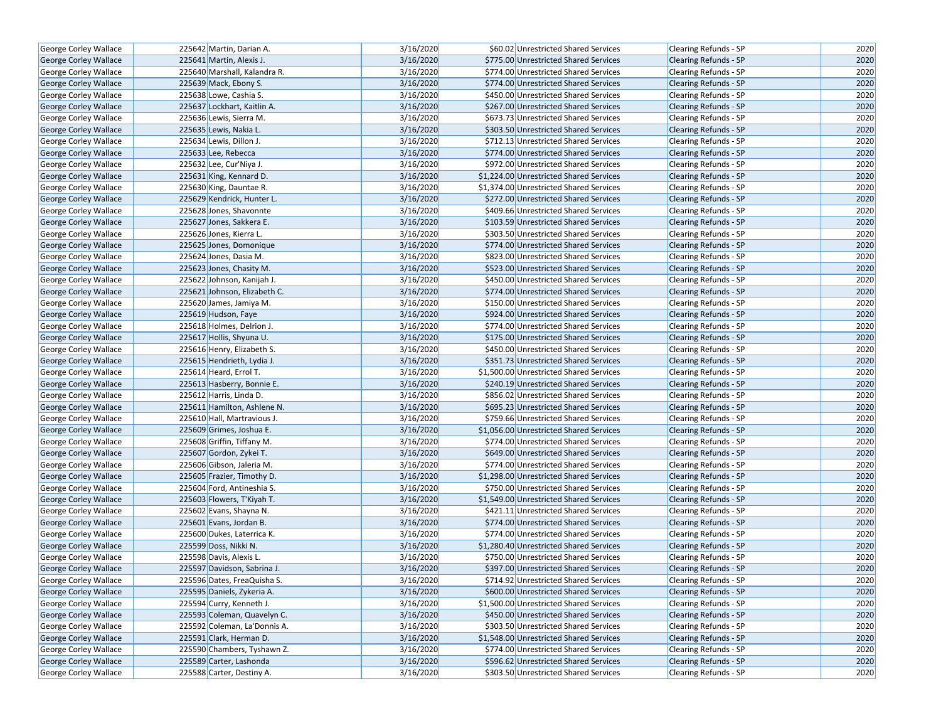| <b>George Corley Wallace</b> | 225642 Martin, Darian A.     | 3/16/2020 | \$60.02 Unrestricted Shared Services    | Clearing Refunds - SP        | 2020 |
|------------------------------|------------------------------|-----------|-----------------------------------------|------------------------------|------|
| <b>George Corley Wallace</b> | 225641 Martin, Alexis J.     | 3/16/2020 | \$775.00 Unrestricted Shared Services   | <b>Clearing Refunds - SP</b> | 2020 |
| George Corley Wallace        | 225640 Marshall, Kalandra R. | 3/16/2020 | \$774.00 Unrestricted Shared Services   | Clearing Refunds - SP        | 2020 |
| George Corley Wallace        | 225639 Mack, Ebony S.        | 3/16/2020 | \$774.00 Unrestricted Shared Services   | <b>Clearing Refunds - SP</b> | 2020 |
| George Corley Wallace        | 225638 Lowe, Cashia S.       | 3/16/2020 | \$450.00 Unrestricted Shared Services   | <b>Clearing Refunds - SP</b> | 2020 |
| George Corley Wallace        | 225637 Lockhart, Kaitlin A.  | 3/16/2020 | \$267.00 Unrestricted Shared Services   | <b>Clearing Refunds - SP</b> | 2020 |
| George Corley Wallace        | 225636 Lewis, Sierra M.      | 3/16/2020 | \$673.73 Unrestricted Shared Services   | Clearing Refunds - SP        | 2020 |
| <b>George Corley Wallace</b> | 225635 Lewis, Nakia L.       | 3/16/2020 | \$303.50 Unrestricted Shared Services   | <b>Clearing Refunds - SP</b> | 2020 |
| George Corley Wallace        | 225634 Lewis, Dillon J.      | 3/16/2020 | \$712.13 Unrestricted Shared Services   | <b>Clearing Refunds - SP</b> | 2020 |
| George Corley Wallace        | 225633 Lee, Rebecca          | 3/16/2020 | \$774.00 Unrestricted Shared Services   | Clearing Refunds - SP        | 2020 |
| George Corley Wallace        | 225632 Lee, Cur'Niya J.      | 3/16/2020 | \$972.00 Unrestricted Shared Services   | Clearing Refunds - SP        | 2020 |
| George Corley Wallace        | 225631 King, Kennard D.      | 3/16/2020 | \$1,224.00 Unrestricted Shared Services | <b>Clearing Refunds - SP</b> | 2020 |
| <b>George Corley Wallace</b> | 225630 King, Dauntae R.      | 3/16/2020 | \$1,374.00 Unrestricted Shared Services | <b>Clearing Refunds - SP</b> | 2020 |
| George Corley Wallace        | 225629 Kendrick, Hunter L.   | 3/16/2020 | \$272.00 Unrestricted Shared Services   | Clearing Refunds - SP        | 2020 |
| George Corley Wallace        | 225628 Jones, Shavonnte      | 3/16/2020 | \$409.66 Unrestricted Shared Services   | Clearing Refunds - SP        | 2020 |
| George Corley Wallace        | 225627 Jones, Sakkera E.     | 3/16/2020 | \$103.59 Unrestricted Shared Services   | <b>Clearing Refunds - SP</b> | 2020 |
| George Corley Wallace        | 225626 Jones, Kierra L.      | 3/16/2020 | \$303.50 Unrestricted Shared Services   | Clearing Refunds - SP        | 2020 |
| George Corley Wallace        | 225625 Jones, Domonique      | 3/16/2020 | \$774.00 Unrestricted Shared Services   | Clearing Refunds - SP        | 2020 |
| George Corley Wallace        | 225624 Jones, Dasia M.       | 3/16/2020 | \$823.00 Unrestricted Shared Services   | Clearing Refunds - SP        | 2020 |
| George Corley Wallace        | 225623 Jones, Chasity M.     | 3/16/2020 | \$523.00 Unrestricted Shared Services   | <b>Clearing Refunds - SP</b> | 2020 |
| George Corley Wallace        | 225622 Johnson, Kanijah J.   | 3/16/2020 | \$450.00 Unrestricted Shared Services   | <b>Clearing Refunds - SP</b> | 2020 |
| George Corley Wallace        | 225621 Johnson, Elizabeth C. | 3/16/2020 | \$774.00 Unrestricted Shared Services   | Clearing Refunds - SP        | 2020 |
| George Corley Wallace        | 225620 James, Jamiya M.      | 3/16/2020 | \$150.00 Unrestricted Shared Services   | Clearing Refunds - SP        | 2020 |
| George Corley Wallace        | 225619 Hudson, Faye          | 3/16/2020 | \$924.00 Unrestricted Shared Services   | Clearing Refunds - SP        | 2020 |
| George Corley Wallace        | 225618 Holmes, Delrion J.    | 3/16/2020 | \$774.00 Unrestricted Shared Services   | <b>Clearing Refunds - SP</b> | 2020 |
| <b>George Corley Wallace</b> | 225617 Hollis, Shyuna U.     | 3/16/2020 | \$175.00 Unrestricted Shared Services   | <b>Clearing Refunds - SP</b> | 2020 |
| George Corley Wallace        | 225616 Henry, Elizabeth S.   | 3/16/2020 | \$450.00 Unrestricted Shared Services   | Clearing Refunds - SP        | 2020 |
| George Corley Wallace        | 225615 Hendrieth, Lydia J.   | 3/16/2020 | \$351.73 Unrestricted Shared Services   | <b>Clearing Refunds - SP</b> | 2020 |
| George Corley Wallace        | 225614 Heard, Errol T.       | 3/16/2020 | \$1,500.00 Unrestricted Shared Services | <b>Clearing Refunds - SP</b> | 2020 |
| George Corley Wallace        | 225613 Hasberry, Bonnie E.   | 3/16/2020 | \$240.19 Unrestricted Shared Services   | <b>Clearing Refunds - SP</b> | 2020 |
| George Corley Wallace        | 225612 Harris, Linda D.      | 3/16/2020 | \$856.02 Unrestricted Shared Services   | Clearing Refunds - SP        | 2020 |
| George Corley Wallace        | 225611 Hamilton, Ashlene N.  | 3/16/2020 | \$695.23 Unrestricted Shared Services   | Clearing Refunds - SP        | 2020 |
| George Corley Wallace        | 225610 Hall, Martravious J.  | 3/16/2020 | \$759.66 Unrestricted Shared Services   | <b>Clearing Refunds - SP</b> | 2020 |
| <b>George Corley Wallace</b> | 225609 Grimes, Joshua E.     | 3/16/2020 | \$1,056.00 Unrestricted Shared Services | <b>Clearing Refunds - SP</b> | 2020 |
| George Corley Wallace        | 225608 Griffin, Tiffany M.   | 3/16/2020 | \$774.00 Unrestricted Shared Services   | Clearing Refunds - SP        | 2020 |
| George Corley Wallace        | 225607 Gordon, Zykei T.      | 3/16/2020 | \$649.00 Unrestricted Shared Services   | <b>Clearing Refunds - SP</b> | 2020 |
| George Corley Wallace        | 225606 Gibson, Jaleria M.    | 3/16/2020 | \$774.00 Unrestricted Shared Services   | Clearing Refunds - SP        | 2020 |
| George Corley Wallace        | 225605 Frazier, Timothy D.   | 3/16/2020 | \$1,298.00 Unrestricted Shared Services | <b>Clearing Refunds - SP</b> | 2020 |
| George Corley Wallace        | 225604 Ford, Antineshia S.   | 3/16/2020 | \$750.00 Unrestricted Shared Services   | Clearing Refunds - SP        | 2020 |
| George Corley Wallace        | 225603 Flowers, T'Kiyah T.   | 3/16/2020 | \$1,549.00 Unrestricted Shared Services | Clearing Refunds - SP        | 2020 |
| George Corley Wallace        | 225602 Evans, Shayna N.      | 3/16/2020 | \$421.11 Unrestricted Shared Services   | Clearing Refunds - SP        | 2020 |
| George Corley Wallace        | 225601 Evans, Jordan B.      | 3/16/2020 | \$774.00 Unrestricted Shared Services   | <b>Clearing Refunds - SP</b> | 2020 |
| George Corley Wallace        | 225600 Dukes, Laterrica K.   | 3/16/2020 | \$774.00 Unrestricted Shared Services   | Clearing Refunds - SP        | 2020 |
| George Corley Wallace        | 225599 Doss, Nikki N.        | 3/16/2020 | \$1,280.40 Unrestricted Shared Services | Clearing Refunds - SP        | 2020 |
| George Corley Wallace        | 225598 Davis, Alexis L.      | 3/16/2020 | \$750.00 Unrestricted Shared Services   | Clearing Refunds - SP        | 2020 |
| George Corley Wallace        | 225597 Davidson, Sabrina J.  | 3/16/2020 | \$397.00 Unrestricted Shared Services   | <b>Clearing Refunds - SP</b> | 2020 |
| George Corley Wallace        | 225596 Dates, FreaQuisha S.  | 3/16/2020 | \$714.92 Unrestricted Shared Services   | Clearing Refunds - SP        | 2020 |
| George Corley Wallace        | 225595 Daniels, Zykeria A.   | 3/16/2020 | \$600.00 Unrestricted Shared Services   | Clearing Refunds - SP        | 2020 |
| George Corley Wallace        | 225594 Curry, Kenneth J.     | 3/16/2020 | \$1,500.00 Unrestricted Shared Services | Clearing Refunds - SP        | 2020 |
| George Corley Wallace        | 225593 Coleman, Quavelyn C.  | 3/16/2020 | \$450.00 Unrestricted Shared Services   | <b>Clearing Refunds - SP</b> | 2020 |
| George Corley Wallace        | 225592 Coleman, La'Donnis A. | 3/16/2020 | \$303.50 Unrestricted Shared Services   | Clearing Refunds - SP        | 2020 |
| George Corley Wallace        | 225591 Clark, Herman D.      | 3/16/2020 | \$1,548.00 Unrestricted Shared Services | <b>Clearing Refunds - SP</b> | 2020 |
| George Corley Wallace        | 225590 Chambers, Tyshawn Z.  | 3/16/2020 | \$774.00 Unrestricted Shared Services   | Clearing Refunds - SP        | 2020 |
| George Corley Wallace        | 225589 Carter, Lashonda      | 3/16/2020 | \$596.62 Unrestricted Shared Services   | <b>Clearing Refunds - SP</b> | 2020 |
| George Corley Wallace        | 225588 Carter, Destiny A.    | 3/16/2020 | \$303.50 Unrestricted Shared Services   | Clearing Refunds - SP        | 2020 |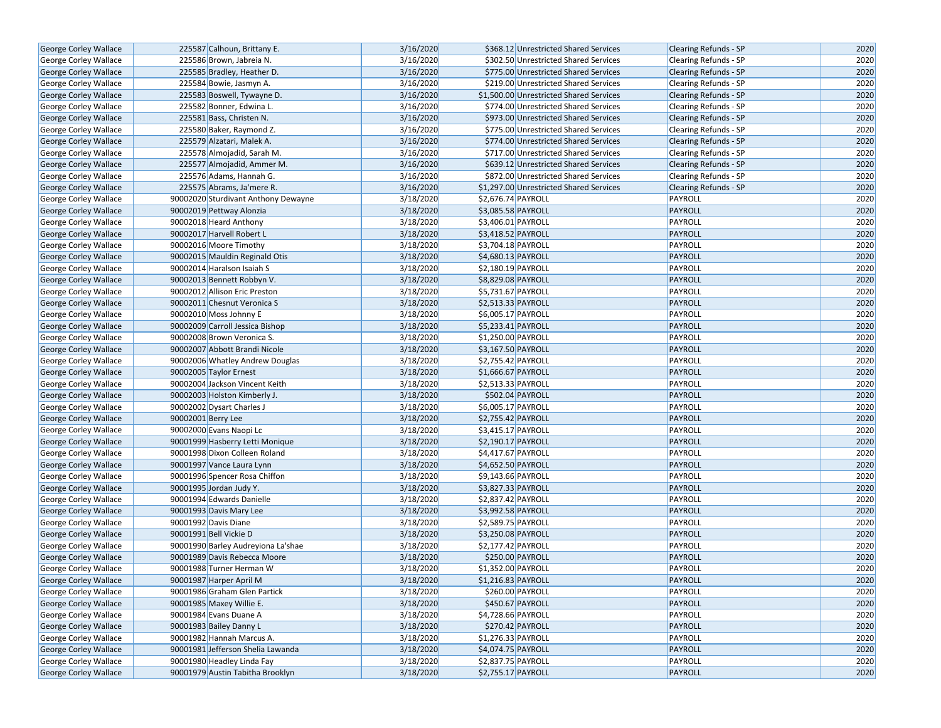| George Corley Wallace        | 225587 Calhoun, Brittany E.         | 3/16/2020 | \$368.12 Unrestricted Shared Services   | <b>Clearing Refunds - SP</b> | 2020 |
|------------------------------|-------------------------------------|-----------|-----------------------------------------|------------------------------|------|
| <b>George Corley Wallace</b> | 225586 Brown, Jabreia N.            | 3/16/2020 | \$302.50 Unrestricted Shared Services   | Clearing Refunds - SP        | 2020 |
| George Corley Wallace        | 225585 Bradley, Heather D.          | 3/16/2020 | \$775.00 Unrestricted Shared Services   | <b>Clearing Refunds - SP</b> | 2020 |
| George Corley Wallace        | 225584 Bowie, Jasmyn A.             | 3/16/2020 | \$219.00 Unrestricted Shared Services   | <b>Clearing Refunds - SP</b> | 2020 |
| George Corley Wallace        | 225583 Boswell, Tywayne D.          | 3/16/2020 | \$1,500.00 Unrestricted Shared Services | <b>Clearing Refunds - SP</b> | 2020 |
| George Corley Wallace        | 225582 Bonner, Edwina L.            | 3/16/2020 | \$774.00 Unrestricted Shared Services   | Clearing Refunds - SP        | 2020 |
| George Corley Wallace        | 225581 Bass, Christen N.            | 3/16/2020 | \$973.00 Unrestricted Shared Services   | <b>Clearing Refunds - SP</b> | 2020 |
| <b>George Corley Wallace</b> | 225580 Baker, Raymond Z.            | 3/16/2020 | \$775.00 Unrestricted Shared Services   | <b>Clearing Refunds - SP</b> | 2020 |
| George Corley Wallace        | 225579 Alzatari, Malek A.           | 3/16/2020 | \$774.00 Unrestricted Shared Services   | <b>Clearing Refunds - SP</b> | 2020 |
| George Corley Wallace        | 225578 Almojadid, Sarah M.          | 3/16/2020 | \$717.00 Unrestricted Shared Services   | Clearing Refunds - SP        | 2020 |
| George Corley Wallace        | 225577 Almojadid, Ammer M.          | 3/16/2020 | \$639.12 Unrestricted Shared Services   | <b>Clearing Refunds - SP</b> | 2020 |
| George Corley Wallace        | 225576 Adams, Hannah G.             | 3/16/2020 | \$872.00 Unrestricted Shared Services   | <b>Clearing Refunds - SP</b> | 2020 |
| George Corley Wallace        | 225575 Abrams, Ja'mere R.           | 3/16/2020 | \$1,297.00 Unrestricted Shared Services | <b>Clearing Refunds - SP</b> | 2020 |
| George Corley Wallace        | 90002020 Sturdivant Anthony Dewayne | 3/18/2020 | \$2,676.74 PAYROLL                      | PAYROLL                      | 2020 |
| George Corley Wallace        | 90002019 Pettway Alonzia            | 3/18/2020 | \$3,085.58 PAYROLL                      | PAYROLL                      | 2020 |
| <b>George Corley Wallace</b> | 90002018 Heard Anthony              | 3/18/2020 | \$3,406.01 PAYROLL                      | PAYROLL                      | 2020 |
| George Corley Wallace        | 90002017 Harvell Robert L           | 3/18/2020 | \$3,418.52 PAYROLL                      | PAYROLL                      | 2020 |
| George Corley Wallace        | 90002016 Moore Timothy              | 3/18/2020 | \$3,704.18 PAYROLL                      | PAYROLL                      | 2020 |
| George Corley Wallace        | 90002015 Mauldin Reginald Otis      | 3/18/2020 | \$4,680.13 PAYROLL                      | PAYROLL                      | 2020 |
| George Corley Wallace        | 90002014 Haralson Isaiah S          | 3/18/2020 | \$2,180.19 PAYROLL                      | PAYROLL                      | 2020 |
| <b>George Corley Wallace</b> | 90002013 Bennett Robbyn V.          | 3/18/2020 | \$8,829.08 PAYROLL                      | <b>PAYROLL</b>               | 2020 |
| George Corley Wallace        | 90002012 Allison Eric Preston       | 3/18/2020 | \$5,731.67 PAYROLL                      | PAYROLL                      | 2020 |
| George Corley Wallace        | 90002011 Chesnut Veronica S         | 3/18/2020 | \$2,513.33 PAYROLL                      | <b>PAYROLL</b>               | 2020 |
| George Corley Wallace        | 90002010 Moss Johnny E              | 3/18/2020 | \$6,005.17 PAYROLL                      | PAYROLL                      | 2020 |
| George Corley Wallace        | 90002009 Carroll Jessica Bishop     | 3/18/2020 | \$5,233.41 PAYROLL                      | PAYROLL                      | 2020 |
| George Corley Wallace        | 90002008 Brown Veronica S.          | 3/18/2020 | \$1,250.00 PAYROLL                      | PAYROLL                      | 2020 |
| George Corley Wallace        | 90002007 Abbott Brandi Nicole       | 3/18/2020 | \$3,167.50 PAYROLL                      | <b>PAYROLL</b>               | 2020 |
| George Corley Wallace        | 90002006 Whatley Andrew Douglas     | 3/18/2020 | \$2,755.42 PAYROLL                      | PAYROLL                      | 2020 |
| George Corley Wallace        | 90002005 Taylor Ernest              | 3/18/2020 | \$1,666.67 PAYROLL                      | PAYROLL                      | 2020 |
| George Corley Wallace        | 90002004 Jackson Vincent Keith      | 3/18/2020 | \$2,513.33 PAYROLL                      | PAYROLL                      | 2020 |
| George Corley Wallace        | 90002003 Holston Kimberly J.        | 3/18/2020 | \$502.04 PAYROLL                        | <b>PAYROLL</b>               | 2020 |
| George Corley Wallace        | 90002002 Dysart Charles J           | 3/18/2020 | \$6,005.17 PAYROLL                      | PAYROLL                      | 2020 |
| George Corley Wallace        | 90002001 Berry Lee                  | 3/18/2020 | \$2,755.42 PAYROLL                      | PAYROLL                      | 2020 |
| George Corley Wallace        | 90002000 Evans Naopi Lc             | 3/18/2020 | \$3,415.17 PAYROLL                      | PAYROLL                      | 2020 |
| George Corley Wallace        | 90001999 Hasberry Letti Monique     | 3/18/2020 | \$2,190.17 PAYROLL                      | <b>PAYROLL</b>               | 2020 |
| George Corley Wallace        | 90001998 Dixon Colleen Roland       | 3/18/2020 | \$4,417.67 PAYROLL                      | PAYROLL                      | 2020 |
| <b>George Corley Wallace</b> | 90001997 Vance Laura Lynn           | 3/18/2020 | \$4,652.50 PAYROLL                      | <b>PAYROLL</b>               | 2020 |
| George Corley Wallace        | 90001996 Spencer Rosa Chiffon       | 3/18/2020 | \$9,143.66 PAYROLL                      | PAYROLL                      | 2020 |
| George Corley Wallace        | 90001995 Jordan Judy Y.             | 3/18/2020 | \$3,827.33 PAYROLL                      | <b>PAYROLL</b>               | 2020 |
| George Corley Wallace        | 90001994 Edwards Danielle           | 3/18/2020 | \$2,837.42 PAYROLL                      | PAYROLL                      | 2020 |
| <b>George Corley Wallace</b> | 90001993 Davis Mary Lee             | 3/18/2020 | \$3,992.58 PAYROLL                      | PAYROLL                      | 2020 |
| <b>George Corley Wallace</b> | 90001992 Davis Diane                | 3/18/2020 | \$2,589.75 PAYROLL                      | PAYROLL                      | 2020 |
| George Corley Wallace        | 90001991 Bell Vickie D              | 3/18/2020 | \$3,250.08 PAYROLL                      | <b>PAYROLL</b>               | 2020 |
| George Corley Wallace        | 90001990 Barley Audreyiona La'shae  | 3/18/2020 | \$2,177.42 PAYROLL                      | PAYROLL                      | 2020 |
| <b>George Corley Wallace</b> | 90001989 Davis Rebecca Moore        | 3/18/2020 | \$250.00 PAYROLL                        | PAYROLL                      | 2020 |
| George Corley Wallace        | 90001988 Turner Herman W            | 3/18/2020 | \$1,352.00 PAYROLL                      | PAYROLL                      | 2020 |
| George Corley Wallace        | 90001987 Harper April M             | 3/18/2020 | \$1,216.83 PAYROLL                      | PAYROLL                      | 2020 |
| <b>George Corley Wallace</b> | 90001986 Graham Glen Partick        | 3/18/2020 | \$260.00 PAYROLL                        | PAYROLL                      | 2020 |
| George Corley Wallace        | 90001985 Maxey Willie E.            | 3/18/2020 | \$450.67 PAYROLL                        | <b>PAYROLL</b>               | 2020 |
| George Corley Wallace        | 90001984 Evans Duane A              | 3/18/2020 | \$4,728.66 PAYROLL                      | PAYROLL                      | 2020 |
| George Corley Wallace        | 90001983 Bailey Danny L             | 3/18/2020 | \$270.42 PAYROLL                        | PAYROLL                      | 2020 |
| George Corley Wallace        | 90001982 Hannah Marcus A.           | 3/18/2020 | \$1,276.33 PAYROLL                      | PAYROLL                      | 2020 |
| George Corley Wallace        | 90001981 Jefferson Shelia Lawanda   | 3/18/2020 | \$4,074.75 PAYROLL                      | PAYROLL                      | 2020 |
| George Corley Wallace        | 90001980 Headley Linda Fay          | 3/18/2020 | \$2,837.75 PAYROLL                      | PAYROLL                      | 2020 |
| <b>George Corley Wallace</b> | 90001979 Austin Tabitha Brooklyn    | 3/18/2020 | \$2,755.17 PAYROLL                      | PAYROLL                      | 2020 |
|                              |                                     |           |                                         |                              |      |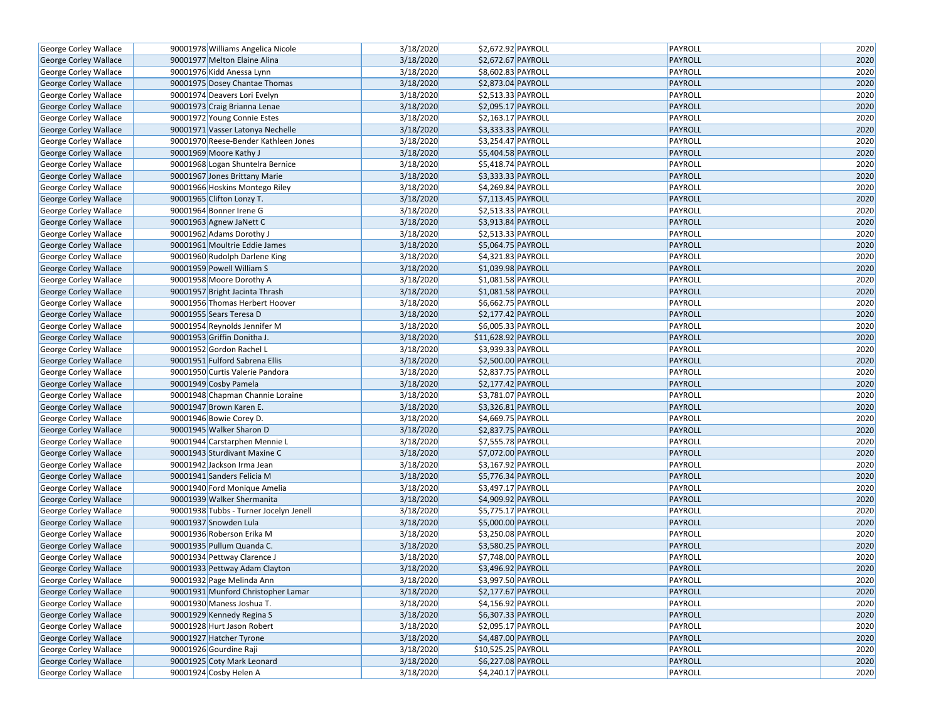| George Corley Wallace        | 90001978 Williams Angelica Nicole      | 3/18/2020 | \$2,672.92 PAYROLL             | PAYROLL            | 2020 |
|------------------------------|----------------------------------------|-----------|--------------------------------|--------------------|------|
| George Corley Wallace        | 90001977 Melton Elaine Alina           | 3/18/2020 | \$2,672.67 PAYROLL             | PAYROLL            | 2020 |
| George Corley Wallace        | 90001976 Kidd Anessa Lynn              | 3/18/2020 | \$8,602.83 PAYROLL             | PAYROLL            | 2020 |
| George Corley Wallace        | 90001975 Dosey Chantae Thomas          | 3/18/2020 | \$2,873.04 PAYROLL             | PAYROLL            | 2020 |
| George Corley Wallace        | 90001974 Deavers Lori Evelyn           | 3/18/2020 | \$2,513.33 PAYROLL             | PAYROLL            | 2020 |
| George Corley Wallace        | 90001973 Craig Brianna Lenae           | 3/18/2020 | \$2,095.17 PAYROLL             | <b>PAYROLL</b>     | 2020 |
| George Corley Wallace        | 90001972 Young Connie Estes            | 3/18/2020 | \$2,163.17 PAYROLL             | PAYROLL            | 2020 |
| George Corley Wallace        | 90001971 Vasser Latonya Nechelle       | 3/18/2020 | \$3,333.33 PAYROLL             | PAYROLL            | 2020 |
| George Corley Wallace        | 90001970 Reese-Bender Kathleen Jones   | 3/18/2020 | \$3,254.47 PAYROLL             | PAYROLL            | 2020 |
| George Corley Wallace        | 90001969 Moore Kathy J                 | 3/18/2020 | \$5,404.58 PAYROLL             | PAYROLL            | 2020 |
| George Corley Wallace        | 90001968 Logan Shuntelra Bernice       | 3/18/2020 | \$5,418.74 PAYROLL             | PAYROLL            | 2020 |
| George Corley Wallace        | 90001967 Jones Brittany Marie          | 3/18/2020 | \$3,333.33 PAYROLL             | PAYROLL            | 2020 |
| George Corley Wallace        | 90001966 Hoskins Montego Riley         | 3/18/2020 | \$4,269.84 PAYROLL             | PAYROLL            | 2020 |
| George Corley Wallace        | 90001965 Clifton Lonzy T.              | 3/18/2020 | \$7,113.45 PAYROLL             | PAYROLL            | 2020 |
| George Corley Wallace        | 90001964 Bonner Irene G                | 3/18/2020 | \$2,513.33 PAYROLL             | PAYROLL            | 2020 |
| George Corley Wallace        | 90001963 Agnew JaNett C                | 3/18/2020 | \$3,913.84 PAYROLL             | <b>PAYROLL</b>     | 2020 |
| George Corley Wallace        | 90001962 Adams Dorothy J               | 3/18/2020 | \$2,513.33 PAYROLL             | PAYROLL            | 2020 |
| George Corley Wallace        | 90001961 Moultrie Eddie James          | 3/18/2020 | \$5,064.75 PAYROLL             | <b>PAYROLL</b>     | 2020 |
| George Corley Wallace        | 90001960 Rudolph Darlene King          | 3/18/2020 | $\overline{$4,321.83}$ PAYROLL | PAYROLL            | 2020 |
| George Corley Wallace        | 90001959 Powell William S              | 3/18/2020 | \$1,039.98 PAYROLL             | PAYROLL            | 2020 |
| George Corley Wallace        | 90001958 Moore Dorothy A               | 3/18/2020 | \$1,081.58 PAYROLL             | PAYROLL            | 2020 |
| George Corley Wallace        | 90001957 Bright Jacinta Thrash         | 3/18/2020 | \$1,081.58 PAYROLL             | <b>PAYROLL</b>     | 2020 |
| George Corley Wallace        | 90001956 Thomas Herbert Hoover         | 3/18/2020 | \$6,662.75 PAYROLL             | PAYROLL            | 2020 |
| George Corley Wallace        | 90001955 Sears Teresa D                | 3/18/2020 | \$2,177.42 PAYROLL             | <b>PAYROLL</b>     | 2020 |
| George Corley Wallace        | 90001954 Reynolds Jennifer M           | 3/18/2020 | \$6,005.33 PAYROLL             | PAYROLL            | 2020 |
| George Corley Wallace        | 90001953 Griffin Donitha J.            | 3/18/2020 | \$11,628.92 PAYROLL            | <b>PAYROLL</b>     | 2020 |
| George Corley Wallace        | 90001952 Gordon Rachel L               | 3/18/2020 | \$3,939.33 PAYROLL             | PAYROLL            | 2020 |
|                              | 90001951 Fulford Sabrena Ellis         | 3/18/2020 | \$2,500.00 PAYROLL             | <b>PAYROLL</b>     | 2020 |
| George Corley Wallace        | 90001950 Curtis Valerie Pandora        | 3/18/2020 | \$2,837.75 PAYROLL             | PAYROLL            | 2020 |
| George Corley Wallace        | 90001949 Cosby Pamela                  | 3/18/2020 | \$2,177.42 PAYROLL             | <b>PAYROLL</b>     | 2020 |
| George Corley Wallace        | 90001948 Chapman Channie Loraine       | 3/18/2020 | \$3,781.07 PAYROLL             |                    | 2020 |
| George Corley Wallace        | 90001947 Brown Karen E.                |           |                                | PAYROLL            |      |
| George Corley Wallace        |                                        | 3/18/2020 | \$3,326.81 PAYROLL             | <b>PAYROLL</b>     | 2020 |
| George Corley Wallace        | 90001946 Bowie Corey D.                | 3/18/2020 | \$4,669.75 PAYROLL             | PAYROLL            | 2020 |
| George Corley Wallace        | 90001945 Walker Sharon D               | 3/18/2020 | \$2,837.75 PAYROLL             | <b>PAYROLL</b>     | 2020 |
| George Corley Wallace        | 90001944 Carstarphen Mennie L          | 3/18/2020 | \$7,555.78 PAYROLL             | PAYROLL            | 2020 |
| George Corley Wallace        | 90001943 Sturdivant Maxine C           | 3/18/2020 | \$7,072.00 PAYROLL             | <b>PAYROLL</b>     | 2020 |
| George Corley Wallace        | 90001942 Jackson Irma Jean             | 3/18/2020 | \$3,167.92 PAYROLL             | PAYROLL<br>PAYROLL | 2020 |
| George Corley Wallace        | 90001941 Sanders Felicia M             | 3/18/2020 | \$5,776.34 PAYROLL             |                    | 2020 |
| George Corley Wallace        | 90001940 Ford Monique Amelia           | 3/18/2020 | \$3,497.17 PAYROLL             | PAYROLL            | 2020 |
| George Corley Wallace        | 90001939 Walker Shermanita             | 3/18/2020 | \$4,909.92 PAYROLL             | <b>PAYROLL</b>     | 2020 |
| George Corley Wallace        | 90001938 Tubbs - Turner Jocelyn Jenell | 3/18/2020 | \$5,775.17 PAYROLL             | PAYROLL            | 2020 |
| George Corley Wallace        | 90001937 Snowden Lula                  | 3/18/2020 | \$5,000.00 PAYROLL             | <b>PAYROLL</b>     | 2020 |
| George Corley Wallace        | 90001936 Roberson Erika M              | 3/18/2020 | \$3,250.08 PAYROLL             | PAYROLL            | 2020 |
| <b>George Corley Wallace</b> | 90001935 Pullum Quanda C.              | 3/18/2020 | \$3,580.25 PAYROLL             | <b>PAYROLL</b>     | 2020 |
| George Corley Wallace        | 90001934 Pettway Clarence J            | 3/18/2020 | \$7,748.00 PAYROLL             | PAYROLL            | 2020 |
| George Corley Wallace        | 90001933 Pettway Adam Clayton          | 3/18/2020 | \$3,496.92 PAYROLL             | PAYROLL            | 2020 |
| George Corley Wallace        | 90001932 Page Melinda Ann              | 3/18/2020 | \$3,997.50 PAYROLL             | PAYROLL            | 2020 |
| George Corley Wallace        | 90001931 Munford Christopher Lamar     | 3/18/2020 | \$2,177.67 PAYROLL             | <b>PAYROLL</b>     | 2020 |
| George Corley Wallace        | 90001930 Maness Joshua T.              | 3/18/2020 | \$4,156.92 PAYROLL             | PAYROLL            | 2020 |
| George Corley Wallace        | 90001929 Kennedy Regina S              | 3/18/2020 | \$6,307.33 PAYROLL             | PAYROLL            | 2020 |
| George Corley Wallace        | 90001928 Hurt Jason Robert             | 3/18/2020 | \$2,095.17 PAYROLL             | PAYROLL            | 2020 |
| George Corley Wallace        | 90001927 Hatcher Tyrone                | 3/18/2020 | \$4,487.00 PAYROLL             | <b>PAYROLL</b>     | 2020 |
| George Corley Wallace        | 90001926 Gourdine Raji                 | 3/18/2020 | \$10,525.25 PAYROLL            | PAYROLL            | 2020 |
| George Corley Wallace        | 90001925 Coty Mark Leonard             | 3/18/2020 | \$6,227.08 PAYROLL             | <b>PAYROLL</b>     | 2020 |
| George Corley Wallace        | 90001924 Cosby Helen A                 | 3/18/2020 | \$4,240.17 PAYROLL             | PAYROLL            | 2020 |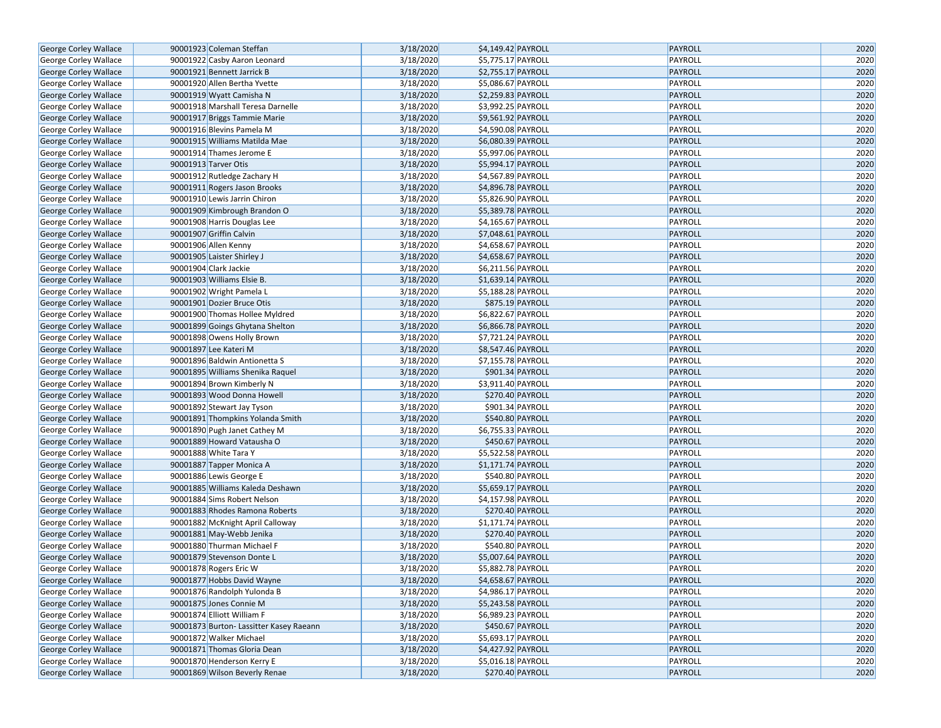| George Corley Wallace        | 90001923 Coleman Steffan                                   | 3/18/2020              | \$4,149.42 PAYROLL                       | <b>PAYROLL</b>            | 2020         |
|------------------------------|------------------------------------------------------------|------------------------|------------------------------------------|---------------------------|--------------|
| <b>George Corley Wallace</b> | 90001922 Casby Aaron Leonard                               | 3/18/2020              | \$5,775.17 PAYROLL                       | PAYROLL                   | 2020         |
| George Corley Wallace        | 90001921 Bennett Jarrick B                                 | 3/18/2020              | \$2,755.17 PAYROLL                       | <b>PAYROLL</b>            | 2020         |
| George Corley Wallace        | 90001920 Allen Bertha Yvette                               | 3/18/2020              | \$5,086.67 PAYROLL                       | PAYROLL                   | 2020         |
| George Corley Wallace        | 90001919 Wyatt Camisha N                                   | 3/18/2020              | \$2,259.83 PAYROLL                       | <b>PAYROLL</b>            | 2020         |
| George Corley Wallace        | 90001918 Marshall Teresa Darnelle                          | 3/18/2020              | \$3,992.25 PAYROLL                       | PAYROLL                   | 2020         |
| <b>George Corley Wallace</b> | 90001917 Briggs Tammie Marie                               | 3/18/2020              | \$9,561.92 PAYROLL                       | <b>PAYROLL</b>            | 2020         |
| George Corley Wallace        | 90001916 Blevins Pamela M                                  | 3/18/2020              | \$4,590.08 PAYROLL                       | PAYROLL                   | 2020         |
| George Corley Wallace        | 90001915 Williams Matilda Mae                              | 3/18/2020              | \$6,080.39 PAYROLL                       | <b>PAYROLL</b>            | 2020         |
| George Corley Wallace        | 90001914 Thames Jerome E                                   | 3/18/2020              | \$5,997.06 PAYROLL                       | PAYROLL                   | 2020         |
| George Corley Wallace        | 90001913 Tarver Otis                                       | 3/18/2020              | \$5,994.17 PAYROLL                       | PAYROLL                   | 2020         |
| George Corley Wallace        | 90001912 Rutledge Zachary H                                | 3/18/2020              | \$4,567.89 PAYROLL                       | PAYROLL                   | 2020         |
| <b>George Corley Wallace</b> | 90001911 Rogers Jason Brooks                               | 3/18/2020              | \$4,896.78 PAYROLL                       | PAYROLL                   | 2020         |
| George Corley Wallace        | 90001910 Lewis Jarrin Chiron                               | 3/18/2020              | \$5,826.90 PAYROLL                       | PAYROLL                   | 2020         |
| George Corley Wallace        | 90001909 Kimbrough Brandon O                               | 3/18/2020              | \$5,389.78 PAYROLL                       | PAYROLL                   | 2020         |
| George Corley Wallace        | 90001908 Harris Douglas Lee                                | 3/18/2020              | \$4,165.67 PAYROLL                       | PAYROLL                   | 2020         |
| George Corley Wallace        | 90001907 Griffin Calvin                                    | 3/18/2020              | \$7,048.61 PAYROLL                       | PAYROLL                   | 2020         |
| George Corley Wallace        | 90001906 Allen Kenny                                       | 3/18/2020              | \$4,658.67 PAYROLL                       | PAYROLL                   | 2020         |
| George Corley Wallace        | 90001905 Laister Shirley J                                 | 3/18/2020              | \$4,658.67 PAYROLL                       | PAYROLL                   | 2020         |
| George Corley Wallace        | 90001904 Clark Jackie                                      | 3/18/2020              | \$6,211.56 PAYROLL                       | PAYROLL                   | 2020         |
| <b>George Corley Wallace</b> | 90001903 Williams Elsie B.                                 | 3/18/2020              | \$1,639.14 PAYROLL                       | PAYROLL                   | 2020         |
| George Corley Wallace        | 90001902 Wright Pamela L                                   | 3/18/2020              | \$5,188.28 PAYROLL                       | PAYROLL                   | 2020         |
| George Corley Wallace        | 90001901 Dozier Bruce Otis                                 | 3/18/2020              | \$875.19 PAYROLL                         | PAYROLL                   | 2020         |
| George Corley Wallace        | 90001900 Thomas Hollee Myldred                             | 3/18/2020              | \$6,822.67 PAYROLL                       | PAYROLL                   | 2020         |
| <b>George Corley Wallace</b> | 90001899 Goings Ghytana Shelton                            | 3/18/2020              | \$6,866.78 PAYROLL                       | PAYROLL                   | 2020         |
| George Corley Wallace        | 90001898 Owens Holly Brown                                 | 3/18/2020              | \$7,721.24 PAYROLL                       | PAYROLL                   | 2020         |
| George Corley Wallace        | 90001897 Lee Kateri M                                      | 3/18/2020              | \$8,547.46 PAYROLL                       | PAYROLL                   | 2020         |
|                              | 90001896 Baldwin Antionetta S                              | 3/18/2020              | \$7,155.78 PAYROLL                       | PAYROLL                   | 2020         |
| George Corley Wallace        | 90001895 Williams Shenika Raquel                           | 3/18/2020              | \$901.34 PAYROLL                         | PAYROLL                   | 2020         |
| George Corley Wallace        | 90001894 Brown Kimberly N                                  | 3/18/2020              | \$3,911.40 PAYROLL                       | PAYROLL                   | 2020         |
| George Corley Wallace        | 90001893 Wood Donna Howell                                 | 3/18/2020              | \$270.40 PAYROLL                         | PAYROLL                   | 2020         |
| George Corley Wallace        | 90001892 Stewart Jay Tyson                                 | 3/18/2020              | \$901.34 PAYROLL                         | PAYROLL                   | 2020         |
| George Corley Wallace        | 90001891 Thompkins Yolanda Smith                           | 3/18/2020              | \$540.80 PAYROLL                         | PAYROLL                   | 2020         |
| George Corley Wallace        |                                                            |                        |                                          |                           |              |
| George Corley Wallace        | 90001890 Pugh Janet Cathey M<br>90001889 Howard Vatausha O | 3/18/2020<br>3/18/2020 | \$6,755.33 PAYROLL                       | PAYROLL<br><b>PAYROLL</b> | 2020<br>2020 |
| George Corley Wallace        | 90001888 White Tara Y                                      | 3/18/2020              | \$450.67 PAYROLL<br>\$5,522.58 PAYROLL   | PAYROLL                   | 2020         |
| George Corley Wallace        |                                                            | 3/18/2020              |                                          | <b>PAYROLL</b>            | 2020         |
| George Corley Wallace        | 90001887 Tapper Monica A                                   | 3/18/2020              | \$1,171.74 PAYROLL<br>\$540.80 PAYROLL   | PAYROLL                   | 2020         |
| George Corley Wallace        | 90001886 Lewis George E                                    | 3/18/2020              |                                          | <b>PAYROLL</b>            | 2020         |
| George Corley Wallace        | 90001885 Williams Kaleda Deshawn                           | 3/18/2020              | \$5,659.17 PAYROLL<br>\$4,157.98 PAYROLL | PAYROLL                   | 2020         |
| George Corley Wallace        | 90001884 Sims Robert Nelson                                |                        | \$270.40 PAYROLL                         |                           |              |
| George Corley Wallace        | 90001883 Rhodes Ramona Roberts                             | 3/18/2020<br>3/18/2020 |                                          | PAYROLL<br>PAYROLL        | 2020<br>2020 |
| George Corley Wallace        | 90001882 McKnight April Calloway                           |                        | \$1,171.74 PAYROLL                       |                           |              |
| George Corley Wallace        | 90001881 May-Webb Jenika                                   | 3/18/2020              | \$270.40 PAYROLL                         | <b>PAYROLL</b>            | 2020         |
| George Corley Wallace        | 90001880 Thurman Michael F                                 | 3/18/2020              | \$540.80 PAYROLL                         | PAYROLL                   | 2020         |
| George Corley Wallace        | 90001879 Stevenson Donte L                                 | 3/18/2020              | \$5,007.64 PAYROLL                       | <b>PAYROLL</b>            | 2020         |
| George Corley Wallace        | 90001878 Rogers Eric W                                     | 3/18/2020              | \$5,882.78 PAYROLL                       | PAYROLL                   | 2020         |
| George Corley Wallace        | 90001877 Hobbs David Wayne                                 | 3/18/2020              | \$4,658.67 PAYROLL                       | <b>PAYROLL</b>            | 2020         |
| George Corley Wallace        | 90001876 Randolph Yulonda B                                | 3/18/2020              | \$4,986.17 PAYROLL                       | PAYROLL                   | 2020         |
| George Corley Wallace        | 90001875 Jones Connie M                                    | 3/18/2020              | \$5,243.58 PAYROLL                       | <b>PAYROLL</b>            | 2020         |
| George Corley Wallace        | 90001874 Elliott William F                                 | 3/18/2020              | \$6,989.23 PAYROLL                       | PAYROLL                   | 2020         |
| George Corley Wallace        | 90001873 Burton- Lassitter Kasey Raeann                    | 3/18/2020              | \$450.67 PAYROLL                         | <b>PAYROLL</b>            | 2020         |
| George Corley Wallace        | 90001872 Walker Michael                                    | 3/18/2020              | \$5,693.17 PAYROLL                       | PAYROLL                   | 2020         |
| George Corley Wallace        | 90001871 Thomas Gloria Dean                                | 3/18/2020              | \$4,427.92 PAYROLL                       | PAYROLL                   | 2020         |
| George Corley Wallace        | 90001870 Henderson Kerry E                                 | 3/18/2020              | $55,016.18$ PAYROLL                      | PAYROLL                   | 2020         |
| George Corley Wallace        | 90001869 Wilson Beverly Renae                              | 3/18/2020              | \$270.40 PAYROLL                         | PAYROLL                   | 2020         |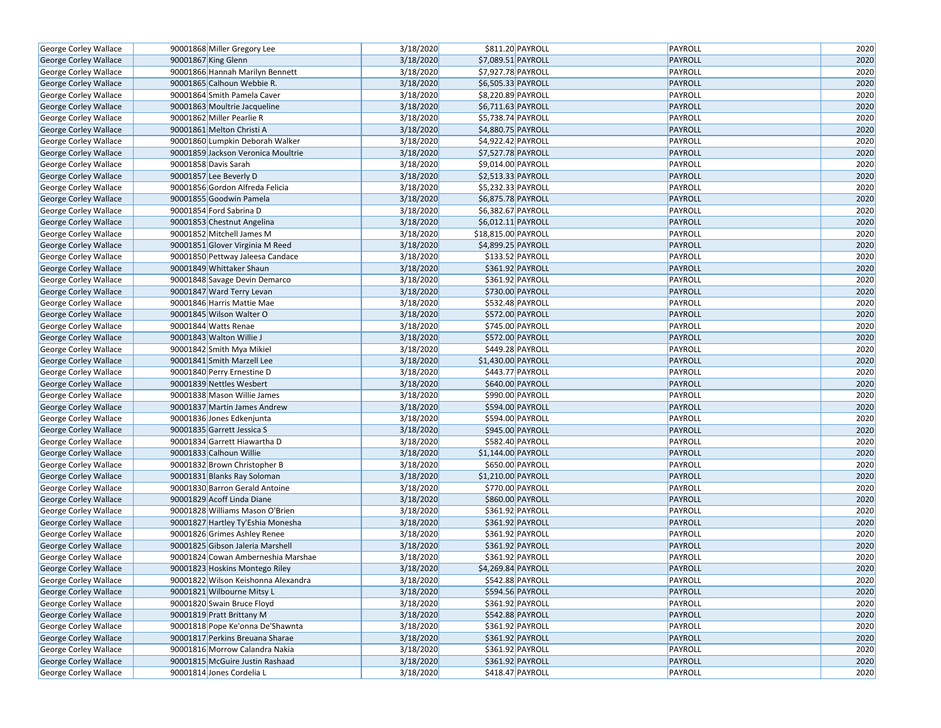| George Corley Wallace | 90001868 Miller Gregory Lee         | 3/18/2020 | \$811.20 PAYROLL    | PAYROLL | 2020 |
|-----------------------|-------------------------------------|-----------|---------------------|---------|------|
| George Corley Wallace | 90001867 King Glenn                 | 3/18/2020 | \$7,089.51 PAYROLL  | PAYROLL | 2020 |
| George Corley Wallace | 90001866 Hannah Marilyn Bennett     | 3/18/2020 | \$7,927.78 PAYROLL  | PAYROLL | 2020 |
| George Corley Wallace | 90001865 Calhoun Webbie R.          | 3/18/2020 | \$6,505.33 PAYROLL  | PAYROLL | 2020 |
| George Corley Wallace | 90001864 Smith Pamela Caver         | 3/18/2020 | \$8,220.89 PAYROLL  | PAYROLL | 2020 |
| George Corley Wallace | 90001863 Moultrie Jacqueline        | 3/18/2020 | \$6,711.63 PAYROLL  | PAYROLL | 2020 |
| George Corley Wallace | 90001862 Miller Pearlie R           | 3/18/2020 | \$5,738.74 PAYROLL  | PAYROLL | 2020 |
| George Corley Wallace | 90001861 Melton Christi A           | 3/18/2020 | \$4,880.75 PAYROLL  | PAYROLL | 2020 |
| George Corley Wallace | 90001860 Lumpkin Deborah Walker     | 3/18/2020 | \$4,922.42 PAYROLL  | PAYROLL | 2020 |
| George Corley Wallace | 90001859 Jackson Veronica Moultrie  | 3/18/2020 | \$7,527.78 PAYROLL  | PAYROLL | 2020 |
| George Corley Wallace | 90001858 Davis Sarah                | 3/18/2020 | \$9,014.00 PAYROLL  | PAYROLL | 2020 |
| George Corley Wallace | 90001857 Lee Beverly D              | 3/18/2020 | \$2,513.33 PAYROLL  | PAYROLL | 2020 |
| George Corley Wallace | 90001856 Gordon Alfreda Felicia     | 3/18/2020 | \$5,232.33 PAYROLL  | PAYROLL | 2020 |
| George Corley Wallace | 90001855 Goodwin Pamela             | 3/18/2020 | \$6,875.78 PAYROLL  | PAYROLL | 2020 |
| George Corley Wallace | 90001854 Ford Sabrina D             | 3/18/2020 | \$6,382.67 PAYROLL  | PAYROLL | 2020 |
| George Corley Wallace | 90001853 Chestnut Angelina          | 3/18/2020 | \$6,012.11 PAYROLL  | PAYROLL | 2020 |
| George Corley Wallace | 90001852 Mitchell James M           | 3/18/2020 | \$18,815.00 PAYROLL | PAYROLL | 2020 |
| George Corley Wallace | 90001851 Glover Virginia M Reed     | 3/18/2020 | \$4,899.25 PAYROLL  | PAYROLL | 2020 |
| George Corley Wallace | 90001850 Pettway Jaleesa Candace    | 3/18/2020 | \$133.52 PAYROLL    | PAYROLL | 2020 |
| George Corley Wallace | 90001849 Whittaker Shaun            | 3/18/2020 | \$361.92 PAYROLL    | PAYROLL | 2020 |
| George Corley Wallace | 90001848 Savage Devin Demarco       | 3/18/2020 | \$361.92 PAYROLL    | PAYROLL | 2020 |
| George Corley Wallace | 90001847 Ward Terry Levan           | 3/18/2020 | \$730.00 PAYROLL    | PAYROLL | 2020 |
| George Corley Wallace | 90001846 Harris Mattie Mae          | 3/18/2020 | \$532.48 PAYROLL    | PAYROLL | 2020 |
| George Corley Wallace | 90001845 Wilson Walter O            | 3/18/2020 | \$572.00 PAYROLL    | PAYROLL | 2020 |
| George Corley Wallace | 90001844 Watts Renae                | 3/18/2020 | \$745.00 PAYROLL    | PAYROLL | 2020 |
| George Corley Wallace | 90001843 Walton Willie J            | 3/18/2020 | \$572.00 PAYROLL    | PAYROLL | 2020 |
| George Corley Wallace | 90001842 Smith Mya Mikiel           | 3/18/2020 | \$449.28 PAYROLL    | PAYROLL | 2020 |
| George Corley Wallace | 90001841 Smith Marzell Lee          | 3/18/2020 | \$1,430.00 PAYROLL  | PAYROLL | 2020 |
| George Corley Wallace | 90001840 Perry Ernestine D          | 3/18/2020 | \$443.77 PAYROLL    | PAYROLL | 2020 |
| George Corley Wallace | 90001839 Nettles Wesbert            | 3/18/2020 | \$640.00 PAYROLL    | PAYROLL | 2020 |
| George Corley Wallace | 90001838 Mason Willie James         | 3/18/2020 | \$990.00 PAYROLL    | PAYROLL | 2020 |
| George Corley Wallace | 90001837 Martin James Andrew        | 3/18/2020 | \$594.00 PAYROLL    | PAYROLL | 2020 |
| George Corley Wallace | 90001836 Jones Edkenjunta           | 3/18/2020 | \$594.00 PAYROLL    | PAYROLL | 2020 |
| George Corley Wallace | 90001835 Garrett Jessica S          | 3/18/2020 | \$945.00 PAYROLL    | PAYROLL | 2020 |
| George Corley Wallace | 90001834 Garrett Hiawartha D        | 3/18/2020 | \$582.40 PAYROLL    | PAYROLL | 2020 |
| George Corley Wallace | 90001833 Calhoun Willie             | 3/18/2020 | \$1,144.00 PAYROLL  | PAYROLL | 2020 |
| George Corley Wallace | 90001832 Brown Christopher B        | 3/18/2020 | \$650.00 PAYROLL    | PAYROLL | 2020 |
| George Corley Wallace | 90001831 Blanks Ray Soloman         | 3/18/2020 | \$1,210.00 PAYROLL  | PAYROLL | 2020 |
| George Corley Wallace | 90001830 Barron Gerald Antoine      | 3/18/2020 | \$770.00 PAYROLL    | PAYROLL | 2020 |
| George Corley Wallace | 90001829 Acoff Linda Diane          | 3/18/2020 | \$860.00 PAYROLL    | PAYROLL | 2020 |
| George Corley Wallace | 90001828 Williams Mason O'Brien     | 3/18/2020 | \$361.92 PAYROLL    | PAYROLL | 2020 |
| George Corley Wallace | 90001827 Hartley Ty'Eshia Monesha   | 3/18/2020 | \$361.92 PAYROLL    | PAYROLL | 2020 |
| George Corley Wallace | 90001826 Grimes Ashley Renee        | 3/18/2020 | \$361.92 PAYROLL    | PAYROLL | 2020 |
| George Corley Wallace | 90001825 Gibson Jaleria Marshell    | 3/18/2020 | \$361.92 PAYROLL    | PAYROLL | 2020 |
| George Corley Wallace | 90001824 Cowan Amberneshia Marshae  | 3/18/2020 | \$361.92 PAYROLL    | PAYROLL | 2020 |
| George Corley Wallace | 90001823 Hoskins Montego Riley      | 3/18/2020 | \$4,269.84 PAYROLL  | PAYROLL | 2020 |
| George Corley Wallace | 90001822 Wilson Keishonna Alexandra | 3/18/2020 | \$542.88 PAYROLL    | PAYROLL | 2020 |
| George Corley Wallace | 90001821 Wilbourne Mitsy L          | 3/18/2020 | \$594.56 PAYROLL    | PAYROLL | 2020 |
| George Corley Wallace | 90001820 Swain Bruce Floyd          | 3/18/2020 | \$361.92 PAYROLL    | PAYROLL | 2020 |
| George Corley Wallace | 90001819 Pratt Brittany M           | 3/18/2020 | \$542.88 PAYROLL    | PAYROLL | 2020 |
| George Corley Wallace | 90001818 Pope Ke'onna De'Shawnta    | 3/18/2020 | \$361.92 PAYROLL    | PAYROLL | 2020 |
| George Corley Wallace | 90001817 Perkins Breuana Sharae     | 3/18/2020 | \$361.92 PAYROLL    | PAYROLL | 2020 |
| George Corley Wallace | 90001816 Morrow Calandra Nakia      | 3/18/2020 | \$361.92 PAYROLL    | PAYROLL | 2020 |
| George Corley Wallace | 90001815 McGuire Justin Rashaad     | 3/18/2020 | \$361.92 PAYROLL    | PAYROLL | 2020 |
| George Corley Wallace | 90001814 Jones Cordelia L           | 3/18/2020 | \$418.47 PAYROLL    | PAYROLL | 2020 |
|                       |                                     |           |                     |         |      |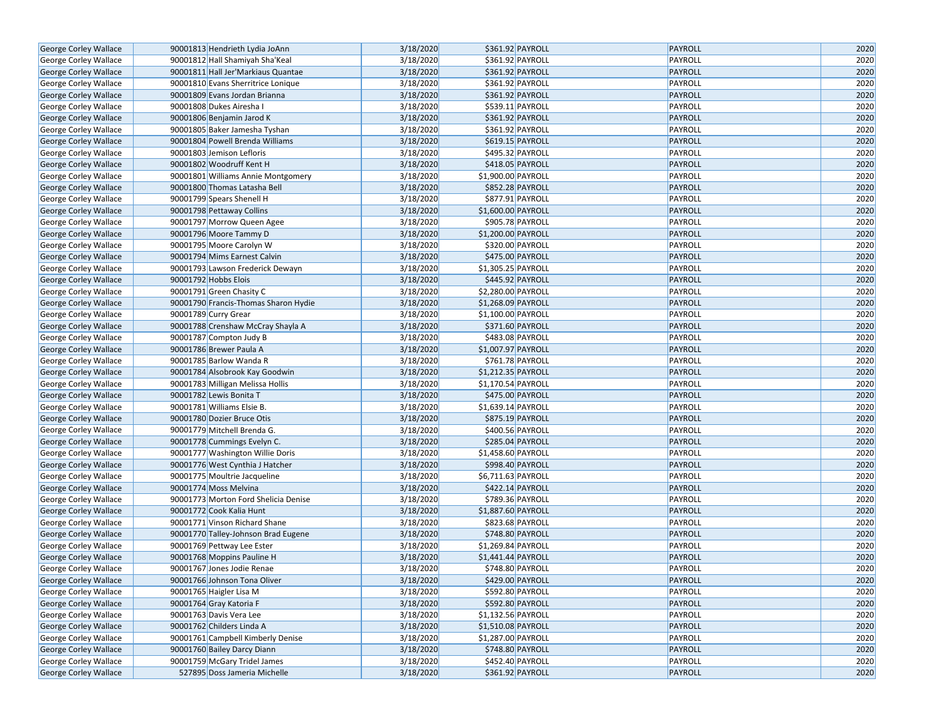| George Corley Wallace        | 90001813 Hendrieth Lydia JoAnn                                     | 3/18/2020 | \$361.92 PAYROLL                         | PAYROLL        | 2020         |
|------------------------------|--------------------------------------------------------------------|-----------|------------------------------------------|----------------|--------------|
| George Corley Wallace        | 90001812 Hall Shamiyah Sha'Keal                                    | 3/18/2020 | \$361.92 PAYROLL                         | PAYROLL        | 2020         |
| George Corley Wallace        | 90001811 Hall Jer'Markiaus Quantae                                 | 3/18/2020 | \$361.92 PAYROLL                         | PAYROLL        | 2020         |
| George Corley Wallace        | 90001810 Evans Sherritrice Lonique                                 | 3/18/2020 | \$361.92 PAYROLL                         | PAYROLL        | 2020         |
| George Corley Wallace        | 90001809 Evans Jordan Brianna                                      | 3/18/2020 | \$361.92 PAYROLL                         | PAYROLL        | 2020         |
| George Corley Wallace        | 90001808 Dukes Airesha I                                           | 3/18/2020 | \$539.11 PAYROLL                         | PAYROLL        | 2020         |
| George Corley Wallace        | 90001806 Benjamin Jarod K                                          | 3/18/2020 | \$361.92 PAYROLL                         | <b>PAYROLL</b> | 2020         |
| George Corley Wallace        | 90001805 Baker Jamesha Tyshan                                      | 3/18/2020 | \$361.92 PAYROLL                         | PAYROLL        | 2020         |
| George Corley Wallace        | 90001804 Powell Brenda Williams                                    | 3/18/2020 | \$619.15 PAYROLL                         | PAYROLL        | 2020         |
| George Corley Wallace        | 90001803 Jemison Lefloris                                          | 3/18/2020 | \$495.32 PAYROLL                         | PAYROLL        | 2020         |
| George Corley Wallace        | 90001802 Woodruff Kent H                                           | 3/18/2020 | \$418.05 PAYROLL                         | PAYROLL        | 2020         |
| George Corley Wallace        | 90001801 Williams Annie Montgomery                                 | 3/18/2020 | \$1,900.00 PAYROLL                       | PAYROLL        | 2020         |
| George Corley Wallace        | 90001800 Thomas Latasha Bell                                       | 3/18/2020 | \$852.28 PAYROLL                         | PAYROLL        | 2020         |
| George Corley Wallace        | 90001799 Spears Shenell H                                          | 3/18/2020 | \$877.91 PAYROLL                         | PAYROLL        | 2020         |
| George Corley Wallace        | 90001798 Pettaway Collins                                          | 3/18/2020 | \$1,600.00 PAYROLL                       | PAYROLL        | 2020         |
| George Corley Wallace        | 90001797 Morrow Queen Agee                                         | 3/18/2020 | \$905.78 PAYROLL                         | PAYROLL        | 2020         |
| George Corley Wallace        | 90001796 Moore Tammy D                                             | 3/18/2020 | \$1,200.00 PAYROLL                       | <b>PAYROLL</b> | 2020         |
| George Corley Wallace        | 90001795 Moore Carolyn W                                           | 3/18/2020 | \$320.00 PAYROLL                         | PAYROLL        | 2020         |
| George Corley Wallace        | 90001794 Mims Earnest Calvin                                       | 3/18/2020 | \$475.00 PAYROLL                         | PAYROLL        | 2020         |
| George Corley Wallace        | 90001793 Lawson Frederick Dewayn                                   | 3/18/2020 | \$1,305.25 PAYROLL                       | PAYROLL        | 2020         |
| George Corley Wallace        | 90001792 Hobbs Elois                                               | 3/18/2020 | \$445.92 PAYROLL                         | PAYROLL        | 2020         |
| George Corley Wallace        | 90001791 Green Chasity C                                           | 3/18/2020 | \$2,280.00 PAYROLL                       | PAYROLL        | 2020         |
| George Corley Wallace        | 90001790 Francis-Thomas Sharon Hydie                               | 3/18/2020 | \$1,268.09 PAYROLL                       | PAYROLL        | 2020         |
| George Corley Wallace        | 90001789 Curry Grear                                               | 3/18/2020 | \$1,100.00 PAYROLL                       | PAYROLL        | 2020         |
| George Corley Wallace        | 90001788 Crenshaw McCray Shayla A                                  | 3/18/2020 | \$371.60 PAYROLL                         | PAYROLL        | 2020         |
| George Corley Wallace        | 90001787 Compton Judy B                                            | 3/18/2020 | \$483.08 PAYROLL                         | PAYROLL        | 2020         |
|                              | 90001786 Brewer Paula A                                            | 3/18/2020 | \$1,007.97 PAYROLL                       | PAYROLL        | 2020         |
| George Corley Wallace        | 90001785 Barlow Wanda R                                            | 3/18/2020 | \$761.78 PAYROLL                         | PAYROLL        | 2020         |
| George Corley Wallace        |                                                                    | 3/18/2020 |                                          | PAYROLL        | 2020         |
| George Corley Wallace        | 90001784 Alsobrook Kay Goodwin<br>90001783 Milligan Melissa Hollis | 3/18/2020 | \$1,212.35 PAYROLL<br>\$1,170.54 PAYROLL | PAYROLL        | 2020         |
| George Corley Wallace        |                                                                    |           |                                          |                |              |
| George Corley Wallace        | 90001782 Lewis Bonita T                                            | 3/18/2020 | \$475.00 PAYROLL                         | PAYROLL        | 2020         |
| George Corley Wallace        | 90001781 Williams Elsie B.                                         | 3/18/2020 | \$1,639.14 PAYROLL                       | PAYROLL        | 2020<br>2020 |
| George Corley Wallace        | 90001780 Dozier Bruce Otis                                         | 3/18/2020 | \$875.19 PAYROLL                         | PAYROLL        |              |
| George Corley Wallace        | 90001779 Mitchell Brenda G.                                        | 3/18/2020 | \$400.56 PAYROLL                         | PAYROLL        | 2020         |
| George Corley Wallace        | 90001778 Cummings Evelyn C.                                        | 3/18/2020 | \$285.04 PAYROLL                         | PAYROLL        | 2020         |
| George Corley Wallace        | 90001777 Washington Willie Doris                                   | 3/18/2020 | \$1,458.60 PAYROLL                       | PAYROLL        | 2020<br>2020 |
| George Corley Wallace        | 90001776 West Cynthia J Hatcher                                    | 3/18/2020 | \$998.40 PAYROLL                         | PAYROLL        |              |
| George Corley Wallace        | 90001775 Moultrie Jacqueline                                       | 3/18/2020 | \$6,711.63 PAYROLL                       | PAYROLL        | 2020         |
| George Corley Wallace        | 90001774 Moss Melvina                                              | 3/18/2020 | \$422.14 PAYROLL                         | PAYROLL        | 2020         |
| George Corley Wallace        | 90001773 Morton Ford Shelicia Denise                               | 3/18/2020 | \$789.36 PAYROLL                         | PAYROLL        | 2020         |
| George Corley Wallace        | 90001772 Cook Kalia Hunt                                           | 3/18/2020 | \$1,887.60 PAYROLL                       | PAYROLL        | 2020         |
| George Corley Wallace        | 90001771 Vinson Richard Shane                                      | 3/18/2020 | \$823.68 PAYROLL                         | PAYROLL        | 2020         |
| George Corley Wallace        | 90001770 Talley-Johnson Brad Eugene                                | 3/18/2020 | \$748.80 PAYROLL                         | PAYROLL        | 2020         |
| George Corley Wallace        | 90001769 Pettway Lee Ester                                         | 3/18/2020 | \$1,269.84 PAYROLL                       | PAYROLL        | 2020         |
| George Corley Wallace        | 90001768 Moppins Pauline H                                         | 3/18/2020 | $$1,441.44$ PAYROLL                      | PAYROLL        | 2020         |
| George Corley Wallace        | 90001767 Jones Jodie Renae                                         | 3/18/2020 | \$748.80 PAYROLL                         | PAYROLL        | 2020         |
| <b>George Corley Wallace</b> | 90001766 Johnson Tona Oliver                                       | 3/18/2020 | \$429.00 PAYROLL                         | PAYROLL        | 2020         |
| George Corley Wallace        | 90001765 Haigler Lisa M                                            | 3/18/2020 | \$592.80 PAYROLL                         | PAYROLL        | 2020         |
| <b>George Corley Wallace</b> | 90001764 Gray Katoria F                                            | 3/18/2020 | \$592.80 PAYROLL                         | PAYROLL        | 2020         |
| George Corley Wallace        | 90001763 Davis Vera Lee                                            | 3/18/2020 | \$1,132.56 PAYROLL                       | PAYROLL        | 2020         |
| George Corley Wallace        | 90001762 Childers Linda A                                          | 3/18/2020 | \$1,510.08 PAYROLL                       | PAYROLL        | 2020         |
| George Corley Wallace        | 90001761 Campbell Kimberly Denise                                  | 3/18/2020 | \$1,287.00 PAYROLL                       | PAYROLL        | 2020         |
| George Corley Wallace        | 90001760 Bailey Darcy Diann                                        | 3/18/2020 | \$748.80 PAYROLL                         | PAYROLL        | 2020         |
| George Corley Wallace        | 90001759 McGary Tridel James                                       | 3/18/2020 | \$452.40 PAYROLL                         | PAYROLL        | 2020         |
| <b>George Corley Wallace</b> | 527895 Doss Jameria Michelle                                       | 3/18/2020 | \$361.92 PAYROLL                         | PAYROLL        | 2020         |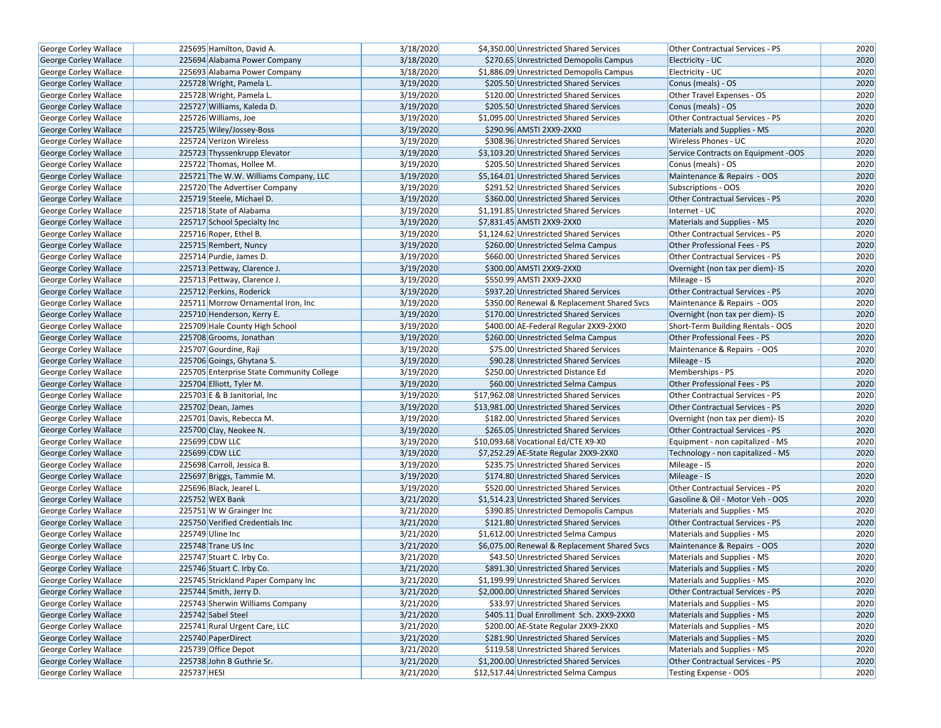| George Corley Wallace                          | 225695 Hamilton, David A.                 | 3/18/2020 | \$4,350.00 Unrestricted Shared Services      | Other Contractual Services - PS     | 2020 |
|------------------------------------------------|-------------------------------------------|-----------|----------------------------------------------|-------------------------------------|------|
| <b>George Corley Wallace</b>                   | 225694 Alabama Power Company              | 3/18/2020 | \$270.65 Unrestricted Demopolis Campus       | Electricity - UC                    | 2020 |
| George Corley Wallace                          | 225693 Alabama Power Company              | 3/18/2020 | \$1,886.09 Unrestricted Demopolis Campus     | Electricity - UC                    | 2020 |
| <b>George Corley Wallace</b>                   | 225728 Wright, Pamela L.                  | 3/19/2020 | \$205.50 Unrestricted Shared Services        | Conus (meals) - OS                  | 2020 |
| George Corley Wallace                          | 225728 Wright, Pamela L.                  | 3/19/2020 | \$120.00 Unrestricted Shared Services        | Other Travel Expenses - OS          | 2020 |
| George Corley Wallace                          | 225727 Williams, Kaleda D.                | 3/19/2020 | \$205.50 Unrestricted Shared Services        | Conus (meals) - OS                  | 2020 |
| George Corley Wallace                          | 225726 Williams, Joe                      | 3/19/2020 | \$1,095.00 Unrestricted Shared Services      | Other Contractual Services - PS     | 2020 |
| <b>George Corley Wallace</b>                   | 225725 Wiley/Jossey-Boss                  | 3/19/2020 | \$290.96 AMSTI 2XX9-2XX0                     | Materials and Supplies - MS         | 2020 |
| George Corley Wallace                          | 225724 Verizon Wireless                   | 3/19/2020 | \$308.96 Unrestricted Shared Services        | Wireless Phones - UC                | 2020 |
| George Corley Wallace                          | 225723 Thyssenkrupp Elevator              | 3/19/2020 | \$3,103.20 Unrestricted Shared Services      | Service Contracts on Equipment -OOS | 2020 |
| George Corley Wallace                          | 225722 Thomas, Hollee M.                  | 3/19/2020 | \$205.50 Unrestricted Shared Services        | Conus (meals) - OS                  | 2020 |
| <b>George Corley Wallace</b>                   | 225721 The W.W. Williams Company, LLC     | 3/19/2020 | \$5,164.01 Unrestricted Shared Services      | Maintenance & Repairs - OOS         | 2020 |
| George Corley Wallace                          | 225720 The Advertiser Company             | 3/19/2020 | \$291.52 Unrestricted Shared Services        | Subscriptions - OOS                 | 2020 |
| <b>George Corley Wallace</b>                   | 225719 Steele, Michael D.                 | 3/19/2020 | \$360.00 Unrestricted Shared Services        | Other Contractual Services - PS     | 2020 |
| <b>George Corley Wallace</b>                   | 225718 State of Alabama                   | 3/19/2020 | \$1,191.85 Unrestricted Shared Services      | Internet - UC                       | 2020 |
| <b>George Corley Wallace</b>                   | 225717 School Specialty Inc               | 3/19/2020 | \$7,831.45 AMSTI 2XX9-2XX0                   | Materials and Supplies - MS         | 2020 |
| George Corley Wallace                          | 225716 Roper, Ethel B.                    | 3/19/2020 | \$1,124.62 Unrestricted Shared Services      | Other Contractual Services - PS     | 2020 |
| George Corley Wallace                          | 225715 Rembert, Nuncy                     | 3/19/2020 | \$260.00 Unrestricted Selma Campus           | Other Professional Fees - PS        | 2020 |
| George Corley Wallace                          | 225714 Purdie, James D.                   | 3/19/2020 | \$660.00 Unrestricted Shared Services        | Other Contractual Services - PS     | 2020 |
| <b>George Corley Wallace</b>                   | 225713 Pettway, Clarence J.               | 3/19/2020 | \$300.00 AMSTI 2XX9-2XX0                     | Overnight (non tax per diem)- IS    | 2020 |
| <b>George Corley Wallace</b>                   | 225713 Pettway, Clarence J.               | 3/19/2020 | \$550.99 AMSTI 2XX9-2XX0                     | Mileage - IS                        | 2020 |
| George Corley Wallace                          | 225712 Perkins, Roderick                  | 3/19/2020 | \$937.20 Unrestricted Shared Services        | Other Contractual Services - PS     | 2020 |
| <b>George Corley Wallace</b>                   | 225711 Morrow Ornamental Iron, Inc.       | 3/19/2020 | \$350.00 Renewal & Replacement Shared Svcs   | Maintenance & Repairs - OOS         | 2020 |
| <b>George Corley Wallace</b>                   | 225710 Henderson, Kerry E.                | 3/19/2020 | \$170.00 Unrestricted Shared Services        | Overnight (non tax per diem)- IS    | 2020 |
| George Corley Wallace                          | 225709 Hale County High School            | 3/19/2020 | \$400.00 AE-Federal Regular 2XX9-2XX0        | Short-Term Building Rentals - OOS   | 2020 |
| George Corley Wallace                          | 225708 Grooms, Jonathan                   | 3/19/2020 | \$260.00 Unrestricted Selma Campus           | Other Professional Fees - PS        | 2020 |
| George Corley Wallace                          | 225707 Gourdine, Raji                     | 3/19/2020 | \$75.00 Unrestricted Shared Services         | Maintenance & Repairs - OOS         | 2020 |
| George Corley Wallace                          | 225706 Goings, Ghytana S.                 | 3/19/2020 | \$90.28 Unrestricted Shared Services         | Mileage - IS                        | 2020 |
| George Corley Wallace                          | 225705 Enterprise State Community College | 3/19/2020 | \$250.00 Unrestricted Distance Ed            | Memberships - PS                    | 2020 |
| George Corley Wallace                          | 225704 Elliott, Tyler M.                  | 3/19/2020 | \$60.00 Unrestricted Selma Campus            | Other Professional Fees - PS        | 2020 |
| <b>George Corley Wallace</b>                   | 225703 E & B Janitorial, Inc.             | 3/19/2020 | \$17,962.08 Unrestricted Shared Services     | Other Contractual Services - PS     | 2020 |
| George Corley Wallace                          | 225702 Dean, James                        | 3/19/2020 | \$13,981.00 Unrestricted Shared Services     | Other Contractual Services - PS     | 2020 |
| George Corley Wallace                          | 225701 Davis, Rebecca M.                  | 3/19/2020 | \$182.00 Unrestricted Shared Services        | Overnight (non tax per diem)- IS    | 2020 |
| <b>George Corley Wallace</b>                   | 225700 Clay, Neokee N.                    | 3/19/2020 | \$265.05 Unrestricted Shared Services        | Other Contractual Services - PS     | 2020 |
| George Corley Wallace                          | 225699 CDW LLC                            | 3/19/2020 | \$10,093.68 Vocational Ed/CTE X9-X0          | Equipment - non capitalized - MS    | 2020 |
| George Corley Wallace                          | 225699 CDW LLC                            | 3/19/2020 | \$7,252.29 AE-State Regular 2XX9-2XX0        | Technology - non capitalized - MS   | 2020 |
| <b>George Corley Wallace</b>                   | 225698 Carroll, Jessica B.                | 3/19/2020 | \$235.75 Unrestricted Shared Services        | Mileage - IS                        | 2020 |
| George Corley Wallace                          | 225697 Briggs, Tammie M.                  | 3/19/2020 | \$174.80 Unrestricted Shared Services        | Mileage - IS                        | 2020 |
| <b>George Corley Wallace</b>                   | 225696 Black, Jearel L.                   | 3/19/2020 | \$520.00 Unrestricted Shared Services        | Other Contractual Services - PS     | 2020 |
| George Corley Wallace                          | 225752 WEX Bank                           | 3/21/2020 | \$1,514.23 Unrestricted Shared Services      | Gasoline & Oil - Motor Veh - OOS    | 2020 |
| <b>George Corley Wallace</b>                   | 225751 W W Grainger Inc                   | 3/21/2020 | \$390.85 Unrestricted Demopolis Campus       | Materials and Supplies - MS         | 2020 |
| George Corley Wallace                          | 225750 Verified Credentials Inc           | 3/21/2020 | \$121.80 Unrestricted Shared Services        | Other Contractual Services - PS     | 2020 |
| George Corley Wallace                          | 225749 Uline Inc                          | 3/21/2020 | \$1,612.00 Unrestricted Selma Campus         | Materials and Supplies - MS         | 2020 |
| George Corley Wallace                          | 225748 Trane US Inc                       | 3/21/2020 | \$6,075.00 Renewal & Replacement Shared Svcs | Maintenance & Repairs - OOS         | 2020 |
| <b>George Corley Wallace</b>                   | 225747 Stuart C. Irby Co.                 | 3/21/2020 | \$43.50 Unrestricted Shared Services         | Materials and Supplies - MS         | 2020 |
| George Corley Wallace                          | 225746 Stuart C. Irby Co.                 | 3/21/2020 | \$891.30 Unrestricted Shared Services        | Materials and Supplies - MS         | 2020 |
| George Corley Wallace                          | 225745 Strickland Paper Company Inc       | 3/21/2020 | \$1,199.99 Unrestricted Shared Services      | Materials and Supplies - MS         | 2020 |
| <b>George Corley Wallace</b>                   | 225744 Smith, Jerry D.                    | 3/21/2020 | \$2,000.00 Unrestricted Shared Services      | Other Contractual Services - PS     | 2020 |
| George Corley Wallace                          | 225743 Sherwin Williams Company           | 3/21/2020 | \$33.97 Unrestricted Shared Services         | Materials and Supplies - MS         | 2020 |
| <b>George Corley Wallace</b>                   | 225742 Sabel Steel                        | 3/21/2020 | \$405.11 Dual Enrollment Sch. 2XX9-2XX0      | Materials and Supplies - MS         | 2020 |
|                                                | 225741 Rural Urgent Care, LLC             | 3/21/2020 | \$200.00 AE-State Regular 2XX9-2XX0          | Materials and Supplies - MS         | 2020 |
| George Corley Wallace                          | 225740 PaperDirect                        | 3/21/2020 | \$281.90 Unrestricted Shared Services        | Materials and Supplies - MS         | 2020 |
| George Corley Wallace<br>George Corley Wallace | 225739 Office Depot                       | 3/21/2020 | \$119.58 Unrestricted Shared Services        |                                     |      |
|                                                |                                           |           |                                              | Materials and Supplies - MS         | 2020 |
| George Corley Wallace                          | 225738 John B Guthrie Sr.                 | 3/21/2020 | \$1,200.00 Unrestricted Shared Services      | Other Contractual Services - PS     | 2020 |
| George Corley Wallace                          | 225737 HESI                               | 3/21/2020 | \$12,517.44 Unrestricted Selma Campus        | Testing Expense - OOS               | 2020 |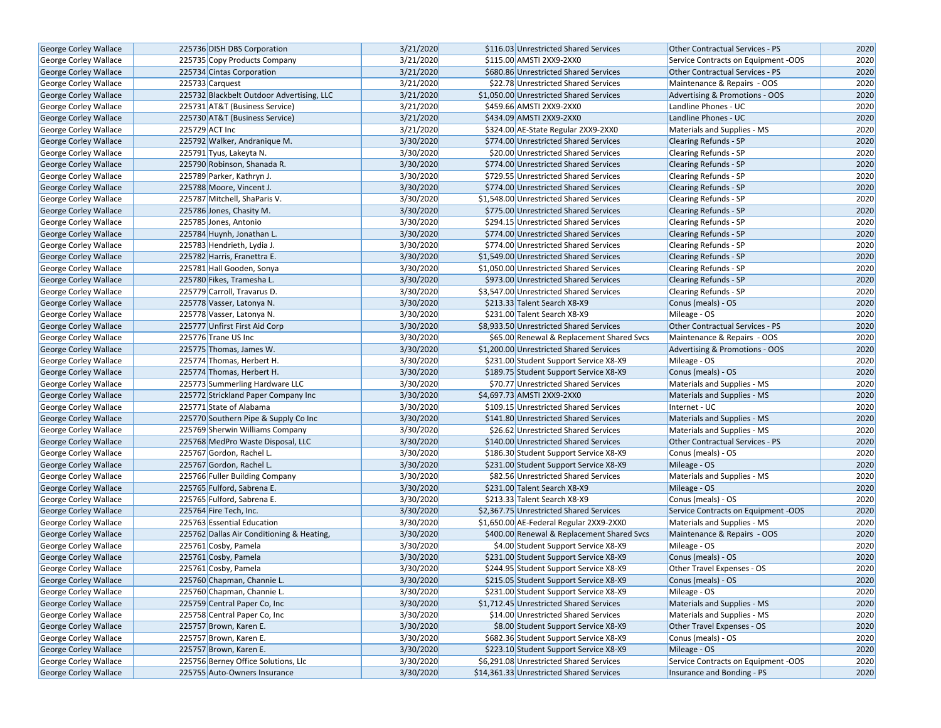| George Corley Wallace                                 | 225736 DISH DBS Corporation                              | 3/21/2020              | \$116.03 Unrestricted Shared Services                                            | <b>Other Contractual Services - PS</b> | 2020 |
|-------------------------------------------------------|----------------------------------------------------------|------------------------|----------------------------------------------------------------------------------|----------------------------------------|------|
| <b>George Corley Wallace</b>                          | 225735 Copy Products Company                             | 3/21/2020              | \$115.00 AMSTI 2XX9-2XX0                                                         | Service Contracts on Equipment -OOS    | 2020 |
| <b>George Corley Wallace</b>                          | 225734 Cintas Corporation                                | 3/21/2020              | \$680.86 Unrestricted Shared Services                                            | <b>Other Contractual Services - PS</b> | 2020 |
| George Corley Wallace                                 | 225733 Carquest                                          | 3/21/2020              | \$22.78 Unrestricted Shared Services                                             | Maintenance & Repairs - OOS            | 2020 |
| George Corley Wallace                                 | 225732 Blackbelt Outdoor Advertising, LLC                | 3/21/2020              | \$1,050.00 Unrestricted Shared Services                                          | Advertising & Promotions - OOS         | 2020 |
| George Corley Wallace                                 | 225731 AT&T (Business Service)                           | 3/21/2020              | \$459.66 AMSTI 2XX9-2XX0                                                         | Landline Phones - UC                   | 2020 |
| George Corley Wallace                                 | 225730 AT&T (Business Service)                           | 3/21/2020              | \$434.09 AMSTI 2XX9-2XX0                                                         | Landline Phones - UC                   | 2020 |
| <b>George Corley Wallace</b>                          | 225729 ACT Inc                                           | 3/21/2020              | \$324.00 AE-State Regular 2XX9-2XX0                                              | Materials and Supplies - MS            | 2020 |
| <b>George Corley Wallace</b>                          | 225792 Walker, Andranique M.                             | 3/30/2020              | \$774.00 Unrestricted Shared Services                                            | Clearing Refunds - SP                  | 2020 |
| George Corley Wallace                                 | 225791 Tyus, Lakeyta N.                                  | 3/30/2020              | \$20.00 Unrestricted Shared Services                                             | Clearing Refunds - SP                  | 2020 |
| George Corley Wallace                                 | 225790 Robinson, Shanada R.                              | 3/30/2020              | \$774.00 Unrestricted Shared Services                                            | Clearing Refunds - SP                  | 2020 |
| George Corley Wallace                                 | 225789 Parker, Kathryn J.                                | 3/30/2020              | \$729.55 Unrestricted Shared Services                                            | <b>Clearing Refunds - SP</b>           | 2020 |
| <b>George Corley Wallace</b>                          | 225788 Moore, Vincent J.                                 | 3/30/2020              | \$774.00 Unrestricted Shared Services                                            | Clearing Refunds - SP                  | 2020 |
| <b>George Corley Wallace</b>                          | 225787 Mitchell, ShaParis V.                             | 3/30/2020              | \$1,548.00 Unrestricted Shared Services                                          | Clearing Refunds - SP                  | 2020 |
| <b>George Corley Wallace</b>                          | 225786 Jones, Chasity M.                                 | 3/30/2020              | \$775.00 Unrestricted Shared Services                                            | <b>Clearing Refunds - SP</b>           | 2020 |
| <b>George Corley Wallace</b>                          | 225785 Jones, Antonio                                    | 3/30/2020              | \$294.15 Unrestricted Shared Services                                            | <b>Clearing Refunds - SP</b>           | 2020 |
| <b>George Corley Wallace</b>                          | 225784 Huynh, Jonathan L.                                | 3/30/2020              | \$774.00 Unrestricted Shared Services                                            | Clearing Refunds - SP                  | 2020 |
| George Corley Wallace                                 | 225783 Hendrieth, Lydia J.                               | 3/30/2020              | \$774.00 Unrestricted Shared Services                                            | Clearing Refunds - SP                  | 2020 |
| George Corley Wallace                                 | 225782 Harris, Franettra E.                              | 3/30/2020              | \$1,549.00 Unrestricted Shared Services                                          | <b>Clearing Refunds - SP</b>           | 2020 |
| George Corley Wallace                                 | 225781 Hall Gooden, Sonya                                | 3/30/2020              | \$1,050.00 Unrestricted Shared Services                                          | <b>Clearing Refunds - SP</b>           | 2020 |
| <b>George Corley Wallace</b>                          | 225780 Fikes, Tramesha L.                                | 3/30/2020              | \$973.00 Unrestricted Shared Services                                            | Clearing Refunds - SP                  | 2020 |
| George Corley Wallace                                 | 225779 Carroll, Travarus D.                              | 3/30/2020              | \$3,547.00 Unrestricted Shared Services                                          | Clearing Refunds - SP                  | 2020 |
| George Corley Wallace                                 | 225778 Vasser, Latonya N.                                | 3/30/2020              | \$213.33 Talent Search X8-X9                                                     | Conus (meals) - OS                     | 2020 |
| George Corley Wallace                                 | 225778 Vasser, Latonya N.                                | 3/30/2020              | \$231.00 Talent Search X8-X9                                                     | Mileage - OS                           | 2020 |
| <b>George Corley Wallace</b>                          | 225777 Unfirst First Aid Corp                            | 3/30/2020              | \$8,933.50 Unrestricted Shared Services                                          | Other Contractual Services - PS        | 2020 |
| George Corley Wallace                                 | 225776 Trane US Inc                                      | 3/30/2020              | \$65.00 Renewal & Replacement Shared Svcs                                        | Maintenance & Repairs - OOS            | 2020 |
| <b>George Corley Wallace</b>                          | 225775 Thomas, James W.                                  | 3/30/2020              | \$1,200.00 Unrestricted Shared Services                                          | Advertising & Promotions - OOS         | 2020 |
|                                                       | 225774 Thomas, Herbert H.                                | 3/30/2020              | \$231.00 Student Support Service X8-X9                                           | Mileage - OS                           | 2020 |
| George Corley Wallace<br>George Corley Wallace        | 225774 Thomas, Herbert H.                                | 3/30/2020              | \$189.75 Student Support Service X8-X9                                           | Conus (meals) - OS                     | 2020 |
| George Corley Wallace                                 | 225773 Summerling Hardware LLC                           | 3/30/2020              | \$70.77 Unrestricted Shared Services                                             | Materials and Supplies - MS            | 2020 |
| George Corley Wallace                                 | 225772 Strickland Paper Company Inc                      | 3/30/2020              | \$4,697.73 AMSTI 2XX9-2XX0                                                       | Materials and Supplies - MS            | 2020 |
| George Corley Wallace                                 | 225771 State of Alabama                                  | 3/30/2020              | \$109.15 Unrestricted Shared Services                                            | Internet - UC                          | 2020 |
| George Corley Wallace                                 | 225770 Southern Pipe & Supply Co Inc                     | 3/30/2020              | \$141.80 Unrestricted Shared Services                                            | Materials and Supplies - MS            | 2020 |
|                                                       | 225769 Sherwin Williams Company                          | 3/30/2020              | \$26.62 Unrestricted Shared Services                                             | Materials and Supplies - MS            | 2020 |
| George Corley Wallace<br>George Corley Wallace        | 225768 MedPro Waste Disposal, LLC                        | 3/30/2020              | \$140.00 Unrestricted Shared Services                                            | Other Contractual Services - PS        | 2020 |
| George Corley Wallace                                 | 225767 Gordon, Rachel L.                                 | 3/30/2020              | \$186.30 Student Support Service X8-X9                                           | Conus (meals) - OS                     | 2020 |
| <b>George Corley Wallace</b>                          | 225767 Gordon, Rachel L.                                 | 3/30/2020              | \$231.00 Student Support Service X8-X9                                           | Mileage - OS                           | 2020 |
| George Corley Wallace                                 | 225766 Fuller Building Company                           | 3/30/2020              | \$82.56 Unrestricted Shared Services                                             | Materials and Supplies - MS            | 2020 |
| George Corley Wallace                                 | 225765 Fulford, Sabrena E.                               | 3/30/2020              | \$231.00 Talent Search X8-X9                                                     | Mileage - OS                           | 2020 |
| George Corley Wallace                                 | 225765 Fulford, Sabrena E.                               | 3/30/2020              | \$213.33 Talent Search X8-X9                                                     | Conus (meals) - OS                     | 2020 |
| <b>George Corley Wallace</b>                          | 225764 Fire Tech, Inc.                                   | 3/30/2020              | \$2,367.75 Unrestricted Shared Services                                          | Service Contracts on Equipment -OOS    | 2020 |
| George Corley Wallace                                 | 225763 Essential Education                               | 3/30/2020              | \$1,650.00 AE-Federal Regular 2XX9-2XX0                                          | Materials and Supplies - MS            | 2020 |
| George Corley Wallace                                 | 225762 Dallas Air Conditioning & Heating,                | 3/30/2020              | \$400.00 Renewal & Replacement Shared Svcs                                       | Maintenance & Repairs - OOS            | 2020 |
| George Corley Wallace                                 | 225761 Cosby, Pamela                                     | 3/30/2020              | \$4.00 Student Support Service X8-X9                                             | Mileage - OS                           | 2020 |
| <b>George Corley Wallace</b>                          | 225761 Cosby, Pamela                                     | 3/30/2020              | \$231.00 Student Support Service X8-X9                                           | Conus (meals) - OS                     | 2020 |
| George Corley Wallace                                 | 225761 Cosby, Pamela                                     | 3/30/2020              | \$244.95 Student Support Service X8-X9                                           | Other Travel Expenses - OS             | 2020 |
|                                                       |                                                          |                        |                                                                                  | Conus (meals) - OS                     | 2020 |
| George Corley Wallace<br><b>George Corley Wallace</b> | 225760 Chapman, Channie L.<br>225760 Chapman, Channie L. | 3/30/2020<br>3/30/2020 | \$215.05 Student Support Service X8-X9<br>\$231.00 Student Support Service X8-X9 | Mileage - OS                           | 2020 |
| George Corley Wallace                                 | 225759 Central Paper Co, Inc                             | 3/30/2020              | \$1,712.45 Unrestricted Shared Services                                          | Materials and Supplies - MS            | 2020 |
|                                                       |                                                          | 3/30/2020              | \$14.00 Unrestricted Shared Services                                             |                                        |      |
| <b>George Corley Wallace</b>                          | 225758 Central Paper Co, Inc<br>225757 Brown, Karen E.   |                        |                                                                                  | Materials and Supplies - MS            | 2020 |
| George Corley Wallace                                 |                                                          | 3/30/2020              | \$8.00 Student Support Service X8-X9                                             | Other Travel Expenses - OS             | 2020 |
| <b>George Corley Wallace</b>                          | 225757 Brown, Karen E.                                   | 3/30/2020              | \$682.36 Student Support Service X8-X9<br>\$223.10 Student Support Service X8-X9 | Conus (meals) - OS                     | 2020 |
| <b>George Corley Wallace</b>                          | 225757 Brown, Karen E.                                   | 3/30/2020              |                                                                                  | Mileage - OS                           | 2020 |
| George Corley Wallace                                 | 225756 Berney Office Solutions, Llc                      | 3/30/2020              | \$6,291.08 Unrestricted Shared Services                                          | Service Contracts on Equipment -OOS    | 2020 |
| George Corley Wallace                                 | 225755 Auto-Owners Insurance                             | 3/30/2020              | \$14,361.33 Unrestricted Shared Services                                         | Insurance and Bonding - PS             | 2020 |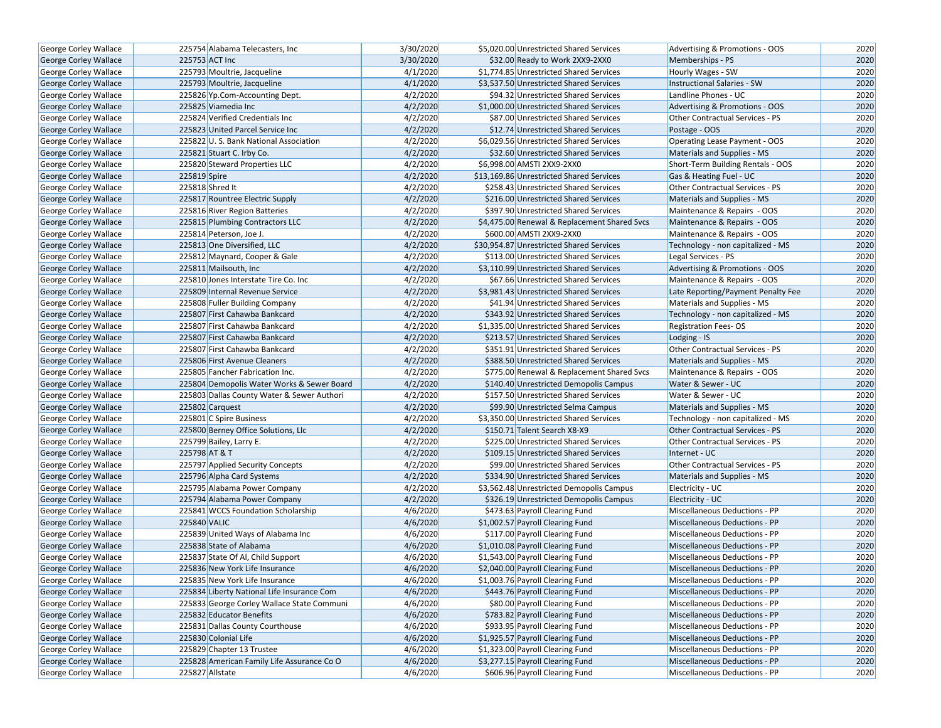| George Corley Wallace        | 225754 Alabama Telecasters, Inc.           | 3/30/2020 | \$5,020.00 Unrestricted Shared Services      | Advertising & Promotions - OOS       | 2020 |
|------------------------------|--------------------------------------------|-----------|----------------------------------------------|--------------------------------------|------|
| <b>George Corley Wallace</b> | 225753 ACT Inc                             | 3/30/2020 | \$32.00 Ready to Work 2XX9-2XX0              | Memberships - PS                     | 2020 |
| George Corley Wallace        | 225793 Moultrie, Jacqueline                | 4/1/2020  | \$1,774.85 Unrestricted Shared Services      | Hourly Wages - SW                    | 2020 |
| <b>George Corley Wallace</b> | 225793 Moultrie, Jacqueline                | 4/1/2020  | \$3,537.50 Unrestricted Shared Services      | <b>Instructional Salaries - SW</b>   | 2020 |
| George Corley Wallace        | 225826 Yp.Com-Accounting Dept.             | 4/2/2020  | \$94.32 Unrestricted Shared Services         | Landline Phones - UC                 | 2020 |
| George Corley Wallace        | 225825 Viamedia Inc                        | 4/2/2020  | \$1,000.00 Unrestricted Shared Services      | Advertising & Promotions - OOS       | 2020 |
| George Corley Wallace        | 225824 Verified Credentials Inc            | 4/2/2020  | \$87.00 Unrestricted Shared Services         | Other Contractual Services - PS      | 2020 |
| <b>George Corley Wallace</b> | 225823 United Parcel Service Inc           | 4/2/2020  | \$12.74 Unrestricted Shared Services         | Postage - OOS                        | 2020 |
| George Corley Wallace        | 225822 U.S. Bank National Association      | 4/2/2020  | \$6,029.56 Unrestricted Shared Services      | Operating Lease Payment - OOS        | 2020 |
| George Corley Wallace        | 225821 Stuart C. Irby Co.                  | 4/2/2020  | \$32.60 Unrestricted Shared Services         | Materials and Supplies - MS          | 2020 |
| <b>George Corley Wallace</b> | 225820 Steward Properties LLC              | 4/2/2020  | \$6,998.00 AMSTI 2XX9-2XX0                   | Short-Term Building Rentals - OOS    | 2020 |
| George Corley Wallace        | 225819 Spire                               | 4/2/2020  | \$13,169.86 Unrestricted Shared Services     | Gas & Heating Fuel - UC              | 2020 |
| George Corley Wallace        | 225818 Shred It                            | 4/2/2020  | \$258.43 Unrestricted Shared Services        | Other Contractual Services - PS      | 2020 |
| <b>George Corley Wallace</b> | 225817 Rountree Electric Supply            | 4/2/2020  | \$216.00 Unrestricted Shared Services        | <b>Materials and Supplies - MS</b>   | 2020 |
| George Corley Wallace        | 225816 River Region Batteries              | 4/2/2020  | \$397.90 Unrestricted Shared Services        | Maintenance & Repairs - OOS          | 2020 |
| George Corley Wallace        | 225815 Plumbing Contractors LLC            | 4/2/2020  | \$4,475.00 Renewal & Replacement Shared Svcs | Maintenance & Repairs - OOS          | 2020 |
| George Corley Wallace        | 225814 Peterson, Joe J.                    | 4/2/2020  | \$600.00 AMSTI 2XX9-2XX0                     | Maintenance & Repairs - OOS          | 2020 |
| George Corley Wallace        | 225813 One Diversified, LLC                | 4/2/2020  | \$30,954.87 Unrestricted Shared Services     | Technology - non capitalized - MS    | 2020 |
| George Corley Wallace        | 225812 Maynard, Cooper & Gale              | 4/2/2020  | \$113.00 Unrestricted Shared Services        | Legal Services - PS                  | 2020 |
| George Corley Wallace        | 225811 Mailsouth, Inc                      | 4/2/2020  | \$3,110.99 Unrestricted Shared Services      | Advertising & Promotions - OOS       | 2020 |
| George Corley Wallace        | 225810 Jones Interstate Tire Co. Inc       | 4/2/2020  | \$67.66 Unrestricted Shared Services         | Maintenance & Repairs - OOS          | 2020 |
| George Corley Wallace        | 225809 Internal Revenue Service            | 4/2/2020  | \$3,981.43 Unrestricted Shared Services      | Late Reporting/Payment Penalty Fee   | 2020 |
| George Corley Wallace        | 225808 Fuller Building Company             | 4/2/2020  | \$41.94 Unrestricted Shared Services         | Materials and Supplies - MS          | 2020 |
| <b>George Corley Wallace</b> | 225807 First Cahawba Bankcard              | 4/2/2020  | \$343.92 Unrestricted Shared Services        | Technology - non capitalized - MS    | 2020 |
| George Corley Wallace        | 225807 First Cahawba Bankcard              | 4/2/2020  | \$1,335.00 Unrestricted Shared Services      | <b>Registration Fees-OS</b>          | 2020 |
| George Corley Wallace        | 225807 First Cahawba Bankcard              | 4/2/2020  | \$213.57 Unrestricted Shared Services        | Lodging - IS                         | 2020 |
| George Corley Wallace        | 225807 First Cahawba Bankcard              | 4/2/2020  | \$351.91 Unrestricted Shared Services        | Other Contractual Services - PS      | 2020 |
| George Corley Wallace        | 225806 First Avenue Cleaners               | 4/2/2020  | \$388.50 Unrestricted Shared Services        | <b>Materials and Supplies - MS</b>   | 2020 |
| George Corley Wallace        | 225805 Fancher Fabrication Inc.            | 4/2/2020  | \$775.00 Renewal & Replacement Shared Svcs   | Maintenance & Repairs - OOS          | 2020 |
| George Corley Wallace        | 225804 Demopolis Water Works & Sewer Board | 4/2/2020  | \$140.40 Unrestricted Demopolis Campus       | Water & Sewer - UC                   | 2020 |
| <b>George Corley Wallace</b> | 225803 Dallas County Water & Sewer Authori | 4/2/2020  | \$157.50 Unrestricted Shared Services        | Water & Sewer - UC                   | 2020 |
| George Corley Wallace        | 225802 Carquest                            | 4/2/2020  | \$99.90 Unrestricted Selma Campus            | Materials and Supplies - MS          | 2020 |
| George Corley Wallace        | 225801 C Spire Business                    | 4/2/2020  | \$3,350.00 Unrestricted Shared Services      | Technology - non capitalized - MS    | 2020 |
| <b>George Corley Wallace</b> | 225800 Berney Office Solutions, Llc        | 4/2/2020  | \$150.71 Talent Search X8-X9                 | Other Contractual Services - PS      | 2020 |
| George Corley Wallace        | 225799 Bailey, Larry E.                    | 4/2/2020  | \$225.00 Unrestricted Shared Services        | Other Contractual Services - PS      | 2020 |
| George Corley Wallace        | 225798 AT & T                              | 4/2/2020  | \$109.15 Unrestricted Shared Services        | Internet - UC                        | 2020 |
| George Corley Wallace        | 225797 Applied Security Concepts           | 4/2/2020  | \$99.00 Unrestricted Shared Services         | Other Contractual Services - PS      | 2020 |
| George Corley Wallace        | 225796 Alpha Card Systems                  | 4/2/2020  | \$334.90 Unrestricted Shared Services        | Materials and Supplies - MS          | 2020 |
| <b>George Corley Wallace</b> | 225795 Alabama Power Company               | 4/2/2020  | \$3,562.48 Unrestricted Demopolis Campus     | Electricity - UC                     | 2020 |
| George Corley Wallace        | 225794 Alabama Power Company               | 4/2/2020  | \$326.19 Unrestricted Demopolis Campus       | Electricity - UC                     | 2020 |
| George Corley Wallace        | 225841 WCCS Foundation Scholarship         | 4/6/2020  | \$473.63 Payroll Clearing Fund               | Miscellaneous Deductions - PP        | 2020 |
| George Corley Wallace        | 225840 VALIC                               | 4/6/2020  | \$1,002.57 Payroll Clearing Fund             | Miscellaneous Deductions - PP        | 2020 |
| George Corley Wallace        | 225839 United Ways of Alabama Inc          | 4/6/2020  | \$117.00 Payroll Clearing Fund               | Miscellaneous Deductions - PP        | 2020 |
| George Corley Wallace        | 225838 State of Alabama                    | 4/6/2020  | \$1,010.08 Payroll Clearing Fund             | <b>Miscellaneous Deductions - PP</b> | 2020 |
| <b>George Corley Wallace</b> | 225837 State Of Al, Child Support          | 4/6/2020  | \$1,543.00 Payroll Clearing Fund             | <b>Miscellaneous Deductions - PP</b> | 2020 |
| George Corley Wallace        | 225836 New York Life Insurance             | 4/6/2020  | \$2,040.00 Payroll Clearing Fund             | Miscellaneous Deductions - PP        | 2020 |
| George Corley Wallace        | 225835 New York Life Insurance             | 4/6/2020  | \$1,003.76 Payroll Clearing Fund             | Miscellaneous Deductions - PP        | 2020 |
| <b>George Corley Wallace</b> | 225834 Liberty National Life Insurance Com | 4/6/2020  | \$443.76 Payroll Clearing Fund               | Miscellaneous Deductions - PP        | 2020 |
| George Corley Wallace        | 225833 George Corley Wallace State Communi | 4/6/2020  | \$80.00 Payroll Clearing Fund                | Miscellaneous Deductions - PP        | 2020 |
| <b>George Corley Wallace</b> | 225832 Educator Benefits                   | 4/6/2020  | \$783.82 Payroll Clearing Fund               | Miscellaneous Deductions - PP        | 2020 |
| George Corley Wallace        | 225831 Dallas County Courthouse            | 4/6/2020  | \$933.95 Payroll Clearing Fund               | Miscellaneous Deductions - PP        | 2020 |
| George Corley Wallace        | 225830 Colonial Life                       | 4/6/2020  | \$1,925.57 Payroll Clearing Fund             | Miscellaneous Deductions - PP        | 2020 |
| George Corley Wallace        | 225829 Chapter 13 Trustee                  | 4/6/2020  | \$1,323.00 Payroll Clearing Fund             | Miscellaneous Deductions - PP        | 2020 |
| George Corley Wallace        | 225828 American Family Life Assurance Co O | 4/6/2020  | \$3,277.15 Payroll Clearing Fund             | Miscellaneous Deductions - PP        | 2020 |
| George Corley Wallace        | 225827 Allstate                            | 4/6/2020  | \$606.96 Payroll Clearing Fund               | Miscellaneous Deductions - PP        | 2020 |
|                              |                                            |           |                                              |                                      |      |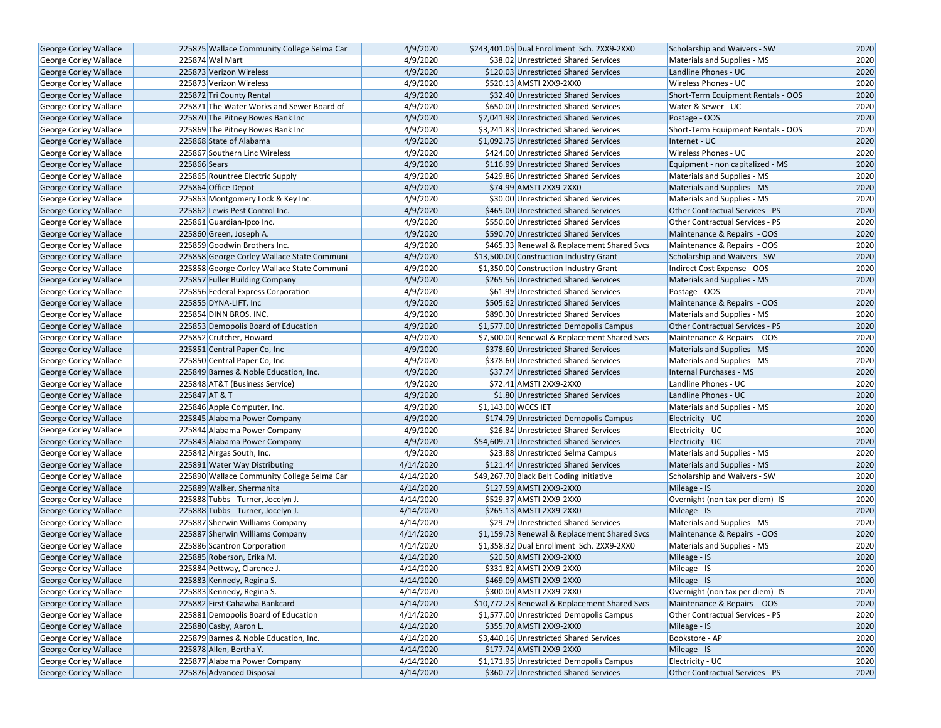| George Corley Wallace        |              | 225875 Wallace Community College Selma Car | 4/9/2020  | \$243,401.05 Dual Enrollment Sch. 2XX9-2XX0   | Scholarship and Waivers - SW                        | 2020 |
|------------------------------|--------------|--------------------------------------------|-----------|-----------------------------------------------|-----------------------------------------------------|------|
| <b>George Corley Wallace</b> |              | 225874 Wal Mart                            | 4/9/2020  | \$38.02 Unrestricted Shared Services          | Materials and Supplies - MS                         | 2020 |
|                              |              |                                            | 4/9/2020  |                                               |                                                     | 2020 |
| George Corley Wallace        |              | 225873 Verizon Wireless                    |           | \$120.03 Unrestricted Shared Services         | Landline Phones - UC<br><b>Wireless Phones - UC</b> | 2020 |
| George Corley Wallace        |              | 225873 Verizon Wireless                    | 4/9/2020  | \$520.13 AMSTI 2XX9-2XX0                      |                                                     |      |
| George Corley Wallace        |              | 225872 Tri County Rental                   | 4/9/2020  | \$32.40 Unrestricted Shared Services          | Short-Term Equipment Rentals - OOS                  | 2020 |
| George Corley Wallace        |              | 225871 The Water Works and Sewer Board of  | 4/9/2020  | \$650.00 Unrestricted Shared Services         | Water & Sewer - UC                                  | 2020 |
| <b>George Corley Wallace</b> |              | 225870 The Pitney Bowes Bank Inc           | 4/9/2020  | \$2,041.98 Unrestricted Shared Services       | Postage - OOS                                       | 2020 |
| George Corley Wallace        |              | 225869 The Pitney Bowes Bank Inc           | 4/9/2020  | \$3,241.83 Unrestricted Shared Services       | Short-Term Equipment Rentals - OOS                  | 2020 |
| George Corley Wallace        |              | 225868 State of Alabama                    | 4/9/2020  | \$1,092.75 Unrestricted Shared Services       | Internet - UC                                       | 2020 |
| George Corley Wallace        |              | 225867 Southern Linc Wireless              | 4/9/2020  | \$424.00 Unrestricted Shared Services         | Wireless Phones - UC                                | 2020 |
| George Corley Wallace        | 225866 Sears |                                            | 4/9/2020  | \$116.99 Unrestricted Shared Services         | Equipment - non capitalized - MS                    | 2020 |
| George Corley Wallace        |              | 225865 Rountree Electric Supply            | 4/9/2020  | \$429.86 Unrestricted Shared Services         | Materials and Supplies - MS                         | 2020 |
| George Corley Wallace        |              | 225864 Office Depot                        | 4/9/2020  | \$74.99 AMSTI 2XX9-2XX0                       | Materials and Supplies - MS                         | 2020 |
| George Corley Wallace        |              | 225863 Montgomery Lock & Key Inc.          | 4/9/2020  | \$30.00 Unrestricted Shared Services          | Materials and Supplies - MS                         | 2020 |
| George Corley Wallace        |              | 225862 Lewis Pest Control Inc.             | 4/9/2020  | \$465.00 Unrestricted Shared Services         | <b>Other Contractual Services - PS</b>              | 2020 |
| George Corley Wallace        |              | 225861 Guardian-Ipco Inc.                  | 4/9/2020  | \$550.00 Unrestricted Shared Services         | Other Contractual Services - PS                     | 2020 |
| George Corley Wallace        |              | 225860 Green, Joseph A.                    | 4/9/2020  | \$590.70 Unrestricted Shared Services         | Maintenance & Repairs - OOS                         | 2020 |
| George Corley Wallace        |              | 225859 Goodwin Brothers Inc.               | 4/9/2020  | \$465.33 Renewal & Replacement Shared Svcs    | Maintenance & Repairs - OOS                         | 2020 |
| George Corley Wallace        |              | 225858 George Corley Wallace State Communi | 4/9/2020  | \$13,500.00 Construction Industry Grant       | Scholarship and Waivers - SW                        | 2020 |
| George Corley Wallace        |              | 225858 George Corley Wallace State Communi | 4/9/2020  | \$1,350.00 Construction Industry Grant        | Indirect Cost Expense - OOS                         | 2020 |
| George Corley Wallace        |              | 225857 Fuller Building Company             | 4/9/2020  | \$265.56 Unrestricted Shared Services         | Materials and Supplies - MS                         | 2020 |
| George Corley Wallace        |              | 225856 Federal Express Corporation         | 4/9/2020  | \$61.99 Unrestricted Shared Services          | Postage - OOS                                       | 2020 |
| George Corley Wallace        |              | 225855 DYNA-LIFT, Inc                      | 4/9/2020  | \$505.62 Unrestricted Shared Services         | Maintenance & Repairs - OOS                         | 2020 |
| George Corley Wallace        |              | 225854 DINN BROS. INC.                     | 4/9/2020  | \$890.30 Unrestricted Shared Services         | Materials and Supplies - MS                         | 2020 |
| <b>George Corley Wallace</b> |              | 225853 Demopolis Board of Education        | 4/9/2020  | \$1,577.00 Unrestricted Demopolis Campus      | <b>Other Contractual Services - PS</b>              | 2020 |
| George Corley Wallace        |              | 225852 Crutcher, Howard                    | 4/9/2020  | \$7,500.00 Renewal & Replacement Shared Svcs  | Maintenance & Repairs - OOS                         | 2020 |
| George Corley Wallace        |              | 225851 Central Paper Co, Inc               | 4/9/2020  | \$378.60 Unrestricted Shared Services         | Materials and Supplies - MS                         | 2020 |
| George Corley Wallace        |              | 225850 Central Paper Co, Inc               | 4/9/2020  | \$378.60 Unrestricted Shared Services         | Materials and Supplies - MS                         | 2020 |
| George Corley Wallace        |              | 225849 Barnes & Noble Education, Inc.      | 4/9/2020  | \$37.74 Unrestricted Shared Services          | Internal Purchases - MS                             | 2020 |
| George Corley Wallace        |              | 225848 AT&T (Business Service)             | 4/9/2020  | \$72.41 AMSTI 2XX9-2XX0                       | Landline Phones - UC                                | 2020 |
| George Corley Wallace        |              | 225847 AT & T                              | 4/9/2020  | \$1.80 Unrestricted Shared Services           | Landline Phones - UC                                | 2020 |
| George Corley Wallace        |              | 225846 Apple Computer, Inc.                | 4/9/2020  | \$1,143.00 WCCS IET                           | Materials and Supplies - MS                         | 2020 |
| George Corley Wallace        |              | 225845 Alabama Power Company               | 4/9/2020  | \$174.79 Unrestricted Demopolis Campus        | Electricity - UC                                    | 2020 |
| George Corley Wallace        |              | 225844 Alabama Power Company               | 4/9/2020  | \$26.84 Unrestricted Shared Services          | Electricity - UC                                    | 2020 |
| George Corley Wallace        |              | 225843 Alabama Power Company               | 4/9/2020  | \$54,609.71 Unrestricted Shared Services      | Electricity - UC                                    | 2020 |
| George Corley Wallace        |              | 225842 Airgas South, Inc.                  | 4/9/2020  | \$23.88 Unrestricted Selma Campus             | Materials and Supplies - MS                         | 2020 |
| George Corley Wallace        |              | 225891 Water Way Distributing              | 4/14/2020 | \$121.44 Unrestricted Shared Services         | Materials and Supplies - MS                         | 2020 |
| George Corley Wallace        |              | 225890 Wallace Community College Selma Car | 4/14/2020 | \$49,267.70 Black Belt Coding Initiative      | Scholarship and Waivers - SW                        | 2020 |
| George Corley Wallace        |              | 225889 Walker, Shermanita                  | 4/14/2020 | \$127.59 AMSTI 2XX9-2XX0                      | Mileage - IS                                        | 2020 |
| George Corley Wallace        |              | 225888 Tubbs - Turner, Jocelyn J.          | 4/14/2020 | \$529.37 AMSTI 2XX9-2XX0                      | Overnight (non tax per diem)- IS                    | 2020 |
| <b>George Corley Wallace</b> |              | 225888 Tubbs - Turner, Jocelyn J.          | 4/14/2020 | \$265.13 AMSTI 2XX9-2XX0                      | Mileage - IS                                        | 2020 |
| George Corley Wallace        |              | 225887 Sherwin Williams Company            | 4/14/2020 | \$29.79 Unrestricted Shared Services          | Materials and Supplies - MS                         | 2020 |
| George Corley Wallace        |              | 225887 Sherwin Williams Company            | 4/14/2020 | \$1,159.73 Renewal & Replacement Shared Svcs  | Maintenance & Repairs - OOS                         | 2020 |
| George Corley Wallace        |              | 225886 Scantron Corporation                | 4/14/2020 | \$1,358.32 Dual Enrollment Sch. 2XX9-2XX0     | Materials and Supplies - MS                         | 2020 |
| <b>George Corley Wallace</b> |              | 225885 Roberson, Erika M.                  | 4/14/2020 | \$20.50 AMSTI 2XX9-2XX0                       | Mileage - IS                                        | 2020 |
| George Corley Wallace        |              | 225884 Pettway, Clarence J.                | 4/14/2020 | \$331.82 AMSTI 2XX9-2XX0                      | Mileage - IS                                        | 2020 |
| George Corley Wallace        |              | 225883 Kennedy, Regina S.                  | 4/14/2020 | \$469.09 AMSTI 2XX9-2XX0                      | Mileage - IS                                        | 2020 |
| George Corley Wallace        |              | 225883 Kennedy, Regina S.                  | 4/14/2020 | \$300.00 AMSTI 2XX9-2XX0                      | Overnight (non tax per diem)- IS                    | 2020 |
| George Corley Wallace        |              | 225882 First Cahawba Bankcard              | 4/14/2020 | \$10,772.23 Renewal & Replacement Shared Svcs | Maintenance & Repairs - OOS                         | 2020 |
| George Corley Wallace        |              | 225881 Demopolis Board of Education        | 4/14/2020 | \$1,577.00 Unrestricted Demopolis Campus      | Other Contractual Services - PS                     | 2020 |
| George Corley Wallace        |              | 225880 Casby, Aaron L.                     | 4/14/2020 | \$355.70 AMSTI 2XX9-2XX0                      | Mileage - IS                                        | 2020 |
| George Corley Wallace        |              | 225879 Barnes & Noble Education, Inc.      | 4/14/2020 | \$3,440.16 Unrestricted Shared Services       | Bookstore - AP                                      | 2020 |
| George Corley Wallace        |              | 225878 Allen, Bertha Y.                    | 4/14/2020 | \$177.74 AMSTI 2XX9-2XX0                      | Mileage - IS                                        | 2020 |
| George Corley Wallace        |              | 225877 Alabama Power Company               | 4/14/2020 | \$1,171.95 Unrestricted Demopolis Campus      | Electricity - UC                                    | 2020 |
| George Corley Wallace        |              | 225876 Advanced Disposal                   | 4/14/2020 | \$360.72 Unrestricted Shared Services         | Other Contractual Services - PS                     | 2020 |
|                              |              |                                            |           |                                               |                                                     |      |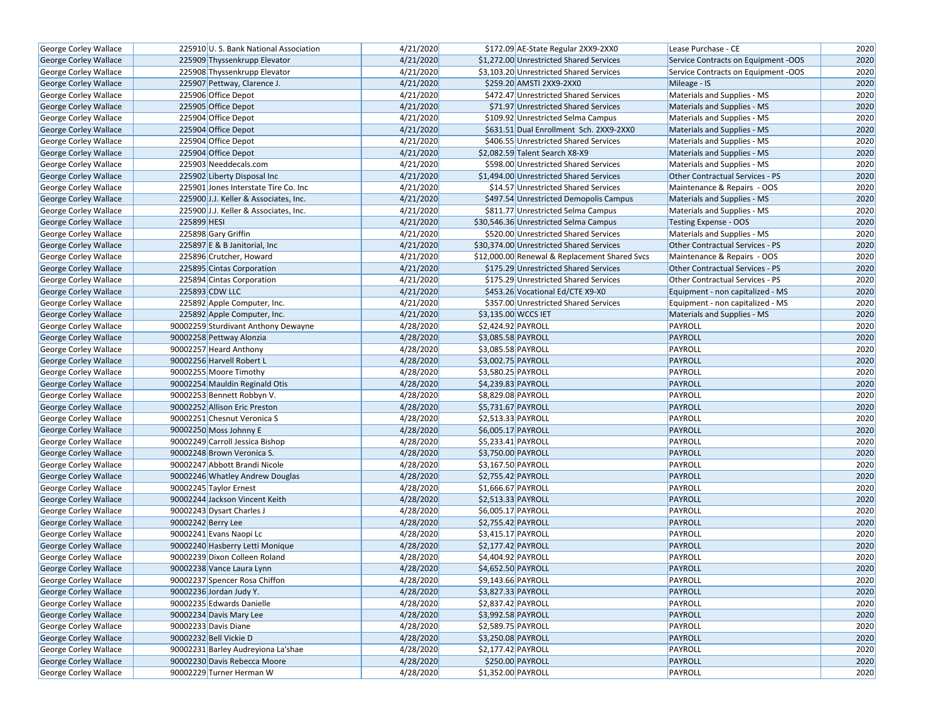| George Corley Wallace        | 225910 U.S. Bank National Association | 4/21/2020 | \$172.09 AE-State Regular 2XX9-2XX0           | Lease Purchase - CE                    | 2020 |
|------------------------------|---------------------------------------|-----------|-----------------------------------------------|----------------------------------------|------|
| <b>George Corley Wallace</b> | 225909 Thyssenkrupp Elevator          | 4/21/2020 | \$1,272.00 Unrestricted Shared Services       | Service Contracts on Equipment -OOS    | 2020 |
| George Corley Wallace        | 225908 Thyssenkrupp Elevator          | 4/21/2020 | \$3,103.20 Unrestricted Shared Services       | Service Contracts on Equipment -OOS    | 2020 |
| <b>George Corley Wallace</b> | 225907 Pettway, Clarence J.           | 4/21/2020 | \$259.20 AMSTI 2XX9-2XX0                      | Mileage - IS                           | 2020 |
| George Corley Wallace        | 225906 Office Depot                   | 4/21/2020 | \$472.47 Unrestricted Shared Services         | Materials and Supplies - MS            | 2020 |
| George Corley Wallace        | 225905 Office Depot                   | 4/21/2020 | \$71.97 Unrestricted Shared Services          | Materials and Supplies - MS            | 2020 |
| George Corley Wallace        | 225904 Office Depot                   | 4/21/2020 | \$109.92 Unrestricted Selma Campus            | Materials and Supplies - MS            | 2020 |
| George Corley Wallace        | 225904 Office Depot                   | 4/21/2020 | \$631.51 Dual Enrollment Sch. 2XX9-2XX0       | Materials and Supplies - MS            | 2020 |
| George Corley Wallace        | 225904 Office Depot                   | 4/21/2020 | \$406.55 Unrestricted Shared Services         | Materials and Supplies - MS            | 2020 |
| George Corley Wallace        | 225904 Office Depot                   | 4/21/2020 | \$2,082.59 Talent Search X8-X9                | Materials and Supplies - MS            | 2020 |
| <b>George Corley Wallace</b> | 225903 Needdecals.com                 | 4/21/2020 | \$598.00 Unrestricted Shared Services         | Materials and Supplies - MS            | 2020 |
| George Corley Wallace        | 225902 Liberty Disposal Inc           | 4/21/2020 | \$1,494.00 Unrestricted Shared Services       | <b>Other Contractual Services - PS</b> | 2020 |
| George Corley Wallace        | 225901 Jones Interstate Tire Co. Inc  | 4/21/2020 | \$14.57 Unrestricted Shared Services          | Maintenance & Repairs - OOS            | 2020 |
| George Corley Wallace        | 225900 J.J. Keller & Associates, Inc. | 4/21/2020 | \$497.54 Unrestricted Demopolis Campus        | Materials and Supplies - MS            | 2020 |
| George Corley Wallace        | 225900 J.J. Keller & Associates, Inc. | 4/21/2020 | \$811.77 Unrestricted Selma Campus            | Materials and Supplies - MS            | 2020 |
| <b>George Corley Wallace</b> | 225899 HESI                           | 4/21/2020 | \$30,546.36 Unrestricted Selma Campus         | Testing Expense - OOS                  | 2020 |
| George Corley Wallace        | 225898 Gary Griffin                   | 4/21/2020 | \$520.00 Unrestricted Shared Services         | Materials and Supplies - MS            | 2020 |
| George Corley Wallace        | 225897 E & B Janitorial, Inc.         | 4/21/2020 | \$30,374.00 Unrestricted Shared Services      | Other Contractual Services - PS        | 2020 |
| George Corley Wallace        | 225896 Crutcher, Howard               | 4/21/2020 | \$12,000.00 Renewal & Replacement Shared Svcs | Maintenance & Repairs - OOS            | 2020 |
| George Corley Wallace        | 225895 Cintas Corporation             | 4/21/2020 | \$175.29 Unrestricted Shared Services         | Other Contractual Services - PS        | 2020 |
| George Corley Wallace        | 225894 Cintas Corporation             | 4/21/2020 | \$175.29 Unrestricted Shared Services         | Other Contractual Services - PS        | 2020 |
| George Corley Wallace        | 225893 CDW LLC                        | 4/21/2020 | \$453.26 Vocational Ed/CTE X9-X0              | Equipment - non capitalized - MS       | 2020 |
| George Corley Wallace        | 225892 Apple Computer, Inc.           | 4/21/2020 | \$357.00 Unrestricted Shared Services         | Equipment - non capitalized - MS       | 2020 |
| <b>George Corley Wallace</b> | 225892 Apple Computer, Inc.           | 4/21/2020 | \$3,135.00 WCCS IET                           | Materials and Supplies - MS            | 2020 |
| George Corley Wallace        | 90002259 Sturdivant Anthony Dewayne   | 4/28/2020 | \$2,424.92 PAYROLL                            | PAYROLL                                | 2020 |
| George Corley Wallace        | 90002258 Pettway Alonzia              | 4/28/2020 | \$3,085.58 PAYROLL                            | PAYROLL                                | 2020 |
| George Corley Wallace        | 90002257 Heard Anthony                | 4/28/2020 | \$3,085.58 PAYROLL                            | PAYROLL                                | 2020 |
| George Corley Wallace        | 90002256 Harvell Robert L             | 4/28/2020 | \$3,002.75 PAYROLL                            | PAYROLL                                | 2020 |
| George Corley Wallace        | 90002255 Moore Timothy                | 4/28/2020 | \$3,580.25 PAYROLL                            | PAYROLL                                | 2020 |
| George Corley Wallace        | 90002254 Mauldin Reginald Otis        | 4/28/2020 | \$4,239.83 PAYROLL                            | PAYROLL                                | 2020 |
| George Corley Wallace        | 90002253 Bennett Robbyn V.            | 4/28/2020 | \$8,829.08 PAYROLL                            | PAYROLL                                | 2020 |
| George Corley Wallace        | 90002252 Allison Eric Preston         | 4/28/2020 | \$5,731.67 PAYROLL                            | PAYROLL                                | 2020 |
| George Corley Wallace        | 90002251 Chesnut Veronica S           | 4/28/2020 | \$2,513.33 PAYROLL                            | PAYROLL                                | 2020 |
| <b>George Corley Wallace</b> | 90002250 Moss Johnny E                | 4/28/2020 | \$6,005.17 PAYROLL                            | PAYROLL                                | 2020 |
| George Corley Wallace        | 90002249 Carroll Jessica Bishop       | 4/28/2020 | \$5,233.41 PAYROLL                            | PAYROLL                                | 2020 |
| George Corley Wallace        | 90002248 Brown Veronica S.            | 4/28/2020 | \$3,750.00 PAYROLL                            | PAYROLL                                | 2020 |
| <b>George Corley Wallace</b> | 90002247 Abbott Brandi Nicole         | 4/28/2020 | \$3,167.50 PAYROLL                            | PAYROLL                                | 2020 |
| George Corley Wallace        | 90002246 Whatley Andrew Douglas       | 4/28/2020 | \$2,755.42 PAYROLL                            | PAYROLL                                | 2020 |
| <b>George Corley Wallace</b> | 90002245 Taylor Ernest                | 4/28/2020 | \$1,666.67 PAYROLL                            | PAYROLL                                | 2020 |
| George Corley Wallace        | 90002244 Jackson Vincent Keith        | 4/28/2020 | \$2,513.33 PAYROLL                            | PAYROLL                                | 2020 |
| <b>George Corley Wallace</b> | 90002243 Dysart Charles J             | 4/28/2020 | \$6,005.17 PAYROLL                            | PAYROLL                                | 2020 |
| George Corley Wallace        | 90002242 Berry Lee                    | 4/28/2020 | \$2,755.42 PAYROLL                            | PAYROLL                                | 2020 |
| George Corley Wallace        | 90002241 Evans Naopi Lc               | 4/28/2020 | $\overline{$3,415.17}$ PAYROLL                | PAYROLL                                | 2020 |
| <b>George Corley Wallace</b> | 90002240 Hasberry Letti Monique       | 4/28/2020 | \$2,177.42 PAYROLL                            | <b>PAYROLL</b>                         | 2020 |
| <b>George Corley Wallace</b> | 90002239 Dixon Colleen Roland         | 4/28/2020 | \$4,404.92 PAYROLL                            | PAYROLL                                | 2020 |
| George Corley Wallace        | 90002238 Vance Laura Lynn             | 4/28/2020 | \$4,652.50 PAYROLL                            | <b>PAYROLL</b>                         | 2020 |
| George Corley Wallace        | 90002237 Spencer Rosa Chiffon         | 4/28/2020 | \$9,143.66 PAYROLL                            | PAYROLL                                | 2020 |
| George Corley Wallace        | 90002236 Jordan Judy Y.               | 4/28/2020 | \$3,827.33 PAYROLL                            | <b>PAYROLL</b>                         | 2020 |
| George Corley Wallace        | 90002235 Edwards Danielle             | 4/28/2020 | \$2,837.42 PAYROLL                            | PAYROLL                                | 2020 |
| <b>George Corley Wallace</b> | 90002234 Davis Mary Lee               | 4/28/2020 | \$3,992.58 PAYROLL                            | <b>PAYROLL</b>                         | 2020 |
| George Corley Wallace        | 90002233 Davis Diane                  | 4/28/2020 | \$2,589.75 PAYROLL                            | PAYROLL                                | 2020 |
| <b>George Corley Wallace</b> | 90002232 Bell Vickie D                | 4/28/2020 | \$3,250.08 PAYROLL                            | <b>PAYROLL</b>                         | 2020 |
| George Corley Wallace        | 90002231 Barley Audreyiona La'shae    | 4/28/2020 | $\overline{$}$ \$2,177.42 PAYROLL             | PAYROLL                                | 2020 |
| George Corley Wallace        | 90002230 Davis Rebecca Moore          | 4/28/2020 | \$250.00 PAYROLL                              | PAYROLL                                | 2020 |
| George Corley Wallace        | 90002229 Turner Herman W              | 4/28/2020 | \$1,352.00 PAYROLL                            | PAYROLL                                | 2020 |
|                              |                                       |           |                                               |                                        |      |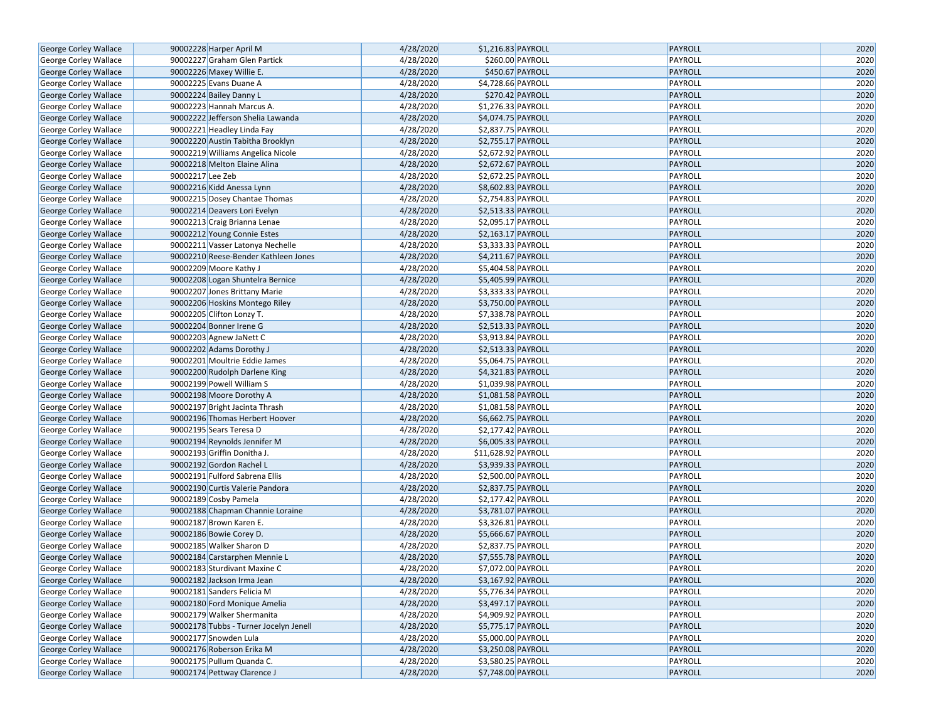| <b>George Corley Wallace</b>                   |                  | 90002228 Harper April M                                         | 4/28/2020              | \$1,216.83 PAYROLL                       | PAYROLL        | 2020 |
|------------------------------------------------|------------------|-----------------------------------------------------------------|------------------------|------------------------------------------|----------------|------|
| George Corley Wallace                          |                  | 90002227 Graham Glen Partick                                    | 4/28/2020              | \$260.00 PAYROLL                         | PAYROLL        | 2020 |
| George Corley Wallace                          |                  | 90002226 Maxey Willie E.                                        | 4/28/2020              | \$450.67 PAYROLL                         | PAYROLL        | 2020 |
| George Corley Wallace                          |                  | 90002225 Evans Duane A                                          | 4/28/2020              | \$4,728.66 PAYROLL                       | PAYROLL        | 2020 |
| George Corley Wallace                          |                  | 90002224 Bailey Danny L                                         | 4/28/2020              | \$270.42 PAYROLL                         | PAYROLL        | 2020 |
| George Corley Wallace                          |                  | 90002223 Hannah Marcus A.                                       | 4/28/2020              | $51,276.33$ PAYROLL                      | PAYROLL        | 2020 |
| George Corley Wallace                          |                  | 90002222 Jefferson Shelia Lawanda                               | 4/28/2020              | \$4,074.75 PAYROLL                       | <b>PAYROLL</b> | 2020 |
| George Corley Wallace                          |                  | 90002221 Headley Linda Fay                                      | 4/28/2020              | \$2,837.75 PAYROLL                       | PAYROLL        | 2020 |
| George Corley Wallace                          |                  | 90002220 Austin Tabitha Brooklyn                                | 4/28/2020              | \$2,755.17 PAYROLL                       | PAYROLL        | 2020 |
| George Corley Wallace                          |                  | 90002219 Williams Angelica Nicole                               | 4/28/2020              | \$2,672.92 PAYROLL                       | PAYROLL        | 2020 |
| George Corley Wallace                          |                  | 90002218 Melton Elaine Alina                                    | 4/28/2020              | \$2,672.67 PAYROLL                       | PAYROLL        | 2020 |
| George Corley Wallace                          | 90002217 Lee Zeb |                                                                 | 4/28/2020              | \$2,672.25 PAYROLL                       | PAYROLL        | 2020 |
| <b>George Corley Wallace</b>                   |                  | 90002216 Kidd Anessa Lynn                                       | 4/28/2020              | \$8,602.83 PAYROLL                       | PAYROLL        | 2020 |
| George Corley Wallace                          |                  | 90002215 Dosey Chantae Thomas                                   | 4/28/2020              | \$2,754.83 PAYROLL                       | PAYROLL        | 2020 |
| George Corley Wallace                          |                  | 90002214 Deavers Lori Evelyn                                    | 4/28/2020              | \$2,513.33 PAYROLL                       | PAYROLL        | 2020 |
| George Corley Wallace                          |                  | 90002213 Craig Brianna Lenae                                    | 4/28/2020              | \$2,095.17 PAYROLL                       | PAYROLL        | 2020 |
| George Corley Wallace                          |                  | 90002212 Young Connie Estes                                     | 4/28/2020              | \$2,163.17 PAYROLL                       | <b>PAYROLL</b> | 2020 |
| George Corley Wallace                          |                  | 90002211 Vasser Latonya Nechelle                                | 4/28/2020              | \$3,333.33 PAYROLL                       | PAYROLL        | 2020 |
| George Corley Wallace                          |                  | 90002210 Reese-Bender Kathleen Jones                            | 4/28/2020              | \$4,211.67 PAYROLL                       | PAYROLL        | 2020 |
| George Corley Wallace                          |                  | 90002209 Moore Kathy J                                          | 4/28/2020              | \$5,404.58 PAYROLL                       | PAYROLL        | 2020 |
| George Corley Wallace                          |                  | 90002208 Logan Shuntelra Bernice                                | 4/28/2020              | \$5,405.99 PAYROLL                       | PAYROLL        | 2020 |
| George Corley Wallace                          |                  | 90002207 Jones Brittany Marie                                   | 4/28/2020              | \$3,333.33 PAYROLL                       | PAYROLL        | 2020 |
| George Corley Wallace                          |                  | 90002206 Hoskins Montego Riley                                  | 4/28/2020              | \$3,750.00 PAYROLL                       | PAYROLL        | 2020 |
| George Corley Wallace                          |                  | 90002205 Clifton Lonzy T.                                       | 4/28/2020              | \$7,338.78 PAYROLL                       | PAYROLL        | 2020 |
| <b>George Corley Wallace</b>                   |                  | 90002204 Bonner Irene G                                         | 4/28/2020              | \$2,513.33 PAYROLL                       | PAYROLL        | 2020 |
| George Corley Wallace                          |                  | 90002203 Agnew JaNett C                                         | 4/28/2020              | \$3,913.84 PAYROLL                       | PAYROLL        | 2020 |
| George Corley Wallace                          |                  | 90002202 Adams Dorothy J                                        | 4/28/2020              | \$2,513.33 PAYROLL                       | PAYROLL        | 2020 |
| George Corley Wallace                          |                  | 90002201 Moultrie Eddie James                                   | 4/28/2020              | \$5,064.75 PAYROLL                       | PAYROLL        | 2020 |
| George Corley Wallace                          |                  | 90002200 Rudolph Darlene King                                   | 4/28/2020              | \$4,321.83 PAYROLL                       | PAYROLL        | 2020 |
| George Corley Wallace                          |                  | 90002199 Powell William S                                       | 4/28/2020              | \$1,039.98 PAYROLL                       | PAYROLL        | 2020 |
| George Corley Wallace                          |                  | 90002198 Moore Dorothy A                                        | 4/28/2020              | \$1,081.58 PAYROLL                       | PAYROLL        | 2020 |
| George Corley Wallace                          |                  | 90002197 Bright Jacinta Thrash                                  | 4/28/2020              | \$1,081.58 PAYROLL                       | PAYROLL        | 2020 |
| George Corley Wallace                          |                  | 90002196 Thomas Herbert Hoover                                  | 4/28/2020              | \$6,662.75 PAYROLL                       | <b>PAYROLL</b> | 2020 |
| George Corley Wallace                          |                  | 90002195 Sears Teresa D                                         | 4/28/2020              | \$2,177.42 PAYROLL                       | PAYROLL        | 2020 |
| George Corley Wallace                          |                  | 90002194 Reynolds Jennifer M                                    | 4/28/2020              | \$6,005.33 PAYROLL                       | PAYROLL        | 2020 |
| George Corley Wallace                          |                  | 90002193 Griffin Donitha J.                                     | 4/28/2020              | \$11,628.92 PAYROLL                      | PAYROLL        | 2020 |
| George Corley Wallace                          |                  | 90002192 Gordon Rachel L                                        | 4/28/2020              | \$3,939.33 PAYROLL                       | PAYROLL        | 2020 |
| George Corley Wallace                          |                  | 90002191 Fulford Sabrena Ellis                                  | 4/28/2020              | \$2,500.00 PAYROLL                       | PAYROLL        | 2020 |
| George Corley Wallace                          |                  | 90002190 Curtis Valerie Pandora                                 | 4/28/2020              | \$2,837.75 PAYROLL                       | PAYROLL        | 2020 |
| George Corley Wallace                          |                  | 90002189 Cosby Pamela                                           | 4/28/2020              | \$2,177.42 PAYROLL                       | PAYROLL        | 2020 |
| George Corley Wallace                          |                  | 90002188 Chapman Channie Loraine                                | 4/28/2020              | \$3,781.07 PAYROLL                       | PAYROLL        | 2020 |
| George Corley Wallace                          |                  | 90002187 Brown Karen E.                                         | 4/28/2020              | \$3,326.81 PAYROLL                       | PAYROLL        | 2020 |
| George Corley Wallace                          |                  | 90002186 Bowie Corey D.                                         | 4/28/2020              | \$5,666.67 PAYROLL                       | PAYROLL        | 2020 |
| George Corley Wallace                          |                  | 90002185 Walker Sharon D                                        | 4/28/2020              | \$2,837.75 PAYROLL                       | PAYROLL        | 2020 |
| George Corley Wallace                          |                  | 90002184 Carstarphen Mennie L                                   | 4/28/2020              | \$7,555.78 PAYROLL                       | PAYROLL        | 2020 |
| George Corley Wallace                          |                  | 90002183 Sturdivant Maxine C                                    | 4/28/2020              | \$7,072.00 PAYROLL                       | PAYROLL        | 2020 |
| George Corley Wallace                          |                  |                                                                 | 4/28/2020              | \$3,167.92 PAYROLL                       | PAYROLL        | 2020 |
|                                                |                  | 90002182 Jackson Irma Jean                                      | 4/28/2020              |                                          | PAYROLL        | 2020 |
| George Corley Wallace<br>George Corley Wallace |                  | 90002181 Sanders Felicia M<br>90002180 Ford Monique Amelia      | 4/28/2020              | \$5,776.34 PAYROLL<br>\$3,497.17 PAYROLL | PAYROLL        | 2020 |
|                                                |                  | 90002179 Walker Shermanita                                      | 4/28/2020              |                                          | PAYROLL        | 2020 |
| George Corley Wallace                          |                  |                                                                 |                        | \$4,909.92 PAYROLL                       |                |      |
| George Corley Wallace                          |                  | 90002178 Tubbs - Turner Jocelyn Jenell<br>90002177 Snowden Lula | 4/28/2020<br>4/28/2020 | \$5,775.17 PAYROLL                       | PAYROLL        | 2020 |
| George Corley Wallace                          |                  |                                                                 |                        | \$5,000.00 PAYROLL                       | PAYROLL        | 2020 |
| George Corley Wallace                          |                  | 90002176 Roberson Erika M                                       | 4/28/2020              | \$3,250.08 PAYROLL                       | PAYROLL        | 2020 |
| George Corley Wallace                          |                  | 90002175 Pullum Quanda C.                                       | 4/28/2020              | \$3,580.25 PAYROLL                       | PAYROLL        | 2020 |
| George Corley Wallace                          |                  | 90002174 Pettway Clarence J                                     | 4/28/2020              | \$7,748.00 PAYROLL                       | PAYROLL        | 2020 |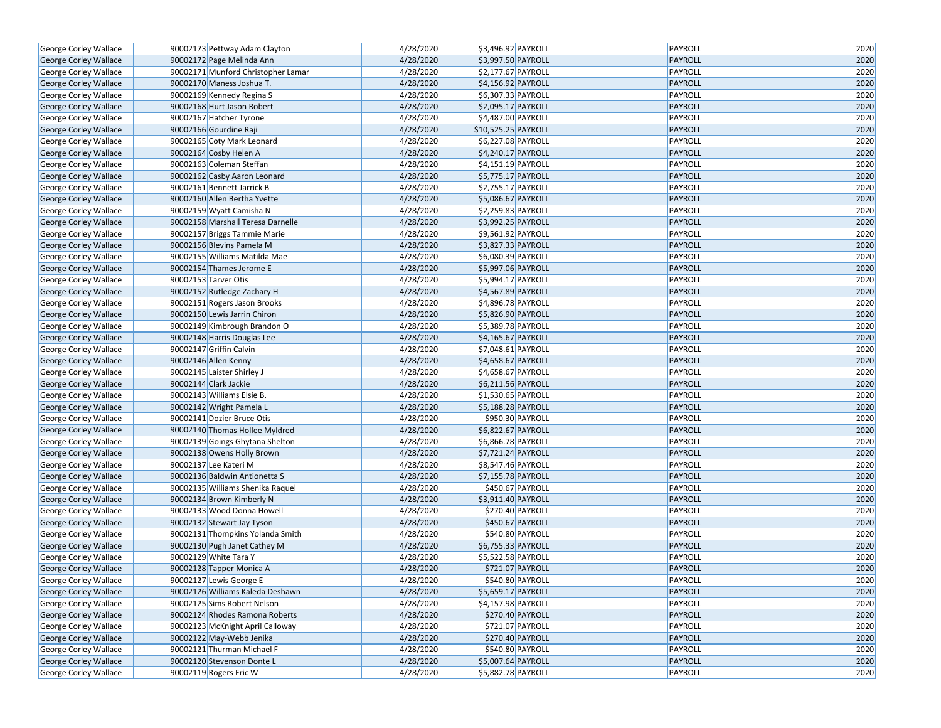| George Corley Wallace                                 | 90002173 Pettway Adam Clayton      | 4/28/2020 | \$3,496.92 PAYROLL                       | PAYROLL        | 2020         |
|-------------------------------------------------------|------------------------------------|-----------|------------------------------------------|----------------|--------------|
| George Corley Wallace                                 | 90002172 Page Melinda Ann          | 4/28/2020 | \$3,997.50 PAYROLL                       | PAYROLL        | 2020         |
| George Corley Wallace                                 | 90002171 Munford Christopher Lamar | 4/28/2020 | \$2,177.67 PAYROLL                       | PAYROLL        | 2020         |
| <b>George Corley Wallace</b>                          | 90002170 Maness Joshua T.          | 4/28/2020 | \$4,156.92 PAYROLL                       | PAYROLL        | 2020         |
| George Corley Wallace                                 | 90002169 Kennedy Regina S          | 4/28/2020 | \$6,307.33 PAYROLL                       | PAYROLL        | 2020         |
| George Corley Wallace                                 | 90002168 Hurt Jason Robert         | 4/28/2020 | \$2,095.17 PAYROLL                       | PAYROLL        | 2020         |
| George Corley Wallace                                 | 90002167 Hatcher Tyrone            | 4/28/2020 | \$4,487.00 PAYROLL                       | <b>PAYROLL</b> | 2020         |
| George Corley Wallace                                 | 90002166 Gourdine Raji             | 4/28/2020 | \$10,525.25 PAYROLL                      | PAYROLL        | 2020         |
| George Corley Wallace                                 | 90002165 Coty Mark Leonard         | 4/28/2020 | \$6,227.08 PAYROLL                       | PAYROLL        | 2020         |
| George Corley Wallace                                 | 90002164 Cosby Helen A             | 4/28/2020 | \$4,240.17 PAYROLL                       | PAYROLL        | 2020         |
| George Corley Wallace                                 | 90002163 Coleman Steffan           | 4/28/2020 | \$4,151.19 PAYROLL                       | PAYROLL        | 2020         |
| George Corley Wallace                                 | 90002162 Casby Aaron Leonard       | 4/28/2020 | \$5,775.17 PAYROLL                       | PAYROLL        | 2020         |
| George Corley Wallace                                 | 90002161 Bennett Jarrick B         | 4/28/2020 | \$2,755.17 PAYROLL                       | PAYROLL        | 2020         |
| George Corley Wallace                                 | 90002160 Allen Bertha Yvette       | 4/28/2020 | \$5,086.67 PAYROLL                       | PAYROLL        | 2020         |
| George Corley Wallace                                 | 90002159 Wyatt Camisha N           | 4/28/2020 | \$2,259.83 PAYROLL                       | PAYROLL        | 2020         |
| George Corley Wallace                                 | 90002158 Marshall Teresa Darnelle  | 4/28/2020 | \$3,992.25 PAYROLL                       | PAYROLL        | 2020         |
| George Corley Wallace                                 | 90002157 Briggs Tammie Marie       | 4/28/2020 | \$9,561.92 PAYROLL                       | PAYROLL        | 2020         |
| George Corley Wallace                                 | 90002156 Blevins Pamela M          | 4/28/2020 | \$3,827.33 PAYROLL                       | PAYROLL        | 2020         |
| George Corley Wallace                                 | 90002155 Williams Matilda Mae      | 4/28/2020 | \$6,080.39 PAYROLL                       | PAYROLL        | 2020         |
| George Corley Wallace                                 | 90002154 Thames Jerome E           | 4/28/2020 | \$5,997.06 PAYROLL                       | PAYROLL        | 2020         |
| George Corley Wallace                                 | 90002153 Tarver Otis               | 4/28/2020 | \$5,994.17 PAYROLL                       | PAYROLL        | 2020         |
| George Corley Wallace                                 | 90002152 Rutledge Zachary H        | 4/28/2020 | \$4,567.89 PAYROLL                       | PAYROLL        | 2020         |
| George Corley Wallace                                 | 90002151 Rogers Jason Brooks       | 4/28/2020 | \$4,896.78 PAYROLL                       | PAYROLL        | 2020         |
| George Corley Wallace                                 | 90002150 Lewis Jarrin Chiron       | 4/28/2020 | \$5,826.90 PAYROLL                       | PAYROLL        | 2020         |
| George Corley Wallace                                 | 90002149 Kimbrough Brandon O       | 4/28/2020 | \$5,389.78 PAYROLL                       | PAYROLL        | 2020         |
| George Corley Wallace                                 | 90002148 Harris Douglas Lee        | 4/28/2020 | \$4,165.67 PAYROLL                       | PAYROLL        | 2020         |
| George Corley Wallace                                 | 90002147 Griffin Calvin            | 4/28/2020 | $$7,048.61$ PAYROLL                      | PAYROLL        | 2020         |
|                                                       | 90002146 Allen Kenny               | 4/28/2020 | \$4,658.67 PAYROLL                       | PAYROLL        | 2020         |
| George Corley Wallace<br><b>George Corley Wallace</b> | 90002145 Laister Shirley J         | 4/28/2020 | \$4,658.67 PAYROLL                       | PAYROLL        | 2020         |
|                                                       | 90002144 Clark Jackie              | 4/28/2020 | \$6,211.56 PAYROLL                       | PAYROLL        | 2020         |
| George Corley Wallace                                 |                                    | 4/28/2020 | $\overline{$1,530.65}$ PAYROLL           | PAYROLL        | 2020         |
| George Corley Wallace                                 | 90002143 Williams Elsie B.         |           |                                          |                |              |
| George Corley Wallace                                 | 90002142 Wright Pamela L           | 4/28/2020 | \$5,188.28 PAYROLL                       | PAYROLL        | 2020<br>2020 |
| George Corley Wallace                                 | 90002141 Dozier Bruce Otis         | 4/28/2020 | \$950.30 PAYROLL                         | PAYROLL        | 2020         |
| George Corley Wallace                                 | 90002140 Thomas Hollee Myldred     | 4/28/2020 | \$6,822.67 PAYROLL                       | PAYROLL        |              |
| George Corley Wallace                                 | 90002139 Goings Ghytana Shelton    | 4/28/2020 | \$6,866.78 PAYROLL<br>\$7,721.24 PAYROLL | PAYROLL        | 2020         |
| George Corley Wallace                                 | 90002138 Owens Holly Brown         | 4/28/2020 |                                          | PAYROLL        | 2020         |
| George Corley Wallace                                 | 90002137 Lee Kateri M              | 4/28/2020 | \$8,547.46 PAYROLL                       | PAYROLL        | 2020         |
| George Corley Wallace                                 | 90002136 Baldwin Antionetta S      | 4/28/2020 | \$7,155.78 PAYROLL                       | PAYROLL        | 2020         |
| George Corley Wallace                                 | 90002135 Williams Shenika Raquel   | 4/28/2020 | \$450.67 PAYROLL                         | PAYROLL        | 2020         |
| George Corley Wallace                                 | 90002134 Brown Kimberly N          | 4/28/2020 | \$3,911.40 PAYROLL                       | PAYROLL        | 2020         |
| George Corley Wallace                                 | 90002133 Wood Donna Howell         | 4/28/2020 | \$270.40 PAYROLL                         | PAYROLL        | 2020         |
| George Corley Wallace                                 | 90002132 Stewart Jay Tyson         | 4/28/2020 | \$450.67 PAYROLL                         | PAYROLL        | 2020         |
| George Corley Wallace                                 | 90002131 Thompkins Yolanda Smith   | 4/28/2020 | \$540.80 PAYROLL                         | PAYROLL        | 2020         |
| George Corley Wallace                                 | 90002130 Pugh Janet Cathey M       | 4/28/2020 | \$6,755.33 PAYROLL                       | PAYROLL        | 2020         |
| George Corley Wallace                                 | 90002129 White Tara Y              | 4/28/2020 | \$5,522.58 PAYROLL                       | PAYROLL        | 2020         |
| George Corley Wallace                                 | 90002128 Tapper Monica A           | 4/28/2020 | \$721.07 PAYROLL                         | PAYROLL        | 2020         |
| <b>George Corley Wallace</b>                          | 90002127 Lewis George E            | 4/28/2020 | \$540.80 PAYROLL                         | PAYROLL        | 2020         |
| George Corley Wallace                                 | 90002126 Williams Kaleda Deshawn   | 4/28/2020 | \$5,659.17 PAYROLL                       | PAYROLL        | 2020         |
| George Corley Wallace                                 | 90002125 Sims Robert Nelson        | 4/28/2020 | \$4,157.98 PAYROLL                       | PAYROLL        | 2020         |
| George Corley Wallace                                 | 90002124 Rhodes Ramona Roberts     | 4/28/2020 | \$270.40 PAYROLL                         | PAYROLL        | 2020         |
| George Corley Wallace                                 | 90002123 McKnight April Calloway   | 4/28/2020 | \$721.07 PAYROLL                         | PAYROLL        | 2020         |
| George Corley Wallace                                 | 90002122 May-Webb Jenika           | 4/28/2020 | \$270.40 PAYROLL                         | PAYROLL        | 2020         |
| George Corley Wallace                                 | 90002121 Thurman Michael F         | 4/28/2020 | \$540.80 PAYROLL                         | PAYROLL        | 2020         |
| George Corley Wallace                                 | 90002120 Stevenson Donte L         | 4/28/2020 | \$5,007.64 PAYROLL                       | PAYROLL        | 2020         |
| George Corley Wallace                                 | 90002119 Rogers Eric W             | 4/28/2020 | \$5,882.78 PAYROLL                       | PAYROLL        | 2020         |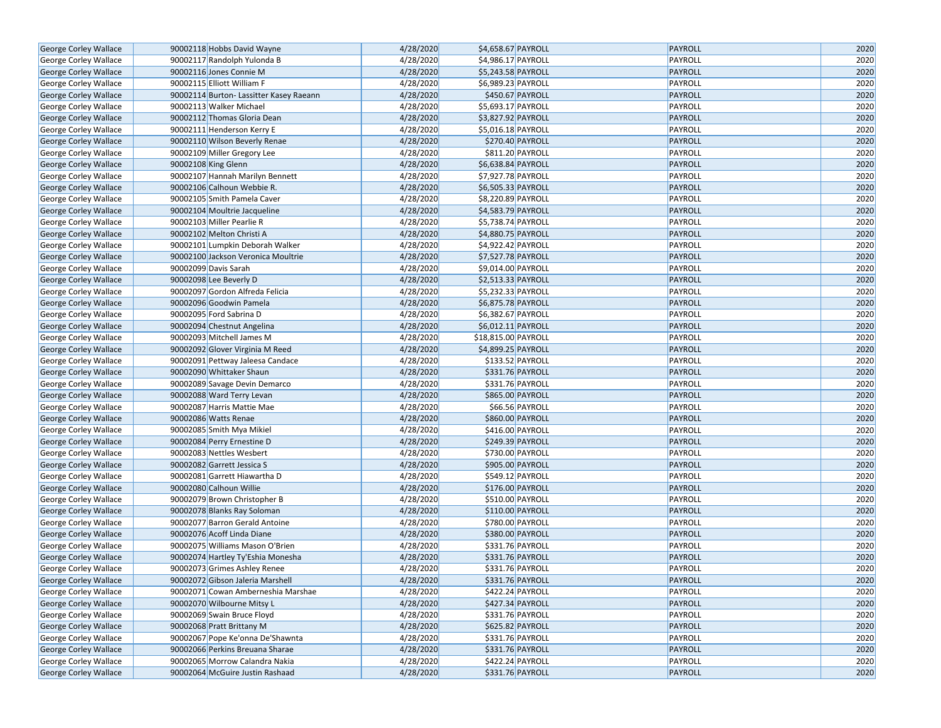| George Corley Wallace                          | 90002118 Hobbs David Wayne                              | 4/28/2020              | \$4,658.67 PAYROLL                   | PAYROLL        | 2020 |
|------------------------------------------------|---------------------------------------------------------|------------------------|--------------------------------------|----------------|------|
| George Corley Wallace                          | 90002117 Randolph Yulonda B                             | 4/28/2020              | \$4,986.17 PAYROLL                   | PAYROLL        | 2020 |
| George Corley Wallace                          | 90002116 Jones Connie M                                 | 4/28/2020              | \$5,243.58 PAYROLL                   | PAYROLL        | 2020 |
| George Corley Wallace                          | 90002115 Elliott William F                              | 4/28/2020              | \$6,989.23 PAYROLL                   | PAYROLL        | 2020 |
| George Corley Wallace                          | 90002114 Burton- Lassitter Kasey Raeann                 | 4/28/2020              | \$450.67 PAYROLL                     | PAYROLL        | 2020 |
| George Corley Wallace                          | 90002113 Walker Michael                                 | 4/28/2020              | \$5,693.17 PAYROLL                   | PAYROLL        | 2020 |
| George Corley Wallace                          | 90002112 Thomas Gloria Dean                             | 4/28/2020              | \$3,827.92 PAYROLL                   | <b>PAYROLL</b> | 2020 |
| George Corley Wallace                          | 90002111 Henderson Kerry E                              | 4/28/2020              | \$5,016.18 PAYROLL                   | PAYROLL        | 2020 |
| George Corley Wallace                          | 90002110 Wilson Beverly Renae                           | 4/28/2020              | \$270.40 PAYROLL                     | PAYROLL        | 2020 |
| George Corley Wallace                          | 90002109 Miller Gregory Lee                             | 4/28/2020              | \$811.20 PAYROLL                     | PAYROLL        | 2020 |
| George Corley Wallace                          | 90002108 King Glenn                                     | 4/28/2020              | \$6,638.84 PAYROLL                   | PAYROLL        | 2020 |
| George Corley Wallace                          | 90002107 Hannah Marilyn Bennett                         | 4/28/2020              | \$7,927.78 PAYROLL                   | PAYROLL        | 2020 |
| George Corley Wallace                          | 90002106 Calhoun Webbie R.                              | 4/28/2020              | \$6,505.33 PAYROLL                   | PAYROLL        | 2020 |
| George Corley Wallace                          | 90002105 Smith Pamela Caver                             | 4/28/2020              | \$8,220.89 PAYROLL                   | PAYROLL        | 2020 |
| George Corley Wallace                          | 90002104 Moultrie Jacqueline                            | 4/28/2020              | \$4,583.79 PAYROLL                   | PAYROLL        | 2020 |
| George Corley Wallace                          | 90002103 Miller Pearlie R                               | 4/28/2020              | \$5,738.74 PAYROLL                   | PAYROLL        | 2020 |
| George Corley Wallace                          | 90002102 Melton Christi A                               | 4/28/2020              | \$4,880.75 PAYROLL                   | <b>PAYROLL</b> | 2020 |
| George Corley Wallace                          | 90002101 Lumpkin Deborah Walker                         | 4/28/2020              | \$4,922.42 PAYROLL                   | PAYROLL        | 2020 |
| George Corley Wallace                          | 90002100 Jackson Veronica Moultrie                      | 4/28/2020              | \$7,527.78 PAYROLL                   | PAYROLL        | 2020 |
| George Corley Wallace                          | 90002099 Davis Sarah                                    | 4/28/2020              | \$9,014.00 PAYROLL                   | PAYROLL        | 2020 |
| George Corley Wallace                          | 90002098 Lee Beverly D                                  | 4/28/2020              | \$2,513.33 PAYROLL                   | PAYROLL        | 2020 |
| George Corley Wallace                          | 90002097 Gordon Alfreda Felicia                         | 4/28/2020              | \$5,232.33 PAYROLL                   | PAYROLL        | 2020 |
| George Corley Wallace                          | 90002096 Goodwin Pamela                                 | 4/28/2020              | \$6,875.78 PAYROLL                   | PAYROLL        | 2020 |
| George Corley Wallace                          | 90002095 Ford Sabrina D                                 | 4/28/2020              | \$6,382.67 PAYROLL                   | PAYROLL        | 2020 |
| <b>George Corley Wallace</b>                   | 90002094 Chestnut Angelina                              | 4/28/2020              | \$6,012.11 PAYROLL                   | PAYROLL        | 2020 |
| George Corley Wallace                          | 90002093 Mitchell James M                               | 4/28/2020              | \$18,815.00 PAYROLL                  | PAYROLL        | 2020 |
| George Corley Wallace                          | 90002092 Glover Virginia M Reed                         | 4/28/2020              | \$4,899.25 PAYROLL                   | PAYROLL        | 2020 |
| George Corley Wallace                          | 90002091 Pettway Jaleesa Candace                        | 4/28/2020              | \$133.52 PAYROLL                     | PAYROLL        | 2020 |
| George Corley Wallace                          | 90002090 Whittaker Shaun                                | 4/28/2020              | \$331.76 PAYROLL                     | PAYROLL        | 2020 |
|                                                | 90002089 Savage Devin Demarco                           | 4/28/2020              | \$331.76 PAYROLL                     | PAYROLL        | 2020 |
| George Corley Wallace                          |                                                         | 4/28/2020              | \$865.00 PAYROLL                     | PAYROLL        | 2020 |
| George Corley Wallace                          | 90002088 Ward Terry Levan<br>90002087 Harris Mattie Mae | 4/28/2020              | \$66.56 PAYROLL                      | PAYROLL        | 2020 |
| George Corley Wallace                          | 90002086 Watts Renae                                    | 4/28/2020              | \$860.00 PAYROLL                     | <b>PAYROLL</b> | 2020 |
| George Corley Wallace                          | 90002085 Smith Mya Mikiel                               | 4/28/2020              | \$416.00 PAYROLL                     | PAYROLL        | 2020 |
| George Corley Wallace<br>George Corley Wallace | 90002084 Perry Ernestine D                              | 4/28/2020              | \$249.39 PAYROLL                     | PAYROLL        | 2020 |
| George Corley Wallace                          | 90002083 Nettles Wesbert                                | 4/28/2020              | \$730.00 PAYROLL                     | PAYROLL        | 2020 |
| George Corley Wallace                          | 90002082 Garrett Jessica S                              | 4/28/2020              | \$905.00 PAYROLL                     | PAYROLL        | 2020 |
| George Corley Wallace                          | 90002081 Garrett Hiawartha D                            | 4/28/2020              | \$549.12 PAYROLL                     | PAYROLL        | 2020 |
|                                                | 90002080 Calhoun Willie                                 | 4/28/2020              | \$176.00 PAYROLL                     | PAYROLL        | 2020 |
| George Corley Wallace                          |                                                         | 4/28/2020              | \$510.00 PAYROLL                     |                | 2020 |
| George Corley Wallace                          | 90002079 Brown Christopher B                            |                        |                                      | PAYROLL        | 2020 |
| George Corley Wallace                          | 90002078 Blanks Ray Soloman                             | 4/28/2020<br>4/28/2020 | \$110.00 PAYROLL<br>\$780.00 PAYROLL | PAYROLL        |      |
| George Corley Wallace                          | 90002077 Barron Gerald Antoine                          |                        |                                      | PAYROLL        | 2020 |
| George Corley Wallace                          | 90002076 Acoff Linda Diane                              | 4/28/2020              | \$380.00 PAYROLL<br>\$331.76 PAYROLL | PAYROLL        | 2020 |
| George Corley Wallace                          | 90002075 Williams Mason O'Brien                         | 4/28/2020              |                                      | PAYROLL        | 2020 |
| George Corley Wallace                          | 90002074 Hartley Ty'Eshia Monesha                       | 4/28/2020              | \$331.76 PAYROLL                     | PAYROLL        | 2020 |
| George Corley Wallace                          | 90002073 Grimes Ashley Renee                            | 4/28/2020              | \$331.76 PAYROLL                     | PAYROLL        | 2020 |
| George Corley Wallace                          | 90002072 Gibson Jaleria Marshell                        | 4/28/2020              | \$331.76 PAYROLL                     | PAYROLL        | 2020 |
| George Corley Wallace                          | 90002071 Cowan Amberneshia Marshae                      | 4/28/2020              | \$422.24 PAYROLL                     | PAYROLL        | 2020 |
| George Corley Wallace                          | 90002070 Wilbourne Mitsy L                              | 4/28/2020              | \$427.34 PAYROLL                     | PAYROLL        | 2020 |
| George Corley Wallace                          | 90002069 Swain Bruce Floyd                              | 4/28/2020              | \$331.76 PAYROLL                     | PAYROLL        | 2020 |
| George Corley Wallace                          | 90002068 Pratt Brittany M                               | 4/28/2020              | \$625.82 PAYROLL                     | PAYROLL        | 2020 |
| George Corley Wallace                          | 90002067 Pope Ke'onna De'Shawnta                        | 4/28/2020              | \$331.76 PAYROLL                     | PAYROLL        | 2020 |
| George Corley Wallace                          | 90002066 Perkins Breuana Sharae                         | 4/28/2020              | $$331.76$ PAYROLL                    | PAYROLL        | 2020 |
| George Corley Wallace                          | 90002065 Morrow Calandra Nakia                          | 4/28/2020              | \$422.24 PAYROLL                     | PAYROLL        | 2020 |
| George Corley Wallace                          | 90002064 McGuire Justin Rashaad                         | 4/28/2020              | \$331.76 PAYROLL                     | PAYROLL        | 2020 |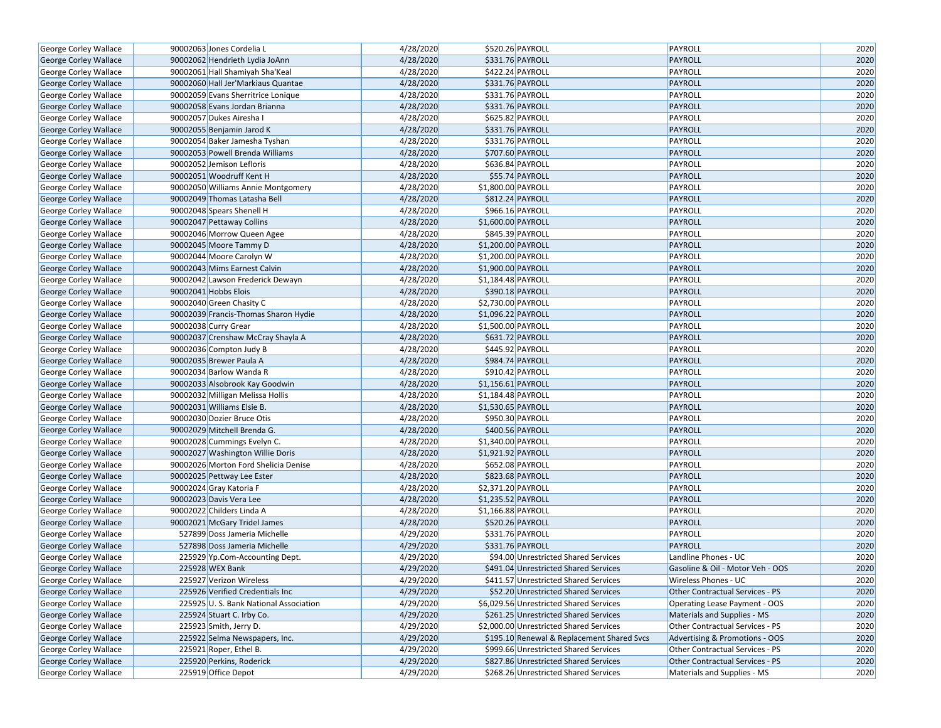| George Corley Wallace        | 90002063 Jones Cordelia L             | 4/28/2020 |                    | \$520.26 PAYROLL                           | PAYROLL                              | 2020 |
|------------------------------|---------------------------------------|-----------|--------------------|--------------------------------------------|--------------------------------------|------|
| George Corley Wallace        | 90002062 Hendrieth Lydia JoAnn        | 4/28/2020 |                    | \$331.76 PAYROLL                           | PAYROLL                              | 2020 |
| George Corley Wallace        | 90002061 Hall Shamiyah Sha'Keal       | 4/28/2020 |                    | \$422.24 PAYROLL                           | PAYROLL                              | 2020 |
| George Corley Wallace        | 90002060 Hall Jer'Markiaus Quantae    | 4/28/2020 |                    | \$331.76 PAYROLL                           | PAYROLL                              | 2020 |
| George Corley Wallace        | 90002059 Evans Sherritrice Lonique    | 4/28/2020 |                    | \$331.76 PAYROLL                           | PAYROLL                              | 2020 |
| George Corley Wallace        | 90002058 Evans Jordan Brianna         | 4/28/2020 |                    | \$331.76 PAYROLL                           | PAYROLL                              | 2020 |
| George Corley Wallace        | 90002057 Dukes Airesha I              | 4/28/2020 | \$625.82 PAYROLL   |                                            | PAYROLL                              | 2020 |
| George Corley Wallace        | 90002055 Benjamin Jarod K             | 4/28/2020 |                    | \$331.76 PAYROLL                           | PAYROLL                              | 2020 |
| George Corley Wallace        | 90002054 Baker Jamesha Tyshan         | 4/28/2020 |                    | \$331.76 PAYROLL                           | PAYROLL                              | 2020 |
| George Corley Wallace        | 90002053 Powell Brenda Williams       | 4/28/2020 |                    | \$707.60 PAYROLL                           | <b>PAYROLL</b>                       | 2020 |
| George Corley Wallace        | 90002052 Jemison Lefloris             | 4/28/2020 |                    | \$636.84 PAYROLL                           | PAYROLL                              | 2020 |
| George Corley Wallace        | 90002051 Woodruff Kent H              | 4/28/2020 |                    | \$55.74 PAYROLL                            | PAYROLL                              | 2020 |
| George Corley Wallace        | 90002050 Williams Annie Montgomery    | 4/28/2020 | \$1,800.00 PAYROLL |                                            | PAYROLL                              | 2020 |
| George Corley Wallace        | 90002049 Thomas Latasha Bell          | 4/28/2020 |                    | \$812.24 PAYROLL                           | PAYROLL                              | 2020 |
| George Corley Wallace        | 90002048 Spears Shenell H             | 4/28/2020 |                    | \$966.16 PAYROLL                           | PAYROLL                              | 2020 |
| George Corley Wallace        | 90002047 Pettaway Collins             | 4/28/2020 | \$1,600.00 PAYROLL |                                            | PAYROLL                              | 2020 |
| George Corley Wallace        | 90002046 Morrow Queen Agee            | 4/28/2020 | \$845.39 PAYROLL   |                                            | PAYROLL                              | 2020 |
| George Corley Wallace        | 90002045 Moore Tammy D                | 4/28/2020 | \$1,200.00 PAYROLL |                                            | <b>PAYROLL</b>                       | 2020 |
| George Corley Wallace        | 90002044 Moore Carolyn W              | 4/28/2020 | \$1,200.00 PAYROLL |                                            | PAYROLL                              | 2020 |
| George Corley Wallace        | 90002043 Mims Earnest Calvin          | 4/28/2020 | \$1,900.00 PAYROLL |                                            | PAYROLL                              | 2020 |
| George Corley Wallace        | 90002042 Lawson Frederick Dewayn      | 4/28/2020 | \$1,184.48 PAYROLL |                                            | PAYROLL                              | 2020 |
| George Corley Wallace        | 90002041 Hobbs Elois                  | 4/28/2020 |                    | \$390.18 PAYROLL                           | PAYROLL                              | 2020 |
| George Corley Wallace        | 90002040 Green Chasity C              | 4/28/2020 | \$2,730.00 PAYROLL |                                            | PAYROLL                              | 2020 |
| George Corley Wallace        | 90002039 Francis-Thomas Sharon Hydie  | 4/28/2020 | \$1,096.22 PAYROLL |                                            | PAYROLL                              | 2020 |
| George Corley Wallace        | 90002038 Curry Grear                  | 4/28/2020 | \$1,500.00 PAYROLL |                                            | PAYROLL                              | 2020 |
| George Corley Wallace        | 90002037 Crenshaw McCray Shayla A     | 4/28/2020 |                    | \$631.72 PAYROLL                           | PAYROLL                              | 2020 |
| George Corley Wallace        | 90002036 Compton Judy B               | 4/28/2020 |                    | \$445.92 PAYROLL                           | PAYROLL                              | 2020 |
| George Corley Wallace        | 90002035 Brewer Paula A               | 4/28/2020 |                    | \$984.74 PAYROLL                           | <b>PAYROLL</b>                       | 2020 |
| George Corley Wallace        | 90002034 Barlow Wanda R               | 4/28/2020 | \$910.42 PAYROLL   |                                            | PAYROLL                              | 2020 |
| George Corley Wallace        | 90002033 Alsobrook Kay Goodwin        | 4/28/2020 | \$1,156.61 PAYROLL |                                            | PAYROLL                              | 2020 |
| George Corley Wallace        | 90002032 Milligan Melissa Hollis      | 4/28/2020 | \$1,184.48 PAYROLL |                                            | PAYROLL                              | 2020 |
| George Corley Wallace        | 90002031 Williams Elsie B.            | 4/28/2020 | \$1,530.65 PAYROLL |                                            | PAYROLL                              | 2020 |
| George Corley Wallace        | 90002030 Dozier Bruce Otis            | 4/28/2020 | \$950.30 PAYROLL   |                                            | PAYROLL                              | 2020 |
| George Corley Wallace        | 90002029 Mitchell Brenda G.           | 4/28/2020 |                    | \$400.56 PAYROLL                           | PAYROLL                              | 2020 |
| George Corley Wallace        | 90002028 Cummings Evelyn C.           | 4/28/2020 | \$1,340.00 PAYROLL |                                            | PAYROLL                              | 2020 |
| George Corley Wallace        | 90002027 Washington Willie Doris      | 4/28/2020 | \$1,921.92 PAYROLL |                                            | PAYROLL                              | 2020 |
| George Corley Wallace        | 90002026 Morton Ford Shelicia Denise  | 4/28/2020 |                    | \$652.08 PAYROLL                           | PAYROLL                              | 2020 |
| George Corley Wallace        | 90002025 Pettway Lee Ester            | 4/28/2020 |                    | \$823.68 PAYROLL                           | <b>PAYROLL</b>                       | 2020 |
| George Corley Wallace        | 90002024 Gray Katoria F               | 4/28/2020 | \$2,371.20 PAYROLL |                                            | PAYROLL                              | 2020 |
| George Corley Wallace        | 90002023 Davis Vera Lee               | 4/28/2020 | \$1,235.52 PAYROLL |                                            | <b>PAYROLL</b>                       | 2020 |
| <b>George Corley Wallace</b> | 90002022 Childers Linda A             | 4/28/2020 | \$1,166.88 PAYROLL |                                            | PAYROLL                              | 2020 |
| George Corley Wallace        | 90002021 McGary Tridel James          | 4/28/2020 |                    | \$520.26 PAYROLL                           | <b>PAYROLL</b>                       | 2020 |
| George Corley Wallace        | 527899 Doss Jameria Michelle          | 4/29/2020 |                    | \$331.76 PAYROLL                           | PAYROLL                              | 2020 |
| George Corley Wallace        | 527898 Doss Jameria Michelle          | 4/29/2020 |                    | \$331.76 PAYROLL                           | <b>PAYROLL</b>                       | 2020 |
| George Corley Wallace        | 225929 Yp.Com-Accounting Dept.        | 4/29/2020 |                    | \$94.00 Unrestricted Shared Services       | Landline Phones - UC                 | 2020 |
| George Corley Wallace        | 225928 WEX Bank                       | 4/29/2020 |                    | \$491.04 Unrestricted Shared Services      | Gasoline & Oil - Motor Veh - OOS     | 2020 |
| George Corley Wallace        | 225927 Verizon Wireless               | 4/29/2020 |                    | \$411.57 Unrestricted Shared Services      | Wireless Phones - UC                 | 2020 |
| George Corley Wallace        | 225926 Verified Credentials Inc       | 4/29/2020 |                    | \$52.20 Unrestricted Shared Services       | Other Contractual Services - PS      | 2020 |
| George Corley Wallace        | 225925 U.S. Bank National Association | 4/29/2020 |                    | \$6,029.56 Unrestricted Shared Services    | <b>Operating Lease Payment - OOS</b> | 2020 |
| George Corley Wallace        | 225924 Stuart C. Irby Co.             | 4/29/2020 |                    | \$261.25 Unrestricted Shared Services      | Materials and Supplies - MS          | 2020 |
| George Corley Wallace        | 225923 Smith, Jerry D.                | 4/29/2020 |                    | \$2,000.00 Unrestricted Shared Services    | Other Contractual Services - PS      | 2020 |
| George Corley Wallace        | 225922 Selma Newspapers, Inc.         | 4/29/2020 |                    | \$195.10 Renewal & Replacement Shared Svcs | Advertising & Promotions - OOS       | 2020 |
| George Corley Wallace        | 225921 Roper, Ethel B.                | 4/29/2020 |                    | \$999.66 Unrestricted Shared Services      | Other Contractual Services - PS      | 2020 |
| George Corley Wallace        | 225920 Perkins, Roderick              | 4/29/2020 |                    | \$827.86 Unrestricted Shared Services      | Other Contractual Services - PS      | 2020 |
| George Corley Wallace        | 225919 Office Depot                   | 4/29/2020 |                    | \$268.26 Unrestricted Shared Services      | Materials and Supplies - MS          | 2020 |
|                              |                                       |           |                    |                                            |                                      |      |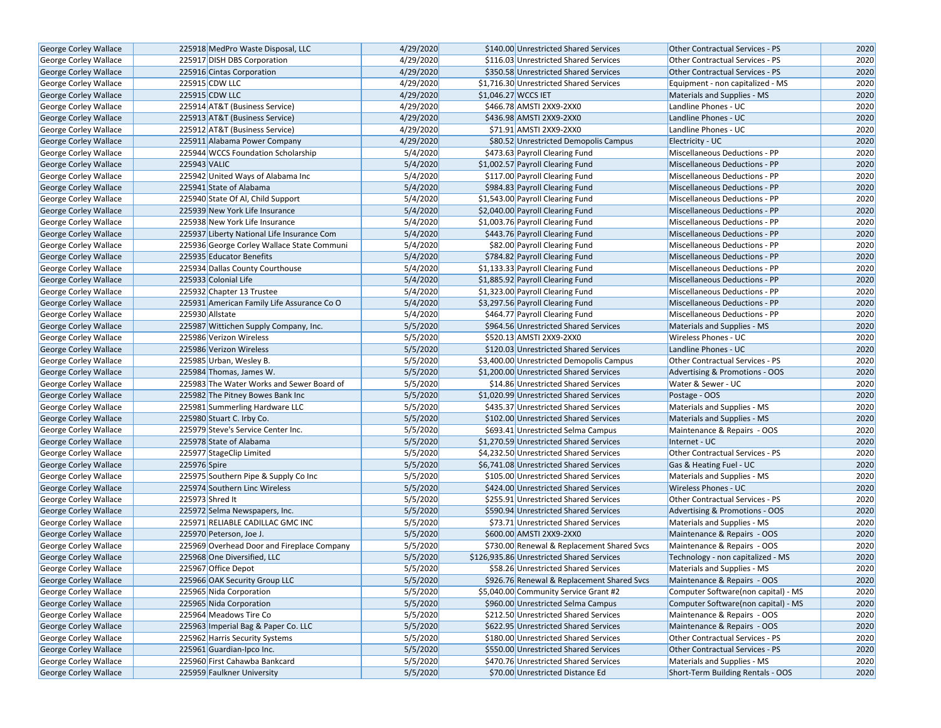| <b>George Corley Wallace</b> | 225918 MedPro Waste Disposal, LLC          | 4/29/2020 | \$140.00 Unrestricted Shared Services      | Other Contractual Services - PS      | 2020 |
|------------------------------|--------------------------------------------|-----------|--------------------------------------------|--------------------------------------|------|
| <b>George Corley Wallace</b> | 225917 DISH DBS Corporation                | 4/29/2020 | \$116.03 Unrestricted Shared Services      | Other Contractual Services - PS      | 2020 |
| George Corley Wallace        | 225916 Cintas Corporation                  | 4/29/2020 | \$350.58 Unrestricted Shared Services      | Other Contractual Services - PS      | 2020 |
| George Corley Wallace        | 225915 CDW LLC                             | 4/29/2020 | \$1,716.30 Unrestricted Shared Services    | Equipment - non capitalized - MS     | 2020 |
| George Corley Wallace        | 225915 CDW LLC                             | 4/29/2020 | \$1,046.27 WCCS IET                        | Materials and Supplies - MS          | 2020 |
| George Corley Wallace        | 225914 AT&T (Business Service)             | 4/29/2020 | \$466.78 AMSTI 2XX9-2XX0                   | Landline Phones - UC                 | 2020 |
| George Corley Wallace        | 225913 AT&T (Business Service)             | 4/29/2020 | \$436.98 AMSTI 2XX9-2XX0                   | Landline Phones - UC                 | 2020 |
| <b>George Corley Wallace</b> | 225912 AT&T (Business Service)             | 4/29/2020 | \$71.91 AMSTI 2XX9-2XX0                    | Landline Phones - UC                 | 2020 |
| George Corley Wallace        | 225911 Alabama Power Company               | 4/29/2020 | \$80.52 Unrestricted Demopolis Campus      | Electricity - UC                     | 2020 |
| George Corley Wallace        | 225944 WCCS Foundation Scholarship         | 5/4/2020  | \$473.63 Payroll Clearing Fund             | Miscellaneous Deductions - PP        | 2020 |
| George Corley Wallace        | 225943 VALIC                               | 5/4/2020  | \$1,002.57 Payroll Clearing Fund           | Miscellaneous Deductions - PP        | 2020 |
| George Corley Wallace        | 225942 United Ways of Alabama Inc          | 5/4/2020  | \$117.00 Payroll Clearing Fund             | <b>Miscellaneous Deductions - PP</b> | 2020 |
| <b>George Corley Wallace</b> | 225941 State of Alabama                    | 5/4/2020  | \$984.83 Payroll Clearing Fund             | <b>Miscellaneous Deductions - PP</b> | 2020 |
| George Corley Wallace        | 225940 State Of Al, Child Support          | 5/4/2020  | \$1,543.00 Payroll Clearing Fund           | Miscellaneous Deductions - PP        | 2020 |
| <b>George Corley Wallace</b> | 225939 New York Life Insurance             | 5/4/2020  | \$2,040.00 Payroll Clearing Fund           | Miscellaneous Deductions - PP        | 2020 |
| George Corley Wallace        | 225938 New York Life Insurance             | 5/4/2020  | \$1,003.76 Payroll Clearing Fund           | <b>Miscellaneous Deductions - PP</b> | 2020 |
| George Corley Wallace        | 225937 Liberty National Life Insurance Com | 5/4/2020  | \$443.76 Payroll Clearing Fund             | <b>Miscellaneous Deductions - PP</b> | 2020 |
| George Corley Wallace        | 225936 George Corley Wallace State Communi | 5/4/2020  | \$82.00 Payroll Clearing Fund              | Miscellaneous Deductions - PP        | 2020 |
| George Corley Wallace        | 225935 Educator Benefits                   | 5/4/2020  | \$784.82 Payroll Clearing Fund             | Miscellaneous Deductions - PP        | 2020 |
| George Corley Wallace        | 225934 Dallas County Courthouse            | 5/4/2020  | \$1,133.33 Payroll Clearing Fund           | Miscellaneous Deductions - PP        | 2020 |
| George Corley Wallace        | 225933 Colonial Life                       | 5/4/2020  | \$1,885.92 Payroll Clearing Fund           | Miscellaneous Deductions - PP        | 2020 |
| George Corley Wallace        | 225932 Chapter 13 Trustee                  | 5/4/2020  | \$1,323.00 Payroll Clearing Fund           | Miscellaneous Deductions - PP        | 2020 |
| George Corley Wallace        | 225931 American Family Life Assurance Co O | 5/4/2020  | \$3,297.56 Payroll Clearing Fund           | Miscellaneous Deductions - PP        | 2020 |
| George Corley Wallace        | 225930 Allstate                            | 5/4/2020  | \$464.77 Payroll Clearing Fund             | Miscellaneous Deductions - PP        | 2020 |
| George Corley Wallace        | 225987 Wittichen Supply Company, Inc.      | 5/5/2020  | \$964.56 Unrestricted Shared Services      | Materials and Supplies - MS          | 2020 |
| George Corley Wallace        | 225986 Verizon Wireless                    | 5/5/2020  | \$520.13 AMSTI 2XX9-2XX0                   | Wireless Phones - UC                 | 2020 |
| George Corley Wallace        | 225986 Verizon Wireless                    | 5/5/2020  | \$120.03 Unrestricted Shared Services      | Landline Phones - UC                 | 2020 |
| George Corley Wallace        | 225985 Urban, Wesley B.                    | 5/5/2020  | \$3,400.00 Unrestricted Demopolis Campus   | Other Contractual Services - PS      | 2020 |
| <b>George Corley Wallace</b> | 225984 Thomas, James W.                    | 5/5/2020  | \$1,200.00 Unrestricted Shared Services    | Advertising & Promotions - OOS       | 2020 |
| George Corley Wallace        | 225983 The Water Works and Sewer Board of  | 5/5/2020  | \$14.86 Unrestricted Shared Services       | Water & Sewer - UC                   | 2020 |
| George Corley Wallace        | 225982 The Pitney Bowes Bank Inc           | 5/5/2020  | \$1,020.99 Unrestricted Shared Services    | Postage - OOS                        | 2020 |
| George Corley Wallace        | 225981 Summerling Hardware LLC             | 5/5/2020  | \$435.37 Unrestricted Shared Services      | Materials and Supplies - MS          | 2020 |
| George Corley Wallace        | 225980 Stuart C. Irby Co.                  | 5/5/2020  | \$102.00 Unrestricted Shared Services      | Materials and Supplies - MS          | 2020 |
| George Corley Wallace        | 225979 Steve's Service Center Inc.         | 5/5/2020  | \$693.41 Unrestricted Selma Campus         | Maintenance & Repairs - OOS          | 2020 |
| George Corley Wallace        | 225978 State of Alabama                    | 5/5/2020  | \$1,270.59 Unrestricted Shared Services    | Internet - UC                        | 2020 |
| <b>George Corley Wallace</b> | 225977 StageClip Limited                   | 5/5/2020  | \$4,232.50 Unrestricted Shared Services    | Other Contractual Services - PS      | 2020 |
| <b>George Corley Wallace</b> | 225976 Spire                               | 5/5/2020  | \$6,741.08 Unrestricted Shared Services    | Gas & Heating Fuel - UC              | 2020 |
| George Corley Wallace        | 225975 Southern Pipe & Supply Co Inc       | 5/5/2020  | \$105.00 Unrestricted Shared Services      | Materials and Supplies - MS          | 2020 |
| George Corley Wallace        | 225974 Southern Linc Wireless              | 5/5/2020  | \$424.00 Unrestricted Shared Services      | Wireless Phones - UC                 | 2020 |
| George Corley Wallace        | 225973 Shred It                            | 5/5/2020  | \$255.91 Unrestricted Shared Services      | Other Contractual Services - PS      | 2020 |
| <b>George Corley Wallace</b> | 225972 Selma Newspapers, Inc.              | 5/5/2020  | \$590.94 Unrestricted Shared Services      | Advertising & Promotions - OOS       | 2020 |
| George Corley Wallace        | 225971 RELIABLE CADILLAC GMC INC           | 5/5/2020  | \$73.71 Unrestricted Shared Services       | Materials and Supplies - MS          | 2020 |
| George Corley Wallace        | 225970 Peterson, Joe J.                    | 5/5/2020  | \$600.00 AMSTI 2XX9-2XX0                   | Maintenance & Repairs - OOS          | 2020 |
| George Corley Wallace        | 225969 Overhead Door and Fireplace Company | 5/5/2020  | \$730.00 Renewal & Replacement Shared Svcs | Maintenance & Repairs - OOS          | 2020 |
| George Corley Wallace        | 225968 One Diversified, LLC                | 5/5/2020  | \$126,935.86 Unrestricted Shared Services  | Technology - non capitalized - MS    | 2020 |
| George Corley Wallace        | 225967 Office Depot                        | 5/5/2020  | \$58.26 Unrestricted Shared Services       | Materials and Supplies - MS          | 2020 |
| George Corley Wallace        | 225966 OAK Security Group LLC              | 5/5/2020  | \$926.76 Renewal & Replacement Shared Svcs | Maintenance & Repairs - OOS          | 2020 |
| George Corley Wallace        | 225965 Nida Corporation                    | 5/5/2020  | \$5,040.00 Community Service Grant #2      | Computer Software(non capital) - MS  | 2020 |
| George Corley Wallace        | 225965 Nida Corporation                    | 5/5/2020  | \$960.00 Unrestricted Selma Campus         | Computer Software(non capital) - MS  | 2020 |
| <b>George Corley Wallace</b> | 225964 Meadows Tire Co                     | 5/5/2020  | \$212.50 Unrestricted Shared Services      | Maintenance & Repairs - OOS          | 2020 |
| <b>George Corley Wallace</b> | 225963 Imperial Bag & Paper Co. LLC        | 5/5/2020  | \$622.95 Unrestricted Shared Services      | Maintenance & Repairs - OOS          | 2020 |
| George Corley Wallace        | 225962 Harris Security Systems             | 5/5/2020  | \$180.00 Unrestricted Shared Services      | Other Contractual Services - PS      | 2020 |
| <b>George Corley Wallace</b> | 225961 Guardian-Ipco Inc.                  | 5/5/2020  | \$550.00 Unrestricted Shared Services      | Other Contractual Services - PS      | 2020 |
| George Corley Wallace        | 225960 First Cahawba Bankcard              | 5/5/2020  | \$470.76 Unrestricted Shared Services      | Materials and Supplies - MS          | 2020 |
| George Corley Wallace        | 225959 Faulkner University                 | 5/5/2020  | \$70.00 Unrestricted Distance Ed           | Short-Term Building Rentals - OOS    | 2020 |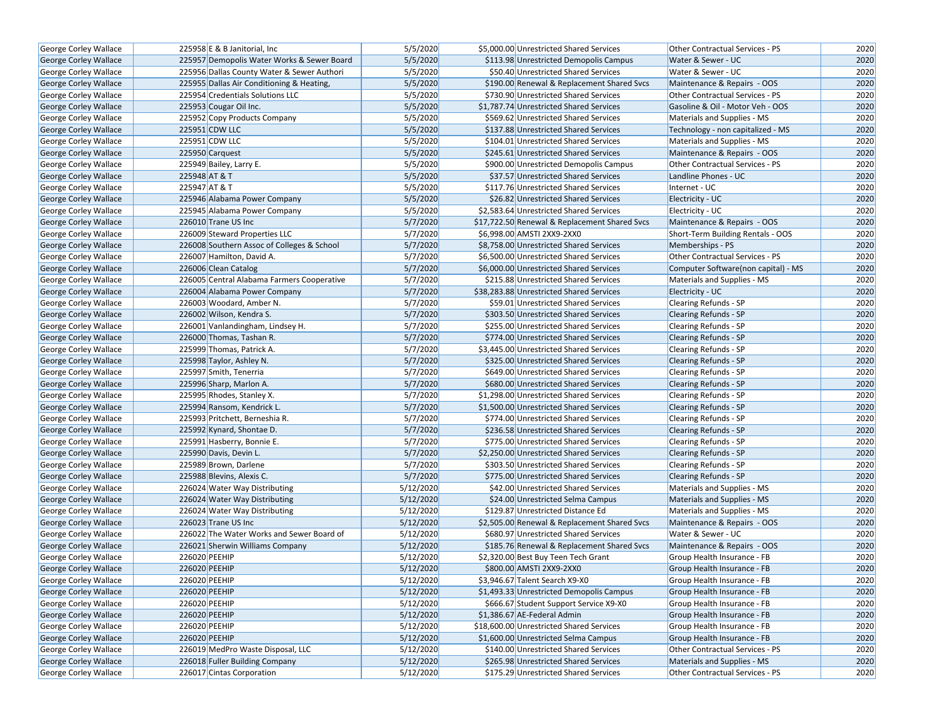| George Corley Wallace        | 225958 E & B Janitorial, Inc.              | 5/5/2020  | \$5,000.00 Unrestricted Shared Services       | <b>Other Contractual Services - PS</b> | 2020 |
|------------------------------|--------------------------------------------|-----------|-----------------------------------------------|----------------------------------------|------|
| <b>George Corley Wallace</b> | 225957 Demopolis Water Works & Sewer Board | 5/5/2020  | \$113.98 Unrestricted Demopolis Campus        | Water & Sewer - UC                     | 2020 |
| George Corley Wallace        | 225956 Dallas County Water & Sewer Authori | 5/5/2020  | \$50.40 Unrestricted Shared Services          | Water & Sewer - UC                     | 2020 |
| <b>George Corley Wallace</b> | 225955 Dallas Air Conditioning & Heating,  | 5/5/2020  | \$190.00 Renewal & Replacement Shared Svcs    | Maintenance & Repairs - OOS            | 2020 |
| George Corley Wallace        | 225954 Credentials Solutions LLC           | 5/5/2020  | \$730.90 Unrestricted Shared Services         | Other Contractual Services - PS        | 2020 |
| George Corley Wallace        | 225953 Cougar Oil Inc.                     | 5/5/2020  | \$1,787.74 Unrestricted Shared Services       | Gasoline & Oil - Motor Veh - OOS       | 2020 |
| George Corley Wallace        | 225952 Copy Products Company               | 5/5/2020  | \$569.62 Unrestricted Shared Services         | Materials and Supplies - MS            | 2020 |
| George Corley Wallace        | 225951 CDW LLC                             | 5/5/2020  | \$137.88 Unrestricted Shared Services         | Technology - non capitalized - MS      | 2020 |
| George Corley Wallace        | 225951 CDW LLC                             | 5/5/2020  | \$104.01 Unrestricted Shared Services         | Materials and Supplies - MS            | 2020 |
| George Corley Wallace        | 225950 Carquest                            | 5/5/2020  | \$245.61 Unrestricted Shared Services         | Maintenance & Repairs - OOS            | 2020 |
| George Corley Wallace        | 225949 Bailey, Larry E.                    | 5/5/2020  | \$900.00 Unrestricted Demopolis Campus        | Other Contractual Services - PS        | 2020 |
| George Corley Wallace        | 225948 AT & T                              | 5/5/2020  | \$37.57 Unrestricted Shared Services          | Landline Phones - UC                   | 2020 |
| George Corley Wallace        | 225947 AT & T                              | 5/5/2020  | \$117.76 Unrestricted Shared Services         | Internet - UC                          | 2020 |
| George Corley Wallace        | 225946 Alabama Power Company               | 5/5/2020  | \$26.82 Unrestricted Shared Services          | Electricity - UC                       | 2020 |
| <b>George Corley Wallace</b> | 225945 Alabama Power Company               | 5/5/2020  | \$2,583.64 Unrestricted Shared Services       | Electricity - UC                       | 2020 |
| George Corley Wallace        | 226010 Trane US Inc                        | 5/7/2020  | \$17,722.50 Renewal & Replacement Shared Svcs | Maintenance & Repairs - OOS            | 2020 |
| George Corley Wallace        | 226009 Steward Properties LLC              | 5/7/2020  | \$6,998.00 AMSTI 2XX9-2XX0                    | Short-Term Building Rentals - OOS      | 2020 |
| <b>George Corley Wallace</b> | 226008 Southern Assoc of Colleges & School | 5/7/2020  | \$8,758.00 Unrestricted Shared Services       | Memberships - PS                       | 2020 |
| George Corley Wallace        | 226007 Hamilton, David A.                  | 5/7/2020  | \$6,500.00 Unrestricted Shared Services       | Other Contractual Services - PS        | 2020 |
| George Corley Wallace        | 226006 Clean Catalog                       | 5/7/2020  | \$6,000.00 Unrestricted Shared Services       | Computer Software(non capital) - MS    | 2020 |
| <b>George Corley Wallace</b> | 226005 Central Alabama Farmers Cooperative | 5/7/2020  | \$215.88 Unrestricted Shared Services         | Materials and Supplies - MS            | 2020 |
| George Corley Wallace        | 226004 Alabama Power Company               | 5/7/2020  | \$38,283.88 Unrestricted Shared Services      | Electricity - UC                       | 2020 |
| <b>George Corley Wallace</b> | 226003 Woodard, Amber N.                   | 5/7/2020  | \$59.01 Unrestricted Shared Services          | Clearing Refunds - SP                  | 2020 |
| <b>George Corley Wallace</b> | 226002 Wilson, Kendra S.                   | 5/7/2020  | \$303.50 Unrestricted Shared Services         | <b>Clearing Refunds - SP</b>           | 2020 |
| George Corley Wallace        | 226001 Vanlandingham, Lindsey H.           | 5/7/2020  | \$255.00 Unrestricted Shared Services         | Clearing Refunds - SP                  | 2020 |
| George Corley Wallace        | 226000 Thomas, Tashan R.                   | 5/7/2020  | \$774.00 Unrestricted Shared Services         | <b>Clearing Refunds - SP</b>           | 2020 |
| George Corley Wallace        | 225999 Thomas, Patrick A.                  | 5/7/2020  | \$3,445.00 Unrestricted Shared Services       | Clearing Refunds - SP                  | 2020 |
| George Corley Wallace        | 225998 Taylor, Ashley N.                   | 5/7/2020  | \$325.00 Unrestricted Shared Services         | <b>Clearing Refunds - SP</b>           | 2020 |
| George Corley Wallace        | 225997 Smith, Tenerria                     | 5/7/2020  | \$649.00 Unrestricted Shared Services         | <b>Clearing Refunds - SP</b>           | 2020 |
| George Corley Wallace        | 225996 Sharp, Marlon A.                    | 5/7/2020  | \$680.00 Unrestricted Shared Services         | <b>Clearing Refunds - SP</b>           | 2020 |
| George Corley Wallace        | 225995 Rhodes, Stanley X.                  | 5/7/2020  | \$1,298.00 Unrestricted Shared Services       | Clearing Refunds - SP                  | 2020 |
| George Corley Wallace        | 225994 Ransom, Kendrick L.                 | 5/7/2020  | \$1,500.00 Unrestricted Shared Services       | <b>Clearing Refunds - SP</b>           | 2020 |
| George Corley Wallace        | 225993 Pritchett, Berneshia R.             | 5/7/2020  | \$774.00 Unrestricted Shared Services         | <b>Clearing Refunds - SP</b>           | 2020 |
| <b>George Corley Wallace</b> | 225992 Kynard, Shontae D.                  | 5/7/2020  | \$236.58 Unrestricted Shared Services         | <b>Clearing Refunds - SP</b>           | 2020 |
| George Corley Wallace        | 225991 Hasberry, Bonnie E.                 | 5/7/2020  | \$775.00 Unrestricted Shared Services         | <b>Clearing Refunds - SP</b>           | 2020 |
| George Corley Wallace        | 225990 Davis, Devin L.                     | 5/7/2020  | \$2,250.00 Unrestricted Shared Services       | <b>Clearing Refunds - SP</b>           | 2020 |
| George Corley Wallace        | 225989 Brown, Darlene                      | 5/7/2020  | \$303.50 Unrestricted Shared Services         | <b>Clearing Refunds - SP</b>           | 2020 |
| George Corley Wallace        | 225988 Blevins, Alexis C.                  | 5/7/2020  | \$775.00 Unrestricted Shared Services         | <b>Clearing Refunds - SP</b>           | 2020 |
| <b>George Corley Wallace</b> | 226024 Water Way Distributing              | 5/12/2020 | \$42.00 Unrestricted Shared Services          | Materials and Supplies - MS            | 2020 |
| George Corley Wallace        | 226024 Water Way Distributing              | 5/12/2020 | \$24.00 Unrestricted Selma Campus             | Materials and Supplies - MS            | 2020 |
| George Corley Wallace        | 226024 Water Way Distributing              | 5/12/2020 | \$129.87 Unrestricted Distance Ed             | Materials and Supplies - MS            | 2020 |
| George Corley Wallace        | 226023 Trane US Inc                        | 5/12/2020 | \$2,505.00 Renewal & Replacement Shared Svcs  | Maintenance & Repairs - OOS            | 2020 |
| George Corley Wallace        | 226022 The Water Works and Sewer Board of  | 5/12/2020 | \$680.97 Unrestricted Shared Services         | Water & Sewer - UC                     | 2020 |
| George Corley Wallace        | 226021 Sherwin Williams Company            | 5/12/2020 | \$185.76 Renewal & Replacement Shared Svcs    | Maintenance & Repairs - OOS            | 2020 |
| <b>George Corley Wallace</b> | 226020 PEEHIP                              | 5/12/2020 | \$2,320.00 Best Buy Teen Tech Grant           | Group Health Insurance - FB            | 2020 |
| <b>George Corley Wallace</b> | 226020 PEEHIP                              | 5/12/2020 | \$800.00 AMSTI 2XX9-2XX0                      | Group Health Insurance - FB            | 2020 |
| George Corley Wallace        | 226020 PEEHIP                              | 5/12/2020 | \$3,946.67 Talent Search X9-X0                | Group Health Insurance - FB            | 2020 |
| <b>George Corley Wallace</b> | 226020 PEEHIP                              | 5/12/2020 | \$1,493.33 Unrestricted Demopolis Campus      | Group Health Insurance - FB            | 2020 |
| George Corley Wallace        | 226020 PEEHIP                              | 5/12/2020 | \$666.67 Student Support Service X9-X0        | Group Health Insurance - FB            | 2020 |
| <b>George Corley Wallace</b> | 226020 PEEHIP                              | 5/12/2020 | \$1,386.67 AE-Federal Admin                   | Group Health Insurance - FB            | 2020 |
| George Corley Wallace        | 226020 PEEHIP                              | 5/12/2020 | \$18,600.00 Unrestricted Shared Services      | Group Health Insurance - FB            | 2020 |
| <b>George Corley Wallace</b> | 226020 PEEHIP                              | 5/12/2020 | \$1,600.00 Unrestricted Selma Campus          | Group Health Insurance - FB            | 2020 |
| George Corley Wallace        | 226019 MedPro Waste Disposal, LLC          | 5/12/2020 | \$140.00 Unrestricted Shared Services         | Other Contractual Services - PS        | 2020 |
| George Corley Wallace        | 226018 Fuller Building Company             | 5/12/2020 | \$265.98 Unrestricted Shared Services         | Materials and Supplies - MS            | 2020 |
| George Corley Wallace        | 226017 Cintas Corporation                  | 5/12/2020 | \$175.29 Unrestricted Shared Services         | Other Contractual Services - PS        | 2020 |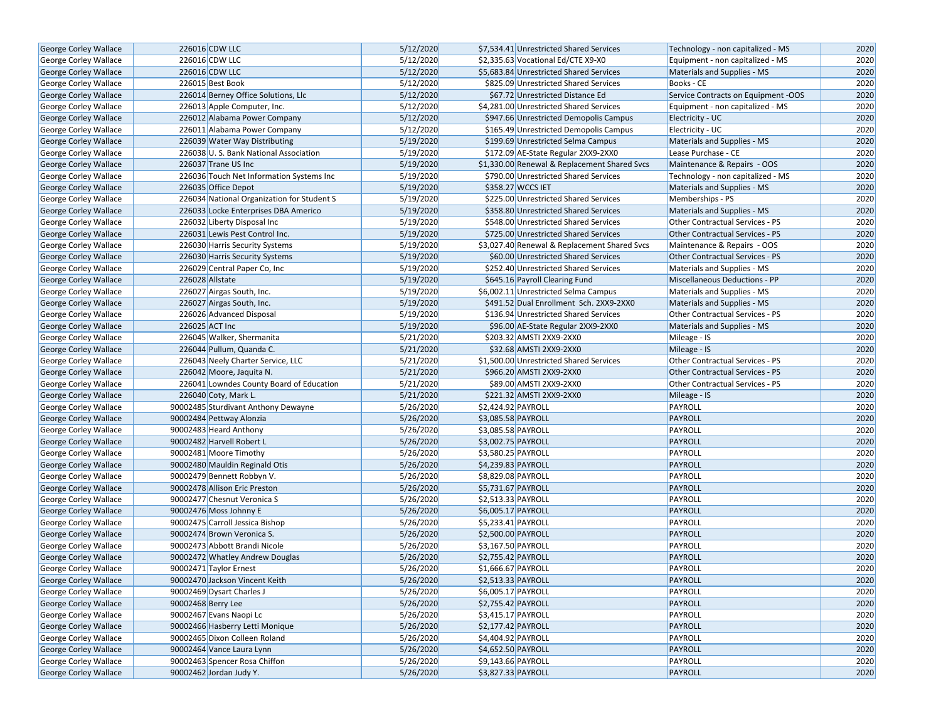| George Corley Wallace        | 226016 CDW LLC                             | 5/12/2020 | \$7,534.41 Unrestricted Shared Services      | Technology - non capitalized - MS      | 2020 |
|------------------------------|--------------------------------------------|-----------|----------------------------------------------|----------------------------------------|------|
| <b>George Corley Wallace</b> | 226016 CDW LLC                             | 5/12/2020 | \$2,335.63 Vocational Ed/CTE X9-X0           | Equipment - non capitalized - MS       | 2020 |
| George Corley Wallace        | 226016 CDW LLC                             | 5/12/2020 | \$5,683.84 Unrestricted Shared Services      | Materials and Supplies - MS            | 2020 |
| George Corley Wallace        | 226015 Best Book                           | 5/12/2020 | \$825.09 Unrestricted Shared Services        | Books - CE                             | 2020 |
| George Corley Wallace        | 226014 Berney Office Solutions, Llc        | 5/12/2020 | \$67.72 Unrestricted Distance Ed             | Service Contracts on Equipment -OOS    | 2020 |
| George Corley Wallace        | 226013 Apple Computer, Inc.                | 5/12/2020 | \$4,281.00 Unrestricted Shared Services      | Equipment - non capitalized - MS       | 2020 |
| <b>George Corley Wallace</b> | 226012 Alabama Power Company               | 5/12/2020 | \$947.66 Unrestricted Demopolis Campus       | Electricity - UC                       | 2020 |
| <b>George Corley Wallace</b> | 226011 Alabama Power Company               | 5/12/2020 | \$165.49 Unrestricted Demopolis Campus       | Electricity - UC                       | 2020 |
| <b>George Corley Wallace</b> | 226039 Water Way Distributing              | 5/19/2020 | \$199.69 Unrestricted Selma Campus           | Materials and Supplies - MS            | 2020 |
| George Corley Wallace        | 226038 U.S. Bank National Association      | 5/19/2020 | \$172.09 AE-State Regular 2XX9-2XX0          | Lease Purchase - CE                    | 2020 |
| George Corley Wallace        | 226037 Trane US Inc                        | 5/19/2020 | \$1,330.00 Renewal & Replacement Shared Svcs | Maintenance & Repairs - OOS            | 2020 |
| <b>George Corley Wallace</b> | 226036 Touch Net Information Systems Inc   | 5/19/2020 | \$790.00 Unrestricted Shared Services        | Technology - non capitalized - MS      | 2020 |
| <b>George Corley Wallace</b> | 226035 Office Depot                        | 5/19/2020 | \$358.27 WCCS IET                            | Materials and Supplies - MS            | 2020 |
| <b>George Corley Wallace</b> | 226034 National Organization for Student S | 5/19/2020 | \$225.00 Unrestricted Shared Services        | Memberships - PS                       | 2020 |
| <b>George Corley Wallace</b> | 226033 Locke Enterprises DBA Americo       | 5/19/2020 | \$358.80 Unrestricted Shared Services        | Materials and Supplies - MS            | 2020 |
| George Corley Wallace        | 226032 Liberty Disposal Inc                | 5/19/2020 | \$548.00 Unrestricted Shared Services        | Other Contractual Services - PS        | 2020 |
| George Corley Wallace        | 226031 Lewis Pest Control Inc.             | 5/19/2020 | \$725.00 Unrestricted Shared Services        | <b>Other Contractual Services - PS</b> | 2020 |
| George Corley Wallace        | 226030 Harris Security Systems             | 5/19/2020 | \$3,027.40 Renewal & Replacement Shared Svcs | Maintenance & Repairs - OOS            | 2020 |
| George Corley Wallace        | 226030 Harris Security Systems             | 5/19/2020 | \$60.00 Unrestricted Shared Services         | Other Contractual Services - PS        | 2020 |
| George Corley Wallace        | 226029 Central Paper Co, Inc               | 5/19/2020 | \$252.40 Unrestricted Shared Services        | Materials and Supplies - MS            | 2020 |
| <b>George Corley Wallace</b> | 226028 Allstate                            | 5/19/2020 | \$645.16 Payroll Clearing Fund               | Miscellaneous Deductions - PP          | 2020 |
| George Corley Wallace        | 226027 Airgas South, Inc.                  | 5/19/2020 | \$6,002.11 Unrestricted Selma Campus         | Materials and Supplies - MS            | 2020 |
| George Corley Wallace        | 226027 Airgas South, Inc.                  | 5/19/2020 | \$491.52 Dual Enrollment Sch. 2XX9-2XX0      | Materials and Supplies - MS            | 2020 |
| George Corley Wallace        | 226026 Advanced Disposal                   | 5/19/2020 | \$136.94 Unrestricted Shared Services        | Other Contractual Services - PS        | 2020 |
| <b>George Corley Wallace</b> | 226025 ACT Inc                             | 5/19/2020 | \$96.00 AE-State Regular 2XX9-2XX0           | Materials and Supplies - MS            | 2020 |
| George Corley Wallace        | 226045 Walker, Shermanita                  | 5/21/2020 | \$203.32 AMSTI 2XX9-2XX0                     | Mileage - IS                           | 2020 |
| <b>George Corley Wallace</b> | 226044 Pullum, Quanda C.                   | 5/21/2020 | \$32.68 AMSTI 2XX9-2XX0                      | Mileage - IS                           | 2020 |
| George Corley Wallace        | 226043 Neely Charter Service, LLC          | 5/21/2020 | \$1,500.00 Unrestricted Shared Services      | Other Contractual Services - PS        | 2020 |
| George Corley Wallace        | 226042 Moore, Jaquita N.                   | 5/21/2020 | \$966.20 AMSTI 2XX9-2XX0                     | <b>Other Contractual Services - PS</b> | 2020 |
| George Corley Wallace        | 226041 Lowndes County Board of Education   | 5/21/2020 | \$89.00 AMSTI 2XX9-2XX0                      | Other Contractual Services - PS        | 2020 |
| George Corley Wallace        | 226040 Coty, Mark L.                       | 5/21/2020 | \$221.32 AMSTI 2XX9-2XX0                     | Mileage - IS                           | 2020 |
| George Corley Wallace        | 90002485 Sturdivant Anthony Dewayne        | 5/26/2020 | \$2,424.92 PAYROLL                           | PAYROLL                                | 2020 |
| George Corley Wallace        | 90002484 Pettway Alonzia                   | 5/26/2020 | \$3,085.58 PAYROLL                           | PAYROLL                                | 2020 |
| George Corley Wallace        | 90002483 Heard Anthony                     | 5/26/2020 | \$3,085.58 PAYROLL                           | PAYROLL                                | 2020 |
| George Corley Wallace        | 90002482 Harvell Robert L                  | 5/26/2020 | \$3,002.75 PAYROLL                           | PAYROLL                                | 2020 |
| <b>George Corley Wallace</b> | 90002481 Moore Timothy                     | 5/26/2020 | \$3,580.25 PAYROLL                           | PAYROLL                                | 2020 |
| <b>George Corley Wallace</b> | 90002480 Mauldin Reginald Otis             | 5/26/2020 | \$4,239.83 PAYROLL                           | PAYROLL                                | 2020 |
| George Corley Wallace        | 90002479 Bennett Robbyn V.                 | 5/26/2020 | \$8,829.08 PAYROLL                           | PAYROLL                                | 2020 |
| George Corley Wallace        | 90002478 Allison Eric Preston              | 5/26/2020 | \$5,731.67 PAYROLL                           | PAYROLL                                | 2020 |
| <b>George Corley Wallace</b> | 90002477 Chesnut Veronica S                | 5/26/2020 | \$2,513.33 PAYROLL                           | PAYROLL                                | 2020 |
| George Corley Wallace        | 90002476 Moss Johnny E                     | 5/26/2020 | \$6,005.17 PAYROLL                           | PAYROLL                                | 2020 |
| George Corley Wallace        | 90002475 Carroll Jessica Bishop            | 5/26/2020 | \$5,233.41 PAYROLL                           | PAYROLL                                | 2020 |
| George Corley Wallace        | 90002474 Brown Veronica S.                 | 5/26/2020 | \$2,500.00 PAYROLL                           | PAYROLL                                | 2020 |
| George Corley Wallace        | 90002473 Abbott Brandi Nicole              | 5/26/2020 | \$3,167.50 PAYROLL                           | PAYROLL                                | 2020 |
| <b>George Corley Wallace</b> | 90002472 Whatley Andrew Douglas            | 5/26/2020 | \$2,755.42 PAYROLL                           | PAYROLL                                | 2020 |
| George Corley Wallace        | 90002471 Taylor Ernest                     | 5/26/2020 | \$1,666.67 PAYROLL                           | PAYROLL                                | 2020 |
| George Corley Wallace        | 90002470 Jackson Vincent Keith             | 5/26/2020 | \$2,513.33 PAYROLL                           | PAYROLL                                | 2020 |
| George Corley Wallace        | 90002469 Dysart Charles J                  | 5/26/2020 | \$6,005.17 PAYROLL                           | PAYROLL                                | 2020 |
| George Corley Wallace        | 90002468 Berry Lee                         | 5/26/2020 | \$2,755.42 PAYROLL                           | <b>PAYROLL</b>                         | 2020 |
| <b>George Corley Wallace</b> | 90002467 Evans Naopi Lc                    | 5/26/2020 | \$3,415.17 PAYROLL                           | PAYROLL                                | 2020 |
| George Corley Wallace        | 90002466 Hasberry Letti Monique            | 5/26/2020 | \$2,177.42 PAYROLL                           | PAYROLL                                | 2020 |
| <b>George Corley Wallace</b> | 90002465 Dixon Colleen Roland              | 5/26/2020 | \$4,404.92 PAYROLL                           | PAYROLL                                | 2020 |
| George Corley Wallace        | 90002464 Vance Laura Lynn                  | 5/26/2020 | \$4,652.50 PAYROLL                           | PAYROLL                                | 2020 |
| George Corley Wallace        | 90002463 Spencer Rosa Chiffon              | 5/26/2020 | \$9,143.66 PAYROLL                           | PAYROLL                                | 2020 |
| George Corley Wallace        | 90002462 Jordan Judy Y.                    | 5/26/2020 | \$3,827.33 PAYROLL                           | <b>PAYROLL</b>                         | 2020 |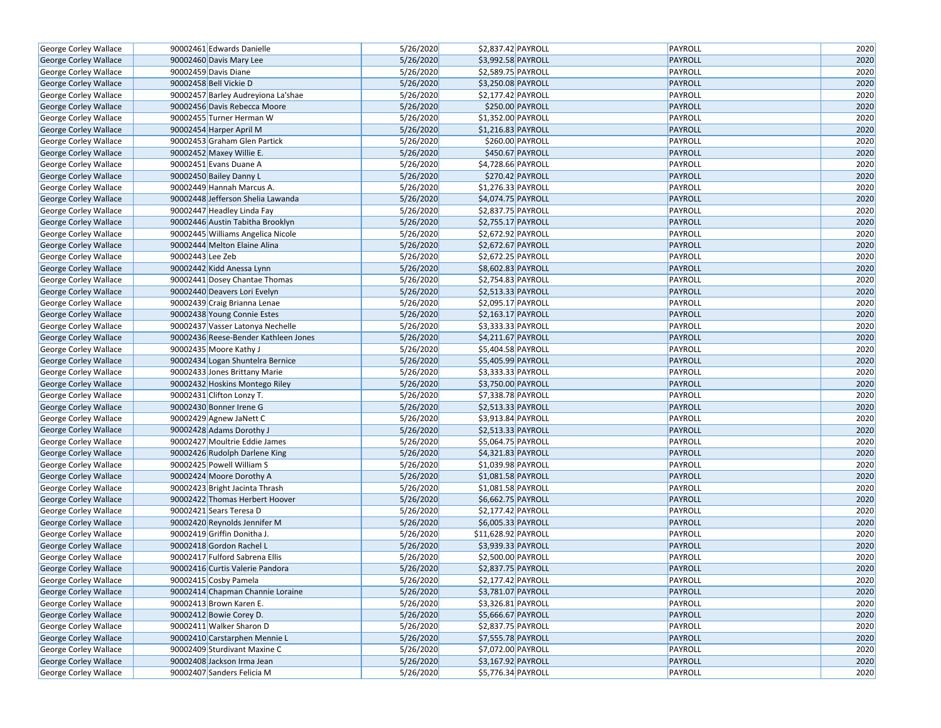| George Corley Wallace        |                  | 90002461 Edwards Danielle            | 5/26/2020 | \$2,837.42 PAYROLL                | PAYROLL        | 2020 |
|------------------------------|------------------|--------------------------------------|-----------|-----------------------------------|----------------|------|
| George Corley Wallace        |                  | 90002460 Davis Mary Lee              | 5/26/2020 | \$3,992.58 PAYROLL                | PAYROLL        | 2020 |
| George Corley Wallace        |                  | 90002459 Davis Diane                 | 5/26/2020 | \$2,589.75 PAYROLL                | PAYROLL        | 2020 |
| <b>George Corley Wallace</b> |                  | 90002458 Bell Vickie D               | 5/26/2020 | \$3,250.08 PAYROLL                | PAYROLL        | 2020 |
| George Corley Wallace        |                  | 90002457 Barley Audreyiona La'shae   | 5/26/2020 | \$2,177.42 PAYROLL                | PAYROLL        | 2020 |
| George Corley Wallace        |                  | 90002456 Davis Rebecca Moore         | 5/26/2020 | \$250.00 PAYROLL                  | PAYROLL        | 2020 |
| George Corley Wallace        |                  | 90002455 Turner Herman W             | 5/26/2020 | \$1,352.00 PAYROLL                | <b>PAYROLL</b> | 2020 |
| <b>George Corley Wallace</b> |                  | 90002454 Harper April M              | 5/26/2020 | \$1,216.83 PAYROLL                | PAYROLL        | 2020 |
| George Corley Wallace        |                  | 90002453 Graham Glen Partick         | 5/26/2020 | \$260.00 PAYROLL                  | PAYROLL        | 2020 |
| George Corley Wallace        |                  | 90002452 Maxey Willie E.             | 5/26/2020 | \$450.67 PAYROLL                  | PAYROLL        | 2020 |
| George Corley Wallace        |                  | 90002451 Evans Duane A               | 5/26/2020 | \$4,728.66 PAYROLL                | PAYROLL        | 2020 |
| George Corley Wallace        |                  | 90002450 Bailey Danny L              | 5/26/2020 | \$270.42 PAYROLL                  | PAYROLL        | 2020 |
| George Corley Wallace        |                  | 90002449 Hannah Marcus A.            | 5/26/2020 | \$1,276.33 PAYROLL                | PAYROLL        | 2020 |
| George Corley Wallace        |                  | 90002448 Jefferson Shelia Lawanda    | 5/26/2020 | \$4,074.75 PAYROLL                | PAYROLL        | 2020 |
| George Corley Wallace        |                  | 90002447 Headley Linda Fay           | 5/26/2020 | \$2,837.75 PAYROLL                | PAYROLL        | 2020 |
| George Corley Wallace        |                  | 90002446 Austin Tabitha Brooklyn     | 5/26/2020 | \$2,755.17 PAYROLL                | PAYROLL        | 2020 |
| George Corley Wallace        |                  | 90002445 Williams Angelica Nicole    | 5/26/2020 | \$2,672.92 PAYROLL                | PAYROLL        | 2020 |
| George Corley Wallace        |                  | 90002444 Melton Elaine Alina         | 5/26/2020 | \$2,672.67 PAYROLL                | PAYROLL        | 2020 |
| George Corley Wallace        | 90002443 Lee Zeb |                                      | 5/26/2020 | $\overline{$}$ \$2,672.25 PAYROLL | PAYROLL        | 2020 |
| George Corley Wallace        |                  | 90002442 Kidd Anessa Lynn            | 5/26/2020 | \$8,602.83 PAYROLL                | PAYROLL        | 2020 |
| <b>George Corley Wallace</b> |                  | 90002441 Dosey Chantae Thomas        | 5/26/2020 | \$2,754.83 PAYROLL                | PAYROLL        | 2020 |
| George Corley Wallace        |                  | 90002440 Deavers Lori Evelyn         | 5/26/2020 | \$2,513.33 PAYROLL                | PAYROLL        | 2020 |
| George Corley Wallace        |                  | 90002439 Craig Brianna Lenae         | 5/26/2020 | \$2,095.17 PAYROLL                | PAYROLL        | 2020 |
| George Corley Wallace        |                  | 90002438 Young Connie Estes          | 5/26/2020 | \$2,163.17 PAYROLL                | PAYROLL        | 2020 |
| George Corley Wallace        |                  | 90002437 Vasser Latonya Nechelle     | 5/26/2020 | \$3,333.33 PAYROLL                | PAYROLL        | 2020 |
| George Corley Wallace        |                  | 90002436 Reese-Bender Kathleen Jones | 5/26/2020 | \$4,211.67 PAYROLL                | PAYROLL        | 2020 |
| George Corley Wallace        |                  | 90002435 Moore Kathy J               | 5/26/2020 | \$5,404.58 PAYROLL                | PAYROLL        | 2020 |
| George Corley Wallace        |                  | 90002434 Logan Shuntelra Bernice     | 5/26/2020 | \$5,405.99 PAYROLL                | PAYROLL        | 2020 |
| <b>George Corley Wallace</b> |                  | 90002433 Jones Brittany Marie        | 5/26/2020 | \$3,333.33 PAYROLL                | PAYROLL        | 2020 |
| George Corley Wallace        |                  | 90002432 Hoskins Montego Riley       | 5/26/2020 | \$3,750.00 PAYROLL                | PAYROLL        | 2020 |
| George Corley Wallace        |                  | 90002431 Clifton Lonzy T.            | 5/26/2020 | $57,338.78$ PAYROLL               | PAYROLL        | 2020 |
| George Corley Wallace        |                  | 90002430 Bonner Irene G              | 5/26/2020 | \$2,513.33 PAYROLL                | PAYROLL        | 2020 |
| George Corley Wallace        |                  | 90002429 Agnew JaNett C              | 5/26/2020 | \$3,913.84 PAYROLL                | PAYROLL        | 2020 |
| George Corley Wallace        |                  | 90002428 Adams Dorothy J             | 5/26/2020 | \$2,513.33 PAYROLL                | PAYROLL        | 2020 |
| George Corley Wallace        |                  | 90002427 Moultrie Eddie James        | 5/26/2020 | \$5,064.75 PAYROLL                | PAYROLL        | 2020 |
| George Corley Wallace        |                  | 90002426 Rudolph Darlene King        | 5/26/2020 | \$4,321.83 PAYROLL                | PAYROLL        | 2020 |
| George Corley Wallace        |                  | 90002425 Powell William S            | 5/26/2020 | \$1,039.98 PAYROLL                | PAYROLL        | 2020 |
| George Corley Wallace        |                  | 90002424 Moore Dorothy A             | 5/26/2020 | \$1,081.58 PAYROLL                | PAYROLL        | 2020 |
| George Corley Wallace        |                  | 90002423 Bright Jacinta Thrash       | 5/26/2020 | \$1,081.58 PAYROLL                | PAYROLL        | 2020 |
| George Corley Wallace        |                  | 90002422 Thomas Herbert Hoover       | 5/26/2020 | \$6,662.75 PAYROLL                | PAYROLL        | 2020 |
| George Corley Wallace        |                  | 90002421 Sears Teresa D              | 5/26/2020 | $\overline{$2,177.42}$ PAYROLL    | PAYROLL        | 2020 |
| George Corley Wallace        |                  | 90002420 Reynolds Jennifer M         | 5/26/2020 | \$6,005.33 PAYROLL                | PAYROLL        | 2020 |
| George Corley Wallace        |                  | 90002419 Griffin Donitha J.          | 5/26/2020 | \$11,628.92 PAYROLL               | PAYROLL        | 2020 |
| George Corley Wallace        |                  | 90002418 Gordon Rachel L             | 5/26/2020 | \$3,939.33 PAYROLL                | PAYROLL        | 2020 |
| George Corley Wallace        |                  | 90002417 Fulford Sabrena Ellis       | 5/26/2020 | \$2,500.00 PAYROLL                | PAYROLL        | 2020 |
| George Corley Wallace        |                  | 90002416 Curtis Valerie Pandora      | 5/26/2020 | \$2,837.75 PAYROLL                | PAYROLL        | 2020 |
| <b>George Corley Wallace</b> |                  | 90002415 Cosby Pamela                | 5/26/2020 | \$2,177.42 PAYROLL                | PAYROLL        | 2020 |
| George Corley Wallace        |                  | 90002414 Chapman Channie Loraine     | 5/26/2020 | \$3,781.07 PAYROLL                | PAYROLL        | 2020 |
| George Corley Wallace        |                  | 90002413 Brown Karen E.              | 5/26/2020 | \$3,326.81 PAYROLL                | PAYROLL        | 2020 |
| George Corley Wallace        |                  | 90002412 Bowie Corey D.              | 5/26/2020 | \$5,666.67 PAYROLL                | PAYROLL        | 2020 |
| George Corley Wallace        |                  | 90002411 Walker Sharon D             | 5/26/2020 | \$2,837.75 PAYROLL                | PAYROLL        | 2020 |
| George Corley Wallace        |                  | 90002410 Carstarphen Mennie L        | 5/26/2020 | \$7,555.78 PAYROLL                | PAYROLL        | 2020 |
| George Corley Wallace        |                  | 90002409 Sturdivant Maxine C         | 5/26/2020 | \$7,072.00 PAYROLL                | PAYROLL        | 2020 |
| George Corley Wallace        |                  | 90002408 Jackson Irma Jean           | 5/26/2020 | \$3,167.92 PAYROLL                | PAYROLL        | 2020 |
| George Corley Wallace        |                  | 90002407 Sanders Felicia M           | 5/26/2020 | \$5,776.34 PAYROLL                | PAYROLL        | 2020 |
|                              |                  |                                      |           |                                   |                |      |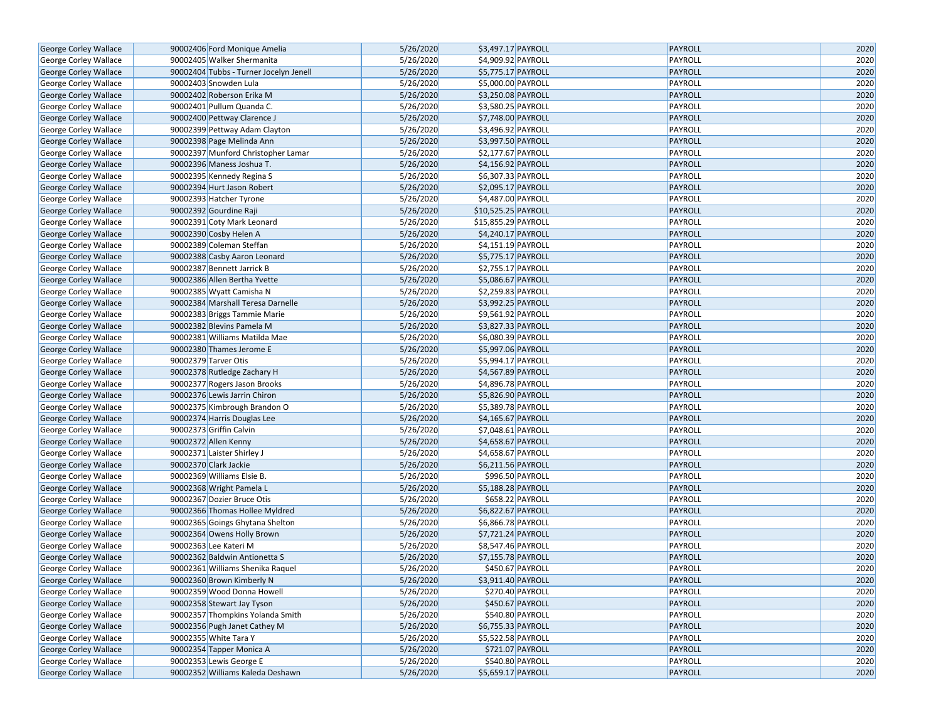| George Corley Wallace        |                                                    | 90002406 Ford Monique Amelia                                      | 5/26/2020              | \$3,497.17 PAYROLL                       | <b>PAYROLL</b>            | 2020         |
|------------------------------|----------------------------------------------------|-------------------------------------------------------------------|------------------------|------------------------------------------|---------------------------|--------------|
| George Corley Wallace        |                                                    | 90002405 Walker Shermanita                                        | 5/26/2020              | \$4,909.92 PAYROLL                       | PAYROLL                   | 2020         |
| George Corley Wallace        |                                                    | 90002404 Tubbs - Turner Jocelyn Jenell                            | 5/26/2020              | \$5,775.17 PAYROLL                       | PAYROLL                   | 2020         |
| George Corley Wallace        | 90002403 Snowden Lula                              |                                                                   | 5/26/2020              | \$5,000.00 PAYROLL                       | PAYROLL                   | 2020         |
| George Corley Wallace        |                                                    | 90002402 Roberson Erika M                                         | 5/26/2020              | \$3,250.08 PAYROLL                       | PAYROLL                   | 2020         |
| George Corley Wallace        |                                                    | 90002401 Pullum Quanda C.                                         | 5/26/2020              | \$3,580.25 PAYROLL                       | PAYROLL                   | 2020         |
| George Corley Wallace        |                                                    | 90002400 Pettway Clarence J                                       | 5/26/2020              | \$7,748.00 PAYROLL                       | PAYROLL                   | 2020         |
| George Corley Wallace        |                                                    | 90002399 Pettway Adam Clayton                                     | 5/26/2020              | \$3,496.92 PAYROLL                       | PAYROLL                   | 2020         |
| George Corley Wallace        |                                                    | 90002398 Page Melinda Ann                                         | 5/26/2020              | \$3,997.50 PAYROLL                       | PAYROLL                   | 2020         |
| George Corley Wallace        |                                                    | 90002397 Munford Christopher Lamar                                | 5/26/2020              | \$2,177.67 PAYROLL                       | PAYROLL                   | 2020         |
| George Corley Wallace        |                                                    | 90002396 Maness Joshua T.                                         | 5/26/2020              | \$4,156.92 PAYROLL                       | PAYROLL                   | 2020         |
| George Corley Wallace        |                                                    | 90002395 Kennedy Regina S                                         | 5/26/2020              | \$6,307.33 PAYROLL                       | PAYROLL                   | 2020         |
| George Corley Wallace        |                                                    | 90002394 Hurt Jason Robert                                        | 5/26/2020              | \$2,095.17 PAYROLL                       | PAYROLL                   | 2020         |
| George Corley Wallace        |                                                    | 90002393 Hatcher Tyrone                                           | 5/26/2020              | \$4,487.00 PAYROLL                       | PAYROLL                   | 2020         |
| George Corley Wallace        | 90002392 Gourdine Raji                             |                                                                   | 5/26/2020              | \$10,525.25 PAYROLL                      | PAYROLL                   | 2020         |
| George Corley Wallace        |                                                    | 90002391 Coty Mark Leonard                                        | 5/26/2020              | \$15,855.29 PAYROLL                      | PAYROLL                   | 2020         |
| George Corley Wallace        | 90002390 Cosby Helen A                             |                                                                   | 5/26/2020              | \$4,240.17 PAYROLL                       | PAYROLL                   | 2020         |
| George Corley Wallace        |                                                    | 90002389 Coleman Steffan                                          | 5/26/2020              | \$4,151.19 PAYROLL                       | PAYROLL                   | 2020         |
| George Corley Wallace        |                                                    | 90002388 Casby Aaron Leonard                                      | 5/26/2020              | \$5,775.17 PAYROLL                       | PAYROLL                   | 2020         |
| George Corley Wallace        |                                                    | 90002387 Bennett Jarrick B                                        | 5/26/2020              | \$2,755.17 PAYROLL                       | PAYROLL                   | 2020         |
| George Corley Wallace        |                                                    | 90002386 Allen Bertha Yvette                                      | 5/26/2020              | \$5,086.67 PAYROLL                       | PAYROLL                   | 2020         |
| George Corley Wallace        |                                                    | 90002385 Wyatt Camisha N                                          | 5/26/2020              | \$2,259.83 PAYROLL                       | PAYROLL                   | 2020         |
| George Corley Wallace        |                                                    | 90002384 Marshall Teresa Darnelle                                 | 5/26/2020              | \$3,992.25 PAYROLL                       | PAYROLL                   | 2020         |
| George Corley Wallace        |                                                    | 90002383 Briggs Tammie Marie                                      | 5/26/2020              | \$9,561.92 PAYROLL                       | PAYROLL                   | 2020         |
| George Corley Wallace        |                                                    | 90002382 Blevins Pamela M                                         | 5/26/2020              | \$3,827.33 PAYROLL                       | PAYROLL                   | 2020         |
|                              |                                                    | 90002381 Williams Matilda Mae                                     | 5/26/2020              | \$6,080.39 PAYROLL                       | PAYROLL                   | 2020         |
| George Corley Wallace        |                                                    | 90002380 Thames Jerome E                                          | 5/26/2020              | \$5,997.06 PAYROLL                       | PAYROLL                   | 2020         |
| George Corley Wallace        |                                                    |                                                                   |                        | \$5,994.17 PAYROLL                       | PAYROLL                   | 2020         |
| George Corley Wallace        | 90002379 Tarver Otis                               |                                                                   | 5/26/2020              |                                          |                           |              |
| George Corley Wallace        |                                                    | 90002378 Rutledge Zachary H                                       | 5/26/2020              | \$4,567.89 PAYROLL                       | PAYROLL                   | 2020         |
| George Corley Wallace        |                                                    | 90002377 Rogers Jason Brooks                                      | 5/26/2020              | \$4,896.78 PAYROLL                       | PAYROLL                   | 2020         |
| George Corley Wallace        |                                                    | 90002376 Lewis Jarrin Chiron                                      | 5/26/2020              | \$5,826.90 PAYROLL                       | PAYROLL                   | 2020         |
| George Corley Wallace        |                                                    | 90002375 Kimbrough Brandon O                                      | 5/26/2020              | \$5,389.78 PAYROLL                       | PAYROLL                   | 2020         |
| George Corley Wallace        |                                                    | 90002374 Harris Douglas Lee                                       | 5/26/2020              | \$4,165.67 PAYROLL                       | PAYROLL                   | 2020         |
| George Corley Wallace        | 90002373 Griffin Calvin                            |                                                                   | 5/26/2020<br>5/26/2020 | \$7,048.61 PAYROLL                       | PAYROLL                   | 2020<br>2020 |
| George Corley Wallace        | 90002372 Allen Kenny<br>90002371 Laister Shirley J |                                                                   | 5/26/2020              | \$4,658.67 PAYROLL<br>\$4,658.67 PAYROLL | PAYROLL<br>PAYROLL        | 2020         |
| George Corley Wallace        |                                                    |                                                                   | 5/26/2020              |                                          | PAYROLL                   | 2020         |
| <b>George Corley Wallace</b> | 90002370 Clark Jackie                              |                                                                   | 5/26/2020              | \$6,211.56 PAYROLL<br>\$996.50 PAYROLL   | PAYROLL                   | 2020         |
| George Corley Wallace        |                                                    | 90002369 Williams Elsie B.                                        |                        |                                          |                           |              |
| George Corley Wallace        |                                                    | 90002368 Wright Pamela L                                          | 5/26/2020              | \$5,188.28 PAYROLL                       | PAYROLL                   | 2020         |
| George Corley Wallace        |                                                    | 90002367 Dozier Bruce Otis                                        | 5/26/2020              | \$658.22 PAYROLL                         | PAYROLL                   | 2020         |
| <b>George Corley Wallace</b> |                                                    | 90002366 Thomas Hollee Myldred<br>90002365 Goings Ghytana Shelton | 5/26/2020<br>5/26/2020 | \$6,822.67 PAYROLL                       | PAYROLL<br>PAYROLL        | 2020<br>2020 |
| George Corley Wallace        |                                                    |                                                                   |                        | \$6,866.78 PAYROLL                       |                           |              |
| George Corley Wallace        |                                                    | 90002364 Owens Holly Brown                                        | 5/26/2020              | \$7,721.24 PAYROLL                       | PAYROLL<br><b>PAYROLL</b> | 2020         |
| George Corley Wallace        | 90002363 Lee Kateri M                              |                                                                   | 5/26/2020              | \$8,547.46 PAYROLL                       |                           | 2020         |
| <b>George Corley Wallace</b> |                                                    | 90002362 Baldwin Antionetta S                                     | 5/26/2020              | \$7,155.78 PAYROLL                       | PAYROLL                   | 2020         |
| George Corley Wallace        |                                                    | 90002361 Williams Shenika Raquel                                  | 5/26/2020              | \$450.67 PAYROLL                         | PAYROLL                   | 2020         |
| George Corley Wallace        |                                                    | 90002360 Brown Kimberly N                                         | 5/26/2020              | \$3,911.40 PAYROLL                       | PAYROLL                   | 2020         |
| George Corley Wallace        |                                                    | 90002359 Wood Donna Howell                                        | 5/26/2020              | \$270.40 PAYROLL                         | PAYROLL                   | 2020         |
| George Corley Wallace        |                                                    | 90002358 Stewart Jay Tyson                                        | 5/26/2020              | \$450.67 PAYROLL                         | PAYROLL                   | 2020         |
| George Corley Wallace        |                                                    | 90002357 Thompkins Yolanda Smith                                  | 5/26/2020              | \$540.80 PAYROLL                         | PAYROLL                   | 2020         |
| George Corley Wallace        |                                                    | 90002356 Pugh Janet Cathey M                                      | 5/26/2020              | \$6,755.33 PAYROLL                       | PAYROLL                   | 2020         |
| George Corley Wallace        | 90002355 White Tara Y                              |                                                                   | 5/26/2020              | \$5,522.58 PAYROLL                       | PAYROLL                   | 2020         |
| George Corley Wallace        |                                                    | 90002354 Tapper Monica A                                          | 5/26/2020              | \$721.07 PAYROLL                         | PAYROLL                   | 2020         |
| George Corley Wallace        | 90002353 Lewis George E                            |                                                                   | 5/26/2020              | \$540.80 PAYROLL                         | PAYROLL                   | 2020         |
| George Corley Wallace        |                                                    | 90002352 Williams Kaleda Deshawn                                  | 5/26/2020              | \$5,659.17 PAYROLL                       | PAYROLL                   | 2020         |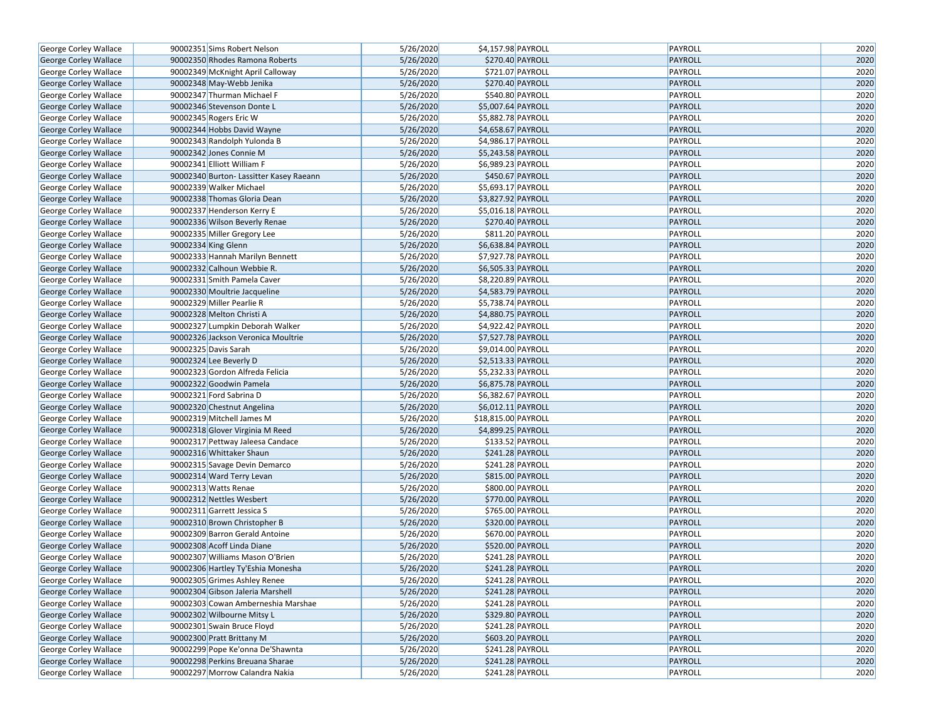| George Corley Wallace        | 90002351 Sims Robert Nelson             | 5/26/2020 | \$4,157.98 PAYROLL  | PAYROLL        | 2020 |
|------------------------------|-----------------------------------------|-----------|---------------------|----------------|------|
| George Corley Wallace        | 90002350 Rhodes Ramona Roberts          | 5/26/2020 | \$270.40 PAYROLL    | <b>PAYROLL</b> | 2020 |
| George Corley Wallace        | 90002349 McKnight April Calloway        | 5/26/2020 | \$721.07 PAYROLL    | PAYROLL        | 2020 |
| George Corley Wallace        | 90002348 May-Webb Jenika                | 5/26/2020 | \$270.40 PAYROLL    | <b>PAYROLL</b> | 2020 |
| George Corley Wallace        | 90002347 Thurman Michael F              | 5/26/2020 | \$540.80 PAYROLL    | PAYROLL        | 2020 |
| George Corley Wallace        | 90002346 Stevenson Donte L              | 5/26/2020 | \$5,007.64 PAYROLL  | <b>PAYROLL</b> | 2020 |
| George Corley Wallace        | 90002345 Rogers Eric W                  | 5/26/2020 | \$5,882.78 PAYROLL  | PAYROLL        | 2020 |
| George Corley Wallace        | 90002344 Hobbs David Wayne              | 5/26/2020 | \$4,658.67 PAYROLL  | <b>PAYROLL</b> | 2020 |
| George Corley Wallace        | 90002343 Randolph Yulonda B             | 5/26/2020 | \$4,986.17 PAYROLL  | PAYROLL        | 2020 |
| George Corley Wallace        | 90002342 Jones Connie M                 | 5/26/2020 | \$5,243.58 PAYROLL  | <b>PAYROLL</b> | 2020 |
| George Corley Wallace        | 90002341 Elliott William F              | 5/26/2020 | \$6,989.23 PAYROLL  | PAYROLL        | 2020 |
| George Corley Wallace        | 90002340 Burton- Lassitter Kasey Raeann | 5/26/2020 | \$450.67 PAYROLL    | PAYROLL        | 2020 |
| George Corley Wallace        | 90002339 Walker Michael                 | 5/26/2020 | \$5,693.17 PAYROLL  | PAYROLL        | 2020 |
| George Corley Wallace        | 90002338 Thomas Gloria Dean             | 5/26/2020 | \$3,827.92 PAYROLL  | <b>PAYROLL</b> | 2020 |
| George Corley Wallace        | 90002337 Henderson Kerry E              | 5/26/2020 | \$5,016.18 PAYROLL  | PAYROLL        | 2020 |
| George Corley Wallace        | 90002336 Wilson Beverly Renae           | 5/26/2020 | \$270.40 PAYROLL    | <b>PAYROLL</b> | 2020 |
| George Corley Wallace        | 90002335 Miller Gregory Lee             | 5/26/2020 | \$811.20 PAYROLL    | PAYROLL        | 2020 |
| George Corley Wallace        | 90002334 King Glenn                     | 5/26/2020 | \$6,638.84 PAYROLL  | <b>PAYROLL</b> | 2020 |
| George Corley Wallace        | 90002333 Hannah Marilyn Bennett         | 5/26/2020 | \$7,927.78 PAYROLL  | PAYROLL        | 2020 |
| George Corley Wallace        | 90002332 Calhoun Webbie R.              | 5/26/2020 | \$6,505.33 PAYROLL  | PAYROLL        | 2020 |
| George Corley Wallace        | 90002331 Smith Pamela Caver             | 5/26/2020 | \$8,220.89 PAYROLL  | PAYROLL        | 2020 |
| George Corley Wallace        | 90002330 Moultrie Jacqueline            | 5/26/2020 | \$4,583.79 PAYROLL  | <b>PAYROLL</b> | 2020 |
| George Corley Wallace        | 90002329 Miller Pearlie R               | 5/26/2020 | \$5,738.74 PAYROLL  | PAYROLL        | 2020 |
| George Corley Wallace        | 90002328 Melton Christi A               | 5/26/2020 | \$4,880.75 PAYROLL  | <b>PAYROLL</b> | 2020 |
| George Corley Wallace        | 90002327 Lumpkin Deborah Walker         | 5/26/2020 | \$4,922.42 PAYROLL  | PAYROLL        | 2020 |
| George Corley Wallace        | 90002326 Jackson Veronica Moultrie      | 5/26/2020 | \$7,527.78 PAYROLL  | <b>PAYROLL</b> | 2020 |
| George Corley Wallace        | 90002325 Davis Sarah                    | 5/26/2020 | \$9,014.00 PAYROLL  | PAYROLL        | 2020 |
| George Corley Wallace        | 90002324 Lee Beverly D                  | 5/26/2020 | \$2,513.33 PAYROLL  | <b>PAYROLL</b> | 2020 |
| George Corley Wallace        | 90002323 Gordon Alfreda Felicia         | 5/26/2020 | \$5,232.33 PAYROLL  | PAYROLL        | 2020 |
| George Corley Wallace        | 90002322 Goodwin Pamela                 | 5/26/2020 | \$6,875.78 PAYROLL  | <b>PAYROLL</b> | 2020 |
| George Corley Wallace        | 90002321 Ford Sabrina D                 | 5/26/2020 | \$6,382.67 PAYROLL  | PAYROLL        | 2020 |
| George Corley Wallace        | 90002320 Chestnut Angelina              | 5/26/2020 | \$6,012.11 PAYROLL  | PAYROLL        | 2020 |
| George Corley Wallace        | 90002319 Mitchell James M               | 5/26/2020 | \$18,815.00 PAYROLL | PAYROLL        | 2020 |
| George Corley Wallace        | 90002318 Glover Virginia M Reed         | 5/26/2020 | \$4,899.25 PAYROLL  | PAYROLL        | 2020 |
| George Corley Wallace        | 90002317 Pettway Jaleesa Candace        | 5/26/2020 | \$133.52 PAYROLL    | PAYROLL        | 2020 |
| George Corley Wallace        | 90002316 Whittaker Shaun                | 5/26/2020 | \$241.28 PAYROLL    | PAYROLL        | 2020 |
| George Corley Wallace        | 90002315 Savage Devin Demarco           | 5/26/2020 | \$241.28 PAYROLL    | PAYROLL        | 2020 |
| George Corley Wallace        | 90002314 Ward Terry Levan               | 5/26/2020 | \$815.00 PAYROLL    | <b>PAYROLL</b> | 2020 |
| George Corley Wallace        | 90002313 Watts Renae                    | 5/26/2020 | \$800.00 PAYROLL    | PAYROLL        | 2020 |
| George Corley Wallace        | 90002312 Nettles Wesbert                | 5/26/2020 | \$770.00 PAYROLL    | PAYROLL        | 2020 |
| George Corley Wallace        | 90002311 Garrett Jessica S              | 5/26/2020 | \$765.00 PAYROLL    | PAYROLL        | 2020 |
| George Corley Wallace        | 90002310 Brown Christopher B            | 5/26/2020 | \$320.00 PAYROLL    | PAYROLL        | 2020 |
| George Corley Wallace        | 90002309 Barron Gerald Antoine          | 5/26/2020 | \$670.00 PAYROLL    | PAYROLL        | 2020 |
| <b>George Corley Wallace</b> | 90002308 Acoff Linda Diane              | 5/26/2020 | \$520.00 PAYROLL    | PAYROLL        | 2020 |
| George Corley Wallace        | 90002307 Williams Mason O'Brien         | 5/26/2020 | \$241.28 PAYROLL    | PAYROLL        | 2020 |
| George Corley Wallace        | 90002306 Hartley Ty'Eshia Monesha       | 5/26/2020 | \$241.28 PAYROLL    | PAYROLL        | 2020 |
| George Corley Wallace        | 90002305 Grimes Ashley Renee            | 5/26/2020 | \$241.28 PAYROLL    | PAYROLL        | 2020 |
| George Corley Wallace        | 90002304 Gibson Jaleria Marshell        | 5/26/2020 | \$241.28 PAYROLL    | <b>PAYROLL</b> | 2020 |
| George Corley Wallace        | 90002303 Cowan Amberneshia Marshae      | 5/26/2020 | \$241.28 PAYROLL    | PAYROLL        | 2020 |
| George Corley Wallace        | 90002302 Wilbourne Mitsy L              | 5/26/2020 | \$329.80 PAYROLL    | PAYROLL        | 2020 |
| George Corley Wallace        | 90002301 Swain Bruce Floyd              | 5/26/2020 | \$241.28 PAYROLL    | PAYROLL        | 2020 |
| George Corley Wallace        | 90002300 Pratt Brittany M               | 5/26/2020 | \$603.20 PAYROLL    | PAYROLL        | 2020 |
| George Corley Wallace        | 90002299 Pope Ke'onna De'Shawnta        | 5/26/2020 | \$241.28 PAYROLL    | PAYROLL        | 2020 |
| George Corley Wallace        | 90002298 Perkins Breuana Sharae         | 5/26/2020 | \$241.28 PAYROLL    | PAYROLL        | 2020 |
| George Corley Wallace        | 90002297 Morrow Calandra Nakia          | 5/26/2020 | \$241.28 PAYROLL    | PAYROLL        | 2020 |
|                              |                                         |           |                     |                |      |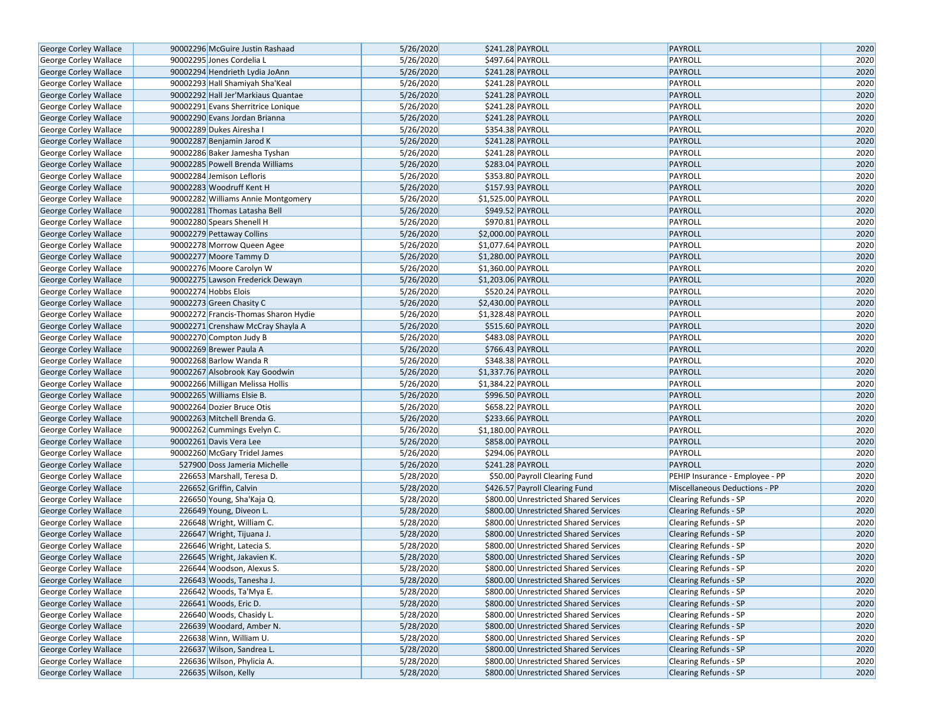| George Corley Wallace        | 90002296 McGuire Justin Rashaad      | 5/26/2020 | \$241.28 PAYROLL                      | PAYROLL                         | 2020 |
|------------------------------|--------------------------------------|-----------|---------------------------------------|---------------------------------|------|
| George Corley Wallace        | 90002295 Jones Cordelia L            | 5/26/2020 | \$497.64 PAYROLL                      | PAYROLL                         | 2020 |
| <b>George Corley Wallace</b> | 90002294 Hendrieth Lydia JoAnn       | 5/26/2020 | \$241.28 PAYROLL                      | PAYROLL                         | 2020 |
| George Corley Wallace        | 90002293 Hall Shamiyah Sha'Keal      | 5/26/2020 | \$241.28 PAYROLL                      | PAYROLL                         | 2020 |
| George Corley Wallace        | 90002292 Hall Jer'Markiaus Quantae   | 5/26/2020 | \$241.28 PAYROLL                      | <b>PAYROLL</b>                  | 2020 |
| George Corley Wallace        | 90002291 Evans Sherritrice Lonique   | 5/26/2020 | \$241.28 PAYROLL                      | PAYROLL                         | 2020 |
| George Corley Wallace        | 90002290 Evans Jordan Brianna        | 5/26/2020 | \$241.28 PAYROLL                      | PAYROLL                         | 2020 |
| George Corley Wallace        | 90002289 Dukes Airesha I             | 5/26/2020 | \$354.38 PAYROLL                      | PAYROLL                         | 2020 |
| George Corley Wallace        | 90002287 Benjamin Jarod K            | 5/26/2020 | \$241.28 PAYROLL                      | <b>PAYROLL</b>                  | 2020 |
| George Corley Wallace        | 90002286 Baker Jamesha Tyshan        | 5/26/2020 | \$241.28 PAYROLL                      | PAYROLL                         | 2020 |
| George Corley Wallace        | 90002285 Powell Brenda Williams      | 5/26/2020 | \$283.04 PAYROLL                      | PAYROLL                         | 2020 |
| George Corley Wallace        | 90002284 Jemison Lefloris            | 5/26/2020 | \$353.80 PAYROLL                      | PAYROLL                         | 2020 |
| George Corley Wallace        | 90002283 Woodruff Kent H             | 5/26/2020 | \$157.93 PAYROLL                      | PAYROLL                         | 2020 |
| George Corley Wallace        | 90002282 Williams Annie Montgomery   | 5/26/2020 | \$1,525.00 PAYROLL                    | PAYROLL                         | 2020 |
| George Corley Wallace        | 90002281 Thomas Latasha Bell         | 5/26/2020 | \$949.52 PAYROLL                      | <b>PAYROLL</b>                  | 2020 |
| George Corley Wallace        | 90002280 Spears Shenell H            | 5/26/2020 | \$970.81 PAYROLL                      | PAYROLL                         | 2020 |
| George Corley Wallace        | 90002279 Pettaway Collins            | 5/26/2020 | \$2,000.00 PAYROLL                    | PAYROLL                         | 2020 |
| George Corley Wallace        | 90002278 Morrow Queen Agee           | 5/26/2020 | \$1,077.64 PAYROLL                    | PAYROLL                         | 2020 |
| George Corley Wallace        | 90002277 Moore Tammy D               | 5/26/2020 | \$1,280.00 PAYROLL                    | PAYROLL                         | 2020 |
| George Corley Wallace        | 90002276 Moore Carolyn W             | 5/26/2020 | \$1,360.00 PAYROLL                    | PAYROLL                         | 2020 |
| George Corley Wallace        | 90002275 Lawson Frederick Dewayn     | 5/26/2020 | \$1,203.06 PAYROLL                    | PAYROLL                         | 2020 |
| George Corley Wallace        | 90002274 Hobbs Elois                 | 5/26/2020 | \$520.24 PAYROLL                      | PAYROLL                         | 2020 |
| George Corley Wallace        | 90002273 Green Chasity C             | 5/26/2020 | \$2,430.00 PAYROLL                    | PAYROLL                         | 2020 |
| George Corley Wallace        | 90002272 Francis-Thomas Sharon Hydie | 5/26/2020 | \$1,328.48 PAYROLL                    | PAYROLL                         | 2020 |
| George Corley Wallace        | 90002271 Crenshaw McCray Shayla A    | 5/26/2020 | \$515.60 PAYROLL                      | <b>PAYROLL</b>                  | 2020 |
| George Corley Wallace        | 90002270 Compton Judy B              | 5/26/2020 | \$483.08 PAYROLL                      | PAYROLL                         | 2020 |
| George Corley Wallace        | 90002269 Brewer Paula A              | 5/26/2020 | \$766.43 PAYROLL                      | PAYROLL                         | 2020 |
| George Corley Wallace        | 90002268 Barlow Wanda R              | 5/26/2020 | \$348.38 PAYROLL                      | PAYROLL                         | 2020 |
| George Corley Wallace        | 90002267 Alsobrook Kay Goodwin       | 5/26/2020 | \$1,337.76 PAYROLL                    | PAYROLL                         | 2020 |
| George Corley Wallace        | 90002266 Milligan Melissa Hollis     | 5/26/2020 | \$1,384.22 PAYROLL                    | PAYROLL                         | 2020 |
| George Corley Wallace        | 90002265 Williams Elsie B.           | 5/26/2020 | \$996.50 PAYROLL                      | PAYROLL                         | 2020 |
| George Corley Wallace        | 90002264 Dozier Bruce Otis           | 5/26/2020 | \$658.22 PAYROLL                      | PAYROLL                         | 2020 |
| George Corley Wallace        | 90002263 Mitchell Brenda G.          | 5/26/2020 | \$233.66 PAYROLL                      | <b>PAYROLL</b>                  | 2020 |
| George Corley Wallace        | 90002262 Cummings Evelyn C.          | 5/26/2020 | \$1,180.00 PAYROLL                    | PAYROLL                         | 2020 |
| George Corley Wallace        | 90002261 Davis Vera Lee              | 5/26/2020 | \$858.00 PAYROLL                      | PAYROLL                         | 2020 |
| George Corley Wallace        | 90002260 McGary Tridel James         | 5/26/2020 | \$294.06 PAYROLL                      | PAYROLL                         | 2020 |
| George Corley Wallace        | 527900 Doss Jameria Michelle         | 5/26/2020 | \$241.28 PAYROLL                      | <b>PAYROLL</b>                  | 2020 |
| George Corley Wallace        | 226653 Marshall, Teresa D.           | 5/28/2020 | \$50.00 Payroll Clearing Fund         | PEHIP Insurance - Employee - PP | 2020 |
| George Corley Wallace        | 226652 Griffin, Calvin               | 5/28/2020 | \$426.57 Payroll Clearing Fund        | Miscellaneous Deductions - PP   | 2020 |
| George Corley Wallace        | 226650 Young, Sha'Kaja Q.            | 5/28/2020 | \$800.00 Unrestricted Shared Services | Clearing Refunds - SP           | 2020 |
| George Corley Wallace        | 226649 Young, Diveon L.              | 5/28/2020 | \$800.00 Unrestricted Shared Services | <b>Clearing Refunds - SP</b>    | 2020 |
| George Corley Wallace        | 226648 Wright, William C.            | 5/28/2020 | \$800.00 Unrestricted Shared Services | Clearing Refunds - SP           | 2020 |
| George Corley Wallace        | 226647 Wright, Tijuana J.            | 5/28/2020 | \$800.00 Unrestricted Shared Services | <b>Clearing Refunds - SP</b>    | 2020 |
| George Corley Wallace        | 226646 Wright, Latecia S.            | 5/28/2020 | \$800.00 Unrestricted Shared Services | Clearing Refunds - SP           | 2020 |
| <b>George Corley Wallace</b> | 226645 Wright, Jakavien K.           | 5/28/2020 | \$800.00 Unrestricted Shared Services | <b>Clearing Refunds - SP</b>    | 2020 |
| George Corley Wallace        | 226644 Woodson, Alexus S.            | 5/28/2020 | \$800.00 Unrestricted Shared Services | <b>Clearing Refunds - SP</b>    | 2020 |
| George Corley Wallace        | 226643 Woods, Tanesha J.             | 5/28/2020 | \$800.00 Unrestricted Shared Services | Clearing Refunds - SP           | 2020 |
| George Corley Wallace        | 226642 Woods, Ta'Mya E.              | 5/28/2020 | \$800.00 Unrestricted Shared Services | Clearing Refunds - SP           | 2020 |
| George Corley Wallace        | 226641 Woods, Eric D.                | 5/28/2020 | \$800.00 Unrestricted Shared Services | Clearing Refunds - SP           | 2020 |
| George Corley Wallace        | 226640 Woods, Chasidy L.             | 5/28/2020 | \$800.00 Unrestricted Shared Services | <b>Clearing Refunds - SP</b>    | 2020 |
| George Corley Wallace        | 226639 Woodard, Amber N.             | 5/28/2020 | \$800.00 Unrestricted Shared Services | Clearing Refunds - SP           | 2020 |
| George Corley Wallace        | 226638 Winn, William U.              | 5/28/2020 | \$800.00 Unrestricted Shared Services | <b>Clearing Refunds - SP</b>    | 2020 |
| George Corley Wallace        | 226637 Wilson, Sandrea L.            | 5/28/2020 | \$800.00 Unrestricted Shared Services | <b>Clearing Refunds - SP</b>    | 2020 |
| George Corley Wallace        | 226636 Wilson, Phylicia A.           | 5/28/2020 | \$800.00 Unrestricted Shared Services | Clearing Refunds - SP           | 2020 |
| George Corley Wallace        | 226635 Wilson, Kelly                 | 5/28/2020 | \$800.00 Unrestricted Shared Services | Clearing Refunds - SP           | 2020 |
|                              |                                      |           |                                       |                                 |      |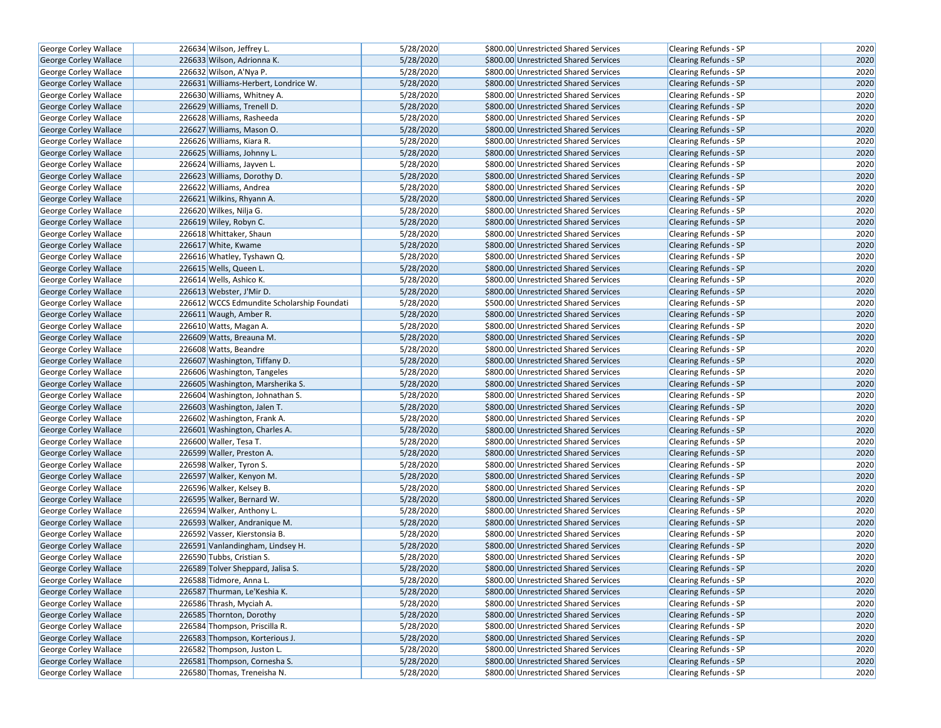| George Corley Wallace        | 226634 Wilson, Jeffrey L.                  | 5/28/2020 | \$800.00 Unrestricted Shared Services | Clearing Refunds - SP        | 2020 |
|------------------------------|--------------------------------------------|-----------|---------------------------------------|------------------------------|------|
| George Corley Wallace        | 226633 Wilson, Adrionna K.                 | 5/28/2020 | \$800.00 Unrestricted Shared Services | <b>Clearing Refunds - SP</b> | 2020 |
| George Corley Wallace        | 226632 Wilson, A'Nya P.                    | 5/28/2020 | \$800.00 Unrestricted Shared Services | Clearing Refunds - SP        | 2020 |
| <b>George Corley Wallace</b> | 226631 Williams-Herbert, Londrice W.       | 5/28/2020 | \$800.00 Unrestricted Shared Services | <b>Clearing Refunds - SP</b> | 2020 |
| George Corley Wallace        | 226630 Williams, Whitney A.                | 5/28/2020 | \$800.00 Unrestricted Shared Services | Clearing Refunds - SP        | 2020 |
| George Corley Wallace        | 226629 Williams, Trenell D.                | 5/28/2020 | \$800.00 Unrestricted Shared Services | <b>Clearing Refunds - SP</b> | 2020 |
| George Corley Wallace        | 226628 Williams, Rasheeda                  | 5/28/2020 | \$800.00 Unrestricted Shared Services | Clearing Refunds - SP        | 2020 |
| <b>George Corley Wallace</b> | 226627 Williams, Mason O.                  | 5/28/2020 | \$800.00 Unrestricted Shared Services | <b>Clearing Refunds - SP</b> | 2020 |
| George Corley Wallace        | 226626 Williams, Kiara R.                  | 5/28/2020 | \$800.00 Unrestricted Shared Services | <b>Clearing Refunds - SP</b> | 2020 |
| George Corley Wallace        | 226625 Williams, Johnny L.                 | 5/28/2020 | \$800.00 Unrestricted Shared Services | Clearing Refunds - SP        | 2020 |
| George Corley Wallace        | 226624 Williams, Jayven L.                 | 5/28/2020 | \$800.00 Unrestricted Shared Services | Clearing Refunds - SP        | 2020 |
| George Corley Wallace        | 226623 Williams, Dorothy D.                | 5/28/2020 | \$800.00 Unrestricted Shared Services | Clearing Refunds - SP        | 2020 |
| George Corley Wallace        | 226622 Williams, Andrea                    | 5/28/2020 | \$800.00 Unrestricted Shared Services | <b>Clearing Refunds - SP</b> | 2020 |
| George Corley Wallace        | 226621 Wilkins, Rhyann A.                  | 5/28/2020 | \$800.00 Unrestricted Shared Services | Clearing Refunds - SP        | 2020 |
| George Corley Wallace        | 226620 Wilkes, Nilja G.                    | 5/28/2020 | \$800.00 Unrestricted Shared Services | Clearing Refunds - SP        | 2020 |
| George Corley Wallace        | 226619 Wiley, Robyn C.                     | 5/28/2020 | \$800.00 Unrestricted Shared Services | <b>Clearing Refunds - SP</b> | 2020 |
| George Corley Wallace        | 226618 Whittaker, Shaun                    | 5/28/2020 | \$800.00 Unrestricted Shared Services | Clearing Refunds - SP        | 2020 |
| George Corley Wallace        | 226617 White, Kwame                        | 5/28/2020 | \$800.00 Unrestricted Shared Services | Clearing Refunds - SP        | 2020 |
| George Corley Wallace        | 226616 Whatley, Tyshawn Q.                 | 5/28/2020 | \$800.00 Unrestricted Shared Services | Clearing Refunds - SP        | 2020 |
| George Corley Wallace        | 226615 Wells, Queen L.                     | 5/28/2020 | \$800.00 Unrestricted Shared Services | <b>Clearing Refunds - SP</b> | 2020 |
| George Corley Wallace        | 226614 Wells, Ashico K.                    | 5/28/2020 | \$800.00 Unrestricted Shared Services | <b>Clearing Refunds - SP</b> | 2020 |
| George Corley Wallace        | 226613 Webster, J'Mir D.                   | 5/28/2020 | \$800.00 Unrestricted Shared Services | <b>Clearing Refunds - SP</b> | 2020 |
| George Corley Wallace        | 226612 WCCS Edmundite Scholarship Foundati | 5/28/2020 | \$500.00 Unrestricted Shared Services | Clearing Refunds - SP        | 2020 |
| George Corley Wallace        | 226611 Waugh, Amber R.                     | 5/28/2020 | \$800.00 Unrestricted Shared Services | Clearing Refunds - SP        | 2020 |
| George Corley Wallace        | 226610 Watts, Magan A.                     | 5/28/2020 | \$800.00 Unrestricted Shared Services | <b>Clearing Refunds - SP</b> | 2020 |
| George Corley Wallace        | 226609 Watts, Breauna M.                   | 5/28/2020 | \$800.00 Unrestricted Shared Services | <b>Clearing Refunds - SP</b> | 2020 |
| George Corley Wallace        | 226608 Watts, Beandre                      | 5/28/2020 | \$800.00 Unrestricted Shared Services | Clearing Refunds - SP        | 2020 |
| George Corley Wallace        | 226607 Washington, Tiffany D.              | 5/28/2020 | \$800.00 Unrestricted Shared Services | <b>Clearing Refunds - SP</b> | 2020 |
| George Corley Wallace        | 226606 Washington, Tangeles                | 5/28/2020 | \$800.00 Unrestricted Shared Services | <b>Clearing Refunds - SP</b> | 2020 |
| <b>George Corley Wallace</b> | 226605 Washington, Marsherika S.           | 5/28/2020 | \$800.00 Unrestricted Shared Services | <b>Clearing Refunds - SP</b> | 2020 |
| George Corley Wallace        | 226604 Washington, Johnathan S.            | 5/28/2020 | \$800.00 Unrestricted Shared Services | Clearing Refunds - SP        | 2020 |
| George Corley Wallace        | 226603 Washington, Jalen T.                | 5/28/2020 | \$800.00 Unrestricted Shared Services | Clearing Refunds - SP        | 2020 |
| George Corley Wallace        | 226602 Washington, Frank A.                | 5/28/2020 | \$800.00 Unrestricted Shared Services | <b>Clearing Refunds - SP</b> | 2020 |
| <b>George Corley Wallace</b> | 226601 Washington, Charles A.              | 5/28/2020 | \$800.00 Unrestricted Shared Services | <b>Clearing Refunds - SP</b> | 2020 |
| George Corley Wallace        | 226600 Waller, Tesa T.                     | 5/28/2020 | \$800.00 Unrestricted Shared Services | Clearing Refunds - SP        | 2020 |
| George Corley Wallace        | 226599 Waller, Preston A.                  | 5/28/2020 | \$800.00 Unrestricted Shared Services | <b>Clearing Refunds - SP</b> | 2020 |
| George Corley Wallace        | 226598 Walker, Tyron S.                    | 5/28/2020 | \$800.00 Unrestricted Shared Services | Clearing Refunds - SP        | 2020 |
| George Corley Wallace        | 226597 Walker, Kenyon M.                   | 5/28/2020 | \$800.00 Unrestricted Shared Services | Clearing Refunds - SP        | 2020 |
| George Corley Wallace        | 226596 Walker, Kelsey B.                   | 5/28/2020 | \$800.00 Unrestricted Shared Services | Clearing Refunds - SP        | 2020 |
| George Corley Wallace        | 226595 Walker, Bernard W.                  | 5/28/2020 | \$800.00 Unrestricted Shared Services | Clearing Refunds - SP        | 2020 |
| George Corley Wallace        | 226594 Walker, Anthony L.                  | 5/28/2020 | \$800.00 Unrestricted Shared Services | Clearing Refunds - SP        | 2020 |
| George Corley Wallace        | 226593 Walker, Andranique M.               | 5/28/2020 | \$800.00 Unrestricted Shared Services | <b>Clearing Refunds - SP</b> | 2020 |
| George Corley Wallace        | 226592 Vasser, Kierstonsia B.              | 5/28/2020 | \$800.00 Unrestricted Shared Services | Clearing Refunds - SP        | 2020 |
| George Corley Wallace        | 226591 Vanlandingham, Lindsey H.           | 5/28/2020 | \$800.00 Unrestricted Shared Services | Clearing Refunds - SP        | 2020 |
| <b>George Corley Wallace</b> | 226590 Tubbs, Cristian S.                  | 5/28/2020 | \$800.00 Unrestricted Shared Services | <b>Clearing Refunds - SP</b> | 2020 |
| George Corley Wallace        | 226589 Tolver Sheppard, Jalisa S.          | 5/28/2020 | \$800.00 Unrestricted Shared Services | <b>Clearing Refunds - SP</b> | 2020 |
| George Corley Wallace        | 226588 Tidmore, Anna L.                    | 5/28/2020 | \$800.00 Unrestricted Shared Services | Clearing Refunds - SP        | 2020 |
| George Corley Wallace        | 226587 Thurman, Le'Keshia K.               | 5/28/2020 | \$800.00 Unrestricted Shared Services | <b>Clearing Refunds - SP</b> | 2020 |
| George Corley Wallace        | 226586 Thrash, Myciah A.                   | 5/28/2020 | \$800.00 Unrestricted Shared Services | Clearing Refunds - SP        | 2020 |
| George Corley Wallace        | 226585 Thornton, Dorothy                   | 5/28/2020 | \$800.00 Unrestricted Shared Services | <b>Clearing Refunds - SP</b> | 2020 |
| George Corley Wallace        | 226584 Thompson, Priscilla R.              | 5/28/2020 | \$800.00 Unrestricted Shared Services | Clearing Refunds - SP        | 2020 |
| George Corley Wallace        | 226583 Thompson, Korterious J.             | 5/28/2020 | \$800.00 Unrestricted Shared Services | <b>Clearing Refunds - SP</b> | 2020 |
| George Corley Wallace        | 226582 Thompson, Juston L.                 | 5/28/2020 | \$800.00 Unrestricted Shared Services | Clearing Refunds - SP        | 2020 |
| George Corley Wallace        | 226581 Thompson, Cornesha S.               | 5/28/2020 | \$800.00 Unrestricted Shared Services | <b>Clearing Refunds - SP</b> | 2020 |
| George Corley Wallace        | 226580 Thomas, Treneisha N.                | 5/28/2020 | \$800.00 Unrestricted Shared Services | Clearing Refunds - SP        | 2020 |
|                              |                                            |           |                                       |                              |      |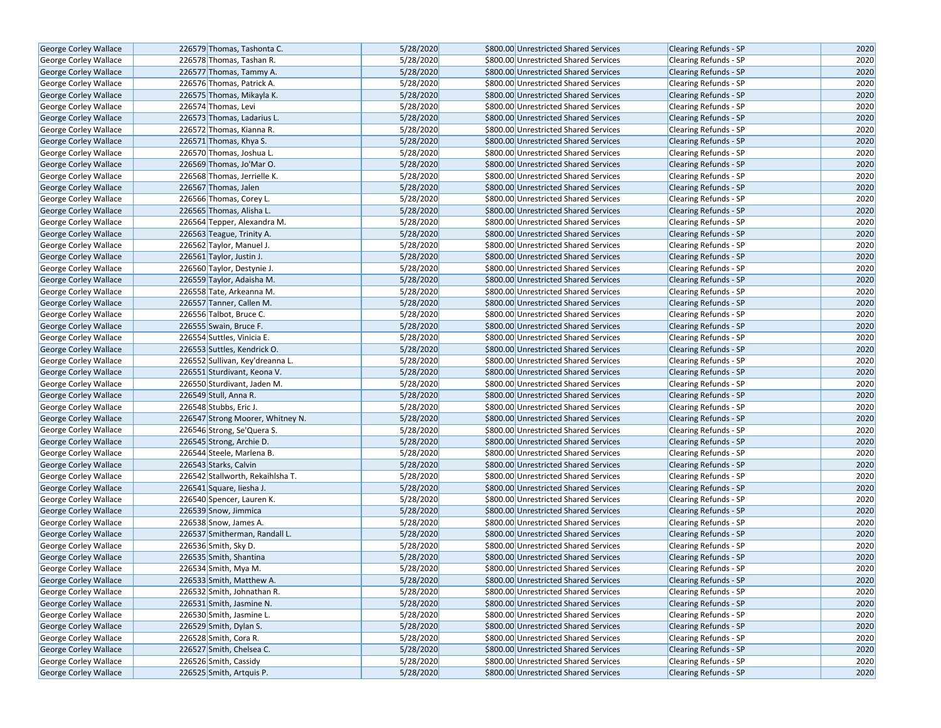| George Corley Wallace        | 226579 Thomas, Tashonta C.       | 5/28/2020 | \$800.00 Unrestricted Shared Services | <b>Clearing Refunds - SP</b> | 2020 |
|------------------------------|----------------------------------|-----------|---------------------------------------|------------------------------|------|
| <b>George Corley Wallace</b> | 226578 Thomas, Tashan R.         | 5/28/2020 | \$800.00 Unrestricted Shared Services | <b>Clearing Refunds - SP</b> | 2020 |
| <b>George Corley Wallace</b> | 226577 Thomas, Tammy A.          | 5/28/2020 | \$800.00 Unrestricted Shared Services | <b>Clearing Refunds - SP</b> | 2020 |
| George Corley Wallace        | 226576 Thomas, Patrick A.        | 5/28/2020 | \$800.00 Unrestricted Shared Services | <b>Clearing Refunds - SP</b> | 2020 |
| George Corley Wallace        | 226575 Thomas, Mikayla K.        | 5/28/2020 | \$800.00 Unrestricted Shared Services | Clearing Refunds - SP        | 2020 |
| George Corley Wallace        | 226574 Thomas, Levi              | 5/28/2020 | \$800.00 Unrestricted Shared Services | Clearing Refunds - SP        | 2020 |
| George Corley Wallace        | 226573 Thomas, Ladarius L.       | 5/28/2020 | \$800.00 Unrestricted Shared Services | <b>Clearing Refunds - SP</b> | 2020 |
| <b>George Corley Wallace</b> | 226572 Thomas, Kianna R.         | 5/28/2020 | \$800.00 Unrestricted Shared Services | <b>Clearing Refunds - SP</b> | 2020 |
| <b>George Corley Wallace</b> | 226571 Thomas, Khya S.           | 5/28/2020 | \$800.00 Unrestricted Shared Services | <b>Clearing Refunds - SP</b> | 2020 |
| George Corley Wallace        | 226570 Thomas, Joshua L.         | 5/28/2020 | \$800.00 Unrestricted Shared Services | Clearing Refunds - SP        | 2020 |
| George Corley Wallace        | 226569 Thomas, Jo'Mar O.         | 5/28/2020 | \$800.00 Unrestricted Shared Services | Clearing Refunds - SP        | 2020 |
| George Corley Wallace        | 226568 Thomas, Jerrielle K.      | 5/28/2020 | \$800.00 Unrestricted Shared Services | <b>Clearing Refunds - SP</b> | 2020 |
| George Corley Wallace        | 226567 Thomas, Jalen             | 5/28/2020 | \$800.00 Unrestricted Shared Services | <b>Clearing Refunds - SP</b> | 2020 |
| George Corley Wallace        | 226566 Thomas, Corey L.          | 5/28/2020 | \$800.00 Unrestricted Shared Services | Clearing Refunds - SP        | 2020 |
| <b>George Corley Wallace</b> | 226565 Thomas, Alisha L.         | 5/28/2020 | \$800.00 Unrestricted Shared Services | <b>Clearing Refunds - SP</b> | 2020 |
| <b>George Corley Wallace</b> | 226564 Tepper, Alexandra M.      | 5/28/2020 | \$800.00 Unrestricted Shared Services | <b>Clearing Refunds - SP</b> | 2020 |
| George Corley Wallace        | 226563 Teague, Trinity A.        | 5/28/2020 | \$800.00 Unrestricted Shared Services | Clearing Refunds - SP        | 2020 |
| George Corley Wallace        | 226562 Taylor, Manuel J.         | 5/28/2020 | \$800.00 Unrestricted Shared Services | Clearing Refunds - SP        | 2020 |
| George Corley Wallace        | 226561 Taylor, Justin J.         | 5/28/2020 | \$800.00 Unrestricted Shared Services | <b>Clearing Refunds - SP</b> | 2020 |
| George Corley Wallace        | 226560 Taylor, Destynie J.       | 5/28/2020 | \$800.00 Unrestricted Shared Services | <b>Clearing Refunds - SP</b> | 2020 |
| <b>George Corley Wallace</b> | 226559 Taylor, Adaisha M.        | 5/28/2020 | \$800.00 Unrestricted Shared Services | <b>Clearing Refunds - SP</b> | 2020 |
| George Corley Wallace        | 226558 Tate, Arkeanna M.         | 5/28/2020 | \$800.00 Unrestricted Shared Services | <b>Clearing Refunds - SP</b> | 2020 |
| George Corley Wallace        | 226557 Tanner, Callen M.         | 5/28/2020 | \$800.00 Unrestricted Shared Services | <b>Clearing Refunds - SP</b> | 2020 |
| George Corley Wallace        | 226556 Talbot, Bruce C.          | 5/28/2020 | \$800.00 Unrestricted Shared Services | Clearing Refunds - SP        | 2020 |
| George Corley Wallace        | 226555 Swain, Bruce F.           | 5/28/2020 | \$800.00 Unrestricted Shared Services | <b>Clearing Refunds - SP</b> | 2020 |
| <b>George Corley Wallace</b> | 226554 Suttles, Vinicia E.       | 5/28/2020 | \$800.00 Unrestricted Shared Services | Clearing Refunds - SP        | 2020 |
| George Corley Wallace        | 226553 Suttles, Kendrick O.      | 5/28/2020 | \$800.00 Unrestricted Shared Services | Clearing Refunds - SP        | 2020 |
| <b>George Corley Wallace</b> | 226552 Sullivan, Key'dreanna L.  | 5/28/2020 | \$800.00 Unrestricted Shared Services | Clearing Refunds - SP        | 2020 |
| George Corley Wallace        | 226551 Sturdivant, Keona V.      | 5/28/2020 | \$800.00 Unrestricted Shared Services | <b>Clearing Refunds - SP</b> | 2020 |
| George Corley Wallace        | 226550 Sturdivant, Jaden M.      | 5/28/2020 | \$800.00 Unrestricted Shared Services | Clearing Refunds - SP        | 2020 |
| <b>George Corley Wallace</b> | 226549 Stull, Anna R.            | 5/28/2020 | \$800.00 Unrestricted Shared Services | <b>Clearing Refunds - SP</b> | 2020 |
| George Corley Wallace        | 226548 Stubbs, Eric J.           | 5/28/2020 | \$800.00 Unrestricted Shared Services | <b>Clearing Refunds - SP</b> | 2020 |
| George Corley Wallace        | 226547 Strong Moorer, Whitney N. | 5/28/2020 | \$800.00 Unrestricted Shared Services | <b>Clearing Refunds - SP</b> | 2020 |
| George Corley Wallace        | 226546 Strong, Se'Quera S.       | 5/28/2020 | \$800.00 Unrestricted Shared Services | Clearing Refunds - SP        | 2020 |
| George Corley Wallace        | 226545 Strong, Archie D.         | 5/28/2020 | \$800.00 Unrestricted Shared Services | <b>Clearing Refunds - SP</b> | 2020 |
| George Corley Wallace        | 226544 Steele, Marlena B.        | 5/28/2020 | \$800.00 Unrestricted Shared Services | Clearing Refunds - SP        | 2020 |
| <b>George Corley Wallace</b> | 226543 Starks, Calvin            | 5/28/2020 | \$800.00 Unrestricted Shared Services | <b>Clearing Refunds - SP</b> | 2020 |
| George Corley Wallace        | 226542 Stallworth, Rekaihlsha T. | 5/28/2020 | \$800.00 Unrestricted Shared Services | Clearing Refunds - SP        | 2020 |
| George Corley Wallace        | 226541 Square, liesha J.         | 5/28/2020 | \$800.00 Unrestricted Shared Services | <b>Clearing Refunds - SP</b> | 2020 |
| George Corley Wallace        | 226540 Spencer, Lauren K.        | 5/28/2020 | \$800.00 Unrestricted Shared Services | Clearing Refunds - SP        | 2020 |
| <b>George Corley Wallace</b> | 226539 Snow, Jimmica             | 5/28/2020 | \$800.00 Unrestricted Shared Services | <b>Clearing Refunds - SP</b> | 2020 |
| George Corley Wallace        | 226538 Snow, James A.            | 5/28/2020 | \$800.00 Unrestricted Shared Services | Clearing Refunds - SP        | 2020 |
| George Corley Wallace        | 226537 Smitherman, Randall L.    | 5/28/2020 | \$800.00 Unrestricted Shared Services | <b>Clearing Refunds - SP</b> | 2020 |
| George Corley Wallace        | 226536 Smith, Sky D.             | 5/28/2020 | \$800.00 Unrestricted Shared Services | Clearing Refunds - SP        | 2020 |
| <b>George Corley Wallace</b> | 226535 Smith, Shantina           | 5/28/2020 | \$800.00 Unrestricted Shared Services | <b>Clearing Refunds - SP</b> | 2020 |
| George Corley Wallace        | 226534 Smith, Mya M.             | 5/28/2020 | \$800.00 Unrestricted Shared Services | <b>Clearing Refunds - SP</b> | 2020 |
| George Corley Wallace        | 226533 Smith, Matthew A.         | 5/28/2020 | \$800.00 Unrestricted Shared Services | Clearing Refunds - SP        | 2020 |
| George Corley Wallace        | 226532 Smith, Johnathan R.       | 5/28/2020 | \$800.00 Unrestricted Shared Services | Clearing Refunds - SP        | 2020 |
| George Corley Wallace        | 226531 Smith, Jasmine N.         | 5/28/2020 | \$800.00 Unrestricted Shared Services | <b>Clearing Refunds - SP</b> | 2020 |
| <b>George Corley Wallace</b> | 226530 Smith, Jasmine L.         | 5/28/2020 | \$800.00 Unrestricted Shared Services | <b>Clearing Refunds - SP</b> | 2020 |
| George Corley Wallace        | 226529 Smith, Dylan S.           | 5/28/2020 | \$800.00 Unrestricted Shared Services | Clearing Refunds - SP        | 2020 |
| <b>George Corley Wallace</b> | 226528 Smith, Cora R.            | 5/28/2020 | \$800.00 Unrestricted Shared Services | <b>Clearing Refunds - SP</b> | 2020 |
| George Corley Wallace        | 226527 Smith, Chelsea C.         | 5/28/2020 | \$800.00 Unrestricted Shared Services | Clearing Refunds - SP        | 2020 |
| George Corley Wallace        | 226526 Smith, Cassidy            | 5/28/2020 | \$800.00 Unrestricted Shared Services | <b>Clearing Refunds - SP</b> | 2020 |
| George Corley Wallace        | 226525 Smith, Artquis P.         | 5/28/2020 | \$800.00 Unrestricted Shared Services | Clearing Refunds - SP        | 2020 |
|                              |                                  |           |                                       |                              |      |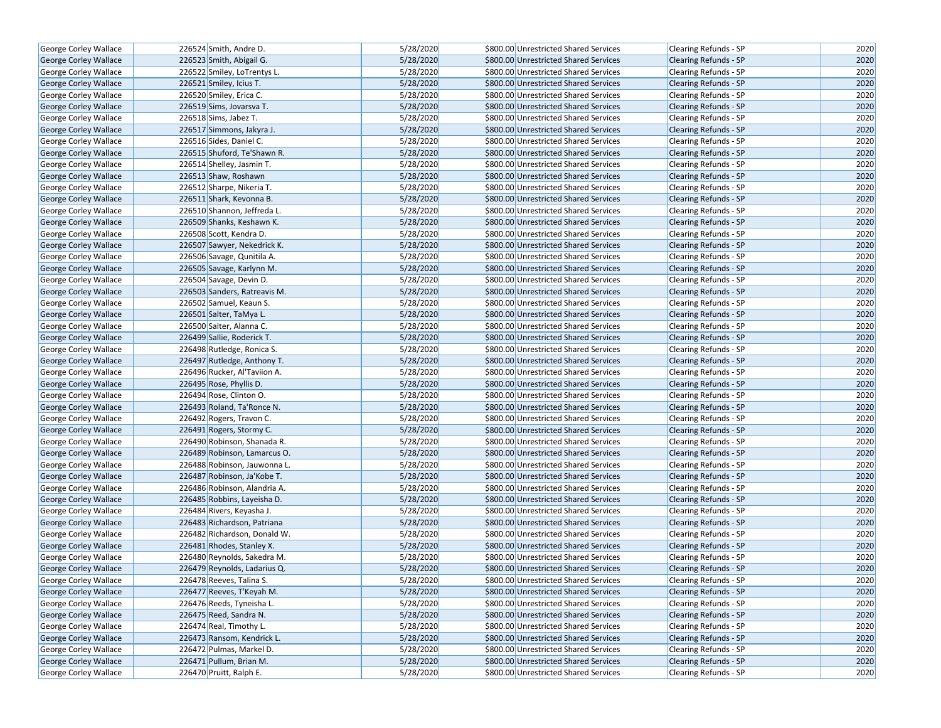| George Corley Wallace        | 226524 Smith, Andre D.       |                              | 5/28/2020 | \$800.00 Unrestricted Shared Services | Clearing Refunds - SP                                 | 2020 |
|------------------------------|------------------------------|------------------------------|-----------|---------------------------------------|-------------------------------------------------------|------|
| <b>George Corley Wallace</b> | 226523 Smith, Abigail G.     |                              | 5/28/2020 | \$800.00 Unrestricted Shared Services | <b>Clearing Refunds - SP</b>                          | 2020 |
| George Corley Wallace        | 226522 Smiley, LoTrentys L.  |                              | 5/28/2020 | \$800.00 Unrestricted Shared Services | Clearing Refunds - SP                                 | 2020 |
| <b>George Corley Wallace</b> | 226521 Smiley, Icius T.      |                              | 5/28/2020 | \$800.00 Unrestricted Shared Services | <b>Clearing Refunds - SP</b>                          | 2020 |
| George Corley Wallace        | 226520 Smiley, Erica C.      |                              | 5/28/2020 | \$800.00 Unrestricted Shared Services | Clearing Refunds - SP                                 | 2020 |
| George Corley Wallace        | 226519 Sims, Jovarsva T.     |                              | 5/28/2020 | \$800.00 Unrestricted Shared Services | <b>Clearing Refunds - SP</b>                          | 2020 |
| George Corley Wallace        | 226518 Sims, Jabez T.        |                              | 5/28/2020 | \$800.00 Unrestricted Shared Services | Clearing Refunds - SP                                 | 2020 |
| <b>George Corley Wallace</b> | 226517 Simmons, Jakyra J.    |                              | 5/28/2020 | \$800.00 Unrestricted Shared Services | <b>Clearing Refunds - SP</b>                          | 2020 |
| George Corley Wallace        | 226516 Sides, Daniel C.      |                              | 5/28/2020 | \$800.00 Unrestricted Shared Services | Clearing Refunds - SP                                 | 2020 |
| George Corley Wallace        |                              | 226515 Shuford, Te'Shawn R.  | 5/28/2020 | \$800.00 Unrestricted Shared Services | <b>Clearing Refunds - SP</b>                          | 2020 |
| George Corley Wallace        | 226514 Shelley, Jasmin T.    |                              | 5/28/2020 | \$800.00 Unrestricted Shared Services | Clearing Refunds - SP                                 | 2020 |
| George Corley Wallace        | 226513 Shaw, Roshawn         |                              | 5/28/2020 | \$800.00 Unrestricted Shared Services | <b>Clearing Refunds - SP</b>                          | 2020 |
| <b>George Corley Wallace</b> | 226512 Sharpe, Nikeria T.    |                              | 5/28/2020 | \$800.00 Unrestricted Shared Services | <b>Clearing Refunds - SP</b>                          | 2020 |
| George Corley Wallace        | 226511 Shark, Kevonna B.     |                              | 5/28/2020 | \$800.00 Unrestricted Shared Services | <b>Clearing Refunds - SP</b>                          | 2020 |
| <b>George Corley Wallace</b> | 226510 Shannon, Jeffreda L.  |                              | 5/28/2020 | \$800.00 Unrestricted Shared Services | <b>Clearing Refunds - SP</b>                          | 2020 |
| George Corley Wallace        | 226509 Shanks, Keshawn K.    |                              | 5/28/2020 | \$800.00 Unrestricted Shared Services | <b>Clearing Refunds - SP</b>                          | 2020 |
| George Corley Wallace        | 226508 Scott, Kendra D.      |                              | 5/28/2020 | \$800.00 Unrestricted Shared Services | Clearing Refunds - SP                                 | 2020 |
| George Corley Wallace        |                              | 226507 Sawyer, Nekedrick K.  | 5/28/2020 | \$800.00 Unrestricted Shared Services | <b>Clearing Refunds - SP</b>                          | 2020 |
| George Corley Wallace        | 226506 Savage, Qunitila A.   |                              | 5/28/2020 | \$800.00 Unrestricted Shared Services | Clearing Refunds - SP                                 | 2020 |
| George Corley Wallace        | 226505 Savage, Karlynn M.    |                              | 5/28/2020 | \$800.00 Unrestricted Shared Services | <b>Clearing Refunds - SP</b>                          | 2020 |
| George Corley Wallace        | 226504 Savage, Devin D.      |                              | 5/28/2020 | \$800.00 Unrestricted Shared Services | <b>Clearing Refunds - SP</b>                          | 2020 |
| <b>George Corley Wallace</b> |                              | 226503 Sanders, Ratreavis M. | 5/28/2020 | \$800.00 Unrestricted Shared Services | <b>Clearing Refunds - SP</b>                          | 2020 |
| George Corley Wallace        | 226502 Samuel, Keaun S.      |                              | 5/28/2020 | \$800.00 Unrestricted Shared Services | Clearing Refunds - SP                                 | 2020 |
| George Corley Wallace        | 226501 Salter, TaMya L.      |                              | 5/28/2020 | \$800.00 Unrestricted Shared Services | <b>Clearing Refunds - SP</b>                          | 2020 |
| George Corley Wallace        | 226500 Salter, Alanna C.     |                              | 5/28/2020 | \$800.00 Unrestricted Shared Services | <b>Clearing Refunds - SP</b>                          | 2020 |
| George Corley Wallace        | 226499 Sallie, Roderick T.   |                              | 5/28/2020 | \$800.00 Unrestricted Shared Services | <b>Clearing Refunds - SP</b>                          | 2020 |
| George Corley Wallace        | 226498 Rutledge, Ronica S.   |                              | 5/28/2020 | \$800.00 Unrestricted Shared Services | Clearing Refunds - SP                                 | 2020 |
| George Corley Wallace        |                              | 226497 Rutledge, Anthony T.  | 5/28/2020 | \$800.00 Unrestricted Shared Services | <b>Clearing Refunds - SP</b>                          | 2020 |
| George Corley Wallace        | 226496 Rucker, Al'Taviion A. |                              | 5/28/2020 | \$800.00 Unrestricted Shared Services | <b>Clearing Refunds - SP</b>                          | 2020 |
| George Corley Wallace        | 226495 Rose, Phyllis D.      |                              | 5/28/2020 | \$800.00 Unrestricted Shared Services | <b>Clearing Refunds - SP</b>                          | 2020 |
| George Corley Wallace        | 226494 Rose, Clinton O.      |                              | 5/28/2020 | \$800.00 Unrestricted Shared Services | Clearing Refunds - SP                                 | 2020 |
| George Corley Wallace        | 226493 Roland, Ta'Ronce N.   |                              | 5/28/2020 | \$800.00 Unrestricted Shared Services | <b>Clearing Refunds - SP</b>                          | 2020 |
| George Corley Wallace        | 226492 Rogers, Travon C.     |                              | 5/28/2020 | \$800.00 Unrestricted Shared Services | Clearing Refunds - SP                                 | 2020 |
| George Corley Wallace        | 226491 Rogers, Stormy C.     |                              | 5/28/2020 | \$800.00 Unrestricted Shared Services | <b>Clearing Refunds - SP</b>                          | 2020 |
| George Corley Wallace        |                              | 226490 Robinson, Shanada R.  | 5/28/2020 | \$800.00 Unrestricted Shared Services | <b>Clearing Refunds - SP</b>                          | 2020 |
| George Corley Wallace        |                              | 226489 Robinson, Lamarcus O. | 5/28/2020 | \$800.00 Unrestricted Shared Services | <b>Clearing Refunds - SP</b>                          | 2020 |
| George Corley Wallace        |                              | 226488 Robinson, Jauwonna L. | 5/28/2020 | \$800.00 Unrestricted Shared Services | Clearing Refunds - SP                                 | 2020 |
| George Corley Wallace        | 226487 Robinson, Ja'Kobe T.  |                              | 5/28/2020 | \$800.00 Unrestricted Shared Services | <b>Clearing Refunds - SP</b>                          | 2020 |
| George Corley Wallace        |                              | 226486 Robinson, Alandria A. | 5/28/2020 | \$800.00 Unrestricted Shared Services | Clearing Refunds - SP                                 | 2020 |
| George Corley Wallace        | 226485 Robbins, Layeisha D.  |                              | 5/28/2020 | \$800.00 Unrestricted Shared Services | <b>Clearing Refunds - SP</b>                          | 2020 |
| George Corley Wallace        | 226484 Rivers, Keyasha J.    |                              | 5/28/2020 | \$800.00 Unrestricted Shared Services | <b>Clearing Refunds - SP</b>                          | 2020 |
| George Corley Wallace        |                              | 226483 Richardson, Patriana  | 5/28/2020 | \$800.00 Unrestricted Shared Services | <b>Clearing Refunds - SP</b>                          | 2020 |
| George Corley Wallace        |                              | 226482 Richardson, Donald W. | 5/28/2020 | \$800.00 Unrestricted Shared Services | Clearing Refunds - SP                                 | 2020 |
| George Corley Wallace        | 226481 Rhodes, Stanley X.    |                              | 5/28/2020 | \$800.00 Unrestricted Shared Services | Clearing Refunds - SP                                 | 2020 |
| George Corley Wallace        |                              | 226480 Reynolds, Sakedra M.  | 5/28/2020 | \$800.00 Unrestricted Shared Services | <b>Clearing Refunds - SP</b>                          | 2020 |
| George Corley Wallace        |                              | 226479 Reynolds, Ladarius Q. | 5/28/2020 | \$800.00 Unrestricted Shared Services | <b>Clearing Refunds - SP</b>                          | 2020 |
| George Corley Wallace        | 226478 Reeves, Talina S.     |                              | 5/28/2020 | \$800.00 Unrestricted Shared Services | Clearing Refunds - SP                                 | 2020 |
| George Corley Wallace        | 226477 Reeves, T'Keyah M.    |                              | 5/28/2020 | \$800.00 Unrestricted Shared Services | <b>Clearing Refunds - SP</b>                          | 2020 |
| George Corley Wallace        | 226476 Reeds, Tyneisha L.    |                              | 5/28/2020 | \$800.00 Unrestricted Shared Services | Clearing Refunds - SP                                 | 2020 |
| <b>George Corley Wallace</b> | 226475 Reed, Sandra N.       |                              | 5/28/2020 | \$800.00 Unrestricted Shared Services | <b>Clearing Refunds - SP</b>                          | 2020 |
| George Corley Wallace        | 226474 Real, Timothy L.      |                              | 5/28/2020 | \$800.00 Unrestricted Shared Services | Clearing Refunds - SP                                 | 2020 |
| George Corley Wallace        | 226473 Ransom, Kendrick L.   |                              | 5/28/2020 | \$800.00 Unrestricted Shared Services | <b>Clearing Refunds - SP</b>                          | 2020 |
|                              | 226472 Pulmas, Markel D.     |                              | 5/28/2020 | \$800.00 Unrestricted Shared Services |                                                       | 2020 |
| George Corley Wallace        |                              |                              |           | \$800.00 Unrestricted Shared Services | Clearing Refunds - SP                                 |      |
| George Corley Wallace        | 226471 Pullum, Brian M.      |                              | 5/28/2020 |                                       | <b>Clearing Refunds - SP</b><br>Clearing Refunds - SP | 2020 |
| George Corley Wallace        | 226470 Pruitt, Ralph E.      |                              | 5/28/2020 | \$800.00 Unrestricted Shared Services |                                                       | 2020 |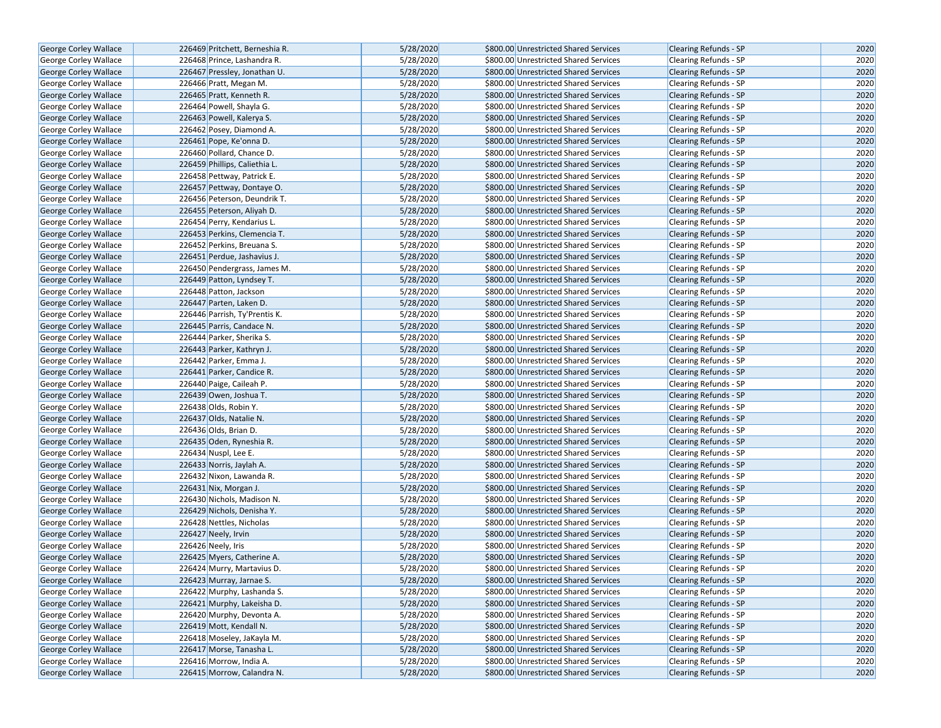| George Corley Wallace        | 226469 Pritchett, Berneshia R. | 5/28/2020 | \$800.00 Unrestricted Shared Services | <b>Clearing Refunds - SP</b> | 2020 |
|------------------------------|--------------------------------|-----------|---------------------------------------|------------------------------|------|
| <b>George Corley Wallace</b> | 226468 Prince, Lashandra R.    | 5/28/2020 | \$800.00 Unrestricted Shared Services | <b>Clearing Refunds - SP</b> | 2020 |
| <b>George Corley Wallace</b> | 226467 Pressley, Jonathan U.   | 5/28/2020 | \$800.00 Unrestricted Shared Services | <b>Clearing Refunds - SP</b> | 2020 |
| George Corley Wallace        | 226466 Pratt, Megan M.         | 5/28/2020 | \$800.00 Unrestricted Shared Services | <b>Clearing Refunds - SP</b> | 2020 |
| George Corley Wallace        | 226465 Pratt, Kenneth R.       | 5/28/2020 | \$800.00 Unrestricted Shared Services | Clearing Refunds - SP        | 2020 |
| George Corley Wallace        | 226464 Powell, Shayla G.       | 5/28/2020 | \$800.00 Unrestricted Shared Services | Clearing Refunds - SP        | 2020 |
| George Corley Wallace        | 226463 Powell, Kalerya S.      | 5/28/2020 | \$800.00 Unrestricted Shared Services | <b>Clearing Refunds - SP</b> | 2020 |
| <b>George Corley Wallace</b> | 226462 Posey, Diamond A.       | 5/28/2020 | \$800.00 Unrestricted Shared Services | <b>Clearing Refunds - SP</b> | 2020 |
| <b>George Corley Wallace</b> | 226461 Pope, Ke'onna D.        | 5/28/2020 | \$800.00 Unrestricted Shared Services | <b>Clearing Refunds - SP</b> | 2020 |
| George Corley Wallace        | 226460 Pollard, Chance D.      | 5/28/2020 | \$800.00 Unrestricted Shared Services | Clearing Refunds - SP        | 2020 |
| <b>George Corley Wallace</b> | 226459 Phillips, Caliethia L.  | 5/28/2020 | \$800.00 Unrestricted Shared Services | Clearing Refunds - SP        | 2020 |
| George Corley Wallace        | 226458 Pettway, Patrick E.     | 5/28/2020 | \$800.00 Unrestricted Shared Services | <b>Clearing Refunds - SP</b> | 2020 |
| George Corley Wallace        | 226457 Pettway, Dontaye O.     | 5/28/2020 | \$800.00 Unrestricted Shared Services | Clearing Refunds - SP        | 2020 |
| George Corley Wallace        | 226456 Peterson, Deundrik T.   | 5/28/2020 | \$800.00 Unrestricted Shared Services | Clearing Refunds - SP        | 2020 |
| <b>George Corley Wallace</b> | 226455 Peterson, Aliyah D.     | 5/28/2020 | \$800.00 Unrestricted Shared Services | <b>Clearing Refunds - SP</b> | 2020 |
| <b>George Corley Wallace</b> | 226454 Perry, Kendarius L.     | 5/28/2020 | \$800.00 Unrestricted Shared Services | <b>Clearing Refunds - SP</b> | 2020 |
| George Corley Wallace        | 226453 Perkins, Clemencia T.   | 5/28/2020 | \$800.00 Unrestricted Shared Services | <b>Clearing Refunds - SP</b> | 2020 |
| George Corley Wallace        | 226452 Perkins, Breuana S.     | 5/28/2020 | \$800.00 Unrestricted Shared Services | Clearing Refunds - SP        | 2020 |
| George Corley Wallace        | 226451 Perdue, Jashavius J.    | 5/28/2020 | \$800.00 Unrestricted Shared Services | <b>Clearing Refunds - SP</b> | 2020 |
| George Corley Wallace        | 226450 Pendergrass, James M.   | 5/28/2020 | \$800.00 Unrestricted Shared Services | <b>Clearing Refunds - SP</b> | 2020 |
| <b>George Corley Wallace</b> | 226449 Patton, Lyndsey T.      | 5/28/2020 | \$800.00 Unrestricted Shared Services | <b>Clearing Refunds - SP</b> | 2020 |
| George Corley Wallace        | 226448 Patton, Jackson         | 5/28/2020 | \$800.00 Unrestricted Shared Services | <b>Clearing Refunds - SP</b> | 2020 |
| George Corley Wallace        | 226447 Parten, Laken D.        | 5/28/2020 | \$800.00 Unrestricted Shared Services | <b>Clearing Refunds - SP</b> | 2020 |
| George Corley Wallace        | 226446 Parrish, Ty'Prentis K.  | 5/28/2020 | \$800.00 Unrestricted Shared Services | Clearing Refunds - SP        | 2020 |
| George Corley Wallace        | 226445 Parris, Candace N.      | 5/28/2020 | \$800.00 Unrestricted Shared Services | <b>Clearing Refunds - SP</b> | 2020 |
| George Corley Wallace        | 226444 Parker, Sherika S.      | 5/28/2020 | \$800.00 Unrestricted Shared Services | Clearing Refunds - SP        | 2020 |
| George Corley Wallace        | 226443 Parker, Kathryn J.      | 5/28/2020 | \$800.00 Unrestricted Shared Services | Clearing Refunds - SP        | 2020 |
| <b>George Corley Wallace</b> | 226442 Parker, Emma J.         | 5/28/2020 | \$800.00 Unrestricted Shared Services | Clearing Refunds - SP        | 2020 |
| George Corley Wallace        | 226441 Parker, Candice R.      | 5/28/2020 | \$800.00 Unrestricted Shared Services | <b>Clearing Refunds - SP</b> | 2020 |
| George Corley Wallace        | 226440 Paige, Caileah P.       | 5/28/2020 | \$800.00 Unrestricted Shared Services | Clearing Refunds - SP        | 2020 |
| <b>George Corley Wallace</b> | 226439 Owen, Joshua T.         | 5/28/2020 | \$800.00 Unrestricted Shared Services | <b>Clearing Refunds - SP</b> | 2020 |
| George Corley Wallace        | 226438 Olds, Robin Y.          | 5/28/2020 | \$800.00 Unrestricted Shared Services | <b>Clearing Refunds - SP</b> | 2020 |
| George Corley Wallace        | 226437 Olds, Natalie N.        | 5/28/2020 | \$800.00 Unrestricted Shared Services | <b>Clearing Refunds - SP</b> | 2020 |
| George Corley Wallace        | 226436 Olds, Brian D.          | 5/28/2020 | \$800.00 Unrestricted Shared Services | Clearing Refunds - SP        | 2020 |
| George Corley Wallace        | 226435 Oden, Ryneshia R.       | 5/28/2020 | \$800.00 Unrestricted Shared Services | <b>Clearing Refunds - SP</b> | 2020 |
| George Corley Wallace        | 226434 Nuspl, Lee E.           | 5/28/2020 | \$800.00 Unrestricted Shared Services | Clearing Refunds - SP        | 2020 |
| George Corley Wallace        | 226433 Norris, Jaylah A.       | 5/28/2020 | \$800.00 Unrestricted Shared Services | <b>Clearing Refunds - SP</b> | 2020 |
| George Corley Wallace        | 226432 Nixon, Lawanda R.       | 5/28/2020 | \$800.00 Unrestricted Shared Services | Clearing Refunds - SP        | 2020 |
| George Corley Wallace        | 226431 Nix, Morgan J.          | 5/28/2020 | \$800.00 Unrestricted Shared Services | <b>Clearing Refunds - SP</b> | 2020 |
| George Corley Wallace        | 226430 Nichols, Madison N.     | 5/28/2020 | \$800.00 Unrestricted Shared Services | Clearing Refunds - SP        | 2020 |
| <b>George Corley Wallace</b> | 226429 Nichols, Denisha Y.     | 5/28/2020 | \$800.00 Unrestricted Shared Services | <b>Clearing Refunds - SP</b> | 2020 |
| George Corley Wallace        | 226428 Nettles, Nicholas       | 5/28/2020 | \$800.00 Unrestricted Shared Services | Clearing Refunds - SP        | 2020 |
| George Corley Wallace        | 226427 Neely, Irvin            | 5/28/2020 | \$800.00 Unrestricted Shared Services | <b>Clearing Refunds - SP</b> | 2020 |
| George Corley Wallace        | 226426 Neely, Iris             | 5/28/2020 | \$800.00 Unrestricted Shared Services | Clearing Refunds - SP        | 2020 |
| <b>George Corley Wallace</b> | 226425 Myers, Catherine A.     | 5/28/2020 | \$800.00 Unrestricted Shared Services | <b>Clearing Refunds - SP</b> | 2020 |
| George Corley Wallace        | 226424 Murry, Martavius D.     | 5/28/2020 | \$800.00 Unrestricted Shared Services | <b>Clearing Refunds - SP</b> | 2020 |
| George Corley Wallace        | 226423 Murray, Jarnae S.       | 5/28/2020 | \$800.00 Unrestricted Shared Services | Clearing Refunds - SP        | 2020 |
| <b>George Corley Wallace</b> | 226422 Murphy, Lashanda S.     | 5/28/2020 | \$800.00 Unrestricted Shared Services | Clearing Refunds - SP        | 2020 |
| George Corley Wallace        | 226421 Murphy, Lakeisha D.     | 5/28/2020 | \$800.00 Unrestricted Shared Services | <b>Clearing Refunds - SP</b> | 2020 |
| <b>George Corley Wallace</b> | 226420 Murphy, Devonta A.      | 5/28/2020 | \$800.00 Unrestricted Shared Services | <b>Clearing Refunds - SP</b> | 2020 |
| <b>George Corley Wallace</b> | 226419 Mott, Kendall N.        | 5/28/2020 | \$800.00 Unrestricted Shared Services | Clearing Refunds - SP        | 2020 |
| <b>George Corley Wallace</b> | 226418 Moseley, JaKayla M.     | 5/28/2020 | \$800.00 Unrestricted Shared Services | <b>Clearing Refunds - SP</b> | 2020 |
| George Corley Wallace        | 226417 Morse, Tanasha L.       | 5/28/2020 | \$800.00 Unrestricted Shared Services | Clearing Refunds - SP        | 2020 |
| George Corley Wallace        | 226416 Morrow, India A.        | 5/28/2020 | \$800.00 Unrestricted Shared Services | <b>Clearing Refunds - SP</b> | 2020 |
| George Corley Wallace        | 226415 Morrow, Calandra N.     | 5/28/2020 | \$800.00 Unrestricted Shared Services | <b>Clearing Refunds - SP</b> | 2020 |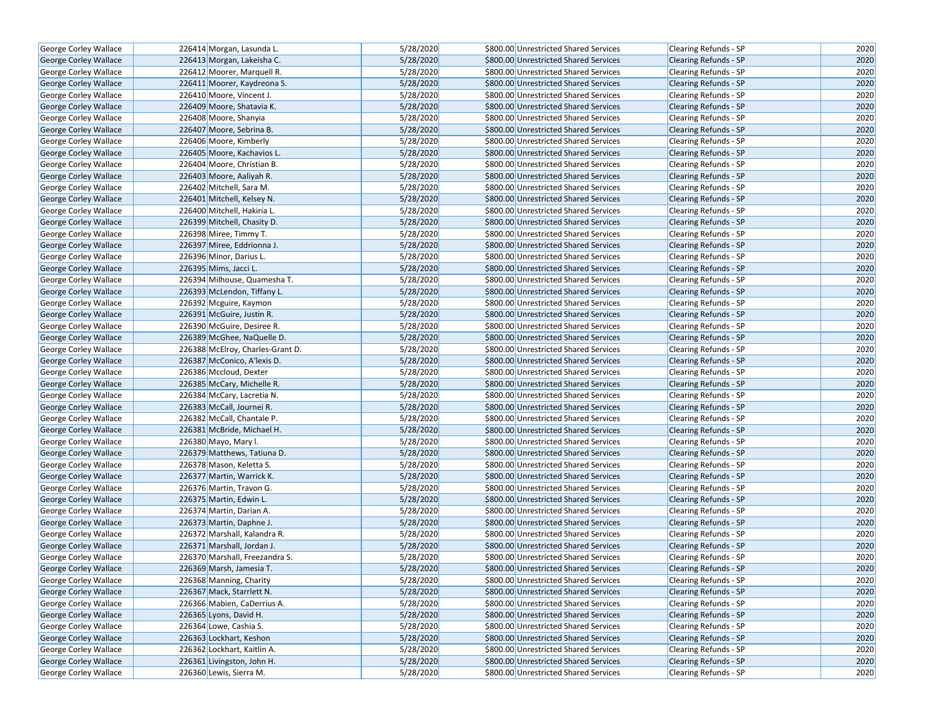| George Corley Wallace        | 226414 Morgan, Lasunda L.                         | 5/28/2020 | \$800.00 Unrestricted Shared Services                                          | Clearing Refunds - SP        | 2020 |
|------------------------------|---------------------------------------------------|-----------|--------------------------------------------------------------------------------|------------------------------|------|
| <b>George Corley Wallace</b> | 226413 Morgan, Lakeisha C.                        | 5/28/2020 | \$800.00 Unrestricted Shared Services                                          | <b>Clearing Refunds - SP</b> | 2020 |
| George Corley Wallace        | 226412 Moorer, Marquell R.                        | 5/28/2020 | \$800.00 Unrestricted Shared Services                                          | Clearing Refunds - SP        | 2020 |
| <b>George Corley Wallace</b> | 226411 Moorer, Kaydreona S.                       | 5/28/2020 | \$800.00 Unrestricted Shared Services                                          | <b>Clearing Refunds - SP</b> | 2020 |
| George Corley Wallace        | 226410 Moore, Vincent J.                          | 5/28/2020 | \$800.00 Unrestricted Shared Services                                          | Clearing Refunds - SP        | 2020 |
| George Corley Wallace        | 226409 Moore, Shatavia K.                         | 5/28/2020 | \$800.00 Unrestricted Shared Services                                          | <b>Clearing Refunds - SP</b> | 2020 |
| George Corley Wallace        | 226408 Moore, Shanyia                             | 5/28/2020 | \$800.00 Unrestricted Shared Services                                          | Clearing Refunds - SP        | 2020 |
| <b>George Corley Wallace</b> | 226407 Moore, Sebrina B.                          | 5/28/2020 | \$800.00 Unrestricted Shared Services                                          | <b>Clearing Refunds - SP</b> | 2020 |
| George Corley Wallace        | 226406 Moore, Kimberly                            | 5/28/2020 | \$800.00 Unrestricted Shared Services                                          | Clearing Refunds - SP        | 2020 |
| George Corley Wallace        | 226405 Moore, Kachavios L.                        | 5/28/2020 | \$800.00 Unrestricted Shared Services                                          | <b>Clearing Refunds - SP</b> | 2020 |
| George Corley Wallace        | 226404 Moore, Christian B.                        | 5/28/2020 | \$800.00 Unrestricted Shared Services                                          | Clearing Refunds - SP        | 2020 |
| George Corley Wallace        | 226403 Moore, Aaliyah R.                          | 5/28/2020 | \$800.00 Unrestricted Shared Services                                          | <b>Clearing Refunds - SP</b> | 2020 |
| George Corley Wallace        | 226402 Mitchell, Sara M.                          | 5/28/2020 | \$800.00 Unrestricted Shared Services                                          | <b>Clearing Refunds - SP</b> | 2020 |
| George Corley Wallace        | 226401 Mitchell, Kelsey N.                        | 5/28/2020 | \$800.00 Unrestricted Shared Services                                          | <b>Clearing Refunds - SP</b> | 2020 |
| <b>George Corley Wallace</b> | 226400 Mitchell, Hakiria L.                       | 5/28/2020 | \$800.00 Unrestricted Shared Services                                          | <b>Clearing Refunds - SP</b> | 2020 |
| George Corley Wallace        | 226399 Mitchell, Chasity D.                       | 5/28/2020 | \$800.00 Unrestricted Shared Services                                          | <b>Clearing Refunds - SP</b> | 2020 |
| George Corley Wallace        | 226398 Miree, Timmy T.                            | 5/28/2020 | \$800.00 Unrestricted Shared Services                                          | Clearing Refunds - SP        | 2020 |
| George Corley Wallace        | 226397 Miree, Eddrionna J.                        | 5/28/2020 | \$800.00 Unrestricted Shared Services                                          | <b>Clearing Refunds - SP</b> | 2020 |
| George Corley Wallace        | 226396 Minor, Darius L.                           | 5/28/2020 | \$800.00 Unrestricted Shared Services                                          | Clearing Refunds - SP        | 2020 |
| George Corley Wallace        | 226395 Mims, Jacci L.                             | 5/28/2020 | \$800.00 Unrestricted Shared Services                                          | <b>Clearing Refunds - SP</b> | 2020 |
| George Corley Wallace        | 226394 Milhouse, Quamesha T.                      | 5/28/2020 | \$800.00 Unrestricted Shared Services                                          | <b>Clearing Refunds - SP</b> | 2020 |
| <b>George Corley Wallace</b> | 226393 McLendon, Tiffany L.                       | 5/28/2020 | \$800.00 Unrestricted Shared Services                                          | <b>Clearing Refunds - SP</b> | 2020 |
| George Corley Wallace        | 226392 Mcguire, Kaymon                            | 5/28/2020 | \$800.00 Unrestricted Shared Services                                          | Clearing Refunds - SP        | 2020 |
| George Corley Wallace        | 226391 McGuire, Justin R.                         | 5/28/2020 | \$800.00 Unrestricted Shared Services                                          | <b>Clearing Refunds - SP</b> | 2020 |
| George Corley Wallace        | 226390 McGuire, Desiree R.                        | 5/28/2020 | \$800.00 Unrestricted Shared Services                                          | <b>Clearing Refunds - SP</b> | 2020 |
| George Corley Wallace        | 226389 McGhee, NaQuelle D.                        | 5/28/2020 | \$800.00 Unrestricted Shared Services                                          | <b>Clearing Refunds - SP</b> | 2020 |
| George Corley Wallace        | 226388 McElroy, Charles-Grant D.                  | 5/28/2020 | \$800.00 Unrestricted Shared Services                                          | Clearing Refunds - SP        | 2020 |
| George Corley Wallace        | 226387 McConico, A'lexis D.                       | 5/28/2020 | \$800.00 Unrestricted Shared Services                                          | <b>Clearing Refunds - SP</b> | 2020 |
| George Corley Wallace        | 226386 Mccloud, Dexter                            | 5/28/2020 | \$800.00 Unrestricted Shared Services                                          | <b>Clearing Refunds - SP</b> | 2020 |
| George Corley Wallace        | 226385 McCary, Michelle R.                        | 5/28/2020 | \$800.00 Unrestricted Shared Services                                          | <b>Clearing Refunds - SP</b> | 2020 |
| George Corley Wallace        | 226384 McCary, Lacretia N.                        | 5/28/2020 | \$800.00 Unrestricted Shared Services                                          | Clearing Refunds - SP        | 2020 |
| George Corley Wallace        | 226383 McCall, Journei R.                         | 5/28/2020 | \$800.00 Unrestricted Shared Services                                          | <b>Clearing Refunds - SP</b> | 2020 |
| George Corley Wallace        | 226382 McCall, Chantale P.                        | 5/28/2020 | \$800.00 Unrestricted Shared Services                                          | Clearing Refunds - SP        | 2020 |
| George Corley Wallace        | 226381 McBride, Michael H.                        | 5/28/2020 | \$800.00 Unrestricted Shared Services                                          | <b>Clearing Refunds - SP</b> | 2020 |
| George Corley Wallace        | 226380 Mayo, Mary I.                              | 5/28/2020 | \$800.00 Unrestricted Shared Services                                          | <b>Clearing Refunds - SP</b> | 2020 |
| George Corley Wallace        | 226379 Matthews, Tatiuna D.                       | 5/28/2020 | \$800.00 Unrestricted Shared Services                                          | <b>Clearing Refunds - SP</b> | 2020 |
| George Corley Wallace        | 226378 Mason, Keletta S.                          | 5/28/2020 | \$800.00 Unrestricted Shared Services                                          | Clearing Refunds - SP        | 2020 |
| George Corley Wallace        | 226377 Martin, Warrick K.                         | 5/28/2020 | \$800.00 Unrestricted Shared Services                                          | <b>Clearing Refunds - SP</b> | 2020 |
| George Corley Wallace        | 226376 Martin, Travon G.                          | 5/28/2020 | \$800.00 Unrestricted Shared Services                                          | Clearing Refunds - SP        | 2020 |
| George Corley Wallace        | 226375 Martin, Edwin L.                           | 5/28/2020 | \$800.00 Unrestricted Shared Services                                          | <b>Clearing Refunds - SP</b> | 2020 |
| George Corley Wallace        | 226374 Martin, Darian A.                          | 5/28/2020 | \$800.00 Unrestricted Shared Services                                          | Clearing Refunds - SP        | 2020 |
| George Corley Wallace        | 226373 Martin, Daphne J.                          | 5/28/2020 | \$800.00 Unrestricted Shared Services                                          | <b>Clearing Refunds - SP</b> | 2020 |
| George Corley Wallace        | 226372 Marshall, Kalandra R.                      | 5/28/2020 | \$800.00 Unrestricted Shared Services                                          | Clearing Refunds - SP        | 2020 |
| George Corley Wallace        | 226371 Marshall, Jordan J.                        | 5/28/2020 | \$800.00 Unrestricted Shared Services                                          | Clearing Refunds - SP        | 2020 |
| George Corley Wallace        | 226370 Marshall, Freezandra S.                    | 5/28/2020 | \$800.00 Unrestricted Shared Services                                          | <b>Clearing Refunds - SP</b> | 2020 |
| George Corley Wallace        | 226369 Marsh, Jamesia T.                          | 5/28/2020 | \$800.00 Unrestricted Shared Services                                          | <b>Clearing Refunds - SP</b> | 2020 |
| George Corley Wallace        | 226368 Manning, Charity                           | 5/28/2020 |                                                                                | Clearing Refunds - SP        | 2020 |
| George Corley Wallace        | 226367 Mack, Starrlett N.                         | 5/28/2020 | \$800.00 Unrestricted Shared Services<br>\$800.00 Unrestricted Shared Services | <b>Clearing Refunds - SP</b> | 2020 |
| George Corley Wallace        | 226366 Mabien, CaDerrius A.                       | 5/28/2020 | \$800.00 Unrestricted Shared Services                                          | Clearing Refunds - SP        | 2020 |
|                              |                                                   |           |                                                                                |                              |      |
| <b>George Corley Wallace</b> | 226365 Lyons, David H.                            | 5/28/2020 | \$800.00 Unrestricted Shared Services                                          | <b>Clearing Refunds - SP</b> | 2020 |
| George Corley Wallace        | 226364 Lowe, Cashia S.<br>226363 Lockhart, Keshon | 5/28/2020 | \$800.00 Unrestricted Shared Services                                          | Clearing Refunds - SP        | 2020 |
| George Corley Wallace        |                                                   | 5/28/2020 | \$800.00 Unrestricted Shared Services                                          | Clearing Refunds - SP        | 2020 |
| George Corley Wallace        | 226362 Lockhart, Kaitlin A.                       | 5/28/2020 | \$800.00 Unrestricted Shared Services                                          | Clearing Refunds - SP        | 2020 |
| George Corley Wallace        | 226361 Livingston, John H.                        | 5/28/2020 | \$800.00 Unrestricted Shared Services                                          | <b>Clearing Refunds - SP</b> | 2020 |
| George Corley Wallace        | 226360 Lewis, Sierra M.                           | 5/28/2020 | \$800.00 Unrestricted Shared Services                                          | Clearing Refunds - SP        | 2020 |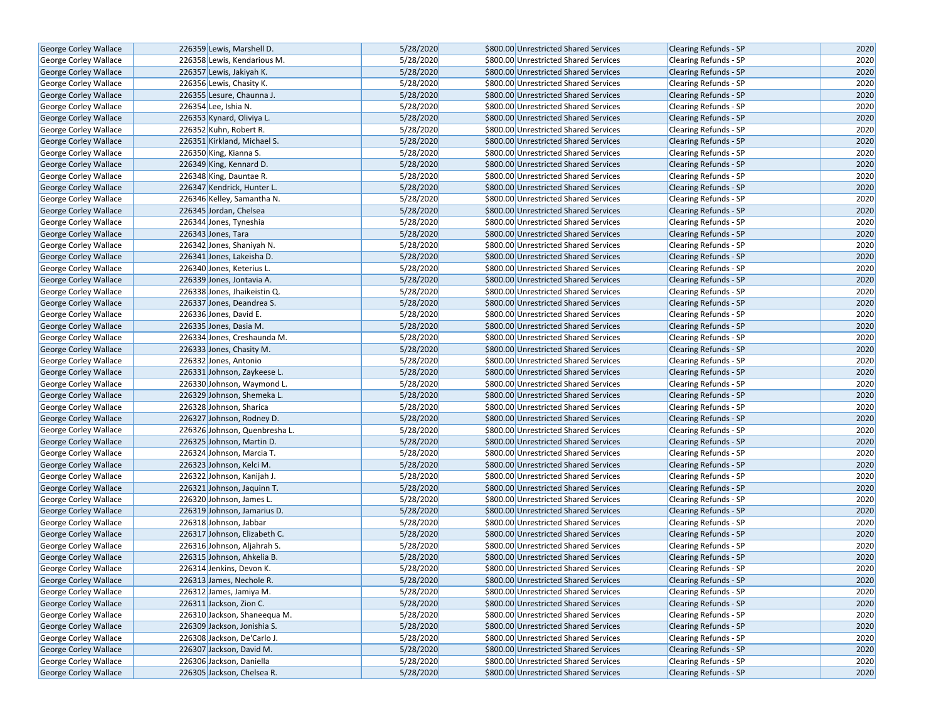| George Corley Wallace        | 226359 Lewis, Marshell D.     | 5/28/2020 | \$800.00 Unrestricted Shared Services | <b>Clearing Refunds - SP</b> | 2020 |
|------------------------------|-------------------------------|-----------|---------------------------------------|------------------------------|------|
| George Corley Wallace        | 226358 Lewis, Kendarious M.   | 5/28/2020 | \$800.00 Unrestricted Shared Services | Clearing Refunds - SP        | 2020 |
| <b>George Corley Wallace</b> | 226357 Lewis, Jakiyah K.      | 5/28/2020 | \$800.00 Unrestricted Shared Services | <b>Clearing Refunds - SP</b> | 2020 |
| George Corley Wallace        | 226356 Lewis, Chasity K.      | 5/28/2020 | \$800.00 Unrestricted Shared Services | Clearing Refunds - SP        | 2020 |
| George Corley Wallace        | 226355 Lesure, Chaunna J.     | 5/28/2020 | \$800.00 Unrestricted Shared Services | <b>Clearing Refunds - SP</b> | 2020 |
| George Corley Wallace        | 226354 Lee, Ishia N.          | 5/28/2020 | \$800.00 Unrestricted Shared Services | Clearing Refunds - SP        | 2020 |
| George Corley Wallace        | 226353 Kynard, Oliviya L.     | 5/28/2020 | \$800.00 Unrestricted Shared Services | <b>Clearing Refunds - SP</b> | 2020 |
| George Corley Wallace        | 226352 Kuhn, Robert R.        | 5/28/2020 | \$800.00 Unrestricted Shared Services | <b>Clearing Refunds - SP</b> | 2020 |
| George Corley Wallace        | 226351 Kirkland, Michael S.   | 5/28/2020 | \$800.00 Unrestricted Shared Services | <b>Clearing Refunds - SP</b> | 2020 |
| George Corley Wallace        | 226350 King, Kianna S.        | 5/28/2020 | \$800.00 Unrestricted Shared Services | Clearing Refunds - SP        | 2020 |
| <b>George Corley Wallace</b> | 226349 King, Kennard D.       | 5/28/2020 | \$800.00 Unrestricted Shared Services | <b>Clearing Refunds - SP</b> | 2020 |
| George Corley Wallace        | 226348 King, Dauntae R.       | 5/28/2020 | \$800.00 Unrestricted Shared Services | Clearing Refunds - SP        | 2020 |
| George Corley Wallace        | 226347 Kendrick, Hunter L.    | 5/28/2020 | \$800.00 Unrestricted Shared Services | <b>Clearing Refunds - SP</b> | 2020 |
| George Corley Wallace        | 226346 Kelley, Samantha N.    | 5/28/2020 | \$800.00 Unrestricted Shared Services | Clearing Refunds - SP        | 2020 |
| George Corley Wallace        | 226345 Jordan, Chelsea        | 5/28/2020 | \$800.00 Unrestricted Shared Services | <b>Clearing Refunds - SP</b> | 2020 |
| George Corley Wallace        | 226344 Jones, Tyneshia        | 5/28/2020 | \$800.00 Unrestricted Shared Services | <b>Clearing Refunds - SP</b> | 2020 |
| George Corley Wallace        | 226343 Jones, Tara            | 5/28/2020 | \$800.00 Unrestricted Shared Services | <b>Clearing Refunds - SP</b> | 2020 |
| George Corley Wallace        | 226342 Jones, Shaniyah N.     | 5/28/2020 | \$800.00 Unrestricted Shared Services | <b>Clearing Refunds - SP</b> | 2020 |
| George Corley Wallace        | 226341 Jones, Lakeisha D.     | 5/28/2020 | \$800.00 Unrestricted Shared Services | <b>Clearing Refunds - SP</b> | 2020 |
| George Corley Wallace        | 226340 Jones, Keterius L.     | 5/28/2020 | \$800.00 Unrestricted Shared Services | <b>Clearing Refunds - SP</b> | 2020 |
| George Corley Wallace        | 226339 Jones, Jontavia A.     | 5/28/2020 | \$800.00 Unrestricted Shared Services | <b>Clearing Refunds - SP</b> | 2020 |
| George Corley Wallace        | 226338 Jones, Jhaikeistin Q.  | 5/28/2020 | \$800.00 Unrestricted Shared Services | Clearing Refunds - SP        | 2020 |
| <b>George Corley Wallace</b> | 226337 Jones, Deandrea S.     | 5/28/2020 | \$800.00 Unrestricted Shared Services | <b>Clearing Refunds - SP</b> | 2020 |
| George Corley Wallace        | 226336 Jones, David E.        | 5/28/2020 | \$800.00 Unrestricted Shared Services | <b>Clearing Refunds - SP</b> | 2020 |
| George Corley Wallace        | 226335 Jones, Dasia M.        | 5/28/2020 | \$800.00 Unrestricted Shared Services | Clearing Refunds - SP        | 2020 |
| <b>George Corley Wallace</b> | 226334 Jones, Creshaunda M.   | 5/28/2020 | \$800.00 Unrestricted Shared Services | Clearing Refunds - SP        | 2020 |
| George Corley Wallace        | 226333 Jones, Chasity M.      | 5/28/2020 | \$800.00 Unrestricted Shared Services | Clearing Refunds - SP        | 2020 |
| George Corley Wallace        | 226332 Jones, Antonio         | 5/28/2020 | \$800.00 Unrestricted Shared Services | <b>Clearing Refunds - SP</b> | 2020 |
| George Corley Wallace        | 226331 Johnson, Zaykeese L.   | 5/28/2020 | \$800.00 Unrestricted Shared Services | <b>Clearing Refunds - SP</b> | 2020 |
| George Corley Wallace        | 226330 Johnson, Waymond L.    | 5/28/2020 | \$800.00 Unrestricted Shared Services | Clearing Refunds - SP        | 2020 |
| George Corley Wallace        | 226329 Johnson, Shemeka L.    | 5/28/2020 | \$800.00 Unrestricted Shared Services | <b>Clearing Refunds - SP</b> | 2020 |
| <b>George Corley Wallace</b> | 226328 Johnson, Sharica       | 5/28/2020 | \$800.00 Unrestricted Shared Services | <b>Clearing Refunds - SP</b> | 2020 |
| <b>George Corley Wallace</b> | 226327 Johnson, Rodney D.     | 5/28/2020 | \$800.00 Unrestricted Shared Services | <b>Clearing Refunds - SP</b> | 2020 |
| <b>George Corley Wallace</b> | 226326 Johnson, Quenbresha L. | 5/28/2020 | \$800.00 Unrestricted Shared Services | Clearing Refunds - SP        | 2020 |
| George Corley Wallace        | 226325 Johnson, Martin D.     | 5/28/2020 | \$800.00 Unrestricted Shared Services | Clearing Refunds - SP        | 2020 |
| George Corley Wallace        | 226324 Johnson, Marcia T.     | 5/28/2020 | \$800.00 Unrestricted Shared Services | Clearing Refunds - SP        | 2020 |
| George Corley Wallace        | 226323 Johnson, Kelci M.      | 5/28/2020 | \$800.00 Unrestricted Shared Services | Clearing Refunds - SP        | 2020 |
| George Corley Wallace        | 226322 Johnson, Kanijah J.    | 5/28/2020 | \$800.00 Unrestricted Shared Services | Clearing Refunds - SP        | 2020 |
| George Corley Wallace        | 226321 Johnson, Jaquinn T.    | 5/28/2020 | \$800.00 Unrestricted Shared Services | <b>Clearing Refunds - SP</b> | 2020 |
| George Corley Wallace        | 226320 Johnson, James L.      | 5/28/2020 | \$800.00 Unrestricted Shared Services | Clearing Refunds - SP        | 2020 |
| George Corley Wallace        | 226319 Johnson, Jamarius D.   | 5/28/2020 | \$800.00 Unrestricted Shared Services | Clearing Refunds - SP        | 2020 |
| George Corley Wallace        | 226318 Johnson, Jabbar        | 5/28/2020 | \$800.00 Unrestricted Shared Services | Clearing Refunds - SP        | 2020 |
| George Corley Wallace        | 226317 Johnson, Elizabeth C.  | 5/28/2020 | \$800.00 Unrestricted Shared Services | Clearing Refunds - SP        | 2020 |
| George Corley Wallace        | 226316 Johnson, Aljahrah S.   | 5/28/2020 | \$800.00 Unrestricted Shared Services | Clearing Refunds - SP        | 2020 |
| George Corley Wallace        | 226315 Johnson, Ahkelia B.    | 5/28/2020 | \$800.00 Unrestricted Shared Services | <b>Clearing Refunds - SP</b> | 2020 |
| George Corley Wallace        | 226314 Jenkins, Devon K.      | 5/28/2020 | \$800.00 Unrestricted Shared Services | Clearing Refunds - SP        | 2020 |
| George Corley Wallace        | 226313 James, Nechole R.      | 5/28/2020 | \$800.00 Unrestricted Shared Services | <b>Clearing Refunds - SP</b> | 2020 |
| George Corley Wallace        | 226312 James, Jamiya M.       | 5/28/2020 | \$800.00 Unrestricted Shared Services | Clearing Refunds - SP        | 2020 |
| George Corley Wallace        | 226311 Jackson, Zion C.       | 5/28/2020 | \$800.00 Unrestricted Shared Services | <b>Clearing Refunds - SP</b> | 2020 |
| George Corley Wallace        | 226310 Jackson, Shaneequa M.  | 5/28/2020 | \$800.00 Unrestricted Shared Services | Clearing Refunds - SP        | 2020 |
| George Corley Wallace        | 226309 Jackson, Jonishia S.   | 5/28/2020 | \$800.00 Unrestricted Shared Services | <b>Clearing Refunds - SP</b> | 2020 |
| George Corley Wallace        | 226308 Jackson, De'Carlo J.   | 5/28/2020 | \$800.00 Unrestricted Shared Services | Clearing Refunds - SP        | 2020 |
| George Corley Wallace        | 226307 Jackson, David M.      | 5/28/2020 | \$800.00 Unrestricted Shared Services | <b>Clearing Refunds - SP</b> | 2020 |
| George Corley Wallace        | 226306 Jackson, Daniella      | 5/28/2020 | \$800.00 Unrestricted Shared Services | Clearing Refunds - SP        | 2020 |
| <b>George Corley Wallace</b> | 226305 Jackson, Chelsea R.    | 5/28/2020 | \$800.00 Unrestricted Shared Services | Clearing Refunds - SP        | 2020 |
|                              |                               |           |                                       |                              |      |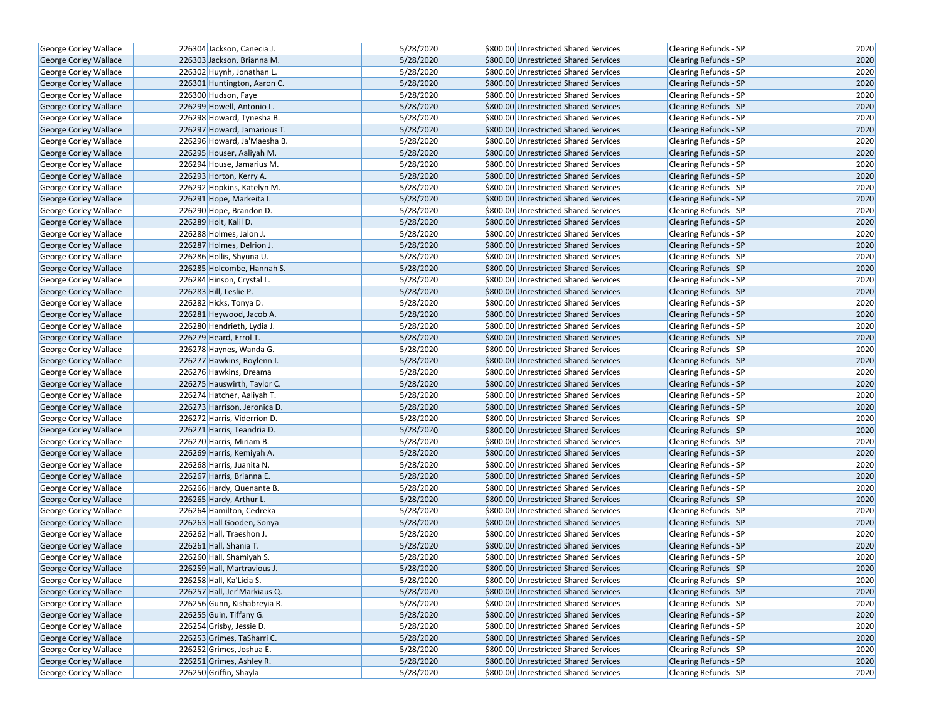| George Corley Wallace        | 226304 Jackson, Canecia J.   | 5/28/2020 | \$800.00 Unrestricted Shared Services | Clearing Refunds - SP        | 2020 |
|------------------------------|------------------------------|-----------|---------------------------------------|------------------------------|------|
| <b>George Corley Wallace</b> | 226303 Jackson, Brianna M.   | 5/28/2020 | \$800.00 Unrestricted Shared Services | <b>Clearing Refunds - SP</b> | 2020 |
| George Corley Wallace        | 226302 Huynh, Jonathan L.    | 5/28/2020 | \$800.00 Unrestricted Shared Services | Clearing Refunds - SP        | 2020 |
| <b>George Corley Wallace</b> | 226301 Huntington, Aaron C.  | 5/28/2020 | \$800.00 Unrestricted Shared Services | <b>Clearing Refunds - SP</b> | 2020 |
| George Corley Wallace        | 226300 Hudson, Faye          | 5/28/2020 | \$800.00 Unrestricted Shared Services | Clearing Refunds - SP        | 2020 |
| George Corley Wallace        | 226299 Howell, Antonio L.    | 5/28/2020 | \$800.00 Unrestricted Shared Services | <b>Clearing Refunds - SP</b> | 2020 |
| George Corley Wallace        | 226298 Howard, Tynesha B.    | 5/28/2020 | \$800.00 Unrestricted Shared Services | Clearing Refunds - SP        | 2020 |
| <b>George Corley Wallace</b> | 226297 Howard, Jamarious T.  | 5/28/2020 | \$800.00 Unrestricted Shared Services | <b>Clearing Refunds - SP</b> | 2020 |
| George Corley Wallace        | 226296 Howard, Ja'Maesha B.  | 5/28/2020 | \$800.00 Unrestricted Shared Services | Clearing Refunds - SP        | 2020 |
| George Corley Wallace        | 226295 Houser, Aaliyah M.    | 5/28/2020 | \$800.00 Unrestricted Shared Services | <b>Clearing Refunds - SP</b> | 2020 |
| George Corley Wallace        | 226294 House, Jamarius M.    | 5/28/2020 | \$800.00 Unrestricted Shared Services | Clearing Refunds - SP        | 2020 |
| George Corley Wallace        | 226293 Horton, Kerry A.      | 5/28/2020 | \$800.00 Unrestricted Shared Services | <b>Clearing Refunds - SP</b> | 2020 |
| George Corley Wallace        | 226292 Hopkins, Katelyn M.   | 5/28/2020 | \$800.00 Unrestricted Shared Services | <b>Clearing Refunds - SP</b> | 2020 |
| George Corley Wallace        | 226291 Hope, Markeita I.     | 5/28/2020 | \$800.00 Unrestricted Shared Services | <b>Clearing Refunds - SP</b> | 2020 |
| <b>George Corley Wallace</b> | 226290 Hope, Brandon D.      | 5/28/2020 | \$800.00 Unrestricted Shared Services | <b>Clearing Refunds - SP</b> | 2020 |
| George Corley Wallace        | 226289 Holt, Kalil D.        | 5/28/2020 | \$800.00 Unrestricted Shared Services | <b>Clearing Refunds - SP</b> | 2020 |
| George Corley Wallace        | 226288 Holmes, Jalon J.      | 5/28/2020 | \$800.00 Unrestricted Shared Services | Clearing Refunds - SP        | 2020 |
| George Corley Wallace        | 226287 Holmes, Delrion J.    | 5/28/2020 | \$800.00 Unrestricted Shared Services | <b>Clearing Refunds - SP</b> | 2020 |
| George Corley Wallace        | 226286 Hollis, Shyuna U.     | 5/28/2020 | \$800.00 Unrestricted Shared Services | Clearing Refunds - SP        | 2020 |
| George Corley Wallace        | 226285 Holcombe, Hannah S.   | 5/28/2020 | \$800.00 Unrestricted Shared Services | <b>Clearing Refunds - SP</b> | 2020 |
| George Corley Wallace        | 226284 Hinson, Crystal L.    | 5/28/2020 | \$800.00 Unrestricted Shared Services | <b>Clearing Refunds - SP</b> | 2020 |
| <b>George Corley Wallace</b> | 226283 Hill, Leslie P.       | 5/28/2020 | \$800.00 Unrestricted Shared Services | <b>Clearing Refunds - SP</b> | 2020 |
| George Corley Wallace        | 226282 Hicks, Tonya D.       | 5/28/2020 | \$800.00 Unrestricted Shared Services | Clearing Refunds - SP        | 2020 |
| George Corley Wallace        | 226281 Heywood, Jacob A.     | 5/28/2020 | \$800.00 Unrestricted Shared Services | <b>Clearing Refunds - SP</b> | 2020 |
| George Corley Wallace        | 226280 Hendrieth, Lydia J.   | 5/28/2020 | \$800.00 Unrestricted Shared Services | <b>Clearing Refunds - SP</b> | 2020 |
| George Corley Wallace        | 226279 Heard, Errol T.       | 5/28/2020 | \$800.00 Unrestricted Shared Services | <b>Clearing Refunds - SP</b> | 2020 |
| George Corley Wallace        | 226278 Haynes, Wanda G.      | 5/28/2020 | \$800.00 Unrestricted Shared Services | Clearing Refunds - SP        | 2020 |
| George Corley Wallace        | 226277 Hawkins, Roylenn I.   | 5/28/2020 | \$800.00 Unrestricted Shared Services | <b>Clearing Refunds - SP</b> | 2020 |
| George Corley Wallace        | 226276 Hawkins, Dreama       | 5/28/2020 | \$800.00 Unrestricted Shared Services | <b>Clearing Refunds - SP</b> | 2020 |
| George Corley Wallace        | 226275 Hauswirth, Taylor C.  | 5/28/2020 | \$800.00 Unrestricted Shared Services | <b>Clearing Refunds - SP</b> | 2020 |
| George Corley Wallace        | 226274 Hatcher, Aaliyah T.   | 5/28/2020 | \$800.00 Unrestricted Shared Services | Clearing Refunds - SP        | 2020 |
| George Corley Wallace        | 226273 Harrison, Jeronica D. | 5/28/2020 | \$800.00 Unrestricted Shared Services | <b>Clearing Refunds - SP</b> | 2020 |
| George Corley Wallace        | 226272 Harris, Viderrion D.  | 5/28/2020 | \$800.00 Unrestricted Shared Services | Clearing Refunds - SP        | 2020 |
| George Corley Wallace        | 226271 Harris, Teandria D.   | 5/28/2020 | \$800.00 Unrestricted Shared Services | <b>Clearing Refunds - SP</b> | 2020 |
| George Corley Wallace        | 226270 Harris, Miriam B.     | 5/28/2020 | \$800.00 Unrestricted Shared Services | Clearing Refunds - SP        | 2020 |
| George Corley Wallace        | 226269 Harris, Kemiyah A.    | 5/28/2020 | \$800.00 Unrestricted Shared Services | <b>Clearing Refunds - SP</b> | 2020 |
| George Corley Wallace        | 226268 Harris, Juanita N.    | 5/28/2020 | \$800.00 Unrestricted Shared Services | Clearing Refunds - SP        | 2020 |
| George Corley Wallace        | 226267 Harris, Brianna E.    | 5/28/2020 | \$800.00 Unrestricted Shared Services | <b>Clearing Refunds - SP</b> | 2020 |
| George Corley Wallace        | 226266 Hardy, Quenante B.    | 5/28/2020 | \$800.00 Unrestricted Shared Services | Clearing Refunds - SP        | 2020 |
| George Corley Wallace        | 226265 Hardy, Arthur L.      | 5/28/2020 | \$800.00 Unrestricted Shared Services | <b>Clearing Refunds - SP</b> | 2020 |
| George Corley Wallace        | 226264 Hamilton, Cedreka     | 5/28/2020 | \$800.00 Unrestricted Shared Services | Clearing Refunds - SP        | 2020 |
| George Corley Wallace        | 226263 Hall Gooden, Sonya    | 5/28/2020 | \$800.00 Unrestricted Shared Services | <b>Clearing Refunds - SP</b> | 2020 |
| George Corley Wallace        | 226262 Hall, Traeshon J.     | 5/28/2020 | \$800.00 Unrestricted Shared Services | Clearing Refunds - SP        | 2020 |
| George Corley Wallace        | 226261 Hall, Shania T.       | 5/28/2020 | \$800.00 Unrestricted Shared Services | <b>Clearing Refunds - SP</b> | 2020 |
| George Corley Wallace        | 226260 Hall, Shamiyah S.     | 5/28/2020 | \$800.00 Unrestricted Shared Services | Clearing Refunds - SP        | 2020 |
| George Corley Wallace        | 226259 Hall, Martravious J.  | 5/28/2020 | \$800.00 Unrestricted Shared Services | <b>Clearing Refunds - SP</b> | 2020 |
| George Corley Wallace        | 226258 Hall, Ka'Licia S.     | 5/28/2020 | \$800.00 Unrestricted Shared Services | Clearing Refunds - SP        | 2020 |
| George Corley Wallace        | 226257 Hall, Jer'Markiaus Q. | 5/28/2020 | \$800.00 Unrestricted Shared Services | <b>Clearing Refunds - SP</b> | 2020 |
| George Corley Wallace        | 226256 Gunn, Kishabreyia R.  | 5/28/2020 | \$800.00 Unrestricted Shared Services | Clearing Refunds - SP        | 2020 |
| George Corley Wallace        | 226255 Guin, Tiffany G.      | 5/28/2020 | \$800.00 Unrestricted Shared Services | <b>Clearing Refunds - SP</b> | 2020 |
| George Corley Wallace        | 226254 Grisby, Jessie D.     | 5/28/2020 | \$800.00 Unrestricted Shared Services | Clearing Refunds - SP        | 2020 |
| George Corley Wallace        | 226253 Grimes, TaSharri C.   | 5/28/2020 | \$800.00 Unrestricted Shared Services | <b>Clearing Refunds - SP</b> | 2020 |
| George Corley Wallace        | 226252 Grimes, Joshua E.     | 5/28/2020 | \$800.00 Unrestricted Shared Services | Clearing Refunds - SP        | 2020 |
| George Corley Wallace        | 226251 Grimes, Ashley R.     | 5/28/2020 | \$800.00 Unrestricted Shared Services | <b>Clearing Refunds - SP</b> | 2020 |
| George Corley Wallace        | 226250 Griffin, Shayla       | 5/28/2020 | \$800.00 Unrestricted Shared Services | Clearing Refunds - SP        | 2020 |
|                              |                              |           |                                       |                              |      |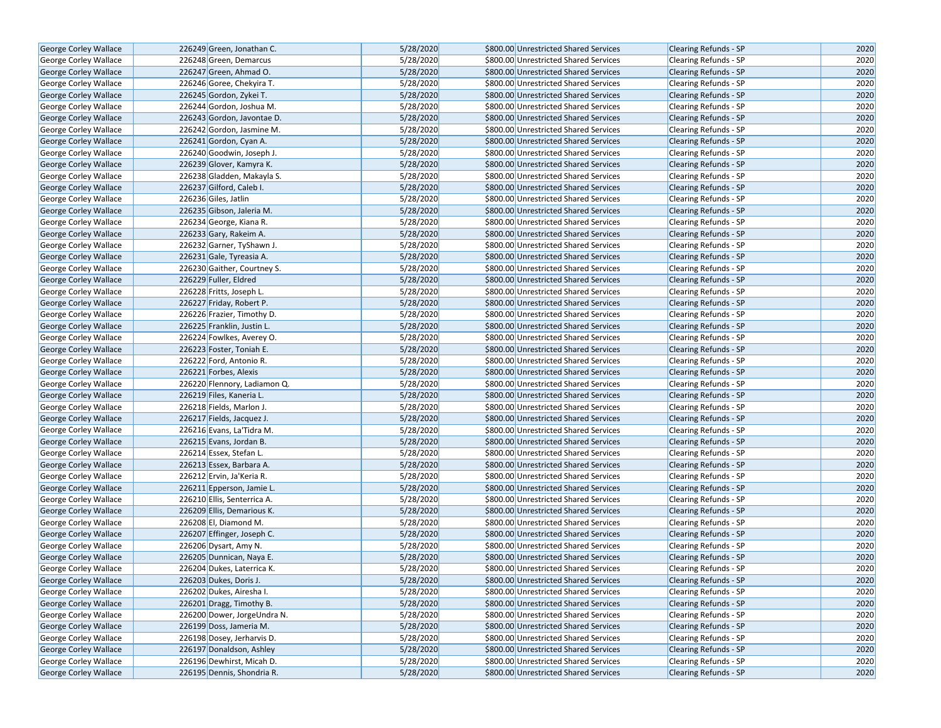| George Corley Wallace                          | 226249 Green, Jonathan C.                          | 5/28/2020              | \$800.00 Unrestricted Shared Services | <b>Clearing Refunds - SP</b>                                 | 2020 |
|------------------------------------------------|----------------------------------------------------|------------------------|---------------------------------------|--------------------------------------------------------------|------|
| <b>George Corley Wallace</b>                   | 226248 Green, Demarcus                             | 5/28/2020              | \$800.00 Unrestricted Shared Services | <b>Clearing Refunds - SP</b>                                 | 2020 |
| George Corley Wallace                          | 226247 Green, Ahmad O.                             | 5/28/2020              | \$800.00 Unrestricted Shared Services | <b>Clearing Refunds - SP</b>                                 | 2020 |
| George Corley Wallace                          | 226246 Goree, Chekyira T.                          | 5/28/2020              | \$800.00 Unrestricted Shared Services | <b>Clearing Refunds - SP</b>                                 | 2020 |
| George Corley Wallace                          | 226245 Gordon, Zykei T.                            | 5/28/2020              | \$800.00 Unrestricted Shared Services | <b>Clearing Refunds - SP</b>                                 | 2020 |
| George Corley Wallace                          | 226244 Gordon, Joshua M.                           | 5/28/2020              | \$800.00 Unrestricted Shared Services | Clearing Refunds - SP                                        | 2020 |
| George Corley Wallace                          | 226243 Gordon, Javontae D.                         | 5/28/2020              | \$800.00 Unrestricted Shared Services | <b>Clearing Refunds - SP</b>                                 | 2020 |
| <b>George Corley Wallace</b>                   | 226242 Gordon. Jasmine M.                          | 5/28/2020              | \$800.00 Unrestricted Shared Services | <b>Clearing Refunds - SP</b>                                 | 2020 |
| George Corley Wallace                          | 226241 Gordon, Cyan A.                             | 5/28/2020              | \$800.00 Unrestricted Shared Services | <b>Clearing Refunds - SP</b>                                 | 2020 |
| George Corley Wallace                          | 226240 Goodwin, Joseph J.                          | 5/28/2020              | \$800.00 Unrestricted Shared Services | Clearing Refunds - SP                                        | 2020 |
| George Corley Wallace                          | 226239 Glover, Kamyra K.                           | 5/28/2020              | \$800.00 Unrestricted Shared Services | <b>Clearing Refunds - SP</b>                                 | 2020 |
| George Corley Wallace                          | 226238 Gladden, Makayla S.                         | 5/28/2020              | \$800.00 Unrestricted Shared Services | <b>Clearing Refunds - SP</b>                                 | 2020 |
| George Corley Wallace                          | 226237 Gilford, Caleb I.                           | 5/28/2020              | \$800.00 Unrestricted Shared Services | <b>Clearing Refunds - SP</b>                                 | 2020 |
| George Corley Wallace                          | 226236 Giles, Jatlin                               | 5/28/2020              | \$800.00 Unrestricted Shared Services | Clearing Refunds - SP                                        | 2020 |
| <b>George Corley Wallace</b>                   | 226235 Gibson, Jaleria M.                          | 5/28/2020              | \$800.00 Unrestricted Shared Services | <b>Clearing Refunds - SP</b>                                 | 2020 |
| George Corley Wallace                          | 226234 George, Kiana R.                            | 5/28/2020              | \$800.00 Unrestricted Shared Services | <b>Clearing Refunds - SP</b>                                 | 2020 |
| George Corley Wallace                          | 226233 Gary, Rakeim A.                             | 5/28/2020              | \$800.00 Unrestricted Shared Services | <b>Clearing Refunds - SP</b>                                 | 2020 |
| George Corley Wallace                          | 226232 Garner, TyShawn J.                          | 5/28/2020              | \$800.00 Unrestricted Shared Services | Clearing Refunds - SP                                        | 2020 |
| George Corley Wallace                          | 226231 Gale, Tyreasia A.                           | 5/28/2020              | \$800.00 Unrestricted Shared Services | <b>Clearing Refunds - SP</b>                                 | 2020 |
| <b>George Corley Wallace</b>                   | 226230 Gaither, Courtney S.                        | 5/28/2020              | \$800.00 Unrestricted Shared Services | <b>Clearing Refunds - SP</b>                                 | 2020 |
| George Corley Wallace                          | 226229 Fuller, Eldred                              | 5/28/2020              | \$800.00 Unrestricted Shared Services | <b>Clearing Refunds - SP</b>                                 | 2020 |
| George Corley Wallace                          | 226228 Fritts, Joseph L.                           | 5/28/2020              | \$800.00 Unrestricted Shared Services | Clearing Refunds - SP                                        | 2020 |
| George Corley Wallace                          | 226227 Friday, Robert P.                           | 5/28/2020              | \$800.00 Unrestricted Shared Services | <b>Clearing Refunds - SP</b>                                 | 2020 |
| George Corley Wallace                          | 226226 Frazier, Timothy D.                         | 5/28/2020              | \$800.00 Unrestricted Shared Services | Clearing Refunds - SP                                        | 2020 |
| George Corley Wallace                          | 226225 Franklin, Justin L.                         | 5/28/2020              | \$800.00 Unrestricted Shared Services | <b>Clearing Refunds - SP</b>                                 | 2020 |
| George Corley Wallace                          | 226224 Fowlkes, Averey O.                          | 5/28/2020              | \$800.00 Unrestricted Shared Services |                                                              | 2020 |
|                                                | 226223 Foster, Toniah E.                           | 5/28/2020              | \$800.00 Unrestricted Shared Services | Clearing Refunds - SP<br><b>Clearing Refunds - SP</b>        | 2020 |
| George Corley Wallace                          | 226222 Ford, Antonio R.                            | 5/28/2020              | \$800.00 Unrestricted Shared Services | Clearing Refunds - SP                                        | 2020 |
| George Corley Wallace<br>George Corley Wallace | 226221 Forbes, Alexis                              | 5/28/2020              | \$800.00 Unrestricted Shared Services | <b>Clearing Refunds - SP</b>                                 | 2020 |
| George Corley Wallace                          | 226220 Flennory, Ladiamon Q.                       | 5/28/2020              | \$800.00 Unrestricted Shared Services | Clearing Refunds - SP                                        | 2020 |
| George Corley Wallace                          | 226219 Files, Kaneria L.                           | 5/28/2020              | \$800.00 Unrestricted Shared Services | <b>Clearing Refunds - SP</b>                                 | 2020 |
|                                                | 226218 Fields, Marlon J.                           | 5/28/2020              | \$800.00 Unrestricted Shared Services | Clearing Refunds - SP                                        | 2020 |
| George Corley Wallace<br>George Corley Wallace | 226217 Fields, Jacquez J.                          | 5/28/2020              | \$800.00 Unrestricted Shared Services | <b>Clearing Refunds - SP</b>                                 | 2020 |
|                                                | 226216 Evans, La'Tidra M.                          | 5/28/2020              | \$800.00 Unrestricted Shared Services |                                                              | 2020 |
| George Corley Wallace<br>George Corley Wallace | 226215 Evans, Jordan B.                            | 5/28/2020              | \$800.00 Unrestricted Shared Services | Clearing Refunds - SP<br><b>Clearing Refunds - SP</b>        | 2020 |
| George Corley Wallace                          | 226214 Essex, Stefan L.                            | 5/28/2020              | \$800.00 Unrestricted Shared Services | Clearing Refunds - SP                                        | 2020 |
| <b>George Corley Wallace</b>                   | 226213 Essex, Barbara A.                           | 5/28/2020              | \$800.00 Unrestricted Shared Services | <b>Clearing Refunds - SP</b>                                 | 2020 |
|                                                | 226212 Ervin, Ja'Keria R.                          | 5/28/2020              | \$800.00 Unrestricted Shared Services | Clearing Refunds - SP                                        | 2020 |
| George Corley Wallace<br>George Corley Wallace | 226211 Epperson, Jamie L.                          | 5/28/2020              | \$800.00 Unrestricted Shared Services | <b>Clearing Refunds - SP</b>                                 | 2020 |
| George Corley Wallace                          | 226210 Ellis, Senterrica A.                        | 5/28/2020              | \$800.00 Unrestricted Shared Services | Clearing Refunds - SP                                        | 2020 |
| <b>George Corley Wallace</b>                   | 226209 Ellis, Demarious K.                         | 5/28/2020              | \$800.00 Unrestricted Shared Services | Clearing Refunds - SP                                        | 2020 |
| George Corley Wallace                          | 226208 El, Diamond M.                              | 5/28/2020              | \$800.00 Unrestricted Shared Services | Clearing Refunds - SP                                        | 2020 |
| George Corley Wallace                          | 226207 Effinger, Joseph C.                         | 5/28/2020              | \$800.00 Unrestricted Shared Services | <b>Clearing Refunds - SP</b>                                 | 2020 |
| <b>George Corley Wallace</b>                   | 226206 Dysart, Amy N.                              | 5/28/2020              | \$800.00 Unrestricted Shared Services | Clearing Refunds - SP                                        | 2020 |
| <b>George Corley Wallace</b>                   | 226205 Dunnican, Naya E.                           | 5/28/2020              | \$800.00 Unrestricted Shared Services | <b>Clearing Refunds - SP</b>                                 | 2020 |
| George Corley Wallace                          | 226204 Dukes, Laterrica K.                         | 5/28/2020              | \$800.00 Unrestricted Shared Services | <b>Clearing Refunds - SP</b>                                 | 2020 |
|                                                |                                                    | 5/28/2020              | \$800.00 Unrestricted Shared Services |                                                              | 2020 |
| George Corley Wallace<br>George Corley Wallace | 226203 Dukes, Doris J.<br>226202 Dukes, Airesha I. | 5/28/2020              | \$800.00 Unrestricted Shared Services | <b>Clearing Refunds - SP</b><br>Clearing Refunds - SP        | 2020 |
| George Corley Wallace                          | 226201 Dragg, Timothy B.                           | 5/28/2020              | \$800.00 Unrestricted Shared Services | <b>Clearing Refunds - SP</b>                                 | 2020 |
| George Corley Wallace                          | 226200 Dower, JorgeUndra N.                        | 5/28/2020              | \$800.00 Unrestricted Shared Services | <b>Clearing Refunds - SP</b>                                 | 2020 |
|                                                | 226199 Doss, Jameria M.                            | 5/28/2020              | \$800.00 Unrestricted Shared Services | <b>Clearing Refunds - SP</b>                                 | 2020 |
| George Corley Wallace                          | 226198 Dosey, Jerharvis D.                         | 5/28/2020              | \$800.00 Unrestricted Shared Services | Clearing Refunds - SP                                        | 2020 |
| George Corley Wallace                          | 226197 Donaldson, Ashley                           |                        | \$800.00 Unrestricted Shared Services |                                                              | 2020 |
| George Corley Wallace                          | 226196 Dewhirst, Micah D.                          | 5/28/2020<br>5/28/2020 |                                       | <b>Clearing Refunds - SP</b>                                 |      |
| George Corley Wallace                          | 226195 Dennis, Shondria R.                         | 5/28/2020              | \$800.00 Unrestricted Shared Services | <b>Clearing Refunds - SP</b><br><b>Clearing Refunds - SP</b> | 2020 |
| George Corley Wallace                          |                                                    |                        | \$800.00 Unrestricted Shared Services |                                                              | 2020 |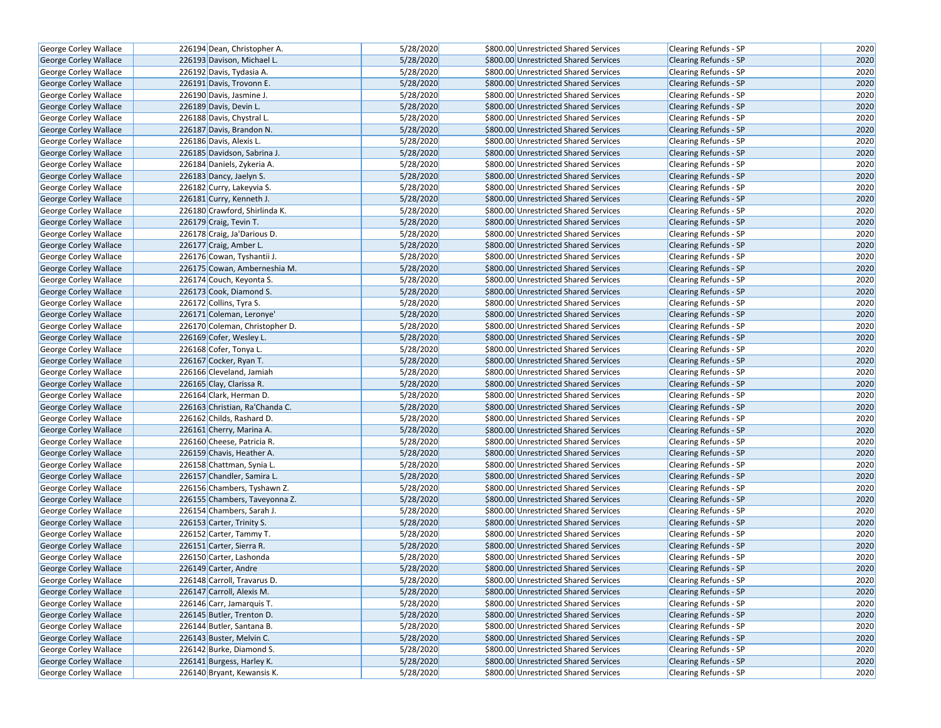| <b>George Corley Wallace</b>                   | 226194 Dean, Christopher A.                             | 5/28/2020              | \$800.00 Unrestricted Shared Services                                          | Clearing Refunds - SP        | 2020         |
|------------------------------------------------|---------------------------------------------------------|------------------------|--------------------------------------------------------------------------------|------------------------------|--------------|
| <b>George Corley Wallace</b>                   | 226193 Davison, Michael L.                              | 5/28/2020              | \$800.00 Unrestricted Shared Services                                          | <b>Clearing Refunds - SP</b> | 2020         |
| George Corley Wallace                          | 226192 Davis, Tydasia A.                                | 5/28/2020              | \$800.00 Unrestricted Shared Services                                          | Clearing Refunds - SP        | 2020         |
| <b>George Corley Wallace</b>                   | 226191 Davis, Trovonn E.                                | 5/28/2020              | \$800.00 Unrestricted Shared Services                                          | <b>Clearing Refunds - SP</b> | 2020         |
| George Corley Wallace                          | 226190 Davis, Jasmine J.                                | 5/28/2020              | \$800.00 Unrestricted Shared Services                                          | Clearing Refunds - SP        | 2020         |
| George Corley Wallace                          | 226189 Davis, Devin L.                                  | 5/28/2020              | \$800.00 Unrestricted Shared Services                                          | <b>Clearing Refunds - SP</b> | 2020         |
| George Corley Wallace                          | 226188 Davis, Chystral L.                               | 5/28/2020              | \$800.00 Unrestricted Shared Services                                          | Clearing Refunds - SP        | 2020         |
| <b>George Corley Wallace</b>                   | 226187 Davis, Brandon N.                                | 5/28/2020              | \$800.00 Unrestricted Shared Services                                          | <b>Clearing Refunds - SP</b> | 2020         |
| George Corley Wallace                          | 226186 Davis, Alexis L.                                 | 5/28/2020              | \$800.00 Unrestricted Shared Services                                          | <b>Clearing Refunds - SP</b> | 2020         |
| George Corley Wallace                          | 226185 Davidson, Sabrina J.                             | 5/28/2020              | \$800.00 Unrestricted Shared Services                                          | <b>Clearing Refunds - SP</b> | 2020         |
| George Corley Wallace                          | 226184 Daniels, Zykeria A.                              | 5/28/2020              | \$800.00 Unrestricted Shared Services                                          | Clearing Refunds - SP        | 2020         |
| George Corley Wallace                          | 226183 Dancy, Jaelyn S.                                 | 5/28/2020              | \$800.00 Unrestricted Shared Services                                          | <b>Clearing Refunds - SP</b> | 2020         |
| <b>George Corley Wallace</b>                   | 226182 Curry, Lakeyvia S.                               | 5/28/2020              | \$800.00 Unrestricted Shared Services                                          | <b>Clearing Refunds - SP</b> | 2020         |
| George Corley Wallace                          | 226181 Curry, Kenneth J.                                | 5/28/2020              | \$800.00 Unrestricted Shared Services                                          | <b>Clearing Refunds - SP</b> | 2020         |
| George Corley Wallace                          | 226180 Crawford, Shirlinda K.                           | 5/28/2020              | \$800.00 Unrestricted Shared Services                                          | <b>Clearing Refunds - SP</b> | 2020         |
| <b>George Corley Wallace</b>                   | 226179 Craig, Tevin T.                                  | 5/28/2020              | \$800.00 Unrestricted Shared Services                                          | <b>Clearing Refunds - SP</b> | 2020         |
| George Corley Wallace                          | 226178 Craig, Ja'Darious D.                             | 5/28/2020              | \$800.00 Unrestricted Shared Services                                          | Clearing Refunds - SP        | 2020         |
| George Corley Wallace                          | 226177 Craig, Amber L.                                  | 5/28/2020              | \$800.00 Unrestricted Shared Services                                          | <b>Clearing Refunds - SP</b> | 2020         |
| George Corley Wallace                          | 226176 Cowan, Tyshantii J.                              | 5/28/2020              | \$800.00 Unrestricted Shared Services                                          | Clearing Refunds - SP        | 2020         |
| George Corley Wallace                          | 226175 Cowan, Amberneshia M.                            | 5/28/2020              | \$800.00 Unrestricted Shared Services                                          | <b>Clearing Refunds - SP</b> | 2020         |
| George Corley Wallace                          | 226174 Couch, Keyonta S.                                | 5/28/2020              | \$800.00 Unrestricted Shared Services                                          | <b>Clearing Refunds - SP</b> | 2020         |
| George Corley Wallace                          | 226173 Cook, Diamond S.                                 | 5/28/2020              | \$800.00 Unrestricted Shared Services                                          | <b>Clearing Refunds - SP</b> | 2020         |
| George Corley Wallace                          | 226172 Collins, Tyra S.                                 | 5/28/2020              | \$800.00 Unrestricted Shared Services                                          | Clearing Refunds - SP        | 2020         |
| George Corley Wallace                          | 226171 Coleman, Leronye'                                | 5/28/2020              | \$800.00 Unrestricted Shared Services                                          | Clearing Refunds - SP        | 2020         |
| George Corley Wallace                          | 226170 Coleman, Christopher D.                          | 5/28/2020              | \$800.00 Unrestricted Shared Services                                          | <b>Clearing Refunds - SP</b> | 2020         |
| <b>George Corley Wallace</b>                   | 226169 Cofer, Wesley L.                                 | 5/28/2020              | \$800.00 Unrestricted Shared Services                                          | <b>Clearing Refunds - SP</b> | 2020         |
| George Corley Wallace                          | 226168 Cofer, Tonya L.                                  | 5/28/2020              | \$800.00 Unrestricted Shared Services                                          | Clearing Refunds - SP        | 2020         |
| George Corley Wallace                          | 226167 Cocker, Ryan T.                                  | 5/28/2020              | \$800.00 Unrestricted Shared Services                                          | <b>Clearing Refunds - SP</b> | 2020         |
| George Corley Wallace                          | 226166 Cleveland, Jamiah                                | 5/28/2020              | \$800.00 Unrestricted Shared Services                                          | <b>Clearing Refunds - SP</b> | 2020         |
|                                                | 226165 Clay, Clarissa R.                                | 5/28/2020              | \$800.00 Unrestricted Shared Services                                          | <b>Clearing Refunds - SP</b> | 2020         |
| George Corley Wallace                          | 226164 Clark, Herman D.                                 | 5/28/2020              | \$800.00 Unrestricted Shared Services                                          |                              | 2020         |
| George Corley Wallace                          | 226163 Christian, Ra'Chanda C.                          | 5/28/2020              | \$800.00 Unrestricted Shared Services                                          | Clearing Refunds - SP        | 2020         |
| George Corley Wallace                          |                                                         | 5/28/2020              |                                                                                | Clearing Refunds - SP        | 2020         |
| George Corley Wallace                          | 226162 Childs, Rashard D.                               |                        | \$800.00 Unrestricted Shared Services                                          | <b>Clearing Refunds - SP</b> |              |
| <b>George Corley Wallace</b>                   | 226161 Cherry, Marina A.                                | 5/28/2020<br>5/28/2020 | \$800.00 Unrestricted Shared Services<br>\$800.00 Unrestricted Shared Services | <b>Clearing Refunds - SP</b> | 2020<br>2020 |
| George Corley Wallace<br>George Corley Wallace | 226160 Cheese, Patricia R.<br>226159 Chavis, Heather A. | 5/28/2020              | \$800.00 Unrestricted Shared Services                                          | Clearing Refunds - SP        | 2020         |
|                                                |                                                         | 5/28/2020              |                                                                                | <b>Clearing Refunds - SP</b> | 2020         |
| George Corley Wallace                          | 226158 Chattman, Synia L.                               |                        | \$800.00 Unrestricted Shared Services                                          | Clearing Refunds - SP        |              |
| George Corley Wallace                          | 226157 Chandler, Samira L.                              | 5/28/2020              | \$800.00 Unrestricted Shared Services                                          | <b>Clearing Refunds - SP</b> | 2020         |
| George Corley Wallace                          | 226156 Chambers, Tyshawn Z.                             | 5/28/2020              | \$800.00 Unrestricted Shared Services                                          | Clearing Refunds - SP        | 2020         |
| George Corley Wallace                          | 226155 Chambers, Taveyonna Z.                           | 5/28/2020              | \$800.00 Unrestricted Shared Services                                          | Clearing Refunds - SP        | 2020         |
| George Corley Wallace                          | 226154 Chambers, Sarah J.                               | 5/28/2020              | \$800.00 Unrestricted Shared Services                                          | Clearing Refunds - SP        | 2020         |
| George Corley Wallace                          | 226153 Carter, Trinity S.                               | 5/28/2020              | \$800.00 Unrestricted Shared Services                                          | <b>Clearing Refunds - SP</b> | 2020         |
| George Corley Wallace                          | 226152 Carter, Tammy T.                                 | 5/28/2020              | \$800.00 Unrestricted Shared Services                                          | Clearing Refunds - SP        | 2020         |
| George Corley Wallace                          | 226151 Carter, Sierra R.                                | 5/28/2020              | \$800.00 Unrestricted Shared Services                                          | Clearing Refunds - SP        | 2020         |
| <b>George Corley Wallace</b>                   | 226150 Carter, Lashonda                                 | 5/28/2020              | \$800.00 Unrestricted Shared Services                                          | Clearing Refunds - SP        | 2020         |
| George Corley Wallace                          | 226149 Carter, Andre                                    | 5/28/2020              | \$800.00 Unrestricted Shared Services                                          | <b>Clearing Refunds - SP</b> | 2020         |
| George Corley Wallace                          | 226148 Carroll, Travarus D.                             | 5/28/2020              | \$800.00 Unrestricted Shared Services                                          | Clearing Refunds - SP        | 2020         |
| George Corley Wallace                          | 226147 Carroll, Alexis M.                               | 5/28/2020              | \$800.00 Unrestricted Shared Services                                          | Clearing Refunds - SP        | 2020         |
| George Corley Wallace                          | 226146 Carr, Jamarquis T.                               | 5/28/2020              | \$800.00 Unrestricted Shared Services                                          | Clearing Refunds - SP        | 2020         |
| George Corley Wallace                          | 226145 Butler, Trenton D.                               | 5/28/2020              | \$800.00 Unrestricted Shared Services                                          | <b>Clearing Refunds - SP</b> | 2020         |
| George Corley Wallace                          | 226144 Butler, Santana B.                               | 5/28/2020              | \$800.00 Unrestricted Shared Services                                          | Clearing Refunds - SP        | 2020         |
| George Corley Wallace                          | 226143 Buster, Melvin C.                                | 5/28/2020              | \$800.00 Unrestricted Shared Services                                          | Clearing Refunds - SP        | 2020         |
| George Corley Wallace                          | 226142 Burke, Diamond S.                                | 5/28/2020              | \$800.00 Unrestricted Shared Services                                          | Clearing Refunds - SP        | 2020         |
| George Corley Wallace                          | 226141 Burgess, Harley K.                               | 5/28/2020              | \$800.00 Unrestricted Shared Services                                          | <b>Clearing Refunds - SP</b> | 2020         |
| George Corley Wallace                          | 226140 Bryant, Kewansis K.                              | 5/28/2020              | \$800.00 Unrestricted Shared Services                                          | Clearing Refunds - SP        | 2020         |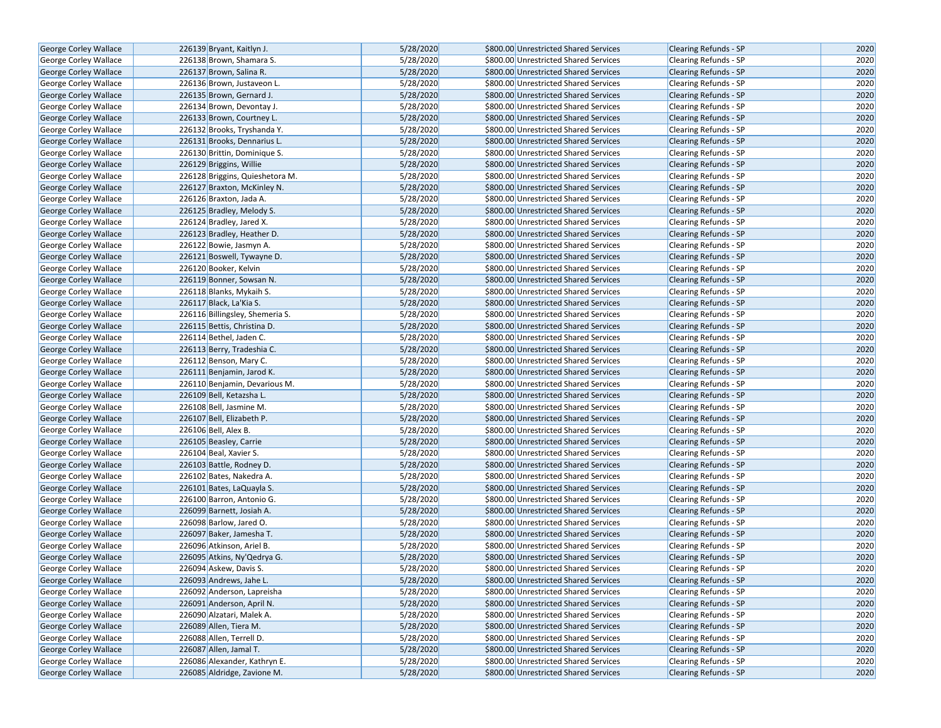| George Corley Wallace        | 226139 Bryant, Kaitlyn J.       | 5/28/2020 | \$800.00 Unrestricted Shared Services | <b>Clearing Refunds - SP</b> | 2020 |
|------------------------------|---------------------------------|-----------|---------------------------------------|------------------------------|------|
| <b>George Corley Wallace</b> | 226138 Brown, Shamara S.        | 5/28/2020 | \$800.00 Unrestricted Shared Services | <b>Clearing Refunds - SP</b> | 2020 |
| <b>George Corley Wallace</b> | 226137 Brown, Salina R.         | 5/28/2020 | \$800.00 Unrestricted Shared Services | <b>Clearing Refunds - SP</b> | 2020 |
| George Corley Wallace        | 226136 Brown, Justaveon L.      | 5/28/2020 | \$800.00 Unrestricted Shared Services | <b>Clearing Refunds - SP</b> | 2020 |
| George Corley Wallace        | 226135 Brown, Gernard J.        | 5/28/2020 | \$800.00 Unrestricted Shared Services | Clearing Refunds - SP        | 2020 |
| George Corley Wallace        | 226134 Brown, Devontay J.       | 5/28/2020 | \$800.00 Unrestricted Shared Services | Clearing Refunds - SP        | 2020 |
| George Corley Wallace        | 226133 Brown, Courtney L.       | 5/28/2020 | \$800.00 Unrestricted Shared Services | <b>Clearing Refunds - SP</b> | 2020 |
| <b>George Corley Wallace</b> | 226132 Brooks, Tryshanda Y.     | 5/28/2020 | \$800.00 Unrestricted Shared Services | <b>Clearing Refunds - SP</b> | 2020 |
| <b>George Corley Wallace</b> | 226131 Brooks, Dennarius L.     | 5/28/2020 | \$800.00 Unrestricted Shared Services | <b>Clearing Refunds - SP</b> | 2020 |
| George Corley Wallace        | 226130 Brittin, Dominique S.    | 5/28/2020 | \$800.00 Unrestricted Shared Services | Clearing Refunds - SP        | 2020 |
| <b>George Corley Wallace</b> | 226129 Briggins, Willie         | 5/28/2020 | \$800.00 Unrestricted Shared Services | Clearing Refunds - SP        | 2020 |
| George Corley Wallace        | 226128 Briggins, Quieshetora M. | 5/28/2020 | \$800.00 Unrestricted Shared Services | <b>Clearing Refunds - SP</b> | 2020 |
| George Corley Wallace        | 226127 Braxton, McKinley N.     | 5/28/2020 | \$800.00 Unrestricted Shared Services | <b>Clearing Refunds - SP</b> | 2020 |
| George Corley Wallace        | 226126 Braxton, Jada A.         | 5/28/2020 | \$800.00 Unrestricted Shared Services | Clearing Refunds - SP        | 2020 |
| <b>George Corley Wallace</b> | 226125 Bradley, Melody S.       | 5/28/2020 | \$800.00 Unrestricted Shared Services | <b>Clearing Refunds - SP</b> | 2020 |
| <b>George Corley Wallace</b> | 226124 Bradley, Jared X.        | 5/28/2020 | \$800.00 Unrestricted Shared Services | <b>Clearing Refunds - SP</b> | 2020 |
| George Corley Wallace        | 226123 Bradley, Heather D.      | 5/28/2020 | \$800.00 Unrestricted Shared Services | <b>Clearing Refunds - SP</b> | 2020 |
| George Corley Wallace        | 226122 Bowie, Jasmyn A.         | 5/28/2020 | \$800.00 Unrestricted Shared Services | Clearing Refunds - SP        | 2020 |
| George Corley Wallace        | 226121 Boswell, Tywayne D.      | 5/28/2020 | \$800.00 Unrestricted Shared Services | <b>Clearing Refunds - SP</b> | 2020 |
| George Corley Wallace        | 226120 Booker, Kelvin           | 5/28/2020 | \$800.00 Unrestricted Shared Services | <b>Clearing Refunds - SP</b> | 2020 |
| <b>George Corley Wallace</b> | 226119 Bonner, Sowsan N.        | 5/28/2020 | \$800.00 Unrestricted Shared Services | <b>Clearing Refunds - SP</b> | 2020 |
| George Corley Wallace        | 226118 Blanks, Mykaih S.        | 5/28/2020 | \$800.00 Unrestricted Shared Services | Clearing Refunds - SP        | 2020 |
| George Corley Wallace        | 226117 Black, La'Kia S.         | 5/28/2020 | \$800.00 Unrestricted Shared Services | <b>Clearing Refunds - SP</b> | 2020 |
| George Corley Wallace        | 226116 Billingsley, Shemeria S. | 5/28/2020 | \$800.00 Unrestricted Shared Services | Clearing Refunds - SP        | 2020 |
| George Corley Wallace        | 226115 Bettis, Christina D.     | 5/28/2020 | \$800.00 Unrestricted Shared Services | <b>Clearing Refunds - SP</b> | 2020 |
| George Corley Wallace        | 226114 Bethel, Jaden C.         | 5/28/2020 | \$800.00 Unrestricted Shared Services | Clearing Refunds - SP        | 2020 |
| George Corley Wallace        | 226113 Berry, Tradeshia C.      | 5/28/2020 | \$800.00 Unrestricted Shared Services | Clearing Refunds - SP        | 2020 |
| <b>George Corley Wallace</b> | 226112 Benson, Mary C.          | 5/28/2020 | \$800.00 Unrestricted Shared Services | Clearing Refunds - SP        | 2020 |
| George Corley Wallace        | 226111 Benjamin, Jarod K.       | 5/28/2020 | \$800.00 Unrestricted Shared Services | <b>Clearing Refunds - SP</b> | 2020 |
| George Corley Wallace        | 226110 Benjamin, Devarious M.   | 5/28/2020 | \$800.00 Unrestricted Shared Services | Clearing Refunds - SP        | 2020 |
| <b>George Corley Wallace</b> | 226109 Bell, Ketazsha L.        | 5/28/2020 | \$800.00 Unrestricted Shared Services | <b>Clearing Refunds - SP</b> | 2020 |
| George Corley Wallace        | 226108 Bell, Jasmine M.         | 5/28/2020 | \$800.00 Unrestricted Shared Services | <b>Clearing Refunds - SP</b> | 2020 |
| George Corley Wallace        | 226107 Bell, Elizabeth P.       | 5/28/2020 | \$800.00 Unrestricted Shared Services | <b>Clearing Refunds - SP</b> | 2020 |
| George Corley Wallace        | 226106 Bell, Alex B.            | 5/28/2020 | \$800.00 Unrestricted Shared Services | Clearing Refunds - SP        | 2020 |
| George Corley Wallace        | 226105 Beasley, Carrie          | 5/28/2020 | \$800.00 Unrestricted Shared Services | <b>Clearing Refunds - SP</b> | 2020 |
| George Corley Wallace        | 226104 Beal, Xavier S.          | 5/28/2020 | \$800.00 Unrestricted Shared Services | Clearing Refunds - SP        | 2020 |
| <b>George Corley Wallace</b> | 226103 Battle, Rodney D.        | 5/28/2020 | \$800.00 Unrestricted Shared Services | <b>Clearing Refunds - SP</b> | 2020 |
| George Corley Wallace        | 226102 Bates, Nakedra A.        | 5/28/2020 | \$800.00 Unrestricted Shared Services | Clearing Refunds - SP        | 2020 |
| George Corley Wallace        | 226101 Bates, LaQuayla S.       | 5/28/2020 | \$800.00 Unrestricted Shared Services | <b>Clearing Refunds - SP</b> | 2020 |
| George Corley Wallace        | 226100 Barron, Antonio G.       | 5/28/2020 | \$800.00 Unrestricted Shared Services | Clearing Refunds - SP        | 2020 |
| <b>George Corley Wallace</b> | 226099 Barnett, Josiah A.       | 5/28/2020 | \$800.00 Unrestricted Shared Services | <b>Clearing Refunds - SP</b> | 2020 |
| George Corley Wallace        | 226098 Barlow, Jared O.         | 5/28/2020 | \$800.00 Unrestricted Shared Services | Clearing Refunds - SP        | 2020 |
| George Corley Wallace        | 226097 Baker, Jamesha T.        | 5/28/2020 | \$800.00 Unrestricted Shared Services | <b>Clearing Refunds - SP</b> | 2020 |
| George Corley Wallace        | 226096 Atkinson, Ariel B.       | 5/28/2020 | \$800.00 Unrestricted Shared Services | Clearing Refunds - SP        | 2020 |
| <b>George Corley Wallace</b> | 226095 Atkins, Ny'Qedrya G.     | 5/28/2020 | \$800.00 Unrestricted Shared Services | <b>Clearing Refunds - SP</b> | 2020 |
| George Corley Wallace        | 226094 Askew, Davis S.          | 5/28/2020 | \$800.00 Unrestricted Shared Services | <b>Clearing Refunds - SP</b> | 2020 |
| George Corley Wallace        | 226093 Andrews, Jahe L.         | 5/28/2020 | \$800.00 Unrestricted Shared Services | <b>Clearing Refunds - SP</b> | 2020 |
| George Corley Wallace        | 226092 Anderson, Lapreisha      | 5/28/2020 | \$800.00 Unrestricted Shared Services | Clearing Refunds - SP        | 2020 |
| George Corley Wallace        | 226091 Anderson, April N.       | 5/28/2020 | \$800.00 Unrestricted Shared Services | <b>Clearing Refunds - SP</b> | 2020 |
| <b>George Corley Wallace</b> | 226090 Alzatari, Malek A.       | 5/28/2020 | \$800.00 Unrestricted Shared Services | <b>Clearing Refunds - SP</b> | 2020 |
| George Corley Wallace        | 226089 Allen, Tiera M.          | 5/28/2020 | \$800.00 Unrestricted Shared Services | Clearing Refunds - SP        | 2020 |
| <b>George Corley Wallace</b> | 226088 Allen, Terrell D.        | 5/28/2020 | \$800.00 Unrestricted Shared Services | <b>Clearing Refunds - SP</b> | 2020 |
| George Corley Wallace        | 226087 Allen, Jamal T.          | 5/28/2020 | \$800.00 Unrestricted Shared Services | Clearing Refunds - SP        | 2020 |
| George Corley Wallace        | 226086 Alexander, Kathryn E.    | 5/28/2020 | \$800.00 Unrestricted Shared Services | Clearing Refunds - SP        | 2020 |
| George Corley Wallace        | 226085 Aldridge, Zavione M.     | 5/28/2020 | \$800.00 Unrestricted Shared Services | Clearing Refunds - SP        | 2020 |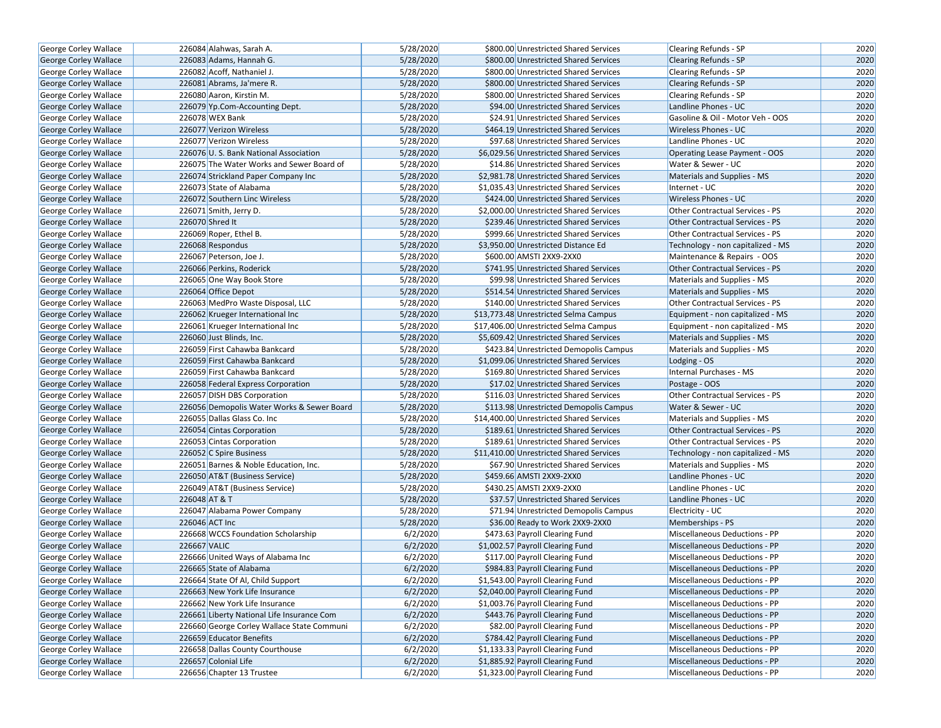| George Corley Wallace        | 226084 Alahwas, Sarah A.                   | 5/28/2020 | \$800.00 Unrestricted Shared Services    | Clearing Refunds - SP                  | 2020 |
|------------------------------|--------------------------------------------|-----------|------------------------------------------|----------------------------------------|------|
| <b>George Corley Wallace</b> | 226083 Adams, Hannah G.                    | 5/28/2020 | \$800.00 Unrestricted Shared Services    | <b>Clearing Refunds - SP</b>           | 2020 |
| George Corley Wallace        | 226082 Acoff, Nathaniel J.                 | 5/28/2020 | \$800.00 Unrestricted Shared Services    | Clearing Refunds - SP                  | 2020 |
| George Corley Wallace        | 226081 Abrams, Ja'mere R.                  | 5/28/2020 | \$800.00 Unrestricted Shared Services    | <b>Clearing Refunds - SP</b>           | 2020 |
| George Corley Wallace        | 226080 Aaron, Kirstin M.                   | 5/28/2020 | \$800.00 Unrestricted Shared Services    | <b>Clearing Refunds - SP</b>           | 2020 |
| <b>George Corley Wallace</b> | 226079 Yp.Com-Accounting Dept.             | 5/28/2020 | \$94.00 Unrestricted Shared Services     | Landline Phones - UC                   | 2020 |
| George Corley Wallace        | 226078 WEX Bank                            | 5/28/2020 | \$24.91 Unrestricted Shared Services     | Gasoline & Oil - Motor Veh - OOS       | 2020 |
| <b>George Corley Wallace</b> | 226077 Verizon Wireless                    | 5/28/2020 | \$464.19 Unrestricted Shared Services    | <b>Wireless Phones - UC</b>            | 2020 |
| George Corley Wallace        | 226077 Verizon Wireless                    | 5/28/2020 | \$97.68 Unrestricted Shared Services     | Landline Phones - UC                   | 2020 |
| George Corley Wallace        | 226076 U.S. Bank National Association      | 5/28/2020 | \$6,029.56 Unrestricted Shared Services  | <b>Operating Lease Payment - OOS</b>   | 2020 |
| George Corley Wallace        | 226075 The Water Works and Sewer Board of  | 5/28/2020 | \$14.86 Unrestricted Shared Services     | Water & Sewer - UC                     | 2020 |
| George Corley Wallace        | 226074 Strickland Paper Company Inc        | 5/28/2020 | \$2,981.78 Unrestricted Shared Services  | <b>Materials and Supplies - MS</b>     | 2020 |
| George Corley Wallace        | 226073 State of Alabama                    | 5/28/2020 | \$1.035.43 Unrestricted Shared Services  | Internet - UC                          | 2020 |
| <b>George Corley Wallace</b> | 226072 Southern Linc Wireless              | 5/28/2020 | \$424.00 Unrestricted Shared Services    | <b>Wireless Phones - UC</b>            | 2020 |
| <b>George Corley Wallace</b> | 226071 Smith, Jerry D.                     | 5/28/2020 | \$2,000.00 Unrestricted Shared Services  | Other Contractual Services - PS        | 2020 |
| George Corley Wallace        | 226070 Shred It                            | 5/28/2020 | \$239.46 Unrestricted Shared Services    | <b>Other Contractual Services - PS</b> | 2020 |
| George Corley Wallace        | 226069 Roper, Ethel B.                     | 5/28/2020 | \$999.66 Unrestricted Shared Services    | <b>Other Contractual Services - PS</b> | 2020 |
| George Corley Wallace        | 226068 Respondus                           | 5/28/2020 | \$3,950.00 Unrestricted Distance Ed      | Technology - non capitalized - MS      | 2020 |
| George Corley Wallace        | 226067 Peterson, Joe J.                    | 5/28/2020 | \$600.00 AMSTI 2XX9-2XX0                 | Maintenance & Repairs - OOS            | 2020 |
| George Corley Wallace        | 226066 Perkins, Roderick                   | 5/28/2020 | \$741.95 Unrestricted Shared Services    | <b>Other Contractual Services - PS</b> | 2020 |
| <b>George Corley Wallace</b> | 226065 One Way Book Store                  | 5/28/2020 | \$99.98 Unrestricted Shared Services     | Materials and Supplies - MS            | 2020 |
| George Corley Wallace        | 226064 Office Depot                        | 5/28/2020 | \$514.54 Unrestricted Shared Services    | Materials and Supplies - MS            | 2020 |
| George Corley Wallace        | 226063 MedPro Waste Disposal, LLC          | 5/28/2020 | \$140.00 Unrestricted Shared Services    | Other Contractual Services - PS        | 2020 |
| George Corley Wallace        | 226062 Krueger International Inc           | 5/28/2020 | \$13,773.48 Unrestricted Selma Campus    | Equipment - non capitalized - MS       | 2020 |
| <b>George Corley Wallace</b> | 226061 Krueger International Inc           | 5/28/2020 | \$17,406.00 Unrestricted Selma Campus    | Equipment - non capitalized - MS       | 2020 |
| George Corley Wallace        | 226060 Just Blinds, Inc.                   | 5/28/2020 | \$5,609.42 Unrestricted Shared Services  | Materials and Supplies - MS            | 2020 |
| George Corley Wallace        | 226059 First Cahawba Bankcard              | 5/28/2020 | \$423.84 Unrestricted Demopolis Campus   | Materials and Supplies - MS            | 2020 |
| George Corley Wallace        | 226059 First Cahawba Bankcard              | 5/28/2020 | \$1,099.06 Unrestricted Shared Services  | Lodging - OS                           | 2020 |
| George Corley Wallace        | 226059 First Cahawba Bankcard              | 5/28/2020 | \$169.80 Unrestricted Shared Services    | Internal Purchases - MS                | 2020 |
| <b>George Corley Wallace</b> | 226058 Federal Express Corporation         | 5/28/2020 | \$17.02 Unrestricted Shared Services     | Postage - OOS                          | 2020 |
| George Corley Wallace        | 226057 DISH DBS Corporation                | 5/28/2020 | \$116.03 Unrestricted Shared Services    | Other Contractual Services - PS        | 2020 |
| George Corley Wallace        | 226056 Demopolis Water Works & Sewer Board | 5/28/2020 | \$113.98 Unrestricted Demopolis Campus   | Water & Sewer - UC                     | 2020 |
| George Corley Wallace        | 226055 Dallas Glass Co. Inc                | 5/28/2020 | \$14,400.00 Unrestricted Shared Services | Materials and Supplies - MS            | 2020 |
| <b>George Corley Wallace</b> | 226054 Cintas Corporation                  | 5/28/2020 | \$189.61 Unrestricted Shared Services    | Other Contractual Services - PS        | 2020 |
| George Corley Wallace        | 226053 Cintas Corporation                  | 5/28/2020 | \$189.61 Unrestricted Shared Services    | Other Contractual Services - PS        | 2020 |
| <b>George Corley Wallace</b> | 226052 C Spire Business                    | 5/28/2020 | \$11,410.00 Unrestricted Shared Services | Technology - non capitalized - MS      | 2020 |
| George Corley Wallace        | 226051 Barnes & Noble Education, Inc.      | 5/28/2020 | \$67.90 Unrestricted Shared Services     | Materials and Supplies - MS            | 2020 |
| George Corley Wallace        | 226050 AT&T (Business Service)             | 5/28/2020 | \$459.66 AMSTI 2XX9-2XX0                 | Landline Phones - UC                   | 2020 |
| George Corley Wallace        | 226049 AT&T (Business Service)             | 5/28/2020 | \$430.25 AMSTI 2XX9-2XX0                 | Landline Phones - UC                   | 2020 |
| George Corley Wallace        | 226048 AT & T                              | 5/28/2020 | \$37.57 Unrestricted Shared Services     | Landline Phones - UC                   | 2020 |
| George Corley Wallace        | 226047 Alabama Power Company               | 5/28/2020 | \$71.94 Unrestricted Demopolis Campus    | Electricity - UC                       | 2020 |
| George Corley Wallace        | 226046 ACT Inc                             | 5/28/2020 | \$36.00 Ready to Work 2XX9-2XX0          | Memberships - PS                       | 2020 |
| George Corley Wallace        | 226668 WCCS Foundation Scholarship         | 6/2/2020  | \$473.63 Payroll Clearing Fund           | Miscellaneous Deductions - PP          | 2020 |
| George Corley Wallace        | 226667 VALIC                               | 6/2/2020  | \$1,002.57 Payroll Clearing Fund         | Miscellaneous Deductions - PP          | 2020 |
| George Corley Wallace        | 226666 United Ways of Alabama Inc          | 6/2/2020  | \$117.00 Payroll Clearing Fund           | Miscellaneous Deductions - PP          | 2020 |
| George Corley Wallace        | 226665 State of Alabama                    | 6/2/2020  | \$984.83 Payroll Clearing Fund           | Miscellaneous Deductions - PP          | 2020 |
| <b>George Corley Wallace</b> | 226664 State Of Al, Child Support          | 6/2/2020  | \$1,543.00 Payroll Clearing Fund         | Miscellaneous Deductions - PP          | 2020 |
| George Corley Wallace        | 226663 New York Life Insurance             | 6/2/2020  | \$2,040.00 Payroll Clearing Fund         | Miscellaneous Deductions - PP          | 2020 |
| George Corley Wallace        | 226662 New York Life Insurance             | 6/2/2020  | \$1,003.76 Payroll Clearing Fund         | Miscellaneous Deductions - PP          | 2020 |
| George Corley Wallace        | 226661 Liberty National Life Insurance Com | 6/2/2020  | \$443.76 Payroll Clearing Fund           | Miscellaneous Deductions - PP          | 2020 |
| George Corley Wallace        | 226660 George Corley Wallace State Communi | 6/2/2020  | \$82.00 Payroll Clearing Fund            | Miscellaneous Deductions - PP          | 2020 |
| George Corley Wallace        | 226659 Educator Benefits                   | 6/2/2020  | \$784.42 Payroll Clearing Fund           | Miscellaneous Deductions - PP          | 2020 |
| George Corley Wallace        | 226658 Dallas County Courthouse            | 6/2/2020  | \$1,133.33 Payroll Clearing Fund         | Miscellaneous Deductions - PP          | 2020 |
| George Corley Wallace        | 226657 Colonial Life                       | 6/2/2020  | \$1,885.92 Payroll Clearing Fund         | Miscellaneous Deductions - PP          | 2020 |
| George Corley Wallace        | 226656 Chapter 13 Trustee                  | 6/2/2020  | \$1,323.00 Payroll Clearing Fund         | Miscellaneous Deductions - PP          | 2020 |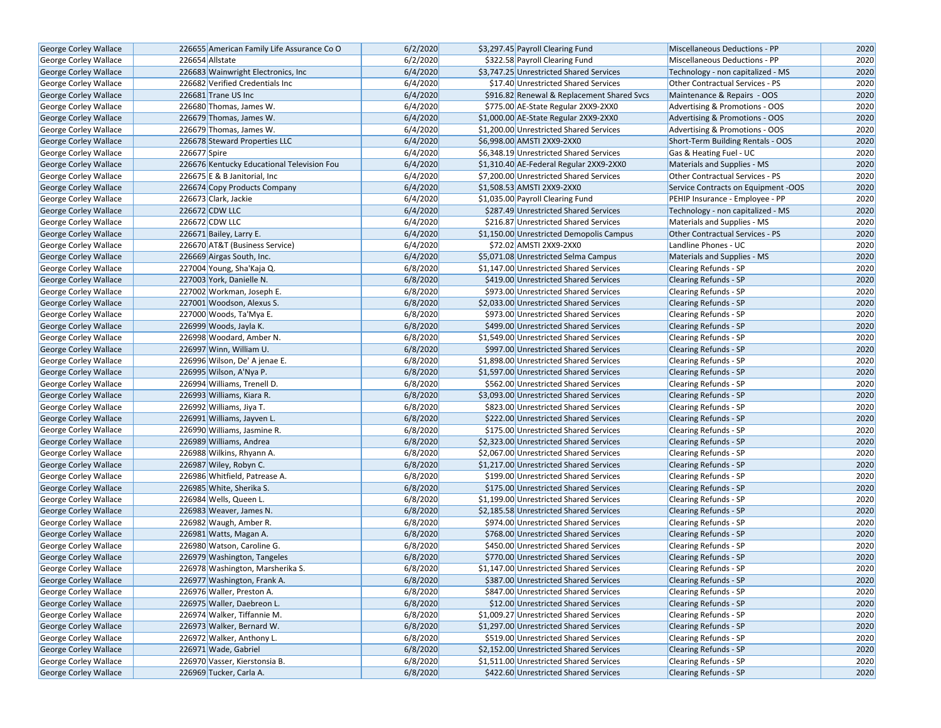| George Corley Wallace        |              | 226655 American Family Life Assurance Co O | 6/2/2020 | \$3,297.45 Payroll Clearing Fund           | Miscellaneous Deductions - PP       | 2020 |
|------------------------------|--------------|--------------------------------------------|----------|--------------------------------------------|-------------------------------------|------|
| George Corley Wallace        |              | 226654 Allstate                            | 6/2/2020 | \$322.58 Payroll Clearing Fund             | Miscellaneous Deductions - PP       | 2020 |
| <b>George Corley Wallace</b> |              | 226683 Wainwright Electronics, Inc.        | 6/4/2020 | \$3,747.25 Unrestricted Shared Services    | Technology - non capitalized - MS   | 2020 |
| George Corley Wallace        |              | 226682 Verified Credentials Inc            | 6/4/2020 | \$17.40 Unrestricted Shared Services       | Other Contractual Services - PS     | 2020 |
| George Corley Wallace        |              | 226681 Trane US Inc                        | 6/4/2020 | \$916.82 Renewal & Replacement Shared Svcs | Maintenance & Repairs - OOS         | 2020 |
| George Corley Wallace        |              | 226680 Thomas, James W.                    | 6/4/2020 | \$775.00 AE-State Regular 2XX9-2XX0        | Advertising & Promotions - OOS      | 2020 |
| George Corley Wallace        |              | 226679 Thomas, James W.                    | 6/4/2020 | \$1,000.00 AE-State Regular 2XX9-2XX0      | Advertising & Promotions - OOS      | 2020 |
| George Corley Wallace        |              | 226679 Thomas, James W.                    | 6/4/2020 | \$1,200.00 Unrestricted Shared Services    | Advertising & Promotions - OOS      | 2020 |
| George Corley Wallace        |              | 226678 Steward Properties LLC              | 6/4/2020 | \$6,998.00 AMSTI 2XX9-2XX0                 | Short-Term Building Rentals - OOS   | 2020 |
| George Corley Wallace        | 226677 Spire |                                            | 6/4/2020 | \$6,348.19 Unrestricted Shared Services    | Gas & Heating Fuel - UC             | 2020 |
| George Corley Wallace        |              | 226676 Kentucky Educational Television Fou | 6/4/2020 | \$1,310.40 AE-Federal Regular 2XX9-2XX0    | Materials and Supplies - MS         | 2020 |
| George Corley Wallace        |              | 226675 E & B Janitorial, Inc.              | 6/4/2020 | \$7,200.00 Unrestricted Shared Services    | Other Contractual Services - PS     | 2020 |
| George Corley Wallace        |              | 226674 Copy Products Company               | 6/4/2020 | \$1,508.53 AMSTI 2XX9-2XX0                 | Service Contracts on Equipment -OOS | 2020 |
| George Corley Wallace        |              | 226673 Clark, Jackie                       | 6/4/2020 | \$1,035.00 Payroll Clearing Fund           | PEHIP Insurance - Employee - PP     | 2020 |
| George Corley Wallace        |              | 226672 CDW LLC                             | 6/4/2020 | \$287.49 Unrestricted Shared Services      | Technology - non capitalized - MS   | 2020 |
| George Corley Wallace        |              | 226672 CDW LLC                             | 6/4/2020 | \$216.87 Unrestricted Shared Services      | Materials and Supplies - MS         | 2020 |
| George Corley Wallace        |              | 226671 Bailey, Larry E.                    | 6/4/2020 | \$1,150.00 Unrestricted Demopolis Campus   | Other Contractual Services - PS     | 2020 |
| George Corley Wallace        |              | 226670 AT&T (Business Service)             | 6/4/2020 | \$72.02 AMSTI 2XX9-2XX0                    | Landline Phones - UC                | 2020 |
| George Corley Wallace        |              | 226669 Airgas South, Inc.                  | 6/4/2020 | \$5,071.08 Unrestricted Selma Campus       | Materials and Supplies - MS         | 2020 |
| George Corley Wallace        |              | 227004 Young, Sha'Kaja Q.                  | 6/8/2020 | \$1,147.00 Unrestricted Shared Services    | <b>Clearing Refunds - SP</b>        | 2020 |
| George Corley Wallace        |              | 227003 York, Danielle N.                   | 6/8/2020 | \$419.00 Unrestricted Shared Services      | <b>Clearing Refunds - SP</b>        | 2020 |
| George Corley Wallace        |              | 227002 Workman, Joseph E.                  | 6/8/2020 | \$973.00 Unrestricted Shared Services      | Clearing Refunds - SP               | 2020 |
| George Corley Wallace        |              | 227001 Woodson, Alexus S.                  | 6/8/2020 | \$2,033.00 Unrestricted Shared Services    | <b>Clearing Refunds - SP</b>        | 2020 |
| George Corley Wallace        |              | 227000 Woods, Ta'Mya E.                    | 6/8/2020 | \$973.00 Unrestricted Shared Services      | <b>Clearing Refunds - SP</b>        | 2020 |
| <b>George Corley Wallace</b> |              | 226999 Woods, Jayla K.                     | 6/8/2020 | \$499.00 Unrestricted Shared Services      | <b>Clearing Refunds - SP</b>        | 2020 |
| <b>George Corley Wallace</b> |              | 226998 Woodard, Amber N.                   | 6/8/2020 | \$1,549.00 Unrestricted Shared Services    | Clearing Refunds - SP               | 2020 |
| George Corley Wallace        |              | 226997 Winn, William U.                    | 6/8/2020 | \$997.00 Unrestricted Shared Services      | <b>Clearing Refunds - SP</b>        | 2020 |
| George Corley Wallace        |              | 226996 Wilson, De' A jenae E.              | 6/8/2020 | \$1,898.00 Unrestricted Shared Services    | <b>Clearing Refunds - SP</b>        | 2020 |
| <b>George Corley Wallace</b> |              | 226995 Wilson, A'Nya P.                    | 6/8/2020 | \$1,597.00 Unrestricted Shared Services    | <b>Clearing Refunds - SP</b>        | 2020 |
| George Corley Wallace        |              | 226994 Williams, Trenell D.                | 6/8/2020 | \$562.00 Unrestricted Shared Services      | Clearing Refunds - SP               | 2020 |
| George Corley Wallace        |              | 226993 Williams, Kiara R.                  | 6/8/2020 | \$3,093.00 Unrestricted Shared Services    | <b>Clearing Refunds - SP</b>        | 2020 |
| George Corley Wallace        |              | 226992 Williams, Jiya T.                   | 6/8/2020 | \$823.00 Unrestricted Shared Services      | <b>Clearing Refunds - SP</b>        | 2020 |
| George Corley Wallace        |              | 226991 Williams, Jayven L.                 | 6/8/2020 | \$222.00 Unrestricted Shared Services      | <b>Clearing Refunds - SP</b>        | 2020 |
| <b>George Corley Wallace</b> |              | 226990 Williams, Jasmine R.                | 6/8/2020 | \$175.00 Unrestricted Shared Services      | Clearing Refunds - SP               | 2020 |
| George Corley Wallace        |              | 226989 Williams, Andrea                    | 6/8/2020 | \$2,323.00 Unrestricted Shared Services    | <b>Clearing Refunds - SP</b>        | 2020 |
| George Corley Wallace        |              | 226988 Wilkins, Rhyann A.                  | 6/8/2020 | \$2,067.00 Unrestricted Shared Services    | Clearing Refunds - SP               | 2020 |
| George Corley Wallace        |              | 226987 Wiley, Robyn C.                     | 6/8/2020 | \$1,217.00 Unrestricted Shared Services    | <b>Clearing Refunds - SP</b>        | 2020 |
| George Corley Wallace        |              | 226986 Whitfield, Patrease A.              | 6/8/2020 | \$199.00 Unrestricted Shared Services      | Clearing Refunds - SP               | 2020 |
| George Corley Wallace        |              | 226985 White, Sherika S.                   | 6/8/2020 | \$175.00 Unrestricted Shared Services      | <b>Clearing Refunds - SP</b>        | 2020 |
| George Corley Wallace        |              | 226984 Wells, Queen L.                     | 6/8/2020 | \$1,199.00 Unrestricted Shared Services    | <b>Clearing Refunds - SP</b>        | 2020 |
| George Corley Wallace        |              | 226983 Weaver, James N.                    | 6/8/2020 | \$2,185.58 Unrestricted Shared Services    | <b>Clearing Refunds - SP</b>        | 2020 |
| George Corley Wallace        |              | 226982 Waugh, Amber R.                     | 6/8/2020 | \$974.00 Unrestricted Shared Services      | Clearing Refunds - SP               | 2020 |
| George Corley Wallace        |              | 226981 Watts, Magan A.                     | 6/8/2020 | \$768.00 Unrestricted Shared Services      | <b>Clearing Refunds - SP</b>        | 2020 |
| George Corley Wallace        |              | 226980 Watson, Caroline G.                 | 6/8/2020 | \$450.00 Unrestricted Shared Services      | Clearing Refunds - SP               | 2020 |
| George Corley Wallace        |              | 226979 Washington, Tangeles                | 6/8/2020 | \$770.00 Unrestricted Shared Services      | <b>Clearing Refunds - SP</b>        | 2020 |
| George Corley Wallace        |              | 226978 Washington, Marsherika S.           | 6/8/2020 | \$1,147.00 Unrestricted Shared Services    | Clearing Refunds - SP               | 2020 |
| George Corley Wallace        |              | 226977 Washington, Frank A.                | 6/8/2020 | \$387.00 Unrestricted Shared Services      | <b>Clearing Refunds - SP</b>        | 2020 |
| George Corley Wallace        |              | 226976 Waller, Preston A.                  | 6/8/2020 | \$847.00 Unrestricted Shared Services      | Clearing Refunds - SP               | 2020 |
| <b>George Corley Wallace</b> |              | 226975 Waller, Daebreon L.                 | 6/8/2020 | \$12.00 Unrestricted Shared Services       | <b>Clearing Refunds - SP</b>        | 2020 |
| George Corley Wallace        |              | 226974 Walker, Tiffannie M.                | 6/8/2020 | \$1,009.27 Unrestricted Shared Services    | Clearing Refunds - SP               | 2020 |
| George Corley Wallace        |              | 226973 Walker, Bernard W.                  | 6/8/2020 | \$1,297.00 Unrestricted Shared Services    | <b>Clearing Refunds - SP</b>        | 2020 |
| George Corley Wallace        |              | 226972 Walker, Anthony L.                  | 6/8/2020 | \$519.00 Unrestricted Shared Services      | Clearing Refunds - SP               | 2020 |
| <b>George Corley Wallace</b> |              | 226971 Wade, Gabriel                       | 6/8/2020 | \$2,152.00 Unrestricted Shared Services    | <b>Clearing Refunds - SP</b>        | 2020 |
| George Corley Wallace        |              | 226970 Vasser, Kierstonsia B.              | 6/8/2020 | \$1,511.00 Unrestricted Shared Services    | Clearing Refunds - SP               | 2020 |
| <b>George Corley Wallace</b> |              | 226969 Tucker, Carla A.                    | 6/8/2020 | \$422.60 Unrestricted Shared Services      | Clearing Refunds - SP               | 2020 |
|                              |              |                                            |          |                                            |                                     |      |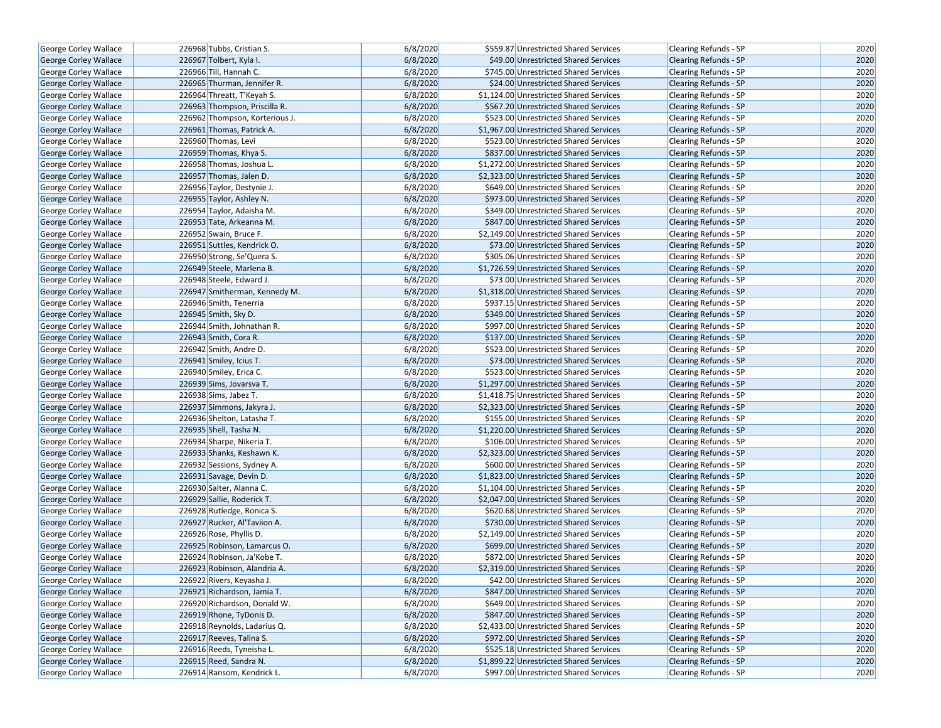| George Corley Wallace        | 226968 Tubbs, Cristian S.      | 6/8/2020 | \$559.87 Unrestricted Shared Services   | Clearing Refunds - SP        | 2020 |
|------------------------------|--------------------------------|----------|-----------------------------------------|------------------------------|------|
| George Corley Wallace        | 226967 Tolbert, Kyla I.        | 6/8/2020 | \$49.00 Unrestricted Shared Services    | <b>Clearing Refunds - SP</b> | 2020 |
| George Corley Wallace        | 226966 Till, Hannah C.         | 6/8/2020 | \$745.00 Unrestricted Shared Services   | Clearing Refunds - SP        | 2020 |
| George Corley Wallace        | 226965 Thurman, Jennifer R.    | 6/8/2020 | \$24.00 Unrestricted Shared Services    | <b>Clearing Refunds - SP</b> | 2020 |
| George Corley Wallace        | 226964 Threatt, T'Keyah S.     | 6/8/2020 | \$1,124.00 Unrestricted Shared Services | Clearing Refunds - SP        | 2020 |
| George Corley Wallace        | 226963 Thompson, Priscilla R.  | 6/8/2020 | \$567.20 Unrestricted Shared Services   | <b>Clearing Refunds - SP</b> | 2020 |
| George Corley Wallace        | 226962 Thompson, Korterious J. | 6/8/2020 | \$523.00 Unrestricted Shared Services   | <b>Clearing Refunds - SP</b> | 2020 |
| <b>George Corley Wallace</b> | 226961 Thomas, Patrick A.      | 6/8/2020 | \$1,967.00 Unrestricted Shared Services | <b>Clearing Refunds - SP</b> | 2020 |
| George Corley Wallace        | 226960 Thomas, Levi            | 6/8/2020 | \$523.00 Unrestricted Shared Services   | <b>Clearing Refunds - SP</b> | 2020 |
| George Corley Wallace        | 226959 Thomas, Khya S.         | 6/8/2020 | \$837.00 Unrestricted Shared Services   | <b>Clearing Refunds - SP</b> | 2020 |
| George Corley Wallace        | 226958 Thomas, Joshua L.       | 6/8/2020 | \$1,272.00 Unrestricted Shared Services | Clearing Refunds - SP        | 2020 |
| <b>George Corley Wallace</b> | 226957 Thomas, Jalen D.        | 6/8/2020 | \$2,323.00 Unrestricted Shared Services | <b>Clearing Refunds - SP</b> | 2020 |
| George Corley Wallace        | 226956 Taylor, Destynie J.     | 6/8/2020 | \$649.00 Unrestricted Shared Services   | <b>Clearing Refunds - SP</b> | 2020 |
| <b>George Corley Wallace</b> | 226955 Taylor, Ashley N.       | 6/8/2020 | \$973.00 Unrestricted Shared Services   | <b>Clearing Refunds - SP</b> | 2020 |
| <b>George Corley Wallace</b> | 226954 Taylor, Adaisha M.      | 6/8/2020 | \$349.00 Unrestricted Shared Services   | Clearing Refunds - SP        | 2020 |
| George Corley Wallace        | 226953 Tate, Arkeanna M.       | 6/8/2020 | \$847.00 Unrestricted Shared Services   | <b>Clearing Refunds - SP</b> | 2020 |
| George Corley Wallace        | 226952 Swain, Bruce F.         | 6/8/2020 | \$2,149.00 Unrestricted Shared Services | Clearing Refunds - SP        | 2020 |
| George Corley Wallace        | 226951 Suttles, Kendrick O.    | 6/8/2020 | \$73.00 Unrestricted Shared Services    | <b>Clearing Refunds - SP</b> | 2020 |
| George Corley Wallace        | 226950 Strong, Se'Quera S.     | 6/8/2020 | \$305.06 Unrestricted Shared Services   | Clearing Refunds - SP        | 2020 |
| George Corley Wallace        | 226949 Steele, Marlena B.      | 6/8/2020 | \$1,726.59 Unrestricted Shared Services | <b>Clearing Refunds - SP</b> | 2020 |
| George Corley Wallace        | 226948 Steele, Edward J.       | 6/8/2020 | \$73.00 Unrestricted Shared Services    | <b>Clearing Refunds - SP</b> | 2020 |
| <b>George Corley Wallace</b> | 226947 Smitherman, Kennedy M.  | 6/8/2020 | \$1,318.00 Unrestricted Shared Services | <b>Clearing Refunds - SP</b> | 2020 |
| George Corley Wallace        | 226946 Smith, Tenerria         | 6/8/2020 | \$937.15 Unrestricted Shared Services   | Clearing Refunds - SP        | 2020 |
| George Corley Wallace        | 226945 Smith, Sky D.           | 6/8/2020 | \$349.00 Unrestricted Shared Services   | Clearing Refunds - SP        | 2020 |
| George Corley Wallace        | 226944 Smith, Johnathan R.     | 6/8/2020 | \$997.00 Unrestricted Shared Services   | <b>Clearing Refunds - SP</b> | 2020 |
| George Corley Wallace        | 226943 Smith, Cora R.          | 6/8/2020 | \$137.00 Unrestricted Shared Services   | <b>Clearing Refunds - SP</b> | 2020 |
| George Corley Wallace        | 226942 Smith, Andre D.         | 6/8/2020 | \$523.00 Unrestricted Shared Services   | Clearing Refunds - SP        | 2020 |
| George Corley Wallace        | 226941 Smiley, Icius T.        | 6/8/2020 | \$73.00 Unrestricted Shared Services    | Clearing Refunds - SP        | 2020 |
| George Corley Wallace        | 226940 Smiley, Erica C.        | 6/8/2020 | \$523.00 Unrestricted Shared Services   | <b>Clearing Refunds - SP</b> | 2020 |
| George Corley Wallace        | 226939 Sims, Jovarsva T.       | 6/8/2020 | \$1,297.00 Unrestricted Shared Services | <b>Clearing Refunds - SP</b> | 2020 |
| George Corley Wallace        | 226938 Sims, Jabez T.          | 6/8/2020 | \$1,418.75 Unrestricted Shared Services | Clearing Refunds - SP        | 2020 |
| George Corley Wallace        | 226937 Simmons, Jakyra J.      | 6/8/2020 | \$2,323.00 Unrestricted Shared Services | Clearing Refunds - SP        | 2020 |
| George Corley Wallace        | 226936 Shelton, Latasha T.     | 6/8/2020 | \$155.00 Unrestricted Shared Services   | <b>Clearing Refunds - SP</b> | 2020 |
| <b>George Corley Wallace</b> | 226935 Shell, Tasha N.         | 6/8/2020 | \$1,220.00 Unrestricted Shared Services | <b>Clearing Refunds - SP</b> | 2020 |
| George Corley Wallace        | 226934 Sharpe, Nikeria T.      | 6/8/2020 | \$106.00 Unrestricted Shared Services   | Clearing Refunds - SP        | 2020 |
| George Corley Wallace        | 226933 Shanks, Keshawn K.      | 6/8/2020 | \$2,323.00 Unrestricted Shared Services | <b>Clearing Refunds - SP</b> | 2020 |
| George Corley Wallace        | 226932 Sessions, Sydney A.     | 6/8/2020 | \$600.00 Unrestricted Shared Services   | Clearing Refunds - SP        | 2020 |
| <b>George Corley Wallace</b> | 226931 Savage, Devin D.        | 6/8/2020 | \$1,823.00 Unrestricted Shared Services | <b>Clearing Refunds - SP</b> | 2020 |
| George Corley Wallace        | 226930 Salter, Alanna C.       | 6/8/2020 | \$1,104.00 Unrestricted Shared Services | Clearing Refunds - SP        | 2020 |
| George Corley Wallace        | 226929 Sallie, Roderick T.     | 6/8/2020 | \$2,047.00 Unrestricted Shared Services | <b>Clearing Refunds - SP</b> | 2020 |
| George Corley Wallace        | 226928 Rutledge, Ronica S.     | 6/8/2020 | \$620.68 Unrestricted Shared Services   | Clearing Refunds - SP        | 2020 |
| George Corley Wallace        | 226927 Rucker, Al'Taviion A.   | 6/8/2020 | \$730.00 Unrestricted Shared Services   | <b>Clearing Refunds - SP</b> | 2020 |
| George Corley Wallace        | 226926 Rose, Phyllis D.        | 6/8/2020 | \$2,149.00 Unrestricted Shared Services | Clearing Refunds - SP        | 2020 |
| George Corley Wallace        | 226925 Robinson, Lamarcus O.   | 6/8/2020 | \$699.00 Unrestricted Shared Services   | Clearing Refunds - SP        | 2020 |
| George Corley Wallace        | 226924 Robinson, Ja'Kobe T.    | 6/8/2020 | \$872.00 Unrestricted Shared Services   | Clearing Refunds - SP        | 2020 |
| George Corley Wallace        | 226923 Robinson, Alandria A.   | 6/8/2020 | \$2,319.00 Unrestricted Shared Services | <b>Clearing Refunds - SP</b> | 2020 |
| George Corley Wallace        | 226922 Rivers, Keyasha J.      | 6/8/2020 | \$42.00 Unrestricted Shared Services    | Clearing Refunds - SP        | 2020 |
| George Corley Wallace        | 226921 Richardson, Jamia T.    | 6/8/2020 | \$847.00 Unrestricted Shared Services   | Clearing Refunds - SP        | 2020 |
| George Corley Wallace        | 226920 Richardson, Donald W.   | 6/8/2020 | \$649.00 Unrestricted Shared Services   | Clearing Refunds - SP        | 2020 |
| George Corley Wallace        | 226919 Rhone, TyDonis D.       | 6/8/2020 | \$847.00 Unrestricted Shared Services   | <b>Clearing Refunds - SP</b> | 2020 |
| George Corley Wallace        | 226918 Reynolds, Ladarius Q.   | 6/8/2020 | \$2,433.00 Unrestricted Shared Services | Clearing Refunds - SP        | 2020 |
| George Corley Wallace        | 226917 Reeves, Talina S.       | 6/8/2020 | \$972.00 Unrestricted Shared Services   | <b>Clearing Refunds - SP</b> | 2020 |
| George Corley Wallace        | 226916 Reeds, Tyneisha L.      | 6/8/2020 | \$525.18 Unrestricted Shared Services   | Clearing Refunds - SP        | 2020 |
| George Corley Wallace        | 226915 Reed, Sandra N.         | 6/8/2020 | \$1,899.22 Unrestricted Shared Services | <b>Clearing Refunds - SP</b> | 2020 |
| George Corley Wallace        | 226914 Ransom, Kendrick L.     | 6/8/2020 | \$997.00 Unrestricted Shared Services   | Clearing Refunds - SP        | 2020 |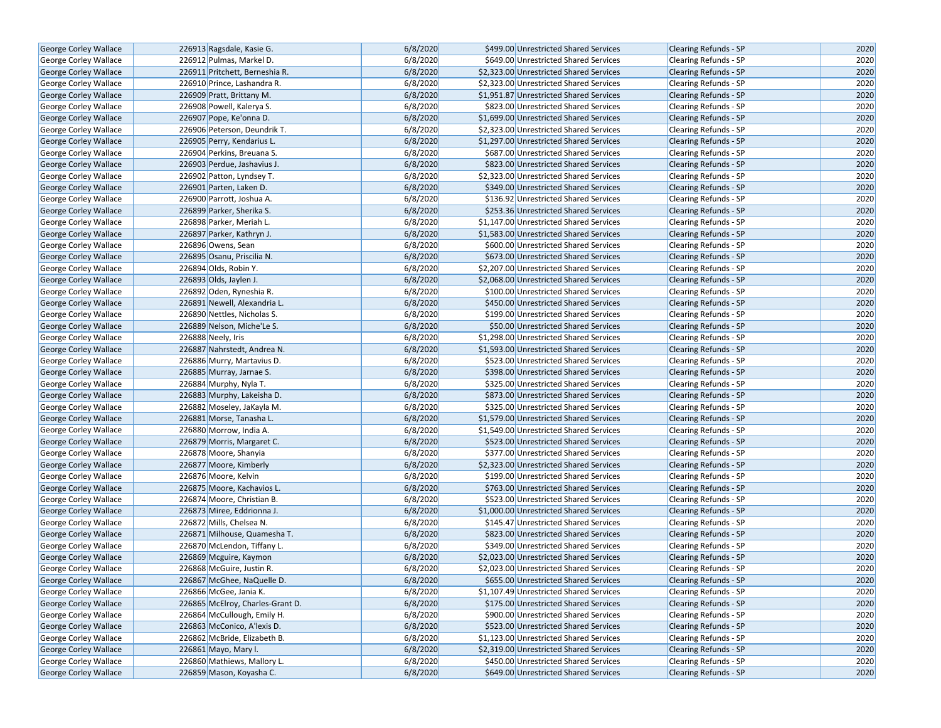| George Corley Wallace        | 226913 Ragsdale, Kasie G.        | 6/8/2020 | \$499.00 Unrestricted Shared Services   | <b>Clearing Refunds - SP</b> | 2020 |
|------------------------------|----------------------------------|----------|-----------------------------------------|------------------------------|------|
| <b>George Corley Wallace</b> | 226912 Pulmas, Markel D.         | 6/8/2020 | \$649.00 Unrestricted Shared Services   | <b>Clearing Refunds - SP</b> | 2020 |
| <b>George Corley Wallace</b> | 226911 Pritchett, Berneshia R.   | 6/8/2020 | \$2,323.00 Unrestricted Shared Services | <b>Clearing Refunds - SP</b> | 2020 |
| George Corley Wallace        | 226910 Prince, Lashandra R.      | 6/8/2020 | \$2,323.00 Unrestricted Shared Services | <b>Clearing Refunds - SP</b> | 2020 |
| George Corley Wallace        | 226909 Pratt, Brittany M.        | 6/8/2020 | \$1,951.87 Unrestricted Shared Services | <b>Clearing Refunds - SP</b> | 2020 |
| George Corley Wallace        | 226908 Powell, Kalerya S.        | 6/8/2020 | \$823.00 Unrestricted Shared Services   | Clearing Refunds - SP        | 2020 |
| George Corley Wallace        | 226907 Pope, Ke'onna D.          | 6/8/2020 | \$1,699.00 Unrestricted Shared Services | <b>Clearing Refunds - SP</b> | 2020 |
| <b>George Corley Wallace</b> | 226906 Peterson, Deundrik T.     | 6/8/2020 | \$2,323.00 Unrestricted Shared Services | <b>Clearing Refunds - SP</b> | 2020 |
| <b>George Corley Wallace</b> | 226905 Perry, Kendarius L.       | 6/8/2020 | \$1,297.00 Unrestricted Shared Services | <b>Clearing Refunds - SP</b> | 2020 |
| George Corley Wallace        | 226904 Perkins, Breuana S.       | 6/8/2020 | \$687.00 Unrestricted Shared Services   | Clearing Refunds - SP        | 2020 |
| <b>George Corley Wallace</b> | 226903 Perdue, Jashavius J.      | 6/8/2020 | \$823.00 Unrestricted Shared Services   | Clearing Refunds - SP        | 2020 |
| George Corley Wallace        | 226902 Patton, Lyndsey T.        | 6/8/2020 | \$2,323.00 Unrestricted Shared Services | <b>Clearing Refunds - SP</b> | 2020 |
| <b>George Corley Wallace</b> | 226901 Parten, Laken D.          | 6/8/2020 | \$349.00 Unrestricted Shared Services   | <b>Clearing Refunds - SP</b> | 2020 |
| George Corley Wallace        | 226900 Parrott, Joshua A.        | 6/8/2020 | \$136.92 Unrestricted Shared Services   | Clearing Refunds - SP        | 2020 |
| <b>George Corley Wallace</b> | 226899 Parker, Sherika S.        | 6/8/2020 | \$253.36 Unrestricted Shared Services   | <b>Clearing Refunds - SP</b> | 2020 |
| <b>George Corley Wallace</b> | 226898 Parker, Meriah L.         | 6/8/2020 | \$1,147.00 Unrestricted Shared Services | <b>Clearing Refunds - SP</b> | 2020 |
| George Corley Wallace        | 226897 Parker, Kathryn J.        | 6/8/2020 | \$1,583.00 Unrestricted Shared Services | <b>Clearing Refunds - SP</b> | 2020 |
| George Corley Wallace        | 226896 Owens, Sean               | 6/8/2020 | \$600.00 Unrestricted Shared Services   | Clearing Refunds - SP        | 2020 |
| George Corley Wallace        | 226895 Osanu, Priscilia N.       | 6/8/2020 | \$673.00 Unrestricted Shared Services   | Clearing Refunds - SP        | 2020 |
| George Corley Wallace        | 226894 Olds, Robin Y.            | 6/8/2020 | \$2,207.00 Unrestricted Shared Services | <b>Clearing Refunds - SP</b> | 2020 |
| <b>George Corley Wallace</b> | 226893 Olds, Jaylen J.           | 6/8/2020 | \$2,068.00 Unrestricted Shared Services | <b>Clearing Refunds - SP</b> | 2020 |
| George Corley Wallace        | 226892 Oden, Ryneshia R.         | 6/8/2020 | \$100.00 Unrestricted Shared Services   | Clearing Refunds - SP        | 2020 |
| George Corley Wallace        | 226891 Newell, Alexandria L.     | 6/8/2020 | \$450.00 Unrestricted Shared Services   | <b>Clearing Refunds - SP</b> | 2020 |
| George Corley Wallace        | 226890 Nettles, Nicholas S.      | 6/8/2020 | \$199.00 Unrestricted Shared Services   | Clearing Refunds - SP        | 2020 |
| George Corley Wallace        | 226889 Nelson, Miche'Le S.       | 6/8/2020 | \$50.00 Unrestricted Shared Services    | <b>Clearing Refunds - SP</b> | 2020 |
| <b>George Corley Wallace</b> | 226888 Neely, Iris               | 6/8/2020 | \$1,298.00 Unrestricted Shared Services | Clearing Refunds - SP        | 2020 |
| George Corley Wallace        | 226887 Nahrstedt, Andrea N.      | 6/8/2020 | \$1,593.00 Unrestricted Shared Services | Clearing Refunds - SP        | 2020 |
| <b>George Corley Wallace</b> | 226886 Murry, Martavius D.       | 6/8/2020 | \$523.00 Unrestricted Shared Services   | Clearing Refunds - SP        | 2020 |
| George Corley Wallace        | 226885 Murray, Jarnae S.         | 6/8/2020 | \$398.00 Unrestricted Shared Services   | <b>Clearing Refunds - SP</b> | 2020 |
| George Corley Wallace        | 226884 Murphy, Nyla T.           | 6/8/2020 | \$325.00 Unrestricted Shared Services   | Clearing Refunds - SP        | 2020 |
| George Corley Wallace        | 226883 Murphy, Lakeisha D.       | 6/8/2020 | \$873.00 Unrestricted Shared Services   | <b>Clearing Refunds - SP</b> | 2020 |
| George Corley Wallace        | 226882 Moseley, JaKayla M.       | 6/8/2020 | \$325.00 Unrestricted Shared Services   | <b>Clearing Refunds - SP</b> | 2020 |
| George Corley Wallace        | 226881 Morse, Tanasha L.         | 6/8/2020 | \$1,579.00 Unrestricted Shared Services | <b>Clearing Refunds - SP</b> | 2020 |
| George Corley Wallace        | 226880 Morrow, India A.          | 6/8/2020 | \$1,549.00 Unrestricted Shared Services | Clearing Refunds - SP        | 2020 |
| George Corley Wallace        | 226879 Morris, Margaret C.       | 6/8/2020 | \$523.00 Unrestricted Shared Services   | <b>Clearing Refunds - SP</b> | 2020 |
| George Corley Wallace        | 226878 Moore, Shanyia            | 6/8/2020 | \$377.00 Unrestricted Shared Services   | Clearing Refunds - SP        | 2020 |
| <b>George Corley Wallace</b> | 226877 Moore, Kimberly           | 6/8/2020 | \$2,323.00 Unrestricted Shared Services | <b>Clearing Refunds - SP</b> | 2020 |
| George Corley Wallace        | 226876 Moore, Kelvin             | 6/8/2020 | \$199.00 Unrestricted Shared Services   | Clearing Refunds - SP        | 2020 |
| George Corley Wallace        | 226875 Moore, Kachavios L.       | 6/8/2020 | \$763.00 Unrestricted Shared Services   | <b>Clearing Refunds - SP</b> | 2020 |
| George Corley Wallace        | 226874 Moore, Christian B.       | 6/8/2020 | \$523.00 Unrestricted Shared Services   | Clearing Refunds - SP        | 2020 |
| <b>George Corley Wallace</b> | 226873 Miree, Eddrionna J.       | 6/8/2020 | \$1,000.00 Unrestricted Shared Services | <b>Clearing Refunds - SP</b> | 2020 |
| George Corley Wallace        | 226872 Mills, Chelsea N.         | 6/8/2020 | \$145.47 Unrestricted Shared Services   | Clearing Refunds - SP        | 2020 |
| George Corley Wallace        | 226871 Milhouse, Quamesha T.     | 6/8/2020 | \$823.00 Unrestricted Shared Services   | <b>Clearing Refunds - SP</b> | 2020 |
| George Corley Wallace        | 226870 McLendon, Tiffany L.      | 6/8/2020 | \$349.00 Unrestricted Shared Services   | Clearing Refunds - SP        | 2020 |
| <b>George Corley Wallace</b> | 226869 Mcguire, Kaymon           | 6/8/2020 | \$2,023.00 Unrestricted Shared Services | <b>Clearing Refunds - SP</b> | 2020 |
| George Corley Wallace        | 226868 McGuire, Justin R.        | 6/8/2020 | \$2.023.00 Unrestricted Shared Services | <b>Clearing Refunds - SP</b> | 2020 |
| George Corley Wallace        | 226867 McGhee, NaQuelle D.       | 6/8/2020 | \$655.00 Unrestricted Shared Services   | Clearing Refunds - SP        | 2020 |
| George Corley Wallace        | 226866 McGee, Jania K.           | 6/8/2020 | \$1,107.49 Unrestricted Shared Services | Clearing Refunds - SP        | 2020 |
| George Corley Wallace        | 226865 McElroy, Charles-Grant D. | 6/8/2020 | \$175.00 Unrestricted Shared Services   | Clearing Refunds - SP        | 2020 |
| <b>George Corley Wallace</b> | 226864 McCullough, Emily H.      | 6/8/2020 | \$900.00 Unrestricted Shared Services   | <b>Clearing Refunds - SP</b> | 2020 |
| George Corley Wallace        | 226863 McConico, A'lexis D.      | 6/8/2020 | \$523.00 Unrestricted Shared Services   | <b>Clearing Refunds - SP</b> | 2020 |
| <b>George Corley Wallace</b> | 226862 McBride, Elizabeth B.     | 6/8/2020 | \$1,123.00 Unrestricted Shared Services | <b>Clearing Refunds - SP</b> | 2020 |
| George Corley Wallace        | 226861 Mayo, Mary I.             | 6/8/2020 | \$2,319.00 Unrestricted Shared Services | <b>Clearing Refunds - SP</b> | 2020 |
| George Corley Wallace        | 226860 Mathiews, Mallory L.      | 6/8/2020 | \$450.00 Unrestricted Shared Services   | <b>Clearing Refunds - SP</b> | 2020 |
| George Corley Wallace        | 226859 Mason, Koyasha C.         | 6/8/2020 | \$649.00 Unrestricted Shared Services   | <b>Clearing Refunds - SP</b> | 2020 |
|                              |                                  |          |                                         |                              |      |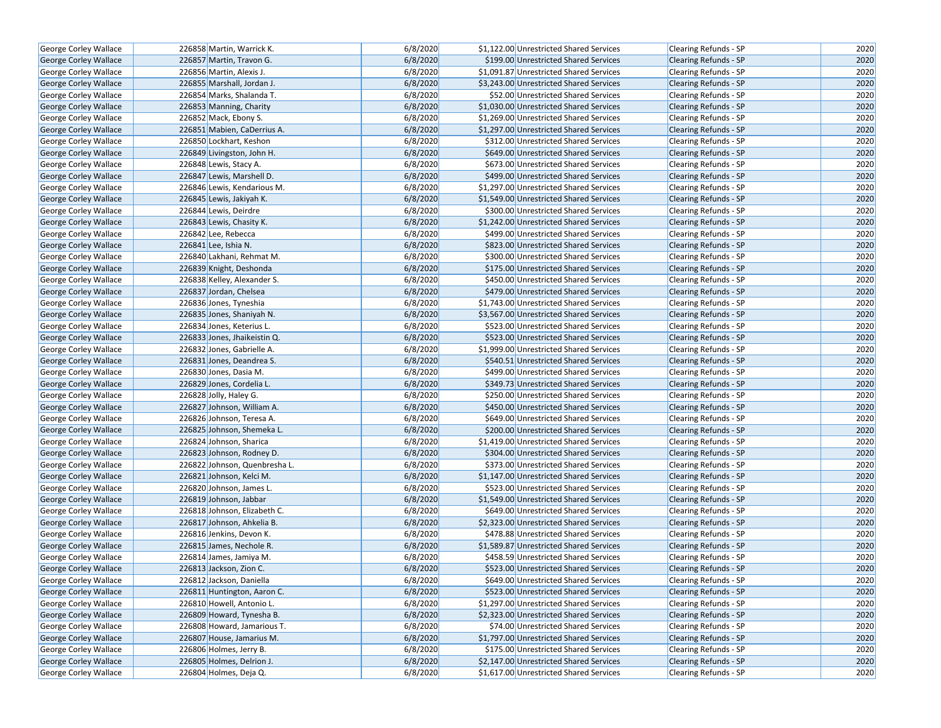| <b>George Corley Wallace</b> | 226858 Martin, Warrick K.     | 6/8/2020 | \$1,122.00 Unrestricted Shared Services | Clearing Refunds - SP        | 2020 |
|------------------------------|-------------------------------|----------|-----------------------------------------|------------------------------|------|
| <b>George Corley Wallace</b> | 226857 Martin, Travon G.      | 6/8/2020 | \$199.00 Unrestricted Shared Services   | <b>Clearing Refunds - SP</b> | 2020 |
| George Corley Wallace        | 226856 Martin, Alexis J.      | 6/8/2020 | \$1,091.87 Unrestricted Shared Services | Clearing Refunds - SP        | 2020 |
| George Corley Wallace        | 226855 Marshall, Jordan J.    | 6/8/2020 | \$3,243.00 Unrestricted Shared Services | <b>Clearing Refunds - SP</b> | 2020 |
| George Corley Wallace        | 226854 Marks, Shalanda T.     | 6/8/2020 | \$52.00 Unrestricted Shared Services    | <b>Clearing Refunds - SP</b> | 2020 |
| George Corley Wallace        | 226853 Manning, Charity       | 6/8/2020 | \$1,030.00 Unrestricted Shared Services | <b>Clearing Refunds - SP</b> | 2020 |
| George Corley Wallace        | 226852 Mack, Ebony S.         | 6/8/2020 | \$1,269.00 Unrestricted Shared Services | <b>Clearing Refunds - SP</b> | 2020 |
| <b>George Corley Wallace</b> | 226851 Mabien, CaDerrius A.   | 6/8/2020 | \$1,297.00 Unrestricted Shared Services | <b>Clearing Refunds - SP</b> | 2020 |
| George Corley Wallace        | 226850 Lockhart, Keshon       | 6/8/2020 | \$312.00 Unrestricted Shared Services   | <b>Clearing Refunds - SP</b> | 2020 |
| George Corley Wallace        | 226849 Livingston, John H.    | 6/8/2020 | \$649.00 Unrestricted Shared Services   | Clearing Refunds - SP        | 2020 |
| George Corley Wallace        | 226848 Lewis, Stacy A.        | 6/8/2020 | \$673.00 Unrestricted Shared Services   | Clearing Refunds - SP        | 2020 |
| George Corley Wallace        | 226847 Lewis, Marshell D.     | 6/8/2020 | \$499.00 Unrestricted Shared Services   | <b>Clearing Refunds - SP</b> | 2020 |
| George Corley Wallace        | 226846 Lewis, Kendarious M.   | 6/8/2020 | \$1,297.00 Unrestricted Shared Services | <b>Clearing Refunds - SP</b> | 2020 |
| <b>George Corley Wallace</b> | 226845 Lewis, Jakiyah K.      | 6/8/2020 | \$1,549.00 Unrestricted Shared Services | <b>Clearing Refunds - SP</b> | 2020 |
| <b>George Corley Wallace</b> | 226844 Lewis, Deirdre         | 6/8/2020 | \$300.00 Unrestricted Shared Services   | Clearing Refunds - SP        | 2020 |
| <b>George Corley Wallace</b> | 226843 Lewis, Chasity K.      | 6/8/2020 | \$1,242.00 Unrestricted Shared Services | <b>Clearing Refunds - SP</b> | 2020 |
| George Corley Wallace        | 226842 Lee, Rebecca           | 6/8/2020 | \$499.00 Unrestricted Shared Services   | Clearing Refunds - SP        | 2020 |
| George Corley Wallace        | $226841$ Lee, Ishia N.        | 6/8/2020 | \$823.00 Unrestricted Shared Services   | <b>Clearing Refunds - SP</b> | 2020 |
| George Corley Wallace        | 226840 Lakhani, Rehmat M.     | 6/8/2020 | \$300.00 Unrestricted Shared Services   | Clearing Refunds - SP        | 2020 |
| George Corley Wallace        | 226839 Knight, Deshonda       | 6/8/2020 | \$175.00 Unrestricted Shared Services   | <b>Clearing Refunds - SP</b> | 2020 |
| George Corley Wallace        | 226838 Kelley, Alexander S.   | 6/8/2020 | \$450.00 Unrestricted Shared Services   | <b>Clearing Refunds - SP</b> | 2020 |
| George Corley Wallace        | 226837 Jordan, Chelsea        | 6/8/2020 | \$479.00 Unrestricted Shared Services   | <b>Clearing Refunds - SP</b> | 2020 |
| George Corley Wallace        | 226836 Jones, Tyneshia        | 6/8/2020 | \$1,743.00 Unrestricted Shared Services | Clearing Refunds - SP        | 2020 |
| George Corley Wallace        | 226835 Jones, Shaniyah N.     | 6/8/2020 | \$3,567.00 Unrestricted Shared Services | Clearing Refunds - SP        | 2020 |
| George Corley Wallace        | 226834 Jones, Keterius L.     | 6/8/2020 | \$523.00 Unrestricted Shared Services   | <b>Clearing Refunds - SP</b> | 2020 |
| <b>George Corley Wallace</b> | 226833 Jones, Jhaikeistin Q.  | 6/8/2020 | \$523.00 Unrestricted Shared Services   | <b>Clearing Refunds - SP</b> | 2020 |
| George Corley Wallace        | 226832 Jones, Gabrielle A.    | 6/8/2020 | \$1,999.00 Unrestricted Shared Services | Clearing Refunds - SP        | 2020 |
| George Corley Wallace        | 226831 Jones, Deandrea S.     | 6/8/2020 | \$540.51 Unrestricted Shared Services   | Clearing Refunds - SP        | 2020 |
| George Corley Wallace        | 226830 Jones, Dasia M.        | 6/8/2020 | \$499.00 Unrestricted Shared Services   | <b>Clearing Refunds - SP</b> | 2020 |
| George Corley Wallace        | 226829 Jones, Cordelia L.     | 6/8/2020 | \$349.73 Unrestricted Shared Services   | <b>Clearing Refunds - SP</b> | 2020 |
| George Corley Wallace        | 226828 Jolly, Haley G.        | 6/8/2020 | \$250.00 Unrestricted Shared Services   | Clearing Refunds - SP        | 2020 |
| George Corley Wallace        | 226827 Johnson, William A.    | 6/8/2020 | \$450.00 Unrestricted Shared Services   | Clearing Refunds - SP        | 2020 |
| George Corley Wallace        | 226826 Johnson, Teresa A.     | 6/8/2020 | \$649.00 Unrestricted Shared Services   | <b>Clearing Refunds - SP</b> | 2020 |
| <b>George Corley Wallace</b> | 226825 Johnson, Shemeka L.    | 6/8/2020 | \$200.00 Unrestricted Shared Services   | <b>Clearing Refunds - SP</b> | 2020 |
| George Corley Wallace        | 226824 Johnson, Sharica       | 6/8/2020 | \$1,419.00 Unrestricted Shared Services | Clearing Refunds - SP        | 2020 |
| George Corley Wallace        | 226823 Johnson, Rodney D.     | 6/8/2020 | \$304.00 Unrestricted Shared Services   | <b>Clearing Refunds - SP</b> | 2020 |
| George Corley Wallace        | 226822 Johnson, Quenbresha L. | 6/8/2020 | \$373.00 Unrestricted Shared Services   | Clearing Refunds - SP        | 2020 |
| <b>George Corley Wallace</b> | 226821 Johnson, Kelci M.      | 6/8/2020 | \$1,147.00 Unrestricted Shared Services | <b>Clearing Refunds - SP</b> | 2020 |
| George Corley Wallace        | 226820 Johnson, James L.      | 6/8/2020 | \$523.00 Unrestricted Shared Services   | Clearing Refunds - SP        | 2020 |
| George Corley Wallace        | 226819 Johnson, Jabbar        | 6/8/2020 | \$1,549.00 Unrestricted Shared Services | <b>Clearing Refunds - SP</b> | 2020 |
| <b>George Corley Wallace</b> | 226818 Johnson, Elizabeth C.  | 6/8/2020 | \$649.00 Unrestricted Shared Services   | Clearing Refunds - SP        | 2020 |
| George Corley Wallace        | 226817 Johnson, Ahkelia B.    | 6/8/2020 | \$2,323.00 Unrestricted Shared Services | <b>Clearing Refunds - SP</b> | 2020 |
| George Corley Wallace        | 226816 Jenkins, Devon K.      | 6/8/2020 | \$478.88 Unrestricted Shared Services   | Clearing Refunds - SP        | 2020 |
| George Corley Wallace        | 226815 James, Nechole R.      | 6/8/2020 | \$1,589.87 Unrestricted Shared Services | Clearing Refunds - SP        | 2020 |
| George Corley Wallace        | 226814 James, Jamiya M.       | 6/8/2020 | \$458.59 Unrestricted Shared Services   | Clearing Refunds - SP        | 2020 |
| George Corley Wallace        | 226813 Jackson, Zion C.       | 6/8/2020 | \$523.00 Unrestricted Shared Services   | <b>Clearing Refunds - SP</b> | 2020 |
| George Corley Wallace        | 226812 Jackson, Daniella      | 6/8/2020 | \$649.00 Unrestricted Shared Services   | Clearing Refunds - SP        | 2020 |
| George Corley Wallace        | 226811 Huntington, Aaron C.   | 6/8/2020 | \$523.00 Unrestricted Shared Services   | Clearing Refunds - SP        | 2020 |
| George Corley Wallace        | 226810 Howell, Antonio L.     | 6/8/2020 | \$1,297.00 Unrestricted Shared Services | Clearing Refunds - SP        | 2020 |
| George Corley Wallace        | 226809 Howard, Tynesha B.     | 6/8/2020 | \$2,323.00 Unrestricted Shared Services | <b>Clearing Refunds - SP</b> | 2020 |
| George Corley Wallace        | 226808 Howard, Jamarious T.   | 6/8/2020 | \$74.00 Unrestricted Shared Services    | Clearing Refunds - SP        | 2020 |
| <b>George Corley Wallace</b> | 226807 House, Jamarius M.     | 6/8/2020 | \$1,797.00 Unrestricted Shared Services | Clearing Refunds - SP        | 2020 |
| George Corley Wallace        | 226806 Holmes, Jerry B.       | 6/8/2020 | \$175.00 Unrestricted Shared Services   | Clearing Refunds - SP        | 2020 |
| George Corley Wallace        | 226805 Holmes, Delrion J.     | 6/8/2020 | \$2,147.00 Unrestricted Shared Services | <b>Clearing Refunds - SP</b> | 2020 |
| George Corley Wallace        | 226804 Holmes, Deja Q.        | 6/8/2020 | \$1,617.00 Unrestricted Shared Services | Clearing Refunds - SP        | 2020 |
|                              |                               |          |                                         |                              |      |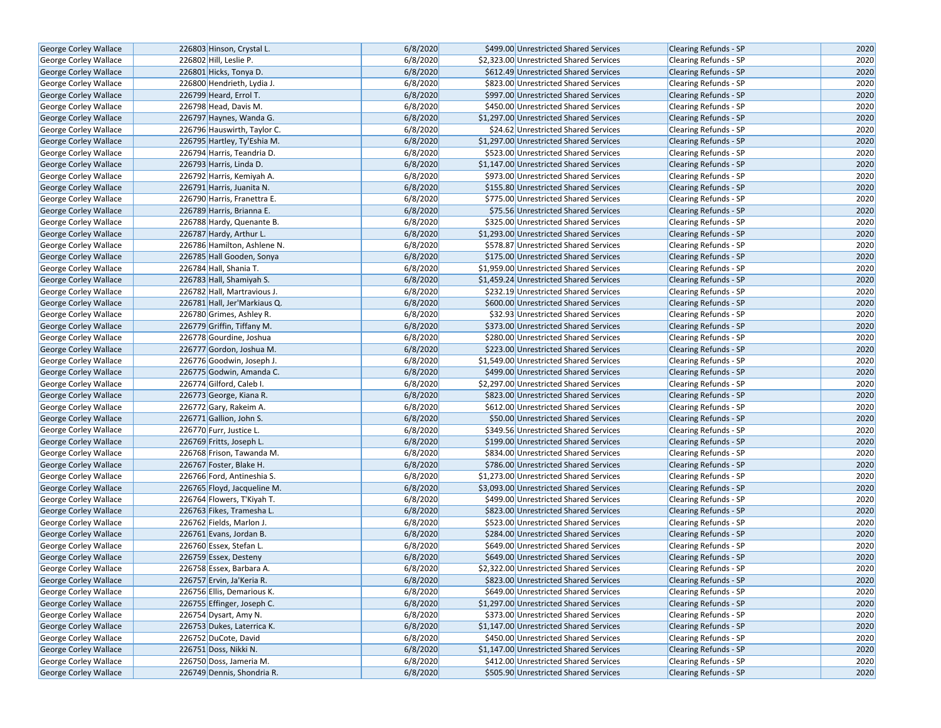| George Corley Wallace                          | 226803 Hinson, Crystal L.    | 6/8/2020             | \$499.00 Unrestricted Shared Services                                            | <b>Clearing Refunds - SP</b> | 2020 |
|------------------------------------------------|------------------------------|----------------------|----------------------------------------------------------------------------------|------------------------------|------|
| George Corley Wallace                          | 226802 Hill, Leslie P.       | 6/8/2020             | \$2,323.00 Unrestricted Shared Services                                          | Clearing Refunds - SP        | 2020 |
| George Corley Wallace                          | 226801 Hicks, Tonya D.       | 6/8/2020             | \$612.49 Unrestricted Shared Services                                            | <b>Clearing Refunds - SP</b> | 2020 |
|                                                | 226800 Hendrieth, Lydia J.   | 6/8/2020             | \$823.00 Unrestricted Shared Services                                            | <b>Clearing Refunds - SP</b> | 2020 |
| George Corley Wallace                          | 226799 Heard, Errol T.       |                      |                                                                                  |                              | 2020 |
| George Corley Wallace<br>George Corley Wallace | 226798 Head, Davis M.        | 6/8/2020<br>6/8/2020 | \$997.00 Unrestricted Shared Services                                            | <b>Clearing Refunds - SP</b> | 2020 |
|                                                |                              | 6/8/2020             | \$450.00 Unrestricted Shared Services<br>\$1,297.00 Unrestricted Shared Services | Clearing Refunds - SP        | 2020 |
| George Corley Wallace                          | 226797 Haynes, Wanda G.      |                      |                                                                                  | <b>Clearing Refunds - SP</b> |      |
| George Corley Wallace                          | 226796 Hauswirth, Taylor C.  | 6/8/2020             | \$24.62 Unrestricted Shared Services                                             | <b>Clearing Refunds - SP</b> | 2020 |
| George Corley Wallace                          | 226795 Hartley, Ty'Eshia M.  | 6/8/2020             | \$1,297.00 Unrestricted Shared Services                                          | <b>Clearing Refunds - SP</b> | 2020 |
| George Corley Wallace                          | 226794 Harris, Teandria D.   | 6/8/2020             | \$523.00 Unrestricted Shared Services                                            | Clearing Refunds - SP        | 2020 |
| George Corley Wallace                          | 226793 Harris, Linda D.      | 6/8/2020             | \$1,147.00 Unrestricted Shared Services                                          | Clearing Refunds - SP        | 2020 |
| George Corley Wallace                          | 226792 Harris, Kemiyah A.    | 6/8/2020             | \$973.00 Unrestricted Shared Services                                            | <b>Clearing Refunds - SP</b> | 2020 |
| George Corley Wallace                          | 226791 Harris, Juanita N.    | 6/8/2020             | \$155.80 Unrestricted Shared Services                                            | <b>Clearing Refunds - SP</b> | 2020 |
| George Corley Wallace                          | 226790 Harris, Franettra E.  | 6/8/2020             | \$775.00 Unrestricted Shared Services                                            | Clearing Refunds - SP        | 2020 |
| <b>George Corley Wallace</b>                   | 226789 Harris, Brianna E.    | 6/8/2020             | \$75.56 Unrestricted Shared Services                                             | <b>Clearing Refunds - SP</b> | 2020 |
| George Corley Wallace                          | 226788 Hardy, Quenante B.    | 6/8/2020             | \$325.00 Unrestricted Shared Services                                            | <b>Clearing Refunds - SP</b> | 2020 |
| George Corley Wallace                          | 226787 Hardy, Arthur L.      | 6/8/2020             | \$1,293.00 Unrestricted Shared Services                                          | <b>Clearing Refunds - SP</b> | 2020 |
| George Corley Wallace                          | 226786 Hamilton, Ashlene N.  | 6/8/2020             | \$578.87 Unrestricted Shared Services                                            | Clearing Refunds - SP        | 2020 |
| George Corley Wallace                          | 226785 Hall Gooden, Sonya    | 6/8/2020             | \$175.00 Unrestricted Shared Services                                            | <b>Clearing Refunds - SP</b> | 2020 |
| George Corley Wallace                          | 226784 Hall, Shania T.       | 6/8/2020             | \$1,959.00 Unrestricted Shared Services                                          | <b>Clearing Refunds - SP</b> | 2020 |
| George Corley Wallace                          | 226783 Hall, Shamiyah S.     | 6/8/2020             | \$1,459.24 Unrestricted Shared Services                                          | <b>Clearing Refunds - SP</b> | 2020 |
| George Corley Wallace                          | 226782 Hall, Martravious J.  | 6/8/2020             | \$232.19 Unrestricted Shared Services                                            | Clearing Refunds - SP        | 2020 |
| George Corley Wallace                          | 226781 Hall, Jer'Markiaus Q. | 6/8/2020             | \$600.00 Unrestricted Shared Services                                            | <b>Clearing Refunds - SP</b> | 2020 |
| George Corley Wallace                          | 226780 Grimes, Ashley R.     | 6/8/2020             | \$32.93 Unrestricted Shared Services                                             | Clearing Refunds - SP        | 2020 |
| George Corley Wallace                          | 226779 Griffin, Tiffany M.   | 6/8/2020             | \$373.00 Unrestricted Shared Services                                            | <b>Clearing Refunds - SP</b> | 2020 |
| George Corley Wallace                          | 226778 Gourdine, Joshua      | 6/8/2020             | \$280.00 Unrestricted Shared Services                                            | Clearing Refunds - SP        | 2020 |
| George Corley Wallace                          | 226777 Gordon, Joshua M.     | 6/8/2020             | \$223.00 Unrestricted Shared Services                                            | <b>Clearing Refunds - SP</b> | 2020 |
| George Corley Wallace                          | 226776 Goodwin, Joseph J.    | 6/8/2020             | \$1,549.00 Unrestricted Shared Services                                          | Clearing Refunds - SP        | 2020 |
| George Corley Wallace                          | 226775 Godwin, Amanda C.     | 6/8/2020             | \$499.00 Unrestricted Shared Services                                            | <b>Clearing Refunds - SP</b> | 2020 |
| George Corley Wallace                          | 226774 Gilford, Caleb I.     | 6/8/2020             | \$2,297.00 Unrestricted Shared Services                                          | Clearing Refunds - SP        | 2020 |
| George Corley Wallace                          | 226773 George, Kiana R.      | 6/8/2020             | \$823.00 Unrestricted Shared Services                                            | <b>Clearing Refunds - SP</b> | 2020 |
| George Corley Wallace                          | 226772 Gary, Rakeim A.       | 6/8/2020             | \$612.00 Unrestricted Shared Services                                            | Clearing Refunds - SP        | 2020 |
| George Corley Wallace                          | 226771 Gallion, John S.      | 6/8/2020             | \$50.00 Unrestricted Shared Services                                             | <b>Clearing Refunds - SP</b> | 2020 |
| George Corley Wallace                          | 226770 Furr, Justice L.      | 6/8/2020             | \$349.56 Unrestricted Shared Services                                            | Clearing Refunds - SP        | 2020 |
| George Corley Wallace                          | 226769 Fritts, Joseph L.     | 6/8/2020             | \$199.00 Unrestricted Shared Services                                            | <b>Clearing Refunds - SP</b> | 2020 |
| George Corley Wallace                          | 226768 Frison, Tawanda M.    | 6/8/2020             | \$834.00 Unrestricted Shared Services                                            | Clearing Refunds - SP        | 2020 |
| George Corley Wallace                          | 226767 Foster, Blake H.      | 6/8/2020             | \$786.00 Unrestricted Shared Services                                            | <b>Clearing Refunds - SP</b> | 2020 |
| George Corley Wallace                          | 226766 Ford, Antineshia S.   | 6/8/2020             | \$1,273.00 Unrestricted Shared Services                                          | Clearing Refunds - SP        | 2020 |
| George Corley Wallace                          | 226765 Floyd, Jacqueline M.  | 6/8/2020             | \$3,093.00 Unrestricted Shared Services                                          | <b>Clearing Refunds - SP</b> | 2020 |
| George Corley Wallace                          | 226764 Flowers, T'Kiyah T.   | 6/8/2020             | \$499.00 Unrestricted Shared Services                                            | Clearing Refunds - SP        | 2020 |
| <b>George Corley Wallace</b>                   | 226763 Fikes, Tramesha L.    | 6/8/2020             | \$823.00 Unrestricted Shared Services                                            | <b>Clearing Refunds - SP</b> | 2020 |
| George Corley Wallace                          | 226762 Fields, Marlon J.     | 6/8/2020             | \$523.00 Unrestricted Shared Services                                            | Clearing Refunds - SP        | 2020 |
| George Corley Wallace                          | 226761 Evans, Jordan B.      | 6/8/2020             | \$284.00 Unrestricted Shared Services                                            | <b>Clearing Refunds - SP</b> | 2020 |
| George Corley Wallace                          | 226760 Essex, Stefan L.      | 6/8/2020             | \$649.00 Unrestricted Shared Services                                            | Clearing Refunds - SP        | 2020 |
| <b>George Corley Wallace</b>                   | 226759 Essex, Desteny        | 6/8/2020             | \$649.00 Unrestricted Shared Services                                            | <b>Clearing Refunds - SP</b> | 2020 |
| George Corley Wallace                          | 226758 Essex, Barbara A.     | 6/8/2020             | \$2,322.00 Unrestricted Shared Services                                          | <b>Clearing Refunds - SP</b> | 2020 |
| George Corley Wallace                          | 226757 Ervin, Ja'Keria R.    | 6/8/2020             | \$823.00 Unrestricted Shared Services                                            | <b>Clearing Refunds - SP</b> | 2020 |
| <b>George Corley Wallace</b>                   | 226756 Ellis, Demarious K.   | 6/8/2020             | \$649.00 Unrestricted Shared Services                                            | Clearing Refunds - SP        | 2020 |
| George Corley Wallace                          | 226755 Effinger, Joseph C.   | 6/8/2020             | \$1,297.00 Unrestricted Shared Services                                          | <b>Clearing Refunds - SP</b> | 2020 |
| George Corley Wallace                          | 226754 Dysart, Amy N.        | 6/8/2020             | \$373.00 Unrestricted Shared Services                                            | <b>Clearing Refunds - SP</b> | 2020 |
| George Corley Wallace                          | 226753 Dukes, Laterrica K.   | 6/8/2020             | \$1,147.00 Unrestricted Shared Services                                          | Clearing Refunds - SP        | 2020 |
| George Corley Wallace                          | 226752 DuCote, David         | 6/8/2020             | \$450.00 Unrestricted Shared Services                                            | <b>Clearing Refunds - SP</b> | 2020 |
| George Corley Wallace                          | 226751 Doss, Nikki N.        | 6/8/2020             | \$1,147.00 Unrestricted Shared Services                                          | Clearing Refunds - SP        | 2020 |
| George Corley Wallace                          | 226750 Doss, Jameria M.      | 6/8/2020             | \$412.00 Unrestricted Shared Services                                            | Clearing Refunds - SP        | 2020 |
| George Corley Wallace                          | 226749 Dennis, Shondria R.   | 6/8/2020             | \$505.90 Unrestricted Shared Services                                            | Clearing Refunds - SP        | 2020 |
|                                                |                              |                      |                                                                                  |                              |      |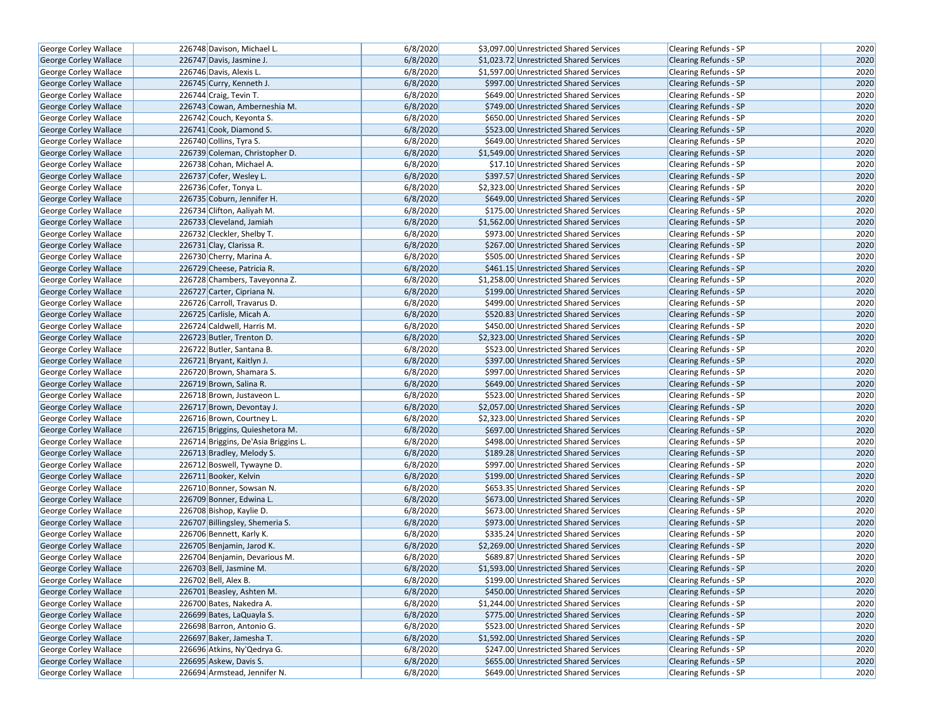| <b>George Corley Wallace</b> | 226748 Davison, Michael L.           | 6/8/2020 | \$3,097.00 Unrestricted Shared Services | <b>Clearing Refunds - SP</b> | 2020 |
|------------------------------|--------------------------------------|----------|-----------------------------------------|------------------------------|------|
| <b>George Corley Wallace</b> | 226747 Davis, Jasmine J.             | 6/8/2020 | \$1,023.72 Unrestricted Shared Services | <b>Clearing Refunds - SP</b> | 2020 |
| George Corley Wallace        | 226746 Davis, Alexis L.              | 6/8/2020 | \$1,597.00 Unrestricted Shared Services | Clearing Refunds - SP        | 2020 |
| <b>George Corley Wallace</b> | 226745 Curry, Kenneth J.             | 6/8/2020 | \$997.00 Unrestricted Shared Services   | <b>Clearing Refunds - SP</b> | 2020 |
| George Corley Wallace        | 226744 Craig, Tevin T.               | 6/8/2020 | \$649.00 Unrestricted Shared Services   | <b>Clearing Refunds - SP</b> | 2020 |
| George Corley Wallace        | 226743 Cowan, Amberneshia M.         | 6/8/2020 | \$749.00 Unrestricted Shared Services   | <b>Clearing Refunds - SP</b> | 2020 |
| George Corley Wallace        | 226742 Couch, Keyonta S.             | 6/8/2020 | \$650.00 Unrestricted Shared Services   | <b>Clearing Refunds - SP</b> | 2020 |
| <b>George Corley Wallace</b> | 226741 Cook, Diamond S.              | 6/8/2020 | \$523.00 Unrestricted Shared Services   | <b>Clearing Refunds - SP</b> | 2020 |
| George Corley Wallace        | 226740 Collins, Tyra S.              | 6/8/2020 | \$649.00 Unrestricted Shared Services   | <b>Clearing Refunds - SP</b> | 2020 |
| George Corley Wallace        | 226739 Coleman, Christopher D.       | 6/8/2020 | \$1,549.00 Unrestricted Shared Services | Clearing Refunds - SP        | 2020 |
| George Corley Wallace        | 226738 Cohan, Michael A.             | 6/8/2020 | \$17.10 Unrestricted Shared Services    | Clearing Refunds - SP        | 2020 |
| George Corley Wallace        | 226737 Cofer, Wesley L.              | 6/8/2020 | \$397.57 Unrestricted Shared Services   | <b>Clearing Refunds - SP</b> | 2020 |
| George Corley Wallace        | 226736 Cofer, Tonya L.               | 6/8/2020 | \$2,323.00 Unrestricted Shared Services | <b>Clearing Refunds - SP</b> | 2020 |
| George Corley Wallace        | 226735 Coburn, Jennifer H.           | 6/8/2020 | \$649.00 Unrestricted Shared Services   | <b>Clearing Refunds - SP</b> | 2020 |
| <b>George Corley Wallace</b> | 226734 Clifton, Aaliyah M.           | 6/8/2020 | \$175.00 Unrestricted Shared Services   | Clearing Refunds - SP        | 2020 |
| George Corley Wallace        | 226733 Cleveland, Jamiah             | 6/8/2020 | \$1,562.00 Unrestricted Shared Services | <b>Clearing Refunds - SP</b> | 2020 |
| George Corley Wallace        | 226732 Cleckler, Shelby T.           | 6/8/2020 | \$973.00 Unrestricted Shared Services   | Clearing Refunds - SP        | 2020 |
| George Corley Wallace        | 226731 Clay, Clarissa R.             | 6/8/2020 | \$267.00 Unrestricted Shared Services   | <b>Clearing Refunds - SP</b> | 2020 |
| George Corley Wallace        | 226730 Cherry, Marina A.             | 6/8/2020 | \$505.00 Unrestricted Shared Services   | Clearing Refunds - SP        | 2020 |
| George Corley Wallace        | 226729 Cheese, Patricia R.           | 6/8/2020 | \$461.15 Unrestricted Shared Services   | <b>Clearing Refunds - SP</b> | 2020 |
| George Corley Wallace        | 226728 Chambers, Taveyonna Z.        | 6/8/2020 | \$1,258.00 Unrestricted Shared Services | <b>Clearing Refunds - SP</b> | 2020 |
| George Corley Wallace        | 226727 Carter, Cipriana N.           | 6/8/2020 | \$199.00 Unrestricted Shared Services   | <b>Clearing Refunds - SP</b> | 2020 |
| George Corley Wallace        | 226726 Carroll, Travarus D.          | 6/8/2020 | \$499.00 Unrestricted Shared Services   | Clearing Refunds - SP        | 2020 |
| George Corley Wallace        | 226725 Carlisle, Micah A.            | 6/8/2020 | \$520.83 Unrestricted Shared Services   | Clearing Refunds - SP        | 2020 |
| George Corley Wallace        | 226724 Caldwell, Harris M.           | 6/8/2020 | \$450.00 Unrestricted Shared Services   | <b>Clearing Refunds - SP</b> | 2020 |
| <b>George Corley Wallace</b> | 226723 Butler, Trenton D.            | 6/8/2020 | \$2,323.00 Unrestricted Shared Services | <b>Clearing Refunds - SP</b> | 2020 |
| George Corley Wallace        | 226722 Butler, Santana B.            | 6/8/2020 | \$523.00 Unrestricted Shared Services   | <b>Clearing Refunds - SP</b> | 2020 |
| George Corley Wallace        | 226721 Bryant, Kaitlyn J.            | 6/8/2020 | \$397.00 Unrestricted Shared Services   | <b>Clearing Refunds - SP</b> | 2020 |
| George Corley Wallace        | 226720 Brown, Shamara S.             | 6/8/2020 | \$997.00 Unrestricted Shared Services   | <b>Clearing Refunds - SP</b> | 2020 |
| George Corley Wallace        | 226719 Brown, Salina R.              | 6/8/2020 | \$649.00 Unrestricted Shared Services   | <b>Clearing Refunds - SP</b> | 2020 |
| George Corley Wallace        | 226718 Brown, Justaveon L.           | 6/8/2020 | \$523.00 Unrestricted Shared Services   | Clearing Refunds - SP        | 2020 |
| George Corley Wallace        | 226717 Brown, Devontay J.            | 6/8/2020 | \$2,057.00 Unrestricted Shared Services | Clearing Refunds - SP        | 2020 |
| George Corley Wallace        | 226716 Brown, Courtney L.            | 6/8/2020 | \$2,323.00 Unrestricted Shared Services | <b>Clearing Refunds - SP</b> | 2020 |
| <b>George Corley Wallace</b> | 226715 Briggins, Quieshetora M.      | 6/8/2020 | \$697.00 Unrestricted Shared Services   | <b>Clearing Refunds - SP</b> | 2020 |
| George Corley Wallace        | 226714 Briggins, De'Asia Briggins L. | 6/8/2020 | \$498.00 Unrestricted Shared Services   | Clearing Refunds - SP        | 2020 |
| George Corley Wallace        | 226713 Bradley, Melody S.            | 6/8/2020 | \$189.28 Unrestricted Shared Services   | <b>Clearing Refunds - SP</b> | 2020 |
| George Corley Wallace        | 226712 Boswell, Tywayne D.           | 6/8/2020 | \$997.00 Unrestricted Shared Services   | Clearing Refunds - SP        | 2020 |
| <b>George Corley Wallace</b> | 226711 Booker, Kelvin                | 6/8/2020 | \$199.00 Unrestricted Shared Services   | <b>Clearing Refunds - SP</b> | 2020 |
| George Corley Wallace        | 226710 Bonner, Sowsan N.             | 6/8/2020 | \$653.35 Unrestricted Shared Services   | Clearing Refunds - SP        | 2020 |
| George Corley Wallace        | 226709 Bonner, Edwina L.             | 6/8/2020 | \$673.00 Unrestricted Shared Services   | <b>Clearing Refunds - SP</b> | 2020 |
| <b>George Corley Wallace</b> | 226708 Bishop, Kaylie D.             | 6/8/2020 | \$673.00 Unrestricted Shared Services   | Clearing Refunds - SP        | 2020 |
| George Corley Wallace        | 226707 Billingsley, Shemeria S.      | 6/8/2020 | \$973.00 Unrestricted Shared Services   | <b>Clearing Refunds - SP</b> | 2020 |
| George Corley Wallace        | 226706 Bennett, Karly K.             | 6/8/2020 | \$335.24 Unrestricted Shared Services   | Clearing Refunds - SP        | 2020 |
| George Corley Wallace        | 226705 Benjamin, Jarod K.            | 6/8/2020 | \$2,269.00 Unrestricted Shared Services | Clearing Refunds - SP        | 2020 |
| George Corley Wallace        | 226704 Benjamin, Devarious M.        | 6/8/2020 | \$689.87 Unrestricted Shared Services   | Clearing Refunds - SP        | 2020 |
| George Corley Wallace        | 226703 Bell, Jasmine M.              | 6/8/2020 | \$1,593.00 Unrestricted Shared Services | <b>Clearing Refunds - SP</b> | 2020 |
| George Corley Wallace        | 226702 Bell, Alex B.                 | 6/8/2020 | \$199.00 Unrestricted Shared Services   | Clearing Refunds - SP        | 2020 |
| George Corley Wallace        | 226701 Beasley, Ashten M.            | 6/8/2020 | \$450.00 Unrestricted Shared Services   | Clearing Refunds - SP        | 2020 |
| George Corley Wallace        | 226700 Bates, Nakedra A.             | 6/8/2020 | \$1,244.00 Unrestricted Shared Services | Clearing Refunds - SP        | 2020 |
| George Corley Wallace        | 226699 Bates, LaQuayla S.            | 6/8/2020 | \$775.00 Unrestricted Shared Services   | <b>Clearing Refunds - SP</b> | 2020 |
| George Corley Wallace        | 226698 Barron, Antonio G.            | 6/8/2020 | \$523.00 Unrestricted Shared Services   | Clearing Refunds - SP        | 2020 |
| George Corley Wallace        | 226697 Baker, Jamesha T.             | 6/8/2020 | \$1,592.00 Unrestricted Shared Services | <b>Clearing Refunds - SP</b> | 2020 |
| George Corley Wallace        | 226696 Atkins, Ny'Qedrya G.          | 6/8/2020 | \$247.00 Unrestricted Shared Services   | Clearing Refunds - SP        | 2020 |
| George Corley Wallace        | 226695 Askew, Davis S.               | 6/8/2020 | \$655.00 Unrestricted Shared Services   | <b>Clearing Refunds - SP</b> | 2020 |
| George Corley Wallace        | 226694 Armstead, Jennifer N.         | 6/8/2020 | \$649.00 Unrestricted Shared Services   | Clearing Refunds - SP        | 2020 |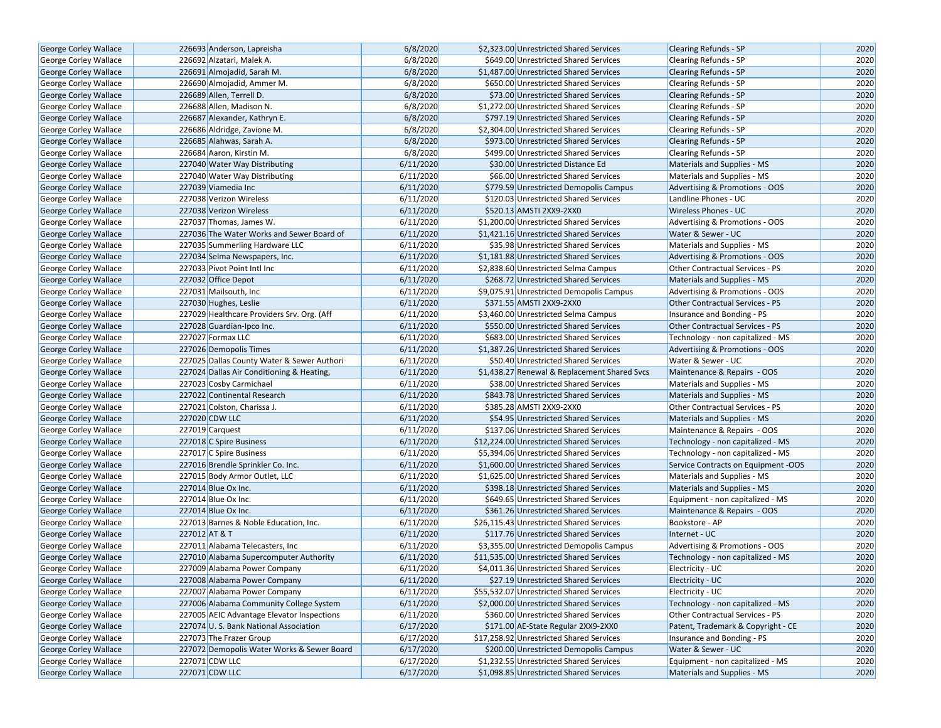| George Corley Wallace        | 226693 Anderson, Lapreisha                 | 6/8/2020  | \$2,323.00 Unrestricted Shared Services      | <b>Clearing Refunds - SP</b>           | 2020 |
|------------------------------|--------------------------------------------|-----------|----------------------------------------------|----------------------------------------|------|
| <b>George Corley Wallace</b> | 226692 Alzatari, Malek A.                  | 6/8/2020  | \$649.00 Unrestricted Shared Services        | <b>Clearing Refunds - SP</b>           | 2020 |
| George Corley Wallace        | 226691 Almojadid, Sarah M.                 | 6/8/2020  | \$1,487.00 Unrestricted Shared Services      | <b>Clearing Refunds - SP</b>           | 2020 |
| George Corley Wallace        | 226690 Almojadid, Ammer M.                 | 6/8/2020  | \$650.00 Unrestricted Shared Services        | <b>Clearing Refunds - SP</b>           | 2020 |
| George Corley Wallace        | 226689 Allen, Terrell D.                   | 6/8/2020  | \$73.00 Unrestricted Shared Services         | <b>Clearing Refunds - SP</b>           | 2020 |
| George Corley Wallace        | 226688 Allen, Madison N.                   | 6/8/2020  | \$1,272.00 Unrestricted Shared Services      | Clearing Refunds - SP                  | 2020 |
| George Corley Wallace        | 226687 Alexander, Kathryn E.               | 6/8/2020  | \$797.19 Unrestricted Shared Services        | <b>Clearing Refunds - SP</b>           | 2020 |
| George Corley Wallace        | 226686 Aldridge, Zavione M.                | 6/8/2020  | \$2,304.00 Unrestricted Shared Services      | <b>Clearing Refunds - SP</b>           | 2020 |
| <b>George Corley Wallace</b> | 226685 Alahwas, Sarah A.                   | 6/8/2020  | \$973.00 Unrestricted Shared Services        | <b>Clearing Refunds - SP</b>           | 2020 |
| George Corley Wallace        | 226684 Aaron, Kirstin M.                   | 6/8/2020  | \$499.00 Unrestricted Shared Services        | <b>Clearing Refunds - SP</b>           | 2020 |
| George Corley Wallace        | 227040 Water Way Distributing              | 6/11/2020 | \$30.00 Unrestricted Distance Ed             | Materials and Supplies - MS            | 2020 |
| George Corley Wallace        | 227040 Water Way Distributing              | 6/11/2020 | \$66.00 Unrestricted Shared Services         | Materials and Supplies - MS            | 2020 |
| George Corley Wallace        | 227039 Viamedia Inc                        | 6/11/2020 | \$779.59 Unrestricted Demopolis Campus       | Advertising & Promotions - OOS         | 2020 |
| <b>George Corley Wallace</b> | 227038 Verizon Wireless                    | 6/11/2020 | \$120.03 Unrestricted Shared Services        | Landline Phones - UC                   | 2020 |
| <b>George Corley Wallace</b> | 227038 Verizon Wireless                    | 6/11/2020 | \$520.13 AMSTI 2XX9-2XX0                     | <b>Wireless Phones - UC</b>            | 2020 |
| <b>George Corley Wallace</b> | 227037 Thomas, James W.                    | 6/11/2020 | \$1,200.00 Unrestricted Shared Services      | Advertising & Promotions - OOS         | 2020 |
| George Corley Wallace        | 227036 The Water Works and Sewer Board of  | 6/11/2020 | \$1,421.16 Unrestricted Shared Services      | Water & Sewer - UC                     | 2020 |
| George Corley Wallace        | 227035 Summerling Hardware LLC             | 6/11/2020 | \$35.98 Unrestricted Shared Services         | Materials and Supplies - MS            | 2020 |
| George Corley Wallace        | 227034 Selma Newspapers, Inc.              | 6/11/2020 | \$1,181.88 Unrestricted Shared Services      | Advertising & Promotions - OOS         | 2020 |
| George Corley Wallace        | 227033 Pivot Point Intl Inc                | 6/11/2020 | \$2,838.60 Unrestricted Selma Campus         | <b>Other Contractual Services - PS</b> | 2020 |
| <b>George Corley Wallace</b> | 227032 Office Depot                        | 6/11/2020 | \$268.72 Unrestricted Shared Services        | Materials and Supplies - MS            | 2020 |
| George Corley Wallace        | 227031 Mailsouth, Inc                      | 6/11/2020 | \$9,075.91 Unrestricted Demopolis Campus     | Advertising & Promotions - OOS         | 2020 |
| George Corley Wallace        | 227030 Hughes, Leslie                      | 6/11/2020 | \$371.55 AMSTI 2XX9-2XX0                     | Other Contractual Services - PS        | 2020 |
| George Corley Wallace        | 227029 Healthcare Providers Srv. Org. (Aff | 6/11/2020 | \$3,460.00 Unrestricted Selma Campus         | Insurance and Bonding - PS             | 2020 |
| George Corley Wallace        | 227028 Guardian-Ipco Inc.                  | 6/11/2020 | \$550.00 Unrestricted Shared Services        | <b>Other Contractual Services - PS</b> | 2020 |
| George Corley Wallace        | 227027 Formax LLC                          | 6/11/2020 | \$683.00 Unrestricted Shared Services        | Technology - non capitalized - MS      | 2020 |
| <b>George Corley Wallace</b> | 227026 Demopolis Times                     | 6/11/2020 | \$1,387.26 Unrestricted Shared Services      | Advertising & Promotions - OOS         | 2020 |
| George Corley Wallace        | 227025 Dallas County Water & Sewer Authori | 6/11/2020 | \$50.40 Unrestricted Shared Services         | Water & Sewer - UC                     | 2020 |
| George Corley Wallace        | 227024 Dallas Air Conditioning & Heating,  | 6/11/2020 | \$1,438.27 Renewal & Replacement Shared Svcs | Maintenance & Repairs - OOS            | 2020 |
| George Corley Wallace        | 227023 Cosby Carmichael                    | 6/11/2020 | \$38.00 Unrestricted Shared Services         | Materials and Supplies - MS            | 2020 |
| George Corley Wallace        | 227022 Continental Research                | 6/11/2020 | \$843.78 Unrestricted Shared Services        | Materials and Supplies - MS            | 2020 |
| George Corley Wallace        | 227021 Colston, Charissa J.                | 6/11/2020 | \$385.28 AMSTI 2XX9-2XX0                     | Other Contractual Services - PS        | 2020 |
| George Corley Wallace        | 227020 CDW LLC                             | 6/11/2020 | \$54.95 Unrestricted Shared Services         | Materials and Supplies - MS            | 2020 |
| George Corley Wallace        | 227019 Carquest                            | 6/11/2020 | \$137.06 Unrestricted Shared Services        | Maintenance & Repairs - OOS            | 2020 |
| George Corley Wallace        | 227018 C Spire Business                    | 6/11/2020 | \$12,224.00 Unrestricted Shared Services     | Technology - non capitalized - MS      | 2020 |
| George Corley Wallace        | 227017 C Spire Business                    | 6/11/2020 | \$5,394.06 Unrestricted Shared Services      | Technology - non capitalized - MS      | 2020 |
| <b>George Corley Wallace</b> | 227016 Brendle Sprinkler Co. Inc.          | 6/11/2020 | \$1,600.00 Unrestricted Shared Services      | Service Contracts on Equipment -OOS    | 2020 |
| George Corley Wallace        | 227015 Body Armor Outlet, LLC              | 6/11/2020 | \$1,625.00 Unrestricted Shared Services      | Materials and Supplies - MS            | 2020 |
| George Corley Wallace        | 227014 Blue Ox Inc.                        | 6/11/2020 | \$398.18 Unrestricted Shared Services        | Materials and Supplies - MS            | 2020 |
| George Corley Wallace        | 227014 Blue Ox Inc.                        | 6/11/2020 | \$649.65 Unrestricted Shared Services        | Equipment - non capitalized - MS       | 2020 |
| <b>George Corley Wallace</b> | 227014 Blue Ox Inc.                        | 6/11/2020 | \$361.26 Unrestricted Shared Services        | Maintenance & Repairs - OOS            | 2020 |
| <b>George Corley Wallace</b> | 227013 Barnes & Noble Education, Inc.      | 6/11/2020 | \$26,115.43 Unrestricted Shared Services     | Bookstore - AP                         | 2020 |
| George Corley Wallace        | 227012 AT & T                              | 6/11/2020 | \$117.76 Unrestricted Shared Services        | Internet - UC                          | 2020 |
| George Corley Wallace        | 227011 Alabama Telecasters, Inc.           | 6/11/2020 | \$3,355.00 Unrestricted Demopolis Campus     | Advertising & Promotions - OOS         | 2020 |
| <b>George Corley Wallace</b> | 227010 Alabama Supercomputer Authority     | 6/11/2020 | \$11,535.00 Unrestricted Shared Services     | Technology - non capitalized - MS      | 2020 |
| George Corley Wallace        | 227009 Alabama Power Company               | 6/11/2020 | \$4,011.36 Unrestricted Shared Services      | Electricity - UC                       | 2020 |
| George Corley Wallace        | 227008 Alabama Power Company               | 6/11/2020 | \$27.19 Unrestricted Shared Services         | Electricity - UC                       | 2020 |
| <b>George Corley Wallace</b> | 227007 Alabama Power Company               | 6/11/2020 | \$55,532.07 Unrestricted Shared Services     | Electricity - UC                       | 2020 |
| George Corley Wallace        | 227006 Alabama Community College System    | 6/11/2020 | \$2,000.00 Unrestricted Shared Services      | Technology - non capitalized - MS      | 2020 |
| <b>George Corley Wallace</b> | 227005 AEIC Advantage Elevator Inspections | 6/11/2020 | \$360.00 Unrestricted Shared Services        | Other Contractual Services - PS        | 2020 |
| <b>George Corley Wallace</b> | 227074 U.S. Bank National Association      | 6/17/2020 | \$171.00 AE-State Regular 2XX9-2XX0          | Patent, Trademark & Copyright - CE     | 2020 |
| <b>George Corley Wallace</b> | 227073 The Frazer Group                    | 6/17/2020 | \$17,258.92 Unrestricted Shared Services     | Insurance and Bonding - PS             | 2020 |
| George Corley Wallace        | 227072 Demopolis Water Works & Sewer Board | 6/17/2020 | \$200.00 Unrestricted Demopolis Campus       | Water & Sewer - UC                     | 2020 |
| George Corley Wallace        | 227071 CDW LLC                             | 6/17/2020 | \$1,232.55 Unrestricted Shared Services      | Equipment - non capitalized - MS       | 2020 |
| George Corley Wallace        | 227071 CDW LLC                             | 6/17/2020 | \$1,098.85 Unrestricted Shared Services      | Materials and Supplies - MS            | 2020 |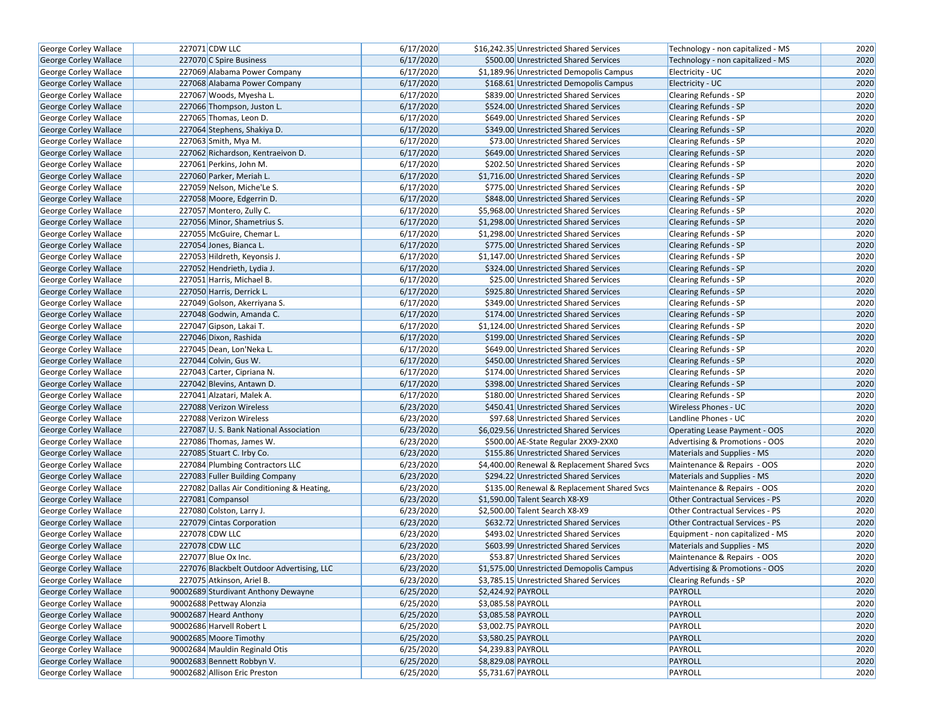| George Corley Wallace        | 227071 CDW LLC                            | 6/17/2020 | \$16,242.35 Unrestricted Shared Services     | Technology - non capitalized - MS      | 2020 |
|------------------------------|-------------------------------------------|-----------|----------------------------------------------|----------------------------------------|------|
| George Corley Wallace        | 227070 C Spire Business                   | 6/17/2020 | \$500.00 Unrestricted Shared Services        | Technology - non capitalized - MS      | 2020 |
| <b>George Corley Wallace</b> | 227069 Alabama Power Company              | 6/17/2020 | \$1,189.96 Unrestricted Demopolis Campus     | Electricity - UC                       | 2020 |
| George Corley Wallace        | 227068 Alabama Power Company              | 6/17/2020 | \$168.61 Unrestricted Demopolis Campus       | Electricity - UC                       | 2020 |
| George Corley Wallace        | 227067 Woods, Myesha L.                   | 6/17/2020 | \$839.00 Unrestricted Shared Services        | Clearing Refunds - SP                  | 2020 |
| George Corley Wallace        | 227066 Thompson, Juston L.                | 6/17/2020 | \$524.00 Unrestricted Shared Services        | <b>Clearing Refunds - SP</b>           | 2020 |
| George Corley Wallace        | 227065 Thomas, Leon D.                    | 6/17/2020 | \$649.00 Unrestricted Shared Services        | <b>Clearing Refunds - SP</b>           | 2020 |
| <b>George Corley Wallace</b> | 227064 Stephens, Shakiya D.               | 6/17/2020 | \$349.00 Unrestricted Shared Services        | <b>Clearing Refunds - SP</b>           | 2020 |
| George Corley Wallace        | 227063 Smith, Mya M.                      | 6/17/2020 | \$73.00 Unrestricted Shared Services         | Clearing Refunds - SP                  | 2020 |
| George Corley Wallace        | 227062 Richardson, Kentraeivon D.         | 6/17/2020 | \$649.00 Unrestricted Shared Services        | <b>Clearing Refunds - SP</b>           | 2020 |
| George Corley Wallace        | 227061 Perkins, John M.                   | 6/17/2020 | \$202.50 Unrestricted Shared Services        | Clearing Refunds - SP                  | 2020 |
| George Corley Wallace        | 227060 Parker, Meriah L.                  | 6/17/2020 | \$1,716.00 Unrestricted Shared Services      | <b>Clearing Refunds - SP</b>           | 2020 |
| <b>George Corley Wallace</b> | 227059 Nelson, Miche'Le S.                | 6/17/2020 | \$775.00 Unrestricted Shared Services        | Clearing Refunds - SP                  | 2020 |
| <b>George Corley Wallace</b> | 227058 Moore, Edgerrin D.                 | 6/17/2020 | \$848.00 Unrestricted Shared Services        | <b>Clearing Refunds - SP</b>           | 2020 |
| George Corley Wallace        | 227057 Montero, Zully C.                  | 6/17/2020 | \$5,968.00 Unrestricted Shared Services      | Clearing Refunds - SP                  | 2020 |
| <b>George Corley Wallace</b> | 227056 Minor, Shametrius S.               | 6/17/2020 | \$1,298.00 Unrestricted Shared Services      | <b>Clearing Refunds - SP</b>           | 2020 |
| George Corley Wallace        | 227055 McGuire, Chemar L.                 | 6/17/2020 | \$1,298.00 Unrestricted Shared Services      | Clearing Refunds - SP                  | 2020 |
| George Corley Wallace        | 227054 Jones, Bianca L.                   | 6/17/2020 | \$775.00 Unrestricted Shared Services        | <b>Clearing Refunds - SP</b>           | 2020 |
| George Corley Wallace        | 227053 Hildreth, Keyonsis J.              | 6/17/2020 | \$1,147.00 Unrestricted Shared Services      | Clearing Refunds - SP                  | 2020 |
| <b>George Corley Wallace</b> | 227052 Hendrieth, Lydia J.                | 6/17/2020 | \$324.00 Unrestricted Shared Services        | <b>Clearing Refunds - SP</b>           | 2020 |
| <b>George Corley Wallace</b> | 227051 Harris, Michael B.                 | 6/17/2020 | \$25.00 Unrestricted Shared Services         | Clearing Refunds - SP                  | 2020 |
| George Corley Wallace        | 227050 Harris, Derrick L.                 | 6/17/2020 | \$925.80 Unrestricted Shared Services        | <b>Clearing Refunds - SP</b>           | 2020 |
| George Corley Wallace        | 227049 Golson, Akerriyana S.              | 6/17/2020 | \$349.00 Unrestricted Shared Services        | Clearing Refunds - SP                  | 2020 |
| <b>George Corley Wallace</b> | 227048 Godwin, Amanda C.                  | 6/17/2020 | \$174.00 Unrestricted Shared Services        | <b>Clearing Refunds - SP</b>           | 2020 |
| George Corley Wallace        | 227047 Gipson, Lakai T.                   | 6/17/2020 | \$1,124.00 Unrestricted Shared Services      | Clearing Refunds - SP                  | 2020 |
| George Corley Wallace        | 227046 Dixon, Rashida                     | 6/17/2020 | \$199.00 Unrestricted Shared Services        | <b>Clearing Refunds - SP</b>           | 2020 |
| George Corley Wallace        | 227045 Dean, Lon'Neka L.                  | 6/17/2020 | \$649.00 Unrestricted Shared Services        | Clearing Refunds - SP                  | 2020 |
| George Corley Wallace        | 227044 Colvin, Gus W.                     | 6/17/2020 | \$450.00 Unrestricted Shared Services        | <b>Clearing Refunds - SP</b>           | 2020 |
| George Corley Wallace        | 227043 Carter, Cipriana N.                | 6/17/2020 | \$174.00 Unrestricted Shared Services        | Clearing Refunds - SP                  | 2020 |
| George Corley Wallace        | 227042 Blevins, Antawn D.                 | 6/17/2020 | \$398.00 Unrestricted Shared Services        | <b>Clearing Refunds - SP</b>           | 2020 |
| George Corley Wallace        | 227041 Alzatari, Malek A.                 | 6/17/2020 | \$180.00 Unrestricted Shared Services        | Clearing Refunds - SP                  | 2020 |
| <b>George Corley Wallace</b> | 227088 Verizon Wireless                   | 6/23/2020 | \$450.41 Unrestricted Shared Services        | <b>Wireless Phones - UC</b>            | 2020 |
| George Corley Wallace        | 227088 Verizon Wireless                   | 6/23/2020 | \$97.68 Unrestricted Shared Services         | Landline Phones - UC                   | 2020 |
| George Corley Wallace        | 227087 U.S. Bank National Association     | 6/23/2020 | \$6,029.56 Unrestricted Shared Services      | Operating Lease Payment - OOS          | 2020 |
| George Corley Wallace        | 227086 Thomas, James W.                   | 6/23/2020 | \$500.00 AE-State Regular 2XX9-2XX0          | Advertising & Promotions - OOS         | 2020 |
| George Corley Wallace        | 227085 Stuart C. Irby Co.                 | 6/23/2020 | \$155.86 Unrestricted Shared Services        | Materials and Supplies - MS            | 2020 |
| George Corley Wallace        | 227084 Plumbing Contractors LLC           | 6/23/2020 | \$4,400.00 Renewal & Replacement Shared Svcs | Maintenance & Repairs - OOS            | 2020 |
| George Corley Wallace        | 227083 Fuller Building Company            | 6/23/2020 | \$294.22 Unrestricted Shared Services        | Materials and Supplies - MS            | 2020 |
| <b>George Corley Wallace</b> | 227082 Dallas Air Conditioning & Heating, | 6/23/2020 | \$135.00 Renewal & Replacement Shared Svcs   | Maintenance & Repairs - OOS            | 2020 |
| <b>George Corley Wallace</b> | 227081 Compansol                          | 6/23/2020 | \$1,590.00 Talent Search X8-X9               | <b>Other Contractual Services - PS</b> | 2020 |
| George Corley Wallace        | 227080 Colston, Larry J.                  | 6/23/2020 | \$2,500.00 Talent Search X8-X9               | <b>Other Contractual Services - PS</b> | 2020 |
| <b>George Corley Wallace</b> | 227079 Cintas Corporation                 | 6/23/2020 | \$632.72 Unrestricted Shared Services        | <b>Other Contractual Services - PS</b> | 2020 |
| George Corley Wallace        | 227078 CDW LLC                            | 6/23/2020 | \$493.02 Unrestricted Shared Services        | Equipment - non capitalized - MS       | 2020 |
| George Corley Wallace        | 227078 CDW LLC                            | 6/23/2020 | \$603.99 Unrestricted Shared Services        | Materials and Supplies - MS            | 2020 |
| <b>George Corley Wallace</b> | 227077 Blue Ox Inc.                       | 6/23/2020 | \$53.87 Unrestricted Shared Services         | Maintenance & Repairs - OOS            | 2020 |
| <b>George Corley Wallace</b> | 227076 Blackbelt Outdoor Advertising, LLC | 6/23/2020 | \$1,575.00 Unrestricted Demopolis Campus     | Advertising & Promotions - OOS         | 2020 |
| George Corley Wallace        | 227075 Atkinson, Ariel B.                 | 6/23/2020 | \$3,785.15 Unrestricted Shared Services      | Clearing Refunds - SP                  | 2020 |
| George Corley Wallace        | 90002689 Sturdivant Anthony Dewayne       | 6/25/2020 | \$2,424.92 PAYROLL                           | PAYROLL                                | 2020 |
| George Corley Wallace        | 90002688 Pettway Alonzia                  | 6/25/2020 | \$3,085.58 PAYROLL                           | PAYROLL                                | 2020 |
| George Corley Wallace        | 90002687 Heard Anthony                    | 6/25/2020 | \$3,085.58 PAYROLL                           | PAYROLL                                | 2020 |
| George Corley Wallace        | 90002686 Harvell Robert L                 | 6/25/2020 | \$3,002.75 PAYROLL                           | PAYROLL                                | 2020 |
| George Corley Wallace        | 90002685 Moore Timothy                    | 6/25/2020 | \$3,580.25 PAYROLL                           | PAYROLL                                | 2020 |
| <b>George Corley Wallace</b> | 90002684 Mauldin Reginald Otis            | 6/25/2020 | \$4,239.83 PAYROLL                           | PAYROLL                                | 2020 |
| George Corley Wallace        | 90002683 Bennett Robbyn V.                | 6/25/2020 | \$8,829.08 PAYROLL                           | PAYROLL                                | 2020 |
| George Corley Wallace        | 90002682 Allison Eric Preston             | 6/25/2020 | \$5,731.67 PAYROLL                           | PAYROLL                                | 2020 |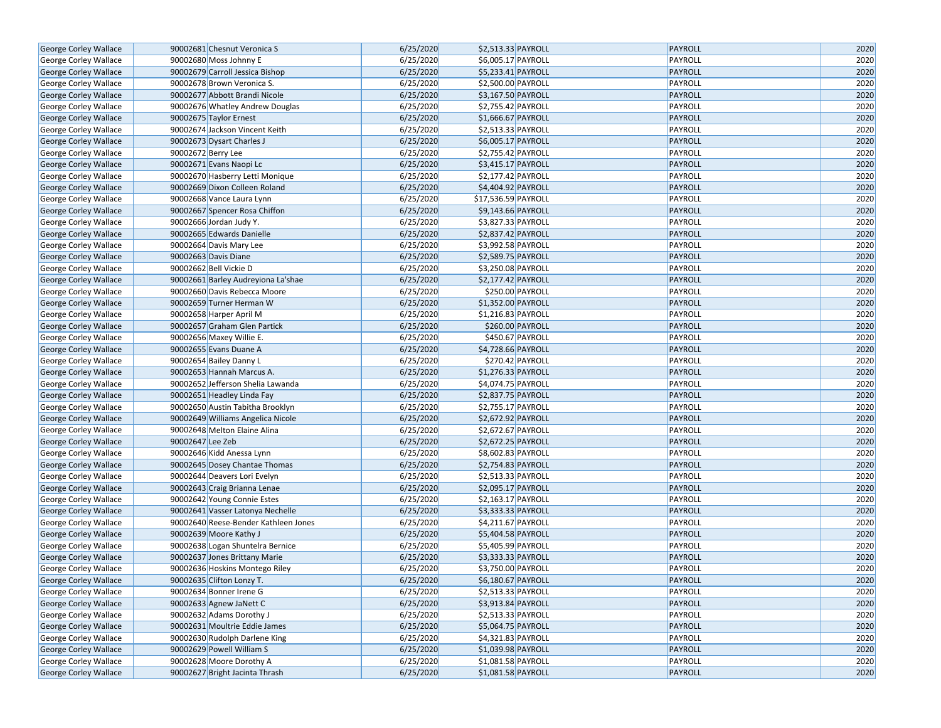| George Corley Wallace        | 90002681 Chesnut Veronica S                                | 6/25/2020 | \$2,513.33 PAYROLL                       | <b>PAYROLL</b>            | 2020 |
|------------------------------|------------------------------------------------------------|-----------|------------------------------------------|---------------------------|------|
| George Corley Wallace        | 90002680 Moss Johnny E                                     | 6/25/2020 | \$6,005.17 PAYROLL                       | PAYROLL                   | 2020 |
| George Corley Wallace        | 90002679 Carroll Jessica Bishop                            | 6/25/2020 | \$5,233.41 PAYROLL                       | PAYROLL                   | 2020 |
| George Corley Wallace        | 90002678 Brown Veronica S.                                 | 6/25/2020 | \$2,500.00 PAYROLL                       | PAYROLL                   | 2020 |
| George Corley Wallace        | 90002677 Abbott Brandi Nicole                              | 6/25/2020 | \$3,167.50 PAYROLL                       | PAYROLL                   | 2020 |
| George Corley Wallace        | 90002676 Whatley Andrew Douglas                            | 6/25/2020 | \$2,755.42 PAYROLL                       | PAYROLL                   | 2020 |
| George Corley Wallace        | 90002675 Taylor Ernest                                     | 6/25/2020 | \$1,666.67 PAYROLL                       | PAYROLL                   | 2020 |
| George Corley Wallace        | 90002674 Jackson Vincent Keith                             | 6/25/2020 | \$2,513.33 PAYROLL                       | PAYROLL                   | 2020 |
| George Corley Wallace        | 90002673 Dysart Charles J                                  | 6/25/2020 | \$6,005.17 PAYROLL                       | <b>PAYROLL</b>            | 2020 |
| George Corley Wallace        | 90002672 Berry Lee                                         | 6/25/2020 | \$2,755.42 PAYROLL                       | PAYROLL                   | 2020 |
| George Corley Wallace        | 90002671 Evans Naopi Lc                                    | 6/25/2020 | \$3,415.17 PAYROLL                       | PAYROLL                   | 2020 |
| George Corley Wallace        | 90002670 Hasberry Letti Monique                            | 6/25/2020 | \$2,177.42 PAYROLL                       | PAYROLL                   | 2020 |
| George Corley Wallace        | 90002669 Dixon Colleen Roland                              | 6/25/2020 | \$4,404.92 PAYROLL                       | PAYROLL                   | 2020 |
| George Corley Wallace        | 90002668 Vance Laura Lynn                                  | 6/25/2020 | \$17,536.59 PAYROLL                      | PAYROLL                   | 2020 |
| George Corley Wallace        | 90002667 Spencer Rosa Chiffon                              | 6/25/2020 | \$9,143.66 PAYROLL                       | PAYROLL                   | 2020 |
| George Corley Wallace        | 90002666 Jordan Judy Y.                                    | 6/25/2020 | \$3,827.33 PAYROLL                       | PAYROLL                   | 2020 |
| George Corley Wallace        | 90002665 Edwards Danielle                                  | 6/25/2020 | \$2,837.42 PAYROLL                       | PAYROLL                   | 2020 |
| George Corley Wallace        | 90002664 Davis Mary Lee                                    | 6/25/2020 | \$3,992.58 PAYROLL                       | PAYROLL                   | 2020 |
| George Corley Wallace        | 90002663 Davis Diane                                       | 6/25/2020 | \$2,589.75 PAYROLL                       | PAYROLL                   | 2020 |
| George Corley Wallace        | 90002662 Bell Vickie D                                     | 6/25/2020 | \$3,250.08 PAYROLL                       | PAYROLL                   | 2020 |
| George Corley Wallace        | 90002661 Barley Audreyiona La'shae                         | 6/25/2020 | \$2,177.42 PAYROLL                       | PAYROLL                   | 2020 |
| George Corley Wallace        | 90002660 Davis Rebecca Moore                               | 6/25/2020 | \$250.00 PAYROLL                         | PAYROLL                   | 2020 |
| George Corley Wallace        | 90002659 Turner Herman W                                   | 6/25/2020 | \$1,352.00 PAYROLL                       | PAYROLL                   | 2020 |
| George Corley Wallace        | 90002658 Harper April M                                    | 6/25/2020 | \$1,216.83 PAYROLL                       | PAYROLL                   | 2020 |
| George Corley Wallace        | 90002657 Graham Glen Partick                               | 6/25/2020 | \$260.00 PAYROLL                         | PAYROLL                   | 2020 |
| George Corley Wallace        | 90002656 Maxey Willie E.                                   | 6/25/2020 | \$450.67 PAYROLL                         | PAYROLL                   | 2020 |
| George Corley Wallace        | 90002655 Evans Duane A                                     | 6/25/2020 | \$4,728.66 PAYROLL                       | <b>PAYROLL</b>            | 2020 |
| George Corley Wallace        | 90002654 Bailey Danny L                                    | 6/25/2020 | \$270.42 PAYROLL                         | PAYROLL                   | 2020 |
| George Corley Wallace        | 90002653 Hannah Marcus A.                                  | 6/25/2020 | \$1,276.33 PAYROLL                       | <b>PAYROLL</b>            | 2020 |
| George Corley Wallace        | 90002652 Jefferson Shelia Lawanda                          | 6/25/2020 | \$4,074.75 PAYROLL                       | PAYROLL                   | 2020 |
| George Corley Wallace        | 90002651 Headley Linda Fay                                 | 6/25/2020 | \$2,837.75 PAYROLL                       | <b>PAYROLL</b>            | 2020 |
| George Corley Wallace        | 90002650 Austin Tabitha Brooklyn                           | 6/25/2020 | \$2,755.17 PAYROLL                       | PAYROLL                   | 2020 |
| George Corley Wallace        | 90002649 Williams Angelica Nicole                          | 6/25/2020 | \$2,672.92 PAYROLL                       | PAYROLL                   | 2020 |
| George Corley Wallace        | 90002648 Melton Elaine Alina                               | 6/25/2020 | \$2,672.67 PAYROLL                       | PAYROLL                   | 2020 |
| George Corley Wallace        | 90002647 Lee Zeb                                           | 6/25/2020 | \$2,672.25 PAYROLL                       | <b>PAYROLL</b>            | 2020 |
| George Corley Wallace        | 90002646 Kidd Anessa Lynn                                  | 6/25/2020 | \$8,602.83 PAYROLL                       | PAYROLL                   | 2020 |
| George Corley Wallace        | 90002645 Dosey Chantae Thomas                              | 6/25/2020 | \$2,754.83 PAYROLL                       | <b>PAYROLL</b>            | 2020 |
| George Corley Wallace        | 90002644 Deavers Lori Evelyn                               | 6/25/2020 | \$2,513.33 PAYROLL                       | PAYROLL                   | 2020 |
| George Corley Wallace        | 90002643 Craig Brianna Lenae                               | 6/25/2020 | \$2,095.17 PAYROLL                       | <b>PAYROLL</b>            | 2020 |
| George Corley Wallace        | 90002642 Young Connie Estes                                | 6/25/2020 | \$2,163.17 PAYROLL                       | PAYROLL                   | 2020 |
| George Corley Wallace        | 90002641 Vasser Latonya Nechelle                           | 6/25/2020 | \$3,333.33 PAYROLL                       | <b>PAYROLL</b>            | 2020 |
| George Corley Wallace        | 90002640 Reese-Bender Kathleen Jones                       | 6/25/2020 | \$4,211.67 PAYROLL                       | PAYROLL                   | 2020 |
| George Corley Wallace        | 90002639 Moore Kathy J                                     | 6/25/2020 | \$5,404.58 PAYROLL                       | <b>PAYROLL</b>            | 2020 |
| George Corley Wallace        | 90002638 Logan Shuntelra Bernice                           | 6/25/2020 | \$5,405.99 PAYROLL                       | PAYROLL                   | 2020 |
| George Corley Wallace        | 90002637 Jones Brittany Marie                              | 6/25/2020 | \$3,333.33 PAYROLL                       | <b>PAYROLL</b>            | 2020 |
| George Corley Wallace        | 90002636 Hoskins Montego Riley                             | 6/25/2020 | \$3,750.00 PAYROLL                       | PAYROLL                   | 2020 |
| George Corley Wallace        | 90002635 Clifton Lonzy T.                                  | 6/25/2020 | \$6,180.67 PAYROLL                       | <b>PAYROLL</b>            | 2020 |
| George Corley Wallace        | 90002634 Bonner Irene G                                    | 6/25/2020 | \$2,513.33 PAYROLL                       | PAYROLL                   | 2020 |
| George Corley Wallace        | 90002633 Agnew JaNett C                                    | 6/25/2020 | \$3,913.84 PAYROLL                       | <b>PAYROLL</b>            | 2020 |
|                              | 90002632 Adams Dorothy J                                   | 6/25/2020 |                                          | PAYROLL                   | 2020 |
| George Corley Wallace        | 90002631 Moultrie Eddie James                              |           | \$2,513.33 PAYROLL<br>\$5,064.75 PAYROLL |                           |      |
| George Corley Wallace        |                                                            | 6/25/2020 |                                          | <b>PAYROLL</b><br>PAYROLL | 2020 |
| George Corley Wallace        | 90002630 Rudolph Darlene King<br>90002629 Powell William S | 6/25/2020 | \$4,321.83 PAYROLL                       |                           | 2020 |
| George Corley Wallace        |                                                            | 6/25/2020 | \$1,039.98 PAYROLL                       | <b>PAYROLL</b>            | 2020 |
| George Corley Wallace        | 90002628 Moore Dorothy A                                   | 6/25/2020 | \$1,081.58 PAYROLL                       | PAYROLL                   | 2020 |
| <b>George Corley Wallace</b> | 90002627 Bright Jacinta Thrash                             | 6/25/2020 | \$1,081.58 PAYROLL                       | <b>PAYROLL</b>            | 2020 |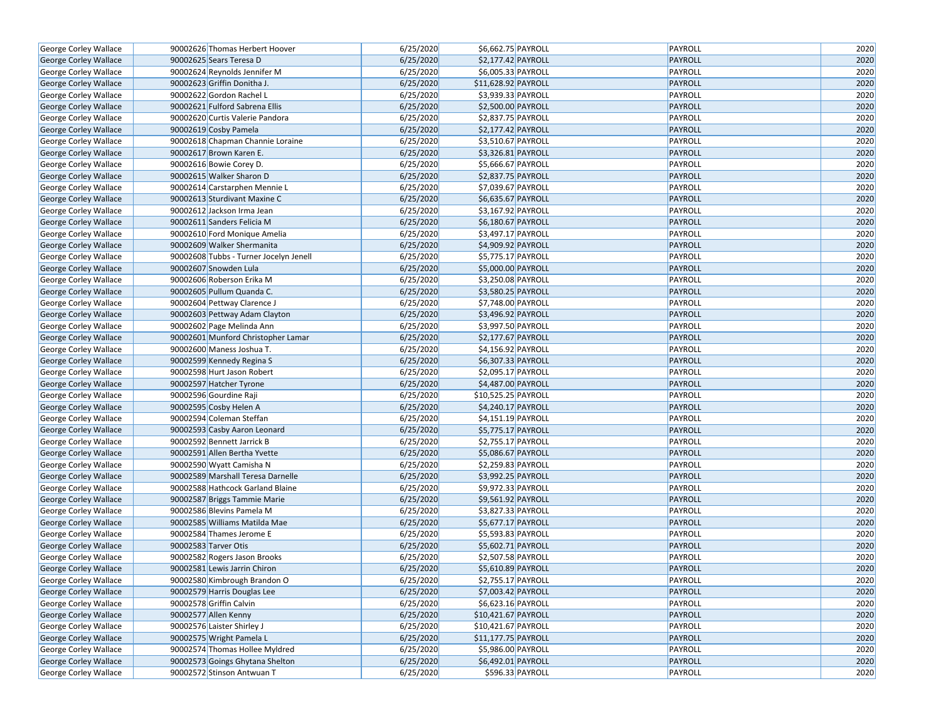| George Corley Wallace        | 90002626 Thomas Herbert Hoover         | 6/25/2020 | \$6,662.75 PAYROLL             | PAYROLL        | 2020 |
|------------------------------|----------------------------------------|-----------|--------------------------------|----------------|------|
| George Corley Wallace        | 90002625 Sears Teresa D                | 6/25/2020 | \$2,177.42 PAYROLL             | <b>PAYROLL</b> | 2020 |
| George Corley Wallace        | 90002624 Reynolds Jennifer M           | 6/25/2020 | \$6,005.33 PAYROLL             | PAYROLL        | 2020 |
| George Corley Wallace        | 90002623 Griffin Donitha J.            | 6/25/2020 | \$11,628.92 PAYROLL            | <b>PAYROLL</b> | 2020 |
| George Corley Wallace        | 90002622 Gordon Rachel L               | 6/25/2020 | \$3,939.33 PAYROLL             | PAYROLL        | 2020 |
| George Corley Wallace        | 90002621 Fulford Sabrena Ellis         | 6/25/2020 | \$2,500.00 PAYROLL             | <b>PAYROLL</b> | 2020 |
| George Corley Wallace        | 90002620 Curtis Valerie Pandora        | 6/25/2020 | \$2,837.75 PAYROLL             | PAYROLL        | 2020 |
| <b>George Corley Wallace</b> | 90002619 Cosby Pamela                  | 6/25/2020 | \$2,177.42 PAYROLL             | <b>PAYROLL</b> | 2020 |
| George Corley Wallace        | 90002618 Chapman Channie Loraine       | 6/25/2020 | \$3,510.67 PAYROLL             | PAYROLL        | 2020 |
| George Corley Wallace        | 90002617 Brown Karen E.                | 6/25/2020 | \$3,326.81 PAYROLL             | <b>PAYROLL</b> | 2020 |
| George Corley Wallace        | 90002616 Bowie Corey D.                | 6/25/2020 | \$5,666.67 PAYROLL             | PAYROLL        | 2020 |
| George Corley Wallace        | 90002615 Walker Sharon D               | 6/25/2020 | \$2,837.75 PAYROLL             | <b>PAYROLL</b> | 2020 |
| George Corley Wallace        | 90002614 Carstarphen Mennie L          | 6/25/2020 | \$7,039.67 PAYROLL             | PAYROLL        | 2020 |
| George Corley Wallace        | 90002613 Sturdivant Maxine C           | 6/25/2020 | \$6,635.67 PAYROLL             | <b>PAYROLL</b> | 2020 |
| George Corley Wallace        | 90002612 Jackson Irma Jean             | 6/25/2020 | \$3,167.92 PAYROLL             | PAYROLL        | 2020 |
| George Corley Wallace        | 90002611 Sanders Felicia M             | 6/25/2020 | \$6,180.67 PAYROLL             | <b>PAYROLL</b> | 2020 |
| George Corley Wallace        | 90002610 Ford Monique Amelia           | 6/25/2020 | \$3,497.17 PAYROLL             | PAYROLL        | 2020 |
| George Corley Wallace        | 90002609 Walker Shermanita             | 6/25/2020 | \$4,909.92 PAYROLL             | <b>PAYROLL</b> | 2020 |
| George Corley Wallace        | 90002608 Tubbs - Turner Jocelyn Jenell | 6/25/2020 | $\overline{$5,775.17}$ PAYROLL | PAYROLL        | 2020 |
| George Corley Wallace        | 90002607 Snowden Lula                  | 6/25/2020 | \$5,000.00 PAYROLL             | <b>PAYROLL</b> | 2020 |
| George Corley Wallace        | 90002606 Roberson Erika M              | 6/25/2020 | \$3,250.08 PAYROLL             | PAYROLL        | 2020 |
| George Corley Wallace        | 90002605 Pullum Quanda C.              | 6/25/2020 | \$3,580.25 PAYROLL             | <b>PAYROLL</b> | 2020 |
| George Corley Wallace        | 90002604 Pettway Clarence J            | 6/25/2020 | \$7,748.00 PAYROLL             | PAYROLL        | 2020 |
| George Corley Wallace        | 90002603 Pettway Adam Clayton          | 6/25/2020 | \$3,496.92 PAYROLL             | <b>PAYROLL</b> | 2020 |
| George Corley Wallace        | 90002602 Page Melinda Ann              | 6/25/2020 | \$3,997.50 PAYROLL             | PAYROLL        | 2020 |
| George Corley Wallace        | 90002601 Munford Christopher Lamar     | 6/25/2020 | \$2,177.67 PAYROLL             | <b>PAYROLL</b> | 2020 |
| George Corley Wallace        | 90002600 Maness Joshua T.              | 6/25/2020 | \$4,156.92 PAYROLL             | PAYROLL        | 2020 |
| George Corley Wallace        | 90002599 Kennedy Regina S              | 6/25/2020 | \$6,307.33 PAYROLL             | <b>PAYROLL</b> | 2020 |
| George Corley Wallace        | 90002598 Hurt Jason Robert             | 6/25/2020 | \$2,095.17 PAYROLL             | PAYROLL        | 2020 |
| George Corley Wallace        | 90002597 Hatcher Tyrone                | 6/25/2020 | \$4,487.00 PAYROLL             | PAYROLL        | 2020 |
| George Corley Wallace        | 90002596 Gourdine Raji                 | 6/25/2020 | \$10,525.25 PAYROLL            | PAYROLL        | 2020 |
| George Corley Wallace        | 90002595 Cosby Helen A                 | 6/25/2020 | \$4,240.17 PAYROLL             | PAYROLL        | 2020 |
| George Corley Wallace        | 90002594 Coleman Steffan               | 6/25/2020 | \$4,151.19 PAYROLL             | PAYROLL        | 2020 |
| George Corley Wallace        | 90002593 Casby Aaron Leonard           | 6/25/2020 | \$5,775.17 PAYROLL             | PAYROLL        | 2020 |
| George Corley Wallace        | 90002592 Bennett Jarrick B             | 6/25/2020 | \$2,755.17 PAYROLL             | PAYROLL        | 2020 |
| George Corley Wallace        | 90002591 Allen Bertha Yvette           | 6/25/2020 | \$5,086.67 PAYROLL             | PAYROLL        | 2020 |
| George Corley Wallace        | 90002590 Wyatt Camisha N               | 6/25/2020 | \$2,259.83 PAYROLL             | PAYROLL        | 2020 |
| George Corley Wallace        | 90002589 Marshall Teresa Darnelle      | 6/25/2020 | \$3,992.25 PAYROLL             | <b>PAYROLL</b> | 2020 |
| George Corley Wallace        | 90002588 Hathcock Garland Blaine       | 6/25/2020 | \$9,972.33 PAYROLL             | PAYROLL        | 2020 |
| George Corley Wallace        | 90002587 Briggs Tammie Marie           | 6/25/2020 | \$9,561.92 PAYROLL             | PAYROLL        | 2020 |
| George Corley Wallace        | 90002586 Blevins Pamela M              | 6/25/2020 | \$3,827.33 PAYROLL             | PAYROLL        | 2020 |
| George Corley Wallace        | 90002585 Williams Matilda Mae          | 6/25/2020 | \$5,677.17 PAYROLL             | PAYROLL        | 2020 |
| George Corley Wallace        | 90002584 Thames Jerome E               | 6/25/2020 | \$5,593.83 PAYROLL             | PAYROLL        | 2020 |
| George Corley Wallace        | 90002583 Tarver Otis                   | 6/25/2020 | \$5,602.71 PAYROLL             | PAYROLL        | 2020 |
| George Corley Wallace        | 90002582 Rogers Jason Brooks           | 6/25/2020 | \$2,507.58 PAYROLL             | PAYROLL        | 2020 |
| <b>George Corley Wallace</b> | 90002581 Lewis Jarrin Chiron           | 6/25/2020 | \$5,610.89 PAYROLL             | PAYROLL        | 2020 |
| <b>George Corley Wallace</b> | 90002580 Kimbrough Brandon O           | 6/25/2020 | \$2,755.17 PAYROLL             | PAYROLL        | 2020 |
| George Corley Wallace        | 90002579 Harris Douglas Lee            | 6/25/2020 | \$7,003.42 PAYROLL             | <b>PAYROLL</b> | 2020 |
| George Corley Wallace        | 90002578 Griffin Calvin                | 6/25/2020 | \$6,623.16 PAYROLL             | PAYROLL        | 2020 |
| George Corley Wallace        | 90002577 Allen Kenny                   | 6/25/2020 | \$10,421.67 PAYROLL            | PAYROLL        | 2020 |
| George Corley Wallace        | 90002576 Laister Shirley J             | 6/25/2020 | \$10,421.67 PAYROLL            | PAYROLL        | 2020 |
| George Corley Wallace        | 90002575 Wright Pamela L               | 6/25/2020 | \$11,177.75 PAYROLL            | PAYROLL        | 2020 |
| George Corley Wallace        | 90002574 Thomas Hollee Myldred         | 6/25/2020 | \$5,986.00 PAYROLL             | PAYROLL        | 2020 |
| George Corley Wallace        | 90002573 Goings Ghytana Shelton        | 6/25/2020 | \$6,492.01 PAYROLL             | PAYROLL        | 2020 |
| <b>George Corley Wallace</b> | 90002572 Stinson Antwuan T             | 6/25/2020 | \$596.33 PAYROLL               | PAYROLL        | 2020 |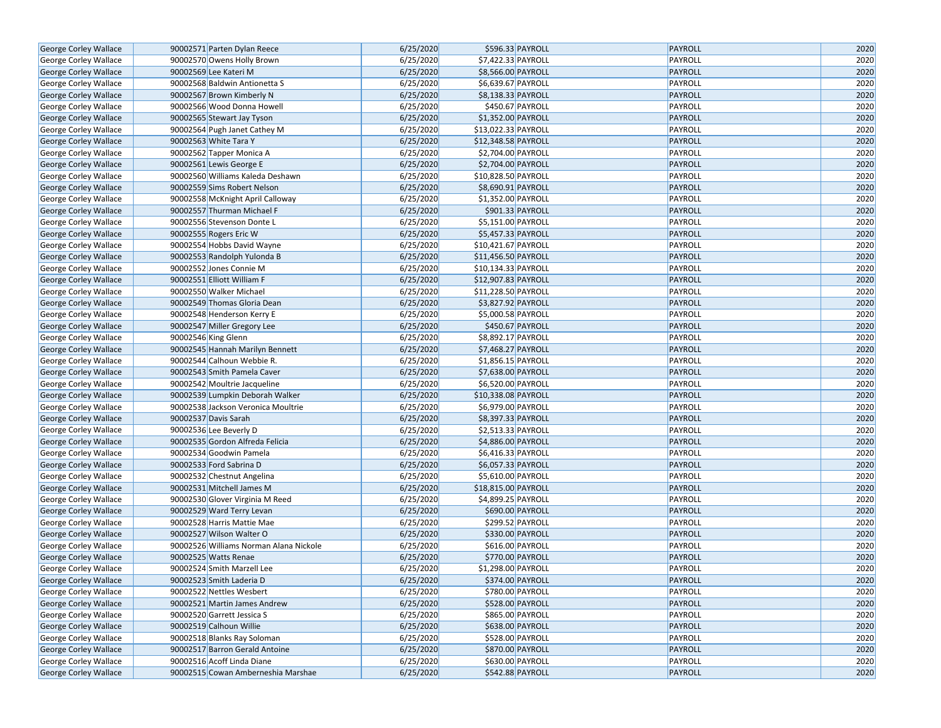| George Corley Wallace                          | 90002571 Parten Dylan Reece            | 6/25/2020 | \$596.33 PAYROLL                          | PAYROLL                   | 2020 |
|------------------------------------------------|----------------------------------------|-----------|-------------------------------------------|---------------------------|------|
| George Corley Wallace                          | 90002570 Owens Holly Brown             | 6/25/2020 | \$7,422.33 PAYROLL                        | PAYROLL                   | 2020 |
| George Corley Wallace                          | 90002569 Lee Kateri M                  | 6/25/2020 | \$8,566.00 PAYROLL                        | <b>PAYROLL</b>            | 2020 |
| George Corley Wallace                          | 90002568 Baldwin Antionetta S          | 6/25/2020 | \$6,639.67 PAYROLL                        | PAYROLL                   | 2020 |
| George Corley Wallace                          | 90002567 Brown Kimberly N              | 6/25/2020 | \$8,138.33 PAYROLL                        | PAYROLL                   | 2020 |
| George Corley Wallace                          | 90002566 Wood Donna Howell             | 6/25/2020 | \$450.67 PAYROLL                          | PAYROLL                   | 2020 |
| George Corley Wallace                          | 90002565 Stewart Jay Tyson             | 6/25/2020 | \$1,352.00 PAYROLL                        | <b>PAYROLL</b>            | 2020 |
| George Corley Wallace                          | 90002564 Pugh Janet Cathey M           | 6/25/2020 | \$13,022.33 PAYROLL                       | PAYROLL                   | 2020 |
| George Corley Wallace                          | 90002563 White Tara Y                  | 6/25/2020 | \$12,348.58 PAYROLL                       | <b>PAYROLL</b>            | 2020 |
| George Corley Wallace                          | 90002562 Tapper Monica A               | 6/25/2020 | \$2,704.00 PAYROLL                        | PAYROLL                   | 2020 |
| George Corley Wallace                          | 90002561 Lewis George E                | 6/25/2020 | \$2,704.00 PAYROLL                        | PAYROLL                   | 2020 |
| George Corley Wallace                          | 90002560 Williams Kaleda Deshawn       | 6/25/2020 | \$10,828.50 PAYROLL                       | PAYROLL                   | 2020 |
| <b>George Corley Wallace</b>                   | 90002559 Sims Robert Nelson            | 6/25/2020 | \$8,690.91 PAYROLL                        | PAYROLL                   | 2020 |
| George Corley Wallace                          | 90002558 McKnight April Calloway       | 6/25/2020 | \$1,352.00 PAYROLL                        | PAYROLL                   | 2020 |
| George Corley Wallace                          | 90002557 Thurman Michael F             | 6/25/2020 | \$901.33 PAYROLL                          | PAYROLL                   | 2020 |
| George Corley Wallace                          | 90002556 Stevenson Donte L             | 6/25/2020 | \$5,151.00 PAYROLL                        | PAYROLL                   | 2020 |
| George Corley Wallace                          | 90002555 Rogers Eric W                 | 6/25/2020 | \$5,457.33 PAYROLL                        | <b>PAYROLL</b>            | 2020 |
| George Corley Wallace                          | 90002554 Hobbs David Wayne             | 6/25/2020 | \$10,421.67 PAYROLL                       | PAYROLL                   | 2020 |
| George Corley Wallace                          | 90002553 Randolph Yulonda B            | 6/25/2020 | \$11,456.50 PAYROLL                       | PAYROLL                   | 2020 |
| George Corley Wallace                          | 90002552 Jones Connie M                | 6/25/2020 | \$10,134.33 PAYROLL                       | PAYROLL                   | 2020 |
| George Corley Wallace                          | 90002551 Elliott William F             | 6/25/2020 | \$12,907.83 PAYROLL                       | PAYROLL                   | 2020 |
| George Corley Wallace                          | 90002550 Walker Michael                | 6/25/2020 | \$11,228.50 PAYROLL                       | PAYROLL                   | 2020 |
| George Corley Wallace                          | 90002549 Thomas Gloria Dean            | 6/25/2020 | \$3,827.92 PAYROLL                        | PAYROLL                   | 2020 |
| George Corley Wallace                          | 90002548 Henderson Kerry E             | 6/25/2020 | \$5,000.58 PAYROLL                        | PAYROLL                   | 2020 |
| George Corley Wallace                          | 90002547 Miller Gregory Lee            | 6/25/2020 | \$450.67 PAYROLL                          | PAYROLL                   | 2020 |
| George Corley Wallace                          | 90002546 King Glenn                    | 6/25/2020 | \$8,892.17 PAYROLL                        | PAYROLL                   | 2020 |
|                                                | 90002545 Hannah Marilyn Bennett        | 6/25/2020 |                                           | <b>PAYROLL</b>            | 2020 |
| George Corley Wallace                          | 90002544 Calhoun Webbie R.             | 6/25/2020 | \$7,468.27 PAYROLL<br>\$1,856.15 PAYROLL  | PAYROLL                   | 2020 |
| George Corley Wallace<br>George Corley Wallace | 90002543 Smith Pamela Caver            | 6/25/2020 | \$7,638.00 PAYROLL                        | <b>PAYROLL</b>            | 2020 |
|                                                |                                        | 6/25/2020 | \$6,520.00 PAYROLL                        | PAYROLL                   | 2020 |
| George Corley Wallace                          | 90002542 Moultrie Jacqueline           | 6/25/2020 |                                           |                           | 2020 |
| George Corley Wallace                          | 90002539 Lumpkin Deborah Walker        | 6/25/2020 | \$10,338.08 PAYROLL<br>\$6,979.00 PAYROLL | <b>PAYROLL</b><br>PAYROLL | 2020 |
| George Corley Wallace                          | 90002538 Jackson Veronica Moultrie     |           |                                           |                           |      |
| George Corley Wallace                          | 90002537 Davis Sarah                   | 6/25/2020 | \$8,397.33 PAYROLL                        | PAYROLL                   | 2020 |
| George Corley Wallace                          | 90002536 Lee Beverly D                 | 6/25/2020 | \$2,513.33 PAYROLL                        | PAYROLL                   | 2020 |
| George Corley Wallace                          | 90002535 Gordon Alfreda Felicia        | 6/25/2020 | \$4,886.00 PAYROLL<br>\$6,416.33 PAYROLL  | <b>PAYROLL</b>            | 2020 |
| George Corley Wallace                          | 90002534 Goodwin Pamela                | 6/25/2020 |                                           | PAYROLL                   | 2020 |
| George Corley Wallace                          | 90002533 Ford Sabrina D                | 6/25/2020 | \$6,057.33 PAYROLL                        | <b>PAYROLL</b><br>PAYROLL | 2020 |
| George Corley Wallace                          | 90002532 Chestnut Angelina             | 6/25/2020 | \$5,610.00 PAYROLL                        |                           | 2020 |
| George Corley Wallace                          | 90002531 Mitchell James M              | 6/25/2020 | \$18,815.00 PAYROLL                       | <b>PAYROLL</b>            | 2020 |
| George Corley Wallace                          | 90002530 Glover Virginia M Reed        | 6/25/2020 | \$4,899.25 PAYROLL                        | PAYROLL                   | 2020 |
| George Corley Wallace                          | 90002529 Ward Terry Levan              | 6/25/2020 | \$690.00 PAYROLL                          | PAYROLL                   | 2020 |
| George Corley Wallace                          | 90002528 Harris Mattie Mae             | 6/25/2020 | \$299.52 PAYROLL                          | PAYROLL                   | 2020 |
| George Corley Wallace                          | 90002527 Wilson Walter O               | 6/25/2020 | \$330.00 PAYROLL                          | <b>PAYROLL</b>            | 2020 |
| George Corley Wallace                          | 90002526 Williams Norman Alana Nickole | 6/25/2020 | \$616.00 PAYROLL                          | PAYROLL                   | 2020 |
| <b>George Corley Wallace</b>                   | 90002525 Watts Renae                   | 6/25/2020 | \$770.00 PAYROLL                          | <b>PAYROLL</b>            | 2020 |
| George Corley Wallace                          | 90002524 Smith Marzell Lee             | 6/25/2020 | \$1,298.00 PAYROLL                        | PAYROLL                   | 2020 |
| George Corley Wallace                          | 90002523 Smith Laderia D               | 6/25/2020 | \$374.00 PAYROLL                          | PAYROLL                   | 2020 |
| George Corley Wallace                          | 90002522 Nettles Wesbert               | 6/25/2020 | \$780.00 PAYROLL                          | PAYROLL                   | 2020 |
| George Corley Wallace                          | 90002521 Martin James Andrew           | 6/25/2020 | \$528.00 PAYROLL                          | PAYROLL                   | 2020 |
| George Corley Wallace                          | 90002520 Garrett Jessica S             | 6/25/2020 | \$865.00 PAYROLL                          | PAYROLL                   | 2020 |
| George Corley Wallace                          | 90002519 Calhoun Willie                | 6/25/2020 | \$638.00 PAYROLL                          | PAYROLL                   | 2020 |
| George Corley Wallace                          | 90002518 Blanks Ray Soloman            | 6/25/2020 | \$528.00 PAYROLL                          | PAYROLL                   | 2020 |
| George Corley Wallace                          | 90002517 Barron Gerald Antoine         | 6/25/2020 | \$870.00 PAYROLL                          | PAYROLL                   | 2020 |
| George Corley Wallace                          | 90002516 Acoff Linda Diane             | 6/25/2020 | \$630.00 PAYROLL                          | PAYROLL                   | 2020 |
| George Corley Wallace                          | 90002515 Cowan Amberneshia Marshae     | 6/25/2020 | \$542.88 PAYROLL                          | PAYROLL                   | 2020 |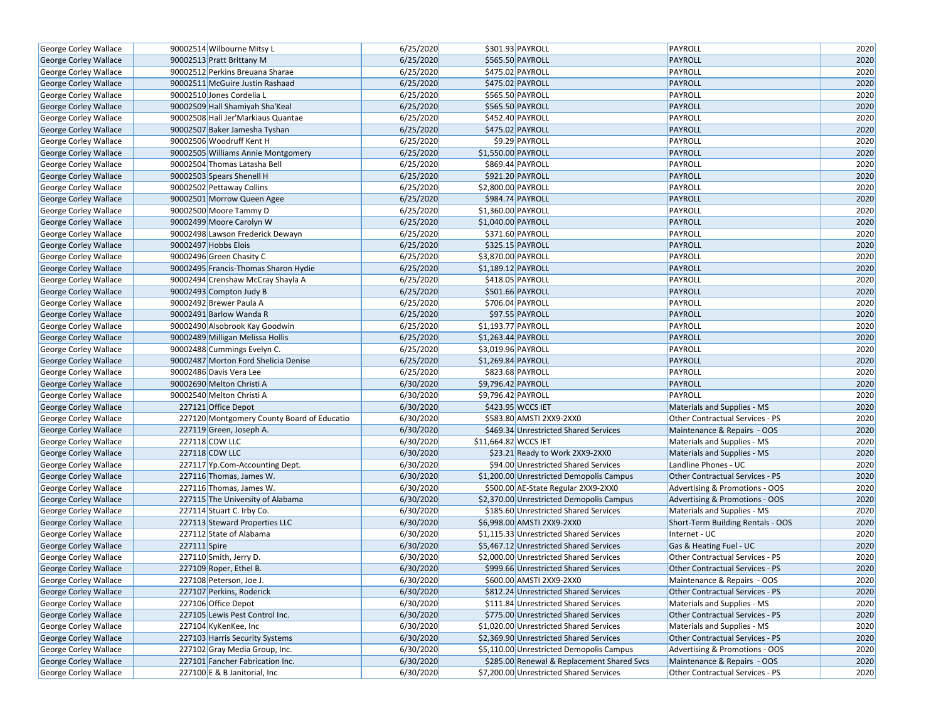| George Corley Wallace                                 |              | 90002514 Wilbourne Mitsy L                                 | 6/25/2020              | \$301.93 PAYROLL                                                                 | PAYROLL                                                          | 2020         |
|-------------------------------------------------------|--------------|------------------------------------------------------------|------------------------|----------------------------------------------------------------------------------|------------------------------------------------------------------|--------------|
| George Corley Wallace                                 |              | 90002513 Pratt Brittany M                                  | 6/25/2020              | \$565.50 PAYROLL                                                                 | <b>PAYROLL</b>                                                   | 2020         |
| George Corley Wallace                                 |              | 90002512 Perkins Breuana Sharae                            | 6/25/2020              | \$475.02 PAYROLL                                                                 | PAYROLL                                                          | 2020         |
| George Corley Wallace                                 |              | 90002511 McGuire Justin Rashaad                            | 6/25/2020              | \$475.02 PAYROLL                                                                 | PAYROLL                                                          | 2020         |
| George Corley Wallace                                 |              | 90002510 Jones Cordelia L                                  | 6/25/2020              | \$565.50 PAYROLL                                                                 | PAYROLL                                                          | 2020         |
| <b>George Corley Wallace</b>                          |              | 90002509 Hall Shamiyah Sha'Keal                            | 6/25/2020              | \$565.50 PAYROLL                                                                 | <b>PAYROLL</b>                                                   | 2020         |
| George Corley Wallace                                 |              | 90002508 Hall Jer'Markiaus Quantae                         | 6/25/2020              | \$452.40 PAYROLL                                                                 | PAYROLL                                                          | 2020         |
| George Corley Wallace                                 |              | 90002507 Baker Jamesha Tyshan                              | 6/25/2020              | \$475.02 PAYROLL                                                                 | <b>PAYROLL</b>                                                   | 2020         |
| George Corley Wallace                                 |              | 90002506 Woodruff Kent H                                   | 6/25/2020              | \$9.29 PAYROLL                                                                   | PAYROLL                                                          | 2020         |
| George Corley Wallace                                 |              | 90002505 Williams Annie Montgomery                         | 6/25/2020              | \$1,550.00 PAYROLL                                                               | <b>PAYROLL</b>                                                   | 2020         |
| George Corley Wallace                                 |              | 90002504 Thomas Latasha Bell                               | 6/25/2020              | \$869.44 PAYROLL                                                                 | PAYROLL                                                          | 2020         |
| George Corley Wallace                                 |              | 90002503 Spears Shenell H                                  | 6/25/2020              | \$921.20 PAYROLL                                                                 | PAYROLL                                                          | 2020         |
| George Corley Wallace                                 |              | 90002502 Pettaway Collins                                  | 6/25/2020              | \$2,800.00 PAYROLL                                                               | PAYROLL                                                          | 2020         |
| George Corley Wallace                                 |              | 90002501 Morrow Queen Agee                                 | 6/25/2020              | \$984.74 PAYROLL                                                                 | <b>PAYROLL</b>                                                   | 2020         |
| George Corley Wallace                                 |              | 90002500 Moore Tammy D                                     | 6/25/2020              | \$1,360.00 PAYROLL                                                               | PAYROLL                                                          | 2020         |
| George Corley Wallace                                 |              | 90002499 Moore Carolyn W                                   | 6/25/2020              | \$1,040.00 PAYROLL                                                               | <b>PAYROLL</b>                                                   | 2020         |
| George Corley Wallace                                 |              | 90002498 Lawson Frederick Dewayn                           | 6/25/2020              | \$371.60 PAYROLL                                                                 | PAYROLL                                                          | 2020         |
| George Corley Wallace                                 |              | 90002497 Hobbs Elois                                       | 6/25/2020              | \$325.15 PAYROLL                                                                 | <b>PAYROLL</b>                                                   | 2020         |
| George Corley Wallace                                 |              | 90002496 Green Chasity C                                   | 6/25/2020              | \$3,870.00 PAYROLL                                                               | PAYROLL                                                          | 2020         |
| George Corley Wallace                                 |              | 90002495 Francis-Thomas Sharon Hydie                       | 6/25/2020              | \$1,189.12 PAYROLL                                                               | PAYROLL                                                          | 2020         |
| George Corley Wallace                                 |              | 90002494 Crenshaw McCray Shayla A                          | 6/25/2020              | \$418.05 PAYROLL                                                                 | PAYROLL                                                          | 2020         |
| George Corley Wallace                                 |              | 90002493 Compton Judy B                                    | 6/25/2020              | \$501.66 PAYROLL                                                                 | <b>PAYROLL</b>                                                   | 2020         |
| George Corley Wallace                                 |              | 90002492 Brewer Paula A                                    | 6/25/2020              | \$706.04 PAYROLL                                                                 | PAYROLL                                                          | 2020         |
| George Corley Wallace                                 |              | 90002491 Barlow Wanda R                                    | 6/25/2020              | \$97.55 PAYROLL                                                                  | <b>PAYROLL</b>                                                   | 2020         |
| George Corley Wallace                                 |              | 90002490 Alsobrook Kay Goodwin                             | 6/25/2020              | \$1,193.77 PAYROLL                                                               | PAYROLL                                                          | 2020         |
| George Corley Wallace                                 |              | 90002489 Milligan Melissa Hollis                           | 6/25/2020              | \$1,263.44 PAYROLL                                                               | <b>PAYROLL</b>                                                   | 2020         |
| George Corley Wallace                                 |              | 90002488 Cummings Evelyn C.                                | 6/25/2020              | \$3,019.96 PAYROLL                                                               | PAYROLL                                                          | 2020         |
|                                                       |              | 90002487 Morton Ford Shelicia Denise                       | 6/25/2020              | \$1,269.84 PAYROLL                                                               | <b>PAYROLL</b>                                                   | 2020         |
| George Corley Wallace                                 |              | 90002486 Davis Vera Lee                                    | 6/25/2020              | \$823.68 PAYROLL                                                                 | PAYROLL                                                          | 2020         |
| George Corley Wallace                                 |              | 90002690 Melton Christi A                                  | 6/30/2020              | \$9,796.42 PAYROLL                                                               | <b>PAYROLL</b>                                                   | 2020         |
| George Corley Wallace                                 |              | 90002540 Melton Christi A                                  | 6/30/2020              | \$9,796.42 PAYROLL                                                               | PAYROLL                                                          | 2020         |
| George Corley Wallace                                 |              | 227121 Office Depot                                        | 6/30/2020              | \$423.95 WCCS IET                                                                |                                                                  | 2020         |
| George Corley Wallace                                 |              |                                                            | 6/30/2020              | \$583.80 AMSTI 2XX9-2XX0                                                         | Materials and Supplies - MS                                      | 2020         |
| George Corley Wallace                                 |              | 227120 Montgomery County Board of Educatio                 | 6/30/2020              |                                                                                  | Other Contractual Services - PS                                  | 2020         |
| George Corley Wallace<br>George Corley Wallace        |              | 227119 Green, Joseph A.<br>227118 CDW LLC                  | 6/30/2020              | \$469.34 Unrestricted Shared Services<br>\$11,664.82 WCCS IET                    | Maintenance & Repairs - OOS<br>Materials and Supplies - MS       | 2020         |
| George Corley Wallace                                 |              | 227118 CDW LLC                                             | 6/30/2020              | \$23.21 Ready to Work 2XX9-2XX0                                                  | Materials and Supplies - MS                                      | 2020         |
| George Corley Wallace                                 |              | 227117 Yp.Com-Accounting Dept.                             | 6/30/2020              | \$94.00 Unrestricted Shared Services                                             | Landline Phones - UC                                             | 2020         |
| George Corley Wallace                                 |              | 227116 Thomas, James W.                                    | 6/30/2020              | \$1,200.00 Unrestricted Demopolis Campus                                         | Other Contractual Services - PS                                  | 2020         |
|                                                       |              | 227116 Thomas, James W.                                    | 6/30/2020              |                                                                                  | Advertising & Promotions - OOS                                   | 2020         |
| George Corley Wallace                                 |              | 227115 The University of Alabama                           | 6/30/2020              | \$500.00 AE-State Regular 2XX9-2XX0<br>\$2,370.00 Unrestricted Demopolis Campus  | Advertising & Promotions - OOS                                   | 2020         |
| George Corley Wallace                                 |              |                                                            | 6/30/2020              |                                                                                  |                                                                  | 2020         |
| George Corley Wallace<br>George Corley Wallace        |              | 227114 Stuart C. Irby Co.<br>227113 Steward Properties LLC | 6/30/2020              | \$185.60 Unrestricted Shared Services<br>\$6,998.00 AMSTI 2XX9-2XX0              | Materials and Supplies - MS<br>Short-Term Building Rentals - OOS | 2020         |
|                                                       |              | 227112 State of Alabama                                    | 6/30/2020              | \$1,115.33 Unrestricted Shared Services                                          |                                                                  | 2020         |
| George Corley Wallace                                 | 227111 Spire |                                                            | 6/30/2020              | \$5,467.12 Unrestricted Shared Services                                          | Internet - UC<br>Gas & Heating Fuel - UC                         | 2020         |
| George Corley Wallace<br><b>George Corley Wallace</b> |              |                                                            | 6/30/2020              |                                                                                  | <b>Other Contractual Services - PS</b>                           | 2020         |
|                                                       |              | 227110 Smith, Jerry D.                                     |                        | \$2,000.00 Unrestricted Shared Services<br>\$999.66 Unrestricted Shared Services |                                                                  |              |
| George Corley Wallace                                 |              | 227109 Roper, Ethel B.                                     | 6/30/2020              | \$600.00 AMSTI 2XX9-2XX0                                                         | <b>Other Contractual Services - PS</b>                           | 2020         |
| George Corley Wallace<br>George Corley Wallace        |              | 227108 Peterson, Joe J.                                    | 6/30/2020              | \$812.24 Unrestricted Shared Services                                            | Maintenance & Repairs - OOS                                      | 2020<br>2020 |
|                                                       |              | 227107 Perkins, Roderick                                   | 6/30/2020<br>6/30/2020 |                                                                                  | Other Contractual Services - PS                                  |              |
| George Corley Wallace                                 |              | 227106 Office Depot                                        |                        | \$111.84 Unrestricted Shared Services                                            | Materials and Supplies - MS                                      | 2020         |
| George Corley Wallace                                 |              | 227105 Lewis Pest Control Inc.                             | 6/30/2020              | \$775.00 Unrestricted Shared Services                                            | Other Contractual Services - PS                                  | 2020         |
| George Corley Wallace                                 |              | 227104 KyKenKee, Inc                                       | 6/30/2020              | \$1,020.00 Unrestricted Shared Services                                          | Materials and Supplies - MS                                      | 2020         |
| George Corley Wallace                                 |              | 227103 Harris Security Systems                             | 6/30/2020              | \$2,369.90 Unrestricted Shared Services                                          | Other Contractual Services - PS                                  | 2020         |
| George Corley Wallace                                 |              | 227102 Gray Media Group, Inc.                              | 6/30/2020              | \$5,110.00 Unrestricted Demopolis Campus                                         | Advertising & Promotions - OOS                                   | 2020         |
| George Corley Wallace                                 |              | 227101 Fancher Fabrication Inc.                            | 6/30/2020              | \$285.00 Renewal & Replacement Shared Svcs                                       | Maintenance & Repairs - OOS                                      | 2020         |
| George Corley Wallace                                 |              | 227100 E & B Janitorial, Inc                               | 6/30/2020              | \$7,200.00 Unrestricted Shared Services                                          | Other Contractual Services - PS                                  | 2020         |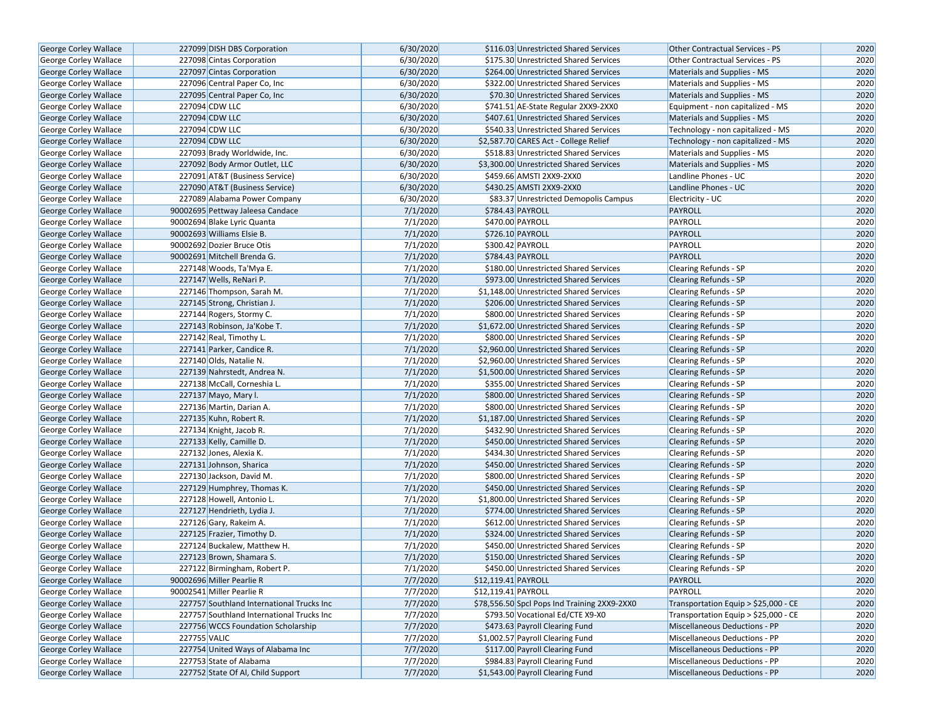| George Corley Wallace        | 227099 DISH DBS Corporation               | 6/30/2020 | \$116.03 Unrestricted Shared Services        | Other Contractual Services - PS        | 2020 |
|------------------------------|-------------------------------------------|-----------|----------------------------------------------|----------------------------------------|------|
| <b>George Corley Wallace</b> | 227098 Cintas Corporation                 | 6/30/2020 | \$175.30 Unrestricted Shared Services        | <b>Other Contractual Services - PS</b> | 2020 |
| <b>George Corley Wallace</b> | 227097 Cintas Corporation                 | 6/30/2020 | \$264.00 Unrestricted Shared Services        | Materials and Supplies - MS            | 2020 |
| George Corley Wallace        | 227096 Central Paper Co, Inc              | 6/30/2020 | \$322.00 Unrestricted Shared Services        | Materials and Supplies - MS            | 2020 |
| George Corley Wallace        | 227095 Central Paper Co, Inc              | 6/30/2020 | \$70.30 Unrestricted Shared Services         | Materials and Supplies - MS            | 2020 |
| George Corley Wallace        | 227094 CDW LLC                            | 6/30/2020 | \$741.51 AE-State Regular 2XX9-2XX0          | Equipment - non capitalized - MS       | 2020 |
| George Corley Wallace        | 227094 CDW LLC                            | 6/30/2020 | \$407.61 Unrestricted Shared Services        | Materials and Supplies - MS            | 2020 |
| <b>George Corley Wallace</b> | 227094 CDW LLC                            | 6/30/2020 | \$540.33 Unrestricted Shared Services        | Technology - non capitalized - MS      | 2020 |
| <b>George Corley Wallace</b> | 227094 CDW LLC                            | 6/30/2020 | \$2,587.70 CARES Act - College Relief        | Technology - non capitalized - MS      | 2020 |
| George Corley Wallace        | 227093 Brady Worldwide, Inc.              | 6/30/2020 | \$518.83 Unrestricted Shared Services        | Materials and Supplies - MS            | 2020 |
| George Corley Wallace        | 227092 Body Armor Outlet, LLC             | 6/30/2020 | \$3,300.00 Unrestricted Shared Services      | Materials and Supplies - MS            | 2020 |
| George Corley Wallace        | 227091 AT&T (Business Service)            | 6/30/2020 | \$459.66 AMSTI 2XX9-2XX0                     | Landline Phones - UC                   | 2020 |
| George Corley Wallace        | 227090 AT&T (Business Service)            | 6/30/2020 | \$430.25 AMSTI 2XX9-2XX0                     | Landline Phones - UC                   | 2020 |
| <b>George Corley Wallace</b> | 227089 Alabama Power Company              | 6/30/2020 | \$83.37 Unrestricted Demopolis Campus        | Electricity - UC                       | 2020 |
| <b>George Corley Wallace</b> | 90002695 Pettway Jaleesa Candace          | 7/1/2020  | \$784.43 PAYROLL                             | PAYROLL                                | 2020 |
| <b>George Corley Wallace</b> | 90002694 Blake Lyric Quanta               | 7/1/2020  | \$470.00 PAYROLL                             | PAYROLL                                | 2020 |
|                              |                                           |           | \$726.10 PAYROLL                             | PAYROLL                                |      |
| <b>George Corley Wallace</b> | 90002693 Williams Elsie B.                | 7/1/2020  |                                              |                                        | 2020 |
| George Corley Wallace        | 90002692 Dozier Bruce Otis                | 7/1/2020  | \$300.42 PAYROLL                             | PAYROLL                                | 2020 |
| George Corley Wallace        | 90002691 Mitchell Brenda G.               | 7/1/2020  | \$784.43 PAYROLL                             | PAYROLL                                | 2020 |
| George Corley Wallace        | 227148 Woods, Ta'Mya E.                   | 7/1/2020  | \$180.00 Unrestricted Shared Services        | <b>Clearing Refunds - SP</b>           | 2020 |
| <b>George Corley Wallace</b> | 227147 Wells, ReNari P.                   | 7/1/2020  | \$973.00 Unrestricted Shared Services        | Clearing Refunds - SP                  | 2020 |
| George Corley Wallace        | 227146 Thompson, Sarah M.                 | 7/1/2020  | \$1,148.00 Unrestricted Shared Services      | Clearing Refunds - SP                  | 2020 |
| George Corley Wallace        | 227145 Strong, Christian J.               | 7/1/2020  | \$206.00 Unrestricted Shared Services        | <b>Clearing Refunds - SP</b>           | 2020 |
| George Corley Wallace        | 227144 Rogers, Stormy C.                  | 7/1/2020  | \$800.00 Unrestricted Shared Services        | Clearing Refunds - SP                  | 2020 |
| <b>George Corley Wallace</b> | 227143 Robinson, Ja'Kobe T.               | 7/1/2020  | \$1.672.00 Unrestricted Shared Services      | <b>Clearing Refunds - SP</b>           | 2020 |
| George Corley Wallace        | 227142 Real, Timothy L.                   | 7/1/2020  | \$800.00 Unrestricted Shared Services        | Clearing Refunds - SP                  | 2020 |
| George Corley Wallace        | 227141 Parker, Candice R.                 | 7/1/2020  | \$2,960.00 Unrestricted Shared Services      | Clearing Refunds - SP                  | 2020 |
| George Corley Wallace        | 227140 Olds, Natalie N.                   | 7/1/2020  | \$2,960.00 Unrestricted Shared Services      | Clearing Refunds - SP                  | 2020 |
| George Corley Wallace        | 227139 Nahrstedt, Andrea N.               | 7/1/2020  | \$1,500.00 Unrestricted Shared Services      | <b>Clearing Refunds - SP</b>           | 2020 |
| <b>George Corley Wallace</b> | 227138 McCall, Corneshia L.               | 7/1/2020  | \$355.00 Unrestricted Shared Services        | Clearing Refunds - SP                  | 2020 |
| George Corley Wallace        | 227137 Mayo, Mary I.                      | 7/1/2020  | \$800.00 Unrestricted Shared Services        | Clearing Refunds - SP                  | 2020 |
| George Corley Wallace        | 227136 Martin, Darian A.                  | 7/1/2020  | \$800.00 Unrestricted Shared Services        | Clearing Refunds - SP                  | 2020 |
| George Corley Wallace        | 227135 Kuhn, Robert R.                    | 7/1/2020  | \$1,187.00 Unrestricted Shared Services      | <b>Clearing Refunds - SP</b>           | 2020 |
| George Corley Wallace        | 227134 Knight, Jacob R.                   | 7/1/2020  | \$432.90 Unrestricted Shared Services        | Clearing Refunds - SP                  | 2020 |
| George Corley Wallace        | 227133 Kelly, Camille D.                  | 7/1/2020  | \$450.00 Unrestricted Shared Services        | Clearing Refunds - SP                  | 2020 |
| George Corley Wallace        | 227132 Jones, Alexia K.                   | 7/1/2020  | \$434.30 Unrestricted Shared Services        | Clearing Refunds - SP                  | 2020 |
| <b>George Corley Wallace</b> | 227131 Johnson, Sharica                   | 7/1/2020  | \$450.00 Unrestricted Shared Services        | <b>Clearing Refunds - SP</b>           | 2020 |
| George Corley Wallace        | 227130 Jackson, David M.                  | 7/1/2020  | \$800.00 Unrestricted Shared Services        | Clearing Refunds - SP                  | 2020 |
| George Corley Wallace        | 227129 Humphrey, Thomas K.                | 7/1/2020  | \$450.00 Unrestricted Shared Services        | Clearing Refunds - SP                  | 2020 |
| George Corley Wallace        | 227128 Howell, Antonio L.                 | 7/1/2020  | \$1,800.00 Unrestricted Shared Services      | Clearing Refunds - SP                  | 2020 |
| <b>George Corley Wallace</b> | 227127 Hendrieth, Lydia J.                | 7/1/2020  | \$774.00 Unrestricted Shared Services        | <b>Clearing Refunds - SP</b>           | 2020 |
| <b>George Corley Wallace</b> | 227126 Gary, Rakeim A.                    | 7/1/2020  | \$612.00 Unrestricted Shared Services        | Clearing Refunds - SP                  | 2020 |
| George Corley Wallace        | 227125 Frazier, Timothy D.                | 7/1/2020  | \$324.00 Unrestricted Shared Services        | Clearing Refunds - SP                  | 2020 |
| George Corley Wallace        | 227124 Buckalew, Matthew H.               | 7/1/2020  | \$450.00 Unrestricted Shared Services        | Clearing Refunds - SP                  | 2020 |
| <b>George Corley Wallace</b> | 227123 Brown, Shamara S.                  | 7/1/2020  | \$150.00 Unrestricted Shared Services        | <b>Clearing Refunds - SP</b>           | 2020 |
| George Corley Wallace        | 227122 Birmingham, Robert P.              | 7/1/2020  | \$450.00 Unrestricted Shared Services        | <b>Clearing Refunds - SP</b>           | 2020 |
| George Corley Wallace        | 90002696 Miller Pearlie R                 | 7/7/2020  | \$12,119.41 PAYROLL                          | PAYROLL                                | 2020 |
| <b>George Corley Wallace</b> | 90002541 Miller Pearlie R                 | 7/7/2020  | \$12,119.41 PAYROLL                          | PAYROLL                                | 2020 |
| George Corley Wallace        | 227757 Southland International Trucks Inc | 7/7/2020  | \$78,556.50 Spcl Pops Ind Training 2XX9-2XX0 | Transportation Equip > \$25,000 - CE   | 2020 |
| <b>George Corley Wallace</b> | 227757 Southland International Trucks Inc | 7/7/2020  | \$793.50 Vocational Ed/CTE X9-X0             | Transportation Equip > \$25,000 - CE   | 2020 |
| George Corley Wallace        | 227756 WCCS Foundation Scholarship        | 7/7/2020  | \$473.63 Payroll Clearing Fund               | Miscellaneous Deductions - PP          | 2020 |
| <b>George Corley Wallace</b> | 227755 VALIC                              | 7/7/2020  | \$1,002.57 Payroll Clearing Fund             | Miscellaneous Deductions - PP          | 2020 |
| George Corley Wallace        | 227754 United Ways of Alabama Inc         | 7/7/2020  | \$117.00 Payroll Clearing Fund               | Miscellaneous Deductions - PP          | 2020 |
| George Corley Wallace        | 227753 State of Alabama                   | 7/7/2020  | \$984.83 Payroll Clearing Fund               | Miscellaneous Deductions - PP          | 2020 |
| George Corley Wallace        | 227752 State Of Al, Child Support         | 7/7/2020  | \$1,543.00 Payroll Clearing Fund             | Miscellaneous Deductions - PP          | 2020 |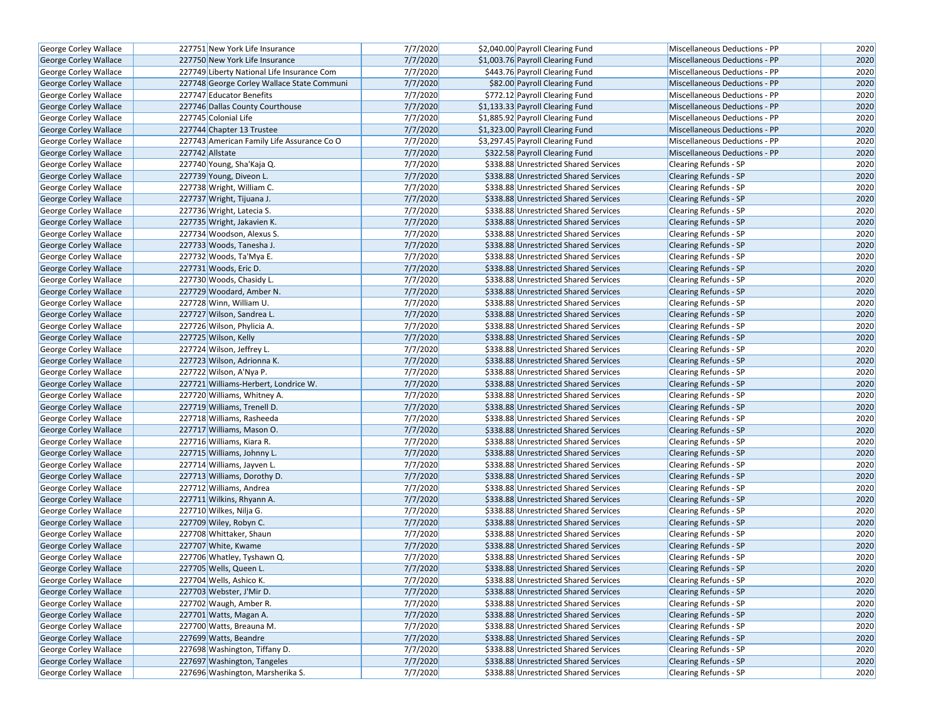| George Corley Wallace        | 227751 New York Life Insurance             | 7/7/2020 | \$2,040.00 Payroll Clearing Fund      | Miscellaneous Deductions - PP | 2020 |
|------------------------------|--------------------------------------------|----------|---------------------------------------|-------------------------------|------|
| <b>George Corley Wallace</b> | 227750 New York Life Insurance             | 7/7/2020 | \$1,003.76 Payroll Clearing Fund      | Miscellaneous Deductions - PP | 2020 |
| George Corley Wallace        | 227749 Liberty National Life Insurance Com | 7/7/2020 | \$443.76 Payroll Clearing Fund        | Miscellaneous Deductions - PP | 2020 |
| George Corley Wallace        | 227748 George Corley Wallace State Communi | 7/7/2020 | \$82.00 Payroll Clearing Fund         | Miscellaneous Deductions - PP | 2020 |
| George Corley Wallace        | 227747 Educator Benefits                   | 7/7/2020 | \$772.12 Payroll Clearing Fund        | Miscellaneous Deductions - PP | 2020 |
| <b>George Corley Wallace</b> | 227746 Dallas County Courthouse            | 7/7/2020 | \$1,133.33 Payroll Clearing Fund      | Miscellaneous Deductions - PP | 2020 |
| George Corley Wallace        | 227745 Colonial Life                       | 7/7/2020 | \$1,885.92 Payroll Clearing Fund      | Miscellaneous Deductions - PP | 2020 |
| <b>George Corley Wallace</b> | 227744 Chapter 13 Trustee                  | 7/7/2020 | \$1,323.00 Payroll Clearing Fund      | Miscellaneous Deductions - PP | 2020 |
| George Corley Wallace        | 227743 American Family Life Assurance Co O | 7/7/2020 | \$3,297.45 Payroll Clearing Fund      | Miscellaneous Deductions - PP | 2020 |
| George Corley Wallace        | 227742 Allstate                            | 7/7/2020 | \$322.58 Payroll Clearing Fund        | Miscellaneous Deductions - PP | 2020 |
| George Corley Wallace        | 227740 Young, Sha'Kaja Q.                  | 7/7/2020 | \$338.88 Unrestricted Shared Services | Clearing Refunds - SP         | 2020 |
| George Corley Wallace        | 227739 Young, Diveon L.                    | 7/7/2020 | \$338.88 Unrestricted Shared Services | <b>Clearing Refunds - SP</b>  | 2020 |
| <b>George Corley Wallace</b> | 227738 Wright, William C.                  | 7/7/2020 | \$338.88 Unrestricted Shared Services | Clearing Refunds - SP         | 2020 |
| George Corley Wallace        | 227737 Wright, Tijuana J.                  | 7/7/2020 | \$338.88 Unrestricted Shared Services | <b>Clearing Refunds - SP</b>  | 2020 |
| <b>George Corley Wallace</b> | 227736 Wright, Latecia S.                  | 7/7/2020 | \$338.88 Unrestricted Shared Services | Clearing Refunds - SP         | 2020 |
| George Corley Wallace        | 227735 Wright, Jakavien K.                 | 7/7/2020 | \$338.88 Unrestricted Shared Services | <b>Clearing Refunds - SP</b>  | 2020 |
| George Corley Wallace        | 227734 Woodson, Alexus S.                  | 7/7/2020 | \$338.88 Unrestricted Shared Services | <b>Clearing Refunds - SP</b>  | 2020 |
| George Corley Wallace        | 227733 Woods, Tanesha J.                   | 7/7/2020 | \$338.88 Unrestricted Shared Services | Clearing Refunds - SP         | 2020 |
| George Corley Wallace        | 227732 Woods, Ta'Mya E.                    | 7/7/2020 | \$338.88 Unrestricted Shared Services | Clearing Refunds - SP         | 2020 |
| <b>George Corley Wallace</b> | 227731 Woods, Eric D.                      | 7/7/2020 | \$338.88 Unrestricted Shared Services | <b>Clearing Refunds - SP</b>  | 2020 |
| <b>George Corley Wallace</b> | 227730 Woods, Chasidy L.                   | 7/7/2020 | \$338.88 Unrestricted Shared Services | Clearing Refunds - SP         | 2020 |
| <b>George Corley Wallace</b> | 227729 Woodard, Amber N.                   | 7/7/2020 | \$338.88 Unrestricted Shared Services | Clearing Refunds - SP         | 2020 |
| George Corley Wallace        | 227728 Winn, William U.                    | 7/7/2020 | \$338.88 Unrestricted Shared Services | Clearing Refunds - SP         | 2020 |
| George Corley Wallace        | 227727 Wilson, Sandrea L.                  | 7/7/2020 | \$338.88 Unrestricted Shared Services | Clearing Refunds - SP         | 2020 |
| George Corley Wallace        | 227726 Wilson, Phylicia A.                 | 7/7/2020 | \$338.88 Unrestricted Shared Services | <b>Clearing Refunds - SP</b>  | 2020 |
| George Corley Wallace        | 227725 Wilson, Kelly                       | 7/7/2020 | \$338.88 Unrestricted Shared Services | Clearing Refunds - SP         | 2020 |
| George Corley Wallace        | 227724 Wilson, Jeffrey L.                  | 7/7/2020 | \$338.88 Unrestricted Shared Services | Clearing Refunds - SP         | 2020 |
| George Corley Wallace        | 227723 Wilson, Adrionna K.                 | 7/7/2020 | \$338.88 Unrestricted Shared Services | <b>Clearing Refunds - SP</b>  | 2020 |
| George Corley Wallace        | 227722 Wilson, A'Nya P.                    | 7/7/2020 | \$338.88 Unrestricted Shared Services | <b>Clearing Refunds - SP</b>  | 2020 |
| George Corley Wallace        | 227721 Williams-Herbert, Londrice W.       | 7/7/2020 | \$338.88 Unrestricted Shared Services | Clearing Refunds - SP         | 2020 |
| George Corley Wallace        | 227720 Williams, Whitney A.                | 7/7/2020 | \$338.88 Unrestricted Shared Services | Clearing Refunds - SP         | 2020 |
| George Corley Wallace        | 227719 Williams, Trenell D.                | 7/7/2020 | \$338.88 Unrestricted Shared Services | Clearing Refunds - SP         | 2020 |
| George Corley Wallace        | 227718 Williams, Rasheeda                  | 7/7/2020 | \$338.88 Unrestricted Shared Services | <b>Clearing Refunds - SP</b>  | 2020 |
| George Corley Wallace        | 227717 Williams, Mason O.                  | 7/7/2020 | \$338.88 Unrestricted Shared Services | Clearing Refunds - SP         | 2020 |
| George Corley Wallace        | 227716 Williams, Kiara R.                  | 7/7/2020 | \$338.88 Unrestricted Shared Services | Clearing Refunds - SP         | 2020 |
| George Corley Wallace        | 227715 Williams, Johnny L.                 | 7/7/2020 | \$338.88 Unrestricted Shared Services | <b>Clearing Refunds - SP</b>  | 2020 |
| George Corley Wallace        | 227714 Williams, Jayven L.                 | 7/7/2020 | \$338.88 Unrestricted Shared Services | Clearing Refunds - SP         | 2020 |
| George Corley Wallace        | 227713 Williams, Dorothy D.                | 7/7/2020 | \$338.88 Unrestricted Shared Services | <b>Clearing Refunds - SP</b>  | 2020 |
| George Corley Wallace        | 227712 Williams, Andrea                    | 7/7/2020 | \$338.88 Unrestricted Shared Services | Clearing Refunds - SP         | 2020 |
| George Corley Wallace        | 227711 Wilkins, Rhyann A.                  | 7/7/2020 | \$338.88 Unrestricted Shared Services | Clearing Refunds - SP         | 2020 |
| George Corley Wallace        | 227710 Wilkes, Nilja G.                    | 7/7/2020 | \$338.88 Unrestricted Shared Services | Clearing Refunds - SP         | 2020 |
| George Corley Wallace        | 227709 Wiley, Robyn C.                     | 7/7/2020 | \$338.88 Unrestricted Shared Services | Clearing Refunds - SP         | 2020 |
| George Corley Wallace        | 227708 Whittaker, Shaun                    | 7/7/2020 | \$338.88 Unrestricted Shared Services | Clearing Refunds - SP         | 2020 |
| George Corley Wallace        | 227707 White, Kwame                        | 7/7/2020 | \$338.88 Unrestricted Shared Services | Clearing Refunds - SP         | 2020 |
| George Corley Wallace        | 227706 Whatley, Tyshawn Q.                 | 7/7/2020 | \$338.88 Unrestricted Shared Services | Clearing Refunds - SP         | 2020 |
| George Corley Wallace        | 227705 Wells, Queen L.                     | 7/7/2020 | \$338.88 Unrestricted Shared Services | <b>Clearing Refunds - SP</b>  | 2020 |
| George Corley Wallace        | 227704 Wells, Ashico K.                    | 7/7/2020 | \$338.88 Unrestricted Shared Services | Clearing Refunds - SP         | 2020 |
| George Corley Wallace        | 227703 Webster, J'Mir D.                   | 7/7/2020 | \$338.88 Unrestricted Shared Services | Clearing Refunds - SP         | 2020 |
| George Corley Wallace        | 227702 Waugh, Amber R.                     | 7/7/2020 | \$338.88 Unrestricted Shared Services | Clearing Refunds - SP         | 2020 |
| George Corley Wallace        | 227701 Watts, Magan A.                     | 7/7/2020 | \$338.88 Unrestricted Shared Services | Clearing Refunds - SP         | 2020 |
| George Corley Wallace        | 227700 Watts, Breauna M.                   | 7/7/2020 | \$338.88 Unrestricted Shared Services | Clearing Refunds - SP         | 2020 |
| George Corley Wallace        | 227699 Watts, Beandre                      | 7/7/2020 | \$338.88 Unrestricted Shared Services | Clearing Refunds - SP         | 2020 |
| George Corley Wallace        | 227698 Washington, Tiffany D.              | 7/7/2020 | \$338.88 Unrestricted Shared Services | Clearing Refunds - SP         | 2020 |
| George Corley Wallace        | 227697 Washington, Tangeles                | 7/7/2020 | \$338.88 Unrestricted Shared Services | <b>Clearing Refunds - SP</b>  | 2020 |
| George Corley Wallace        | 227696 Washington, Marsherika S.           | 7/7/2020 | \$338.88 Unrestricted Shared Services | Clearing Refunds - SP         | 2020 |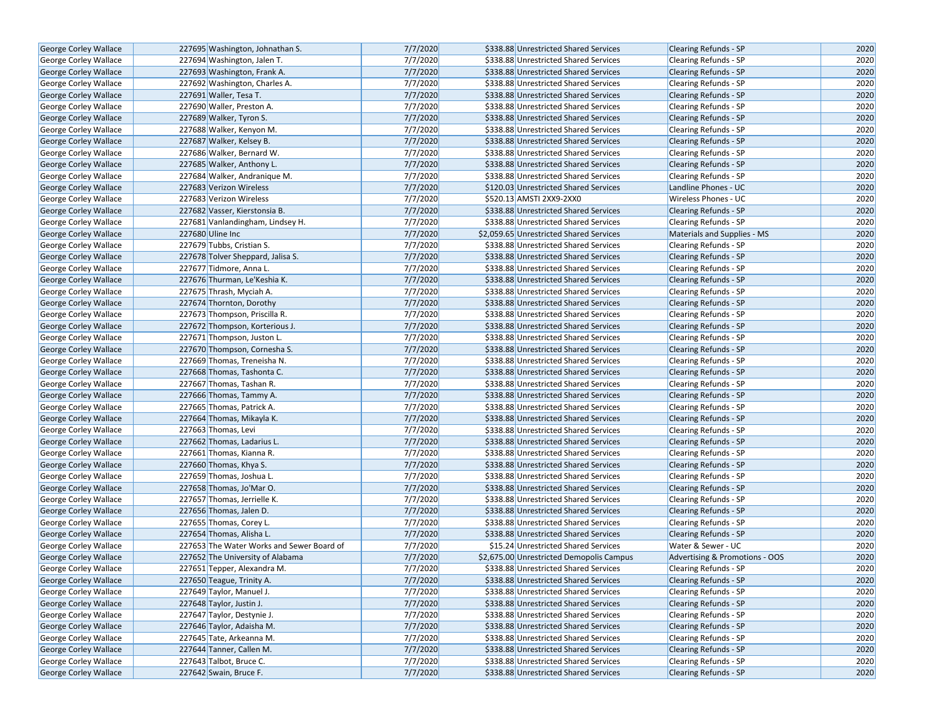| George Corley Wallace        | 227695 Washington, Johnathan S.           | 7/7/2020 | \$338.88 Unrestricted Shared Services    | <b>Clearing Refunds - SP</b>   | 2020 |
|------------------------------|-------------------------------------------|----------|------------------------------------------|--------------------------------|------|
| <b>George Corley Wallace</b> | 227694 Washington, Jalen T.               | 7/7/2020 | \$338.88 Unrestricted Shared Services    | Clearing Refunds - SP          | 2020 |
| George Corley Wallace        | 227693 Washington, Frank A.               | 7/7/2020 | \$338.88 Unrestricted Shared Services    | <b>Clearing Refunds - SP</b>   | 2020 |
| George Corley Wallace        | 227692 Washington, Charles A.             | 7/7/2020 | \$338.88 Unrestricted Shared Services    | <b>Clearing Refunds - SP</b>   | 2020 |
| George Corley Wallace        | 227691 Waller, Tesa T.                    | 7/7/2020 | \$338.88 Unrestricted Shared Services    | <b>Clearing Refunds - SP</b>   | 2020 |
| George Corley Wallace        | 227690 Waller, Preston A.                 | 7/7/2020 | \$338.88 Unrestricted Shared Services    | Clearing Refunds - SP          | 2020 |
| George Corley Wallace        | 227689 Walker, Tyron S.                   | 7/7/2020 | \$338.88 Unrestricted Shared Services    | <b>Clearing Refunds - SP</b>   | 2020 |
| <b>George Corley Wallace</b> | 227688 Walker, Kenyon M.                  | 7/7/2020 | \$338.88 Unrestricted Shared Services    | <b>Clearing Refunds - SP</b>   | 2020 |
| George Corley Wallace        | 227687 Walker, Kelsey B.                  | 7/7/2020 | \$338.88 Unrestricted Shared Services    | <b>Clearing Refunds - SP</b>   | 2020 |
| George Corley Wallace        | 227686 Walker, Bernard W.                 | 7/7/2020 | \$338.88 Unrestricted Shared Services    | Clearing Refunds - SP          | 2020 |
| <b>George Corley Wallace</b> | 227685 Walker, Anthony L.                 | 7/7/2020 | \$338.88 Unrestricted Shared Services    | <b>Clearing Refunds - SP</b>   | 2020 |
| George Corley Wallace        | 227684 Walker, Andranique M.              | 7/7/2020 | \$338.88 Unrestricted Shared Services    | <b>Clearing Refunds - SP</b>   | 2020 |
| <b>George Corley Wallace</b> | 227683 Verizon Wireless                   | 7/7/2020 | \$120.03 Unrestricted Shared Services    | Landline Phones - UC           | 2020 |
| George Corley Wallace        | 227683 Verizon Wireless                   | 7/7/2020 | \$520.13 AMSTI 2XX9-2XX0                 | Wireless Phones - UC           | 2020 |
| George Corley Wallace        | 227682 Vasser, Kierstonsia B.             | 7/7/2020 | \$338.88 Unrestricted Shared Services    | <b>Clearing Refunds - SP</b>   | 2020 |
| George Corley Wallace        | 227681 Vanlandingham, Lindsey H.          | 7/7/2020 | \$338.88 Unrestricted Shared Services    | <b>Clearing Refunds - SP</b>   | 2020 |
| George Corley Wallace        | 227680 Uline Inc                          | 7/7/2020 | \$2,059.65 Unrestricted Shared Services  | Materials and Supplies - MS    | 2020 |
| George Corley Wallace        | 227679 Tubbs, Cristian S.                 | 7/7/2020 | \$338.88 Unrestricted Shared Services    | Clearing Refunds - SP          | 2020 |
| George Corley Wallace        | 227678 Tolver Sheppard, Jalisa S.         | 7/7/2020 | \$338.88 Unrestricted Shared Services    | <b>Clearing Refunds - SP</b>   | 2020 |
| George Corley Wallace        | 227677 Tidmore, Anna L.                   | 7/7/2020 | \$338.88 Unrestricted Shared Services    | Clearing Refunds - SP          | 2020 |
| George Corley Wallace        | 227676 Thurman, Le'Keshia K.              | 7/7/2020 | \$338.88 Unrestricted Shared Services    | <b>Clearing Refunds - SP</b>   | 2020 |
| <b>George Corley Wallace</b> | 227675 Thrash, Myciah A.                  | 7/7/2020 | \$338.88 Unrestricted Shared Services    | <b>Clearing Refunds - SP</b>   | 2020 |
| George Corley Wallace        | 227674 Thornton, Dorothy                  | 7/7/2020 | \$338.88 Unrestricted Shared Services    | <b>Clearing Refunds - SP</b>   | 2020 |
| George Corley Wallace        | 227673 Thompson, Priscilla R.             | 7/7/2020 | \$338.88 Unrestricted Shared Services    | Clearing Refunds - SP          | 2020 |
| George Corley Wallace        | 227672 Thompson, Korterious J.            | 7/7/2020 | \$338.88 Unrestricted Shared Services    | <b>Clearing Refunds - SP</b>   | 2020 |
| George Corley Wallace        | 227671 Thompson, Juston L.                | 7/7/2020 | \$338.88 Unrestricted Shared Services    | Clearing Refunds - SP          | 2020 |
| George Corley Wallace        | 227670 Thompson, Cornesha S.              | 7/7/2020 | \$338.88 Unrestricted Shared Services    | <b>Clearing Refunds - SP</b>   | 2020 |
| George Corley Wallace        | 227669 Thomas, Treneisha N.               | 7/7/2020 | \$338.88 Unrestricted Shared Services    | <b>Clearing Refunds - SP</b>   | 2020 |
| George Corley Wallace        | 227668 Thomas, Tashonta C.                | 7/7/2020 | \$338.88 Unrestricted Shared Services    | <b>Clearing Refunds - SP</b>   | 2020 |
| <b>George Corley Wallace</b> | 227667 Thomas, Tashan R.                  | 7/7/2020 | \$338.88 Unrestricted Shared Services    | <b>Clearing Refunds - SP</b>   | 2020 |
| George Corley Wallace        | 227666 Thomas, Tammy A.                   | 7/7/2020 | \$338.88 Unrestricted Shared Services    | <b>Clearing Refunds - SP</b>   | 2020 |
| George Corley Wallace        | 227665 Thomas, Patrick A.                 | 7/7/2020 | \$338.88 Unrestricted Shared Services    | <b>Clearing Refunds - SP</b>   | 2020 |
| George Corley Wallace        | 227664 Thomas, Mikayla K.                 | 7/7/2020 | \$338.88 Unrestricted Shared Services    | <b>Clearing Refunds - SP</b>   | 2020 |
| George Corley Wallace        | 227663 Thomas, Levi                       | 7/7/2020 | \$338.88 Unrestricted Shared Services    | Clearing Refunds - SP          | 2020 |
| George Corley Wallace        | 227662 Thomas, Ladarius L.                | 7/7/2020 | \$338.88 Unrestricted Shared Services    | <b>Clearing Refunds - SP</b>   | 2020 |
| George Corley Wallace        | 227661 Thomas, Kianna R.                  | 7/7/2020 | \$338.88 Unrestricted Shared Services    | Clearing Refunds - SP          | 2020 |
| George Corley Wallace        | 227660 Thomas, Khya S.                    | 7/7/2020 | \$338.88 Unrestricted Shared Services    | <b>Clearing Refunds - SP</b>   | 2020 |
| George Corley Wallace        | 227659 Thomas, Joshua L.                  | 7/7/2020 | \$338.88 Unrestricted Shared Services    | Clearing Refunds - SP          | 2020 |
| George Corley Wallace        | 227658 Thomas, Jo'Mar O.                  | 7/7/2020 | \$338.88 Unrestricted Shared Services    | <b>Clearing Refunds - SP</b>   | 2020 |
| George Corley Wallace        | 227657 Thomas, Jerrielle K.               | 7/7/2020 | \$338.88 Unrestricted Shared Services    | Clearing Refunds - SP          | 2020 |
| <b>George Corley Wallace</b> | 227656 Thomas, Jalen D.                   | 7/7/2020 | \$338.88 Unrestricted Shared Services    | <b>Clearing Refunds - SP</b>   | 2020 |
| George Corley Wallace        | 227655 Thomas, Corey L.                   | 7/7/2020 | \$338.88 Unrestricted Shared Services    | Clearing Refunds - SP          | 2020 |
| George Corley Wallace        | 227654 Thomas, Alisha L.                  | 7/7/2020 | \$338.88 Unrestricted Shared Services    | <b>Clearing Refunds - SP</b>   | 2020 |
| George Corley Wallace        | 227653 The Water Works and Sewer Board of | 7/7/2020 | \$15.24 Unrestricted Shared Services     | Water & Sewer - UC             | 2020 |
| <b>George Corley Wallace</b> | 227652 The University of Alabama          | 7/7/2020 | \$2,675.00 Unrestricted Demopolis Campus | Advertising & Promotions - OOS | 2020 |
| George Corley Wallace        | 227651 Tepper, Alexandra M.               | 7/7/2020 | \$338.88 Unrestricted Shared Services    | Clearing Refunds - SP          | 2020 |
| George Corley Wallace        | 227650 Teague, Trinity A.                 | 7/7/2020 | \$338.88 Unrestricted Shared Services    | <b>Clearing Refunds - SP</b>   | 2020 |
| George Corley Wallace        | 227649 Taylor, Manuel J.                  | 7/7/2020 | \$338.88 Unrestricted Shared Services    | Clearing Refunds - SP          | 2020 |
| George Corley Wallace        | 227648 Taylor, Justin J.                  | 7/7/2020 | \$338.88 Unrestricted Shared Services    | <b>Clearing Refunds - SP</b>   | 2020 |
| <b>George Corley Wallace</b> | 227647 Taylor, Destynie J.                | 7/7/2020 | \$338.88 Unrestricted Shared Services    | <b>Clearing Refunds - SP</b>   | 2020 |
| George Corley Wallace        | 227646 Taylor, Adaisha M.                 | 7/7/2020 | \$338.88 Unrestricted Shared Services    | <b>Clearing Refunds - SP</b>   | 2020 |
| George Corley Wallace        | 227645 Tate, Arkeanna M.                  | 7/7/2020 | \$338.88 Unrestricted Shared Services    | <b>Clearing Refunds - SP</b>   | 2020 |
| George Corley Wallace        | 227644 Tanner, Callen M.                  | 7/7/2020 | \$338.88 Unrestricted Shared Services    | <b>Clearing Refunds - SP</b>   | 2020 |
| George Corley Wallace        | 227643 Talbot, Bruce C.                   | 7/7/2020 | \$338.88 Unrestricted Shared Services    | Clearing Refunds - SP          | 2020 |
| George Corley Wallace        | 227642 Swain, Bruce F.                    | 7/7/2020 | \$338.88 Unrestricted Shared Services    | Clearing Refunds - SP          | 2020 |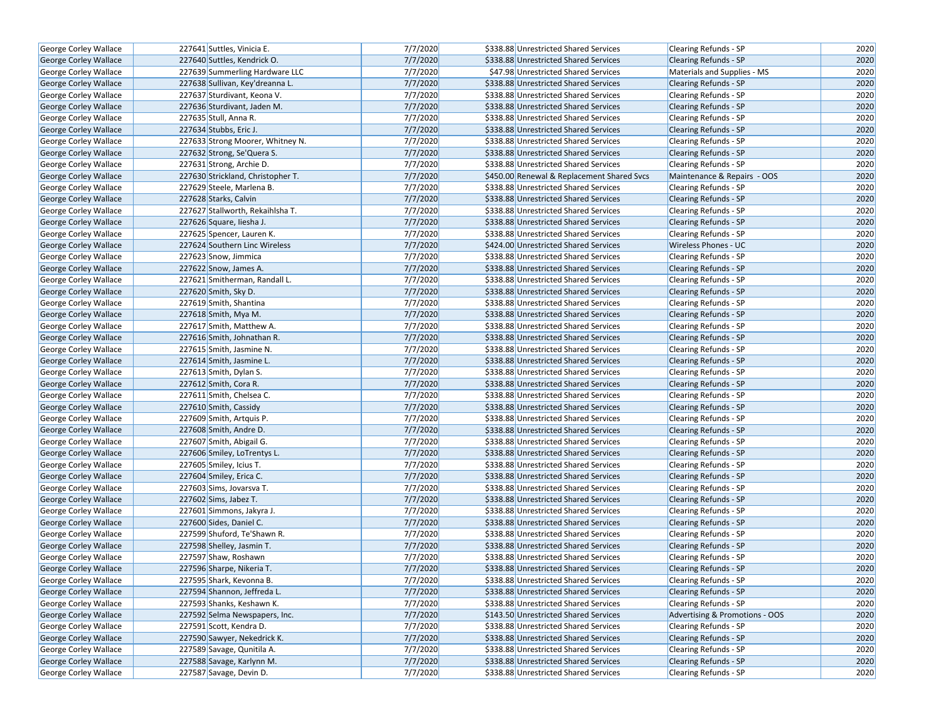| George Corley Wallace        | 227641 Suttles, Vinicia E.        | 7/7/2020 | \$338.88 Unrestricted Shared Services      | Clearing Refunds - SP          | 2020 |
|------------------------------|-----------------------------------|----------|--------------------------------------------|--------------------------------|------|
| <b>George Corley Wallace</b> | 227640 Suttles, Kendrick O.       | 7/7/2020 | \$338.88 Unrestricted Shared Services      | Clearing Refunds - SP          | 2020 |
| George Corley Wallace        | 227639 Summerling Hardware LLC    | 7/7/2020 | \$47.98 Unrestricted Shared Services       | Materials and Supplies - MS    | 2020 |
| <b>George Corley Wallace</b> | 227638 Sullivan, Key'dreanna L.   | 7/7/2020 | \$338.88 Unrestricted Shared Services      | <b>Clearing Refunds - SP</b>   | 2020 |
| George Corley Wallace        | 227637 Sturdivant, Keona V.       | 7/7/2020 | \$338.88 Unrestricted Shared Services      | Clearing Refunds - SP          | 2020 |
| George Corley Wallace        | 227636 Sturdivant, Jaden M.       | 7/7/2020 | \$338.88 Unrestricted Shared Services      | <b>Clearing Refunds - SP</b>   | 2020 |
| George Corley Wallace        | 227635 Stull, Anna R.             | 7/7/2020 | \$338.88 Unrestricted Shared Services      | Clearing Refunds - SP          | 2020 |
| <b>George Corley Wallace</b> | 227634 Stubbs, Eric J.            | 7/7/2020 | \$338.88 Unrestricted Shared Services      | <b>Clearing Refunds - SP</b>   | 2020 |
| George Corley Wallace        | 227633 Strong Moorer, Whitney N.  | 7/7/2020 | \$338.88 Unrestricted Shared Services      | <b>Clearing Refunds - SP</b>   | 2020 |
| George Corley Wallace        | 227632 Strong, Se'Quera S.        | 7/7/2020 | \$338.88 Unrestricted Shared Services      | <b>Clearing Refunds - SP</b>   | 2020 |
| George Corley Wallace        | 227631 Strong, Archie D.          | 7/7/2020 | \$338.88 Unrestricted Shared Services      | Clearing Refunds - SP          | 2020 |
| George Corley Wallace        | 227630 Strickland, Christopher T. | 7/7/2020 | \$450.00 Renewal & Replacement Shared Svcs | Maintenance & Repairs - OOS    | 2020 |
| George Corley Wallace        | 227629 Steele, Marlena B.         | 7/7/2020 | \$338.88 Unrestricted Shared Services      | Clearing Refunds - SP          | 2020 |
| George Corley Wallace        | 227628 Starks, Calvin             | 7/7/2020 | \$338.88 Unrestricted Shared Services      | <b>Clearing Refunds - SP</b>   | 2020 |
| George Corley Wallace        | 227627 Stallworth, Rekaihlsha T.  | 7/7/2020 | \$338.88 Unrestricted Shared Services      | Clearing Refunds - SP          | 2020 |
| George Corley Wallace        | 227626 Square, liesha J.          | 7/7/2020 | \$338.88 Unrestricted Shared Services      | <b>Clearing Refunds - SP</b>   | 2020 |
| George Corley Wallace        | 227625 Spencer, Lauren K.         | 7/7/2020 | \$338.88 Unrestricted Shared Services      | Clearing Refunds - SP          | 2020 |
| George Corley Wallace        | 227624 Southern Linc Wireless     | 7/7/2020 | \$424.00 Unrestricted Shared Services      | <b>Wireless Phones - UC</b>    | 2020 |
| George Corley Wallace        | 227623 Snow, Jimmica              | 7/7/2020 | \$338.88 Unrestricted Shared Services      | Clearing Refunds - SP          | 2020 |
| George Corley Wallace        | 227622 Snow, James A.             | 7/7/2020 | \$338.88 Unrestricted Shared Services      | <b>Clearing Refunds - SP</b>   | 2020 |
| George Corley Wallace        | 227621 Smitherman, Randall L.     | 7/7/2020 | \$338.88 Unrestricted Shared Services      | <b>Clearing Refunds - SP</b>   | 2020 |
| <b>George Corley Wallace</b> | 227620 Smith, Sky D.              | 7/7/2020 | \$338.88 Unrestricted Shared Services      | <b>Clearing Refunds - SP</b>   | 2020 |
| George Corley Wallace        | 227619 Smith, Shantina            | 7/7/2020 | \$338.88 Unrestricted Shared Services      | Clearing Refunds - SP          | 2020 |
| George Corley Wallace        | 227618 Smith, Mya M.              | 7/7/2020 | \$338.88 Unrestricted Shared Services      | Clearing Refunds - SP          | 2020 |
| George Corley Wallace        | 227617 Smith, Matthew A.          | 7/7/2020 | \$338.88 Unrestricted Shared Services      | <b>Clearing Refunds - SP</b>   | 2020 |
| George Corley Wallace        | 227616 Smith, Johnathan R.        | 7/7/2020 | \$338.88 Unrestricted Shared Services      | <b>Clearing Refunds - SP</b>   | 2020 |
| George Corley Wallace        | 227615 Smith, Jasmine N.          | 7/7/2020 | \$338.88 Unrestricted Shared Services      | Clearing Refunds - SP          | 2020 |
| George Corley Wallace        | 227614 Smith, Jasmine L.          | 7/7/2020 | \$338.88 Unrestricted Shared Services      | Clearing Refunds - SP          | 2020 |
| George Corley Wallace        | 227613 Smith, Dylan S.            | 7/7/2020 | \$338.88 Unrestricted Shared Services      | <b>Clearing Refunds - SP</b>   | 2020 |
| George Corley Wallace        | 227612 Smith, Cora R.             | 7/7/2020 | \$338.88 Unrestricted Shared Services      | <b>Clearing Refunds - SP</b>   | 2020 |
| George Corley Wallace        | 227611 Smith, Chelsea C.          | 7/7/2020 | \$338.88 Unrestricted Shared Services      | Clearing Refunds - SP          | 2020 |
| George Corley Wallace        | 227610 Smith, Cassidy             | 7/7/2020 | \$338.88 Unrestricted Shared Services      | <b>Clearing Refunds - SP</b>   | 2020 |
| George Corley Wallace        | 227609 Smith, Artquis P.          | 7/7/2020 | \$338.88 Unrestricted Shared Services      | <b>Clearing Refunds - SP</b>   | 2020 |
| George Corley Wallace        | 227608 Smith, Andre D.            | 7/7/2020 | \$338.88 Unrestricted Shared Services      | <b>Clearing Refunds - SP</b>   | 2020 |
| George Corley Wallace        | 227607 Smith, Abigail G.          | 7/7/2020 | \$338.88 Unrestricted Shared Services      | Clearing Refunds - SP          | 2020 |
| George Corley Wallace        | 227606 Smiley, LoTrentys L.       | 7/7/2020 | \$338.88 Unrestricted Shared Services      | <b>Clearing Refunds - SP</b>   | 2020 |
| George Corley Wallace        | 227605 Smiley, Icius T.           | 7/7/2020 | \$338.88 Unrestricted Shared Services      | Clearing Refunds - SP          | 2020 |
| George Corley Wallace        | 227604 Smiley, Erica C.           | 7/7/2020 | \$338.88 Unrestricted Shared Services      | <b>Clearing Refunds - SP</b>   | 2020 |
| George Corley Wallace        | 227603 Sims, Jovarsva T.          | 7/7/2020 | \$338.88 Unrestricted Shared Services      | Clearing Refunds - SP          | 2020 |
| George Corley Wallace        | 227602 Sims, Jabez T.             | 7/7/2020 | \$338.88 Unrestricted Shared Services      | <b>Clearing Refunds - SP</b>   | 2020 |
| George Corley Wallace        | 227601 Simmons, Jakyra J.         | 7/7/2020 | \$338.88 Unrestricted Shared Services      | Clearing Refunds - SP          | 2020 |
| George Corley Wallace        | 227600 Sides, Daniel C.           | 7/7/2020 | \$338.88 Unrestricted Shared Services      | Clearing Refunds - SP          | 2020 |
| George Corley Wallace        | 227599 Shuford, Te'Shawn R.       | 7/7/2020 | \$338.88 Unrestricted Shared Services      | Clearing Refunds - SP          | 2020 |
| George Corley Wallace        | 227598 Shelley, Jasmin T.         | 7/7/2020 | \$338.88 Unrestricted Shared Services      | Clearing Refunds - SP          | 2020 |
| George Corley Wallace        | 227597 Shaw, Roshawn              | 7/7/2020 | \$338.88 Unrestricted Shared Services      | Clearing Refunds - SP          | 2020 |
| George Corley Wallace        | 227596 Sharpe, Nikeria T.         | 7/7/2020 | \$338.88 Unrestricted Shared Services      | <b>Clearing Refunds - SP</b>   | 2020 |
| George Corley Wallace        | 227595 Shark, Kevonna B.          | 7/7/2020 | \$338.88 Unrestricted Shared Services      | Clearing Refunds - SP          | 2020 |
| George Corley Wallace        | 227594 Shannon, Jeffreda L.       | 7/7/2020 | \$338.88 Unrestricted Shared Services      | Clearing Refunds - SP          | 2020 |
| George Corley Wallace        | 227593 Shanks, Keshawn K.         | 7/7/2020 | \$338.88 Unrestricted Shared Services      | Clearing Refunds - SP          | 2020 |
| <b>George Corley Wallace</b> | 227592 Selma Newspapers, Inc.     | 7/7/2020 | \$143.50 Unrestricted Shared Services      | Advertising & Promotions - OOS | 2020 |
| George Corley Wallace        | 227591 Scott, Kendra D.           | 7/7/2020 | \$338.88 Unrestricted Shared Services      | Clearing Refunds - SP          | 2020 |
| George Corley Wallace        | 227590 Sawyer, Nekedrick K.       | 7/7/2020 | \$338.88 Unrestricted Shared Services      | Clearing Refunds - SP          | 2020 |
| George Corley Wallace        | 227589 Savage, Qunitila A.        | 7/7/2020 | \$338.88 Unrestricted Shared Services      | Clearing Refunds - SP          | 2020 |
| George Corley Wallace        | 227588 Savage, Karlynn M.         | 7/7/2020 | \$338.88 Unrestricted Shared Services      | <b>Clearing Refunds - SP</b>   | 2020 |
| George Corley Wallace        | 227587 Savage, Devin D.           | 7/7/2020 | \$338.88 Unrestricted Shared Services      | Clearing Refunds - SP          | 2020 |
|                              |                                   |          |                                            |                                |      |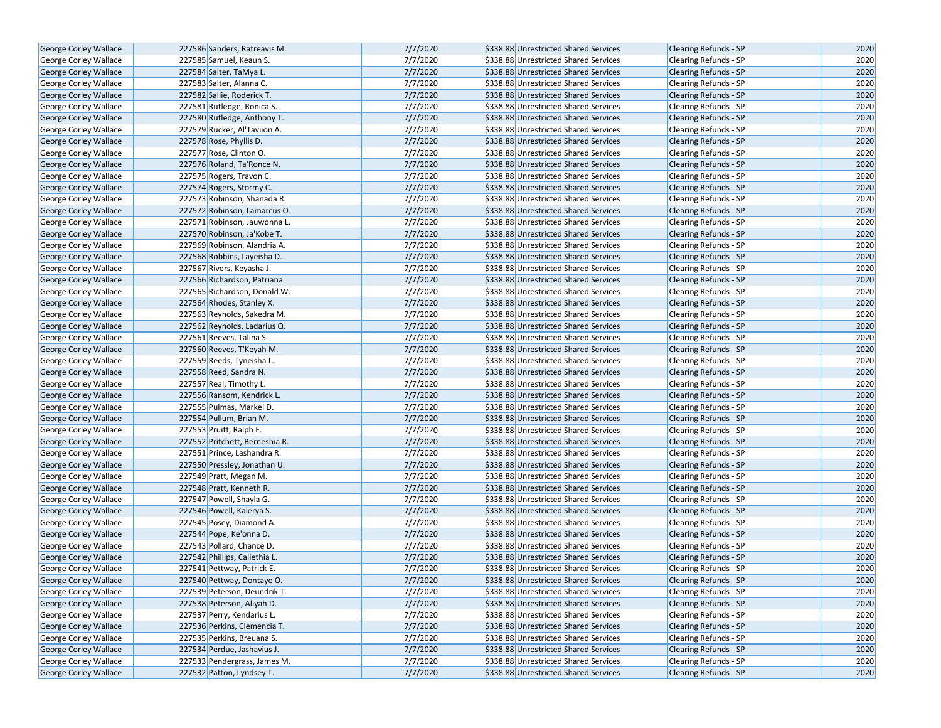|                              |                                | 7/7/2020 | \$338.88 Unrestricted Shared Services |                                                       | 2020 |
|------------------------------|--------------------------------|----------|---------------------------------------|-------------------------------------------------------|------|
| George Corley Wallace        | 227586 Sanders, Ratreavis M.   | 7/7/2020 | \$338.88 Unrestricted Shared Services | <b>Clearing Refunds - SP</b><br>Clearing Refunds - SP | 2020 |
| George Corley Wallace        | 227585 Samuel, Keaun S.        |          |                                       |                                                       |      |
| <b>George Corley Wallace</b> | 227584 Salter, TaMya L.        | 7/7/2020 | \$338.88 Unrestricted Shared Services | <b>Clearing Refunds - SP</b>                          | 2020 |
| George Corley Wallace        | 227583 Salter, Alanna C.       | 7/7/2020 | \$338.88 Unrestricted Shared Services | Clearing Refunds - SP                                 | 2020 |
| George Corley Wallace        | 227582 Sallie, Roderick T.     | 7/7/2020 | \$338.88 Unrestricted Shared Services | Clearing Refunds - SP                                 | 2020 |
| George Corley Wallace        | 227581 Rutledge, Ronica S.     | 7/7/2020 | \$338.88 Unrestricted Shared Services | Clearing Refunds - SP                                 | 2020 |
| George Corley Wallace        | 227580 Rutledge, Anthony T.    | 7/7/2020 | \$338.88 Unrestricted Shared Services | <b>Clearing Refunds - SP</b>                          | 2020 |
| George Corley Wallace        | 227579 Rucker, Al'Taviion A.   | 7/7/2020 | \$338.88 Unrestricted Shared Services | <b>Clearing Refunds - SP</b>                          | 2020 |
| George Corley Wallace        | 227578 Rose, Phyllis D.        | 7/7/2020 | \$338.88 Unrestricted Shared Services | Clearing Refunds - SP                                 | 2020 |
| George Corley Wallace        | 227577 Rose, Clinton O.        | 7/7/2020 | \$338.88 Unrestricted Shared Services | Clearing Refunds - SP                                 | 2020 |
| <b>George Corley Wallace</b> | 227576 Roland, Ta'Ronce N.     | 7/7/2020 | \$338.88 Unrestricted Shared Services | <b>Clearing Refunds - SP</b>                          | 2020 |
| George Corley Wallace        | 227575 Rogers, Travon C.       | 7/7/2020 | \$338.88 Unrestricted Shared Services | Clearing Refunds - SP                                 | 2020 |
| <b>George Corley Wallace</b> | 227574 Rogers, Stormy C.       | 7/7/2020 | \$338.88 Unrestricted Shared Services | <b>Clearing Refunds - SP</b>                          | 2020 |
| George Corley Wallace        | 227573 Robinson, Shanada R.    | 7/7/2020 | \$338.88 Unrestricted Shared Services | Clearing Refunds - SP                                 | 2020 |
| George Corley Wallace        | 227572 Robinson, Lamarcus O.   | 7/7/2020 | \$338.88 Unrestricted Shared Services | Clearing Refunds - SP                                 | 2020 |
| George Corley Wallace        | 227571 Robinson, Jauwonna L.   | 7/7/2020 | \$338.88 Unrestricted Shared Services | <b>Clearing Refunds - SP</b>                          | 2020 |
| George Corley Wallace        | 227570 Robinson, Ja'Kobe T.    | 7/7/2020 | \$338.88 Unrestricted Shared Services | <b>Clearing Refunds - SP</b>                          | 2020 |
| George Corley Wallace        | 227569 Robinson, Alandria A.   | 7/7/2020 | \$338.88 Unrestricted Shared Services | Clearing Refunds - SP                                 | 2020 |
| George Corley Wallace        | 227568 Robbins, Layeisha D.    | 7/7/2020 | \$338.88 Unrestricted Shared Services | Clearing Refunds - SP                                 | 2020 |
| George Corley Wallace        | 227567 Rivers, Keyasha J.      | 7/7/2020 | \$338.88 Unrestricted Shared Services | <b>Clearing Refunds - SP</b>                          | 2020 |
| George Corley Wallace        | 227566 Richardson, Patriana    | 7/7/2020 | \$338.88 Unrestricted Shared Services | <b>Clearing Refunds - SP</b>                          | 2020 |
| George Corley Wallace        | 227565 Richardson, Donald W.   | 7/7/2020 | \$338.88 Unrestricted Shared Services | Clearing Refunds - SP                                 | 2020 |
| George Corley Wallace        | 227564 Rhodes, Stanley X.      | 7/7/2020 | \$338.88 Unrestricted Shared Services | Clearing Refunds - SP                                 | 2020 |
| George Corley Wallace        | 227563 Reynolds, Sakedra M.    | 7/7/2020 | \$338.88 Unrestricted Shared Services | <b>Clearing Refunds - SP</b>                          | 2020 |
| George Corley Wallace        | 227562 Reynolds, Ladarius Q.   | 7/7/2020 | \$338.88 Unrestricted Shared Services | <b>Clearing Refunds - SP</b>                          | 2020 |
| George Corley Wallace        | 227561 Reeves, Talina S.       | 7/7/2020 | \$338.88 Unrestricted Shared Services | Clearing Refunds - SP                                 | 2020 |
| George Corley Wallace        | 227560 Reeves, T'Keyah M.      | 7/7/2020 | \$338.88 Unrestricted Shared Services | <b>Clearing Refunds - SP</b>                          | 2020 |
| George Corley Wallace        | 227559 Reeds, Tyneisha L.      | 7/7/2020 | \$338.88 Unrestricted Shared Services | <b>Clearing Refunds - SP</b>                          | 2020 |
| George Corley Wallace        | 227558 Reed, Sandra N.         | 7/7/2020 | \$338.88 Unrestricted Shared Services | Clearing Refunds - SP                                 | 2020 |
| George Corley Wallace        | 227557 Real, Timothy L.        | 7/7/2020 | \$338.88 Unrestricted Shared Services | Clearing Refunds - SP                                 | 2020 |
| George Corley Wallace        | 227556 Ransom, Kendrick L.     | 7/7/2020 | \$338.88 Unrestricted Shared Services | Clearing Refunds - SP                                 | 2020 |
| George Corley Wallace        | 227555 Pulmas, Markel D.       | 7/7/2020 | \$338.88 Unrestricted Shared Services | <b>Clearing Refunds - SP</b>                          | 2020 |
| George Corley Wallace        | 227554 Pullum, Brian M.        | 7/7/2020 | \$338.88 Unrestricted Shared Services | <b>Clearing Refunds - SP</b>                          | 2020 |
| George Corley Wallace        | 227553 Pruitt, Ralph E.        | 7/7/2020 | \$338.88 Unrestricted Shared Services | Clearing Refunds - SP                                 | 2020 |
| George Corley Wallace        | 227552 Pritchett, Berneshia R. | 7/7/2020 | \$338.88 Unrestricted Shared Services | Clearing Refunds - SP                                 | 2020 |
| George Corley Wallace        | 227551 Prince, Lashandra R.    | 7/7/2020 | \$338.88 Unrestricted Shared Services | Clearing Refunds - SP                                 | 2020 |
| George Corley Wallace        | 227550 Pressley, Jonathan U.   | 7/7/2020 | \$338.88 Unrestricted Shared Services | <b>Clearing Refunds - SP</b>                          | 2020 |
| George Corley Wallace        | 227549 Pratt, Megan M.         | 7/7/2020 | \$338.88 Unrestricted Shared Services | Clearing Refunds - SP                                 | 2020 |
| George Corley Wallace        | 227548 Pratt, Kenneth R.       | 7/7/2020 | \$338.88 Unrestricted Shared Services | Clearing Refunds - SP                                 | 2020 |
| George Corley Wallace        | 227547 Powell, Shayla G.       | 7/7/2020 | \$338.88 Unrestricted Shared Services | Clearing Refunds - SP                                 | 2020 |
| George Corley Wallace        | 227546 Powell, Kalerya S.      | 7/7/2020 | \$338.88 Unrestricted Shared Services | <b>Clearing Refunds - SP</b>                          | 2020 |
| George Corley Wallace        | 227545 Posey, Diamond A.       | 7/7/2020 | \$338.88 Unrestricted Shared Services | Clearing Refunds - SP                                 | 2020 |
| George Corley Wallace        | 227544 Pope, Ke'onna D.        | 7/7/2020 | \$338.88 Unrestricted Shared Services | Clearing Refunds - SP                                 | 2020 |
|                              | 227543 Pollard, Chance D.      | 7/7/2020 | \$338.88 Unrestricted Shared Services |                                                       | 2020 |
| George Corley Wallace        |                                | 7/7/2020 | \$338.88 Unrestricted Shared Services | Clearing Refunds - SP                                 | 2020 |
| George Corley Wallace        | 227542 Phillips, Caliethia L.  |          |                                       | <b>Clearing Refunds - SP</b>                          |      |
| George Corley Wallace        | 227541 Pettway, Patrick E.     | 7/7/2020 | \$338.88 Unrestricted Shared Services | Clearing Refunds - SP                                 | 2020 |
| George Corley Wallace        | 227540 Pettway, Dontaye O.     | 7/7/2020 | \$338.88 Unrestricted Shared Services | <b>Clearing Refunds - SP</b>                          | 2020 |
| George Corley Wallace        | 227539 Peterson, Deundrik T.   | 7/7/2020 | \$338.88 Unrestricted Shared Services | Clearing Refunds - SP                                 | 2020 |
| <b>George Corley Wallace</b> | 227538 Peterson, Aliyah D.     | 7/7/2020 | \$338.88 Unrestricted Shared Services | <b>Clearing Refunds - SP</b>                          | 2020 |
| George Corley Wallace        | 227537 Perry, Kendarius L.     | 7/7/2020 | \$338.88 Unrestricted Shared Services | Clearing Refunds - SP                                 | 2020 |
| <b>George Corley Wallace</b> | 227536 Perkins, Clemencia T.   | 7/7/2020 | \$338.88 Unrestricted Shared Services | Clearing Refunds - SP                                 | 2020 |
| George Corley Wallace        | 227535 Perkins, Breuana S.     | 7/7/2020 | \$338.88 Unrestricted Shared Services | Clearing Refunds - SP                                 | 2020 |
| George Corley Wallace        | 227534 Perdue, Jashavius J.    | 7/7/2020 | \$338.88 Unrestricted Shared Services | <b>Clearing Refunds - SP</b>                          | 2020 |
| George Corley Wallace        | 227533 Pendergrass, James M.   | 7/7/2020 | \$338.88 Unrestricted Shared Services | Clearing Refunds - SP                                 | 2020 |
| <b>George Corley Wallace</b> | 227532 Patton, Lyndsey T.      | 7/7/2020 | \$338.88 Unrestricted Shared Services | Clearing Refunds - SP                                 | 2020 |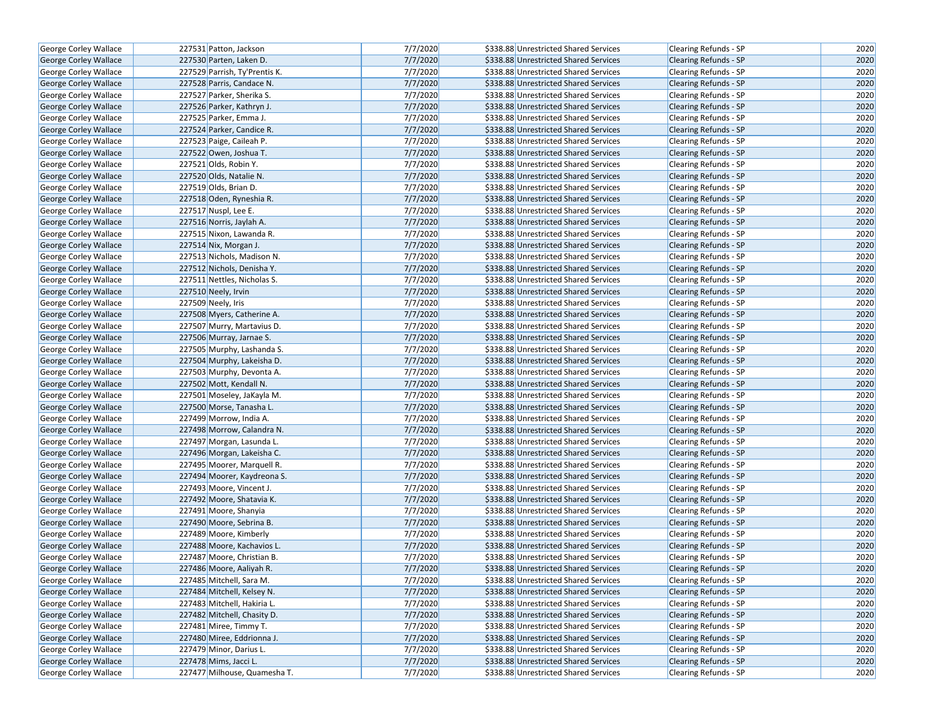| George Corley Wallace        | 227531 Patton, Jackson        | 7/7/2020 | \$338.88 Unrestricted Shared Services | Clearing Refunds - SP        | 2020 |
|------------------------------|-------------------------------|----------|---------------------------------------|------------------------------|------|
| <b>George Corley Wallace</b> | 227530 Parten, Laken D.       | 7/7/2020 | \$338.88 Unrestricted Shared Services | <b>Clearing Refunds - SP</b> | 2020 |
| George Corley Wallace        | 227529 Parrish, Ty'Prentis K. | 7/7/2020 | \$338.88 Unrestricted Shared Services | Clearing Refunds - SP        | 2020 |
| George Corley Wallace        | 227528 Parris, Candace N.     | 7/7/2020 | \$338.88 Unrestricted Shared Services | <b>Clearing Refunds - SP</b> | 2020 |
| George Corley Wallace        | 227527 Parker, Sherika S.     | 7/7/2020 | \$338.88 Unrestricted Shared Services | Clearing Refunds - SP        | 2020 |
| George Corley Wallace        | 227526 Parker, Kathryn J.     | 7/7/2020 | \$338.88 Unrestricted Shared Services | Clearing Refunds - SP        | 2020 |
| George Corley Wallace        | 227525 Parker, Emma J.        | 7/7/2020 | \$338.88 Unrestricted Shared Services | Clearing Refunds - SP        | 2020 |
| George Corley Wallace        | 227524 Parker, Candice R.     | 7/7/2020 | \$338.88 Unrestricted Shared Services | <b>Clearing Refunds - SP</b> | 2020 |
| George Corley Wallace        | 227523 Paige, Caileah P.      | 7/7/2020 | \$338.88 Unrestricted Shared Services | Clearing Refunds - SP        | 2020 |
| George Corley Wallace        | 227522 Owen, Joshua T.        | 7/7/2020 | \$338.88 Unrestricted Shared Services | <b>Clearing Refunds - SP</b> | 2020 |
| George Corley Wallace        | 227521 Olds, Robin Y.         | 7/7/2020 | \$338.88 Unrestricted Shared Services | Clearing Refunds - SP        | 2020 |
| George Corley Wallace        | 227520 Olds, Natalie N.       | 7/7/2020 | \$338.88 Unrestricted Shared Services | <b>Clearing Refunds - SP</b> | 2020 |
| George Corley Wallace        | 227519 Olds, Brian D.         | 7/7/2020 | \$338.88 Unrestricted Shared Services | Clearing Refunds - SP        | 2020 |
| George Corley Wallace        | 227518 Oden, Ryneshia R.      | 7/7/2020 | \$338.88 Unrestricted Shared Services | <b>Clearing Refunds - SP</b> | 2020 |
| George Corley Wallace        | 227517 Nuspl, Lee E.          | 7/7/2020 | \$338.88 Unrestricted Shared Services | Clearing Refunds - SP        | 2020 |
| <b>George Corley Wallace</b> | 227516 Norris, Jaylah A.      | 7/7/2020 | \$338.88 Unrestricted Shared Services | <b>Clearing Refunds - SP</b> | 2020 |
| George Corley Wallace        | 227515 Nixon, Lawanda R.      | 7/7/2020 | \$338.88 Unrestricted Shared Services | Clearing Refunds - SP        | 2020 |
| George Corley Wallace        | 227514 Nix, Morgan J.         | 7/7/2020 | \$338.88 Unrestricted Shared Services | <b>Clearing Refunds - SP</b> | 2020 |
| George Corley Wallace        | 227513 Nichols, Madison N.    | 7/7/2020 | \$338.88 Unrestricted Shared Services | Clearing Refunds - SP        | 2020 |
| George Corley Wallace        | 227512 Nichols, Denisha Y.    | 7/7/2020 | \$338.88 Unrestricted Shared Services | <b>Clearing Refunds - SP</b> | 2020 |
| George Corley Wallace        | 227511 Nettles, Nicholas S.   | 7/7/2020 | \$338.88 Unrestricted Shared Services | Clearing Refunds - SP        | 2020 |
| <b>George Corley Wallace</b> | 227510 Neely, Irvin           | 7/7/2020 | \$338.88 Unrestricted Shared Services | <b>Clearing Refunds - SP</b> | 2020 |
| George Corley Wallace        | 227509 Neely, Iris            | 7/7/2020 | \$338.88 Unrestricted Shared Services | Clearing Refunds - SP        | 2020 |
| George Corley Wallace        | 227508 Myers, Catherine A.    | 7/7/2020 | \$338.88 Unrestricted Shared Services | <b>Clearing Refunds - SP</b> | 2020 |
| George Corley Wallace        | 227507 Murry, Martavius D.    | 7/7/2020 | \$338.88 Unrestricted Shared Services | Clearing Refunds - SP        | 2020 |
| George Corley Wallace        | 227506 Murray, Jarnae S.      | 7/7/2020 | \$338.88 Unrestricted Shared Services | <b>Clearing Refunds - SP</b> | 2020 |
| George Corley Wallace        | 227505 Murphy, Lashanda S.    | 7/7/2020 | \$338.88 Unrestricted Shared Services | Clearing Refunds - SP        | 2020 |
| George Corley Wallace        | 227504 Murphy, Lakeisha D.    | 7/7/2020 | \$338.88 Unrestricted Shared Services | <b>Clearing Refunds - SP</b> | 2020 |
| George Corley Wallace        | 227503 Murphy, Devonta A.     | 7/7/2020 | \$338.88 Unrestricted Shared Services | Clearing Refunds - SP        | 2020 |
| George Corley Wallace        | 227502 Mott, Kendall N.       | 7/7/2020 | \$338.88 Unrestricted Shared Services | <b>Clearing Refunds - SP</b> | 2020 |
| George Corley Wallace        | 227501 Moseley, JaKayla M.    | 7/7/2020 | \$338.88 Unrestricted Shared Services | Clearing Refunds - SP        | 2020 |
| George Corley Wallace        | 227500 Morse, Tanasha L.      | 7/7/2020 | \$338.88 Unrestricted Shared Services | <b>Clearing Refunds - SP</b> | 2020 |
| George Corley Wallace        | 227499 Morrow, India A.       | 7/7/2020 | \$338.88 Unrestricted Shared Services | <b>Clearing Refunds - SP</b> | 2020 |
| George Corley Wallace        | 227498 Morrow, Calandra N.    | 7/7/2020 | \$338.88 Unrestricted Shared Services | <b>Clearing Refunds - SP</b> | 2020 |
| George Corley Wallace        | 227497 Morgan, Lasunda L.     | 7/7/2020 | \$338.88 Unrestricted Shared Services | Clearing Refunds - SP        | 2020 |
| George Corley Wallace        | 227496 Morgan, Lakeisha C.    | 7/7/2020 | \$338.88 Unrestricted Shared Services | <b>Clearing Refunds - SP</b> | 2020 |
| George Corley Wallace        | 227495 Moorer, Marquell R.    | 7/7/2020 | \$338.88 Unrestricted Shared Services | Clearing Refunds - SP        | 2020 |
| George Corley Wallace        | 227494 Moorer, Kaydreona S.   | 7/7/2020 | \$338.88 Unrestricted Shared Services | <b>Clearing Refunds - SP</b> | 2020 |
| George Corley Wallace        | 227493 Moore, Vincent J.      | 7/7/2020 | \$338.88 Unrestricted Shared Services | Clearing Refunds - SP        | 2020 |
| George Corley Wallace        | 227492 Moore, Shatavia K.     | 7/7/2020 | \$338.88 Unrestricted Shared Services | <b>Clearing Refunds - SP</b> | 2020 |
| George Corley Wallace        | 227491 Moore, Shanyia         | 7/7/2020 | \$338.88 Unrestricted Shared Services | <b>Clearing Refunds - SP</b> | 2020 |
| George Corley Wallace        | 227490 Moore, Sebrina B.      | 7/7/2020 | \$338.88 Unrestricted Shared Services | <b>Clearing Refunds - SP</b> | 2020 |
| George Corley Wallace        | 227489 Moore, Kimberly        | 7/7/2020 | \$338.88 Unrestricted Shared Services | Clearing Refunds - SP        | 2020 |
| George Corley Wallace        | 227488 Moore, Kachavios L.    | 7/7/2020 | \$338.88 Unrestricted Shared Services | <b>Clearing Refunds - SP</b> | 2020 |
| George Corley Wallace        | 227487 Moore, Christian B.    | 7/7/2020 | \$338.88 Unrestricted Shared Services | <b>Clearing Refunds - SP</b> | 2020 |
| George Corley Wallace        | 227486 Moore, Aaliyah R.      | 7/7/2020 | \$338.88 Unrestricted Shared Services | <b>Clearing Refunds - SP</b> | 2020 |
| George Corley Wallace        | 227485 Mitchell, Sara M.      | 7/7/2020 | \$338.88 Unrestricted Shared Services | <b>Clearing Refunds - SP</b> | 2020 |
| George Corley Wallace        | 227484 Mitchell, Kelsey N.    | 7/7/2020 | \$338.88 Unrestricted Shared Services | <b>Clearing Refunds - SP</b> | 2020 |
| George Corley Wallace        | 227483 Mitchell, Hakiria L.   | 7/7/2020 | \$338.88 Unrestricted Shared Services | <b>Clearing Refunds - SP</b> | 2020 |
| George Corley Wallace        | 227482 Mitchell, Chasity D.   | 7/7/2020 | \$338.88 Unrestricted Shared Services | <b>Clearing Refunds - SP</b> | 2020 |
| George Corley Wallace        | 227481 Miree, Timmy T.        | 7/7/2020 | \$338.88 Unrestricted Shared Services | <b>Clearing Refunds - SP</b> | 2020 |
| George Corley Wallace        | 227480 Miree, Eddrionna J.    | 7/7/2020 | \$338.88 Unrestricted Shared Services | Clearing Refunds - SP        | 2020 |
| George Corley Wallace        | 227479 Minor, Darius L.       | 7/7/2020 | \$338.88 Unrestricted Shared Services | Clearing Refunds - SP        | 2020 |
| George Corley Wallace        | 227478 Mims, Jacci L.         | 7/7/2020 | \$338.88 Unrestricted Shared Services | <b>Clearing Refunds - SP</b> | 2020 |
| George Corley Wallace        | 227477 Milhouse, Quamesha T.  | 7/7/2020 | \$338.88 Unrestricted Shared Services | Clearing Refunds - SP        | 2020 |
|                              |                               |          |                                       |                              |      |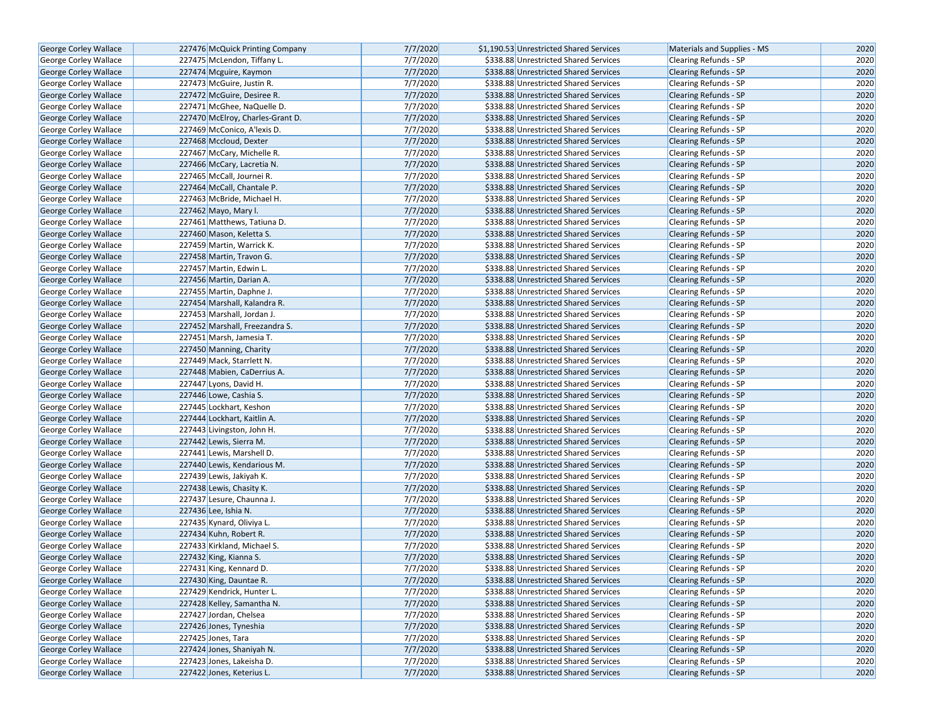| George Corley Wallace        | 227476 McQuick Printing Company  | 7/7/2020 | \$1,190.53 Unrestricted Shared Services | Materials and Supplies - MS  | 2020 |
|------------------------------|----------------------------------|----------|-----------------------------------------|------------------------------|------|
| George Corley Wallace        | 227475 McLendon, Tiffany L.      | 7/7/2020 | \$338.88 Unrestricted Shared Services   | <b>Clearing Refunds - SP</b> | 2020 |
| George Corley Wallace        | 227474 Mcguire, Kaymon           | 7/7/2020 | \$338.88 Unrestricted Shared Services   | <b>Clearing Refunds - SP</b> | 2020 |
| George Corley Wallace        | 227473 McGuire, Justin R.        | 7/7/2020 | \$338.88 Unrestricted Shared Services   | Clearing Refunds - SP        | 2020 |
| George Corley Wallace        | 227472 McGuire, Desiree R.       | 7/7/2020 | \$338.88 Unrestricted Shared Services   | <b>Clearing Refunds - SP</b> | 2020 |
| George Corley Wallace        | 227471 McGhee, NaQuelle D.       | 7/7/2020 | \$338.88 Unrestricted Shared Services   | Clearing Refunds - SP        | 2020 |
| George Corley Wallace        | 227470 McElroy, Charles-Grant D. | 7/7/2020 | \$338.88 Unrestricted Shared Services   | <b>Clearing Refunds - SP</b> | 2020 |
| George Corley Wallace        | 227469 McConico, A'lexis D.      | 7/7/2020 | \$338.88 Unrestricted Shared Services   | <b>Clearing Refunds - SP</b> | 2020 |
| George Corley Wallace        | 227468 Mccloud, Dexter           | 7/7/2020 | \$338.88 Unrestricted Shared Services   | <b>Clearing Refunds - SP</b> | 2020 |
| George Corley Wallace        | 227467 McCary, Michelle R.       | 7/7/2020 | \$338.88 Unrestricted Shared Services   | Clearing Refunds - SP        | 2020 |
| <b>George Corley Wallace</b> | 227466 McCary, Lacretia N.       | 7/7/2020 | \$338.88 Unrestricted Shared Services   | <b>Clearing Refunds - SP</b> | 2020 |
| George Corley Wallace        | 227465 McCall, Journei R.        | 7/7/2020 | \$338.88 Unrestricted Shared Services   | <b>Clearing Refunds - SP</b> | 2020 |
| <b>George Corley Wallace</b> | 227464 McCall, Chantale P.       | 7/7/2020 | \$338.88 Unrestricted Shared Services   | <b>Clearing Refunds - SP</b> | 2020 |
| George Corley Wallace        | 227463 McBride, Michael H.       | 7/7/2020 | \$338.88 Unrestricted Shared Services   | Clearing Refunds - SP        | 2020 |
| <b>George Corley Wallace</b> | 227462 Mayo, Mary I.             | 7/7/2020 | \$338.88 Unrestricted Shared Services   | <b>Clearing Refunds - SP</b> | 2020 |
| George Corley Wallace        | 227461 Matthews, Tatiuna D.      | 7/7/2020 | \$338.88 Unrestricted Shared Services   | <b>Clearing Refunds - SP</b> | 2020 |
| George Corley Wallace        | 227460 Mason, Keletta S.         | 7/7/2020 | \$338.88 Unrestricted Shared Services   | <b>Clearing Refunds - SP</b> | 2020 |
| George Corley Wallace        | 227459 Martin, Warrick K.        | 7/7/2020 | \$338.88 Unrestricted Shared Services   | Clearing Refunds - SP        | 2020 |
| George Corley Wallace        | 227458 Martin, Travon G.         | 7/7/2020 | \$338.88 Unrestricted Shared Services   | <b>Clearing Refunds - SP</b> | 2020 |
| George Corley Wallace        | 227457 Martin, Edwin L.          | 7/7/2020 | \$338.88 Unrestricted Shared Services   | <b>Clearing Refunds - SP</b> | 2020 |
| George Corley Wallace        | 227456 Martin, Darian A.         | 7/7/2020 | \$338.88 Unrestricted Shared Services   | <b>Clearing Refunds - SP</b> | 2020 |
| George Corley Wallace        | 227455 Martin, Daphne J.         | 7/7/2020 | \$338.88 Unrestricted Shared Services   | Clearing Refunds - SP        | 2020 |
| <b>George Corley Wallace</b> | 227454 Marshall, Kalandra R.     | 7/7/2020 | \$338.88 Unrestricted Shared Services   | <b>Clearing Refunds - SP</b> | 2020 |
| George Corley Wallace        | 227453 Marshall, Jordan J.       | 7/7/2020 | \$338.88 Unrestricted Shared Services   | Clearing Refunds - SP        | 2020 |
| George Corley Wallace        | 227452 Marshall, Freezandra S.   | 7/7/2020 | \$338.88 Unrestricted Shared Services   | <b>Clearing Refunds - SP</b> | 2020 |
| George Corley Wallace        | 227451 Marsh, Jamesia T.         | 7/7/2020 | \$338.88 Unrestricted Shared Services   | Clearing Refunds - SP        | 2020 |
| George Corley Wallace        | 227450 Manning, Charity          | 7/7/2020 | \$338.88 Unrestricted Shared Services   | <b>Clearing Refunds - SP</b> | 2020 |
| George Corley Wallace        | 227449 Mack, Starrlett N.        | 7/7/2020 | \$338.88 Unrestricted Shared Services   | Clearing Refunds - SP        | 2020 |
| George Corley Wallace        | 227448 Mabien, CaDerrius A.      | 7/7/2020 | \$338.88 Unrestricted Shared Services   | <b>Clearing Refunds - SP</b> | 2020 |
| George Corley Wallace        | 227447 Lyons, David H.           | 7/7/2020 | \$338.88 Unrestricted Shared Services   | Clearing Refunds - SP        | 2020 |
| George Corley Wallace        | 227446 Lowe, Cashia S.           | 7/7/2020 | \$338.88 Unrestricted Shared Services   | <b>Clearing Refunds - SP</b> | 2020 |
| George Corley Wallace        | 227445 Lockhart, Keshon          | 7/7/2020 | \$338.88 Unrestricted Shared Services   | Clearing Refunds - SP        | 2020 |
| George Corley Wallace        | 227444 Lockhart, Kaitlin A.      | 7/7/2020 | \$338.88 Unrestricted Shared Services   | <b>Clearing Refunds - SP</b> | 2020 |
| George Corley Wallace        | 227443 Livingston, John H.       | 7/7/2020 | \$338.88 Unrestricted Shared Services   | Clearing Refunds - SP        | 2020 |
| George Corley Wallace        | 227442 Lewis, Sierra M.          | 7/7/2020 | \$338.88 Unrestricted Shared Services   | <b>Clearing Refunds - SP</b> | 2020 |
| George Corley Wallace        | 227441 Lewis, Marshell D.        | 7/7/2020 | \$338.88 Unrestricted Shared Services   | Clearing Refunds - SP        | 2020 |
| <b>George Corley Wallace</b> | 227440 Lewis, Kendarious M.      | 7/7/2020 | \$338.88 Unrestricted Shared Services   | <b>Clearing Refunds - SP</b> | 2020 |
| George Corley Wallace        | 227439 Lewis, Jakiyah K.         | 7/7/2020 | \$338.88 Unrestricted Shared Services   | Clearing Refunds - SP        | 2020 |
| George Corley Wallace        | 227438 Lewis, Chasity K.         | 7/7/2020 | \$338.88 Unrestricted Shared Services   | <b>Clearing Refunds - SP</b> | 2020 |
| George Corley Wallace        | 227437 Lesure, Chaunna J.        | 7/7/2020 | \$338.88 Unrestricted Shared Services   | Clearing Refunds - SP        | 2020 |
| <b>George Corley Wallace</b> | 227436 Lee, Ishia N.             | 7/7/2020 | \$338.88 Unrestricted Shared Services   | Clearing Refunds - SP        | 2020 |
| George Corley Wallace        | 227435 Kynard, Oliviya L.        | 7/7/2020 | \$338.88 Unrestricted Shared Services   | Clearing Refunds - SP        | 2020 |
| George Corley Wallace        | 227434 Kuhn, Robert R.           | 7/7/2020 | \$338.88 Unrestricted Shared Services   | <b>Clearing Refunds - SP</b> | 2020 |
| George Corley Wallace        | 227433 Kirkland, Michael S.      | 7/7/2020 | \$338.88 Unrestricted Shared Services   | Clearing Refunds - SP        | 2020 |
| <b>George Corley Wallace</b> | 227432 King, Kianna S.           | 7/7/2020 | \$338.88 Unrestricted Shared Services   | <b>Clearing Refunds - SP</b> | 2020 |
| George Corley Wallace        | 227431 King, Kennard D.          | 7/7/2020 | \$338.88 Unrestricted Shared Services   | <b>Clearing Refunds - SP</b> | 2020 |
| George Corley Wallace        | 227430 King, Dauntae R.          | 7/7/2020 | \$338.88 Unrestricted Shared Services   | <b>Clearing Refunds - SP</b> | 2020 |
| George Corley Wallace        | 227429 Kendrick, Hunter L.       | 7/7/2020 | \$338.88 Unrestricted Shared Services   | Clearing Refunds - SP        | 2020 |
| George Corley Wallace        | 227428 Kelley, Samantha N.       | 7/7/2020 | \$338.88 Unrestricted Shared Services   | <b>Clearing Refunds - SP</b> | 2020 |
| George Corley Wallace        | 227427 Jordan, Chelsea           | 7/7/2020 | \$338.88 Unrestricted Shared Services   | Clearing Refunds - SP        | 2020 |
| George Corley Wallace        | 227426 Jones, Tyneshia           | 7/7/2020 | \$338.88 Unrestricted Shared Services   | <b>Clearing Refunds - SP</b> | 2020 |
| George Corley Wallace        | 227425 Jones, Tara               | 7/7/2020 | \$338.88 Unrestricted Shared Services   | Clearing Refunds - SP        | 2020 |
| George Corley Wallace        | 227424 Jones, Shaniyah N.        | 7/7/2020 | \$338.88 Unrestricted Shared Services   | <b>Clearing Refunds - SP</b> | 2020 |
| George Corley Wallace        | 227423 Jones, Lakeisha D.        | 7/7/2020 | \$338.88 Unrestricted Shared Services   | Clearing Refunds - SP        | 2020 |
| George Corley Wallace        | 227422 Jones, Keterius L.        | 7/7/2020 | \$338.88 Unrestricted Shared Services   | Clearing Refunds - SP        | 2020 |
|                              |                                  |          |                                         |                              |      |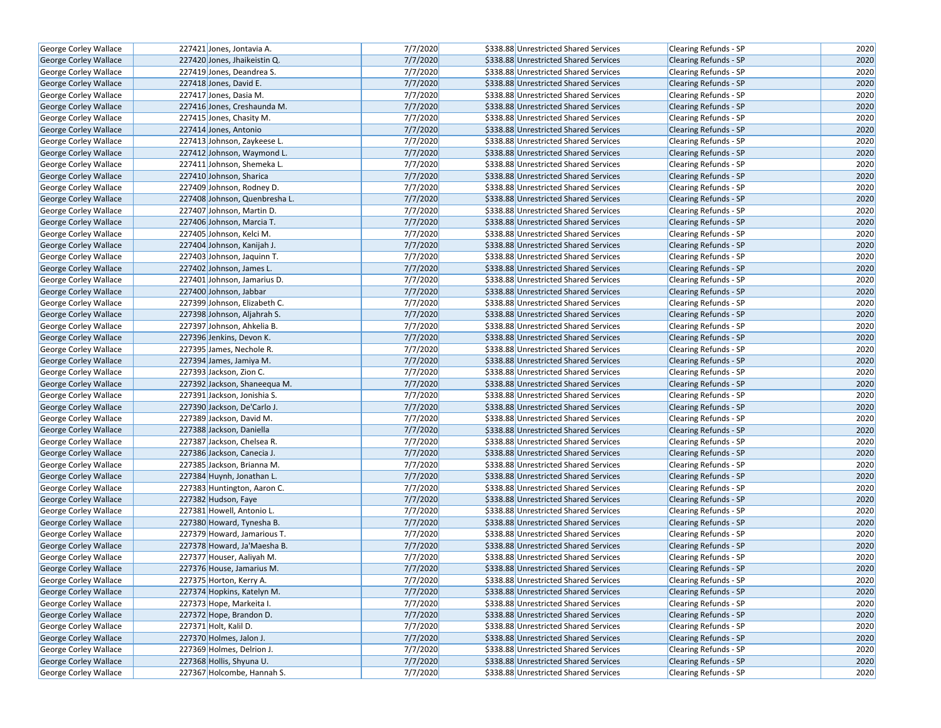| George Corley Wallace                          | 227421 Jones, Jontavia A.     | 7/7/2020             | \$338.88 Unrestricted Shared Services | Clearing Refunds - SP        | 2020         |
|------------------------------------------------|-------------------------------|----------------------|---------------------------------------|------------------------------|--------------|
| <b>George Corley Wallace</b>                   | 227420 Jones, Jhaikeistin Q.  | 7/7/2020             | \$338.88 Unrestricted Shared Services | <b>Clearing Refunds - SP</b> | 2020         |
| George Corley Wallace                          | 227419 Jones, Deandrea S.     | 7/7/2020             | \$338.88 Unrestricted Shared Services | Clearing Refunds - SP        | 2020         |
| <b>George Corley Wallace</b>                   | 227418 Jones, David E.        | 7/7/2020             | \$338.88 Unrestricted Shared Services | <b>Clearing Refunds - SP</b> | 2020         |
| George Corley Wallace                          | 227417 Jones, Dasia M.        | 7/7/2020             | \$338.88 Unrestricted Shared Services | Clearing Refunds - SP        | 2020         |
| George Corley Wallace                          | 227416 Jones, Creshaunda M.   | 7/7/2020             | \$338.88 Unrestricted Shared Services | <b>Clearing Refunds - SP</b> | 2020         |
| George Corley Wallace                          | 227415 Jones, Chasity M.      | 7/7/2020             | \$338.88 Unrestricted Shared Services | Clearing Refunds - SP        | 2020         |
| <b>George Corley Wallace</b>                   | 227414 Jones, Antonio         | 7/7/2020             | \$338.88 Unrestricted Shared Services | <b>Clearing Refunds - SP</b> | 2020         |
| George Corley Wallace                          | 227413 Johnson, Zaykeese L.   | 7/7/2020             | \$338.88 Unrestricted Shared Services | Clearing Refunds - SP        | 2020         |
| George Corley Wallace                          | 227412 Johnson, Waymond L.    | 7/7/2020             | \$338.88 Unrestricted Shared Services | <b>Clearing Refunds - SP</b> | 2020         |
| George Corley Wallace                          | 227411 Johnson, Shemeka L.    | 7/7/2020             | \$338.88 Unrestricted Shared Services | Clearing Refunds - SP        | 2020         |
| George Corley Wallace                          | 227410 Johnson, Sharica       | 7/7/2020             | \$338.88 Unrestricted Shared Services | <b>Clearing Refunds - SP</b> | 2020         |
| George Corley Wallace                          | 227409 Johnson, Rodney D.     | 7/7/2020             | \$338.88 Unrestricted Shared Services | <b>Clearing Refunds - SP</b> | 2020         |
| George Corley Wallace                          | 227408 Johnson, Quenbresha L. | 7/7/2020             | \$338.88 Unrestricted Shared Services | <b>Clearing Refunds - SP</b> | 2020         |
| George Corley Wallace                          | 227407 Johnson, Martin D.     | 7/7/2020             | \$338.88 Unrestricted Shared Services | Clearing Refunds - SP        | 2020         |
| George Corley Wallace                          | 227406 Johnson, Marcia T.     | 7/7/2020             | \$338.88 Unrestricted Shared Services | <b>Clearing Refunds - SP</b> | 2020         |
| George Corley Wallace                          | 227405 Johnson, Kelci M.      | 7/7/2020             | \$338.88 Unrestricted Shared Services | Clearing Refunds - SP        | 2020         |
| George Corley Wallace                          | 227404 Johnson, Kanijah J.    | 7/7/2020             | \$338.88 Unrestricted Shared Services | <b>Clearing Refunds - SP</b> | 2020         |
| George Corley Wallace                          | 227403 Johnson, Jaquinn T.    | 7/7/2020             | \$338.88 Unrestricted Shared Services | Clearing Refunds - SP        | 2020         |
| George Corley Wallace                          | 227402 Johnson, James L.      | 7/7/2020             | \$338.88 Unrestricted Shared Services | <b>Clearing Refunds - SP</b> | 2020         |
| George Corley Wallace                          | 227401 Johnson, Jamarius D.   | 7/7/2020             | \$338.88 Unrestricted Shared Services | <b>Clearing Refunds - SP</b> | 2020         |
| George Corley Wallace                          | 227400 Johnson, Jabbar        | 7/7/2020             | \$338.88 Unrestricted Shared Services | <b>Clearing Refunds - SP</b> | 2020         |
| George Corley Wallace                          | 227399 Johnson, Elizabeth C.  | 7/7/2020             | \$338.88 Unrestricted Shared Services | Clearing Refunds - SP        | 2020         |
| George Corley Wallace                          | 227398 Johnson, Aljahrah S.   | 7/7/2020             | \$338.88 Unrestricted Shared Services | Clearing Refunds - SP        | 2020         |
| George Corley Wallace                          | 227397 Johnson, Ahkelia B.    | 7/7/2020             | \$338.88 Unrestricted Shared Services | <b>Clearing Refunds - SP</b> | 2020         |
| <b>George Corley Wallace</b>                   | 227396 Jenkins, Devon K.      | 7/7/2020             | \$338.88 Unrestricted Shared Services | <b>Clearing Refunds - SP</b> | 2020         |
| George Corley Wallace                          | 227395 James, Nechole R.      | 7/7/2020             | \$338.88 Unrestricted Shared Services | Clearing Refunds - SP        | 2020         |
| <b>George Corley Wallace</b>                   | 227394 James, Jamiya M.       | 7/7/2020             | \$338.88 Unrestricted Shared Services |                              | 2020         |
|                                                |                               | 7/7/2020             |                                       | <b>Clearing Refunds - SP</b> | 2020         |
| George Corley Wallace                          | 227393 Jackson, Zion C.       | 7/7/2020             | \$338.88 Unrestricted Shared Services | <b>Clearing Refunds - SP</b> | 2020         |
| George Corley Wallace<br>George Corley Wallace | 227392 Jackson, Shaneequa M.  | 7/7/2020             | \$338.88 Unrestricted Shared Services | <b>Clearing Refunds - SP</b> | 2020         |
|                                                | 227391 Jackson, Jonishia S.   | 7/7/2020             | \$338.88 Unrestricted Shared Services | Clearing Refunds - SP        | 2020         |
| George Corley Wallace                          | 227390 Jackson, De'Carlo J.   | 7/7/2020             | \$338.88 Unrestricted Shared Services | <b>Clearing Refunds - SP</b> | 2020         |
| George Corley Wallace                          | 227389 Jackson, David M.      |                      | \$338.88 Unrestricted Shared Services | <b>Clearing Refunds - SP</b> |              |
| George Corley Wallace                          | 227388 Jackson, Daniella      | 7/7/2020<br>7/7/2020 | \$338.88 Unrestricted Shared Services | <b>Clearing Refunds - SP</b> | 2020<br>2020 |
| George Corley Wallace                          | 227387 Jackson, Chelsea R.    | 7/7/2020             | \$338.88 Unrestricted Shared Services | Clearing Refunds - SP        | 2020         |
| George Corley Wallace                          | 227386 Jackson, Canecia J.    | 7/7/2020             | \$338.88 Unrestricted Shared Services | <b>Clearing Refunds - SP</b> | 2020         |
| George Corley Wallace                          | 227385 Jackson, Brianna M.    |                      | \$338.88 Unrestricted Shared Services | Clearing Refunds - SP        |              |
| George Corley Wallace                          | 227384 Huynh, Jonathan L.     | 7/7/2020             | \$338.88 Unrestricted Shared Services | <b>Clearing Refunds - SP</b> | 2020         |
| George Corley Wallace                          | 227383 Huntington, Aaron C.   | 7/7/2020             | \$338.88 Unrestricted Shared Services | Clearing Refunds - SP        | 2020         |
| George Corley Wallace                          | 227382 Hudson, Faye           | 7/7/2020             | \$338.88 Unrestricted Shared Services | <b>Clearing Refunds - SP</b> | 2020         |
| George Corley Wallace                          | 227381 Howell, Antonio L.     | 7/7/2020             | \$338.88 Unrestricted Shared Services | Clearing Refunds - SP        | 2020         |
| George Corley Wallace                          | 227380 Howard, Tynesha B.     | 7/7/2020             | \$338.88 Unrestricted Shared Services | <b>Clearing Refunds - SP</b> | 2020         |
| George Corley Wallace                          | 227379 Howard, Jamarious T.   | 7/7/2020             | \$338.88 Unrestricted Shared Services | Clearing Refunds - SP        | 2020         |
| George Corley Wallace                          | 227378 Howard, Ja'Maesha B.   | 7/7/2020             | \$338.88 Unrestricted Shared Services | Clearing Refunds - SP        | 2020         |
| George Corley Wallace                          | 227377 Houser, Aaliyah M.     | 7/7/2020             | \$338.88 Unrestricted Shared Services | Clearing Refunds - SP        | 2020         |
| George Corley Wallace                          | 227376 House, Jamarius M.     | 7/7/2020             | \$338.88 Unrestricted Shared Services | <b>Clearing Refunds - SP</b> | 2020         |
| George Corley Wallace                          | 227375 Horton, Kerry A.       | 7/7/2020             | \$338.88 Unrestricted Shared Services | Clearing Refunds - SP        | 2020         |
| George Corley Wallace                          | 227374 Hopkins, Katelyn M.    | 7/7/2020             | \$338.88 Unrestricted Shared Services | Clearing Refunds - SP        | 2020         |
| George Corley Wallace                          | 227373 Hope, Markeita I.      | 7/7/2020             | \$338.88 Unrestricted Shared Services | Clearing Refunds - SP        | 2020         |
| <b>George Corley Wallace</b>                   | 227372 Hope, Brandon D.       | 7/7/2020             | \$338.88 Unrestricted Shared Services | <b>Clearing Refunds - SP</b> | 2020         |
| George Corley Wallace                          | 227371 Holt, Kalil D.         | 7/7/2020             | \$338.88 Unrestricted Shared Services | Clearing Refunds - SP        | 2020         |
| George Corley Wallace                          | 227370 Holmes, Jalon J.       | 7/7/2020             | \$338.88 Unrestricted Shared Services | Clearing Refunds - SP        | 2020         |
| George Corley Wallace                          | 227369 Holmes, Delrion J.     | 7/7/2020             | \$338.88 Unrestricted Shared Services | Clearing Refunds - SP        | 2020         |
| George Corley Wallace                          | 227368 Hollis, Shyuna U.      | 7/7/2020             | \$338.88 Unrestricted Shared Services | <b>Clearing Refunds - SP</b> | 2020         |
| George Corley Wallace                          | 227367 Holcombe, Hannah S.    | 7/7/2020             | \$338.88 Unrestricted Shared Services | Clearing Refunds - SP        | 2020         |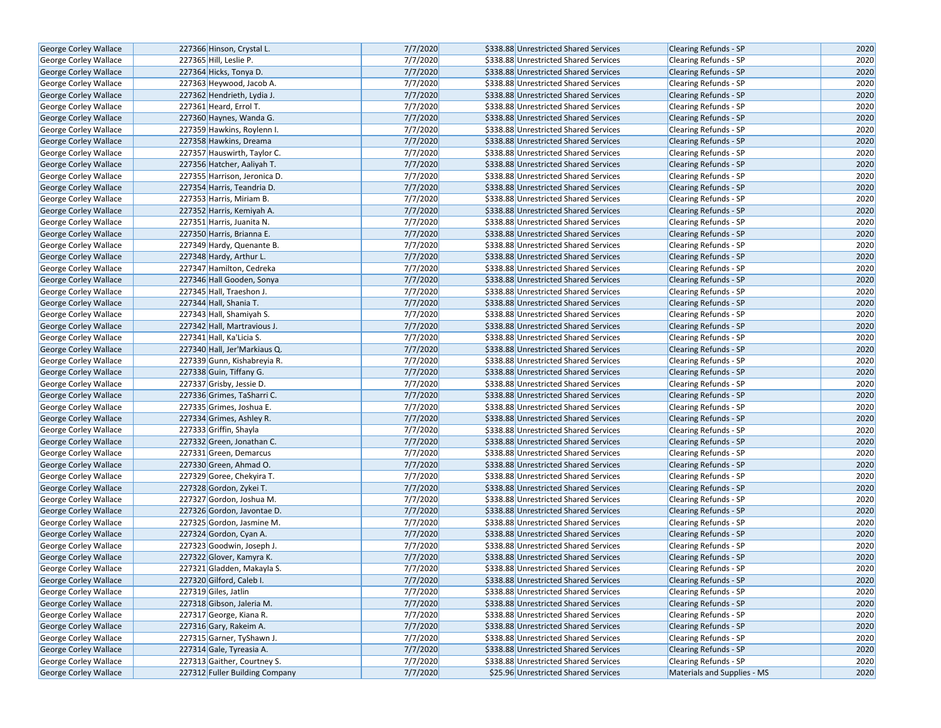| George Corley Wallace        | 227366 Hinson, Crystal L.      | 7/7/2020 | \$338.88 Unrestricted Shared Services | <b>Clearing Refunds - SP</b> | 2020 |
|------------------------------|--------------------------------|----------|---------------------------------------|------------------------------|------|
| <b>George Corley Wallace</b> | 227365 Hill, Leslie P.         | 7/7/2020 | \$338.88 Unrestricted Shared Services | <b>Clearing Refunds - SP</b> | 2020 |
| <b>George Corley Wallace</b> | 227364 Hicks, Tonya D.         | 7/7/2020 | \$338.88 Unrestricted Shared Services | <b>Clearing Refunds - SP</b> | 2020 |
| George Corley Wallace        | 227363 Heywood, Jacob A.       | 7/7/2020 | \$338.88 Unrestricted Shared Services | <b>Clearing Refunds - SP</b> | 2020 |
| George Corley Wallace        | 227362 Hendrieth, Lydia J.     | 7/7/2020 | \$338.88 Unrestricted Shared Services | Clearing Refunds - SP        | 2020 |
| George Corley Wallace        | 227361 Heard, Errol T.         | 7/7/2020 | \$338.88 Unrestricted Shared Services | Clearing Refunds - SP        | 2020 |
| George Corley Wallace        | 227360 Haynes, Wanda G.        | 7/7/2020 | \$338.88 Unrestricted Shared Services | <b>Clearing Refunds - SP</b> | 2020 |
| <b>George Corley Wallace</b> | 227359 Hawkins, Roylenn I.     | 7/7/2020 | \$338.88 Unrestricted Shared Services | <b>Clearing Refunds - SP</b> | 2020 |
| <b>George Corley Wallace</b> | 227358 Hawkins, Dreama         | 7/7/2020 | \$338.88 Unrestricted Shared Services | <b>Clearing Refunds - SP</b> | 2020 |
| George Corley Wallace        | 227357 Hauswirth, Taylor C.    | 7/7/2020 | \$338.88 Unrestricted Shared Services | Clearing Refunds - SP        | 2020 |
| George Corley Wallace        | 227356 Hatcher, Aaliyah T.     | 7/7/2020 | \$338.88 Unrestricted Shared Services | Clearing Refunds - SP        | 2020 |
| George Corley Wallace        | 227355 Harrison, Jeronica D    | 7/7/2020 | \$338.88 Unrestricted Shared Services | <b>Clearing Refunds - SP</b> | 2020 |
| <b>George Corley Wallace</b> | 227354 Harris, Teandria D.     | 7/7/2020 | \$338.88 Unrestricted Shared Services | <b>Clearing Refunds - SP</b> | 2020 |
| George Corley Wallace        | 227353 Harris, Miriam B.       | 7/7/2020 | \$338.88 Unrestricted Shared Services | Clearing Refunds - SP        | 2020 |
| <b>George Corley Wallace</b> | 227352 Harris, Kemiyah A.      | 7/7/2020 | \$338.88 Unrestricted Shared Services | <b>Clearing Refunds - SP</b> | 2020 |
| <b>George Corley Wallace</b> | 227351 Harris, Juanita N.      | 7/7/2020 | \$338.88 Unrestricted Shared Services | <b>Clearing Refunds - SP</b> | 2020 |
| George Corley Wallace        | 227350 Harris, Brianna E.      | 7/7/2020 | \$338.88 Unrestricted Shared Services | <b>Clearing Refunds - SP</b> | 2020 |
| George Corley Wallace        | 227349 Hardy, Quenante B.      | 7/7/2020 | \$338.88 Unrestricted Shared Services | Clearing Refunds - SP        | 2020 |
| George Corley Wallace        | 227348 Hardy, Arthur L.        | 7/7/2020 | \$338.88 Unrestricted Shared Services | Clearing Refunds - SP        | 2020 |
| George Corley Wallace        | 227347 Hamilton, Cedreka       | 7/7/2020 | \$338.88 Unrestricted Shared Services | <b>Clearing Refunds - SP</b> | 2020 |
| <b>George Corley Wallace</b> | 227346 Hall Gooden, Sonya      | 7/7/2020 | \$338.88 Unrestricted Shared Services | <b>Clearing Refunds - SP</b> | 2020 |
| George Corley Wallace        | 227345 Hall, Traeshon J.       | 7/7/2020 | \$338.88 Unrestricted Shared Services | Clearing Refunds - SP        | 2020 |
| George Corley Wallace        | 227344 Hall, Shania T.         | 7/7/2020 | \$338.88 Unrestricted Shared Services | <b>Clearing Refunds - SP</b> | 2020 |
| George Corley Wallace        | 227343 Hall, Shamiyah S.       | 7/7/2020 | \$338.88 Unrestricted Shared Services | Clearing Refunds - SP        | 2020 |
| George Corley Wallace        | 227342 Hall, Martravious J.    | 7/7/2020 | \$338.88 Unrestricted Shared Services | <b>Clearing Refunds - SP</b> | 2020 |
| George Corley Wallace        | 227341 Hall, Ka'Licia S.       | 7/7/2020 | \$338.88 Unrestricted Shared Services | Clearing Refunds - SP        | 2020 |
| George Corley Wallace        | 227340 Hall, Jer'Markiaus Q.   | 7/7/2020 | \$338.88 Unrestricted Shared Services | Clearing Refunds - SP        | 2020 |
| George Corley Wallace        | 227339 Gunn, Kishabreyia R.    | 7/7/2020 | \$338.88 Unrestricted Shared Services | Clearing Refunds - SP        | 2020 |
| George Corley Wallace        | 227338 Guin, Tiffany G.        | 7/7/2020 | \$338.88 Unrestricted Shared Services | <b>Clearing Refunds - SP</b> | 2020 |
| <b>George Corley Wallace</b> | 227337 Grisby, Jessie D.       | 7/7/2020 | \$338.88 Unrestricted Shared Services | Clearing Refunds - SP        | 2020 |
| <b>George Corley Wallace</b> | 227336 Grimes, TaSharri C.     | 7/7/2020 | \$338.88 Unrestricted Shared Services | <b>Clearing Refunds - SP</b> | 2020 |
| George Corley Wallace        | 227335 Grimes, Joshua E.       | 7/7/2020 | \$338.88 Unrestricted Shared Services | <b>Clearing Refunds - SP</b> | 2020 |
| George Corley Wallace        | 227334 Grimes, Ashley R.       | 7/7/2020 | \$338.88 Unrestricted Shared Services | <b>Clearing Refunds - SP</b> | 2020 |
| George Corley Wallace        | 227333 Griffin, Shayla         | 7/7/2020 | \$338.88 Unrestricted Shared Services | Clearing Refunds - SP        | 2020 |
| George Corley Wallace        | 227332 Green, Jonathan C.      | 7/7/2020 | \$338.88 Unrestricted Shared Services | <b>Clearing Refunds - SP</b> | 2020 |
| George Corley Wallace        | 227331 Green, Demarcus         | 7/7/2020 | \$338.88 Unrestricted Shared Services | Clearing Refunds - SP        | 2020 |
| <b>George Corley Wallace</b> | 227330 Green, Ahmad O.         | 7/7/2020 | \$338.88 Unrestricted Shared Services | <b>Clearing Refunds - SP</b> | 2020 |
| George Corley Wallace        | 227329 Goree, Chekyira T.      | 7/7/2020 | \$338.88 Unrestricted Shared Services | Clearing Refunds - SP        | 2020 |
| George Corley Wallace        | 227328 Gordon, Zykei T.        | 7/7/2020 | \$338.88 Unrestricted Shared Services | <b>Clearing Refunds - SP</b> | 2020 |
| George Corley Wallace        | 227327 Gordon, Joshua M.       | 7/7/2020 | \$338.88 Unrestricted Shared Services | Clearing Refunds - SP        | 2020 |
| <b>George Corley Wallace</b> | 227326 Gordon, Javontae D.     | 7/7/2020 | \$338.88 Unrestricted Shared Services | <b>Clearing Refunds - SP</b> | 2020 |
| George Corley Wallace        | 227325 Gordon, Jasmine M.      | 7/7/2020 | \$338.88 Unrestricted Shared Services | Clearing Refunds - SP        | 2020 |
| George Corley Wallace        | 227324 Gordon, Cyan A.         | 7/7/2020 | \$338.88 Unrestricted Shared Services | <b>Clearing Refunds - SP</b> | 2020 |
| George Corley Wallace        | 227323 Goodwin, Joseph J.      | 7/7/2020 | \$338.88 Unrestricted Shared Services | Clearing Refunds - SP        | 2020 |
| <b>George Corley Wallace</b> | 227322 Glover, Kamyra K.       | 7/7/2020 | \$338.88 Unrestricted Shared Services | <b>Clearing Refunds - SP</b> | 2020 |
| George Corley Wallace        | 227321 Gladden, Makayla S.     | 7/7/2020 | \$338.88 Unrestricted Shared Services | <b>Clearing Refunds - SP</b> | 2020 |
| George Corley Wallace        | 227320 Gilford, Caleb I.       | 7/7/2020 | \$338.88 Unrestricted Shared Services | Clearing Refunds - SP        | 2020 |
| <b>George Corley Wallace</b> | 227319 Giles, Jatlin           | 7/7/2020 | \$338.88 Unrestricted Shared Services | Clearing Refunds - SP        | 2020 |
| George Corley Wallace        | 227318 Gibson, Jaleria M.      | 7/7/2020 | \$338.88 Unrestricted Shared Services | <b>Clearing Refunds - SP</b> | 2020 |
| <b>George Corley Wallace</b> | 227317 George, Kiana R.        | 7/7/2020 | \$338.88 Unrestricted Shared Services | <b>Clearing Refunds - SP</b> | 2020 |
| George Corley Wallace        | 227316 Gary, Rakeim A.         | 7/7/2020 | \$338.88 Unrestricted Shared Services | Clearing Refunds - SP        | 2020 |
| <b>George Corley Wallace</b> | 227315 Garner, TyShawn J.      | 7/7/2020 | \$338.88 Unrestricted Shared Services | <b>Clearing Refunds - SP</b> | 2020 |
| George Corley Wallace        | 227314 Gale, Tyreasia A.       | 7/7/2020 | \$338.88 Unrestricted Shared Services | Clearing Refunds - SP        | 2020 |
| George Corley Wallace        | 227313 Gaither, Courtney S.    | 7/7/2020 | \$338.88 Unrestricted Shared Services | <b>Clearing Refunds - SP</b> | 2020 |
| George Corley Wallace        | 227312 Fuller Building Company | 7/7/2020 | \$25.96 Unrestricted Shared Services  | Materials and Supplies - MS  | 2020 |
|                              |                                |          |                                       |                              |      |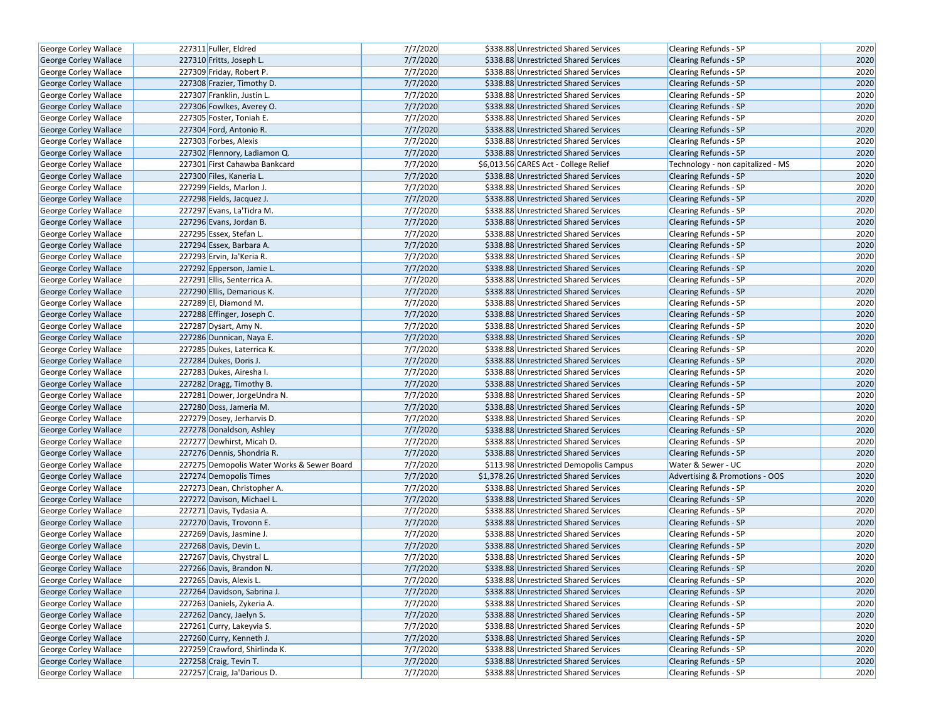| George Corley Wallace        | 227311 Fuller, Eldred                      | 7/7/2020 | \$338.88 Unrestricted Shared Services   | Clearing Refunds - SP             | 2020 |
|------------------------------|--------------------------------------------|----------|-----------------------------------------|-----------------------------------|------|
| <b>George Corley Wallace</b> | 227310 Fritts, Joseph L.                   | 7/7/2020 | \$338.88 Unrestricted Shared Services   | <b>Clearing Refunds - SP</b>      | 2020 |
| George Corley Wallace        | 227309 Friday, Robert P.                   | 7/7/2020 | \$338.88 Unrestricted Shared Services   | Clearing Refunds - SP             | 2020 |
| George Corley Wallace        | 227308 Frazier, Timothy D.                 | 7/7/2020 | \$338.88 Unrestricted Shared Services   | <b>Clearing Refunds - SP</b>      | 2020 |
| George Corley Wallace        | 227307 Franklin, Justin L.                 | 7/7/2020 | \$338.88 Unrestricted Shared Services   | Clearing Refunds - SP             | 2020 |
| George Corley Wallace        | 227306 Fowlkes, Averey O.                  | 7/7/2020 | \$338.88 Unrestricted Shared Services   | Clearing Refunds - SP             | 2020 |
| George Corley Wallace        | 227305 Foster, Toniah E.                   | 7/7/2020 | \$338.88 Unrestricted Shared Services   | Clearing Refunds - SP             | 2020 |
| George Corley Wallace        | 227304 Ford, Antonio R.                    | 7/7/2020 | \$338.88 Unrestricted Shared Services   | <b>Clearing Refunds - SP</b>      | 2020 |
| George Corley Wallace        | 227303 Forbes, Alexis                      | 7/7/2020 | \$338.88 Unrestricted Shared Services   | Clearing Refunds - SP             | 2020 |
| George Corley Wallace        | 227302 Flennory, Ladiamon Q.               | 7/7/2020 | \$338.88 Unrestricted Shared Services   | <b>Clearing Refunds - SP</b>      | 2020 |
| George Corley Wallace        | 227301 First Cahawba Bankcard              | 7/7/2020 | \$6,013.56 CARES Act - College Relief   | Technology - non capitalized - MS | 2020 |
| George Corley Wallace        | 227300 Files, Kaneria L.                   | 7/7/2020 | \$338.88 Unrestricted Shared Services   | <b>Clearing Refunds - SP</b>      | 2020 |
| George Corley Wallace        | 227299 Fields, Marlon J.                   | 7/7/2020 | \$338.88 Unrestricted Shared Services   | Clearing Refunds - SP             | 2020 |
| George Corley Wallace        | 227298 Fields, Jacquez J.                  | 7/7/2020 | \$338.88 Unrestricted Shared Services   | <b>Clearing Refunds - SP</b>      | 2020 |
| George Corley Wallace        | 227297 Evans, La'Tidra M.                  | 7/7/2020 | \$338.88 Unrestricted Shared Services   | Clearing Refunds - SP             | 2020 |
| <b>George Corley Wallace</b> | 227296 Evans, Jordan B.                    | 7/7/2020 | \$338.88 Unrestricted Shared Services   | <b>Clearing Refunds - SP</b>      | 2020 |
| George Corley Wallace        | 227295 Essex, Stefan L.                    | 7/7/2020 | \$338.88 Unrestricted Shared Services   | Clearing Refunds - SP             | 2020 |
| George Corley Wallace        | 227294 Essex, Barbara A.                   | 7/7/2020 | \$338.88 Unrestricted Shared Services   | <b>Clearing Refunds - SP</b>      | 2020 |
| George Corley Wallace        | 227293 Ervin, Ja'Keria R.                  | 7/7/2020 | \$338.88 Unrestricted Shared Services   | Clearing Refunds - SP             | 2020 |
| <b>George Corley Wallace</b> | 227292 Epperson, Jamie L.                  | 7/7/2020 | \$338.88 Unrestricted Shared Services   | <b>Clearing Refunds - SP</b>      | 2020 |
| George Corley Wallace        | 227291 Ellis, Senterrica A.                | 7/7/2020 | \$338.88 Unrestricted Shared Services   | Clearing Refunds - SP             | 2020 |
| George Corley Wallace        | 227290 Ellis, Demarious K.                 | 7/7/2020 | \$338.88 Unrestricted Shared Services   | <b>Clearing Refunds - SP</b>      | 2020 |
| George Corley Wallace        | 227289 El, Diamond M.                      | 7/7/2020 | \$338.88 Unrestricted Shared Services   | Clearing Refunds - SP             | 2020 |
| George Corley Wallace        | 227288 Effinger, Joseph C.                 | 7/7/2020 | \$338.88 Unrestricted Shared Services   | <b>Clearing Refunds - SP</b>      | 2020 |
| George Corley Wallace        | 227287 Dysart, Amy N.                      | 7/7/2020 | \$338.88 Unrestricted Shared Services   | Clearing Refunds - SP             | 2020 |
| George Corley Wallace        | 227286 Dunnican, Naya E.                   | 7/7/2020 | \$338.88 Unrestricted Shared Services   | <b>Clearing Refunds - SP</b>      | 2020 |
| George Corley Wallace        | 227285 Dukes, Laterrica K.                 | 7/7/2020 | \$338.88 Unrestricted Shared Services   | Clearing Refunds - SP             | 2020 |
| <b>George Corley Wallace</b> | 227284 Dukes, Doris J.                     | 7/7/2020 | \$338.88 Unrestricted Shared Services   | <b>Clearing Refunds - SP</b>      | 2020 |
| George Corley Wallace        | 227283 Dukes, Airesha I.                   | 7/7/2020 | \$338.88 Unrestricted Shared Services   | <b>Clearing Refunds - SP</b>      | 2020 |
| George Corley Wallace        | 227282 Dragg, Timothy B.                   | 7/7/2020 | \$338.88 Unrestricted Shared Services   | <b>Clearing Refunds - SP</b>      | 2020 |
| George Corley Wallace        | 227281 Dower, JorgeUndra N.                | 7/7/2020 | \$338.88 Unrestricted Shared Services   | Clearing Refunds - SP             | 2020 |
| George Corley Wallace        | 227280 Doss, Jameria M.                    | 7/7/2020 | \$338.88 Unrestricted Shared Services   | <b>Clearing Refunds - SP</b>      | 2020 |
| George Corley Wallace        | 227279 Dosey, Jerharvis D.                 | 7/7/2020 | \$338.88 Unrestricted Shared Services   | <b>Clearing Refunds - SP</b>      | 2020 |
| George Corley Wallace        | 227278 Donaldson, Ashley                   | 7/7/2020 | \$338.88 Unrestricted Shared Services   | <b>Clearing Refunds - SP</b>      | 2020 |
| George Corley Wallace        | 227277 Dewhirst, Micah D.                  | 7/7/2020 | \$338.88 Unrestricted Shared Services   | Clearing Refunds - SP             | 2020 |
| George Corley Wallace        | 227276 Dennis, Shondria R.                 | 7/7/2020 | \$338.88 Unrestricted Shared Services   | Clearing Refunds - SP             | 2020 |
| George Corley Wallace        | 227275 Demopolis Water Works & Sewer Board | 7/7/2020 | \$113.98 Unrestricted Demopolis Campus  | Water & Sewer - UC                | 2020 |
| George Corley Wallace        | 227274 Demopolis Times                     | 7/7/2020 | \$1,378.26 Unrestricted Shared Services | Advertising & Promotions - OOS    | 2020 |
| George Corley Wallace        | 227273 Dean, Christopher A.                | 7/7/2020 | \$338.88 Unrestricted Shared Services   | Clearing Refunds - SP             | 2020 |
| George Corley Wallace        | 227272 Davison, Michael L.                 | 7/7/2020 | \$338.88 Unrestricted Shared Services   | <b>Clearing Refunds - SP</b>      | 2020 |
| George Corley Wallace        | 227271 Davis, Tydasia A.                   | 7/7/2020 | \$338.88 Unrestricted Shared Services   | Clearing Refunds - SP             | 2020 |
| George Corley Wallace        | 227270 Davis, Trovonn E.                   | 7/7/2020 | \$338.88 Unrestricted Shared Services   | <b>Clearing Refunds - SP</b>      | 2020 |
| George Corley Wallace        | 227269 Davis, Jasmine J.                   | 7/7/2020 | \$338.88 Unrestricted Shared Services   | Clearing Refunds - SP             | 2020 |
| <b>George Corley Wallace</b> | 227268 Davis, Devin L.                     | 7/7/2020 | \$338.88 Unrestricted Shared Services   | <b>Clearing Refunds - SP</b>      | 2020 |
| <b>George Corley Wallace</b> | 227267 Davis, Chystral L.                  | 7/7/2020 | \$338.88 Unrestricted Shared Services   | <b>Clearing Refunds - SP</b>      | 2020 |
| George Corley Wallace        | 227266 Davis, Brandon N.                   | 7/7/2020 | \$338.88 Unrestricted Shared Services   | <b>Clearing Refunds - SP</b>      | 2020 |
| George Corley Wallace        | 227265 Davis, Alexis L.                    | 7/7/2020 | \$338.88 Unrestricted Shared Services   | Clearing Refunds - SP             | 2020 |
| George Corley Wallace        | 227264 Davidson, Sabrina J.                | 7/7/2020 | \$338.88 Unrestricted Shared Services   | Clearing Refunds - SP             | 2020 |
| George Corley Wallace        | 227263 Daniels, Zykeria A.                 | 7/7/2020 | \$338.88 Unrestricted Shared Services   | Clearing Refunds - SP             | 2020 |
| <b>George Corley Wallace</b> | 227262 Dancy, Jaelyn S.                    | 7/7/2020 | \$338.88 Unrestricted Shared Services   | <b>Clearing Refunds - SP</b>      | 2020 |
| George Corley Wallace        | 227261 Curry, Lakeyvia S.                  | 7/7/2020 | \$338.88 Unrestricted Shared Services   | Clearing Refunds - SP             | 2020 |
| George Corley Wallace        | 227260 Curry, Kenneth J.                   | 7/7/2020 | \$338.88 Unrestricted Shared Services   | Clearing Refunds - SP             | 2020 |
| George Corley Wallace        | 227259 Crawford, Shirlinda K.              | 7/7/2020 | \$338.88 Unrestricted Shared Services   | Clearing Refunds - SP             | 2020 |
| George Corley Wallace        | 227258 Craig, Tevin T.                     | 7/7/2020 | \$338.88 Unrestricted Shared Services   | <b>Clearing Refunds - SP</b>      | 2020 |
| George Corley Wallace        | 227257 Craig, Ja'Darious D.                | 7/7/2020 | \$338.88 Unrestricted Shared Services   | Clearing Refunds - SP             | 2020 |
|                              |                                            |          |                                         |                                   |      |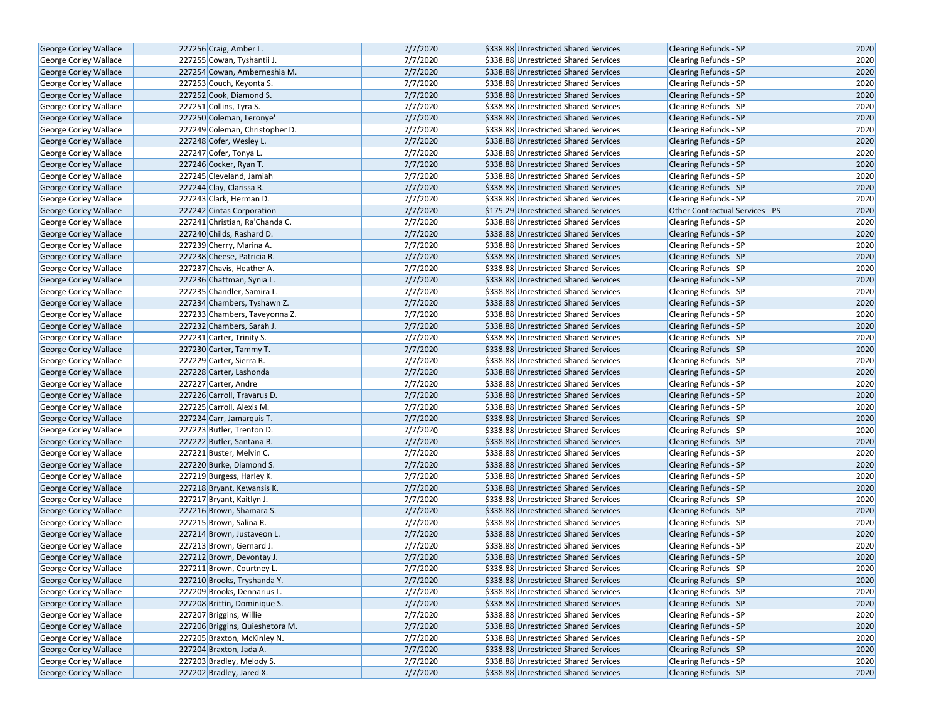| 7/7/2020<br><b>George Corley Wallace</b><br>227256 Craig, Amber L.         | \$338.88 Unrestricted Shared Services | <b>Clearing Refunds - SP</b>    | 2020 |
|----------------------------------------------------------------------------|---------------------------------------|---------------------------------|------|
| 7/7/2020<br><b>George Corley Wallace</b><br>227255 Cowan, Tyshantii J.     | \$338.88 Unrestricted Shared Services | <b>Clearing Refunds - SP</b>    | 2020 |
| 7/7/2020<br><b>George Corley Wallace</b><br>227254 Cowan, Amberneshia M.   | \$338.88 Unrestricted Shared Services | <b>Clearing Refunds - SP</b>    | 2020 |
| 7/7/2020<br>George Corley Wallace<br>227253 Couch, Keyonta S.              | \$338.88 Unrestricted Shared Services | <b>Clearing Refunds - SP</b>    | 2020 |
| 227252 Cook, Diamond S.<br>7/7/2020<br>George Corley Wallace               | \$338.88 Unrestricted Shared Services | Clearing Refunds - SP           | 2020 |
| 227251 Collins, Tyra S.<br>7/7/2020<br>George Corley Wallace               | \$338.88 Unrestricted Shared Services | Clearing Refunds - SP           | 2020 |
| 7/7/2020<br>George Corley Wallace<br>227250 Coleman, Leronye'              | \$338.88 Unrestricted Shared Services | <b>Clearing Refunds - SP</b>    | 2020 |
| 7/7/2020<br><b>George Corley Wallace</b><br>227249 Coleman, Christopher D. | \$338.88 Unrestricted Shared Services | <b>Clearing Refunds - SP</b>    | 2020 |
| 7/7/2020<br><b>George Corley Wallace</b><br>227248 Cofer, Wesley L.        | \$338.88 Unrestricted Shared Services | <b>Clearing Refunds - SP</b>    | 2020 |
| 7/7/2020<br>George Corley Wallace<br>227247 Cofer, Tonya L.                | \$338.88 Unrestricted Shared Services | Clearing Refunds - SP           | 2020 |
| 7/7/2020<br>George Corley Wallace<br>227246 Cocker, Ryan T.                | \$338.88 Unrestricted Shared Services | Clearing Refunds - SP           | 2020 |
| 7/7/2020<br>George Corley Wallace<br>227245 Cleveland, Jamiah              | \$338.88 Unrestricted Shared Services | <b>Clearing Refunds - SP</b>    | 2020 |
| 7/7/2020<br>227244 Clay, Clarissa R.<br>George Corley Wallace              | \$338.88 Unrestricted Shared Services | <b>Clearing Refunds - SP</b>    | 2020 |
| <b>George Corley Wallace</b><br>227243 Clark, Herman D.<br>7/7/2020        | \$338.88 Unrestricted Shared Services | <b>Clearing Refunds - SP</b>    | 2020 |
| 7/7/2020<br><b>George Corley Wallace</b><br>227242 Cintas Corporation      | \$175.29 Unrestricted Shared Services | Other Contractual Services - PS | 2020 |
| 7/7/2020<br><b>George Corley Wallace</b><br>227241 Christian, Ra'Chanda C. | \$338.88 Unrestricted Shared Services | <b>Clearing Refunds - SP</b>    | 2020 |
| 7/7/2020<br><b>George Corley Wallace</b><br>227240 Childs, Rashard D.      | \$338.88 Unrestricted Shared Services | <b>Clearing Refunds - SP</b>    | 2020 |
| 7/7/2020<br>George Corley Wallace<br>227239 Cherry, Marina A.              | \$338.88 Unrestricted Shared Services | Clearing Refunds - SP           | 2020 |
| 7/7/2020<br>227238 Cheese, Patricia R.<br>George Corley Wallace            | \$338.88 Unrestricted Shared Services | Clearing Refunds - SP           | 2020 |
| 7/7/2020<br>George Corley Wallace<br>227237 Chavis, Heather A.             | \$338.88 Unrestricted Shared Services | <b>Clearing Refunds - SP</b>    | 2020 |
| 7/7/2020<br><b>George Corley Wallace</b><br>227236 Chattman, Synia L.      | \$338.88 Unrestricted Shared Services | <b>Clearing Refunds - SP</b>    | 2020 |
| 7/7/2020<br>George Corley Wallace<br>227235 Chandler, Samira L.            | \$338.88 Unrestricted Shared Services | Clearing Refunds - SP           | 2020 |
| 7/7/2020<br>George Corley Wallace<br>227234 Chambers, Tyshawn Z.           | \$338.88 Unrestricted Shared Services | <b>Clearing Refunds - SP</b>    | 2020 |
| 7/7/2020<br>George Corley Wallace<br>227233 Chambers, Taveyonna Z.         | \$338.88 Unrestricted Shared Services | Clearing Refunds - SP           | 2020 |
| 7/7/2020<br>George Corley Wallace<br>227232 Chambers, Sarah J.             | \$338.88 Unrestricted Shared Services | <b>Clearing Refunds - SP</b>    | 2020 |
| 7/7/2020<br>227231 Carter, Trinity S.<br>George Corley Wallace             | \$338.88 Unrestricted Shared Services | Clearing Refunds - SP           | 2020 |
| 227230 Carter, Tammy T.<br>7/7/2020<br><b>George Corley Wallace</b>        | \$338.88 Unrestricted Shared Services | Clearing Refunds - SP           | 2020 |
| 7/7/2020<br>George Corley Wallace<br>227229 Carter, Sierra R.              | \$338.88 Unrestricted Shared Services | Clearing Refunds - SP           | 2020 |
| 7/7/2020<br>George Corley Wallace<br>227228 Carter, Lashonda               | \$338.88 Unrestricted Shared Services | <b>Clearing Refunds - SP</b>    | 2020 |
| 7/7/2020<br>227227 Carter, Andre<br>George Corley Wallace                  | \$338.88 Unrestricted Shared Services | Clearing Refunds - SP           | 2020 |
| 227226 Carroll, Travarus D.<br>7/7/2020<br>George Corley Wallace           | \$338.88 Unrestricted Shared Services | <b>Clearing Refunds - SP</b>    | 2020 |
| 7/7/2020<br>George Corley Wallace<br>227225 Carroll, Alexis M.             | \$338.88 Unrestricted Shared Services | <b>Clearing Refunds - SP</b>    | 2020 |
| 227224 Carr, Jamarquis T.<br>7/7/2020<br>George Corley Wallace             | \$338.88 Unrestricted Shared Services | <b>Clearing Refunds - SP</b>    | 2020 |
| 7/7/2020<br>227223 Butler, Trenton D.<br>George Corley Wallace             | \$338.88 Unrestricted Shared Services | Clearing Refunds - SP           | 2020 |
| 7/7/2020<br>George Corley Wallace<br>227222 Butler, Santana B.             | \$338.88 Unrestricted Shared Services | <b>Clearing Refunds - SP</b>    | 2020 |
| 7/7/2020<br>George Corley Wallace<br>227221 Buster, Melvin C.              | \$338.88 Unrestricted Shared Services | Clearing Refunds - SP           | 2020 |
| <b>George Corley Wallace</b><br>227220 Burke, Diamond S.<br>7/7/2020       | \$338.88 Unrestricted Shared Services | <b>Clearing Refunds - SP</b>    | 2020 |
| 7/7/2020<br>227219 Burgess, Harley K.<br>George Corley Wallace             | \$338.88 Unrestricted Shared Services | Clearing Refunds - SP           | 2020 |
| 227218 Bryant, Kewansis K.<br>7/7/2020<br>George Corley Wallace            | \$338.88 Unrestricted Shared Services | <b>Clearing Refunds - SP</b>    | 2020 |
| 7/7/2020<br>George Corley Wallace<br>227217 Bryant, Kaitlyn J.             | \$338.88 Unrestricted Shared Services | Clearing Refunds - SP           | 2020 |
| 7/7/2020<br><b>George Corley Wallace</b><br>227216 Brown, Shamara S.       | \$338.88 Unrestricted Shared Services | <b>Clearing Refunds - SP</b>    | 2020 |
| 7/7/2020<br>227215 Brown, Salina R.<br>George Corley Wallace               | \$338.88 Unrestricted Shared Services | Clearing Refunds - SP           | 2020 |
| 7/7/2020<br>George Corley Wallace<br>227214 Brown, Justaveon L.            | \$338.88 Unrestricted Shared Services | <b>Clearing Refunds - SP</b>    | 2020 |
| 7/7/2020<br>George Corley Wallace<br>227213 Brown, Gernard J.              | \$338.88 Unrestricted Shared Services | Clearing Refunds - SP           | 2020 |
| <b>George Corley Wallace</b><br>227212 Brown, Devontay J.<br>7/7/2020      | \$338.88 Unrestricted Shared Services | <b>Clearing Refunds - SP</b>    | 2020 |
| 7/7/2020<br>George Corley Wallace<br>227211 Brown, Courtney L.             | \$338.88 Unrestricted Shared Services | <b>Clearing Refunds - SP</b>    | 2020 |
| 7/7/2020<br>George Corley Wallace<br>227210 Brooks, Tryshanda Y.           | \$338.88 Unrestricted Shared Services | <b>Clearing Refunds - SP</b>    | 2020 |
| 7/7/2020<br><b>George Corley Wallace</b><br>227209 Brooks, Dennarius L.    | \$338.88 Unrestricted Shared Services | Clearing Refunds - SP           | 2020 |
|                                                                            |                                       |                                 |      |
| 7/7/2020<br>George Corley Wallace<br>227208 Brittin, Dominique S.          | \$338.88 Unrestricted Shared Services | <b>Clearing Refunds - SP</b>    | 2020 |
| 7/7/2020<br><b>George Corley Wallace</b><br>227207 Briggins, Willie        | \$338.88 Unrestricted Shared Services | <b>Clearing Refunds - SP</b>    | 2020 |
| 227206 Briggins, Quieshetora M.<br>7/7/2020<br>George Corley Wallace       | \$338.88 Unrestricted Shared Services | Clearing Refunds - SP           | 2020 |
| 227205 Braxton, McKinley N.<br>7/7/2020<br><b>George Corley Wallace</b>    | \$338.88 Unrestricted Shared Services | <b>Clearing Refunds - SP</b>    | 2020 |
| George Corley Wallace<br>227204 Braxton, Jada A.<br>7/7/2020               | \$338.88 Unrestricted Shared Services | Clearing Refunds - SP           | 2020 |
| 227203 Bradley, Melody S.<br>7/7/2020<br>George Corley Wallace             | \$338.88 Unrestricted Shared Services | <b>Clearing Refunds - SP</b>    | 2020 |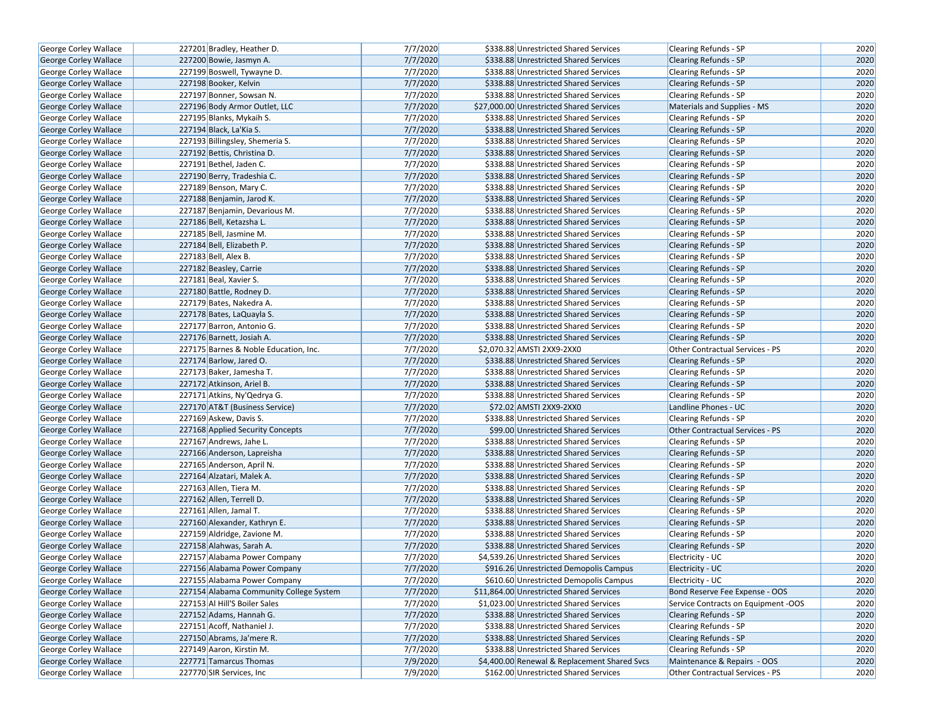| George Corley Wallace        | 227201 Bradley, Heather D.              | 7/7/2020 | \$338.88 Unrestricted Shared Services        | Clearing Refunds - SP               | 2020 |
|------------------------------|-----------------------------------------|----------|----------------------------------------------|-------------------------------------|------|
| George Corley Wallace        | 227200 Bowie, Jasmyn A.                 | 7/7/2020 | \$338.88 Unrestricted Shared Services        | <b>Clearing Refunds - SP</b>        | 2020 |
| George Corley Wallace        | 227199 Boswell, Tywayne D.              | 7/7/2020 | \$338.88 Unrestricted Shared Services        | Clearing Refunds - SP               | 2020 |
| <b>George Corley Wallace</b> | 227198 Booker, Kelvin                   | 7/7/2020 | \$338.88 Unrestricted Shared Services        | <b>Clearing Refunds - SP</b>        | 2020 |
| George Corley Wallace        | 227197 Bonner, Sowsan N.                | 7/7/2020 | \$338.88 Unrestricted Shared Services        | Clearing Refunds - SP               | 2020 |
| George Corley Wallace        | 227196 Body Armor Outlet, LLC           | 7/7/2020 | \$27,000.00 Unrestricted Shared Services     | Materials and Supplies - MS         | 2020 |
| George Corley Wallace        | 227195 Blanks, Mykaih S.                | 7/7/2020 | \$338.88 Unrestricted Shared Services        | Clearing Refunds - SP               | 2020 |
| <b>George Corley Wallace</b> | 227194 Black, La'Kia S.                 | 7/7/2020 | \$338.88 Unrestricted Shared Services        | <b>Clearing Refunds - SP</b>        | 2020 |
| George Corley Wallace        | 227193 Billingsley, Shemeria S.         | 7/7/2020 | \$338.88 Unrestricted Shared Services        | Clearing Refunds - SP               | 2020 |
| George Corley Wallace        | 227192 Bettis, Christina D.             | 7/7/2020 | \$338.88 Unrestricted Shared Services        | <b>Clearing Refunds - SP</b>        | 2020 |
| George Corley Wallace        | 227191 Bethel, Jaden C.                 | 7/7/2020 | \$338.88 Unrestricted Shared Services        | Clearing Refunds - SP               | 2020 |
| George Corley Wallace        | 227190 Berry, Tradeshia C.              | 7/7/2020 | \$338.88 Unrestricted Shared Services        | <b>Clearing Refunds - SP</b>        | 2020 |
| George Corley Wallace        | 227189 Benson, Mary C.                  | 7/7/2020 | \$338.88 Unrestricted Shared Services        | <b>Clearing Refunds - SP</b>        | 2020 |
| George Corley Wallace        | 227188 Benjamin, Jarod K.               | 7/7/2020 | \$338.88 Unrestricted Shared Services        | <b>Clearing Refunds - SP</b>        | 2020 |
| George Corley Wallace        | 227187 Benjamin, Devarious M.           | 7/7/2020 | \$338.88 Unrestricted Shared Services        | Clearing Refunds - SP               | 2020 |
| George Corley Wallace        | 227186 Bell, Ketazsha L.                | 7/7/2020 | \$338.88 Unrestricted Shared Services        | <b>Clearing Refunds - SP</b>        | 2020 |
| George Corley Wallace        | 227185 Bell, Jasmine M.                 | 7/7/2020 | \$338.88 Unrestricted Shared Services        | Clearing Refunds - SP               | 2020 |
| George Corley Wallace        | 227184 Bell, Elizabeth P.               | 7/7/2020 | \$338.88 Unrestricted Shared Services        | <b>Clearing Refunds - SP</b>        | 2020 |
| George Corley Wallace        | 227183 Bell, Alex B.                    | 7/7/2020 | \$338.88 Unrestricted Shared Services        | Clearing Refunds - SP               | 2020 |
| George Corley Wallace        | 227182 Beasley, Carrie                  | 7/7/2020 | \$338.88 Unrestricted Shared Services        | <b>Clearing Refunds - SP</b>        | 2020 |
| George Corley Wallace        | 227181 Beal, Xavier S.                  | 7/7/2020 | \$338.88 Unrestricted Shared Services        | <b>Clearing Refunds - SP</b>        | 2020 |
| <b>George Corley Wallace</b> | 227180 Battle, Rodney D.                | 7/7/2020 | \$338.88 Unrestricted Shared Services        | <b>Clearing Refunds - SP</b>        | 2020 |
| George Corley Wallace        | 227179 Bates, Nakedra A.                | 7/7/2020 | \$338.88 Unrestricted Shared Services        | Clearing Refunds - SP               | 2020 |
| George Corley Wallace        | 227178 Bates, LaQuayla S.               | 7/7/2020 | \$338.88 Unrestricted Shared Services        | <b>Clearing Refunds - SP</b>        | 2020 |
| George Corley Wallace        | 227177 Barron, Antonio G.               | 7/7/2020 | \$338.88 Unrestricted Shared Services        | <b>Clearing Refunds - SP</b>        | 2020 |
| George Corley Wallace        | 227176 Barnett, Josiah A.               | 7/7/2020 | \$338.88 Unrestricted Shared Services        | <b>Clearing Refunds - SP</b>        | 2020 |
| George Corley Wallace        | 227175 Barnes & Noble Education, Inc.   | 7/7/2020 | \$2,070.32 AMSTI 2XX9-2XX0                   | Other Contractual Services - PS     | 2020 |
| <b>George Corley Wallace</b> | 227174 Barlow, Jared O.                 | 7/7/2020 | \$338.88 Unrestricted Shared Services        | <b>Clearing Refunds - SP</b>        | 2020 |
| George Corley Wallace        | 227173 Baker, Jamesha T.                | 7/7/2020 | \$338.88 Unrestricted Shared Services        | Clearing Refunds - SP               | 2020 |
| George Corley Wallace        | 227172 Atkinson, Ariel B.               | 7/7/2020 | \$338.88 Unrestricted Shared Services        | <b>Clearing Refunds - SP</b>        | 2020 |
| George Corley Wallace        | 227171 Atkins, Ny'Qedrya G.             | 7/7/2020 | \$338.88 Unrestricted Shared Services        | Clearing Refunds - SP               | 2020 |
| George Corley Wallace        | 227170 AT&T (Business Service)          | 7/7/2020 | \$72.02 AMSTI 2XX9-2XX0                      | Landline Phones - UC                | 2020 |
| George Corley Wallace        | 227169 Askew, Davis S.                  | 7/7/2020 | \$338.88 Unrestricted Shared Services        | <b>Clearing Refunds - SP</b>        | 2020 |
| George Corley Wallace        | 227168 Applied Security Concepts        | 7/7/2020 | \$99.00 Unrestricted Shared Services         | Other Contractual Services - PS     | 2020 |
| George Corley Wallace        | 227167 Andrews, Jahe L.                 | 7/7/2020 | \$338.88 Unrestricted Shared Services        | Clearing Refunds - SP               | 2020 |
| George Corley Wallace        | 227166 Anderson, Lapreisha              | 7/7/2020 | \$338.88 Unrestricted Shared Services        | <b>Clearing Refunds - SP</b>        | 2020 |
| George Corley Wallace        | 227165 Anderson, April N.               | 7/7/2020 | \$338.88 Unrestricted Shared Services        | Clearing Refunds - SP               | 2020 |
| George Corley Wallace        | 227164 Alzatari, Malek A.               | 7/7/2020 | \$338.88 Unrestricted Shared Services        | <b>Clearing Refunds - SP</b>        | 2020 |
| George Corley Wallace        | 227163 Allen, Tiera M.                  | 7/7/2020 | \$338.88 Unrestricted Shared Services        | Clearing Refunds - SP               | 2020 |
| George Corley Wallace        | 227162 Allen, Terrell D.                | 7/7/2020 | \$338.88 Unrestricted Shared Services        | <b>Clearing Refunds - SP</b>        | 2020 |
| George Corley Wallace        | 227161 Allen, Jamal T.                  | 7/7/2020 | \$338.88 Unrestricted Shared Services        | <b>Clearing Refunds - SP</b>        | 2020 |
| George Corley Wallace        | 227160 Alexander, Kathryn E.            | 7/7/2020 | \$338.88 Unrestricted Shared Services        | <b>Clearing Refunds - SP</b>        | 2020 |
| George Corley Wallace        | 227159 Aldridge, Zavione M.             | 7/7/2020 | \$338.88 Unrestricted Shared Services        | Clearing Refunds - SP               | 2020 |
| George Corley Wallace        | 227158 Alahwas, Sarah A.                | 7/7/2020 | \$338.88 Unrestricted Shared Services        | Clearing Refunds - SP               | 2020 |
| George Corley Wallace        | 227157 Alabama Power Company            | 7/7/2020 | \$4,539.26 Unrestricted Shared Services      | Electricity - UC                    | 2020 |
| George Corley Wallace        | 227156 Alabama Power Company            | 7/7/2020 | \$916.26 Unrestricted Demopolis Campus       | Electricity - UC                    | 2020 |
| George Corley Wallace        | 227155 Alabama Power Company            | 7/7/2020 | \$610.60 Unrestricted Demopolis Campus       | Electricity - UC                    | 2020 |
| George Corley Wallace        | 227154 Alabama Community College System | 7/7/2020 | \$11,864.00 Unrestricted Shared Services     | Bond Reserve Fee Expense - OOS      | 2020 |
| George Corley Wallace        | 227153 Al Hill'S Boiler Sales           | 7/7/2020 | \$1,023.00 Unrestricted Shared Services      | Service Contracts on Equipment -OOS | 2020 |
| <b>George Corley Wallace</b> | 227152 Adams, Hannah G.                 | 7/7/2020 | \$338.88 Unrestricted Shared Services        | <b>Clearing Refunds - SP</b>        | 2020 |
| George Corley Wallace        | 227151 Acoff, Nathaniel J.              | 7/7/2020 | \$338.88 Unrestricted Shared Services        | Clearing Refunds - SP               | 2020 |
| George Corley Wallace        | 227150 Abrams, Ja'mere R.               | 7/7/2020 | \$338.88 Unrestricted Shared Services        | <b>Clearing Refunds - SP</b>        | 2020 |
| George Corley Wallace        | 227149 Aaron, Kirstin M.                | 7/7/2020 | \$338.88 Unrestricted Shared Services        | Clearing Refunds - SP               | 2020 |
| George Corley Wallace        | 227771 Tamarcus Thomas                  | 7/9/2020 | \$4,400.00 Renewal & Replacement Shared Svcs | Maintenance & Repairs - OOS         | 2020 |
| George Corley Wallace        | 227770 SIR Services, Inc.               | 7/9/2020 | \$162.00 Unrestricted Shared Services        | Other Contractual Services - PS     | 2020 |
|                              |                                         |          |                                              |                                     |      |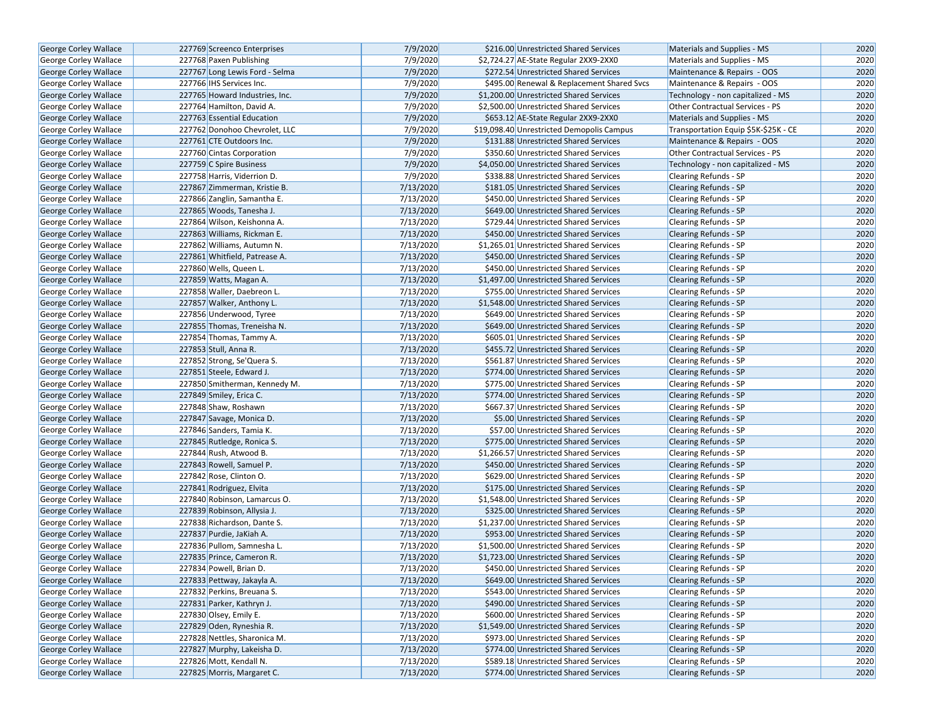| <b>George Corley Wallace</b> | 227769 Screenco Enterprises    | 7/9/2020  | \$216.00 Unrestricted Shared Services      | Materials and Supplies - MS          | 2020 |
|------------------------------|--------------------------------|-----------|--------------------------------------------|--------------------------------------|------|
| George Corley Wallace        | 227768 Paxen Publishing        | 7/9/2020  | \$2,724.27 AE-State Regular 2XX9-2XX0      | Materials and Supplies - MS          | 2020 |
| <b>George Corley Wallace</b> | 227767 Long Lewis Ford - Selma | 7/9/2020  | \$272.54 Unrestricted Shared Services      | Maintenance & Repairs - OOS          | 2020 |
| George Corley Wallace        | 227766 IHS Services Inc.       | 7/9/2020  | \$495.00 Renewal & Replacement Shared Svcs | Maintenance & Repairs - OOS          | 2020 |
| <b>George Corley Wallace</b> | 227765 Howard Industries, Inc. | 7/9/2020  | \$1,200.00 Unrestricted Shared Services    | Technology - non capitalized - MS    | 2020 |
| George Corley Wallace        | 227764 Hamilton, David A.      | 7/9/2020  | \$2,500.00 Unrestricted Shared Services    | Other Contractual Services - PS      | 2020 |
| George Corley Wallace        | 227763 Essential Education     | 7/9/2020  | \$653.12 AE-State Regular 2XX9-2XX0        | <b>Materials and Supplies - MS</b>   | 2020 |
| George Corley Wallace        | 227762 Donohoo Chevrolet. LLC  | 7/9/2020  | \$19,098.40 Unrestricted Demopolis Campus  | Transportation Equip \$5K-\$25K - CE | 2020 |
| George Corley Wallace        | 227761 CTE Outdoors Inc.       | 7/9/2020  | \$131.88 Unrestricted Shared Services      | Maintenance & Repairs - OOS          | 2020 |
| George Corley Wallace        | 227760 Cintas Corporation      | 7/9/2020  | \$350.60 Unrestricted Shared Services      | Other Contractual Services - PS      | 2020 |
| George Corley Wallace        | 227759 C Spire Business        | 7/9/2020  | \$4,050.00 Unrestricted Shared Services    | Technology - non capitalized - MS    | 2020 |
| George Corley Wallace        | 227758 Harris, Viderrion D.    | 7/9/2020  | \$338.88 Unrestricted Shared Services      | Clearing Refunds - SP                | 2020 |
| George Corley Wallace        | 227867 Zimmerman, Kristie B.   | 7/13/2020 | \$181.05 Unrestricted Shared Services      | <b>Clearing Refunds - SP</b>         | 2020 |
| George Corley Wallace        | 227866 Zanglin, Samantha E.    | 7/13/2020 | \$450.00 Unrestricted Shared Services      | Clearing Refunds - SP                | 2020 |
| George Corley Wallace        | 227865 Woods, Tanesha J.       | 7/13/2020 | \$649.00 Unrestricted Shared Services      | <b>Clearing Refunds - SP</b>         | 2020 |
| George Corley Wallace        | 227864 Wilson, Keishonna A.    | 7/13/2020 | \$729.44 Unrestricted Shared Services      | <b>Clearing Refunds - SP</b>         | 2020 |
| George Corley Wallace        | 227863 Williams, Rickman E.    | 7/13/2020 | \$450.00 Unrestricted Shared Services      | <b>Clearing Refunds - SP</b>         | 2020 |
| <b>George Corley Wallace</b> | 227862 Williams, Autumn N.     | 7/13/2020 | \$1,265.01 Unrestricted Shared Services    | <b>Clearing Refunds - SP</b>         | 2020 |
| George Corley Wallace        | 227861 Whitfield, Patrease A.  | 7/13/2020 | \$450.00 Unrestricted Shared Services      | <b>Clearing Refunds - SP</b>         | 2020 |
| George Corley Wallace        | 227860 Wells, Queen L.         | 7/13/2020 | \$450.00 Unrestricted Shared Services      | <b>Clearing Refunds - SP</b>         | 2020 |
| George Corley Wallace        | 227859 Watts, Magan A.         | 7/13/2020 | \$1,497.00 Unrestricted Shared Services    | <b>Clearing Refunds - SP</b>         | 2020 |
| <b>George Corley Wallace</b> | 227858 Waller, Daebreon L.     | 7/13/2020 | \$755.00 Unrestricted Shared Services      | Clearing Refunds - SP                | 2020 |
| <b>George Corley Wallace</b> | 227857 Walker, Anthony L.      | 7/13/2020 | \$1,548.00 Unrestricted Shared Services    | <b>Clearing Refunds - SP</b>         | 2020 |
| <b>George Corley Wallace</b> | 227856 Underwood, Tyree        | 7/13/2020 | \$649.00 Unrestricted Shared Services      | <b>Clearing Refunds - SP</b>         | 2020 |
| George Corley Wallace        | 227855 Thomas, Treneisha N.    | 7/13/2020 | \$649.00 Unrestricted Shared Services      | <b>Clearing Refunds - SP</b>         | 2020 |
| <b>George Corley Wallace</b> | 227854 Thomas, Tammy A.        | 7/13/2020 | \$605.01 Unrestricted Shared Services      | Clearing Refunds - SP                | 2020 |
| George Corley Wallace        | 227853 Stull, Anna R.          | 7/13/2020 | \$455.72 Unrestricted Shared Services      | Clearing Refunds - SP                | 2020 |
| George Corley Wallace        | 227852 Strong, Se'Quera S.     | 7/13/2020 | \$561.87 Unrestricted Shared Services      | <b>Clearing Refunds - SP</b>         | 2020 |
| George Corley Wallace        | 227851 Steele, Edward J.       | 7/13/2020 | \$774.00 Unrestricted Shared Services      | <b>Clearing Refunds - SP</b>         | 2020 |
| George Corley Wallace        | 227850 Smitherman, Kennedy M.  | 7/13/2020 | \$775.00 Unrestricted Shared Services      | Clearing Refunds - SP                | 2020 |
| <b>George Corley Wallace</b> | 227849 Smiley, Erica C.        | 7/13/2020 | \$774.00 Unrestricted Shared Services      | <b>Clearing Refunds - SP</b>         | 2020 |
| <b>George Corley Wallace</b> | 227848 Shaw, Roshawn           | 7/13/2020 | \$667.37 Unrestricted Shared Services      | <b>Clearing Refunds - SP</b>         | 2020 |
| <b>George Corley Wallace</b> | 227847 Savage, Monica D.       | 7/13/2020 | \$5.00 Unrestricted Shared Services        | <b>Clearing Refunds - SP</b>         | 2020 |
| <b>George Corley Wallace</b> | 227846 Sanders, Tamia K.       | 7/13/2020 | \$57.00 Unrestricted Shared Services       | Clearing Refunds - SP                | 2020 |
| George Corley Wallace        | 227845 Rutledge, Ronica S.     | 7/13/2020 | \$775.00 Unrestricted Shared Services      | <b>Clearing Refunds - SP</b>         | 2020 |
| George Corley Wallace        | 227844 Rush, Atwood B.         | 7/13/2020 | \$1,266.57 Unrestricted Shared Services    | Clearing Refunds - SP                | 2020 |
| <b>George Corley Wallace</b> | 227843 Rowell, Samuel P.       | 7/13/2020 | \$450.00 Unrestricted Shared Services      | <b>Clearing Refunds - SP</b>         | 2020 |
| George Corley Wallace        | 227842 Rose, Clinton O.        | 7/13/2020 | \$629.00 Unrestricted Shared Services      | Clearing Refunds - SP                | 2020 |
| George Corley Wallace        | 227841 Rodriguez, Elvita       | 7/13/2020 | \$175.00 Unrestricted Shared Services      | <b>Clearing Refunds - SP</b>         | 2020 |
| George Corley Wallace        | 227840 Robinson, Lamarcus O.   | 7/13/2020 | \$1,548.00 Unrestricted Shared Services    | Clearing Refunds - SP                | 2020 |
| George Corley Wallace        | 227839 Robinson, Allysia J.    | 7/13/2020 | \$325.00 Unrestricted Shared Services      | <b>Clearing Refunds - SP</b>         | 2020 |
| <b>George Corley Wallace</b> | 227838 Richardson, Dante S.    | 7/13/2020 | \$1,237.00 Unrestricted Shared Services    | Clearing Refunds - SP                | 2020 |
| George Corley Wallace        | 227837 Purdie, JaKiah A.       | 7/13/2020 | \$953.00 Unrestricted Shared Services      | Clearing Refunds - SP                | 2020 |
| George Corley Wallace        | 227836 Pullom, Samnesha L.     | 7/13/2020 | \$1,500.00 Unrestricted Shared Services    | Clearing Refunds - SP                | 2020 |
| George Corley Wallace        | 227835 Prince, Cameron R.      | 7/13/2020 | \$1,723.00 Unrestricted Shared Services    | <b>Clearing Refunds - SP</b>         | 2020 |
| George Corley Wallace        | 227834 Powell, Brian D.        | 7/13/2020 | \$450.00 Unrestricted Shared Services      | Clearing Refunds - SP                | 2020 |
| George Corley Wallace        | 227833 Pettway, Jakayla A.     | 7/13/2020 | \$649.00 Unrestricted Shared Services      | <b>Clearing Refunds - SP</b>         | 2020 |
| George Corley Wallace        | 227832 Perkins, Breuana S.     | 7/13/2020 | \$543.00 Unrestricted Shared Services      | Clearing Refunds - SP                | 2020 |
| George Corley Wallace        | 227831 Parker, Kathryn J.      | 7/13/2020 | \$490.00 Unrestricted Shared Services      | <b>Clearing Refunds - SP</b>         | 2020 |
| George Corley Wallace        | 227830 Olsey, Emily E.         | 7/13/2020 | \$600.00 Unrestricted Shared Services      | Clearing Refunds - SP                | 2020 |
| George Corley Wallace        | 227829 Oden, Ryneshia R.       | 7/13/2020 | \$1,549.00 Unrestricted Shared Services    | Clearing Refunds - SP                | 2020 |
| George Corley Wallace        | 227828 Nettles, Sharonica M.   | 7/13/2020 | \$973.00 Unrestricted Shared Services      | Clearing Refunds - SP                | 2020 |
| George Corley Wallace        | 227827 Murphy, Lakeisha D.     | 7/13/2020 | \$774.00 Unrestricted Shared Services      | <b>Clearing Refunds - SP</b>         | 2020 |
| George Corley Wallace        | 227826 Mott, Kendall N.        | 7/13/2020 | \$589.18 Unrestricted Shared Services      | Clearing Refunds - SP                | 2020 |
| <b>George Corley Wallace</b> | 227825 Morris, Margaret C.     | 7/13/2020 | \$774.00 Unrestricted Shared Services      | Clearing Refunds - SP                | 2020 |
|                              |                                |           |                                            |                                      |      |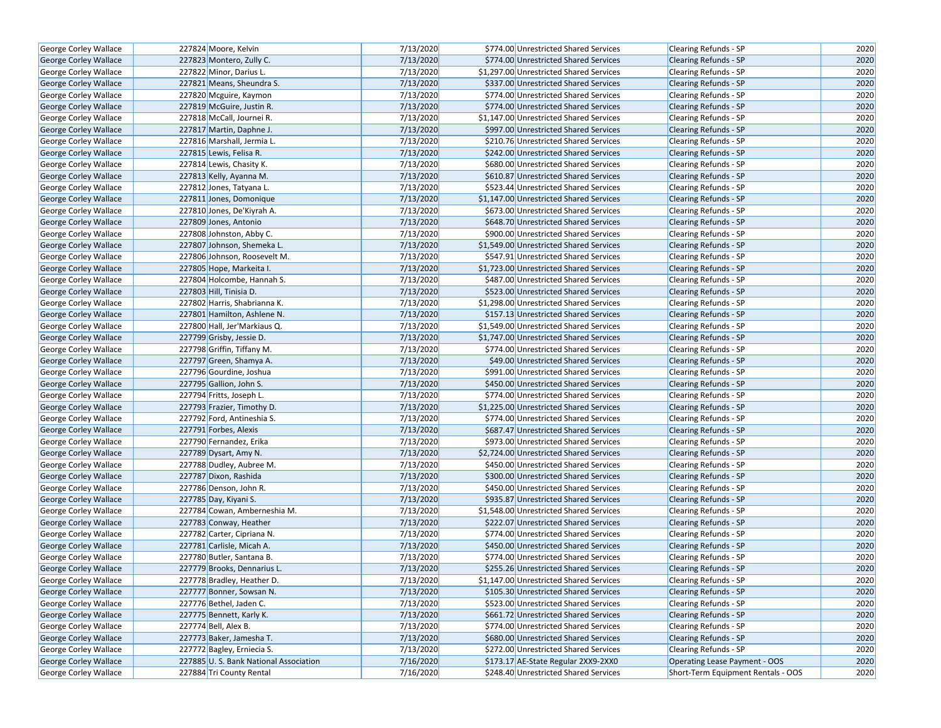| George Corley Wallace        | 227824 Moore, Kelvin                  | 7/13/2020 | \$774.00 Unrestricted Shared Services   | Clearing Refunds - SP              | 2020 |
|------------------------------|---------------------------------------|-----------|-----------------------------------------|------------------------------------|------|
| <b>George Corley Wallace</b> | 227823 Montero, Zully C.              | 7/13/2020 | \$774.00 Unrestricted Shared Services   | <b>Clearing Refunds - SP</b>       | 2020 |
| George Corley Wallace        | 227822 Minor, Darius L.               | 7/13/2020 | \$1,297.00 Unrestricted Shared Services | Clearing Refunds - SP              | 2020 |
| George Corley Wallace        | 227821 Means, Sheundra S.             | 7/13/2020 | \$337.00 Unrestricted Shared Services   | <b>Clearing Refunds - SP</b>       | 2020 |
| George Corley Wallace        | 227820 Mcguire, Kaymon                | 7/13/2020 | \$774.00 Unrestricted Shared Services   | Clearing Refunds - SP              | 2020 |
| George Corley Wallace        | 227819 McGuire, Justin R.             | 7/13/2020 | \$774.00 Unrestricted Shared Services   | <b>Clearing Refunds - SP</b>       | 2020 |
| George Corley Wallace        | 227818 McCall, Journei R.             | 7/13/2020 | \$1,147.00 Unrestricted Shared Services | Clearing Refunds - SP              | 2020 |
| <b>George Corley Wallace</b> | 227817 Martin, Daphne J.              | 7/13/2020 | \$997.00 Unrestricted Shared Services   | <b>Clearing Refunds - SP</b>       | 2020 |
| George Corley Wallace        | 227816 Marshall, Jermia L.            | 7/13/2020 | \$210.76 Unrestricted Shared Services   | Clearing Refunds - SP              | 2020 |
| George Corley Wallace        | 227815 Lewis, Felisa R.               | 7/13/2020 | \$242.00 Unrestricted Shared Services   | <b>Clearing Refunds - SP</b>       | 2020 |
| George Corley Wallace        | 227814 Lewis, Chasity K.              | 7/13/2020 | \$680.00 Unrestricted Shared Services   | <b>Clearing Refunds - SP</b>       | 2020 |
| George Corley Wallace        | 227813 Kelly, Ayanna M.               | 7/13/2020 | \$610.87 Unrestricted Shared Services   | <b>Clearing Refunds - SP</b>       | 2020 |
| George Corley Wallace        | 227812 Jones, Tatyana L.              | 7/13/2020 | \$523.44 Unrestricted Shared Services   | <b>Clearing Refunds - SP</b>       | 2020 |
| George Corley Wallace        | 227811 Jones, Domonique               | 7/13/2020 | \$1,147.00 Unrestricted Shared Services | <b>Clearing Refunds - SP</b>       | 2020 |
| <b>George Corley Wallace</b> | 227810 Jones, De'Kiyrah A.            | 7/13/2020 | \$673.00 Unrestricted Shared Services   | Clearing Refunds - SP              | 2020 |
| George Corley Wallace        | 227809 Jones, Antonio                 | 7/13/2020 | \$648.70 Unrestricted Shared Services   | <b>Clearing Refunds - SP</b>       | 2020 |
| George Corley Wallace        | 227808 Johnston, Abby C.              | 7/13/2020 | \$900.00 Unrestricted Shared Services   | Clearing Refunds - SP              | 2020 |
| George Corley Wallace        | 227807 Johnson, Shemeka L.            | 7/13/2020 | \$1,549.00 Unrestricted Shared Services | <b>Clearing Refunds - SP</b>       | 2020 |
| George Corley Wallace        | 227806 Johnson, Roosevelt M.          | 7/13/2020 | \$547.91 Unrestricted Shared Services   | Clearing Refunds - SP              | 2020 |
| George Corley Wallace        | 227805 Hope, Markeita I.              | 7/13/2020 | \$1,723.00 Unrestricted Shared Services | <b>Clearing Refunds - SP</b>       | 2020 |
| George Corley Wallace        | 227804 Holcombe, Hannah S.            | 7/13/2020 | \$487.00 Unrestricted Shared Services   | <b>Clearing Refunds - SP</b>       | 2020 |
| George Corley Wallace        | 227803 Hill, Tinisia D.               | 7/13/2020 | \$523.00 Unrestricted Shared Services   | <b>Clearing Refunds - SP</b>       | 2020 |
| George Corley Wallace        | 227802 Harris, Shabrianna K.          | 7/13/2020 | \$1,298.00 Unrestricted Shared Services | <b>Clearing Refunds - SP</b>       | 2020 |
| George Corley Wallace        | 227801 Hamilton, Ashlene N.           | 7/13/2020 | \$157.13 Unrestricted Shared Services   | <b>Clearing Refunds - SP</b>       | 2020 |
| George Corley Wallace        | 227800 Hall, Jer'Markiaus Q.          | 7/13/2020 | \$1,549.00 Unrestricted Shared Services | <b>Clearing Refunds - SP</b>       | 2020 |
| George Corley Wallace        | 227799 Grisby, Jessie D.              | 7/13/2020 | \$1,747.00 Unrestricted Shared Services | <b>Clearing Refunds - SP</b>       | 2020 |
| George Corley Wallace        | 227798 Griffin, Tiffany M.            | 7/13/2020 | \$774.00 Unrestricted Shared Services   | Clearing Refunds - SP              | 2020 |
| George Corley Wallace        | 227797 Green, Shamya A.               | 7/13/2020 | \$49.00 Unrestricted Shared Services    | <b>Clearing Refunds - SP</b>       | 2020 |
| George Corley Wallace        | 227796 Gourdine, Joshua               | 7/13/2020 | \$991.00 Unrestricted Shared Services   | <b>Clearing Refunds - SP</b>       | 2020 |
| George Corley Wallace        | 227795 Gallion, John S.               | 7/13/2020 | \$450.00 Unrestricted Shared Services   | <b>Clearing Refunds - SP</b>       | 2020 |
| George Corley Wallace        | 227794 Fritts, Joseph L.              | 7/13/2020 | \$774.00 Unrestricted Shared Services   | Clearing Refunds - SP              | 2020 |
| George Corley Wallace        | 227793 Frazier, Timothy D.            | 7/13/2020 | \$1,225.00 Unrestricted Shared Services | <b>Clearing Refunds - SP</b>       | 2020 |
| George Corley Wallace        | 227792 Ford, Antineshia S.            | 7/13/2020 | \$774.00 Unrestricted Shared Services   | Clearing Refunds - SP              | 2020 |
| George Corley Wallace        | 227791 Forbes, Alexis                 | 7/13/2020 | \$687.47 Unrestricted Shared Services   | <b>Clearing Refunds - SP</b>       | 2020 |
| George Corley Wallace        | 227790 Fernandez, Erika               | 7/13/2020 | \$973.00 Unrestricted Shared Services   | Clearing Refunds - SP              | 2020 |
| George Corley Wallace        | 227789 Dysart, Amy N.                 | 7/13/2020 | \$2,724.00 Unrestricted Shared Services | <b>Clearing Refunds - SP</b>       | 2020 |
| George Corley Wallace        | 227788 Dudley, Aubree M.              | 7/13/2020 | \$450.00 Unrestricted Shared Services   | Clearing Refunds - SP              | 2020 |
| George Corley Wallace        | 227787 Dixon, Rashida                 | 7/13/2020 | \$300.00 Unrestricted Shared Services   | <b>Clearing Refunds - SP</b>       | 2020 |
| George Corley Wallace        | 227786 Denson, John R.                | 7/13/2020 | \$450.00 Unrestricted Shared Services   | Clearing Refunds - SP              | 2020 |
| George Corley Wallace        | 227785 Day, Kiyani S.                 | 7/13/2020 | \$935.87 Unrestricted Shared Services   | <b>Clearing Refunds - SP</b>       | 2020 |
| George Corley Wallace        | 227784 Cowan, Amberneshia M.          | 7/13/2020 | \$1,548.00 Unrestricted Shared Services | <b>Clearing Refunds - SP</b>       | 2020 |
| George Corley Wallace        | 227783 Conway, Heather                | 7/13/2020 | \$222.07 Unrestricted Shared Services   | <b>Clearing Refunds - SP</b>       | 2020 |
| George Corley Wallace        | 227782 Carter, Cipriana N.            | 7/13/2020 | \$774.00 Unrestricted Shared Services   | Clearing Refunds - SP              | 2020 |
| George Corley Wallace        | 227781 Carlisle, Micah A.             | 7/13/2020 | \$450.00 Unrestricted Shared Services   | Clearing Refunds - SP              | 2020 |
| George Corley Wallace        | 227780 Butler, Santana B.             | 7/13/2020 | \$774.00 Unrestricted Shared Services   | <b>Clearing Refunds - SP</b>       | 2020 |
| George Corley Wallace        | 227779 Brooks, Dennarius L.           | 7/13/2020 | \$255.26 Unrestricted Shared Services   | <b>Clearing Refunds - SP</b>       | 2020 |
| George Corley Wallace        | 227778 Bradley, Heather D.            | 7/13/2020 | \$1,147.00 Unrestricted Shared Services | Clearing Refunds - SP              | 2020 |
| George Corley Wallace        | 227777 Bonner, Sowsan N.              | 7/13/2020 | \$105.30 Unrestricted Shared Services   | <b>Clearing Refunds - SP</b>       | 2020 |
| George Corley Wallace        | 227776 Bethel, Jaden C.               | 7/13/2020 | \$523.00 Unrestricted Shared Services   | Clearing Refunds - SP              | 2020 |
| <b>George Corley Wallace</b> | 227775 Bennett, Karly K.              | 7/13/2020 | \$661.72 Unrestricted Shared Services   | <b>Clearing Refunds - SP</b>       | 2020 |
| George Corley Wallace        | 227774 Bell, Alex B.                  | 7/13/2020 | \$774.00 Unrestricted Shared Services   | Clearing Refunds - SP              | 2020 |
| George Corley Wallace        | 227773 Baker, Jamesha T.              | 7/13/2020 | \$680.00 Unrestricted Shared Services   | Clearing Refunds - SP              | 2020 |
| George Corley Wallace        | 227772 Bagley, Erniecia S.            | 7/13/2020 | \$272.00 Unrestricted Shared Services   | Clearing Refunds - SP              | 2020 |
| George Corley Wallace        | 227885 U.S. Bank National Association | 7/16/2020 | \$173.17 AE-State Regular 2XX9-2XX0     | Operating Lease Payment - OOS      | 2020 |
| George Corley Wallace        | 227884 Tri County Rental              | 7/16/2020 | \$248.40 Unrestricted Shared Services   | Short-Term Equipment Rentals - OOS | 2020 |
|                              |                                       |           |                                         |                                    |      |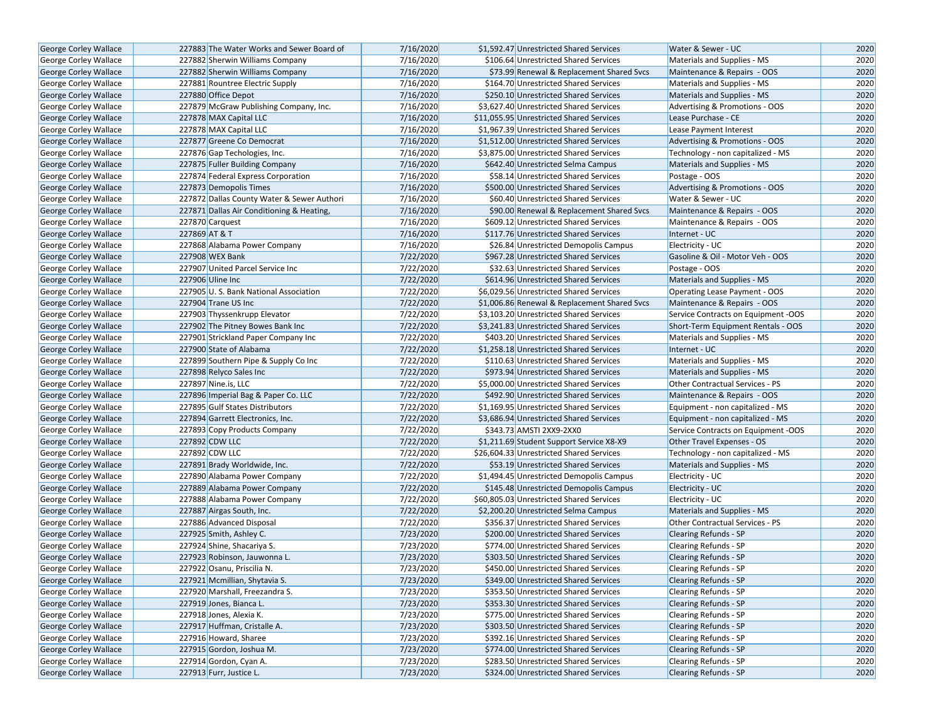| <b>George Corley Wallace</b>                          | 227883 The Water Works and Sewer Board of                           | 7/16/2020              | \$1,592.47 Unrestricted Shared Services                                        | Water & Sewer - UC                  | 2020         |
|-------------------------------------------------------|---------------------------------------------------------------------|------------------------|--------------------------------------------------------------------------------|-------------------------------------|--------------|
| George Corley Wallace                                 | 227882 Sherwin Williams Company                                     | 7/16/2020              | \$106.64 Unrestricted Shared Services                                          | Materials and Supplies - MS         | 2020         |
| <b>George Corley Wallace</b>                          | 227882 Sherwin Williams Company                                     | 7/16/2020              | \$73.99 Renewal & Replacement Shared Svcs                                      | Maintenance & Repairs - OOS         | 2020         |
| George Corley Wallace                                 | 227881 Rountree Electric Supply                                     | 7/16/2020              | \$164.70 Unrestricted Shared Services                                          | Materials and Supplies - MS         | 2020         |
| George Corley Wallace                                 | 227880 Office Depot                                                 | 7/16/2020              | \$250.10 Unrestricted Shared Services                                          | Materials and Supplies - MS         | 2020         |
| George Corley Wallace                                 | 227879 McGraw Publishing Company, Inc.                              | 7/16/2020              | \$3,627.40 Unrestricted Shared Services                                        | Advertising & Promotions - OOS      | 2020         |
| George Corley Wallace                                 | 227878 MAX Capital LLC                                              | 7/16/2020              | \$11,055.95 Unrestricted Shared Services                                       | Lease Purchase - CE                 | 2020         |
| George Corley Wallace                                 | 227878 MAX Capital LLC                                              | 7/16/2020              | \$1.967.39 Unrestricted Shared Services                                        | Lease Payment Interest              | 2020         |
| George Corley Wallace                                 | 227877 Greene Co Democrat                                           | 7/16/2020              | \$1,512.00 Unrestricted Shared Services                                        | Advertising & Promotions - OOS      | 2020         |
| George Corley Wallace                                 | 227876 Gap Techologies, Inc.                                        | 7/16/2020              | \$3,875.00 Unrestricted Shared Services                                        | Technology - non capitalized - MS   | 2020         |
| <b>George Corley Wallace</b>                          | 227875 Fuller Building Company                                      | 7/16/2020              | \$642.40 Unrestricted Selma Campus                                             | Materials and Supplies - MS         | 2020         |
| George Corley Wallace                                 | 227874 Federal Express Corporation                                  | 7/16/2020              | \$58.14 Unrestricted Shared Services                                           | Postage - OOS                       | 2020         |
| George Corley Wallace                                 | 227873 Demopolis Times                                              | 7/16/2020              | \$500.00 Unrestricted Shared Services                                          | Advertising & Promotions - OOS      | 2020         |
| George Corley Wallace                                 | 227872 Dallas County Water & Sewer Authori                          | 7/16/2020              | \$60.40 Unrestricted Shared Services                                           | Water & Sewer - UC                  | 2020         |
| George Corley Wallace                                 | 227871 Dallas Air Conditioning & Heating,                           | 7/16/2020              | \$90.00 Renewal & Replacement Shared Svcs                                      | Maintenance & Repairs - OOS         | 2020         |
| George Corley Wallace                                 | 227870 Carquest                                                     | 7/16/2020              | \$609.12 Unrestricted Shared Services                                          | Maintenance & Repairs - OOS         | 2020         |
| George Corley Wallace                                 | 227869 AT & T                                                       | 7/16/2020              | \$117.76 Unrestricted Shared Services                                          | Internet - UC                       | 2020         |
| George Corley Wallace                                 | 227868 Alabama Power Company                                        | 7/16/2020              | \$26.84 Unrestricted Demopolis Campus                                          | Electricity - UC                    | 2020         |
| George Corley Wallace                                 | 227908 WEX Bank                                                     | 7/22/2020              | \$967.28 Unrestricted Shared Services                                          | Gasoline & Oil - Motor Veh - OOS    | 2020         |
| George Corley Wallace                                 | 227907 United Parcel Service Inc                                    | 7/22/2020              | \$32.63 Unrestricted Shared Services                                           | Postage - OOS                       | 2020         |
| George Corley Wallace                                 | 227906 Uline Inc                                                    | 7/22/2020              | \$614.96 Unrestricted Shared Services                                          | Materials and Supplies - MS         | 2020         |
| George Corley Wallace                                 | 227905 U.S. Bank National Association                               | 7/22/2020              | \$6,029.56 Unrestricted Shared Services                                        | Operating Lease Payment - OOS       | 2020         |
| George Corley Wallace                                 | 227904 Trane US Inc                                                 | 7/22/2020              | \$1,006.86 Renewal & Replacement Shared Svcs                                   | Maintenance & Repairs - OOS         | 2020         |
| George Corley Wallace                                 | 227903 Thyssenkrupp Elevator                                        | 7/22/2020              | \$3,103.20 Unrestricted Shared Services                                        | Service Contracts on Equipment -OOS | 2020         |
| George Corley Wallace                                 | 227902 The Pitney Bowes Bank Inc                                    | 7/22/2020              | \$3,241.83 Unrestricted Shared Services                                        | Short-Term Equipment Rentals - OOS  | 2020         |
| <b>George Corley Wallace</b>                          | 227901 Strickland Paper Company Inc                                 | 7/22/2020              | \$403.20 Unrestricted Shared Services                                          |                                     | 2020         |
|                                                       |                                                                     | 7/22/2020              |                                                                                | Materials and Supplies - MS         | 2020         |
| George Corley Wallace<br><b>George Corley Wallace</b> | 227900 State of Alabama                                             | 7/22/2020              | \$1,258.18 Unrestricted Shared Services                                        | Internet - UC                       |              |
|                                                       | 227899 Southern Pipe & Supply Co Inc<br>227898 Relyco Sales Inc     |                        | \$110.63 Unrestricted Shared Services<br>\$973.94 Unrestricted Shared Services | Materials and Supplies - MS         | 2020         |
| George Corley Wallace                                 |                                                                     | 7/22/2020<br>7/22/2020 |                                                                                | Materials and Supplies - MS         | 2020         |
| George Corley Wallace                                 | 227897 Nine.is, LLC                                                 |                        | \$5,000.00 Unrestricted Shared Services                                        | Other Contractual Services - PS     | 2020         |
| George Corley Wallace                                 | 227896 Imperial Bag & Paper Co. LLC                                 | 7/22/2020              | \$492.90 Unrestricted Shared Services                                          | Maintenance & Repairs - OOS         | 2020         |
| George Corley Wallace                                 | 227895 Gulf States Distributors<br>227894 Garrett Electronics, Inc. | 7/22/2020              | \$1,169.95 Unrestricted Shared Services                                        | Equipment - non capitalized - MS    | 2020         |
| George Corley Wallace                                 |                                                                     | 7/22/2020              | \$3,686.94 Unrestricted Shared Services                                        | Equipment - non capitalized - MS    | 2020         |
| George Corley Wallace                                 | 227893 Copy Products Company                                        | 7/22/2020<br>7/22/2020 | \$343.73 AMSTI 2XX9-2XX0                                                       | Service Contracts on Equipment -OOS | 2020<br>2020 |
| George Corley Wallace                                 | 227892 CDW LLC                                                      |                        | \$1,211.69 Student Support Service X8-X9                                       | Other Travel Expenses - OS          |              |
| George Corley Wallace                                 | 227892 CDW LLC                                                      | 7/22/2020              | \$26,604.33 Unrestricted Shared Services                                       | Technology - non capitalized - MS   | 2020         |
| George Corley Wallace                                 | 227891 Brady Worldwide, Inc.                                        | 7/22/2020              | \$53.19 Unrestricted Shared Services                                           | Materials and Supplies - MS         | 2020         |
| George Corley Wallace                                 | 227890 Alabama Power Company                                        | 7/22/2020              | \$1,494.45 Unrestricted Demopolis Campus                                       | Electricity - UC                    | 2020         |
| George Corley Wallace                                 | 227889 Alabama Power Company                                        | 7/22/2020              | \$145.48 Unrestricted Demopolis Campus                                         | Electricity - UC                    | 2020         |
| George Corley Wallace                                 | 227888 Alabama Power Company                                        | 7/22/2020              | \$60,805.03 Unrestricted Shared Services                                       | Electricity - UC                    | 2020         |
| George Corley Wallace                                 | 227887 Airgas South, Inc.                                           | 7/22/2020              | \$2,200.20 Unrestricted Selma Campus                                           | Materials and Supplies - MS         | 2020         |
| George Corley Wallace                                 | 227886 Advanced Disposal                                            | 7/22/2020              | \$356.37 Unrestricted Shared Services                                          | Other Contractual Services - PS     | 2020         |
| George Corley Wallace                                 | 227925 Smith, Ashley C.                                             | 7/23/2020              | \$200.00 Unrestricted Shared Services                                          | <b>Clearing Refunds - SP</b>        | 2020         |
| George Corley Wallace                                 | 227924 Shine, Shacariya S.                                          | 7/23/2020              | \$774.00 Unrestricted Shared Services<br>\$303.50 Unrestricted Shared Services | Clearing Refunds - SP               | 2020         |
| George Corley Wallace                                 | 227923 Robinson, Jauwonna L.                                        | 7/23/2020              |                                                                                | <b>Clearing Refunds - SP</b>        | 2020         |
| George Corley Wallace                                 | 227922 Osanu, Priscilia N.                                          | 7/23/2020              | \$450.00 Unrestricted Shared Services                                          | Clearing Refunds - SP               | 2020         |
| George Corley Wallace                                 | 227921 Mcmillian, Shytavia S.                                       | 7/23/2020              | \$349.00 Unrestricted Shared Services                                          | <b>Clearing Refunds - SP</b>        | 2020         |
| George Corley Wallace                                 | 227920 Marshall, Freezandra S.                                      | 7/23/2020              | \$353.50 Unrestricted Shared Services                                          | Clearing Refunds - SP               | 2020         |
| <b>George Corley Wallace</b>                          | 227919 Jones, Bianca L.                                             | 7/23/2020              | \$353.30 Unrestricted Shared Services                                          | <b>Clearing Refunds - SP</b>        | 2020         |
| George Corley Wallace                                 | 227918 Jones, Alexia K.                                             | 7/23/2020              | \$775.00 Unrestricted Shared Services                                          | Clearing Refunds - SP               | 2020         |
| George Corley Wallace                                 | 227917 Huffman, Cristalle A.                                        | 7/23/2020              | \$303.50 Unrestricted Shared Services                                          | Clearing Refunds - SP               | 2020         |
| George Corley Wallace                                 | 227916 Howard, Sharee                                               | 7/23/2020              | \$392.16 Unrestricted Shared Services                                          | Clearing Refunds - SP               | 2020         |
| <b>George Corley Wallace</b>                          | 227915 Gordon, Joshua M.                                            | 7/23/2020              | \$774.00 Unrestricted Shared Services                                          | <b>Clearing Refunds - SP</b>        | 2020         |
| George Corley Wallace                                 | 227914 Gordon, Cyan A.                                              | 7/23/2020              | \$283.50 Unrestricted Shared Services                                          | Clearing Refunds - SP               | 2020         |
| <b>George Corley Wallace</b>                          | 227913 Furr, Justice L.                                             | 7/23/2020              | \$324.00 Unrestricted Shared Services                                          | Clearing Refunds - SP               | 2020         |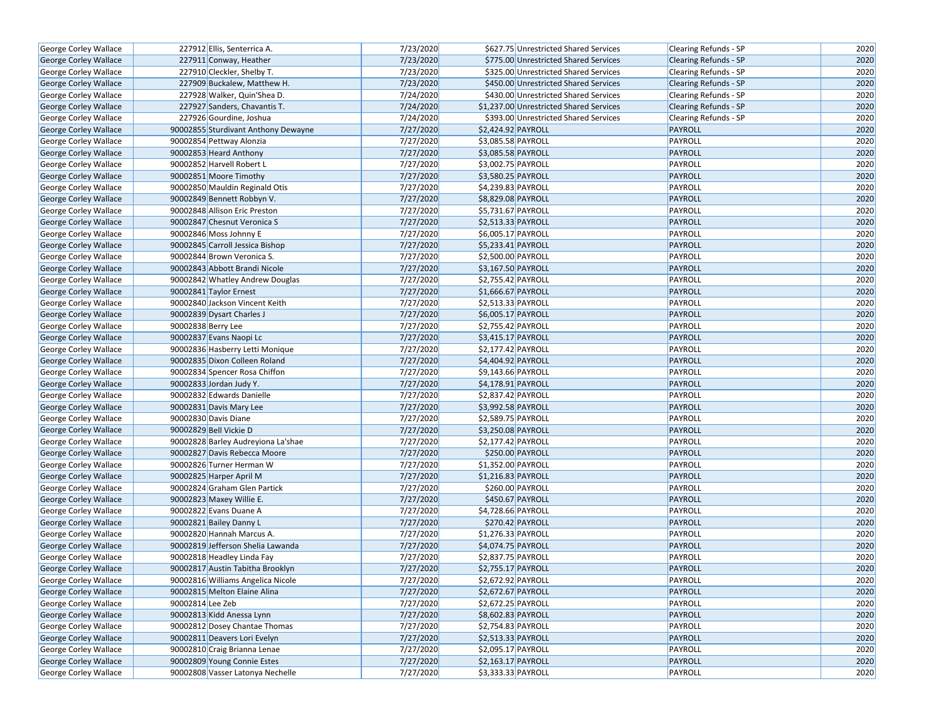| George Corley Wallace        | 227912 Ellis, Senterrica A.         | 7/23/2020 | \$627.75 Unrestricted Shared Services   | Clearing Refunds - SP        | 2020 |
|------------------------------|-------------------------------------|-----------|-----------------------------------------|------------------------------|------|
| George Corley Wallace        | 227911 Conway, Heather              | 7/23/2020 | \$775.00 Unrestricted Shared Services   | <b>Clearing Refunds - SP</b> | 2020 |
| George Corley Wallace        | 227910 Cleckler, Shelby T.          | 7/23/2020 | \$325.00 Unrestricted Shared Services   | Clearing Refunds - SP        | 2020 |
| George Corley Wallace        | 227909 Buckalew, Matthew H.         | 7/23/2020 | \$450.00 Unrestricted Shared Services   | <b>Clearing Refunds - SP</b> | 2020 |
| George Corley Wallace        | 227928 Walker, Quin'Shea D.         | 7/24/2020 | \$430.00 Unrestricted Shared Services   | Clearing Refunds - SP        | 2020 |
| George Corley Wallace        | 227927 Sanders, Chavantis T.        | 7/24/2020 | \$1,237.00 Unrestricted Shared Services | <b>Clearing Refunds - SP</b> | 2020 |
| George Corley Wallace        | 227926 Gourdine, Joshua             | 7/24/2020 | \$393.00 Unrestricted Shared Services   | <b>Clearing Refunds - SP</b> | 2020 |
| <b>George Corley Wallace</b> | 90002855 Sturdivant Anthony Dewayne | 7/27/2020 | \$2,424.92 PAYROLL                      | <b>PAYROLL</b>               | 2020 |
| George Corley Wallace        | 90002854 Pettway Alonzia            | 7/27/2020 | \$3,085.58 PAYROLL                      | PAYROLL                      | 2020 |
| George Corley Wallace        | 90002853 Heard Anthony              | 7/27/2020 | \$3,085.58 PAYROLL                      | <b>PAYROLL</b>               | 2020 |
| George Corley Wallace        | 90002852 Harvell Robert L           | 7/27/2020 | \$3,002.75 PAYROLL                      | PAYROLL                      | 2020 |
| <b>George Corley Wallace</b> | 90002851 Moore Timothy              | 7/27/2020 | \$3,580.25 PAYROLL                      | PAYROLL                      | 2020 |
| George Corley Wallace        | 90002850 Mauldin Reginald Otis      | 7/27/2020 | \$4,239.83 PAYROLL                      | PAYROLL                      | 2020 |
| <b>George Corley Wallace</b> | 90002849 Bennett Robbyn V.          | 7/27/2020 | \$8,829.08 PAYROLL                      | <b>PAYROLL</b>               | 2020 |
| George Corley Wallace        | 90002848 Allison Eric Preston       | 7/27/2020 | \$5,731.67 PAYROLL                      | PAYROLL                      | 2020 |
| George Corley Wallace        | 90002847 Chesnut Veronica S         | 7/27/2020 | \$2,513.33 PAYROLL                      | PAYROLL                      | 2020 |
| George Corley Wallace        | 90002846 Moss Johnny E              | 7/27/2020 | \$6,005.17 PAYROLL                      | PAYROLL                      | 2020 |
| George Corley Wallace        | 90002845 Carroll Jessica Bishop     | 7/27/2020 | \$5,233.41 PAYROLL                      | <b>PAYROLL</b>               | 2020 |
| George Corley Wallace        | 90002844 Brown Veronica S.          | 7/27/2020 | \$2,500.00 PAYROLL                      | PAYROLL                      | 2020 |
| George Corley Wallace        | 90002843 Abbott Brandi Nicole       | 7/27/2020 | \$3,167.50 PAYROLL                      | PAYROLL                      | 2020 |
| George Corley Wallace        | 90002842 Whatley Andrew Douglas     | 7/27/2020 | \$2,755.42 PAYROLL                      | PAYROLL                      | 2020 |
| George Corley Wallace        | 90002841 Taylor Ernest              | 7/27/2020 | \$1,666.67 PAYROLL                      | PAYROLL                      | 2020 |
| George Corley Wallace        | 90002840 Jackson Vincent Keith      | 7/27/2020 | \$2,513.33 PAYROLL                      | PAYROLL                      | 2020 |
| <b>George Corley Wallace</b> | 90002839 Dysart Charles J           | 7/27/2020 | \$6,005.17 PAYROLL                      | <b>PAYROLL</b>               | 2020 |
| George Corley Wallace        | 90002838 Berry Lee                  | 7/27/2020 | \$2,755.42 PAYROLL                      | PAYROLL                      | 2020 |
| George Corley Wallace        | 90002837 Evans Naopi Lc             | 7/27/2020 | \$3,415.17 PAYROLL                      | <b>PAYROLL</b>               | 2020 |
| George Corley Wallace        | 90002836 Hasberry Letti Monique     | 7/27/2020 | \$2,177.42 PAYROLL                      | PAYROLL                      | 2020 |
| George Corley Wallace        | 90002835 Dixon Colleen Roland       | 7/27/2020 | \$4,404.92 PAYROLL                      | PAYROLL                      | 2020 |
| George Corley Wallace        | 90002834 Spencer Rosa Chiffon       | 7/27/2020 | \$9,143.66 PAYROLL                      | PAYROLL                      | 2020 |
| George Corley Wallace        | 90002833 Jordan Judy Y.             | 7/27/2020 | \$4,178.91 PAYROLL                      | PAYROLL                      | 2020 |
| George Corley Wallace        | 90002832 Edwards Danielle           | 7/27/2020 | \$2,837.42 PAYROLL                      | PAYROLL                      | 2020 |
| George Corley Wallace        | 90002831 Davis Mary Lee             | 7/27/2020 | \$3,992.58 PAYROLL                      | <b>PAYROLL</b>               | 2020 |
| George Corley Wallace        | 90002830 Davis Diane                | 7/27/2020 | \$2,589.75 PAYROLL                      | PAYROLL                      | 2020 |
| George Corley Wallace        | 90002829 Bell Vickie D              | 7/27/2020 | \$3,250.08 PAYROLL                      | PAYROLL                      | 2020 |
| George Corley Wallace        | 90002828 Barley Audreyiona La'shae  | 7/27/2020 | \$2,177.42 PAYROLL                      | PAYROLL                      | 2020 |
| George Corley Wallace        | 90002827 Davis Rebecca Moore        | 7/27/2020 | \$250.00 PAYROLL                        | <b>PAYROLL</b>               | 2020 |
| George Corley Wallace        | 90002826 Turner Herman W            | 7/27/2020 | \$1,352.00 PAYROLL                      | PAYROLL                      | 2020 |
| George Corley Wallace        | 90002825 Harper April M             | 7/27/2020 | \$1,216.83 PAYROLL                      | PAYROLL                      | 2020 |
| George Corley Wallace        | 90002824 Graham Glen Partick        | 7/27/2020 | \$260.00 PAYROLL                        | PAYROLL                      | 2020 |
| George Corley Wallace        | 90002823 Maxey Willie E.            | 7/27/2020 | \$450.67 PAYROLL                        | <b>PAYROLL</b>               | 2020 |
| George Corley Wallace        | 90002822 Evans Duane A              | 7/27/2020 | \$4,728.66 PAYROLL                      | PAYROLL                      | 2020 |
| <b>George Corley Wallace</b> | 90002821 Bailey Danny L             | 7/27/2020 | \$270.42 PAYROLL                        | PAYROLL                      | 2020 |
| George Corley Wallace        | 90002820 Hannah Marcus A.           | 7/27/2020 | \$1,276.33 PAYROLL                      | PAYROLL                      | 2020 |
| George Corley Wallace        | 90002819 Jefferson Shelia Lawanda   | 7/27/2020 | \$4,074.75 PAYROLL                      | PAYROLL                      | 2020 |
| George Corley Wallace        | 90002818 Headley Linda Fay          | 7/27/2020 | \$2,837.75 PAYROLL                      | PAYROLL                      | 2020 |
| George Corley Wallace        | 90002817 Austin Tabitha Brooklyn    | 7/27/2020 | \$2,755.17 PAYROLL                      | PAYROLL                      | 2020 |
| George Corley Wallace        | 90002816 Williams Angelica Nicole   | 7/27/2020 | \$2,672.92 PAYROLL                      | PAYROLL                      | 2020 |
| George Corley Wallace        | 90002815 Melton Elaine Alina        | 7/27/2020 | \$2,672.67 PAYROLL                      | <b>PAYROLL</b>               | 2020 |
| George Corley Wallace        | 90002814 Lee Zeb                    | 7/27/2020 | \$2,672.25 PAYROLL                      | PAYROLL                      | 2020 |
| <b>George Corley Wallace</b> | 90002813 Kidd Anessa Lynn           | 7/27/2020 | \$8,602.83 PAYROLL                      | <b>PAYROLL</b>               | 2020 |
| George Corley Wallace        | 90002812 Dosey Chantae Thomas       | 7/27/2020 | \$2,754.83 PAYROLL                      | PAYROLL                      | 2020 |
| George Corley Wallace        | 90002811 Deavers Lori Evelyn        | 7/27/2020 | \$2,513.33 PAYROLL                      | <b>PAYROLL</b>               | 2020 |
| George Corley Wallace        | 90002810 Craig Brianna Lenae        | 7/27/2020 | \$2,095.17 PAYROLL                      | PAYROLL                      | 2020 |
| George Corley Wallace        | 90002809 Young Connie Estes         | 7/27/2020 | \$2,163.17 PAYROLL                      | <b>PAYROLL</b>               | 2020 |
| George Corley Wallace        | 90002808 Vasser Latonya Nechelle    | 7/27/2020 | \$3,333.33 PAYROLL                      | PAYROLL                      | 2020 |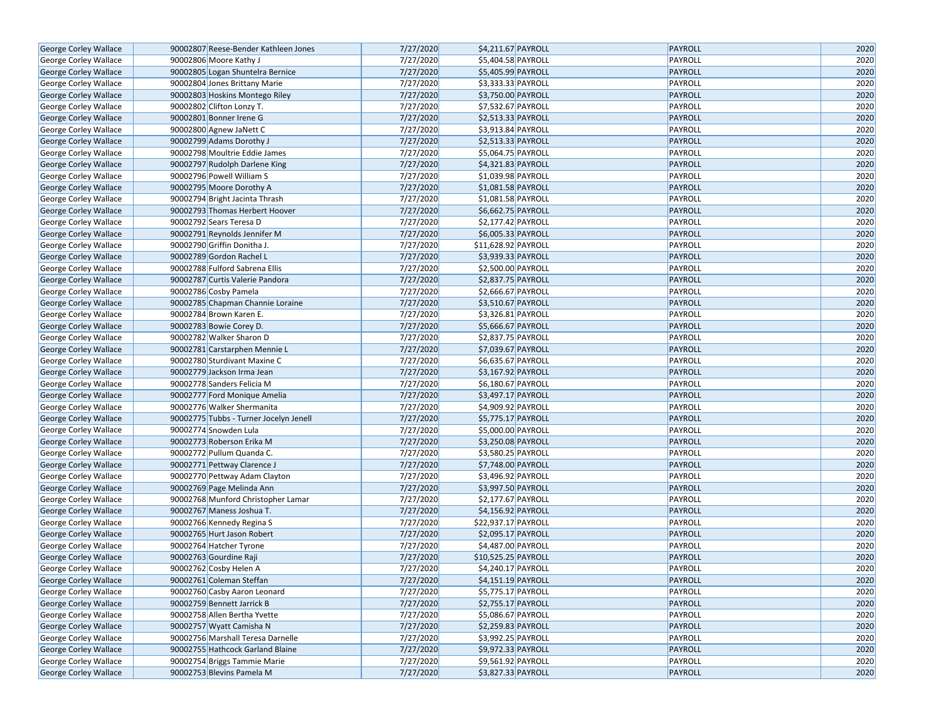| 7/27/2020<br>\$5,404.58 PAYROLL<br>PAYROLL<br>2020<br>George Corley Wallace<br>90002806 Moore Kathy J<br>7/27/2020<br>PAYROLL<br>2020<br>George Corley Wallace<br>90002805 Logan Shuntelra Bernice<br>\$5,405.99 PAYROLL<br>7/27/2020<br>\$3,333.33 PAYROLL<br>PAYROLL<br>2020<br>George Corley Wallace<br>90002804 Jones Brittany Marie<br>7/27/2020<br>2020<br>\$3,750.00 PAYROLL<br>PAYROLL<br>George Corley Wallace<br>90002803 Hoskins Montego Riley<br>7/27/2020<br>$\overline{$}$ \$7,532.67 PAYROLL<br>PAYROLL<br>2020<br>George Corley Wallace<br>90002802 Clifton Lonzy T.<br>7/27/2020<br>2020<br>90002801 Bonner Irene G<br>\$2,513.33 PAYROLL<br>PAYROLL<br>George Corley Wallace<br>90002800 Agnew JaNett C<br>7/27/2020<br>\$3,913.84 PAYROLL<br>PAYROLL<br>2020<br>George Corley Wallace<br>7/27/2020<br>\$2,513.33 PAYROLL<br>2020<br>George Corley Wallace<br>90002799 Adams Dorothy J<br>PAYROLL<br>7/27/2020<br>\$5,064.75 PAYROLL<br>2020<br>George Corley Wallace<br>90002798 Moultrie Eddie James<br>PAYROLL<br>7/27/2020<br>\$4,321.83 PAYROLL<br>PAYROLL<br>2020<br>90002797 Rudolph Darlene King<br>George Corley Wallace<br>2020<br>7/27/2020<br>PAYROLL<br>George Corley Wallace<br>90002796 Powell William S<br>\$1,039.98 PAYROLL<br>7/27/2020<br>\$1,081.58 PAYROLL<br>PAYROLL<br>2020<br>George Corley Wallace<br>90002795 Moore Dorothy A<br>7/27/2020<br>2020<br>George Corley Wallace<br>90002794 Bright Jacinta Thrash<br>\$1,081.58 PAYROLL<br>PAYROLL<br>2020<br>7/27/2020<br>\$6,662.75 PAYROLL<br>PAYROLL<br>George Corley Wallace<br>90002793 Thomas Herbert Hoover<br>7/27/2020<br>PAYROLL<br>2020<br>George Corley Wallace<br>90002792 Sears Teresa D<br>\$2,177.42 PAYROLL<br>7/27/2020<br>\$6,005.33 PAYROLL<br>PAYROLL<br>2020<br>George Corley Wallace<br>90002791 Reynolds Jennifer M<br>7/27/2020<br>\$11,628.92 PAYROLL<br>PAYROLL<br>2020<br>George Corley Wallace<br>90002790 Griffin Donitha J.<br>2020<br>7/27/2020<br>\$3,939.33 PAYROLL<br>PAYROLL<br>George Corley Wallace<br>90002789 Gordon Rachel L<br>2020<br>7/27/2020<br>\$2,500.00 PAYROLL<br>PAYROLL<br>George Corley Wallace<br>90002788 Fulford Sabrena Ellis<br>7/27/2020<br>\$2,837.75 PAYROLL<br>PAYROLL<br>2020<br>George Corley Wallace<br>90002787 Curtis Valerie Pandora<br>7/27/2020<br>$\overline{$}$ \$2,666.67 PAYROLL<br>2020<br>George Corley Wallace<br>90002786 Cosby Pamela<br>PAYROLL<br>7/27/2020<br>\$3,510.67 PAYROLL<br>PAYROLL<br>2020<br>George Corley Wallace<br>90002785 Chapman Channie Loraine<br>2020<br>7/27/2020<br>PAYROLL<br>George Corley Wallace<br>90002784 Brown Karen E.<br>\$3,326.81 PAYROLL<br>7/27/2020<br>\$5,666.67 PAYROLL<br>PAYROLL<br>2020<br>George Corley Wallace<br>90002783 Bowie Corey D.<br>7/27/2020<br>PAYROLL<br>2020<br>George Corley Wallace<br>90002782 Walker Sharon D<br>\$2,837.75 PAYROLL<br>7/27/2020<br>\$7,039.67 PAYROLL<br>PAYROLL<br>2020<br>George Corley Wallace<br>90002781 Carstarphen Mennie L<br>2020<br>7/27/2020<br>\$6,635.67 PAYROLL<br>PAYROLL<br>George Corley Wallace<br>90002780 Sturdivant Maxine C<br>7/27/2020<br>PAYROLL<br>2020<br>George Corley Wallace<br>90002779 Jackson Irma Jean<br>\$3,167.92 PAYROLL<br>7/27/2020<br>2020<br>George Corley Wallace<br>90002778 Sanders Felicia M<br>\$6,180.67 PAYROLL<br>PAYROLL<br>7/27/2020<br>\$3,497.17 PAYROLL<br>PAYROLL<br>2020<br>George Corley Wallace<br>90002777 Ford Monique Amelia<br>7/27/2020<br>2020<br>George Corley Wallace<br>90002776 Walker Shermanita<br>\$4,909.92 PAYROLL<br>PAYROLL<br>7/27/2020<br>\$5,775.17 PAYROLL<br>PAYROLL<br>2020<br>George Corley Wallace<br>90002775 Tubbs - Turner Jocelyn Jenell<br>7/27/2020<br>2020<br>90002774 Snowden Lula<br>\$5,000.00 PAYROLL<br>PAYROLL<br>George Corley Wallace<br>7/27/2020<br>2020<br>George Corley Wallace<br>90002773 Roberson Erika M<br>\$3,250.08 PAYROLL<br>PAYROLL<br>2020<br>90002772 Pullum Quanda C.<br>7/27/2020<br>\$3,580.25 PAYROLL<br>PAYROLL<br>George Corley Wallace<br>7/27/2020<br>PAYROLL<br>2020<br>George Corley Wallace<br>90002771 Pettway Clarence J<br>\$7,748.00 PAYROLL<br>7/27/2020<br>2020<br>\$3,496.92 PAYROLL<br>PAYROLL<br>George Corley Wallace<br>90002770 Pettway Adam Clayton<br>7/27/2020<br>\$3,997.50 PAYROLL<br>PAYROLL<br>2020<br>George Corley Wallace<br>90002769 Page Melinda Ann<br>7/27/2020<br>\$2,177.67 PAYROLL<br>PAYROLL<br>2020<br>George Corley Wallace<br>90002768 Munford Christopher Lamar<br>7/27/2020<br>\$4,156.92 PAYROLL<br>PAYROLL<br>2020<br><b>George Corley Wallace</b><br>90002767 Maness Joshua T.<br>7/27/2020<br>\$22,937.17 PAYROLL<br>PAYROLL<br>2020<br>George Corley Wallace<br>90002766 Kennedy Regina S<br>7/27/2020<br>2020<br>George Corley Wallace<br>90002765 Hurt Jason Robert<br>\$2,095.17 PAYROLL<br>PAYROLL<br>7/27/2020<br>\$4,487.00 PAYROLL<br><b>PAYROLL</b><br>2020<br>George Corley Wallace<br>90002764 Hatcher Tyrone<br>7/27/2020<br>PAYROLL<br>2020<br>George Corley Wallace<br>90002763 Gourdine Raji<br>\$10,525.25 PAYROLL<br>2020<br>90002762 Cosby Helen A<br>7/27/2020<br>\$4,240.17 PAYROLL<br>PAYROLL<br>George Corley Wallace<br>PAYROLL<br>2020<br>7/27/2020<br>George Corley Wallace<br>90002761 Coleman Steffan<br>\$4,151.19 PAYROLL<br>7/27/2020<br>\$5,775.17 PAYROLL<br>2020<br>George Corley Wallace<br>90002760 Casby Aaron Leonard<br>PAYROLL<br>7/27/2020<br>\$2,755.17 PAYROLL<br>PAYROLL<br>2020<br>George Corley Wallace<br>90002759 Bennett Jarrick B<br>7/27/2020<br>PAYROLL<br>2020<br>George Corley Wallace<br>90002758 Allen Bertha Yvette<br>\$5,086.67 PAYROLL<br>7/27/2020<br>2020<br>George Corley Wallace<br>90002757 Wyatt Camisha N<br>\$2,259.83 PAYROLL<br>PAYROLL<br>George Corley Wallace<br>7/27/2020<br>\$3,992.25 PAYROLL<br>PAYROLL<br>2020<br>90002756 Marshall Teresa Darnelle<br>7/27/2020<br>2020<br>George Corley Wallace<br>90002755 Hathcock Garland Blaine<br>\$9,972.33 PAYROLL<br>PAYROLL<br>7/27/2020<br>\$9,561.92 PAYROLL<br>PAYROLL<br>2020<br>George Corley Wallace<br>90002754 Briggs Tammie Marie<br>7/27/2020<br>\$3,827.33 PAYROLL<br>PAYROLL<br>2020<br>George Corley Wallace<br>90002753 Blevins Pamela M | George Corley Wallace | 90002807 Reese-Bender Kathleen Jones | 7/27/2020 | \$4,211.67 PAYROLL | <b>PAYROLL</b> | 2020 |
|--------------------------------------------------------------------------------------------------------------------------------------------------------------------------------------------------------------------------------------------------------------------------------------------------------------------------------------------------------------------------------------------------------------------------------------------------------------------------------------------------------------------------------------------------------------------------------------------------------------------------------------------------------------------------------------------------------------------------------------------------------------------------------------------------------------------------------------------------------------------------------------------------------------------------------------------------------------------------------------------------------------------------------------------------------------------------------------------------------------------------------------------------------------------------------------------------------------------------------------------------------------------------------------------------------------------------------------------------------------------------------------------------------------------------------------------------------------------------------------------------------------------------------------------------------------------------------------------------------------------------------------------------------------------------------------------------------------------------------------------------------------------------------------------------------------------------------------------------------------------------------------------------------------------------------------------------------------------------------------------------------------------------------------------------------------------------------------------------------------------------------------------------------------------------------------------------------------------------------------------------------------------------------------------------------------------------------------------------------------------------------------------------------------------------------------------------------------------------------------------------------------------------------------------------------------------------------------------------------------------------------------------------------------------------------------------------------------------------------------------------------------------------------------------------------------------------------------------------------------------------------------------------------------------------------------------------------------------------------------------------------------------------------------------------------------------------------------------------------------------------------------------------------------------------------------------------------------------------------------------------------------------------------------------------------------------------------------------------------------------------------------------------------------------------------------------------------------------------------------------------------------------------------------------------------------------------------------------------------------------------------------------------------------------------------------------------------------------------------------------------------------------------------------------------------------------------------------------------------------------------------------------------------------------------------------------------------------------------------------------------------------------------------------------------------------------------------------------------------------------------------------------------------------------------------------------------------------------------------------------------------------------------------------------------------------------------------------------------------------------------------------------------------------------------------------------------------------------------------------------------------------------------------------------------------------------------------------------------------------------------------------------------------------------------------------------------------------------------------------------------------------------------------------------------------------------------------------------------------------------------------------------------------------------------------------------------------------------------------------------------------------------------------------------------------------------------------------------------------------------------------------------------------------------------------------------------------------------------------------------------------------------------------------------------------------------------------------------------------------------------------------------------------------------------------------------------------------------------------------------------------------------------------------------------------------------------------------------------------------------------------------------------------------------------------------------------------------------------------------------------------------------------------------------------------------------------------------------------------------------------------------------------------------------------------------------------------------------------------------------------------------------------------------------------------------------------------------------------------------------------------------------------------------------------------------------------------------|-----------------------|--------------------------------------|-----------|--------------------|----------------|------|
|                                                                                                                                                                                                                                                                                                                                                                                                                                                                                                                                                                                                                                                                                                                                                                                                                                                                                                                                                                                                                                                                                                                                                                                                                                                                                                                                                                                                                                                                                                                                                                                                                                                                                                                                                                                                                                                                                                                                                                                                                                                                                                                                                                                                                                                                                                                                                                                                                                                                                                                                                                                                                                                                                                                                                                                                                                                                                                                                                                                                                                                                                                                                                                                                                                                                                                                                                                                                                                                                                                                                                                                                                                                                                                                                                                                                                                                                                                                                                                                                                                                                                                                                                                                                                                                                                                                                                                                                                                                                                                                                                                                                                                                                                                                                                                                                                                                                                                                                                                                                                                                                                                                                                                                                                                                                                                                                                                                                                                                                                                                                                                                                                                                                                                                                                                                                                                                                                                                                                                                                                                                                                                                                                                                                              |                       |                                      |           |                    |                |      |
|                                                                                                                                                                                                                                                                                                                                                                                                                                                                                                                                                                                                                                                                                                                                                                                                                                                                                                                                                                                                                                                                                                                                                                                                                                                                                                                                                                                                                                                                                                                                                                                                                                                                                                                                                                                                                                                                                                                                                                                                                                                                                                                                                                                                                                                                                                                                                                                                                                                                                                                                                                                                                                                                                                                                                                                                                                                                                                                                                                                                                                                                                                                                                                                                                                                                                                                                                                                                                                                                                                                                                                                                                                                                                                                                                                                                                                                                                                                                                                                                                                                                                                                                                                                                                                                                                                                                                                                                                                                                                                                                                                                                                                                                                                                                                                                                                                                                                                                                                                                                                                                                                                                                                                                                                                                                                                                                                                                                                                                                                                                                                                                                                                                                                                                                                                                                                                                                                                                                                                                                                                                                                                                                                                                                              |                       |                                      |           |                    |                |      |
|                                                                                                                                                                                                                                                                                                                                                                                                                                                                                                                                                                                                                                                                                                                                                                                                                                                                                                                                                                                                                                                                                                                                                                                                                                                                                                                                                                                                                                                                                                                                                                                                                                                                                                                                                                                                                                                                                                                                                                                                                                                                                                                                                                                                                                                                                                                                                                                                                                                                                                                                                                                                                                                                                                                                                                                                                                                                                                                                                                                                                                                                                                                                                                                                                                                                                                                                                                                                                                                                                                                                                                                                                                                                                                                                                                                                                                                                                                                                                                                                                                                                                                                                                                                                                                                                                                                                                                                                                                                                                                                                                                                                                                                                                                                                                                                                                                                                                                                                                                                                                                                                                                                                                                                                                                                                                                                                                                                                                                                                                                                                                                                                                                                                                                                                                                                                                                                                                                                                                                                                                                                                                                                                                                                                              |                       |                                      |           |                    |                |      |
|                                                                                                                                                                                                                                                                                                                                                                                                                                                                                                                                                                                                                                                                                                                                                                                                                                                                                                                                                                                                                                                                                                                                                                                                                                                                                                                                                                                                                                                                                                                                                                                                                                                                                                                                                                                                                                                                                                                                                                                                                                                                                                                                                                                                                                                                                                                                                                                                                                                                                                                                                                                                                                                                                                                                                                                                                                                                                                                                                                                                                                                                                                                                                                                                                                                                                                                                                                                                                                                                                                                                                                                                                                                                                                                                                                                                                                                                                                                                                                                                                                                                                                                                                                                                                                                                                                                                                                                                                                                                                                                                                                                                                                                                                                                                                                                                                                                                                                                                                                                                                                                                                                                                                                                                                                                                                                                                                                                                                                                                                                                                                                                                                                                                                                                                                                                                                                                                                                                                                                                                                                                                                                                                                                                                              |                       |                                      |           |                    |                |      |
|                                                                                                                                                                                                                                                                                                                                                                                                                                                                                                                                                                                                                                                                                                                                                                                                                                                                                                                                                                                                                                                                                                                                                                                                                                                                                                                                                                                                                                                                                                                                                                                                                                                                                                                                                                                                                                                                                                                                                                                                                                                                                                                                                                                                                                                                                                                                                                                                                                                                                                                                                                                                                                                                                                                                                                                                                                                                                                                                                                                                                                                                                                                                                                                                                                                                                                                                                                                                                                                                                                                                                                                                                                                                                                                                                                                                                                                                                                                                                                                                                                                                                                                                                                                                                                                                                                                                                                                                                                                                                                                                                                                                                                                                                                                                                                                                                                                                                                                                                                                                                                                                                                                                                                                                                                                                                                                                                                                                                                                                                                                                                                                                                                                                                                                                                                                                                                                                                                                                                                                                                                                                                                                                                                                                              |                       |                                      |           |                    |                |      |
|                                                                                                                                                                                                                                                                                                                                                                                                                                                                                                                                                                                                                                                                                                                                                                                                                                                                                                                                                                                                                                                                                                                                                                                                                                                                                                                                                                                                                                                                                                                                                                                                                                                                                                                                                                                                                                                                                                                                                                                                                                                                                                                                                                                                                                                                                                                                                                                                                                                                                                                                                                                                                                                                                                                                                                                                                                                                                                                                                                                                                                                                                                                                                                                                                                                                                                                                                                                                                                                                                                                                                                                                                                                                                                                                                                                                                                                                                                                                                                                                                                                                                                                                                                                                                                                                                                                                                                                                                                                                                                                                                                                                                                                                                                                                                                                                                                                                                                                                                                                                                                                                                                                                                                                                                                                                                                                                                                                                                                                                                                                                                                                                                                                                                                                                                                                                                                                                                                                                                                                                                                                                                                                                                                                                              |                       |                                      |           |                    |                |      |
|                                                                                                                                                                                                                                                                                                                                                                                                                                                                                                                                                                                                                                                                                                                                                                                                                                                                                                                                                                                                                                                                                                                                                                                                                                                                                                                                                                                                                                                                                                                                                                                                                                                                                                                                                                                                                                                                                                                                                                                                                                                                                                                                                                                                                                                                                                                                                                                                                                                                                                                                                                                                                                                                                                                                                                                                                                                                                                                                                                                                                                                                                                                                                                                                                                                                                                                                                                                                                                                                                                                                                                                                                                                                                                                                                                                                                                                                                                                                                                                                                                                                                                                                                                                                                                                                                                                                                                                                                                                                                                                                                                                                                                                                                                                                                                                                                                                                                                                                                                                                                                                                                                                                                                                                                                                                                                                                                                                                                                                                                                                                                                                                                                                                                                                                                                                                                                                                                                                                                                                                                                                                                                                                                                                                              |                       |                                      |           |                    |                |      |
|                                                                                                                                                                                                                                                                                                                                                                                                                                                                                                                                                                                                                                                                                                                                                                                                                                                                                                                                                                                                                                                                                                                                                                                                                                                                                                                                                                                                                                                                                                                                                                                                                                                                                                                                                                                                                                                                                                                                                                                                                                                                                                                                                                                                                                                                                                                                                                                                                                                                                                                                                                                                                                                                                                                                                                                                                                                                                                                                                                                                                                                                                                                                                                                                                                                                                                                                                                                                                                                                                                                                                                                                                                                                                                                                                                                                                                                                                                                                                                                                                                                                                                                                                                                                                                                                                                                                                                                                                                                                                                                                                                                                                                                                                                                                                                                                                                                                                                                                                                                                                                                                                                                                                                                                                                                                                                                                                                                                                                                                                                                                                                                                                                                                                                                                                                                                                                                                                                                                                                                                                                                                                                                                                                                                              |                       |                                      |           |                    |                |      |
|                                                                                                                                                                                                                                                                                                                                                                                                                                                                                                                                                                                                                                                                                                                                                                                                                                                                                                                                                                                                                                                                                                                                                                                                                                                                                                                                                                                                                                                                                                                                                                                                                                                                                                                                                                                                                                                                                                                                                                                                                                                                                                                                                                                                                                                                                                                                                                                                                                                                                                                                                                                                                                                                                                                                                                                                                                                                                                                                                                                                                                                                                                                                                                                                                                                                                                                                                                                                                                                                                                                                                                                                                                                                                                                                                                                                                                                                                                                                                                                                                                                                                                                                                                                                                                                                                                                                                                                                                                                                                                                                                                                                                                                                                                                                                                                                                                                                                                                                                                                                                                                                                                                                                                                                                                                                                                                                                                                                                                                                                                                                                                                                                                                                                                                                                                                                                                                                                                                                                                                                                                                                                                                                                                                                              |                       |                                      |           |                    |                |      |
|                                                                                                                                                                                                                                                                                                                                                                                                                                                                                                                                                                                                                                                                                                                                                                                                                                                                                                                                                                                                                                                                                                                                                                                                                                                                                                                                                                                                                                                                                                                                                                                                                                                                                                                                                                                                                                                                                                                                                                                                                                                                                                                                                                                                                                                                                                                                                                                                                                                                                                                                                                                                                                                                                                                                                                                                                                                                                                                                                                                                                                                                                                                                                                                                                                                                                                                                                                                                                                                                                                                                                                                                                                                                                                                                                                                                                                                                                                                                                                                                                                                                                                                                                                                                                                                                                                                                                                                                                                                                                                                                                                                                                                                                                                                                                                                                                                                                                                                                                                                                                                                                                                                                                                                                                                                                                                                                                                                                                                                                                                                                                                                                                                                                                                                                                                                                                                                                                                                                                                                                                                                                                                                                                                                                              |                       |                                      |           |                    |                |      |
|                                                                                                                                                                                                                                                                                                                                                                                                                                                                                                                                                                                                                                                                                                                                                                                                                                                                                                                                                                                                                                                                                                                                                                                                                                                                                                                                                                                                                                                                                                                                                                                                                                                                                                                                                                                                                                                                                                                                                                                                                                                                                                                                                                                                                                                                                                                                                                                                                                                                                                                                                                                                                                                                                                                                                                                                                                                                                                                                                                                                                                                                                                                                                                                                                                                                                                                                                                                                                                                                                                                                                                                                                                                                                                                                                                                                                                                                                                                                                                                                                                                                                                                                                                                                                                                                                                                                                                                                                                                                                                                                                                                                                                                                                                                                                                                                                                                                                                                                                                                                                                                                                                                                                                                                                                                                                                                                                                                                                                                                                                                                                                                                                                                                                                                                                                                                                                                                                                                                                                                                                                                                                                                                                                                                              |                       |                                      |           |                    |                |      |
|                                                                                                                                                                                                                                                                                                                                                                                                                                                                                                                                                                                                                                                                                                                                                                                                                                                                                                                                                                                                                                                                                                                                                                                                                                                                                                                                                                                                                                                                                                                                                                                                                                                                                                                                                                                                                                                                                                                                                                                                                                                                                                                                                                                                                                                                                                                                                                                                                                                                                                                                                                                                                                                                                                                                                                                                                                                                                                                                                                                                                                                                                                                                                                                                                                                                                                                                                                                                                                                                                                                                                                                                                                                                                                                                                                                                                                                                                                                                                                                                                                                                                                                                                                                                                                                                                                                                                                                                                                                                                                                                                                                                                                                                                                                                                                                                                                                                                                                                                                                                                                                                                                                                                                                                                                                                                                                                                                                                                                                                                                                                                                                                                                                                                                                                                                                                                                                                                                                                                                                                                                                                                                                                                                                                              |                       |                                      |           |                    |                |      |
|                                                                                                                                                                                                                                                                                                                                                                                                                                                                                                                                                                                                                                                                                                                                                                                                                                                                                                                                                                                                                                                                                                                                                                                                                                                                                                                                                                                                                                                                                                                                                                                                                                                                                                                                                                                                                                                                                                                                                                                                                                                                                                                                                                                                                                                                                                                                                                                                                                                                                                                                                                                                                                                                                                                                                                                                                                                                                                                                                                                                                                                                                                                                                                                                                                                                                                                                                                                                                                                                                                                                                                                                                                                                                                                                                                                                                                                                                                                                                                                                                                                                                                                                                                                                                                                                                                                                                                                                                                                                                                                                                                                                                                                                                                                                                                                                                                                                                                                                                                                                                                                                                                                                                                                                                                                                                                                                                                                                                                                                                                                                                                                                                                                                                                                                                                                                                                                                                                                                                                                                                                                                                                                                                                                                              |                       |                                      |           |                    |                |      |
|                                                                                                                                                                                                                                                                                                                                                                                                                                                                                                                                                                                                                                                                                                                                                                                                                                                                                                                                                                                                                                                                                                                                                                                                                                                                                                                                                                                                                                                                                                                                                                                                                                                                                                                                                                                                                                                                                                                                                                                                                                                                                                                                                                                                                                                                                                                                                                                                                                                                                                                                                                                                                                                                                                                                                                                                                                                                                                                                                                                                                                                                                                                                                                                                                                                                                                                                                                                                                                                                                                                                                                                                                                                                                                                                                                                                                                                                                                                                                                                                                                                                                                                                                                                                                                                                                                                                                                                                                                                                                                                                                                                                                                                                                                                                                                                                                                                                                                                                                                                                                                                                                                                                                                                                                                                                                                                                                                                                                                                                                                                                                                                                                                                                                                                                                                                                                                                                                                                                                                                                                                                                                                                                                                                                              |                       |                                      |           |                    |                |      |
|                                                                                                                                                                                                                                                                                                                                                                                                                                                                                                                                                                                                                                                                                                                                                                                                                                                                                                                                                                                                                                                                                                                                                                                                                                                                                                                                                                                                                                                                                                                                                                                                                                                                                                                                                                                                                                                                                                                                                                                                                                                                                                                                                                                                                                                                                                                                                                                                                                                                                                                                                                                                                                                                                                                                                                                                                                                                                                                                                                                                                                                                                                                                                                                                                                                                                                                                                                                                                                                                                                                                                                                                                                                                                                                                                                                                                                                                                                                                                                                                                                                                                                                                                                                                                                                                                                                                                                                                                                                                                                                                                                                                                                                                                                                                                                                                                                                                                                                                                                                                                                                                                                                                                                                                                                                                                                                                                                                                                                                                                                                                                                                                                                                                                                                                                                                                                                                                                                                                                                                                                                                                                                                                                                                                              |                       |                                      |           |                    |                |      |
|                                                                                                                                                                                                                                                                                                                                                                                                                                                                                                                                                                                                                                                                                                                                                                                                                                                                                                                                                                                                                                                                                                                                                                                                                                                                                                                                                                                                                                                                                                                                                                                                                                                                                                                                                                                                                                                                                                                                                                                                                                                                                                                                                                                                                                                                                                                                                                                                                                                                                                                                                                                                                                                                                                                                                                                                                                                                                                                                                                                                                                                                                                                                                                                                                                                                                                                                                                                                                                                                                                                                                                                                                                                                                                                                                                                                                                                                                                                                                                                                                                                                                                                                                                                                                                                                                                                                                                                                                                                                                                                                                                                                                                                                                                                                                                                                                                                                                                                                                                                                                                                                                                                                                                                                                                                                                                                                                                                                                                                                                                                                                                                                                                                                                                                                                                                                                                                                                                                                                                                                                                                                                                                                                                                                              |                       |                                      |           |                    |                |      |
|                                                                                                                                                                                                                                                                                                                                                                                                                                                                                                                                                                                                                                                                                                                                                                                                                                                                                                                                                                                                                                                                                                                                                                                                                                                                                                                                                                                                                                                                                                                                                                                                                                                                                                                                                                                                                                                                                                                                                                                                                                                                                                                                                                                                                                                                                                                                                                                                                                                                                                                                                                                                                                                                                                                                                                                                                                                                                                                                                                                                                                                                                                                                                                                                                                                                                                                                                                                                                                                                                                                                                                                                                                                                                                                                                                                                                                                                                                                                                                                                                                                                                                                                                                                                                                                                                                                                                                                                                                                                                                                                                                                                                                                                                                                                                                                                                                                                                                                                                                                                                                                                                                                                                                                                                                                                                                                                                                                                                                                                                                                                                                                                                                                                                                                                                                                                                                                                                                                                                                                                                                                                                                                                                                                                              |                       |                                      |           |                    |                |      |
|                                                                                                                                                                                                                                                                                                                                                                                                                                                                                                                                                                                                                                                                                                                                                                                                                                                                                                                                                                                                                                                                                                                                                                                                                                                                                                                                                                                                                                                                                                                                                                                                                                                                                                                                                                                                                                                                                                                                                                                                                                                                                                                                                                                                                                                                                                                                                                                                                                                                                                                                                                                                                                                                                                                                                                                                                                                                                                                                                                                                                                                                                                                                                                                                                                                                                                                                                                                                                                                                                                                                                                                                                                                                                                                                                                                                                                                                                                                                                                                                                                                                                                                                                                                                                                                                                                                                                                                                                                                                                                                                                                                                                                                                                                                                                                                                                                                                                                                                                                                                                                                                                                                                                                                                                                                                                                                                                                                                                                                                                                                                                                                                                                                                                                                                                                                                                                                                                                                                                                                                                                                                                                                                                                                                              |                       |                                      |           |                    |                |      |
|                                                                                                                                                                                                                                                                                                                                                                                                                                                                                                                                                                                                                                                                                                                                                                                                                                                                                                                                                                                                                                                                                                                                                                                                                                                                                                                                                                                                                                                                                                                                                                                                                                                                                                                                                                                                                                                                                                                                                                                                                                                                                                                                                                                                                                                                                                                                                                                                                                                                                                                                                                                                                                                                                                                                                                                                                                                                                                                                                                                                                                                                                                                                                                                                                                                                                                                                                                                                                                                                                                                                                                                                                                                                                                                                                                                                                                                                                                                                                                                                                                                                                                                                                                                                                                                                                                                                                                                                                                                                                                                                                                                                                                                                                                                                                                                                                                                                                                                                                                                                                                                                                                                                                                                                                                                                                                                                                                                                                                                                                                                                                                                                                                                                                                                                                                                                                                                                                                                                                                                                                                                                                                                                                                                                              |                       |                                      |           |                    |                |      |
|                                                                                                                                                                                                                                                                                                                                                                                                                                                                                                                                                                                                                                                                                                                                                                                                                                                                                                                                                                                                                                                                                                                                                                                                                                                                                                                                                                                                                                                                                                                                                                                                                                                                                                                                                                                                                                                                                                                                                                                                                                                                                                                                                                                                                                                                                                                                                                                                                                                                                                                                                                                                                                                                                                                                                                                                                                                                                                                                                                                                                                                                                                                                                                                                                                                                                                                                                                                                                                                                                                                                                                                                                                                                                                                                                                                                                                                                                                                                                                                                                                                                                                                                                                                                                                                                                                                                                                                                                                                                                                                                                                                                                                                                                                                                                                                                                                                                                                                                                                                                                                                                                                                                                                                                                                                                                                                                                                                                                                                                                                                                                                                                                                                                                                                                                                                                                                                                                                                                                                                                                                                                                                                                                                                                              |                       |                                      |           |                    |                |      |
|                                                                                                                                                                                                                                                                                                                                                                                                                                                                                                                                                                                                                                                                                                                                                                                                                                                                                                                                                                                                                                                                                                                                                                                                                                                                                                                                                                                                                                                                                                                                                                                                                                                                                                                                                                                                                                                                                                                                                                                                                                                                                                                                                                                                                                                                                                                                                                                                                                                                                                                                                                                                                                                                                                                                                                                                                                                                                                                                                                                                                                                                                                                                                                                                                                                                                                                                                                                                                                                                                                                                                                                                                                                                                                                                                                                                                                                                                                                                                                                                                                                                                                                                                                                                                                                                                                                                                                                                                                                                                                                                                                                                                                                                                                                                                                                                                                                                                                                                                                                                                                                                                                                                                                                                                                                                                                                                                                                                                                                                                                                                                                                                                                                                                                                                                                                                                                                                                                                                                                                                                                                                                                                                                                                                              |                       |                                      |           |                    |                |      |
|                                                                                                                                                                                                                                                                                                                                                                                                                                                                                                                                                                                                                                                                                                                                                                                                                                                                                                                                                                                                                                                                                                                                                                                                                                                                                                                                                                                                                                                                                                                                                                                                                                                                                                                                                                                                                                                                                                                                                                                                                                                                                                                                                                                                                                                                                                                                                                                                                                                                                                                                                                                                                                                                                                                                                                                                                                                                                                                                                                                                                                                                                                                                                                                                                                                                                                                                                                                                                                                                                                                                                                                                                                                                                                                                                                                                                                                                                                                                                                                                                                                                                                                                                                                                                                                                                                                                                                                                                                                                                                                                                                                                                                                                                                                                                                                                                                                                                                                                                                                                                                                                                                                                                                                                                                                                                                                                                                                                                                                                                                                                                                                                                                                                                                                                                                                                                                                                                                                                                                                                                                                                                                                                                                                                              |                       |                                      |           |                    |                |      |
|                                                                                                                                                                                                                                                                                                                                                                                                                                                                                                                                                                                                                                                                                                                                                                                                                                                                                                                                                                                                                                                                                                                                                                                                                                                                                                                                                                                                                                                                                                                                                                                                                                                                                                                                                                                                                                                                                                                                                                                                                                                                                                                                                                                                                                                                                                                                                                                                                                                                                                                                                                                                                                                                                                                                                                                                                                                                                                                                                                                                                                                                                                                                                                                                                                                                                                                                                                                                                                                                                                                                                                                                                                                                                                                                                                                                                                                                                                                                                                                                                                                                                                                                                                                                                                                                                                                                                                                                                                                                                                                                                                                                                                                                                                                                                                                                                                                                                                                                                                                                                                                                                                                                                                                                                                                                                                                                                                                                                                                                                                                                                                                                                                                                                                                                                                                                                                                                                                                                                                                                                                                                                                                                                                                                              |                       |                                      |           |                    |                |      |
|                                                                                                                                                                                                                                                                                                                                                                                                                                                                                                                                                                                                                                                                                                                                                                                                                                                                                                                                                                                                                                                                                                                                                                                                                                                                                                                                                                                                                                                                                                                                                                                                                                                                                                                                                                                                                                                                                                                                                                                                                                                                                                                                                                                                                                                                                                                                                                                                                                                                                                                                                                                                                                                                                                                                                                                                                                                                                                                                                                                                                                                                                                                                                                                                                                                                                                                                                                                                                                                                                                                                                                                                                                                                                                                                                                                                                                                                                                                                                                                                                                                                                                                                                                                                                                                                                                                                                                                                                                                                                                                                                                                                                                                                                                                                                                                                                                                                                                                                                                                                                                                                                                                                                                                                                                                                                                                                                                                                                                                                                                                                                                                                                                                                                                                                                                                                                                                                                                                                                                                                                                                                                                                                                                                                              |                       |                                      |           |                    |                |      |
|                                                                                                                                                                                                                                                                                                                                                                                                                                                                                                                                                                                                                                                                                                                                                                                                                                                                                                                                                                                                                                                                                                                                                                                                                                                                                                                                                                                                                                                                                                                                                                                                                                                                                                                                                                                                                                                                                                                                                                                                                                                                                                                                                                                                                                                                                                                                                                                                                                                                                                                                                                                                                                                                                                                                                                                                                                                                                                                                                                                                                                                                                                                                                                                                                                                                                                                                                                                                                                                                                                                                                                                                                                                                                                                                                                                                                                                                                                                                                                                                                                                                                                                                                                                                                                                                                                                                                                                                                                                                                                                                                                                                                                                                                                                                                                                                                                                                                                                                                                                                                                                                                                                                                                                                                                                                                                                                                                                                                                                                                                                                                                                                                                                                                                                                                                                                                                                                                                                                                                                                                                                                                                                                                                                                              |                       |                                      |           |                    |                |      |
|                                                                                                                                                                                                                                                                                                                                                                                                                                                                                                                                                                                                                                                                                                                                                                                                                                                                                                                                                                                                                                                                                                                                                                                                                                                                                                                                                                                                                                                                                                                                                                                                                                                                                                                                                                                                                                                                                                                                                                                                                                                                                                                                                                                                                                                                                                                                                                                                                                                                                                                                                                                                                                                                                                                                                                                                                                                                                                                                                                                                                                                                                                                                                                                                                                                                                                                                                                                                                                                                                                                                                                                                                                                                                                                                                                                                                                                                                                                                                                                                                                                                                                                                                                                                                                                                                                                                                                                                                                                                                                                                                                                                                                                                                                                                                                                                                                                                                                                                                                                                                                                                                                                                                                                                                                                                                                                                                                                                                                                                                                                                                                                                                                                                                                                                                                                                                                                                                                                                                                                                                                                                                                                                                                                                              |                       |                                      |           |                    |                |      |
|                                                                                                                                                                                                                                                                                                                                                                                                                                                                                                                                                                                                                                                                                                                                                                                                                                                                                                                                                                                                                                                                                                                                                                                                                                                                                                                                                                                                                                                                                                                                                                                                                                                                                                                                                                                                                                                                                                                                                                                                                                                                                                                                                                                                                                                                                                                                                                                                                                                                                                                                                                                                                                                                                                                                                                                                                                                                                                                                                                                                                                                                                                                                                                                                                                                                                                                                                                                                                                                                                                                                                                                                                                                                                                                                                                                                                                                                                                                                                                                                                                                                                                                                                                                                                                                                                                                                                                                                                                                                                                                                                                                                                                                                                                                                                                                                                                                                                                                                                                                                                                                                                                                                                                                                                                                                                                                                                                                                                                                                                                                                                                                                                                                                                                                                                                                                                                                                                                                                                                                                                                                                                                                                                                                                              |                       |                                      |           |                    |                |      |
|                                                                                                                                                                                                                                                                                                                                                                                                                                                                                                                                                                                                                                                                                                                                                                                                                                                                                                                                                                                                                                                                                                                                                                                                                                                                                                                                                                                                                                                                                                                                                                                                                                                                                                                                                                                                                                                                                                                                                                                                                                                                                                                                                                                                                                                                                                                                                                                                                                                                                                                                                                                                                                                                                                                                                                                                                                                                                                                                                                                                                                                                                                                                                                                                                                                                                                                                                                                                                                                                                                                                                                                                                                                                                                                                                                                                                                                                                                                                                                                                                                                                                                                                                                                                                                                                                                                                                                                                                                                                                                                                                                                                                                                                                                                                                                                                                                                                                                                                                                                                                                                                                                                                                                                                                                                                                                                                                                                                                                                                                                                                                                                                                                                                                                                                                                                                                                                                                                                                                                                                                                                                                                                                                                                                              |                       |                                      |           |                    |                |      |
|                                                                                                                                                                                                                                                                                                                                                                                                                                                                                                                                                                                                                                                                                                                                                                                                                                                                                                                                                                                                                                                                                                                                                                                                                                                                                                                                                                                                                                                                                                                                                                                                                                                                                                                                                                                                                                                                                                                                                                                                                                                                                                                                                                                                                                                                                                                                                                                                                                                                                                                                                                                                                                                                                                                                                                                                                                                                                                                                                                                                                                                                                                                                                                                                                                                                                                                                                                                                                                                                                                                                                                                                                                                                                                                                                                                                                                                                                                                                                                                                                                                                                                                                                                                                                                                                                                                                                                                                                                                                                                                                                                                                                                                                                                                                                                                                                                                                                                                                                                                                                                                                                                                                                                                                                                                                                                                                                                                                                                                                                                                                                                                                                                                                                                                                                                                                                                                                                                                                                                                                                                                                                                                                                                                                              |                       |                                      |           |                    |                |      |
|                                                                                                                                                                                                                                                                                                                                                                                                                                                                                                                                                                                                                                                                                                                                                                                                                                                                                                                                                                                                                                                                                                                                                                                                                                                                                                                                                                                                                                                                                                                                                                                                                                                                                                                                                                                                                                                                                                                                                                                                                                                                                                                                                                                                                                                                                                                                                                                                                                                                                                                                                                                                                                                                                                                                                                                                                                                                                                                                                                                                                                                                                                                                                                                                                                                                                                                                                                                                                                                                                                                                                                                                                                                                                                                                                                                                                                                                                                                                                                                                                                                                                                                                                                                                                                                                                                                                                                                                                                                                                                                                                                                                                                                                                                                                                                                                                                                                                                                                                                                                                                                                                                                                                                                                                                                                                                                                                                                                                                                                                                                                                                                                                                                                                                                                                                                                                                                                                                                                                                                                                                                                                                                                                                                                              |                       |                                      |           |                    |                |      |
|                                                                                                                                                                                                                                                                                                                                                                                                                                                                                                                                                                                                                                                                                                                                                                                                                                                                                                                                                                                                                                                                                                                                                                                                                                                                                                                                                                                                                                                                                                                                                                                                                                                                                                                                                                                                                                                                                                                                                                                                                                                                                                                                                                                                                                                                                                                                                                                                                                                                                                                                                                                                                                                                                                                                                                                                                                                                                                                                                                                                                                                                                                                                                                                                                                                                                                                                                                                                                                                                                                                                                                                                                                                                                                                                                                                                                                                                                                                                                                                                                                                                                                                                                                                                                                                                                                                                                                                                                                                                                                                                                                                                                                                                                                                                                                                                                                                                                                                                                                                                                                                                                                                                                                                                                                                                                                                                                                                                                                                                                                                                                                                                                                                                                                                                                                                                                                                                                                                                                                                                                                                                                                                                                                                                              |                       |                                      |           |                    |                |      |
|                                                                                                                                                                                                                                                                                                                                                                                                                                                                                                                                                                                                                                                                                                                                                                                                                                                                                                                                                                                                                                                                                                                                                                                                                                                                                                                                                                                                                                                                                                                                                                                                                                                                                                                                                                                                                                                                                                                                                                                                                                                                                                                                                                                                                                                                                                                                                                                                                                                                                                                                                                                                                                                                                                                                                                                                                                                                                                                                                                                                                                                                                                                                                                                                                                                                                                                                                                                                                                                                                                                                                                                                                                                                                                                                                                                                                                                                                                                                                                                                                                                                                                                                                                                                                                                                                                                                                                                                                                                                                                                                                                                                                                                                                                                                                                                                                                                                                                                                                                                                                                                                                                                                                                                                                                                                                                                                                                                                                                                                                                                                                                                                                                                                                                                                                                                                                                                                                                                                                                                                                                                                                                                                                                                                              |                       |                                      |           |                    |                |      |
|                                                                                                                                                                                                                                                                                                                                                                                                                                                                                                                                                                                                                                                                                                                                                                                                                                                                                                                                                                                                                                                                                                                                                                                                                                                                                                                                                                                                                                                                                                                                                                                                                                                                                                                                                                                                                                                                                                                                                                                                                                                                                                                                                                                                                                                                                                                                                                                                                                                                                                                                                                                                                                                                                                                                                                                                                                                                                                                                                                                                                                                                                                                                                                                                                                                                                                                                                                                                                                                                                                                                                                                                                                                                                                                                                                                                                                                                                                                                                                                                                                                                                                                                                                                                                                                                                                                                                                                                                                                                                                                                                                                                                                                                                                                                                                                                                                                                                                                                                                                                                                                                                                                                                                                                                                                                                                                                                                                                                                                                                                                                                                                                                                                                                                                                                                                                                                                                                                                                                                                                                                                                                                                                                                                                              |                       |                                      |           |                    |                |      |
|                                                                                                                                                                                                                                                                                                                                                                                                                                                                                                                                                                                                                                                                                                                                                                                                                                                                                                                                                                                                                                                                                                                                                                                                                                                                                                                                                                                                                                                                                                                                                                                                                                                                                                                                                                                                                                                                                                                                                                                                                                                                                                                                                                                                                                                                                                                                                                                                                                                                                                                                                                                                                                                                                                                                                                                                                                                                                                                                                                                                                                                                                                                                                                                                                                                                                                                                                                                                                                                                                                                                                                                                                                                                                                                                                                                                                                                                                                                                                                                                                                                                                                                                                                                                                                                                                                                                                                                                                                                                                                                                                                                                                                                                                                                                                                                                                                                                                                                                                                                                                                                                                                                                                                                                                                                                                                                                                                                                                                                                                                                                                                                                                                                                                                                                                                                                                                                                                                                                                                                                                                                                                                                                                                                                              |                       |                                      |           |                    |                |      |
|                                                                                                                                                                                                                                                                                                                                                                                                                                                                                                                                                                                                                                                                                                                                                                                                                                                                                                                                                                                                                                                                                                                                                                                                                                                                                                                                                                                                                                                                                                                                                                                                                                                                                                                                                                                                                                                                                                                                                                                                                                                                                                                                                                                                                                                                                                                                                                                                                                                                                                                                                                                                                                                                                                                                                                                                                                                                                                                                                                                                                                                                                                                                                                                                                                                                                                                                                                                                                                                                                                                                                                                                                                                                                                                                                                                                                                                                                                                                                                                                                                                                                                                                                                                                                                                                                                                                                                                                                                                                                                                                                                                                                                                                                                                                                                                                                                                                                                                                                                                                                                                                                                                                                                                                                                                                                                                                                                                                                                                                                                                                                                                                                                                                                                                                                                                                                                                                                                                                                                                                                                                                                                                                                                                                              |                       |                                      |           |                    |                |      |
|                                                                                                                                                                                                                                                                                                                                                                                                                                                                                                                                                                                                                                                                                                                                                                                                                                                                                                                                                                                                                                                                                                                                                                                                                                                                                                                                                                                                                                                                                                                                                                                                                                                                                                                                                                                                                                                                                                                                                                                                                                                                                                                                                                                                                                                                                                                                                                                                                                                                                                                                                                                                                                                                                                                                                                                                                                                                                                                                                                                                                                                                                                                                                                                                                                                                                                                                                                                                                                                                                                                                                                                                                                                                                                                                                                                                                                                                                                                                                                                                                                                                                                                                                                                                                                                                                                                                                                                                                                                                                                                                                                                                                                                                                                                                                                                                                                                                                                                                                                                                                                                                                                                                                                                                                                                                                                                                                                                                                                                                                                                                                                                                                                                                                                                                                                                                                                                                                                                                                                                                                                                                                                                                                                                                              |                       |                                      |           |                    |                |      |
|                                                                                                                                                                                                                                                                                                                                                                                                                                                                                                                                                                                                                                                                                                                                                                                                                                                                                                                                                                                                                                                                                                                                                                                                                                                                                                                                                                                                                                                                                                                                                                                                                                                                                                                                                                                                                                                                                                                                                                                                                                                                                                                                                                                                                                                                                                                                                                                                                                                                                                                                                                                                                                                                                                                                                                                                                                                                                                                                                                                                                                                                                                                                                                                                                                                                                                                                                                                                                                                                                                                                                                                                                                                                                                                                                                                                                                                                                                                                                                                                                                                                                                                                                                                                                                                                                                                                                                                                                                                                                                                                                                                                                                                                                                                                                                                                                                                                                                                                                                                                                                                                                                                                                                                                                                                                                                                                                                                                                                                                                                                                                                                                                                                                                                                                                                                                                                                                                                                                                                                                                                                                                                                                                                                                              |                       |                                      |           |                    |                |      |
|                                                                                                                                                                                                                                                                                                                                                                                                                                                                                                                                                                                                                                                                                                                                                                                                                                                                                                                                                                                                                                                                                                                                                                                                                                                                                                                                                                                                                                                                                                                                                                                                                                                                                                                                                                                                                                                                                                                                                                                                                                                                                                                                                                                                                                                                                                                                                                                                                                                                                                                                                                                                                                                                                                                                                                                                                                                                                                                                                                                                                                                                                                                                                                                                                                                                                                                                                                                                                                                                                                                                                                                                                                                                                                                                                                                                                                                                                                                                                                                                                                                                                                                                                                                                                                                                                                                                                                                                                                                                                                                                                                                                                                                                                                                                                                                                                                                                                                                                                                                                                                                                                                                                                                                                                                                                                                                                                                                                                                                                                                                                                                                                                                                                                                                                                                                                                                                                                                                                                                                                                                                                                                                                                                                                              |                       |                                      |           |                    |                |      |
|                                                                                                                                                                                                                                                                                                                                                                                                                                                                                                                                                                                                                                                                                                                                                                                                                                                                                                                                                                                                                                                                                                                                                                                                                                                                                                                                                                                                                                                                                                                                                                                                                                                                                                                                                                                                                                                                                                                                                                                                                                                                                                                                                                                                                                                                                                                                                                                                                                                                                                                                                                                                                                                                                                                                                                                                                                                                                                                                                                                                                                                                                                                                                                                                                                                                                                                                                                                                                                                                                                                                                                                                                                                                                                                                                                                                                                                                                                                                                                                                                                                                                                                                                                                                                                                                                                                                                                                                                                                                                                                                                                                                                                                                                                                                                                                                                                                                                                                                                                                                                                                                                                                                                                                                                                                                                                                                                                                                                                                                                                                                                                                                                                                                                                                                                                                                                                                                                                                                                                                                                                                                                                                                                                                                              |                       |                                      |           |                    |                |      |
|                                                                                                                                                                                                                                                                                                                                                                                                                                                                                                                                                                                                                                                                                                                                                                                                                                                                                                                                                                                                                                                                                                                                                                                                                                                                                                                                                                                                                                                                                                                                                                                                                                                                                                                                                                                                                                                                                                                                                                                                                                                                                                                                                                                                                                                                                                                                                                                                                                                                                                                                                                                                                                                                                                                                                                                                                                                                                                                                                                                                                                                                                                                                                                                                                                                                                                                                                                                                                                                                                                                                                                                                                                                                                                                                                                                                                                                                                                                                                                                                                                                                                                                                                                                                                                                                                                                                                                                                                                                                                                                                                                                                                                                                                                                                                                                                                                                                                                                                                                                                                                                                                                                                                                                                                                                                                                                                                                                                                                                                                                                                                                                                                                                                                                                                                                                                                                                                                                                                                                                                                                                                                                                                                                                                              |                       |                                      |           |                    |                |      |
|                                                                                                                                                                                                                                                                                                                                                                                                                                                                                                                                                                                                                                                                                                                                                                                                                                                                                                                                                                                                                                                                                                                                                                                                                                                                                                                                                                                                                                                                                                                                                                                                                                                                                                                                                                                                                                                                                                                                                                                                                                                                                                                                                                                                                                                                                                                                                                                                                                                                                                                                                                                                                                                                                                                                                                                                                                                                                                                                                                                                                                                                                                                                                                                                                                                                                                                                                                                                                                                                                                                                                                                                                                                                                                                                                                                                                                                                                                                                                                                                                                                                                                                                                                                                                                                                                                                                                                                                                                                                                                                                                                                                                                                                                                                                                                                                                                                                                                                                                                                                                                                                                                                                                                                                                                                                                                                                                                                                                                                                                                                                                                                                                                                                                                                                                                                                                                                                                                                                                                                                                                                                                                                                                                                                              |                       |                                      |           |                    |                |      |
|                                                                                                                                                                                                                                                                                                                                                                                                                                                                                                                                                                                                                                                                                                                                                                                                                                                                                                                                                                                                                                                                                                                                                                                                                                                                                                                                                                                                                                                                                                                                                                                                                                                                                                                                                                                                                                                                                                                                                                                                                                                                                                                                                                                                                                                                                                                                                                                                                                                                                                                                                                                                                                                                                                                                                                                                                                                                                                                                                                                                                                                                                                                                                                                                                                                                                                                                                                                                                                                                                                                                                                                                                                                                                                                                                                                                                                                                                                                                                                                                                                                                                                                                                                                                                                                                                                                                                                                                                                                                                                                                                                                                                                                                                                                                                                                                                                                                                                                                                                                                                                                                                                                                                                                                                                                                                                                                                                                                                                                                                                                                                                                                                                                                                                                                                                                                                                                                                                                                                                                                                                                                                                                                                                                                              |                       |                                      |           |                    |                |      |
|                                                                                                                                                                                                                                                                                                                                                                                                                                                                                                                                                                                                                                                                                                                                                                                                                                                                                                                                                                                                                                                                                                                                                                                                                                                                                                                                                                                                                                                                                                                                                                                                                                                                                                                                                                                                                                                                                                                                                                                                                                                                                                                                                                                                                                                                                                                                                                                                                                                                                                                                                                                                                                                                                                                                                                                                                                                                                                                                                                                                                                                                                                                                                                                                                                                                                                                                                                                                                                                                                                                                                                                                                                                                                                                                                                                                                                                                                                                                                                                                                                                                                                                                                                                                                                                                                                                                                                                                                                                                                                                                                                                                                                                                                                                                                                                                                                                                                                                                                                                                                                                                                                                                                                                                                                                                                                                                                                                                                                                                                                                                                                                                                                                                                                                                                                                                                                                                                                                                                                                                                                                                                                                                                                                                              |                       |                                      |           |                    |                |      |
|                                                                                                                                                                                                                                                                                                                                                                                                                                                                                                                                                                                                                                                                                                                                                                                                                                                                                                                                                                                                                                                                                                                                                                                                                                                                                                                                                                                                                                                                                                                                                                                                                                                                                                                                                                                                                                                                                                                                                                                                                                                                                                                                                                                                                                                                                                                                                                                                                                                                                                                                                                                                                                                                                                                                                                                                                                                                                                                                                                                                                                                                                                                                                                                                                                                                                                                                                                                                                                                                                                                                                                                                                                                                                                                                                                                                                                                                                                                                                                                                                                                                                                                                                                                                                                                                                                                                                                                                                                                                                                                                                                                                                                                                                                                                                                                                                                                                                                                                                                                                                                                                                                                                                                                                                                                                                                                                                                                                                                                                                                                                                                                                                                                                                                                                                                                                                                                                                                                                                                                                                                                                                                                                                                                                              |                       |                                      |           |                    |                |      |
|                                                                                                                                                                                                                                                                                                                                                                                                                                                                                                                                                                                                                                                                                                                                                                                                                                                                                                                                                                                                                                                                                                                                                                                                                                                                                                                                                                                                                                                                                                                                                                                                                                                                                                                                                                                                                                                                                                                                                                                                                                                                                                                                                                                                                                                                                                                                                                                                                                                                                                                                                                                                                                                                                                                                                                                                                                                                                                                                                                                                                                                                                                                                                                                                                                                                                                                                                                                                                                                                                                                                                                                                                                                                                                                                                                                                                                                                                                                                                                                                                                                                                                                                                                                                                                                                                                                                                                                                                                                                                                                                                                                                                                                                                                                                                                                                                                                                                                                                                                                                                                                                                                                                                                                                                                                                                                                                                                                                                                                                                                                                                                                                                                                                                                                                                                                                                                                                                                                                                                                                                                                                                                                                                                                                              |                       |                                      |           |                    |                |      |
|                                                                                                                                                                                                                                                                                                                                                                                                                                                                                                                                                                                                                                                                                                                                                                                                                                                                                                                                                                                                                                                                                                                                                                                                                                                                                                                                                                                                                                                                                                                                                                                                                                                                                                                                                                                                                                                                                                                                                                                                                                                                                                                                                                                                                                                                                                                                                                                                                                                                                                                                                                                                                                                                                                                                                                                                                                                                                                                                                                                                                                                                                                                                                                                                                                                                                                                                                                                                                                                                                                                                                                                                                                                                                                                                                                                                                                                                                                                                                                                                                                                                                                                                                                                                                                                                                                                                                                                                                                                                                                                                                                                                                                                                                                                                                                                                                                                                                                                                                                                                                                                                                                                                                                                                                                                                                                                                                                                                                                                                                                                                                                                                                                                                                                                                                                                                                                                                                                                                                                                                                                                                                                                                                                                                              |                       |                                      |           |                    |                |      |
|                                                                                                                                                                                                                                                                                                                                                                                                                                                                                                                                                                                                                                                                                                                                                                                                                                                                                                                                                                                                                                                                                                                                                                                                                                                                                                                                                                                                                                                                                                                                                                                                                                                                                                                                                                                                                                                                                                                                                                                                                                                                                                                                                                                                                                                                                                                                                                                                                                                                                                                                                                                                                                                                                                                                                                                                                                                                                                                                                                                                                                                                                                                                                                                                                                                                                                                                                                                                                                                                                                                                                                                                                                                                                                                                                                                                                                                                                                                                                                                                                                                                                                                                                                                                                                                                                                                                                                                                                                                                                                                                                                                                                                                                                                                                                                                                                                                                                                                                                                                                                                                                                                                                                                                                                                                                                                                                                                                                                                                                                                                                                                                                                                                                                                                                                                                                                                                                                                                                                                                                                                                                                                                                                                                                              |                       |                                      |           |                    |                |      |
|                                                                                                                                                                                                                                                                                                                                                                                                                                                                                                                                                                                                                                                                                                                                                                                                                                                                                                                                                                                                                                                                                                                                                                                                                                                                                                                                                                                                                                                                                                                                                                                                                                                                                                                                                                                                                                                                                                                                                                                                                                                                                                                                                                                                                                                                                                                                                                                                                                                                                                                                                                                                                                                                                                                                                                                                                                                                                                                                                                                                                                                                                                                                                                                                                                                                                                                                                                                                                                                                                                                                                                                                                                                                                                                                                                                                                                                                                                                                                                                                                                                                                                                                                                                                                                                                                                                                                                                                                                                                                                                                                                                                                                                                                                                                                                                                                                                                                                                                                                                                                                                                                                                                                                                                                                                                                                                                                                                                                                                                                                                                                                                                                                                                                                                                                                                                                                                                                                                                                                                                                                                                                                                                                                                                              |                       |                                      |           |                    |                |      |
|                                                                                                                                                                                                                                                                                                                                                                                                                                                                                                                                                                                                                                                                                                                                                                                                                                                                                                                                                                                                                                                                                                                                                                                                                                                                                                                                                                                                                                                                                                                                                                                                                                                                                                                                                                                                                                                                                                                                                                                                                                                                                                                                                                                                                                                                                                                                                                                                                                                                                                                                                                                                                                                                                                                                                                                                                                                                                                                                                                                                                                                                                                                                                                                                                                                                                                                                                                                                                                                                                                                                                                                                                                                                                                                                                                                                                                                                                                                                                                                                                                                                                                                                                                                                                                                                                                                                                                                                                                                                                                                                                                                                                                                                                                                                                                                                                                                                                                                                                                                                                                                                                                                                                                                                                                                                                                                                                                                                                                                                                                                                                                                                                                                                                                                                                                                                                                                                                                                                                                                                                                                                                                                                                                                                              |                       |                                      |           |                    |                |      |
|                                                                                                                                                                                                                                                                                                                                                                                                                                                                                                                                                                                                                                                                                                                                                                                                                                                                                                                                                                                                                                                                                                                                                                                                                                                                                                                                                                                                                                                                                                                                                                                                                                                                                                                                                                                                                                                                                                                                                                                                                                                                                                                                                                                                                                                                                                                                                                                                                                                                                                                                                                                                                                                                                                                                                                                                                                                                                                                                                                                                                                                                                                                                                                                                                                                                                                                                                                                                                                                                                                                                                                                                                                                                                                                                                                                                                                                                                                                                                                                                                                                                                                                                                                                                                                                                                                                                                                                                                                                                                                                                                                                                                                                                                                                                                                                                                                                                                                                                                                                                                                                                                                                                                                                                                                                                                                                                                                                                                                                                                                                                                                                                                                                                                                                                                                                                                                                                                                                                                                                                                                                                                                                                                                                                              |                       |                                      |           |                    |                |      |
|                                                                                                                                                                                                                                                                                                                                                                                                                                                                                                                                                                                                                                                                                                                                                                                                                                                                                                                                                                                                                                                                                                                                                                                                                                                                                                                                                                                                                                                                                                                                                                                                                                                                                                                                                                                                                                                                                                                                                                                                                                                                                                                                                                                                                                                                                                                                                                                                                                                                                                                                                                                                                                                                                                                                                                                                                                                                                                                                                                                                                                                                                                                                                                                                                                                                                                                                                                                                                                                                                                                                                                                                                                                                                                                                                                                                                                                                                                                                                                                                                                                                                                                                                                                                                                                                                                                                                                                                                                                                                                                                                                                                                                                                                                                                                                                                                                                                                                                                                                                                                                                                                                                                                                                                                                                                                                                                                                                                                                                                                                                                                                                                                                                                                                                                                                                                                                                                                                                                                                                                                                                                                                                                                                                                              |                       |                                      |           |                    |                |      |
|                                                                                                                                                                                                                                                                                                                                                                                                                                                                                                                                                                                                                                                                                                                                                                                                                                                                                                                                                                                                                                                                                                                                                                                                                                                                                                                                                                                                                                                                                                                                                                                                                                                                                                                                                                                                                                                                                                                                                                                                                                                                                                                                                                                                                                                                                                                                                                                                                                                                                                                                                                                                                                                                                                                                                                                                                                                                                                                                                                                                                                                                                                                                                                                                                                                                                                                                                                                                                                                                                                                                                                                                                                                                                                                                                                                                                                                                                                                                                                                                                                                                                                                                                                                                                                                                                                                                                                                                                                                                                                                                                                                                                                                                                                                                                                                                                                                                                                                                                                                                                                                                                                                                                                                                                                                                                                                                                                                                                                                                                                                                                                                                                                                                                                                                                                                                                                                                                                                                                                                                                                                                                                                                                                                                              |                       |                                      |           |                    |                |      |
|                                                                                                                                                                                                                                                                                                                                                                                                                                                                                                                                                                                                                                                                                                                                                                                                                                                                                                                                                                                                                                                                                                                                                                                                                                                                                                                                                                                                                                                                                                                                                                                                                                                                                                                                                                                                                                                                                                                                                                                                                                                                                                                                                                                                                                                                                                                                                                                                                                                                                                                                                                                                                                                                                                                                                                                                                                                                                                                                                                                                                                                                                                                                                                                                                                                                                                                                                                                                                                                                                                                                                                                                                                                                                                                                                                                                                                                                                                                                                                                                                                                                                                                                                                                                                                                                                                                                                                                                                                                                                                                                                                                                                                                                                                                                                                                                                                                                                                                                                                                                                                                                                                                                                                                                                                                                                                                                                                                                                                                                                                                                                                                                                                                                                                                                                                                                                                                                                                                                                                                                                                                                                                                                                                                                              |                       |                                      |           |                    |                |      |
|                                                                                                                                                                                                                                                                                                                                                                                                                                                                                                                                                                                                                                                                                                                                                                                                                                                                                                                                                                                                                                                                                                                                                                                                                                                                                                                                                                                                                                                                                                                                                                                                                                                                                                                                                                                                                                                                                                                                                                                                                                                                                                                                                                                                                                                                                                                                                                                                                                                                                                                                                                                                                                                                                                                                                                                                                                                                                                                                                                                                                                                                                                                                                                                                                                                                                                                                                                                                                                                                                                                                                                                                                                                                                                                                                                                                                                                                                                                                                                                                                                                                                                                                                                                                                                                                                                                                                                                                                                                                                                                                                                                                                                                                                                                                                                                                                                                                                                                                                                                                                                                                                                                                                                                                                                                                                                                                                                                                                                                                                                                                                                                                                                                                                                                                                                                                                                                                                                                                                                                                                                                                                                                                                                                                              |                       |                                      |           |                    |                |      |
|                                                                                                                                                                                                                                                                                                                                                                                                                                                                                                                                                                                                                                                                                                                                                                                                                                                                                                                                                                                                                                                                                                                                                                                                                                                                                                                                                                                                                                                                                                                                                                                                                                                                                                                                                                                                                                                                                                                                                                                                                                                                                                                                                                                                                                                                                                                                                                                                                                                                                                                                                                                                                                                                                                                                                                                                                                                                                                                                                                                                                                                                                                                                                                                                                                                                                                                                                                                                                                                                                                                                                                                                                                                                                                                                                                                                                                                                                                                                                                                                                                                                                                                                                                                                                                                                                                                                                                                                                                                                                                                                                                                                                                                                                                                                                                                                                                                                                                                                                                                                                                                                                                                                                                                                                                                                                                                                                                                                                                                                                                                                                                                                                                                                                                                                                                                                                                                                                                                                                                                                                                                                                                                                                                                                              |                       |                                      |           |                    |                |      |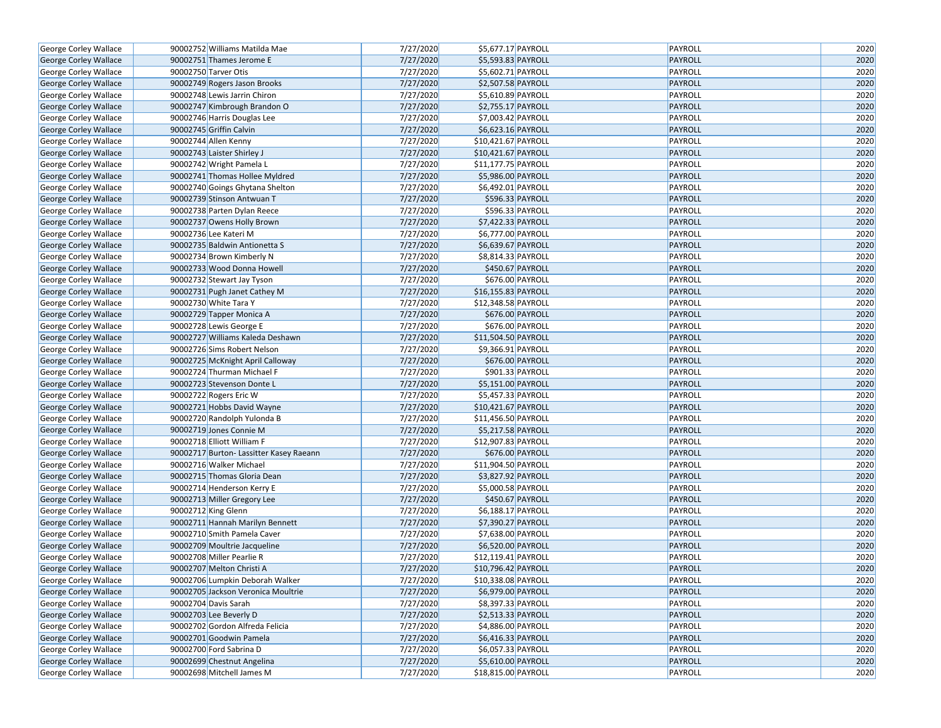| 7/27/2020<br>PAYROLL<br>2020<br>George Corley Wallace<br>90002751 Thames Jerome E<br>\$5,593.83 PAYROLL<br>90002750 Tarver Otis<br>7/27/2020<br>\$5,602.71 PAYROLL<br>PAYROLL<br>2020<br>George Corley Wallace<br>2020<br>7/27/2020<br>\$2,507.58 PAYROLL<br>PAYROLL<br><b>George Corley Wallace</b><br>90002749 Rogers Jason Brooks<br>7/27/2020<br>\$5,610.89 PAYROLL<br>PAYROLL<br>2020<br>George Corley Wallace<br>90002748 Lewis Jarrin Chiron<br>90002747 Kimbrough Brandon O<br>7/27/2020<br>\$2,755.17 PAYROLL<br>2020<br>George Corley Wallace<br>PAYROLL<br>7/27/2020<br>2020<br>90002746 Harris Douglas Lee<br>\$7,003.42 PAYROLL<br>PAYROLL<br>George Corley Wallace<br>2020<br>7/27/2020<br>PAYROLL<br>George Corley Wallace<br>90002745 Griffin Calvin<br>\$6,623.16 PAYROLL<br>7/27/2020<br>2020<br>90002744 Allen Kenny<br>\$10,421.67 PAYROLL<br>PAYROLL<br>George Corley Wallace<br>7/27/2020<br>PAYROLL<br>2020<br>90002743 Laister Shirley J<br>\$10,421.67 PAYROLL<br>George Corley Wallace<br>90002742 Wright Pamela L<br>7/27/2020<br>\$11,177.75 PAYROLL<br>PAYROLL<br>2020<br>George Corley Wallace<br>2020<br>7/27/2020<br>\$5,986.00 PAYROLL<br><b>PAYROLL</b><br>George Corley Wallace<br>90002741 Thomas Hollee Myldred<br>7/27/2020<br>\$6,492.01 PAYROLL<br>PAYROLL<br>2020<br>George Corley Wallace<br>90002740 Goings Ghytana Shelton<br>2020<br>7/27/2020<br>\$596.33 PAYROLL<br>George Corley Wallace<br>90002739 Stinson Antwuan T<br>PAYROLL<br>90002738 Parten Dylan Reece<br>7/27/2020<br>\$596.33 PAYROLL<br>PAYROLL<br>2020<br>George Corley Wallace<br>7/27/2020<br>PAYROLL<br>2020<br>George Corley Wallace<br>90002737 Owens Holly Brown<br>\$7,422.33 PAYROLL<br>90002736 Lee Kateri M<br>7/27/2020<br>\$6,777.00 PAYROLL<br>PAYROLL<br>2020<br>George Corley Wallace<br>7/27/2020<br>\$6,639.67 PAYROLL<br>PAYROLL<br>2020<br>90002735 Baldwin Antionetta S<br>George Corley Wallace<br>90002734 Brown Kimberly N<br>7/27/2020<br>$\overline{$8,814.33}$ PAYROLL<br>PAYROLL<br>2020<br>George Corley Wallace<br>7/27/2020<br>\$450.67 PAYROLL<br>2020<br>90002733 Wood Donna Howell<br>PAYROLL<br>George Corley Wallace<br>7/27/2020<br>\$676.00 PAYROLL<br>PAYROLL<br>2020<br>George Corley Wallace<br>90002732 Stewart Jay Tyson<br>2020<br>7/27/2020<br>\$16,155.83 PAYROLL<br>PAYROLL<br>George Corley Wallace<br>90002731 Pugh Janet Cathey M<br>7/27/2020<br>PAYROLL<br>2020<br>George Corley Wallace<br>90002730 White Tara Y<br>\$12,348.58 PAYROLL<br>2020<br>90002729 Tapper Monica A<br>7/27/2020<br>PAYROLL<br>George Corley Wallace<br>\$676.00 PAYROLL<br>2020<br>7/27/2020<br>\$676.00 PAYROLL<br>PAYROLL<br>George Corley Wallace<br>90002728 Lewis George E<br>7/27/2020<br>\$11,504.50 PAYROLL<br>PAYROLL<br>2020<br>George Corley Wallace<br>90002727 Williams Kaleda Deshawn<br>90002726 Sims Robert Nelson<br>7/27/2020<br>\$9,366.91 PAYROLL<br>PAYROLL<br>2020<br>George Corley Wallace<br>7/27/2020<br>2020<br>\$676.00 PAYROLL<br>PAYROLL<br>George Corley Wallace<br>90002725 McKnight April Calloway<br>2020<br>7/27/2020<br>\$901.33 PAYROLL<br>PAYROLL<br>George Corley Wallace<br>90002724 Thurman Michael F<br>2020<br>7/27/2020<br>\$5,151.00 PAYROLL<br>PAYROLL<br>George Corley Wallace<br>90002723 Stevenson Donte L<br>90002722 Rogers Eric W<br>7/27/2020<br>\$5,457.33 PAYROLL<br>PAYROLL<br>2020<br>George Corley Wallace<br>7/27/2020<br>\$10,421.67 PAYROLL<br>PAYROLL<br>2020<br>George Corley Wallace<br>90002721 Hobbs David Wayne<br>2020<br>90002720 Randolph Yulonda B<br>7/27/2020<br>\$11,456.50 PAYROLL<br>PAYROLL<br>George Corley Wallace<br>7/27/2020<br>2020<br>90002719 Jones Connie M<br>\$5,217.58 PAYROLL<br>PAYROLL<br>George Corley Wallace<br>7/27/2020<br>2020<br>George Corley Wallace<br>90002718 Elliott William F<br>\$12,907.83 PAYROLL<br>PAYROLL<br>7/27/2020<br>\$676.00 PAYROLL<br>PAYROLL<br>2020<br>George Corley Wallace<br>90002717 Burton- Lassitter Kasey Raeann<br>2020<br>7/27/2020<br>PAYROLL<br>George Corley Wallace<br>90002716 Walker Michael<br>\$11,904.50 PAYROLL<br>7/27/2020<br>\$3,827.92 PAYROLL<br>PAYROLL<br>2020<br>George Corley Wallace<br>90002715 Thomas Gloria Dean<br>7/27/2020<br>PAYROLL<br>2020<br>90002714 Henderson Kerry E<br>\$5,000.58 PAYROLL<br>George Corley Wallace<br>7/27/2020<br>\$450.67 PAYROLL<br>PAYROLL<br>2020<br>George Corley Wallace<br>90002713 Miller Gregory Lee<br>2020<br>7/27/2020<br>\$6,188.17 PAYROLL<br>PAYROLL<br>George Corley Wallace<br>90002712 King Glenn<br>7/27/2020<br>\$7,390.27 PAYROLL<br>PAYROLL<br>2020<br>George Corley Wallace<br>90002711 Hannah Marilyn Bennett<br>7/27/2020<br>\$7,638.00 PAYROLL<br>2020<br>George Corley Wallace<br>90002710 Smith Pamela Caver<br>PAYROLL<br>7/27/2020<br>\$6,520.00 PAYROLL<br>PAYROLL<br>2020<br>George Corley Wallace<br>90002709 Moultrie Jacqueline<br>7/27/2020<br>2020<br>George Corley Wallace<br>90002708 Miller Pearlie R<br>\$12,119.41 PAYROLL<br>PAYROLL<br>2020<br>7/27/2020<br>\$10,796.42 PAYROLL<br>PAYROLL<br>George Corley Wallace<br>90002707 Melton Christi A<br><b>George Corley Wallace</b><br>7/27/2020<br>\$10,338.08 PAYROLL<br>PAYROLL<br>2020<br>90002706 Lumpkin Deborah Walker<br>7/27/2020<br>2020<br>George Corley Wallace<br>90002705 Jackson Veronica Moultrie<br>\$6,979.00 PAYROLL<br>PAYROLL<br>George Corley Wallace<br>90002704 Davis Sarah<br>7/27/2020<br>\$8,397.33 PAYROLL<br>PAYROLL<br>2020<br>90002703 Lee Beverly D<br>7/27/2020<br>PAYROLL<br>2020<br>George Corley Wallace<br>\$2,513.33 PAYROLL<br>George Corley Wallace<br>90002702 Gordon Alfreda Felicia<br>7/27/2020<br>\$4,886.00 PAYROLL<br>PAYROLL<br>2020<br>90002701 Goodwin Pamela<br>7/27/2020<br>\$6,416.33 PAYROLL<br>PAYROLL<br>2020<br>George Corley Wallace<br>90002700 Ford Sabrina D<br>7/27/2020<br>PAYROLL<br>2020<br>George Corley Wallace<br>\$6,057.33 PAYROLL<br>90002699 Chestnut Angelina<br>7/27/2020<br>PAYROLL<br>2020<br>George Corley Wallace<br>\$5,610.00 PAYROLL<br>PAYROLL<br>George Corley Wallace<br>90002698 Mitchell James M<br>7/27/2020<br>\$18,815.00 PAYROLL<br>2020 | George Corley Wallace | 90002752 Williams Matilda Mae | 7/27/2020 | \$5,677.17 PAYROLL | PAYROLL | 2020 |
|-------------------------------------------------------------------------------------------------------------------------------------------------------------------------------------------------------------------------------------------------------------------------------------------------------------------------------------------------------------------------------------------------------------------------------------------------------------------------------------------------------------------------------------------------------------------------------------------------------------------------------------------------------------------------------------------------------------------------------------------------------------------------------------------------------------------------------------------------------------------------------------------------------------------------------------------------------------------------------------------------------------------------------------------------------------------------------------------------------------------------------------------------------------------------------------------------------------------------------------------------------------------------------------------------------------------------------------------------------------------------------------------------------------------------------------------------------------------------------------------------------------------------------------------------------------------------------------------------------------------------------------------------------------------------------------------------------------------------------------------------------------------------------------------------------------------------------------------------------------------------------------------------------------------------------------------------------------------------------------------------------------------------------------------------------------------------------------------------------------------------------------------------------------------------------------------------------------------------------------------------------------------------------------------------------------------------------------------------------------------------------------------------------------------------------------------------------------------------------------------------------------------------------------------------------------------------------------------------------------------------------------------------------------------------------------------------------------------------------------------------------------------------------------------------------------------------------------------------------------------------------------------------------------------------------------------------------------------------------------------------------------------------------------------------------------------------------------------------------------------------------------------------------------------------------------------------------------------------------------------------------------------------------------------------------------------------------------------------------------------------------------------------------------------------------------------------------------------------------------------------------------------------------------------------------------------------------------------------------------------------------------------------------------------------------------------------------------------------------------------------------------------------------------------------------------------------------------------------------------------------------------------------------------------------------------------------------------------------------------------------------------------------------------------------------------------------------------------------------------------------------------------------------------------------------------------------------------------------------------------------------------------------------------------------------------------------------------------------------------------------------------------------------------------------------------------------------------------------------------------------------------------------------------------------------------------------------------------------------------------------------------------------------------------------------------------------------------------------------------------------------------------------------------------------------------------------------------------------------------------------------------------------------------------------------------------------------------------------------------------------------------------------------------------------------------------------------------------------------------------------------------------------------------------------------------------------------------------------------------------------------------------------------------------------------------------------------------------------------------------------------------------------------------------------------------------------------------------------------------------------------------------------------------------------------------------------------------------------------------------------------------------------------------------------------------------------------------------------------------------------------------------------------------------------------------------------------------------------------------------------------------------------------------------------------------------------------------------------------------------------------------------------------------------------------------------------------------------------------------------------------------------------------------|-----------------------|-------------------------------|-----------|--------------------|---------|------|
|                                                                                                                                                                                                                                                                                                                                                                                                                                                                                                                                                                                                                                                                                                                                                                                                                                                                                                                                                                                                                                                                                                                                                                                                                                                                                                                                                                                                                                                                                                                                                                                                                                                                                                                                                                                                                                                                                                                                                                                                                                                                                                                                                                                                                                                                                                                                                                                                                                                                                                                                                                                                                                                                                                                                                                                                                                                                                                                                                                                                                                                                                                                                                                                                                                                                                                                                                                                                                                                                                                                                                                                                                                                                                                                                                                                                                                                                                                                                                                                                                                                                                                                                                                                                                                                                                                                                                                                                                                                                                                                                                                                                                                                                                                                                                                                                                                                                                                                                                                                                                                                                                                                                                                                                                                                                                                                                                                                                                                                                                                                                                                                                                                                                                                                                                                                                                                                                                                                                                                                                                                                                                                                                                             |                       |                               |           |                    |         |      |
|                                                                                                                                                                                                                                                                                                                                                                                                                                                                                                                                                                                                                                                                                                                                                                                                                                                                                                                                                                                                                                                                                                                                                                                                                                                                                                                                                                                                                                                                                                                                                                                                                                                                                                                                                                                                                                                                                                                                                                                                                                                                                                                                                                                                                                                                                                                                                                                                                                                                                                                                                                                                                                                                                                                                                                                                                                                                                                                                                                                                                                                                                                                                                                                                                                                                                                                                                                                                                                                                                                                                                                                                                                                                                                                                                                                                                                                                                                                                                                                                                                                                                                                                                                                                                                                                                                                                                                                                                                                                                                                                                                                                                                                                                                                                                                                                                                                                                                                                                                                                                                                                                                                                                                                                                                                                                                                                                                                                                                                                                                                                                                                                                                                                                                                                                                                                                                                                                                                                                                                                                                                                                                                                                             |                       |                               |           |                    |         |      |
|                                                                                                                                                                                                                                                                                                                                                                                                                                                                                                                                                                                                                                                                                                                                                                                                                                                                                                                                                                                                                                                                                                                                                                                                                                                                                                                                                                                                                                                                                                                                                                                                                                                                                                                                                                                                                                                                                                                                                                                                                                                                                                                                                                                                                                                                                                                                                                                                                                                                                                                                                                                                                                                                                                                                                                                                                                                                                                                                                                                                                                                                                                                                                                                                                                                                                                                                                                                                                                                                                                                                                                                                                                                                                                                                                                                                                                                                                                                                                                                                                                                                                                                                                                                                                                                                                                                                                                                                                                                                                                                                                                                                                                                                                                                                                                                                                                                                                                                                                                                                                                                                                                                                                                                                                                                                                                                                                                                                                                                                                                                                                                                                                                                                                                                                                                                                                                                                                                                                                                                                                                                                                                                                                             |                       |                               |           |                    |         |      |
|                                                                                                                                                                                                                                                                                                                                                                                                                                                                                                                                                                                                                                                                                                                                                                                                                                                                                                                                                                                                                                                                                                                                                                                                                                                                                                                                                                                                                                                                                                                                                                                                                                                                                                                                                                                                                                                                                                                                                                                                                                                                                                                                                                                                                                                                                                                                                                                                                                                                                                                                                                                                                                                                                                                                                                                                                                                                                                                                                                                                                                                                                                                                                                                                                                                                                                                                                                                                                                                                                                                                                                                                                                                                                                                                                                                                                                                                                                                                                                                                                                                                                                                                                                                                                                                                                                                                                                                                                                                                                                                                                                                                                                                                                                                                                                                                                                                                                                                                                                                                                                                                                                                                                                                                                                                                                                                                                                                                                                                                                                                                                                                                                                                                                                                                                                                                                                                                                                                                                                                                                                                                                                                                                             |                       |                               |           |                    |         |      |
|                                                                                                                                                                                                                                                                                                                                                                                                                                                                                                                                                                                                                                                                                                                                                                                                                                                                                                                                                                                                                                                                                                                                                                                                                                                                                                                                                                                                                                                                                                                                                                                                                                                                                                                                                                                                                                                                                                                                                                                                                                                                                                                                                                                                                                                                                                                                                                                                                                                                                                                                                                                                                                                                                                                                                                                                                                                                                                                                                                                                                                                                                                                                                                                                                                                                                                                                                                                                                                                                                                                                                                                                                                                                                                                                                                                                                                                                                                                                                                                                                                                                                                                                                                                                                                                                                                                                                                                                                                                                                                                                                                                                                                                                                                                                                                                                                                                                                                                                                                                                                                                                                                                                                                                                                                                                                                                                                                                                                                                                                                                                                                                                                                                                                                                                                                                                                                                                                                                                                                                                                                                                                                                                                             |                       |                               |           |                    |         |      |
|                                                                                                                                                                                                                                                                                                                                                                                                                                                                                                                                                                                                                                                                                                                                                                                                                                                                                                                                                                                                                                                                                                                                                                                                                                                                                                                                                                                                                                                                                                                                                                                                                                                                                                                                                                                                                                                                                                                                                                                                                                                                                                                                                                                                                                                                                                                                                                                                                                                                                                                                                                                                                                                                                                                                                                                                                                                                                                                                                                                                                                                                                                                                                                                                                                                                                                                                                                                                                                                                                                                                                                                                                                                                                                                                                                                                                                                                                                                                                                                                                                                                                                                                                                                                                                                                                                                                                                                                                                                                                                                                                                                                                                                                                                                                                                                                                                                                                                                                                                                                                                                                                                                                                                                                                                                                                                                                                                                                                                                                                                                                                                                                                                                                                                                                                                                                                                                                                                                                                                                                                                                                                                                                                             |                       |                               |           |                    |         |      |
|                                                                                                                                                                                                                                                                                                                                                                                                                                                                                                                                                                                                                                                                                                                                                                                                                                                                                                                                                                                                                                                                                                                                                                                                                                                                                                                                                                                                                                                                                                                                                                                                                                                                                                                                                                                                                                                                                                                                                                                                                                                                                                                                                                                                                                                                                                                                                                                                                                                                                                                                                                                                                                                                                                                                                                                                                                                                                                                                                                                                                                                                                                                                                                                                                                                                                                                                                                                                                                                                                                                                                                                                                                                                                                                                                                                                                                                                                                                                                                                                                                                                                                                                                                                                                                                                                                                                                                                                                                                                                                                                                                                                                                                                                                                                                                                                                                                                                                                                                                                                                                                                                                                                                                                                                                                                                                                                                                                                                                                                                                                                                                                                                                                                                                                                                                                                                                                                                                                                                                                                                                                                                                                                                             |                       |                               |           |                    |         |      |
|                                                                                                                                                                                                                                                                                                                                                                                                                                                                                                                                                                                                                                                                                                                                                                                                                                                                                                                                                                                                                                                                                                                                                                                                                                                                                                                                                                                                                                                                                                                                                                                                                                                                                                                                                                                                                                                                                                                                                                                                                                                                                                                                                                                                                                                                                                                                                                                                                                                                                                                                                                                                                                                                                                                                                                                                                                                                                                                                                                                                                                                                                                                                                                                                                                                                                                                                                                                                                                                                                                                                                                                                                                                                                                                                                                                                                                                                                                                                                                                                                                                                                                                                                                                                                                                                                                                                                                                                                                                                                                                                                                                                                                                                                                                                                                                                                                                                                                                                                                                                                                                                                                                                                                                                                                                                                                                                                                                                                                                                                                                                                                                                                                                                                                                                                                                                                                                                                                                                                                                                                                                                                                                                                             |                       |                               |           |                    |         |      |
|                                                                                                                                                                                                                                                                                                                                                                                                                                                                                                                                                                                                                                                                                                                                                                                                                                                                                                                                                                                                                                                                                                                                                                                                                                                                                                                                                                                                                                                                                                                                                                                                                                                                                                                                                                                                                                                                                                                                                                                                                                                                                                                                                                                                                                                                                                                                                                                                                                                                                                                                                                                                                                                                                                                                                                                                                                                                                                                                                                                                                                                                                                                                                                                                                                                                                                                                                                                                                                                                                                                                                                                                                                                                                                                                                                                                                                                                                                                                                                                                                                                                                                                                                                                                                                                                                                                                                                                                                                                                                                                                                                                                                                                                                                                                                                                                                                                                                                                                                                                                                                                                                                                                                                                                                                                                                                                                                                                                                                                                                                                                                                                                                                                                                                                                                                                                                                                                                                                                                                                                                                                                                                                                                             |                       |                               |           |                    |         |      |
|                                                                                                                                                                                                                                                                                                                                                                                                                                                                                                                                                                                                                                                                                                                                                                                                                                                                                                                                                                                                                                                                                                                                                                                                                                                                                                                                                                                                                                                                                                                                                                                                                                                                                                                                                                                                                                                                                                                                                                                                                                                                                                                                                                                                                                                                                                                                                                                                                                                                                                                                                                                                                                                                                                                                                                                                                                                                                                                                                                                                                                                                                                                                                                                                                                                                                                                                                                                                                                                                                                                                                                                                                                                                                                                                                                                                                                                                                                                                                                                                                                                                                                                                                                                                                                                                                                                                                                                                                                                                                                                                                                                                                                                                                                                                                                                                                                                                                                                                                                                                                                                                                                                                                                                                                                                                                                                                                                                                                                                                                                                                                                                                                                                                                                                                                                                                                                                                                                                                                                                                                                                                                                                                                             |                       |                               |           |                    |         |      |
|                                                                                                                                                                                                                                                                                                                                                                                                                                                                                                                                                                                                                                                                                                                                                                                                                                                                                                                                                                                                                                                                                                                                                                                                                                                                                                                                                                                                                                                                                                                                                                                                                                                                                                                                                                                                                                                                                                                                                                                                                                                                                                                                                                                                                                                                                                                                                                                                                                                                                                                                                                                                                                                                                                                                                                                                                                                                                                                                                                                                                                                                                                                                                                                                                                                                                                                                                                                                                                                                                                                                                                                                                                                                                                                                                                                                                                                                                                                                                                                                                                                                                                                                                                                                                                                                                                                                                                                                                                                                                                                                                                                                                                                                                                                                                                                                                                                                                                                                                                                                                                                                                                                                                                                                                                                                                                                                                                                                                                                                                                                                                                                                                                                                                                                                                                                                                                                                                                                                                                                                                                                                                                                                                             |                       |                               |           |                    |         |      |
|                                                                                                                                                                                                                                                                                                                                                                                                                                                                                                                                                                                                                                                                                                                                                                                                                                                                                                                                                                                                                                                                                                                                                                                                                                                                                                                                                                                                                                                                                                                                                                                                                                                                                                                                                                                                                                                                                                                                                                                                                                                                                                                                                                                                                                                                                                                                                                                                                                                                                                                                                                                                                                                                                                                                                                                                                                                                                                                                                                                                                                                                                                                                                                                                                                                                                                                                                                                                                                                                                                                                                                                                                                                                                                                                                                                                                                                                                                                                                                                                                                                                                                                                                                                                                                                                                                                                                                                                                                                                                                                                                                                                                                                                                                                                                                                                                                                                                                                                                                                                                                                                                                                                                                                                                                                                                                                                                                                                                                                                                                                                                                                                                                                                                                                                                                                                                                                                                                                                                                                                                                                                                                                                                             |                       |                               |           |                    |         |      |
|                                                                                                                                                                                                                                                                                                                                                                                                                                                                                                                                                                                                                                                                                                                                                                                                                                                                                                                                                                                                                                                                                                                                                                                                                                                                                                                                                                                                                                                                                                                                                                                                                                                                                                                                                                                                                                                                                                                                                                                                                                                                                                                                                                                                                                                                                                                                                                                                                                                                                                                                                                                                                                                                                                                                                                                                                                                                                                                                                                                                                                                                                                                                                                                                                                                                                                                                                                                                                                                                                                                                                                                                                                                                                                                                                                                                                                                                                                                                                                                                                                                                                                                                                                                                                                                                                                                                                                                                                                                                                                                                                                                                                                                                                                                                                                                                                                                                                                                                                                                                                                                                                                                                                                                                                                                                                                                                                                                                                                                                                                                                                                                                                                                                                                                                                                                                                                                                                                                                                                                                                                                                                                                                                             |                       |                               |           |                    |         |      |
|                                                                                                                                                                                                                                                                                                                                                                                                                                                                                                                                                                                                                                                                                                                                                                                                                                                                                                                                                                                                                                                                                                                                                                                                                                                                                                                                                                                                                                                                                                                                                                                                                                                                                                                                                                                                                                                                                                                                                                                                                                                                                                                                                                                                                                                                                                                                                                                                                                                                                                                                                                                                                                                                                                                                                                                                                                                                                                                                                                                                                                                                                                                                                                                                                                                                                                                                                                                                                                                                                                                                                                                                                                                                                                                                                                                                                                                                                                                                                                                                                                                                                                                                                                                                                                                                                                                                                                                                                                                                                                                                                                                                                                                                                                                                                                                                                                                                                                                                                                                                                                                                                                                                                                                                                                                                                                                                                                                                                                                                                                                                                                                                                                                                                                                                                                                                                                                                                                                                                                                                                                                                                                                                                             |                       |                               |           |                    |         |      |
|                                                                                                                                                                                                                                                                                                                                                                                                                                                                                                                                                                                                                                                                                                                                                                                                                                                                                                                                                                                                                                                                                                                                                                                                                                                                                                                                                                                                                                                                                                                                                                                                                                                                                                                                                                                                                                                                                                                                                                                                                                                                                                                                                                                                                                                                                                                                                                                                                                                                                                                                                                                                                                                                                                                                                                                                                                                                                                                                                                                                                                                                                                                                                                                                                                                                                                                                                                                                                                                                                                                                                                                                                                                                                                                                                                                                                                                                                                                                                                                                                                                                                                                                                                                                                                                                                                                                                                                                                                                                                                                                                                                                                                                                                                                                                                                                                                                                                                                                                                                                                                                                                                                                                                                                                                                                                                                                                                                                                                                                                                                                                                                                                                                                                                                                                                                                                                                                                                                                                                                                                                                                                                                                                             |                       |                               |           |                    |         |      |
|                                                                                                                                                                                                                                                                                                                                                                                                                                                                                                                                                                                                                                                                                                                                                                                                                                                                                                                                                                                                                                                                                                                                                                                                                                                                                                                                                                                                                                                                                                                                                                                                                                                                                                                                                                                                                                                                                                                                                                                                                                                                                                                                                                                                                                                                                                                                                                                                                                                                                                                                                                                                                                                                                                                                                                                                                                                                                                                                                                                                                                                                                                                                                                                                                                                                                                                                                                                                                                                                                                                                                                                                                                                                                                                                                                                                                                                                                                                                                                                                                                                                                                                                                                                                                                                                                                                                                                                                                                                                                                                                                                                                                                                                                                                                                                                                                                                                                                                                                                                                                                                                                                                                                                                                                                                                                                                                                                                                                                                                                                                                                                                                                                                                                                                                                                                                                                                                                                                                                                                                                                                                                                                                                             |                       |                               |           |                    |         |      |
|                                                                                                                                                                                                                                                                                                                                                                                                                                                                                                                                                                                                                                                                                                                                                                                                                                                                                                                                                                                                                                                                                                                                                                                                                                                                                                                                                                                                                                                                                                                                                                                                                                                                                                                                                                                                                                                                                                                                                                                                                                                                                                                                                                                                                                                                                                                                                                                                                                                                                                                                                                                                                                                                                                                                                                                                                                                                                                                                                                                                                                                                                                                                                                                                                                                                                                                                                                                                                                                                                                                                                                                                                                                                                                                                                                                                                                                                                                                                                                                                                                                                                                                                                                                                                                                                                                                                                                                                                                                                                                                                                                                                                                                                                                                                                                                                                                                                                                                                                                                                                                                                                                                                                                                                                                                                                                                                                                                                                                                                                                                                                                                                                                                                                                                                                                                                                                                                                                                                                                                                                                                                                                                                                             |                       |                               |           |                    |         |      |
|                                                                                                                                                                                                                                                                                                                                                                                                                                                                                                                                                                                                                                                                                                                                                                                                                                                                                                                                                                                                                                                                                                                                                                                                                                                                                                                                                                                                                                                                                                                                                                                                                                                                                                                                                                                                                                                                                                                                                                                                                                                                                                                                                                                                                                                                                                                                                                                                                                                                                                                                                                                                                                                                                                                                                                                                                                                                                                                                                                                                                                                                                                                                                                                                                                                                                                                                                                                                                                                                                                                                                                                                                                                                                                                                                                                                                                                                                                                                                                                                                                                                                                                                                                                                                                                                                                                                                                                                                                                                                                                                                                                                                                                                                                                                                                                                                                                                                                                                                                                                                                                                                                                                                                                                                                                                                                                                                                                                                                                                                                                                                                                                                                                                                                                                                                                                                                                                                                                                                                                                                                                                                                                                                             |                       |                               |           |                    |         |      |
|                                                                                                                                                                                                                                                                                                                                                                                                                                                                                                                                                                                                                                                                                                                                                                                                                                                                                                                                                                                                                                                                                                                                                                                                                                                                                                                                                                                                                                                                                                                                                                                                                                                                                                                                                                                                                                                                                                                                                                                                                                                                                                                                                                                                                                                                                                                                                                                                                                                                                                                                                                                                                                                                                                                                                                                                                                                                                                                                                                                                                                                                                                                                                                                                                                                                                                                                                                                                                                                                                                                                                                                                                                                                                                                                                                                                                                                                                                                                                                                                                                                                                                                                                                                                                                                                                                                                                                                                                                                                                                                                                                                                                                                                                                                                                                                                                                                                                                                                                                                                                                                                                                                                                                                                                                                                                                                                                                                                                                                                                                                                                                                                                                                                                                                                                                                                                                                                                                                                                                                                                                                                                                                                                             |                       |                               |           |                    |         |      |
|                                                                                                                                                                                                                                                                                                                                                                                                                                                                                                                                                                                                                                                                                                                                                                                                                                                                                                                                                                                                                                                                                                                                                                                                                                                                                                                                                                                                                                                                                                                                                                                                                                                                                                                                                                                                                                                                                                                                                                                                                                                                                                                                                                                                                                                                                                                                                                                                                                                                                                                                                                                                                                                                                                                                                                                                                                                                                                                                                                                                                                                                                                                                                                                                                                                                                                                                                                                                                                                                                                                                                                                                                                                                                                                                                                                                                                                                                                                                                                                                                                                                                                                                                                                                                                                                                                                                                                                                                                                                                                                                                                                                                                                                                                                                                                                                                                                                                                                                                                                                                                                                                                                                                                                                                                                                                                                                                                                                                                                                                                                                                                                                                                                                                                                                                                                                                                                                                                                                                                                                                                                                                                                                                             |                       |                               |           |                    |         |      |
|                                                                                                                                                                                                                                                                                                                                                                                                                                                                                                                                                                                                                                                                                                                                                                                                                                                                                                                                                                                                                                                                                                                                                                                                                                                                                                                                                                                                                                                                                                                                                                                                                                                                                                                                                                                                                                                                                                                                                                                                                                                                                                                                                                                                                                                                                                                                                                                                                                                                                                                                                                                                                                                                                                                                                                                                                                                                                                                                                                                                                                                                                                                                                                                                                                                                                                                                                                                                                                                                                                                                                                                                                                                                                                                                                                                                                                                                                                                                                                                                                                                                                                                                                                                                                                                                                                                                                                                                                                                                                                                                                                                                                                                                                                                                                                                                                                                                                                                                                                                                                                                                                                                                                                                                                                                                                                                                                                                                                                                                                                                                                                                                                                                                                                                                                                                                                                                                                                                                                                                                                                                                                                                                                             |                       |                               |           |                    |         |      |
|                                                                                                                                                                                                                                                                                                                                                                                                                                                                                                                                                                                                                                                                                                                                                                                                                                                                                                                                                                                                                                                                                                                                                                                                                                                                                                                                                                                                                                                                                                                                                                                                                                                                                                                                                                                                                                                                                                                                                                                                                                                                                                                                                                                                                                                                                                                                                                                                                                                                                                                                                                                                                                                                                                                                                                                                                                                                                                                                                                                                                                                                                                                                                                                                                                                                                                                                                                                                                                                                                                                                                                                                                                                                                                                                                                                                                                                                                                                                                                                                                                                                                                                                                                                                                                                                                                                                                                                                                                                                                                                                                                                                                                                                                                                                                                                                                                                                                                                                                                                                                                                                                                                                                                                                                                                                                                                                                                                                                                                                                                                                                                                                                                                                                                                                                                                                                                                                                                                                                                                                                                                                                                                                                             |                       |                               |           |                    |         |      |
|                                                                                                                                                                                                                                                                                                                                                                                                                                                                                                                                                                                                                                                                                                                                                                                                                                                                                                                                                                                                                                                                                                                                                                                                                                                                                                                                                                                                                                                                                                                                                                                                                                                                                                                                                                                                                                                                                                                                                                                                                                                                                                                                                                                                                                                                                                                                                                                                                                                                                                                                                                                                                                                                                                                                                                                                                                                                                                                                                                                                                                                                                                                                                                                                                                                                                                                                                                                                                                                                                                                                                                                                                                                                                                                                                                                                                                                                                                                                                                                                                                                                                                                                                                                                                                                                                                                                                                                                                                                                                                                                                                                                                                                                                                                                                                                                                                                                                                                                                                                                                                                                                                                                                                                                                                                                                                                                                                                                                                                                                                                                                                                                                                                                                                                                                                                                                                                                                                                                                                                                                                                                                                                                                             |                       |                               |           |                    |         |      |
|                                                                                                                                                                                                                                                                                                                                                                                                                                                                                                                                                                                                                                                                                                                                                                                                                                                                                                                                                                                                                                                                                                                                                                                                                                                                                                                                                                                                                                                                                                                                                                                                                                                                                                                                                                                                                                                                                                                                                                                                                                                                                                                                                                                                                                                                                                                                                                                                                                                                                                                                                                                                                                                                                                                                                                                                                                                                                                                                                                                                                                                                                                                                                                                                                                                                                                                                                                                                                                                                                                                                                                                                                                                                                                                                                                                                                                                                                                                                                                                                                                                                                                                                                                                                                                                                                                                                                                                                                                                                                                                                                                                                                                                                                                                                                                                                                                                                                                                                                                                                                                                                                                                                                                                                                                                                                                                                                                                                                                                                                                                                                                                                                                                                                                                                                                                                                                                                                                                                                                                                                                                                                                                                                             |                       |                               |           |                    |         |      |
|                                                                                                                                                                                                                                                                                                                                                                                                                                                                                                                                                                                                                                                                                                                                                                                                                                                                                                                                                                                                                                                                                                                                                                                                                                                                                                                                                                                                                                                                                                                                                                                                                                                                                                                                                                                                                                                                                                                                                                                                                                                                                                                                                                                                                                                                                                                                                                                                                                                                                                                                                                                                                                                                                                                                                                                                                                                                                                                                                                                                                                                                                                                                                                                                                                                                                                                                                                                                                                                                                                                                                                                                                                                                                                                                                                                                                                                                                                                                                                                                                                                                                                                                                                                                                                                                                                                                                                                                                                                                                                                                                                                                                                                                                                                                                                                                                                                                                                                                                                                                                                                                                                                                                                                                                                                                                                                                                                                                                                                                                                                                                                                                                                                                                                                                                                                                                                                                                                                                                                                                                                                                                                                                                             |                       |                               |           |                    |         |      |
|                                                                                                                                                                                                                                                                                                                                                                                                                                                                                                                                                                                                                                                                                                                                                                                                                                                                                                                                                                                                                                                                                                                                                                                                                                                                                                                                                                                                                                                                                                                                                                                                                                                                                                                                                                                                                                                                                                                                                                                                                                                                                                                                                                                                                                                                                                                                                                                                                                                                                                                                                                                                                                                                                                                                                                                                                                                                                                                                                                                                                                                                                                                                                                                                                                                                                                                                                                                                                                                                                                                                                                                                                                                                                                                                                                                                                                                                                                                                                                                                                                                                                                                                                                                                                                                                                                                                                                                                                                                                                                                                                                                                                                                                                                                                                                                                                                                                                                                                                                                                                                                                                                                                                                                                                                                                                                                                                                                                                                                                                                                                                                                                                                                                                                                                                                                                                                                                                                                                                                                                                                                                                                                                                             |                       |                               |           |                    |         |      |
|                                                                                                                                                                                                                                                                                                                                                                                                                                                                                                                                                                                                                                                                                                                                                                                                                                                                                                                                                                                                                                                                                                                                                                                                                                                                                                                                                                                                                                                                                                                                                                                                                                                                                                                                                                                                                                                                                                                                                                                                                                                                                                                                                                                                                                                                                                                                                                                                                                                                                                                                                                                                                                                                                                                                                                                                                                                                                                                                                                                                                                                                                                                                                                                                                                                                                                                                                                                                                                                                                                                                                                                                                                                                                                                                                                                                                                                                                                                                                                                                                                                                                                                                                                                                                                                                                                                                                                                                                                                                                                                                                                                                                                                                                                                                                                                                                                                                                                                                                                                                                                                                                                                                                                                                                                                                                                                                                                                                                                                                                                                                                                                                                                                                                                                                                                                                                                                                                                                                                                                                                                                                                                                                                             |                       |                               |           |                    |         |      |
|                                                                                                                                                                                                                                                                                                                                                                                                                                                                                                                                                                                                                                                                                                                                                                                                                                                                                                                                                                                                                                                                                                                                                                                                                                                                                                                                                                                                                                                                                                                                                                                                                                                                                                                                                                                                                                                                                                                                                                                                                                                                                                                                                                                                                                                                                                                                                                                                                                                                                                                                                                                                                                                                                                                                                                                                                                                                                                                                                                                                                                                                                                                                                                                                                                                                                                                                                                                                                                                                                                                                                                                                                                                                                                                                                                                                                                                                                                                                                                                                                                                                                                                                                                                                                                                                                                                                                                                                                                                                                                                                                                                                                                                                                                                                                                                                                                                                                                                                                                                                                                                                                                                                                                                                                                                                                                                                                                                                                                                                                                                                                                                                                                                                                                                                                                                                                                                                                                                                                                                                                                                                                                                                                             |                       |                               |           |                    |         |      |
|                                                                                                                                                                                                                                                                                                                                                                                                                                                                                                                                                                                                                                                                                                                                                                                                                                                                                                                                                                                                                                                                                                                                                                                                                                                                                                                                                                                                                                                                                                                                                                                                                                                                                                                                                                                                                                                                                                                                                                                                                                                                                                                                                                                                                                                                                                                                                                                                                                                                                                                                                                                                                                                                                                                                                                                                                                                                                                                                                                                                                                                                                                                                                                                                                                                                                                                                                                                                                                                                                                                                                                                                                                                                                                                                                                                                                                                                                                                                                                                                                                                                                                                                                                                                                                                                                                                                                                                                                                                                                                                                                                                                                                                                                                                                                                                                                                                                                                                                                                                                                                                                                                                                                                                                                                                                                                                                                                                                                                                                                                                                                                                                                                                                                                                                                                                                                                                                                                                                                                                                                                                                                                                                                             |                       |                               |           |                    |         |      |
|                                                                                                                                                                                                                                                                                                                                                                                                                                                                                                                                                                                                                                                                                                                                                                                                                                                                                                                                                                                                                                                                                                                                                                                                                                                                                                                                                                                                                                                                                                                                                                                                                                                                                                                                                                                                                                                                                                                                                                                                                                                                                                                                                                                                                                                                                                                                                                                                                                                                                                                                                                                                                                                                                                                                                                                                                                                                                                                                                                                                                                                                                                                                                                                                                                                                                                                                                                                                                                                                                                                                                                                                                                                                                                                                                                                                                                                                                                                                                                                                                                                                                                                                                                                                                                                                                                                                                                                                                                                                                                                                                                                                                                                                                                                                                                                                                                                                                                                                                                                                                                                                                                                                                                                                                                                                                                                                                                                                                                                                                                                                                                                                                                                                                                                                                                                                                                                                                                                                                                                                                                                                                                                                                             |                       |                               |           |                    |         |      |
|                                                                                                                                                                                                                                                                                                                                                                                                                                                                                                                                                                                                                                                                                                                                                                                                                                                                                                                                                                                                                                                                                                                                                                                                                                                                                                                                                                                                                                                                                                                                                                                                                                                                                                                                                                                                                                                                                                                                                                                                                                                                                                                                                                                                                                                                                                                                                                                                                                                                                                                                                                                                                                                                                                                                                                                                                                                                                                                                                                                                                                                                                                                                                                                                                                                                                                                                                                                                                                                                                                                                                                                                                                                                                                                                                                                                                                                                                                                                                                                                                                                                                                                                                                                                                                                                                                                                                                                                                                                                                                                                                                                                                                                                                                                                                                                                                                                                                                                                                                                                                                                                                                                                                                                                                                                                                                                                                                                                                                                                                                                                                                                                                                                                                                                                                                                                                                                                                                                                                                                                                                                                                                                                                             |                       |                               |           |                    |         |      |
|                                                                                                                                                                                                                                                                                                                                                                                                                                                                                                                                                                                                                                                                                                                                                                                                                                                                                                                                                                                                                                                                                                                                                                                                                                                                                                                                                                                                                                                                                                                                                                                                                                                                                                                                                                                                                                                                                                                                                                                                                                                                                                                                                                                                                                                                                                                                                                                                                                                                                                                                                                                                                                                                                                                                                                                                                                                                                                                                                                                                                                                                                                                                                                                                                                                                                                                                                                                                                                                                                                                                                                                                                                                                                                                                                                                                                                                                                                                                                                                                                                                                                                                                                                                                                                                                                                                                                                                                                                                                                                                                                                                                                                                                                                                                                                                                                                                                                                                                                                                                                                                                                                                                                                                                                                                                                                                                                                                                                                                                                                                                                                                                                                                                                                                                                                                                                                                                                                                                                                                                                                                                                                                                                             |                       |                               |           |                    |         |      |
|                                                                                                                                                                                                                                                                                                                                                                                                                                                                                                                                                                                                                                                                                                                                                                                                                                                                                                                                                                                                                                                                                                                                                                                                                                                                                                                                                                                                                                                                                                                                                                                                                                                                                                                                                                                                                                                                                                                                                                                                                                                                                                                                                                                                                                                                                                                                                                                                                                                                                                                                                                                                                                                                                                                                                                                                                                                                                                                                                                                                                                                                                                                                                                                                                                                                                                                                                                                                                                                                                                                                                                                                                                                                                                                                                                                                                                                                                                                                                                                                                                                                                                                                                                                                                                                                                                                                                                                                                                                                                                                                                                                                                                                                                                                                                                                                                                                                                                                                                                                                                                                                                                                                                                                                                                                                                                                                                                                                                                                                                                                                                                                                                                                                                                                                                                                                                                                                                                                                                                                                                                                                                                                                                             |                       |                               |           |                    |         |      |
|                                                                                                                                                                                                                                                                                                                                                                                                                                                                                                                                                                                                                                                                                                                                                                                                                                                                                                                                                                                                                                                                                                                                                                                                                                                                                                                                                                                                                                                                                                                                                                                                                                                                                                                                                                                                                                                                                                                                                                                                                                                                                                                                                                                                                                                                                                                                                                                                                                                                                                                                                                                                                                                                                                                                                                                                                                                                                                                                                                                                                                                                                                                                                                                                                                                                                                                                                                                                                                                                                                                                                                                                                                                                                                                                                                                                                                                                                                                                                                                                                                                                                                                                                                                                                                                                                                                                                                                                                                                                                                                                                                                                                                                                                                                                                                                                                                                                                                                                                                                                                                                                                                                                                                                                                                                                                                                                                                                                                                                                                                                                                                                                                                                                                                                                                                                                                                                                                                                                                                                                                                                                                                                                                             |                       |                               |           |                    |         |      |
|                                                                                                                                                                                                                                                                                                                                                                                                                                                                                                                                                                                                                                                                                                                                                                                                                                                                                                                                                                                                                                                                                                                                                                                                                                                                                                                                                                                                                                                                                                                                                                                                                                                                                                                                                                                                                                                                                                                                                                                                                                                                                                                                                                                                                                                                                                                                                                                                                                                                                                                                                                                                                                                                                                                                                                                                                                                                                                                                                                                                                                                                                                                                                                                                                                                                                                                                                                                                                                                                                                                                                                                                                                                                                                                                                                                                                                                                                                                                                                                                                                                                                                                                                                                                                                                                                                                                                                                                                                                                                                                                                                                                                                                                                                                                                                                                                                                                                                                                                                                                                                                                                                                                                                                                                                                                                                                                                                                                                                                                                                                                                                                                                                                                                                                                                                                                                                                                                                                                                                                                                                                                                                                                                             |                       |                               |           |                    |         |      |
|                                                                                                                                                                                                                                                                                                                                                                                                                                                                                                                                                                                                                                                                                                                                                                                                                                                                                                                                                                                                                                                                                                                                                                                                                                                                                                                                                                                                                                                                                                                                                                                                                                                                                                                                                                                                                                                                                                                                                                                                                                                                                                                                                                                                                                                                                                                                                                                                                                                                                                                                                                                                                                                                                                                                                                                                                                                                                                                                                                                                                                                                                                                                                                                                                                                                                                                                                                                                                                                                                                                                                                                                                                                                                                                                                                                                                                                                                                                                                                                                                                                                                                                                                                                                                                                                                                                                                                                                                                                                                                                                                                                                                                                                                                                                                                                                                                                                                                                                                                                                                                                                                                                                                                                                                                                                                                                                                                                                                                                                                                                                                                                                                                                                                                                                                                                                                                                                                                                                                                                                                                                                                                                                                             |                       |                               |           |                    |         |      |
|                                                                                                                                                                                                                                                                                                                                                                                                                                                                                                                                                                                                                                                                                                                                                                                                                                                                                                                                                                                                                                                                                                                                                                                                                                                                                                                                                                                                                                                                                                                                                                                                                                                                                                                                                                                                                                                                                                                                                                                                                                                                                                                                                                                                                                                                                                                                                                                                                                                                                                                                                                                                                                                                                                                                                                                                                                                                                                                                                                                                                                                                                                                                                                                                                                                                                                                                                                                                                                                                                                                                                                                                                                                                                                                                                                                                                                                                                                                                                                                                                                                                                                                                                                                                                                                                                                                                                                                                                                                                                                                                                                                                                                                                                                                                                                                                                                                                                                                                                                                                                                                                                                                                                                                                                                                                                                                                                                                                                                                                                                                                                                                                                                                                                                                                                                                                                                                                                                                                                                                                                                                                                                                                                             |                       |                               |           |                    |         |      |
|                                                                                                                                                                                                                                                                                                                                                                                                                                                                                                                                                                                                                                                                                                                                                                                                                                                                                                                                                                                                                                                                                                                                                                                                                                                                                                                                                                                                                                                                                                                                                                                                                                                                                                                                                                                                                                                                                                                                                                                                                                                                                                                                                                                                                                                                                                                                                                                                                                                                                                                                                                                                                                                                                                                                                                                                                                                                                                                                                                                                                                                                                                                                                                                                                                                                                                                                                                                                                                                                                                                                                                                                                                                                                                                                                                                                                                                                                                                                                                                                                                                                                                                                                                                                                                                                                                                                                                                                                                                                                                                                                                                                                                                                                                                                                                                                                                                                                                                                                                                                                                                                                                                                                                                                                                                                                                                                                                                                                                                                                                                                                                                                                                                                                                                                                                                                                                                                                                                                                                                                                                                                                                                                                             |                       |                               |           |                    |         |      |
|                                                                                                                                                                                                                                                                                                                                                                                                                                                                                                                                                                                                                                                                                                                                                                                                                                                                                                                                                                                                                                                                                                                                                                                                                                                                                                                                                                                                                                                                                                                                                                                                                                                                                                                                                                                                                                                                                                                                                                                                                                                                                                                                                                                                                                                                                                                                                                                                                                                                                                                                                                                                                                                                                                                                                                                                                                                                                                                                                                                                                                                                                                                                                                                                                                                                                                                                                                                                                                                                                                                                                                                                                                                                                                                                                                                                                                                                                                                                                                                                                                                                                                                                                                                                                                                                                                                                                                                                                                                                                                                                                                                                                                                                                                                                                                                                                                                                                                                                                                                                                                                                                                                                                                                                                                                                                                                                                                                                                                                                                                                                                                                                                                                                                                                                                                                                                                                                                                                                                                                                                                                                                                                                                             |                       |                               |           |                    |         |      |
|                                                                                                                                                                                                                                                                                                                                                                                                                                                                                                                                                                                                                                                                                                                                                                                                                                                                                                                                                                                                                                                                                                                                                                                                                                                                                                                                                                                                                                                                                                                                                                                                                                                                                                                                                                                                                                                                                                                                                                                                                                                                                                                                                                                                                                                                                                                                                                                                                                                                                                                                                                                                                                                                                                                                                                                                                                                                                                                                                                                                                                                                                                                                                                                                                                                                                                                                                                                                                                                                                                                                                                                                                                                                                                                                                                                                                                                                                                                                                                                                                                                                                                                                                                                                                                                                                                                                                                                                                                                                                                                                                                                                                                                                                                                                                                                                                                                                                                                                                                                                                                                                                                                                                                                                                                                                                                                                                                                                                                                                                                                                                                                                                                                                                                                                                                                                                                                                                                                                                                                                                                                                                                                                                             |                       |                               |           |                    |         |      |
|                                                                                                                                                                                                                                                                                                                                                                                                                                                                                                                                                                                                                                                                                                                                                                                                                                                                                                                                                                                                                                                                                                                                                                                                                                                                                                                                                                                                                                                                                                                                                                                                                                                                                                                                                                                                                                                                                                                                                                                                                                                                                                                                                                                                                                                                                                                                                                                                                                                                                                                                                                                                                                                                                                                                                                                                                                                                                                                                                                                                                                                                                                                                                                                                                                                                                                                                                                                                                                                                                                                                                                                                                                                                                                                                                                                                                                                                                                                                                                                                                                                                                                                                                                                                                                                                                                                                                                                                                                                                                                                                                                                                                                                                                                                                                                                                                                                                                                                                                                                                                                                                                                                                                                                                                                                                                                                                                                                                                                                                                                                                                                                                                                                                                                                                                                                                                                                                                                                                                                                                                                                                                                                                                             |                       |                               |           |                    |         |      |
|                                                                                                                                                                                                                                                                                                                                                                                                                                                                                                                                                                                                                                                                                                                                                                                                                                                                                                                                                                                                                                                                                                                                                                                                                                                                                                                                                                                                                                                                                                                                                                                                                                                                                                                                                                                                                                                                                                                                                                                                                                                                                                                                                                                                                                                                                                                                                                                                                                                                                                                                                                                                                                                                                                                                                                                                                                                                                                                                                                                                                                                                                                                                                                                                                                                                                                                                                                                                                                                                                                                                                                                                                                                                                                                                                                                                                                                                                                                                                                                                                                                                                                                                                                                                                                                                                                                                                                                                                                                                                                                                                                                                                                                                                                                                                                                                                                                                                                                                                                                                                                                                                                                                                                                                                                                                                                                                                                                                                                                                                                                                                                                                                                                                                                                                                                                                                                                                                                                                                                                                                                                                                                                                                             |                       |                               |           |                    |         |      |
|                                                                                                                                                                                                                                                                                                                                                                                                                                                                                                                                                                                                                                                                                                                                                                                                                                                                                                                                                                                                                                                                                                                                                                                                                                                                                                                                                                                                                                                                                                                                                                                                                                                                                                                                                                                                                                                                                                                                                                                                                                                                                                                                                                                                                                                                                                                                                                                                                                                                                                                                                                                                                                                                                                                                                                                                                                                                                                                                                                                                                                                                                                                                                                                                                                                                                                                                                                                                                                                                                                                                                                                                                                                                                                                                                                                                                                                                                                                                                                                                                                                                                                                                                                                                                                                                                                                                                                                                                                                                                                                                                                                                                                                                                                                                                                                                                                                                                                                                                                                                                                                                                                                                                                                                                                                                                                                                                                                                                                                                                                                                                                                                                                                                                                                                                                                                                                                                                                                                                                                                                                                                                                                                                             |                       |                               |           |                    |         |      |
|                                                                                                                                                                                                                                                                                                                                                                                                                                                                                                                                                                                                                                                                                                                                                                                                                                                                                                                                                                                                                                                                                                                                                                                                                                                                                                                                                                                                                                                                                                                                                                                                                                                                                                                                                                                                                                                                                                                                                                                                                                                                                                                                                                                                                                                                                                                                                                                                                                                                                                                                                                                                                                                                                                                                                                                                                                                                                                                                                                                                                                                                                                                                                                                                                                                                                                                                                                                                                                                                                                                                                                                                                                                                                                                                                                                                                                                                                                                                                                                                                                                                                                                                                                                                                                                                                                                                                                                                                                                                                                                                                                                                                                                                                                                                                                                                                                                                                                                                                                                                                                                                                                                                                                                                                                                                                                                                                                                                                                                                                                                                                                                                                                                                                                                                                                                                                                                                                                                                                                                                                                                                                                                                                             |                       |                               |           |                    |         |      |
|                                                                                                                                                                                                                                                                                                                                                                                                                                                                                                                                                                                                                                                                                                                                                                                                                                                                                                                                                                                                                                                                                                                                                                                                                                                                                                                                                                                                                                                                                                                                                                                                                                                                                                                                                                                                                                                                                                                                                                                                                                                                                                                                                                                                                                                                                                                                                                                                                                                                                                                                                                                                                                                                                                                                                                                                                                                                                                                                                                                                                                                                                                                                                                                                                                                                                                                                                                                                                                                                                                                                                                                                                                                                                                                                                                                                                                                                                                                                                                                                                                                                                                                                                                                                                                                                                                                                                                                                                                                                                                                                                                                                                                                                                                                                                                                                                                                                                                                                                                                                                                                                                                                                                                                                                                                                                                                                                                                                                                                                                                                                                                                                                                                                                                                                                                                                                                                                                                                                                                                                                                                                                                                                                             |                       |                               |           |                    |         |      |
|                                                                                                                                                                                                                                                                                                                                                                                                                                                                                                                                                                                                                                                                                                                                                                                                                                                                                                                                                                                                                                                                                                                                                                                                                                                                                                                                                                                                                                                                                                                                                                                                                                                                                                                                                                                                                                                                                                                                                                                                                                                                                                                                                                                                                                                                                                                                                                                                                                                                                                                                                                                                                                                                                                                                                                                                                                                                                                                                                                                                                                                                                                                                                                                                                                                                                                                                                                                                                                                                                                                                                                                                                                                                                                                                                                                                                                                                                                                                                                                                                                                                                                                                                                                                                                                                                                                                                                                                                                                                                                                                                                                                                                                                                                                                                                                                                                                                                                                                                                                                                                                                                                                                                                                                                                                                                                                                                                                                                                                                                                                                                                                                                                                                                                                                                                                                                                                                                                                                                                                                                                                                                                                                                             |                       |                               |           |                    |         |      |
|                                                                                                                                                                                                                                                                                                                                                                                                                                                                                                                                                                                                                                                                                                                                                                                                                                                                                                                                                                                                                                                                                                                                                                                                                                                                                                                                                                                                                                                                                                                                                                                                                                                                                                                                                                                                                                                                                                                                                                                                                                                                                                                                                                                                                                                                                                                                                                                                                                                                                                                                                                                                                                                                                                                                                                                                                                                                                                                                                                                                                                                                                                                                                                                                                                                                                                                                                                                                                                                                                                                                                                                                                                                                                                                                                                                                                                                                                                                                                                                                                                                                                                                                                                                                                                                                                                                                                                                                                                                                                                                                                                                                                                                                                                                                                                                                                                                                                                                                                                                                                                                                                                                                                                                                                                                                                                                                                                                                                                                                                                                                                                                                                                                                                                                                                                                                                                                                                                                                                                                                                                                                                                                                                             |                       |                               |           |                    |         |      |
|                                                                                                                                                                                                                                                                                                                                                                                                                                                                                                                                                                                                                                                                                                                                                                                                                                                                                                                                                                                                                                                                                                                                                                                                                                                                                                                                                                                                                                                                                                                                                                                                                                                                                                                                                                                                                                                                                                                                                                                                                                                                                                                                                                                                                                                                                                                                                                                                                                                                                                                                                                                                                                                                                                                                                                                                                                                                                                                                                                                                                                                                                                                                                                                                                                                                                                                                                                                                                                                                                                                                                                                                                                                                                                                                                                                                                                                                                                                                                                                                                                                                                                                                                                                                                                                                                                                                                                                                                                                                                                                                                                                                                                                                                                                                                                                                                                                                                                                                                                                                                                                                                                                                                                                                                                                                                                                                                                                                                                                                                                                                                                                                                                                                                                                                                                                                                                                                                                                                                                                                                                                                                                                                                             |                       |                               |           |                    |         |      |
|                                                                                                                                                                                                                                                                                                                                                                                                                                                                                                                                                                                                                                                                                                                                                                                                                                                                                                                                                                                                                                                                                                                                                                                                                                                                                                                                                                                                                                                                                                                                                                                                                                                                                                                                                                                                                                                                                                                                                                                                                                                                                                                                                                                                                                                                                                                                                                                                                                                                                                                                                                                                                                                                                                                                                                                                                                                                                                                                                                                                                                                                                                                                                                                                                                                                                                                                                                                                                                                                                                                                                                                                                                                                                                                                                                                                                                                                                                                                                                                                                                                                                                                                                                                                                                                                                                                                                                                                                                                                                                                                                                                                                                                                                                                                                                                                                                                                                                                                                                                                                                                                                                                                                                                                                                                                                                                                                                                                                                                                                                                                                                                                                                                                                                                                                                                                                                                                                                                                                                                                                                                                                                                                                             |                       |                               |           |                    |         |      |
|                                                                                                                                                                                                                                                                                                                                                                                                                                                                                                                                                                                                                                                                                                                                                                                                                                                                                                                                                                                                                                                                                                                                                                                                                                                                                                                                                                                                                                                                                                                                                                                                                                                                                                                                                                                                                                                                                                                                                                                                                                                                                                                                                                                                                                                                                                                                                                                                                                                                                                                                                                                                                                                                                                                                                                                                                                                                                                                                                                                                                                                                                                                                                                                                                                                                                                                                                                                                                                                                                                                                                                                                                                                                                                                                                                                                                                                                                                                                                                                                                                                                                                                                                                                                                                                                                                                                                                                                                                                                                                                                                                                                                                                                                                                                                                                                                                                                                                                                                                                                                                                                                                                                                                                                                                                                                                                                                                                                                                                                                                                                                                                                                                                                                                                                                                                                                                                                                                                                                                                                                                                                                                                                                             |                       |                               |           |                    |         |      |
|                                                                                                                                                                                                                                                                                                                                                                                                                                                                                                                                                                                                                                                                                                                                                                                                                                                                                                                                                                                                                                                                                                                                                                                                                                                                                                                                                                                                                                                                                                                                                                                                                                                                                                                                                                                                                                                                                                                                                                                                                                                                                                                                                                                                                                                                                                                                                                                                                                                                                                                                                                                                                                                                                                                                                                                                                                                                                                                                                                                                                                                                                                                                                                                                                                                                                                                                                                                                                                                                                                                                                                                                                                                                                                                                                                                                                                                                                                                                                                                                                                                                                                                                                                                                                                                                                                                                                                                                                                                                                                                                                                                                                                                                                                                                                                                                                                                                                                                                                                                                                                                                                                                                                                                                                                                                                                                                                                                                                                                                                                                                                                                                                                                                                                                                                                                                                                                                                                                                                                                                                                                                                                                                                             |                       |                               |           |                    |         |      |
|                                                                                                                                                                                                                                                                                                                                                                                                                                                                                                                                                                                                                                                                                                                                                                                                                                                                                                                                                                                                                                                                                                                                                                                                                                                                                                                                                                                                                                                                                                                                                                                                                                                                                                                                                                                                                                                                                                                                                                                                                                                                                                                                                                                                                                                                                                                                                                                                                                                                                                                                                                                                                                                                                                                                                                                                                                                                                                                                                                                                                                                                                                                                                                                                                                                                                                                                                                                                                                                                                                                                                                                                                                                                                                                                                                                                                                                                                                                                                                                                                                                                                                                                                                                                                                                                                                                                                                                                                                                                                                                                                                                                                                                                                                                                                                                                                                                                                                                                                                                                                                                                                                                                                                                                                                                                                                                                                                                                                                                                                                                                                                                                                                                                                                                                                                                                                                                                                                                                                                                                                                                                                                                                                             |                       |                               |           |                    |         |      |
|                                                                                                                                                                                                                                                                                                                                                                                                                                                                                                                                                                                                                                                                                                                                                                                                                                                                                                                                                                                                                                                                                                                                                                                                                                                                                                                                                                                                                                                                                                                                                                                                                                                                                                                                                                                                                                                                                                                                                                                                                                                                                                                                                                                                                                                                                                                                                                                                                                                                                                                                                                                                                                                                                                                                                                                                                                                                                                                                                                                                                                                                                                                                                                                                                                                                                                                                                                                                                                                                                                                                                                                                                                                                                                                                                                                                                                                                                                                                                                                                                                                                                                                                                                                                                                                                                                                                                                                                                                                                                                                                                                                                                                                                                                                                                                                                                                                                                                                                                                                                                                                                                                                                                                                                                                                                                                                                                                                                                                                                                                                                                                                                                                                                                                                                                                                                                                                                                                                                                                                                                                                                                                                                                             |                       |                               |           |                    |         |      |
|                                                                                                                                                                                                                                                                                                                                                                                                                                                                                                                                                                                                                                                                                                                                                                                                                                                                                                                                                                                                                                                                                                                                                                                                                                                                                                                                                                                                                                                                                                                                                                                                                                                                                                                                                                                                                                                                                                                                                                                                                                                                                                                                                                                                                                                                                                                                                                                                                                                                                                                                                                                                                                                                                                                                                                                                                                                                                                                                                                                                                                                                                                                                                                                                                                                                                                                                                                                                                                                                                                                                                                                                                                                                                                                                                                                                                                                                                                                                                                                                                                                                                                                                                                                                                                                                                                                                                                                                                                                                                                                                                                                                                                                                                                                                                                                                                                                                                                                                                                                                                                                                                                                                                                                                                                                                                                                                                                                                                                                                                                                                                                                                                                                                                                                                                                                                                                                                                                                                                                                                                                                                                                                                                             |                       |                               |           |                    |         |      |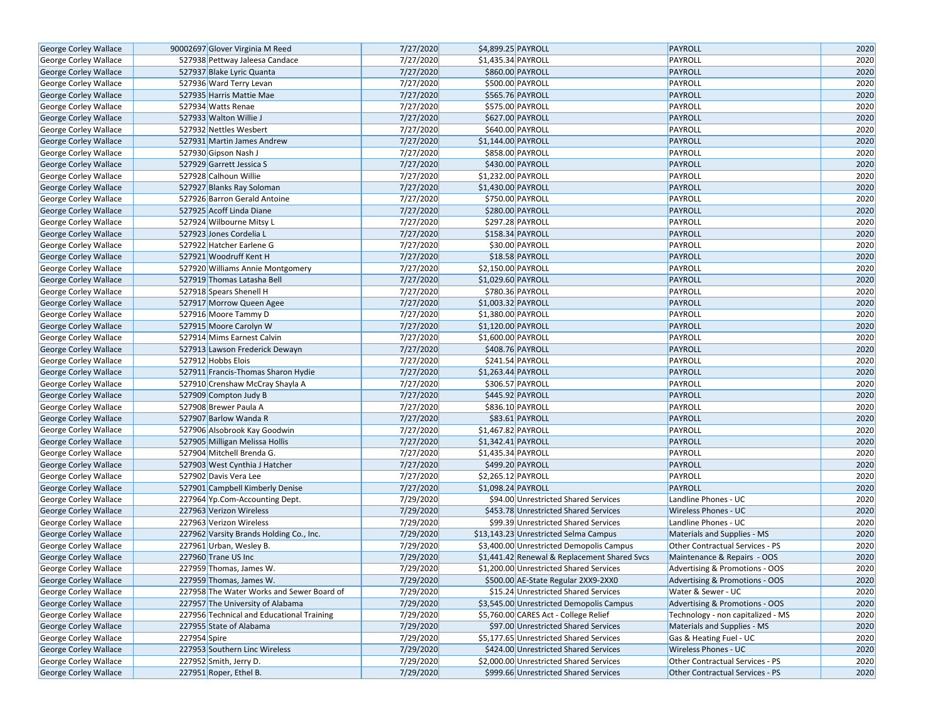| George Corley Wallace        | 90002697 Glover Virginia M Reed           | 7/27/2020 | \$4,899.25 PAYROLL                           | <b>PAYROLL</b>                    | 2020 |
|------------------------------|-------------------------------------------|-----------|----------------------------------------------|-----------------------------------|------|
| <b>George Corley Wallace</b> | 527938 Pettway Jaleesa Candace            | 7/27/2020 | \$1,435.34 PAYROLL                           | PAYROLL                           | 2020 |
| George Corley Wallace        | 527937 Blake Lyric Quanta                 | 7/27/2020 | \$860.00 PAYROLL                             | <b>PAYROLL</b>                    | 2020 |
| George Corley Wallace        | 527936 Ward Terry Levan                   | 7/27/2020 | \$500.00 PAYROLL                             | PAYROLL                           | 2020 |
| George Corley Wallace        | 527935 Harris Mattie Mae                  | 7/27/2020 | \$565.76 PAYROLL                             | <b>PAYROLL</b>                    | 2020 |
| George Corley Wallace        | 527934 Watts Renae                        | 7/27/2020 | \$575.00 PAYROLL                             | PAYROLL                           | 2020 |
| George Corley Wallace        | 527933 Walton Willie J                    | 7/27/2020 | \$627.00 PAYROLL                             | PAYROLL                           | 2020 |
| <b>George Corley Wallace</b> | 527932 Nettles Wesbert                    | 7/27/2020 | \$640.00 PAYROLL                             | PAYROLL                           | 2020 |
| George Corley Wallace        | 527931 Martin James Andrew                | 7/27/2020 | \$1,144.00 PAYROLL                           | PAYROLL                           | 2020 |
| George Corley Wallace        | 527930 Gipson Nash J                      | 7/27/2020 | \$858.00 PAYROLL                             | PAYROLL                           | 2020 |
| George Corley Wallace        | 527929 Garrett Jessica S                  | 7/27/2020 | \$430.00 PAYROLL                             | <b>PAYROLL</b>                    | 2020 |
| George Corley Wallace        | 527928 Calhoun Willie                     | 7/27/2020 | \$1,232.00 PAYROLL                           | PAYROLL                           | 2020 |
| <b>George Corley Wallace</b> | 527927 Blanks Ray Soloman                 | 7/27/2020 | \$1,430.00 PAYROLL                           | PAYROLL                           | 2020 |
| George Corley Wallace        | 527926 Barron Gerald Antoine              | 7/27/2020 | \$750.00 PAYROLL                             | PAYROLL                           | 2020 |
| <b>George Corley Wallace</b> | 527925 Acoff Linda Diane                  | 7/27/2020 | \$280.00 PAYROLL                             | PAYROLL                           | 2020 |
| George Corley Wallace        | 527924 Wilbourne Mitsy L                  | 7/27/2020 | \$297.28 PAYROLL                             | PAYROLL                           | 2020 |
| George Corley Wallace        | 527923 Jones Cordelia L                   | 7/27/2020 | \$158.34 PAYROLL                             | PAYROLL                           | 2020 |
| George Corley Wallace        | 527922 Hatcher Earlene G                  | 7/27/2020 | \$30.00 PAYROLL                              | PAYROLL                           | 2020 |
| George Corley Wallace        | 527921 Woodruff Kent H                    | 7/27/2020 | \$18.58 PAYROLL                              | PAYROLL                           | 2020 |
| George Corley Wallace        | 527920 Williams Annie Montgomery          | 7/27/2020 | \$2,150.00 PAYROLL                           | PAYROLL                           | 2020 |
| George Corley Wallace        | 527919 Thomas Latasha Bell                | 7/27/2020 | \$1,029.60 PAYROLL                           | PAYROLL                           | 2020 |
| George Corley Wallace        | 527918 Spears Shenell H                   | 7/27/2020 | \$780.36 PAYROLL                             | PAYROLL                           | 2020 |
| George Corley Wallace        | 527917 Morrow Queen Agee                  | 7/27/2020 | \$1,003.32 PAYROLL                           | <b>PAYROLL</b>                    | 2020 |
| George Corley Wallace        | 527916 Moore Tammy D                      | 7/27/2020 | \$1,380.00 PAYROLL                           | PAYROLL                           | 2020 |
| George Corley Wallace        | 527915 Moore Carolyn W                    | 7/27/2020 | \$1,120.00 PAYROLL                           | PAYROLL                           | 2020 |
| George Corley Wallace        | 527914 Mims Earnest Calvin                | 7/27/2020 | \$1,600.00 PAYROLL                           | PAYROLL                           | 2020 |
| George Corley Wallace        | 527913 Lawson Frederick Dewayn            | 7/27/2020 | \$408.76 PAYROLL                             | <b>PAYROLL</b>                    | 2020 |
| George Corley Wallace        | 527912 Hobbs Elois                        | 7/27/2020 | \$241.54 PAYROLL                             | PAYROLL                           | 2020 |
| George Corley Wallace        | 527911 Francis-Thomas Sharon Hydie        | 7/27/2020 | \$1,263.44 PAYROLL                           | PAYROLL                           | 2020 |
| George Corley Wallace        | 527910 Crenshaw McCray Shayla A           | 7/27/2020 | \$306.57 PAYROLL                             | PAYROLL                           | 2020 |
| George Corley Wallace        | 527909 Compton Judy B                     | 7/27/2020 | \$445.92 PAYROLL                             | <b>PAYROLL</b>                    | 2020 |
| George Corley Wallace        | 527908 Brewer Paula A                     | 7/27/2020 | \$836.10 PAYROLL                             | PAYROLL                           | 2020 |
| George Corley Wallace        | 527907 Barlow Wanda R                     | 7/27/2020 | \$83.61 PAYROLL                              | PAYROLL                           | 2020 |
| George Corley Wallace        | 527906 Alsobrook Kay Goodwin              | 7/27/2020 | \$1,467.82 PAYROLL                           | PAYROLL                           | 2020 |
| George Corley Wallace        | 527905 Milligan Melissa Hollis            | 7/27/2020 | \$1,342.41 PAYROLL                           | PAYROLL                           | 2020 |
| George Corley Wallace        | 527904 Mitchell Brenda G.                 | 7/27/2020 | $\overline{$1,435.34}$ PAYROLL               | PAYROLL                           | 2020 |
| <b>George Corley Wallace</b> | 527903 West Cynthia J Hatcher             | 7/27/2020 | \$499.20 PAYROLL                             | PAYROLL                           | 2020 |
| George Corley Wallace        | 527902 Davis Vera Lee                     | 7/27/2020 | \$2,265.12 PAYROLL                           | PAYROLL                           | 2020 |
| George Corley Wallace        | 527901 Campbell Kimberly Denise           | 7/27/2020 | \$1,098.24 PAYROLL                           | PAYROLL                           | 2020 |
| George Corley Wallace        | 227964 Yp.Com-Accounting Dept.            | 7/29/2020 | \$94.00 Unrestricted Shared Services         | Landline Phones - UC              | 2020 |
| George Corley Wallace        | 227963 Verizon Wireless                   | 7/29/2020 | \$453.78 Unrestricted Shared Services        | Wireless Phones - UC              | 2020 |
| George Corley Wallace        | 227963 Verizon Wireless                   | 7/29/2020 | \$99.39 Unrestricted Shared Services         | Landline Phones - UC              | 2020 |
| <b>George Corley Wallace</b> | 227962 Varsity Brands Holding Co., Inc.   | 7/29/2020 | \$13,143.23 Unrestricted Selma Campus        | Materials and Supplies - MS       | 2020 |
| George Corley Wallace        | 227961 Urban, Wesley B.                   | 7/29/2020 | \$3,400.00 Unrestricted Demopolis Campus     | Other Contractual Services - PS   | 2020 |
| George Corley Wallace        | 227960 Trane US Inc                       | 7/29/2020 | \$1,441.42 Renewal & Replacement Shared Svcs | Maintenance & Repairs - OOS       | 2020 |
| George Corley Wallace        | 227959 Thomas, James W.                   | 7/29/2020 | \$1,200.00 Unrestricted Shared Services      | Advertising & Promotions - OOS    | 2020 |
| George Corley Wallace        | 227959 Thomas, James W.                   | 7/29/2020 | \$500.00 AE-State Regular 2XX9-2XX0          | Advertising & Promotions - OOS    | 2020 |
| <b>George Corley Wallace</b> | 227958 The Water Works and Sewer Board of | 7/29/2020 | \$15.24 Unrestricted Shared Services         | Water & Sewer - UC                | 2020 |
| George Corley Wallace        | 227957 The University of Alabama          | 7/29/2020 | \$3,545.00 Unrestricted Demopolis Campus     | Advertising & Promotions - OOS    | 2020 |
| <b>George Corley Wallace</b> | 227956 Technical and Educational Training | 7/29/2020 | \$5,760.00 CARES Act - College Relief        | Technology - non capitalized - MS | 2020 |
| <b>George Corley Wallace</b> | 227955 State of Alabama                   | 7/29/2020 | \$97.00 Unrestricted Shared Services         | Materials and Supplies - MS       | 2020 |
| <b>George Corley Wallace</b> | 227954 Spire                              | 7/29/2020 | \$5,177.65 Unrestricted Shared Services      | Gas & Heating Fuel - UC           | 2020 |
| George Corley Wallace        | 227953 Southern Linc Wireless             | 7/29/2020 | \$424.00 Unrestricted Shared Services        | Wireless Phones - UC              | 2020 |
| George Corley Wallace        | 227952 Smith, Jerry D.                    | 7/29/2020 | \$2,000.00 Unrestricted Shared Services      | Other Contractual Services - PS   | 2020 |
| George Corley Wallace        | 227951 Roper, Ethel B.                    | 7/29/2020 | \$999.66 Unrestricted Shared Services        | Other Contractual Services - PS   | 2020 |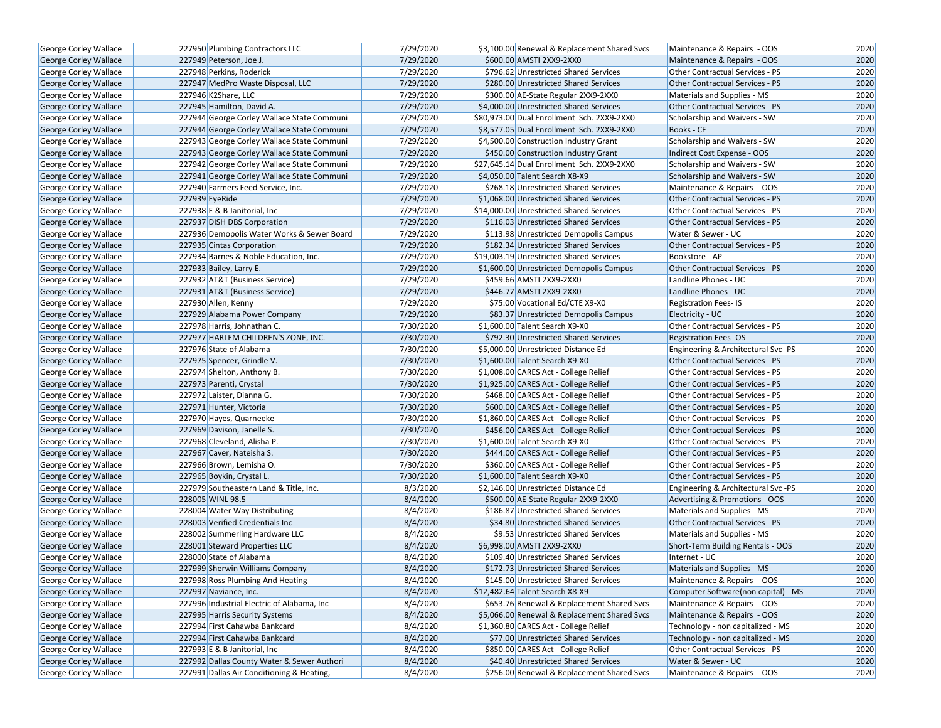| George Corley Wallace        | 227950 Plumbing Contractors LLC            | 7/29/2020 | \$3,100.00 Renewal & Replacement Shared Svcs | Maintenance & Repairs - OOS            | 2020 |
|------------------------------|--------------------------------------------|-----------|----------------------------------------------|----------------------------------------|------|
| <b>George Corley Wallace</b> | 227949 Peterson, Joe J.                    | 7/29/2020 | \$600.00 AMSTI 2XX9-2XX0                     | Maintenance & Repairs - OOS            | 2020 |
| George Corley Wallace        | 227948 Perkins, Roderick                   | 7/29/2020 | \$796.62 Unrestricted Shared Services        | Other Contractual Services - PS        | 2020 |
| George Corley Wallace        | 227947 MedPro Waste Disposal, LLC          | 7/29/2020 | \$280.00 Unrestricted Shared Services        | Other Contractual Services - PS        | 2020 |
| George Corley Wallace        | 227946 K2Share, LLC                        | 7/29/2020 | \$300.00 AE-State Regular 2XX9-2XX0          | Materials and Supplies - MS            | 2020 |
| George Corley Wallace        | 227945 Hamilton, David A.                  | 7/29/2020 | \$4,000.00 Unrestricted Shared Services      | Other Contractual Services - PS        | 2020 |
| George Corley Wallace        | 227944 George Corley Wallace State Communi | 7/29/2020 | \$80,973.00 Dual Enrollment Sch. 2XX9-2XX0   | Scholarship and Waivers - SW           | 2020 |
| George Corley Wallace        | 227944 George Corley Wallace State Communi | 7/29/2020 | \$8,577.05 Dual Enrollment Sch. 2XX9-2XX0    | Books - CE                             | 2020 |
| George Corley Wallace        | 227943 George Corley Wallace State Communi | 7/29/2020 | \$4,500.00 Construction Industry Grant       | Scholarship and Waivers - SW           | 2020 |
| George Corley Wallace        | 227943 George Corley Wallace State Communi | 7/29/2020 | \$450.00 Construction Industry Grant         | Indirect Cost Expense - OOS            | 2020 |
| George Corley Wallace        | 227942 George Corley Wallace State Communi | 7/29/2020 | \$27,645.14 Dual Enrollment Sch. 2XX9-2XX0   | Scholarship and Waivers - SW           | 2020 |
| George Corley Wallace        | 227941 George Corley Wallace State Communi | 7/29/2020 | \$4,050.00 Talent Search X8-X9               | Scholarship and Waivers - SW           | 2020 |
| <b>George Corley Wallace</b> | 227940 Farmers Feed Service, Inc.          | 7/29/2020 | \$268.18 Unrestricted Shared Services        | Maintenance & Repairs - OOS            | 2020 |
| George Corley Wallace        | 227939 EyeRide                             | 7/29/2020 | \$1,068.00 Unrestricted Shared Services      | Other Contractual Services - PS        | 2020 |
| George Corley Wallace        | 227938 E & B Janitorial, Inc.              | 7/29/2020 | \$14,000.00 Unrestricted Shared Services     | <b>Other Contractual Services - PS</b> | 2020 |
| <b>George Corley Wallace</b> | 227937 DISH DBS Corporation                | 7/29/2020 | \$116.03 Unrestricted Shared Services        | <b>Other Contractual Services - PS</b> | 2020 |
| George Corley Wallace        | 227936 Demopolis Water Works & Sewer Board | 7/29/2020 | \$113.98 Unrestricted Demopolis Campus       | Water & Sewer - UC                     | 2020 |
| George Corley Wallace        | 227935 Cintas Corporation                  | 7/29/2020 | \$182.34 Unrestricted Shared Services        | <b>Other Contractual Services - PS</b> | 2020 |
| George Corley Wallace        | 227934 Barnes & Noble Education, Inc.      | 7/29/2020 | \$19,003.19 Unrestricted Shared Services     | Bookstore - AP                         | 2020 |
| George Corley Wallace        | 227933 Bailey, Larry E.                    | 7/29/2020 | \$1,600.00 Unrestricted Demopolis Campus     | Other Contractual Services - PS        | 2020 |
| George Corley Wallace        | 227932 AT&T (Business Service)             | 7/29/2020 | \$459.66 AMSTI 2XX9-2XX0                     | Landline Phones - UC                   | 2020 |
| George Corley Wallace        | 227931 AT&T (Business Service)             | 7/29/2020 | \$446.77 AMSTI 2XX9-2XX0                     | Landline Phones - UC                   | 2020 |
| George Corley Wallace        | 227930 Allen, Kenny                        | 7/29/2020 | \$75.00 Vocational Ed/CTE X9-X0              | <b>Registration Fees-IS</b>            | 2020 |
| George Corley Wallace        | 227929 Alabama Power Company               | 7/29/2020 | \$83.37 Unrestricted Demopolis Campus        | Electricity - UC                       | 2020 |
| George Corley Wallace        | 227978 Harris, Johnathan C.                | 7/30/2020 | \$1,600.00 Talent Search X9-X0               | <b>Other Contractual Services - PS</b> | 2020 |
| George Corley Wallace        | 227977 HARLEM CHILDREN'S ZONE, INC.        | 7/30/2020 | \$792.30 Unrestricted Shared Services        | <b>Registration Fees-OS</b>            | 2020 |
| George Corley Wallace        | 227976 State of Alabama                    | 7/30/2020 | \$5,000.00 Unrestricted Distance Ed          | Engineering & Architectural Svc -PS    | 2020 |
| George Corley Wallace        | 227975 Spencer, Grindle V.                 | 7/30/2020 | \$1,600.00 Talent Search X9-X0               | <b>Other Contractual Services - PS</b> | 2020 |
| George Corley Wallace        | 227974 Shelton, Anthony B.                 | 7/30/2020 | \$1,008.00 CARES Act - College Relief        | <b>Other Contractual Services - PS</b> | 2020 |
| <b>George Corley Wallace</b> | 227973 Parenti, Crystal                    | 7/30/2020 | \$1,925.00 CARES Act - College Relief        | Other Contractual Services - PS        | 2020 |
| George Corley Wallace        | 227972 Laister, Dianna G.                  | 7/30/2020 | \$468.00 CARES Act - College Relief          | Other Contractual Services - PS        | 2020 |
| George Corley Wallace        | 227971 Hunter, Victoria                    | 7/30/2020 | \$600.00 CARES Act - College Relief          | Other Contractual Services - PS        | 2020 |
| George Corley Wallace        | 227970 Hayes, Quarneeke                    | 7/30/2020 | \$1,860.00 CARES Act - College Relief        | Other Contractual Services - PS        | 2020 |
| <b>George Corley Wallace</b> | 227969 Davison, Janelle S.                 | 7/30/2020 | \$456.00 CARES Act - College Relief          | <b>Other Contractual Services - PS</b> | 2020 |
| George Corley Wallace        | 227968 Cleveland, Alisha P.                | 7/30/2020 | \$1,600.00 Talent Search X9-X0               | Other Contractual Services - PS        | 2020 |
| George Corley Wallace        | 227967 Caver, Nateisha S.                  | 7/30/2020 | \$444.00 CARES Act - College Relief          | Other Contractual Services - PS        | 2020 |
| <b>George Corley Wallace</b> | 227966 Brown, Lemisha O.                   | 7/30/2020 | \$360.00 CARES Act - College Relief          | Other Contractual Services - PS        | 2020 |
| George Corley Wallace        | 227965 Boykin, Crystal L.                  | 7/30/2020 | \$1,600.00 Talent Search X9-X0               | <b>Other Contractual Services - PS</b> | 2020 |
| <b>George Corley Wallace</b> | 227979 Southeastern Land & Title, Inc.     | 8/3/2020  | \$2,146.00 Unrestricted Distance Ed          | Engineering & Architectural Svc -PS    | 2020 |
| George Corley Wallace        | 228005 WINL 98.5                           | 8/4/2020  | \$500.00 AE-State Regular 2XX9-2XX0          | Advertising & Promotions - OOS         | 2020 |
| George Corley Wallace        | 228004 Water Way Distributing              | 8/4/2020  | \$186.87 Unrestricted Shared Services        | Materials and Supplies - MS            | 2020 |
| George Corley Wallace        | 228003 Verified Credentials Inc            | 8/4/2020  | \$34.80 Unrestricted Shared Services         | Other Contractual Services - PS        | 2020 |
| George Corley Wallace        | 228002 Summerling Hardware LLC             | 8/4/2020  | \$9.53 Unrestricted Shared Services          | Materials and Supplies - MS            | 2020 |
| George Corley Wallace        | 228001 Steward Properties LLC              | 8/4/2020  | \$6,998.00 AMSTI 2XX9-2XX0                   | Short-Term Building Rentals - OOS      | 2020 |
| <b>George Corley Wallace</b> | 228000 State of Alabama                    | 8/4/2020  | \$109.40 Unrestricted Shared Services        | Internet - UC                          | 2020 |
| George Corley Wallace        | 227999 Sherwin Williams Company            | 8/4/2020  | \$172.73 Unrestricted Shared Services        | Materials and Supplies - MS            | 2020 |
| George Corley Wallace        | 227998 Ross Plumbing And Heating           | 8/4/2020  | \$145.00 Unrestricted Shared Services        | Maintenance & Repairs - OOS            | 2020 |
| <b>George Corley Wallace</b> | 227997 Naviance, Inc.                      | 8/4/2020  | \$12,482.64 Talent Search X8-X9              | Computer Software(non capital) - MS    | 2020 |
| George Corley Wallace        | 227996 Industrial Electric of Alabama, Inc | 8/4/2020  | \$653.76 Renewal & Replacement Shared Svcs   | Maintenance & Repairs - OOS            | 2020 |
| <b>George Corley Wallace</b> | 227995 Harris Security Systems             | 8/4/2020  | \$5,066.00 Renewal & Replacement Shared Svcs | Maintenance & Repairs - OOS            | 2020 |
| George Corley Wallace        | 227994 First Cahawba Bankcard              | 8/4/2020  | \$1,360.80 CARES Act - College Relief        | Technology - non capitalized - MS      | 2020 |
| George Corley Wallace        | 227994 First Cahawba Bankcard              | 8/4/2020  | \$77.00 Unrestricted Shared Services         | Technology - non capitalized - MS      | 2020 |
| George Corley Wallace        | 227993 E & B Janitorial, Inc.              | 8/4/2020  | \$850.00 CARES Act - College Relief          | Other Contractual Services - PS        | 2020 |
| George Corley Wallace        | 227992 Dallas County Water & Sewer Authori | 8/4/2020  | \$40.40 Unrestricted Shared Services         | Water & Sewer - UC                     | 2020 |
| George Corley Wallace        | 227991 Dallas Air Conditioning & Heating,  | 8/4/2020  | \$256.00 Renewal & Replacement Shared Svcs   | Maintenance & Repairs - OOS            | 2020 |
|                              |                                            |           |                                              |                                        |      |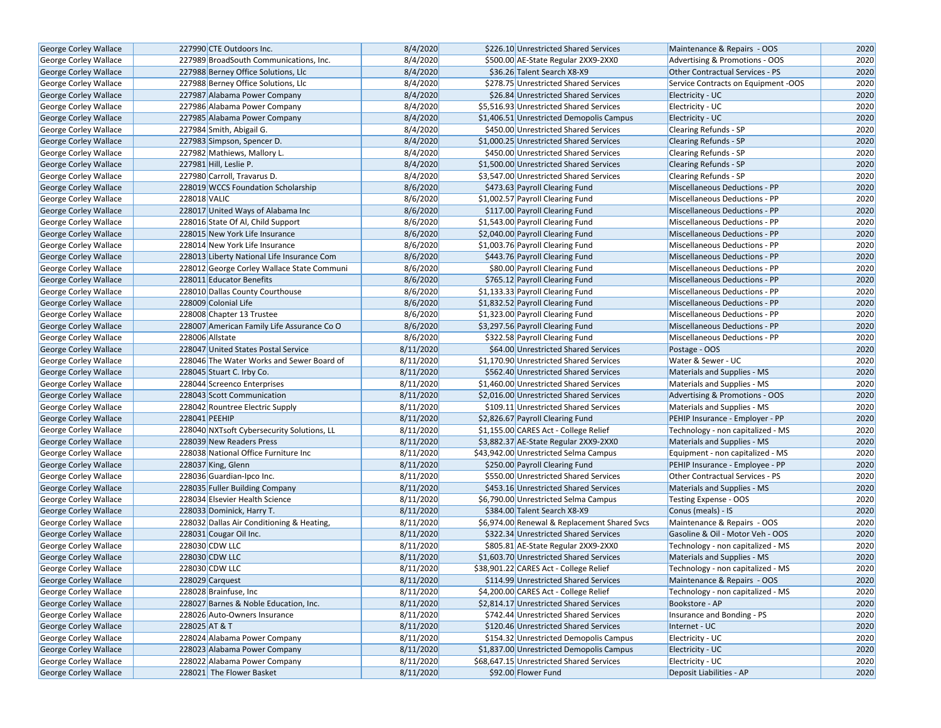| George Corley Wallace        | 227990 CTE Outdoors Inc.                   | 8/4/2020  | \$226.10 Unrestricted Shared Services        | Maintenance & Repairs - OOS            | 2020 |
|------------------------------|--------------------------------------------|-----------|----------------------------------------------|----------------------------------------|------|
| <b>George Corley Wallace</b> | 227989 BroadSouth Communications, Inc.     | 8/4/2020  | \$500.00 AE-State Regular 2XX9-2XX0          | Advertising & Promotions - OOS         | 2020 |
| <b>George Corley Wallace</b> | 227988 Berney Office Solutions, Llc        | 8/4/2020  | \$36.26 Talent Search X8-X9                  | <b>Other Contractual Services - PS</b> | 2020 |
| George Corley Wallace        | 227988 Berney Office Solutions, Llc        | 8/4/2020  | \$278.75 Unrestricted Shared Services        | Service Contracts on Equipment -OOS    | 2020 |
| George Corley Wallace        | 227987 Alabama Power Company               | 8/4/2020  | \$26.84 Unrestricted Shared Services         | Electricity - UC                       | 2020 |
| George Corley Wallace        | 227986 Alabama Power Company               | 8/4/2020  | \$5,516.93 Unrestricted Shared Services      | Electricity - UC                       | 2020 |
| George Corley Wallace        | 227985 Alabama Power Company               | 8/4/2020  | \$1,406.51 Unrestricted Demopolis Campus     | Electricity - UC                       | 2020 |
| <b>George Corley Wallace</b> | 227984 Smith, Abigail G.                   | 8/4/2020  | \$450.00 Unrestricted Shared Services        | <b>Clearing Refunds - SP</b>           | 2020 |
| <b>George Corley Wallace</b> | 227983 Simpson, Spencer D.                 | 8/4/2020  | \$1,000.25 Unrestricted Shared Services      | Clearing Refunds - SP                  | 2020 |
| George Corley Wallace        | 227982 Mathiews, Mallory L.                | 8/4/2020  | \$450.00 Unrestricted Shared Services        | Clearing Refunds - SP                  | 2020 |
| George Corley Wallace        | 227981 Hill, Leslie P.                     | 8/4/2020  | \$1,500.00 Unrestricted Shared Services      | Clearing Refunds - SP                  | 2020 |
| George Corley Wallace        | 227980 Carroll, Travarus D.                | 8/4/2020  | \$3,547.00 Unrestricted Shared Services      | <b>Clearing Refunds - SP</b>           | 2020 |
| <b>George Corley Wallace</b> | 228019 WCCS Foundation Scholarship         | 8/6/2020  | \$473.63 Payroll Clearing Fund               | Miscellaneous Deductions - PP          | 2020 |
| <b>George Corley Wallace</b> | 228018 VALIC                               | 8/6/2020  | \$1,002.57 Payroll Clearing Fund             | Miscellaneous Deductions - PP          | 2020 |
| <b>George Corley Wallace</b> | 228017 United Ways of Alabama Inc          | 8/6/2020  | \$117.00 Payroll Clearing Fund               | <b>Miscellaneous Deductions - PP</b>   | 2020 |
| <b>George Corley Wallace</b> | 228016 State Of Al, Child Support          | 8/6/2020  | \$1,543.00 Payroll Clearing Fund             | Miscellaneous Deductions - PP          | 2020 |
| <b>George Corley Wallace</b> | 228015 New York Life Insurance             | 8/6/2020  | \$2,040.00 Payroll Clearing Fund             | Miscellaneous Deductions - PP          | 2020 |
| George Corley Wallace        | 228014 New York Life Insurance             | 8/6/2020  | \$1,003.76 Payroll Clearing Fund             | Miscellaneous Deductions - PP          | 2020 |
| George Corley Wallace        | 228013 Liberty National Life Insurance Com | 8/6/2020  | \$443.76 Payroll Clearing Fund               | Miscellaneous Deductions - PP          | 2020 |
| George Corley Wallace        | 228012 George Corley Wallace State Communi | 8/6/2020  | \$80.00 Payroll Clearing Fund                | Miscellaneous Deductions - PP          | 2020 |
| <b>George Corley Wallace</b> | 228011 Educator Benefits                   | 8/6/2020  | \$765.12 Payroll Clearing Fund               | Miscellaneous Deductions - PP          | 2020 |
| George Corley Wallace        | 228010 Dallas County Courthouse            | 8/6/2020  | \$1,133.33 Payroll Clearing Fund             | Miscellaneous Deductions - PP          | 2020 |
| <b>George Corley Wallace</b> | 228009 Colonial Life                       | 8/6/2020  | \$1,832.52 Payroll Clearing Fund             | <b>Miscellaneous Deductions - PP</b>   | 2020 |
| George Corley Wallace        | 228008 Chapter 13 Trustee                  | 8/6/2020  | \$1,323.00 Payroll Clearing Fund             | <b>Miscellaneous Deductions - PP</b>   | 2020 |
| <b>George Corley Wallace</b> | 228007 American Family Life Assurance Co O | 8/6/2020  | \$3,297.56 Payroll Clearing Fund             | <b>Miscellaneous Deductions - PP</b>   | 2020 |
| George Corley Wallace        | 228006 Allstate                            | 8/6/2020  | \$322.58 Payroll Clearing Fund               | Miscellaneous Deductions - PP          | 2020 |
| George Corley Wallace        | 228047 United States Postal Service        | 8/11/2020 | \$64.00 Unrestricted Shared Services         | Postage - OOS                          | 2020 |
| <b>George Corley Wallace</b> | 228046 The Water Works and Sewer Board of  | 8/11/2020 | \$1,170.90 Unrestricted Shared Services      | Water & Sewer - UC                     | 2020 |
| George Corley Wallace        | 228045 Stuart C. Irby Co.                  | 8/11/2020 | \$562.40 Unrestricted Shared Services        | Materials and Supplies - MS            | 2020 |
| George Corley Wallace        | 228044 Screenco Enterprises                | 8/11/2020 | \$1,460.00 Unrestricted Shared Services      | Materials and Supplies - MS            | 2020 |
| George Corley Wallace        | 228043 Scott Communication                 | 8/11/2020 | \$2,016.00 Unrestricted Shared Services      | Advertising & Promotions - OOS         | 2020 |
| George Corley Wallace        | 228042 Rountree Electric Supply            | 8/11/2020 | \$109.11 Unrestricted Shared Services        | Materials and Supplies - MS            | 2020 |
| George Corley Wallace        | 228041 PEEHIP                              | 8/11/2020 | \$2,826.67 Payroll Clearing Fund             | PEHIP Insurance - Employer - PP        | 2020 |
| George Corley Wallace        | 228040 NXTsoft Cybersecurity Solutions, LL | 8/11/2020 | \$1,155.00 CARES Act - College Relief        | Technology - non capitalized - MS      | 2020 |
| George Corley Wallace        | 228039 New Readers Press                   | 8/11/2020 | \$3,882.37 AE-State Regular 2XX9-2XX0        | Materials and Supplies - MS            | 2020 |
| George Corley Wallace        | 228038 National Office Furniture Inc       | 8/11/2020 | \$43,942.00 Unrestricted Selma Campus        | Equipment - non capitalized - MS       | 2020 |
| <b>George Corley Wallace</b> | 228037 King, Glenn                         | 8/11/2020 | \$250.00 Payroll Clearing Fund               | PEHIP Insurance - Employee - PP        | 2020 |
| George Corley Wallace        | 228036 Guardian-Ipco Inc.                  | 8/11/2020 | \$550.00 Unrestricted Shared Services        | Other Contractual Services - PS        | 2020 |
| George Corley Wallace        | 228035 Fuller Building Company             | 8/11/2020 | \$453.16 Unrestricted Shared Services        | Materials and Supplies - MS            | 2020 |
| George Corley Wallace        | 228034 Elsevier Health Science             | 8/11/2020 | \$6,790.00 Unrestricted Selma Campus         | Testing Expense - OOS                  | 2020 |
| <b>George Corley Wallace</b> | 228033 Dominick, Harry T.                  | 8/11/2020 | \$384.00 Talent Search X8-X9                 | Conus (meals) - IS                     | 2020 |
| <b>George Corley Wallace</b> | 228032 Dallas Air Conditioning & Heating,  | 8/11/2020 | \$6,974.00 Renewal & Replacement Shared Svcs | Maintenance & Repairs - OOS            | 2020 |
| George Corley Wallace        | 228031 Cougar Oil Inc.                     | 8/11/2020 | \$322.34 Unrestricted Shared Services        | Gasoline & Oil - Motor Veh - OOS       | 2020 |
| George Corley Wallace        | 228030 CDW LLC                             | 8/11/2020 | \$805.81 AE-State Regular 2XX9-2XX0          | Technology - non capitalized - MS      | 2020 |
| <b>George Corley Wallace</b> | 228030 CDW LLC                             | 8/11/2020 | \$1,603.70 Unrestricted Shared Services      | Materials and Supplies - MS            | 2020 |
| George Corley Wallace        | 228030 CDW LLC                             | 8/11/2020 | \$38,901.22 CARES Act - College Relief       | Technology - non capitalized - MS      | 2020 |
| George Corley Wallace        | 228029 Carquest                            | 8/11/2020 | \$114.99 Unrestricted Shared Services        | Maintenance & Repairs - OOS            | 2020 |
| <b>George Corley Wallace</b> | 228028 Brainfuse, Inc                      | 8/11/2020 | \$4,200.00 CARES Act - College Relief        | Technology - non capitalized - MS      | 2020 |
| George Corley Wallace        | 228027 Barnes & Noble Education, Inc.      | 8/11/2020 | \$2,814.17 Unrestricted Shared Services      | Bookstore - AP                         | 2020 |
| <b>George Corley Wallace</b> | 228026 Auto-Owners Insurance               | 8/11/2020 | \$742.44 Unrestricted Shared Services        | Insurance and Bonding - PS             | 2020 |
| <b>George Corley Wallace</b> | 228025 AT & T                              | 8/11/2020 | \$120.46 Unrestricted Shared Services        | Internet - UC                          | 2020 |
| <b>George Corley Wallace</b> | 228024 Alabama Power Company               | 8/11/2020 | \$154.32 Unrestricted Demopolis Campus       | Electricity - UC                       | 2020 |
| George Corley Wallace        | 228023 Alabama Power Company               | 8/11/2020 | \$1,837.00 Unrestricted Demopolis Campus     | Electricity - UC                       | 2020 |
| George Corley Wallace        | 228022 Alabama Power Company               | 8/11/2020 | \$68,647.15 Unrestricted Shared Services     | Electricity - UC                       | 2020 |
| <b>George Corley Wallace</b> | 228021 The Flower Basket                   | 8/11/2020 | \$92.00 Flower Fund                          | Deposit Liabilities - AP               | 2020 |
|                              |                                            |           |                                              |                                        |      |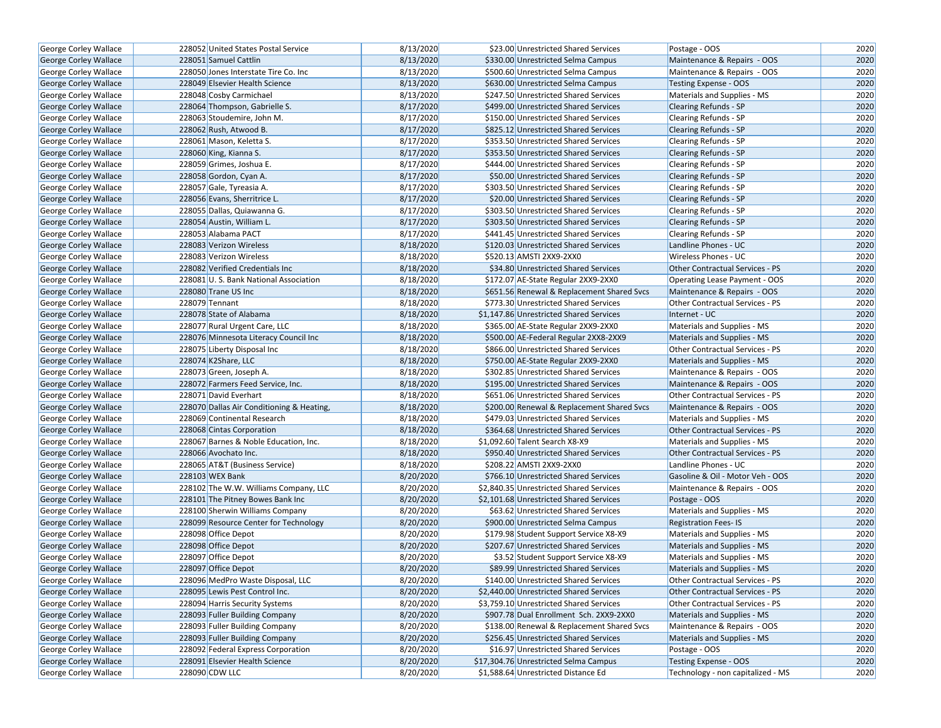| George Corley Wallace        | 228052 United States Postal Service       | 8/13/2020 | \$23.00 Unrestricted Shared Services       | Postage - OOS                          | 2020 |
|------------------------------|-------------------------------------------|-----------|--------------------------------------------|----------------------------------------|------|
| <b>George Corley Wallace</b> | 228051 Samuel Cattlin                     | 8/13/2020 | \$330.00 Unrestricted Selma Campus         | Maintenance & Repairs - OOS            | 2020 |
| <b>George Corley Wallace</b> | 228050 Jones Interstate Tire Co. Inc      | 8/13/2020 | \$500.60 Unrestricted Selma Campus         | Maintenance & Repairs - OOS            | 2020 |
| <b>George Corley Wallace</b> | 228049 Elsevier Health Science            | 8/13/2020 | \$630.00 Unrestricted Selma Campus         | <b>Testing Expense - OOS</b>           | 2020 |
| George Corley Wallace        | 228048 Cosby Carmichael                   | 8/13/2020 | \$247.50 Unrestricted Shared Services      | Materials and Supplies - MS            | 2020 |
| George Corley Wallace        | 228064 Thompson, Gabrielle S.             | 8/17/2020 | \$499.00 Unrestricted Shared Services      | <b>Clearing Refunds - SP</b>           | 2020 |
| George Corley Wallace        | 228063 Stoudemire, John M.                | 8/17/2020 | \$150.00 Unrestricted Shared Services      | Clearing Refunds - SP                  | 2020 |
| <b>George Corley Wallace</b> | 228062 Rush, Atwood B.                    | 8/17/2020 | \$825.12 Unrestricted Shared Services      | <b>Clearing Refunds - SP</b>           | 2020 |
| George Corley Wallace        | 228061 Mason, Keletta S.                  | 8/17/2020 | \$353.50 Unrestricted Shared Services      | <b>Clearing Refunds - SP</b>           | 2020 |
| George Corley Wallace        | 228060 King, Kianna S.                    | 8/17/2020 | \$353.50 Unrestricted Shared Services      | <b>Clearing Refunds - SP</b>           | 2020 |
| George Corley Wallace        | 228059 Grimes, Joshua E.                  | 8/17/2020 | \$444.00 Unrestricted Shared Services      | Clearing Refunds - SP                  | 2020 |
| George Corley Wallace        | 228058 Gordon, Cyan A.                    | 8/17/2020 | \$50.00 Unrestricted Shared Services       | <b>Clearing Refunds - SP</b>           | 2020 |
| George Corley Wallace        | 228057 Gale, Tyreasia A.                  | 8/17/2020 | \$303.50 Unrestricted Shared Services      | <b>Clearing Refunds - SP</b>           | 2020 |
| George Corley Wallace        | 228056 Evans, Sherritrice L.              | 8/17/2020 | \$20.00 Unrestricted Shared Services       | <b>Clearing Refunds - SP</b>           | 2020 |
| <b>George Corley Wallace</b> | 228055 Dallas, Quiawanna G.               | 8/17/2020 | \$303.50 Unrestricted Shared Services      | Clearing Refunds - SP                  | 2020 |
| <b>George Corley Wallace</b> | 228054 Austin, William L.                 | 8/17/2020 | \$303.50 Unrestricted Shared Services      | <b>Clearing Refunds - SP</b>           | 2020 |
| George Corley Wallace        | 228053 Alabama PACT                       | 8/17/2020 | \$441.45 Unrestricted Shared Services      | Clearing Refunds - SP                  | 2020 |
| <b>George Corley Wallace</b> | 228083 Verizon Wireless                   | 8/18/2020 | \$120.03 Unrestricted Shared Services      | Landline Phones - UC                   | 2020 |
| George Corley Wallace        | 228083 Verizon Wireless                   | 8/18/2020 | \$520.13 AMSTI 2XX9-2XX0                   | Wireless Phones - UC                   | 2020 |
| <b>George Corley Wallace</b> | 228082 Verified Credentials Inc           | 8/18/2020 | \$34.80 Unrestricted Shared Services       | <b>Other Contractual Services - PS</b> | 2020 |
| <b>George Corley Wallace</b> | 228081 U.S. Bank National Association     | 8/18/2020 | \$172.07 AE-State Regular 2XX9-2XX0        | Operating Lease Payment - OOS          | 2020 |
| George Corley Wallace        | 228080 Trane US Inc                       | 8/18/2020 | \$651.56 Renewal & Replacement Shared Svcs | Maintenance & Repairs - OOS            | 2020 |
| George Corley Wallace        | 228079 Tennant                            | 8/18/2020 | \$773.30 Unrestricted Shared Services      | Other Contractual Services - PS        | 2020 |
| <b>George Corley Wallace</b> | 228078 State of Alabama                   | 8/18/2020 | \$1,147.86 Unrestricted Shared Services    | Internet - UC                          | 2020 |
| George Corley Wallace        | 228077 Rural Urgent Care, LLC             | 8/18/2020 | \$365.00 AE-State Regular 2XX9-2XX0        | Materials and Supplies - MS            | 2020 |
| George Corley Wallace        | 228076 Minnesota Literacy Council Inc     | 8/18/2020 | \$500.00 AE-Federal Regular 2XX8-2XX9      | Materials and Supplies - MS            | 2020 |
| George Corley Wallace        | 228075 Liberty Disposal Inc               | 8/18/2020 | \$866.00 Unrestricted Shared Services      | Other Contractual Services - PS        | 2020 |
| George Corley Wallace        | 228074 K2Share, LLC                       | 8/18/2020 | \$750.00 AE-State Regular 2XX9-2XX0        | Materials and Supplies - MS            | 2020 |
| <b>George Corley Wallace</b> | 228073 Green, Joseph A.                   | 8/18/2020 | \$302.85 Unrestricted Shared Services      | Maintenance & Repairs - OOS            | 2020 |
| George Corley Wallace        | 228072 Farmers Feed Service, Inc.         | 8/18/2020 | \$195.00 Unrestricted Shared Services      | Maintenance & Repairs - OOS            | 2020 |
| George Corley Wallace        | 228071 David Everhart                     | 8/18/2020 | \$651.06 Unrestricted Shared Services      | Other Contractual Services - PS        | 2020 |
| <b>George Corley Wallace</b> | 228070 Dallas Air Conditioning & Heating, | 8/18/2020 | \$200.00 Renewal & Replacement Shared Svcs | Maintenance & Repairs - OOS            | 2020 |
| George Corley Wallace        | 228069 Continental Research               | 8/18/2020 | \$479.03 Unrestricted Shared Services      | Materials and Supplies - MS            | 2020 |
| George Corley Wallace        | 228068 Cintas Corporation                 | 8/18/2020 | \$364.68 Unrestricted Shared Services      | <b>Other Contractual Services - PS</b> | 2020 |
| George Corley Wallace        | 228067 Barnes & Noble Education, Inc.     | 8/18/2020 | \$1,092.60 Talent Search X8-X9             | Materials and Supplies - MS            | 2020 |
| George Corley Wallace        | 228066 Avochato Inc.                      | 8/18/2020 | \$950.40 Unrestricted Shared Services      | Other Contractual Services - PS        | 2020 |
| George Corley Wallace        | 228065 AT&T (Business Service)            | 8/18/2020 | \$208.22 AMSTI 2XX9-2XX0                   | Landline Phones - UC                   | 2020 |
| George Corley Wallace        | 228103 WEX Bank                           | 8/20/2020 | \$766.10 Unrestricted Shared Services      | Gasoline & Oil - Motor Veh - OOS       | 2020 |
| <b>George Corley Wallace</b> | 228102 The W.W. Williams Company, LLC     | 8/20/2020 | \$2,840.35 Unrestricted Shared Services    | Maintenance & Repairs - OOS            | 2020 |
| <b>George Corley Wallace</b> | 228101 The Pitney Bowes Bank Inc          | 8/20/2020 | \$2,101.68 Unrestricted Shared Services    | Postage - OOS                          | 2020 |
| George Corley Wallace        | 228100 Sherwin Williams Company           | 8/20/2020 | \$63.62 Unrestricted Shared Services       | Materials and Supplies - MS            | 2020 |
| <b>George Corley Wallace</b> | 228099 Resource Center for Technology     | 8/20/2020 | \$900.00 Unrestricted Selma Campus         | <b>Registration Fees-IS</b>            | 2020 |
| George Corley Wallace        | 228098 Office Depot                       | 8/20/2020 | \$179.98 Student Support Service X8-X9     | Materials and Supplies - MS            | 2020 |
| George Corley Wallace        | 228098 Office Depot                       | 8/20/2020 | \$207.67 Unrestricted Shared Services      | Materials and Supplies - MS            | 2020 |
| <b>George Corley Wallace</b> | 228097 Office Depot                       | 8/20/2020 | \$3.52 Student Support Service X8-X9       | Materials and Supplies - MS            | 2020 |
| <b>George Corley Wallace</b> | 228097 Office Depot                       | 8/20/2020 | \$89.99 Unrestricted Shared Services       | Materials and Supplies - MS            | 2020 |
| George Corley Wallace        | 228096 MedPro Waste Disposal, LLC         | 8/20/2020 | \$140.00 Unrestricted Shared Services      | Other Contractual Services - PS        | 2020 |
| George Corley Wallace        | 228095 Lewis Pest Control Inc.            | 8/20/2020 | \$2,440.00 Unrestricted Shared Services    | Other Contractual Services - PS        | 2020 |
| <b>George Corley Wallace</b> | 228094 Harris Security Systems            | 8/20/2020 | \$3,759.10 Unrestricted Shared Services    | Other Contractual Services - PS        | 2020 |
| George Corley Wallace        | 228093 Fuller Building Company            | 8/20/2020 | \$907.78 Dual Enrollment Sch. 2XX9-2XX0    | Materials and Supplies - MS            | 2020 |
| George Corley Wallace        | 228093 Fuller Building Company            | 8/20/2020 | \$138.00 Renewal & Replacement Shared Svcs | Maintenance & Repairs - OOS            | 2020 |
| George Corley Wallace        | 228093 Fuller Building Company            | 8/20/2020 | \$256.45 Unrestricted Shared Services      | Materials and Supplies - MS            | 2020 |
| <b>George Corley Wallace</b> | 228092 Federal Express Corporation        | 8/20/2020 | \$16.97 Unrestricted Shared Services       | Postage - OOS                          | 2020 |
| <b>George Corley Wallace</b> | 228091 Elsevier Health Science            | 8/20/2020 | \$17,304.76 Unrestricted Selma Campus      | Testing Expense - OOS                  | 2020 |
| <b>George Corley Wallace</b> | 228090 CDW LLC                            | 8/20/2020 | \$1,588.64 Unrestricted Distance Ed        | Technology - non capitalized - MS      | 2020 |
|                              |                                           |           |                                            |                                        |      |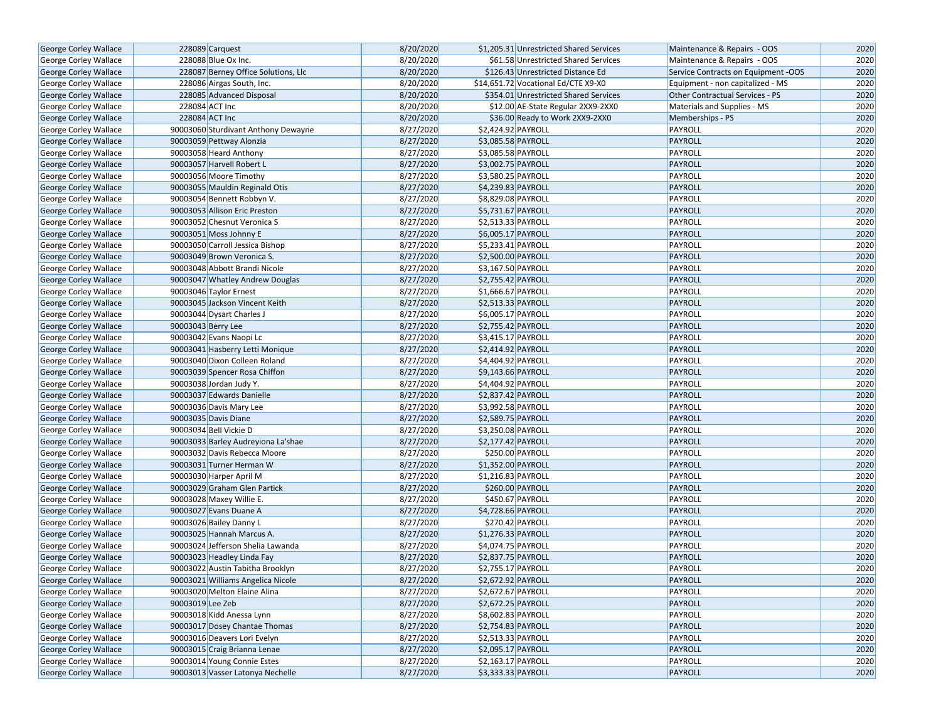| George Corley Wallace        |                    | 228089 Carquest                     | 8/20/2020 |                    | \$1,205.31 Unrestricted Shared Services | Maintenance & Repairs - OOS         | 2020 |
|------------------------------|--------------------|-------------------------------------|-----------|--------------------|-----------------------------------------|-------------------------------------|------|
| George Corley Wallace        |                    | 228088 Blue Ox Inc.                 | 8/20/2020 |                    | \$61.58 Unrestricted Shared Services    | Maintenance & Repairs - OOS         | 2020 |
| George Corley Wallace        |                    | 228087 Berney Office Solutions, Llc | 8/20/2020 |                    | \$126.43 Unrestricted Distance Ed       | Service Contracts on Equipment -OOS | 2020 |
| George Corley Wallace        |                    | 228086 Airgas South, Inc.           | 8/20/2020 |                    | \$14,651.72 Vocational Ed/CTE X9-X0     | Equipment - non capitalized - MS    | 2020 |
| George Corley Wallace        |                    | 228085 Advanced Disposal            | 8/20/2020 |                    | \$354.01 Unrestricted Shared Services   | Other Contractual Services - PS     | 2020 |
| George Corley Wallace        |                    | 228084 ACT Inc                      | 8/20/2020 |                    | \$12.00 AE-State Regular 2XX9-2XX0      | Materials and Supplies - MS         | 2020 |
| George Corley Wallace        |                    | 228084 ACT Inc                      | 8/20/2020 |                    | \$36.00 Ready to Work 2XX9-2XX0         | Memberships - PS                    | 2020 |
| George Corley Wallace        |                    | 90003060 Sturdivant Anthony Dewayne | 8/27/2020 | \$2,424.92 PAYROLL |                                         | PAYROLL                             | 2020 |
| George Corley Wallace        |                    | 90003059 Pettway Alonzia            | 8/27/2020 | \$3,085.58 PAYROLL |                                         | PAYROLL                             | 2020 |
| George Corley Wallace        |                    | 90003058 Heard Anthony              | 8/27/2020 | \$3,085.58 PAYROLL |                                         | PAYROLL                             | 2020 |
| George Corley Wallace        |                    | 90003057 Harvell Robert L           | 8/27/2020 | \$3,002.75 PAYROLL |                                         | PAYROLL                             | 2020 |
| George Corley Wallace        |                    | 90003056 Moore Timothy              | 8/27/2020 | \$3,580.25 PAYROLL |                                         | PAYROLL                             | 2020 |
| George Corley Wallace        |                    | 90003055 Mauldin Reginald Otis      | 8/27/2020 | \$4,239.83 PAYROLL |                                         | PAYROLL                             | 2020 |
| George Corley Wallace        |                    | 90003054 Bennett Robbyn V.          | 8/27/2020 | \$8,829.08 PAYROLL |                                         | PAYROLL                             | 2020 |
| George Corley Wallace        |                    | 90003053 Allison Eric Preston       | 8/27/2020 | \$5,731.67 PAYROLL |                                         | <b>PAYROLL</b>                      | 2020 |
| George Corley Wallace        |                    | 90003052 Chesnut Veronica S         | 8/27/2020 | \$2,513.33 PAYROLL |                                         | PAYROLL                             | 2020 |
| George Corley Wallace        |                    | 90003051 Moss Johnny E              | 8/27/2020 | \$6,005.17 PAYROLL |                                         | PAYROLL                             | 2020 |
| George Corley Wallace        |                    | 90003050 Carroll Jessica Bishop     | 8/27/2020 | \$5,233.41 PAYROLL |                                         | PAYROLL                             | 2020 |
| George Corley Wallace        |                    | 90003049 Brown Veronica S.          | 8/27/2020 | \$2,500.00 PAYROLL |                                         | PAYROLL                             | 2020 |
| George Corley Wallace        |                    | 90003048 Abbott Brandi Nicole       | 8/27/2020 | \$3,167.50 PAYROLL |                                         | PAYROLL                             | 2020 |
| George Corley Wallace        |                    | 90003047 Whatley Andrew Douglas     | 8/27/2020 | \$2,755.42 PAYROLL |                                         | PAYROLL                             | 2020 |
| George Corley Wallace        |                    | 90003046 Taylor Ernest              | 8/27/2020 | \$1,666.67 PAYROLL |                                         | PAYROLL                             | 2020 |
| George Corley Wallace        |                    | 90003045 Jackson Vincent Keith      | 8/27/2020 | \$2,513.33 PAYROLL |                                         | PAYROLL                             | 2020 |
| George Corley Wallace        |                    | 90003044 Dysart Charles J           | 8/27/2020 | \$6,005.17 PAYROLL |                                         | PAYROLL                             | 2020 |
| George Corley Wallace        | 90003043 Berry Lee |                                     | 8/27/2020 | \$2,755.42 PAYROLL |                                         | <b>PAYROLL</b>                      | 2020 |
| George Corley Wallace        |                    | 90003042 Evans Naopi Lc             | 8/27/2020 | \$3,415.17 PAYROLL |                                         | PAYROLL                             | 2020 |
| George Corley Wallace        |                    | 90003041 Hasberry Letti Monique     | 8/27/2020 | \$2,414.92 PAYROLL |                                         | PAYROLL                             | 2020 |
| George Corley Wallace        |                    | 90003040 Dixon Colleen Roland       | 8/27/2020 | \$4,404.92 PAYROLL |                                         | PAYROLL                             | 2020 |
| George Corley Wallace        |                    | 90003039 Spencer Rosa Chiffon       | 8/27/2020 | \$9,143.66 PAYROLL |                                         | PAYROLL                             | 2020 |
| George Corley Wallace        |                    | 90003038 Jordan Judy Y.             | 8/27/2020 | \$4,404.92 PAYROLL |                                         | PAYROLL                             | 2020 |
| George Corley Wallace        |                    | 90003037 Edwards Danielle           | 8/27/2020 | \$2,837.42 PAYROLL |                                         | <b>PAYROLL</b>                      | 2020 |
| George Corley Wallace        |                    | 90003036 Davis Mary Lee             | 8/27/2020 | \$3,992.58 PAYROLL |                                         | PAYROLL                             | 2020 |
| George Corley Wallace        |                    | 90003035 Davis Diane                | 8/27/2020 | \$2,589.75 PAYROLL |                                         | PAYROLL                             | 2020 |
| George Corley Wallace        |                    | 90003034 Bell Vickie D              | 8/27/2020 | \$3,250.08 PAYROLL |                                         | PAYROLL                             | 2020 |
| George Corley Wallace        |                    | 90003033 Barley Audreyiona La'shae  | 8/27/2020 | \$2,177.42 PAYROLL |                                         | PAYROLL                             | 2020 |
| George Corley Wallace        |                    | 90003032 Davis Rebecca Moore        | 8/27/2020 |                    | \$250.00 PAYROLL                        | PAYROLL                             | 2020 |
| <b>George Corley Wallace</b> |                    | 90003031 Turner Herman W            | 8/27/2020 | \$1,352.00 PAYROLL |                                         | PAYROLL                             | 2020 |
| George Corley Wallace        |                    | 90003030 Harper April M             | 8/27/2020 | \$1,216.83 PAYROLL |                                         | PAYROLL                             | 2020 |
| George Corley Wallace        |                    | 90003029 Graham Glen Partick        | 8/27/2020 |                    | \$260.00 PAYROLL                        | <b>PAYROLL</b>                      | 2020 |
| George Corley Wallace        |                    | 90003028 Maxey Willie E.            | 8/27/2020 |                    | \$450.67 PAYROLL                        | PAYROLL                             | 2020 |
| George Corley Wallace        |                    | 90003027 Evans Duane A              | 8/27/2020 | \$4,728.66 PAYROLL |                                         | PAYROLL                             | 2020 |
| George Corley Wallace        |                    | 90003026 Bailey Danny L             | 8/27/2020 |                    | \$270.42 PAYROLL                        | PAYROLL                             | 2020 |
| George Corley Wallace        |                    | 90003025 Hannah Marcus A.           | 8/27/2020 | \$1,276.33 PAYROLL |                                         | PAYROLL                             | 2020 |
| George Corley Wallace        |                    | 90003024 Jefferson Shelia Lawanda   | 8/27/2020 | \$4,074.75 PAYROLL |                                         | PAYROLL                             | 2020 |
| <b>George Corley Wallace</b> |                    | 90003023 Headley Linda Fay          | 8/27/2020 | \$2,837.75 PAYROLL |                                         | PAYROLL                             | 2020 |
| George Corley Wallace        |                    | 90003022 Austin Tabitha Brooklyn    | 8/27/2020 | \$2,755.17 PAYROLL |                                         | PAYROLL                             | 2020 |
| George Corley Wallace        |                    | 90003021 Williams Angelica Nicole   | 8/27/2020 | \$2,672.92 PAYROLL |                                         | PAYROLL                             | 2020 |
| George Corley Wallace        |                    | 90003020 Melton Elaine Alina        | 8/27/2020 | \$2,672.67 PAYROLL |                                         | PAYROLL                             | 2020 |
| George Corley Wallace        | 90003019 Lee Zeb   |                                     | 8/27/2020 | \$2,672.25 PAYROLL |                                         | <b>PAYROLL</b>                      | 2020 |
| George Corley Wallace        |                    | 90003018 Kidd Anessa Lynn           | 8/27/2020 | \$8,602.83 PAYROLL |                                         | PAYROLL                             | 2020 |
| George Corley Wallace        |                    | 90003017 Dosey Chantae Thomas       | 8/27/2020 | \$2,754.83 PAYROLL |                                         | PAYROLL                             | 2020 |
| George Corley Wallace        |                    | 90003016 Deavers Lori Evelyn        | 8/27/2020 | \$2,513.33 PAYROLL |                                         | PAYROLL                             | 2020 |
| George Corley Wallace        |                    | 90003015 Craig Brianna Lenae        | 8/27/2020 | \$2,095.17 PAYROLL |                                         | <b>PAYROLL</b>                      | 2020 |
| George Corley Wallace        |                    | 90003014 Young Connie Estes         | 8/27/2020 | \$2,163.17 PAYROLL |                                         | PAYROLL                             | 2020 |
| <b>George Corley Wallace</b> |                    | 90003013 Vasser Latonya Nechelle    | 8/27/2020 | \$3,333.33 PAYROLL |                                         | PAYROLL                             | 2020 |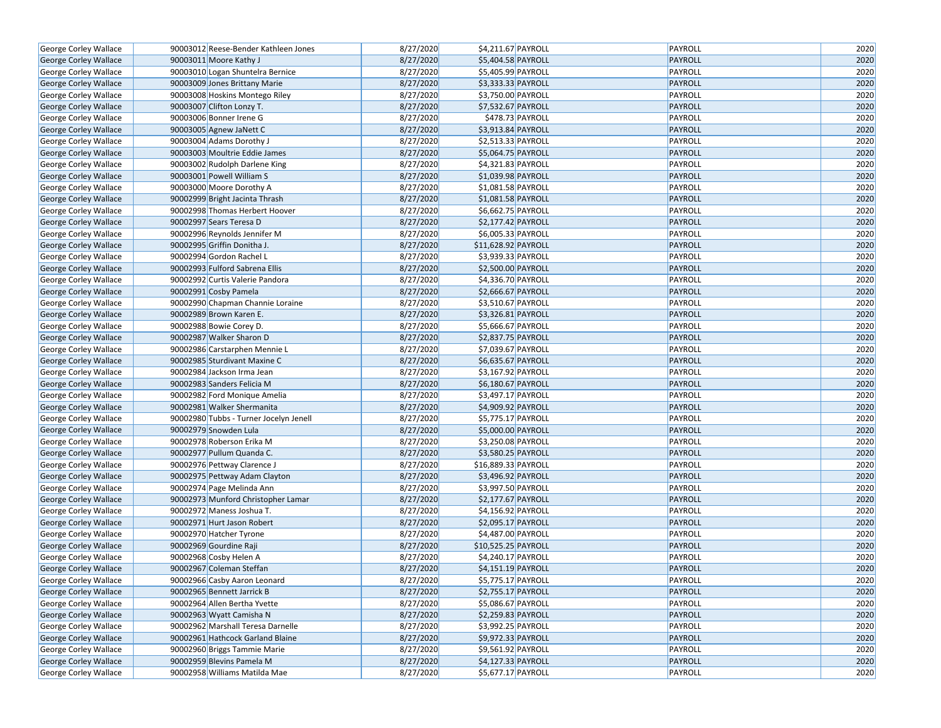| George Corley Wallace                          | 90003012 Reese-Bender Kathleen Jones   | 8/27/2020 | \$4,211.67 PAYROLL             | PAYROLL        | 2020 |
|------------------------------------------------|----------------------------------------|-----------|--------------------------------|----------------|------|
| George Corley Wallace                          | 90003011 Moore Kathy J                 | 8/27/2020 | \$5,404.58 PAYROLL             | <b>PAYROLL</b> | 2020 |
| George Corley Wallace                          | 90003010 Logan Shuntelra Bernice       | 8/27/2020 | \$5,405.99 PAYROLL             | PAYROLL        | 2020 |
| George Corley Wallace                          | 90003009 Jones Brittany Marie          | 8/27/2020 | \$3,333.33 PAYROLL             | <b>PAYROLL</b> | 2020 |
| George Corley Wallace                          | 90003008 Hoskins Montego Riley         | 8/27/2020 | \$3,750.00 PAYROLL             | PAYROLL        | 2020 |
| George Corley Wallace                          | 90003007 Clifton Lonzy T.              | 8/27/2020 | \$7,532.67 PAYROLL             | <b>PAYROLL</b> | 2020 |
| George Corley Wallace                          | 90003006 Bonner Irene G                | 8/27/2020 | \$478.73 PAYROLL               | PAYROLL        | 2020 |
| <b>George Corley Wallace</b>                   | 90003005 Agnew JaNett C                | 8/27/2020 | \$3,913.84 PAYROLL             | <b>PAYROLL</b> | 2020 |
| George Corley Wallace                          | 90003004 Adams Dorothy J               | 8/27/2020 | \$2,513.33 PAYROLL             | PAYROLL        | 2020 |
| George Corley Wallace                          | 90003003 Moultrie Eddie James          | 8/27/2020 | \$5,064.75 PAYROLL             | <b>PAYROLL</b> | 2020 |
| George Corley Wallace                          | 90003002 Rudolph Darlene King          | 8/27/2020 | $\overline{$4,321.83}$ PAYROLL | PAYROLL        | 2020 |
| George Corley Wallace                          | 90003001 Powell William S              | 8/27/2020 | \$1,039.98 PAYROLL             | <b>PAYROLL</b> | 2020 |
| George Corley Wallace                          | 90003000 Moore Dorothy A               | 8/27/2020 | \$1,081.58 PAYROLL             | PAYROLL        | 2020 |
| George Corley Wallace                          | 90002999 Bright Jacinta Thrash         | 8/27/2020 | \$1,081.58 PAYROLL             | PAYROLL        | 2020 |
| George Corley Wallace                          | 90002998 Thomas Herbert Hoover         | 8/27/2020 | \$6,662.75 PAYROLL             | PAYROLL        | 2020 |
| George Corley Wallace                          | 90002997 Sears Teresa D                | 8/27/2020 | \$2,177.42 PAYROLL             | PAYROLL        | 2020 |
| George Corley Wallace                          | 90002996 Reynolds Jennifer M           | 8/27/2020 | \$6,005.33 PAYROLL             | PAYROLL        | 2020 |
| George Corley Wallace                          | 90002995 Griffin Donitha J.            | 8/27/2020 | \$11,628.92 PAYROLL            | PAYROLL        | 2020 |
| George Corley Wallace                          | 90002994 Gordon Rachel L               | 8/27/2020 | $\overline{$3,939.33}$ PAYROLL | PAYROLL        | 2020 |
| George Corley Wallace                          | 90002993 Fulford Sabrena Ellis         | 8/27/2020 | \$2,500.00 PAYROLL             | PAYROLL        | 2020 |
| George Corley Wallace                          | 90002992 Curtis Valerie Pandora        | 8/27/2020 | \$4,336.70 PAYROLL             | PAYROLL        | 2020 |
| George Corley Wallace                          | 90002991 Cosby Pamela                  | 8/27/2020 | \$2,666.67 PAYROLL             | PAYROLL        | 2020 |
| George Corley Wallace                          | 90002990 Chapman Channie Loraine       | 8/27/2020 | \$3,510.67 PAYROLL             | PAYROLL        | 2020 |
| George Corley Wallace                          | 90002989 Brown Karen E.                | 8/27/2020 | \$3,326.81 PAYROLL             | PAYROLL        | 2020 |
| George Corley Wallace                          | 90002988 Bowie Corey D.                | 8/27/2020 | \$5,666.67 PAYROLL             | PAYROLL        | 2020 |
| George Corley Wallace                          | 90002987 Walker Sharon D               | 8/27/2020 | \$2,837.75 PAYROLL             | PAYROLL        | 2020 |
| George Corley Wallace                          | 90002986 Carstarphen Mennie L          | 8/27/2020 | \$7,039.67 PAYROLL             | PAYROLL        | 2020 |
|                                                | 90002985 Sturdivant Maxine C           | 8/27/2020 | \$6,635.67 PAYROLL             | <b>PAYROLL</b> | 2020 |
| George Corley Wallace<br>George Corley Wallace | 90002984 Jackson Irma Jean             | 8/27/2020 | \$3,167.92 PAYROLL             | PAYROLL        | 2020 |
|                                                |                                        | 8/27/2020 | \$6,180.67 PAYROLL             | PAYROLL        | 2020 |
| George Corley Wallace                          | 90002983 Sanders Felicia M             |           |                                |                |      |
| George Corley Wallace                          | 90002982 Ford Monique Amelia           | 8/27/2020 | \$3,497.17 PAYROLL             | PAYROLL        | 2020 |
| George Corley Wallace                          | 90002981 Walker Shermanita             | 8/27/2020 | \$4,909.92 PAYROLL             | PAYROLL        | 2020 |
| George Corley Wallace                          | 90002980 Tubbs - Turner Jocelyn Jenell | 8/27/2020 | \$5,775.17 PAYROLL             | PAYROLL        | 2020 |
| George Corley Wallace                          | 90002979 Snowden Lula                  | 8/27/2020 | \$5,000.00 PAYROLL             | PAYROLL        | 2020 |
| George Corley Wallace                          | 90002978 Roberson Erika M              | 8/27/2020 | \$3,250.08 PAYROLL             | PAYROLL        | 2020 |
| George Corley Wallace                          | 90002977 Pullum Quanda C.              | 8/27/2020 | \$3,580.25 PAYROLL             | <b>PAYROLL</b> | 2020 |
| George Corley Wallace                          | 90002976 Pettway Clarence J            | 8/27/2020 | \$16,889.33 PAYROLL            | PAYROLL        | 2020 |
| George Corley Wallace                          | 90002975 Pettway Adam Clayton          | 8/27/2020 | \$3,496.92 PAYROLL             | <b>PAYROLL</b> | 2020 |
| George Corley Wallace                          | 90002974 Page Melinda Ann              | 8/27/2020 | \$3,997.50 PAYROLL             | PAYROLL        | 2020 |
| George Corley Wallace                          | 90002973 Munford Christopher Lamar     | 8/27/2020 | \$2,177.67 PAYROLL             | <b>PAYROLL</b> | 2020 |
| George Corley Wallace                          | 90002972 Maness Joshua T.              | 8/27/2020 | \$4,156.92 PAYROLL             | PAYROLL        | 2020 |
| George Corley Wallace                          | 90002971 Hurt Jason Robert             | 8/27/2020 | \$2,095.17 PAYROLL             | <b>PAYROLL</b> | 2020 |
| George Corley Wallace                          | 90002970 Hatcher Tyrone                | 8/27/2020 | \$4,487.00 PAYROLL             | PAYROLL        | 2020 |
| George Corley Wallace                          | 90002969 Gourdine Raji                 | 8/27/2020 | \$10,525.25 PAYROLL            | <b>PAYROLL</b> | 2020 |
| George Corley Wallace                          | 90002968 Cosby Helen A                 | 8/27/2020 | \$4,240.17 PAYROLL             | PAYROLL        | 2020 |
| <b>George Corley Wallace</b>                   | 90002967 Coleman Steffan               | 8/27/2020 | \$4,151.19 PAYROLL             | <b>PAYROLL</b> | 2020 |
| <b>George Corley Wallace</b>                   | 90002966 Casby Aaron Leonard           | 8/27/2020 | \$5,775.17 PAYROLL             | PAYROLL        | 2020 |
| George Corley Wallace                          | 90002965 Bennett Jarrick B             | 8/27/2020 | \$2,755.17 PAYROLL             | <b>PAYROLL</b> | 2020 |
| George Corley Wallace                          | 90002964 Allen Bertha Yvette           | 8/27/2020 | \$5,086.67 PAYROLL             | PAYROLL        | 2020 |
| George Corley Wallace                          | 90002963 Wyatt Camisha N               | 8/27/2020 | \$2,259.83 PAYROLL             | <b>PAYROLL</b> | 2020 |
| George Corley Wallace                          | 90002962 Marshall Teresa Darnelle      | 8/27/2020 | \$3,992.25 PAYROLL             | PAYROLL        | 2020 |
| George Corley Wallace                          | 90002961 Hathcock Garland Blaine       | 8/27/2020 | \$9,972.33 PAYROLL             | <b>PAYROLL</b> | 2020 |
| George Corley Wallace                          | 90002960 Briggs Tammie Marie           | 8/27/2020 | \$9,561.92 PAYROLL             | PAYROLL        | 2020 |
| George Corley Wallace                          | 90002959 Blevins Pamela M              | 8/27/2020 | \$4,127.33 PAYROLL             | <b>PAYROLL</b> | 2020 |
| George Corley Wallace                          | 90002958 Williams Matilda Mae          | 8/27/2020 | \$5,677.17 PAYROLL             | PAYROLL        | 2020 |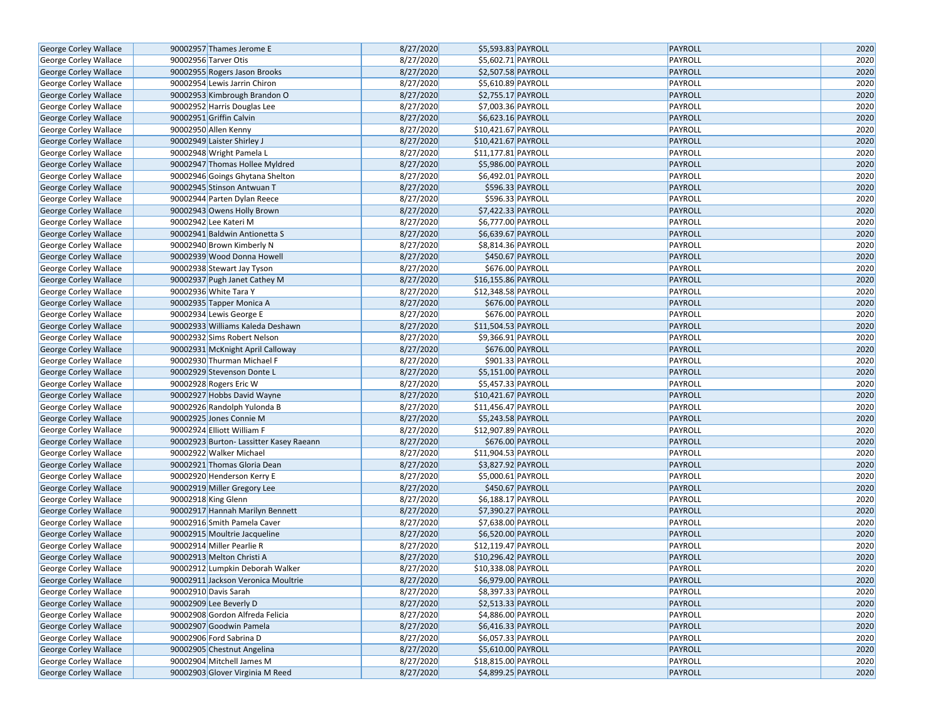| George Corley Wallace                          | 90002957 Thames Jerome E                                           | 8/27/2020              | \$5,593.83 PAYROLL                      | PAYROLL                   | 2020         |
|------------------------------------------------|--------------------------------------------------------------------|------------------------|-----------------------------------------|---------------------------|--------------|
| George Corley Wallace                          | 90002956 Tarver Otis                                               | 8/27/2020              | \$5,602.71 PAYROLL                      | PAYROLL                   | 2020         |
| George Corley Wallace                          | 90002955 Rogers Jason Brooks                                       | 8/27/2020              | \$2,507.58 PAYROLL                      | <b>PAYROLL</b>            | 2020         |
| George Corley Wallace                          | 90002954 Lewis Jarrin Chiron                                       | 8/27/2020              | \$5,610.89 PAYROLL                      | PAYROLL                   | 2020         |
| George Corley Wallace                          | 90002953 Kimbrough Brandon O                                       | 8/27/2020              | \$2,755.17 PAYROLL                      | <b>PAYROLL</b>            | 2020         |
| George Corley Wallace                          | 90002952 Harris Douglas Lee                                        | 8/27/2020              | \$7,003.36 PAYROLL                      | PAYROLL                   | 2020         |
| George Corley Wallace                          | 90002951 Griffin Calvin                                            | 8/27/2020              | \$6,623.16 PAYROLL                      | PAYROLL                   | 2020         |
| George Corley Wallace                          | 90002950 Allen Kenny                                               | 8/27/2020              | \$10,421.67 PAYROLL                     | PAYROLL                   | 2020         |
| George Corley Wallace                          | 90002949 Laister Shirley J                                         | 8/27/2020              | \$10,421.67 PAYROLL                     | <b>PAYROLL</b>            | 2020         |
| George Corley Wallace                          | 90002948 Wright Pamela L                                           | 8/27/2020              | \$11,177.81 PAYROLL                     | PAYROLL                   | 2020         |
| George Corley Wallace                          | 90002947 Thomas Hollee Myldred                                     | 8/27/2020              | \$5,986.00 PAYROLL                      | <b>PAYROLL</b>            | 2020         |
| George Corley Wallace                          | 90002946 Goings Ghytana Shelton                                    | 8/27/2020              | \$6,492.01 PAYROLL                      | PAYROLL                   | 2020         |
| George Corley Wallace                          | 90002945 Stinson Antwuan T                                         | 8/27/2020              | \$596.33 PAYROLL                        | <b>PAYROLL</b>            | 2020         |
| George Corley Wallace                          | 90002944 Parten Dylan Reece                                        | 8/27/2020              | \$596.33 PAYROLL                        | PAYROLL                   | 2020         |
| George Corley Wallace                          | 90002943 Owens Holly Brown                                         | 8/27/2020              | \$7,422.33 PAYROLL                      | <b>PAYROLL</b>            | 2020         |
| George Corley Wallace                          | 90002942 Lee Kateri M                                              | 8/27/2020              | \$6,777.00 PAYROLL                      | PAYROLL                   | 2020         |
| George Corley Wallace                          | 90002941 Baldwin Antionetta S                                      | 8/27/2020              | \$6,639.67 PAYROLL                      | PAYROLL                   | 2020         |
| George Corley Wallace                          | 90002940 Brown Kimberly N                                          | 8/27/2020              | \$8,814.36 PAYROLL                      | PAYROLL                   | 2020         |
| George Corley Wallace                          | 90002939 Wood Donna Howell                                         | 8/27/2020              | \$450.67 PAYROLL                        | <b>PAYROLL</b>            | 2020         |
| George Corley Wallace                          | 90002938 Stewart Jay Tyson                                         | 8/27/2020              | \$676.00 PAYROLL                        | PAYROLL                   | 2020         |
| George Corley Wallace                          | 90002937 Pugh Janet Cathey M                                       | 8/27/2020              | \$16,155.86 PAYROLL                     | <b>PAYROLL</b>            | 2020         |
| George Corley Wallace                          | 90002936 White Tara Y                                              | 8/27/2020              | \$12,348.58 PAYROLL                     | PAYROLL                   | 2020         |
| George Corley Wallace                          | 90002935 Tapper Monica A                                           | 8/27/2020              | \$676.00 PAYROLL                        | <b>PAYROLL</b>            | 2020         |
| George Corley Wallace                          | 90002934 Lewis George E                                            | 8/27/2020              | \$676.00 PAYROLL                        | PAYROLL                   | 2020         |
| George Corley Wallace                          | 90002933 Williams Kaleda Deshawn                                   | 8/27/2020              | \$11,504.53 PAYROLL                     | <b>PAYROLL</b>            | 2020         |
| George Corley Wallace                          | 90002932 Sims Robert Nelson                                        | 8/27/2020              | \$9,366.91 PAYROLL                      | PAYROLL                   | 2020         |
| George Corley Wallace                          | 90002931 McKnight April Calloway                                   | 8/27/2020              | \$676.00 PAYROLL                        | <b>PAYROLL</b>            | 2020         |
| George Corley Wallace                          | 90002930 Thurman Michael F                                         | 8/27/2020              | \$901.33 PAYROLL                        | PAYROLL                   | 2020         |
| George Corley Wallace                          | 90002929 Stevenson Donte L                                         | 8/27/2020              | \$5,151.00 PAYROLL                      | <b>PAYROLL</b>            | 2020         |
|                                                | 90002928 Rogers Eric W                                             | 8/27/2020              | \$5,457.33 PAYROLL                      | PAYROLL                   | 2020         |
| George Corley Wallace                          | 90002927 Hobbs David Wayne                                         | 8/27/2020              | \$10,421.67 PAYROLL                     | <b>PAYROLL</b>            | 2020         |
| George Corley Wallace                          | 90002926 Randolph Yulonda B                                        | 8/27/2020              | \$11,456.47 PAYROLL                     | PAYROLL                   | 2020         |
| George Corley Wallace                          |                                                                    |                        |                                         |                           |              |
| George Corley Wallace                          | 90002925 Jones Connie M<br>90002924 Elliott William F              | 8/27/2020              | \$5,243.58 PAYROLL                      | PAYROLL                   | 2020         |
| George Corley Wallace                          |                                                                    | 8/27/2020<br>8/27/2020 | \$12,907.89 PAYROLL<br>\$676.00 PAYROLL | PAYROLL<br><b>PAYROLL</b> | 2020<br>2020 |
| George Corley Wallace                          | 90002923 Burton- Lassitter Kasey Raeann<br>90002922 Walker Michael | 8/27/2020              | \$11,904.53 PAYROLL                     | PAYROLL                   | 2020         |
| George Corley Wallace                          |                                                                    | 8/27/2020              | \$3,827.92 PAYROLL                      | <b>PAYROLL</b>            | 2020         |
| George Corley Wallace                          | 90002921 Thomas Gloria Dean                                        | 8/27/2020              | \$5,000.61 PAYROLL                      | PAYROLL                   | 2020         |
| George Corley Wallace                          | 90002920 Henderson Kerry E                                         | 8/27/2020              |                                         | <b>PAYROLL</b>            | 2020         |
| George Corley Wallace                          | 90002919 Miller Gregory Lee                                        | 8/27/2020              | \$450.67 PAYROLL<br>\$6,188.17 PAYROLL  | PAYROLL                   | 2020         |
| George Corley Wallace<br>George Corley Wallace | 90002918 King Glenn                                                | 8/27/2020              | \$7,390.27 PAYROLL                      | <b>PAYROLL</b>            | 2020         |
|                                                | 90002917 Hannah Marilyn Bennett                                    |                        |                                         |                           |              |
| George Corley Wallace                          | 90002916 Smith Pamela Caver                                        | 8/27/2020              | \$7,638.00 PAYROLL                      | PAYROLL                   | 2020         |
| George Corley Wallace                          | 90002915 Moultrie Jacqueline                                       | 8/27/2020              | \$6,520.00 PAYROLL                      | <b>PAYROLL</b>            | 2020         |
| George Corley Wallace                          | 90002914 Miller Pearlie R                                          | 8/27/2020              | \$12,119.47 PAYROLL                     | PAYROLL                   | 2020         |
| George Corley Wallace                          | 90002913 Melton Christi A                                          | 8/27/2020              | \$10,296.42 PAYROLL                     | <b>PAYROLL</b>            | 2020         |
| George Corley Wallace                          | 90002912 Lumpkin Deborah Walker                                    | 8/27/2020              | \$10,338.08 PAYROLL                     | PAYROLL                   | 2020         |
| <b>George Corley Wallace</b>                   | 90002911 Jackson Veronica Moultrie                                 | 8/27/2020              | \$6,979.00 PAYROLL                      | <b>PAYROLL</b>            | 2020         |
| George Corley Wallace                          | 90002910 Davis Sarah                                               | 8/27/2020              | \$8,397.33 PAYROLL                      | PAYROLL                   | 2020         |
| <b>George Corley Wallace</b>                   | 90002909 Lee Beverly D                                             | 8/27/2020              | \$2,513.33 PAYROLL                      | PAYROLL                   | 2020         |
| George Corley Wallace                          | 90002908 Gordon Alfreda Felicia                                    | 8/27/2020              | \$4,886.00 PAYROLL                      | PAYROLL                   | 2020         |
| George Corley Wallace                          | 90002907 Goodwin Pamela                                            | 8/27/2020              | \$6,416.33 PAYROLL                      | PAYROLL                   | 2020         |
| George Corley Wallace                          | 90002906 Ford Sabrina D                                            | 8/27/2020              | \$6,057.33 PAYROLL                      | PAYROLL                   | 2020         |
| George Corley Wallace                          | 90002905 Chestnut Angelina                                         | 8/27/2020              | \$5,610.00 PAYROLL                      | PAYROLL                   | 2020         |
| George Corley Wallace                          | 90002904 Mitchell James M                                          | 8/27/2020              | \$18,815.00 PAYROLL                     | PAYROLL                   | 2020         |
| <b>George Corley Wallace</b>                   | 90002903 Glover Virginia M Reed                                    | 8/27/2020              | \$4,899.25 PAYROLL                      | PAYROLL                   | 2020         |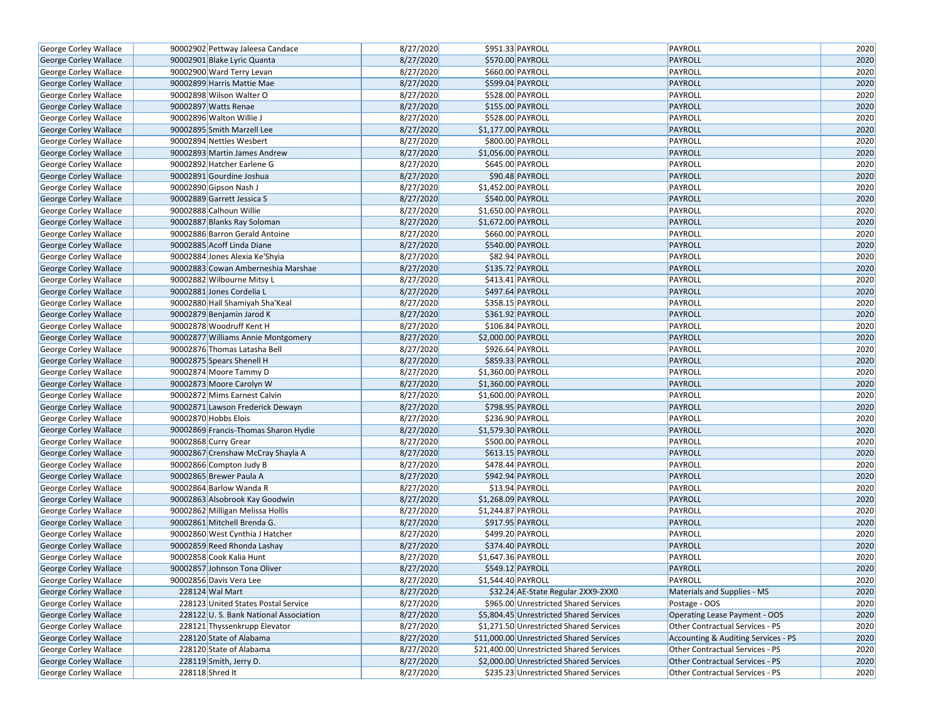| George Corley Wallace                          | 90002902 Pettway Jaleesa Candace      | 8/27/2020 | \$951.33 PAYROLL                         | PAYROLL                             | 2020         |
|------------------------------------------------|---------------------------------------|-----------|------------------------------------------|-------------------------------------|--------------|
| George Corley Wallace                          | 90002901 Blake Lyric Quanta           | 8/27/2020 | \$570.00 PAYROLL                         | PAYROLL                             | 2020         |
| George Corley Wallace                          | 90002900 Ward Terry Levan             | 8/27/2020 | \$660.00 PAYROLL                         | PAYROLL                             | 2020         |
| <b>George Corley Wallace</b>                   | 90002899 Harris Mattie Mae            | 8/27/2020 | \$599.04 PAYROLL                         | PAYROLL                             | 2020         |
| George Corley Wallace                          | 90002898 Wilson Walter O              | 8/27/2020 | \$528.00 PAYROLL                         | PAYROLL                             | 2020         |
| George Corley Wallace                          | 90002897 Watts Renae                  | 8/27/2020 | \$155.00 PAYROLL                         | PAYROLL                             | 2020         |
| George Corley Wallace                          | 90002896 Walton Willie J              | 8/27/2020 | \$528.00 PAYROLL                         | PAYROLL                             | 2020         |
| <b>George Corley Wallace</b>                   | 90002895 Smith Marzell Lee            | 8/27/2020 | \$1,177.00 PAYROLL                       | PAYROLL                             | 2020         |
| George Corley Wallace                          | 90002894 Nettles Wesbert              | 8/27/2020 | \$800.00 PAYROLL                         | PAYROLL                             | 2020         |
| George Corley Wallace                          | 90002893 Martin James Andrew          | 8/27/2020 | \$1,056.00 PAYROLL                       | PAYROLL                             | 2020         |
| George Corley Wallace                          | 90002892 Hatcher Earlene G            | 8/27/2020 | \$645.00 PAYROLL                         | PAYROLL                             | 2020         |
| George Corley Wallace                          | 90002891 Gourdine Joshua              | 8/27/2020 | \$90.48 PAYROLL                          | PAYROLL                             | 2020         |
| George Corley Wallace                          | 90002890 Gipson Nash J                | 8/27/2020 | \$1,452.00 PAYROLL                       | PAYROLL                             | 2020         |
| George Corley Wallace                          | 90002889 Garrett Jessica S            | 8/27/2020 | \$540.00 PAYROLL                         | PAYROLL                             | 2020         |
| George Corley Wallace                          | 90002888 Calhoun Willie               | 8/27/2020 | \$1,650.00 PAYROLL                       | PAYROLL                             | 2020         |
| George Corley Wallace                          | 90002887 Blanks Ray Soloman           | 8/27/2020 | \$1,672.00 PAYROLL                       | PAYROLL                             | 2020         |
| George Corley Wallace                          | 90002886 Barron Gerald Antoine        | 8/27/2020 | \$660.00 PAYROLL                         | PAYROLL                             | 2020         |
| George Corley Wallace                          | 90002885 Acoff Linda Diane            | 8/27/2020 | \$540.00 PAYROLL                         | PAYROLL                             | 2020         |
| George Corley Wallace                          | 90002884 Jones Alexia Ke'Shyia        | 8/27/2020 | \$82.94 PAYROLL                          | PAYROLL                             | 2020         |
| George Corley Wallace                          | 90002883 Cowan Amberneshia Marshae    | 8/27/2020 | \$135.72 PAYROLL                         | PAYROLL                             | 2020         |
| George Corley Wallace                          | 90002882 Wilbourne Mitsy L            | 8/27/2020 | \$413.41 PAYROLL                         | PAYROLL                             | 2020         |
| George Corley Wallace                          | 90002881 Jones Cordelia L             | 8/27/2020 | \$497.64 PAYROLL                         | PAYROLL                             | 2020         |
| George Corley Wallace                          | 90002880 Hall Shamiyah Sha'Keal       | 8/27/2020 | \$358.15 PAYROLL                         | PAYROLL                             | 2020         |
| George Corley Wallace                          | 90002879 Benjamin Jarod K             | 8/27/2020 | \$361.92 PAYROLL                         | PAYROLL                             | 2020         |
| George Corley Wallace                          | 90002878 Woodruff Kent H              | 8/27/2020 | \$106.84 PAYROLL                         | PAYROLL                             | 2020         |
| George Corley Wallace                          | 90002877 Williams Annie Montgomery    | 8/27/2020 | \$2,000.00 PAYROLL                       | PAYROLL                             | 2020         |
| George Corley Wallace                          | 90002876 Thomas Latasha Bell          | 8/27/2020 | \$926.64 PAYROLL                         | PAYROLL                             | 2020         |
|                                                | 90002875 Spears Shenell H             | 8/27/2020 | \$859.33 PAYROLL                         | PAYROLL                             | 2020         |
| George Corley Wallace<br>George Corley Wallace | 90002874 Moore Tammy D                | 8/27/2020 | \$1,360.00 PAYROLL                       | PAYROLL                             | 2020         |
|                                                | 90002873 Moore Carolyn W              | 8/27/2020 | \$1,360.00 PAYROLL                       | PAYROLL                             | 2020         |
| George Corley Wallace                          |                                       | 8/27/2020 |                                          |                                     | 2020         |
| George Corley Wallace                          | 90002872 Mims Earnest Calvin          |           | \$1,600.00 PAYROLL                       | PAYROLL                             |              |
| George Corley Wallace                          | 90002871 Lawson Frederick Dewayn      | 8/27/2020 | \$798.95 PAYROLL                         | PAYROLL                             | 2020<br>2020 |
| George Corley Wallace                          | 90002870 Hobbs Elois                  | 8/27/2020 | \$236.90 PAYROLL                         | PAYROLL                             | 2020         |
| George Corley Wallace                          | 90002869 Francis-Thomas Sharon Hydie  | 8/27/2020 | \$1,579.30 PAYROLL                       | PAYROLL                             | 2020         |
| George Corley Wallace                          | 90002868 Curry Grear                  | 8/27/2020 | \$500.00 PAYROLL<br>\$613.15 PAYROLL     | PAYROLL                             |              |
| George Corley Wallace                          | 90002867 Crenshaw McCray Shayla A     | 8/27/2020 |                                          | PAYROLL                             | 2020         |
| George Corley Wallace                          | 90002866 Compton Judy B               | 8/27/2020 | \$478.44 PAYROLL                         | PAYROLL<br>PAYROLL                  | 2020         |
| George Corley Wallace                          | 90002865 Brewer Paula A               | 8/27/2020 | \$942.94 PAYROLL                         |                                     | 2020<br>2020 |
| George Corley Wallace                          | 90002864 Barlow Wanda R               | 8/27/2020 | \$13.94 PAYROLL                          | PAYROLL                             |              |
| George Corley Wallace                          | 90002863 Alsobrook Kay Goodwin        | 8/27/2020 | \$1,268.09 PAYROLL                       | PAYROLL                             | 2020         |
| George Corley Wallace                          | 90002862 Milligan Melissa Hollis      | 8/27/2020 | \$1,244.87 PAYROLL                       | PAYROLL                             | 2020         |
| George Corley Wallace                          | 90002861 Mitchell Brenda G.           | 8/27/2020 | \$917.95 PAYROLL                         | PAYROLL                             | 2020         |
| George Corley Wallace                          | 90002860 West Cynthia J Hatcher       | 8/27/2020 | \$499.20 PAYROLL                         | PAYROLL                             | 2020         |
| George Corley Wallace                          | 90002859 Reed Rhonda Lashay           | 8/27/2020 | \$374.40 PAYROLL                         | PAYROLL                             | 2020         |
| George Corley Wallace                          | 90002858 Cook Kalia Hunt              | 8/27/2020 | \$1,647.36 PAYROLL                       | PAYROLL                             | 2020         |
| George Corley Wallace                          | 90002857 Johnson Tona Oliver          | 8/27/2020 | \$549.12 PAYROLL                         | PAYROLL                             | 2020         |
| <b>George Corley Wallace</b>                   | 90002856 Davis Vera Lee               | 8/27/2020 | \$1,544.40 PAYROLL                       | PAYROLL                             | 2020         |
| George Corley Wallace                          | 228124 Wal Mart                       | 8/27/2020 | \$32.24 AE-State Regular 2XX9-2XX0       | Materials and Supplies - MS         | 2020         |
| George Corley Wallace                          | 228123 United States Postal Service   | 8/27/2020 | \$965.00 Unrestricted Shared Services    | Postage - OOS                       | 2020         |
| George Corley Wallace                          | 228122 U.S. Bank National Association | 8/27/2020 | \$5,804.45 Unrestricted Shared Services  | Operating Lease Payment - OOS       | 2020         |
| George Corley Wallace                          | 228121 Thyssenkrupp Elevator          | 8/27/2020 | \$1,271.50 Unrestricted Shared Services  | Other Contractual Services - PS     | 2020         |
| George Corley Wallace                          | 228120 State of Alabama               | 8/27/2020 | \$11,000.00 Unrestricted Shared Services | Accounting & Auditing Services - PS | 2020         |
| George Corley Wallace                          | 228120 State of Alabama               | 8/27/2020 | \$21,400.00 Unrestricted Shared Services | Other Contractual Services - PS     | 2020         |
| <b>George Corley Wallace</b>                   | 228119 Smith, Jerry D.                | 8/27/2020 | \$2,000.00 Unrestricted Shared Services  | Other Contractual Services - PS     | 2020         |
| George Corley Wallace                          | 228118 Shred It                       | 8/27/2020 | \$235.23 Unrestricted Shared Services    | Other Contractual Services - PS     | 2020         |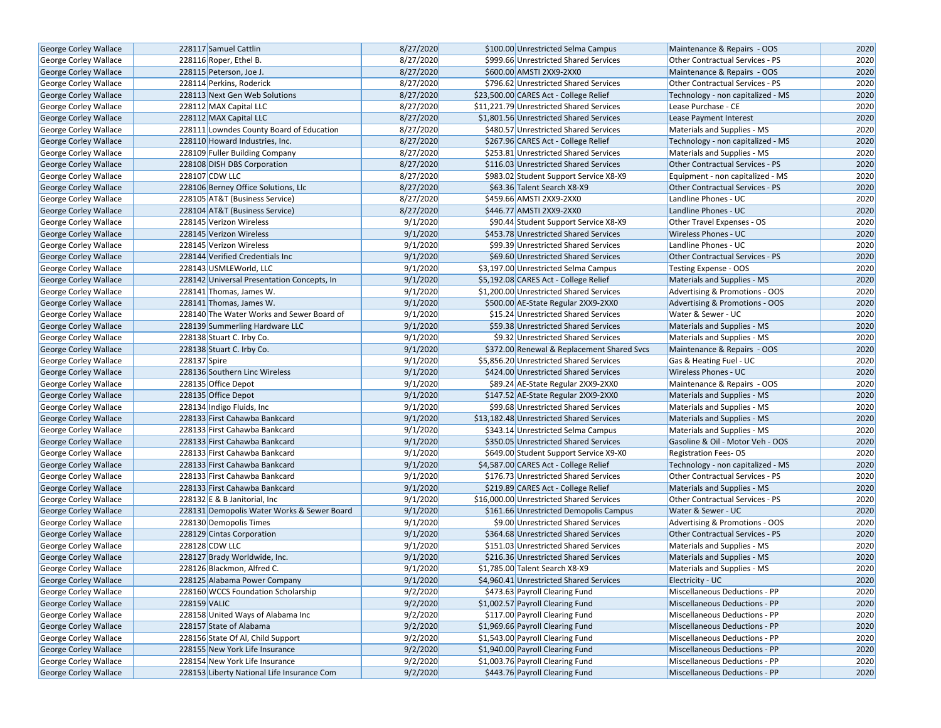| George Corley Wallace                                 | 228117 Samuel Cattlin                                          | 8/27/2020 | \$100.00 Unrestricted Selma Campus                                              | Maintenance & Repairs - OOS                                     | 2020 |
|-------------------------------------------------------|----------------------------------------------------------------|-----------|---------------------------------------------------------------------------------|-----------------------------------------------------------------|------|
| <b>George Corley Wallace</b>                          | 228116 Roper, Ethel B.                                         | 8/27/2020 | \$999.66 Unrestricted Shared Services                                           | Other Contractual Services - PS                                 | 2020 |
| <b>George Corley Wallace</b>                          | 228115 Peterson, Joe J.                                        | 8/27/2020 | \$600.00 AMSTI 2XX9-2XX0                                                        | Maintenance & Repairs - OOS                                     | 2020 |
| George Corley Wallace                                 | 228114 Perkins, Roderick                                       | 8/27/2020 | \$796.62 Unrestricted Shared Services                                           | <b>Other Contractual Services - PS</b>                          | 2020 |
| George Corley Wallace                                 | 228113 Next Gen Web Solutions                                  | 8/27/2020 | \$23,500.00 CARES Act - College Relief                                          | Technology - non capitalized - MS                               | 2020 |
| George Corley Wallace                                 | 228112 MAX Capital LLC                                         | 8/27/2020 | \$11,221.79 Unrestricted Shared Services                                        | Lease Purchase - CE                                             | 2020 |
| George Corley Wallace                                 | 228112 MAX Capital LLC                                         | 8/27/2020 | \$1,801.56 Unrestricted Shared Services                                         | Lease Payment Interest                                          | 2020 |
| <b>George Corley Wallace</b>                          | 228111 Lowndes County Board of Education                       | 8/27/2020 | \$480.57 Unrestricted Shared Services                                           | Materials and Supplies - MS                                     | 2020 |
| <b>George Corley Wallace</b>                          | 228110 Howard Industries, Inc.                                 | 8/27/2020 | \$267.96 CARES Act - College Relief                                             | Technology - non capitalized - MS                               | 2020 |
| George Corley Wallace                                 | 228109 Fuller Building Company                                 | 8/27/2020 | \$253.81 Unrestricted Shared Services                                           | Materials and Supplies - MS                                     | 2020 |
| George Corley Wallace                                 | 228108 DISH DBS Corporation                                    | 8/27/2020 | \$116.03 Unrestricted Shared Services                                           | Other Contractual Services - PS                                 | 2020 |
| George Corley Wallace                                 | 228107 CDW LLC                                                 | 8/27/2020 | \$983.02 Student Support Service X8-X9                                          | Equipment - non capitalized - MS                                | 2020 |
| <b>George Corley Wallace</b>                          | 228106 Berney Office Solutions, Llc                            | 8/27/2020 | \$63.36 Talent Search X8-X9                                                     | <b>Other Contractual Services - PS</b>                          | 2020 |
| <b>George Corley Wallace</b>                          | 228105 AT&T (Business Service)                                 | 8/27/2020 | \$459.66 AMSTI 2XX9-2XX0                                                        | Landline Phones - UC                                            | 2020 |
| <b>George Corley Wallace</b>                          | 228104 AT&T (Business Service)                                 | 8/27/2020 | \$446.77 AMSTI 2XX9-2XX0                                                        | Landline Phones - UC                                            | 2020 |
| <b>George Corley Wallace</b>                          | 228145 Verizon Wireless                                        | 9/1/2020  | \$90.44 Student Support Service X8-X9                                           | Other Travel Expenses - OS                                      | 2020 |
| <b>George Corley Wallace</b>                          | 228145 Verizon Wireless                                        | 9/1/2020  | \$453.78 Unrestricted Shared Services                                           | Wireless Phones - UC                                            | 2020 |
| George Corley Wallace                                 | 228145 Verizon Wireless                                        | 9/1/2020  | \$99.39 Unrestricted Shared Services                                            | Landline Phones - UC                                            | 2020 |
| George Corley Wallace                                 | 228144 Verified Credentials Inc                                | 9/1/2020  | \$69.60 Unrestricted Shared Services                                            | <b>Other Contractual Services - PS</b>                          | 2020 |
| George Corley Wallace                                 | 228143 USMLEWorld, LLC                                         | 9/1/2020  | \$3,197.00 Unrestricted Selma Campus                                            | Testing Expense - OOS                                           | 2020 |
| <b>George Corley Wallace</b>                          | 228142 Universal Presentation Concepts, In                     | 9/1/2020  | \$5,192.08 CARES Act - College Relief                                           | Materials and Supplies - MS                                     | 2020 |
| George Corley Wallace                                 | 228141 Thomas, James W.                                        | 9/1/2020  | \$1,200.00 Unrestricted Shared Services                                         | Advertising & Promotions - OOS                                  | 2020 |
| George Corley Wallace                                 | 228141 Thomas, James W.                                        | 9/1/2020  | \$500.00 AE-State Regular 2XX9-2XX0                                             | Advertising & Promotions - OOS                                  | 2020 |
| George Corley Wallace                                 | 228140 The Water Works and Sewer Board of                      | 9/1/2020  | \$15.24 Unrestricted Shared Services                                            | Water & Sewer - UC                                              | 2020 |
| <b>George Corley Wallace</b>                          | 228139 Summerling Hardware LLC                                 | 9/1/2020  | \$59.38 Unrestricted Shared Services                                            | Materials and Supplies - MS                                     | 2020 |
|                                                       | 228138 Stuart C. Irby Co.                                      | 9/1/2020  | \$9.32 Unrestricted Shared Services                                             | Materials and Supplies - MS                                     | 2020 |
| George Corley Wallace                                 | 228138 Stuart C. Irby Co.                                      | 9/1/2020  | \$372.00 Renewal & Replacement Shared Svcs                                      | Maintenance & Repairs - OOS                                     | 2020 |
| George Corley Wallace                                 | 228137 Spire                                                   | 9/1/2020  | \$5,856.20 Unrestricted Shared Services                                         |                                                                 | 2020 |
| George Corley Wallace                                 | 228136 Southern Linc Wireless                                  | 9/1/2020  | \$424.00 Unrestricted Shared Services                                           | Gas & Heating Fuel - UC<br><b>Wireless Phones - UC</b>          | 2020 |
| George Corley Wallace                                 | 228135 Office Depot                                            | 9/1/2020  | \$89.24 AE-State Regular 2XX9-2XX0                                              | Maintenance & Repairs - OOS                                     | 2020 |
| George Corley Wallace<br>George Corley Wallace        | 228135 Office Depot                                            | 9/1/2020  | \$147.52 AE-State Regular 2XX9-2XX0                                             | Materials and Supplies - MS                                     | 2020 |
|                                                       |                                                                | 9/1/2020  | \$99.68 Unrestricted Shared Services                                            | Materials and Supplies - MS                                     | 2020 |
| George Corley Wallace                                 | 228134 Indigo Fluids, Inc<br>228133 First Cahawba Bankcard     | 9/1/2020  | \$13,182.48 Unrestricted Shared Services                                        | Materials and Supplies - MS                                     | 2020 |
| George Corley Wallace                                 |                                                                | 9/1/2020  |                                                                                 |                                                                 | 2020 |
| George Corley Wallace<br>George Corley Wallace        | 228133 First Cahawba Bankcard<br>228133 First Cahawba Bankcard | 9/1/2020  | \$343.14 Unrestricted Selma Campus<br>\$350.05 Unrestricted Shared Services     | Materials and Supplies - MS<br>Gasoline & Oil - Motor Veh - OOS | 2020 |
|                                                       | 228133 First Cahawba Bankcard                                  | 9/1/2020  |                                                                                 |                                                                 | 2020 |
| George Corley Wallace<br><b>George Corley Wallace</b> | 228133 First Cahawba Bankcard                                  | 9/1/2020  | \$649.00 Student Support Service X9-X0<br>\$4,587.00 CARES Act - College Relief | <b>Registration Fees-OS</b>                                     | 2020 |
|                                                       | 228133 First Cahawba Bankcard                                  | 9/1/2020  |                                                                                 | Technology - non capitalized - MS                               | 2020 |
| George Corley Wallace                                 |                                                                |           | \$176.73 Unrestricted Shared Services                                           | Other Contractual Services - PS                                 |      |
| George Corley Wallace                                 | 228133 First Cahawba Bankcard                                  | 9/1/2020  | \$219.89 CARES Act - College Relief                                             | Materials and Supplies - MS                                     | 2020 |
| George Corley Wallace                                 | 228132 E & B Janitorial, Inc.                                  | 9/1/2020  | \$16,000.00 Unrestricted Shared Services                                        | Other Contractual Services - PS                                 | 2020 |
| <b>George Corley Wallace</b>                          | 228131 Demopolis Water Works & Sewer Board                     | 9/1/2020  | \$161.66 Unrestricted Demopolis Campus                                          | Water & Sewer - UC                                              | 2020 |
| <b>George Corley Wallace</b>                          | 228130 Demopolis Times                                         | 9/1/2020  | \$9.00 Unrestricted Shared Services                                             | Advertising & Promotions - OOS                                  | 2020 |
| George Corley Wallace                                 | 228129 Cintas Corporation                                      | 9/1/2020  | \$364.68 Unrestricted Shared Services                                           | Other Contractual Services - PS                                 | 2020 |
| George Corley Wallace                                 | 228128 CDW LLC                                                 | 9/1/2020  | \$151.03 Unrestricted Shared Services                                           | Materials and Supplies - MS                                     | 2020 |
| <b>George Corley Wallace</b>                          | 228127 Brady Worldwide, Inc.                                   | 9/1/2020  | \$216.36 Unrestricted Shared Services                                           | Materials and Supplies - MS                                     | 2020 |
| George Corley Wallace                                 | 228126 Blackmon, Alfred C.                                     | 9/1/2020  | \$1,785.00 Talent Search X8-X9                                                  | Materials and Supplies - MS                                     | 2020 |
| George Corley Wallace                                 | 228125 Alabama Power Company                                   | 9/1/2020  | \$4,960.41 Unrestricted Shared Services                                         | Electricity - UC                                                | 2020 |
| George Corley Wallace                                 | 228160 WCCS Foundation Scholarship                             | 9/2/2020  | \$473.63 Payroll Clearing Fund                                                  | Miscellaneous Deductions - PP                                   | 2020 |
| George Corley Wallace                                 | 228159 VALIC                                                   | 9/2/2020  | \$1,002.57 Payroll Clearing Fund                                                | Miscellaneous Deductions - PP                                   | 2020 |
| <b>George Corley Wallace</b>                          | 228158 United Ways of Alabama Inc                              | 9/2/2020  | \$117.00 Payroll Clearing Fund                                                  | Miscellaneous Deductions - PP                                   | 2020 |
| <b>George Corley Wallace</b>                          | 228157 State of Alabama                                        | 9/2/2020  | \$1,969.66 Payroll Clearing Fund                                                | Miscellaneous Deductions - PP                                   | 2020 |
| <b>George Corley Wallace</b>                          | 228156 State Of Al, Child Support                              | 9/2/2020  | \$1,543.00 Payroll Clearing Fund                                                | Miscellaneous Deductions - PP                                   | 2020 |
| George Corley Wallace                                 | 228155 New York Life Insurance                                 | 9/2/2020  | \$1,940.00 Payroll Clearing Fund                                                | Miscellaneous Deductions - PP                                   | 2020 |
| George Corley Wallace                                 | 228154 New York Life Insurance                                 | 9/2/2020  | \$1,003.76 Payroll Clearing Fund                                                | Miscellaneous Deductions - PP                                   | 2020 |
| George Corley Wallace                                 | 228153 Liberty National Life Insurance Com                     | 9/2/2020  | \$443.76 Payroll Clearing Fund                                                  | Miscellaneous Deductions - PP                                   | 2020 |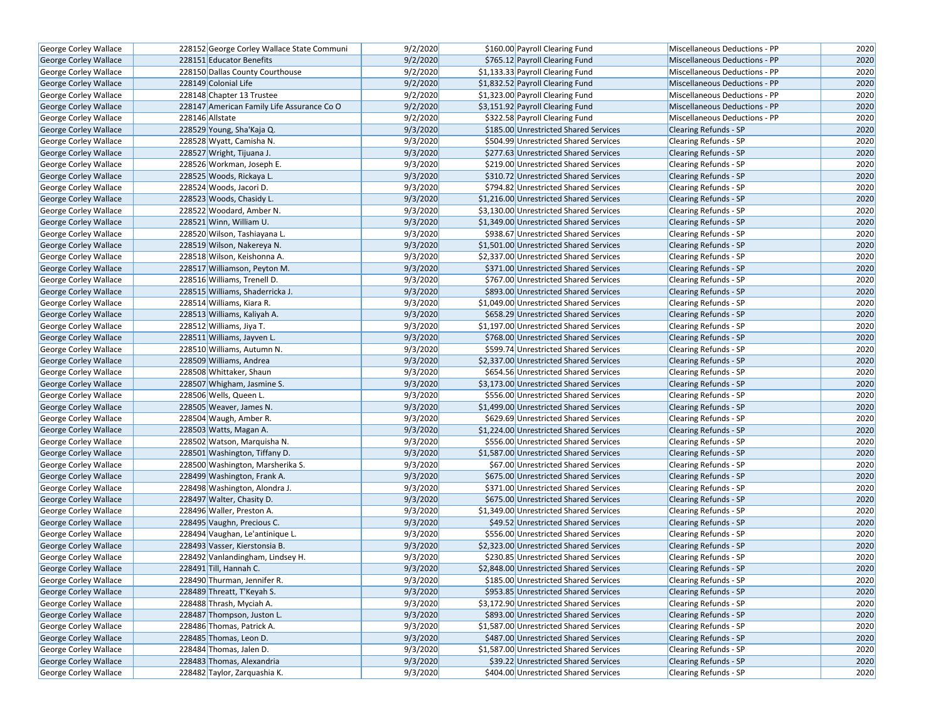| George Corley Wallace        | 228152 George Corley Wallace State Communi | 9/2/2020 | \$160.00 Payroll Clearing Fund          | Miscellaneous Deductions - PP | 2020 |
|------------------------------|--------------------------------------------|----------|-----------------------------------------|-------------------------------|------|
| <b>George Corley Wallace</b> | 228151 Educator Benefits                   | 9/2/2020 | \$765.12 Payroll Clearing Fund          | Miscellaneous Deductions - PP | 2020 |
| George Corley Wallace        | 228150 Dallas County Courthouse            | 9/2/2020 | \$1,133.33 Payroll Clearing Fund        | Miscellaneous Deductions - PP | 2020 |
| George Corley Wallace        | 228149 Colonial Life                       | 9/2/2020 | \$1,832.52 Payroll Clearing Fund        | Miscellaneous Deductions - PP | 2020 |
| George Corley Wallace        | 228148 Chapter 13 Trustee                  | 9/2/2020 | \$1,323.00 Payroll Clearing Fund        | Miscellaneous Deductions - PP | 2020 |
| George Corley Wallace        | 228147 American Family Life Assurance Co O | 9/2/2020 | \$3,151.92 Payroll Clearing Fund        | Miscellaneous Deductions - PP | 2020 |
| George Corley Wallace        | 228146 Allstate                            | 9/2/2020 | \$322.58 Payroll Clearing Fund          | Miscellaneous Deductions - PP | 2020 |
| <b>George Corley Wallace</b> | 228529 Young, Sha'Kaja Q.                  | 9/3/2020 | \$185.00 Unrestricted Shared Services   | <b>Clearing Refunds - SP</b>  | 2020 |
| George Corley Wallace        | 228528 Wyatt, Camisha N.                   | 9/3/2020 | \$504.99 Unrestricted Shared Services   | Clearing Refunds - SP         | 2020 |
| George Corley Wallace        | 228527 Wright, Tijuana J.                  | 9/3/2020 | \$277.63 Unrestricted Shared Services   | <b>Clearing Refunds - SP</b>  | 2020 |
| George Corley Wallace        | 228526 Workman, Joseph E.                  | 9/3/2020 | \$219.00 Unrestricted Shared Services   | Clearing Refunds - SP         | 2020 |
| George Corley Wallace        | 228525 Woods, Rickaya L.                   | 9/3/2020 | \$310.72 Unrestricted Shared Services   | <b>Clearing Refunds - SP</b>  | 2020 |
| George Corley Wallace        | 228524 Woods, Jacori D.                    | 9/3/2020 | \$794.82 Unrestricted Shared Services   | <b>Clearing Refunds - SP</b>  | 2020 |
| George Corley Wallace        | 228523 Woods, Chasidy L.                   | 9/3/2020 | \$1,216.00 Unrestricted Shared Services | <b>Clearing Refunds - SP</b>  | 2020 |
| <b>George Corley Wallace</b> | 228522 Woodard, Amber N.                   | 9/3/2020 | \$3,130.00 Unrestricted Shared Services | Clearing Refunds - SP         | 2020 |
| George Corley Wallace        | 228521 Winn, William U.                    | 9/3/2020 | \$1,349.00 Unrestricted Shared Services | <b>Clearing Refunds - SP</b>  | 2020 |
| George Corley Wallace        | 228520 Wilson, Tashiayana L.               | 9/3/2020 | \$938.67 Unrestricted Shared Services   | Clearing Refunds - SP         | 2020 |
| George Corley Wallace        | 228519 Wilson, Nakereya N.                 | 9/3/2020 | \$1,501.00 Unrestricted Shared Services | <b>Clearing Refunds - SP</b>  | 2020 |
| George Corley Wallace        | 228518 Wilson, Keishonna A.                | 9/3/2020 | \$2,337.00 Unrestricted Shared Services | Clearing Refunds - SP         | 2020 |
| George Corley Wallace        | 228517 Williamson, Peyton M.               | 9/3/2020 | \$371.00 Unrestricted Shared Services   | <b>Clearing Refunds - SP</b>  | 2020 |
| George Corley Wallace        | 228516 Williams, Trenell D.                | 9/3/2020 | \$767.00 Unrestricted Shared Services   | <b>Clearing Refunds - SP</b>  | 2020 |
| <b>George Corley Wallace</b> | 228515 Williams, Shaderricka J.            | 9/3/2020 | \$893.00 Unrestricted Shared Services   | <b>Clearing Refunds - SP</b>  | 2020 |
| George Corley Wallace        | 228514 Williams, Kiara R.                  | 9/3/2020 | \$1,049.00 Unrestricted Shared Services | Clearing Refunds - SP         | 2020 |
| George Corley Wallace        | 228513 Williams, Kaliyah A.                | 9/3/2020 | \$658.29 Unrestricted Shared Services   | <b>Clearing Refunds - SP</b>  | 2020 |
| George Corley Wallace        | 228512 Williams, Jiya T.                   | 9/3/2020 | \$1,197.00 Unrestricted Shared Services | <b>Clearing Refunds - SP</b>  | 2020 |
| George Corley Wallace        | 228511 Williams, Jayven L.                 | 9/3/2020 | \$768.00 Unrestricted Shared Services   | <b>Clearing Refunds - SP</b>  | 2020 |
| George Corley Wallace        | 228510 Williams, Autumn N.                 | 9/3/2020 | \$599.74 Unrestricted Shared Services   | Clearing Refunds - SP         | 2020 |
| George Corley Wallace        | 228509 Williams, Andrea                    | 9/3/2020 | \$2,337.00 Unrestricted Shared Services | <b>Clearing Refunds - SP</b>  | 2020 |
| George Corley Wallace        | 228508 Whittaker, Shaun                    | 9/3/2020 | \$654.56 Unrestricted Shared Services   | <b>Clearing Refunds - SP</b>  | 2020 |
| George Corley Wallace        | 228507 Whigham, Jasmine S.                 | 9/3/2020 | \$3,173.00 Unrestricted Shared Services | <b>Clearing Refunds - SP</b>  | 2020 |
| George Corley Wallace        | 228506 Wells, Queen L.                     | 9/3/2020 | \$556.00 Unrestricted Shared Services   | Clearing Refunds - SP         | 2020 |
| George Corley Wallace        | 228505 Weaver, James N.                    | 9/3/2020 | \$1,499.00 Unrestricted Shared Services | <b>Clearing Refunds - SP</b>  | 2020 |
| George Corley Wallace        | 228504 Waugh, Amber R.                     | 9/3/2020 | \$629.69 Unrestricted Shared Services   | Clearing Refunds - SP         | 2020 |
| George Corley Wallace        | 228503 Watts, Magan A.                     | 9/3/2020 | \$1,224.00 Unrestricted Shared Services | <b>Clearing Refunds - SP</b>  | 2020 |
| George Corley Wallace        | 228502 Watson, Marquisha N.                | 9/3/2020 | \$556.00 Unrestricted Shared Services   | <b>Clearing Refunds - SP</b>  | 2020 |
| George Corley Wallace        | 228501 Washington, Tiffany D.              | 9/3/2020 | \$1,587.00 Unrestricted Shared Services | <b>Clearing Refunds - SP</b>  | 2020 |
| George Corley Wallace        | 228500 Washington, Marsherika S.           | 9/3/2020 | \$67.00 Unrestricted Shared Services    | Clearing Refunds - SP         | 2020 |
| George Corley Wallace        | 228499 Washington, Frank A.                | 9/3/2020 | \$675.00 Unrestricted Shared Services   | <b>Clearing Refunds - SP</b>  | 2020 |
| George Corley Wallace        | 228498 Washington, Alondra J.              | 9/3/2020 | \$371.00 Unrestricted Shared Services   | Clearing Refunds - SP         | 2020 |
| George Corley Wallace        | 228497 Walter, Chasity D.                  | 9/3/2020 | \$675.00 Unrestricted Shared Services   | <b>Clearing Refunds - SP</b>  | 2020 |
| George Corley Wallace        | 228496 Waller, Preston A.                  | 9/3/2020 | \$1,349.00 Unrestricted Shared Services | <b>Clearing Refunds - SP</b>  | 2020 |
| George Corley Wallace        | 228495 Vaughn, Precious C.                 | 9/3/2020 | \$49.52 Unrestricted Shared Services    | <b>Clearing Refunds - SP</b>  | 2020 |
| George Corley Wallace        | 228494 Vaughan, Le'antinique L.            | 9/3/2020 | \$556.00 Unrestricted Shared Services   | Clearing Refunds - SP         | 2020 |
| George Corley Wallace        | 228493 Vasser, Kierstonsia B.              | 9/3/2020 | \$2,323.00 Unrestricted Shared Services | Clearing Refunds - SP         | 2020 |
| George Corley Wallace        | 228492 Vanlandingham, Lindsey H.           | 9/3/2020 | \$230.85 Unrestricted Shared Services   | Clearing Refunds - SP         | 2020 |
| George Corley Wallace        | 228491 Till, Hannah C.                     | 9/3/2020 | \$2.848.00 Unrestricted Shared Services | <b>Clearing Refunds - SP</b>  | 2020 |
| George Corley Wallace        | 228490 Thurman, Jennifer R.                | 9/3/2020 | \$185.00 Unrestricted Shared Services   | Clearing Refunds - SP         | 2020 |
| George Corley Wallace        | 228489 Threatt, T'Keyah S.                 | 9/3/2020 | \$953.85 Unrestricted Shared Services   | <b>Clearing Refunds - SP</b>  | 2020 |
| George Corley Wallace        | 228488 Thrash, Myciah A.                   | 9/3/2020 | \$3,172.90 Unrestricted Shared Services | Clearing Refunds - SP         | 2020 |
| <b>George Corley Wallace</b> | 228487 Thompson, Juston L.                 | 9/3/2020 | \$893.00 Unrestricted Shared Services   | <b>Clearing Refunds - SP</b>  | 2020 |
| George Corley Wallace        | 228486 Thomas, Patrick A.                  | 9/3/2020 | \$1,587.00 Unrestricted Shared Services | Clearing Refunds - SP         | 2020 |
| George Corley Wallace        | 228485 Thomas, Leon D.                     | 9/3/2020 | \$487.00 Unrestricted Shared Services   | Clearing Refunds - SP         | 2020 |
| George Corley Wallace        | 228484 Thomas, Jalen D.                    | 9/3/2020 | \$1,587.00 Unrestricted Shared Services | Clearing Refunds - SP         | 2020 |
| George Corley Wallace        | 228483 Thomas, Alexandria                  | 9/3/2020 | \$39.22 Unrestricted Shared Services    | <b>Clearing Refunds - SP</b>  | 2020 |
| George Corley Wallace        | 228482 Taylor, Zarquashia K.               | 9/3/2020 | \$404.00 Unrestricted Shared Services   | Clearing Refunds - SP         | 2020 |
|                              |                                            |          |                                         |                               |      |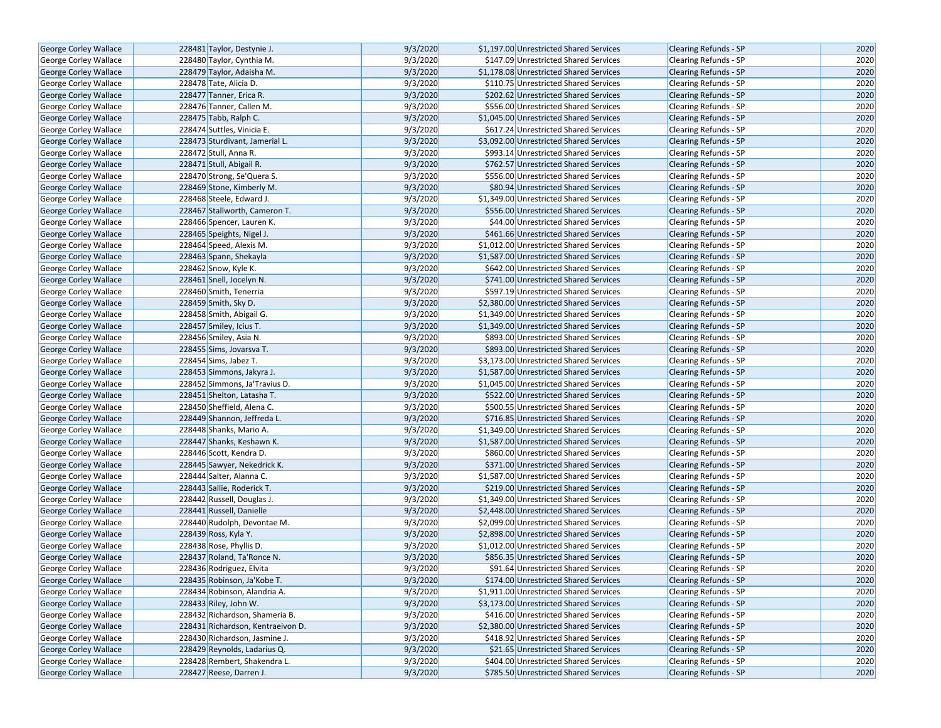| 9/3/2020<br><b>George Corley Wallace</b><br>228481 Taylor, Destynie J.<br>\$1,197.00 Unrestricted Shared Services<br><b>Clearing Refunds - SP</b><br>9/3/2020<br><b>George Corley Wallace</b><br>228480 Taylor, Cynthia M.<br>\$147.09 Unrestricted Shared Services<br><b>Clearing Refunds - SP</b><br>9/3/2020<br>George Corley Wallace<br>228479 Taylor, Adaisha M.<br>\$1,178.08 Unrestricted Shared Services<br><b>Clearing Refunds - SP</b><br>9/3/2020<br>George Corley Wallace<br>228478 Tate, Alicia D.<br>\$110.75 Unrestricted Shared Services<br><b>Clearing Refunds - SP</b><br>9/3/2020<br>George Corley Wallace<br>228477 Tanner, Erica R.<br>\$202.62 Unrestricted Shared Services<br>Clearing Refunds - SP<br>9/3/2020<br>George Corley Wallace<br>228476 Tanner, Callen M.<br>\$556.00 Unrestricted Shared Services<br>Clearing Refunds - SP<br>9/3/2020<br>\$1,045.00 Unrestricted Shared Services<br>George Corley Wallace<br>228475 Tabb, Ralph C.<br><b>Clearing Refunds - SP</b><br>9/3/2020<br><b>George Corley Wallace</b><br>228474 Suttles, Vinicia E.<br>\$617.24 Unrestricted Shared Services<br><b>Clearing Refunds - SP</b><br>9/3/2020<br><b>George Corley Wallace</b><br>228473 Sturdivant, Jamerial L.<br>\$3,092.00 Unrestricted Shared Services<br><b>Clearing Refunds - SP</b><br>9/3/2020<br>George Corley Wallace<br>228472 Stull, Anna R.<br>\$993.14 Unrestricted Shared Services<br>Clearing Refunds - SP<br>9/3/2020<br>George Corley Wallace<br>228471 Stull, Abigail R.<br>\$762.57 Unrestricted Shared Services<br>Clearing Refunds - SP<br>9/3/2020<br>George Corley Wallace<br>228470 Strong, Se'Quera S.<br>\$556.00 Unrestricted Shared Services<br><b>Clearing Refunds - SP</b><br>9/3/2020<br>George Corley Wallace<br>228469 Stone, Kimberly M.<br>\$80.94 Unrestricted Shared Services<br><b>Clearing Refunds - SP</b><br>9/3/2020<br>George Corley Wallace<br>228468 Steele, Edward J.<br>\$1,349.00 Unrestricted Shared Services<br>Clearing Refunds - SP<br>9/3/2020<br>\$556.00 Unrestricted Shared Services<br><b>George Corley Wallace</b><br>228467 Stallworth, Cameron T.<br><b>Clearing Refunds - SP</b><br>9/3/2020<br>George Corley Wallace<br>228466 Spencer, Lauren K.<br>\$44.00 Unrestricted Shared Services<br><b>Clearing Refunds - SP</b><br>9/3/2020<br>George Corley Wallace<br>228465 Speights, Nigel J.<br>\$461.66 Unrestricted Shared Services<br><b>Clearing Refunds - SP</b><br>228464 Speed, Alexis M.<br>9/3/2020<br>George Corley Wallace<br>\$1,012.00 Unrestricted Shared Services<br>Clearing Refunds - SP<br>9/3/2020<br>\$1,587.00 Unrestricted Shared Services<br>George Corley Wallace<br>228463 Spann, Shekayla<br>Clearing Refunds - SP<br>228462 Snow, Kyle K.<br>9/3/2020<br>George Corley Wallace<br>\$642.00 Unrestricted Shared Services<br><b>Clearing Refunds - SP</b><br>9/3/2020<br><b>George Corley Wallace</b><br>228461 Snell, Jocelyn N.<br>\$741.00 Unrestricted Shared Services<br><b>Clearing Refunds - SP</b><br>9/3/2020<br>George Corley Wallace<br>228460 Smith, Tenerria<br>\$597.19 Unrestricted Shared Services<br>Clearing Refunds - SP<br>228459 Smith, Sky D.<br>9/3/2020<br>\$2,380.00 Unrestricted Shared Services<br>George Corley Wallace<br><b>Clearing Refunds - SP</b><br>9/3/2020<br>\$1,349.00 Unrestricted Shared Services<br>George Corley Wallace<br>228458 Smith, Abigail G.<br>Clearing Refunds - SP<br>9/3/2020<br>George Corley Wallace<br>228457 Smiley, Icius T.<br>\$1,349.00 Unrestricted Shared Services<br><b>Clearing Refunds - SP</b><br>9/3/2020<br>George Corley Wallace<br>228456 Smiley, Asia N.<br>\$893.00 Unrestricted Shared Services<br>Clearing Refunds - SP<br>9/3/2020<br><b>George Corley Wallace</b><br>228455 Sims, Jovarsva T.<br>\$893.00 Unrestricted Shared Services<br><b>Clearing Refunds - SP</b><br>9/3/2020<br>George Corley Wallace<br>228454 Sims, Jabez T.<br>\$3,173.00 Unrestricted Shared Services<br>Clearing Refunds - SP<br>9/3/2020<br>George Corley Wallace<br>228453 Simmons, Jakyra J.<br>\$1,587.00 Unrestricted Shared Services<br><b>Clearing Refunds - SP</b><br>9/3/2020<br>George Corley Wallace<br>228452 Simmons, Ja'Travius D.<br>\$1,045.00 Unrestricted Shared Services<br><b>Clearing Refunds - SP</b><br>228451 Shelton, Latasha T.<br>9/3/2020<br><b>George Corley Wallace</b><br>\$522.00 Unrestricted Shared Services<br><b>Clearing Refunds - SP</b><br>9/3/2020<br>George Corley Wallace<br>228450 Sheffield, Alena C.<br>\$500.55 Unrestricted Shared Services<br>Clearing Refunds - SP<br>228449 Shannon, Jeffreda L.<br>9/3/2020<br>\$716.85 Unrestricted Shared Services<br>George Corley Wallace<br><b>Clearing Refunds - SP</b><br>9/3/2020<br>228448 Shanks, Mario A.<br>\$1,349.00 Unrestricted Shared Services<br>Clearing Refunds - SP<br>George Corley Wallace<br>9/3/2020<br>George Corley Wallace<br>228447 Shanks, Keshawn K.<br>\$1,587.00 Unrestricted Shared Services<br><b>Clearing Refunds - SP</b><br>228446 Scott, Kendra D.<br>9/3/2020<br>George Corley Wallace<br>\$860.00 Unrestricted Shared Services<br>Clearing Refunds - SP<br>9/3/2020<br><b>George Corley Wallace</b><br>228445 Sawyer, Nekedrick K.<br>\$371.00 Unrestricted Shared Services<br><b>Clearing Refunds - SP</b><br>9/3/2020<br>George Corley Wallace<br>228444 Salter, Alanna C.<br>\$1,587.00 Unrestricted Shared Services<br>Clearing Refunds - SP<br>228443 Sallie, Roderick T.<br>9/3/2020<br>George Corley Wallace<br>\$219.00 Unrestricted Shared Services<br><b>Clearing Refunds - SP</b><br>9/3/2020<br>\$1,349.00 Unrestricted Shared Services<br>George Corley Wallace<br>228442 Russell, Douglas J.<br>Clearing Refunds - SP<br>9/3/2020<br><b>George Corley Wallace</b><br>228441 Russell, Danielle<br>\$2,448.00 Unrestricted Shared Services<br><b>Clearing Refunds - SP</b><br>9/3/2020<br>228440 Rudolph, Devontae M.<br>\$2,099.00 Unrestricted Shared Services<br>Clearing Refunds - SP<br><b>George Corley Wallace</b><br>9/3/2020<br>George Corley Wallace<br>228439 Ross, Kyla Y.<br>\$2,898.00 Unrestricted Shared Services<br><b>Clearing Refunds - SP</b><br>228438 Rose, Phyllis D.<br>9/3/2020<br>\$1,012.00 Unrestricted Shared Services<br>George Corley Wallace<br>Clearing Refunds - SP<br>9/3/2020<br><b>George Corley Wallace</b><br>228437 Roland, Ta'Ronce N.<br>\$856.35 Unrestricted Shared Services<br><b>Clearing Refunds - SP</b><br>228436 Rodriguez, Elvita<br>9/3/2020<br>George Corley Wallace<br>\$91.64 Unrestricted Shared Services<br><b>Clearing Refunds - SP</b><br>9/3/2020<br>George Corley Wallace<br>228435 Robinson, Ja'Kobe T.<br>\$174.00 Unrestricted Shared Services<br>Clearing Refunds - SP<br>9/3/2020<br>Clearing Refunds - SP<br><b>George Corley Wallace</b><br>228434 Robinson, Alandria A.<br>\$1,911.00 Unrestricted Shared Services<br>9/3/2020<br>George Corley Wallace<br>228433 Riley, John W.<br>\$3,173.00 Unrestricted Shared Services<br><b>Clearing Refunds - SP</b><br><b>George Corley Wallace</b><br>228432 Richardson, Shameria B.<br>9/3/2020<br>\$416.00 Unrestricted Shared Services<br><b>Clearing Refunds - SP</b><br>9/3/2020<br>George Corley Wallace<br>228431 Richardson, Kentraeivon D.<br>\$2,380.00 Unrestricted Shared Services<br><b>Clearing Refunds - SP</b><br>9/3/2020<br>\$418.92 Unrestricted Shared Services<br><b>Clearing Refunds - SP</b><br><b>George Corley Wallace</b><br>228430 Richardson, Jasmine J.<br>George Corley Wallace<br>228429 Reynolds, Ladarius Q.<br>9/3/2020<br>\$21.65 Unrestricted Shared Services<br><b>Clearing Refunds - SP</b><br>228428 Rembert, Shakendra L.<br>9/3/2020<br>George Corley Wallace<br>\$404.00 Unrestricted Shared Services<br><b>Clearing Refunds - SP</b><br>Clearing Refunds - SP<br>George Corley Wallace<br>228427 Reese, Darren J.<br>9/3/2020<br>\$785.50 Unrestricted Shared Services |  |  |      |
|--------------------------------------------------------------------------------------------------------------------------------------------------------------------------------------------------------------------------------------------------------------------------------------------------------------------------------------------------------------------------------------------------------------------------------------------------------------------------------------------------------------------------------------------------------------------------------------------------------------------------------------------------------------------------------------------------------------------------------------------------------------------------------------------------------------------------------------------------------------------------------------------------------------------------------------------------------------------------------------------------------------------------------------------------------------------------------------------------------------------------------------------------------------------------------------------------------------------------------------------------------------------------------------------------------------------------------------------------------------------------------------------------------------------------------------------------------------------------------------------------------------------------------------------------------------------------------------------------------------------------------------------------------------------------------------------------------------------------------------------------------------------------------------------------------------------------------------------------------------------------------------------------------------------------------------------------------------------------------------------------------------------------------------------------------------------------------------------------------------------------------------------------------------------------------------------------------------------------------------------------------------------------------------------------------------------------------------------------------------------------------------------------------------------------------------------------------------------------------------------------------------------------------------------------------------------------------------------------------------------------------------------------------------------------------------------------------------------------------------------------------------------------------------------------------------------------------------------------------------------------------------------------------------------------------------------------------------------------------------------------------------------------------------------------------------------------------------------------------------------------------------------------------------------------------------------------------------------------------------------------------------------------------------------------------------------------------------------------------------------------------------------------------------------------------------------------------------------------------------------------------------------------------------------------------------------------------------------------------------------------------------------------------------------------------------------------------------------------------------------------------------------------------------------------------------------------------------------------------------------------------------------------------------------------------------------------------------------------------------------------------------------------------------------------------------------------------------------------------------------------------------------------------------------------------------------------------------------------------------------------------------------------------------------------------------------------------------------------------------------------------------------------------------------------------------------------------------------------------------------------------------------------------------------------------------------------------------------------------------------------------------------------------------------------------------------------------------------------------------------------------------------------------------------------------------------------------------------------------------------------------------------------------------------------------------------------------------------------------------------------------------------------------------------------------------------------------------------------------------------------------------------------------------------------------------------------------------------------------------------------------------------------------------------------------------------------------------------------------------------------------------------------------------------------------------------------------------------------------------------------------------------------------------------------------------------------------------------------------------------------------------------------------------------------------------------------------------------------------------------------------------------------------------------------------------------------------------------------------------------------------------------------------------------------------------------------------------------------------------------------------------------------------------------------------------------------------------------------------------------------------------------------------------------------------------------------------------------------------------------------------------------------------------------------------------------------------------------------------------------------------------------------------------------------------------------------------------------------------------------------------------------------------------------------------------------------------------------------------------------------------------------------------------------------------------------------------------------------------------------------------------------------------------------------------------------------------------------------------------------------------------------------------------------------------------------------------------------------------------------------------------------------------------------------------------------------------------------------------------------------------------------------------------------------------------------------------------------------------------------------------------------------------------------------------------------------------------------------------------------------------------------------------------------------------------------------------------------------------------------------------------------------------------------------------------------------------------------------------------------------------------------------------------------------------------------------------------------------------------------------------------------------------------------------------------------------------------------------------------------------------------------------------------------------------------------------|--|--|------|
|                                                                                                                                                                                                                                                                                                                                                                                                                                                                                                                                                                                                                                                                                                                                                                                                                                                                                                                                                                                                                                                                                                                                                                                                                                                                                                                                                                                                                                                                                                                                                                                                                                                                                                                                                                                                                                                                                                                                                                                                                                                                                                                                                                                                                                                                                                                                                                                                                                                                                                                                                                                                                                                                                                                                                                                                                                                                                                                                                                                                                                                                                                                                                                                                                                                                                                                                                                                                                                                                                                                                                                                                                                                                                                                                                                                                                                                                                                                                                                                                                                                                                                                                                                                                                                                                                                                                                                                                                                                                                                                                                                                                                                                                                                                                                                                                                                                                                                                                                                                                                                                                                                                                                                                                                                                                                                                                                                                                                                                                                                                                                                                                                                                                                                                                                                                                                                                                                                                                                                                                                                                                                                                                                                                                                                                                                                                                                                                                                                                                                                                                                                                                                                                                                                                                                                                                                                                                                                                                                                                                                                                                                                                                                                                                                                                                                                                                                                                                                                                                                                                                                                                                                                                                                                                                                                                                                                                                                                                                                  |  |  | 2020 |
|                                                                                                                                                                                                                                                                                                                                                                                                                                                                                                                                                                                                                                                                                                                                                                                                                                                                                                                                                                                                                                                                                                                                                                                                                                                                                                                                                                                                                                                                                                                                                                                                                                                                                                                                                                                                                                                                                                                                                                                                                                                                                                                                                                                                                                                                                                                                                                                                                                                                                                                                                                                                                                                                                                                                                                                                                                                                                                                                                                                                                                                                                                                                                                                                                                                                                                                                                                                                                                                                                                                                                                                                                                                                                                                                                                                                                                                                                                                                                                                                                                                                                                                                                                                                                                                                                                                                                                                                                                                                                                                                                                                                                                                                                                                                                                                                                                                                                                                                                                                                                                                                                                                                                                                                                                                                                                                                                                                                                                                                                                                                                                                                                                                                                                                                                                                                                                                                                                                                                                                                                                                                                                                                                                                                                                                                                                                                                                                                                                                                                                                                                                                                                                                                                                                                                                                                                                                                                                                                                                                                                                                                                                                                                                                                                                                                                                                                                                                                                                                                                                                                                                                                                                                                                                                                                                                                                                                                                                                                                  |  |  | 2020 |
|                                                                                                                                                                                                                                                                                                                                                                                                                                                                                                                                                                                                                                                                                                                                                                                                                                                                                                                                                                                                                                                                                                                                                                                                                                                                                                                                                                                                                                                                                                                                                                                                                                                                                                                                                                                                                                                                                                                                                                                                                                                                                                                                                                                                                                                                                                                                                                                                                                                                                                                                                                                                                                                                                                                                                                                                                                                                                                                                                                                                                                                                                                                                                                                                                                                                                                                                                                                                                                                                                                                                                                                                                                                                                                                                                                                                                                                                                                                                                                                                                                                                                                                                                                                                                                                                                                                                                                                                                                                                                                                                                                                                                                                                                                                                                                                                                                                                                                                                                                                                                                                                                                                                                                                                                                                                                                                                                                                                                                                                                                                                                                                                                                                                                                                                                                                                                                                                                                                                                                                                                                                                                                                                                                                                                                                                                                                                                                                                                                                                                                                                                                                                                                                                                                                                                                                                                                                                                                                                                                                                                                                                                                                                                                                                                                                                                                                                                                                                                                                                                                                                                                                                                                                                                                                                                                                                                                                                                                                                                  |  |  | 2020 |
|                                                                                                                                                                                                                                                                                                                                                                                                                                                                                                                                                                                                                                                                                                                                                                                                                                                                                                                                                                                                                                                                                                                                                                                                                                                                                                                                                                                                                                                                                                                                                                                                                                                                                                                                                                                                                                                                                                                                                                                                                                                                                                                                                                                                                                                                                                                                                                                                                                                                                                                                                                                                                                                                                                                                                                                                                                                                                                                                                                                                                                                                                                                                                                                                                                                                                                                                                                                                                                                                                                                                                                                                                                                                                                                                                                                                                                                                                                                                                                                                                                                                                                                                                                                                                                                                                                                                                                                                                                                                                                                                                                                                                                                                                                                                                                                                                                                                                                                                                                                                                                                                                                                                                                                                                                                                                                                                                                                                                                                                                                                                                                                                                                                                                                                                                                                                                                                                                                                                                                                                                                                                                                                                                                                                                                                                                                                                                                                                                                                                                                                                                                                                                                                                                                                                                                                                                                                                                                                                                                                                                                                                                                                                                                                                                                                                                                                                                                                                                                                                                                                                                                                                                                                                                                                                                                                                                                                                                                                                                  |  |  | 2020 |
|                                                                                                                                                                                                                                                                                                                                                                                                                                                                                                                                                                                                                                                                                                                                                                                                                                                                                                                                                                                                                                                                                                                                                                                                                                                                                                                                                                                                                                                                                                                                                                                                                                                                                                                                                                                                                                                                                                                                                                                                                                                                                                                                                                                                                                                                                                                                                                                                                                                                                                                                                                                                                                                                                                                                                                                                                                                                                                                                                                                                                                                                                                                                                                                                                                                                                                                                                                                                                                                                                                                                                                                                                                                                                                                                                                                                                                                                                                                                                                                                                                                                                                                                                                                                                                                                                                                                                                                                                                                                                                                                                                                                                                                                                                                                                                                                                                                                                                                                                                                                                                                                                                                                                                                                                                                                                                                                                                                                                                                                                                                                                                                                                                                                                                                                                                                                                                                                                                                                                                                                                                                                                                                                                                                                                                                                                                                                                                                                                                                                                                                                                                                                                                                                                                                                                                                                                                                                                                                                                                                                                                                                                                                                                                                                                                                                                                                                                                                                                                                                                                                                                                                                                                                                                                                                                                                                                                                                                                                                                  |  |  | 2020 |
|                                                                                                                                                                                                                                                                                                                                                                                                                                                                                                                                                                                                                                                                                                                                                                                                                                                                                                                                                                                                                                                                                                                                                                                                                                                                                                                                                                                                                                                                                                                                                                                                                                                                                                                                                                                                                                                                                                                                                                                                                                                                                                                                                                                                                                                                                                                                                                                                                                                                                                                                                                                                                                                                                                                                                                                                                                                                                                                                                                                                                                                                                                                                                                                                                                                                                                                                                                                                                                                                                                                                                                                                                                                                                                                                                                                                                                                                                                                                                                                                                                                                                                                                                                                                                                                                                                                                                                                                                                                                                                                                                                                                                                                                                                                                                                                                                                                                                                                                                                                                                                                                                                                                                                                                                                                                                                                                                                                                                                                                                                                                                                                                                                                                                                                                                                                                                                                                                                                                                                                                                                                                                                                                                                                                                                                                                                                                                                                                                                                                                                                                                                                                                                                                                                                                                                                                                                                                                                                                                                                                                                                                                                                                                                                                                                                                                                                                                                                                                                                                                                                                                                                                                                                                                                                                                                                                                                                                                                                                                  |  |  | 2020 |
|                                                                                                                                                                                                                                                                                                                                                                                                                                                                                                                                                                                                                                                                                                                                                                                                                                                                                                                                                                                                                                                                                                                                                                                                                                                                                                                                                                                                                                                                                                                                                                                                                                                                                                                                                                                                                                                                                                                                                                                                                                                                                                                                                                                                                                                                                                                                                                                                                                                                                                                                                                                                                                                                                                                                                                                                                                                                                                                                                                                                                                                                                                                                                                                                                                                                                                                                                                                                                                                                                                                                                                                                                                                                                                                                                                                                                                                                                                                                                                                                                                                                                                                                                                                                                                                                                                                                                                                                                                                                                                                                                                                                                                                                                                                                                                                                                                                                                                                                                                                                                                                                                                                                                                                                                                                                                                                                                                                                                                                                                                                                                                                                                                                                                                                                                                                                                                                                                                                                                                                                                                                                                                                                                                                                                                                                                                                                                                                                                                                                                                                                                                                                                                                                                                                                                                                                                                                                                                                                                                                                                                                                                                                                                                                                                                                                                                                                                                                                                                                                                                                                                                                                                                                                                                                                                                                                                                                                                                                                                  |  |  | 2020 |
|                                                                                                                                                                                                                                                                                                                                                                                                                                                                                                                                                                                                                                                                                                                                                                                                                                                                                                                                                                                                                                                                                                                                                                                                                                                                                                                                                                                                                                                                                                                                                                                                                                                                                                                                                                                                                                                                                                                                                                                                                                                                                                                                                                                                                                                                                                                                                                                                                                                                                                                                                                                                                                                                                                                                                                                                                                                                                                                                                                                                                                                                                                                                                                                                                                                                                                                                                                                                                                                                                                                                                                                                                                                                                                                                                                                                                                                                                                                                                                                                                                                                                                                                                                                                                                                                                                                                                                                                                                                                                                                                                                                                                                                                                                                                                                                                                                                                                                                                                                                                                                                                                                                                                                                                                                                                                                                                                                                                                                                                                                                                                                                                                                                                                                                                                                                                                                                                                                                                                                                                                                                                                                                                                                                                                                                                                                                                                                                                                                                                                                                                                                                                                                                                                                                                                                                                                                                                                                                                                                                                                                                                                                                                                                                                                                                                                                                                                                                                                                                                                                                                                                                                                                                                                                                                                                                                                                                                                                                                                  |  |  | 2020 |
|                                                                                                                                                                                                                                                                                                                                                                                                                                                                                                                                                                                                                                                                                                                                                                                                                                                                                                                                                                                                                                                                                                                                                                                                                                                                                                                                                                                                                                                                                                                                                                                                                                                                                                                                                                                                                                                                                                                                                                                                                                                                                                                                                                                                                                                                                                                                                                                                                                                                                                                                                                                                                                                                                                                                                                                                                                                                                                                                                                                                                                                                                                                                                                                                                                                                                                                                                                                                                                                                                                                                                                                                                                                                                                                                                                                                                                                                                                                                                                                                                                                                                                                                                                                                                                                                                                                                                                                                                                                                                                                                                                                                                                                                                                                                                                                                                                                                                                                                                                                                                                                                                                                                                                                                                                                                                                                                                                                                                                                                                                                                                                                                                                                                                                                                                                                                                                                                                                                                                                                                                                                                                                                                                                                                                                                                                                                                                                                                                                                                                                                                                                                                                                                                                                                                                                                                                                                                                                                                                                                                                                                                                                                                                                                                                                                                                                                                                                                                                                                                                                                                                                                                                                                                                                                                                                                                                                                                                                                                                  |  |  | 2020 |
|                                                                                                                                                                                                                                                                                                                                                                                                                                                                                                                                                                                                                                                                                                                                                                                                                                                                                                                                                                                                                                                                                                                                                                                                                                                                                                                                                                                                                                                                                                                                                                                                                                                                                                                                                                                                                                                                                                                                                                                                                                                                                                                                                                                                                                                                                                                                                                                                                                                                                                                                                                                                                                                                                                                                                                                                                                                                                                                                                                                                                                                                                                                                                                                                                                                                                                                                                                                                                                                                                                                                                                                                                                                                                                                                                                                                                                                                                                                                                                                                                                                                                                                                                                                                                                                                                                                                                                                                                                                                                                                                                                                                                                                                                                                                                                                                                                                                                                                                                                                                                                                                                                                                                                                                                                                                                                                                                                                                                                                                                                                                                                                                                                                                                                                                                                                                                                                                                                                                                                                                                                                                                                                                                                                                                                                                                                                                                                                                                                                                                                                                                                                                                                                                                                                                                                                                                                                                                                                                                                                                                                                                                                                                                                                                                                                                                                                                                                                                                                                                                                                                                                                                                                                                                                                                                                                                                                                                                                                                                  |  |  | 2020 |
|                                                                                                                                                                                                                                                                                                                                                                                                                                                                                                                                                                                                                                                                                                                                                                                                                                                                                                                                                                                                                                                                                                                                                                                                                                                                                                                                                                                                                                                                                                                                                                                                                                                                                                                                                                                                                                                                                                                                                                                                                                                                                                                                                                                                                                                                                                                                                                                                                                                                                                                                                                                                                                                                                                                                                                                                                                                                                                                                                                                                                                                                                                                                                                                                                                                                                                                                                                                                                                                                                                                                                                                                                                                                                                                                                                                                                                                                                                                                                                                                                                                                                                                                                                                                                                                                                                                                                                                                                                                                                                                                                                                                                                                                                                                                                                                                                                                                                                                                                                                                                                                                                                                                                                                                                                                                                                                                                                                                                                                                                                                                                                                                                                                                                                                                                                                                                                                                                                                                                                                                                                                                                                                                                                                                                                                                                                                                                                                                                                                                                                                                                                                                                                                                                                                                                                                                                                                                                                                                                                                                                                                                                                                                                                                                                                                                                                                                                                                                                                                                                                                                                                                                                                                                                                                                                                                                                                                                                                                                                  |  |  | 2020 |
|                                                                                                                                                                                                                                                                                                                                                                                                                                                                                                                                                                                                                                                                                                                                                                                                                                                                                                                                                                                                                                                                                                                                                                                                                                                                                                                                                                                                                                                                                                                                                                                                                                                                                                                                                                                                                                                                                                                                                                                                                                                                                                                                                                                                                                                                                                                                                                                                                                                                                                                                                                                                                                                                                                                                                                                                                                                                                                                                                                                                                                                                                                                                                                                                                                                                                                                                                                                                                                                                                                                                                                                                                                                                                                                                                                                                                                                                                                                                                                                                                                                                                                                                                                                                                                                                                                                                                                                                                                                                                                                                                                                                                                                                                                                                                                                                                                                                                                                                                                                                                                                                                                                                                                                                                                                                                                                                                                                                                                                                                                                                                                                                                                                                                                                                                                                                                                                                                                                                                                                                                                                                                                                                                                                                                                                                                                                                                                                                                                                                                                                                                                                                                                                                                                                                                                                                                                                                                                                                                                                                                                                                                                                                                                                                                                                                                                                                                                                                                                                                                                                                                                                                                                                                                                                                                                                                                                                                                                                                                  |  |  | 2020 |
|                                                                                                                                                                                                                                                                                                                                                                                                                                                                                                                                                                                                                                                                                                                                                                                                                                                                                                                                                                                                                                                                                                                                                                                                                                                                                                                                                                                                                                                                                                                                                                                                                                                                                                                                                                                                                                                                                                                                                                                                                                                                                                                                                                                                                                                                                                                                                                                                                                                                                                                                                                                                                                                                                                                                                                                                                                                                                                                                                                                                                                                                                                                                                                                                                                                                                                                                                                                                                                                                                                                                                                                                                                                                                                                                                                                                                                                                                                                                                                                                                                                                                                                                                                                                                                                                                                                                                                                                                                                                                                                                                                                                                                                                                                                                                                                                                                                                                                                                                                                                                                                                                                                                                                                                                                                                                                                                                                                                                                                                                                                                                                                                                                                                                                                                                                                                                                                                                                                                                                                                                                                                                                                                                                                                                                                                                                                                                                                                                                                                                                                                                                                                                                                                                                                                                                                                                                                                                                                                                                                                                                                                                                                                                                                                                                                                                                                                                                                                                                                                                                                                                                                                                                                                                                                                                                                                                                                                                                                                                  |  |  | 2020 |
|                                                                                                                                                                                                                                                                                                                                                                                                                                                                                                                                                                                                                                                                                                                                                                                                                                                                                                                                                                                                                                                                                                                                                                                                                                                                                                                                                                                                                                                                                                                                                                                                                                                                                                                                                                                                                                                                                                                                                                                                                                                                                                                                                                                                                                                                                                                                                                                                                                                                                                                                                                                                                                                                                                                                                                                                                                                                                                                                                                                                                                                                                                                                                                                                                                                                                                                                                                                                                                                                                                                                                                                                                                                                                                                                                                                                                                                                                                                                                                                                                                                                                                                                                                                                                                                                                                                                                                                                                                                                                                                                                                                                                                                                                                                                                                                                                                                                                                                                                                                                                                                                                                                                                                                                                                                                                                                                                                                                                                                                                                                                                                                                                                                                                                                                                                                                                                                                                                                                                                                                                                                                                                                                                                                                                                                                                                                                                                                                                                                                                                                                                                                                                                                                                                                                                                                                                                                                                                                                                                                                                                                                                                                                                                                                                                                                                                                                                                                                                                                                                                                                                                                                                                                                                                                                                                                                                                                                                                                                                  |  |  | 2020 |
|                                                                                                                                                                                                                                                                                                                                                                                                                                                                                                                                                                                                                                                                                                                                                                                                                                                                                                                                                                                                                                                                                                                                                                                                                                                                                                                                                                                                                                                                                                                                                                                                                                                                                                                                                                                                                                                                                                                                                                                                                                                                                                                                                                                                                                                                                                                                                                                                                                                                                                                                                                                                                                                                                                                                                                                                                                                                                                                                                                                                                                                                                                                                                                                                                                                                                                                                                                                                                                                                                                                                                                                                                                                                                                                                                                                                                                                                                                                                                                                                                                                                                                                                                                                                                                                                                                                                                                                                                                                                                                                                                                                                                                                                                                                                                                                                                                                                                                                                                                                                                                                                                                                                                                                                                                                                                                                                                                                                                                                                                                                                                                                                                                                                                                                                                                                                                                                                                                                                                                                                                                                                                                                                                                                                                                                                                                                                                                                                                                                                                                                                                                                                                                                                                                                                                                                                                                                                                                                                                                                                                                                                                                                                                                                                                                                                                                                                                                                                                                                                                                                                                                                                                                                                                                                                                                                                                                                                                                                                                  |  |  | 2020 |
|                                                                                                                                                                                                                                                                                                                                                                                                                                                                                                                                                                                                                                                                                                                                                                                                                                                                                                                                                                                                                                                                                                                                                                                                                                                                                                                                                                                                                                                                                                                                                                                                                                                                                                                                                                                                                                                                                                                                                                                                                                                                                                                                                                                                                                                                                                                                                                                                                                                                                                                                                                                                                                                                                                                                                                                                                                                                                                                                                                                                                                                                                                                                                                                                                                                                                                                                                                                                                                                                                                                                                                                                                                                                                                                                                                                                                                                                                                                                                                                                                                                                                                                                                                                                                                                                                                                                                                                                                                                                                                                                                                                                                                                                                                                                                                                                                                                                                                                                                                                                                                                                                                                                                                                                                                                                                                                                                                                                                                                                                                                                                                                                                                                                                                                                                                                                                                                                                                                                                                                                                                                                                                                                                                                                                                                                                                                                                                                                                                                                                                                                                                                                                                                                                                                                                                                                                                                                                                                                                                                                                                                                                                                                                                                                                                                                                                                                                                                                                                                                                                                                                                                                                                                                                                                                                                                                                                                                                                                                                  |  |  | 2020 |
|                                                                                                                                                                                                                                                                                                                                                                                                                                                                                                                                                                                                                                                                                                                                                                                                                                                                                                                                                                                                                                                                                                                                                                                                                                                                                                                                                                                                                                                                                                                                                                                                                                                                                                                                                                                                                                                                                                                                                                                                                                                                                                                                                                                                                                                                                                                                                                                                                                                                                                                                                                                                                                                                                                                                                                                                                                                                                                                                                                                                                                                                                                                                                                                                                                                                                                                                                                                                                                                                                                                                                                                                                                                                                                                                                                                                                                                                                                                                                                                                                                                                                                                                                                                                                                                                                                                                                                                                                                                                                                                                                                                                                                                                                                                                                                                                                                                                                                                                                                                                                                                                                                                                                                                                                                                                                                                                                                                                                                                                                                                                                                                                                                                                                                                                                                                                                                                                                                                                                                                                                                                                                                                                                                                                                                                                                                                                                                                                                                                                                                                                                                                                                                                                                                                                                                                                                                                                                                                                                                                                                                                                                                                                                                                                                                                                                                                                                                                                                                                                                                                                                                                                                                                                                                                                                                                                                                                                                                                                                  |  |  | 2020 |
|                                                                                                                                                                                                                                                                                                                                                                                                                                                                                                                                                                                                                                                                                                                                                                                                                                                                                                                                                                                                                                                                                                                                                                                                                                                                                                                                                                                                                                                                                                                                                                                                                                                                                                                                                                                                                                                                                                                                                                                                                                                                                                                                                                                                                                                                                                                                                                                                                                                                                                                                                                                                                                                                                                                                                                                                                                                                                                                                                                                                                                                                                                                                                                                                                                                                                                                                                                                                                                                                                                                                                                                                                                                                                                                                                                                                                                                                                                                                                                                                                                                                                                                                                                                                                                                                                                                                                                                                                                                                                                                                                                                                                                                                                                                                                                                                                                                                                                                                                                                                                                                                                                                                                                                                                                                                                                                                                                                                                                                                                                                                                                                                                                                                                                                                                                                                                                                                                                                                                                                                                                                                                                                                                                                                                                                                                                                                                                                                                                                                                                                                                                                                                                                                                                                                                                                                                                                                                                                                                                                                                                                                                                                                                                                                                                                                                                                                                                                                                                                                                                                                                                                                                                                                                                                                                                                                                                                                                                                                                  |  |  | 2020 |
|                                                                                                                                                                                                                                                                                                                                                                                                                                                                                                                                                                                                                                                                                                                                                                                                                                                                                                                                                                                                                                                                                                                                                                                                                                                                                                                                                                                                                                                                                                                                                                                                                                                                                                                                                                                                                                                                                                                                                                                                                                                                                                                                                                                                                                                                                                                                                                                                                                                                                                                                                                                                                                                                                                                                                                                                                                                                                                                                                                                                                                                                                                                                                                                                                                                                                                                                                                                                                                                                                                                                                                                                                                                                                                                                                                                                                                                                                                                                                                                                                                                                                                                                                                                                                                                                                                                                                                                                                                                                                                                                                                                                                                                                                                                                                                                                                                                                                                                                                                                                                                                                                                                                                                                                                                                                                                                                                                                                                                                                                                                                                                                                                                                                                                                                                                                                                                                                                                                                                                                                                                                                                                                                                                                                                                                                                                                                                                                                                                                                                                                                                                                                                                                                                                                                                                                                                                                                                                                                                                                                                                                                                                                                                                                                                                                                                                                                                                                                                                                                                                                                                                                                                                                                                                                                                                                                                                                                                                                                                  |  |  | 2020 |
|                                                                                                                                                                                                                                                                                                                                                                                                                                                                                                                                                                                                                                                                                                                                                                                                                                                                                                                                                                                                                                                                                                                                                                                                                                                                                                                                                                                                                                                                                                                                                                                                                                                                                                                                                                                                                                                                                                                                                                                                                                                                                                                                                                                                                                                                                                                                                                                                                                                                                                                                                                                                                                                                                                                                                                                                                                                                                                                                                                                                                                                                                                                                                                                                                                                                                                                                                                                                                                                                                                                                                                                                                                                                                                                                                                                                                                                                                                                                                                                                                                                                                                                                                                                                                                                                                                                                                                                                                                                                                                                                                                                                                                                                                                                                                                                                                                                                                                                                                                                                                                                                                                                                                                                                                                                                                                                                                                                                                                                                                                                                                                                                                                                                                                                                                                                                                                                                                                                                                                                                                                                                                                                                                                                                                                                                                                                                                                                                                                                                                                                                                                                                                                                                                                                                                                                                                                                                                                                                                                                                                                                                                                                                                                                                                                                                                                                                                                                                                                                                                                                                                                                                                                                                                                                                                                                                                                                                                                                                                  |  |  | 2020 |
|                                                                                                                                                                                                                                                                                                                                                                                                                                                                                                                                                                                                                                                                                                                                                                                                                                                                                                                                                                                                                                                                                                                                                                                                                                                                                                                                                                                                                                                                                                                                                                                                                                                                                                                                                                                                                                                                                                                                                                                                                                                                                                                                                                                                                                                                                                                                                                                                                                                                                                                                                                                                                                                                                                                                                                                                                                                                                                                                                                                                                                                                                                                                                                                                                                                                                                                                                                                                                                                                                                                                                                                                                                                                                                                                                                                                                                                                                                                                                                                                                                                                                                                                                                                                                                                                                                                                                                                                                                                                                                                                                                                                                                                                                                                                                                                                                                                                                                                                                                                                                                                                                                                                                                                                                                                                                                                                                                                                                                                                                                                                                                                                                                                                                                                                                                                                                                                                                                                                                                                                                                                                                                                                                                                                                                                                                                                                                                                                                                                                                                                                                                                                                                                                                                                                                                                                                                                                                                                                                                                                                                                                                                                                                                                                                                                                                                                                                                                                                                                                                                                                                                                                                                                                                                                                                                                                                                                                                                                                                  |  |  | 2020 |
|                                                                                                                                                                                                                                                                                                                                                                                                                                                                                                                                                                                                                                                                                                                                                                                                                                                                                                                                                                                                                                                                                                                                                                                                                                                                                                                                                                                                                                                                                                                                                                                                                                                                                                                                                                                                                                                                                                                                                                                                                                                                                                                                                                                                                                                                                                                                                                                                                                                                                                                                                                                                                                                                                                                                                                                                                                                                                                                                                                                                                                                                                                                                                                                                                                                                                                                                                                                                                                                                                                                                                                                                                                                                                                                                                                                                                                                                                                                                                                                                                                                                                                                                                                                                                                                                                                                                                                                                                                                                                                                                                                                                                                                                                                                                                                                                                                                                                                                                                                                                                                                                                                                                                                                                                                                                                                                                                                                                                                                                                                                                                                                                                                                                                                                                                                                                                                                                                                                                                                                                                                                                                                                                                                                                                                                                                                                                                                                                                                                                                                                                                                                                                                                                                                                                                                                                                                                                                                                                                                                                                                                                                                                                                                                                                                                                                                                                                                                                                                                                                                                                                                                                                                                                                                                                                                                                                                                                                                                                                  |  |  | 2020 |
|                                                                                                                                                                                                                                                                                                                                                                                                                                                                                                                                                                                                                                                                                                                                                                                                                                                                                                                                                                                                                                                                                                                                                                                                                                                                                                                                                                                                                                                                                                                                                                                                                                                                                                                                                                                                                                                                                                                                                                                                                                                                                                                                                                                                                                                                                                                                                                                                                                                                                                                                                                                                                                                                                                                                                                                                                                                                                                                                                                                                                                                                                                                                                                                                                                                                                                                                                                                                                                                                                                                                                                                                                                                                                                                                                                                                                                                                                                                                                                                                                                                                                                                                                                                                                                                                                                                                                                                                                                                                                                                                                                                                                                                                                                                                                                                                                                                                                                                                                                                                                                                                                                                                                                                                                                                                                                                                                                                                                                                                                                                                                                                                                                                                                                                                                                                                                                                                                                                                                                                                                                                                                                                                                                                                                                                                                                                                                                                                                                                                                                                                                                                                                                                                                                                                                                                                                                                                                                                                                                                                                                                                                                                                                                                                                                                                                                                                                                                                                                                                                                                                                                                                                                                                                                                                                                                                                                                                                                                                                  |  |  | 2020 |
|                                                                                                                                                                                                                                                                                                                                                                                                                                                                                                                                                                                                                                                                                                                                                                                                                                                                                                                                                                                                                                                                                                                                                                                                                                                                                                                                                                                                                                                                                                                                                                                                                                                                                                                                                                                                                                                                                                                                                                                                                                                                                                                                                                                                                                                                                                                                                                                                                                                                                                                                                                                                                                                                                                                                                                                                                                                                                                                                                                                                                                                                                                                                                                                                                                                                                                                                                                                                                                                                                                                                                                                                                                                                                                                                                                                                                                                                                                                                                                                                                                                                                                                                                                                                                                                                                                                                                                                                                                                                                                                                                                                                                                                                                                                                                                                                                                                                                                                                                                                                                                                                                                                                                                                                                                                                                                                                                                                                                                                                                                                                                                                                                                                                                                                                                                                                                                                                                                                                                                                                                                                                                                                                                                                                                                                                                                                                                                                                                                                                                                                                                                                                                                                                                                                                                                                                                                                                                                                                                                                                                                                                                                                                                                                                                                                                                                                                                                                                                                                                                                                                                                                                                                                                                                                                                                                                                                                                                                                                                  |  |  | 2020 |
|                                                                                                                                                                                                                                                                                                                                                                                                                                                                                                                                                                                                                                                                                                                                                                                                                                                                                                                                                                                                                                                                                                                                                                                                                                                                                                                                                                                                                                                                                                                                                                                                                                                                                                                                                                                                                                                                                                                                                                                                                                                                                                                                                                                                                                                                                                                                                                                                                                                                                                                                                                                                                                                                                                                                                                                                                                                                                                                                                                                                                                                                                                                                                                                                                                                                                                                                                                                                                                                                                                                                                                                                                                                                                                                                                                                                                                                                                                                                                                                                                                                                                                                                                                                                                                                                                                                                                                                                                                                                                                                                                                                                                                                                                                                                                                                                                                                                                                                                                                                                                                                                                                                                                                                                                                                                                                                                                                                                                                                                                                                                                                                                                                                                                                                                                                                                                                                                                                                                                                                                                                                                                                                                                                                                                                                                                                                                                                                                                                                                                                                                                                                                                                                                                                                                                                                                                                                                                                                                                                                                                                                                                                                                                                                                                                                                                                                                                                                                                                                                                                                                                                                                                                                                                                                                                                                                                                                                                                                                                  |  |  | 2020 |
|                                                                                                                                                                                                                                                                                                                                                                                                                                                                                                                                                                                                                                                                                                                                                                                                                                                                                                                                                                                                                                                                                                                                                                                                                                                                                                                                                                                                                                                                                                                                                                                                                                                                                                                                                                                                                                                                                                                                                                                                                                                                                                                                                                                                                                                                                                                                                                                                                                                                                                                                                                                                                                                                                                                                                                                                                                                                                                                                                                                                                                                                                                                                                                                                                                                                                                                                                                                                                                                                                                                                                                                                                                                                                                                                                                                                                                                                                                                                                                                                                                                                                                                                                                                                                                                                                                                                                                                                                                                                                                                                                                                                                                                                                                                                                                                                                                                                                                                                                                                                                                                                                                                                                                                                                                                                                                                                                                                                                                                                                                                                                                                                                                                                                                                                                                                                                                                                                                                                                                                                                                                                                                                                                                                                                                                                                                                                                                                                                                                                                                                                                                                                                                                                                                                                                                                                                                                                                                                                                                                                                                                                                                                                                                                                                                                                                                                                                                                                                                                                                                                                                                                                                                                                                                                                                                                                                                                                                                                                                  |  |  | 2020 |
|                                                                                                                                                                                                                                                                                                                                                                                                                                                                                                                                                                                                                                                                                                                                                                                                                                                                                                                                                                                                                                                                                                                                                                                                                                                                                                                                                                                                                                                                                                                                                                                                                                                                                                                                                                                                                                                                                                                                                                                                                                                                                                                                                                                                                                                                                                                                                                                                                                                                                                                                                                                                                                                                                                                                                                                                                                                                                                                                                                                                                                                                                                                                                                                                                                                                                                                                                                                                                                                                                                                                                                                                                                                                                                                                                                                                                                                                                                                                                                                                                                                                                                                                                                                                                                                                                                                                                                                                                                                                                                                                                                                                                                                                                                                                                                                                                                                                                                                                                                                                                                                                                                                                                                                                                                                                                                                                                                                                                                                                                                                                                                                                                                                                                                                                                                                                                                                                                                                                                                                                                                                                                                                                                                                                                                                                                                                                                                                                                                                                                                                                                                                                                                                                                                                                                                                                                                                                                                                                                                                                                                                                                                                                                                                                                                                                                                                                                                                                                                                                                                                                                                                                                                                                                                                                                                                                                                                                                                                                                  |  |  | 2020 |
|                                                                                                                                                                                                                                                                                                                                                                                                                                                                                                                                                                                                                                                                                                                                                                                                                                                                                                                                                                                                                                                                                                                                                                                                                                                                                                                                                                                                                                                                                                                                                                                                                                                                                                                                                                                                                                                                                                                                                                                                                                                                                                                                                                                                                                                                                                                                                                                                                                                                                                                                                                                                                                                                                                                                                                                                                                                                                                                                                                                                                                                                                                                                                                                                                                                                                                                                                                                                                                                                                                                                                                                                                                                                                                                                                                                                                                                                                                                                                                                                                                                                                                                                                                                                                                                                                                                                                                                                                                                                                                                                                                                                                                                                                                                                                                                                                                                                                                                                                                                                                                                                                                                                                                                                                                                                                                                                                                                                                                                                                                                                                                                                                                                                                                                                                                                                                                                                                                                                                                                                                                                                                                                                                                                                                                                                                                                                                                                                                                                                                                                                                                                                                                                                                                                                                                                                                                                                                                                                                                                                                                                                                                                                                                                                                                                                                                                                                                                                                                                                                                                                                                                                                                                                                                                                                                                                                                                                                                                                                  |  |  | 2020 |
|                                                                                                                                                                                                                                                                                                                                                                                                                                                                                                                                                                                                                                                                                                                                                                                                                                                                                                                                                                                                                                                                                                                                                                                                                                                                                                                                                                                                                                                                                                                                                                                                                                                                                                                                                                                                                                                                                                                                                                                                                                                                                                                                                                                                                                                                                                                                                                                                                                                                                                                                                                                                                                                                                                                                                                                                                                                                                                                                                                                                                                                                                                                                                                                                                                                                                                                                                                                                                                                                                                                                                                                                                                                                                                                                                                                                                                                                                                                                                                                                                                                                                                                                                                                                                                                                                                                                                                                                                                                                                                                                                                                                                                                                                                                                                                                                                                                                                                                                                                                                                                                                                                                                                                                                                                                                                                                                                                                                                                                                                                                                                                                                                                                                                                                                                                                                                                                                                                                                                                                                                                                                                                                                                                                                                                                                                                                                                                                                                                                                                                                                                                                                                                                                                                                                                                                                                                                                                                                                                                                                                                                                                                                                                                                                                                                                                                                                                                                                                                                                                                                                                                                                                                                                                                                                                                                                                                                                                                                                                  |  |  | 2020 |
|                                                                                                                                                                                                                                                                                                                                                                                                                                                                                                                                                                                                                                                                                                                                                                                                                                                                                                                                                                                                                                                                                                                                                                                                                                                                                                                                                                                                                                                                                                                                                                                                                                                                                                                                                                                                                                                                                                                                                                                                                                                                                                                                                                                                                                                                                                                                                                                                                                                                                                                                                                                                                                                                                                                                                                                                                                                                                                                                                                                                                                                                                                                                                                                                                                                                                                                                                                                                                                                                                                                                                                                                                                                                                                                                                                                                                                                                                                                                                                                                                                                                                                                                                                                                                                                                                                                                                                                                                                                                                                                                                                                                                                                                                                                                                                                                                                                                                                                                                                                                                                                                                                                                                                                                                                                                                                                                                                                                                                                                                                                                                                                                                                                                                                                                                                                                                                                                                                                                                                                                                                                                                                                                                                                                                                                                                                                                                                                                                                                                                                                                                                                                                                                                                                                                                                                                                                                                                                                                                                                                                                                                                                                                                                                                                                                                                                                                                                                                                                                                                                                                                                                                                                                                                                                                                                                                                                                                                                                                                  |  |  | 2020 |
|                                                                                                                                                                                                                                                                                                                                                                                                                                                                                                                                                                                                                                                                                                                                                                                                                                                                                                                                                                                                                                                                                                                                                                                                                                                                                                                                                                                                                                                                                                                                                                                                                                                                                                                                                                                                                                                                                                                                                                                                                                                                                                                                                                                                                                                                                                                                                                                                                                                                                                                                                                                                                                                                                                                                                                                                                                                                                                                                                                                                                                                                                                                                                                                                                                                                                                                                                                                                                                                                                                                                                                                                                                                                                                                                                                                                                                                                                                                                                                                                                                                                                                                                                                                                                                                                                                                                                                                                                                                                                                                                                                                                                                                                                                                                                                                                                                                                                                                                                                                                                                                                                                                                                                                                                                                                                                                                                                                                                                                                                                                                                                                                                                                                                                                                                                                                                                                                                                                                                                                                                                                                                                                                                                                                                                                                                                                                                                                                                                                                                                                                                                                                                                                                                                                                                                                                                                                                                                                                                                                                                                                                                                                                                                                                                                                                                                                                                                                                                                                                                                                                                                                                                                                                                                                                                                                                                                                                                                                                                  |  |  | 2020 |
|                                                                                                                                                                                                                                                                                                                                                                                                                                                                                                                                                                                                                                                                                                                                                                                                                                                                                                                                                                                                                                                                                                                                                                                                                                                                                                                                                                                                                                                                                                                                                                                                                                                                                                                                                                                                                                                                                                                                                                                                                                                                                                                                                                                                                                                                                                                                                                                                                                                                                                                                                                                                                                                                                                                                                                                                                                                                                                                                                                                                                                                                                                                                                                                                                                                                                                                                                                                                                                                                                                                                                                                                                                                                                                                                                                                                                                                                                                                                                                                                                                                                                                                                                                                                                                                                                                                                                                                                                                                                                                                                                                                                                                                                                                                                                                                                                                                                                                                                                                                                                                                                                                                                                                                                                                                                                                                                                                                                                                                                                                                                                                                                                                                                                                                                                                                                                                                                                                                                                                                                                                                                                                                                                                                                                                                                                                                                                                                                                                                                                                                                                                                                                                                                                                                                                                                                                                                                                                                                                                                                                                                                                                                                                                                                                                                                                                                                                                                                                                                                                                                                                                                                                                                                                                                                                                                                                                                                                                                                                  |  |  | 2020 |
|                                                                                                                                                                                                                                                                                                                                                                                                                                                                                                                                                                                                                                                                                                                                                                                                                                                                                                                                                                                                                                                                                                                                                                                                                                                                                                                                                                                                                                                                                                                                                                                                                                                                                                                                                                                                                                                                                                                                                                                                                                                                                                                                                                                                                                                                                                                                                                                                                                                                                                                                                                                                                                                                                                                                                                                                                                                                                                                                                                                                                                                                                                                                                                                                                                                                                                                                                                                                                                                                                                                                                                                                                                                                                                                                                                                                                                                                                                                                                                                                                                                                                                                                                                                                                                                                                                                                                                                                                                                                                                                                                                                                                                                                                                                                                                                                                                                                                                                                                                                                                                                                                                                                                                                                                                                                                                                                                                                                                                                                                                                                                                                                                                                                                                                                                                                                                                                                                                                                                                                                                                                                                                                                                                                                                                                                                                                                                                                                                                                                                                                                                                                                                                                                                                                                                                                                                                                                                                                                                                                                                                                                                                                                                                                                                                                                                                                                                                                                                                                                                                                                                                                                                                                                                                                                                                                                                                                                                                                                                  |  |  | 2020 |
|                                                                                                                                                                                                                                                                                                                                                                                                                                                                                                                                                                                                                                                                                                                                                                                                                                                                                                                                                                                                                                                                                                                                                                                                                                                                                                                                                                                                                                                                                                                                                                                                                                                                                                                                                                                                                                                                                                                                                                                                                                                                                                                                                                                                                                                                                                                                                                                                                                                                                                                                                                                                                                                                                                                                                                                                                                                                                                                                                                                                                                                                                                                                                                                                                                                                                                                                                                                                                                                                                                                                                                                                                                                                                                                                                                                                                                                                                                                                                                                                                                                                                                                                                                                                                                                                                                                                                                                                                                                                                                                                                                                                                                                                                                                                                                                                                                                                                                                                                                                                                                                                                                                                                                                                                                                                                                                                                                                                                                                                                                                                                                                                                                                                                                                                                                                                                                                                                                                                                                                                                                                                                                                                                                                                                                                                                                                                                                                                                                                                                                                                                                                                                                                                                                                                                                                                                                                                                                                                                                                                                                                                                                                                                                                                                                                                                                                                                                                                                                                                                                                                                                                                                                                                                                                                                                                                                                                                                                                                                  |  |  | 2020 |
|                                                                                                                                                                                                                                                                                                                                                                                                                                                                                                                                                                                                                                                                                                                                                                                                                                                                                                                                                                                                                                                                                                                                                                                                                                                                                                                                                                                                                                                                                                                                                                                                                                                                                                                                                                                                                                                                                                                                                                                                                                                                                                                                                                                                                                                                                                                                                                                                                                                                                                                                                                                                                                                                                                                                                                                                                                                                                                                                                                                                                                                                                                                                                                                                                                                                                                                                                                                                                                                                                                                                                                                                                                                                                                                                                                                                                                                                                                                                                                                                                                                                                                                                                                                                                                                                                                                                                                                                                                                                                                                                                                                                                                                                                                                                                                                                                                                                                                                                                                                                                                                                                                                                                                                                                                                                                                                                                                                                                                                                                                                                                                                                                                                                                                                                                                                                                                                                                                                                                                                                                                                                                                                                                                                                                                                                                                                                                                                                                                                                                                                                                                                                                                                                                                                                                                                                                                                                                                                                                                                                                                                                                                                                                                                                                                                                                                                                                                                                                                                                                                                                                                                                                                                                                                                                                                                                                                                                                                                                                  |  |  | 2020 |
|                                                                                                                                                                                                                                                                                                                                                                                                                                                                                                                                                                                                                                                                                                                                                                                                                                                                                                                                                                                                                                                                                                                                                                                                                                                                                                                                                                                                                                                                                                                                                                                                                                                                                                                                                                                                                                                                                                                                                                                                                                                                                                                                                                                                                                                                                                                                                                                                                                                                                                                                                                                                                                                                                                                                                                                                                                                                                                                                                                                                                                                                                                                                                                                                                                                                                                                                                                                                                                                                                                                                                                                                                                                                                                                                                                                                                                                                                                                                                                                                                                                                                                                                                                                                                                                                                                                                                                                                                                                                                                                                                                                                                                                                                                                                                                                                                                                                                                                                                                                                                                                                                                                                                                                                                                                                                                                                                                                                                                                                                                                                                                                                                                                                                                                                                                                                                                                                                                                                                                                                                                                                                                                                                                                                                                                                                                                                                                                                                                                                                                                                                                                                                                                                                                                                                                                                                                                                                                                                                                                                                                                                                                                                                                                                                                                                                                                                                                                                                                                                                                                                                                                                                                                                                                                                                                                                                                                                                                                                                  |  |  | 2020 |
|                                                                                                                                                                                                                                                                                                                                                                                                                                                                                                                                                                                                                                                                                                                                                                                                                                                                                                                                                                                                                                                                                                                                                                                                                                                                                                                                                                                                                                                                                                                                                                                                                                                                                                                                                                                                                                                                                                                                                                                                                                                                                                                                                                                                                                                                                                                                                                                                                                                                                                                                                                                                                                                                                                                                                                                                                                                                                                                                                                                                                                                                                                                                                                                                                                                                                                                                                                                                                                                                                                                                                                                                                                                                                                                                                                                                                                                                                                                                                                                                                                                                                                                                                                                                                                                                                                                                                                                                                                                                                                                                                                                                                                                                                                                                                                                                                                                                                                                                                                                                                                                                                                                                                                                                                                                                                                                                                                                                                                                                                                                                                                                                                                                                                                                                                                                                                                                                                                                                                                                                                                                                                                                                                                                                                                                                                                                                                                                                                                                                                                                                                                                                                                                                                                                                                                                                                                                                                                                                                                                                                                                                                                                                                                                                                                                                                                                                                                                                                                                                                                                                                                                                                                                                                                                                                                                                                                                                                                                                                  |  |  | 2020 |
|                                                                                                                                                                                                                                                                                                                                                                                                                                                                                                                                                                                                                                                                                                                                                                                                                                                                                                                                                                                                                                                                                                                                                                                                                                                                                                                                                                                                                                                                                                                                                                                                                                                                                                                                                                                                                                                                                                                                                                                                                                                                                                                                                                                                                                                                                                                                                                                                                                                                                                                                                                                                                                                                                                                                                                                                                                                                                                                                                                                                                                                                                                                                                                                                                                                                                                                                                                                                                                                                                                                                                                                                                                                                                                                                                                                                                                                                                                                                                                                                                                                                                                                                                                                                                                                                                                                                                                                                                                                                                                                                                                                                                                                                                                                                                                                                                                                                                                                                                                                                                                                                                                                                                                                                                                                                                                                                                                                                                                                                                                                                                                                                                                                                                                                                                                                                                                                                                                                                                                                                                                                                                                                                                                                                                                                                                                                                                                                                                                                                                                                                                                                                                                                                                                                                                                                                                                                                                                                                                                                                                                                                                                                                                                                                                                                                                                                                                                                                                                                                                                                                                                                                                                                                                                                                                                                                                                                                                                                                                  |  |  | 2020 |
|                                                                                                                                                                                                                                                                                                                                                                                                                                                                                                                                                                                                                                                                                                                                                                                                                                                                                                                                                                                                                                                                                                                                                                                                                                                                                                                                                                                                                                                                                                                                                                                                                                                                                                                                                                                                                                                                                                                                                                                                                                                                                                                                                                                                                                                                                                                                                                                                                                                                                                                                                                                                                                                                                                                                                                                                                                                                                                                                                                                                                                                                                                                                                                                                                                                                                                                                                                                                                                                                                                                                                                                                                                                                                                                                                                                                                                                                                                                                                                                                                                                                                                                                                                                                                                                                                                                                                                                                                                                                                                                                                                                                                                                                                                                                                                                                                                                                                                                                                                                                                                                                                                                                                                                                                                                                                                                                                                                                                                                                                                                                                                                                                                                                                                                                                                                                                                                                                                                                                                                                                                                                                                                                                                                                                                                                                                                                                                                                                                                                                                                                                                                                                                                                                                                                                                                                                                                                                                                                                                                                                                                                                                                                                                                                                                                                                                                                                                                                                                                                                                                                                                                                                                                                                                                                                                                                                                                                                                                                                  |  |  | 2020 |
|                                                                                                                                                                                                                                                                                                                                                                                                                                                                                                                                                                                                                                                                                                                                                                                                                                                                                                                                                                                                                                                                                                                                                                                                                                                                                                                                                                                                                                                                                                                                                                                                                                                                                                                                                                                                                                                                                                                                                                                                                                                                                                                                                                                                                                                                                                                                                                                                                                                                                                                                                                                                                                                                                                                                                                                                                                                                                                                                                                                                                                                                                                                                                                                                                                                                                                                                                                                                                                                                                                                                                                                                                                                                                                                                                                                                                                                                                                                                                                                                                                                                                                                                                                                                                                                                                                                                                                                                                                                                                                                                                                                                                                                                                                                                                                                                                                                                                                                                                                                                                                                                                                                                                                                                                                                                                                                                                                                                                                                                                                                                                                                                                                                                                                                                                                                                                                                                                                                                                                                                                                                                                                                                                                                                                                                                                                                                                                                                                                                                                                                                                                                                                                                                                                                                                                                                                                                                                                                                                                                                                                                                                                                                                                                                                                                                                                                                                                                                                                                                                                                                                                                                                                                                                                                                                                                                                                                                                                                                                  |  |  | 2020 |
|                                                                                                                                                                                                                                                                                                                                                                                                                                                                                                                                                                                                                                                                                                                                                                                                                                                                                                                                                                                                                                                                                                                                                                                                                                                                                                                                                                                                                                                                                                                                                                                                                                                                                                                                                                                                                                                                                                                                                                                                                                                                                                                                                                                                                                                                                                                                                                                                                                                                                                                                                                                                                                                                                                                                                                                                                                                                                                                                                                                                                                                                                                                                                                                                                                                                                                                                                                                                                                                                                                                                                                                                                                                                                                                                                                                                                                                                                                                                                                                                                                                                                                                                                                                                                                                                                                                                                                                                                                                                                                                                                                                                                                                                                                                                                                                                                                                                                                                                                                                                                                                                                                                                                                                                                                                                                                                                                                                                                                                                                                                                                                                                                                                                                                                                                                                                                                                                                                                                                                                                                                                                                                                                                                                                                                                                                                                                                                                                                                                                                                                                                                                                                                                                                                                                                                                                                                                                                                                                                                                                                                                                                                                                                                                                                                                                                                                                                                                                                                                                                                                                                                                                                                                                                                                                                                                                                                                                                                                                                  |  |  | 2020 |
|                                                                                                                                                                                                                                                                                                                                                                                                                                                                                                                                                                                                                                                                                                                                                                                                                                                                                                                                                                                                                                                                                                                                                                                                                                                                                                                                                                                                                                                                                                                                                                                                                                                                                                                                                                                                                                                                                                                                                                                                                                                                                                                                                                                                                                                                                                                                                                                                                                                                                                                                                                                                                                                                                                                                                                                                                                                                                                                                                                                                                                                                                                                                                                                                                                                                                                                                                                                                                                                                                                                                                                                                                                                                                                                                                                                                                                                                                                                                                                                                                                                                                                                                                                                                                                                                                                                                                                                                                                                                                                                                                                                                                                                                                                                                                                                                                                                                                                                                                                                                                                                                                                                                                                                                                                                                                                                                                                                                                                                                                                                                                                                                                                                                                                                                                                                                                                                                                                                                                                                                                                                                                                                                                                                                                                                                                                                                                                                                                                                                                                                                                                                                                                                                                                                                                                                                                                                                                                                                                                                                                                                                                                                                                                                                                                                                                                                                                                                                                                                                                                                                                                                                                                                                                                                                                                                                                                                                                                                                                  |  |  | 2020 |
|                                                                                                                                                                                                                                                                                                                                                                                                                                                                                                                                                                                                                                                                                                                                                                                                                                                                                                                                                                                                                                                                                                                                                                                                                                                                                                                                                                                                                                                                                                                                                                                                                                                                                                                                                                                                                                                                                                                                                                                                                                                                                                                                                                                                                                                                                                                                                                                                                                                                                                                                                                                                                                                                                                                                                                                                                                                                                                                                                                                                                                                                                                                                                                                                                                                                                                                                                                                                                                                                                                                                                                                                                                                                                                                                                                                                                                                                                                                                                                                                                                                                                                                                                                                                                                                                                                                                                                                                                                                                                                                                                                                                                                                                                                                                                                                                                                                                                                                                                                                                                                                                                                                                                                                                                                                                                                                                                                                                                                                                                                                                                                                                                                                                                                                                                                                                                                                                                                                                                                                                                                                                                                                                                                                                                                                                                                                                                                                                                                                                                                                                                                                                                                                                                                                                                                                                                                                                                                                                                                                                                                                                                                                                                                                                                                                                                                                                                                                                                                                                                                                                                                                                                                                                                                                                                                                                                                                                                                                                                  |  |  | 2020 |
|                                                                                                                                                                                                                                                                                                                                                                                                                                                                                                                                                                                                                                                                                                                                                                                                                                                                                                                                                                                                                                                                                                                                                                                                                                                                                                                                                                                                                                                                                                                                                                                                                                                                                                                                                                                                                                                                                                                                                                                                                                                                                                                                                                                                                                                                                                                                                                                                                                                                                                                                                                                                                                                                                                                                                                                                                                                                                                                                                                                                                                                                                                                                                                                                                                                                                                                                                                                                                                                                                                                                                                                                                                                                                                                                                                                                                                                                                                                                                                                                                                                                                                                                                                                                                                                                                                                                                                                                                                                                                                                                                                                                                                                                                                                                                                                                                                                                                                                                                                                                                                                                                                                                                                                                                                                                                                                                                                                                                                                                                                                                                                                                                                                                                                                                                                                                                                                                                                                                                                                                                                                                                                                                                                                                                                                                                                                                                                                                                                                                                                                                                                                                                                                                                                                                                                                                                                                                                                                                                                                                                                                                                                                                                                                                                                                                                                                                                                                                                                                                                                                                                                                                                                                                                                                                                                                                                                                                                                                                                  |  |  | 2020 |
|                                                                                                                                                                                                                                                                                                                                                                                                                                                                                                                                                                                                                                                                                                                                                                                                                                                                                                                                                                                                                                                                                                                                                                                                                                                                                                                                                                                                                                                                                                                                                                                                                                                                                                                                                                                                                                                                                                                                                                                                                                                                                                                                                                                                                                                                                                                                                                                                                                                                                                                                                                                                                                                                                                                                                                                                                                                                                                                                                                                                                                                                                                                                                                                                                                                                                                                                                                                                                                                                                                                                                                                                                                                                                                                                                                                                                                                                                                                                                                                                                                                                                                                                                                                                                                                                                                                                                                                                                                                                                                                                                                                                                                                                                                                                                                                                                                                                                                                                                                                                                                                                                                                                                                                                                                                                                                                                                                                                                                                                                                                                                                                                                                                                                                                                                                                                                                                                                                                                                                                                                                                                                                                                                                                                                                                                                                                                                                                                                                                                                                                                                                                                                                                                                                                                                                                                                                                                                                                                                                                                                                                                                                                                                                                                                                                                                                                                                                                                                                                                                                                                                                                                                                                                                                                                                                                                                                                                                                                                                  |  |  | 2020 |
|                                                                                                                                                                                                                                                                                                                                                                                                                                                                                                                                                                                                                                                                                                                                                                                                                                                                                                                                                                                                                                                                                                                                                                                                                                                                                                                                                                                                                                                                                                                                                                                                                                                                                                                                                                                                                                                                                                                                                                                                                                                                                                                                                                                                                                                                                                                                                                                                                                                                                                                                                                                                                                                                                                                                                                                                                                                                                                                                                                                                                                                                                                                                                                                                                                                                                                                                                                                                                                                                                                                                                                                                                                                                                                                                                                                                                                                                                                                                                                                                                                                                                                                                                                                                                                                                                                                                                                                                                                                                                                                                                                                                                                                                                                                                                                                                                                                                                                                                                                                                                                                                                                                                                                                                                                                                                                                                                                                                                                                                                                                                                                                                                                                                                                                                                                                                                                                                                                                                                                                                                                                                                                                                                                                                                                                                                                                                                                                                                                                                                                                                                                                                                                                                                                                                                                                                                                                                                                                                                                                                                                                                                                                                                                                                                                                                                                                                                                                                                                                                                                                                                                                                                                                                                                                                                                                                                                                                                                                                                  |  |  | 2020 |
|                                                                                                                                                                                                                                                                                                                                                                                                                                                                                                                                                                                                                                                                                                                                                                                                                                                                                                                                                                                                                                                                                                                                                                                                                                                                                                                                                                                                                                                                                                                                                                                                                                                                                                                                                                                                                                                                                                                                                                                                                                                                                                                                                                                                                                                                                                                                                                                                                                                                                                                                                                                                                                                                                                                                                                                                                                                                                                                                                                                                                                                                                                                                                                                                                                                                                                                                                                                                                                                                                                                                                                                                                                                                                                                                                                                                                                                                                                                                                                                                                                                                                                                                                                                                                                                                                                                                                                                                                                                                                                                                                                                                                                                                                                                                                                                                                                                                                                                                                                                                                                                                                                                                                                                                                                                                                                                                                                                                                                                                                                                                                                                                                                                                                                                                                                                                                                                                                                                                                                                                                                                                                                                                                                                                                                                                                                                                                                                                                                                                                                                                                                                                                                                                                                                                                                                                                                                                                                                                                                                                                                                                                                                                                                                                                                                                                                                                                                                                                                                                                                                                                                                                                                                                                                                                                                                                                                                                                                                                                  |  |  | 2020 |
|                                                                                                                                                                                                                                                                                                                                                                                                                                                                                                                                                                                                                                                                                                                                                                                                                                                                                                                                                                                                                                                                                                                                                                                                                                                                                                                                                                                                                                                                                                                                                                                                                                                                                                                                                                                                                                                                                                                                                                                                                                                                                                                                                                                                                                                                                                                                                                                                                                                                                                                                                                                                                                                                                                                                                                                                                                                                                                                                                                                                                                                                                                                                                                                                                                                                                                                                                                                                                                                                                                                                                                                                                                                                                                                                                                                                                                                                                                                                                                                                                                                                                                                                                                                                                                                                                                                                                                                                                                                                                                                                                                                                                                                                                                                                                                                                                                                                                                                                                                                                                                                                                                                                                                                                                                                                                                                                                                                                                                                                                                                                                                                                                                                                                                                                                                                                                                                                                                                                                                                                                                                                                                                                                                                                                                                                                                                                                                                                                                                                                                                                                                                                                                                                                                                                                                                                                                                                                                                                                                                                                                                                                                                                                                                                                                                                                                                                                                                                                                                                                                                                                                                                                                                                                                                                                                                                                                                                                                                                                  |  |  | 2020 |
|                                                                                                                                                                                                                                                                                                                                                                                                                                                                                                                                                                                                                                                                                                                                                                                                                                                                                                                                                                                                                                                                                                                                                                                                                                                                                                                                                                                                                                                                                                                                                                                                                                                                                                                                                                                                                                                                                                                                                                                                                                                                                                                                                                                                                                                                                                                                                                                                                                                                                                                                                                                                                                                                                                                                                                                                                                                                                                                                                                                                                                                                                                                                                                                                                                                                                                                                                                                                                                                                                                                                                                                                                                                                                                                                                                                                                                                                                                                                                                                                                                                                                                                                                                                                                                                                                                                                                                                                                                                                                                                                                                                                                                                                                                                                                                                                                                                                                                                                                                                                                                                                                                                                                                                                                                                                                                                                                                                                                                                                                                                                                                                                                                                                                                                                                                                                                                                                                                                                                                                                                                                                                                                                                                                                                                                                                                                                                                                                                                                                                                                                                                                                                                                                                                                                                                                                                                                                                                                                                                                                                                                                                                                                                                                                                                                                                                                                                                                                                                                                                                                                                                                                                                                                                                                                                                                                                                                                                                                                                  |  |  | 2020 |
|                                                                                                                                                                                                                                                                                                                                                                                                                                                                                                                                                                                                                                                                                                                                                                                                                                                                                                                                                                                                                                                                                                                                                                                                                                                                                                                                                                                                                                                                                                                                                                                                                                                                                                                                                                                                                                                                                                                                                                                                                                                                                                                                                                                                                                                                                                                                                                                                                                                                                                                                                                                                                                                                                                                                                                                                                                                                                                                                                                                                                                                                                                                                                                                                                                                                                                                                                                                                                                                                                                                                                                                                                                                                                                                                                                                                                                                                                                                                                                                                                                                                                                                                                                                                                                                                                                                                                                                                                                                                                                                                                                                                                                                                                                                                                                                                                                                                                                                                                                                                                                                                                                                                                                                                                                                                                                                                                                                                                                                                                                                                                                                                                                                                                                                                                                                                                                                                                                                                                                                                                                                                                                                                                                                                                                                                                                                                                                                                                                                                                                                                                                                                                                                                                                                                                                                                                                                                                                                                                                                                                                                                                                                                                                                                                                                                                                                                                                                                                                                                                                                                                                                                                                                                                                                                                                                                                                                                                                                                                  |  |  | 2020 |
|                                                                                                                                                                                                                                                                                                                                                                                                                                                                                                                                                                                                                                                                                                                                                                                                                                                                                                                                                                                                                                                                                                                                                                                                                                                                                                                                                                                                                                                                                                                                                                                                                                                                                                                                                                                                                                                                                                                                                                                                                                                                                                                                                                                                                                                                                                                                                                                                                                                                                                                                                                                                                                                                                                                                                                                                                                                                                                                                                                                                                                                                                                                                                                                                                                                                                                                                                                                                                                                                                                                                                                                                                                                                                                                                                                                                                                                                                                                                                                                                                                                                                                                                                                                                                                                                                                                                                                                                                                                                                                                                                                                                                                                                                                                                                                                                                                                                                                                                                                                                                                                                                                                                                                                                                                                                                                                                                                                                                                                                                                                                                                                                                                                                                                                                                                                                                                                                                                                                                                                                                                                                                                                                                                                                                                                                                                                                                                                                                                                                                                                                                                                                                                                                                                                                                                                                                                                                                                                                                                                                                                                                                                                                                                                                                                                                                                                                                                                                                                                                                                                                                                                                                                                                                                                                                                                                                                                                                                                                                  |  |  | 2020 |
|                                                                                                                                                                                                                                                                                                                                                                                                                                                                                                                                                                                                                                                                                                                                                                                                                                                                                                                                                                                                                                                                                                                                                                                                                                                                                                                                                                                                                                                                                                                                                                                                                                                                                                                                                                                                                                                                                                                                                                                                                                                                                                                                                                                                                                                                                                                                                                                                                                                                                                                                                                                                                                                                                                                                                                                                                                                                                                                                                                                                                                                                                                                                                                                                                                                                                                                                                                                                                                                                                                                                                                                                                                                                                                                                                                                                                                                                                                                                                                                                                                                                                                                                                                                                                                                                                                                                                                                                                                                                                                                                                                                                                                                                                                                                                                                                                                                                                                                                                                                                                                                                                                                                                                                                                                                                                                                                                                                                                                                                                                                                                                                                                                                                                                                                                                                                                                                                                                                                                                                                                                                                                                                                                                                                                                                                                                                                                                                                                                                                                                                                                                                                                                                                                                                                                                                                                                                                                                                                                                                                                                                                                                                                                                                                                                                                                                                                                                                                                                                                                                                                                                                                                                                                                                                                                                                                                                                                                                                                                  |  |  | 2020 |
|                                                                                                                                                                                                                                                                                                                                                                                                                                                                                                                                                                                                                                                                                                                                                                                                                                                                                                                                                                                                                                                                                                                                                                                                                                                                                                                                                                                                                                                                                                                                                                                                                                                                                                                                                                                                                                                                                                                                                                                                                                                                                                                                                                                                                                                                                                                                                                                                                                                                                                                                                                                                                                                                                                                                                                                                                                                                                                                                                                                                                                                                                                                                                                                                                                                                                                                                                                                                                                                                                                                                                                                                                                                                                                                                                                                                                                                                                                                                                                                                                                                                                                                                                                                                                                                                                                                                                                                                                                                                                                                                                                                                                                                                                                                                                                                                                                                                                                                                                                                                                                                                                                                                                                                                                                                                                                                                                                                                                                                                                                                                                                                                                                                                                                                                                                                                                                                                                                                                                                                                                                                                                                                                                                                                                                                                                                                                                                                                                                                                                                                                                                                                                                                                                                                                                                                                                                                                                                                                                                                                                                                                                                                                                                                                                                                                                                                                                                                                                                                                                                                                                                                                                                                                                                                                                                                                                                                                                                                                                  |  |  | 2020 |
|                                                                                                                                                                                                                                                                                                                                                                                                                                                                                                                                                                                                                                                                                                                                                                                                                                                                                                                                                                                                                                                                                                                                                                                                                                                                                                                                                                                                                                                                                                                                                                                                                                                                                                                                                                                                                                                                                                                                                                                                                                                                                                                                                                                                                                                                                                                                                                                                                                                                                                                                                                                                                                                                                                                                                                                                                                                                                                                                                                                                                                                                                                                                                                                                                                                                                                                                                                                                                                                                                                                                                                                                                                                                                                                                                                                                                                                                                                                                                                                                                                                                                                                                                                                                                                                                                                                                                                                                                                                                                                                                                                                                                                                                                                                                                                                                                                                                                                                                                                                                                                                                                                                                                                                                                                                                                                                                                                                                                                                                                                                                                                                                                                                                                                                                                                                                                                                                                                                                                                                                                                                                                                                                                                                                                                                                                                                                                                                                                                                                                                                                                                                                                                                                                                                                                                                                                                                                                                                                                                                                                                                                                                                                                                                                                                                                                                                                                                                                                                                                                                                                                                                                                                                                                                                                                                                                                                                                                                                                                  |  |  | 2020 |
|                                                                                                                                                                                                                                                                                                                                                                                                                                                                                                                                                                                                                                                                                                                                                                                                                                                                                                                                                                                                                                                                                                                                                                                                                                                                                                                                                                                                                                                                                                                                                                                                                                                                                                                                                                                                                                                                                                                                                                                                                                                                                                                                                                                                                                                                                                                                                                                                                                                                                                                                                                                                                                                                                                                                                                                                                                                                                                                                                                                                                                                                                                                                                                                                                                                                                                                                                                                                                                                                                                                                                                                                                                                                                                                                                                                                                                                                                                                                                                                                                                                                                                                                                                                                                                                                                                                                                                                                                                                                                                                                                                                                                                                                                                                                                                                                                                                                                                                                                                                                                                                                                                                                                                                                                                                                                                                                                                                                                                                                                                                                                                                                                                                                                                                                                                                                                                                                                                                                                                                                                                                                                                                                                                                                                                                                                                                                                                                                                                                                                                                                                                                                                                                                                                                                                                                                                                                                                                                                                                                                                                                                                                                                                                                                                                                                                                                                                                                                                                                                                                                                                                                                                                                                                                                                                                                                                                                                                                                                                  |  |  | 2020 |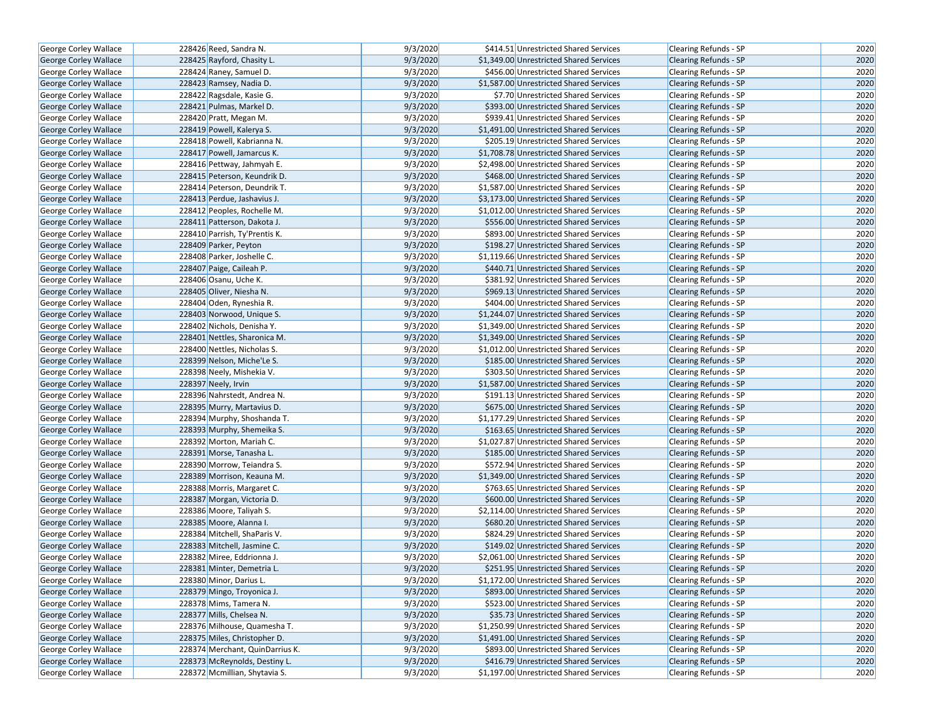| George Corley Wallace        | 228426 Reed, Sandra N.          | 9/3/2020             | \$414.51 Unrestricted Shared Services                                            | <b>Clearing Refunds - SP</b>                                 | 2020         |
|------------------------------|---------------------------------|----------------------|----------------------------------------------------------------------------------|--------------------------------------------------------------|--------------|
| George Corley Wallace        | 228425 Rayford, Chasity L.      | 9/3/2020             | \$1,349.00 Unrestricted Shared Services                                          | <b>Clearing Refunds - SP</b>                                 | 2020         |
| George Corley Wallace        | 228424 Raney, Samuel D.         | 9/3/2020             | \$456.00 Unrestricted Shared Services                                            | Clearing Refunds - SP                                        | 2020         |
| George Corley Wallace        | 228423 Ramsey, Nadia D.         | 9/3/2020             | \$1,587.00 Unrestricted Shared Services                                          | <b>Clearing Refunds - SP</b>                                 | 2020         |
| George Corley Wallace        | 228422 Ragsdale, Kasie G.       | 9/3/2020             | \$7.70 Unrestricted Shared Services                                              | Clearing Refunds - SP                                        | 2020         |
| George Corley Wallace        | 228421 Pulmas, Markel D.        | 9/3/2020             | \$393.00 Unrestricted Shared Services                                            | <b>Clearing Refunds - SP</b>                                 | 2020         |
| George Corley Wallace        | 228420 Pratt, Megan M.          | 9/3/2020             | \$939.41 Unrestricted Shared Services                                            | Clearing Refunds - SP                                        | 2020         |
| <b>George Corley Wallace</b> | 228419 Powell, Kalerya S.       | 9/3/2020             | \$1,491.00 Unrestricted Shared Services                                          | <b>Clearing Refunds - SP</b>                                 | 2020         |
| George Corley Wallace        | 228418 Powell, Kabrianna N.     | 9/3/2020             | \$205.19 Unrestricted Shared Services                                            | <b>Clearing Refunds - SP</b>                                 | 2020         |
| George Corley Wallace        | 228417 Powell, Jamarcus K.      | 9/3/2020             | \$1,708.78 Unrestricted Shared Services                                          | <b>Clearing Refunds - SP</b>                                 | 2020         |
| George Corley Wallace        | 228416 Pettway, Jahmyah E.      | 9/3/2020             | \$2,498.00 Unrestricted Shared Services                                          | Clearing Refunds - SP                                        | 2020         |
| <b>George Corley Wallace</b> | 228415 Peterson, Keundrik D.    | 9/3/2020             | \$468.00 Unrestricted Shared Services                                            | <b>Clearing Refunds - SP</b>                                 | 2020         |
| George Corley Wallace        | 228414 Peterson, Deundrik T.    | 9/3/2020             | \$1,587.00 Unrestricted Shared Services                                          | <b>Clearing Refunds - SP</b>                                 | 2020         |
| <b>George Corley Wallace</b> | 228413 Perdue, Jashavius J.     | 9/3/2020             | \$3,173.00 Unrestricted Shared Services                                          | <b>Clearing Refunds - SP</b>                                 | 2020         |
| <b>George Corley Wallace</b> | 228412 Peoples, Rochelle M.     | 9/3/2020             | \$1,012.00 Unrestricted Shared Services                                          | Clearing Refunds - SP                                        | 2020         |
| <b>George Corley Wallace</b> | 228411 Patterson, Dakota J.     | 9/3/2020             | \$556.00 Unrestricted Shared Services                                            | <b>Clearing Refunds - SP</b>                                 | 2020         |
| George Corley Wallace        | 228410 Parrish, Ty'Prentis K.   | 9/3/2020             | \$893.00 Unrestricted Shared Services                                            | Clearing Refunds - SP                                        | 2020         |
| George Corley Wallace        | 228409 Parker, Peyton           | 9/3/2020             | \$198.27 Unrestricted Shared Services                                            | <b>Clearing Refunds - SP</b>                                 | 2020         |
| George Corley Wallace        | 228408 Parker, Joshelle C.      | 9/3/2020             | \$1,119.66 Unrestricted Shared Services                                          | Clearing Refunds - SP                                        | 2020         |
| George Corley Wallace        | 228407 Paige, Caileah P.        | 9/3/2020             | \$440.71 Unrestricted Shared Services                                            | <b>Clearing Refunds - SP</b>                                 | 2020         |
| George Corley Wallace        | 228406 Osanu, Uche K.           | 9/3/2020             | \$381.92 Unrestricted Shared Services                                            | <b>Clearing Refunds - SP</b>                                 | 2020         |
| George Corley Wallace        | 228405 Oliver, Niesha N.        | 9/3/2020             | \$969.13 Unrestricted Shared Services                                            | <b>Clearing Refunds - SP</b>                                 | 2020         |
| George Corley Wallace        | 228404 Oden, Ryneshia R.        | 9/3/2020             | \$404.00 Unrestricted Shared Services                                            | Clearing Refunds - SP                                        | 2020         |
| George Corley Wallace        | 228403 Norwood, Unique S.       | 9/3/2020             | \$1,244.07 Unrestricted Shared Services                                          | Clearing Refunds - SP                                        | 2020         |
| George Corley Wallace        | 228402 Nichols, Denisha Y.      | 9/3/2020             | \$1,349.00 Unrestricted Shared Services                                          | <b>Clearing Refunds - SP</b>                                 | 2020         |
| <b>George Corley Wallace</b> | 228401 Nettles, Sharonica M.    | 9/3/2020             | \$1,349.00 Unrestricted Shared Services                                          | <b>Clearing Refunds - SP</b>                                 | 2020         |
| George Corley Wallace        | 228400 Nettles, Nicholas S.     | 9/3/2020             | \$1,012.00 Unrestricted Shared Services                                          | <b>Clearing Refunds - SP</b>                                 | 2020         |
|                              | 228399 Nelson, Miche'Le S.      | 9/3/2020             | \$185.00 Unrestricted Shared Services                                            |                                                              | 2020         |
| George Corley Wallace        |                                 | 9/3/2020             |                                                                                  | <b>Clearing Refunds - SP</b><br><b>Clearing Refunds - SP</b> | 2020         |
| George Corley Wallace        | 228398 Neely, Mishekia V.       | 9/3/2020             | \$303.50 Unrestricted Shared Services<br>\$1,587.00 Unrestricted Shared Services |                                                              | 2020         |
| <b>George Corley Wallace</b> | 228397 Neely, Irvin             | 9/3/2020             |                                                                                  | <b>Clearing Refunds - SP</b>                                 | 2020         |
| George Corley Wallace        | 228396 Nahrstedt, Andrea N.     | 9/3/2020             | \$191.13 Unrestricted Shared Services                                            | Clearing Refunds - SP                                        | 2020         |
| George Corley Wallace        | 228395 Murry, Martavius D.      |                      | \$675.00 Unrestricted Shared Services<br>\$1,177.29 Unrestricted Shared Services | Clearing Refunds - SP                                        |              |
| George Corley Wallace        | 228394 Murphy, Shoshanda T.     | 9/3/2020             |                                                                                  | <b>Clearing Refunds - SP</b>                                 | 2020         |
| <b>George Corley Wallace</b> | 228393 Murphy, Shemeika S.      | 9/3/2020<br>9/3/2020 | \$163.65 Unrestricted Shared Services                                            | <b>Clearing Refunds - SP</b>                                 | 2020<br>2020 |
| George Corley Wallace        | 228392 Morton, Mariah C.        |                      | \$1,027.87 Unrestricted Shared Services                                          | Clearing Refunds - SP                                        |              |
| George Corley Wallace        | 228391 Morse, Tanasha L.        | 9/3/2020             | \$185.00 Unrestricted Shared Services                                            | <b>Clearing Refunds - SP</b>                                 | 2020         |
| George Corley Wallace        | 228390 Morrow, Teiandra S.      | 9/3/2020             | \$572.94 Unrestricted Shared Services                                            | Clearing Refunds - SP                                        | 2020         |
| <b>George Corley Wallace</b> | 228389 Morrison, Keauna M.      | 9/3/2020             | \$1,349.00 Unrestricted Shared Services                                          | <b>Clearing Refunds - SP</b>                                 | 2020         |
| George Corley Wallace        | 228388 Morris, Margaret C.      | 9/3/2020             | \$763.65 Unrestricted Shared Services                                            | Clearing Refunds - SP                                        | 2020         |
| George Corley Wallace        | 228387 Morgan, Victoria D.      | 9/3/2020             | \$600.00 Unrestricted Shared Services                                            | Clearing Refunds - SP                                        | 2020         |
| <b>George Corley Wallace</b> | 228386 Moore, Taliyah S.        | 9/3/2020             | \$2,114.00 Unrestricted Shared Services                                          | Clearing Refunds - SP                                        | 2020         |
| George Corley Wallace        | 228385 Moore, Alanna I.         | 9/3/2020             | \$680.20 Unrestricted Shared Services                                            | <b>Clearing Refunds - SP</b>                                 | 2020         |
| George Corley Wallace        | 228384 Mitchell, ShaParis V.    | 9/3/2020             | \$824.29 Unrestricted Shared Services                                            | Clearing Refunds - SP                                        | 2020         |
| George Corley Wallace        | 228383 Mitchell, Jasmine C.     | 9/3/2020             | \$149.02 Unrestricted Shared Services                                            | Clearing Refunds - SP                                        | 2020         |
| George Corley Wallace        | 228382 Miree, Eddrionna J.      | 9/3/2020             | \$2,061.00 Unrestricted Shared Services                                          | Clearing Refunds - SP                                        | 2020         |
| George Corley Wallace        | 228381 Minter, Demetria L.      | 9/3/2020             | \$251.95 Unrestricted Shared Services                                            | <b>Clearing Refunds - SP</b>                                 | 2020         |
| George Corley Wallace        | 228380 Minor, Darius L.         | 9/3/2020             | \$1,172.00 Unrestricted Shared Services                                          | Clearing Refunds - SP                                        | 2020         |
| George Corley Wallace        | 228379 Mingo, Troyonica J.      | 9/3/2020             | \$893.00 Unrestricted Shared Services                                            | Clearing Refunds - SP                                        | 2020         |
| George Corley Wallace        | 228378 Mims, Tamera N.          | 9/3/2020             | \$523.00 Unrestricted Shared Services                                            | Clearing Refunds - SP                                        | 2020         |
| George Corley Wallace        | 228377 Mills, Chelsea N.        | 9/3/2020             | \$35.73 Unrestricted Shared Services                                             | <b>Clearing Refunds - SP</b>                                 | 2020         |
| George Corley Wallace        | 228376 Milhouse, Quamesha T.    | 9/3/2020             | \$1,250.99 Unrestricted Shared Services                                          | Clearing Refunds - SP                                        | 2020         |
| George Corley Wallace        | 228375 Miles, Christopher D.    | 9/3/2020             | \$1,491.00 Unrestricted Shared Services                                          | Clearing Refunds - SP                                        | 2020         |
| George Corley Wallace        | 228374 Merchant, QuinDarrius K. | 9/3/2020             | \$893.00 Unrestricted Shared Services                                            | Clearing Refunds - SP                                        | 2020         |
| George Corley Wallace        | 228373 McReynolds, Destiny L.   | 9/3/2020             | \$416.79 Unrestricted Shared Services                                            | <b>Clearing Refunds - SP</b>                                 | 2020         |
| George Corley Wallace        | 228372 Mcmillian, Shytavia S.   | 9/3/2020             | \$1,197.00 Unrestricted Shared Services                                          | Clearing Refunds - SP                                        | 2020         |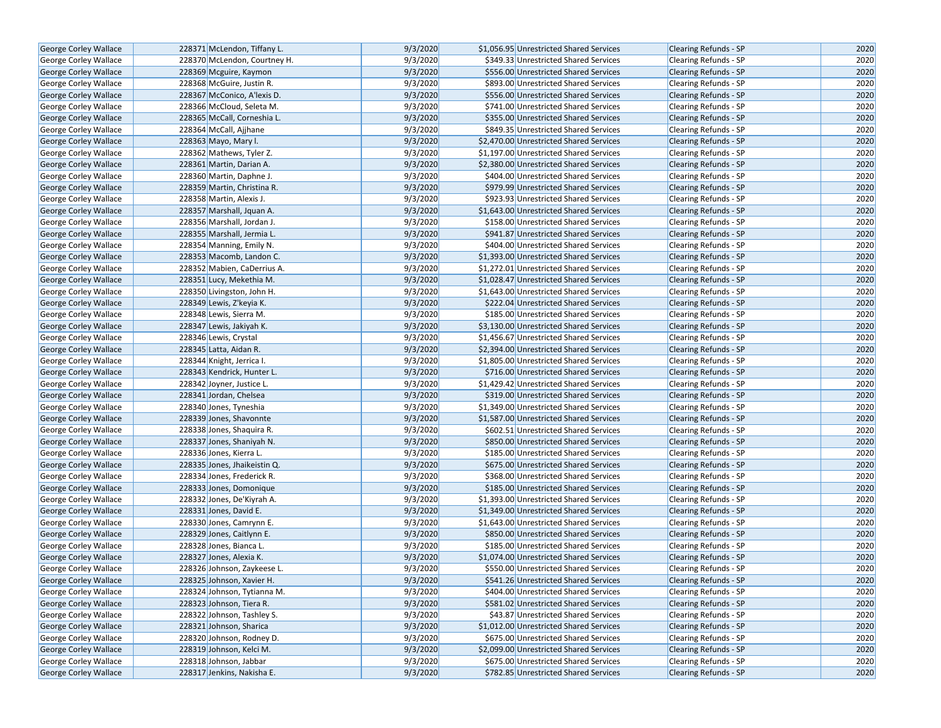| George Corley Wallace        | 228371 McLendon, Tiffany L.  | 9/3/2020 | \$1,056.95 Unrestricted Shared Services | <b>Clearing Refunds - SP</b> | 2020 |
|------------------------------|------------------------------|----------|-----------------------------------------|------------------------------|------|
| <b>George Corley Wallace</b> | 228370 McLendon, Courtney H. | 9/3/2020 | \$349.33 Unrestricted Shared Services   | <b>Clearing Refunds - SP</b> | 2020 |
| <b>George Corley Wallace</b> | 228369 Mcguire, Kaymon       | 9/3/2020 | \$556.00 Unrestricted Shared Services   | <b>Clearing Refunds - SP</b> | 2020 |
| George Corley Wallace        | 228368 McGuire, Justin R.    | 9/3/2020 | \$893.00 Unrestricted Shared Services   | <b>Clearing Refunds - SP</b> | 2020 |
| George Corley Wallace        | 228367 McConico, A'lexis D.  | 9/3/2020 | \$556.00 Unrestricted Shared Services   | Clearing Refunds - SP        | 2020 |
| George Corley Wallace        | 228366 McCloud, Seleta M.    | 9/3/2020 | \$741.00 Unrestricted Shared Services   | Clearing Refunds - SP        | 2020 |
| George Corley Wallace        | 228365 McCall, Corneshia L.  | 9/3/2020 | \$355.00 Unrestricted Shared Services   | <b>Clearing Refunds - SP</b> | 2020 |
| <b>George Corley Wallace</b> | 228364 McCall, Ajjhane       | 9/3/2020 | \$849.35 Unrestricted Shared Services   | <b>Clearing Refunds - SP</b> | 2020 |
| <b>George Corley Wallace</b> | 228363 Mayo, Mary I.         | 9/3/2020 | \$2,470.00 Unrestricted Shared Services | <b>Clearing Refunds - SP</b> | 2020 |
| George Corley Wallace        | 228362 Mathews, Tyler Z.     | 9/3/2020 | \$1,197.00 Unrestricted Shared Services | Clearing Refunds - SP        | 2020 |
| George Corley Wallace        | 228361 Martin, Darian A.     | 9/3/2020 | \$2,380.00 Unrestricted Shared Services | Clearing Refunds - SP        | 2020 |
| George Corley Wallace        | 228360 Martin, Daphne J.     | 9/3/2020 | \$404.00 Unrestricted Shared Services   | <b>Clearing Refunds - SP</b> | 2020 |
| <b>George Corley Wallace</b> | 228359 Martin, Christina R.  | 9/3/2020 | \$979.99 Unrestricted Shared Services   | <b>Clearing Refunds - SP</b> | 2020 |
| George Corley Wallace        | 228358 Martin, Alexis J.     | 9/3/2020 | \$923.93 Unrestricted Shared Services   | Clearing Refunds - SP        | 2020 |
| <b>George Corley Wallace</b> | 228357 Marshall, Jquan A.    | 9/3/2020 | \$1,643.00 Unrestricted Shared Services | <b>Clearing Refunds - SP</b> | 2020 |
| <b>George Corley Wallace</b> | 228356 Marshall, Jordan J.   | 9/3/2020 | \$158.00 Unrestricted Shared Services   | <b>Clearing Refunds - SP</b> | 2020 |
| George Corley Wallace        | 228355 Marshall, Jermia L.   | 9/3/2020 | \$941.87 Unrestricted Shared Services   | <b>Clearing Refunds - SP</b> | 2020 |
| George Corley Wallace        | 228354 Manning, Emily N.     | 9/3/2020 | \$404.00 Unrestricted Shared Services   | Clearing Refunds - SP        | 2020 |
| George Corley Wallace        | 228353 Macomb, Landon C.     | 9/3/2020 | \$1,393.00 Unrestricted Shared Services | Clearing Refunds - SP        | 2020 |
| George Corley Wallace        | 228352 Mabien, CaDerrius A.  | 9/3/2020 | \$1,272.01 Unrestricted Shared Services | <b>Clearing Refunds - SP</b> | 2020 |
| <b>George Corley Wallace</b> | 228351 Lucy, Mekethia M.     | 9/3/2020 | \$1,028.47 Unrestricted Shared Services | <b>Clearing Refunds - SP</b> | 2020 |
| George Corley Wallace        | 228350 Livingston, John H.   | 9/3/2020 | \$1,643.00 Unrestricted Shared Services | Clearing Refunds - SP        | 2020 |
| George Corley Wallace        | 228349 Lewis, Z'keyia K.     | 9/3/2020 | \$222.04 Unrestricted Shared Services   | <b>Clearing Refunds - SP</b> | 2020 |
| George Corley Wallace        | 228348 Lewis, Sierra M.      | 9/3/2020 | \$185.00 Unrestricted Shared Services   | Clearing Refunds - SP        | 2020 |
| George Corley Wallace        | 228347 Lewis, Jakiyah K.     | 9/3/2020 | \$3,130.00 Unrestricted Shared Services | <b>Clearing Refunds - SP</b> | 2020 |
| George Corley Wallace        | 228346 Lewis, Crystal        | 9/3/2020 | \$1,456.67 Unrestricted Shared Services | Clearing Refunds - SP        | 2020 |
| <b>George Corley Wallace</b> | 228345 Latta, Aidan R.       | 9/3/2020 | \$2,394.00 Unrestricted Shared Services | Clearing Refunds - SP        | 2020 |
| George Corley Wallace        | 228344 Knight, Jerrica I.    | 9/3/2020 | \$1,805.00 Unrestricted Shared Services | Clearing Refunds - SP        | 2020 |
| George Corley Wallace        | 228343 Kendrick, Hunter L.   | 9/3/2020 | \$716.00 Unrestricted Shared Services   | <b>Clearing Refunds - SP</b> | 2020 |
| <b>George Corley Wallace</b> | 228342 Joyner, Justice L.    | 9/3/2020 | \$1,429.42 Unrestricted Shared Services | Clearing Refunds - SP        | 2020 |
| George Corley Wallace        | 228341 Jordan, Chelsea       | 9/3/2020 | \$319.00 Unrestricted Shared Services   | <b>Clearing Refunds - SP</b> | 2020 |
| George Corley Wallace        | 228340 Jones, Tyneshia       | 9/3/2020 | \$1,349.00 Unrestricted Shared Services | <b>Clearing Refunds - SP</b> | 2020 |
| George Corley Wallace        | 228339 Jones, Shavonnte      | 9/3/2020 | \$1,587.00 Unrestricted Shared Services | <b>Clearing Refunds - SP</b> | 2020 |
| George Corley Wallace        | 228338 Jones, Shaquira R.    | 9/3/2020 | \$602.51 Unrestricted Shared Services   | Clearing Refunds - SP        | 2020 |
| George Corley Wallace        | 228337 Jones, Shaniyah N.    | 9/3/2020 | \$850.00 Unrestricted Shared Services   | <b>Clearing Refunds - SP</b> | 2020 |
| George Corley Wallace        | 228336 Jones, Kierra L.      | 9/3/2020 | \$185.00 Unrestricted Shared Services   | Clearing Refunds - SP        | 2020 |
| <b>George Corley Wallace</b> | 228335 Jones, Jhaikeistin Q. | 9/3/2020 | \$675.00 Unrestricted Shared Services   | <b>Clearing Refunds - SP</b> | 2020 |
| George Corley Wallace        | 228334 Jones, Frederick R.   | 9/3/2020 | \$368.00 Unrestricted Shared Services   | Clearing Refunds - SP        | 2020 |
| George Corley Wallace        | 228333 Jones, Domonique      | 9/3/2020 | \$185.00 Unrestricted Shared Services   | <b>Clearing Refunds - SP</b> | 2020 |
| George Corley Wallace        | 228332 Jones, De'Kiyrah A.   | 9/3/2020 | \$1,393.00 Unrestricted Shared Services | Clearing Refunds - SP        | 2020 |
| <b>George Corley Wallace</b> | 228331 Jones, David E.       | 9/3/2020 | \$1,349.00 Unrestricted Shared Services | <b>Clearing Refunds - SP</b> | 2020 |
| George Corley Wallace        | 228330 Jones, Camrynn E.     | 9/3/2020 | \$1,643.00 Unrestricted Shared Services | Clearing Refunds - SP        | 2020 |
| George Corley Wallace        | 228329 Jones, Caitlynn E.    | 9/3/2020 | \$850.00 Unrestricted Shared Services   | <b>Clearing Refunds - SP</b> | 2020 |
| George Corley Wallace        | 228328 Jones, Bianca L.      | 9/3/2020 | \$185.00 Unrestricted Shared Services   | Clearing Refunds - SP        | 2020 |
| <b>George Corley Wallace</b> | 228327 Jones, Alexia K.      | 9/3/2020 | \$1.074.00 Unrestricted Shared Services | <b>Clearing Refunds - SP</b> | 2020 |
| George Corley Wallace        | 228326 Johnson, Zaykeese L.  | 9/3/2020 | \$550.00 Unrestricted Shared Services   | <b>Clearing Refunds - SP</b> | 2020 |
| George Corley Wallace        | 228325 Johnson, Xavier H.    | 9/3/2020 | \$541.26 Unrestricted Shared Services   | Clearing Refunds - SP        | 2020 |
| <b>George Corley Wallace</b> | 228324 Johnson, Tytianna M.  | 9/3/2020 | \$404.00 Unrestricted Shared Services   | Clearing Refunds - SP        | 2020 |
| George Corley Wallace        | 228323 Johnson, Tiera R.     | 9/3/2020 | \$581.02 Unrestricted Shared Services   | <b>Clearing Refunds - SP</b> | 2020 |
| <b>George Corley Wallace</b> | 228322 Johnson, Tashley S.   | 9/3/2020 | \$43.87 Unrestricted Shared Services    | <b>Clearing Refunds - SP</b> | 2020 |
| George Corley Wallace        | 228321 Johnson, Sharica      | 9/3/2020 | \$1,012.00 Unrestricted Shared Services | Clearing Refunds - SP        | 2020 |
| <b>George Corley Wallace</b> | 228320 Johnson, Rodney D.    | 9/3/2020 | \$675.00 Unrestricted Shared Services   | <b>Clearing Refunds - SP</b> | 2020 |
| George Corley Wallace        | 228319 Johnson, Kelci M.     | 9/3/2020 | \$2,099.00 Unrestricted Shared Services | Clearing Refunds - SP        | 2020 |
| George Corley Wallace        | 228318 Johnson, Jabbar       | 9/3/2020 | \$675.00 Unrestricted Shared Services   | <b>Clearing Refunds - SP</b> | 2020 |
| George Corley Wallace        | 228317 Jenkins, Nakisha E.   | 9/3/2020 | \$782.85 Unrestricted Shared Services   | Clearing Refunds - SP        | 2020 |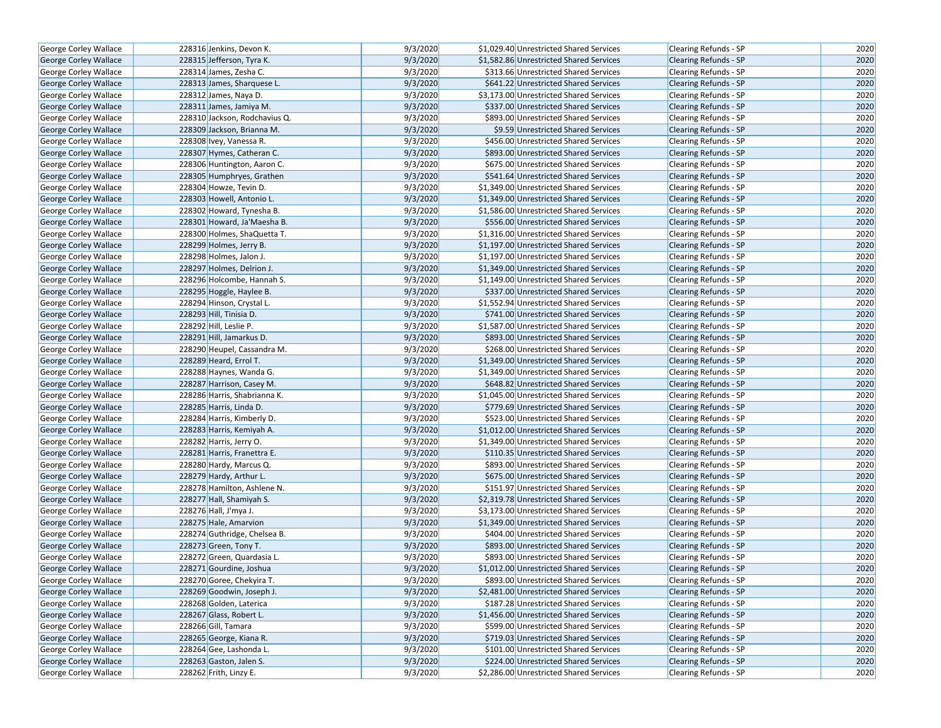| George Corley Wallace                          | 228316 Jenkins, Devon K.                                | 9/3/2020 | \$1,029.40 Unrestricted Shared Services | Clearing Refunds - SP                          | 2020 |
|------------------------------------------------|---------------------------------------------------------|----------|-----------------------------------------|------------------------------------------------|------|
| <b>George Corley Wallace</b>                   | 228315 Jefferson, Tyra K.                               | 9/3/2020 | \$1,582.86 Unrestricted Shared Services | <b>Clearing Refunds - SP</b>                   | 2020 |
| George Corley Wallace                          | 228314 James, Zesha C.                                  | 9/3/2020 | \$313.66 Unrestricted Shared Services   | Clearing Refunds - SP                          | 2020 |
| <b>George Corley Wallace</b>                   | 228313 James, Sharquese L.                              | 9/3/2020 | \$641.22 Unrestricted Shared Services   | <b>Clearing Refunds - SP</b>                   | 2020 |
| George Corley Wallace                          | 228312 James, Naya D.                                   | 9/3/2020 | \$3,173.00 Unrestricted Shared Services | Clearing Refunds - SP                          | 2020 |
| George Corley Wallace                          | 228311 James, Jamiya M.                                 | 9/3/2020 | \$337.00 Unrestricted Shared Services   | <b>Clearing Refunds - SP</b>                   | 2020 |
| George Corley Wallace                          | 228310 Jackson, Rodchavius Q.                           | 9/3/2020 | \$893.00 Unrestricted Shared Services   | Clearing Refunds - SP                          | 2020 |
| <b>George Corley Wallace</b>                   | 228309 Jackson, Brianna M.                              | 9/3/2020 | \$9.59 Unrestricted Shared Services     | <b>Clearing Refunds - SP</b>                   | 2020 |
| George Corley Wallace                          | 228308 Ivey, Vanessa R.                                 | 9/3/2020 | \$456.00 Unrestricted Shared Services   | Clearing Refunds - SP                          | 2020 |
| George Corley Wallace                          | 228307 Hymes, Catheran C.                               | 9/3/2020 | \$893.00 Unrestricted Shared Services   | <b>Clearing Refunds - SP</b>                   | 2020 |
| George Corley Wallace                          | 228306 Huntington, Aaron C.                             | 9/3/2020 | \$675.00 Unrestricted Shared Services   | Clearing Refunds - SP                          | 2020 |
| George Corley Wallace                          | 228305 Humphryes, Grathen                               | 9/3/2020 | \$541.64 Unrestricted Shared Services   | <b>Clearing Refunds - SP</b>                   | 2020 |
| George Corley Wallace                          | 228304 Howze, Tevin D.                                  | 9/3/2020 | \$1.349.00 Unrestricted Shared Services | <b>Clearing Refunds - SP</b>                   | 2020 |
| George Corley Wallace                          | 228303 Howell, Antonio L.                               | 9/3/2020 | \$1,349.00 Unrestricted Shared Services | <b>Clearing Refunds - SP</b>                   | 2020 |
| George Corley Wallace                          | 228302 Howard, Tynesha B.                               | 9/3/2020 | \$1,586.00 Unrestricted Shared Services | Clearing Refunds - SP                          | 2020 |
| George Corley Wallace                          | 228301 Howard, Ja'Maesha B.                             | 9/3/2020 | \$556.00 Unrestricted Shared Services   | <b>Clearing Refunds - SP</b>                   | 2020 |
| George Corley Wallace                          | 228300 Holmes, ShaQuetta T.                             | 9/3/2020 | \$1,316.00 Unrestricted Shared Services | Clearing Refunds - SP                          | 2020 |
| George Corley Wallace                          | 228299 Holmes, Jerry B.                                 | 9/3/2020 | \$1,197.00 Unrestricted Shared Services | <b>Clearing Refunds - SP</b>                   | 2020 |
| George Corley Wallace                          | 228298 Holmes, Jalon J.                                 | 9/3/2020 | \$1,197.00 Unrestricted Shared Services | Clearing Refunds - SP                          | 2020 |
| George Corley Wallace                          | 228297 Holmes, Delrion J.                               | 9/3/2020 | \$1,349.00 Unrestricted Shared Services | <b>Clearing Refunds - SP</b>                   | 2020 |
| George Corley Wallace                          | 228296 Holcombe, Hannah S.                              | 9/3/2020 | \$1,149.00 Unrestricted Shared Services | <b>Clearing Refunds - SP</b>                   | 2020 |
| George Corley Wallace                          | 228295 Hoggle, Haylee B.                                | 9/3/2020 | \$337.00 Unrestricted Shared Services   | <b>Clearing Refunds - SP</b>                   | 2020 |
| George Corley Wallace                          | 228294 Hinson, Crystal L.                               | 9/3/2020 | \$1,552.94 Unrestricted Shared Services | Clearing Refunds - SP                          | 2020 |
| George Corley Wallace                          | 228293 Hill, Tinisia D.                                 | 9/3/2020 | \$741.00 Unrestricted Shared Services   | Clearing Refunds - SP                          | 2020 |
| <b>George Corley Wallace</b>                   | 228292 Hill, Leslie P.                                  | 9/3/2020 | \$1,587.00 Unrestricted Shared Services | <b>Clearing Refunds - SP</b>                   | 2020 |
|                                                | 228291 Hill, Jamarkus D.                                | 9/3/2020 | \$893.00 Unrestricted Shared Services   | <b>Clearing Refunds - SP</b>                   | 2020 |
| George Corley Wallace<br>George Corley Wallace | 228290 Heupel, Cassandra M.                             | 9/3/2020 | \$268.00 Unrestricted Shared Services   |                                                | 2020 |
| George Corley Wallace                          | 228289 Heard, Errol T.                                  | 9/3/2020 | \$1,349.00 Unrestricted Shared Services | Clearing Refunds - SP<br>Clearing Refunds - SP | 2020 |
| George Corley Wallace                          | 228288 Haynes, Wanda G.                                 | 9/3/2020 | \$1,349.00 Unrestricted Shared Services |                                                | 2020 |
|                                                |                                                         | 9/3/2020 |                                         | <b>Clearing Refunds - SP</b>                   | 2020 |
| George Corley Wallace                          | 228287 Harrison, Casey M.                               |          | \$648.82 Unrestricted Shared Services   | <b>Clearing Refunds - SP</b>                   |      |
| George Corley Wallace                          | 228286 Harris, Shabrianna K.<br>228285 Harris, Linda D. | 9/3/2020 | \$1,045.00 Unrestricted Shared Services | Clearing Refunds - SP                          | 2020 |
| George Corley Wallace                          |                                                         | 9/3/2020 | \$779.69 Unrestricted Shared Services   | Clearing Refunds - SP                          | 2020 |
| George Corley Wallace                          | 228284 Harris, Kimberly D.                              | 9/3/2020 | \$523.00 Unrestricted Shared Services   | <b>Clearing Refunds - SP</b>                   | 2020 |
| George Corley Wallace                          | 228283 Harris, Kemiyah A.                               | 9/3/2020 | \$1,012.00 Unrestricted Shared Services | <b>Clearing Refunds - SP</b>                   | 2020 |
| George Corley Wallace                          | 228282 Harris, Jerry O.                                 | 9/3/2020 | \$1,349.00 Unrestricted Shared Services | Clearing Refunds - SP                          | 2020 |
| George Corley Wallace                          | 228281 Harris, Franettra E.                             | 9/3/2020 | \$110.35 Unrestricted Shared Services   | <b>Clearing Refunds - SP</b>                   | 2020 |
| George Corley Wallace                          | 228280 Hardy, Marcus Q.                                 | 9/3/2020 | \$893.00 Unrestricted Shared Services   | Clearing Refunds - SP                          | 2020 |
| George Corley Wallace                          | 228279 Hardy, Arthur L.                                 | 9/3/2020 | \$675.00 Unrestricted Shared Services   | <b>Clearing Refunds - SP</b>                   | 2020 |
| George Corley Wallace                          | 228278 Hamilton, Ashlene N.                             | 9/3/2020 | \$151.97 Unrestricted Shared Services   | Clearing Refunds - SP                          | 2020 |
| George Corley Wallace                          | 228277 Hall, Shamiyah S.                                | 9/3/2020 | \$2,319.78 Unrestricted Shared Services | <b>Clearing Refunds - SP</b>                   | 2020 |
| George Corley Wallace                          | 228276 Hall, J'mya J.                                   | 9/3/2020 | \$3,173.00 Unrestricted Shared Services | Clearing Refunds - SP                          | 2020 |
| George Corley Wallace                          | 228275 Hale, Amarvion                                   | 9/3/2020 | \$1,349.00 Unrestricted Shared Services | <b>Clearing Refunds - SP</b>                   | 2020 |
| George Corley Wallace                          | 228274 Guthridge, Chelsea B.                            | 9/3/2020 | \$404.00 Unrestricted Shared Services   | Clearing Refunds - SP                          | 2020 |
| George Corley Wallace                          | 228273 Green, Tony T.                                   | 9/3/2020 | \$893.00 Unrestricted Shared Services   | Clearing Refunds - SP                          | 2020 |
| George Corley Wallace                          | 228272 Green, Quardasia L.                              | 9/3/2020 | \$893.00 Unrestricted Shared Services   | Clearing Refunds - SP                          | 2020 |
| George Corley Wallace                          | 228271 Gourdine, Joshua                                 | 9/3/2020 | \$1,012.00 Unrestricted Shared Services | <b>Clearing Refunds - SP</b>                   | 2020 |
| George Corley Wallace                          | 228270 Goree, Chekyira T.                               | 9/3/2020 | \$893.00 Unrestricted Shared Services   | Clearing Refunds - SP                          | 2020 |
| George Corley Wallace                          | 228269 Goodwin, Joseph J.                               | 9/3/2020 | \$2,481.00 Unrestricted Shared Services | Clearing Refunds - SP                          | 2020 |
| George Corley Wallace                          | 228268 Golden, Laterica                                 | 9/3/2020 | \$187.28 Unrestricted Shared Services   | Clearing Refunds - SP                          | 2020 |
| <b>George Corley Wallace</b>                   | 228267 Glass, Robert L.                                 | 9/3/2020 | \$1,456.00 Unrestricted Shared Services | <b>Clearing Refunds - SP</b>                   | 2020 |
| George Corley Wallace                          | 228266 Gill, Tamara                                     | 9/3/2020 | \$599.00 Unrestricted Shared Services   | Clearing Refunds - SP                          | 2020 |
| George Corley Wallace                          | 228265 George, Kiana R.                                 | 9/3/2020 | \$719.03 Unrestricted Shared Services   | Clearing Refunds - SP                          | 2020 |
| George Corley Wallace                          | 228264 Gee, Lashonda L.                                 | 9/3/2020 | \$101.00 Unrestricted Shared Services   | Clearing Refunds - SP                          | 2020 |
| George Corley Wallace                          | 228263 Gaston, Jalen S.                                 | 9/3/2020 | \$224.00 Unrestricted Shared Services   | <b>Clearing Refunds - SP</b>                   | 2020 |
| George Corley Wallace                          | 228262 Frith, Linzy E.                                  | 9/3/2020 | \$2,286.00 Unrestricted Shared Services | Clearing Refunds - SP                          | 2020 |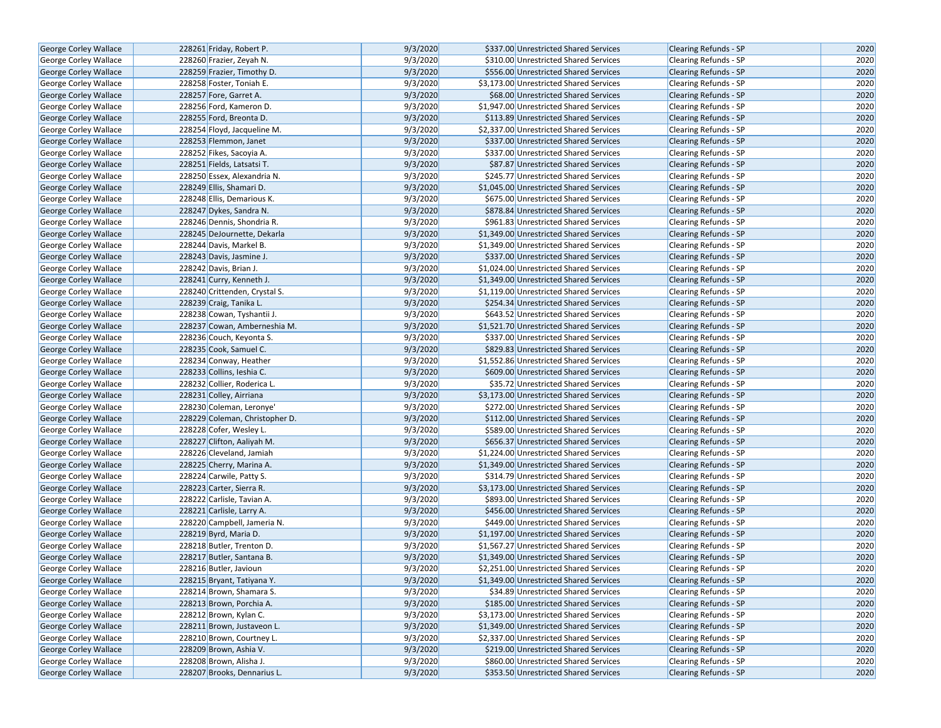| <b>George Corley Wallace</b> | 228261 Friday, Robert P.       | 9/3/2020 | \$337.00 Unrestricted Shared Services   | <b>Clearing Refunds - SP</b> | 2020 |
|------------------------------|--------------------------------|----------|-----------------------------------------|------------------------------|------|
| <b>George Corley Wallace</b> | 228260 Frazier, Zeyah N.       | 9/3/2020 | \$310.00 Unrestricted Shared Services   | <b>Clearing Refunds - SP</b> | 2020 |
| <b>George Corley Wallace</b> | 228259 Frazier, Timothy D.     | 9/3/2020 | \$556.00 Unrestricted Shared Services   | <b>Clearing Refunds - SP</b> | 2020 |
| George Corley Wallace        | 228258 Foster, Toniah E.       | 9/3/2020 | \$3,173.00 Unrestricted Shared Services | <b>Clearing Refunds - SP</b> | 2020 |
| George Corley Wallace        | 228257 Fore, Garret A.         | 9/3/2020 | \$68.00 Unrestricted Shared Services    | Clearing Refunds - SP        | 2020 |
| George Corley Wallace        | 228256 Ford, Kameron D.        | 9/3/2020 | \$1,947.00 Unrestricted Shared Services | Clearing Refunds - SP        | 2020 |
| George Corley Wallace        | 228255 Ford, Breonta D.        | 9/3/2020 | \$113.89 Unrestricted Shared Services   | <b>Clearing Refunds - SP</b> | 2020 |
| <b>George Corley Wallace</b> | 228254 Floyd, Jacqueline M.    | 9/3/2020 | \$2,337.00 Unrestricted Shared Services | <b>Clearing Refunds - SP</b> | 2020 |
| <b>George Corley Wallace</b> | 228253 Flemmon, Janet          | 9/3/2020 | \$337.00 Unrestricted Shared Services   | <b>Clearing Refunds - SP</b> | 2020 |
| George Corley Wallace        | 228252 Fikes, Sacoyia A.       | 9/3/2020 | \$337.00 Unrestricted Shared Services   | Clearing Refunds - SP        | 2020 |
| George Corley Wallace        | 228251 Fields, Latsatsi T.     | 9/3/2020 | \$87.87 Unrestricted Shared Services    | Clearing Refunds - SP        | 2020 |
| George Corley Wallace        | 228250 Essex, Alexandria N.    | 9/3/2020 | \$245.77 Unrestricted Shared Services   | <b>Clearing Refunds - SP</b> | 2020 |
| <b>George Corley Wallace</b> | 228249 Ellis, Shamari D.       | 9/3/2020 | \$1,045.00 Unrestricted Shared Services | <b>Clearing Refunds - SP</b> | 2020 |
| George Corley Wallace        | 228248 Ellis, Demarious K.     | 9/3/2020 | \$675.00 Unrestricted Shared Services   | Clearing Refunds - SP        | 2020 |
| <b>George Corley Wallace</b> | 228247 Dykes, Sandra N.        | 9/3/2020 | \$878.84 Unrestricted Shared Services   | <b>Clearing Refunds - SP</b> | 2020 |
| <b>George Corley Wallace</b> | 228246 Dennis, Shondria R.     | 9/3/2020 | \$961.83 Unrestricted Shared Services   | <b>Clearing Refunds - SP</b> | 2020 |
| George Corley Wallace        | 228245 DeJournette, Dekarla    | 9/3/2020 | \$1,349.00 Unrestricted Shared Services | <b>Clearing Refunds - SP</b> | 2020 |
| George Corley Wallace        | 228244 Davis, Markel B.        | 9/3/2020 | \$1,349.00 Unrestricted Shared Services | Clearing Refunds - SP        | 2020 |
| George Corley Wallace        | 228243 Davis, Jasmine J.       | 9/3/2020 | \$337.00 Unrestricted Shared Services   | Clearing Refunds - SP        | 2020 |
| George Corley Wallace        | 228242 Davis, Brian J.         | 9/3/2020 | \$1,024.00 Unrestricted Shared Services | <b>Clearing Refunds - SP</b> | 2020 |
| <b>George Corley Wallace</b> | 228241 Curry, Kenneth J.       | 9/3/2020 | \$1,349.00 Unrestricted Shared Services | <b>Clearing Refunds - SP</b> | 2020 |
| George Corley Wallace        | 228240 Crittenden, Crystal S.  | 9/3/2020 | \$1,119.00 Unrestricted Shared Services | Clearing Refunds - SP        | 2020 |
| George Corley Wallace        | 228239 Craig, Tanika L.        | 9/3/2020 | \$254.34 Unrestricted Shared Services   | <b>Clearing Refunds - SP</b> | 2020 |
| George Corley Wallace        | 228238 Cowan, Tyshantii J.     | 9/3/2020 | \$643.52 Unrestricted Shared Services   | Clearing Refunds - SP        | 2020 |
| George Corley Wallace        | 228237 Cowan, Amberneshia M.   | 9/3/2020 | \$1,521.70 Unrestricted Shared Services | <b>Clearing Refunds - SP</b> | 2020 |
| George Corley Wallace        | 228236 Couch, Keyonta S.       | 9/3/2020 | \$337.00 Unrestricted Shared Services   | Clearing Refunds - SP        | 2020 |
| <b>George Corley Wallace</b> | 228235 Cook, Samuel C.         | 9/3/2020 | \$829.83 Unrestricted Shared Services   | Clearing Refunds - SP        | 2020 |
| George Corley Wallace        | 228234 Conway, Heather         | 9/3/2020 | \$1,552.86 Unrestricted Shared Services | Clearing Refunds - SP        | 2020 |
| George Corley Wallace        | 228233 Collins, Ieshia C.      | 9/3/2020 | \$609.00 Unrestricted Shared Services   | <b>Clearing Refunds - SP</b> | 2020 |
| <b>George Corley Wallace</b> | 228232 Collier, Roderica L.    | 9/3/2020 | \$35.72 Unrestricted Shared Services    | Clearing Refunds - SP        | 2020 |
| George Corley Wallace        | 228231 Colley, Airriana        | 9/3/2020 | \$3,173.00 Unrestricted Shared Services | <b>Clearing Refunds - SP</b> | 2020 |
| George Corley Wallace        | 228230 Coleman, Leronye'       | 9/3/2020 | \$272.00 Unrestricted Shared Services   | <b>Clearing Refunds - SP</b> | 2020 |
| George Corley Wallace        | 228229 Coleman, Christopher D. | 9/3/2020 | \$112.00 Unrestricted Shared Services   | <b>Clearing Refunds - SP</b> | 2020 |
| George Corley Wallace        | 228228 Cofer, Wesley L.        | 9/3/2020 | \$589.00 Unrestricted Shared Services   | Clearing Refunds - SP        | 2020 |
| George Corley Wallace        | 228227 Clifton, Aaliyah M.     | 9/3/2020 | \$656.37 Unrestricted Shared Services   | <b>Clearing Refunds - SP</b> | 2020 |
| George Corley Wallace        | 228226 Cleveland, Jamiah       | 9/3/2020 | \$1,224.00 Unrestricted Shared Services | Clearing Refunds - SP        | 2020 |
| <b>George Corley Wallace</b> | 228225 Cherry, Marina A.       | 9/3/2020 | \$1,349.00 Unrestricted Shared Services | <b>Clearing Refunds - SP</b> | 2020 |
| George Corley Wallace        | 228224 Carwile, Patty S.       | 9/3/2020 | \$314.79 Unrestricted Shared Services   | Clearing Refunds - SP        | 2020 |
| George Corley Wallace        | 228223 Carter, Sierra R.       | 9/3/2020 | \$3,173.00 Unrestricted Shared Services | <b>Clearing Refunds - SP</b> | 2020 |
| George Corley Wallace        | 228222 Carlisle, Tavian A.     | 9/3/2020 | \$893.00 Unrestricted Shared Services   | Clearing Refunds - SP        | 2020 |
| <b>George Corley Wallace</b> | 228221 Carlisle, Larry A.      | 9/3/2020 | \$456.00 Unrestricted Shared Services   | <b>Clearing Refunds - SP</b> | 2020 |
| George Corley Wallace        | 228220 Campbell, Jameria N.    | 9/3/2020 | \$449.00 Unrestricted Shared Services   | Clearing Refunds - SP        | 2020 |
| George Corley Wallace        | 228219 Byrd, Maria D.          | 9/3/2020 | \$1,197.00 Unrestricted Shared Services | <b>Clearing Refunds - SP</b> | 2020 |
| George Corley Wallace        | 228218 Butler, Trenton D.      | 9/3/2020 | \$1,567.27 Unrestricted Shared Services | Clearing Refunds - SP        | 2020 |
| <b>George Corley Wallace</b> | 228217 Butler, Santana B.      | 9/3/2020 | \$1,349.00 Unrestricted Shared Services | <b>Clearing Refunds - SP</b> | 2020 |
| George Corley Wallace        | 228216 Butler, Javioun         | 9/3/2020 | \$2.251.00 Unrestricted Shared Services | <b>Clearing Refunds - SP</b> | 2020 |
| George Corley Wallace        | 228215 Bryant, Tatiyana Y.     | 9/3/2020 | \$1,349.00 Unrestricted Shared Services | Clearing Refunds - SP        | 2020 |
| <b>George Corley Wallace</b> | 228214 Brown, Shamara S.       | 9/3/2020 | \$34.89 Unrestricted Shared Services    | Clearing Refunds - SP        | 2020 |
| George Corley Wallace        | 228213 Brown, Porchia A.       | 9/3/2020 | \$185.00 Unrestricted Shared Services   | Clearing Refunds - SP        | 2020 |
| <b>George Corley Wallace</b> | 228212 Brown, Kylan C.         | 9/3/2020 | \$3,173.00 Unrestricted Shared Services | <b>Clearing Refunds - SP</b> | 2020 |
| George Corley Wallace        | 228211 Brown, Justaveon L.     | 9/3/2020 | \$1,349.00 Unrestricted Shared Services | Clearing Refunds - SP        | 2020 |
| <b>George Corley Wallace</b> | 228210 Brown, Courtney L.      | 9/3/2020 | \$2,337.00 Unrestricted Shared Services | <b>Clearing Refunds - SP</b> | 2020 |
| George Corley Wallace        | 228209 Brown, Ashia V.         | 9/3/2020 | \$219.00 Unrestricted Shared Services   | <b>Clearing Refunds - SP</b> | 2020 |
| George Corley Wallace        | 228208 Brown, Alisha J.        | 9/3/2020 | \$860.00 Unrestricted Shared Services   | <b>Clearing Refunds - SP</b> | 2020 |
| George Corley Wallace        | 228207 Brooks, Dennarius L.    | 9/3/2020 | \$353.50 Unrestricted Shared Services   | Clearing Refunds - SP        | 2020 |
|                              |                                |          |                                         |                              |      |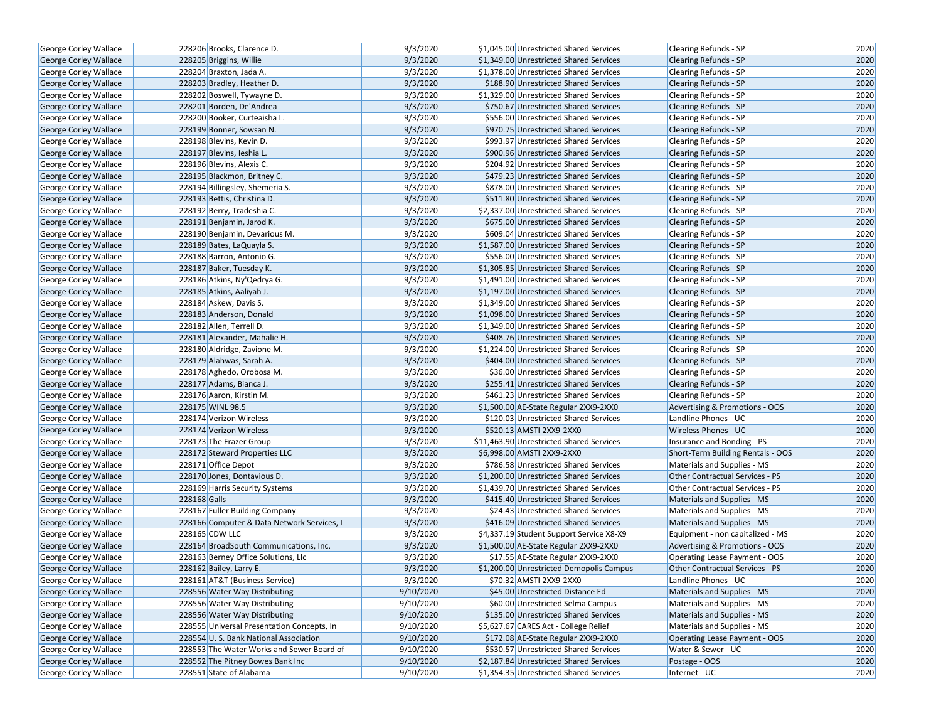| George Corley Wallace        | 228206 Brooks, Clarence D.                 | 9/3/2020  | \$1,045.00 Unrestricted Shared Services  | Clearing Refunds - SP                  | 2020 |
|------------------------------|--------------------------------------------|-----------|------------------------------------------|----------------------------------------|------|
| <b>George Corley Wallace</b> | 228205 Briggins, Willie                    | 9/3/2020  | \$1,349.00 Unrestricted Shared Services  | <b>Clearing Refunds - SP</b>           | 2020 |
| George Corley Wallace        | 228204 Braxton, Jada A.                    | 9/3/2020  | \$1,378.00 Unrestricted Shared Services  | Clearing Refunds - SP                  | 2020 |
| <b>George Corley Wallace</b> | 228203 Bradley, Heather D.                 | 9/3/2020  | \$188.90 Unrestricted Shared Services    | <b>Clearing Refunds - SP</b>           | 2020 |
| George Corley Wallace        | 228202 Boswell, Tywayne D.                 | 9/3/2020  | \$1,329.00 Unrestricted Shared Services  | Clearing Refunds - SP                  | 2020 |
| George Corley Wallace        | 228201 Borden, De'Andrea                   | 9/3/2020  | \$750.67 Unrestricted Shared Services    | Clearing Refunds - SP                  | 2020 |
| George Corley Wallace        | 228200 Booker, Curteaisha L.               | 9/3/2020  | \$556.00 Unrestricted Shared Services    | Clearing Refunds - SP                  | 2020 |
| George Corley Wallace        | 228199 Bonner, Sowsan N.                   | 9/3/2020  | \$970.75 Unrestricted Shared Services    | <b>Clearing Refunds - SP</b>           | 2020 |
| George Corley Wallace        | 228198 Blevins, Kevin D.                   | 9/3/2020  | \$993.97 Unrestricted Shared Services    | Clearing Refunds - SP                  | 2020 |
| George Corley Wallace        | 228197 Blevins, Ieshia L.                  | 9/3/2020  | \$900.96 Unrestricted Shared Services    | <b>Clearing Refunds - SP</b>           | 2020 |
| <b>George Corley Wallace</b> | 228196 Blevins, Alexis C.                  | 9/3/2020  | \$204.92 Unrestricted Shared Services    | Clearing Refunds - SP                  | 2020 |
| George Corley Wallace        | 228195 Blackmon, Britney C.                | 9/3/2020  | \$479.23 Unrestricted Shared Services    | <b>Clearing Refunds - SP</b>           | 2020 |
| George Corley Wallace        | 228194 Billingsley, Shemeria S.            | 9/3/2020  | \$878.00 Unrestricted Shared Services    | <b>Clearing Refunds - SP</b>           | 2020 |
| George Corley Wallace        | 228193 Bettis, Christina D.                | 9/3/2020  | \$511.80 Unrestricted Shared Services    | <b>Clearing Refunds - SP</b>           | 2020 |
| George Corley Wallace        | 228192 Berry, Tradeshia C.                 | 9/3/2020  | \$2,337.00 Unrestricted Shared Services  | Clearing Refunds - SP                  | 2020 |
| <b>George Corley Wallace</b> | 228191 Benjamin, Jarod K.                  | 9/3/2020  | \$675.00 Unrestricted Shared Services    | <b>Clearing Refunds - SP</b>           | 2020 |
| George Corley Wallace        | 228190 Benjamin, Devarious M.              | 9/3/2020  | \$609.04 Unrestricted Shared Services    | Clearing Refunds - SP                  | 2020 |
| George Corley Wallace        | 228189 Bates, LaQuayla S.                  | 9/3/2020  | \$1,587.00 Unrestricted Shared Services  | <b>Clearing Refunds - SP</b>           | 2020 |
| George Corley Wallace        | 228188 Barron, Antonio G.                  | 9/3/2020  | \$556.00 Unrestricted Shared Services    | Clearing Refunds - SP                  | 2020 |
| George Corley Wallace        | 228187 Baker, Tuesday K.                   | 9/3/2020  | \$1,305.85 Unrestricted Shared Services  | <b>Clearing Refunds - SP</b>           | 2020 |
| George Corley Wallace        | 228186 Atkins, Ny'Qedrya G.                | 9/3/2020  | \$1,491.00 Unrestricted Shared Services  | Clearing Refunds - SP                  | 2020 |
| George Corley Wallace        | 228185 Atkins, Aaliyah J.                  | 9/3/2020  | \$1,197.00 Unrestricted Shared Services  | <b>Clearing Refunds - SP</b>           | 2020 |
| George Corley Wallace        | 228184 Askew, Davis S.                     | 9/3/2020  | \$1,349.00 Unrestricted Shared Services  | <b>Clearing Refunds - SP</b>           | 2020 |
| George Corley Wallace        | 228183 Anderson, Donald                    | 9/3/2020  | \$1,098.00 Unrestricted Shared Services  | <b>Clearing Refunds - SP</b>           | 2020 |
| George Corley Wallace        | 228182 Allen, Terrell D.                   | 9/3/2020  | \$1,349.00 Unrestricted Shared Services  | <b>Clearing Refunds - SP</b>           | 2020 |
| George Corley Wallace        | 228181 Alexander, Mahalie H.               | 9/3/2020  | \$408.76 Unrestricted Shared Services    | <b>Clearing Refunds - SP</b>           | 2020 |
| George Corley Wallace        | 228180 Aldridge, Zavione M.                | 9/3/2020  | \$1,224.00 Unrestricted Shared Services  | Clearing Refunds - SP                  | 2020 |
| George Corley Wallace        | 228179 Alahwas, Sarah A.                   | 9/3/2020  | \$404.00 Unrestricted Shared Services    | <b>Clearing Refunds - SP</b>           | 2020 |
| George Corley Wallace        | 228178 Aghedo, Orobosa M.                  | 9/3/2020  | \$36.00 Unrestricted Shared Services     | <b>Clearing Refunds - SP</b>           | 2020 |
| George Corley Wallace        | 228177 Adams, Bianca J.                    | 9/3/2020  | \$255.41 Unrestricted Shared Services    | <b>Clearing Refunds - SP</b>           | 2020 |
| <b>George Corley Wallace</b> | 228176 Aaron, Kirstin M.                   | 9/3/2020  | \$461.23 Unrestricted Shared Services    | <b>Clearing Refunds - SP</b>           | 2020 |
| George Corley Wallace        | 228175 WINL 98.5                           | 9/3/2020  | \$1,500.00 AE-State Regular 2XX9-2XX0    | Advertising & Promotions - OOS         | 2020 |
| George Corley Wallace        | 228174 Verizon Wireless                    | 9/3/2020  | \$120.03 Unrestricted Shared Services    | Landline Phones - UC                   | 2020 |
| <b>George Corley Wallace</b> | 228174 Verizon Wireless                    | 9/3/2020  | \$520.13 AMSTI 2XX9-2XX0                 | <b>Wireless Phones - UC</b>            | 2020 |
| George Corley Wallace        | 228173 The Frazer Group                    | 9/3/2020  | \$11,463.90 Unrestricted Shared Services | Insurance and Bonding - PS             | 2020 |
| George Corley Wallace        | 228172 Steward Properties LLC              | 9/3/2020  | \$6,998.00 AMSTI 2XX9-2XX0               | Short-Term Building Rentals - OOS      | 2020 |
| George Corley Wallace        | 228171 Office Depot                        | 9/3/2020  | \$786.58 Unrestricted Shared Services    | Materials and Supplies - MS            | 2020 |
| George Corley Wallace        | 228170 Jones, Dontavious D.                | 9/3/2020  | \$1,200.00 Unrestricted Shared Services  | Other Contractual Services - PS        | 2020 |
| <b>George Corley Wallace</b> | 228169 Harris Security Systems             | 9/3/2020  | \$1,439.70 Unrestricted Shared Services  | Other Contractual Services - PS        | 2020 |
| George Corley Wallace        | 228168 Galls                               | 9/3/2020  | \$415.40 Unrestricted Shared Services    | Materials and Supplies - MS            | 2020 |
| George Corley Wallace        | 228167 Fuller Building Company             | 9/3/2020  | \$24.43 Unrestricted Shared Services     | Materials and Supplies - MS            | 2020 |
| <b>George Corley Wallace</b> | 228166 Computer & Data Network Services, I | 9/3/2020  | \$416.09 Unrestricted Shared Services    | Materials and Supplies - MS            | 2020 |
| George Corley Wallace        | 228165 CDW LLC                             | 9/3/2020  | \$4,337.19 Student Support Service X8-X9 | Equipment - non capitalized - MS       | 2020 |
| George Corley Wallace        | 228164 BroadSouth Communications, Inc.     | 9/3/2020  | \$1,500.00 AE-State Regular 2XX9-2XX0    | Advertising & Promotions - OOS         | 2020 |
| <b>George Corley Wallace</b> | 228163 Berney Office Solutions, Llc        | 9/3/2020  | \$17.55 AE-State Regular 2XX9-2XX0       | Operating Lease Payment - OOS          | 2020 |
| George Corley Wallace        | 228162 Bailey, Larry E.                    | 9/3/2020  | \$1,200.00 Unrestricted Demopolis Campus | <b>Other Contractual Services - PS</b> | 2020 |
| George Corley Wallace        | 228161 AT&T (Business Service)             | 9/3/2020  | \$70.32 AMSTI 2XX9-2XX0                  | Landline Phones - UC                   | 2020 |
| George Corley Wallace        | 228556 Water Way Distributing              | 9/10/2020 | \$45.00 Unrestricted Distance Ed         | Materials and Supplies - MS            | 2020 |
| George Corley Wallace        | 228556 Water Way Distributing              | 9/10/2020 | \$60.00 Unrestricted Selma Campus        | Materials and Supplies - MS            | 2020 |
| <b>George Corley Wallace</b> | 228556 Water Way Distributing              | 9/10/2020 | \$135.00 Unrestricted Shared Services    | Materials and Supplies - MS            | 2020 |
| George Corley Wallace        | 228555 Universal Presentation Concepts, In | 9/10/2020 | \$5,627.67 CARES Act - College Relief    | Materials and Supplies - MS            | 2020 |
| George Corley Wallace        | 228554 U.S. Bank National Association      | 9/10/2020 | \$172.08 AE-State Regular 2XX9-2XX0      | Operating Lease Payment - OOS          | 2020 |
| George Corley Wallace        | 228553 The Water Works and Sewer Board of  | 9/10/2020 | \$530.57 Unrestricted Shared Services    | Water & Sewer - UC                     | 2020 |
| George Corley Wallace        | 228552 The Pitney Bowes Bank Inc           | 9/10/2020 | \$2,187.84 Unrestricted Shared Services  | Postage - OOS                          | 2020 |
| George Corley Wallace        | 228551 State of Alabama                    | 9/10/2020 | \$1,354.35 Unrestricted Shared Services  | Internet - UC                          | 2020 |
|                              |                                            |           |                                          |                                        |      |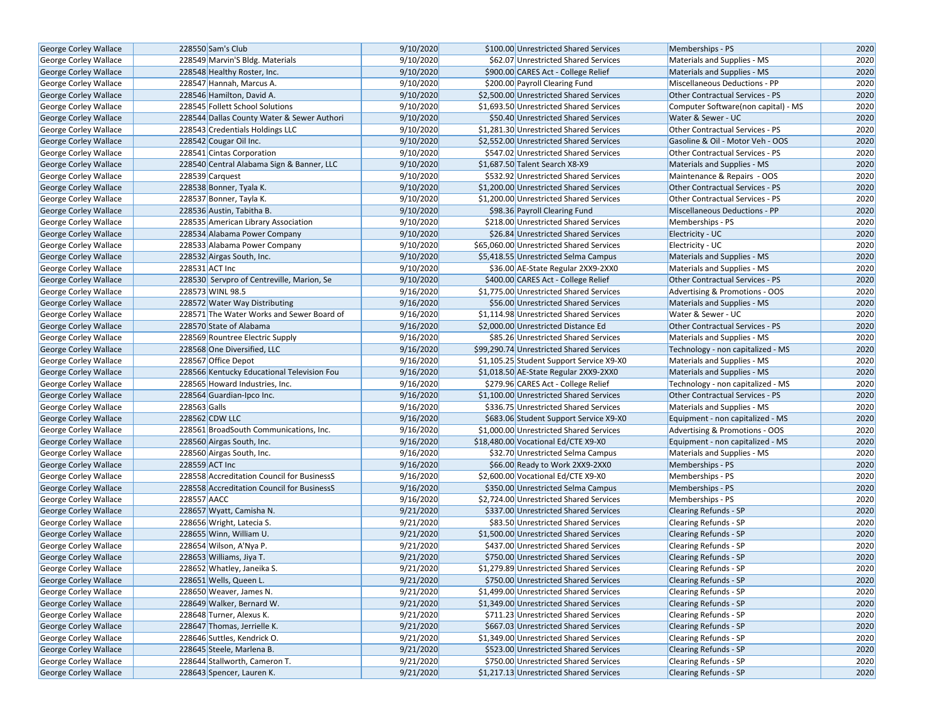| George Corley Wallace        | 228550 Sam's Club                          | 9/10/2020 | \$100.00 Unrestricted Shared Services    | Memberships - PS                       | 2020 |
|------------------------------|--------------------------------------------|-----------|------------------------------------------|----------------------------------------|------|
| <b>George Corley Wallace</b> | 228549 Marvin'S Bldg. Materials            | 9/10/2020 | \$62.07 Unrestricted Shared Services     | Materials and Supplies - MS            | 2020 |
| George Corley Wallace        | 228548 Healthy Roster, Inc.                | 9/10/2020 | \$900.00 CARES Act - College Relief      | Materials and Supplies - MS            | 2020 |
| George Corley Wallace        | 228547 Hannah, Marcus A.                   | 9/10/2020 | \$200.00 Payroll Clearing Fund           | <b>Miscellaneous Deductions - PP</b>   | 2020 |
| George Corley Wallace        | 228546 Hamilton, David A.                  | 9/10/2020 | \$2,500.00 Unrestricted Shared Services  | Other Contractual Services - PS        | 2020 |
| George Corley Wallace        | 228545 Follett School Solutions            | 9/10/2020 | \$1,693.50 Unrestricted Shared Services  | Computer Software(non capital) - MS    | 2020 |
| <b>George Corley Wallace</b> | 228544 Dallas County Water & Sewer Authori | 9/10/2020 | \$50.40 Unrestricted Shared Services     | Water & Sewer - UC                     | 2020 |
| <b>George Corley Wallace</b> | 228543 Credentials Holdings LLC            | 9/10/2020 | \$1.281.30 Unrestricted Shared Services  | <b>Other Contractual Services - PS</b> | 2020 |
| <b>George Corley Wallace</b> | 228542 Cougar Oil Inc.                     | 9/10/2020 | \$2,552.00 Unrestricted Shared Services  | Gasoline & Oil - Motor Veh - OOS       | 2020 |
| <b>George Corley Wallace</b> | 228541 Cintas Corporation                  | 9/10/2020 | \$547.02 Unrestricted Shared Services    | Other Contractual Services - PS        | 2020 |
| George Corley Wallace        | 228540 Central Alabama Sign & Banner, LLC  | 9/10/2020 | \$1,687.50 Talent Search X8-X9           | Materials and Supplies - MS            | 2020 |
| George Corley Wallace        | 228539 Carquest                            | 9/10/2020 | \$532.92 Unrestricted Shared Services    | Maintenance & Repairs - OOS            | 2020 |
| George Corley Wallace        | 228538 Bonner, Tyala K.                    | 9/10/2020 | \$1,200.00 Unrestricted Shared Services  | <b>Other Contractual Services - PS</b> | 2020 |
| <b>George Corley Wallace</b> | 228537 Bonner, Tayla K.                    | 9/10/2020 | \$1,200.00 Unrestricted Shared Services  | <b>Other Contractual Services - PS</b> | 2020 |
| <b>George Corley Wallace</b> | 228536 Austin, Tabitha B.                  | 9/10/2020 | \$98.36 Payroll Clearing Fund            | Miscellaneous Deductions - PP          | 2020 |
| <b>George Corley Wallace</b> | 228535 American Library Association        | 9/10/2020 | \$218.00 Unrestricted Shared Services    | Memberships - PS                       | 2020 |
| George Corley Wallace        | 228534 Alabama Power Company               | 9/10/2020 | \$26.84 Unrestricted Shared Services     | <b>Electricity - UC</b>                | 2020 |
| <b>George Corley Wallace</b> | 228533 Alabama Power Company               | 9/10/2020 | \$65,060.00 Unrestricted Shared Services | Electricity - UC                       | 2020 |
| George Corley Wallace        | 228532 Airgas South, Inc.                  | 9/10/2020 | \$5,418.55 Unrestricted Selma Campus     | Materials and Supplies - MS            | 2020 |
| <b>George Corley Wallace</b> | 228531 ACT Inc                             | 9/10/2020 | \$36.00 AE-State Regular 2XX9-2XX0       | Materials and Supplies - MS            | 2020 |
| <b>George Corley Wallace</b> | 228530 Servpro of Centreville, Marion, Se  | 9/10/2020 | \$400.00 CARES Act - College Relief      | Other Contractual Services - PS        | 2020 |
| George Corley Wallace        | 228573 WINL 98.5                           | 9/16/2020 | \$1,775.00 Unrestricted Shared Services  | Advertising & Promotions - OOS         | 2020 |
| <b>George Corley Wallace</b> | 228572 Water Way Distributing              | 9/16/2020 | \$56.00 Unrestricted Shared Services     | <b>Materials and Supplies - MS</b>     | 2020 |
| George Corley Wallace        | 228571 The Water Works and Sewer Board of  | 9/16/2020 | \$1,114.98 Unrestricted Shared Services  | Water & Sewer - UC                     | 2020 |
| <b>George Corley Wallace</b> | 228570 State of Alabama                    | 9/16/2020 | \$2,000.00 Unrestricted Distance Ed      | <b>Other Contractual Services - PS</b> | 2020 |
| George Corley Wallace        | 228569 Rountree Electric Supply            | 9/16/2020 | \$85.26 Unrestricted Shared Services     | Materials and Supplies - MS            | 2020 |
| <b>George Corley Wallace</b> | 228568 One Diversified, LLC                | 9/16/2020 | \$99,290.74 Unrestricted Shared Services | Technology - non capitalized - MS      | 2020 |
| George Corley Wallace        | 228567 Office Depot                        | 9/16/2020 | \$1,105.25 Student Support Service X9-X0 | Materials and Supplies - MS            | 2020 |
| George Corley Wallace        | 228566 Kentucky Educational Television Fou | 9/16/2020 | \$1,018.50 AE-State Regular 2XX9-2XX0    | Materials and Supplies - MS            | 2020 |
| George Corley Wallace        | 228565 Howard Industries, Inc.             | 9/16/2020 | \$279.96 CARES Act - College Relief      | Technology - non capitalized - MS      | 2020 |
| <b>George Corley Wallace</b> | 228564 Guardian-Ipco Inc.                  | 9/16/2020 | \$1,100.00 Unrestricted Shared Services  | Other Contractual Services - PS        | 2020 |
| George Corley Wallace        | 228563 Galls                               | 9/16/2020 | \$336.75 Unrestricted Shared Services    | Materials and Supplies - MS            | 2020 |
| George Corley Wallace        | 228562 CDW LLC                             | 9/16/2020 | \$683.06 Student Support Service X9-X0   | Equipment - non capitalized - MS       | 2020 |
| George Corley Wallace        | 228561 BroadSouth Communications, Inc.     | 9/16/2020 | \$1,000.00 Unrestricted Shared Services  | Advertising & Promotions - OOS         | 2020 |
| <b>George Corley Wallace</b> | 228560 Airgas South, Inc.                  | 9/16/2020 | \$18,480.00 Vocational Ed/CTE X9-X0      | Equipment - non capitalized - MS       | 2020 |
| George Corley Wallace        | 228560 Airgas South, Inc.                  | 9/16/2020 | \$32.70 Unrestricted Selma Campus        | Materials and Supplies - MS            | 2020 |
| George Corley Wallace        | 228559 ACT Inc                             | 9/16/2020 | \$66.00 Ready to Work 2XX9-2XX0          | Memberships - PS                       | 2020 |
| George Corley Wallace        | 228558 Accreditation Council for BusinessS | 9/16/2020 | \$2,600.00 Vocational Ed/CTE X9-X0       | Memberships - PS                       | 2020 |
| George Corley Wallace        | 228558 Accreditation Council for BusinessS | 9/16/2020 | \$350.00 Unrestricted Selma Campus       | Memberships - PS                       | 2020 |
| George Corley Wallace        | 228557 AACC                                | 9/16/2020 | \$2,724.00 Unrestricted Shared Services  | Memberships - PS                       | 2020 |
| <b>George Corley Wallace</b> | 228657 Wyatt, Camisha N.                   | 9/21/2020 | \$337.00 Unrestricted Shared Services    | <b>Clearing Refunds - SP</b>           | 2020 |
| George Corley Wallace        | 228656 Wright, Latecia S.                  | 9/21/2020 | \$83.50 Unrestricted Shared Services     | Clearing Refunds - SP                  | 2020 |
| George Corley Wallace        | 228655 Winn, William U.                    | 9/21/2020 | \$1,500.00 Unrestricted Shared Services  | <b>Clearing Refunds - SP</b>           | 2020 |
| George Corley Wallace        | 228654 Wilson, A'Nya P.                    | 9/21/2020 | \$437.00 Unrestricted Shared Services    | Clearing Refunds - SP                  | 2020 |
| <b>George Corley Wallace</b> | 228653 Williams, Jiya T.                   | 9/21/2020 | \$750.00 Unrestricted Shared Services    | <b>Clearing Refunds - SP</b>           | 2020 |
| George Corley Wallace        | 228652 Whatley, Janeika S.                 | 9/21/2020 | \$1,279.89 Unrestricted Shared Services  | <b>Clearing Refunds - SP</b>           | 2020 |
| George Corley Wallace        | 228651 Wells, Queen L.                     | 9/21/2020 | \$750.00 Unrestricted Shared Services    | Clearing Refunds - SP                  | 2020 |
| George Corley Wallace        | 228650 Weaver, James N.                    | 9/21/2020 | \$1,499.00 Unrestricted Shared Services  | Clearing Refunds - SP                  | 2020 |
| George Corley Wallace        | 228649 Walker, Bernard W.                  | 9/21/2020 | \$1,349.00 Unrestricted Shared Services  | Clearing Refunds - SP                  | 2020 |
| <b>George Corley Wallace</b> | 228648 Turner, Alexus K.                   | 9/21/2020 | \$711.23 Unrestricted Shared Services    | <b>Clearing Refunds - SP</b>           | 2020 |
| George Corley Wallace        | 228647 Thomas, Jerrielle K.                | 9/21/2020 | \$667.03 Unrestricted Shared Services    | Clearing Refunds - SP                  | 2020 |
| <b>George Corley Wallace</b> | 228646 Suttles, Kendrick O.                | 9/21/2020 | \$1,349.00 Unrestricted Shared Services  | <b>Clearing Refunds - SP</b>           | 2020 |
| George Corley Wallace        | 228645 Steele, Marlena B.                  | 9/21/2020 | \$523.00 Unrestricted Shared Services    | <b>Clearing Refunds - SP</b>           | 2020 |
| George Corley Wallace        | 228644 Stallworth, Cameron T.              | 9/21/2020 | \$750.00 Unrestricted Shared Services    | Clearing Refunds - SP                  | 2020 |
| George Corley Wallace        | 228643 Spencer, Lauren K.                  | 9/21/2020 | \$1,217.13 Unrestricted Shared Services  | <b>Clearing Refunds - SP</b>           | 2020 |
|                              |                                            |           |                                          |                                        |      |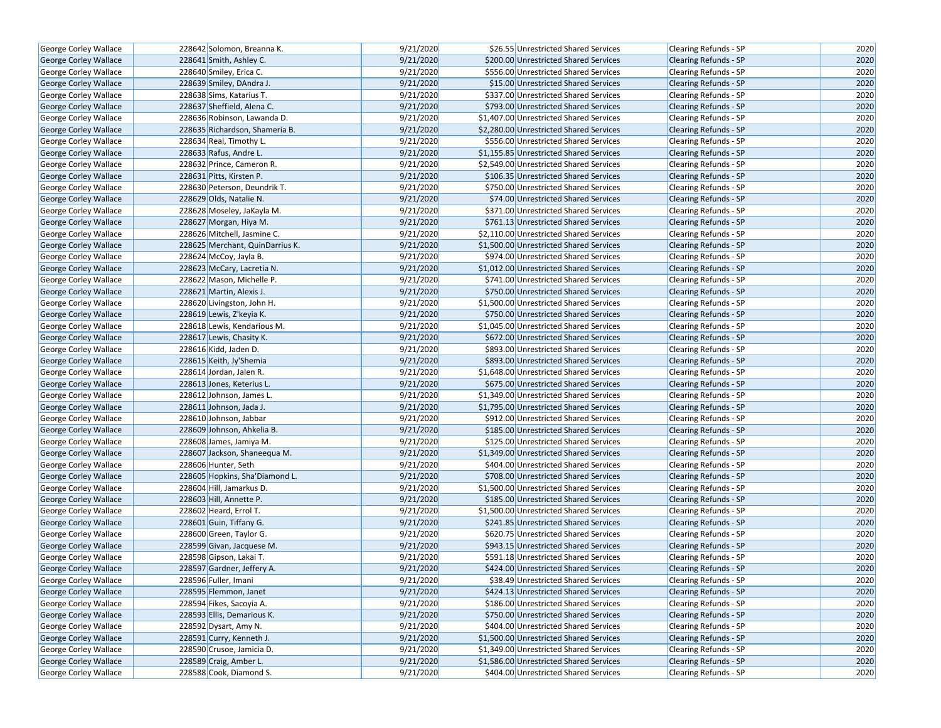| George Corley Wallace                          | 228642 Solomon, Breanna K.                           | 9/21/2020              | \$26.55 Unrestricted Shared Services                                             | Clearing Refunds - SP                                 | 2020         |
|------------------------------------------------|------------------------------------------------------|------------------------|----------------------------------------------------------------------------------|-------------------------------------------------------|--------------|
| <b>George Corley Wallace</b>                   | 228641 Smith, Ashley C.                              | 9/21/2020              | \$200.00 Unrestricted Shared Services                                            | <b>Clearing Refunds - SP</b>                          | 2020         |
| George Corley Wallace                          | 228640 Smiley, Erica C.                              | 9/21/2020              | \$556.00 Unrestricted Shared Services                                            | Clearing Refunds - SP                                 | 2020         |
| <b>George Corley Wallace</b>                   | 228639 Smiley, DAndra J.                             | 9/21/2020              | \$15.00 Unrestricted Shared Services                                             | <b>Clearing Refunds - SP</b>                          | 2020         |
| George Corley Wallace                          | 228638 Sims, Katarius T.                             | 9/21/2020              | \$337.00 Unrestricted Shared Services                                            | Clearing Refunds - SP                                 | 2020         |
| George Corley Wallace                          | 228637 Sheffield, Alena C.                           | 9/21/2020              | \$793.00 Unrestricted Shared Services                                            | <b>Clearing Refunds - SP</b>                          | 2020         |
| George Corley Wallace                          | 228636 Robinson, Lawanda D.                          | 9/21/2020              | \$1,407.00 Unrestricted Shared Services                                          | Clearing Refunds - SP                                 | 2020         |
| <b>George Corley Wallace</b>                   | 228635 Richardson, Shameria B.                       | 9/21/2020              | \$2,280.00 Unrestricted Shared Services                                          | <b>Clearing Refunds - SP</b>                          | 2020         |
| George Corley Wallace                          | 228634 Real, Timothy L.                              | 9/21/2020              | \$556.00 Unrestricted Shared Services                                            | Clearing Refunds - SP                                 | 2020         |
| George Corley Wallace                          | 228633 Rafus, Andre L.                               | 9/21/2020              | \$1,155.85 Unrestricted Shared Services                                          | <b>Clearing Refunds - SP</b>                          | 2020         |
| George Corley Wallace                          | 228632 Prince, Cameron R.                            | 9/21/2020              | \$2,549.00 Unrestricted Shared Services                                          | Clearing Refunds - SP                                 | 2020         |
| George Corley Wallace                          | 228631 Pitts, Kirsten P.                             | 9/21/2020              | \$106.35 Unrestricted Shared Services                                            | <b>Clearing Refunds - SP</b>                          | 2020         |
| George Corley Wallace                          | 228630 Peterson, Deundrik T.                         | 9/21/2020              | \$750.00 Unrestricted Shared Services                                            | <b>Clearing Refunds - SP</b>                          | 2020         |
| George Corley Wallace                          | 228629 Olds, Natalie N.                              | 9/21/2020              | \$74.00 Unrestricted Shared Services                                             | <b>Clearing Refunds - SP</b>                          | 2020         |
| George Corley Wallace                          | 228628 Moseley, JaKayla M.                           | 9/21/2020              | \$371.00 Unrestricted Shared Services                                            | Clearing Refunds - SP                                 | 2020         |
| George Corley Wallace                          | 228627 Morgan, Hiya M.                               | 9/21/2020              | \$761.13 Unrestricted Shared Services                                            | <b>Clearing Refunds - SP</b>                          | 2020         |
| George Corley Wallace                          | 228626 Mitchell, Jasmine C.                          | 9/21/2020              | \$2,110.00 Unrestricted Shared Services                                          | Clearing Refunds - SP                                 | 2020         |
| George Corley Wallace                          | 228625 Merchant, QuinDarrius K.                      | 9/21/2020              | \$1,500.00 Unrestricted Shared Services                                          | <b>Clearing Refunds - SP</b>                          | 2020         |
| George Corley Wallace                          | 228624 McCoy, Jayla B.                               | 9/21/2020              | \$974.00 Unrestricted Shared Services                                            | Clearing Refunds - SP                                 | 2020         |
| George Corley Wallace                          | 228623 McCary, Lacretia N.                           | 9/21/2020              | \$1,012.00 Unrestricted Shared Services                                          | <b>Clearing Refunds - SP</b>                          | 2020         |
| George Corley Wallace                          | 228622 Mason, Michelle P.                            | 9/21/2020              | \$741.00 Unrestricted Shared Services                                            | <b>Clearing Refunds - SP</b>                          | 2020         |
| George Corley Wallace                          | 228621 Martin, Alexis J.                             | 9/21/2020              | \$750.00 Unrestricted Shared Services                                            | <b>Clearing Refunds - SP</b>                          | 2020         |
| George Corley Wallace                          | 228620 Livingston, John H.                           | 9/21/2020              | \$1,500.00 Unrestricted Shared Services                                          | Clearing Refunds - SP                                 | 2020         |
| George Corley Wallace                          | 228619 Lewis, Z'keyia K.                             | 9/21/2020              | \$750.00 Unrestricted Shared Services                                            | Clearing Refunds - SP                                 | 2020         |
| George Corley Wallace                          | 228618 Lewis, Kendarious M.                          | 9/21/2020              | \$1,045.00 Unrestricted Shared Services                                          | <b>Clearing Refunds - SP</b>                          | 2020         |
| George Corley Wallace                          | 228617 Lewis, Chasity K.                             | 9/21/2020              | \$672.00 Unrestricted Shared Services                                            | <b>Clearing Refunds - SP</b>                          | 2020         |
| George Corley Wallace                          | 228616 Kidd, Jaden D.                                | 9/21/2020              | \$893.00 Unrestricted Shared Services                                            | Clearing Refunds - SP                                 | 2020         |
| George Corley Wallace                          | 228615 Keith, Jy'Shemia                              | 9/21/2020              | \$893.00 Unrestricted Shared Services                                            | Clearing Refunds - SP                                 | 2020         |
| George Corley Wallace                          | 228614 Jordan, Jalen R.                              | 9/21/2020              | \$1,648.00 Unrestricted Shared Services                                          | <b>Clearing Refunds - SP</b>                          | 2020         |
| George Corley Wallace                          | 228613 Jones, Keterius L.                            | 9/21/2020              | \$675.00 Unrestricted Shared Services                                            | <b>Clearing Refunds - SP</b>                          | 2020         |
| George Corley Wallace                          | 228612 Johnson, James L.                             | 9/21/2020              | \$1,349.00 Unrestricted Shared Services                                          | Clearing Refunds - SP                                 | 2020         |
|                                                | 228611 Johnson, Jada J.                              | 9/21/2020              | \$1,795.00 Unrestricted Shared Services                                          | <b>Clearing Refunds - SP</b>                          | 2020         |
| George Corley Wallace                          | 228610 Johnson, Jabbar                               | 9/21/2020              | \$912.00 Unrestricted Shared Services                                            | <b>Clearing Refunds - SP</b>                          | 2020         |
| George Corley Wallace                          | 228609 Johnson, Ahkelia B.                           | 9/21/2020              | \$185.00 Unrestricted Shared Services                                            |                                                       | 2020         |
| George Corley Wallace                          | 228608 James, Jamiya M.                              | 9/21/2020              | \$125.00 Unrestricted Shared Services                                            | <b>Clearing Refunds - SP</b><br>Clearing Refunds - SP | 2020         |
| George Corley Wallace<br>George Corley Wallace | 228607 Jackson, Shaneequa M.                         | 9/21/2020              | \$1,349.00 Unrestricted Shared Services                                          | <b>Clearing Refunds - SP</b>                          | 2020         |
|                                                | 228606 Hunter, Seth                                  | 9/21/2020              | \$404.00 Unrestricted Shared Services                                            | Clearing Refunds - SP                                 | 2020         |
| George Corley Wallace                          | 228605 Hopkins, Sha'Diamond L.                       | 9/21/2020              | \$708.00 Unrestricted Shared Services                                            |                                                       | 2020         |
| George Corley Wallace                          | 228604 Hill, Jamarkus D.                             | 9/21/2020              |                                                                                  | <b>Clearing Refunds - SP</b>                          | 2020         |
| George Corley Wallace                          |                                                      | 9/21/2020              | \$1,500.00 Unrestricted Shared Services                                          | Clearing Refunds - SP                                 | 2020         |
| George Corley Wallace                          | 228603 Hill, Annette P.                              |                        | \$185.00 Unrestricted Shared Services                                            | <b>Clearing Refunds - SP</b>                          |              |
| George Corley Wallace                          | 228602 Heard, Errol T.                               | 9/21/2020<br>9/21/2020 | \$1,500.00 Unrestricted Shared Services<br>\$241.85 Unrestricted Shared Services | Clearing Refunds - SP                                 | 2020<br>2020 |
| George Corley Wallace                          | 228601 Guin, Tiffany G.                              |                        |                                                                                  | <b>Clearing Refunds - SP</b>                          |              |
| George Corley Wallace                          | 228600 Green, Taylor G.<br>228599 Givan, Jacquese M. | 9/21/2020              | \$620.75 Unrestricted Shared Services                                            | Clearing Refunds - SP                                 | 2020         |
| George Corley Wallace                          |                                                      | 9/21/2020              | \$943.15 Unrestricted Shared Services                                            | Clearing Refunds - SP                                 | 2020         |
| George Corley Wallace                          | 228598 Gipson, Lakai T.                              | 9/21/2020              | \$591.18 Unrestricted Shared Services                                            | Clearing Refunds - SP                                 | 2020         |
| George Corley Wallace                          | 228597 Gardner, Jeffery A.                           | 9/21/2020              | \$424.00 Unrestricted Shared Services                                            | <b>Clearing Refunds - SP</b>                          | 2020         |
| George Corley Wallace                          | 228596 Fuller, Imani                                 | 9/21/2020              | \$38.49 Unrestricted Shared Services                                             | Clearing Refunds - SP                                 | 2020         |
| George Corley Wallace                          | 228595 Flemmon, Janet                                | 9/21/2020              | \$424.13 Unrestricted Shared Services                                            | Clearing Refunds - SP                                 | 2020         |
| George Corley Wallace                          | 228594 Fikes, Sacoyia A.                             | 9/21/2020              | \$186.00 Unrestricted Shared Services                                            | Clearing Refunds - SP                                 | 2020         |
| <b>George Corley Wallace</b>                   | 228593 Ellis, Demarious K.                           | 9/21/2020              | \$750.00 Unrestricted Shared Services                                            | <b>Clearing Refunds - SP</b>                          | 2020         |
| George Corley Wallace                          | 228592 Dysart, Amy N.                                | 9/21/2020              | \$404.00 Unrestricted Shared Services                                            | Clearing Refunds - SP                                 | 2020         |
| George Corley Wallace                          | 228591 Curry, Kenneth J.                             | 9/21/2020              | \$1,500.00 Unrestricted Shared Services                                          | Clearing Refunds - SP                                 | 2020         |
| George Corley Wallace                          | 228590 Crusoe, Jamicia D.                            | 9/21/2020              | \$1,349.00 Unrestricted Shared Services                                          | Clearing Refunds - SP                                 | 2020         |
| George Corley Wallace                          | 228589 Craig, Amber L.                               | 9/21/2020              | \$1,586.00 Unrestricted Shared Services                                          | <b>Clearing Refunds - SP</b>                          | 2020         |
| George Corley Wallace                          | 228588 Cook, Diamond S.                              | 9/21/2020              | \$404.00 Unrestricted Shared Services                                            | Clearing Refunds - SP                                 | 2020         |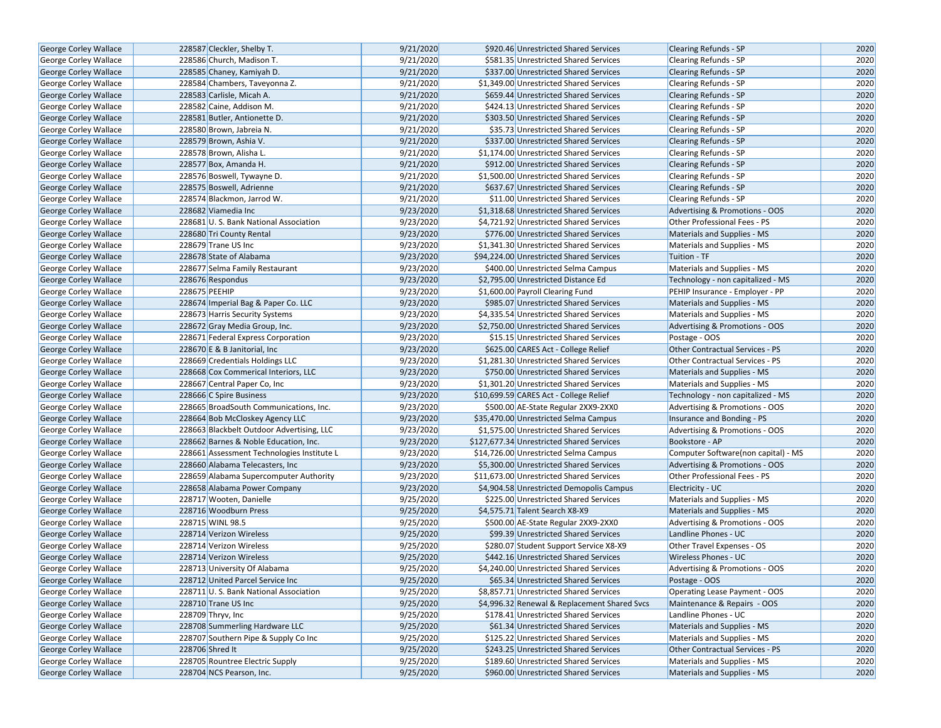| <b>George Corley Wallace</b> | 228587 Cleckler, Shelby T.                 | 9/21/2020 | \$920.46 Unrestricted Shared Services        | <b>Clearing Refunds - SP</b>           | 2020 |
|------------------------------|--------------------------------------------|-----------|----------------------------------------------|----------------------------------------|------|
| <b>George Corley Wallace</b> | 228586 Church, Madison T.                  | 9/21/2020 | \$581.35 Unrestricted Shared Services        | <b>Clearing Refunds - SP</b>           | 2020 |
| George Corley Wallace        | 228585 Chaney, Kamiyah D.                  | 9/21/2020 | \$337.00 Unrestricted Shared Services        | <b>Clearing Refunds - SP</b>           | 2020 |
| George Corley Wallace        | 228584 Chambers, Taveyonna Z.              | 9/21/2020 | \$1,349.00 Unrestricted Shared Services      | <b>Clearing Refunds - SP</b>           | 2020 |
| George Corley Wallace        | 228583 Carlisle, Micah A.                  | 9/21/2020 | \$659.44 Unrestricted Shared Services        | Clearing Refunds - SP                  | 2020 |
| George Corley Wallace        | 228582 Caine, Addison M.                   | 9/21/2020 | \$424.13 Unrestricted Shared Services        | Clearing Refunds - SP                  | 2020 |
| George Corley Wallace        | 228581 Butler, Antionette D.               | 9/21/2020 | \$303.50 Unrestricted Shared Services        | <b>Clearing Refunds - SP</b>           | 2020 |
| <b>George Corley Wallace</b> | 228580 Brown, Jabreia N.                   | 9/21/2020 | \$35.73 Unrestricted Shared Services         | <b>Clearing Refunds - SP</b>           | 2020 |
| <b>George Corley Wallace</b> | 228579 Brown, Ashia V.                     | 9/21/2020 | \$337.00 Unrestricted Shared Services        | <b>Clearing Refunds - SP</b>           | 2020 |
| George Corley Wallace        | 228578 Brown, Alisha L.                    | 9/21/2020 | \$1,174.00 Unrestricted Shared Services      | Clearing Refunds - SP                  | 2020 |
| George Corley Wallace        | 228577 Box, Amanda H.                      | 9/21/2020 | \$912.00 Unrestricted Shared Services        | Clearing Refunds - SP                  | 2020 |
| George Corley Wallace        | 228576 Boswell, Tywayne D.                 | 9/21/2020 | \$1,500.00 Unrestricted Shared Services      | <b>Clearing Refunds - SP</b>           | 2020 |
| George Corley Wallace        | 228575 Boswell, Adrienne                   | 9/21/2020 | \$637.67 Unrestricted Shared Services        | <b>Clearing Refunds - SP</b>           | 2020 |
| <b>George Corley Wallace</b> | 228574 Blackmon, Jarrod W.                 | 9/21/2020 | \$11.00 Unrestricted Shared Services         | <b>Clearing Refunds - SP</b>           | 2020 |
| <b>George Corley Wallace</b> | 228682 Viamedia Inc                        | 9/23/2020 | \$1,318.68 Unrestricted Shared Services      | Advertising & Promotions - OOS         | 2020 |
| <b>George Corley Wallace</b> | 228681 U.S. Bank National Association      | 9/23/2020 | \$4,721.92 Unrestricted Shared Services      | Other Professional Fees - PS           | 2020 |
| George Corley Wallace        | 228680 Tri County Rental                   | 9/23/2020 | \$776.00 Unrestricted Shared Services        | Materials and Supplies - MS            | 2020 |
| George Corley Wallace        | 228679 Trane US Inc                        | 9/23/2020 | \$1,341.30 Unrestricted Shared Services      | Materials and Supplies - MS            | 2020 |
| George Corley Wallace        | 228678 State of Alabama                    | 9/23/2020 | \$94,224.00 Unrestricted Shared Services     | Tuition - TF                           | 2020 |
| George Corley Wallace        | 228677 Selma Family Restaurant             | 9/23/2020 | \$400.00 Unrestricted Selma Campus           | Materials and Supplies - MS            | 2020 |
| <b>George Corley Wallace</b> | 228676 Respondus                           | 9/23/2020 | \$2,795.00 Unrestricted Distance Ed          | Technology - non capitalized - MS      | 2020 |
| George Corley Wallace        | 228675 PEEHIP                              | 9/23/2020 | \$1,600.00 Payroll Clearing Fund             | PEHIP Insurance - Employer - PP        | 2020 |
| George Corley Wallace        | 228674 Imperial Bag & Paper Co. LLC        | 9/23/2020 | \$985.07 Unrestricted Shared Services        | Materials and Supplies - MS            | 2020 |
| George Corley Wallace        | 228673 Harris Security Systems             | 9/23/2020 | \$4,335.54 Unrestricted Shared Services      | Materials and Supplies - MS            | 2020 |
| George Corley Wallace        | 228672 Gray Media Group, Inc.              | 9/23/2020 | \$2,750.00 Unrestricted Shared Services      | Advertising & Promotions - OOS         | 2020 |
| George Corley Wallace        | 228671 Federal Express Corporation         | 9/23/2020 | \$15.15 Unrestricted Shared Services         | Postage - OOS                          | 2020 |
| <b>George Corley Wallace</b> | 228670 E & B Janitorial, Inc.              | 9/23/2020 | \$625.00 CARES Act - College Relief          | <b>Other Contractual Services - PS</b> | 2020 |
| George Corley Wallace        | 228669 Credentials Holdings LLC            | 9/23/2020 | \$1,281.30 Unrestricted Shared Services      | <b>Other Contractual Services - PS</b> | 2020 |
| George Corley Wallace        | 228668 Cox Commerical Interiors, LLC       | 9/23/2020 | \$750.00 Unrestricted Shared Services        | Materials and Supplies - MS            | 2020 |
| George Corley Wallace        | 228667 Central Paper Co, Inc               | 9/23/2020 | \$1,301.20 Unrestricted Shared Services      | Materials and Supplies - MS            | 2020 |
| George Corley Wallace        | 228666 C Spire Business                    | 9/23/2020 | \$10,699.59 CARES Act - College Relief       | Technology - non capitalized - MS      | 2020 |
| George Corley Wallace        | 228665 BroadSouth Communications, Inc.     | 9/23/2020 | \$500.00 AE-State Regular 2XX9-2XX0          | Advertising & Promotions - OOS         | 2020 |
| George Corley Wallace        | 228664 Bob McCloskey Agency LLC            | 9/23/2020 | \$35,470.00 Unrestricted Selma Campus        | Insurance and Bonding - PS             | 2020 |
| George Corley Wallace        | 228663 Blackbelt Outdoor Advertising, LLC  | 9/23/2020 | \$1,575.00 Unrestricted Shared Services      | Advertising & Promotions - OOS         | 2020 |
| George Corley Wallace        | 228662 Barnes & Noble Education, Inc.      | 9/23/2020 | \$127,677.34 Unrestricted Shared Services    | Bookstore - AP                         | 2020 |
| George Corley Wallace        | 228661 Assessment Technologies Institute L | 9/23/2020 | \$14,726.00 Unrestricted Selma Campus        | Computer Software(non capital) - MS    | 2020 |
| <b>George Corley Wallace</b> | 228660 Alabama Telecasters, Inc.           | 9/23/2020 | \$5,300.00 Unrestricted Shared Services      | Advertising & Promotions - OOS         | 2020 |
| George Corley Wallace        | 228659 Alabama Supercomputer Authority     | 9/23/2020 | \$11,673.00 Unrestricted Shared Services     | Other Professional Fees - PS           | 2020 |
| George Corley Wallace        | 228658 Alabama Power Company               | 9/23/2020 | \$4,904.58 Unrestricted Demopolis Campus     | Electricity - UC                       | 2020 |
| George Corley Wallace        | 228717 Wooten, Danielle                    | 9/25/2020 | \$225.00 Unrestricted Shared Services        | Materials and Supplies - MS            | 2020 |
| <b>George Corley Wallace</b> | 228716 Woodburn Press                      | 9/25/2020 | \$4,575.71 Talent Search X8-X9               | <b>Materials and Supplies - MS</b>     | 2020 |
| <b>George Corley Wallace</b> | 228715 WINL 98.5                           | 9/25/2020 | \$500.00 AE-State Regular 2XX9-2XX0          | Advertising & Promotions - OOS         | 2020 |
| George Corley Wallace        | 228714 Verizon Wireless                    | 9/25/2020 | \$99.39 Unrestricted Shared Services         | Landline Phones - UC                   | 2020 |
| George Corley Wallace        | 228714 Verizon Wireless                    | 9/25/2020 | \$280.07 Student Support Service X8-X9       | Other Travel Expenses - OS             | 2020 |
| <b>George Corley Wallace</b> | 228714 Verizon Wireless                    | 9/25/2020 | \$442.16 Unrestricted Shared Services        | <b>Wireless Phones - UC</b>            | 2020 |
| George Corley Wallace        | 228713 University Of Alabama               | 9/25/2020 | \$4,240.00 Unrestricted Shared Services      | Advertising & Promotions - OOS         | 2020 |
| George Corley Wallace        | 228712 United Parcel Service Inc           | 9/25/2020 | \$65.34 Unrestricted Shared Services         | Postage - OOS                          | 2020 |
| <b>George Corley Wallace</b> | 228711 U.S. Bank National Association      | 9/25/2020 | \$8,857.71 Unrestricted Shared Services      | Operating Lease Payment - OOS          | 2020 |
| George Corley Wallace        | 228710 Trane US Inc                        | 9/25/2020 | \$4,996.32 Renewal & Replacement Shared Svcs | Maintenance & Repairs - OOS            | 2020 |
| <b>George Corley Wallace</b> | 228709 Thryv, Inc                          | 9/25/2020 | \$178.41 Unrestricted Shared Services        | Landline Phones - UC                   | 2020 |
| George Corley Wallace        | 228708 Summerling Hardware LLC             | 9/25/2020 | \$61.34 Unrestricted Shared Services         | Materials and Supplies - MS            | 2020 |
| <b>George Corley Wallace</b> | 228707 Southern Pipe & Supply Co Inc       | 9/25/2020 | \$125.22 Unrestricted Shared Services        | Materials and Supplies - MS            | 2020 |
| George Corley Wallace        | 228706 Shred It                            | 9/25/2020 | \$243.25 Unrestricted Shared Services        | Other Contractual Services - PS        | 2020 |
| George Corley Wallace        | 228705 Rountree Electric Supply            | 9/25/2020 | \$189.60 Unrestricted Shared Services        | Materials and Supplies - MS            | 2020 |
| George Corley Wallace        | 228704 NCS Pearson, Inc.                   | 9/25/2020 | \$960.00 Unrestricted Shared Services        | Materials and Supplies - MS            | 2020 |
|                              |                                            |           |                                              |                                        |      |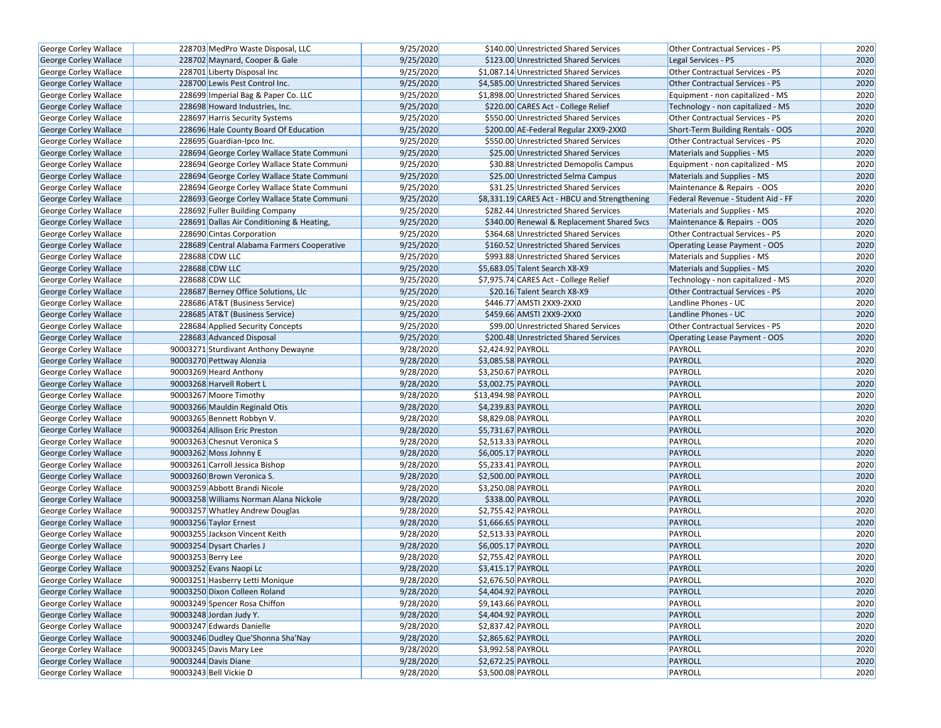| George Corley Wallace                          | 228703 MedPro Waste Disposal, LLC          | 9/25/2020 | \$140.00 Unrestricted Shared Services         | Other Contractual Services - PS    | 2020 |
|------------------------------------------------|--------------------------------------------|-----------|-----------------------------------------------|------------------------------------|------|
| <b>George Corley Wallace</b>                   | 228702 Maynard, Cooper & Gale              | 9/25/2020 | \$123.00 Unrestricted Shared Services         | Legal Services - PS                | 2020 |
| George Corley Wallace                          | 228701 Liberty Disposal Inc                | 9/25/2020 | \$1,087.14 Unrestricted Shared Services       | Other Contractual Services - PS    | 2020 |
| George Corley Wallace                          | 228700 Lewis Pest Control Inc.             | 9/25/2020 | \$4,585.00 Unrestricted Shared Services       | Other Contractual Services - PS    | 2020 |
| George Corley Wallace                          | 228699 Imperial Bag & Paper Co. LLC        | 9/25/2020 | \$1,898.00 Unrestricted Shared Services       | Equipment - non capitalized - MS   | 2020 |
| <b>George Corley Wallace</b>                   | 228698 Howard Industries, Inc.             | 9/25/2020 | \$220.00 CARES Act - College Relief           | Technology - non capitalized - MS  | 2020 |
| George Corley Wallace                          | 228697 Harris Security Systems             | 9/25/2020 | \$550.00 Unrestricted Shared Services         | Other Contractual Services - PS    | 2020 |
| <b>George Corley Wallace</b>                   | 228696 Hale County Board Of Education      | 9/25/2020 | \$200.00 AE-Federal Regular 2XX9-2XX0         | Short-Term Building Rentals - OOS  | 2020 |
| George Corley Wallace                          | 228695 Guardian-Ipco Inc.                  | 9/25/2020 | \$550.00 Unrestricted Shared Services         | Other Contractual Services - PS    | 2020 |
| George Corley Wallace                          | 228694 George Corley Wallace State Communi | 9/25/2020 | \$25.00 Unrestricted Shared Services          | Materials and Supplies - MS        | 2020 |
| George Corley Wallace                          | 228694 George Corley Wallace State Communi | 9/25/2020 | \$30.88 Unrestricted Demopolis Campus         | Equipment - non capitalized - MS   | 2020 |
| George Corley Wallace                          | 228694 George Corley Wallace State Communi | 9/25/2020 | \$25.00 Unrestricted Selma Campus             | Materials and Supplies - MS        | 2020 |
| <b>George Corley Wallace</b>                   | 228694 George Corley Wallace State Communi | 9/25/2020 | \$31.25 Unrestricted Shared Services          | Maintenance & Repairs - OOS        | 2020 |
| <b>George Corley Wallace</b>                   | 228693 George Corley Wallace State Communi | 9/25/2020 | \$8,331.19 CARES Act - HBCU and Strengthening | Federal Revenue - Student Aid - FF | 2020 |
| <b>George Corley Wallace</b>                   | 228692 Fuller Building Company             | 9/25/2020 | \$282.44 Unrestricted Shared Services         | Materials and Supplies - MS        | 2020 |
| <b>George Corley Wallace</b>                   | 228691 Dallas Air Conditioning & Heating,  | 9/25/2020 | \$340.00 Renewal & Replacement Shared Svcs    | Maintenance & Repairs - OOS        | 2020 |
| George Corley Wallace                          | 228690 Cintas Corporation                  | 9/25/2020 | \$364.68 Unrestricted Shared Services         | Other Contractual Services - PS    | 2020 |
| <b>George Corley Wallace</b>                   | 228689 Central Alabama Farmers Cooperative | 9/25/2020 | \$160.52 Unrestricted Shared Services         | Operating Lease Payment - OOS      | 2020 |
| George Corley Wallace                          | 228688 CDW LLC                             | 9/25/2020 | \$993.88 Unrestricted Shared Services         | Materials and Supplies - MS        | 2020 |
| George Corley Wallace                          | 228688 CDW LLC                             | 9/25/2020 | \$5,683.05 Talent Search X8-X9                | Materials and Supplies - MS        | 2020 |
| <b>George Corley Wallace</b>                   | 228688 CDW LLC                             | 9/25/2020 | \$7,975.74 CARES Act - College Relief         | Technology - non capitalized - MS  | 2020 |
| George Corley Wallace                          | 228687 Berney Office Solutions, Llc        | 9/25/2020 | \$20.16 Talent Search X8-X9                   | Other Contractual Services - PS    | 2020 |
| George Corley Wallace                          | 228686 AT&T (Business Service)             | 9/25/2020 | \$446.77 AMSTI 2XX9-2XX0                      | Landline Phones - UC               | 2020 |
| George Corley Wallace                          | 228685 AT&T (Business Service)             | 9/25/2020 | \$459.66 AMSTI 2XX9-2XX0                      | Landline Phones - UC               | 2020 |
| <b>George Corley Wallace</b>                   | 228684 Applied Security Concepts           | 9/25/2020 | \$99.00 Unrestricted Shared Services          | Other Contractual Services - PS    | 2020 |
| George Corley Wallace                          | 228683 Advanced Disposal                   | 9/25/2020 | \$200.48 Unrestricted Shared Services         | Operating Lease Payment - OOS      | 2020 |
| George Corley Wallace                          | 90003271 Sturdivant Anthony Dewayne        | 9/28/2020 | \$2,424.92 PAYROLL                            | PAYROLL                            | 2020 |
| George Corley Wallace                          | 90003270 Pettway Alonzia                   | 9/28/2020 | \$3,085.58 PAYROLL                            | PAYROLL                            | 2020 |
| George Corley Wallace                          | 90003269 Heard Anthony                     | 9/28/2020 | \$3,250.67 PAYROLL                            | PAYROLL                            | 2020 |
| George Corley Wallace                          | 90003268 Harvell Robert L                  | 9/28/2020 | \$3,002.75 PAYROLL                            | PAYROLL                            | 2020 |
| George Corley Wallace                          | 90003267 Moore Timothy                     | 9/28/2020 | \$13,494.98 PAYROLL                           | PAYROLL                            | 2020 |
| George Corley Wallace                          | 90003266 Mauldin Reginald Otis             | 9/28/2020 | \$4,239.83 PAYROLL                            | PAYROLL                            | 2020 |
| George Corley Wallace                          | 90003265 Bennett Robbyn V.                 | 9/28/2020 | \$8,829.08 PAYROLL                            | PAYROLL                            | 2020 |
| <b>George Corley Wallace</b>                   | 90003264 Allison Eric Preston              | 9/28/2020 | \$5,731.67 PAYROLL                            | PAYROLL                            | 2020 |
| George Corley Wallace                          | 90003263 Chesnut Veronica S                | 9/28/2020 | \$2,513.33 PAYROLL                            | PAYROLL                            | 2020 |
| <b>George Corley Wallace</b>                   | 90003262 Moss Johnny E                     | 9/28/2020 | \$6,005.17 PAYROLL                            | PAYROLL                            | 2020 |
| George Corley Wallace                          | 90003261 Carroll Jessica Bishop            | 9/28/2020 | \$5,233.41 PAYROLL                            | PAYROLL                            | 2020 |
| George Corley Wallace                          | 90003260 Brown Veronica S.                 | 9/28/2020 | \$2,500.00 PAYROLL                            | PAYROLL                            | 2020 |
| George Corley Wallace                          | 90003259 Abbott Brandi Nicole              | 9/28/2020 | \$3,250.08 PAYROLL                            | PAYROLL                            | 2020 |
| George Corley Wallace                          | 90003258 Williams Norman Alana Nickole     | 9/28/2020 | \$338.00 PAYROLL                              | PAYROLL                            | 2020 |
| George Corley Wallace                          | 90003257 Whatley Andrew Douglas            | 9/28/2020 | \$2,755.42 PAYROLL                            | PAYROLL                            | 2020 |
| George Corley Wallace                          | 90003256 Taylor Ernest                     | 9/28/2020 | \$1,666.65 PAYROLL                            | PAYROLL                            | 2020 |
| George Corley Wallace                          | 90003255 Jackson Vincent Keith             | 9/28/2020 | \$2,513.33 PAYROLL                            | PAYROLL                            | 2020 |
| George Corley Wallace                          | 90003254 Dysart Charles J                  | 9/28/2020 | \$6,005.17 PAYROLL                            | PAYROLL                            | 2020 |
| George Corley Wallace                          | 90003253 Berry Lee                         | 9/28/2020 | \$2,755.42 PAYROLL                            | PAYROLL                            | 2020 |
|                                                | 90003252 Evans Naopi Lc                    | 9/28/2020 | \$3,415.17 PAYROLL                            | PAYROLL                            | 2020 |
| George Corley Wallace<br>George Corley Wallace | 90003251 Hasberry Letti Monique            | 9/28/2020 | \$2,676.50 PAYROLL                            | PAYROLL                            | 2020 |
|                                                | 90003250 Dixon Colleen Roland              | 9/28/2020 |                                               | <b>PAYROLL</b>                     | 2020 |
| George Corley Wallace<br>George Corley Wallace | 90003249 Spencer Rosa Chiffon              | 9/28/2020 | \$4,404.92 PAYROLL<br>\$9,143.66 PAYROLL      | PAYROLL                            |      |
|                                                |                                            |           |                                               |                                    | 2020 |
| <b>George Corley Wallace</b>                   | 90003248 Jordan Judy Y.                    | 9/28/2020 | \$4,404.92 PAYROLL                            | PAYROLL                            | 2020 |
| George Corley Wallace                          | 90003247 Edwards Danielle                  | 9/28/2020 | \$2,837.42 PAYROLL                            | PAYROLL                            | 2020 |
| <b>George Corley Wallace</b>                   | 90003246 Dudley Que'Shonna Sha'Nay         | 9/28/2020 | \$2,865.62 PAYROLL                            | PAYROLL                            | 2020 |
| George Corley Wallace                          | 90003245 Davis Mary Lee                    | 9/28/2020 | \$3,992.58 PAYROLL                            | PAYROLL                            | 2020 |
| <b>George Corley Wallace</b>                   | 90003244 Davis Diane                       | 9/28/2020 | \$2,672.25 PAYROLL                            | PAYROLL                            | 2020 |
| George Corley Wallace                          | 90003243 Bell Vickie D                     | 9/28/2020 | \$3,500.08 PAYROLL                            | PAYROLL                            | 2020 |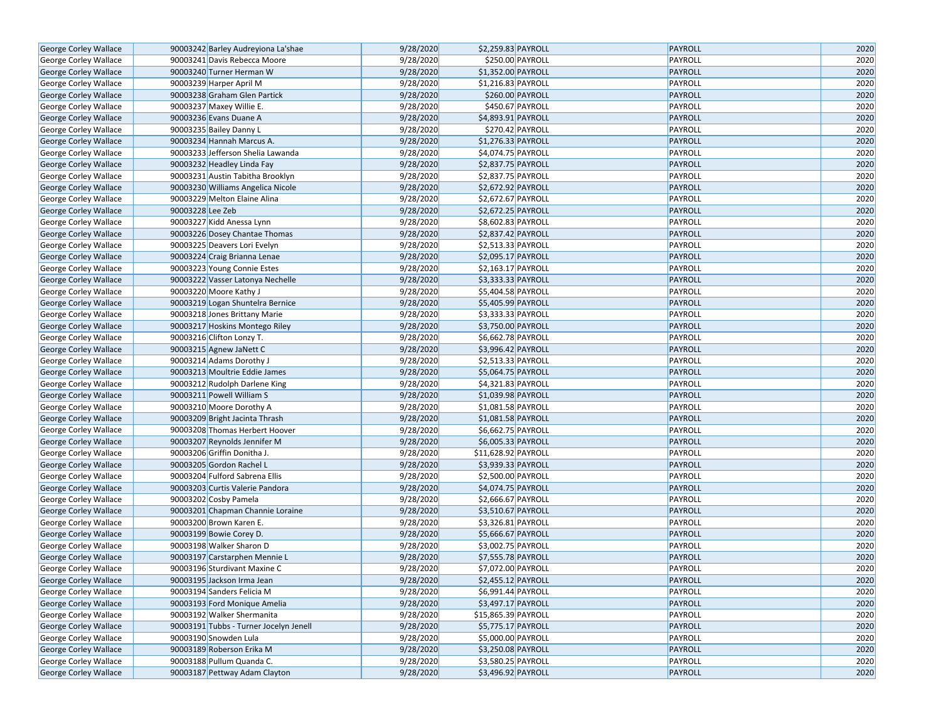| George Corley Wallace                          |                         | 90003242 Barley Audreyiona La'shae     | 9/28/2020 | \$2,259.83 PAYROLL  | PAYROLL | 2020 |
|------------------------------------------------|-------------------------|----------------------------------------|-----------|---------------------|---------|------|
| George Corley Wallace                          |                         | 90003241 Davis Rebecca Moore           | 9/28/2020 | \$250.00 PAYROLL    | PAYROLL | 2020 |
| George Corley Wallace                          |                         | 90003240 Turner Herman W               | 9/28/2020 | \$1,352.00 PAYROLL  | PAYROLL | 2020 |
| George Corley Wallace                          | 90003239 Harper April M |                                        | 9/28/2020 | \$1,216.83 PAYROLL  | PAYROLL | 2020 |
| George Corley Wallace                          |                         | 90003238 Graham Glen Partick           | 9/28/2020 | \$260.00 PAYROLL    | PAYROLL | 2020 |
| George Corley Wallace                          |                         | 90003237 Maxey Willie E.               | 9/28/2020 | \$450.67 PAYROLL    | PAYROLL | 2020 |
| George Corley Wallace                          |                         | 90003236 Evans Duane A                 | 9/28/2020 | \$4,893.91 PAYROLL  | PAYROLL | 2020 |
| George Corley Wallace                          | 90003235 Bailey Danny L |                                        | 9/28/2020 | \$270.42 PAYROLL    | PAYROLL | 2020 |
| George Corley Wallace                          |                         | 90003234 Hannah Marcus A.              | 9/28/2020 | \$1,276.33 PAYROLL  | PAYROLL | 2020 |
| George Corley Wallace                          |                         | 90003233 Jefferson Shelia Lawanda      | 9/28/2020 | \$4,074.75 PAYROLL  | PAYROLL | 2020 |
| George Corley Wallace                          |                         | 90003232 Headley Linda Fay             | 9/28/2020 | \$2,837.75 PAYROLL  | PAYROLL | 2020 |
| George Corley Wallace                          |                         | 90003231 Austin Tabitha Brooklyn       | 9/28/2020 | \$2,837.75 PAYROLL  | PAYROLL | 2020 |
| George Corley Wallace                          |                         | 90003230 Williams Angelica Nicole      | 9/28/2020 | \$2,672.92 PAYROLL  | PAYROLL | 2020 |
| George Corley Wallace                          |                         | 90003229 Melton Elaine Alina           | 9/28/2020 | \$2,672.67 PAYROLL  | PAYROLL | 2020 |
| George Corley Wallace                          | 90003228 Lee Zeb        |                                        | 9/28/2020 | \$2,672.25 PAYROLL  | PAYROLL | 2020 |
| George Corley Wallace                          |                         | 90003227 Kidd Anessa Lynn              | 9/28/2020 | \$8,602.83 PAYROLL  | PAYROLL | 2020 |
| George Corley Wallace                          |                         | 90003226 Dosey Chantae Thomas          | 9/28/2020 | \$2,837.42 PAYROLL  | PAYROLL | 2020 |
| George Corley Wallace                          |                         | 90003225 Deavers Lori Evelyn           | 9/28/2020 | \$2,513.33 PAYROLL  | PAYROLL | 2020 |
| George Corley Wallace                          |                         | 90003224 Craig Brianna Lenae           | 9/28/2020 | \$2,095.17 PAYROLL  | PAYROLL | 2020 |
| George Corley Wallace                          |                         | 90003223 Young Connie Estes            | 9/28/2020 | \$2,163.17 PAYROLL  | PAYROLL | 2020 |
| George Corley Wallace                          |                         | 90003222 Vasser Latonya Nechelle       | 9/28/2020 | \$3,333.33 PAYROLL  | PAYROLL | 2020 |
| George Corley Wallace                          | 90003220 Moore Kathy J  |                                        | 9/28/2020 | \$5,404.58 PAYROLL  | PAYROLL | 2020 |
| George Corley Wallace                          |                         | 90003219 Logan Shuntelra Bernice       | 9/28/2020 | \$5,405.99 PAYROLL  | PAYROLL | 2020 |
| George Corley Wallace                          |                         | 90003218 Jones Brittany Marie          | 9/28/2020 | \$3,333.33 PAYROLL  | PAYROLL | 2020 |
| <b>George Corley Wallace</b>                   |                         | 90003217 Hoskins Montego Riley         | 9/28/2020 | \$3,750.00 PAYROLL  | PAYROLL | 2020 |
| George Corley Wallace                          |                         | 90003216 Clifton Lonzy T.              | 9/28/2020 | \$6,662.78 PAYROLL  | PAYROLL | 2020 |
| George Corley Wallace                          |                         | 90003215 Agnew JaNett C                | 9/28/2020 | \$3,996.42 PAYROLL  | PAYROLL | 2020 |
| George Corley Wallace                          |                         | 90003214 Adams Dorothy J               | 9/28/2020 | \$2,513.33 PAYROLL  | PAYROLL | 2020 |
| George Corley Wallace                          |                         | 90003213 Moultrie Eddie James          | 9/28/2020 | \$5,064.75 PAYROLL  | PAYROLL | 2020 |
|                                                |                         | 90003212 Rudolph Darlene King          | 9/28/2020 | \$4,321.83 PAYROLL  | PAYROLL | 2020 |
| George Corley Wallace                          |                         | 90003211 Powell William S              | 9/28/2020 | \$1,039.98 PAYROLL  | PAYROLL | 2020 |
| George Corley Wallace                          |                         | 90003210 Moore Dorothy A               | 9/28/2020 | \$1,081.58 PAYROLL  | PAYROLL | 2020 |
| George Corley Wallace                          |                         | 90003209 Bright Jacinta Thrash         | 9/28/2020 | \$1,081.58 PAYROLL  | PAYROLL | 2020 |
| George Corley Wallace                          |                         | 90003208 Thomas Herbert Hoover         | 9/28/2020 | \$6,662.75 PAYROLL  | PAYROLL | 2020 |
| George Corley Wallace<br>George Corley Wallace |                         | 90003207 Reynolds Jennifer M           | 9/28/2020 | \$6,005.33 PAYROLL  | PAYROLL | 2020 |
| George Corley Wallace                          |                         | 90003206 Griffin Donitha J.            | 9/28/2020 | \$11,628.92 PAYROLL | PAYROLL | 2020 |
| George Corley Wallace                          |                         | 90003205 Gordon Rachel L               | 9/28/2020 | \$3,939.33 PAYROLL  | PAYROLL | 2020 |
| George Corley Wallace                          |                         | 90003204 Fulford Sabrena Ellis         | 9/28/2020 | \$2,500.00 PAYROLL  | PAYROLL | 2020 |
|                                                |                         | 90003203 Curtis Valerie Pandora        | 9/28/2020 | \$4,074.75 PAYROLL  | PAYROLL | 2020 |
| George Corley Wallace                          |                         |                                        | 9/28/2020 | \$2,666.67 PAYROLL  | PAYROLL | 2020 |
| George Corley Wallace                          | 90003202 Cosby Pamela   |                                        | 9/28/2020 | \$3,510.67 PAYROLL  | PAYROLL | 2020 |
| George Corley Wallace                          |                         | 90003201 Chapman Channie Loraine       |           |                     |         |      |
| George Corley Wallace                          |                         | 90003200 Brown Karen E.                | 9/28/2020 | \$3,326.81 PAYROLL  | PAYROLL | 2020 |
| George Corley Wallace                          |                         | 90003199 Bowie Corey D.                | 9/28/2020 | \$5,666.67 PAYROLL  | PAYROLL | 2020 |
| George Corley Wallace                          |                         | 90003198 Walker Sharon D               | 9/28/2020 | \$3,002.75 PAYROLL  | PAYROLL | 2020 |
| George Corley Wallace                          |                         | 90003197 Carstarphen Mennie L          | 9/28/2020 | \$7,555.78 PAYROLL  | PAYROLL | 2020 |
| George Corley Wallace                          |                         | 90003196 Sturdivant Maxine C           | 9/28/2020 | \$7,072.00 PAYROLL  | PAYROLL | 2020 |
| George Corley Wallace                          |                         | 90003195 Jackson Irma Jean             | 9/28/2020 | \$2,455.12 PAYROLL  | PAYROLL | 2020 |
| George Corley Wallace                          |                         | 90003194 Sanders Felicia M             | 9/28/2020 | \$6,991.44 PAYROLL  | PAYROLL | 2020 |
| George Corley Wallace                          |                         | 90003193 Ford Monique Amelia           | 9/28/2020 | \$3,497.17 PAYROLL  | PAYROLL | 2020 |
| George Corley Wallace                          |                         | 90003192 Walker Shermanita             | 9/28/2020 | \$15,865.39 PAYROLL | PAYROLL | 2020 |
| George Corley Wallace                          |                         | 90003191 Tubbs - Turner Jocelyn Jenell | 9/28/2020 | \$5,775.17 PAYROLL  | PAYROLL | 2020 |
| George Corley Wallace                          | 90003190 Snowden Lula   |                                        | 9/28/2020 | \$5,000.00 PAYROLL  | PAYROLL | 2020 |
| George Corley Wallace                          |                         | 90003189 Roberson Erika M              | 9/28/2020 | \$3,250.08 PAYROLL  | PAYROLL | 2020 |
| George Corley Wallace                          |                         | 90003188 Pullum Quanda C.              | 9/28/2020 | \$3,580.25 PAYROLL  | PAYROLL | 2020 |
| George Corley Wallace                          |                         | 90003187 Pettway Adam Clayton          | 9/28/2020 | \$3,496.92 PAYROLL  | PAYROLL | 2020 |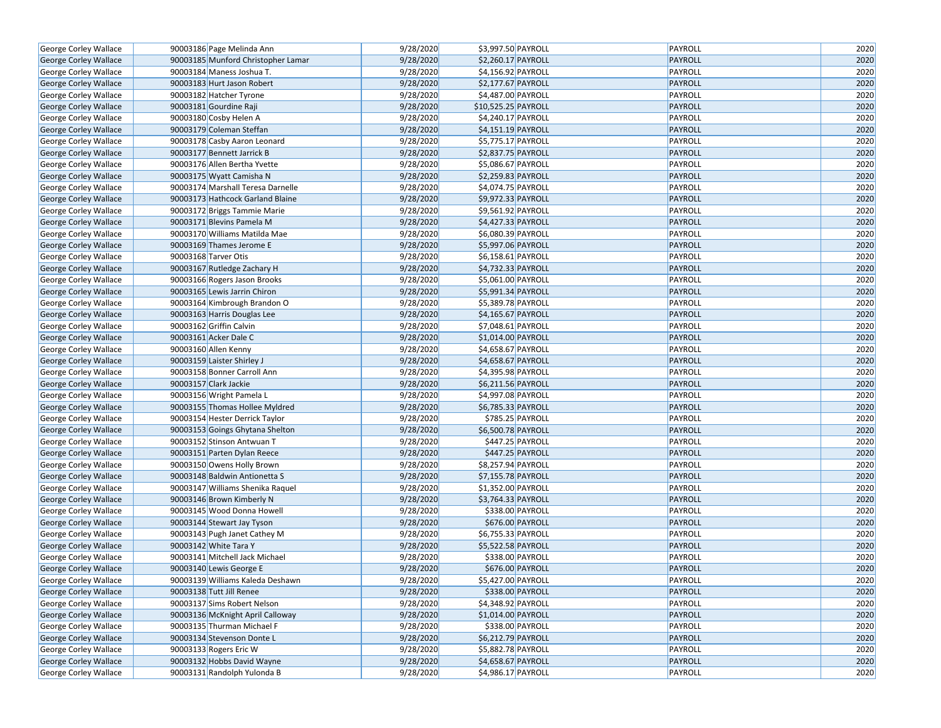| George Corley Wallace        | 90003186 Page Melinda Ann          | 9/28/2020 | \$3,997.50 PAYROLL                       | PAYROLL | 2020 |
|------------------------------|------------------------------------|-----------|------------------------------------------|---------|------|
| George Corley Wallace        | 90003185 Munford Christopher Lamar | 9/28/2020 | \$2,260.17 PAYROLL                       | PAYROLL | 2020 |
| George Corley Wallace        | 90003184 Maness Joshua T.          | 9/28/2020 | \$4,156.92 PAYROLL                       | PAYROLL | 2020 |
| <b>George Corley Wallace</b> | 90003183 Hurt Jason Robert         | 9/28/2020 | \$2,177.67 PAYROLL                       | PAYROLL | 2020 |
| George Corley Wallace        | 90003182 Hatcher Tyrone            | 9/28/2020 | \$4,487.00 PAYROLL                       | PAYROLL | 2020 |
| George Corley Wallace        | 90003181 Gourdine Raji             | 9/28/2020 | \$10,525.25 PAYROLL                      | PAYROLL | 2020 |
| George Corley Wallace        | 90003180 Cosby Helen A             | 9/28/2020 | \$4,240.17 PAYROLL                       | PAYROLL | 2020 |
| <b>George Corley Wallace</b> | 90003179 Coleman Steffan           | 9/28/2020 | \$4,151.19 PAYROLL                       | PAYROLL | 2020 |
| George Corley Wallace        | 90003178 Casby Aaron Leonard       | 9/28/2020 | \$5,775.17 PAYROLL                       | PAYROLL | 2020 |
| George Corley Wallace        | 90003177 Bennett Jarrick B         | 9/28/2020 | \$2,837.75 PAYROLL                       | PAYROLL | 2020 |
| George Corley Wallace        | 90003176 Allen Bertha Yvette       | 9/28/2020 | \$5,086.67 PAYROLL                       | PAYROLL | 2020 |
| George Corley Wallace        | 90003175 Wyatt Camisha N           | 9/28/2020 | \$2,259.83 PAYROLL                       | PAYROLL | 2020 |
| George Corley Wallace        | 90003174 Marshall Teresa Darnelle  | 9/28/2020 | \$4,074.75 PAYROLL                       | PAYROLL | 2020 |
| George Corley Wallace        | 90003173 Hathcock Garland Blaine   | 9/28/2020 | \$9,972.33 PAYROLL                       | PAYROLL | 2020 |
| George Corley Wallace        | 90003172 Briggs Tammie Marie       | 9/28/2020 | \$9,561.92 PAYROLL                       | PAYROLL | 2020 |
| George Corley Wallace        | 90003171 Blevins Pamela M          | 9/28/2020 | \$4,427.33 PAYROLL                       | PAYROLL | 2020 |
| George Corley Wallace        | 90003170 Williams Matilda Mae      | 9/28/2020 | \$6,080.39 PAYROLL                       | PAYROLL | 2020 |
| George Corley Wallace        | 90003169 Thames Jerome E           | 9/28/2020 | \$5,997.06 PAYROLL                       | PAYROLL | 2020 |
| George Corley Wallace        | 90003168 Tarver Otis               | 9/28/2020 | \$6,158.61 PAYROLL                       | PAYROLL | 2020 |
| George Corley Wallace        | 90003167 Rutledge Zachary H        | 9/28/2020 | \$4,732.33 PAYROLL                       | PAYROLL | 2020 |
| George Corley Wallace        | 90003166 Rogers Jason Brooks       | 9/28/2020 | \$5,061.00 PAYROLL                       | PAYROLL | 2020 |
| George Corley Wallace        | 90003165 Lewis Jarrin Chiron       | 9/28/2020 | \$5,991.34 PAYROLL                       | PAYROLL | 2020 |
| George Corley Wallace        | 90003164 Kimbrough Brandon O       | 9/28/2020 | \$5,389.78 PAYROLL                       | PAYROLL | 2020 |
| George Corley Wallace        | 90003163 Harris Douglas Lee        | 9/28/2020 | \$4,165.67 PAYROLL                       | PAYROLL | 2020 |
| George Corley Wallace        | 90003162 Griffin Calvin            | 9/28/2020 | \$7,048.61 PAYROLL                       | PAYROLL | 2020 |
| George Corley Wallace        | 90003161 Acker Dale C              | 9/28/2020 | \$1,014.00 PAYROLL                       | PAYROLL | 2020 |
| George Corley Wallace        | 90003160 Allen Kenny               | 9/28/2020 | \$4,658.67 PAYROLL                       | PAYROLL | 2020 |
| George Corley Wallace        | 90003159 Laister Shirley J         | 9/28/2020 | \$4,658.67 PAYROLL                       | PAYROLL | 2020 |
| George Corley Wallace        | 90003158 Bonner Carroll Ann        | 9/28/2020 | \$4,395.98 PAYROLL                       | PAYROLL | 2020 |
| George Corley Wallace        | 90003157 Clark Jackie              | 9/28/2020 | \$6,211.56 PAYROLL                       | PAYROLL | 2020 |
| George Corley Wallace        | 90003156 Wright Pamela L           | 9/28/2020 | \$4,997.08 PAYROLL                       | PAYROLL | 2020 |
| George Corley Wallace        | 90003155 Thomas Hollee Myldred     | 9/28/2020 | \$6,785.33 PAYROLL                       | PAYROLL | 2020 |
| George Corley Wallace        | 90003154 Hester Derrick Taylor     | 9/28/2020 | \$785.25 PAYROLL                         | PAYROLL | 2020 |
| George Corley Wallace        | 90003153 Goings Ghytana Shelton    | 9/28/2020 | \$6,500.78 PAYROLL                       | PAYROLL | 2020 |
| George Corley Wallace        | 90003152 Stinson Antwuan T         | 9/28/2020 | \$447.25 PAYROLL                         | PAYROLL | 2020 |
| George Corley Wallace        | 90003151 Parten Dylan Reece        | 9/28/2020 | \$447.25 PAYROLL                         | PAYROLL | 2020 |
| George Corley Wallace        | 90003150 Owens Holly Brown         | 9/28/2020 | \$8,257.94 PAYROLL                       | PAYROLL | 2020 |
| George Corley Wallace        | 90003148 Baldwin Antionetta S      | 9/28/2020 | \$7,155.78 PAYROLL                       | PAYROLL | 2020 |
| George Corley Wallace        | 90003147 Williams Shenika Raquel   | 9/28/2020 | \$1,352.00 PAYROLL                       | PAYROLL | 2020 |
| George Corley Wallace        | 90003146 Brown Kimberly N          | 9/28/2020 | \$3,764.33 PAYROLL                       | PAYROLL | 2020 |
| George Corley Wallace        | 90003145 Wood Donna Howell         | 9/28/2020 | \$338.00 PAYROLL                         | PAYROLL | 2020 |
| George Corley Wallace        | 90003144 Stewart Jay Tyson         | 9/28/2020 | \$676.00 PAYROLL                         | PAYROLL | 2020 |
| George Corley Wallace        | 90003143 Pugh Janet Cathey M       | 9/28/2020 | \$6,755.33 PAYROLL                       | PAYROLL | 2020 |
| George Corley Wallace        | 90003142 White Tara Y              | 9/28/2020 | \$5,522.58 PAYROLL                       | PAYROLL | 2020 |
| George Corley Wallace        | 90003141 Mitchell Jack Michael     | 9/28/2020 | \$338.00 PAYROLL                         | PAYROLL | 2020 |
| George Corley Wallace        | 90003140 Lewis George E            | 9/28/2020 | \$676.00 PAYROLL                         | PAYROLL | 2020 |
| George Corley Wallace        | 90003139 Williams Kaleda Deshawn   | 9/28/2020 | \$5,427.00 PAYROLL                       | PAYROLL | 2020 |
| George Corley Wallace        | 90003138 Tutt Jill Renee           | 9/28/2020 | \$338.00 PAYROLL                         | PAYROLL | 2020 |
| George Corley Wallace        | 90003137 Sims Robert Nelson        | 9/28/2020 | \$4,348.92 PAYROLL                       | PAYROLL | 2020 |
| George Corley Wallace        | 90003136 McKnight April Calloway   | 9/28/2020 | \$1,014.00 PAYROLL                       | PAYROLL | 2020 |
|                              | 90003135 Thurman Michael F         | 9/28/2020 | \$338.00 PAYROLL                         | PAYROLL | 2020 |
| George Corley Wallace        | 90003134 Stevenson Donte L         | 9/28/2020 | \$6,212.79 PAYROLL                       | PAYROLL | 2020 |
| George Corley Wallace        | 90003133 Rogers Eric W             | 9/28/2020 |                                          | PAYROLL | 2020 |
| George Corley Wallace        | 90003132 Hobbs David Wayne         | 9/28/2020 | \$5,882.78 PAYROLL<br>\$4,658.67 PAYROLL | PAYROLL | 2020 |
| George Corley Wallace        |                                    |           |                                          | PAYROLL |      |
| George Corley Wallace        | 90003131 Randolph Yulonda B        | 9/28/2020 | \$4,986.17 PAYROLL                       |         | 2020 |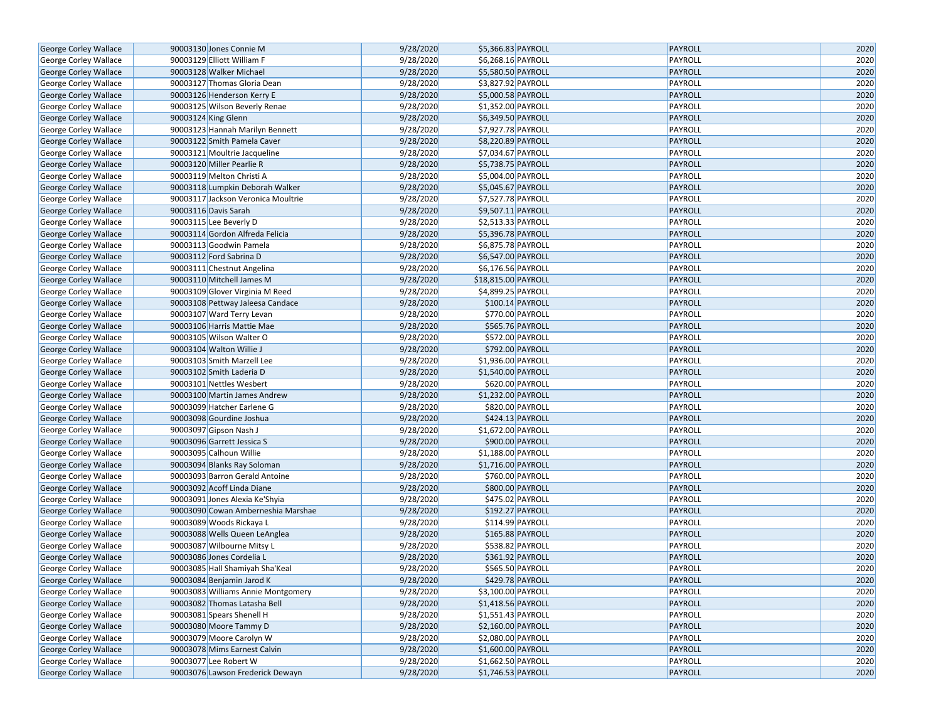| George Corley Wallace        | 90003130 Jones Connie M            | 9/28/2020 | \$5,366.83 PAYROLL                       | <b>PAYROLL</b> | 2020 |
|------------------------------|------------------------------------|-----------|------------------------------------------|----------------|------|
| <b>George Corley Wallace</b> | 90003129 Elliott William F         | 9/28/2020 | \$6,268.16 PAYROLL                       | PAYROLL        | 2020 |
| George Corley Wallace        | 90003128 Walker Michael            | 9/28/2020 | \$5,580.50 PAYROLL                       | <b>PAYROLL</b> | 2020 |
| George Corley Wallace        | 90003127 Thomas Gloria Dean        | 9/28/2020 | \$3,827.92 PAYROLL                       | PAYROLL        | 2020 |
| George Corley Wallace        | 90003126 Henderson Kerry E         | 9/28/2020 | \$5,000.58 PAYROLL                       | <b>PAYROLL</b> | 2020 |
| George Corley Wallace        | 90003125 Wilson Beverly Renae      | 9/28/2020 | \$1,352.00 PAYROLL                       | PAYROLL        | 2020 |
| George Corley Wallace        | 90003124 King Glenn                | 9/28/2020 | \$6,349.50 PAYROLL                       | <b>PAYROLL</b> | 2020 |
| George Corley Wallace        | 90003123 Hannah Marilyn Bennett    | 9/28/2020 | \$7,927.78 PAYROLL                       | PAYROLL        | 2020 |
| George Corley Wallace        | 90003122 Smith Pamela Caver        | 9/28/2020 | \$8,220.89 PAYROLL                       | <b>PAYROLL</b> | 2020 |
| George Corley Wallace        | 90003121 Moultrie Jacqueline       | 9/28/2020 | \$7,034.67 PAYROLL                       | PAYROLL        | 2020 |
| George Corley Wallace        | 90003120 Miller Pearlie R          | 9/28/2020 | \$5,738.75 PAYROLL                       | <b>PAYROLL</b> | 2020 |
| George Corley Wallace        | 90003119 Melton Christi A          | 9/28/2020 | \$5,004.00 PAYROLL                       | PAYROLL        | 2020 |
| George Corley Wallace        | 90003118 Lumpkin Deborah Walker    | 9/28/2020 | \$5,045.67 PAYROLL                       | <b>PAYROLL</b> | 2020 |
| George Corley Wallace        | 90003117 Jackson Veronica Moultrie | 9/28/2020 | \$7,527.78 PAYROLL                       | PAYROLL        | 2020 |
| George Corley Wallace        | 90003116 Davis Sarah               | 9/28/2020 | \$9,507.11 PAYROLL                       | <b>PAYROLL</b> | 2020 |
| George Corley Wallace        | 90003115 Lee Beverly D             | 9/28/2020 | \$2,513.33 PAYROLL                       | PAYROLL        | 2020 |
| George Corley Wallace        | 90003114 Gordon Alfreda Felicia    | 9/28/2020 | \$5,396.78 PAYROLL                       | <b>PAYROLL</b> | 2020 |
| George Corley Wallace        | 90003113 Goodwin Pamela            | 9/28/2020 | \$6,875.78 PAYROLL                       | PAYROLL        | 2020 |
| George Corley Wallace        | 90003112 Ford Sabrina D            | 9/28/2020 | \$6,547.00 PAYROLL                       | <b>PAYROLL</b> | 2020 |
| George Corley Wallace        | 90003111 Chestnut Angelina         | 9/28/2020 | \$6,176.56 PAYROLL                       | PAYROLL        | 2020 |
| George Corley Wallace        | 90003110 Mitchell James M          | 9/28/2020 | \$18,815.00 PAYROLL                      | <b>PAYROLL</b> | 2020 |
| George Corley Wallace        | 90003109 Glover Virginia M Reed    | 9/28/2020 | \$4,899.25 PAYROLL                       | PAYROLL        | 2020 |
| George Corley Wallace        | 90003108 Pettway Jaleesa Candace   | 9/28/2020 | \$100.14 PAYROLL                         | <b>PAYROLL</b> | 2020 |
| George Corley Wallace        | 90003107 Ward Terry Levan          | 9/28/2020 | \$770.00 PAYROLL                         | PAYROLL        | 2020 |
| <b>George Corley Wallace</b> | 90003106 Harris Mattie Mae         | 9/28/2020 | \$565.76 PAYROLL                         | PAYROLL        | 2020 |
| George Corley Wallace        | 90003105 Wilson Walter O           | 9/28/2020 | \$572.00 PAYROLL                         | PAYROLL        | 2020 |
| George Corley Wallace        | 90003104 Walton Willie J           | 9/28/2020 | \$792.00 PAYROLL                         | <b>PAYROLL</b> | 2020 |
| George Corley Wallace        | 90003103 Smith Marzell Lee         | 9/28/2020 | \$1,936.00 PAYROLL                       | PAYROLL        | 2020 |
| George Corley Wallace        | 90003102 Smith Laderia D           | 9/28/2020 | \$1,540.00 PAYROLL                       | <b>PAYROLL</b> | 2020 |
| George Corley Wallace        | 90003101 Nettles Wesbert           | 9/28/2020 | \$620.00 PAYROLL                         | PAYROLL        | 2020 |
| George Corley Wallace        | 90003100 Martin James Andrew       | 9/28/2020 | \$1,232.00 PAYROLL                       | <b>PAYROLL</b> | 2020 |
| George Corley Wallace        | 90003099 Hatcher Earlene G         | 9/28/2020 | \$820.00 PAYROLL                         | PAYROLL        | 2020 |
| George Corley Wallace        | 90003098 Gourdine Joshua           | 9/28/2020 | \$424.13 PAYROLL                         | PAYROLL        | 2020 |
| George Corley Wallace        | 90003097 Gipson Nash J             | 9/28/2020 | \$1,672.00 PAYROLL                       | PAYROLL        | 2020 |
| George Corley Wallace        | 90003096 Garrett Jessica S         | 9/28/2020 | \$900.00 PAYROLL                         | <b>PAYROLL</b> | 2020 |
| George Corley Wallace        | 90003095 Calhoun Willie            | 9/28/2020 | \$1,188.00 PAYROLL                       | PAYROLL        | 2020 |
| George Corley Wallace        | 90003094 Blanks Ray Soloman        | 9/28/2020 | \$1,716.00 PAYROLL                       | <b>PAYROLL</b> | 2020 |
| George Corley Wallace        | 90003093 Barron Gerald Antoine     | 9/28/2020 | \$760.00 PAYROLL                         | PAYROLL        | 2020 |
| George Corley Wallace        | 90003092 Acoff Linda Diane         | 9/28/2020 | \$800.00 PAYROLL                         | <b>PAYROLL</b> | 2020 |
| George Corley Wallace        | 90003091 Jones Alexia Ke'Shyia     | 9/28/2020 | \$475.02 PAYROLL                         | PAYROLL        | 2020 |
| <b>George Corley Wallace</b> | 90003090 Cowan Amberneshia Marshae | 9/28/2020 | \$192.27 PAYROLL                         | PAYROLL        | 2020 |
| George Corley Wallace        | 90003089 Woods Rickaya L           | 9/28/2020 | \$114.99 PAYROLL                         | PAYROLL        | 2020 |
| George Corley Wallace        | 90003088 Wells Queen LeAnglea      | 9/28/2020 | \$165.88 PAYROLL                         | <b>PAYROLL</b> | 2020 |
| George Corley Wallace        | 90003087 Wilbourne Mitsy L         | 9/28/2020 | \$538.82 PAYROLL                         | PAYROLL        | 2020 |
| <b>George Corley Wallace</b> | 90003086 Jones Cordelia L          | 9/28/2020 | \$361.92 PAYROLL                         | <b>PAYROLL</b> | 2020 |
| George Corley Wallace        | 90003085 Hall Shamiyah Sha'Keal    | 9/28/2020 | \$565.50 PAYROLL                         | PAYROLL        | 2020 |
| George Corley Wallace        | 90003084 Benjamin Jarod K          | 9/28/2020 | \$429.78 PAYROLL                         | <b>PAYROLL</b> | 2020 |
| George Corley Wallace        | 90003083 Williams Annie Montgomery | 9/28/2020 | \$3,100.00 PAYROLL                       | PAYROLL        | 2020 |
| George Corley Wallace        | 90003082 Thomas Latasha Bell       | 9/28/2020 | \$1,418.56 PAYROLL                       | <b>PAYROLL</b> | 2020 |
|                              | 90003081 Spears Shenell H          | 9/28/2020 |                                          | PAYROLL        | 2020 |
| George Corley Wallace        | 90003080 Moore Tammy D             | 9/28/2020 | \$1,551.43 PAYROLL<br>\$2,160.00 PAYROLL | <b>PAYROLL</b> | 2020 |
| George Corley Wallace        | 90003079 Moore Carolyn W           | 9/28/2020 |                                          |                |      |
| George Corley Wallace        |                                    |           | \$2,080.00 PAYROLL                       | PAYROLL        | 2020 |
| George Corley Wallace        | 90003078 Mims Earnest Calvin       | 9/28/2020 | \$1,600.00 PAYROLL                       | <b>PAYROLL</b> | 2020 |
| George Corley Wallace        | 90003077 Lee Robert W              | 9/28/2020 | \$1,662.50 PAYROLL                       | PAYROLL        | 2020 |
| George Corley Wallace        | 90003076 Lawson Frederick Dewayn   | 9/28/2020 | \$1,746.53 PAYROLL                       | PAYROLL        | 2020 |